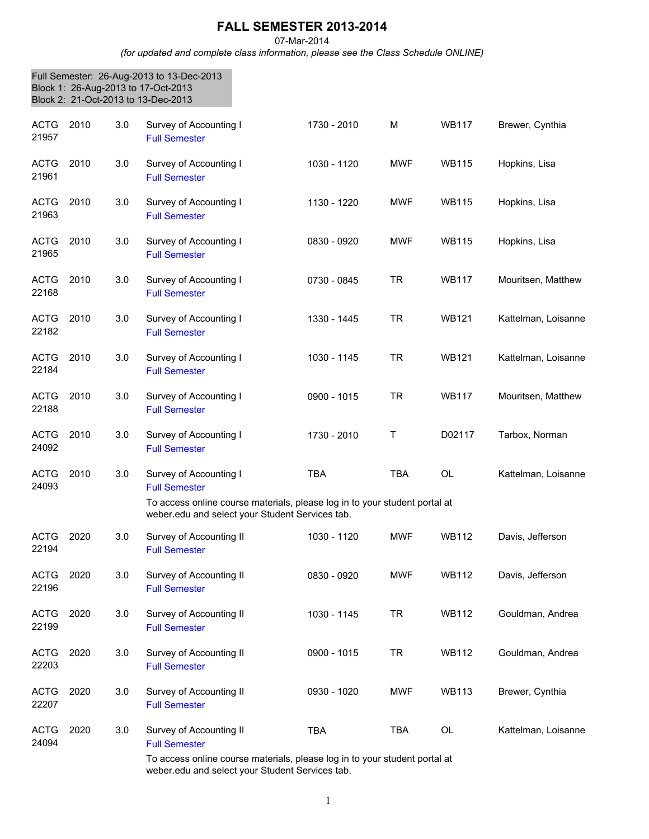## **FALL SEMESTER 2013-2014**

## 07-Mar-2014

*(for updated and complete class information, please see the Class Schedule ONLINE)*

|                      |      |     | Full Semester: 26-Aug-2013 to 13-Dec-2013<br>Block 1: 26-Aug-2013 to 17-Oct-2013<br>Block 2: 21-Oct-2013 to 13-Dec-2013       |             |            |              |                     |
|----------------------|------|-----|-------------------------------------------------------------------------------------------------------------------------------|-------------|------------|--------------|---------------------|
| <b>ACTG</b><br>21957 | 2010 | 3.0 | Survey of Accounting I<br><b>Full Semester</b>                                                                                | 1730 - 2010 | M          | <b>WB117</b> | Brewer, Cynthia     |
| <b>ACTG</b><br>21961 | 2010 | 3.0 | Survey of Accounting I<br><b>Full Semester</b>                                                                                | 1030 - 1120 | <b>MWF</b> | <b>WB115</b> | Hopkins, Lisa       |
| <b>ACTG</b><br>21963 | 2010 | 3.0 | Survey of Accounting I<br><b>Full Semester</b>                                                                                | 1130 - 1220 | <b>MWF</b> | <b>WB115</b> | Hopkins, Lisa       |
| <b>ACTG</b><br>21965 | 2010 | 3.0 | Survey of Accounting I<br><b>Full Semester</b>                                                                                | 0830 - 0920 | <b>MWF</b> | <b>WB115</b> | Hopkins, Lisa       |
| <b>ACTG</b><br>22168 | 2010 | 3.0 | Survey of Accounting I<br><b>Full Semester</b>                                                                                | 0730 - 0845 | <b>TR</b>  | <b>WB117</b> | Mouritsen, Matthew  |
| <b>ACTG</b><br>22182 | 2010 | 3.0 | Survey of Accounting I<br><b>Full Semester</b>                                                                                | 1330 - 1445 | <b>TR</b>  | <b>WB121</b> | Kattelman, Loisanne |
| <b>ACTG</b><br>22184 | 2010 | 3.0 | Survey of Accounting I<br><b>Full Semester</b>                                                                                | 1030 - 1145 | <b>TR</b>  | <b>WB121</b> | Kattelman, Loisanne |
| <b>ACTG</b><br>22188 | 2010 | 3.0 | Survey of Accounting I<br><b>Full Semester</b>                                                                                | 0900 - 1015 | <b>TR</b>  | <b>WB117</b> | Mouritsen, Matthew  |
| <b>ACTG</b><br>24092 | 2010 | 3.0 | Survey of Accounting I<br><b>Full Semester</b>                                                                                | 1730 - 2010 | Τ          | D02117       | Tarbox, Norman      |
| <b>ACTG</b><br>24093 | 2010 | 3.0 | Survey of Accounting I<br><b>Full Semester</b>                                                                                | <b>TBA</b>  | <b>TBA</b> | <b>OL</b>    | Kattelman, Loisanne |
|                      |      |     | To access online course materials, please log in to your student portal at<br>weber.edu and select your Student Services tab. |             |            |              |                     |
| <b>ACTG</b><br>22194 | 2020 | 3.0 | Survey of Accounting II<br><b>Full Semester</b>                                                                               | 1030 - 1120 | <b>MWF</b> | WB112        | Davis, Jefferson    |
| <b>ACTG</b><br>22196 | 2020 | 3.0 | Survey of Accounting II<br><b>Full Semester</b>                                                                               | 0830 - 0920 | <b>MWF</b> | <b>WB112</b> | Davis, Jefferson    |
| <b>ACTG</b><br>22199 | 2020 | 3.0 | Survey of Accounting II<br><b>Full Semester</b>                                                                               | 1030 - 1145 | <b>TR</b>  | <b>WB112</b> | Gouldman, Andrea    |
| <b>ACTG</b><br>22203 | 2020 | 3.0 | Survey of Accounting II<br><b>Full Semester</b>                                                                               | 0900 - 1015 | <b>TR</b>  | <b>WB112</b> | Gouldman, Andrea    |
| <b>ACTG</b><br>22207 | 2020 | 3.0 | Survey of Accounting II<br><b>Full Semester</b>                                                                               | 0930 - 1020 | <b>MWF</b> | <b>WB113</b> | Brewer, Cynthia     |
| <b>ACTG</b><br>24094 | 2020 | 3.0 | Survey of Accounting II<br><b>Full Semester</b><br>To access online course materials, please log in to your student portal at | <b>TBA</b>  | <b>TBA</b> | OL           | Kattelman, Loisanne |

To access online course materials, please log in to your student portal at weber.edu and select your Student Services tab.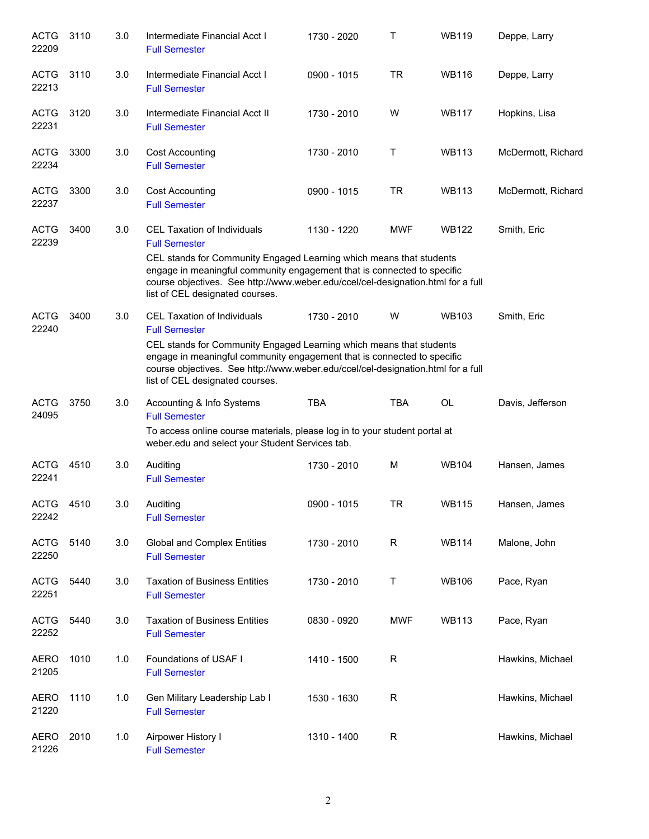| <b>ACTG</b><br>22209 | 3110 | 3.0 | Intermediate Financial Acct I<br><b>Full Semester</b>                                                                                                                                                                                                                 | 1730 - 2020 | Τ           | <b>WB119</b> | Deppe, Larry       |
|----------------------|------|-----|-----------------------------------------------------------------------------------------------------------------------------------------------------------------------------------------------------------------------------------------------------------------------|-------------|-------------|--------------|--------------------|
| <b>ACTG</b><br>22213 | 3110 | 3.0 | Intermediate Financial Acct I<br><b>Full Semester</b>                                                                                                                                                                                                                 | 0900 - 1015 | TR          | <b>WB116</b> | Deppe, Larry       |
| <b>ACTG</b><br>22231 | 3120 | 3.0 | Intermediate Financial Acct II<br><b>Full Semester</b>                                                                                                                                                                                                                | 1730 - 2010 | W           | <b>WB117</b> | Hopkins, Lisa      |
| <b>ACTG</b><br>22234 | 3300 | 3.0 | <b>Cost Accounting</b><br><b>Full Semester</b>                                                                                                                                                                                                                        | 1730 - 2010 | Т           | <b>WB113</b> | McDermott, Richard |
| <b>ACTG</b><br>22237 | 3300 | 3.0 | <b>Cost Accounting</b><br><b>Full Semester</b>                                                                                                                                                                                                                        | 0900 - 1015 | TR          | <b>WB113</b> | McDermott, Richard |
| <b>ACTG</b><br>22239 | 3400 | 3.0 | CEL Taxation of Individuals<br><b>Full Semester</b>                                                                                                                                                                                                                   | 1130 - 1220 | <b>MWF</b>  | <b>WB122</b> | Smith, Eric        |
|                      |      |     | CEL stands for Community Engaged Learning which means that students<br>engage in meaningful community engagement that is connected to specific<br>course objectives. See http://www.weber.edu/ccel/cel-designation.html for a full<br>list of CEL designated courses. |             |             |              |                    |
| <b>ACTG</b><br>22240 | 3400 | 3.0 | CEL Taxation of Individuals<br><b>Full Semester</b>                                                                                                                                                                                                                   | 1730 - 2010 | W           | <b>WB103</b> | Smith, Eric        |
|                      |      |     | CEL stands for Community Engaged Learning which means that students<br>engage in meaningful community engagement that is connected to specific<br>course objectives. See http://www.weber.edu/ccel/cel-designation.html for a full<br>list of CEL designated courses. |             |             |              |                    |
| <b>ACTG</b><br>24095 | 3750 | 3.0 | Accounting & Info Systems<br><b>Full Semester</b><br>To access online course materials, please log in to your student portal at<br>weber.edu and select your Student Services tab.                                                                                    | <b>TBA</b>  | <b>TBA</b>  | <b>OL</b>    | Davis, Jefferson   |
| <b>ACTG</b><br>22241 | 4510 | 3.0 | Auditing<br><b>Full Semester</b>                                                                                                                                                                                                                                      | 1730 - 2010 | M           | <b>WB104</b> | Hansen, James      |
| ACTG<br>22242        | 4510 | 3.0 | Auditing<br><b>Full Semester</b>                                                                                                                                                                                                                                      | 0900 - 1015 | <b>TR</b>   | <b>WB115</b> | Hansen, James      |
| <b>ACTG</b><br>22250 | 5140 | 3.0 | <b>Global and Complex Entities</b><br><b>Full Semester</b>                                                                                                                                                                                                            | 1730 - 2010 | R           | <b>WB114</b> | Malone, John       |
| <b>ACTG</b><br>22251 | 5440 | 3.0 | <b>Taxation of Business Entities</b><br><b>Full Semester</b>                                                                                                                                                                                                          | 1730 - 2010 | Τ           | <b>WB106</b> | Pace, Ryan         |
| <b>ACTG</b><br>22252 | 5440 | 3.0 | <b>Taxation of Business Entities</b><br><b>Full Semester</b>                                                                                                                                                                                                          | 0830 - 0920 | <b>MWF</b>  | <b>WB113</b> | Pace, Ryan         |
| <b>AERO</b><br>21205 | 1010 | 1.0 | Foundations of USAF I<br><b>Full Semester</b>                                                                                                                                                                                                                         | 1410 - 1500 | R           |              | Hawkins, Michael   |
| <b>AERO</b><br>21220 | 1110 | 1.0 | Gen Military Leadership Lab I<br><b>Full Semester</b>                                                                                                                                                                                                                 | 1530 - 1630 | $\mathsf R$ |              | Hawkins, Michael   |
| <b>AERO</b><br>21226 | 2010 | 1.0 | Airpower History I<br><b>Full Semester</b>                                                                                                                                                                                                                            | 1310 - 1400 | R           |              | Hawkins, Michael   |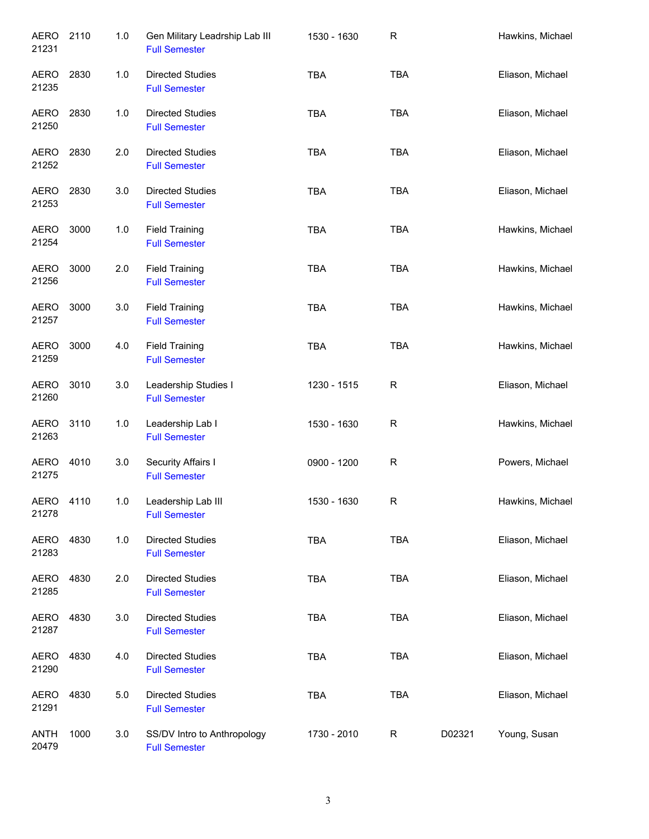| <b>AERO</b><br>21231 | 2110 | 1.0 | Gen Military Leadrship Lab III<br><b>Full Semester</b> | 1530 - 1630 | $\mathsf R$ |        | Hawkins, Michael |
|----------------------|------|-----|--------------------------------------------------------|-------------|-------------|--------|------------------|
| AERO<br>21235        | 2830 | 1.0 | <b>Directed Studies</b><br><b>Full Semester</b>        | <b>TBA</b>  | <b>TBA</b>  |        | Eliason, Michael |
| <b>AERO</b><br>21250 | 2830 | 1.0 | <b>Directed Studies</b><br><b>Full Semester</b>        | <b>TBA</b>  | <b>TBA</b>  |        | Eliason, Michael |
| AERO<br>21252        | 2830 | 2.0 | <b>Directed Studies</b><br><b>Full Semester</b>        | <b>TBA</b>  | <b>TBA</b>  |        | Eliason, Michael |
| AERO<br>21253        | 2830 | 3.0 | <b>Directed Studies</b><br><b>Full Semester</b>        | <b>TBA</b>  | <b>TBA</b>  |        | Eliason, Michael |
| <b>AERO</b><br>21254 | 3000 | 1.0 | <b>Field Training</b><br><b>Full Semester</b>          | <b>TBA</b>  | <b>TBA</b>  |        | Hawkins, Michael |
| <b>AERO</b><br>21256 | 3000 | 2.0 | <b>Field Training</b><br><b>Full Semester</b>          | <b>TBA</b>  | <b>TBA</b>  |        | Hawkins, Michael |
| AERO<br>21257        | 3000 | 3.0 | <b>Field Training</b><br><b>Full Semester</b>          | <b>TBA</b>  | <b>TBA</b>  |        | Hawkins, Michael |
| <b>AERO</b><br>21259 | 3000 | 4.0 | <b>Field Training</b><br><b>Full Semester</b>          | <b>TBA</b>  | <b>TBA</b>  |        | Hawkins, Michael |
| <b>AERO</b><br>21260 | 3010 | 3.0 | Leadership Studies I<br><b>Full Semester</b>           | 1230 - 1515 | R           |        | Eliason, Michael |
| <b>AERO</b><br>21263 | 3110 | 1.0 | Leadership Lab I<br><b>Full Semester</b>               | 1530 - 1630 | R           |        | Hawkins, Michael |
| <b>AERO</b><br>21275 | 4010 | 3.0 | Security Affairs I<br><b>Full Semester</b>             | 0900 - 1200 | R           |        | Powers, Michael  |
| AERO<br>21278        | 4110 | 1.0 | Leadership Lab III<br><b>Full Semester</b>             | 1530 - 1630 | R           |        | Hawkins, Michael |
| <b>AERO</b><br>21283 | 4830 | 1.0 | <b>Directed Studies</b><br><b>Full Semester</b>        | TBA         | <b>TBA</b>  |        | Eliason, Michael |
| AERO<br>21285        | 4830 | 2.0 | <b>Directed Studies</b><br><b>Full Semester</b>        | <b>TBA</b>  | <b>TBA</b>  |        | Eliason, Michael |
| AERO<br>21287        | 4830 | 3.0 | <b>Directed Studies</b><br><b>Full Semester</b>        | <b>TBA</b>  | <b>TBA</b>  |        | Eliason, Michael |
| AERO<br>21290        | 4830 | 4.0 | <b>Directed Studies</b><br><b>Full Semester</b>        | <b>TBA</b>  | <b>TBA</b>  |        | Eliason, Michael |
| <b>AERO</b><br>21291 | 4830 | 5.0 | <b>Directed Studies</b><br><b>Full Semester</b>        | <b>TBA</b>  | <b>TBA</b>  |        | Eliason, Michael |
| <b>ANTH</b><br>20479 | 1000 | 3.0 | SS/DV Intro to Anthropology<br><b>Full Semester</b>    | 1730 - 2010 | R           | D02321 | Young, Susan     |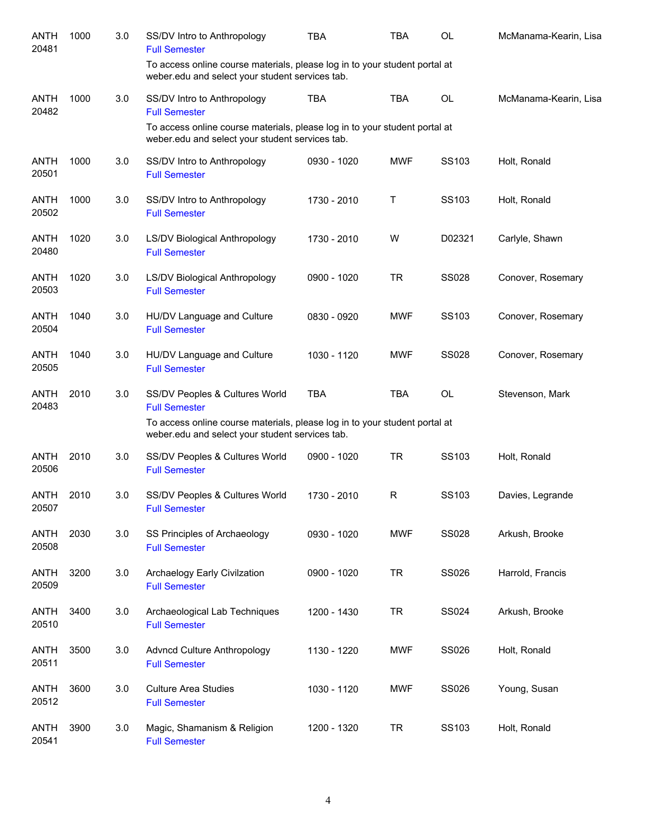| <b>ANTH</b><br>20481 | 1000 | 3.0 | SS/DV Intro to Anthropology<br><b>Full Semester</b>                                                                           | <b>TBA</b>  | <b>TBA</b> | <b>OL</b>    | McManama-Kearin, Lisa |
|----------------------|------|-----|-------------------------------------------------------------------------------------------------------------------------------|-------------|------------|--------------|-----------------------|
|                      |      |     | To access online course materials, please log in to your student portal at<br>weber.edu and select your student services tab. |             |            |              |                       |
| <b>ANTH</b><br>20482 | 1000 | 3.0 | SS/DV Intro to Anthropology<br><b>Full Semester</b>                                                                           | <b>TBA</b>  | <b>TBA</b> | <b>OL</b>    | McManama-Kearin, Lisa |
|                      |      |     | To access online course materials, please log in to your student portal at<br>weber.edu and select your student services tab. |             |            |              |                       |
| <b>ANTH</b><br>20501 | 1000 | 3.0 | SS/DV Intro to Anthropology<br><b>Full Semester</b>                                                                           | 0930 - 1020 | <b>MWF</b> | SS103        | Holt, Ronald          |
| <b>ANTH</b><br>20502 | 1000 | 3.0 | SS/DV Intro to Anthropology<br><b>Full Semester</b>                                                                           | 1730 - 2010 | Τ          | SS103        | Holt, Ronald          |
| <b>ANTH</b><br>20480 | 1020 | 3.0 | LS/DV Biological Anthropology<br><b>Full Semester</b>                                                                         | 1730 - 2010 | W          | D02321       | Carlyle, Shawn        |
| <b>ANTH</b><br>20503 | 1020 | 3.0 | LS/DV Biological Anthropology<br><b>Full Semester</b>                                                                         | 0900 - 1020 | <b>TR</b>  | <b>SS028</b> | Conover, Rosemary     |
| <b>ANTH</b><br>20504 | 1040 | 3.0 | HU/DV Language and Culture<br><b>Full Semester</b>                                                                            | 0830 - 0920 | <b>MWF</b> | SS103        | Conover, Rosemary     |
| <b>ANTH</b><br>20505 | 1040 | 3.0 | HU/DV Language and Culture<br><b>Full Semester</b>                                                                            | 1030 - 1120 | <b>MWF</b> | <b>SS028</b> | Conover, Rosemary     |
| <b>ANTH</b><br>20483 | 2010 | 3.0 | SS/DV Peoples & Cultures World<br><b>Full Semester</b>                                                                        | <b>TBA</b>  | <b>TBA</b> | <b>OL</b>    | Stevenson, Mark       |
|                      |      |     | To access online course materials, please log in to your student portal at<br>weber.edu and select your student services tab. |             |            |              |                       |
| <b>ANTH</b><br>20506 | 2010 | 3.0 | SS/DV Peoples & Cultures World<br><b>Full Semester</b>                                                                        | 0900 - 1020 | <b>TR</b>  | SS103        | Holt, Ronald          |
| ANTH<br>20507        | 2010 | 3.0 | SS/DV Peoples & Cultures World<br><b>Full Semester</b>                                                                        | 1730 - 2010 | R          | SS103        | Davies, Legrande      |
| <b>ANTH</b><br>20508 | 2030 | 3.0 | SS Principles of Archaeology<br><b>Full Semester</b>                                                                          | 0930 - 1020 | <b>MWF</b> | <b>SS028</b> | Arkush, Brooke        |
| <b>ANTH</b><br>20509 | 3200 | 3.0 | Archaelogy Early Civilzation<br><b>Full Semester</b>                                                                          | 0900 - 1020 | <b>TR</b>  | SS026        | Harrold, Francis      |
| <b>ANTH</b><br>20510 | 3400 | 3.0 | Archaeological Lab Techniques<br><b>Full Semester</b>                                                                         | 1200 - 1430 | <b>TR</b>  | SS024        | Arkush, Brooke        |
| <b>ANTH</b><br>20511 | 3500 | 3.0 | Advncd Culture Anthropology<br><b>Full Semester</b>                                                                           | 1130 - 1220 | <b>MWF</b> | SS026        | Holt, Ronald          |
| <b>ANTH</b><br>20512 | 3600 | 3.0 | <b>Culture Area Studies</b><br><b>Full Semester</b>                                                                           | 1030 - 1120 | <b>MWF</b> | SS026        | Young, Susan          |
| <b>ANTH</b><br>20541 | 3900 | 3.0 | Magic, Shamanism & Religion<br><b>Full Semester</b>                                                                           | 1200 - 1320 | <b>TR</b>  | SS103        | Holt, Ronald          |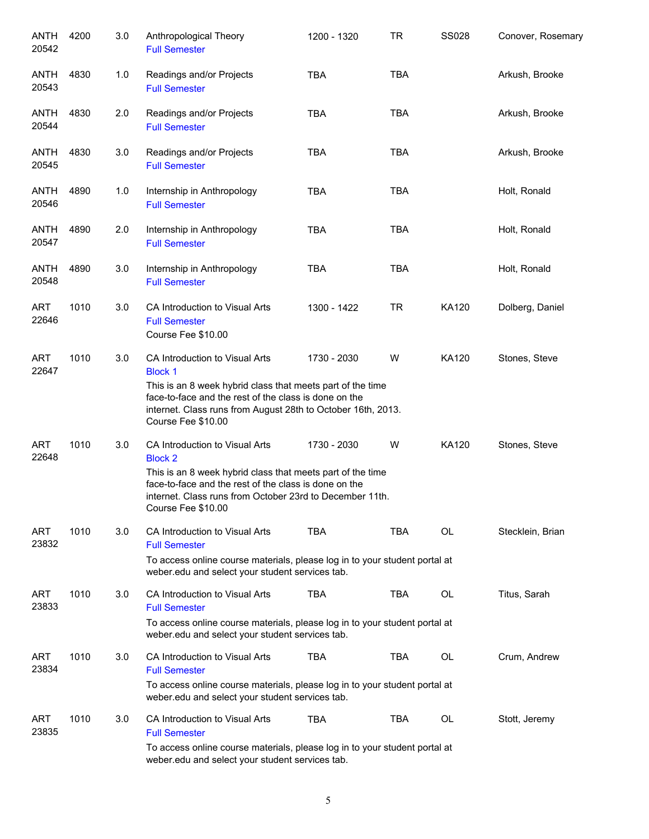| ANTH<br>20542       | 4200 | 3.0 | Anthropological Theory<br><b>Full Semester</b>                                                                                                                                                                                                                | 1200 - 1320 | <b>TR</b>  | <b>SS028</b> | Conover, Rosemary |
|---------------------|------|-----|---------------------------------------------------------------------------------------------------------------------------------------------------------------------------------------------------------------------------------------------------------------|-------------|------------|--------------|-------------------|
| ANTH<br>20543       | 4830 | 1.0 | Readings and/or Projects<br><b>Full Semester</b>                                                                                                                                                                                                              | <b>TBA</b>  | <b>TBA</b> |              | Arkush, Brooke    |
| ANTH<br>20544       | 4830 | 2.0 | Readings and/or Projects<br><b>Full Semester</b>                                                                                                                                                                                                              | <b>TBA</b>  | <b>TBA</b> |              | Arkush, Brooke    |
| ANTH<br>20545       | 4830 | 3.0 | Readings and/or Projects<br><b>Full Semester</b>                                                                                                                                                                                                              | <b>TBA</b>  | <b>TBA</b> |              | Arkush, Brooke    |
| ANTH<br>20546       | 4890 | 1.0 | Internship in Anthropology<br><b>Full Semester</b>                                                                                                                                                                                                            | <b>TBA</b>  | <b>TBA</b> |              | Holt, Ronald      |
| ANTH<br>20547       | 4890 | 2.0 | Internship in Anthropology<br><b>Full Semester</b>                                                                                                                                                                                                            | <b>TBA</b>  | <b>TBA</b> |              | Holt, Ronald      |
| ANTH<br>20548       | 4890 | 3.0 | Internship in Anthropology<br><b>Full Semester</b>                                                                                                                                                                                                            | <b>TBA</b>  | <b>TBA</b> |              | Holt, Ronald      |
| <b>ART</b><br>22646 | 1010 | 3.0 | CA Introduction to Visual Arts<br><b>Full Semester</b><br>Course Fee \$10.00                                                                                                                                                                                  | 1300 - 1422 | <b>TR</b>  | KA120        | Dolberg, Daniel   |
| <b>ART</b><br>22647 | 1010 | 3.0 | CA Introduction to Visual Arts<br><b>Block 1</b><br>This is an 8 week hybrid class that meets part of the time<br>face-to-face and the rest of the class is done on the<br>internet. Class runs from August 28th to October 16th, 2013.<br>Course Fee \$10.00 | 1730 - 2030 | W          | <b>KA120</b> | Stones, Steve     |
| <b>ART</b><br>22648 | 1010 | 3.0 | CA Introduction to Visual Arts<br><b>Block 2</b><br>This is an 8 week hybrid class that meets part of the time<br>face-to-face and the rest of the class is done on the<br>internet. Class runs from October 23rd to December 11th.<br>Course Fee \$10.00     | 1730 - 2030 | W          | KA120        | Stones, Steve     |
| ART<br>23832        | 1010 | 3.0 | CA Introduction to Visual Arts<br><b>Full Semester</b><br>To access online course materials, please log in to your student portal at<br>weber.edu and select your student services tab.                                                                       | <b>TBA</b>  | <b>TBA</b> | OL           | Stecklein, Brian  |
| ART<br>23833        | 1010 | 3.0 | CA Introduction to Visual Arts<br><b>Full Semester</b><br>To access online course materials, please log in to your student portal at<br>weber.edu and select your student services tab.                                                                       | <b>TBA</b>  | TBA        | OL           | Titus, Sarah      |
| ART<br>23834        | 1010 | 3.0 | CA Introduction to Visual Arts<br><b>Full Semester</b><br>To access online course materials, please log in to your student portal at<br>weber.edu and select your student services tab.                                                                       | <b>TBA</b>  | <b>TBA</b> | OL           | Crum, Andrew      |
| ART<br>23835        | 1010 | 3.0 | CA Introduction to Visual Arts<br><b>Full Semester</b><br>To access online course materials, please log in to your student portal at<br>weber.edu and select your student services tab.                                                                       | <b>TBA</b>  | TBA        | OL           | Stott, Jeremy     |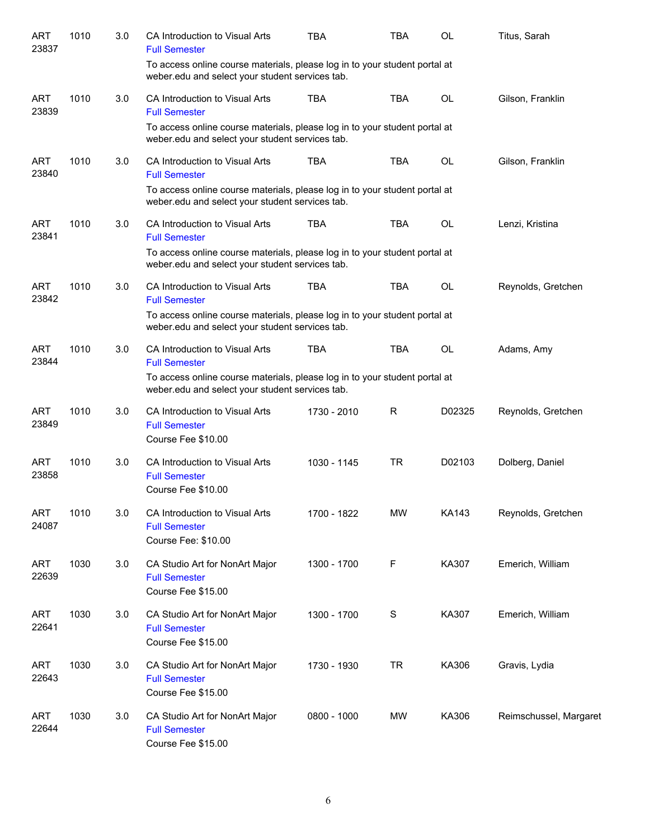| <b>ART</b><br>23837 | 1010 | 3.0 | CA Introduction to Visual Arts<br><b>Full Semester</b>                                                                               | <b>TBA</b>  | TBA         | <b>OL</b> | Titus, Sarah           |
|---------------------|------|-----|--------------------------------------------------------------------------------------------------------------------------------------|-------------|-------------|-----------|------------------------|
|                     |      |     | To access online course materials, please log in to your student portal at<br>weber.edu and select your student services tab.        |             |             |           |                        |
| <b>ART</b><br>23839 | 1010 | 3.0 | CA Introduction to Visual Arts<br><b>Full Semester</b>                                                                               | <b>TBA</b>  | <b>TBA</b>  | <b>OL</b> | Gilson, Franklin       |
|                     |      |     | To access online course materials, please log in to your student portal at<br>weber.edu and select your student services tab.        |             |             |           |                        |
| <b>ART</b><br>23840 | 1010 | 3.0 | CA Introduction to Visual Arts<br><b>Full Semester</b><br>To access online course materials, please log in to your student portal at | <b>TBA</b>  | <b>TBA</b>  | <b>OL</b> | Gilson, Franklin       |
| ART<br>23841        | 1010 | 3.0 | weber.edu and select your student services tab.<br>CA Introduction to Visual Arts<br><b>Full Semester</b>                            | <b>TBA</b>  | <b>TBA</b>  | OL        | Lenzi, Kristina        |
|                     |      |     | To access online course materials, please log in to your student portal at<br>weber.edu and select your student services tab.        |             |             |           |                        |
| <b>ART</b><br>23842 | 1010 | 3.0 | CA Introduction to Visual Arts<br><b>Full Semester</b>                                                                               | <b>TBA</b>  | <b>TBA</b>  | <b>OL</b> | Reynolds, Gretchen     |
|                     |      |     | To access online course materials, please log in to your student portal at<br>weber.edu and select your student services tab.        |             |             |           |                        |
| <b>ART</b><br>23844 | 1010 | 3.0 | CA Introduction to Visual Arts<br><b>Full Semester</b>                                                                               | <b>TBA</b>  | <b>TBA</b>  | OL        | Adams, Amy             |
|                     |      |     | To access online course materials, please log in to your student portal at<br>weber.edu and select your student services tab.        |             |             |           |                        |
| <b>ART</b><br>23849 | 1010 | 3.0 | CA Introduction to Visual Arts<br><b>Full Semester</b><br>Course Fee \$10.00                                                         | 1730 - 2010 | R           | D02325    | Reynolds, Gretchen     |
| <b>ART</b><br>23858 | 1010 | 3.0 | CA Introduction to Visual Arts<br><b>Full Semester</b><br>Course Fee \$10.00                                                         | 1030 - 1145 | <b>TR</b>   | D02103    | Dolberg, Daniel        |
| <b>ART</b><br>24087 | 1010 | 3.0 | CA Introduction to Visual Arts<br><b>Full Semester</b><br>Course Fee: \$10.00                                                        | 1700 - 1822 | <b>MW</b>   | KA143     | Reynolds, Gretchen     |
| <b>ART</b><br>22639 | 1030 | 3.0 | CA Studio Art for NonArt Major<br><b>Full Semester</b><br>Course Fee \$15.00                                                         | 1300 - 1700 | $\mathsf F$ | KA307     | Emerich, William       |
| <b>ART</b><br>22641 | 1030 | 3.0 | CA Studio Art for NonArt Major<br><b>Full Semester</b><br>Course Fee \$15.00                                                         | 1300 - 1700 | $\mathbf S$ | KA307     | Emerich, William       |
| <b>ART</b><br>22643 | 1030 | 3.0 | CA Studio Art for NonArt Major<br><b>Full Semester</b><br>Course Fee \$15.00                                                         | 1730 - 1930 | <b>TR</b>   | KA306     | Gravis, Lydia          |
| <b>ART</b><br>22644 | 1030 | 3.0 | CA Studio Art for NonArt Major<br><b>Full Semester</b><br>Course Fee \$15.00                                                         | 0800 - 1000 | MW          | KA306     | Reimschussel, Margaret |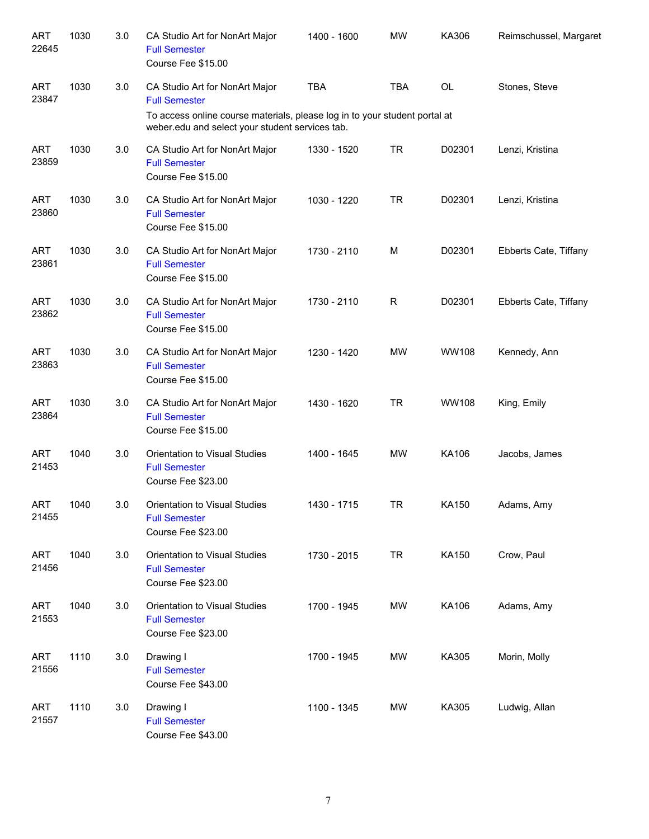| <b>ART</b><br>22645 | 1030 | 3.0 | CA Studio Art for NonArt Major<br><b>Full Semester</b><br>Course Fee \$15.00                                                                                                            | 1400 - 1600 | <b>MW</b>  | KA306        | Reimschussel, Margaret |
|---------------------|------|-----|-----------------------------------------------------------------------------------------------------------------------------------------------------------------------------------------|-------------|------------|--------------|------------------------|
| <b>ART</b><br>23847 | 1030 | 3.0 | CA Studio Art for NonArt Major<br><b>Full Semester</b><br>To access online course materials, please log in to your student portal at<br>weber.edu and select your student services tab. | <b>TBA</b>  | <b>TBA</b> | OL           | Stones, Steve          |
| <b>ART</b><br>23859 | 1030 | 3.0 | CA Studio Art for NonArt Major<br><b>Full Semester</b><br>Course Fee \$15.00                                                                                                            | 1330 - 1520 | <b>TR</b>  | D02301       | Lenzi, Kristina        |
| <b>ART</b><br>23860 | 1030 | 3.0 | CA Studio Art for NonArt Major<br><b>Full Semester</b><br>Course Fee \$15.00                                                                                                            | 1030 - 1220 | <b>TR</b>  | D02301       | Lenzi, Kristina        |
| <b>ART</b><br>23861 | 1030 | 3.0 | CA Studio Art for NonArt Major<br><b>Full Semester</b><br>Course Fee \$15.00                                                                                                            | 1730 - 2110 | M          | D02301       | Ebberts Cate, Tiffany  |
| <b>ART</b><br>23862 | 1030 | 3.0 | CA Studio Art for NonArt Major<br><b>Full Semester</b><br>Course Fee \$15.00                                                                                                            | 1730 - 2110 | R          | D02301       | Ebberts Cate, Tiffany  |
| <b>ART</b><br>23863 | 1030 | 3.0 | CA Studio Art for NonArt Major<br><b>Full Semester</b><br>Course Fee \$15.00                                                                                                            | 1230 - 1420 | <b>MW</b>  | <b>WW108</b> | Kennedy, Ann           |
| <b>ART</b><br>23864 | 1030 | 3.0 | CA Studio Art for NonArt Major<br><b>Full Semester</b><br>Course Fee \$15.00                                                                                                            | 1430 - 1620 | <b>TR</b>  | <b>WW108</b> | King, Emily            |
| <b>ART</b><br>21453 | 1040 | 3.0 | Orientation to Visual Studies<br><b>Full Semester</b><br>Course Fee \$23.00                                                                                                             | 1400 - 1645 | <b>MW</b>  | KA106        | Jacobs, James          |
| <b>ART</b><br>21455 | 1040 | 3.0 | Orientation to Visual Studies<br><b>Full Semester</b><br>Course Fee \$23.00                                                                                                             | 1430 - 1715 | TR         | KA150        | Adams, Amy             |
| <b>ART</b><br>21456 | 1040 | 3.0 | Orientation to Visual Studies<br><b>Full Semester</b><br>Course Fee \$23.00                                                                                                             | 1730 - 2015 | <b>TR</b>  | KA150        | Crow, Paul             |
| <b>ART</b><br>21553 | 1040 | 3.0 | Orientation to Visual Studies<br><b>Full Semester</b><br>Course Fee \$23.00                                                                                                             | 1700 - 1945 | MW         | KA106        | Adams, Amy             |
| <b>ART</b><br>21556 | 1110 | 3.0 | Drawing I<br><b>Full Semester</b><br>Course Fee \$43.00                                                                                                                                 | 1700 - 1945 | MW         | KA305        | Morin, Molly           |
| <b>ART</b><br>21557 | 1110 | 3.0 | Drawing I<br><b>Full Semester</b><br>Course Fee \$43.00                                                                                                                                 | 1100 - 1345 | MW         | KA305        | Ludwig, Allan          |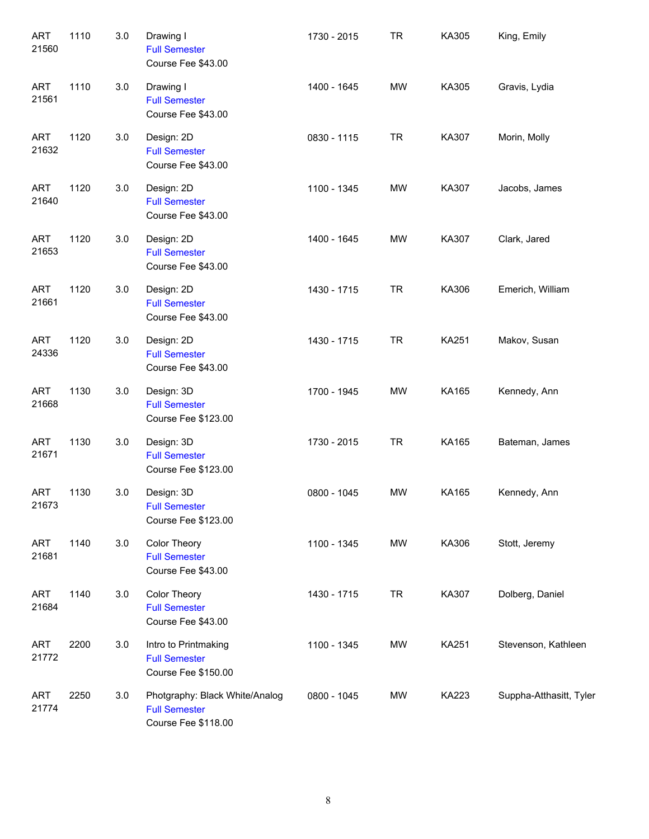| <b>ART</b><br>21560 | 1110 | 3.0 | Drawing I<br><b>Full Semester</b><br>Course Fee \$43.00                       | 1730 - 2015 | <b>TR</b> | KA305        | King, Emily             |
|---------------------|------|-----|-------------------------------------------------------------------------------|-------------|-----------|--------------|-------------------------|
| <b>ART</b><br>21561 | 1110 | 3.0 | Drawing I<br><b>Full Semester</b><br>Course Fee \$43.00                       | 1400 - 1645 | <b>MW</b> | KA305        | Gravis, Lydia           |
| <b>ART</b><br>21632 | 1120 | 3.0 | Design: 2D<br><b>Full Semester</b><br>Course Fee \$43.00                      | 0830 - 1115 | <b>TR</b> | KA307        | Morin, Molly            |
| <b>ART</b><br>21640 | 1120 | 3.0 | Design: 2D<br><b>Full Semester</b><br>Course Fee \$43.00                      | 1100 - 1345 | <b>MW</b> | KA307        | Jacobs, James           |
| <b>ART</b><br>21653 | 1120 | 3.0 | Design: 2D<br><b>Full Semester</b><br>Course Fee \$43.00                      | 1400 - 1645 | <b>MW</b> | KA307        | Clark, Jared            |
| <b>ART</b><br>21661 | 1120 | 3.0 | Design: 2D<br><b>Full Semester</b><br>Course Fee \$43.00                      | 1430 - 1715 | <b>TR</b> | KA306        | Emerich, William        |
| <b>ART</b><br>24336 | 1120 | 3.0 | Design: 2D<br><b>Full Semester</b><br>Course Fee \$43.00                      | 1430 - 1715 | <b>TR</b> | <b>KA251</b> | Makov, Susan            |
| <b>ART</b><br>21668 | 1130 | 3.0 | Design: 3D<br><b>Full Semester</b><br>Course Fee \$123.00                     | 1700 - 1945 | <b>MW</b> | KA165        | Kennedy, Ann            |
| <b>ART</b><br>21671 | 1130 | 3.0 | Design: 3D<br><b>Full Semester</b><br>Course Fee \$123.00                     | 1730 - 2015 | <b>TR</b> | KA165        | Bateman, James          |
| <b>ART</b><br>21673 | 1130 | 3.0 | Design: 3D<br><b>Full Semester</b><br>Course Fee \$123.00                     | 0800 - 1045 | <b>MW</b> | KA165        | Kennedy, Ann            |
| <b>ART</b><br>21681 | 1140 | 3.0 | Color Theory<br><b>Full Semester</b><br>Course Fee \$43.00                    | 1100 - 1345 | MW        | KA306        | Stott, Jeremy           |
| <b>ART</b><br>21684 | 1140 | 3.0 | Color Theory<br><b>Full Semester</b><br>Course Fee \$43.00                    | 1430 - 1715 | <b>TR</b> | KA307        | Dolberg, Daniel         |
| ART<br>21772        | 2200 | 3.0 | Intro to Printmaking<br><b>Full Semester</b><br>Course Fee \$150.00           | 1100 - 1345 | MW        | <b>KA251</b> | Stevenson, Kathleen     |
| ART<br>21774        | 2250 | 3.0 | Photgraphy: Black White/Analog<br><b>Full Semester</b><br>Course Fee \$118.00 | 0800 - 1045 | MW        | KA223        | Suppha-Atthasitt, Tyler |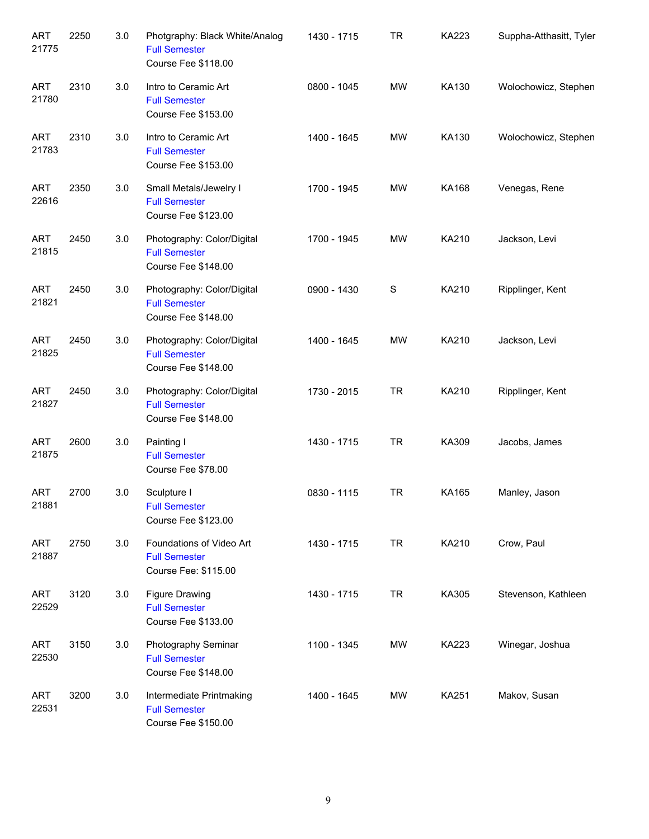| <b>ART</b><br>21775 | 2250 | 3.0 | Photgraphy: Black White/Analog<br><b>Full Semester</b><br>Course Fee \$118.00 | 1430 - 1715 | <b>TR</b>     | KA223        | Suppha-Atthasitt, Tyler |
|---------------------|------|-----|-------------------------------------------------------------------------------|-------------|---------------|--------------|-------------------------|
| <b>ART</b><br>21780 | 2310 | 3.0 | Intro to Ceramic Art<br><b>Full Semester</b><br>Course Fee \$153.00           | 0800 - 1045 | <b>MW</b>     | KA130        | Wolochowicz, Stephen    |
| <b>ART</b><br>21783 | 2310 | 3.0 | Intro to Ceramic Art<br><b>Full Semester</b><br>Course Fee \$153.00           | 1400 - 1645 | <b>MW</b>     | KA130        | Wolochowicz, Stephen    |
| <b>ART</b><br>22616 | 2350 | 3.0 | Small Metals/Jewelry I<br><b>Full Semester</b><br>Course Fee \$123.00         | 1700 - 1945 | <b>MW</b>     | <b>KA168</b> | Venegas, Rene           |
| <b>ART</b><br>21815 | 2450 | 3.0 | Photography: Color/Digital<br><b>Full Semester</b><br>Course Fee \$148.00     | 1700 - 1945 | <b>MW</b>     | KA210        | Jackson, Levi           |
| <b>ART</b><br>21821 | 2450 | 3.0 | Photography: Color/Digital<br><b>Full Semester</b><br>Course Fee \$148.00     | 0900 - 1430 | ${\mathsf S}$ | KA210        | Ripplinger, Kent        |
| <b>ART</b><br>21825 | 2450 | 3.0 | Photography: Color/Digital<br><b>Full Semester</b><br>Course Fee \$148.00     | 1400 - 1645 | <b>MW</b>     | KA210        | Jackson, Levi           |
| <b>ART</b><br>21827 | 2450 | 3.0 | Photography: Color/Digital<br><b>Full Semester</b><br>Course Fee \$148.00     | 1730 - 2015 | <b>TR</b>     | KA210        | Ripplinger, Kent        |
| <b>ART</b><br>21875 | 2600 | 3.0 | Painting I<br><b>Full Semester</b><br>Course Fee \$78.00                      | 1430 - 1715 | <b>TR</b>     | KA309        | Jacobs, James           |
| <b>ART</b><br>21881 | 2700 | 3.0 | Sculpture I<br><b>Full Semester</b><br>Course Fee \$123.00                    | 0830 - 1115 | <b>TR</b>     | KA165        | Manley, Jason           |
| <b>ART</b><br>21887 | 2750 | 3.0 | Foundations of Video Art<br><b>Full Semester</b><br>Course Fee: \$115.00      | 1430 - 1715 | <b>TR</b>     | KA210        | Crow, Paul              |
| <b>ART</b><br>22529 | 3120 | 3.0 | <b>Figure Drawing</b><br><b>Full Semester</b><br>Course Fee \$133.00          | 1430 - 1715 | <b>TR</b>     | KA305        | Stevenson, Kathleen     |
| <b>ART</b><br>22530 | 3150 | 3.0 | Photography Seminar<br><b>Full Semester</b><br>Course Fee \$148.00            | 1100 - 1345 | MW            | KA223        | Winegar, Joshua         |
| <b>ART</b><br>22531 | 3200 | 3.0 | Intermediate Printmaking<br><b>Full Semester</b><br>Course Fee \$150.00       | 1400 - 1645 | MW            | KA251        | Makov, Susan            |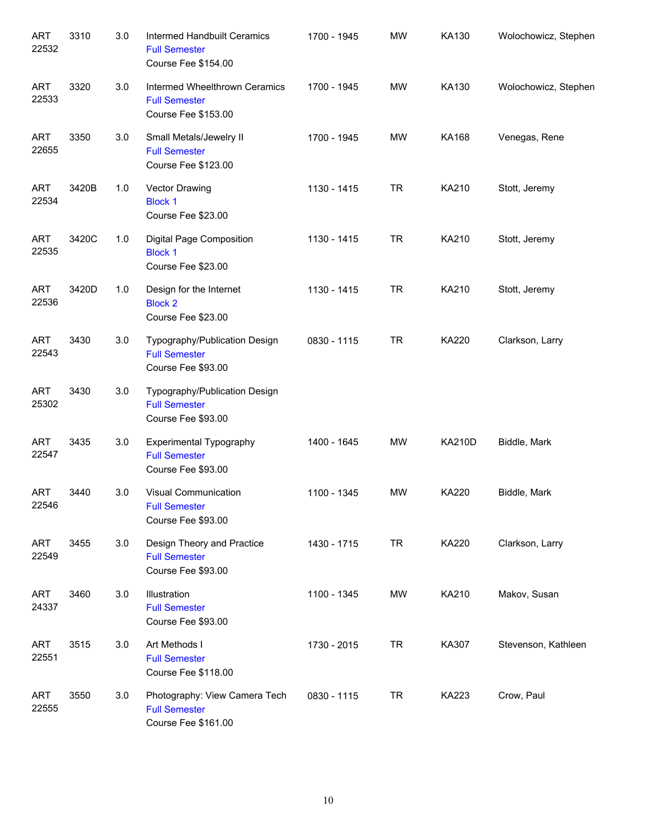| <b>ART</b><br>22532 | 3310  | 3.0 | Intermed Handbuilt Ceramics<br><b>Full Semester</b><br>Course Fee \$154.00          | 1700 - 1945 | <b>MW</b> | KA130         | Wolochowicz, Stephen |
|---------------------|-------|-----|-------------------------------------------------------------------------------------|-------------|-----------|---------------|----------------------|
| <b>ART</b><br>22533 | 3320  | 3.0 | Intermed Wheelthrown Ceramics<br><b>Full Semester</b><br><b>Course Fee \$153.00</b> | 1700 - 1945 | <b>MW</b> | KA130         | Wolochowicz, Stephen |
| <b>ART</b><br>22655 | 3350  | 3.0 | Small Metals/Jewelry II<br><b>Full Semester</b><br><b>Course Fee \$123.00</b>       | 1700 - 1945 | <b>MW</b> | <b>KA168</b>  | Venegas, Rene        |
| <b>ART</b><br>22534 | 3420B | 1.0 | Vector Drawing<br><b>Block 1</b><br>Course Fee \$23.00                              | 1130 - 1415 | <b>TR</b> | KA210         | Stott, Jeremy        |
| <b>ART</b><br>22535 | 3420C | 1.0 | Digital Page Composition<br><b>Block 1</b><br>Course Fee \$23.00                    | 1130 - 1415 | <b>TR</b> | KA210         | Stott, Jeremy        |
| <b>ART</b><br>22536 | 3420D | 1.0 | Design for the Internet<br><b>Block 2</b><br>Course Fee \$23.00                     | 1130 - 1415 | <b>TR</b> | KA210         | Stott, Jeremy        |
| <b>ART</b><br>22543 | 3430  | 3.0 | Typography/Publication Design<br><b>Full Semester</b><br>Course Fee \$93.00         | 0830 - 1115 | <b>TR</b> | <b>KA220</b>  | Clarkson, Larry      |
| <b>ART</b><br>25302 | 3430  | 3.0 | Typography/Publication Design<br><b>Full Semester</b><br>Course Fee \$93.00         |             |           |               |                      |
| <b>ART</b><br>22547 | 3435  | 3.0 | <b>Experimental Typography</b><br><b>Full Semester</b><br>Course Fee \$93.00        | 1400 - 1645 | <b>MW</b> | <b>KA210D</b> | Biddle, Mark         |
| <b>ART</b><br>22546 | 3440  | 3.0 | Visual Communication<br><b>Full Semester</b><br>Course Fee \$93.00                  | 1100 - 1345 | <b>MW</b> | <b>KA220</b>  | Biddle, Mark         |
| <b>ART</b><br>22549 | 3455  | 3.0 | Design Theory and Practice<br><b>Full Semester</b><br>Course Fee \$93.00            | 1430 - 1715 | <b>TR</b> | KA220         | Clarkson, Larry      |
| <b>ART</b><br>24337 | 3460  | 3.0 | Illustration<br><b>Full Semester</b><br>Course Fee \$93.00                          | 1100 - 1345 | MW        | KA210         | Makov, Susan         |
| <b>ART</b><br>22551 | 3515  | 3.0 | Art Methods I<br><b>Full Semester</b><br>Course Fee \$118.00                        | 1730 - 2015 | <b>TR</b> | KA307         | Stevenson, Kathleen  |
| <b>ART</b><br>22555 | 3550  | 3.0 | Photography: View Camera Tech<br><b>Full Semester</b><br>Course Fee \$161.00        | 0830 - 1115 | <b>TR</b> | KA223         | Crow, Paul           |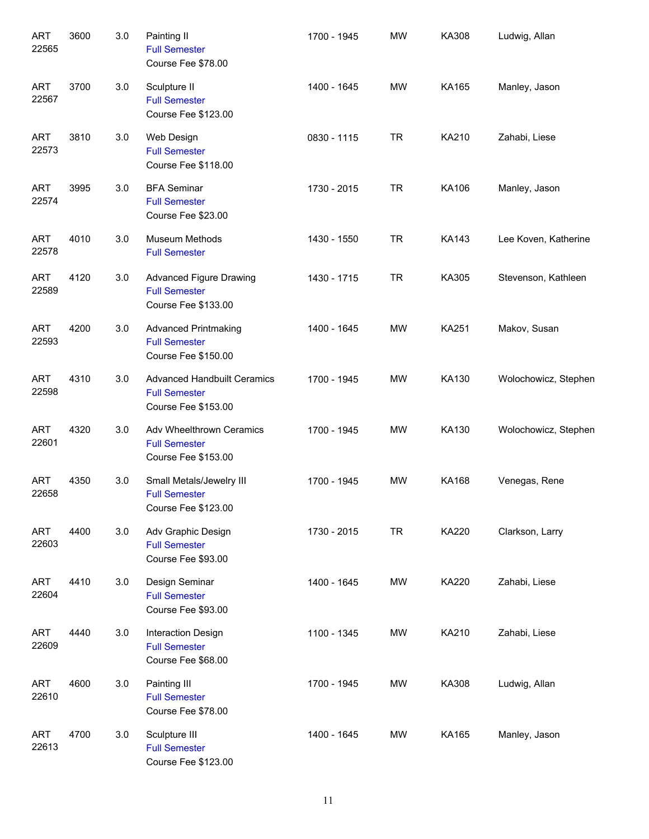| <b>ART</b><br>22565 | 3600 | 3.0 | Painting II<br><b>Full Semester</b><br>Course Fee \$78.00                         | 1700 - 1945 | <b>MW</b> | KA308        | Ludwig, Allan        |
|---------------------|------|-----|-----------------------------------------------------------------------------------|-------------|-----------|--------------|----------------------|
| <b>ART</b><br>22567 | 3700 | 3.0 | Sculpture II<br><b>Full Semester</b><br>Course Fee \$123.00                       | 1400 - 1645 | <b>MW</b> | KA165        | Manley, Jason        |
| <b>ART</b><br>22573 | 3810 | 3.0 | Web Design<br><b>Full Semester</b><br>Course Fee \$118.00                         | 0830 - 1115 | <b>TR</b> | KA210        | Zahabi, Liese        |
| <b>ART</b><br>22574 | 3995 | 3.0 | <b>BFA Seminar</b><br><b>Full Semester</b><br>Course Fee \$23.00                  | 1730 - 2015 | <b>TR</b> | KA106        | Manley, Jason        |
| <b>ART</b><br>22578 | 4010 | 3.0 | Museum Methods<br><b>Full Semester</b>                                            | 1430 - 1550 | <b>TR</b> | KA143        | Lee Koven, Katherine |
| <b>ART</b><br>22589 | 4120 | 3.0 | <b>Advanced Figure Drawing</b><br><b>Full Semester</b><br>Course Fee \$133.00     | 1430 - 1715 | <b>TR</b> | KA305        | Stevenson, Kathleen  |
| <b>ART</b><br>22593 | 4200 | 3.0 | <b>Advanced Printmaking</b><br><b>Full Semester</b><br>Course Fee \$150.00        | 1400 - 1645 | MW        | <b>KA251</b> | Makov, Susan         |
| <b>ART</b><br>22598 | 4310 | 3.0 | <b>Advanced Handbuilt Ceramics</b><br><b>Full Semester</b><br>Course Fee \$153.00 | 1700 - 1945 | MW        | KA130        | Wolochowicz, Stephen |
| <b>ART</b><br>22601 | 4320 | 3.0 | Adv Wheelthrown Ceramics<br><b>Full Semester</b><br>Course Fee \$153.00           | 1700 - 1945 | MW        | KA130        | Wolochowicz, Stephen |
| <b>ART</b><br>22658 | 4350 | 3.0 | Small Metals/Jewelry III<br><b>Full Semester</b><br>Course Fee \$123.00           | 1700 - 1945 | MW        | KA168        | Venegas, Rene        |
| ART<br>22603        | 4400 | 3.0 | Adv Graphic Design<br><b>Full Semester</b><br>Course Fee \$93.00                  | 1730 - 2015 | <b>TR</b> | KA220        | Clarkson, Larry      |
| <b>ART</b><br>22604 | 4410 | 3.0 | Design Seminar<br><b>Full Semester</b><br>Course Fee \$93.00                      | 1400 - 1645 | <b>MW</b> | KA220        | Zahabi, Liese        |
| <b>ART</b><br>22609 | 4440 | 3.0 | Interaction Design<br><b>Full Semester</b><br>Course Fee \$68.00                  | 1100 - 1345 | <b>MW</b> | KA210        | Zahabi, Liese        |
| <b>ART</b><br>22610 | 4600 | 3.0 | Painting III<br><b>Full Semester</b><br>Course Fee \$78.00                        | 1700 - 1945 | <b>MW</b> | KA308        | Ludwig, Allan        |
| <b>ART</b><br>22613 | 4700 | 3.0 | Sculpture III<br><b>Full Semester</b><br>Course Fee \$123.00                      | 1400 - 1645 | <b>MW</b> | KA165        | Manley, Jason        |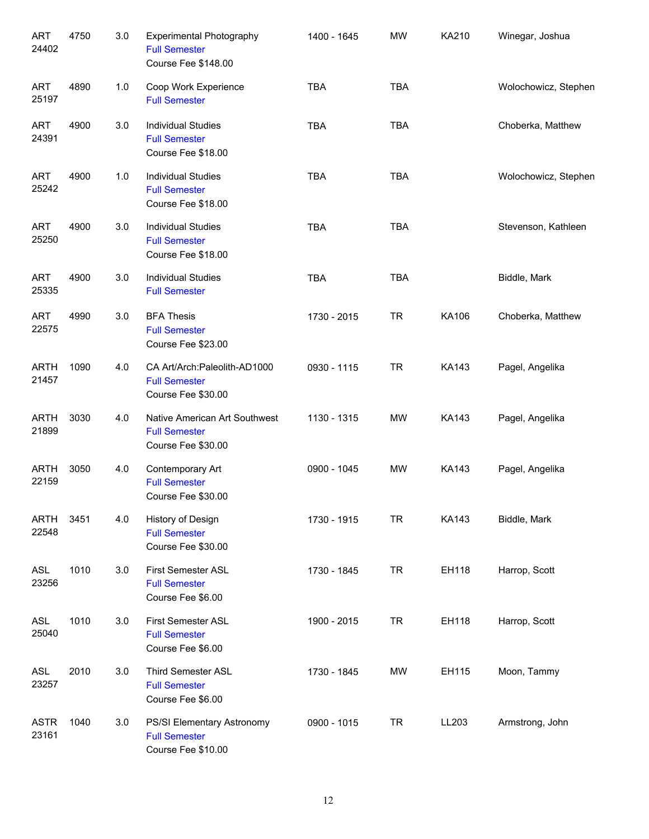| <b>ART</b><br>24402  | 4750 | 3.0 | <b>Experimental Photography</b><br><b>Full Semester</b><br>Course Fee \$148.00 | 1400 - 1645 | <b>MW</b>  | KA210        | Winegar, Joshua      |
|----------------------|------|-----|--------------------------------------------------------------------------------|-------------|------------|--------------|----------------------|
| <b>ART</b><br>25197  | 4890 | 1.0 | Coop Work Experience<br><b>Full Semester</b>                                   | <b>TBA</b>  | <b>TBA</b> |              | Wolochowicz, Stephen |
| <b>ART</b><br>24391  | 4900 | 3.0 | <b>Individual Studies</b><br><b>Full Semester</b><br>Course Fee \$18.00        | <b>TBA</b>  | <b>TBA</b> |              | Choberka, Matthew    |
| <b>ART</b><br>25242  | 4900 | 1.0 | <b>Individual Studies</b><br><b>Full Semester</b><br>Course Fee \$18.00        | <b>TBA</b>  | <b>TBA</b> |              | Wolochowicz, Stephen |
| <b>ART</b><br>25250  | 4900 | 3.0 | <b>Individual Studies</b><br><b>Full Semester</b><br>Course Fee \$18.00        | <b>TBA</b>  | <b>TBA</b> |              | Stevenson, Kathleen  |
| <b>ART</b><br>25335  | 4900 | 3.0 | <b>Individual Studies</b><br><b>Full Semester</b>                              | <b>TBA</b>  | <b>TBA</b> |              | Biddle, Mark         |
| <b>ART</b><br>22575  | 4990 | 3.0 | <b>BFA Thesis</b><br><b>Full Semester</b><br>Course Fee \$23.00                | 1730 - 2015 | <b>TR</b>  | KA106        | Choberka, Matthew    |
| <b>ARTH</b><br>21457 | 1090 | 4.0 | CA Art/Arch:Paleolith-AD1000<br><b>Full Semester</b><br>Course Fee \$30.00     | 0930 - 1115 | <b>TR</b>  | <b>KA143</b> | Pagel, Angelika      |
| <b>ARTH</b><br>21899 | 3030 | 4.0 | Native American Art Southwest<br><b>Full Semester</b><br>Course Fee \$30.00    | 1130 - 1315 | MW         | <b>KA143</b> | Pagel, Angelika      |
| <b>ARTH</b><br>22159 | 3050 | 4.0 | Contemporary Art<br><b>Full Semester</b><br>Course Fee \$30.00                 | 0900 - 1045 | <b>MW</b>  | <b>KA143</b> | Pagel, Angelika      |
| <b>ARTH</b><br>22548 | 3451 | 4.0 | History of Design<br><b>Full Semester</b><br>Course Fee \$30.00                | 1730 - 1915 | <b>TR</b>  | KA143        | Biddle, Mark         |
| ASL<br>23256         | 1010 | 3.0 | <b>First Semester ASL</b><br><b>Full Semester</b><br>Course Fee \$6.00         | 1730 - 1845 | <b>TR</b>  | EH118        | Harrop, Scott        |
| ASL<br>25040         | 1010 | 3.0 | First Semester ASL<br><b>Full Semester</b><br>Course Fee \$6.00                | 1900 - 2015 | <b>TR</b>  | EH118        | Harrop, Scott        |
| ASL<br>23257         | 2010 | 3.0 | Third Semester ASL<br><b>Full Semester</b><br>Course Fee \$6.00                | 1730 - 1845 | MW         | EH115        | Moon, Tammy          |
| <b>ASTR</b><br>23161 | 1040 | 3.0 | PS/SI Elementary Astronomy<br><b>Full Semester</b><br>Course Fee \$10.00       | 0900 - 1015 | <b>TR</b>  | LL203        | Armstrong, John      |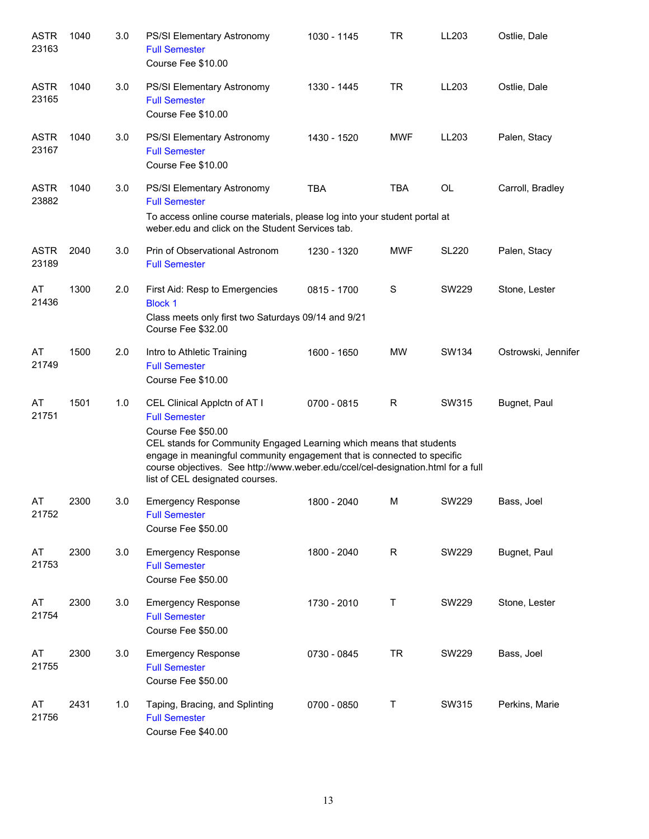| <b>ASTR</b><br>23163 | 1040 | 3.0 | PS/SI Elementary Astronomy<br><b>Full Semester</b><br>Course Fee \$10.00                                                                                                                                                                                                                                                                            | 1030 - 1145 | TR         | LL203        | Ostlie, Dale        |
|----------------------|------|-----|-----------------------------------------------------------------------------------------------------------------------------------------------------------------------------------------------------------------------------------------------------------------------------------------------------------------------------------------------------|-------------|------------|--------------|---------------------|
| <b>ASTR</b><br>23165 | 1040 | 3.0 | <b>PS/SI Elementary Astronomy</b><br><b>Full Semester</b><br>Course Fee \$10.00                                                                                                                                                                                                                                                                     | 1330 - 1445 | <b>TR</b>  | LL203        | Ostlie, Dale        |
| <b>ASTR</b><br>23167 | 1040 | 3.0 | <b>PS/SI Elementary Astronomy</b><br><b>Full Semester</b><br>Course Fee \$10.00                                                                                                                                                                                                                                                                     | 1430 - 1520 | <b>MWF</b> | LL203        | Palen, Stacy        |
| <b>ASTR</b><br>23882 | 1040 | 3.0 | <b>PS/SI Elementary Astronomy</b><br><b>Full Semester</b><br>To access online course materials, please log into your student portal at<br>weber.edu and click on the Student Services tab.                                                                                                                                                          | <b>TBA</b>  | <b>TBA</b> | <b>OL</b>    | Carroll, Bradley    |
| <b>ASTR</b><br>23189 | 2040 | 3.0 | Prin of Observational Astronom<br><b>Full Semester</b>                                                                                                                                                                                                                                                                                              | 1230 - 1320 | MWF        | <b>SL220</b> | Palen, Stacy        |
| AT<br>21436          | 1300 | 2.0 | First Aid: Resp to Emergencies<br><b>Block 1</b><br>Class meets only first two Saturdays 09/14 and 9/21<br>Course Fee \$32.00                                                                                                                                                                                                                       | 0815 - 1700 | S          | SW229        | Stone, Lester       |
| AT<br>21749          | 1500 | 2.0 | Intro to Athletic Training<br><b>Full Semester</b><br>Course Fee \$10.00                                                                                                                                                                                                                                                                            | 1600 - 1650 | <b>MW</b>  | SW134        | Ostrowski, Jennifer |
| AT<br>21751          | 1501 | 1.0 | CEL Clinical Applctn of AT I<br><b>Full Semester</b><br>Course Fee \$50.00<br>CEL stands for Community Engaged Learning which means that students<br>engage in meaningful community engagement that is connected to specific<br>course objectives. See http://www.weber.edu/ccel/cel-designation.html for a full<br>list of CEL designated courses. | 0700 - 0815 | R          | SW315        | Bugnet, Paul        |
| AT<br>21752          | 2300 | 3.0 | <b>Emergency Response</b><br><b>Full Semester</b><br>Course Fee \$50.00                                                                                                                                                                                                                                                                             | 1800 - 2040 | M          | SW229        | Bass, Joel          |
| AT<br>21753          | 2300 | 3.0 | <b>Emergency Response</b><br><b>Full Semester</b><br>Course Fee \$50.00                                                                                                                                                                                                                                                                             | 1800 - 2040 | R          | SW229        | Bugnet, Paul        |
| AT<br>21754          | 2300 | 3.0 | <b>Emergency Response</b><br><b>Full Semester</b><br>Course Fee \$50.00                                                                                                                                                                                                                                                                             | 1730 - 2010 | T          | SW229        | Stone, Lester       |
| AT<br>21755          | 2300 | 3.0 | <b>Emergency Response</b><br><b>Full Semester</b><br>Course Fee \$50.00                                                                                                                                                                                                                                                                             | 0730 - 0845 | <b>TR</b>  | SW229        | Bass, Joel          |
| AT<br>21756          | 2431 | 1.0 | Taping, Bracing, and Splinting<br><b>Full Semester</b><br>Course Fee \$40.00                                                                                                                                                                                                                                                                        | 0700 - 0850 | T          | SW315        | Perkins, Marie      |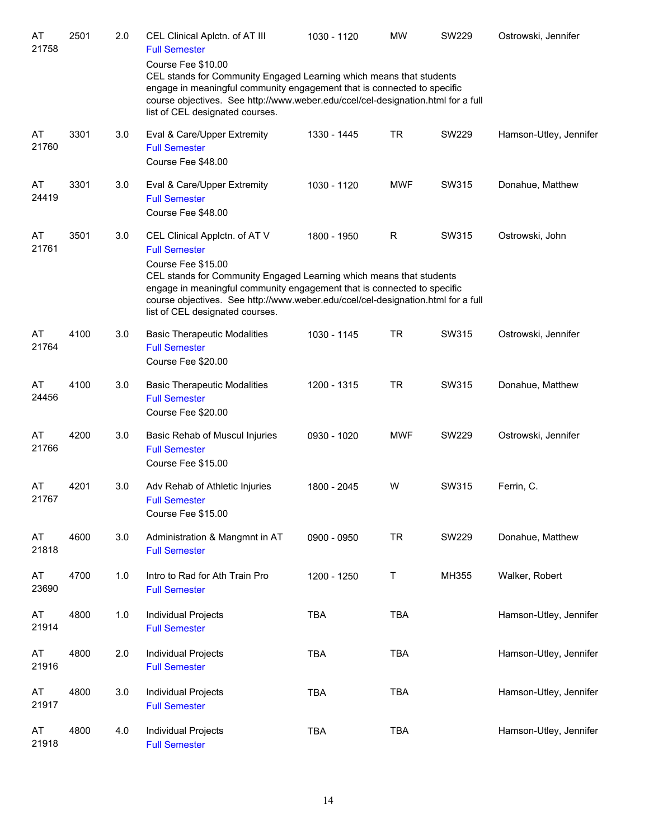| AT<br>21758 | 2501 | 2.0 | CEL Clinical Aplctn. of AT III<br><b>Full Semester</b><br>Course Fee \$10.00<br>CEL stands for Community Engaged Learning which means that students<br>engage in meaningful community engagement that is connected to specific<br>course objectives. See http://www.weber.edu/ccel/cel-designation.html for a full<br>list of CEL designated courses. | 1030 - 1120 | <b>MW</b>  | <b>SW229</b> | Ostrowski, Jennifer    |
|-------------|------|-----|-------------------------------------------------------------------------------------------------------------------------------------------------------------------------------------------------------------------------------------------------------------------------------------------------------------------------------------------------------|-------------|------------|--------------|------------------------|
| AT<br>21760 | 3301 | 3.0 | Eval & Care/Upper Extremity<br><b>Full Semester</b><br>Course Fee \$48.00                                                                                                                                                                                                                                                                             | 1330 - 1445 | <b>TR</b>  | SW229        | Hamson-Utley, Jennifer |
| AT<br>24419 | 3301 | 3.0 | Eval & Care/Upper Extremity<br><b>Full Semester</b><br>Course Fee \$48.00                                                                                                                                                                                                                                                                             | 1030 - 1120 | <b>MWF</b> | SW315        | Donahue, Matthew       |
| AT<br>21761 | 3501 | 3.0 | CEL Clinical Applctn. of AT V<br><b>Full Semester</b><br>Course Fee \$15.00<br>CEL stands for Community Engaged Learning which means that students<br>engage in meaningful community engagement that is connected to specific<br>course objectives. See http://www.weber.edu/ccel/cel-designation.html for a full<br>list of CEL designated courses.  | 1800 - 1950 | R          | SW315        | Ostrowski, John        |
| AT<br>21764 | 4100 | 3.0 | <b>Basic Therapeutic Modalities</b><br><b>Full Semester</b><br>Course Fee \$20.00                                                                                                                                                                                                                                                                     | 1030 - 1145 | <b>TR</b>  | SW315        | Ostrowski, Jennifer    |
| AT<br>24456 | 4100 | 3.0 | <b>Basic Therapeutic Modalities</b><br><b>Full Semester</b><br>Course Fee \$20.00                                                                                                                                                                                                                                                                     | 1200 - 1315 | <b>TR</b>  | SW315        | Donahue, Matthew       |
| AT<br>21766 | 4200 | 3.0 | Basic Rehab of Muscul Injuries<br><b>Full Semester</b><br>Course Fee \$15.00                                                                                                                                                                                                                                                                          | 0930 - 1020 | <b>MWF</b> | SW229        | Ostrowski, Jennifer    |
| AT<br>21767 | 4201 | 3.0 | Adv Rehab of Athletic Injuries<br><b>Full Semester</b><br>Course Fee \$15.00                                                                                                                                                                                                                                                                          | 1800 - 2045 | W          | SW315        | Ferrin, C.             |
| AT<br>21818 | 4600 | 3.0 | Administration & Mangmnt in AT<br><b>Full Semester</b>                                                                                                                                                                                                                                                                                                | 0900 - 0950 | <b>TR</b>  | <b>SW229</b> | Donahue, Matthew       |
| AT<br>23690 | 4700 | 1.0 | Intro to Rad for Ath Train Pro<br><b>Full Semester</b>                                                                                                                                                                                                                                                                                                | 1200 - 1250 | T          | MH355        | Walker, Robert         |
| AT<br>21914 | 4800 | 1.0 | Individual Projects<br><b>Full Semester</b>                                                                                                                                                                                                                                                                                                           | <b>TBA</b>  | <b>TBA</b> |              | Hamson-Utley, Jennifer |
| AT<br>21916 | 4800 | 2.0 | Individual Projects<br><b>Full Semester</b>                                                                                                                                                                                                                                                                                                           | <b>TBA</b>  | <b>TBA</b> |              | Hamson-Utley, Jennifer |
| AT<br>21917 | 4800 | 3.0 | Individual Projects<br><b>Full Semester</b>                                                                                                                                                                                                                                                                                                           | <b>TBA</b>  | <b>TBA</b> |              | Hamson-Utley, Jennifer |
| AT<br>21918 | 4800 | 4.0 | Individual Projects<br><b>Full Semester</b>                                                                                                                                                                                                                                                                                                           | TBA         | <b>TBA</b> |              | Hamson-Utley, Jennifer |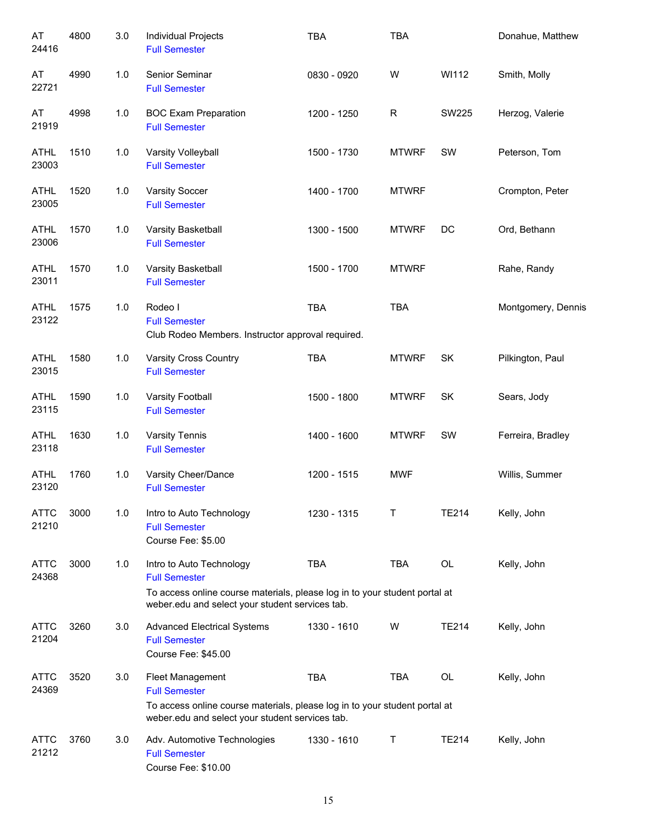| AT<br>24416          | 4800 | 3.0   | Individual Projects<br><b>Full Semester</b>                                                                                                                                       | <b>TBA</b>  | <b>TBA</b>   |              | Donahue, Matthew   |
|----------------------|------|-------|-----------------------------------------------------------------------------------------------------------------------------------------------------------------------------------|-------------|--------------|--------------|--------------------|
| AT<br>22721          | 4990 | 1.0   | Senior Seminar<br><b>Full Semester</b>                                                                                                                                            | 0830 - 0920 | W            | WI112        | Smith, Molly       |
| AT<br>21919          | 4998 | 1.0   | <b>BOC Exam Preparation</b><br><b>Full Semester</b>                                                                                                                               | 1200 - 1250 | $\mathsf{R}$ | <b>SW225</b> | Herzog, Valerie    |
| <b>ATHL</b><br>23003 | 1510 | $1.0$ | Varsity Volleyball<br><b>Full Semester</b>                                                                                                                                        | 1500 - 1730 | <b>MTWRF</b> | SW           | Peterson, Tom      |
| <b>ATHL</b><br>23005 | 1520 | $1.0$ | Varsity Soccer<br><b>Full Semester</b>                                                                                                                                            | 1400 - 1700 | <b>MTWRF</b> |              | Crompton, Peter    |
| <b>ATHL</b><br>23006 | 1570 | 1.0   | Varsity Basketball<br><b>Full Semester</b>                                                                                                                                        | 1300 - 1500 | <b>MTWRF</b> | DC           | Ord, Bethann       |
| <b>ATHL</b><br>23011 | 1570 | 1.0   | Varsity Basketball<br><b>Full Semester</b>                                                                                                                                        | 1500 - 1700 | <b>MTWRF</b> |              | Rahe, Randy        |
| <b>ATHL</b><br>23122 | 1575 | 1.0   | Rodeo I<br><b>Full Semester</b><br>Club Rodeo Members. Instructor approval required.                                                                                              | <b>TBA</b>  | <b>TBA</b>   |              | Montgomery, Dennis |
| <b>ATHL</b><br>23015 | 1580 | 1.0   | Varsity Cross Country<br><b>Full Semester</b>                                                                                                                                     | <b>TBA</b>  | <b>MTWRF</b> | SK           | Pilkington, Paul   |
| <b>ATHL</b><br>23115 | 1590 | 1.0   | Varsity Football<br><b>Full Semester</b>                                                                                                                                          | 1500 - 1800 | <b>MTWRF</b> | SK           | Sears, Jody        |
| <b>ATHL</b><br>23118 | 1630 | $1.0$ | Varsity Tennis<br><b>Full Semester</b>                                                                                                                                            | 1400 - 1600 | <b>MTWRF</b> | SW           | Ferreira, Bradley  |
| <b>ATHL</b><br>23120 | 1760 | 1.0   | Varsity Cheer/Dance<br><b>Full Semester</b>                                                                                                                                       | 1200 - 1515 | <b>MWF</b>   |              | Willis, Summer     |
| <b>ATTC</b><br>21210 | 3000 | 1.0   | Intro to Auto Technology<br><b>Full Semester</b><br>Course Fee: \$5.00                                                                                                            | 1230 - 1315 | $\mathsf{T}$ | <b>TE214</b> | Kelly, John        |
| <b>ATTC</b><br>24368 | 3000 | 1.0   | Intro to Auto Technology<br><b>Full Semester</b><br>To access online course materials, please log in to your student portal at<br>weber.edu and select your student services tab. | <b>TBA</b>  | TBA          | OL           | Kelly, John        |
| <b>ATTC</b><br>21204 | 3260 | 3.0   | <b>Advanced Electrical Systems</b><br><b>Full Semester</b><br>Course Fee: \$45.00                                                                                                 | 1330 - 1610 | W            | <b>TE214</b> | Kelly, John        |
| <b>ATTC</b><br>24369 | 3520 | 3.0   | Fleet Management<br><b>Full Semester</b><br>To access online course materials, please log in to your student portal at<br>weber.edu and select your student services tab.         | <b>TBA</b>  | <b>TBA</b>   | OL           | Kelly, John        |
| <b>ATTC</b><br>21212 | 3760 | 3.0   | Adv. Automotive Technologies<br><b>Full Semester</b><br>Course Fee: \$10.00                                                                                                       | 1330 - 1610 | Τ            | <b>TE214</b> | Kelly, John        |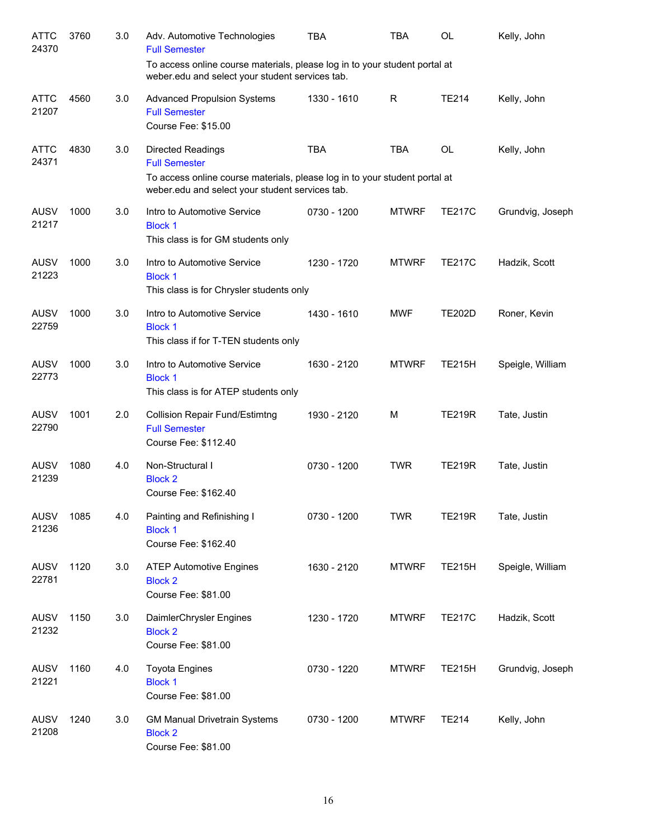| <b>ATTC</b><br>24370 | 3760 | 3.0 | Adv. Automotive Technologies<br><b>Full Semester</b>                                                                                                                              | TBA         | TBA          | <b>OL</b>     | Kelly, John      |
|----------------------|------|-----|-----------------------------------------------------------------------------------------------------------------------------------------------------------------------------------|-------------|--------------|---------------|------------------|
|                      |      |     | To access online course materials, please log in to your student portal at<br>weber.edu and select your student services tab.                                                     |             |              |               |                  |
| <b>ATTC</b><br>21207 | 4560 | 3.0 | <b>Advanced Propulsion Systems</b><br><b>Full Semester</b><br>Course Fee: \$15.00                                                                                                 | 1330 - 1610 | R            | <b>TE214</b>  | Kelly, John      |
| <b>ATTC</b><br>24371 | 4830 | 3.0 | <b>Directed Readings</b><br><b>Full Semester</b><br>To access online course materials, please log in to your student portal at<br>weber.edu and select your student services tab. | <b>TBA</b>  | <b>TBA</b>   | <b>OL</b>     | Kelly, John      |
| <b>AUSV</b><br>21217 | 1000 | 3.0 | Intro to Automotive Service<br><b>Block 1</b><br>This class is for GM students only                                                                                               | 0730 - 1200 | <b>MTWRF</b> | <b>TE217C</b> | Grundvig, Joseph |
| <b>AUSV</b><br>21223 | 1000 | 3.0 | Intro to Automotive Service<br><b>Block 1</b><br>This class is for Chrysler students only                                                                                         | 1230 - 1720 | <b>MTWRF</b> | <b>TE217C</b> | Hadzik, Scott    |
| <b>AUSV</b><br>22759 | 1000 | 3.0 | Intro to Automotive Service<br><b>Block 1</b><br>This class if for T-TEN students only                                                                                            | 1430 - 1610 | <b>MWF</b>   | <b>TE202D</b> | Roner, Kevin     |
| <b>AUSV</b><br>22773 | 1000 | 3.0 | Intro to Automotive Service<br><b>Block 1</b><br>This class is for ATEP students only                                                                                             | 1630 - 2120 | <b>MTWRF</b> | <b>TE215H</b> | Speigle, William |
| <b>AUSV</b><br>22790 | 1001 | 2.0 | <b>Collision Repair Fund/Estimtng</b><br><b>Full Semester</b><br>Course Fee: \$112.40                                                                                             | 1930 - 2120 | M            | <b>TE219R</b> | Tate, Justin     |
| <b>AUSV</b><br>21239 | 1080 | 4.0 | Non-Structural I<br><b>Block 2</b><br>Course Fee: \$162.40                                                                                                                        | 0730 - 1200 | <b>TWR</b>   | <b>TE219R</b> | Tate, Justin     |
| <b>AUSV</b><br>21236 | 1085 | 4.0 | Painting and Refinishing I<br><b>Block 1</b><br>Course Fee: \$162.40                                                                                                              | 0730 - 1200 | <b>TWR</b>   | <b>TE219R</b> | Tate, Justin     |
| <b>AUSV</b><br>22781 | 1120 | 3.0 | <b>ATEP Automotive Engines</b><br><b>Block 2</b><br>Course Fee: \$81.00                                                                                                           | 1630 - 2120 | <b>MTWRF</b> | <b>TE215H</b> | Speigle, William |
| <b>AUSV</b><br>21232 | 1150 | 3.0 | DaimlerChrysler Engines<br><b>Block 2</b><br>Course Fee: \$81.00                                                                                                                  | 1230 - 1720 | <b>MTWRF</b> | <b>TE217C</b> | Hadzik, Scott    |
| <b>AUSV</b><br>21221 | 1160 | 4.0 | <b>Toyota Engines</b><br><b>Block 1</b><br>Course Fee: \$81.00                                                                                                                    | 0730 - 1220 | <b>MTWRF</b> | <b>TE215H</b> | Grundvig, Joseph |
| <b>AUSV</b><br>21208 | 1240 | 3.0 | <b>GM Manual Drivetrain Systems</b><br><b>Block 2</b><br>Course Fee: \$81.00                                                                                                      | 0730 - 1200 | <b>MTWRF</b> | <b>TE214</b>  | Kelly, John      |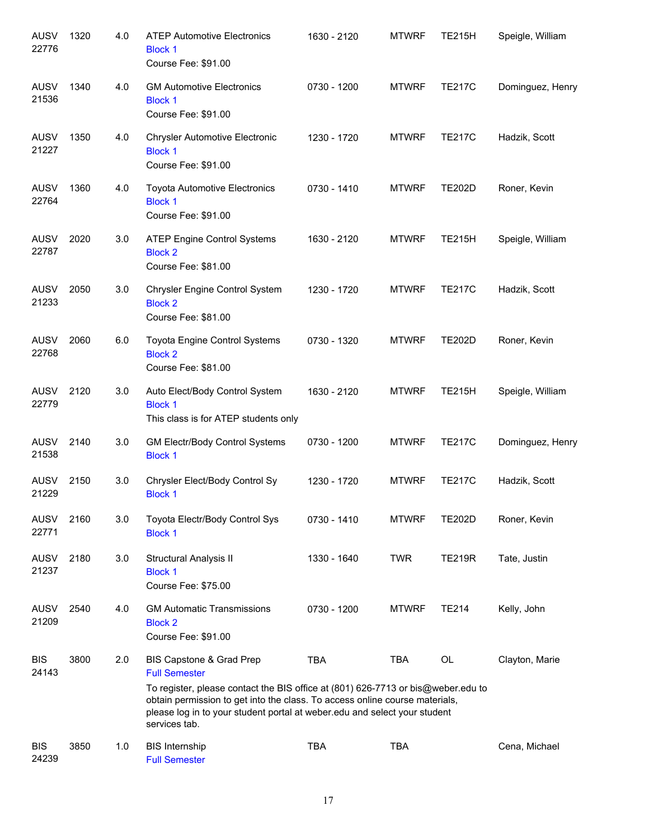| <b>AUSV</b><br>22776 | 1320 | 4.0 | <b>ATEP Automotive Electronics</b><br><b>Block 1</b><br>Course Fee: \$91.00                                                                                                                                                                                                                                       | 1630 - 2120 | <b>MTWRF</b> | <b>TE215H</b> | Speigle, William |
|----------------------|------|-----|-------------------------------------------------------------------------------------------------------------------------------------------------------------------------------------------------------------------------------------------------------------------------------------------------------------------|-------------|--------------|---------------|------------------|
| <b>AUSV</b><br>21536 | 1340 | 4.0 | <b>GM Automotive Electronics</b><br><b>Block 1</b><br>Course Fee: \$91.00                                                                                                                                                                                                                                         | 0730 - 1200 | <b>MTWRF</b> | <b>TE217C</b> | Dominguez, Henry |
| AUSV<br>21227        | 1350 | 4.0 | <b>Chrysler Automotive Electronic</b><br><b>Block 1</b><br>Course Fee: \$91.00                                                                                                                                                                                                                                    | 1230 - 1720 | <b>MTWRF</b> | <b>TE217C</b> | Hadzik, Scott    |
| <b>AUSV</b><br>22764 | 1360 | 4.0 | <b>Toyota Automotive Electronics</b><br><b>Block 1</b><br>Course Fee: \$91.00                                                                                                                                                                                                                                     | 0730 - 1410 | <b>MTWRF</b> | <b>TE202D</b> | Roner, Kevin     |
| AUSV<br>22787        | 2020 | 3.0 | <b>ATEP Engine Control Systems</b><br><b>Block 2</b><br>Course Fee: \$81.00                                                                                                                                                                                                                                       | 1630 - 2120 | <b>MTWRF</b> | <b>TE215H</b> | Speigle, William |
| AUSV<br>21233        | 2050 | 3.0 | Chrysler Engine Control System<br><b>Block 2</b><br>Course Fee: \$81.00                                                                                                                                                                                                                                           | 1230 - 1720 | <b>MTWRF</b> | <b>TE217C</b> | Hadzik, Scott    |
| AUSV<br>22768        | 2060 | 6.0 | Toyota Engine Control Systems<br><b>Block 2</b><br>Course Fee: \$81.00                                                                                                                                                                                                                                            | 0730 - 1320 | <b>MTWRF</b> | <b>TE202D</b> | Roner, Kevin     |
| AUSV<br>22779        | 2120 | 3.0 | Auto Elect/Body Control System<br><b>Block 1</b><br>This class is for ATEP students only                                                                                                                                                                                                                          | 1630 - 2120 | <b>MTWRF</b> | <b>TE215H</b> | Speigle, William |
| AUSV<br>21538        | 2140 | 3.0 | GM Electr/Body Control Systems<br><b>Block 1</b>                                                                                                                                                                                                                                                                  | 0730 - 1200 | <b>MTWRF</b> | <b>TE217C</b> | Dominguez, Henry |
| <b>AUSV</b><br>21229 | 2150 | 3.0 | Chrysler Elect/Body Control Sy<br><b>Block 1</b>                                                                                                                                                                                                                                                                  | 1230 - 1720 | <b>MTWRF</b> | <b>TE217C</b> | Hadzik, Scott    |
| <b>AUSV</b><br>22771 | 2160 | 3.0 | Toyota Electr/Body Control Sys<br><b>Block 1</b>                                                                                                                                                                                                                                                                  | 0730 - 1410 | <b>MTWRF</b> | <b>TE202D</b> | Roner, Kevin     |
| <b>AUSV</b><br>21237 | 2180 | 3.0 | Structural Analysis II<br><b>Block 1</b><br>Course Fee: \$75.00                                                                                                                                                                                                                                                   | 1330 - 1640 | <b>TWR</b>   | <b>TE219R</b> | Tate, Justin     |
| <b>AUSV</b><br>21209 | 2540 | 4.0 | <b>GM Automatic Transmissions</b><br><b>Block 2</b><br>Course Fee: \$91.00                                                                                                                                                                                                                                        | 0730 - 1200 | <b>MTWRF</b> | <b>TE214</b>  | Kelly, John      |
| <b>BIS</b><br>24143  | 3800 | 2.0 | BIS Capstone & Grad Prep<br><b>Full Semester</b><br>To register, please contact the BIS office at (801) 626-7713 or bis@weber.edu to<br>obtain permission to get into the class. To access online course materials,<br>please log in to your student portal at weber.edu and select your student<br>services tab. | <b>TBA</b>  | <b>TBA</b>   | OL            | Clayton, Marie   |
| <b>BIS</b><br>24239  | 3850 | 1.0 | <b>BIS Internship</b><br><b>Full Semester</b>                                                                                                                                                                                                                                                                     | <b>TBA</b>  | <b>TBA</b>   |               | Cena, Michael    |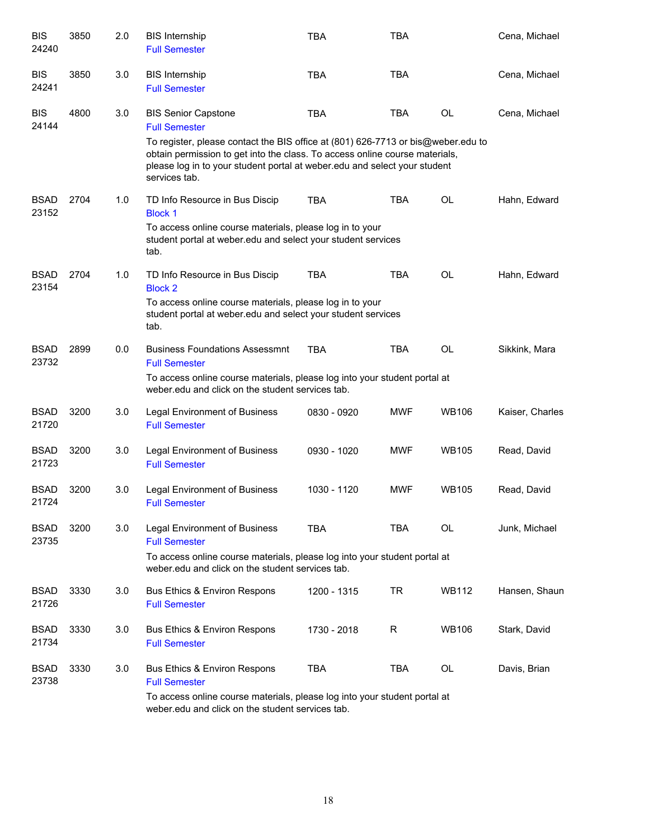| <b>BIS</b><br>24240  | 3850 | 2.0 | <b>BIS Internship</b><br><b>Full Semester</b>                                                                                                                                                                                                                 | <b>TBA</b>  | <b>TBA</b> |              | Cena, Michael   |
|----------------------|------|-----|---------------------------------------------------------------------------------------------------------------------------------------------------------------------------------------------------------------------------------------------------------------|-------------|------------|--------------|-----------------|
| <b>BIS</b><br>24241  | 3850 | 3.0 | <b>BIS Internship</b><br><b>Full Semester</b>                                                                                                                                                                                                                 | <b>TBA</b>  | <b>TBA</b> |              | Cena, Michael   |
| <b>BIS</b><br>24144  | 4800 | 3.0 | <b>BIS Senior Capstone</b><br><b>Full Semester</b>                                                                                                                                                                                                            | <b>TBA</b>  | <b>TBA</b> | OL           | Cena, Michael   |
|                      |      |     | To register, please contact the BIS office at (801) 626-7713 or bis@weber.edu to<br>obtain permission to get into the class. To access online course materials,<br>please log in to your student portal at weber.edu and select your student<br>services tab. |             |            |              |                 |
| <b>BSAD</b><br>23152 | 2704 | 1.0 | TD Info Resource in Bus Discip<br><b>Block 1</b>                                                                                                                                                                                                              | <b>TBA</b>  | <b>TBA</b> | <b>OL</b>    | Hahn, Edward    |
|                      |      |     | To access online course materials, please log in to your<br>student portal at weber edu and select your student services<br>tab.                                                                                                                              |             |            |              |                 |
| <b>BSAD</b><br>23154 | 2704 | 1.0 | TD Info Resource in Bus Discip<br><b>Block 2</b>                                                                                                                                                                                                              | <b>TBA</b>  | <b>TBA</b> | <b>OL</b>    | Hahn, Edward    |
|                      |      |     | To access online course materials, please log in to your<br>student portal at weber edu and select your student services<br>tab.                                                                                                                              |             |            |              |                 |
| <b>BSAD</b><br>23732 | 2899 | 0.0 | <b>Business Foundations Assessmnt</b><br><b>Full Semester</b>                                                                                                                                                                                                 | <b>TBA</b>  | <b>TBA</b> | <b>OL</b>    | Sikkink, Mara   |
|                      |      |     | To access online course materials, please log into your student portal at<br>weber, edu and click on the student services tab.                                                                                                                                |             |            |              |                 |
| <b>BSAD</b><br>21720 | 3200 | 3.0 | Legal Environment of Business<br><b>Full Semester</b>                                                                                                                                                                                                         | 0830 - 0920 | <b>MWF</b> | <b>WB106</b> | Kaiser, Charles |
| <b>BSAD</b><br>21723 | 3200 | 3.0 | <b>Legal Environment of Business</b><br><b>Full Semester</b>                                                                                                                                                                                                  | 0930 - 1020 | <b>MWF</b> | <b>WB105</b> | Read, David     |
| <b>BSAD</b><br>21724 | 3200 | 3.0 | <b>Legal Environment of Business</b><br><b>Full Semester</b>                                                                                                                                                                                                  | 1030 - 1120 | <b>MWF</b> | <b>WB105</b> | Read, David     |
| <b>BSAD</b><br>23735 | 3200 | 3.0 | Legal Environment of Business<br><b>Full Semester</b>                                                                                                                                                                                                         | <b>TBA</b>  | <b>TBA</b> | OL.          | Junk, Michael   |
|                      |      |     | To access online course materials, please log into your student portal at<br>weber edu and click on the student services tab.                                                                                                                                 |             |            |              |                 |
| <b>BSAD</b><br>21726 | 3330 | 3.0 | <b>Bus Ethics &amp; Environ Respons</b><br><b>Full Semester</b>                                                                                                                                                                                               | 1200 - 1315 | <b>TR</b>  | <b>WB112</b> | Hansen, Shaun   |
| <b>BSAD</b><br>21734 | 3330 | 3.0 | Bus Ethics & Environ Respons<br><b>Full Semester</b>                                                                                                                                                                                                          | 1730 - 2018 | R          | <b>WB106</b> | Stark, David    |
| <b>BSAD</b><br>23738 | 3330 | 3.0 | Bus Ethics & Environ Respons<br><b>Full Semester</b>                                                                                                                                                                                                          | <b>TBA</b>  | <b>TBA</b> | OL           | Davis, Brian    |
|                      |      |     | To access online course materials, please log into your student portal at<br>weber.edu and click on the student services tab.                                                                                                                                 |             |            |              |                 |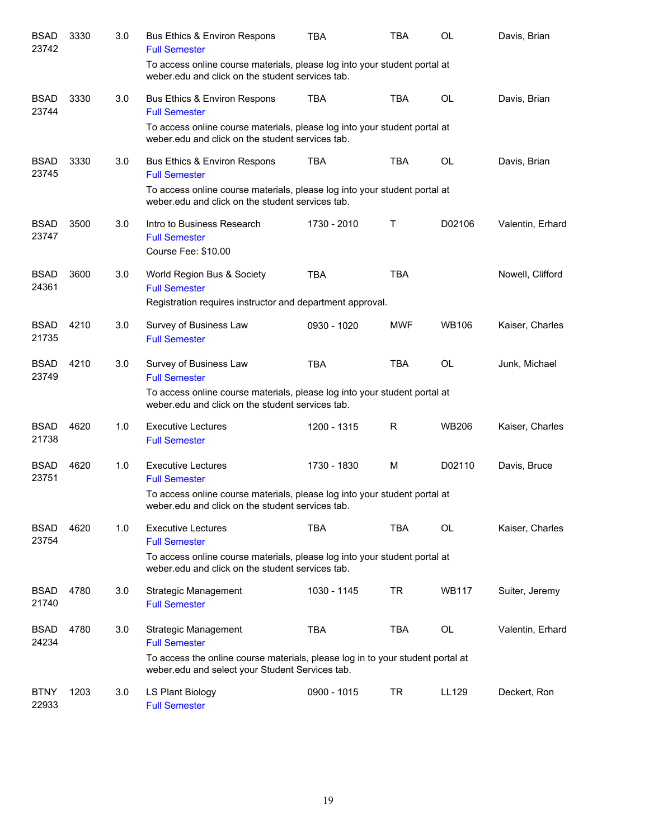| <b>BSAD</b><br>23742 | 3330 | 3.0 | Bus Ethics & Environ Respons<br><b>Full Semester</b>                                                                              | TBA         | <b>TBA</b> | <b>OL</b>    | Davis, Brian     |
|----------------------|------|-----|-----------------------------------------------------------------------------------------------------------------------------------|-------------|------------|--------------|------------------|
|                      |      |     | To access online course materials, please log into your student portal at<br>weber.edu and click on the student services tab.     |             |            |              |                  |
| <b>BSAD</b><br>23744 | 3330 | 3.0 | <b>Bus Ethics &amp; Environ Respons</b><br><b>Full Semester</b>                                                                   | <b>TBA</b>  | <b>TBA</b> | <b>OL</b>    | Davis, Brian     |
|                      |      |     | To access online course materials, please log into your student portal at<br>weber.edu and click on the student services tab.     |             |            |              |                  |
| <b>BSAD</b><br>23745 | 3330 | 3.0 | Bus Ethics & Environ Respons<br><b>Full Semester</b>                                                                              | <b>TBA</b>  | <b>TBA</b> | <b>OL</b>    | Davis, Brian     |
|                      |      |     | To access online course materials, please log into your student portal at<br>weber.edu and click on the student services tab.     |             |            |              |                  |
| <b>BSAD</b><br>23747 | 3500 | 3.0 | Intro to Business Research<br><b>Full Semester</b><br>Course Fee: \$10.00                                                         | 1730 - 2010 | т          | D02106       | Valentin, Erhard |
| <b>BSAD</b><br>24361 | 3600 | 3.0 | World Region Bus & Society<br><b>Full Semester</b><br>Registration requires instructor and department approval.                   | <b>TBA</b>  | <b>TBA</b> |              | Nowell, Clifford |
| <b>BSAD</b>          | 4210 | 3.0 | Survey of Business Law                                                                                                            | 0930 - 1020 | <b>MWF</b> | <b>WB106</b> | Kaiser, Charles  |
| 21735                |      |     | <b>Full Semester</b>                                                                                                              |             |            |              |                  |
| <b>BSAD</b><br>23749 | 4210 | 3.0 | Survey of Business Law<br><b>Full Semester</b>                                                                                    | <b>TBA</b>  | <b>TBA</b> | <b>OL</b>    | Junk, Michael    |
|                      |      |     | To access online course materials, please log into your student portal at<br>weber.edu and click on the student services tab.     |             |            |              |                  |
| <b>BSAD</b><br>21738 | 4620 | 1.0 | <b>Executive Lectures</b><br><b>Full Semester</b>                                                                                 | 1200 - 1315 | R          | <b>WB206</b> | Kaiser, Charles  |
| <b>BSAD</b><br>23751 | 4620 | 1.0 | <b>Executive Lectures</b><br><b>Full Semester</b>                                                                                 | 1730 - 1830 | M          | D02110       | Davis, Bruce     |
|                      |      |     | To access online course materials, please log into your student portal at<br>weber.edu and click on the student services tab.     |             |            |              |                  |
| <b>BSAD</b><br>23754 | 4620 | 1.0 | <b>Executive Lectures</b><br><b>Full Semester</b>                                                                                 | TBA         | <b>TBA</b> | OL           | Kaiser, Charles  |
|                      |      |     | To access online course materials, please log into your student portal at<br>weber.edu and click on the student services tab.     |             |            |              |                  |
| <b>BSAD</b><br>21740 | 4780 | 3.0 | <b>Strategic Management</b><br><b>Full Semester</b>                                                                               | 1030 - 1145 | TR         | <b>WB117</b> | Suiter, Jeremy   |
| <b>BSAD</b><br>24234 | 4780 | 3.0 | Strategic Management<br><b>Full Semester</b>                                                                                      | <b>TBA</b>  | <b>TBA</b> | OL           | Valentin, Erhard |
|                      |      |     | To access the online course materials, please log in to your student portal at<br>weber.edu and select your Student Services tab. |             |            |              |                  |
| <b>BTNY</b><br>22933 | 1203 | 3.0 | LS Plant Biology<br><b>Full Semester</b>                                                                                          | 0900 - 1015 | TR         | LL129        | Deckert, Ron     |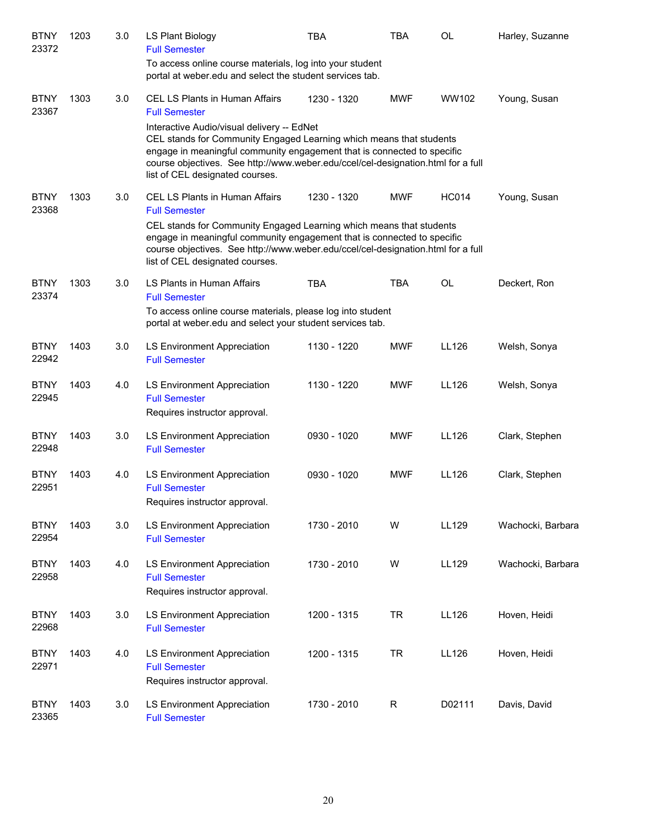| <b>BTNY</b><br>23372 | 1203 | 3.0 | LS Plant Biology<br><b>Full Semester</b>                                                                                                                                                                                                                                                                            | <b>TBA</b>  | <b>TBA</b> | <b>OL</b>    | Harley, Suzanne   |
|----------------------|------|-----|---------------------------------------------------------------------------------------------------------------------------------------------------------------------------------------------------------------------------------------------------------------------------------------------------------------------|-------------|------------|--------------|-------------------|
|                      |      |     | To access online course materials, log into your student<br>portal at weber.edu and select the student services tab.                                                                                                                                                                                                |             |            |              |                   |
| <b>BTNY</b><br>23367 | 1303 | 3.0 | CEL LS Plants in Human Affairs<br><b>Full Semester</b>                                                                                                                                                                                                                                                              | 1230 - 1320 | <b>MWF</b> | WW102        | Young, Susan      |
|                      |      |     | Interactive Audio/visual delivery -- EdNet<br>CEL stands for Community Engaged Learning which means that students<br>engage in meaningful community engagement that is connected to specific<br>course objectives. See http://www.weber.edu/ccel/cel-designation.html for a full<br>list of CEL designated courses. |             |            |              |                   |
| <b>BTNY</b><br>23368 | 1303 | 3.0 | CEL LS Plants in Human Affairs<br><b>Full Semester</b>                                                                                                                                                                                                                                                              | 1230 - 1320 | <b>MWF</b> | <b>HC014</b> | Young, Susan      |
|                      |      |     | CEL stands for Community Engaged Learning which means that students<br>engage in meaningful community engagement that is connected to specific<br>course objectives. See http://www.weber.edu/ccel/cel-designation.html for a full<br>list of CEL designated courses.                                               |             |            |              |                   |
| <b>BTNY</b><br>23374 | 1303 | 3.0 | LS Plants in Human Affairs<br><b>Full Semester</b>                                                                                                                                                                                                                                                                  | <b>TBA</b>  | <b>TBA</b> | <b>OL</b>    | Deckert, Ron      |
|                      |      |     | To access online course materials, please log into student<br>portal at weber.edu and select your student services tab.                                                                                                                                                                                             |             |            |              |                   |
| <b>BTNY</b><br>22942 | 1403 | 3.0 | LS Environment Appreciation<br><b>Full Semester</b>                                                                                                                                                                                                                                                                 | 1130 - 1220 | <b>MWF</b> | LL126        | Welsh, Sonya      |
| <b>BTNY</b><br>22945 | 1403 | 4.0 | LS Environment Appreciation<br><b>Full Semester</b><br>Requires instructor approval.                                                                                                                                                                                                                                | 1130 - 1220 | <b>MWF</b> | LL126        | Welsh, Sonya      |
| <b>BTNY</b><br>22948 | 1403 | 3.0 | LS Environment Appreciation<br><b>Full Semester</b>                                                                                                                                                                                                                                                                 | 0930 - 1020 | <b>MWF</b> | LL126        | Clark, Stephen    |
| <b>BTNY</b><br>22951 | 1403 | 4.0 | LS Environment Appreciation<br><b>Full Semester</b><br>Requires instructor approval.                                                                                                                                                                                                                                | 0930 - 1020 | <b>MWF</b> | LL126        | Clark, Stephen    |
| <b>BTNY</b><br>22954 | 1403 | 3.0 | LS Environment Appreciation<br><b>Full Semester</b>                                                                                                                                                                                                                                                                 | 1730 - 2010 | W          | LL129        | Wachocki, Barbara |
| <b>BTNY</b><br>22958 | 1403 | 4.0 | LS Environment Appreciation<br><b>Full Semester</b><br>Requires instructor approval.                                                                                                                                                                                                                                | 1730 - 2010 | W          | LL129        | Wachocki, Barbara |
| <b>BTNY</b><br>22968 | 1403 | 3.0 | LS Environment Appreciation<br><b>Full Semester</b>                                                                                                                                                                                                                                                                 | 1200 - 1315 | <b>TR</b>  | LL126        | Hoven, Heidi      |
| <b>BTNY</b><br>22971 | 1403 | 4.0 | LS Environment Appreciation<br><b>Full Semester</b><br>Requires instructor approval.                                                                                                                                                                                                                                | 1200 - 1315 | <b>TR</b>  | LL126        | Hoven, Heidi      |
| <b>BTNY</b><br>23365 | 1403 | 3.0 | LS Environment Appreciation<br><b>Full Semester</b>                                                                                                                                                                                                                                                                 | 1730 - 2010 | R          | D02111       | Davis, David      |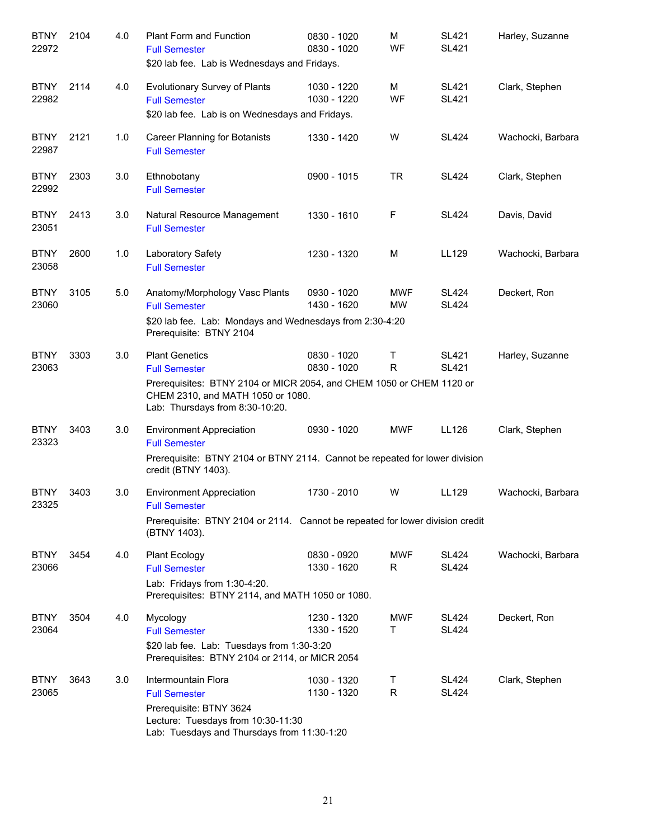| <b>BTNY</b><br>22972 | 2104 | 4.0 | Plant Form and Function<br><b>Full Semester</b><br>\$20 lab fee. Lab is Wednesdays and Fridays.                                                                                               | 0830 - 1020<br>0830 - 1020 | M<br><b>WF</b>          | <b>SL421</b><br><b>SL421</b> | Harley, Suzanne   |
|----------------------|------|-----|-----------------------------------------------------------------------------------------------------------------------------------------------------------------------------------------------|----------------------------|-------------------------|------------------------------|-------------------|
| <b>BTNY</b><br>22982 | 2114 | 4.0 | <b>Evolutionary Survey of Plants</b><br><b>Full Semester</b><br>\$20 lab fee. Lab is on Wednesdays and Fridays.                                                                               | 1030 - 1220<br>1030 - 1220 | M<br><b>WF</b>          | <b>SL421</b><br><b>SL421</b> | Clark, Stephen    |
| <b>BTNY</b><br>22987 | 2121 | 1.0 | <b>Career Planning for Botanists</b><br><b>Full Semester</b>                                                                                                                                  | 1330 - 1420                | W                       | <b>SL424</b>                 | Wachocki, Barbara |
| <b>BTNY</b><br>22992 | 2303 | 3.0 | Ethnobotany<br><b>Full Semester</b>                                                                                                                                                           | 0900 - 1015                | <b>TR</b>               | <b>SL424</b>                 | Clark, Stephen    |
| <b>BTNY</b><br>23051 | 2413 | 3.0 | Natural Resource Management<br><b>Full Semester</b>                                                                                                                                           | 1330 - 1610                | F                       | <b>SL424</b>                 | Davis, David      |
| <b>BTNY</b><br>23058 | 2600 | 1.0 | Laboratory Safety<br><b>Full Semester</b>                                                                                                                                                     | 1230 - 1320                | M                       | LL129                        | Wachocki, Barbara |
| <b>BTNY</b><br>23060 | 3105 | 5.0 | Anatomy/Morphology Vasc Plants<br><b>Full Semester</b><br>\$20 lab fee. Lab: Mondays and Wednesdays from 2:30-4:20<br>Prerequisite: BTNY 2104                                                 | 0930 - 1020<br>1430 - 1620 | <b>MWF</b><br><b>MW</b> | <b>SL424</b><br><b>SL424</b> | Deckert, Ron      |
| <b>BTNY</b><br>23063 | 3303 | 3.0 | <b>Plant Genetics</b><br><b>Full Semester</b><br>Prerequisites: BTNY 2104 or MICR 2054, and CHEM 1050 or CHEM 1120 or<br>CHEM 2310, and MATH 1050 or 1080.<br>Lab: Thursdays from 8:30-10:20. | 0830 - 1020<br>0830 - 1020 | Τ<br>R                  | <b>SL421</b><br><b>SL421</b> | Harley, Suzanne   |
| <b>BTNY</b><br>23323 | 3403 | 3.0 | <b>Environment Appreciation</b><br><b>Full Semester</b><br>Prerequisite: BTNY 2104 or BTNY 2114. Cannot be repeated for lower division<br>credit (BTNY 1403).                                 | 0930 - 1020                | <b>MWF</b>              | LL126                        | Clark, Stephen    |
| <b>BTNY</b><br>23325 | 3403 | 3.0 | <b>Environment Appreciation</b><br><b>Full Semester</b><br>Prerequisite: BTNY 2104 or 2114. Cannot be repeated for lower division credit<br>(BTNY 1403).                                      | 1730 - 2010                | W                       | LL129                        | Wachocki, Barbara |
| <b>BTNY</b><br>23066 | 3454 | 4.0 | <b>Plant Ecology</b><br><b>Full Semester</b><br>Lab: Fridays from 1:30-4:20.<br>Prerequisites: BTNY 2114, and MATH 1050 or 1080.                                                              | 0830 - 0920<br>1330 - 1620 | <b>MWF</b><br>R.        | <b>SL424</b><br><b>SL424</b> | Wachocki, Barbara |
| <b>BTNY</b><br>23064 | 3504 | 4.0 | Mycology<br><b>Full Semester</b><br>\$20 lab fee. Lab: Tuesdays from 1:30-3:20<br>Prerequisites: BTNY 2104 or 2114, or MICR 2054                                                              | 1230 - 1320<br>1330 - 1520 | <b>MWF</b><br>т         | <b>SL424</b><br><b>SL424</b> | Deckert, Ron      |
| <b>BTNY</b><br>23065 | 3643 | 3.0 | Intermountain Flora<br><b>Full Semester</b><br>Prerequisite: BTNY 3624<br>Lecture: Tuesdays from 10:30-11:30<br>Lab: Tuesdays and Thursdays from 11:30-1:20                                   | 1030 - 1320<br>1130 - 1320 | Τ<br>R.                 | <b>SL424</b><br><b>SL424</b> | Clark, Stephen    |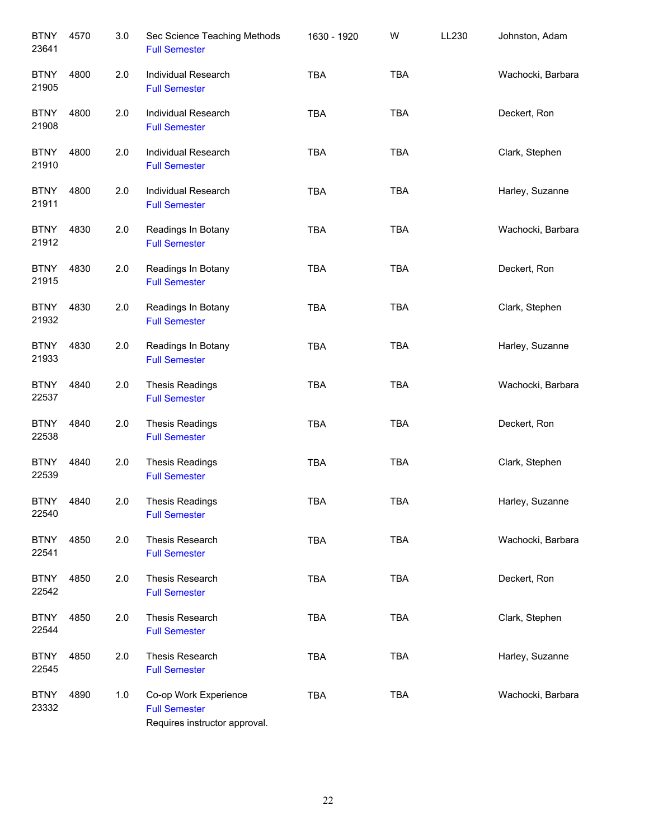| <b>BTNY</b><br>23641 | 4570 | 3.0 | Sec Science Teaching Methods<br><b>Full Semester</b>                           | 1630 - 1920 | W          | LL230 | Johnston, Adam    |
|----------------------|------|-----|--------------------------------------------------------------------------------|-------------|------------|-------|-------------------|
| <b>BTNY</b><br>21905 | 4800 | 2.0 | Individual Research<br><b>Full Semester</b>                                    | <b>TBA</b>  | <b>TBA</b> |       | Wachocki, Barbara |
| <b>BTNY</b><br>21908 | 4800 | 2.0 | Individual Research<br><b>Full Semester</b>                                    | <b>TBA</b>  | <b>TBA</b> |       | Deckert, Ron      |
| <b>BTNY</b><br>21910 | 4800 | 2.0 | <b>Individual Research</b><br><b>Full Semester</b>                             | <b>TBA</b>  | <b>TBA</b> |       | Clark, Stephen    |
| <b>BTNY</b><br>21911 | 4800 | 2.0 | Individual Research<br><b>Full Semester</b>                                    | <b>TBA</b>  | <b>TBA</b> |       | Harley, Suzanne   |
| <b>BTNY</b><br>21912 | 4830 | 2.0 | Readings In Botany<br><b>Full Semester</b>                                     | <b>TBA</b>  | <b>TBA</b> |       | Wachocki, Barbara |
| <b>BTNY</b><br>21915 | 4830 | 2.0 | Readings In Botany<br><b>Full Semester</b>                                     | <b>TBA</b>  | TBA        |       | Deckert, Ron      |
| <b>BTNY</b><br>21932 | 4830 | 2.0 | Readings In Botany<br><b>Full Semester</b>                                     | <b>TBA</b>  | <b>TBA</b> |       | Clark, Stephen    |
| <b>BTNY</b><br>21933 | 4830 | 2.0 | Readings In Botany<br><b>Full Semester</b>                                     | <b>TBA</b>  | <b>TBA</b> |       | Harley, Suzanne   |
| <b>BTNY</b><br>22537 | 4840 | 2.0 | Thesis Readings<br><b>Full Semester</b>                                        | <b>TBA</b>  | <b>TBA</b> |       | Wachocki, Barbara |
| <b>BTNY</b><br>22538 | 4840 | 2.0 | <b>Thesis Readings</b><br><b>Full Semester</b>                                 | <b>TBA</b>  | <b>TBA</b> |       | Deckert, Ron      |
| <b>BTNY</b><br>22539 | 4840 | 2.0 | <b>Thesis Readings</b><br><b>Full Semester</b>                                 | <b>TBA</b>  | <b>TBA</b> |       | Clark, Stephen    |
| <b>BTNY</b><br>22540 | 4840 | 2.0 | <b>Thesis Readings</b><br><b>Full Semester</b>                                 | <b>TBA</b>  | <b>TBA</b> |       | Harley, Suzanne   |
| <b>BTNY</b><br>22541 | 4850 | 2.0 | Thesis Research<br><b>Full Semester</b>                                        | <b>TBA</b>  | TBA        |       | Wachocki, Barbara |
| <b>BTNY</b><br>22542 | 4850 | 2.0 | Thesis Research<br><b>Full Semester</b>                                        | <b>TBA</b>  | <b>TBA</b> |       | Deckert, Ron      |
| <b>BTNY</b><br>22544 | 4850 | 2.0 | Thesis Research<br><b>Full Semester</b>                                        | <b>TBA</b>  | <b>TBA</b> |       | Clark, Stephen    |
| <b>BTNY</b><br>22545 | 4850 | 2.0 | Thesis Research<br><b>Full Semester</b>                                        | <b>TBA</b>  | <b>TBA</b> |       | Harley, Suzanne   |
| <b>BTNY</b><br>23332 | 4890 | 1.0 | Co-op Work Experience<br><b>Full Semester</b><br>Requires instructor approval. | <b>TBA</b>  | <b>TBA</b> |       | Wachocki, Barbara |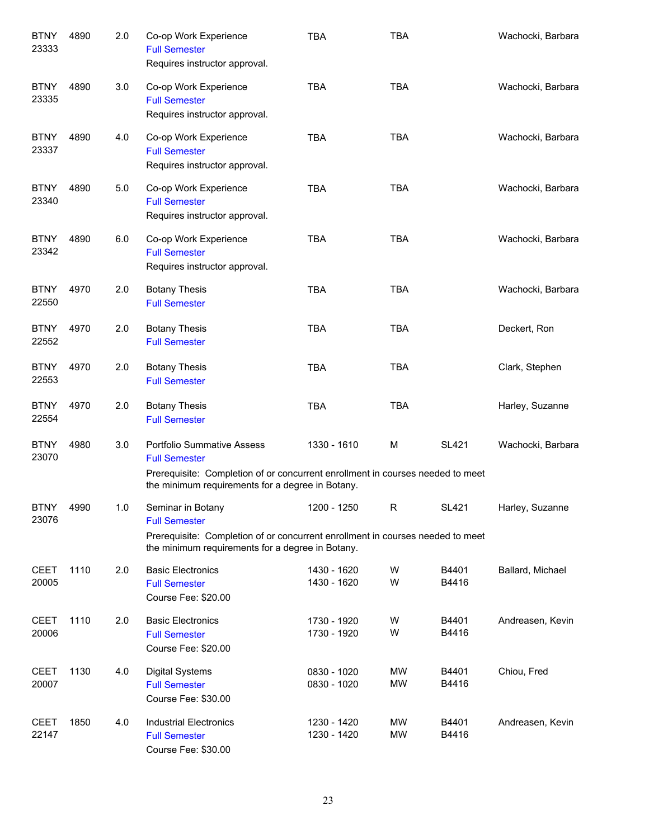| <b>BTNY</b><br>23333 | 4890 | 2.0 | Co-op Work Experience<br><b>Full Semester</b><br>Requires instructor approval.                                                                                                                  | <b>TBA</b>                 | <b>TBA</b>             |                | Wachocki, Barbara |
|----------------------|------|-----|-------------------------------------------------------------------------------------------------------------------------------------------------------------------------------------------------|----------------------------|------------------------|----------------|-------------------|
| <b>BTNY</b><br>23335 | 4890 | 3.0 | Co-op Work Experience<br><b>Full Semester</b><br>Requires instructor approval.                                                                                                                  | <b>TBA</b>                 | <b>TBA</b>             |                | Wachocki, Barbara |
| <b>BTNY</b><br>23337 | 4890 | 4.0 | Co-op Work Experience<br><b>Full Semester</b><br>Requires instructor approval.                                                                                                                  | <b>TBA</b>                 | <b>TBA</b>             |                | Wachocki, Barbara |
| <b>BTNY</b><br>23340 | 4890 | 5.0 | Co-op Work Experience<br><b>Full Semester</b><br>Requires instructor approval.                                                                                                                  | <b>TBA</b>                 | <b>TBA</b>             |                | Wachocki, Barbara |
| <b>BTNY</b><br>23342 | 4890 | 6.0 | Co-op Work Experience<br><b>Full Semester</b><br>Requires instructor approval.                                                                                                                  | <b>TBA</b>                 | <b>TBA</b>             |                | Wachocki, Barbara |
| <b>BTNY</b><br>22550 | 4970 | 2.0 | <b>Botany Thesis</b><br><b>Full Semester</b>                                                                                                                                                    | <b>TBA</b>                 | <b>TBA</b>             |                | Wachocki, Barbara |
| <b>BTNY</b><br>22552 | 4970 | 2.0 | <b>Botany Thesis</b><br><b>Full Semester</b>                                                                                                                                                    | <b>TBA</b>                 | <b>TBA</b>             |                | Deckert, Ron      |
| <b>BTNY</b><br>22553 | 4970 | 2.0 | <b>Botany Thesis</b><br><b>Full Semester</b>                                                                                                                                                    | <b>TBA</b>                 | <b>TBA</b>             |                | Clark, Stephen    |
| <b>BTNY</b><br>22554 | 4970 | 2.0 | <b>Botany Thesis</b><br><b>Full Semester</b>                                                                                                                                                    | <b>TBA</b>                 | <b>TBA</b>             |                | Harley, Suzanne   |
| <b>BTNY</b><br>23070 | 4980 | 3.0 | <b>Portfolio Summative Assess</b><br><b>Full Semester</b><br>Prerequisite: Completion of or concurrent enrollment in courses needed to meet<br>the minimum requirements for a degree in Botany. | 1330 - 1610                | м                      | <b>SL421</b>   | Wachocki, Barbara |
| <b>BTNY</b><br>23076 | 4990 | 1.0 | Seminar in Botany<br><b>Full Semester</b><br>Prerequisite: Completion of or concurrent enrollment in courses needed to meet<br>the minimum requirements for a degree in Botany.                 | 1200 - 1250                | R                      | <b>SL421</b>   | Harley, Suzanne   |
| <b>CEET</b><br>20005 | 1110 | 2.0 | <b>Basic Electronics</b><br><b>Full Semester</b><br>Course Fee: \$20.00                                                                                                                         | 1430 - 1620<br>1430 - 1620 | W<br>W                 | B4401<br>B4416 | Ballard, Michael  |
| <b>CEET</b><br>20006 | 1110 | 2.0 | <b>Basic Electronics</b><br><b>Full Semester</b><br>Course Fee: \$20.00                                                                                                                         | 1730 - 1920<br>1730 - 1920 | W<br>W                 | B4401<br>B4416 | Andreasen, Kevin  |
| <b>CEET</b><br>20007 | 1130 | 4.0 | <b>Digital Systems</b><br><b>Full Semester</b><br>Course Fee: \$30.00                                                                                                                           | 0830 - 1020<br>0830 - 1020 | <b>MW</b><br><b>MW</b> | B4401<br>B4416 | Chiou, Fred       |
| <b>CEET</b><br>22147 | 1850 | 4.0 | <b>Industrial Electronics</b><br><b>Full Semester</b><br>Course Fee: \$30.00                                                                                                                    | 1230 - 1420<br>1230 - 1420 | <b>MW</b><br><b>MW</b> | B4401<br>B4416 | Andreasen, Kevin  |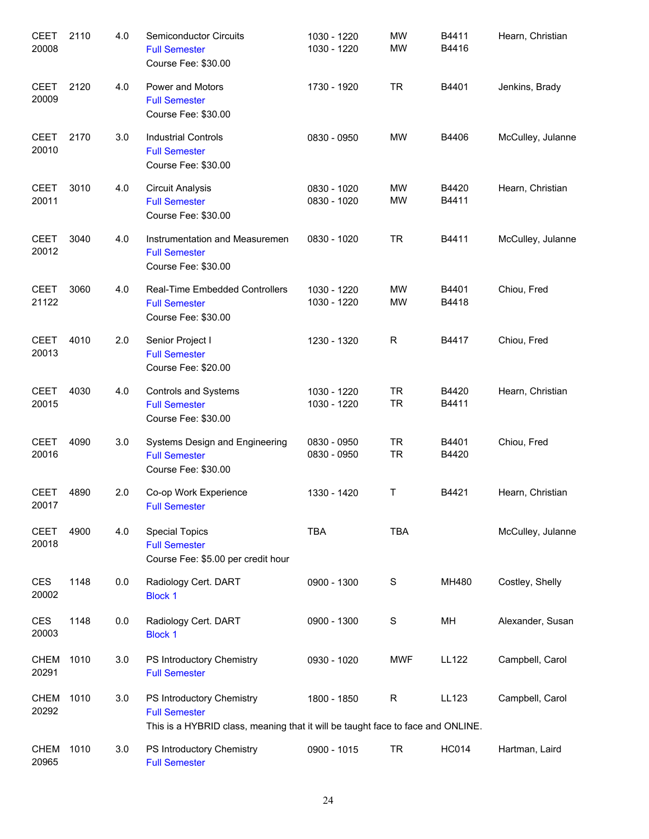| <b>CEET</b><br>20008 | 2110 | 4.0 | Semiconductor Circuits<br><b>Full Semester</b><br>Course Fee: \$30.00                                                                | 1030 - 1220<br>1030 - 1220 | <b>MW</b><br><b>MW</b> | B4411<br>B4416 | Hearn, Christian  |
|----------------------|------|-----|--------------------------------------------------------------------------------------------------------------------------------------|----------------------------|------------------------|----------------|-------------------|
| <b>CEET</b><br>20009 | 2120 | 4.0 | Power and Motors<br><b>Full Semester</b><br>Course Fee: \$30.00                                                                      | 1730 - 1920                | <b>TR</b>              | B4401          | Jenkins, Brady    |
| <b>CEET</b><br>20010 | 2170 | 3.0 | <b>Industrial Controls</b><br><b>Full Semester</b><br>Course Fee: \$30.00                                                            | 0830 - 0950                | <b>MW</b>              | B4406          | McCulley, Julanne |
| <b>CEET</b><br>20011 | 3010 | 4.0 | <b>Circuit Analysis</b><br><b>Full Semester</b><br>Course Fee: \$30.00                                                               | 0830 - 1020<br>0830 - 1020 | MW<br><b>MW</b>        | B4420<br>B4411 | Hearn, Christian  |
| <b>CEET</b><br>20012 | 3040 | 4.0 | Instrumentation and Measuremen<br><b>Full Semester</b><br>Course Fee: \$30.00                                                        | 0830 - 1020                | <b>TR</b>              | B4411          | McCulley, Julanne |
| <b>CEET</b><br>21122 | 3060 | 4.0 | <b>Real-Time Embedded Controllers</b><br><b>Full Semester</b><br>Course Fee: \$30.00                                                 | 1030 - 1220<br>1030 - 1220 | <b>MW</b><br><b>MW</b> | B4401<br>B4418 | Chiou, Fred       |
| <b>CEET</b><br>20013 | 4010 | 2.0 | Senior Project I<br><b>Full Semester</b><br>Course Fee: \$20.00                                                                      | 1230 - 1320                | R                      | B4417          | Chiou, Fred       |
| <b>CEET</b><br>20015 | 4030 | 4.0 | <b>Controls and Systems</b><br><b>Full Semester</b><br>Course Fee: \$30.00                                                           | 1030 - 1220<br>1030 - 1220 | <b>TR</b><br><b>TR</b> | B4420<br>B4411 | Hearn, Christian  |
| <b>CEET</b><br>20016 | 4090 | 3.0 | Systems Design and Engineering<br><b>Full Semester</b><br>Course Fee: \$30.00                                                        | 0830 - 0950<br>0830 - 0950 | <b>TR</b><br><b>TR</b> | B4401<br>B4420 | Chiou, Fred       |
| CEET<br>20017        | 4890 | 2.0 | Co-op Work Experience<br><b>Full Semester</b>                                                                                        | 1330 - 1420                | T                      | B4421          | Hearn, Christian  |
| <b>CEET</b><br>20018 | 4900 | 4.0 | <b>Special Topics</b><br><b>Full Semester</b><br>Course Fee: \$5.00 per credit hour                                                  | <b>TBA</b>                 | <b>TBA</b>             |                | McCulley, Julanne |
| <b>CES</b><br>20002  | 1148 | 0.0 | Radiology Cert. DART<br><b>Block 1</b>                                                                                               | 0900 - 1300                | $\mathbf S$            | MH480          | Costley, Shelly   |
| <b>CES</b><br>20003  | 1148 | 0.0 | Radiology Cert. DART<br><b>Block 1</b>                                                                                               | 0900 - 1300                | ${\mathsf S}$          | MH             | Alexander, Susan  |
| <b>CHEM</b><br>20291 | 1010 | 3.0 | PS Introductory Chemistry<br><b>Full Semester</b>                                                                                    | 0930 - 1020                | <b>MWF</b>             | <b>LL122</b>   | Campbell, Carol   |
| <b>CHEM</b><br>20292 | 1010 | 3.0 | PS Introductory Chemistry<br><b>Full Semester</b><br>This is a HYBRID class, meaning that it will be taught face to face and ONLINE. | 1800 - 1850                | $\mathsf R$            | LL123          | Campbell, Carol   |
| <b>CHEM</b><br>20965 | 1010 | 3.0 | PS Introductory Chemistry<br><b>Full Semester</b>                                                                                    | 0900 - 1015                | <b>TR</b>              | <b>HC014</b>   | Hartman, Laird    |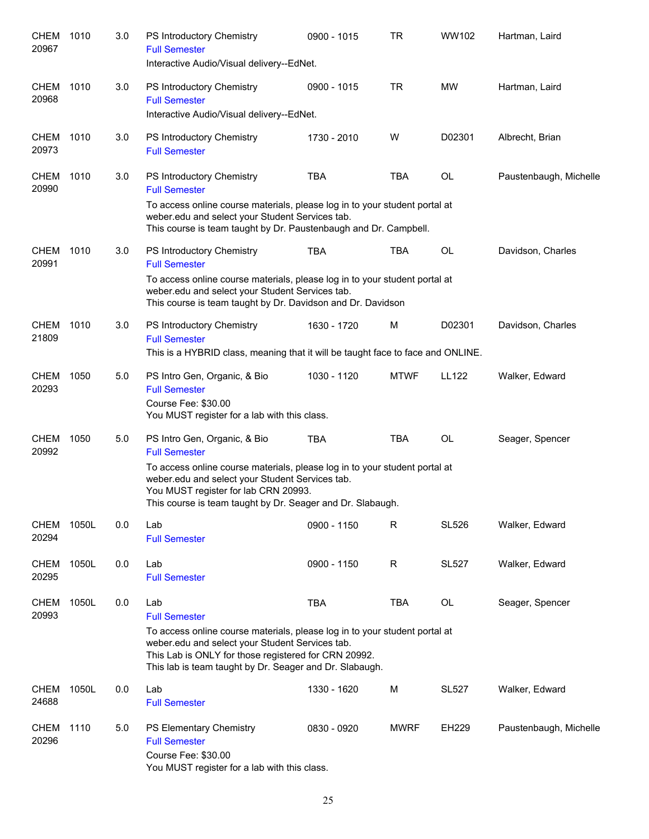| <b>CHEM</b><br>20967 | 1010  | 3.0 | PS Introductory Chemistry<br><b>Full Semester</b><br>Interactive Audio/Visual delivery--EdNet.                                                                                                                                                   | 0900 - 1015 | <b>TR</b>    | WW102        | Hartman, Laird         |
|----------------------|-------|-----|--------------------------------------------------------------------------------------------------------------------------------------------------------------------------------------------------------------------------------------------------|-------------|--------------|--------------|------------------------|
| <b>CHEM</b><br>20968 | 1010  | 3.0 | PS Introductory Chemistry<br><b>Full Semester</b><br>Interactive Audio/Visual delivery--EdNet.                                                                                                                                                   | 0900 - 1015 | <b>TR</b>    | <b>MW</b>    | Hartman, Laird         |
| <b>CHEM</b><br>20973 | 1010  | 3.0 | PS Introductory Chemistry<br><b>Full Semester</b>                                                                                                                                                                                                | 1730 - 2010 | W            | D02301       | Albrecht, Brian        |
| <b>CHEM</b><br>20990 | 1010  | 3.0 | PS Introductory Chemistry<br><b>Full Semester</b><br>To access online course materials, please log in to your student portal at<br>weber.edu and select your Student Services tab.                                                               | <b>TBA</b>  | <b>TBA</b>   | OL           | Paustenbaugh, Michelle |
|                      |       |     | This course is team taught by Dr. Paustenbaugh and Dr. Campbell.                                                                                                                                                                                 |             |              |              |                        |
| <b>CHEM</b><br>20991 | 1010  | 3.0 | PS Introductory Chemistry<br><b>Full Semester</b><br>To access online course materials, please log in to your student portal at                                                                                                                  | <b>TBA</b>  | <b>TBA</b>   | <b>OL</b>    | Davidson, Charles      |
|                      |       |     | weber.edu and select your Student Services tab.<br>This course is team taught by Dr. Davidson and Dr. Davidson                                                                                                                                   |             |              |              |                        |
| <b>CHEM</b><br>21809 | 1010  | 3.0 | PS Introductory Chemistry<br><b>Full Semester</b>                                                                                                                                                                                                | 1630 - 1720 | M            | D02301       | Davidson, Charles      |
|                      |       |     | This is a HYBRID class, meaning that it will be taught face to face and ONLINE.                                                                                                                                                                  |             |              |              |                        |
| <b>CHEM</b><br>20293 | 1050  | 5.0 | PS Intro Gen, Organic, & Bio<br><b>Full Semester</b><br>Course Fee: \$30.00<br>You MUST register for a lab with this class.                                                                                                                      | 1030 - 1120 | <b>MTWF</b>  | <b>LL122</b> | Walker, Edward         |
| <b>CHEM</b><br>20992 | 1050  | 5.0 | PS Intro Gen, Organic, & Bio<br><b>Full Semester</b><br>To access online course materials, please log in to your student portal at                                                                                                               | <b>TBA</b>  | <b>TBA</b>   | <b>OL</b>    | Seager, Spencer        |
|                      |       |     | weber.edu and select your Student Services tab.<br>You MUST register for lab CRN 20993.<br>This course is team taught by Dr. Seager and Dr. Slabaugh.                                                                                            |             |              |              |                        |
| <b>CHEM</b><br>20294 | 1050L | 0.0 | Lab<br><b>Full Semester</b>                                                                                                                                                                                                                      | 0900 - 1150 | R            | <b>SL526</b> | Walker, Edward         |
| <b>CHEM</b><br>20295 | 1050L | 0.0 | Lab<br><b>Full Semester</b>                                                                                                                                                                                                                      | 0900 - 1150 | $\mathsf{R}$ | <b>SL527</b> | Walker, Edward         |
| <b>CHEM</b><br>20993 | 1050L | 0.0 | Lab<br><b>Full Semester</b>                                                                                                                                                                                                                      | <b>TBA</b>  | <b>TBA</b>   | OL           | Seager, Spencer        |
|                      |       |     | To access online course materials, please log in to your student portal at<br>weber.edu and select your Student Services tab.<br>This Lab is ONLY for those registered for CRN 20992.<br>This lab is team taught by Dr. Seager and Dr. Slabaugh. |             |              |              |                        |
| <b>CHEM</b><br>24688 | 1050L | 0.0 | Lab<br><b>Full Semester</b>                                                                                                                                                                                                                      | 1330 - 1620 | M            | <b>SL527</b> | Walker, Edward         |
| <b>CHEM</b><br>20296 | 1110  | 5.0 | PS Elementary Chemistry<br><b>Full Semester</b><br>Course Fee: \$30.00<br>You MUST register for a lab with this class.                                                                                                                           | 0830 - 0920 | <b>MWRF</b>  | EH229        | Paustenbaugh, Michelle |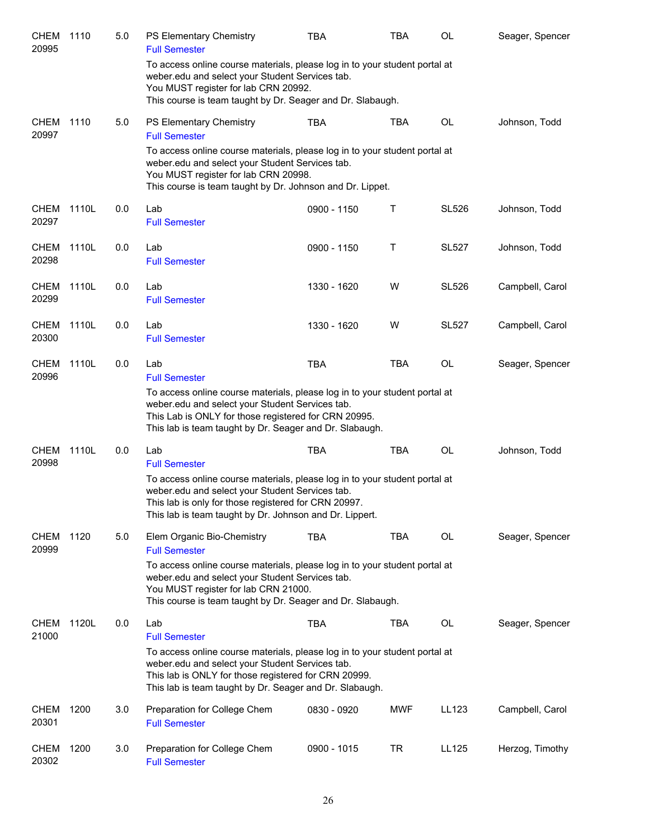| <b>CHEM</b><br>20995 | 1110  | 5.0 | PS Elementary Chemistry<br><b>Full Semester</b>                                                                                                                                                                                                  | TBA         | TBA        | OL           | Seager, Spencer |
|----------------------|-------|-----|--------------------------------------------------------------------------------------------------------------------------------------------------------------------------------------------------------------------------------------------------|-------------|------------|--------------|-----------------|
|                      |       |     | To access online course materials, please log in to your student portal at<br>weber.edu and select your Student Services tab.<br>You MUST register for lab CRN 20992.<br>This course is team taught by Dr. Seager and Dr. Slabaugh.              |             |            |              |                 |
| <b>CHEM</b><br>20997 | 1110  | 5.0 | PS Elementary Chemistry<br><b>Full Semester</b>                                                                                                                                                                                                  | <b>TBA</b>  | <b>TBA</b> | <b>OL</b>    | Johnson, Todd   |
|                      |       |     | To access online course materials, please log in to your student portal at<br>weber.edu and select your Student Services tab.<br>You MUST register for lab CRN 20998.<br>This course is team taught by Dr. Johnson and Dr. Lippet.               |             |            |              |                 |
| CHEM<br>20297        | 1110L | 0.0 | Lab<br><b>Full Semester</b>                                                                                                                                                                                                                      | 0900 - 1150 | Τ          | <b>SL526</b> | Johnson, Todd   |
| <b>CHEM</b><br>20298 | 1110L | 0.0 | Lab<br><b>Full Semester</b>                                                                                                                                                                                                                      | 0900 - 1150 | Τ          | <b>SL527</b> | Johnson, Todd   |
| <b>CHEM</b><br>20299 | 1110L | 0.0 | Lab<br><b>Full Semester</b>                                                                                                                                                                                                                      | 1330 - 1620 | W          | <b>SL526</b> | Campbell, Carol |
| <b>CHEM</b><br>20300 | 1110L | 0.0 | Lab<br><b>Full Semester</b>                                                                                                                                                                                                                      | 1330 - 1620 | W          | <b>SL527</b> | Campbell, Carol |
| <b>CHEM</b><br>20996 | 1110L | 0.0 | Lab<br><b>Full Semester</b><br>To access online course materials, please log in to your student portal at                                                                                                                                        | <b>TBA</b>  | <b>TBA</b> | <b>OL</b>    | Seager, Spencer |
|                      |       |     | weber.edu and select your Student Services tab.<br>This Lab is ONLY for those registered for CRN 20995.<br>This lab is team taught by Dr. Seager and Dr. Slabaugh.                                                                               |             |            |              |                 |
| <b>CHEM</b><br>20998 | 1110L | 0.0 | Lab<br><b>Full Semester</b>                                                                                                                                                                                                                      | <b>TBA</b>  | TBA        | <b>OL</b>    | Johnson, Todd   |
|                      |       |     | To access online course materials, please log in to your student portal at<br>weber.edu and select your Student Services tab.<br>This lab is only for those registered for CRN 20997.<br>This lab is team taught by Dr. Johnson and Dr. Lippert. |             |            |              |                 |
| <b>CHEM</b><br>20999 | 1120  | 5.0 | Elem Organic Bio-Chemistry<br><b>Full Semester</b>                                                                                                                                                                                               | <b>TBA</b>  | TBA        | <b>OL</b>    | Seager, Spencer |
|                      |       |     | To access online course materials, please log in to your student portal at<br>weber.edu and select your Student Services tab.<br>You MUST register for lab CRN 21000.<br>This course is team taught by Dr. Seager and Dr. Slabaugh.              |             |            |              |                 |
| <b>CHEM</b><br>21000 | 1120L | 0.0 | Lab<br><b>Full Semester</b>                                                                                                                                                                                                                      | <b>TBA</b>  | TBA        | OL           | Seager, Spencer |
|                      |       |     | To access online course materials, please log in to your student portal at<br>weber.edu and select your Student Services tab.<br>This lab is ONLY for those registered for CRN 20999.<br>This lab is team taught by Dr. Seager and Dr. Slabaugh. |             |            |              |                 |
| <b>CHEM</b><br>20301 | 1200  | 3.0 | Preparation for College Chem<br><b>Full Semester</b>                                                                                                                                                                                             | 0830 - 0920 | MWF        | LL123        | Campbell, Carol |
| <b>CHEM</b><br>20302 | 1200  | 3.0 | Preparation for College Chem<br><b>Full Semester</b>                                                                                                                                                                                             | 0900 - 1015 | <b>TR</b>  | LL125        | Herzog, Timothy |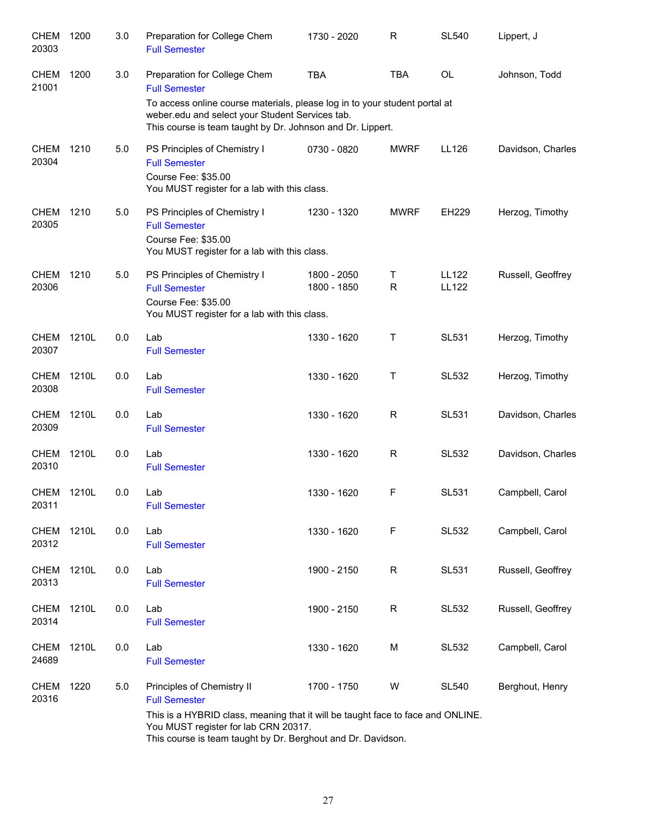| 1200  | 3.0 | Preparation for College Chem<br><b>Full Semester</b>                        | 1730 - 2020                | R                                                                                                                                                                                                                                       | <b>SL540</b>                                                                                                               | Lippert, J                                                                                                                                                    |
|-------|-----|-----------------------------------------------------------------------------|----------------------------|-----------------------------------------------------------------------------------------------------------------------------------------------------------------------------------------------------------------------------------------|----------------------------------------------------------------------------------------------------------------------------|---------------------------------------------------------------------------------------------------------------------------------------------------------------|
| 1200  | 3.0 | Preparation for College Chem<br><b>Full Semester</b>                        | <b>TBA</b>                 | <b>TBA</b>                                                                                                                                                                                                                              | <b>OL</b>                                                                                                                  | Johnson, Todd                                                                                                                                                 |
|       |     |                                                                             |                            |                                                                                                                                                                                                                                         |                                                                                                                            |                                                                                                                                                               |
| 1210  | 5.0 | PS Principles of Chemistry I<br><b>Full Semester</b><br>Course Fee: \$35.00 | 0730 - 0820                | <b>MWRF</b>                                                                                                                                                                                                                             | LL126                                                                                                                      | Davidson, Charles                                                                                                                                             |
| 1210  | 5.0 | PS Principles of Chemistry I<br><b>Full Semester</b><br>Course Fee: \$35.00 | 1230 - 1320                | <b>MWRF</b>                                                                                                                                                                                                                             | <b>EH229</b>                                                                                                               | Herzog, Timothy                                                                                                                                               |
| 1210  | 5.0 | PS Principles of Chemistry I<br><b>Full Semester</b><br>Course Fee: \$35.00 | 1800 - 2050<br>1800 - 1850 | Τ<br>$\mathsf{R}$                                                                                                                                                                                                                       | LL122<br><b>LL122</b>                                                                                                      | Russell, Geoffrey                                                                                                                                             |
| 1210L | 0.0 | Lab<br><b>Full Semester</b>                                                 | 1330 - 1620                | Τ                                                                                                                                                                                                                                       | <b>SL531</b>                                                                                                               | Herzog, Timothy                                                                                                                                               |
| 1210L | 0.0 | Lab<br><b>Full Semester</b>                                                 | 1330 - 1620                | $\mathsf{T}$                                                                                                                                                                                                                            | <b>SL532</b>                                                                                                               | Herzog, Timothy                                                                                                                                               |
| 1210L | 0.0 | Lab<br><b>Full Semester</b>                                                 | 1330 - 1620                | R                                                                                                                                                                                                                                       | <b>SL531</b>                                                                                                               | Davidson, Charles                                                                                                                                             |
| 1210L | 0.0 | Lab<br><b>Full Semester</b>                                                 | 1330 - 1620                | R                                                                                                                                                                                                                                       | SL532                                                                                                                      | Davidson, Charles                                                                                                                                             |
| 1210L | 0.0 | Lab<br><b>Full Semester</b>                                                 | 1330 - 1620                | F                                                                                                                                                                                                                                       | <b>SL531</b>                                                                                                               | Campbell, Carol                                                                                                                                               |
| 1210L | 0.0 | Lab<br><b>Full Semester</b>                                                 | 1330 - 1620                | $\mathsf F$                                                                                                                                                                                                                             | <b>SL532</b>                                                                                                               | Campbell, Carol                                                                                                                                               |
| 1210L | 0.0 | Lab<br><b>Full Semester</b>                                                 | 1900 - 2150                | R                                                                                                                                                                                                                                       | <b>SL531</b>                                                                                                               | Russell, Geoffrey                                                                                                                                             |
| 1210L | 0.0 | Lab<br><b>Full Semester</b>                                                 | 1900 - 2150                | $\mathsf R$                                                                                                                                                                                                                             | <b>SL532</b>                                                                                                               | Russell, Geoffrey                                                                                                                                             |
| 1210L | 0.0 | Lab<br><b>Full Semester</b>                                                 | 1330 - 1620                | M                                                                                                                                                                                                                                       | <b>SL532</b>                                                                                                               | Campbell, Carol                                                                                                                                               |
| 1220  | 5.0 | Principles of Chemistry II<br><b>Full Semester</b>                          | 1700 - 1750                | W                                                                                                                                                                                                                                       | <b>SL540</b>                                                                                                               | Berghout, Henry                                                                                                                                               |
|       |     |                                                                             |                            | weber.edu and select your Student Services tab.<br>You MUST register for a lab with this class.<br>You MUST register for a lab with this class.<br>You MUST register for a lab with this class.<br>You MUST register for lab CRN 20317. | This course is team taught by Dr. Johnson and Dr. Lippert.<br>This course is team taught by Dr. Berghout and Dr. Davidson. | To access online course materials, please log in to your student portal at<br>This is a HYBRID class, meaning that it will be taught face to face and ONLINE. |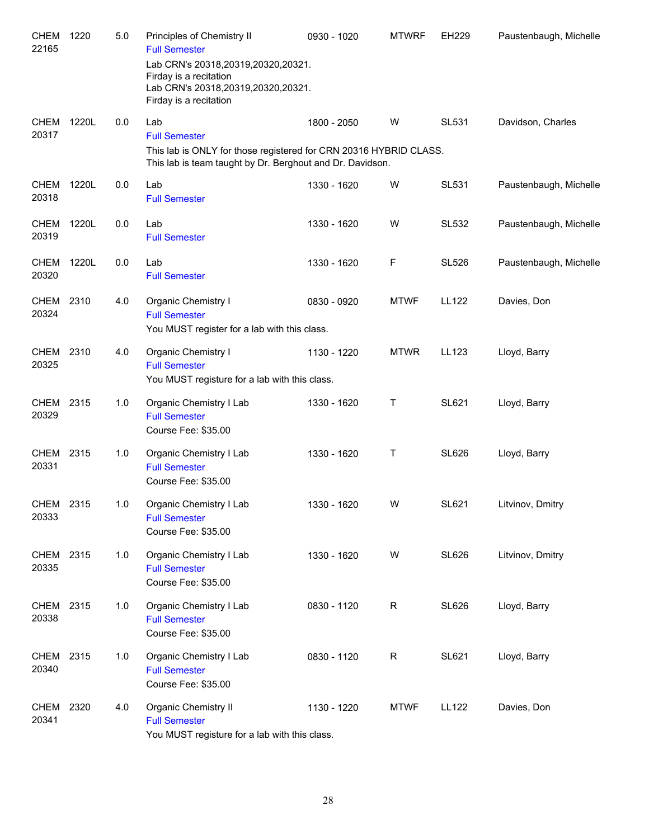| <b>CHEM</b><br>22165 | 1220  | 5.0 | Principles of Chemistry II<br><b>Full Semester</b>                                                                             | 0930 - 1020 | <b>MTWRF</b> | EH229        | Paustenbaugh, Michelle |
|----------------------|-------|-----|--------------------------------------------------------------------------------------------------------------------------------|-------------|--------------|--------------|------------------------|
|                      |       |     | Lab CRN's 20318,20319,20320,20321.<br>Firday is a recitation<br>Lab CRN's 20318,20319,20320,20321.<br>Firday is a recitation   |             |              |              |                        |
| <b>CHEM</b><br>20317 | 1220L | 0.0 | Lab<br><b>Full Semester</b>                                                                                                    | 1800 - 2050 | W            | <b>SL531</b> | Davidson, Charles      |
|                      |       |     | This lab is ONLY for those registered for CRN 20316 HYBRID CLASS.<br>This lab is team taught by Dr. Berghout and Dr. Davidson. |             |              |              |                        |
| <b>CHEM</b><br>20318 | 1220L | 0.0 | Lab<br><b>Full Semester</b>                                                                                                    | 1330 - 1620 | W            | <b>SL531</b> | Paustenbaugh, Michelle |
| <b>CHEM</b><br>20319 | 1220L | 0.0 | Lab<br><b>Full Semester</b>                                                                                                    | 1330 - 1620 | W            | <b>SL532</b> | Paustenbaugh, Michelle |
| <b>CHEM</b><br>20320 | 1220L | 0.0 | Lab<br><b>Full Semester</b>                                                                                                    | 1330 - 1620 | F            | <b>SL526</b> | Paustenbaugh, Michelle |
| CHEM<br>20324        | 2310  | 4.0 | <b>Organic Chemistry I</b><br><b>Full Semester</b><br>You MUST register for a lab with this class.                             | 0830 - 0920 | <b>MTWF</b>  | <b>LL122</b> | Davies, Don            |
| CHEM<br>20325        | 2310  | 4.0 | <b>Organic Chemistry I</b><br><b>Full Semester</b><br>You MUST registure for a lab with this class.                            | 1130 - 1220 | <b>MTWR</b>  | LL123        | Lloyd, Barry           |
| CHEM 2315<br>20329   |       | 1.0 | Organic Chemistry I Lab<br><b>Full Semester</b><br>Course Fee: \$35.00                                                         | 1330 - 1620 | Т            | <b>SL621</b> | Lloyd, Barry           |
| <b>CHEM</b><br>20331 | 2315  | 1.0 | Organic Chemistry I Lab<br><b>Full Semester</b><br>Course Fee: \$35.00                                                         | 1330 - 1620 | Т            | <b>SL626</b> | Lloyd, Barry           |
| CHEM 2315<br>20333   |       | 1.0 | Organic Chemistry I Lab<br><b>Full Semester</b><br>Course Fee: \$35.00                                                         | 1330 - 1620 | W            | SL621        | Litvinov, Dmitry       |
| CHEM 2315<br>20335   |       | 1.0 | Organic Chemistry I Lab<br><b>Full Semester</b><br>Course Fee: \$35.00                                                         | 1330 - 1620 | W            | <b>SL626</b> | Litvinov, Dmitry       |
| <b>CHEM</b><br>20338 | 2315  | 1.0 | Organic Chemistry I Lab<br><b>Full Semester</b><br>Course Fee: \$35.00                                                         | 0830 - 1120 | R            | <b>SL626</b> | Lloyd, Barry           |
| CHEM<br>20340        | 2315  | 1.0 | Organic Chemistry I Lab<br><b>Full Semester</b><br>Course Fee: \$35.00                                                         | 0830 - 1120 | R            | <b>SL621</b> | Lloyd, Barry           |
| CHEM<br>20341        | 2320  | 4.0 | Organic Chemistry II<br><b>Full Semester</b><br>You MUST registure for a lab with this class.                                  | 1130 - 1220 | <b>MTWF</b>  | <b>LL122</b> | Davies, Don            |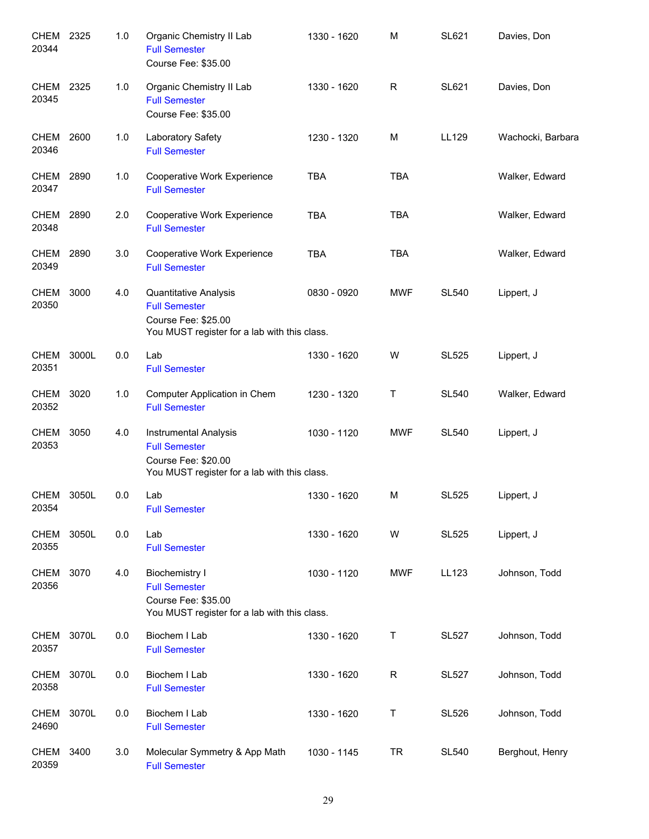| CHEM<br>20344        | 2325  | 1.0 | Organic Chemistry II Lab<br><b>Full Semester</b><br>Course Fee: \$35.00                                              | 1330 - 1620 | M           | <b>SL621</b> | Davies, Don       |
|----------------------|-------|-----|----------------------------------------------------------------------------------------------------------------------|-------------|-------------|--------------|-------------------|
| CHEM 2325<br>20345   |       | 1.0 | Organic Chemistry II Lab<br><b>Full Semester</b><br>Course Fee: \$35.00                                              | 1330 - 1620 | R           | <b>SL621</b> | Davies, Don       |
| CHEM<br>20346        | 2600  | 1.0 | Laboratory Safety<br><b>Full Semester</b>                                                                            | 1230 - 1320 | M           | LL129        | Wachocki, Barbara |
| <b>CHEM</b><br>20347 | 2890  | 1.0 | Cooperative Work Experience<br><b>Full Semester</b>                                                                  | <b>TBA</b>  | <b>TBA</b>  |              | Walker, Edward    |
| <b>CHEM</b><br>20348 | 2890  | 2.0 | Cooperative Work Experience<br><b>Full Semester</b>                                                                  | <b>TBA</b>  | <b>TBA</b>  |              | Walker, Edward    |
| CHEM 2890<br>20349   |       | 3.0 | Cooperative Work Experience<br><b>Full Semester</b>                                                                  | <b>TBA</b>  | <b>TBA</b>  |              | Walker, Edward    |
| CHEM 3000<br>20350   |       | 4.0 | Quantitative Analysis<br><b>Full Semester</b><br>Course Fee: \$25.00<br>You MUST register for a lab with this class. | 0830 - 0920 | <b>MWF</b>  | <b>SL540</b> | Lippert, J        |
| CHEM<br>20351        | 3000L | 0.0 | Lab<br><b>Full Semester</b>                                                                                          | 1330 - 1620 | W           | <b>SL525</b> | Lippert, J        |
| CHEM 3020<br>20352   |       | 1.0 | Computer Application in Chem<br><b>Full Semester</b>                                                                 | 1230 - 1320 | Τ           | <b>SL540</b> | Walker, Edward    |
| CHEM 3050<br>20353   |       | 4.0 | Instrumental Analysis<br><b>Full Semester</b><br>Course Fee: \$20.00<br>You MUST register for a lab with this class. | 1030 - 1120 | <b>MWF</b>  | <b>SL540</b> | Lippert, J        |
| CHEM<br>20354        | 3050L | 0.0 | Lab<br><b>Full Semester</b>                                                                                          | 1330 - 1620 | M           | <b>SL525</b> | Lippert, J        |
| <b>CHEM</b><br>20355 | 3050L | 0.0 | Lab<br><b>Full Semester</b>                                                                                          | 1330 - 1620 | W           | <b>SL525</b> | Lippert, J        |
| <b>CHEM</b><br>20356 | 3070  | 4.0 | <b>Biochemistry I</b><br><b>Full Semester</b><br>Course Fee: \$35.00<br>You MUST register for a lab with this class. | 1030 - 1120 | <b>MWF</b>  | <b>LL123</b> | Johnson, Todd     |
| <b>CHEM</b><br>20357 | 3070L | 0.0 | Biochem I Lab<br><b>Full Semester</b>                                                                                | 1330 - 1620 | Τ           | <b>SL527</b> | Johnson, Todd     |
| <b>CHEM</b><br>20358 | 3070L | 0.0 | Biochem I Lab<br><b>Full Semester</b>                                                                                | 1330 - 1620 | $\mathsf R$ | <b>SL527</b> | Johnson, Todd     |
| <b>CHEM</b><br>24690 | 3070L | 0.0 | Biochem I Lab<br><b>Full Semester</b>                                                                                | 1330 - 1620 | Τ           | <b>SL526</b> | Johnson, Todd     |
| <b>CHEM</b><br>20359 | 3400  | 3.0 | Molecular Symmetry & App Math<br><b>Full Semester</b>                                                                | 1030 - 1145 | <b>TR</b>   | <b>SL540</b> | Berghout, Henry   |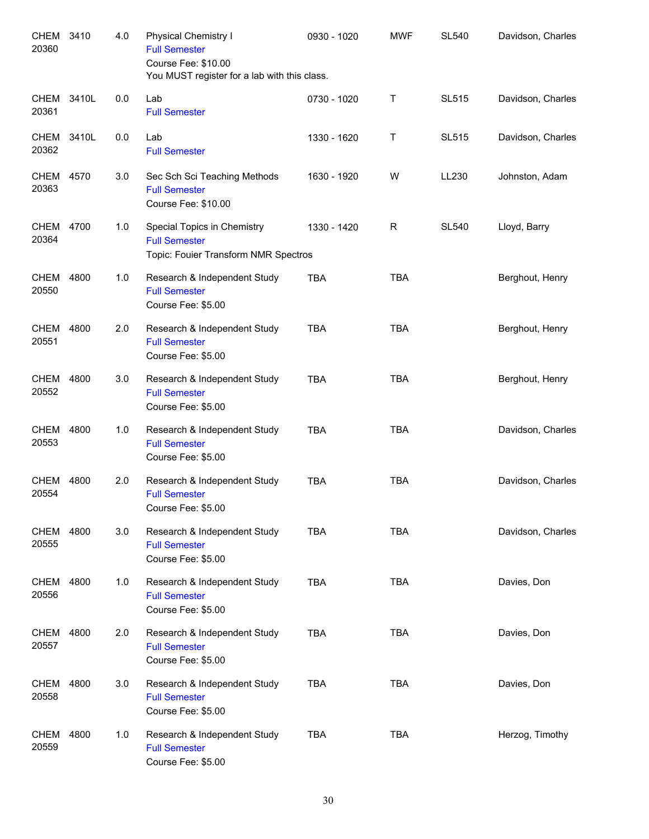| CHEM<br>20360        | 3410  | 4.0 | <b>Physical Chemistry I</b><br><b>Full Semester</b><br>Course Fee: \$10.00<br>You MUST register for a lab with this class. | 0930 - 1020 | <b>MWF</b> | <b>SL540</b> | Davidson, Charles |
|----------------------|-------|-----|----------------------------------------------------------------------------------------------------------------------------|-------------|------------|--------------|-------------------|
| CHEM<br>20361        | 3410L | 0.0 | Lab<br><b>Full Semester</b>                                                                                                | 0730 - 1020 | Τ          | <b>SL515</b> | Davidson, Charles |
| CHEM<br>20362        | 3410L | 0.0 | Lab<br><b>Full Semester</b>                                                                                                | 1330 - 1620 | Τ          | <b>SL515</b> | Davidson, Charles |
| <b>CHEM</b><br>20363 | 4570  | 3.0 | Sec Sch Sci Teaching Methods<br><b>Full Semester</b><br>Course Fee: \$10.00                                                | 1630 - 1920 | W          | LL230        | Johnston, Adam    |
| CHEM<br>20364        | 4700  | 1.0 | Special Topics in Chemistry<br><b>Full Semester</b><br>Topic: Fouier Transform NMR Spectros                                | 1330 - 1420 | R          | <b>SL540</b> | Lloyd, Barry      |
| CHEM<br>20550        | 4800  | 1.0 | Research & Independent Study<br><b>Full Semester</b><br>Course Fee: \$5.00                                                 | <b>TBA</b>  | <b>TBA</b> |              | Berghout, Henry   |
| <b>CHEM</b><br>20551 | 4800  | 2.0 | Research & Independent Study<br><b>Full Semester</b><br>Course Fee: \$5.00                                                 | <b>TBA</b>  | <b>TBA</b> |              | Berghout, Henry   |
| <b>CHEM</b><br>20552 | 4800  | 3.0 | Research & Independent Study<br><b>Full Semester</b><br>Course Fee: \$5.00                                                 | <b>TBA</b>  | <b>TBA</b> |              | Berghout, Henry   |
| <b>CHEM</b><br>20553 | 4800  | 1.0 | Research & Independent Study<br><b>Full Semester</b><br>Course Fee: \$5.00                                                 | <b>TBA</b>  | <b>TBA</b> |              | Davidson, Charles |
| <b>CHEM</b><br>20554 | 4800  | 2.0 | Research & Independent Study<br><b>Full Semester</b><br>Course Fee: \$5.00                                                 | <b>TBA</b>  | <b>TBA</b> |              | Davidson, Charles |
| CHEM<br>20555        | 4800  | 3.0 | Research & Independent Study<br><b>Full Semester</b><br>Course Fee: \$5.00                                                 | <b>TBA</b>  | <b>TBA</b> |              | Davidson, Charles |
| CHEM<br>20556        | 4800  | 1.0 | Research & Independent Study<br><b>Full Semester</b><br>Course Fee: \$5.00                                                 | <b>TBA</b>  | <b>TBA</b> |              | Davies, Don       |
| CHEM<br>20557        | 4800  | 2.0 | Research & Independent Study<br><b>Full Semester</b><br>Course Fee: \$5.00                                                 | <b>TBA</b>  | <b>TBA</b> |              | Davies, Don       |
| CHEM<br>20558        | 4800  | 3.0 | Research & Independent Study<br><b>Full Semester</b><br>Course Fee: \$5.00                                                 | <b>TBA</b>  | <b>TBA</b> |              | Davies, Don       |
| CHEM<br>20559        | 4800  | 1.0 | Research & Independent Study<br><b>Full Semester</b><br>Course Fee: \$5.00                                                 | <b>TBA</b>  | <b>TBA</b> |              | Herzog, Timothy   |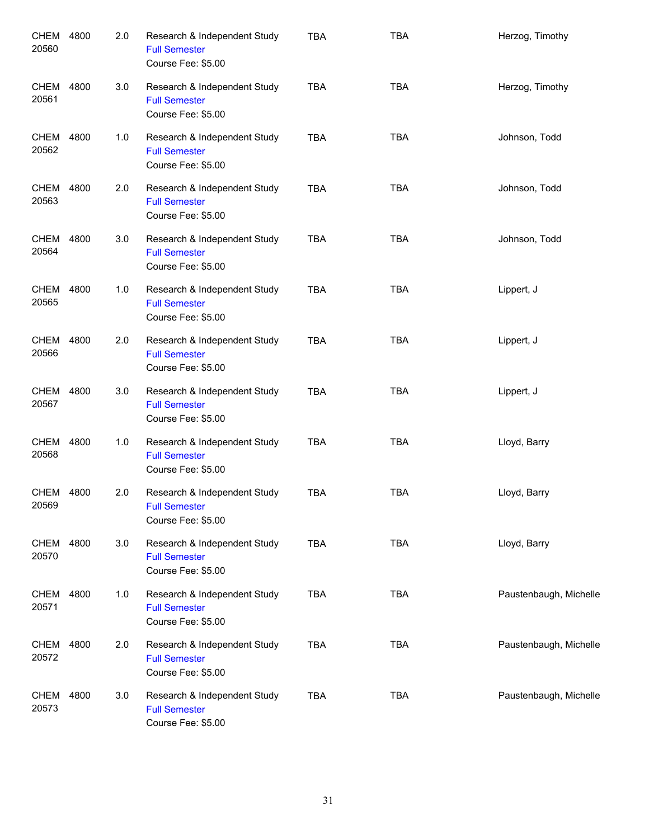| CHEM<br>20560        | 4800 | 2.0 | Research & Independent Study<br><b>Full Semester</b><br>Course Fee: \$5.00 | <b>TBA</b> | <b>TBA</b> | Herzog, Timothy        |
|----------------------|------|-----|----------------------------------------------------------------------------|------------|------------|------------------------|
| CHEM<br>20561        | 4800 | 3.0 | Research & Independent Study<br><b>Full Semester</b><br>Course Fee: \$5.00 | <b>TBA</b> | <b>TBA</b> | Herzog, Timothy        |
| CHEM<br>20562        | 4800 | 1.0 | Research & Independent Study<br><b>Full Semester</b><br>Course Fee: \$5.00 | <b>TBA</b> | <b>TBA</b> | Johnson, Todd          |
| <b>CHEM</b><br>20563 | 4800 | 2.0 | Research & Independent Study<br><b>Full Semester</b><br>Course Fee: \$5.00 | <b>TBA</b> | <b>TBA</b> | Johnson, Todd          |
| <b>CHEM</b><br>20564 | 4800 | 3.0 | Research & Independent Study<br><b>Full Semester</b><br>Course Fee: \$5.00 | <b>TBA</b> | <b>TBA</b> | Johnson, Todd          |
| <b>CHEM</b><br>20565 | 4800 | 1.0 | Research & Independent Study<br><b>Full Semester</b><br>Course Fee: \$5.00 | <b>TBA</b> | <b>TBA</b> | Lippert, J             |
| <b>CHEM</b><br>20566 | 4800 | 2.0 | Research & Independent Study<br><b>Full Semester</b><br>Course Fee: \$5.00 | <b>TBA</b> | <b>TBA</b> | Lippert, J             |
| <b>CHEM</b><br>20567 | 4800 | 3.0 | Research & Independent Study<br><b>Full Semester</b><br>Course Fee: \$5.00 | <b>TBA</b> | <b>TBA</b> | Lippert, J             |
| <b>CHEM</b><br>20568 | 4800 | 1.0 | Research & Independent Study<br><b>Full Semester</b><br>Course Fee: \$5.00 | <b>TBA</b> | <b>TBA</b> | Lloyd, Barry           |
| CHEM<br>20569        | 4800 | 2.0 | Research & Independent Study<br><b>Full Semester</b><br>Course Fee: \$5.00 | <b>TBA</b> | <b>TBA</b> | Lloyd, Barry           |
| CHEM<br>20570        | 4800 | 3.0 | Research & Independent Study<br><b>Full Semester</b><br>Course Fee: \$5.00 | <b>TBA</b> | <b>TBA</b> | Lloyd, Barry           |
| CHEM<br>20571        | 4800 | 1.0 | Research & Independent Study<br><b>Full Semester</b><br>Course Fee: \$5.00 | <b>TBA</b> | <b>TBA</b> | Paustenbaugh, Michelle |
| CHEM<br>20572        | 4800 | 2.0 | Research & Independent Study<br><b>Full Semester</b><br>Course Fee: \$5.00 | <b>TBA</b> | <b>TBA</b> | Paustenbaugh, Michelle |
| <b>CHEM</b><br>20573 | 4800 | 3.0 | Research & Independent Study<br><b>Full Semester</b><br>Course Fee: \$5.00 | <b>TBA</b> | <b>TBA</b> | Paustenbaugh, Michelle |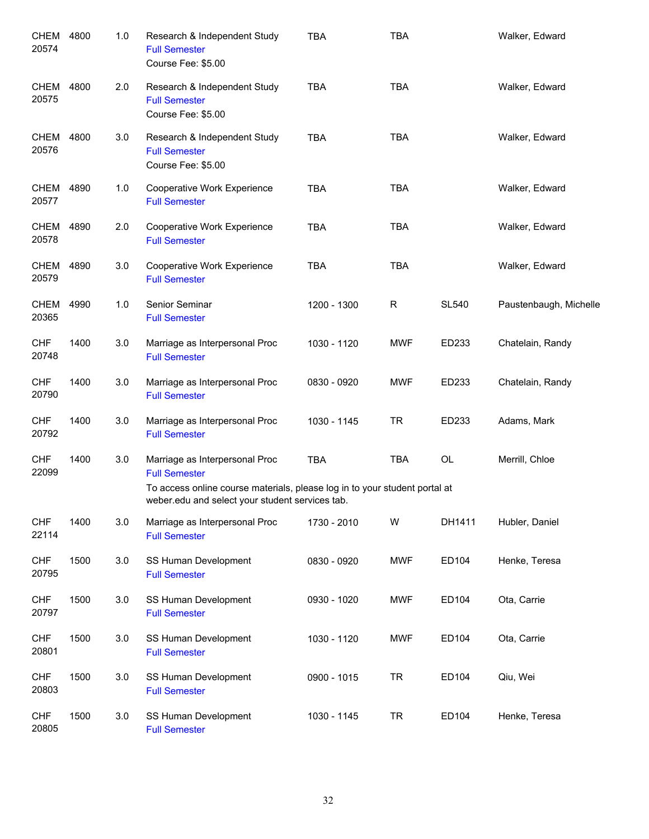| CHEM<br>20574        | 4800 | 1.0 | Research & Independent Study<br><b>Full Semester</b><br>Course Fee: \$5.00                                                    | <b>TBA</b>  | <b>TBA</b>   |              | Walker, Edward         |
|----------------------|------|-----|-------------------------------------------------------------------------------------------------------------------------------|-------------|--------------|--------------|------------------------|
| CHEM<br>20575        | 4800 | 2.0 | Research & Independent Study<br><b>Full Semester</b><br>Course Fee: \$5.00                                                    | <b>TBA</b>  | <b>TBA</b>   |              | Walker, Edward         |
| CHEM<br>20576        | 4800 | 3.0 | Research & Independent Study<br><b>Full Semester</b><br>Course Fee: \$5.00                                                    | <b>TBA</b>  | <b>TBA</b>   |              | Walker, Edward         |
| CHEM<br>20577        | 4890 | 1.0 | Cooperative Work Experience<br><b>Full Semester</b>                                                                           | <b>TBA</b>  | <b>TBA</b>   |              | Walker, Edward         |
| <b>CHEM</b><br>20578 | 4890 | 2.0 | Cooperative Work Experience<br><b>Full Semester</b>                                                                           | <b>TBA</b>  | <b>TBA</b>   |              | Walker, Edward         |
| <b>CHEM</b><br>20579 | 4890 | 3.0 | Cooperative Work Experience<br><b>Full Semester</b>                                                                           | <b>TBA</b>  | <b>TBA</b>   |              | Walker, Edward         |
| <b>CHEM</b><br>20365 | 4990 | 1.0 | Senior Seminar<br><b>Full Semester</b>                                                                                        | 1200 - 1300 | $\mathsf{R}$ | <b>SL540</b> | Paustenbaugh, Michelle |
| <b>CHF</b><br>20748  | 1400 | 3.0 | Marriage as Interpersonal Proc<br><b>Full Semester</b>                                                                        | 1030 - 1120 | <b>MWF</b>   | ED233        | Chatelain, Randy       |
| <b>CHF</b><br>20790  | 1400 | 3.0 | Marriage as Interpersonal Proc<br><b>Full Semester</b>                                                                        | 0830 - 0920 | <b>MWF</b>   | ED233        | Chatelain, Randy       |
| <b>CHF</b><br>20792  | 1400 | 3.0 | Marriage as Interpersonal Proc<br><b>Full Semester</b>                                                                        | 1030 - 1145 | <b>TR</b>    | ED233        | Adams, Mark            |
| <b>CHF</b><br>22099  | 1400 | 3.0 | Marriage as Interpersonal Proc<br><b>Full Semester</b>                                                                        | <b>TBA</b>  | <b>TBA</b>   | OL           | Merrill, Chloe         |
|                      |      |     | To access online course materials, please log in to your student portal at<br>weber.edu and select your student services tab. |             |              |              |                        |
| <b>CHF</b><br>22114  | 1400 | 3.0 | Marriage as Interpersonal Proc<br><b>Full Semester</b>                                                                        | 1730 - 2010 | W            | DH1411       | Hubler, Daniel         |
| <b>CHF</b><br>20795  | 1500 | 3.0 | SS Human Development<br><b>Full Semester</b>                                                                                  | 0830 - 0920 | <b>MWF</b>   | ED104        | Henke, Teresa          |
| <b>CHF</b><br>20797  | 1500 | 3.0 | SS Human Development<br><b>Full Semester</b>                                                                                  | 0930 - 1020 | <b>MWF</b>   | ED104        | Ota, Carrie            |
| <b>CHF</b><br>20801  | 1500 | 3.0 | SS Human Development<br><b>Full Semester</b>                                                                                  | 1030 - 1120 | <b>MWF</b>   | ED104        | Ota, Carrie            |
| <b>CHF</b><br>20803  | 1500 | 3.0 | SS Human Development<br><b>Full Semester</b>                                                                                  | 0900 - 1015 | <b>TR</b>    | ED104        | Qiu, Wei               |
| <b>CHF</b><br>20805  | 1500 | 3.0 | SS Human Development<br><b>Full Semester</b>                                                                                  | 1030 - 1145 | <b>TR</b>    | ED104        | Henke, Teresa          |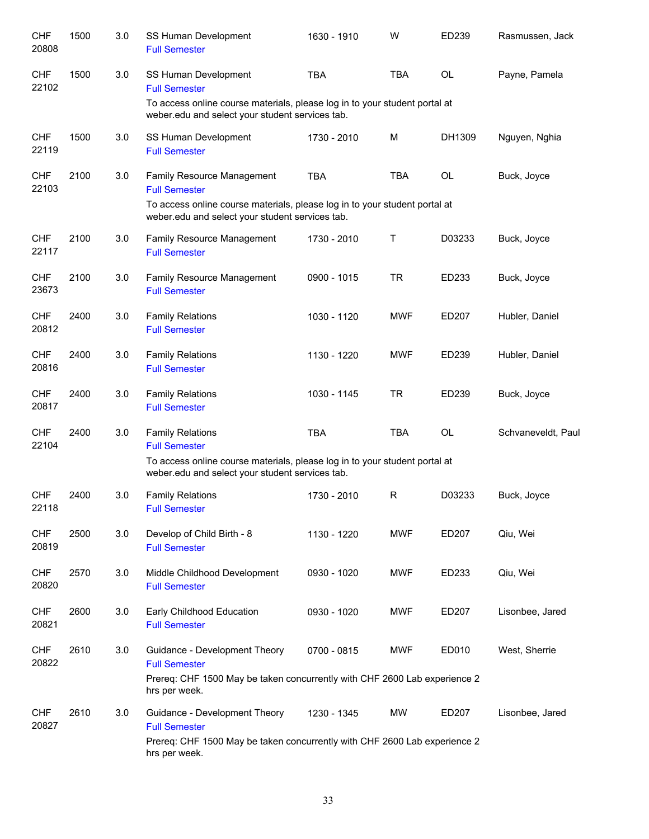| <b>CHF</b><br>20808 | 1500 | 3.0 | SS Human Development<br><b>Full Semester</b>                                                                                                        | 1630 - 1910 | W          | ED239     | Rasmussen, Jack    |
|---------------------|------|-----|-----------------------------------------------------------------------------------------------------------------------------------------------------|-------------|------------|-----------|--------------------|
| <b>CHF</b><br>22102 | 1500 | 3.0 | SS Human Development<br><b>Full Semester</b>                                                                                                        | <b>TBA</b>  | <b>TBA</b> | <b>OL</b> | Payne, Pamela      |
|                     |      |     | To access online course materials, please log in to your student portal at<br>weber.edu and select your student services tab.                       |             |            |           |                    |
| <b>CHF</b><br>22119 | 1500 | 3.0 | SS Human Development<br><b>Full Semester</b>                                                                                                        | 1730 - 2010 | M          | DH1309    | Nguyen, Nghia      |
| <b>CHF</b><br>22103 | 2100 | 3.0 | Family Resource Management<br><b>Full Semester</b>                                                                                                  | <b>TBA</b>  | <b>TBA</b> | OL        | Buck, Joyce        |
|                     |      |     | To access online course materials, please log in to your student portal at<br>weber.edu and select your student services tab.                       |             |            |           |                    |
| <b>CHF</b><br>22117 | 2100 | 3.0 | Family Resource Management<br><b>Full Semester</b>                                                                                                  | 1730 - 2010 | Τ          | D03233    | Buck, Joyce        |
| <b>CHF</b><br>23673 | 2100 | 3.0 | Family Resource Management<br><b>Full Semester</b>                                                                                                  | 0900 - 1015 | <b>TR</b>  | ED233     | Buck, Joyce        |
| <b>CHF</b><br>20812 | 2400 | 3.0 | <b>Family Relations</b><br><b>Full Semester</b>                                                                                                     | 1030 - 1120 | <b>MWF</b> | ED207     | Hubler, Daniel     |
| <b>CHF</b><br>20816 | 2400 | 3.0 | <b>Family Relations</b><br><b>Full Semester</b>                                                                                                     | 1130 - 1220 | <b>MWF</b> | ED239     | Hubler, Daniel     |
| <b>CHF</b><br>20817 | 2400 | 3.0 | <b>Family Relations</b><br><b>Full Semester</b>                                                                                                     | 1030 - 1145 | <b>TR</b>  | ED239     | Buck, Joyce        |
| <b>CHF</b><br>22104 | 2400 | 3.0 | <b>Family Relations</b><br><b>Full Semester</b>                                                                                                     | <b>TBA</b>  | <b>TBA</b> | OL        | Schvaneveldt, Paul |
|                     |      |     | To access online course materials, please log in to your student portal at<br>weber.edu and select your student services tab.                       |             |            |           |                    |
| <b>CHF</b><br>22118 | 2400 | 3.0 | <b>Family Relations</b><br><b>Full Semester</b>                                                                                                     | 1730 - 2010 | R          | D03233    | Buck, Joyce        |
| <b>CHF</b><br>20819 | 2500 | 3.0 | Develop of Child Birth - 8<br><b>Full Semester</b>                                                                                                  | 1130 - 1220 | <b>MWF</b> | ED207     | Qiu, Wei           |
| <b>CHF</b><br>20820 | 2570 | 3.0 | Middle Childhood Development<br><b>Full Semester</b>                                                                                                | 0930 - 1020 | <b>MWF</b> | ED233     | Qiu, Wei           |
| <b>CHF</b><br>20821 | 2600 | 3.0 | Early Childhood Education<br><b>Full Semester</b>                                                                                                   | 0930 - 1020 | <b>MWF</b> | ED207     | Lisonbee, Jared    |
| <b>CHF</b><br>20822 | 2610 | 3.0 | Guidance - Development Theory<br><b>Full Semester</b><br>Prereq: CHF 1500 May be taken concurrently with CHF 2600 Lab experience 2<br>hrs per week. | 0700 - 0815 | <b>MWF</b> | ED010     | West, Sherrie      |
| <b>CHF</b><br>20827 | 2610 | 3.0 | Guidance - Development Theory<br><b>Full Semester</b><br>Prereq: CHF 1500 May be taken concurrently with CHF 2600 Lab experience 2<br>hrs per week. | 1230 - 1345 | <b>MW</b>  | ED207     | Lisonbee, Jared    |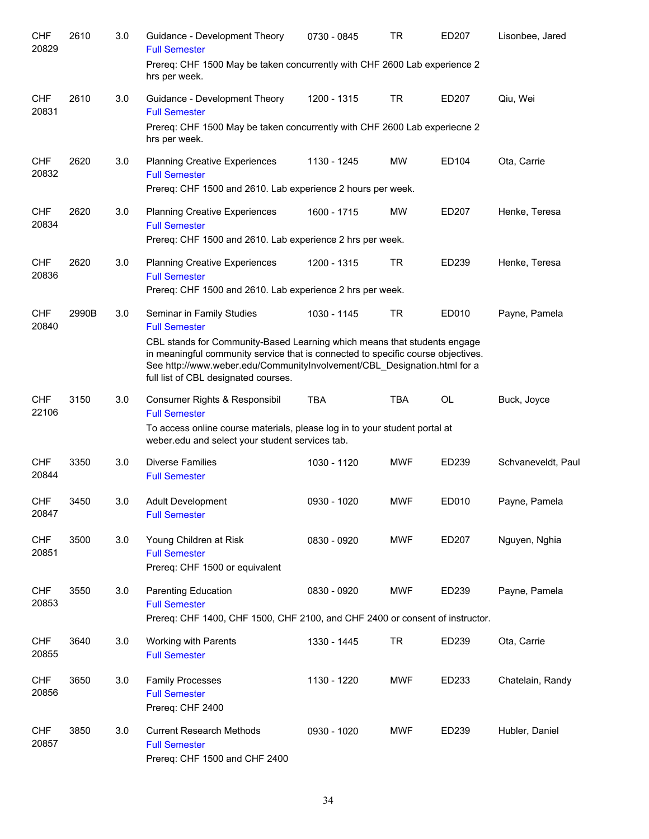| <b>CHF</b><br>20829 | 2610  | 3.0 | Guidance - Development Theory<br><b>Full Semester</b>                                                                                                                                                                                                                                                    | 0730 - 0845 | TR         | ED207     | Lisonbee, Jared    |
|---------------------|-------|-----|----------------------------------------------------------------------------------------------------------------------------------------------------------------------------------------------------------------------------------------------------------------------------------------------------------|-------------|------------|-----------|--------------------|
|                     |       |     | Prereq: CHF 1500 May be taken concurrently with CHF 2600 Lab experience 2<br>hrs per week.                                                                                                                                                                                                               |             |            |           |                    |
| <b>CHF</b><br>20831 | 2610  | 3.0 | Guidance - Development Theory<br><b>Full Semester</b>                                                                                                                                                                                                                                                    | 1200 - 1315 | <b>TR</b>  | ED207     | Qiu, Wei           |
|                     |       |     | Prereq: CHF 1500 May be taken concurrently with CHF 2600 Lab experiecne 2<br>hrs per week.                                                                                                                                                                                                               |             |            |           |                    |
| <b>CHF</b><br>20832 | 2620  | 3.0 | <b>Planning Creative Experiences</b><br><b>Full Semester</b><br>Prereq: CHF 1500 and 2610. Lab experience 2 hours per week.                                                                                                                                                                              | 1130 - 1245 | <b>MW</b>  | ED104     | Ota, Carrie        |
| <b>CHF</b><br>20834 | 2620  | 3.0 | <b>Planning Creative Experiences</b><br><b>Full Semester</b><br>Prereq: CHF 1500 and 2610. Lab experience 2 hrs per week.                                                                                                                                                                                | 1600 - 1715 | <b>MW</b>  | ED207     | Henke, Teresa      |
| <b>CHF</b><br>20836 | 2620  | 3.0 | <b>Planning Creative Experiences</b><br><b>Full Semester</b><br>Prereq: CHF 1500 and 2610. Lab experience 2 hrs per week.                                                                                                                                                                                | 1200 - 1315 | <b>TR</b>  | ED239     | Henke, Teresa      |
| <b>CHF</b>          | 2990B | 3.0 | Seminar in Family Studies                                                                                                                                                                                                                                                                                | 1030 - 1145 | <b>TR</b>  | ED010     | Payne, Pamela      |
| 20840               |       |     | <b>Full Semester</b><br>CBL stands for Community-Based Learning which means that students engage<br>in meaningful community service that is connected to specific course objectives.<br>See http://www.weber.edu/CommunityInvolvement/CBL_Designation.html for a<br>full list of CBL designated courses. |             |            |           |                    |
| <b>CHF</b><br>22106 | 3150  | 3.0 | Consumer Rights & Responsibil<br><b>Full Semester</b>                                                                                                                                                                                                                                                    | <b>TBA</b>  | <b>TBA</b> | <b>OL</b> | Buck, Joyce        |
|                     |       |     | To access online course materials, please log in to your student portal at<br>weber.edu and select your student services tab.                                                                                                                                                                            |             |            |           |                    |
| <b>CHF</b><br>20844 | 3350  | 3.0 | <b>Diverse Families</b><br><b>Full Semester</b>                                                                                                                                                                                                                                                          | 1030 - 1120 | <b>MWF</b> | ED239     | Schvaneveldt, Paul |
| <b>CHF</b><br>20847 | 3450  | 3.0 | <b>Adult Development</b><br><b>Full Semester</b>                                                                                                                                                                                                                                                         | 0930 - 1020 | <b>MWF</b> | ED010     | Payne, Pamela      |
| <b>CHF</b><br>20851 | 3500  | 3.0 | Young Children at Risk<br><b>Full Semester</b><br>Prereq: CHF 1500 or equivalent                                                                                                                                                                                                                         | 0830 - 0920 | MWF        | ED207     | Nguyen, Nghia      |
| <b>CHF</b><br>20853 | 3550  | 3.0 | <b>Parenting Education</b><br><b>Full Semester</b><br>Prereq: CHF 1400, CHF 1500, CHF 2100, and CHF 2400 or consent of instructor.                                                                                                                                                                       | 0830 - 0920 | <b>MWF</b> | ED239     | Payne, Pamela      |
| <b>CHF</b><br>20855 | 3640  | 3.0 | Working with Parents<br><b>Full Semester</b>                                                                                                                                                                                                                                                             | 1330 - 1445 | <b>TR</b>  | ED239     | Ota, Carrie        |
| <b>CHF</b><br>20856 | 3650  | 3.0 | <b>Family Processes</b><br><b>Full Semester</b><br>Prereq: CHF 2400                                                                                                                                                                                                                                      | 1130 - 1220 | <b>MWF</b> | ED233     | Chatelain, Randy   |
| <b>CHF</b><br>20857 | 3850  | 3.0 | <b>Current Research Methods</b><br><b>Full Semester</b><br>Prereq: CHF 1500 and CHF 2400                                                                                                                                                                                                                 | 0930 - 1020 | <b>MWF</b> | ED239     | Hubler, Daniel     |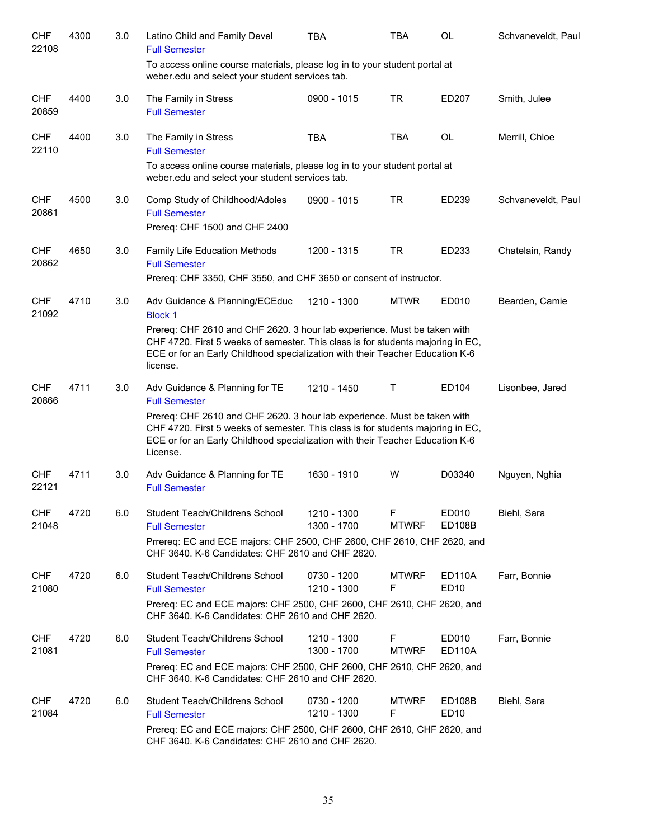| <b>CHF</b><br>22108 | 4300 | 3.0 | Latino Child and Family Devel<br><b>Full Semester</b>                                                                                                                                                                                                    | <b>TBA</b>                 | TBA               | <b>OL</b>                         | Schvaneveldt, Paul |
|---------------------|------|-----|----------------------------------------------------------------------------------------------------------------------------------------------------------------------------------------------------------------------------------------------------------|----------------------------|-------------------|-----------------------------------|--------------------|
|                     |      |     | To access online course materials, please log in to your student portal at<br>weber.edu and select your student services tab.                                                                                                                            |                            |                   |                                   |                    |
| <b>CHF</b><br>20859 | 4400 | 3.0 | The Family in Stress<br><b>Full Semester</b>                                                                                                                                                                                                             | 0900 - 1015                | <b>TR</b>         | ED207                             | Smith, Julee       |
| <b>CHF</b><br>22110 | 4400 | 3.0 | The Family in Stress<br><b>Full Semester</b>                                                                                                                                                                                                             | <b>TBA</b>                 | <b>TBA</b>        | <b>OL</b>                         | Merrill, Chloe     |
|                     |      |     | To access online course materials, please log in to your student portal at<br>weber.edu and select your student services tab.                                                                                                                            |                            |                   |                                   |                    |
| <b>CHF</b><br>20861 | 4500 | 3.0 | Comp Study of Childhood/Adoles<br><b>Full Semester</b><br>Prereq: CHF 1500 and CHF 2400                                                                                                                                                                  | 0900 - 1015                | <b>TR</b>         | ED239                             | Schvaneveldt, Paul |
| <b>CHF</b><br>20862 | 4650 | 3.0 | Family Life Education Methods<br><b>Full Semester</b><br>Prereq: CHF 3350, CHF 3550, and CHF 3650 or consent of instructor.                                                                                                                              | 1200 - 1315                | <b>TR</b>         | ED233                             | Chatelain, Randy   |
| <b>CHF</b><br>21092 | 4710 | 3.0 | Adv Guidance & Planning/ECEduc<br><b>Block 1</b>                                                                                                                                                                                                         | 1210 - 1300                | <b>MTWR</b>       | ED010                             | Bearden, Camie     |
|                     |      |     | Prereq: CHF 2610 and CHF 2620. 3 hour lab experience. Must be taken with<br>CHF 4720. First 5 weeks of semester. This class is for students majoring in EC,<br>ECE or for an Early Childhood specialization with their Teacher Education K-6<br>license. |                            |                   |                                   |                    |
| <b>CHF</b><br>20866 | 4711 | 3.0 | Adv Guidance & Planning for TE<br><b>Full Semester</b>                                                                                                                                                                                                   | 1210 - 1450                | Т                 | ED104                             | Lisonbee, Jared    |
|                     |      |     | Prereq: CHF 2610 and CHF 2620. 3 hour lab experience. Must be taken with<br>CHF 4720. First 5 weeks of semester. This class is for students majoring in EC,<br>ECE or for an Early Childhood specialization with their Teacher Education K-6<br>License. |                            |                   |                                   |                    |
| <b>CHF</b><br>22121 | 4711 | 3.0 | Adv Guidance & Planning for TE<br><b>Full Semester</b>                                                                                                                                                                                                   | 1630 - 1910                | W                 | D03340                            | Nguyen, Nghia      |
| <b>CHF</b><br>21048 | 4720 | 6.0 | Student Teach/Childrens School<br><b>Full Semester</b>                                                                                                                                                                                                   | 1210 - 1300<br>1300 - 1700 | F<br><b>MTWRF</b> | ED010<br><b>ED108B</b>            | Biehl, Sara        |
|                     |      |     | Prrereq: EC and ECE majors: CHF 2500, CHF 2600, CHF 2610, CHF 2620, and<br>CHF 3640. K-6 Candidates: CHF 2610 and CHF 2620.                                                                                                                              |                            |                   |                                   |                    |
| <b>CHF</b><br>21080 | 4720 | 6.0 | Student Teach/Childrens School<br><b>Full Semester</b>                                                                                                                                                                                                   | 0730 - 1200<br>1210 - 1300 | <b>MTWRF</b><br>F | <b>ED110A</b><br>ED <sub>10</sub> | Farr, Bonnie       |
|                     |      |     | Prereq: EC and ECE majors: CHF 2500, CHF 2600, CHF 2610, CHF 2620, and<br>CHF 3640. K-6 Candidates: CHF 2610 and CHF 2620.                                                                                                                               |                            |                   |                                   |                    |
| <b>CHF</b><br>21081 | 4720 | 6.0 | Student Teach/Childrens School<br><b>Full Semester</b>                                                                                                                                                                                                   | 1210 - 1300<br>1300 - 1700 | F<br><b>MTWRF</b> | ED010<br><b>ED110A</b>            | Farr, Bonnie       |
|                     |      |     | Prereq: EC and ECE majors: CHF 2500, CHF 2600, CHF 2610, CHF 2620, and<br>CHF 3640. K-6 Candidates: CHF 2610 and CHF 2620.                                                                                                                               |                            |                   |                                   |                    |
| <b>CHF</b><br>21084 | 4720 | 6.0 | Student Teach/Childrens School<br><b>Full Semester</b>                                                                                                                                                                                                   | 0730 - 1200<br>1210 - 1300 | <b>MTWRF</b><br>F | ED108B<br>ED <sub>10</sub>        | Biehl, Sara        |
|                     |      |     | Prereq: EC and ECE majors: CHF 2500, CHF 2600, CHF 2610, CHF 2620, and<br>CHF 3640. K-6 Candidates: CHF 2610 and CHF 2620.                                                                                                                               |                            |                   |                                   |                    |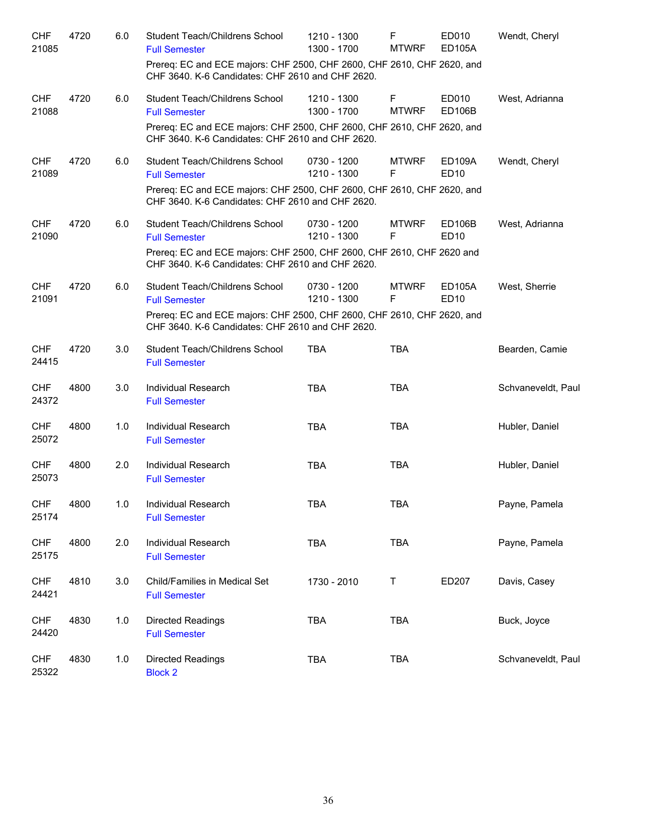| <b>CHF</b><br>21085 | 4720 | 6.0 | Student Teach/Childrens School<br><b>Full Semester</b><br>Prereq: EC and ECE majors: CHF 2500, CHF 2600, CHF 2610, CHF 2620, and<br>CHF 3640. K-6 Candidates: CHF 2610 and CHF 2620. | 1210 - 1300<br>1300 - 1700 | F<br><b>MTWRF</b> | ED010<br><b>ED105A</b>            | Wendt, Cheryl      |
|---------------------|------|-----|--------------------------------------------------------------------------------------------------------------------------------------------------------------------------------------|----------------------------|-------------------|-----------------------------------|--------------------|
| <b>CHF</b><br>21088 | 4720 | 6.0 | Student Teach/Childrens School<br><b>Full Semester</b><br>Prereq: EC and ECE majors: CHF 2500, CHF 2600, CHF 2610, CHF 2620, and                                                     | 1210 - 1300<br>1300 - 1700 | F<br><b>MTWRF</b> | ED010<br><b>ED106B</b>            | West, Adrianna     |
|                     |      |     | CHF 3640. K-6 Candidates: CHF 2610 and CHF 2620.                                                                                                                                     |                            |                   |                                   |                    |
| <b>CHF</b><br>21089 | 4720 | 6.0 | Student Teach/Childrens School<br><b>Full Semester</b>                                                                                                                               | 0730 - 1200<br>1210 - 1300 | <b>MTWRF</b><br>F | ED109A<br><b>ED10</b>             | Wendt, Cheryl      |
|                     |      |     | Prereq: EC and ECE majors: CHF 2500, CHF 2600, CHF 2610, CHF 2620, and<br>CHF 3640. K-6 Candidates: CHF 2610 and CHF 2620.                                                           |                            |                   |                                   |                    |
| <b>CHF</b><br>21090 | 4720 | 6.0 | Student Teach/Childrens School<br><b>Full Semester</b>                                                                                                                               | 0730 - 1200<br>1210 - 1300 | <b>MTWRF</b><br>F | <b>ED106B</b><br>ED <sub>10</sub> | West, Adrianna     |
|                     |      |     | Prereq: EC and ECE majors: CHF 2500, CHF 2600, CHF 2610, CHF 2620 and<br>CHF 3640. K-6 Candidates: CHF 2610 and CHF 2620.                                                            |                            |                   |                                   |                    |
| <b>CHF</b><br>21091 | 4720 | 6.0 | Student Teach/Childrens School<br><b>Full Semester</b>                                                                                                                               | 0730 - 1200<br>1210 - 1300 | <b>MTWRF</b><br>F | ED105A<br>ED <sub>10</sub>        | West, Sherrie      |
|                     |      |     | Prereq: EC and ECE majors: CHF 2500, CHF 2600, CHF 2610, CHF 2620, and<br>CHF 3640. K-6 Candidates: CHF 2610 and CHF 2620.                                                           |                            |                   |                                   |                    |
| <b>CHF</b><br>24415 | 4720 | 3.0 | Student Teach/Childrens School<br><b>Full Semester</b>                                                                                                                               | <b>TBA</b>                 | <b>TBA</b>        |                                   | Bearden, Camie     |
| <b>CHF</b><br>24372 | 4800 | 3.0 | Individual Research<br><b>Full Semester</b>                                                                                                                                          | <b>TBA</b>                 | <b>TBA</b>        |                                   | Schvaneveldt, Paul |
| <b>CHF</b><br>25072 | 4800 | 1.0 | Individual Research<br><b>Full Semester</b>                                                                                                                                          | <b>TBA</b>                 | <b>TBA</b>        |                                   | Hubler, Daniel     |
| <b>CHF</b><br>25073 | 4800 | 2.0 | Individual Research<br><b>Full Semester</b>                                                                                                                                          | <b>TBA</b>                 | <b>TBA</b>        |                                   | Hubler, Daniel     |
| <b>CHF</b><br>25174 | 4800 | 1.0 | Individual Research<br><b>Full Semester</b>                                                                                                                                          | <b>TBA</b>                 | TBA               |                                   | Payne, Pamela      |
| <b>CHF</b><br>25175 | 4800 | 2.0 | Individual Research<br><b>Full Semester</b>                                                                                                                                          | <b>TBA</b>                 | <b>TBA</b>        |                                   | Payne, Pamela      |
| <b>CHF</b><br>24421 | 4810 | 3.0 | Child/Families in Medical Set<br><b>Full Semester</b>                                                                                                                                | 1730 - 2010                | $\top$            | ED207                             | Davis, Casey       |
| <b>CHF</b><br>24420 | 4830 | 1.0 | Directed Readings<br><b>Full Semester</b>                                                                                                                                            | <b>TBA</b>                 | <b>TBA</b>        |                                   | Buck, Joyce        |
| <b>CHF</b><br>25322 | 4830 | 1.0 | Directed Readings<br><b>Block 2</b>                                                                                                                                                  | <b>TBA</b>                 | <b>TBA</b>        |                                   | Schvaneveldt, Paul |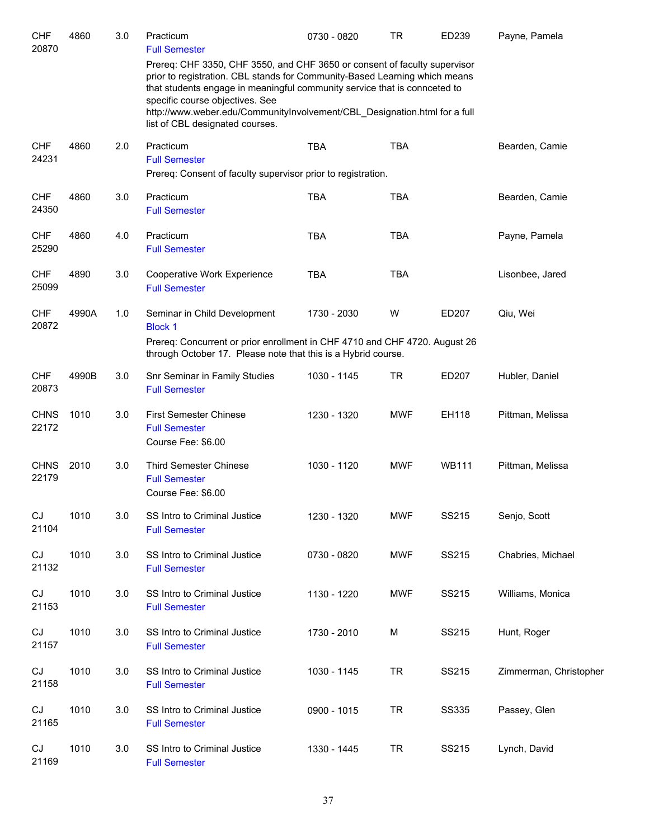| <b>CHF</b><br>20870  | 4860  | 3.0 | Practicum<br><b>Full Semester</b>                                                                                                                                                                                                                                                                                                                                                       | 0730 - 0820 | <b>TR</b>  | ED239        | Payne, Pamela          |
|----------------------|-------|-----|-----------------------------------------------------------------------------------------------------------------------------------------------------------------------------------------------------------------------------------------------------------------------------------------------------------------------------------------------------------------------------------------|-------------|------------|--------------|------------------------|
|                      |       |     | Prereq: CHF 3350, CHF 3550, and CHF 3650 or consent of faculty supervisor<br>prior to registration. CBL stands for Community-Based Learning which means<br>that students engage in meaningful community service that is connceted to<br>specific course objectives. See<br>http://www.weber.edu/CommunityInvolvement/CBL_Designation.html for a full<br>list of CBL designated courses. |             |            |              |                        |
| <b>CHF</b><br>24231  | 4860  | 2.0 | Practicum<br><b>Full Semester</b><br>Prereq: Consent of faculty supervisor prior to registration.                                                                                                                                                                                                                                                                                       | <b>TBA</b>  | <b>TBA</b> |              | Bearden, Camie         |
| <b>CHF</b><br>24350  | 4860  | 3.0 | Practicum<br><b>Full Semester</b>                                                                                                                                                                                                                                                                                                                                                       | <b>TBA</b>  | <b>TBA</b> |              | Bearden, Camie         |
| <b>CHF</b><br>25290  | 4860  | 4.0 | Practicum<br><b>Full Semester</b>                                                                                                                                                                                                                                                                                                                                                       | <b>TBA</b>  | <b>TBA</b> |              | Payne, Pamela          |
| <b>CHF</b><br>25099  | 4890  | 3.0 | Cooperative Work Experience<br><b>Full Semester</b>                                                                                                                                                                                                                                                                                                                                     | <b>TBA</b>  | <b>TBA</b> |              | Lisonbee, Jared        |
| <b>CHF</b><br>20872  | 4990A | 1.0 | Seminar in Child Development<br><b>Block 1</b><br>Prereq: Concurrent or prior enrollment in CHF 4710 and CHF 4720. August 26<br>through October 17. Please note that this is a Hybrid course.                                                                                                                                                                                           | 1730 - 2030 | W          | ED207        | Qiu, Wei               |
| <b>CHF</b><br>20873  | 4990B | 3.0 | Snr Seminar in Family Studies<br><b>Full Semester</b>                                                                                                                                                                                                                                                                                                                                   | 1030 - 1145 | <b>TR</b>  | ED207        | Hubler, Daniel         |
| <b>CHNS</b><br>22172 | 1010  | 3.0 | <b>First Semester Chinese</b><br><b>Full Semester</b><br>Course Fee: \$6.00                                                                                                                                                                                                                                                                                                             | 1230 - 1320 | <b>MWF</b> | EH118        | Pittman, Melissa       |
| <b>CHNS</b><br>22179 | 2010  | 3.0 | <b>Third Semester Chinese</b><br><b>Full Semester</b><br>Course Fee: \$6.00                                                                                                                                                                                                                                                                                                             | 1030 - 1120 | <b>MWF</b> | <b>WB111</b> | Pittman, Melissa       |
| CJ<br>21104          | 1010  | 3.0 | SS Intro to Criminal Justice<br><b>Full Semester</b>                                                                                                                                                                                                                                                                                                                                    | 1230 - 1320 | <b>MWF</b> | SS215        | Senjo, Scott           |
| CJ<br>21132          | 1010  | 3.0 | SS Intro to Criminal Justice<br><b>Full Semester</b>                                                                                                                                                                                                                                                                                                                                    | 0730 - 0820 | <b>MWF</b> | SS215        | Chabries, Michael      |
| CJ<br>21153          | 1010  | 3.0 | SS Intro to Criminal Justice<br><b>Full Semester</b>                                                                                                                                                                                                                                                                                                                                    | 1130 - 1220 | <b>MWF</b> | SS215        | Williams, Monica       |
| CJ<br>21157          | 1010  | 3.0 | SS Intro to Criminal Justice<br><b>Full Semester</b>                                                                                                                                                                                                                                                                                                                                    | 1730 - 2010 | М          | SS215        | Hunt, Roger            |
| CJ<br>21158          | 1010  | 3.0 | SS Intro to Criminal Justice<br><b>Full Semester</b>                                                                                                                                                                                                                                                                                                                                    | 1030 - 1145 | <b>TR</b>  | SS215        | Zimmerman, Christopher |
| CJ<br>21165          | 1010  | 3.0 | SS Intro to Criminal Justice<br><b>Full Semester</b>                                                                                                                                                                                                                                                                                                                                    | 0900 - 1015 | <b>TR</b>  | <b>SS335</b> | Passey, Glen           |
| CJ<br>21169          | 1010  | 3.0 | SS Intro to Criminal Justice<br><b>Full Semester</b>                                                                                                                                                                                                                                                                                                                                    | 1330 - 1445 | <b>TR</b>  | SS215        | Lynch, David           |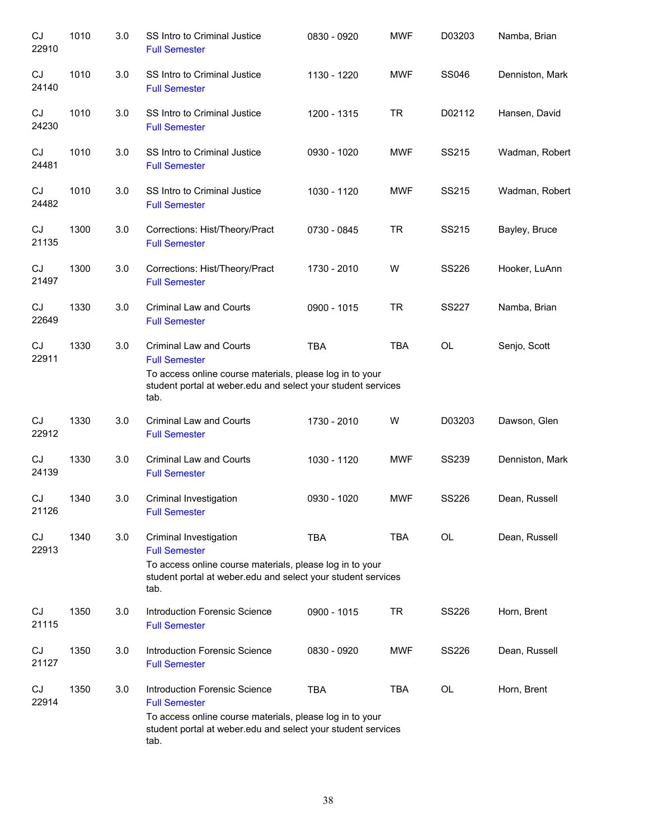| CJ<br>22910 | 1010 | 3.0 | SS Intro to Criminal Justice<br><b>Full Semester</b>                                                                                                                                       | 0830 - 0920   | <b>MWF</b> | D03203       | Namba, Brian    |
|-------------|------|-----|--------------------------------------------------------------------------------------------------------------------------------------------------------------------------------------------|---------------|------------|--------------|-----------------|
| CJ<br>24140 | 1010 | 3.0 | SS Intro to Criminal Justice<br><b>Full Semester</b>                                                                                                                                       | 1130 - 1220   | <b>MWF</b> | <b>SS046</b> | Denniston, Mark |
| CJ<br>24230 | 1010 | 3.0 | SS Intro to Criminal Justice<br><b>Full Semester</b>                                                                                                                                       | 1200 - 1315   | <b>TR</b>  | D02112       | Hansen, David   |
| CJ<br>24481 | 1010 | 3.0 | SS Intro to Criminal Justice<br><b>Full Semester</b>                                                                                                                                       | 0930 - 1020   | <b>MWF</b> | SS215        | Wadman, Robert  |
| CJ<br>24482 | 1010 | 3.0 | SS Intro to Criminal Justice<br><b>Full Semester</b>                                                                                                                                       | 1030 - 1120   | <b>MWF</b> | SS215        | Wadman, Robert  |
| CJ<br>21135 | 1300 | 3.0 | Corrections: Hist/Theory/Pract<br><b>Full Semester</b>                                                                                                                                     | 0730 - 0845   | <b>TR</b>  | SS215        | Bayley, Bruce   |
| CJ<br>21497 | 1300 | 3.0 | Corrections: Hist/Theory/Pract<br><b>Full Semester</b>                                                                                                                                     | 1730 - 2010   | W          | <b>SS226</b> | Hooker, LuAnn   |
| CJ<br>22649 | 1330 | 3.0 | <b>Criminal Law and Courts</b><br><b>Full Semester</b>                                                                                                                                     | $0900 - 1015$ | <b>TR</b>  | <b>SS227</b> | Namba, Brian    |
| CJ<br>22911 | 1330 | 3.0 | <b>Criminal Law and Courts</b><br><b>Full Semester</b><br>To access online course materials, please log in to your<br>student portal at weber edu and select your student services<br>tab. | <b>TBA</b>    | <b>TBA</b> | <b>OL</b>    | Senjo, Scott    |
| CJ<br>22912 | 1330 | 3.0 | <b>Criminal Law and Courts</b><br><b>Full Semester</b>                                                                                                                                     | 1730 - 2010   | W          | D03203       | Dawson, Glen    |
| CJ<br>24139 | 1330 | 3.0 | <b>Criminal Law and Courts</b><br><b>Full Semester</b>                                                                                                                                     | 1030 - 1120   | <b>MWF</b> | <b>SS239</b> | Denniston, Mark |
| CJ<br>21126 | 1340 | 3.0 | Criminal Investigation<br><b>Full Semester</b>                                                                                                                                             | 0930 - 1020   | <b>MWF</b> | <b>SS226</b> | Dean, Russell   |
| CJ<br>22913 | 1340 | 3.0 | Criminal Investigation<br><b>Full Semester</b><br>To access online course materials, please log in to your<br>student portal at weber edu and select your student services<br>tab.         | <b>TBA</b>    | <b>TBA</b> | <b>OL</b>    | Dean, Russell   |
| CJ<br>21115 | 1350 | 3.0 | <b>Introduction Forensic Science</b><br><b>Full Semester</b>                                                                                                                               | 0900 - 1015   | <b>TR</b>  | <b>SS226</b> | Horn, Brent     |
| CJ<br>21127 | 1350 | 3.0 | Introduction Forensic Science<br><b>Full Semester</b>                                                                                                                                      | 0830 - 0920   | <b>MWF</b> | <b>SS226</b> | Dean, Russell   |
| CJ<br>22914 | 1350 | 3.0 | Introduction Forensic Science<br><b>Full Semester</b><br>To access online course materials, please log in to your<br>student portal at weber edu and select your student services<br>tab.  | <b>TBA</b>    | <b>TBA</b> | OL           | Horn, Brent     |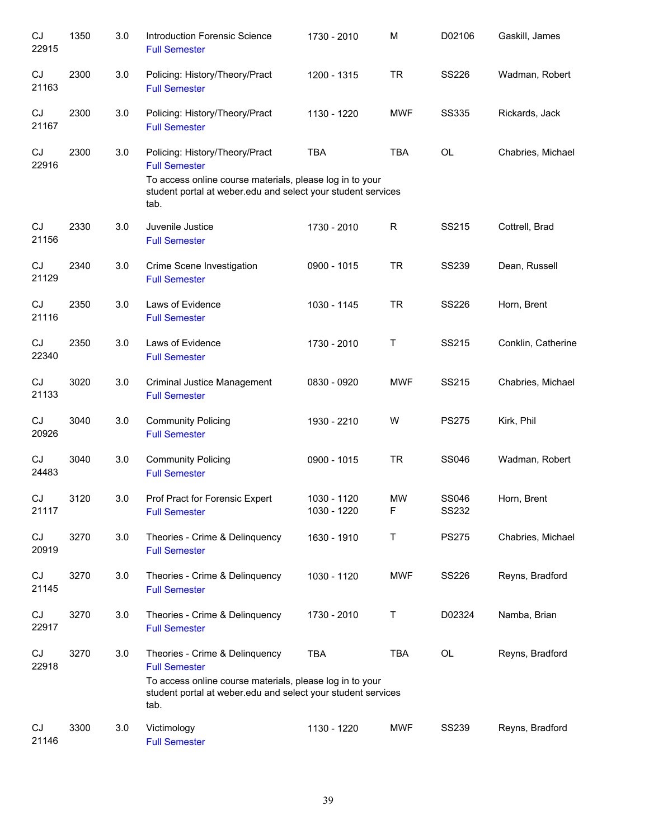| CJ<br>22915 | 1350 | 3.0 | <b>Introduction Forensic Science</b><br><b>Full Semester</b>                                                                                                                               | 1730 - 2010                | M                 | D02106                       | Gaskill, James     |
|-------------|------|-----|--------------------------------------------------------------------------------------------------------------------------------------------------------------------------------------------|----------------------------|-------------------|------------------------------|--------------------|
| CJ<br>21163 | 2300 | 3.0 | Policing: History/Theory/Pract<br><b>Full Semester</b>                                                                                                                                     | 1200 - 1315                | <b>TR</b>         | SS226                        | Wadman, Robert     |
| CJ<br>21167 | 2300 | 3.0 | Policing: History/Theory/Pract<br><b>Full Semester</b>                                                                                                                                     | 1130 - 1220                | <b>MWF</b>        | <b>SS335</b>                 | Rickards, Jack     |
| CJ<br>22916 | 2300 | 3.0 | Policing: History/Theory/Pract<br><b>Full Semester</b><br>To access online course materials, please log in to your<br>student portal at weber edu and select your student services<br>tab. | <b>TBA</b>                 | <b>TBA</b>        | <b>OL</b>                    | Chabries, Michael  |
| CJ<br>21156 | 2330 | 3.0 | Juvenile Justice<br><b>Full Semester</b>                                                                                                                                                   | 1730 - 2010                | R                 | SS215                        | Cottrell, Brad     |
| CJ<br>21129 | 2340 | 3.0 | Crime Scene Investigation<br><b>Full Semester</b>                                                                                                                                          | 0900 - 1015                | <b>TR</b>         | <b>SS239</b>                 | Dean, Russell      |
| CJ<br>21116 | 2350 | 3.0 | Laws of Evidence<br><b>Full Semester</b>                                                                                                                                                   | 1030 - 1145                | <b>TR</b>         | <b>SS226</b>                 | Horn, Brent        |
| CJ<br>22340 | 2350 | 3.0 | Laws of Evidence<br><b>Full Semester</b>                                                                                                                                                   | 1730 - 2010                | Τ                 | SS215                        | Conklin, Catherine |
| CJ<br>21133 | 3020 | 3.0 | Criminal Justice Management<br><b>Full Semester</b>                                                                                                                                        | 0830 - 0920                | <b>MWF</b>        | SS215                        | Chabries, Michael  |
| CJ<br>20926 | 3040 | 3.0 | <b>Community Policing</b><br><b>Full Semester</b>                                                                                                                                          | 1930 - 2210                | W                 | <b>PS275</b>                 | Kirk, Phil         |
| CJ<br>24483 | 3040 | 3.0 | <b>Community Policing</b><br><b>Full Semester</b>                                                                                                                                          | 0900 - 1015                | <b>TR</b>         | <b>SS046</b>                 | Wadman, Robert     |
| CJ<br>21117 | 3120 | 3.0 | Prof Pract for Forensic Expert<br><b>Full Semester</b>                                                                                                                                     | 1030 - 1120<br>1030 - 1220 | MW<br>$\mathsf F$ | <b>SS046</b><br><b>SS232</b> | Horn, Brent        |
| CJ<br>20919 | 3270 | 3.0 | Theories - Crime & Delinquency<br><b>Full Semester</b>                                                                                                                                     | 1630 - 1910                | Т                 | <b>PS275</b>                 | Chabries, Michael  |
| CJ<br>21145 | 3270 | 3.0 | Theories - Crime & Delinquency<br><b>Full Semester</b>                                                                                                                                     | 1030 - 1120                | <b>MWF</b>        | <b>SS226</b>                 | Reyns, Bradford    |
| CJ<br>22917 | 3270 | 3.0 | Theories - Crime & Delinquency<br><b>Full Semester</b>                                                                                                                                     | 1730 - 2010                | Τ                 | D02324                       | Namba, Brian       |
| CJ<br>22918 | 3270 | 3.0 | Theories - Crime & Delinquency<br><b>Full Semester</b><br>To access online course materials, please log in to your<br>student portal at weber edu and select your student services<br>tab. | <b>TBA</b>                 | <b>TBA</b>        | <b>OL</b>                    | Reyns, Bradford    |
| CJ<br>21146 | 3300 | 3.0 | Victimology<br><b>Full Semester</b>                                                                                                                                                        | 1130 - 1220                | MWF               | <b>SS239</b>                 | Reyns, Bradford    |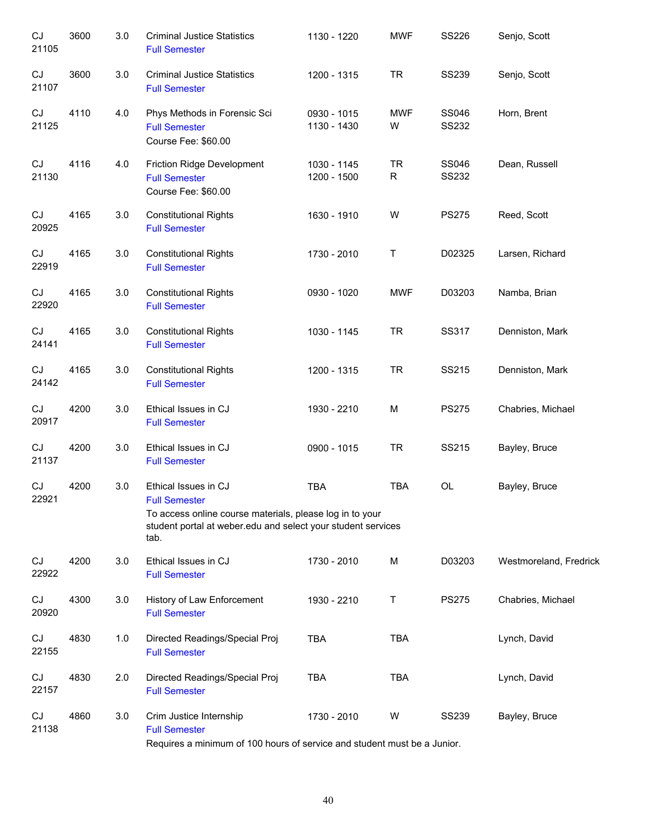| CJ<br>21105                | 3600 | 3.0 | <b>Criminal Justice Statistics</b><br><b>Full Semester</b>                                                                                                                       | 1130 - 1220                | <b>MWF</b>      | <b>SS226</b>   | Senjo, Scott           |
|----------------------------|------|-----|----------------------------------------------------------------------------------------------------------------------------------------------------------------------------------|----------------------------|-----------------|----------------|------------------------|
| CJ<br>21107                | 3600 | 3.0 | <b>Criminal Justice Statistics</b><br><b>Full Semester</b>                                                                                                                       | 1200 - 1315                | <b>TR</b>       | <b>SS239</b>   | Senjo, Scott           |
| CJ<br>21125                | 4110 | 4.0 | Phys Methods in Forensic Sci<br><b>Full Semester</b><br>Course Fee: \$60.00                                                                                                      | 0930 - 1015<br>1130 - 1430 | <b>MWF</b><br>W | SS046<br>SS232 | Horn, Brent            |
| CJ<br>21130                | 4116 | 4.0 | Friction Ridge Development<br><b>Full Semester</b><br>Course Fee: \$60.00                                                                                                        | 1030 - 1145<br>1200 - 1500 | <b>TR</b><br>R  | SS046<br>SS232 | Dean, Russell          |
| CJ<br>20925                | 4165 | 3.0 | <b>Constitutional Rights</b><br><b>Full Semester</b>                                                                                                                             | 1630 - 1910                | W               | <b>PS275</b>   | Reed, Scott            |
| CJ<br>22919                | 4165 | 3.0 | <b>Constitutional Rights</b><br><b>Full Semester</b>                                                                                                                             | 1730 - 2010                | $\sf T$         | D02325         | Larsen, Richard        |
| CJ<br>22920                | 4165 | 3.0 | <b>Constitutional Rights</b><br><b>Full Semester</b>                                                                                                                             | 0930 - 1020                | <b>MWF</b>      | D03203         | Namba, Brian           |
| CJ<br>24141                | 4165 | 3.0 | <b>Constitutional Rights</b><br><b>Full Semester</b>                                                                                                                             | 1030 - 1145                | <b>TR</b>       | <b>SS317</b>   | Denniston, Mark        |
| $\mathop{\rm CJ}$<br>24142 | 4165 | 3.0 | <b>Constitutional Rights</b><br><b>Full Semester</b>                                                                                                                             | 1200 - 1315                | <b>TR</b>       | SS215          | Denniston, Mark        |
| CJ<br>20917                | 4200 | 3.0 | Ethical Issues in CJ<br><b>Full Semester</b>                                                                                                                                     | 1930 - 2210                | М               | <b>PS275</b>   | Chabries, Michael      |
| CJ<br>21137                | 4200 | 3.0 | Ethical Issues in CJ<br><b>Full Semester</b>                                                                                                                                     | 0900 - 1015                | <b>TR</b>       | SS215          | Bayley, Bruce          |
| CJ<br>22921                | 4200 | 3.0 | Ethical Issues in CJ<br><b>Full Semester</b><br>To access online course materials, please log in to your<br>student portal at weber edu and select your student services<br>tab. | <b>TBA</b>                 | <b>TBA</b>      | OL             | Bayley, Bruce          |
| CJ<br>22922                | 4200 | 3.0 | Ethical Issues in CJ<br><b>Full Semester</b>                                                                                                                                     | 1730 - 2010                | M               | D03203         | Westmoreland, Fredrick |
| CJ<br>20920                | 4300 | 3.0 | History of Law Enforcement<br><b>Full Semester</b>                                                                                                                               | 1930 - 2210                | $\mathsf{T}$    | <b>PS275</b>   | Chabries, Michael      |
| CJ<br>22155                | 4830 | 1.0 | Directed Readings/Special Proj<br><b>Full Semester</b>                                                                                                                           | <b>TBA</b>                 | <b>TBA</b>      |                | Lynch, David           |
| CJ<br>22157                | 4830 | 2.0 | Directed Readings/Special Proj<br><b>Full Semester</b>                                                                                                                           | <b>TBA</b>                 | <b>TBA</b>      |                | Lynch, David           |
| CJ<br>21138                | 4860 | 3.0 | Crim Justice Internship<br><b>Full Semester</b><br>Requires a minimum of 100 hours of service and student must be a Junior.                                                      | 1730 - 2010                | W               | <b>SS239</b>   | Bayley, Bruce          |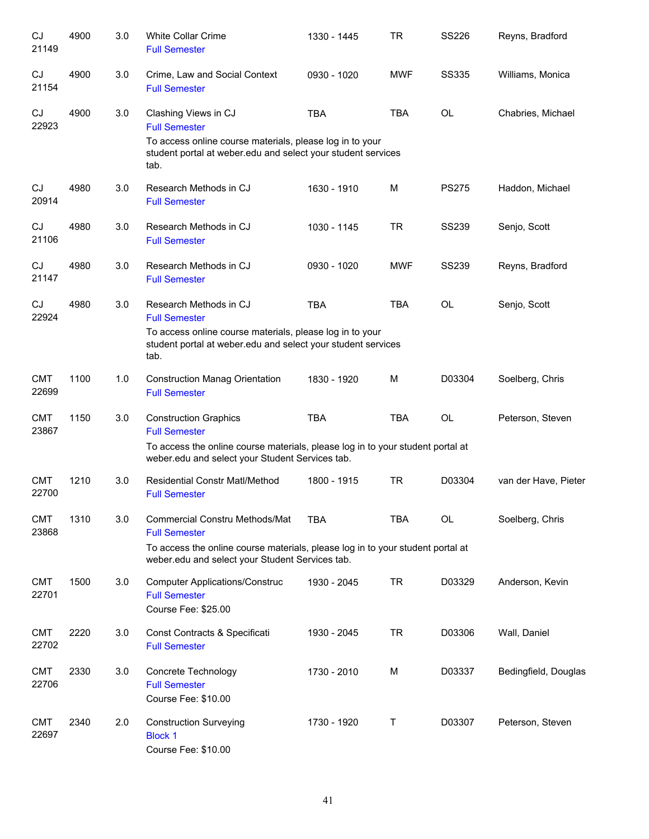| CJ<br>21149         | 4900 | 3.0 | <b>White Collar Crime</b><br><b>Full Semester</b>                                                                                                                                                  | 1330 - 1445 | <b>TR</b>  | <b>SS226</b> | Reyns, Bradford      |
|---------------------|------|-----|----------------------------------------------------------------------------------------------------------------------------------------------------------------------------------------------------|-------------|------------|--------------|----------------------|
| CJ<br>21154         | 4900 | 3.0 | Crime, Law and Social Context<br><b>Full Semester</b>                                                                                                                                              | 0930 - 1020 | <b>MWF</b> | <b>SS335</b> | Williams, Monica     |
| CJ<br>22923         | 4900 | 3.0 | Clashing Views in CJ<br><b>Full Semester</b><br>To access online course materials, please log in to your<br>student portal at weber edu and select your student services<br>tab.                   | <b>TBA</b>  | <b>TBA</b> | <b>OL</b>    | Chabries, Michael    |
| CJ<br>20914         | 4980 | 3.0 | Research Methods in CJ<br><b>Full Semester</b>                                                                                                                                                     | 1630 - 1910 | M          | <b>PS275</b> | Haddon, Michael      |
| CJ<br>21106         | 4980 | 3.0 | Research Methods in CJ<br><b>Full Semester</b>                                                                                                                                                     | 1030 - 1145 | <b>TR</b>  | <b>SS239</b> | Senjo, Scott         |
| CJ<br>21147         | 4980 | 3.0 | Research Methods in CJ<br><b>Full Semester</b>                                                                                                                                                     | 0930 - 1020 | <b>MWF</b> | <b>SS239</b> | Reyns, Bradford      |
| CJ<br>22924         | 4980 | 3.0 | Research Methods in CJ<br><b>Full Semester</b><br>To access online course materials, please log in to your<br>student portal at weber edu and select your student services<br>tab.                 | <b>TBA</b>  | <b>TBA</b> | OL           | Senjo, Scott         |
| <b>CMT</b><br>22699 | 1100 | 1.0 | <b>Construction Manag Orientation</b><br><b>Full Semester</b>                                                                                                                                      | 1830 - 1920 | M          | D03304       | Soelberg, Chris      |
| <b>CMT</b><br>23867 | 1150 | 3.0 | <b>Construction Graphics</b><br><b>Full Semester</b><br>To access the online course materials, please log in to your student portal at<br>weber.edu and select your Student Services tab.          | <b>TBA</b>  | <b>TBA</b> | <b>OL</b>    | Peterson, Steven     |
| <b>CMT</b><br>22700 | 1210 | 3.0 | <b>Residential Constr Matl/Method</b><br><b>Full Semester</b>                                                                                                                                      | 1800 - 1915 | <b>TR</b>  | D03304       | van der Have, Pieter |
| <b>CMT</b><br>23868 | 1310 | 3.0 | <b>Commercial Constru Methods/Mat</b><br><b>Full Semester</b><br>To access the online course materials, please log in to your student portal at<br>weber.edu and select your Student Services tab. | <b>TBA</b>  | <b>TBA</b> | OL           | Soelberg, Chris      |
| <b>CMT</b><br>22701 | 1500 | 3.0 | <b>Computer Applications/Construc</b><br><b>Full Semester</b><br>Course Fee: \$25.00                                                                                                               | 1930 - 2045 | <b>TR</b>  | D03329       | Anderson, Kevin      |
| <b>CMT</b><br>22702 | 2220 | 3.0 | Const Contracts & Specificati<br><b>Full Semester</b>                                                                                                                                              | 1930 - 2045 | <b>TR</b>  | D03306       | Wall, Daniel         |
| <b>CMT</b><br>22706 | 2330 | 3.0 | Concrete Technology<br><b>Full Semester</b><br>Course Fee: \$10.00                                                                                                                                 | 1730 - 2010 | M          | D03337       | Bedingfield, Douglas |
| <b>CMT</b><br>22697 | 2340 | 2.0 | <b>Construction Surveying</b><br><b>Block 1</b><br>Course Fee: \$10.00                                                                                                                             | 1730 - 1920 | Τ          | D03307       | Peterson, Steven     |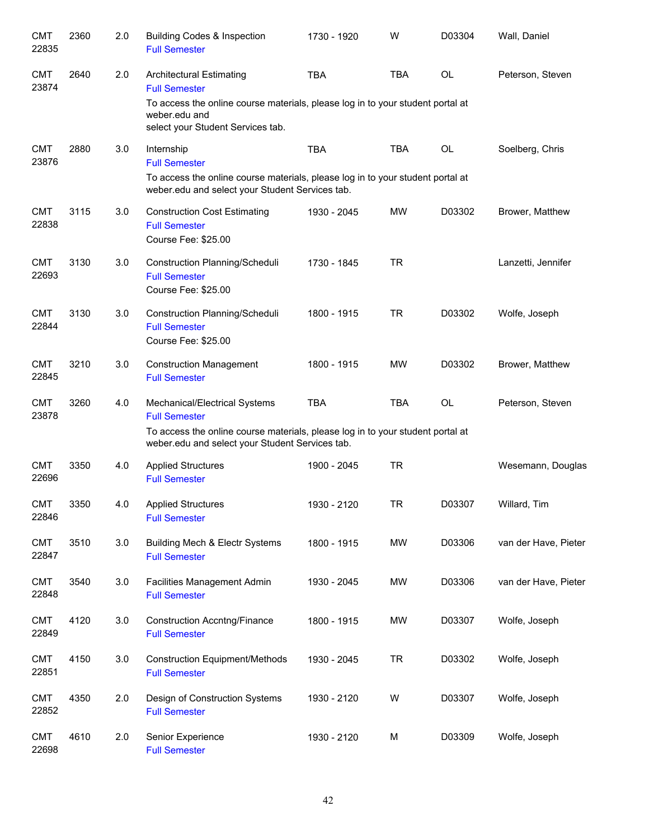| <b>CMT</b><br>22835 | 2360 | 2.0 | <b>Building Codes &amp; Inspection</b><br><b>Full Semester</b>                                                                                                                             | 1730 - 1920 | W          | D03304    | Wall, Daniel         |
|---------------------|------|-----|--------------------------------------------------------------------------------------------------------------------------------------------------------------------------------------------|-------------|------------|-----------|----------------------|
| <b>CMT</b><br>23874 | 2640 | 2.0 | <b>Architectural Estimating</b><br><b>Full Semester</b>                                                                                                                                    | <b>TBA</b>  | <b>TBA</b> | <b>OL</b> | Peterson, Steven     |
|                     |      |     | To access the online course materials, please log in to your student portal at<br>weber.edu and<br>select your Student Services tab.                                                       |             |            |           |                      |
| <b>CMT</b><br>23876 | 2880 | 3.0 | Internship<br><b>Full Semester</b><br>To access the online course materials, please log in to your student portal at<br>weber.edu and select your Student Services tab.                    | <b>TBA</b>  | <b>TBA</b> | OL        | Soelberg, Chris      |
| <b>CMT</b><br>22838 | 3115 | 3.0 | <b>Construction Cost Estimating</b><br><b>Full Semester</b><br>Course Fee: \$25.00                                                                                                         | 1930 - 2045 | <b>MW</b>  | D03302    | Brower, Matthew      |
| <b>CMT</b><br>22693 | 3130 | 3.0 | Construction Planning/Scheduli<br><b>Full Semester</b><br>Course Fee: \$25.00                                                                                                              | 1730 - 1845 | <b>TR</b>  |           | Lanzetti, Jennifer   |
| <b>CMT</b><br>22844 | 3130 | 3.0 | Construction Planning/Scheduli<br><b>Full Semester</b><br>Course Fee: \$25.00                                                                                                              | 1800 - 1915 | <b>TR</b>  | D03302    | Wolfe, Joseph        |
| <b>CMT</b><br>22845 | 3210 | 3.0 | <b>Construction Management</b><br><b>Full Semester</b>                                                                                                                                     | 1800 - 1915 | <b>MW</b>  | D03302    | Brower, Matthew      |
| <b>CMT</b><br>23878 | 3260 | 4.0 | Mechanical/Electrical Systems<br><b>Full Semester</b><br>To access the online course materials, please log in to your student portal at<br>weber.edu and select your Student Services tab. | <b>TBA</b>  | <b>TBA</b> | OL        | Peterson, Steven     |
| <b>CMT</b><br>22696 | 3350 | 4.0 | <b>Applied Structures</b><br><b>Full Semester</b>                                                                                                                                          | 1900 - 2045 | <b>TR</b>  |           | Wesemann, Douglas    |
| <b>CMT</b><br>22846 | 3350 | 4.0 | <b>Applied Structures</b><br><b>Full Semester</b>                                                                                                                                          | 1930 - 2120 | <b>TR</b>  | D03307    | Willard, Tim         |
| <b>CMT</b><br>22847 | 3510 | 3.0 | <b>Building Mech &amp; Electr Systems</b><br><b>Full Semester</b>                                                                                                                          | 1800 - 1915 | MW         | D03306    | van der Have, Pieter |
| <b>CMT</b><br>22848 | 3540 | 3.0 | Facilities Management Admin<br><b>Full Semester</b>                                                                                                                                        | 1930 - 2045 | <b>MW</b>  | D03306    | van der Have, Pieter |
| <b>CMT</b><br>22849 | 4120 | 3.0 | <b>Construction Accntng/Finance</b><br><b>Full Semester</b>                                                                                                                                | 1800 - 1915 | <b>MW</b>  | D03307    | Wolfe, Joseph        |
| <b>CMT</b><br>22851 | 4150 | 3.0 | <b>Construction Equipment/Methods</b><br><b>Full Semester</b>                                                                                                                              | 1930 - 2045 | <b>TR</b>  | D03302    | Wolfe, Joseph        |
| <b>CMT</b><br>22852 | 4350 | 2.0 | Design of Construction Systems<br><b>Full Semester</b>                                                                                                                                     | 1930 - 2120 | W          | D03307    | Wolfe, Joseph        |
| <b>CMT</b><br>22698 | 4610 | 2.0 | Senior Experience<br><b>Full Semester</b>                                                                                                                                                  | 1930 - 2120 | M          | D03309    | Wolfe, Joseph        |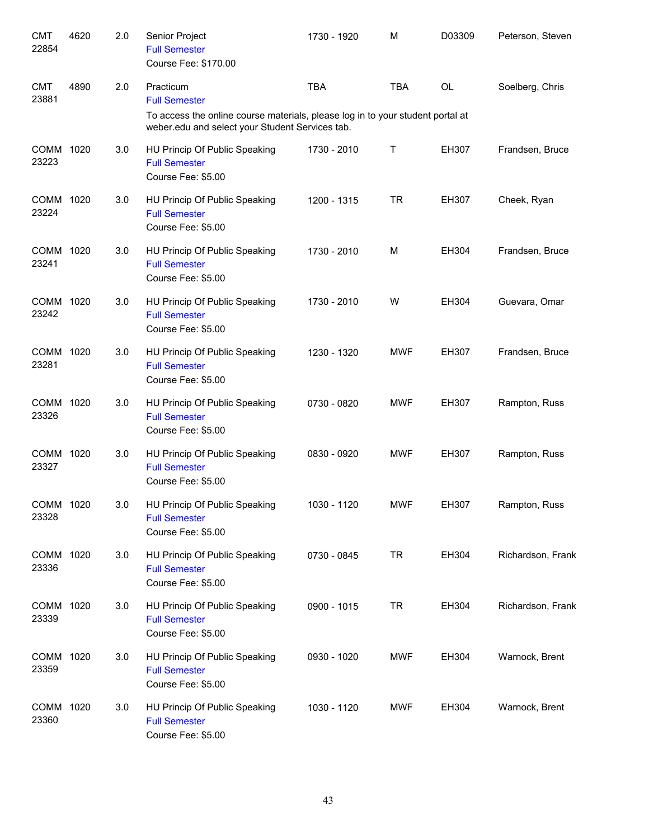| <b>CMT</b><br>22854 | 4620 | 2.0 | Senior Project<br><b>Full Semester</b><br>Course Fee: \$170.00                                                                                                         | 1730 - 1920 | M          | D03309    | Peterson, Steven  |
|---------------------|------|-----|------------------------------------------------------------------------------------------------------------------------------------------------------------------------|-------------|------------|-----------|-------------------|
| <b>CMT</b><br>23881 | 4890 | 2.0 | Practicum<br><b>Full Semester</b><br>To access the online course materials, please log in to your student portal at<br>weber.edu and select your Student Services tab. | <b>TBA</b>  | <b>TBA</b> | <b>OL</b> | Soelberg, Chris   |
| COMM 1020<br>23223  |      | 3.0 | HU Princip Of Public Speaking<br><b>Full Semester</b><br>Course Fee: \$5.00                                                                                            | 1730 - 2010 | Т          | EH307     | Frandsen, Bruce   |
| COMM 1020<br>23224  |      | 3.0 | HU Princip Of Public Speaking<br><b>Full Semester</b><br>Course Fee: \$5.00                                                                                            | 1200 - 1315 | <b>TR</b>  | EH307     | Cheek, Ryan       |
| COMM 1020<br>23241  |      | 3.0 | HU Princip Of Public Speaking<br><b>Full Semester</b><br>Course Fee: \$5.00                                                                                            | 1730 - 2010 | M          | EH304     | Frandsen, Bruce   |
| COMM 1020<br>23242  |      | 3.0 | HU Princip Of Public Speaking<br><b>Full Semester</b><br>Course Fee: \$5.00                                                                                            | 1730 - 2010 | W          | EH304     | Guevara, Omar     |
| COMM 1020<br>23281  |      | 3.0 | HU Princip Of Public Speaking<br><b>Full Semester</b><br>Course Fee: \$5.00                                                                                            | 1230 - 1320 | <b>MWF</b> | EH307     | Frandsen, Bruce   |
| COMM 1020<br>23326  |      | 3.0 | HU Princip Of Public Speaking<br><b>Full Semester</b><br>Course Fee: \$5.00                                                                                            | 0730 - 0820 | <b>MWF</b> | EH307     | Rampton, Russ     |
| COMM 1020<br>23327  |      | 3.0 | HU Princip Of Public Speaking<br><b>Full Semester</b><br>Course Fee: \$5.00                                                                                            | 0830 - 0920 | <b>MWF</b> | EH307     | Rampton, Russ     |
| COMM 1020<br>23328  |      | 3.0 | HU Princip Of Public Speaking<br><b>Full Semester</b><br>Course Fee: \$5.00                                                                                            | 1030 - 1120 | <b>MWF</b> | EH307     | Rampton, Russ     |
| COMM 1020<br>23336  |      | 3.0 | HU Princip Of Public Speaking<br><b>Full Semester</b><br>Course Fee: \$5.00                                                                                            | 0730 - 0845 | <b>TR</b>  | EH304     | Richardson, Frank |
| COMM 1020<br>23339  |      | 3.0 | HU Princip Of Public Speaking<br><b>Full Semester</b><br>Course Fee: \$5.00                                                                                            | 0900 - 1015 | <b>TR</b>  | EH304     | Richardson, Frank |
| COMM 1020<br>23359  |      | 3.0 | HU Princip Of Public Speaking<br><b>Full Semester</b><br>Course Fee: \$5.00                                                                                            | 0930 - 1020 | <b>MWF</b> | EH304     | Warnock, Brent    |
| COMM 1020<br>23360  |      | 3.0 | HU Princip Of Public Speaking<br><b>Full Semester</b><br>Course Fee: \$5.00                                                                                            | 1030 - 1120 | <b>MWF</b> | EH304     | Warnock, Brent    |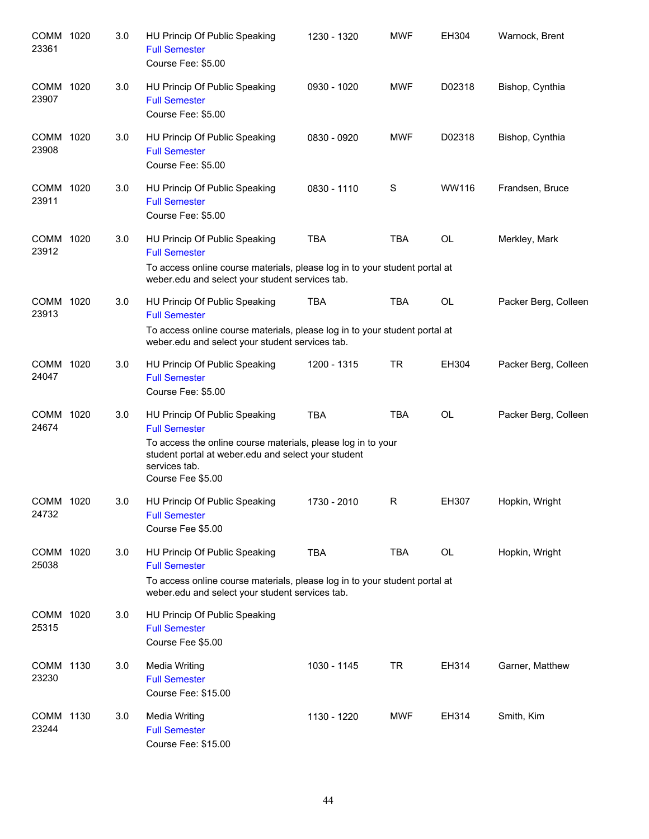| COMM 1020<br>23361 | 3.0 | HU Princip Of Public Speaking<br><b>Full Semester</b><br>Course Fee: \$5.00                                                                                                                                        | 1230 - 1320 | <b>MWF</b> | EH304     | Warnock, Brent       |
|--------------------|-----|--------------------------------------------------------------------------------------------------------------------------------------------------------------------------------------------------------------------|-------------|------------|-----------|----------------------|
| COMM 1020<br>23907 | 3.0 | HU Princip Of Public Speaking<br><b>Full Semester</b><br>Course Fee: \$5.00                                                                                                                                        | 0930 - 1020 | <b>MWF</b> | D02318    | Bishop, Cynthia      |
| COMM 1020<br>23908 | 3.0 | HU Princip Of Public Speaking<br><b>Full Semester</b><br>Course Fee: \$5.00                                                                                                                                        | 0830 - 0920 | <b>MWF</b> | D02318    | Bishop, Cynthia      |
| COMM 1020<br>23911 | 3.0 | HU Princip Of Public Speaking<br><b>Full Semester</b><br>Course Fee: \$5.00                                                                                                                                        | 0830 - 1110 | S          | WW116     | Frandsen, Bruce      |
| COMM 1020<br>23912 | 3.0 | HU Princip Of Public Speaking<br><b>Full Semester</b><br>To access online course materials, please log in to your student portal at<br>weber.edu and select your student services tab.                             | <b>TBA</b>  | <b>TBA</b> | <b>OL</b> | Merkley, Mark        |
| COMM 1020<br>23913 | 3.0 | HU Princip Of Public Speaking<br><b>Full Semester</b><br>To access online course materials, please log in to your student portal at<br>weber.edu and select your student services tab.                             | <b>TBA</b>  | <b>TBA</b> | <b>OL</b> | Packer Berg, Colleen |
| COMM 1020<br>24047 | 3.0 | HU Princip Of Public Speaking<br><b>Full Semester</b><br>Course Fee: \$5.00                                                                                                                                        | 1200 - 1315 | <b>TR</b>  | EH304     | Packer Berg, Colleen |
| COMM 1020<br>24674 | 3.0 | HU Princip Of Public Speaking<br><b>Full Semester</b><br>To access the online course materials, please log in to your<br>student portal at weber.edu and select your student<br>services tab.<br>Course Fee \$5.00 | <b>TBA</b>  | <b>TBA</b> | <b>OL</b> | Packer Berg, Colleen |
| COMM 1020<br>24732 | 3.0 | HU Princip Of Public Speaking<br><b>Full Semester</b><br>Course Fee \$5.00                                                                                                                                         | 1730 - 2010 | R          | EH307     | Hopkin, Wright       |
| COMM 1020<br>25038 | 3.0 | HU Princip Of Public Speaking<br><b>Full Semester</b><br>To access online course materials, please log in to your student portal at<br>weber.edu and select your student services tab.                             | <b>TBA</b>  | <b>TBA</b> | OL        | Hopkin, Wright       |
| COMM 1020<br>25315 | 3.0 | HU Princip Of Public Speaking<br><b>Full Semester</b><br>Course Fee \$5.00                                                                                                                                         |             |            |           |                      |
| COMM 1130<br>23230 | 3.0 | Media Writing<br><b>Full Semester</b><br>Course Fee: \$15.00                                                                                                                                                       | 1030 - 1145 | TR         | EH314     | Garner, Matthew      |
| COMM 1130<br>23244 | 3.0 | Media Writing<br><b>Full Semester</b><br>Course Fee: \$15.00                                                                                                                                                       | 1130 - 1220 | <b>MWF</b> | EH314     | Smith, Kim           |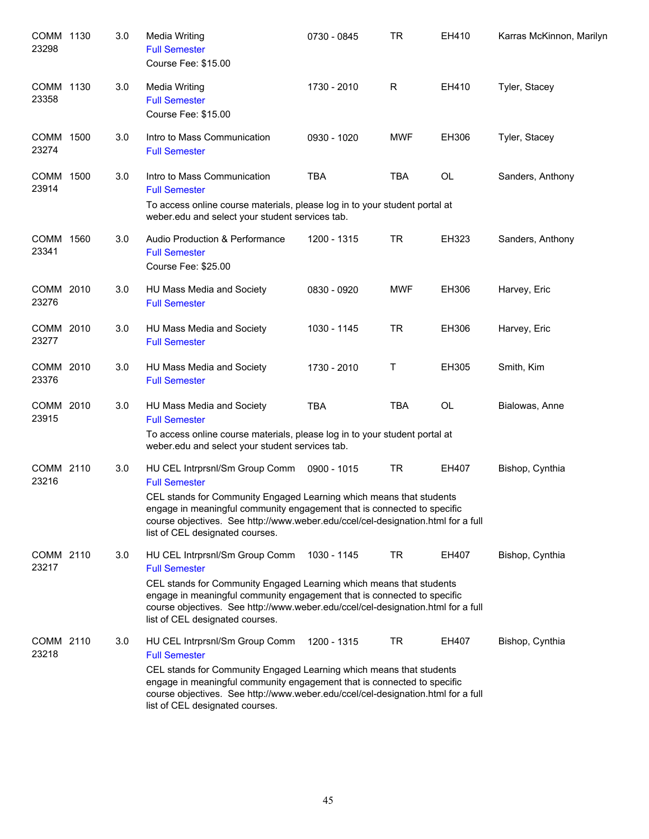| COMM 1130<br>23298   |      | 3.0 | <b>Media Writing</b><br><b>Full Semester</b><br>Course Fee: \$15.00                                                                                                                                                                                                                                                             | 0730 - 0845 | TR         | EH410          | Karras McKinnon, Marilyn |
|----------------------|------|-----|---------------------------------------------------------------------------------------------------------------------------------------------------------------------------------------------------------------------------------------------------------------------------------------------------------------------------------|-------------|------------|----------------|--------------------------|
| COMM 1130<br>23358   |      | 3.0 | <b>Media Writing</b><br><b>Full Semester</b><br>Course Fee: \$15.00                                                                                                                                                                                                                                                             | 1730 - 2010 | R          | EH410          | Tyler, Stacey            |
| COMM 1500<br>23274   |      | 3.0 | Intro to Mass Communication<br><b>Full Semester</b>                                                                                                                                                                                                                                                                             | 0930 - 1020 | <b>MWF</b> | EH306          | Tyler, Stacey            |
| <b>COMM</b><br>23914 | 1500 | 3.0 | Intro to Mass Communication<br><b>Full Semester</b><br>To access online course materials, please log in to your student portal at<br>weber.edu and select your student services tab.                                                                                                                                            | <b>TBA</b>  | <b>TBA</b> | $\mathsf{OL}%$ | Sanders, Anthony         |
| COMM 1560<br>23341   |      | 3.0 | Audio Production & Performance<br><b>Full Semester</b><br>Course Fee: \$25.00                                                                                                                                                                                                                                                   | 1200 - 1315 | TR         | EH323          | Sanders, Anthony         |
| COMM 2010<br>23276   |      | 3.0 | HU Mass Media and Society<br><b>Full Semester</b>                                                                                                                                                                                                                                                                               | 0830 - 0920 | <b>MWF</b> | EH306          | Harvey, Eric             |
| COMM 2010<br>23277   |      | 3.0 | HU Mass Media and Society<br><b>Full Semester</b>                                                                                                                                                                                                                                                                               | 1030 - 1145 | <b>TR</b>  | EH306          | Harvey, Eric             |
| COMM 2010<br>23376   |      | 3.0 | HU Mass Media and Society<br><b>Full Semester</b>                                                                                                                                                                                                                                                                               | 1730 - 2010 | T.         | EH305          | Smith, Kim               |
| COMM 2010<br>23915   |      | 3.0 | HU Mass Media and Society<br><b>Full Semester</b><br>To access online course materials, please log in to your student portal at<br>weber.edu and select your student services tab.                                                                                                                                              | <b>TBA</b>  | <b>TBA</b> | <b>OL</b>      | Bialowas, Anne           |
| COMM 2110<br>23216   |      | 3.0 | HU CEL Intrprsnl/Sm Group Comm<br><b>Full Semester</b><br>CEL stands for Community Engaged Learning which means that students<br>engage in meaningful community engagement that is connected to specific<br>course objectives. See http://www.weber.edu/ccel/cel-designation.html for a full<br>list of CEL designated courses. | 0900 - 1015 | TR         | EH407          | Bishop, Cynthia          |
| COMM 2110<br>23217   |      | 3.0 | HU CEL Intrprsnl/Sm Group Comm<br><b>Full Semester</b><br>CEL stands for Community Engaged Learning which means that students<br>engage in meaningful community engagement that is connected to specific<br>course objectives. See http://www.weber.edu/ccel/cel-designation.html for a full<br>list of CEL designated courses. | 1030 - 1145 | TR         | EH407          | Bishop, Cynthia          |
| COMM 2110<br>23218   |      | 3.0 | HU CEL Intrprsnl/Sm Group Comm<br><b>Full Semester</b><br>CEL stands for Community Engaged Learning which means that students<br>engage in meaningful community engagement that is connected to specific<br>course objectives. See http://www.weber.edu/ccel/cel-designation.html for a full<br>list of CEL designated courses. | 1200 - 1315 | <b>TR</b>  | EH407          | Bishop, Cynthia          |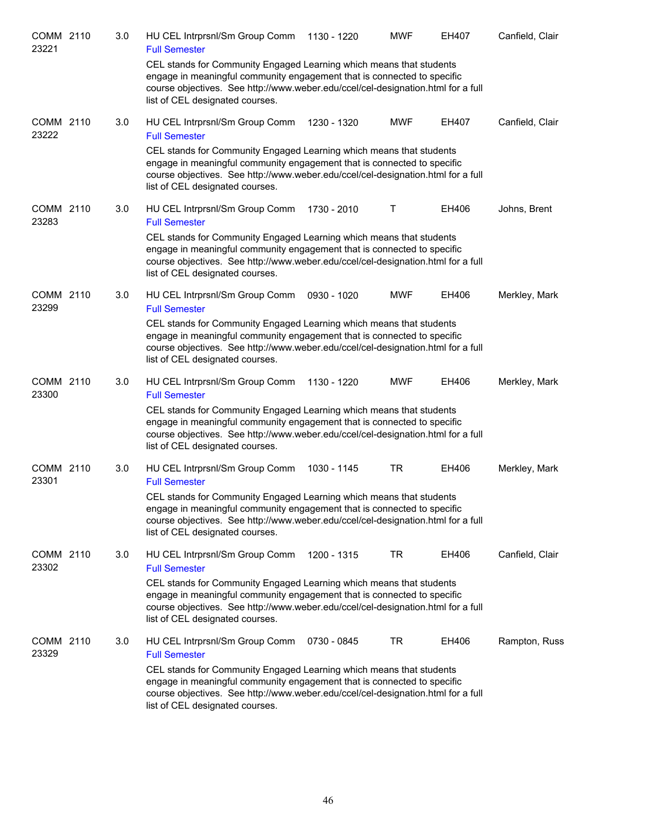| COMM 2110<br>23221 | 3.0 | HU CEL Intrprsnl/Sm Group Comm<br><b>Full Semester</b>                                                                                                                                                                                                                | 1130 - 1220 | <b>MWF</b> | EH407 | Canfield, Clair |
|--------------------|-----|-----------------------------------------------------------------------------------------------------------------------------------------------------------------------------------------------------------------------------------------------------------------------|-------------|------------|-------|-----------------|
|                    |     | CEL stands for Community Engaged Learning which means that students<br>engage in meaningful community engagement that is connected to specific<br>course objectives. See http://www.weber.edu/ccel/cel-designation.html for a full<br>list of CEL designated courses. |             |            |       |                 |
| COMM 2110<br>23222 | 3.0 | HU CEL Intrprsnl/Sm Group Comm<br><b>Full Semester</b>                                                                                                                                                                                                                | 1230 - 1320 | <b>MWF</b> | EH407 | Canfield, Clair |
|                    |     | CEL stands for Community Engaged Learning which means that students<br>engage in meaningful community engagement that is connected to specific<br>course objectives. See http://www.weber.edu/ccel/cel-designation.html for a full<br>list of CEL designated courses. |             |            |       |                 |
| COMM 2110<br>23283 | 3.0 | HU CEL Intrprsnl/Sm Group Comm<br><b>Full Semester</b>                                                                                                                                                                                                                | 1730 - 2010 | Т          | EH406 | Johns, Brent    |
|                    |     | CEL stands for Community Engaged Learning which means that students<br>engage in meaningful community engagement that is connected to specific<br>course objectives. See http://www.weber.edu/ccel/cel-designation.html for a full<br>list of CEL designated courses. |             |            |       |                 |
| COMM 2110<br>23299 | 3.0 | HU CEL Intrprsnl/Sm Group Comm<br><b>Full Semester</b>                                                                                                                                                                                                                | 0930 - 1020 | <b>MWF</b> | EH406 | Merkley, Mark   |
|                    |     | CEL stands for Community Engaged Learning which means that students<br>engage in meaningful community engagement that is connected to specific<br>course objectives. See http://www.weber.edu/ccel/cel-designation.html for a full<br>list of CEL designated courses. |             |            |       |                 |
| COMM 2110<br>23300 | 3.0 | HU CEL Intrprsnl/Sm Group Comm<br><b>Full Semester</b>                                                                                                                                                                                                                | 1130 - 1220 | <b>MWF</b> | EH406 | Merkley, Mark   |
|                    |     | CEL stands for Community Engaged Learning which means that students<br>engage in meaningful community engagement that is connected to specific<br>course objectives. See http://www.weber.edu/ccel/cel-designation.html for a full<br>list of CEL designated courses. |             |            |       |                 |
| COMM 2110<br>23301 | 3.0 | HU CEL Intrprsnl/Sm Group Comm<br><b>Full Semester</b>                                                                                                                                                                                                                | 1030 - 1145 | <b>TR</b>  | EH406 | Merkley, Mark   |
|                    |     | CEL stands for Community Engaged Learning which means that students<br>engage in meaningful community engagement that is connected to specific<br>course objectives. See http://www.weber.edu/ccel/cel-designation.html for a full<br>list of CEL designated courses. |             |            |       |                 |
| COMM 2110<br>23302 | 3.0 | HU CEL Intrprsnl/Sm Group Comm<br><b>Full Semester</b>                                                                                                                                                                                                                | 1200 - 1315 | TR         | EH406 | Canfield, Clair |
|                    |     | CEL stands for Community Engaged Learning which means that students<br>engage in meaningful community engagement that is connected to specific<br>course objectives. See http://www.weber.edu/ccel/cel-designation.html for a full<br>list of CEL designated courses. |             |            |       |                 |
| COMM 2110<br>23329 | 3.0 | HU CEL Intrprsnl/Sm Group Comm<br><b>Full Semester</b>                                                                                                                                                                                                                | 0730 - 0845 | TR         | EH406 | Rampton, Russ   |
|                    |     | CEL stands for Community Engaged Learning which means that students<br>engage in meaningful community engagement that is connected to specific<br>course objectives. See http://www.weber.edu/ccel/cel-designation.html for a full<br>list of CEL designated courses. |             |            |       |                 |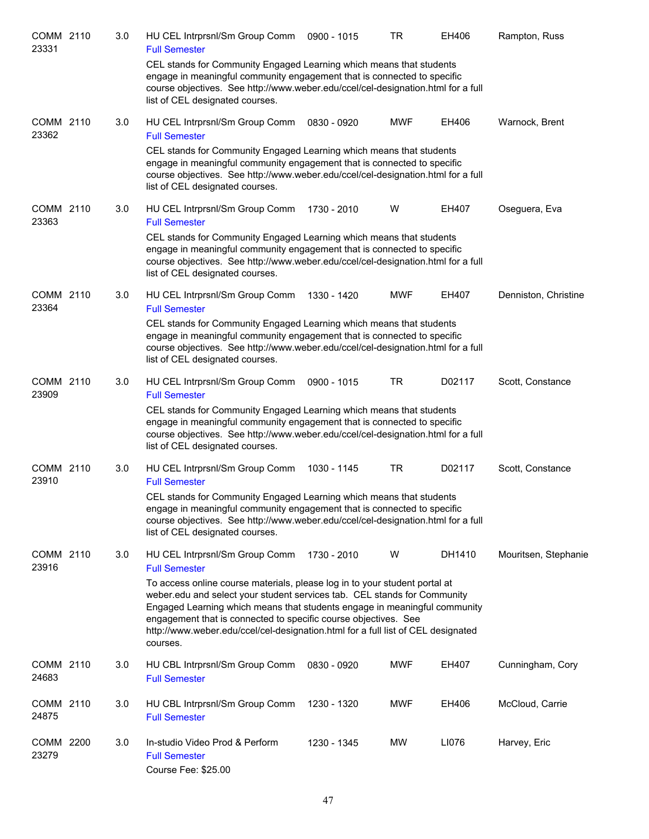| COMM 2110<br>23331 | 3.0 | HU CEL Intrprsnl/Sm Group Comm<br><b>Full Semester</b>                                                                                                                                                                                                                                                                                                                                                 | 0900 - 1015 | <b>TR</b>  | EH406  | Rampton, Russ        |
|--------------------|-----|--------------------------------------------------------------------------------------------------------------------------------------------------------------------------------------------------------------------------------------------------------------------------------------------------------------------------------------------------------------------------------------------------------|-------------|------------|--------|----------------------|
|                    |     | CEL stands for Community Engaged Learning which means that students<br>engage in meaningful community engagement that is connected to specific<br>course objectives. See http://www.weber.edu/ccel/cel-designation.html for a full<br>list of CEL designated courses.                                                                                                                                  |             |            |        |                      |
| COMM 2110<br>23362 | 3.0 | HU CEL Intrprsnl/Sm Group Comm<br><b>Full Semester</b>                                                                                                                                                                                                                                                                                                                                                 | 0830 - 0920 | <b>MWF</b> | EH406  | Warnock, Brent       |
|                    |     | CEL stands for Community Engaged Learning which means that students<br>engage in meaningful community engagement that is connected to specific<br>course objectives. See http://www.weber.edu/ccel/cel-designation.html for a full<br>list of CEL designated courses.                                                                                                                                  |             |            |        |                      |
| COMM 2110<br>23363 | 3.0 | HU CEL Intrprsnl/Sm Group Comm<br><b>Full Semester</b>                                                                                                                                                                                                                                                                                                                                                 | 1730 - 2010 | W          | EH407  | Oseguera, Eva        |
|                    |     | CEL stands for Community Engaged Learning which means that students<br>engage in meaningful community engagement that is connected to specific<br>course objectives. See http://www.weber.edu/ccel/cel-designation.html for a full<br>list of CEL designated courses.                                                                                                                                  |             |            |        |                      |
| COMM 2110<br>23364 | 3.0 | HU CEL Intrprsnl/Sm Group Comm<br><b>Full Semester</b>                                                                                                                                                                                                                                                                                                                                                 | 1330 - 1420 | <b>MWF</b> | EH407  | Denniston, Christine |
|                    |     | CEL stands for Community Engaged Learning which means that students<br>engage in meaningful community engagement that is connected to specific<br>course objectives. See http://www.weber.edu/ccel/cel-designation.html for a full<br>list of CEL designated courses.                                                                                                                                  |             |            |        |                      |
| COMM 2110<br>23909 | 3.0 | HU CEL Intrprsnl/Sm Group Comm<br><b>Full Semester</b>                                                                                                                                                                                                                                                                                                                                                 | 0900 - 1015 | <b>TR</b>  | D02117 | Scott, Constance     |
|                    |     | CEL stands for Community Engaged Learning which means that students<br>engage in meaningful community engagement that is connected to specific<br>course objectives. See http://www.weber.edu/ccel/cel-designation.html for a full<br>list of CEL designated courses.                                                                                                                                  |             |            |        |                      |
| COMM 2110<br>23910 | 3.0 | HU CEL Intrprsnl/Sm Group Comm<br><b>Full Semester</b>                                                                                                                                                                                                                                                                                                                                                 | 1030 - 1145 | <b>TR</b>  | D02117 | Scott, Constance     |
|                    |     | CEL stands for Community Engaged Learning which means that students<br>engage in meaningful community engagement that is connected to specific<br>course objectives. See http://www.weber.edu/ccel/cel-designation.html for a full<br>list of CEL designated courses.                                                                                                                                  |             |            |        |                      |
| COMM 2110<br>23916 | 3.0 | HU CEL Intrprsnl/Sm Group Comm<br><b>Full Semester</b>                                                                                                                                                                                                                                                                                                                                                 | 1730 - 2010 | W          | DH1410 | Mouritsen, Stephanie |
|                    |     | To access online course materials, please log in to your student portal at<br>weber.edu and select your student services tab. CEL stands for Community<br>Engaged Learning which means that students engage in meaningful community<br>engagement that is connected to specific course objectives. See<br>http://www.weber.edu/ccel/cel-designation.html for a full list of CEL designated<br>courses. |             |            |        |                      |
| COMM 2110<br>24683 | 3.0 | HU CBL Intrprsnl/Sm Group Comm<br><b>Full Semester</b>                                                                                                                                                                                                                                                                                                                                                 | 0830 - 0920 | <b>MWF</b> | EH407  | Cunningham, Cory     |
| COMM 2110<br>24875 | 3.0 | HU CBL Intrprsnl/Sm Group Comm<br><b>Full Semester</b>                                                                                                                                                                                                                                                                                                                                                 | 1230 - 1320 | <b>MWF</b> | EH406  | McCloud, Carrie      |
| COMM 2200<br>23279 | 3.0 | In-studio Video Prod & Perform<br><b>Full Semester</b><br>Course Fee: \$25.00                                                                                                                                                                                                                                                                                                                          | 1230 - 1345 | <b>MW</b>  | LI076  | Harvey, Eric         |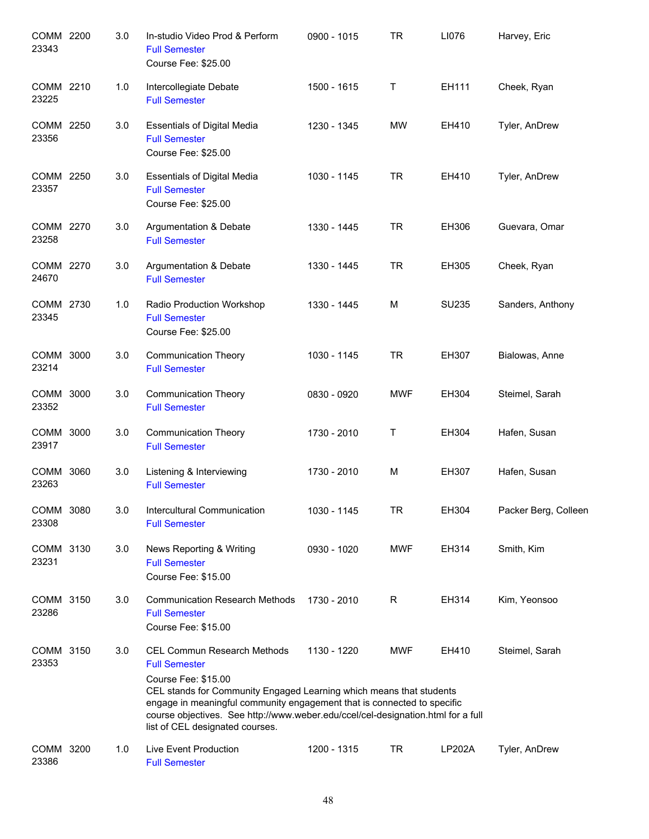| COMM 2200<br>23343 |      | 3.0 | In-studio Video Prod & Perform<br><b>Full Semester</b><br>Course Fee: \$25.00                                                                                                                                                                                                                                                                              | 0900 - 1015 | <b>TR</b>  | LI076         | Harvey, Eric         |
|--------------------|------|-----|------------------------------------------------------------------------------------------------------------------------------------------------------------------------------------------------------------------------------------------------------------------------------------------------------------------------------------------------------------|-------------|------------|---------------|----------------------|
| COMM 2210<br>23225 |      | 1.0 | Intercollegiate Debate<br><b>Full Semester</b>                                                                                                                                                                                                                                                                                                             | 1500 - 1615 | T          | EH111         | Cheek, Ryan          |
| COMM 2250<br>23356 |      | 3.0 | <b>Essentials of Digital Media</b><br><b>Full Semester</b><br>Course Fee: \$25.00                                                                                                                                                                                                                                                                          | 1230 - 1345 | <b>MW</b>  | EH410         | Tyler, AnDrew        |
| COMM 2250<br>23357 |      | 3.0 | <b>Essentials of Digital Media</b><br><b>Full Semester</b><br>Course Fee: \$25.00                                                                                                                                                                                                                                                                          | 1030 - 1145 | <b>TR</b>  | EH410         | Tyler, AnDrew        |
| COMM 2270<br>23258 |      | 3.0 | Argumentation & Debate<br><b>Full Semester</b>                                                                                                                                                                                                                                                                                                             | 1330 - 1445 | <b>TR</b>  | EH306         | Guevara, Omar        |
| COMM 2270<br>24670 |      | 3.0 | Argumentation & Debate<br><b>Full Semester</b>                                                                                                                                                                                                                                                                                                             | 1330 - 1445 | <b>TR</b>  | EH305         | Cheek, Ryan          |
| COMM 2730<br>23345 |      | 1.0 | Radio Production Workshop<br><b>Full Semester</b><br>Course Fee: \$25.00                                                                                                                                                                                                                                                                                   | 1330 - 1445 | M          | SU235         | Sanders, Anthony     |
| COMM 3000<br>23214 |      | 3.0 | <b>Communication Theory</b><br><b>Full Semester</b>                                                                                                                                                                                                                                                                                                        | 1030 - 1145 | <b>TR</b>  | EH307         | Bialowas, Anne       |
| COMM 3000<br>23352 |      | 3.0 | <b>Communication Theory</b><br><b>Full Semester</b>                                                                                                                                                                                                                                                                                                        | 0830 - 0920 | <b>MWF</b> | EH304         | Steimel, Sarah       |
| COMM 3000<br>23917 |      | 3.0 | <b>Communication Theory</b><br><b>Full Semester</b>                                                                                                                                                                                                                                                                                                        | 1730 - 2010 | T          | EH304         | Hafen, Susan         |
| COMM<br>23263      | 3060 | 3.0 | Listening & Interviewing<br><b>Full Semester</b>                                                                                                                                                                                                                                                                                                           | 1730 - 2010 | M          | EH307         | Hafen, Susan         |
| COMM 3080<br>23308 |      | 3.0 | Intercultural Communication<br><b>Full Semester</b>                                                                                                                                                                                                                                                                                                        | 1030 - 1145 | TR         | EH304         | Packer Berg, Colleen |
| COMM 3130<br>23231 |      | 3.0 | News Reporting & Writing<br><b>Full Semester</b><br>Course Fee: \$15.00                                                                                                                                                                                                                                                                                    | 0930 - 1020 | <b>MWF</b> | EH314         | Smith, Kim           |
| COMM 3150<br>23286 |      | 3.0 | <b>Communication Research Methods</b><br><b>Full Semester</b><br>Course Fee: \$15.00                                                                                                                                                                                                                                                                       | 1730 - 2010 | R          | EH314         | Kim, Yeonsoo         |
| COMM 3150<br>23353 |      | 3.0 | <b>CEL Commun Research Methods</b><br><b>Full Semester</b><br>Course Fee: \$15.00<br>CEL stands for Community Engaged Learning which means that students<br>engage in meaningful community engagement that is connected to specific<br>course objectives. See http://www.weber.edu/ccel/cel-designation.html for a full<br>list of CEL designated courses. | 1130 - 1220 | <b>MWF</b> | EH410         | Steimel, Sarah       |
| COMM 3200<br>23386 |      | 1.0 | Live Event Production<br><b>Full Semester</b>                                                                                                                                                                                                                                                                                                              | 1200 - 1315 | <b>TR</b>  | <b>LP202A</b> | Tyler, AnDrew        |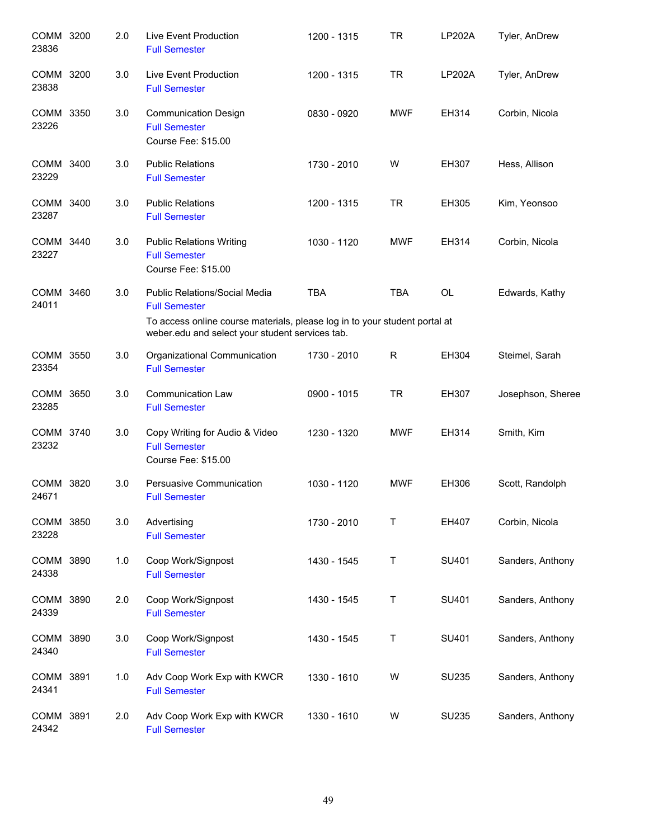| COMM 3200<br>23836 |      | 2.0 | Live Event Production<br><b>Full Semester</b>                                                                                 | 1200 - 1315 | <b>TR</b>    | LP202A        | Tyler, AnDrew     |
|--------------------|------|-----|-------------------------------------------------------------------------------------------------------------------------------|-------------|--------------|---------------|-------------------|
| COMM 3200<br>23838 |      | 3.0 | Live Event Production<br><b>Full Semester</b>                                                                                 | 1200 - 1315 | <b>TR</b>    | <b>LP202A</b> | Tyler, AnDrew     |
| COMM 3350<br>23226 |      | 3.0 | <b>Communication Design</b><br><b>Full Semester</b><br>Course Fee: \$15.00                                                    | 0830 - 0920 | <b>MWF</b>   | EH314         | Corbin, Nicola    |
| COMM 3400<br>23229 |      | 3.0 | <b>Public Relations</b><br><b>Full Semester</b>                                                                               | 1730 - 2010 | W            | EH307         | Hess, Allison     |
| COMM 3400<br>23287 |      | 3.0 | <b>Public Relations</b><br><b>Full Semester</b>                                                                               | 1200 - 1315 | <b>TR</b>    | EH305         | Kim, Yeonsoo      |
| COMM 3440<br>23227 |      | 3.0 | <b>Public Relations Writing</b><br><b>Full Semester</b><br>Course Fee: \$15.00                                                | 1030 - 1120 | <b>MWF</b>   | EH314         | Corbin, Nicola    |
| COMM 3460<br>24011 |      | 3.0 | Public Relations/Social Media<br><b>Full Semester</b>                                                                         | <b>TBA</b>  | <b>TBA</b>   | OL            | Edwards, Kathy    |
|                    |      |     | To access online course materials, please log in to your student portal at<br>weber.edu and select your student services tab. |             |              |               |                   |
| COMM 3550<br>23354 |      | 3.0 | Organizational Communication<br><b>Full Semester</b>                                                                          | 1730 - 2010 | R            | EH304         | Steimel, Sarah    |
| COMM 3650<br>23285 |      | 3.0 | <b>Communication Law</b><br><b>Full Semester</b>                                                                              | 0900 - 1015 | <b>TR</b>    | EH307         | Josephson, Sheree |
| COMM 3740<br>23232 |      | 3.0 | Copy Writing for Audio & Video<br><b>Full Semester</b><br>Course Fee: \$15.00                                                 | 1230 - 1320 | <b>MWF</b>   | EH314         | Smith, Kim        |
| COMM 3820<br>24671 |      | 3.0 | Persuasive Communication<br><b>Full Semester</b>                                                                              | 1030 - 1120 | <b>MWF</b>   | EH306         | Scott, Randolph   |
| COMM 3850<br>23228 |      | 3.0 | Advertising<br><b>Full Semester</b>                                                                                           | 1730 - 2010 | $\mathsf{T}$ | EH407         | Corbin, Nicola    |
| COMM 3890<br>24338 |      | 1.0 | Coop Work/Signpost<br><b>Full Semester</b>                                                                                    | 1430 - 1545 | Τ            | SU401         | Sanders, Anthony  |
| COMM<br>24339      | 3890 | 2.0 | Coop Work/Signpost<br><b>Full Semester</b>                                                                                    | 1430 - 1545 | Τ            | SU401         | Sanders, Anthony  |
| COMM 3890<br>24340 |      | 3.0 | Coop Work/Signpost<br><b>Full Semester</b>                                                                                    | 1430 - 1545 | Τ            | SU401         | Sanders, Anthony  |
| COMM 3891<br>24341 |      | 1.0 | Adv Coop Work Exp with KWCR<br><b>Full Semester</b>                                                                           | 1330 - 1610 | W            | <b>SU235</b>  | Sanders, Anthony  |
| COMM 3891<br>24342 |      | 2.0 | Adv Coop Work Exp with KWCR<br><b>Full Semester</b>                                                                           | 1330 - 1610 | W            | <b>SU235</b>  | Sanders, Anthony  |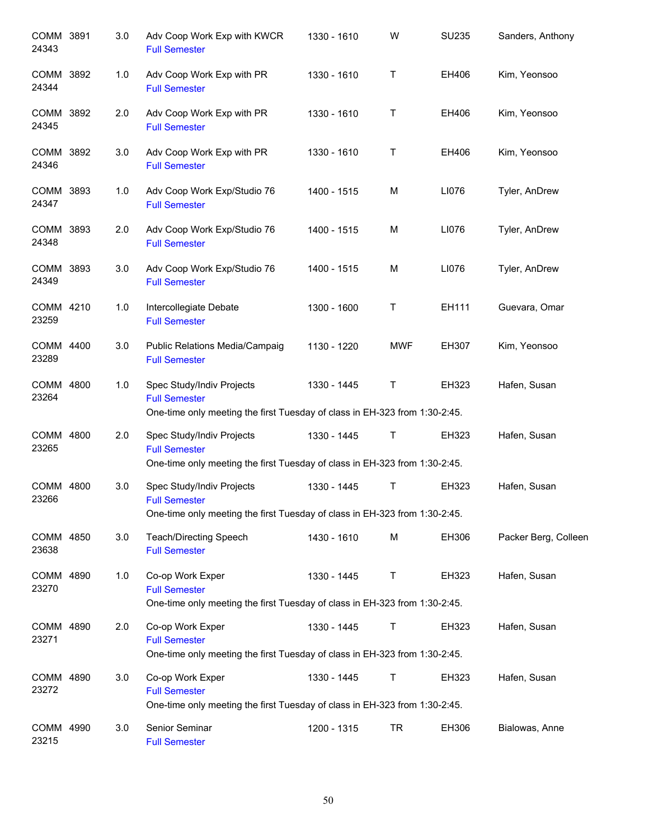| COMM 3891<br>24343   |      | 3.0 | Adv Coop Work Exp with KWCR<br><b>Full Semester</b>                                                                             | 1330 - 1610 | W           | <b>SU235</b> | Sanders, Anthony     |
|----------------------|------|-----|---------------------------------------------------------------------------------------------------------------------------------|-------------|-------------|--------------|----------------------|
| COMM 3892<br>24344   |      | 1.0 | Adv Coop Work Exp with PR<br><b>Full Semester</b>                                                                               | 1330 - 1610 | $\mathsf T$ | EH406        | Kim, Yeonsoo         |
| COMM 3892<br>24345   |      | 2.0 | Adv Coop Work Exp with PR<br><b>Full Semester</b>                                                                               | 1330 - 1610 | T           | EH406        | Kim, Yeonsoo         |
| COMM 3892<br>24346   |      | 3.0 | Adv Coop Work Exp with PR<br><b>Full Semester</b>                                                                               | 1330 - 1610 | $\mathsf T$ | EH406        | Kim, Yeonsoo         |
| COMM 3893<br>24347   |      | 1.0 | Adv Coop Work Exp/Studio 76<br><b>Full Semester</b>                                                                             | 1400 - 1515 | M           | LI076        | Tyler, AnDrew        |
| COMM 3893<br>24348   |      | 2.0 | Adv Coop Work Exp/Studio 76<br><b>Full Semester</b>                                                                             | 1400 - 1515 | M           | LI076        | Tyler, AnDrew        |
| COMM 3893<br>24349   |      | 3.0 | Adv Coop Work Exp/Studio 76<br><b>Full Semester</b>                                                                             | 1400 - 1515 | м           | LI076        | Tyler, AnDrew        |
| COMM 4210<br>23259   |      | 1.0 | Intercollegiate Debate<br><b>Full Semester</b>                                                                                  | 1300 - 1600 | $\sf T$     | EH111        | Guevara, Omar        |
| COMM 4400<br>23289   |      | 3.0 | Public Relations Media/Campaig<br><b>Full Semester</b>                                                                          | 1130 - 1220 | <b>MWF</b>  | EH307        | Kim, Yeonsoo         |
| COMM<br>23264        | 4800 | 1.0 | Spec Study/Indiv Projects<br><b>Full Semester</b><br>One-time only meeting the first Tuesday of class in EH-323 from 1:30-2:45. | 1330 - 1445 | T           | EH323        | Hafen, Susan         |
| COMM 4800<br>23265   |      | 2.0 | Spec Study/Indiv Projects<br><b>Full Semester</b><br>One-time only meeting the first Tuesday of class in EH-323 from 1:30-2:45. | 1330 - 1445 | Τ           | EH323        | Hafen, Susan         |
| <b>COMM</b><br>23266 | 4800 | 3.0 | Spec Study/Indiv Projects<br><b>Full Semester</b><br>One-time only meeting the first Tuesday of class in EH-323 from 1:30-2:45. | 1330 - 1445 | Т           | EH323        | Hafen, Susan         |
| COMM 4850<br>23638   |      | 3.0 | <b>Teach/Directing Speech</b><br><b>Full Semester</b>                                                                           | 1430 - 1610 | M           | EH306        | Packer Berg, Colleen |
| COMM 4890<br>23270   |      | 1.0 | Co-op Work Exper<br><b>Full Semester</b><br>One-time only meeting the first Tuesday of class in EH-323 from 1:30-2:45.          | 1330 - 1445 | $\sf T$     | EH323        | Hafen, Susan         |
| COMM 4890<br>23271   |      | 2.0 | Co-op Work Exper<br><b>Full Semester</b><br>One-time only meeting the first Tuesday of class in EH-323 from 1:30-2:45.          | 1330 - 1445 | T           | EH323        | Hafen, Susan         |
| COMM 4890<br>23272   |      | 3.0 | Co-op Work Exper<br><b>Full Semester</b><br>One-time only meeting the first Tuesday of class in EH-323 from 1:30-2:45.          | 1330 - 1445 | $\top$      | EH323        | Hafen, Susan         |
| COMM 4990<br>23215   |      | 3.0 | Senior Seminar<br><b>Full Semester</b>                                                                                          | 1200 - 1315 | <b>TR</b>   | EH306        | Bialowas, Anne       |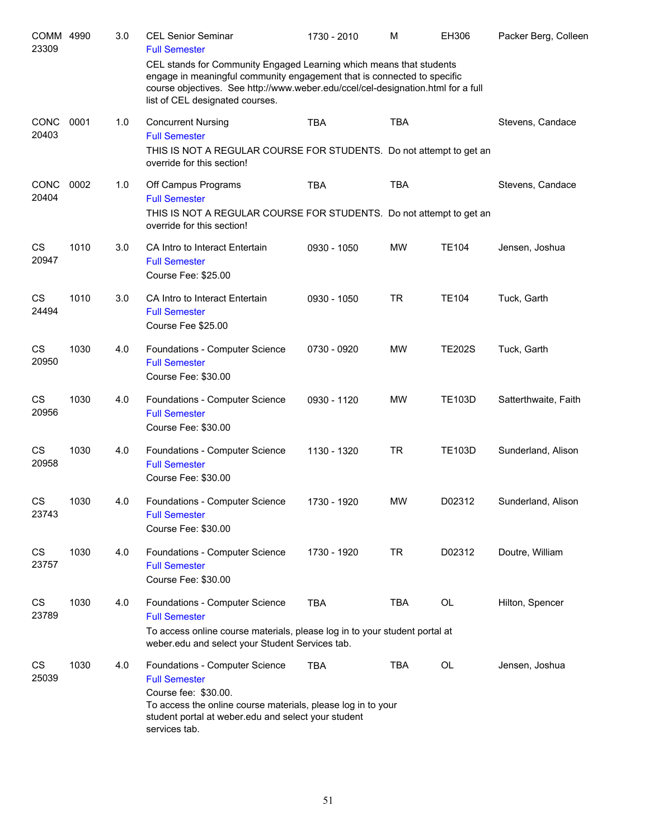| COMM 4990<br>23309   |      | 3.0 | <b>CEL Senior Seminar</b><br><b>Full Semester</b>                                                                                                                                                                                                                     | 1730 - 2010 | M          | EH306         | Packer Berg, Colleen |
|----------------------|------|-----|-----------------------------------------------------------------------------------------------------------------------------------------------------------------------------------------------------------------------------------------------------------------------|-------------|------------|---------------|----------------------|
|                      |      |     | CEL stands for Community Engaged Learning which means that students<br>engage in meaningful community engagement that is connected to specific<br>course objectives. See http://www.weber.edu/ccel/cel-designation.html for a full<br>list of CEL designated courses. |             |            |               |                      |
| <b>CONC</b><br>20403 | 0001 | 1.0 | <b>Concurrent Nursing</b><br><b>Full Semester</b><br>THIS IS NOT A REGULAR COURSE FOR STUDENTS. Do not attempt to get an<br>override for this section!                                                                                                                | <b>TBA</b>  | <b>TBA</b> |               | Stevens, Candace     |
| <b>CONC</b><br>20404 | 0002 | 1.0 | Off Campus Programs<br><b>Full Semester</b><br>THIS IS NOT A REGULAR COURSE FOR STUDENTS. Do not attempt to get an<br>override for this section!                                                                                                                      | <b>TBA</b>  | <b>TBA</b> |               | Stevens, Candace     |
| CS<br>20947          | 1010 | 3.0 | CA Intro to Interact Entertain<br><b>Full Semester</b><br>Course Fee: \$25.00                                                                                                                                                                                         | 0930 - 1050 | <b>MW</b>  | <b>TE104</b>  | Jensen, Joshua       |
| CS<br>24494          | 1010 | 3.0 | CA Intro to Interact Entertain<br><b>Full Semester</b><br>Course Fee \$25.00                                                                                                                                                                                          | 0930 - 1050 | <b>TR</b>  | <b>TE104</b>  | Tuck, Garth          |
| CS<br>20950          | 1030 | 4.0 | Foundations - Computer Science<br><b>Full Semester</b><br>Course Fee: \$30.00                                                                                                                                                                                         | 0730 - 0920 | <b>MW</b>  | <b>TE202S</b> | Tuck, Garth          |
| CS<br>20956          | 1030 | 4.0 | Foundations - Computer Science<br><b>Full Semester</b><br>Course Fee: \$30.00                                                                                                                                                                                         | 0930 - 1120 | <b>MW</b>  | <b>TE103D</b> | Satterthwaite, Faith |
| CS<br>20958          | 1030 | 4.0 | Foundations - Computer Science<br><b>Full Semester</b><br>Course Fee: \$30.00                                                                                                                                                                                         | 1130 - 1320 | <b>TR</b>  | <b>TE103D</b> | Sunderland, Alison   |
| <b>CS</b><br>23743   | 1030 | 4.0 | Foundations - Computer Science<br><b>Full Semester</b><br>Course Fee: \$30.00                                                                                                                                                                                         | 1730 - 1920 | <b>MW</b>  | D02312        | Sunderland, Alison   |
| CS<br>23757          | 1030 | 4.0 | Foundations - Computer Science<br><b>Full Semester</b><br>Course Fee: \$30.00                                                                                                                                                                                         | 1730 - 1920 | <b>TR</b>  | D02312        | Doutre, William      |
| CS<br>23789          | 1030 | 4.0 | Foundations - Computer Science<br><b>Full Semester</b><br>To access online course materials, please log in to your student portal at<br>weber.edu and select your Student Services tab.                                                                               | <b>TBA</b>  | <b>TBA</b> | OL            | Hilton, Spencer      |
| CS<br>25039          | 1030 | 4.0 | Foundations - Computer Science<br><b>Full Semester</b><br>Course fee: \$30.00.<br>To access the online course materials, please log in to your<br>student portal at weber.edu and select your student<br>services tab.                                                | <b>TBA</b>  | <b>TBA</b> | OL            | Jensen, Joshua       |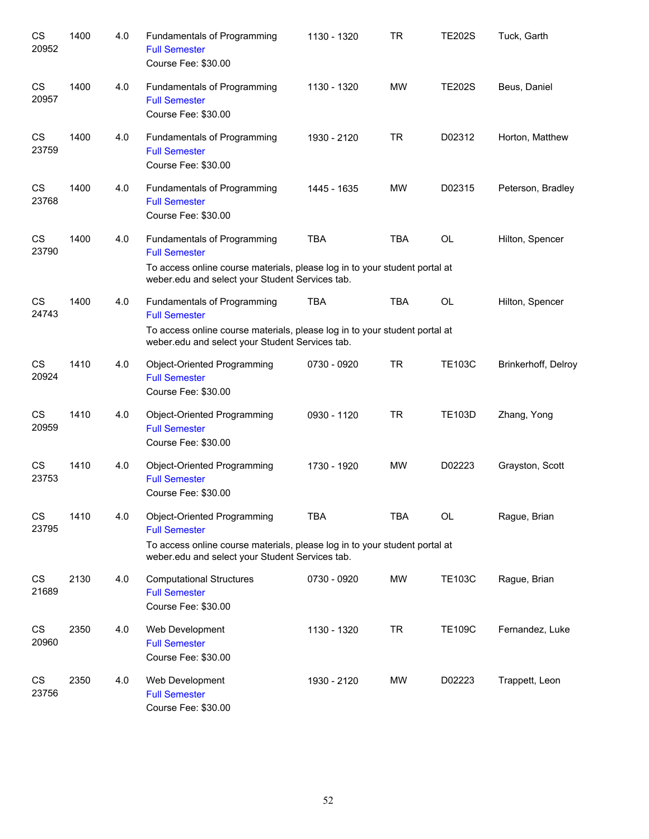| CS<br>20952        | 1400 | 4.0 | Fundamentals of Programming<br><b>Full Semester</b><br>Course Fee: \$30.00                                                                                                           | 1130 - 1320 | TR         | <b>TE202S</b> | Tuck, Garth         |
|--------------------|------|-----|--------------------------------------------------------------------------------------------------------------------------------------------------------------------------------------|-------------|------------|---------------|---------------------|
| CS<br>20957        | 1400 | 4.0 | Fundamentals of Programming<br><b>Full Semester</b><br>Course Fee: \$30.00                                                                                                           | 1130 - 1320 | <b>MW</b>  | <b>TE202S</b> | Beus, Daniel        |
| CS<br>23759        | 1400 | 4.0 | Fundamentals of Programming<br><b>Full Semester</b><br>Course Fee: \$30.00                                                                                                           | 1930 - 2120 | <b>TR</b>  | D02312        | Horton, Matthew     |
| <b>CS</b><br>23768 | 1400 | 4.0 | Fundamentals of Programming<br><b>Full Semester</b><br>Course Fee: \$30.00                                                                                                           | 1445 - 1635 | <b>MW</b>  | D02315        | Peterson, Bradley   |
| <b>CS</b><br>23790 | 1400 | 4.0 | Fundamentals of Programming<br><b>Full Semester</b><br>To access online course materials, please log in to your student portal at                                                    | <b>TBA</b>  | <b>TBA</b> | <b>OL</b>     | Hilton, Spencer     |
|                    |      |     | weber.edu and select your Student Services tab.                                                                                                                                      |             |            |               |                     |
| <b>CS</b><br>24743 | 1400 | 4.0 | Fundamentals of Programming<br><b>Full Semester</b>                                                                                                                                  | <b>TBA</b>  | <b>TBA</b> | OL            | Hilton, Spencer     |
|                    |      |     | To access online course materials, please log in to your student portal at<br>weber.edu and select your Student Services tab.                                                        |             |            |               |                     |
| CS<br>20924        | 1410 | 4.0 | Object-Oriented Programming<br><b>Full Semester</b><br>Course Fee: \$30.00                                                                                                           | 0730 - 0920 | <b>TR</b>  | <b>TE103C</b> | Brinkerhoff, Delroy |
| CS<br>20959        | 1410 | 4.0 | Object-Oriented Programming<br><b>Full Semester</b><br>Course Fee: \$30.00                                                                                                           | 0930 - 1120 | <b>TR</b>  | <b>TE103D</b> | Zhang, Yong         |
| CS<br>23753        | 1410 | 4.0 | Object-Oriented Programming<br><b>Full Semester</b><br>Course Fee: \$30.00                                                                                                           | 1730 - 1920 | <b>MW</b>  | D02223        | Grayston, Scott     |
| CS<br>23795        | 1410 | 4.0 | Object-Oriented Programming<br><b>Full Semester</b><br>To access online course materials, please log in to your student portal at<br>weber.edu and select your Student Services tab. | <b>TBA</b>  | <b>TBA</b> | <b>OL</b>     | Rague, Brian        |
| CS<br>21689        | 2130 | 4.0 | <b>Computational Structures</b><br><b>Full Semester</b><br>Course Fee: \$30.00                                                                                                       | 0730 - 0920 | <b>MW</b>  | <b>TE103C</b> | Rague, Brian        |
| CS<br>20960        | 2350 | 4.0 | Web Development<br><b>Full Semester</b><br>Course Fee: \$30.00                                                                                                                       | 1130 - 1320 | <b>TR</b>  | <b>TE109C</b> | Fernandez, Luke     |
| CS<br>23756        | 2350 | 4.0 | Web Development<br><b>Full Semester</b><br>Course Fee: \$30.00                                                                                                                       | 1930 - 2120 | MW         | D02223        | Trappett, Leon      |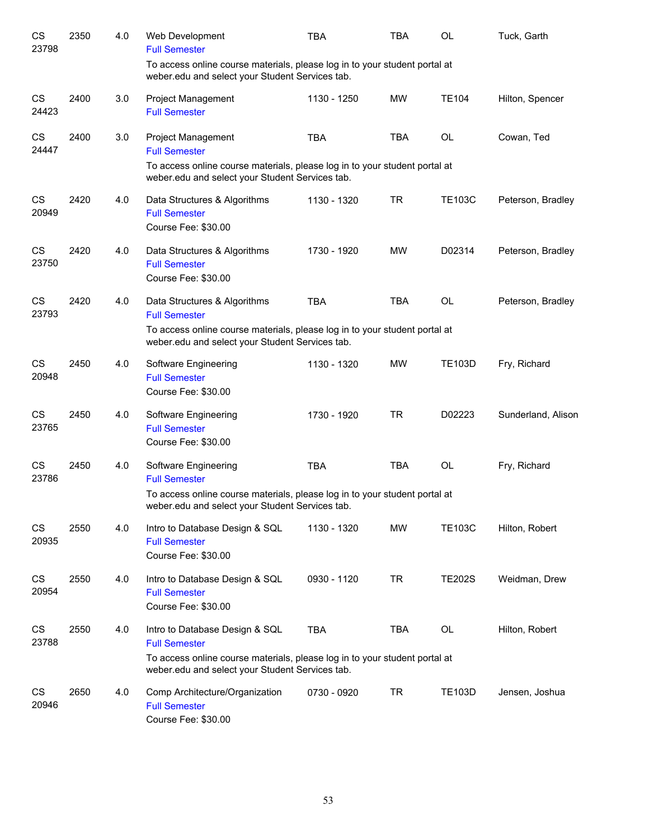| CS<br>23798        | 2350 | 4.0 | Web Development<br><b>Full Semester</b>                                                                                              | <b>TBA</b>  | <b>TBA</b> | OL            | Tuck, Garth        |
|--------------------|------|-----|--------------------------------------------------------------------------------------------------------------------------------------|-------------|------------|---------------|--------------------|
|                    |      |     | To access online course materials, please log in to your student portal at<br>weber.edu and select your Student Services tab.        |             |            |               |                    |
| CS<br>24423        | 2400 | 3.0 | Project Management<br><b>Full Semester</b>                                                                                           | 1130 - 1250 | MW         | <b>TE104</b>  | Hilton, Spencer    |
| CS<br>24447        | 2400 | 3.0 | <b>Project Management</b><br><b>Full Semester</b>                                                                                    | <b>TBA</b>  | <b>TBA</b> | <b>OL</b>     | Cowan, Ted         |
|                    |      |     | To access online course materials, please log in to your student portal at<br>weber.edu and select your Student Services tab.        |             |            |               |                    |
| <b>CS</b><br>20949 | 2420 | 4.0 | Data Structures & Algorithms<br><b>Full Semester</b><br>Course Fee: \$30.00                                                          | 1130 - 1320 | <b>TR</b>  | <b>TE103C</b> | Peterson, Bradley  |
| CS<br>23750        | 2420 | 4.0 | Data Structures & Algorithms<br><b>Full Semester</b><br>Course Fee: \$30.00                                                          | 1730 - 1920 | <b>MW</b>  | D02314        | Peterson, Bradley  |
| <b>CS</b><br>23793 | 2420 | 4.0 | Data Structures & Algorithms<br><b>Full Semester</b>                                                                                 | <b>TBA</b>  | <b>TBA</b> | <b>OL</b>     | Peterson, Bradley  |
|                    |      |     | To access online course materials, please log in to your student portal at<br>weber.edu and select your Student Services tab.        |             |            |               |                    |
| CS<br>20948        | 2450 | 4.0 | Software Engineering<br><b>Full Semester</b><br>Course Fee: \$30.00                                                                  | 1130 - 1320 | <b>MW</b>  | <b>TE103D</b> | Fry, Richard       |
| CS<br>23765        | 2450 | 4.0 | Software Engineering<br><b>Full Semester</b><br>Course Fee: \$30.00                                                                  | 1730 - 1920 | <b>TR</b>  | D02223        | Sunderland, Alison |
| CS<br>23786        | 2450 | 4.0 | Software Engineering<br><b>Full Semester</b>                                                                                         | <b>TBA</b>  | <b>TBA</b> | <b>OL</b>     | Fry, Richard       |
|                    |      |     | To access online course materials, please log in to your student portal at<br>weber.edu and select your Student Services tab.        |             |            |               |                    |
| CS<br>20935        | 2550 | 4.0 | Intro to Database Design & SQL<br><b>Full Semester</b><br>Course Fee: \$30.00                                                        | 1130 - 1320 | MW         | <b>TE103C</b> | Hilton, Robert     |
| CS<br>20954        | 2550 | 4.0 | Intro to Database Design & SQL<br><b>Full Semester</b><br>Course Fee: \$30.00                                                        | 0930 - 1120 | <b>TR</b>  | <b>TE202S</b> | Weidman, Drew      |
| CS<br>23788        | 2550 | 4.0 | Intro to Database Design & SQL<br><b>Full Semester</b><br>To access online course materials, please log in to your student portal at | <b>TBA</b>  | TBA        | OL            | Hilton, Robert     |
|                    |      |     | weber.edu and select your Student Services tab.                                                                                      |             |            |               |                    |
| CS<br>20946        | 2650 | 4.0 | Comp Architecture/Organization<br><b>Full Semester</b><br>Course Fee: \$30.00                                                        | 0730 - 0920 | <b>TR</b>  | <b>TE103D</b> | Jensen, Joshua     |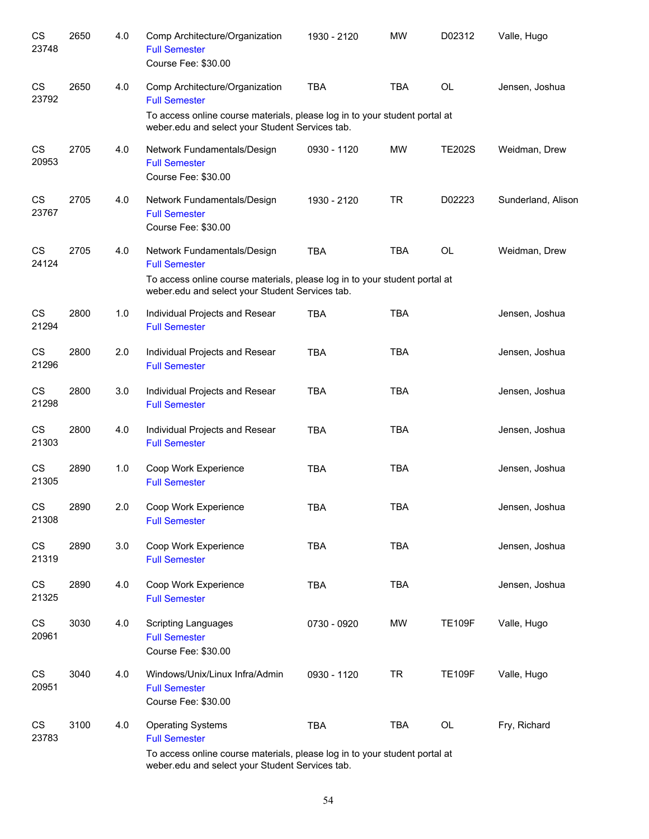| CS<br>23748                     | 2650 | 4.0 | Comp Architecture/Organization<br><b>Full Semester</b><br>Course Fee: \$30.00                                                 | 1930 - 2120 | <b>MW</b>  | D02312        | Valle, Hugo        |
|---------------------------------|------|-----|-------------------------------------------------------------------------------------------------------------------------------|-------------|------------|---------------|--------------------|
| CS<br>23792                     | 2650 | 4.0 | Comp Architecture/Organization<br><b>Full Semester</b>                                                                        | <b>TBA</b>  | <b>TBA</b> | OL            | Jensen, Joshua     |
|                                 |      |     | To access online course materials, please log in to your student portal at<br>weber.edu and select your Student Services tab. |             |            |               |                    |
| CS<br>20953                     | 2705 | 4.0 | Network Fundamentals/Design<br><b>Full Semester</b><br>Course Fee: \$30.00                                                    | 0930 - 1120 | <b>MW</b>  | <b>TE202S</b> | Weidman, Drew      |
| CS<br>23767                     | 2705 | 4.0 | Network Fundamentals/Design<br><b>Full Semester</b><br>Course Fee: \$30.00                                                    | 1930 - 2120 | <b>TR</b>  | D02223        | Sunderland, Alison |
| CS<br>24124                     | 2705 | 4.0 | Network Fundamentals/Design<br><b>Full Semester</b>                                                                           | <b>TBA</b>  | <b>TBA</b> | <b>OL</b>     | Weidman, Drew      |
|                                 |      |     | To access online course materials, please log in to your student portal at<br>weber.edu and select your Student Services tab. |             |            |               |                    |
| CS<br>21294                     | 2800 | 1.0 | Individual Projects and Resear<br><b>Full Semester</b>                                                                        | <b>TBA</b>  | <b>TBA</b> |               | Jensen, Joshua     |
| CS<br>21296                     | 2800 | 2.0 | Individual Projects and Resear<br><b>Full Semester</b>                                                                        | <b>TBA</b>  | <b>TBA</b> |               | Jensen, Joshua     |
| <b>CS</b><br>21298              | 2800 | 3.0 | Individual Projects and Resear<br><b>Full Semester</b>                                                                        | <b>TBA</b>  | <b>TBA</b> |               | Jensen, Joshua     |
| <b>CS</b><br>21303              | 2800 | 4.0 | Individual Projects and Resear<br><b>Full Semester</b>                                                                        | <b>TBA</b>  | <b>TBA</b> |               | Jensen, Joshua     |
| CS<br>21305                     | 2890 | 1.0 | Coop Work Experience<br><b>Full Semester</b>                                                                                  | <b>TBA</b>  | <b>TBA</b> |               | Jensen, Joshua     |
| $\mathbb{C}\mathbb{S}$<br>21308 | 2890 | 2.0 | Coop Work Experience<br><b>Full Semester</b>                                                                                  | TBA         | <b>TBA</b> |               | Jensen, Joshua     |
| $\mathbb{C}\mathbb{S}$<br>21319 | 2890 | 3.0 | Coop Work Experience<br><b>Full Semester</b>                                                                                  | TBA         | <b>TBA</b> |               | Jensen, Joshua     |
| CS<br>21325                     | 2890 | 4.0 | Coop Work Experience<br><b>Full Semester</b>                                                                                  | <b>TBA</b>  | <b>TBA</b> |               | Jensen, Joshua     |
| CS<br>20961                     | 3030 | 4.0 | <b>Scripting Languages</b><br><b>Full Semester</b><br>Course Fee: \$30.00                                                     | 0730 - 0920 | <b>MW</b>  | <b>TE109F</b> | Valle, Hugo        |
| CS<br>20951                     | 3040 | 4.0 | Windows/Unix/Linux Infra/Admin<br><b>Full Semester</b><br>Course Fee: \$30.00                                                 | 0930 - 1120 | <b>TR</b>  | <b>TE109F</b> | Valle, Hugo        |
| CS<br>23783                     | 3100 | 4.0 | <b>Operating Systems</b><br><b>Full Semester</b>                                                                              | <b>TBA</b>  | TBA        | OL            | Fry, Richard       |
|                                 |      |     | To access online course materials, please log in to your student portal at<br>weber.edu and select your Student Services tab. |             |            |               |                    |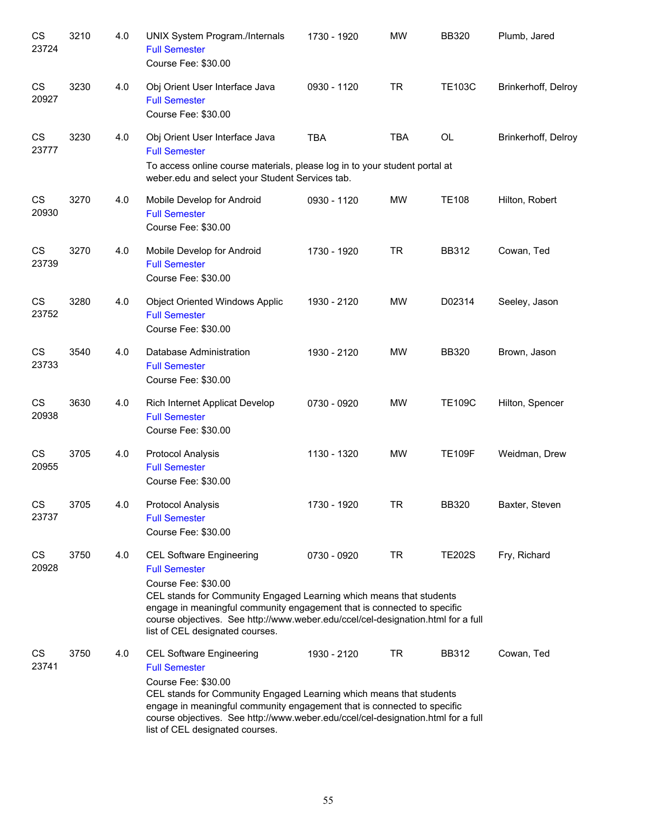| CS<br>23724        | 3210 | 4.0 | UNIX System Program./Internals<br><b>Full Semester</b><br>Course Fee: \$30.00                                                                                                                                                                                                                                                                           | 1730 - 1920 | <b>MW</b>  | <b>BB320</b>  | Plumb, Jared        |
|--------------------|------|-----|---------------------------------------------------------------------------------------------------------------------------------------------------------------------------------------------------------------------------------------------------------------------------------------------------------------------------------------------------------|-------------|------------|---------------|---------------------|
| CS<br>20927        | 3230 | 4.0 | Obj Orient User Interface Java<br><b>Full Semester</b><br>Course Fee: \$30.00                                                                                                                                                                                                                                                                           | 0930 - 1120 | <b>TR</b>  | <b>TE103C</b> | Brinkerhoff, Delroy |
| CS<br>23777        | 3230 | 4.0 | Obj Orient User Interface Java<br><b>Full Semester</b><br>To access online course materials, please log in to your student portal at<br>weber.edu and select your Student Services tab.                                                                                                                                                                 | <b>TBA</b>  | <b>TBA</b> | OL            | Brinkerhoff, Delroy |
| CS<br>20930        | 3270 | 4.0 | Mobile Develop for Android<br><b>Full Semester</b><br>Course Fee: \$30.00                                                                                                                                                                                                                                                                               | 0930 - 1120 | <b>MW</b>  | <b>TE108</b>  | Hilton, Robert      |
| CS<br>23739        | 3270 | 4.0 | Mobile Develop for Android<br><b>Full Semester</b><br>Course Fee: \$30.00                                                                                                                                                                                                                                                                               | 1730 - 1920 | <b>TR</b>  | <b>BB312</b>  | Cowan, Ted          |
| CS<br>23752        | 3280 | 4.0 | <b>Object Oriented Windows Applic</b><br><b>Full Semester</b><br>Course Fee: \$30.00                                                                                                                                                                                                                                                                    | 1930 - 2120 | <b>MW</b>  | D02314        | Seeley, Jason       |
| CS<br>23733        | 3540 | 4.0 | Database Administration<br><b>Full Semester</b><br>Course Fee: \$30.00                                                                                                                                                                                                                                                                                  | 1930 - 2120 | <b>MW</b>  | <b>BB320</b>  | Brown, Jason        |
| <b>CS</b><br>20938 | 3630 | 4.0 | Rich Internet Applicat Develop<br><b>Full Semester</b><br>Course Fee: \$30.00                                                                                                                                                                                                                                                                           | 0730 - 0920 | <b>MW</b>  | <b>TE109C</b> | Hilton, Spencer     |
| <b>CS</b><br>20955 | 3705 | 4.0 | <b>Protocol Analysis</b><br><b>Full Semester</b><br>Course Fee: \$30.00                                                                                                                                                                                                                                                                                 | 1130 - 1320 | <b>MW</b>  | <b>TE109F</b> | Weidman, Drew       |
| CS<br>23737        | 3705 | 4.0 | <b>Protocol Analysis</b><br><b>Full Semester</b><br>Course Fee: \$30.00                                                                                                                                                                                                                                                                                 | 1730 - 1920 | <b>TR</b>  | <b>BB320</b>  | Baxter, Steven      |
| CS<br>20928        | 3750 | 4.0 | <b>CEL Software Engineering</b><br><b>Full Semester</b><br>Course Fee: \$30.00<br>CEL stands for Community Engaged Learning which means that students<br>engage in meaningful community engagement that is connected to specific<br>course objectives. See http://www.weber.edu/ccel/cel-designation.html for a full<br>list of CEL designated courses. | 0730 - 0920 | TR         | <b>TE202S</b> | Fry, Richard        |
| CS<br>23741        | 3750 | 4.0 | <b>CEL Software Engineering</b><br><b>Full Semester</b><br>Course Fee: \$30.00<br>CEL stands for Community Engaged Learning which means that students<br>engage in meaningful community engagement that is connected to specific<br>course objectives. See http://www.weber.edu/ccel/cel-designation.html for a full<br>list of CEL designated courses. | 1930 - 2120 | TR         | <b>BB312</b>  | Cowan, Ted          |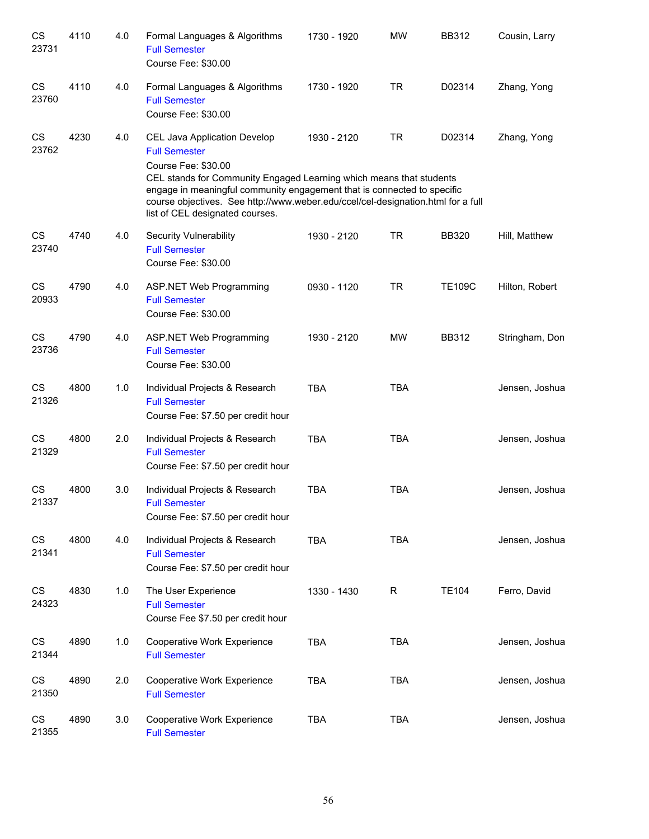| CS<br>23731        | 4110 | 4.0 | Formal Languages & Algorithms<br><b>Full Semester</b><br>Course Fee: \$30.00                                                                                                                                                                                                                                                                         | 1730 - 1920 | <b>MW</b>  | <b>BB312</b>  | Cousin, Larry  |
|--------------------|------|-----|------------------------------------------------------------------------------------------------------------------------------------------------------------------------------------------------------------------------------------------------------------------------------------------------------------------------------------------------------|-------------|------------|---------------|----------------|
| CS<br>23760        | 4110 | 4.0 | Formal Languages & Algorithms<br><b>Full Semester</b><br>Course Fee: \$30.00                                                                                                                                                                                                                                                                         | 1730 - 1920 | <b>TR</b>  | D02314        | Zhang, Yong    |
| CS<br>23762        | 4230 | 4.0 | CEL Java Application Develop<br><b>Full Semester</b><br>Course Fee: \$30.00<br>CEL stands for Community Engaged Learning which means that students<br>engage in meaningful community engagement that is connected to specific<br>course objectives. See http://www.weber.edu/ccel/cel-designation.html for a full<br>list of CEL designated courses. | 1930 - 2120 | <b>TR</b>  | D02314        | Zhang, Yong    |
| CS<br>23740        | 4740 | 4.0 | <b>Security Vulnerability</b><br><b>Full Semester</b><br>Course Fee: \$30.00                                                                                                                                                                                                                                                                         | 1930 - 2120 | <b>TR</b>  | <b>BB320</b>  | Hill, Matthew  |
| CS<br>20933        | 4790 | 4.0 | ASP.NET Web Programming<br><b>Full Semester</b><br>Course Fee: \$30.00                                                                                                                                                                                                                                                                               | 0930 - 1120 | <b>TR</b>  | <b>TE109C</b> | Hilton, Robert |
| CS<br>23736        | 4790 | 4.0 | <b>ASP.NET Web Programming</b><br><b>Full Semester</b><br>Course Fee: \$30.00                                                                                                                                                                                                                                                                        | 1930 - 2120 | <b>MW</b>  | <b>BB312</b>  | Stringham, Don |
| CS<br>21326        | 4800 | 1.0 | Individual Projects & Research<br><b>Full Semester</b><br>Course Fee: \$7.50 per credit hour                                                                                                                                                                                                                                                         | <b>TBA</b>  | <b>TBA</b> |               | Jensen, Joshua |
| CS<br>21329        | 4800 | 2.0 | Individual Projects & Research<br><b>Full Semester</b><br>Course Fee: \$7.50 per credit hour                                                                                                                                                                                                                                                         | <b>TBA</b>  | <b>TBA</b> |               | Jensen, Joshua |
| <b>CS</b><br>21337 | 4800 | 3.0 | Individual Projects & Research<br><b>Full Semester</b><br>Course Fee: \$7.50 per credit hour                                                                                                                                                                                                                                                         | <b>TBA</b>  | <b>TBA</b> |               | Jensen, Joshua |
| CS<br>21341        | 4800 | 4.0 | Individual Projects & Research<br><b>Full Semester</b><br>Course Fee: \$7.50 per credit hour                                                                                                                                                                                                                                                         | <b>TBA</b>  | <b>TBA</b> |               | Jensen, Joshua |
| CS<br>24323        | 4830 | 1.0 | The User Experience<br><b>Full Semester</b><br>Course Fee \$7.50 per credit hour                                                                                                                                                                                                                                                                     | 1330 - 1430 | R          | <b>TE104</b>  | Ferro, David   |
| CS<br>21344        | 4890 | 1.0 | Cooperative Work Experience<br><b>Full Semester</b>                                                                                                                                                                                                                                                                                                  | <b>TBA</b>  | <b>TBA</b> |               | Jensen, Joshua |
| CS<br>21350        | 4890 | 2.0 | Cooperative Work Experience<br><b>Full Semester</b>                                                                                                                                                                                                                                                                                                  | <b>TBA</b>  | <b>TBA</b> |               | Jensen, Joshua |
| CS<br>21355        | 4890 | 3.0 | Cooperative Work Experience<br><b>Full Semester</b>                                                                                                                                                                                                                                                                                                  | <b>TBA</b>  | <b>TBA</b> |               | Jensen, Joshua |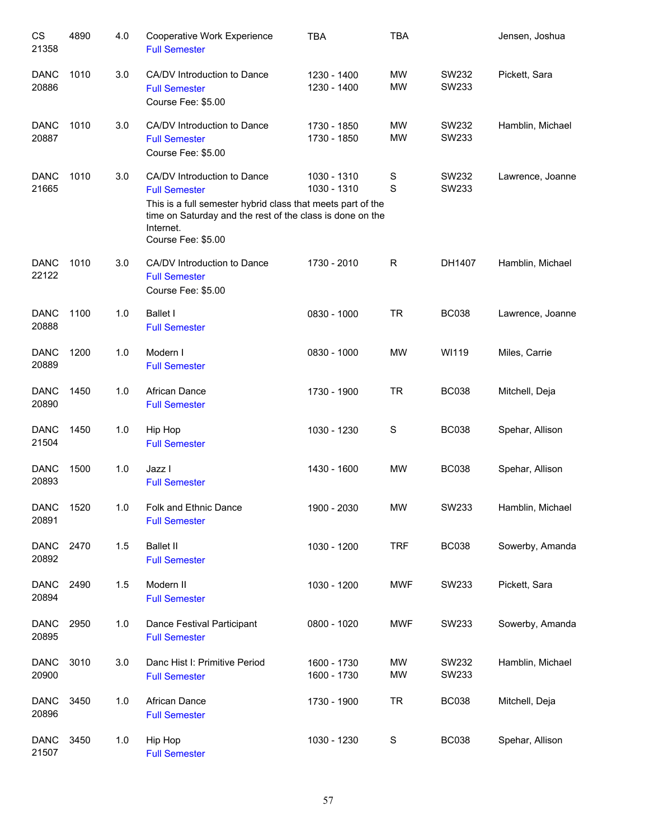| CS<br>21358          | 4890 | 4.0   | Cooperative Work Experience<br><b>Full Semester</b>                                                                                                                                                                | <b>TBA</b>                 | <b>TBA</b>             |                | Jensen, Joshua   |
|----------------------|------|-------|--------------------------------------------------------------------------------------------------------------------------------------------------------------------------------------------------------------------|----------------------------|------------------------|----------------|------------------|
| <b>DANC</b><br>20886 | 1010 | 3.0   | CA/DV Introduction to Dance<br><b>Full Semester</b><br>Course Fee: \$5.00                                                                                                                                          | 1230 - 1400<br>1230 - 1400 | <b>MW</b><br><b>MW</b> | SW232<br>SW233 | Pickett, Sara    |
| <b>DANC</b><br>20887 | 1010 | 3.0   | CA/DV Introduction to Dance<br><b>Full Semester</b><br>Course Fee: \$5.00                                                                                                                                          | 1730 - 1850<br>1730 - 1850 | MW<br><b>MW</b>        | SW232<br>SW233 | Hamblin, Michael |
| <b>DANC</b><br>21665 | 1010 | 3.0   | CA/DV Introduction to Dance<br><b>Full Semester</b><br>This is a full semester hybrid class that meets part of the<br>time on Saturday and the rest of the class is done on the<br>Internet.<br>Course Fee: \$5.00 | 1030 - 1310<br>1030 - 1310 | $\mathbf S$<br>S       | SW232<br>SW233 | Lawrence, Joanne |
| <b>DANC</b><br>22122 | 1010 | 3.0   | CA/DV Introduction to Dance<br><b>Full Semester</b><br>Course Fee: \$5.00                                                                                                                                          | 1730 - 2010                | R                      | DH1407         | Hamblin, Michael |
| <b>DANC</b><br>20888 | 1100 | 1.0   | <b>Ballet I</b><br><b>Full Semester</b>                                                                                                                                                                            | 0830 - 1000                | <b>TR</b>              | <b>BC038</b>   | Lawrence, Joanne |
| <b>DANC</b><br>20889 | 1200 | 1.0   | Modern I<br><b>Full Semester</b>                                                                                                                                                                                   | 0830 - 1000                | <b>MW</b>              | WI119          | Miles, Carrie    |
| <b>DANC</b><br>20890 | 1450 | 1.0   | African Dance<br><b>Full Semester</b>                                                                                                                                                                              | 1730 - 1900                | <b>TR</b>              | <b>BC038</b>   | Mitchell, Deja   |
| <b>DANC</b><br>21504 | 1450 | 1.0   | Hip Hop<br><b>Full Semester</b>                                                                                                                                                                                    | 1030 - 1230                | S                      | <b>BC038</b>   | Spehar, Allison  |
| <b>DANC</b><br>20893 | 1500 | 1.0   | Jazz I<br><b>Full Semester</b>                                                                                                                                                                                     | 1430 - 1600                | <b>MW</b>              | <b>BC038</b>   | Spehar, Allison  |
| <b>DANC</b><br>20891 | 1520 | 1.0   | Folk and Ethnic Dance<br><b>Full Semester</b>                                                                                                                                                                      | 1900 - 2030                | MW                     | SW233          | Hamblin, Michael |
| <b>DANC</b><br>20892 | 2470 | 1.5   | <b>Ballet II</b><br><b>Full Semester</b>                                                                                                                                                                           | 1030 - 1200                | <b>TRF</b>             | <b>BC038</b>   | Sowerby, Amanda  |
| <b>DANC</b><br>20894 | 2490 | 1.5   | Modern II<br><b>Full Semester</b>                                                                                                                                                                                  | 1030 - 1200                | <b>MWF</b>             | SW233          | Pickett, Sara    |
| <b>DANC</b><br>20895 | 2950 | $1.0$ | Dance Festival Participant<br><b>Full Semester</b>                                                                                                                                                                 | 0800 - 1020                | <b>MWF</b>             | SW233          | Sowerby, Amanda  |
| <b>DANC</b><br>20900 | 3010 | 3.0   | Danc Hist I: Primitive Period<br><b>Full Semester</b>                                                                                                                                                              | 1600 - 1730<br>1600 - 1730 | <b>MW</b><br><b>MW</b> | SW232<br>SW233 | Hamblin, Michael |
| <b>DANC</b><br>20896 | 3450 | $1.0$ | African Dance<br><b>Full Semester</b>                                                                                                                                                                              | 1730 - 1900                | <b>TR</b>              | <b>BC038</b>   | Mitchell, Deja   |
| <b>DANC</b><br>21507 | 3450 | $1.0$ | Hip Hop<br><b>Full Semester</b>                                                                                                                                                                                    | 1030 - 1230                | $\mathbf S$            | <b>BC038</b>   | Spehar, Allison  |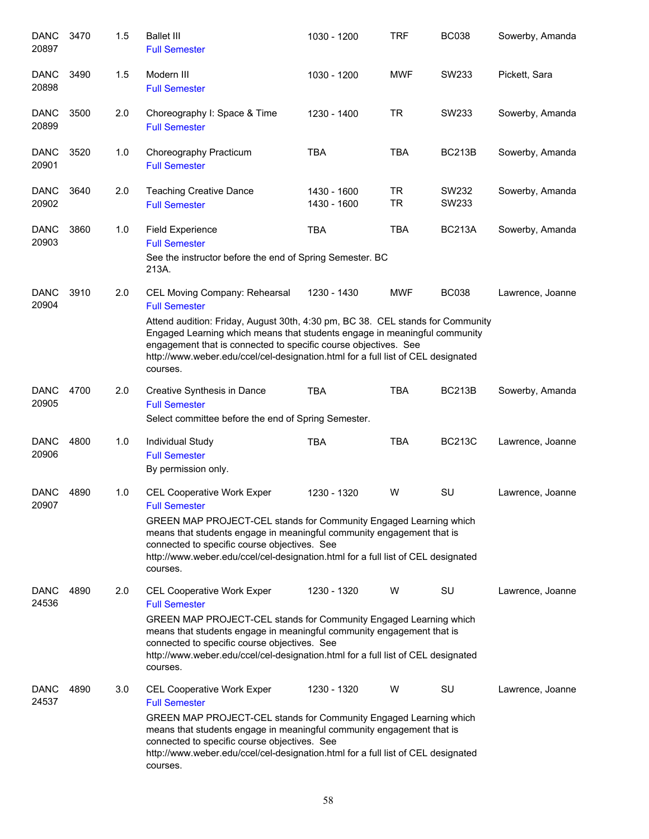| <b>DANC</b><br>20897 | 3470 | 1.5 | <b>Ballet III</b><br><b>Full Semester</b>                                                                                                                                                                                                                                                                                                               | 1030 - 1200                | <b>TRF</b>             | <b>BC038</b>   | Sowerby, Amanda  |
|----------------------|------|-----|---------------------------------------------------------------------------------------------------------------------------------------------------------------------------------------------------------------------------------------------------------------------------------------------------------------------------------------------------------|----------------------------|------------------------|----------------|------------------|
| <b>DANC</b><br>20898 | 3490 | 1.5 | Modern III<br><b>Full Semester</b>                                                                                                                                                                                                                                                                                                                      | 1030 - 1200                | <b>MWF</b>             | SW233          | Pickett, Sara    |
| <b>DANC</b><br>20899 | 3500 | 2.0 | Choreography I: Space & Time<br><b>Full Semester</b>                                                                                                                                                                                                                                                                                                    | 1230 - 1400                | <b>TR</b>              | SW233          | Sowerby, Amanda  |
| <b>DANC</b><br>20901 | 3520 | 1.0 | Choreography Practicum<br><b>Full Semester</b>                                                                                                                                                                                                                                                                                                          | <b>TBA</b>                 | <b>TBA</b>             | <b>BC213B</b>  | Sowerby, Amanda  |
| <b>DANC</b><br>20902 | 3640 | 2.0 | <b>Teaching Creative Dance</b><br><b>Full Semester</b>                                                                                                                                                                                                                                                                                                  | 1430 - 1600<br>1430 - 1600 | <b>TR</b><br><b>TR</b> | SW232<br>SW233 | Sowerby, Amanda  |
| <b>DANC</b><br>20903 | 3860 | 1.0 | <b>Field Experience</b><br><b>Full Semester</b><br>See the instructor before the end of Spring Semester. BC<br>213A.                                                                                                                                                                                                                                    | <b>TBA</b>                 | <b>TBA</b>             | <b>BC213A</b>  | Sowerby, Amanda  |
| <b>DANC</b><br>20904 | 3910 | 2.0 | CEL Moving Company: Rehearsal<br><b>Full Semester</b>                                                                                                                                                                                                                                                                                                   | 1230 - 1430                | <b>MWF</b>             | <b>BC038</b>   | Lawrence, Joanne |
|                      |      |     | Attend audition: Friday, August 30th, 4:30 pm, BC 38. CEL stands for Community<br>Engaged Learning which means that students engage in meaningful community<br>engagement that is connected to specific course objectives. See<br>http://www.weber.edu/ccel/cel-designation.html for a full list of CEL designated<br>courses.                          |                            |                        |                |                  |
| <b>DANC</b><br>20905 | 4700 | 2.0 | Creative Synthesis in Dance<br><b>Full Semester</b><br>Select committee before the end of Spring Semester.                                                                                                                                                                                                                                              | <b>TBA</b>                 | <b>TBA</b>             | <b>BC213B</b>  | Sowerby, Amanda  |
| <b>DANC</b><br>20906 | 4800 | 1.0 | <b>Individual Study</b><br><b>Full Semester</b><br>By permission only.                                                                                                                                                                                                                                                                                  | <b>TBA</b>                 | <b>TBA</b>             | <b>BC213C</b>  | Lawrence, Joanne |
| <b>DANC</b><br>20907 | 4890 | 1.0 | <b>CEL Cooperative Work Exper</b><br><b>Full Semester</b><br>GREEN MAP PROJECT-CEL stands for Community Engaged Learning which<br>means that students engage in meaningful community engagement that is<br>connected to specific course objectives. See<br>http://www.weber.edu/ccel/cel-designation.html for a full list of CEL designated<br>courses. | 1230 - 1320                | W                      | SU             | Lawrence, Joanne |
| <b>DANC</b><br>24536 | 4890 | 2.0 | <b>CEL Cooperative Work Exper</b><br><b>Full Semester</b><br>GREEN MAP PROJECT-CEL stands for Community Engaged Learning which<br>means that students engage in meaningful community engagement that is<br>connected to specific course objectives. See<br>http://www.weber.edu/ccel/cel-designation.html for a full list of CEL designated<br>courses. | 1230 - 1320                | W                      | SU             | Lawrence, Joanne |
| <b>DANC</b><br>24537 | 4890 | 3.0 | <b>CEL Cooperative Work Exper</b><br><b>Full Semester</b><br>GREEN MAP PROJECT-CEL stands for Community Engaged Learning which<br>means that students engage in meaningful community engagement that is<br>connected to specific course objectives. See<br>http://www.weber.edu/ccel/cel-designation.html for a full list of CEL designated<br>courses. | 1230 - 1320                | W                      | SU             | Lawrence, Joanne |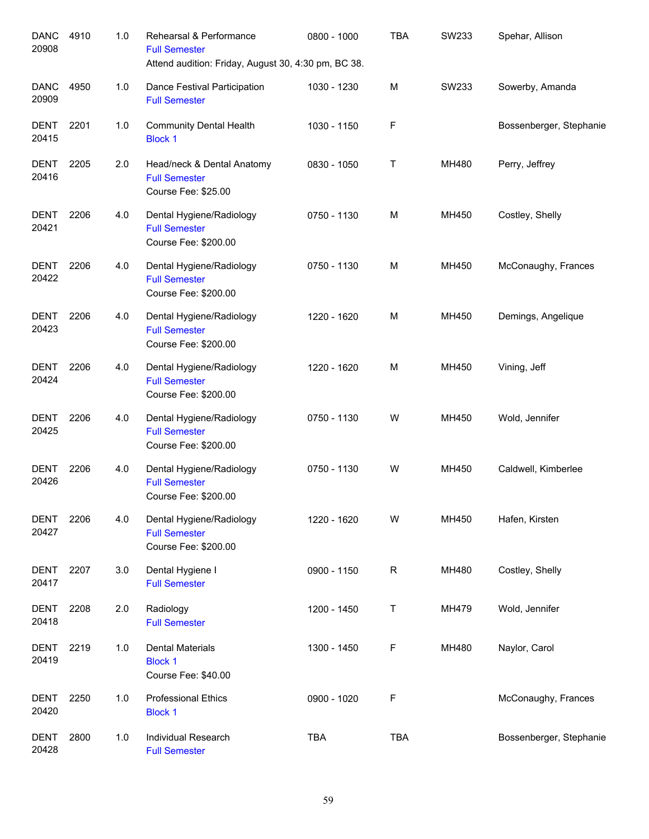| <b>DANC</b><br>20908 | 4910 | 1.0   | Rehearsal & Performance<br><b>Full Semester</b><br>Attend audition: Friday, August 30, 4:30 pm, BC 38. | 0800 - 1000 | <b>TBA</b> | SW233 | Spehar, Allison         |
|----------------------|------|-------|--------------------------------------------------------------------------------------------------------|-------------|------------|-------|-------------------------|
| <b>DANC</b><br>20909 | 4950 | 1.0   | Dance Festival Participation<br><b>Full Semester</b>                                                   | 1030 - 1230 | М          | SW233 | Sowerby, Amanda         |
| <b>DENT</b><br>20415 | 2201 | 1.0   | <b>Community Dental Health</b><br><b>Block 1</b>                                                       | 1030 - 1150 | F          |       | Bossenberger, Stephanie |
| <b>DENT</b><br>20416 | 2205 | 2.0   | Head/neck & Dental Anatomy<br><b>Full Semester</b><br>Course Fee: \$25.00                              | 0830 - 1050 | Τ          | MH480 | Perry, Jeffrey          |
| <b>DENT</b><br>20421 | 2206 | 4.0   | Dental Hygiene/Radiology<br><b>Full Semester</b><br>Course Fee: \$200.00                               | 0750 - 1130 | М          | MH450 | Costley, Shelly         |
| <b>DENT</b><br>20422 | 2206 | 4.0   | Dental Hygiene/Radiology<br><b>Full Semester</b><br>Course Fee: \$200.00                               | 0750 - 1130 | М          | MH450 | McConaughy, Frances     |
| <b>DENT</b><br>20423 | 2206 | 4.0   | Dental Hygiene/Radiology<br><b>Full Semester</b><br>Course Fee: \$200.00                               | 1220 - 1620 | М          | MH450 | Demings, Angelique      |
| <b>DENT</b><br>20424 | 2206 | 4.0   | Dental Hygiene/Radiology<br><b>Full Semester</b><br>Course Fee: \$200.00                               | 1220 - 1620 | М          | MH450 | Vining, Jeff            |
| <b>DENT</b><br>20425 | 2206 | 4.0   | Dental Hygiene/Radiology<br><b>Full Semester</b><br>Course Fee: \$200.00                               | 0750 - 1130 | W          | MH450 | Wold, Jennifer          |
| <b>DENT</b><br>20426 | 2206 | 4.0   | Dental Hygiene/Radiology<br><b>Full Semester</b><br>Course Fee: \$200.00                               | 0750 - 1130 | W          | MH450 | Caldwell, Kimberlee     |
| DENT<br>20427        | 2206 | 4.0   | Dental Hygiene/Radiology<br><b>Full Semester</b><br>Course Fee: \$200.00                               | 1220 - 1620 | W          | MH450 | Hafen, Kirsten          |
| <b>DENT</b><br>20417 | 2207 | 3.0   | Dental Hygiene I<br><b>Full Semester</b>                                                               | 0900 - 1150 | R          | MH480 | Costley, Shelly         |
| <b>DENT</b><br>20418 | 2208 | 2.0   | Radiology<br><b>Full Semester</b>                                                                      | 1200 - 1450 | Τ          | MH479 | Wold, Jennifer          |
| <b>DENT</b><br>20419 | 2219 | 1.0   | <b>Dental Materials</b><br><b>Block 1</b><br>Course Fee: \$40.00                                       | 1300 - 1450 | F          | MH480 | Naylor, Carol           |
| <b>DENT</b><br>20420 | 2250 | 1.0   | <b>Professional Ethics</b><br><b>Block 1</b>                                                           | 0900 - 1020 | F          |       | McConaughy, Frances     |
| <b>DENT</b><br>20428 | 2800 | $1.0$ | Individual Research<br><b>Full Semester</b>                                                            | <b>TBA</b>  | <b>TBA</b> |       | Bossenberger, Stephanie |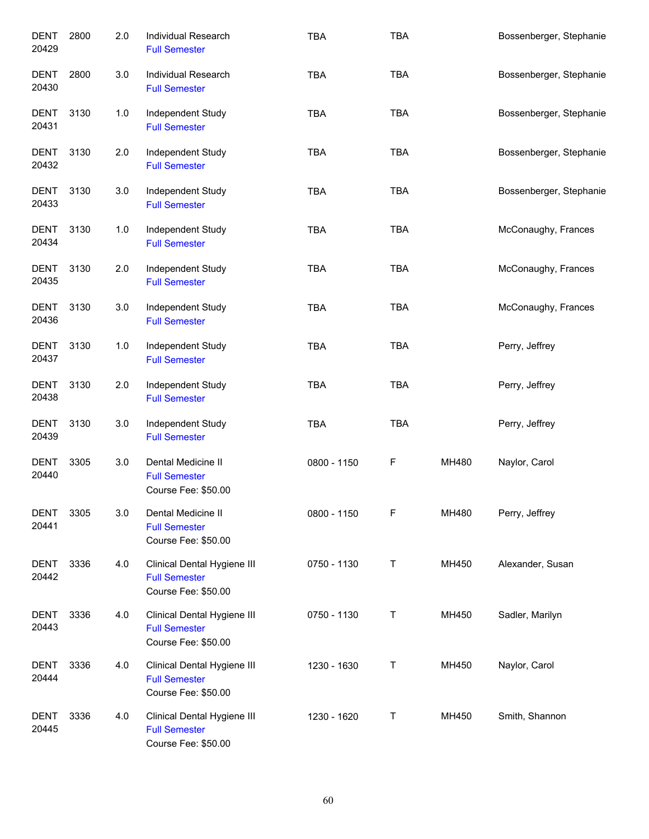| <b>DENT</b><br>20429 | 2800 | 2.0 | Individual Research<br><b>Full Semester</b>                                | <b>TBA</b>  | <b>TBA</b> |       | Bossenberger, Stephanie |
|----------------------|------|-----|----------------------------------------------------------------------------|-------------|------------|-------|-------------------------|
| DENT<br>20430        | 2800 | 3.0 | Individual Research<br><b>Full Semester</b>                                | <b>TBA</b>  | <b>TBA</b> |       | Bossenberger, Stephanie |
| <b>DENT</b><br>20431 | 3130 | 1.0 | Independent Study<br><b>Full Semester</b>                                  | <b>TBA</b>  | <b>TBA</b> |       | Bossenberger, Stephanie |
| DENT<br>20432        | 3130 | 2.0 | Independent Study<br><b>Full Semester</b>                                  | <b>TBA</b>  | <b>TBA</b> |       | Bossenberger, Stephanie |
| <b>DENT</b><br>20433 | 3130 | 3.0 | Independent Study<br><b>Full Semester</b>                                  | <b>TBA</b>  | <b>TBA</b> |       | Bossenberger, Stephanie |
| <b>DENT</b><br>20434 | 3130 | 1.0 | Independent Study<br><b>Full Semester</b>                                  | <b>TBA</b>  | <b>TBA</b> |       | McConaughy, Frances     |
| <b>DENT</b><br>20435 | 3130 | 2.0 | Independent Study<br><b>Full Semester</b>                                  | <b>TBA</b>  | <b>TBA</b> |       | McConaughy, Frances     |
| <b>DENT</b><br>20436 | 3130 | 3.0 | Independent Study<br><b>Full Semester</b>                                  | <b>TBA</b>  | <b>TBA</b> |       | McConaughy, Frances     |
| <b>DENT</b><br>20437 | 3130 | 1.0 | Independent Study<br><b>Full Semester</b>                                  | <b>TBA</b>  | <b>TBA</b> |       | Perry, Jeffrey          |
| <b>DENT</b><br>20438 | 3130 | 2.0 | Independent Study<br><b>Full Semester</b>                                  | <b>TBA</b>  | <b>TBA</b> |       | Perry, Jeffrey          |
| <b>DENT</b><br>20439 | 3130 | 3.0 | Independent Study<br><b>Full Semester</b>                                  | <b>TBA</b>  | <b>TBA</b> |       | Perry, Jeffrey          |
| <b>DENT</b><br>20440 | 3305 | 3.0 | Dental Medicine II<br><b>Full Semester</b><br>Course Fee: \$50.00          | 0800 - 1150 | F          | MH480 | Naylor, Carol           |
| <b>DENT</b><br>20441 | 3305 | 3.0 | Dental Medicine II<br><b>Full Semester</b><br>Course Fee: \$50.00          | 0800 - 1150 | F          | MH480 | Perry, Jeffrey          |
| DENT<br>20442        | 3336 | 4.0 | Clinical Dental Hygiene III<br><b>Full Semester</b><br>Course Fee: \$50.00 | 0750 - 1130 | т          | MH450 | Alexander, Susan        |
| DENT<br>20443        | 3336 | 4.0 | Clinical Dental Hygiene III<br><b>Full Semester</b><br>Course Fee: \$50.00 | 0750 - 1130 | Τ          | MH450 | Sadler, Marilyn         |
| <b>DENT</b><br>20444 | 3336 | 4.0 | Clinical Dental Hygiene III<br><b>Full Semester</b><br>Course Fee: \$50.00 | 1230 - 1630 | Τ          | MH450 | Naylor, Carol           |
| <b>DENT</b><br>20445 | 3336 | 4.0 | Clinical Dental Hygiene III<br><b>Full Semester</b><br>Course Fee: \$50.00 | 1230 - 1620 | Τ          | MH450 | Smith, Shannon          |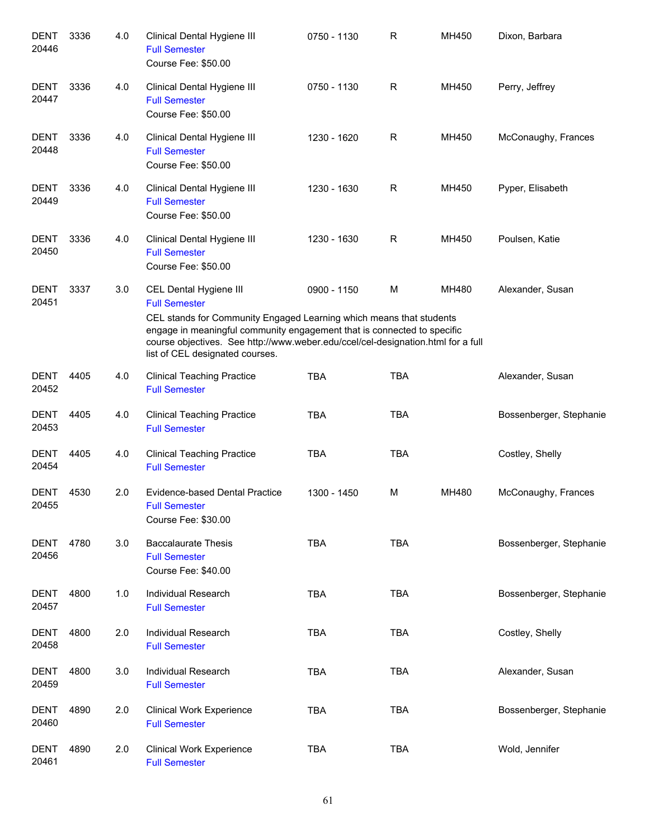| <b>DENT</b><br>20446 | 3336 | 4.0 | Clinical Dental Hygiene III<br><b>Full Semester</b><br>Course Fee: \$50.00                                                                                                                                                                                                                                              | 0750 - 1130 | R          | MH450 | Dixon, Barbara          |
|----------------------|------|-----|-------------------------------------------------------------------------------------------------------------------------------------------------------------------------------------------------------------------------------------------------------------------------------------------------------------------------|-------------|------------|-------|-------------------------|
| <b>DENT</b><br>20447 | 3336 | 4.0 | Clinical Dental Hygiene III<br><b>Full Semester</b><br>Course Fee: \$50.00                                                                                                                                                                                                                                              | 0750 - 1130 | R          | MH450 | Perry, Jeffrey          |
| <b>DENT</b><br>20448 | 3336 | 4.0 | Clinical Dental Hygiene III<br><b>Full Semester</b><br>Course Fee: \$50.00                                                                                                                                                                                                                                              | 1230 - 1620 | R          | MH450 | McConaughy, Frances     |
| <b>DENT</b><br>20449 | 3336 | 4.0 | Clinical Dental Hygiene III<br><b>Full Semester</b><br>Course Fee: \$50.00                                                                                                                                                                                                                                              | 1230 - 1630 | R          | MH450 | Pyper, Elisabeth        |
| <b>DENT</b><br>20450 | 3336 | 4.0 | Clinical Dental Hygiene III<br><b>Full Semester</b><br>Course Fee: \$50.00                                                                                                                                                                                                                                              | 1230 - 1630 | R          | MH450 | Poulsen, Katie          |
| <b>DENT</b><br>20451 | 3337 | 3.0 | CEL Dental Hygiene III<br><b>Full Semester</b><br>CEL stands for Community Engaged Learning which means that students<br>engage in meaningful community engagement that is connected to specific<br>course objectives. See http://www.weber.edu/ccel/cel-designation.html for a full<br>list of CEL designated courses. | 0900 - 1150 | M          | MH480 | Alexander, Susan        |
| <b>DENT</b><br>20452 | 4405 | 4.0 | <b>Clinical Teaching Practice</b><br><b>Full Semester</b>                                                                                                                                                                                                                                                               | <b>TBA</b>  | <b>TBA</b> |       | Alexander, Susan        |
| <b>DENT</b><br>20453 | 4405 | 4.0 | <b>Clinical Teaching Practice</b><br><b>Full Semester</b>                                                                                                                                                                                                                                                               | <b>TBA</b>  | <b>TBA</b> |       | Bossenberger, Stephanie |
| <b>DENT</b><br>20454 | 4405 | 4.0 | <b>Clinical Teaching Practice</b><br><b>Full Semester</b>                                                                                                                                                                                                                                                               | <b>TBA</b>  | <b>TBA</b> |       | Costley, Shelly         |
| <b>DENT</b><br>20455 | 4530 | 2.0 | <b>Evidence-based Dental Practice</b><br><b>Full Semester</b><br>Course Fee: \$30.00                                                                                                                                                                                                                                    | 1300 - 1450 | м          | MH480 | McConaughy, Frances     |
| <b>DENT</b><br>20456 | 4780 | 3.0 | <b>Baccalaurate Thesis</b><br><b>Full Semester</b><br>Course Fee: \$40.00                                                                                                                                                                                                                                               | <b>TBA</b>  | <b>TBA</b> |       | Bossenberger, Stephanie |
| DENT<br>20457        | 4800 | 1.0 | Individual Research<br><b>Full Semester</b>                                                                                                                                                                                                                                                                             | <b>TBA</b>  | <b>TBA</b> |       | Bossenberger, Stephanie |
| DENT<br>20458        | 4800 | 2.0 | Individual Research<br><b>Full Semester</b>                                                                                                                                                                                                                                                                             | <b>TBA</b>  | <b>TBA</b> |       | Costley, Shelly         |
| <b>DENT</b><br>20459 | 4800 | 3.0 | Individual Research<br><b>Full Semester</b>                                                                                                                                                                                                                                                                             | <b>TBA</b>  | <b>TBA</b> |       | Alexander, Susan        |
| <b>DENT</b><br>20460 | 4890 | 2.0 | <b>Clinical Work Experience</b><br><b>Full Semester</b>                                                                                                                                                                                                                                                                 | <b>TBA</b>  | <b>TBA</b> |       | Bossenberger, Stephanie |
| <b>DENT</b><br>20461 | 4890 | 2.0 | <b>Clinical Work Experience</b><br><b>Full Semester</b>                                                                                                                                                                                                                                                                 | <b>TBA</b>  | <b>TBA</b> |       | Wold, Jennifer          |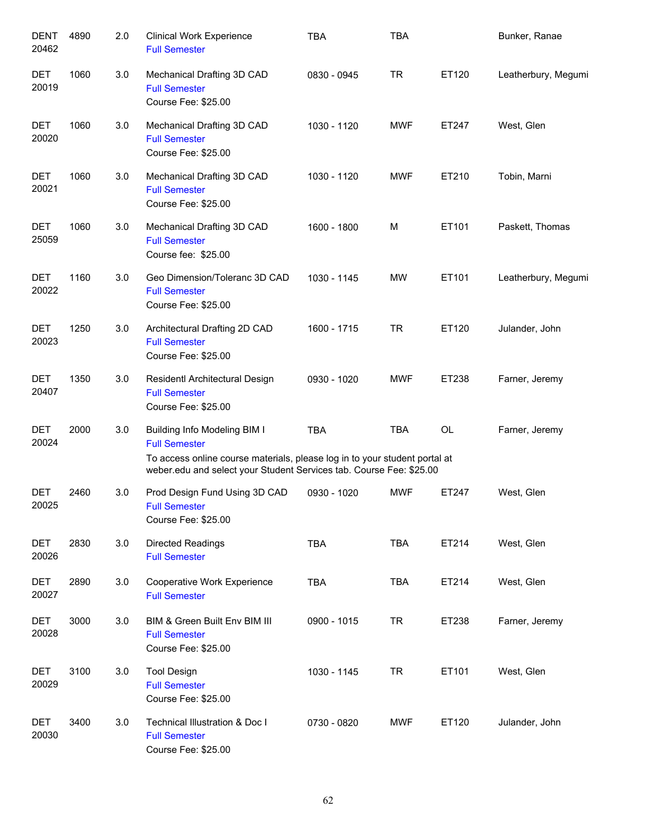| <b>DENT</b><br>20462 | 4890 | 2.0 | <b>Clinical Work Experience</b><br><b>Full Semester</b>                                                                                                                                                          | <b>TBA</b>  | <b>TBA</b> |       | Bunker, Ranae       |
|----------------------|------|-----|------------------------------------------------------------------------------------------------------------------------------------------------------------------------------------------------------------------|-------------|------------|-------|---------------------|
| DET<br>20019         | 1060 | 3.0 | Mechanical Drafting 3D CAD<br><b>Full Semester</b><br>Course Fee: \$25.00                                                                                                                                        | 0830 - 0945 | <b>TR</b>  | ET120 | Leatherbury, Megumi |
| DET<br>20020         | 1060 | 3.0 | Mechanical Drafting 3D CAD<br><b>Full Semester</b><br>Course Fee: \$25.00                                                                                                                                        | 1030 - 1120 | <b>MWF</b> | ET247 | West, Glen          |
| DET<br>20021         | 1060 | 3.0 | Mechanical Drafting 3D CAD<br><b>Full Semester</b><br>Course Fee: \$25.00                                                                                                                                        | 1030 - 1120 | <b>MWF</b> | ET210 | Tobin, Marni        |
| <b>DET</b><br>25059  | 1060 | 3.0 | Mechanical Drafting 3D CAD<br><b>Full Semester</b><br>Course fee: \$25.00                                                                                                                                        | 1600 - 1800 | M          | ET101 | Paskett, Thomas     |
| <b>DET</b><br>20022  | 1160 | 3.0 | Geo Dimension/Toleranc 3D CAD<br><b>Full Semester</b><br>Course Fee: \$25.00                                                                                                                                     | 1030 - 1145 | <b>MW</b>  | ET101 | Leatherbury, Megumi |
| DET<br>20023         | 1250 | 3.0 | Architectural Drafting 2D CAD<br><b>Full Semester</b><br>Course Fee: \$25.00                                                                                                                                     | 1600 - 1715 | <b>TR</b>  | ET120 | Julander, John      |
| DET<br>20407         | 1350 | 3.0 | Residentl Architectural Design<br><b>Full Semester</b><br>Course Fee: \$25.00                                                                                                                                    | 0930 - 1020 | <b>MWF</b> | ET238 | Farner, Jeremy      |
| DET<br>20024         | 2000 | 3.0 | <b>Building Info Modeling BIM I</b><br><b>Full Semester</b><br>To access online course materials, please log in to your student portal at<br>weber.edu and select your Student Services tab. Course Fee: \$25.00 | <b>TBA</b>  | <b>TBA</b> | OL    | Farner, Jeremy      |
| DET<br>20025         | 2460 | 3.0 | Prod Design Fund Using 3D CAD<br><b>Full Semester</b><br>Course Fee: \$25.00                                                                                                                                     | 0930 - 1020 | <b>MWF</b> | ET247 | West, Glen          |
| <b>DET</b><br>20026  | 2830 | 3.0 | <b>Directed Readings</b><br><b>Full Semester</b>                                                                                                                                                                 | <b>TBA</b>  | <b>TBA</b> | ET214 | West, Glen          |
| DET<br>20027         | 2890 | 3.0 | <b>Cooperative Work Experience</b><br><b>Full Semester</b>                                                                                                                                                       | TBA         | <b>TBA</b> | ET214 | West, Glen          |
| DET<br>20028         | 3000 | 3.0 | BIM & Green Built Env BIM III<br><b>Full Semester</b><br>Course Fee: \$25.00                                                                                                                                     | 0900 - 1015 | <b>TR</b>  | ET238 | Farner, Jeremy      |
| DET<br>20029         | 3100 | 3.0 | <b>Tool Design</b><br><b>Full Semester</b><br>Course Fee: \$25.00                                                                                                                                                | 1030 - 1145 | <b>TR</b>  | ET101 | West, Glen          |
| DET<br>20030         | 3400 | 3.0 | Technical Illustration & Doc I<br><b>Full Semester</b><br>Course Fee: \$25.00                                                                                                                                    | 0730 - 0820 | MWF        | ET120 | Julander, John      |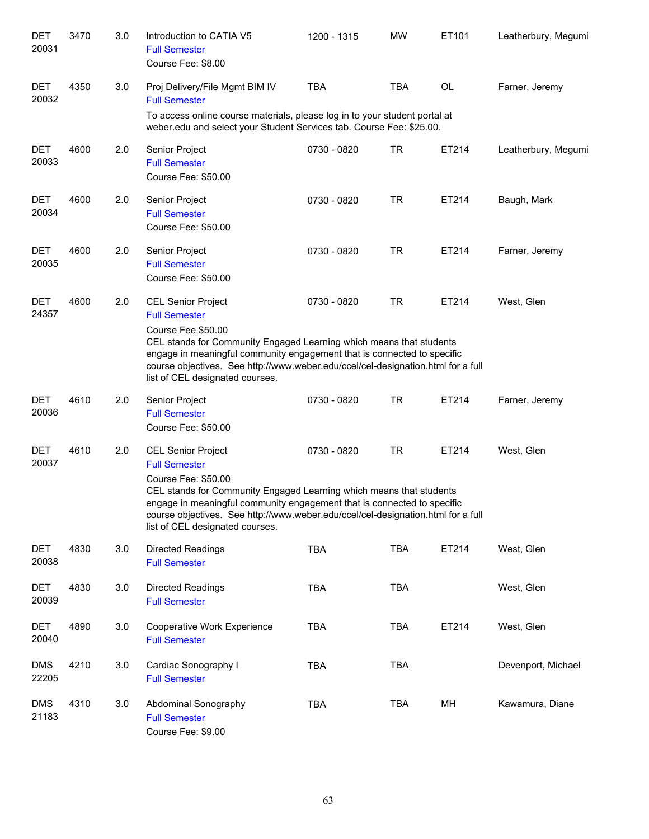| <b>DET</b><br>20031 | 3470 | 3.0 | Introduction to CATIA V5<br><b>Full Semester</b><br>Course Fee: \$8.00                                                                                                                                                                                                                                                                            | 1200 - 1315 | <b>MW</b>  | ET101 | Leatherbury, Megumi |
|---------------------|------|-----|---------------------------------------------------------------------------------------------------------------------------------------------------------------------------------------------------------------------------------------------------------------------------------------------------------------------------------------------------|-------------|------------|-------|---------------------|
| <b>DET</b><br>20032 | 4350 | 3.0 | Proj Delivery/File Mgmt BIM IV<br><b>Full Semester</b><br>To access online course materials, please log in to your student portal at                                                                                                                                                                                                              | <b>TBA</b>  | <b>TBA</b> | OL    | Farner, Jeremy      |
|                     |      |     | weber.edu and select your Student Services tab. Course Fee: \$25.00.                                                                                                                                                                                                                                                                              |             |            |       |                     |
| <b>DET</b><br>20033 | 4600 | 2.0 | Senior Project<br><b>Full Semester</b><br>Course Fee: \$50.00                                                                                                                                                                                                                                                                                     | 0730 - 0820 | <b>TR</b>  | ET214 | Leatherbury, Megumi |
| <b>DET</b><br>20034 | 4600 | 2.0 | Senior Project<br><b>Full Semester</b><br>Course Fee: \$50.00                                                                                                                                                                                                                                                                                     | 0730 - 0820 | <b>TR</b>  | ET214 | Baugh, Mark         |
| <b>DET</b><br>20035 | 4600 | 2.0 | Senior Project<br><b>Full Semester</b><br>Course Fee: \$50.00                                                                                                                                                                                                                                                                                     | 0730 - 0820 | <b>TR</b>  | ET214 | Farner, Jeremy      |
| <b>DET</b><br>24357 | 4600 | 2.0 | <b>CEL Senior Project</b><br><b>Full Semester</b><br>Course Fee \$50.00<br>CEL stands for Community Engaged Learning which means that students<br>engage in meaningful community engagement that is connected to specific<br>course objectives. See http://www.weber.edu/ccel/cel-designation.html for a full<br>list of CEL designated courses.  | 0730 - 0820 | <b>TR</b>  | ET214 | West, Glen          |
| DET<br>20036        | 4610 | 2.0 | Senior Project<br><b>Full Semester</b><br>Course Fee: \$50.00                                                                                                                                                                                                                                                                                     | 0730 - 0820 | <b>TR</b>  | ET214 | Farner, Jeremy      |
| DET<br>20037        | 4610 | 2.0 | <b>CEL Senior Project</b><br><b>Full Semester</b><br>Course Fee: \$50.00<br>CEL stands for Community Engaged Learning which means that students<br>engage in meaningful community engagement that is connected to specific<br>course objectives. See http://www.weber.edu/ccel/cel-designation.html for a full<br>list of CEL designated courses. | 0730 - 0820 | <b>TR</b>  | ET214 | West, Glen          |
| <b>DET</b><br>20038 | 4830 | 3.0 | <b>Directed Readings</b><br><b>Full Semester</b>                                                                                                                                                                                                                                                                                                  | <b>TBA</b>  | <b>TBA</b> | ET214 | West, Glen          |
| <b>DET</b><br>20039 | 4830 | 3.0 | <b>Directed Readings</b><br><b>Full Semester</b>                                                                                                                                                                                                                                                                                                  | <b>TBA</b>  | <b>TBA</b> |       | West, Glen          |
| <b>DET</b><br>20040 | 4890 | 3.0 | Cooperative Work Experience<br><b>Full Semester</b>                                                                                                                                                                                                                                                                                               | <b>TBA</b>  | <b>TBA</b> | ET214 | West, Glen          |
| <b>DMS</b><br>22205 | 4210 | 3.0 | Cardiac Sonography I<br><b>Full Semester</b>                                                                                                                                                                                                                                                                                                      | <b>TBA</b>  | <b>TBA</b> |       | Devenport, Michael  |
| <b>DMS</b><br>21183 | 4310 | 3.0 | Abdominal Sonography<br><b>Full Semester</b><br>Course Fee: \$9.00                                                                                                                                                                                                                                                                                | TBA         | <b>TBA</b> | MH    | Kawamura, Diane     |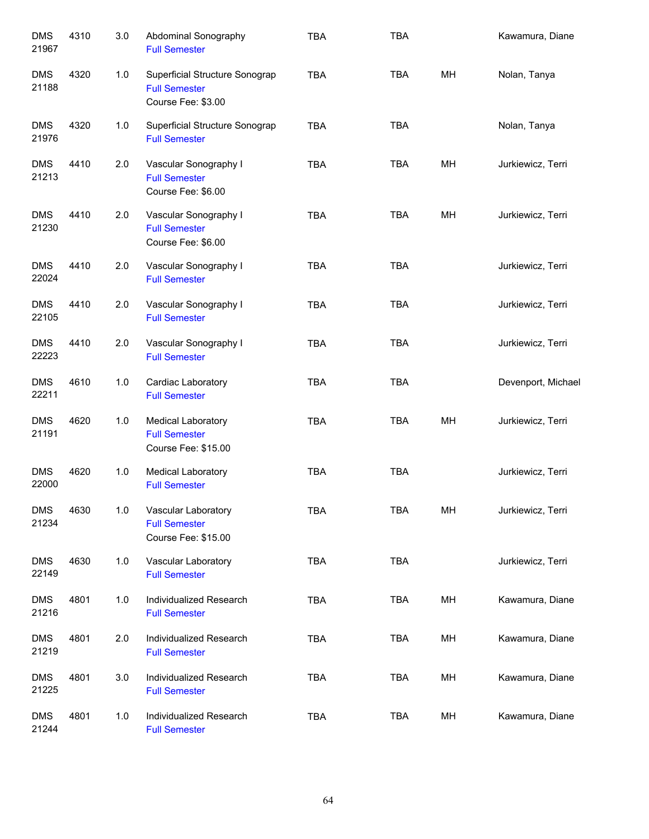| <b>DMS</b><br>21967 | 4310 | 3.0   | Abdominal Sonography<br><b>Full Semester</b>                                 | <b>TBA</b> | <b>TBA</b> |    | Kawamura, Diane    |
|---------------------|------|-------|------------------------------------------------------------------------------|------------|------------|----|--------------------|
| <b>DMS</b><br>21188 | 4320 | 1.0   | Superficial Structure Sonograp<br><b>Full Semester</b><br>Course Fee: \$3.00 | <b>TBA</b> | <b>TBA</b> | MH | Nolan, Tanya       |
| <b>DMS</b><br>21976 | 4320 | 1.0   | Superficial Structure Sonograp<br><b>Full Semester</b>                       | <b>TBA</b> | <b>TBA</b> |    | Nolan, Tanya       |
| <b>DMS</b><br>21213 | 4410 | 2.0   | Vascular Sonography I<br><b>Full Semester</b><br>Course Fee: \$6.00          | <b>TBA</b> | <b>TBA</b> | MH | Jurkiewicz, Terri  |
| <b>DMS</b><br>21230 | 4410 | 2.0   | Vascular Sonography I<br><b>Full Semester</b><br>Course Fee: \$6.00          | <b>TBA</b> | <b>TBA</b> | MH | Jurkiewicz, Terri  |
| <b>DMS</b><br>22024 | 4410 | 2.0   | Vascular Sonography I<br><b>Full Semester</b>                                | <b>TBA</b> | <b>TBA</b> |    | Jurkiewicz, Terri  |
| <b>DMS</b><br>22105 | 4410 | 2.0   | Vascular Sonography I<br><b>Full Semester</b>                                | <b>TBA</b> | <b>TBA</b> |    | Jurkiewicz, Terri  |
| <b>DMS</b><br>22223 | 4410 | 2.0   | Vascular Sonography I<br><b>Full Semester</b>                                | <b>TBA</b> | <b>TBA</b> |    | Jurkiewicz, Terri  |
| <b>DMS</b><br>22211 | 4610 | $1.0$ | Cardiac Laboratory<br><b>Full Semester</b>                                   | <b>TBA</b> | <b>TBA</b> |    | Devenport, Michael |
| <b>DMS</b><br>21191 | 4620 | $1.0$ | <b>Medical Laboratory</b><br><b>Full Semester</b><br>Course Fee: \$15.00     | <b>TBA</b> | <b>TBA</b> | MH | Jurkiewicz, Terri  |
| <b>DMS</b><br>22000 | 4620 | 1.0   | <b>Medical Laboratory</b><br><b>Full Semester</b>                            | <b>TBA</b> | <b>TBA</b> |    | Jurkiewicz, Terri  |
| <b>DMS</b><br>21234 | 4630 | $1.0$ | Vascular Laboratory<br><b>Full Semester</b><br>Course Fee: \$15.00           | <b>TBA</b> | <b>TBA</b> | MH | Jurkiewicz, Terri  |
| <b>DMS</b><br>22149 | 4630 | 1.0   | Vascular Laboratory<br><b>Full Semester</b>                                  | <b>TBA</b> | TBA        |    | Jurkiewicz, Terri  |
| <b>DMS</b><br>21216 | 4801 | 1.0   | Individualized Research<br><b>Full Semester</b>                              | <b>TBA</b> | <b>TBA</b> | MH | Kawamura, Diane    |
| <b>DMS</b><br>21219 | 4801 | 2.0   | Individualized Research<br><b>Full Semester</b>                              | <b>TBA</b> | <b>TBA</b> | MH | Kawamura, Diane    |
| <b>DMS</b><br>21225 | 4801 | 3.0   | Individualized Research<br><b>Full Semester</b>                              | <b>TBA</b> | <b>TBA</b> | МH | Kawamura, Diane    |
| <b>DMS</b><br>21244 | 4801 | 1.0   | Individualized Research<br><b>Full Semester</b>                              | <b>TBA</b> | <b>TBA</b> | MH | Kawamura, Diane    |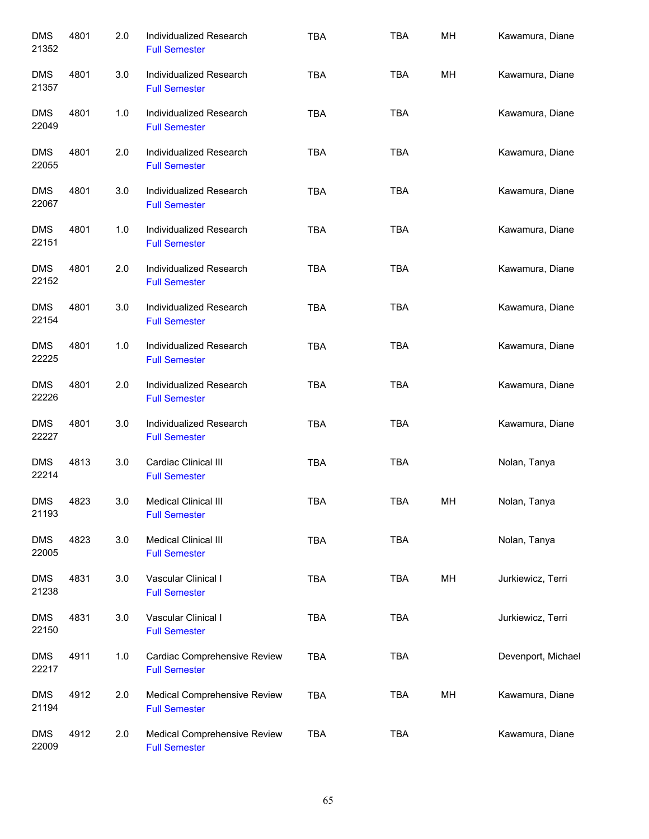| <b>DMS</b><br>21352 | 4801 | 2.0 | Individualized Research<br><b>Full Semester</b>      | <b>TBA</b> | <b>TBA</b> | MН | Kawamura, Diane    |
|---------------------|------|-----|------------------------------------------------------|------------|------------|----|--------------------|
| <b>DMS</b><br>21357 | 4801 | 3.0 | Individualized Research<br><b>Full Semester</b>      | <b>TBA</b> | TBA        | MH | Kawamura, Diane    |
| <b>DMS</b><br>22049 | 4801 | 1.0 | Individualized Research<br><b>Full Semester</b>      | <b>TBA</b> | TBA        |    | Kawamura, Diane    |
| <b>DMS</b><br>22055 | 4801 | 2.0 | Individualized Research<br><b>Full Semester</b>      | <b>TBA</b> | <b>TBA</b> |    | Kawamura, Diane    |
| <b>DMS</b><br>22067 | 4801 | 3.0 | Individualized Research<br><b>Full Semester</b>      | <b>TBA</b> | <b>TBA</b> |    | Kawamura, Diane    |
| <b>DMS</b><br>22151 | 4801 | 1.0 | Individualized Research<br><b>Full Semester</b>      | <b>TBA</b> | <b>TBA</b> |    | Kawamura, Diane    |
| <b>DMS</b><br>22152 | 4801 | 2.0 | Individualized Research<br><b>Full Semester</b>      | <b>TBA</b> | <b>TBA</b> |    | Kawamura, Diane    |
| <b>DMS</b><br>22154 | 4801 | 3.0 | Individualized Research<br><b>Full Semester</b>      | <b>TBA</b> | <b>TBA</b> |    | Kawamura, Diane    |
| <b>DMS</b><br>22225 | 4801 | 1.0 | Individualized Research<br><b>Full Semester</b>      | <b>TBA</b> | <b>TBA</b> |    | Kawamura, Diane    |
| <b>DMS</b><br>22226 | 4801 | 2.0 | Individualized Research<br><b>Full Semester</b>      | <b>TBA</b> | <b>TBA</b> |    | Kawamura, Diane    |
| <b>DMS</b><br>22227 | 4801 | 3.0 | Individualized Research<br><b>Full Semester</b>      | <b>TBA</b> | <b>TBA</b> |    | Kawamura, Diane    |
| <b>DMS</b><br>22214 | 4813 | 3.0 | Cardiac Clinical III<br><b>Full Semester</b>         | <b>TBA</b> | <b>TBA</b> |    | Nolan, Tanya       |
| <b>DMS</b><br>21193 | 4823 | 3.0 | <b>Medical Clinical III</b><br><b>Full Semester</b>  | <b>TBA</b> | <b>TBA</b> | MН | Nolan, Tanya       |
| <b>DMS</b><br>22005 | 4823 | 3.0 | Medical Clinical III<br><b>Full Semester</b>         | <b>TBA</b> | <b>TBA</b> |    | Nolan, Tanya       |
| <b>DMS</b><br>21238 | 4831 | 3.0 | Vascular Clinical I<br><b>Full Semester</b>          | <b>TBA</b> | <b>TBA</b> | MH | Jurkiewicz, Terri  |
| <b>DMS</b><br>22150 | 4831 | 3.0 | Vascular Clinical I<br><b>Full Semester</b>          | <b>TBA</b> | <b>TBA</b> |    | Jurkiewicz, Terri  |
| <b>DMS</b><br>22217 | 4911 | 1.0 | Cardiac Comprehensive Review<br><b>Full Semester</b> | <b>TBA</b> | <b>TBA</b> |    | Devenport, Michael |
| <b>DMS</b><br>21194 | 4912 | 2.0 | Medical Comprehensive Review<br><b>Full Semester</b> | <b>TBA</b> | <b>TBA</b> | MH | Kawamura, Diane    |
| <b>DMS</b><br>22009 | 4912 | 2.0 | Medical Comprehensive Review<br><b>Full Semester</b> | <b>TBA</b> | <b>TBA</b> |    | Kawamura, Diane    |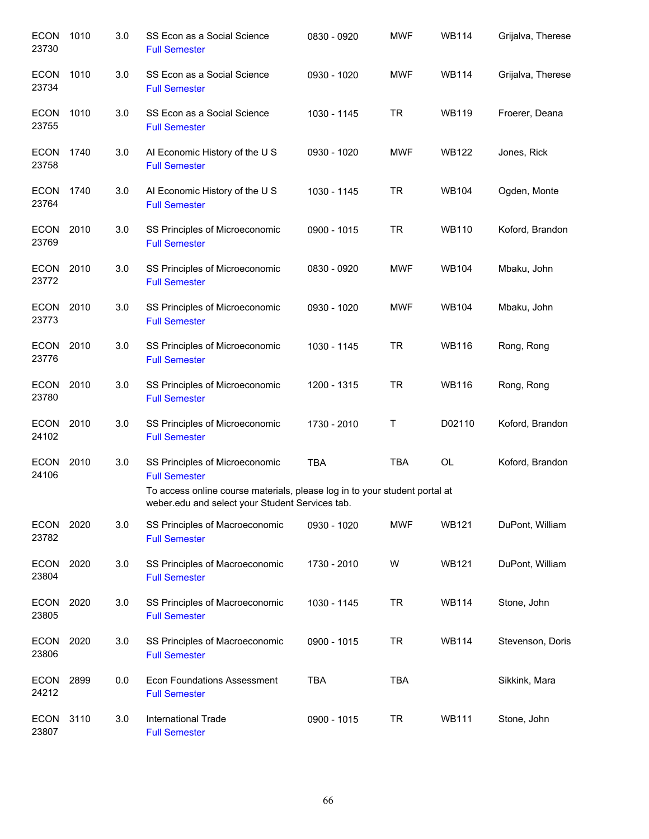| <b>ECON</b><br>23730 | 1010 | 3.0 | SS Econ as a Social Science<br><b>Full Semester</b>                                                                           | 0830 - 0920 | <b>MWF</b> | <b>WB114</b> | Grijalva, Therese |
|----------------------|------|-----|-------------------------------------------------------------------------------------------------------------------------------|-------------|------------|--------------|-------------------|
| <b>ECON</b><br>23734 | 1010 | 3.0 | SS Econ as a Social Science<br><b>Full Semester</b>                                                                           | 0930 - 1020 | <b>MWF</b> | <b>WB114</b> | Grijalva, Therese |
| <b>ECON</b><br>23755 | 1010 | 3.0 | SS Econ as a Social Science<br><b>Full Semester</b>                                                                           | 1030 - 1145 | <b>TR</b>  | <b>WB119</b> | Froerer, Deana    |
| <b>ECON</b><br>23758 | 1740 | 3.0 | Al Economic History of the U S<br><b>Full Semester</b>                                                                        | 0930 - 1020 | <b>MWF</b> | <b>WB122</b> | Jones, Rick       |
| <b>ECON</b><br>23764 | 1740 | 3.0 | AI Economic History of the U S<br><b>Full Semester</b>                                                                        | 1030 - 1145 | <b>TR</b>  | <b>WB104</b> | Ogden, Monte      |
| ECON 2010<br>23769   |      | 3.0 | SS Principles of Microeconomic<br><b>Full Semester</b>                                                                        | 0900 - 1015 | <b>TR</b>  | <b>WB110</b> | Koford, Brandon   |
| ECON<br>23772        | 2010 | 3.0 | SS Principles of Microeconomic<br><b>Full Semester</b>                                                                        | 0830 - 0920 | <b>MWF</b> | <b>WB104</b> | Mbaku, John       |
| <b>ECON</b><br>23773 | 2010 | 3.0 | SS Principles of Microeconomic<br><b>Full Semester</b>                                                                        | 0930 - 1020 | <b>MWF</b> | <b>WB104</b> | Mbaku, John       |
| ECON<br>23776        | 2010 | 3.0 | SS Principles of Microeconomic<br><b>Full Semester</b>                                                                        | 1030 - 1145 | <b>TR</b>  | <b>WB116</b> | Rong, Rong        |
| ECON<br>23780        | 2010 | 3.0 | SS Principles of Microeconomic<br><b>Full Semester</b>                                                                        | 1200 - 1315 | <b>TR</b>  | <b>WB116</b> | Rong, Rong        |
| ECON<br>24102        | 2010 | 3.0 | SS Principles of Microeconomic<br><b>Full Semester</b>                                                                        | 1730 - 2010 | Τ          | D02110       | Koford, Brandon   |
| <b>ECON</b><br>24106 | 2010 | 3.0 | SS Principles of Microeconomic<br><b>Full Semester</b>                                                                        | <b>TBA</b>  | <b>TBA</b> | OL           | Koford, Brandon   |
|                      |      |     | To access online course materials, please log in to your student portal at<br>weber.edu and select your Student Services tab. |             |            |              |                   |
| ECON<br>23782        | 2020 | 3.0 | SS Principles of Macroeconomic<br><b>Full Semester</b>                                                                        | 0930 - 1020 | <b>MWF</b> | <b>WB121</b> | DuPont, William   |
| <b>ECON</b><br>23804 | 2020 | 3.0 | SS Principles of Macroeconomic<br><b>Full Semester</b>                                                                        | 1730 - 2010 | W          | <b>WB121</b> | DuPont, William   |
| <b>ECON</b><br>23805 | 2020 | 3.0 | SS Principles of Macroeconomic<br><b>Full Semester</b>                                                                        | 1030 - 1145 | <b>TR</b>  | <b>WB114</b> | Stone, John       |
| <b>ECON</b><br>23806 | 2020 | 3.0 | SS Principles of Macroeconomic<br><b>Full Semester</b>                                                                        | 0900 - 1015 | <b>TR</b>  | <b>WB114</b> | Stevenson, Doris  |
| ECON<br>24212        | 2899 | 0.0 | <b>Econ Foundations Assessment</b><br><b>Full Semester</b>                                                                    | <b>TBA</b>  | <b>TBA</b> |              | Sikkink, Mara     |
| ECON<br>23807        | 3110 | 3.0 | International Trade<br><b>Full Semester</b>                                                                                   | 0900 - 1015 | <b>TR</b>  | <b>WB111</b> | Stone, John       |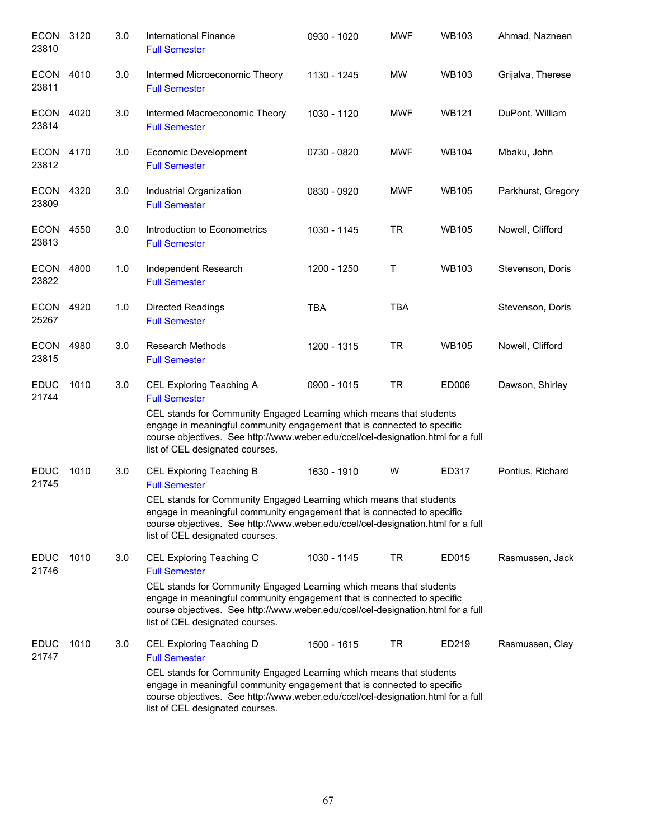| <b>ECON</b><br>23810      | 3120 | 3.0 | <b>International Finance</b><br><b>Full Semester</b>                                                                                                                                                                                                                                                                             | 0930 - 1020 | <b>MWF</b> | <b>WB103</b> | Ahmad, Nazneen     |
|---------------------------|------|-----|----------------------------------------------------------------------------------------------------------------------------------------------------------------------------------------------------------------------------------------------------------------------------------------------------------------------------------|-------------|------------|--------------|--------------------|
| ECON<br>23811             | 4010 | 3.0 | Intermed Microeconomic Theory<br><b>Full Semester</b>                                                                                                                                                                                                                                                                            | 1130 - 1245 | <b>MW</b>  | <b>WB103</b> | Grijalva, Therese  |
| ECON 4020<br>23814        |      | 3.0 | Intermed Macroeconomic Theory<br><b>Full Semester</b>                                                                                                                                                                                                                                                                            | 1030 - 1120 | <b>MWF</b> | <b>WB121</b> | DuPont, William    |
| ECON 4170<br>23812        |      | 3.0 | <b>Economic Development</b><br><b>Full Semester</b>                                                                                                                                                                                                                                                                              | 0730 - 0820 | <b>MWF</b> | <b>WB104</b> | Mbaku, John        |
| ECON 4320<br>23809        |      | 3.0 | Industrial Organization<br><b>Full Semester</b>                                                                                                                                                                                                                                                                                  | 0830 - 0920 | <b>MWF</b> | <b>WB105</b> | Parkhurst, Gregory |
| ECON<br>23813             | 4550 | 3.0 | Introduction to Econometrics<br><b>Full Semester</b>                                                                                                                                                                                                                                                                             | 1030 - 1145 | <b>TR</b>  | <b>WB105</b> | Nowell, Clifford   |
| <b>ECON 4800</b><br>23822 |      | 1.0 | Independent Research<br><b>Full Semester</b>                                                                                                                                                                                                                                                                                     | 1200 - 1250 | T          | <b>WB103</b> | Stevenson, Doris   |
| ECON 4920<br>25267        |      | 1.0 | <b>Directed Readings</b><br><b>Full Semester</b>                                                                                                                                                                                                                                                                                 | <b>TBA</b>  | <b>TBA</b> |              | Stevenson, Doris   |
| ECON<br>23815             | 4980 | 3.0 | <b>Research Methods</b><br><b>Full Semester</b>                                                                                                                                                                                                                                                                                  | 1200 - 1315 | <b>TR</b>  | <b>WB105</b> | Nowell, Clifford   |
| <b>EDUC</b><br>21744      | 1010 | 3.0 | CEL Exploring Teaching A<br><b>Full Semester</b><br>CEL stands for Community Engaged Learning which means that students<br>engage in meaningful community engagement that is connected to specific<br>course objectives. See http://www.weber.edu/ccel/cel-designation.html for a full<br>list of CEL designated courses.        | 0900 - 1015 | <b>TR</b>  | ED006        | Dawson, Shirley    |
| <b>EDUC</b><br>21745      | 1010 | 3.0 | <b>CEL Exploring Teaching B</b><br><b>Full Semester</b><br>CEL stands for Community Engaged Learning which means that students<br>engage in meaningful community engagement that is connected to specific<br>course objectives. See http://www.weber.edu/ccel/cel-designation.html for a full<br>list of CEL designated courses. | 1630 - 1910 | W          | ED317        | Pontius, Richard   |
| <b>EDUC</b><br>21746      | 1010 | 3.0 | CEL Exploring Teaching C<br><b>Full Semester</b><br>CEL stands for Community Engaged Learning which means that students<br>engage in meaningful community engagement that is connected to specific<br>course objectives. See http://www.weber.edu/ccel/cel-designation.html for a full<br>list of CEL designated courses.        | 1030 - 1145 | TR         | ED015        | Rasmussen, Jack    |
| <b>EDUC</b><br>21747      | 1010 | 3.0 | CEL Exploring Teaching D<br><b>Full Semester</b><br>CEL stands for Community Engaged Learning which means that students<br>engage in meaningful community engagement that is connected to specific<br>course objectives. See http://www.weber.edu/ccel/cel-designation.html for a full<br>list of CEL designated courses.        | 1500 - 1615 | TR         | ED219        | Rasmussen, Clay    |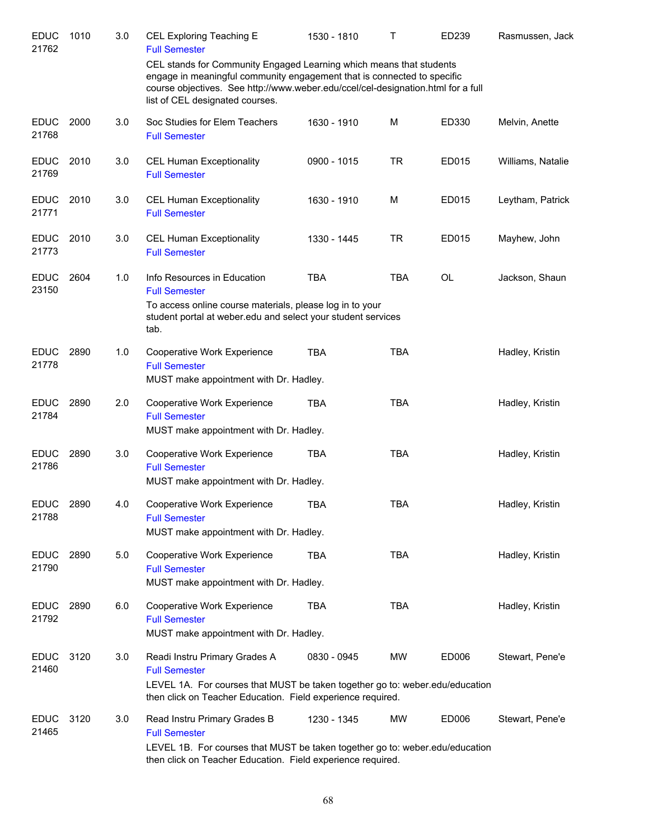| <b>EDUC</b><br>21762 | 1010 | 3.0 | <b>CEL Exploring Teaching E</b><br><b>Full Semester</b>                                                                                                                                                                                                               | 1530 - 1810 | Т          | ED239     | Rasmussen, Jack   |
|----------------------|------|-----|-----------------------------------------------------------------------------------------------------------------------------------------------------------------------------------------------------------------------------------------------------------------------|-------------|------------|-----------|-------------------|
|                      |      |     | CEL stands for Community Engaged Learning which means that students<br>engage in meaningful community engagement that is connected to specific<br>course objectives. See http://www.weber.edu/ccel/cel-designation.html for a full<br>list of CEL designated courses. |             |            |           |                   |
| <b>EDUC</b><br>21768 | 2000 | 3.0 | Soc Studies for Elem Teachers<br><b>Full Semester</b>                                                                                                                                                                                                                 | 1630 - 1910 | M          | ED330     | Melvin, Anette    |
| <b>EDUC</b><br>21769 | 2010 | 3.0 | <b>CEL Human Exceptionality</b><br><b>Full Semester</b>                                                                                                                                                                                                               | 0900 - 1015 | <b>TR</b>  | ED015     | Williams, Natalie |
| <b>EDUC</b><br>21771 | 2010 | 3.0 | <b>CEL Human Exceptionality</b><br><b>Full Semester</b>                                                                                                                                                                                                               | 1630 - 1910 | M          | ED015     | Leytham, Patrick  |
| <b>EDUC</b><br>21773 | 2010 | 3.0 | <b>CEL Human Exceptionality</b><br><b>Full Semester</b>                                                                                                                                                                                                               | 1330 - 1445 | <b>TR</b>  | ED015     | Mayhew, John      |
| <b>EDUC</b><br>23150 | 2604 | 1.0 | Info Resources in Education<br><b>Full Semester</b><br>To access online course materials, please log in to your                                                                                                                                                       | <b>TBA</b>  | <b>TBA</b> | <b>OL</b> | Jackson, Shaun    |
|                      |      |     | student portal at weber edu and select your student services<br>tab.                                                                                                                                                                                                  |             |            |           |                   |
| <b>EDUC</b><br>21778 | 2890 | 1.0 | Cooperative Work Experience<br><b>Full Semester</b><br>MUST make appointment with Dr. Hadley.                                                                                                                                                                         | <b>TBA</b>  | <b>TBA</b> |           | Hadley, Kristin   |
| <b>EDUC</b><br>21784 | 2890 | 2.0 | Cooperative Work Experience<br><b>Full Semester</b><br>MUST make appointment with Dr. Hadley.                                                                                                                                                                         | <b>TBA</b>  | <b>TBA</b> |           | Hadley, Kristin   |
| <b>EDUC</b><br>21786 | 2890 | 3.0 | <b>Cooperative Work Experience</b><br><b>Full Semester</b><br>MUST make appointment with Dr. Hadley.                                                                                                                                                                  | <b>TBA</b>  | <b>TBA</b> |           | Hadley, Kristin   |
| <b>EDUC</b><br>21788 | 2890 | 4.0 | Cooperative Work Experience<br><b>Full Semester</b><br>MUST make appointment with Dr. Hadley.                                                                                                                                                                         | <b>TBA</b>  | <b>TBA</b> |           | Hadley, Kristin   |
| <b>EDUC</b><br>21790 | 2890 | 5.0 | Cooperative Work Experience<br><b>Full Semester</b><br>MUST make appointment with Dr. Hadley.                                                                                                                                                                         | <b>TBA</b>  | <b>TBA</b> |           | Hadley, Kristin   |
| <b>EDUC</b><br>21792 | 2890 | 6.0 | Cooperative Work Experience<br><b>Full Semester</b><br>MUST make appointment with Dr. Hadley.                                                                                                                                                                         | <b>TBA</b>  | <b>TBA</b> |           | Hadley, Kristin   |
| <b>EDUC</b><br>21460 | 3120 | 3.0 | Readi Instru Primary Grades A<br><b>Full Semester</b><br>LEVEL 1A. For courses that MUST be taken together go to: weber.edu/education<br>then click on Teacher Education. Field experience required.                                                                  | 0830 - 0945 | MW         | ED006     | Stewart, Pene'e   |
| <b>EDUC</b><br>21465 | 3120 | 3.0 | Read Instru Primary Grades B<br><b>Full Semester</b><br>LEVEL 1B. For courses that MUST be taken together go to: weber.edu/education<br>then click on Teacher Education. Field experience required.                                                                   | 1230 - 1345 | MW         | ED006     | Stewart, Pene'e   |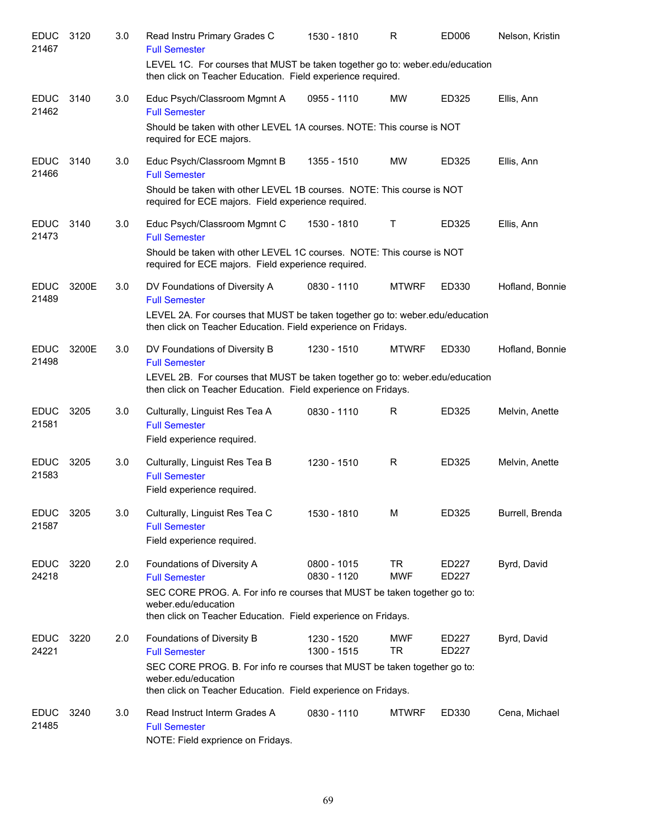| <b>EDUC</b><br>21467 | 3120  | 3.0 | Read Instru Primary Grades C<br><b>Full Semester</b>                                                                                                             | 1530 - 1810                  | R                       | ED006          | Nelson, Kristin |
|----------------------|-------|-----|------------------------------------------------------------------------------------------------------------------------------------------------------------------|------------------------------|-------------------------|----------------|-----------------|
|                      |       |     | LEVEL 1C. For courses that MUST be taken together go to: weber.edu/education<br>then click on Teacher Education. Field experience required.                      |                              |                         |                |                 |
| <b>EDUC</b><br>21462 | 3140  | 3.0 | Educ Psych/Classroom Mgmnt A<br><b>Full Semester</b>                                                                                                             | 0955 - 1110                  | <b>MW</b>               | ED325          | Ellis, Ann      |
|                      |       |     | Should be taken with other LEVEL 1A courses. NOTE: This course is NOT<br>required for ECE majors.                                                                |                              |                         |                |                 |
| <b>EDUC</b><br>21466 | 3140  | 3.0 | Educ Psych/Classroom Mgmnt B<br><b>Full Semester</b>                                                                                                             | 1355 - 1510                  | <b>MW</b>               | ED325          | Ellis, Ann      |
|                      |       |     | Should be taken with other LEVEL 1B courses. NOTE: This course is NOT<br>required for ECE majors. Field experience required.                                     |                              |                         |                |                 |
| <b>EDUC</b><br>21473 | 3140  | 3.0 | Educ Psych/Classroom Mgmnt C<br><b>Full Semester</b>                                                                                                             | 1530 - 1810                  | Τ                       | ED325          | Ellis, Ann      |
|                      |       |     | Should be taken with other LEVEL 1C courses. NOTE: This course is NOT<br>required for ECE majors. Field experience required.                                     |                              |                         |                |                 |
| <b>EDUC</b><br>21489 | 3200E | 3.0 | DV Foundations of Diversity A<br><b>Full Semester</b>                                                                                                            | 0830 - 1110                  | <b>MTWRF</b>            | ED330          | Hofland, Bonnie |
|                      |       |     | LEVEL 2A. For courses that MUST be taken together go to: weber.edu/education<br>then click on Teacher Education. Field experience on Fridays.                    |                              |                         |                |                 |
| <b>EDUC</b><br>21498 | 3200E | 3.0 | DV Foundations of Diversity B<br><b>Full Semester</b>                                                                                                            | 1230 - 1510                  | <b>MTWRF</b>            | ED330          | Hofland, Bonnie |
|                      |       |     | LEVEL 2B. For courses that MUST be taken together go to: weber.edu/education<br>then click on Teacher Education. Field experience on Fridays.                    |                              |                         |                |                 |
| <b>EDUC</b><br>21581 | 3205  | 3.0 | Culturally, Linguist Res Tea A<br><b>Full Semester</b>                                                                                                           | 0830 - 1110                  | R                       | ED325          | Melvin, Anette  |
|                      |       |     | Field experience required.                                                                                                                                       |                              |                         |                |                 |
| <b>EDUC</b><br>21583 | 3205  | 3.0 | Culturally, Linguist Res Tea B<br><b>Full Semester</b><br>Field experience required.                                                                             | 1230 - 1510                  | R                       | ED325          | Melvin, Anette  |
| <b>EDUC</b><br>21587 | 3205  | 3.0 | Culturally, Linguist Res Tea C                                                                                                                                   | 1530 - 1810                  | M                       | ED325          | Burrell, Brenda |
|                      |       |     | <b>Full Semester</b><br>Field experience required.                                                                                                               |                              |                         |                |                 |
| <b>EDUC</b><br>24218 | 3220  | 2.0 | Foundations of Diversity A<br><b>Full Semester</b>                                                                                                               | $0800 - 1015$<br>0830 - 1120 | TR<br><b>MWF</b>        | ED227<br>ED227 | Byrd, David     |
|                      |       |     | SEC CORE PROG. A. For info re courses that MUST be taken together go to:<br>weber.edu/education<br>then click on Teacher Education. Field experience on Fridays. |                              |                         |                |                 |
| <b>EDUC</b><br>24221 | 3220  | 2.0 | Foundations of Diversity B<br><b>Full Semester</b>                                                                                                               | 1230 - 1520<br>1300 - 1515   | <b>MWF</b><br><b>TR</b> | ED227<br>ED227 | Byrd, David     |
|                      |       |     | SEC CORE PROG. B. For info re courses that MUST be taken together go to:<br>weber.edu/education<br>then click on Teacher Education. Field experience on Fridays. |                              |                         |                |                 |
| <b>EDUC</b><br>21485 | 3240  | 3.0 | Read Instruct Interm Grades A<br><b>Full Semester</b><br>NOTE: Field exprience on Fridays.                                                                       | 0830 - 1110                  | <b>MTWRF</b>            | ED330          | Cena, Michael   |
|                      |       |     |                                                                                                                                                                  |                              |                         |                |                 |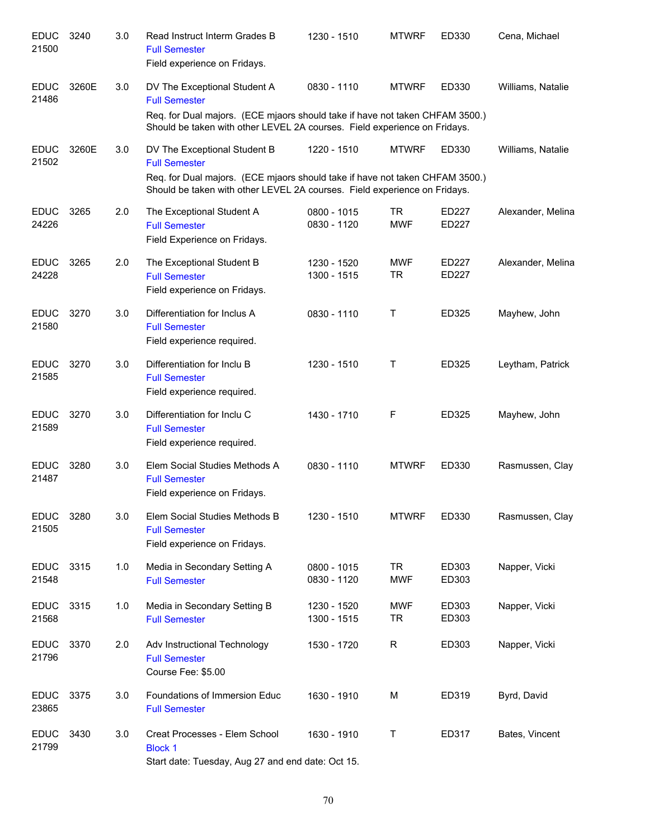| <b>EDUC</b><br>21500 | 3240  | 3.0 | Read Instruct Interm Grades B<br><b>Full Semester</b><br>Field experience on Fridays.                                                                                                                             | 1230 - 1510                | <b>MTWRF</b>            | ED330          | Cena, Michael     |
|----------------------|-------|-----|-------------------------------------------------------------------------------------------------------------------------------------------------------------------------------------------------------------------|----------------------------|-------------------------|----------------|-------------------|
| <b>EDUC</b><br>21486 | 3260E | 3.0 | DV The Exceptional Student A<br><b>Full Semester</b><br>Req. for Dual majors. (ECE mjaors should take if have not taken CHFAM 3500.)<br>Should be taken with other LEVEL 2A courses. Field experience on Fridays. | 0830 - 1110                | <b>MTWRF</b>            | ED330          | Williams, Natalie |
| <b>EDUC</b><br>21502 | 3260E | 3.0 | DV The Exceptional Student B<br><b>Full Semester</b><br>Req. for Dual majors. (ECE mjaors should take if have not taken CHFAM 3500.)<br>Should be taken with other LEVEL 2A courses. Field experience on Fridays. | 1220 - 1510                | <b>MTWRF</b>            | ED330          | Williams, Natalie |
| <b>EDUC</b><br>24226 | 3265  | 2.0 | The Exceptional Student A<br><b>Full Semester</b><br>Field Experience on Fridays.                                                                                                                                 | 0800 - 1015<br>0830 - 1120 | TR<br><b>MWF</b>        | ED227<br>ED227 | Alexander, Melina |
| <b>EDUC</b><br>24228 | 3265  | 2.0 | The Exceptional Student B<br><b>Full Semester</b><br>Field experience on Fridays.                                                                                                                                 | 1230 - 1520<br>1300 - 1515 | <b>MWF</b><br>TR        | ED227<br>ED227 | Alexander, Melina |
| <b>EDUC</b><br>21580 | 3270  | 3.0 | Differentiation for Inclus A<br><b>Full Semester</b><br>Field experience required.                                                                                                                                | 0830 - 1110                | $\mathsf{T}$            | ED325          | Mayhew, John      |
| <b>EDUC</b><br>21585 | 3270  | 3.0 | Differentiation for Inclu B<br><b>Full Semester</b><br>Field experience required.                                                                                                                                 | 1230 - 1510                | Τ                       | ED325          | Leytham, Patrick  |
| <b>EDUC</b><br>21589 | 3270  | 3.0 | Differentiation for Inclu C<br><b>Full Semester</b><br>Field experience required.                                                                                                                                 | 1430 - 1710                | F                       | ED325          | Mayhew, John      |
| <b>EDUC</b><br>21487 | 3280  | 3.0 | Elem Social Studies Methods A<br><b>Full Semester</b><br>Field experience on Fridays.                                                                                                                             | 0830 - 1110                | <b>MTWRF</b>            | ED330          | Rasmussen, Clay   |
| <b>EDUC</b><br>21505 | 3280  | 3.0 | Elem Social Studies Methods B<br><b>Full Semester</b><br>Field experience on Fridays.                                                                                                                             | 1230 - 1510                | <b>MTWRF</b>            | ED330          | Rasmussen, Clay   |
| <b>EDUC</b><br>21548 | 3315  | 1.0 | Media in Secondary Setting A<br><b>Full Semester</b>                                                                                                                                                              | 0800 - 1015<br>0830 - 1120 | <b>TR</b><br><b>MWF</b> | ED303<br>ED303 | Napper, Vicki     |
| <b>EDUC</b><br>21568 | 3315  | 1.0 | Media in Secondary Setting B<br><b>Full Semester</b>                                                                                                                                                              | 1230 - 1520<br>1300 - 1515 | <b>MWF</b><br>TR        | ED303<br>ED303 | Napper, Vicki     |
| <b>EDUC</b><br>21796 | 3370  | 2.0 | Adv Instructional Technology<br><b>Full Semester</b><br>Course Fee: \$5.00                                                                                                                                        | 1530 - 1720                | R                       | ED303          | Napper, Vicki     |
| <b>EDUC</b><br>23865 | 3375  | 3.0 | Foundations of Immersion Educ<br><b>Full Semester</b>                                                                                                                                                             | 1630 - 1910                | M                       | ED319          | Byrd, David       |
| <b>EDUC</b><br>21799 | 3430  | 3.0 | Creat Processes - Elem School<br><b>Block 1</b><br>Start date: Tuesday, Aug 27 and end date: Oct 15.                                                                                                              | 1630 - 1910                | Т                       | ED317          | Bates, Vincent    |
|                      |       |     |                                                                                                                                                                                                                   |                            |                         |                |                   |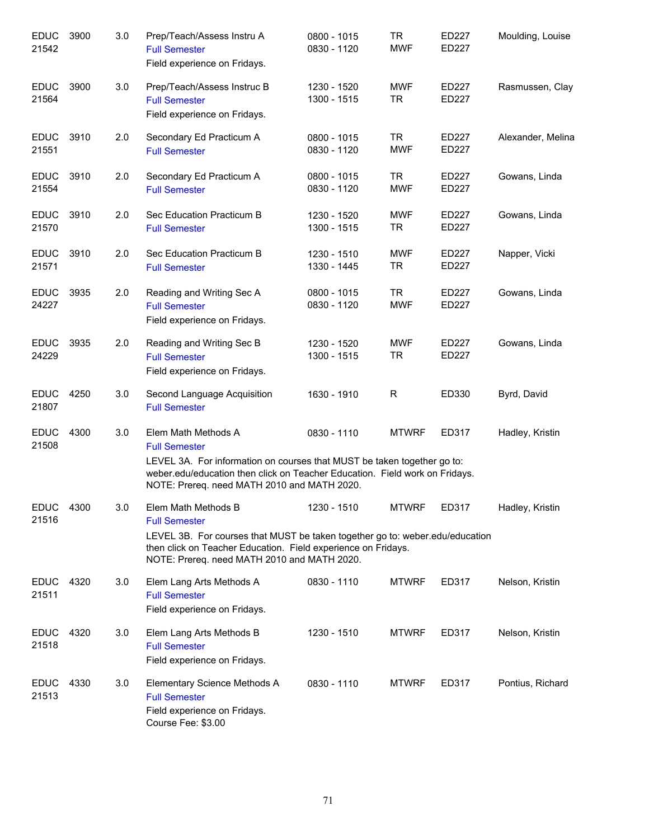| <b>EDUC</b><br>21542 | 3900 | 3.0 | Prep/Teach/Assess Instru A<br><b>Full Semester</b><br>Field experience on Fridays.                                                                                                                                                                   | 0800 - 1015<br>0830 - 1120 | <b>TR</b><br><b>MWF</b> | ED227<br>ED227        | Moulding, Louise  |
|----------------------|------|-----|------------------------------------------------------------------------------------------------------------------------------------------------------------------------------------------------------------------------------------------------------|----------------------------|-------------------------|-----------------------|-------------------|
| <b>EDUC</b><br>21564 | 3900 | 3.0 | Prep/Teach/Assess Instruc B<br><b>Full Semester</b><br>Field experience on Fridays.                                                                                                                                                                  | 1230 - 1520<br>1300 - 1515 | <b>MWF</b><br><b>TR</b> | ED227<br>ED227        | Rasmussen, Clay   |
| <b>EDUC</b><br>21551 | 3910 | 2.0 | Secondary Ed Practicum A<br><b>Full Semester</b>                                                                                                                                                                                                     | 0800 - 1015<br>0830 - 1120 | <b>TR</b><br><b>MWF</b> | ED227<br><b>ED227</b> | Alexander, Melina |
| <b>EDUC</b><br>21554 | 3910 | 2.0 | Secondary Ed Practicum A<br><b>Full Semester</b>                                                                                                                                                                                                     | 0800 - 1015<br>0830 - 1120 | <b>TR</b><br><b>MWF</b> | ED227<br>ED227        | Gowans, Linda     |
| <b>EDUC</b><br>21570 | 3910 | 2.0 | Sec Education Practicum B<br><b>Full Semester</b>                                                                                                                                                                                                    | 1230 - 1520<br>1300 - 1515 | <b>MWF</b><br><b>TR</b> | ED227<br>ED227        | Gowans, Linda     |
| <b>EDUC</b><br>21571 | 3910 | 2.0 | Sec Education Practicum B<br><b>Full Semester</b>                                                                                                                                                                                                    | 1230 - 1510<br>1330 - 1445 | <b>MWF</b><br><b>TR</b> | ED227<br>ED227        | Napper, Vicki     |
| <b>EDUC</b><br>24227 | 3935 | 2.0 | Reading and Writing Sec A<br><b>Full Semester</b><br>Field experience on Fridays.                                                                                                                                                                    | 0800 - 1015<br>0830 - 1120 | <b>TR</b><br><b>MWF</b> | ED227<br><b>ED227</b> | Gowans, Linda     |
| <b>EDUC</b><br>24229 | 3935 | 2.0 | Reading and Writing Sec B<br><b>Full Semester</b><br>Field experience on Fridays.                                                                                                                                                                    | 1230 - 1520<br>1300 - 1515 | <b>MWF</b><br><b>TR</b> | ED227<br>ED227        | Gowans, Linda     |
| <b>EDUC</b><br>21807 | 4250 | 3.0 | Second Language Acquisition<br><b>Full Semester</b>                                                                                                                                                                                                  | 1630 - 1910                | R                       | ED330                 | Byrd, David       |
| <b>EDUC</b><br>21508 | 4300 | 3.0 | Elem Math Methods A<br><b>Full Semester</b><br>LEVEL 3A. For information on courses that MUST be taken together go to:<br>weber.edu/education then click on Teacher Education. Field work on Fridays.<br>NOTE: Prereq. need MATH 2010 and MATH 2020. | 0830 - 1110                | <b>MTWRF</b>            | ED317                 | Hadley, Kristin   |
| <b>EDUC</b><br>21516 | 4300 | 3.0 | Elem Math Methods B<br><b>Full Semester</b><br>LEVEL 3B. For courses that MUST be taken together go to: weber.edu/education<br>then click on Teacher Education. Field experience on Fridays.<br>NOTE: Prereq. need MATH 2010 and MATH 2020.          | 1230 - 1510                | <b>MTWRF</b>            | ED317                 | Hadley, Kristin   |
| <b>EDUC</b><br>21511 | 4320 | 3.0 | Elem Lang Arts Methods A<br><b>Full Semester</b><br>Field experience on Fridays.                                                                                                                                                                     | 0830 - 1110                | <b>MTWRF</b>            | ED317                 | Nelson, Kristin   |
| <b>EDUC</b><br>21518 | 4320 | 3.0 | Elem Lang Arts Methods B<br><b>Full Semester</b><br>Field experience on Fridays.                                                                                                                                                                     | 1230 - 1510                | <b>MTWRF</b>            | ED317                 | Nelson, Kristin   |
| <b>EDUC</b><br>21513 | 4330 | 3.0 | Elementary Science Methods A<br><b>Full Semester</b><br>Field experience on Fridays.<br>Course Fee: \$3.00                                                                                                                                           | 0830 - 1110                | <b>MTWRF</b>            | ED317                 | Pontius, Richard  |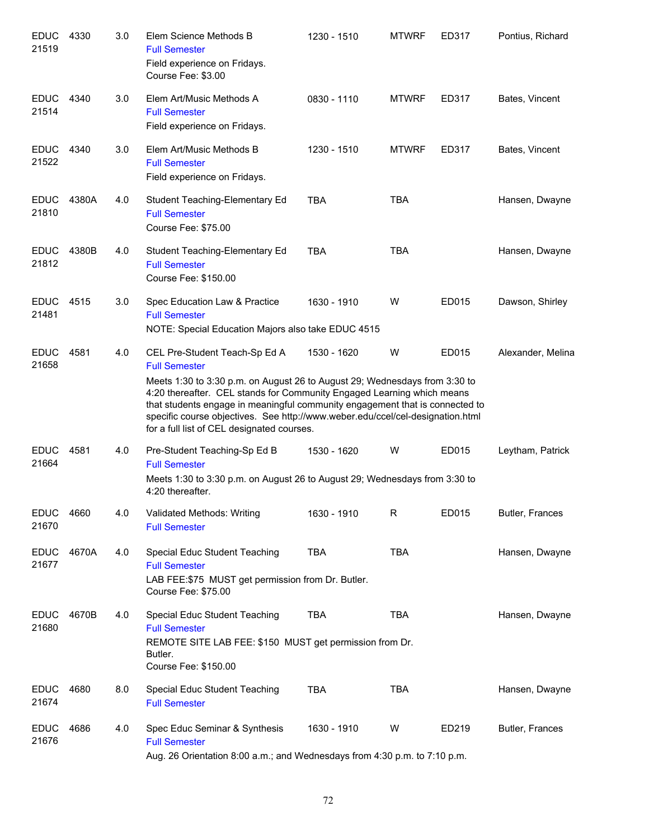| <b>EDUC</b><br>21519 | 4330  | 3.0 | Elem Science Methods B<br><b>Full Semester</b><br>Field experience on Fridays.<br>Course Fee: \$3.00                                                                                                                                                                                                                                                                                                                          | 1230 - 1510 | <b>MTWRF</b> | ED317 | Pontius, Richard  |
|----------------------|-------|-----|-------------------------------------------------------------------------------------------------------------------------------------------------------------------------------------------------------------------------------------------------------------------------------------------------------------------------------------------------------------------------------------------------------------------------------|-------------|--------------|-------|-------------------|
| <b>EDUC</b><br>21514 | 4340  | 3.0 | Elem Art/Music Methods A<br><b>Full Semester</b><br>Field experience on Fridays.                                                                                                                                                                                                                                                                                                                                              | 0830 - 1110 | <b>MTWRF</b> | ED317 | Bates, Vincent    |
| <b>EDUC</b><br>21522 | 4340  | 3.0 | Elem Art/Music Methods B<br><b>Full Semester</b><br>Field experience on Fridays.                                                                                                                                                                                                                                                                                                                                              | 1230 - 1510 | <b>MTWRF</b> | ED317 | Bates, Vincent    |
| <b>EDUC</b><br>21810 | 4380A | 4.0 | Student Teaching-Elementary Ed<br><b>Full Semester</b><br>Course Fee: \$75.00                                                                                                                                                                                                                                                                                                                                                 | <b>TBA</b>  | <b>TBA</b>   |       | Hansen, Dwayne    |
| <b>EDUC</b><br>21812 | 4380B | 4.0 | Student Teaching-Elementary Ed<br><b>Full Semester</b><br>Course Fee: \$150.00                                                                                                                                                                                                                                                                                                                                                | <b>TBA</b>  | <b>TBA</b>   |       | Hansen, Dwayne    |
| <b>EDUC</b><br>21481 | 4515  | 3.0 | Spec Education Law & Practice<br><b>Full Semester</b><br>NOTE: Special Education Majors also take EDUC 4515                                                                                                                                                                                                                                                                                                                   | 1630 - 1910 | W            | ED015 | Dawson, Shirley   |
| <b>EDUC</b><br>21658 | 4581  | 4.0 | CEL Pre-Student Teach-Sp Ed A<br><b>Full Semester</b><br>Meets 1:30 to 3:30 p.m. on August 26 to August 29; Wednesdays from 3:30 to<br>4:20 thereafter. CEL stands for Community Engaged Learning which means<br>that students engage in meaningful community engagement that is connected to<br>specific course objectives. See http://www.weber.edu/ccel/cel-designation.html<br>for a full list of CEL designated courses. | 1530 - 1620 | W            | ED015 | Alexander, Melina |
| <b>EDUC</b><br>21664 | 4581  | 4.0 | Pre-Student Teaching-Sp Ed B<br><b>Full Semester</b><br>Meets 1:30 to 3:30 p.m. on August 26 to August 29; Wednesdays from 3:30 to<br>4:20 thereafter.                                                                                                                                                                                                                                                                        | 1530 - 1620 | W            | ED015 | Leytham, Patrick  |
| <b>EDUC</b><br>21670 | 4660  | 4.0 | Validated Methods: Writing<br><b>Full Semester</b>                                                                                                                                                                                                                                                                                                                                                                            | 1630 - 1910 | R            | ED015 | Butler, Frances   |
| <b>EDUC</b><br>21677 | 4670A | 4.0 | Special Educ Student Teaching<br><b>Full Semester</b><br>LAB FEE: \$75 MUST get permission from Dr. Butler.<br>Course Fee: \$75.00                                                                                                                                                                                                                                                                                            | <b>TBA</b>  | <b>TBA</b>   |       | Hansen, Dwayne    |
| <b>EDUC</b><br>21680 | 4670B | 4.0 | Special Educ Student Teaching<br><b>Full Semester</b><br>REMOTE SITE LAB FEE: \$150 MUST get permission from Dr.<br>Butler.<br>Course Fee: \$150.00                                                                                                                                                                                                                                                                           | <b>TBA</b>  | <b>TBA</b>   |       | Hansen, Dwayne    |
| <b>EDUC</b><br>21674 | 4680  | 8.0 | Special Educ Student Teaching<br><b>Full Semester</b>                                                                                                                                                                                                                                                                                                                                                                         | <b>TBA</b>  | <b>TBA</b>   |       | Hansen, Dwayne    |
| <b>EDUC</b><br>21676 | 4686  | 4.0 | Spec Educ Seminar & Synthesis<br><b>Full Semester</b><br>Aug. 26 Orientation 8:00 a.m.; and Wednesdays from 4:30 p.m. to 7:10 p.m.                                                                                                                                                                                                                                                                                            | 1630 - 1910 | W            | ED219 | Butler, Frances   |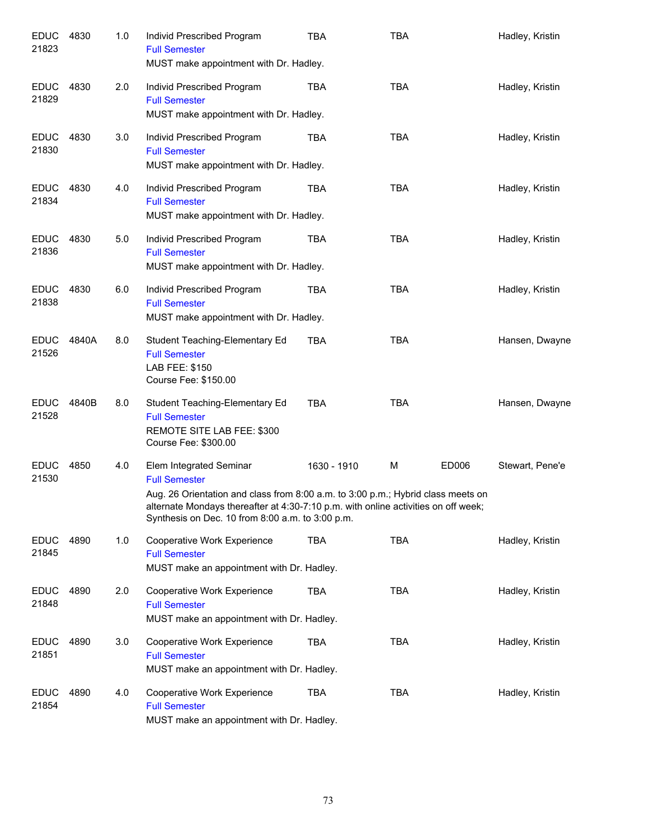| <b>EDUC</b><br>21823 | 4830  | 1.0 | Individ Prescribed Program<br><b>Full Semester</b><br>MUST make appointment with Dr. Hadley.                                                                                                                                                                                  | <b>TBA</b>  | <b>TBA</b> |       | Hadley, Kristin |
|----------------------|-------|-----|-------------------------------------------------------------------------------------------------------------------------------------------------------------------------------------------------------------------------------------------------------------------------------|-------------|------------|-------|-----------------|
| <b>EDUC</b><br>21829 | 4830  | 2.0 | Individ Prescribed Program<br><b>Full Semester</b><br>MUST make appointment with Dr. Hadley.                                                                                                                                                                                  | <b>TBA</b>  | <b>TBA</b> |       | Hadley, Kristin |
| <b>EDUC</b><br>21830 | 4830  | 3.0 | Individ Prescribed Program<br><b>Full Semester</b><br>MUST make appointment with Dr. Hadley.                                                                                                                                                                                  | TBA         | <b>TBA</b> |       | Hadley, Kristin |
| <b>EDUC</b><br>21834 | 4830  | 4.0 | Individ Prescribed Program<br><b>Full Semester</b><br>MUST make appointment with Dr. Hadley.                                                                                                                                                                                  | TBA         | <b>TBA</b> |       | Hadley, Kristin |
| <b>EDUC</b><br>21836 | 4830  | 5.0 | Individ Prescribed Program<br><b>Full Semester</b><br>MUST make appointment with Dr. Hadley.                                                                                                                                                                                  | TBA         | <b>TBA</b> |       | Hadley, Kristin |
| <b>EDUC</b><br>21838 | 4830  | 6.0 | Individ Prescribed Program<br><b>Full Semester</b><br>MUST make appointment with Dr. Hadley.                                                                                                                                                                                  | TBA         | <b>TBA</b> |       | Hadley, Kristin |
| <b>EDUC</b><br>21526 | 4840A | 8.0 | Student Teaching-Elementary Ed<br><b>Full Semester</b><br>LAB FEE: \$150<br>Course Fee: \$150.00                                                                                                                                                                              | TBA         | <b>TBA</b> |       | Hansen, Dwayne  |
| <b>EDUC</b><br>21528 | 4840B | 8.0 | Student Teaching-Elementary Ed<br><b>Full Semester</b><br>REMOTE SITE LAB FEE: \$300<br>Course Fee: \$300.00                                                                                                                                                                  | <b>TBA</b>  | <b>TBA</b> |       | Hansen, Dwayne  |
| <b>EDUC</b><br>21530 | 4850  | 4.0 | Elem Integrated Seminar<br><b>Full Semester</b><br>Aug. 26 Orientation and class from 8:00 a.m. to 3:00 p.m.; Hybrid class meets on<br>alternate Mondays thereafter at 4:30-7:10 p.m. with online activities on off week;<br>Synthesis on Dec. 10 from 8:00 a.m. to 3:00 p.m. | 1630 - 1910 | M          | ED006 | Stewart, Pene'e |
| <b>EDUC</b><br>21845 | 4890  | 1.0 | Cooperative Work Experience<br><b>Full Semester</b><br>MUST make an appointment with Dr. Hadley.                                                                                                                                                                              | TBA         | <b>TBA</b> |       | Hadley, Kristin |
| <b>EDUC</b><br>21848 | 4890  | 2.0 | Cooperative Work Experience<br><b>Full Semester</b><br>MUST make an appointment with Dr. Hadley.                                                                                                                                                                              | TBA         | <b>TBA</b> |       | Hadley, Kristin |
| <b>EDUC</b><br>21851 | 4890  | 3.0 | Cooperative Work Experience<br><b>Full Semester</b><br>MUST make an appointment with Dr. Hadley.                                                                                                                                                                              | <b>TBA</b>  | <b>TBA</b> |       | Hadley, Kristin |
| <b>EDUC</b><br>21854 | 4890  | 4.0 | Cooperative Work Experience<br><b>Full Semester</b><br>MUST make an appointment with Dr. Hadley.                                                                                                                                                                              | <b>TBA</b>  | <b>TBA</b> |       | Hadley, Kristin |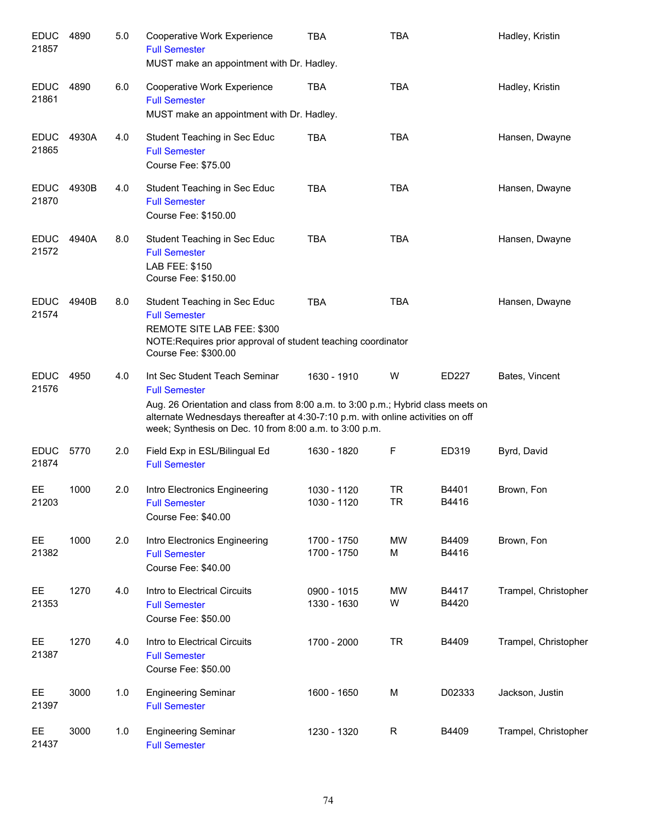| <b>EDUC</b><br>21857 | 4890  | 5.0 | Cooperative Work Experience<br><b>Full Semester</b><br>MUST make an appointment with Dr. Hadley.                                                                                                                                                                                       | <b>TBA</b>                 | <b>TBA</b>             |                | Hadley, Kristin      |
|----------------------|-------|-----|----------------------------------------------------------------------------------------------------------------------------------------------------------------------------------------------------------------------------------------------------------------------------------------|----------------------------|------------------------|----------------|----------------------|
| <b>EDUC</b><br>21861 | 4890  | 6.0 | Cooperative Work Experience<br><b>Full Semester</b><br>MUST make an appointment with Dr. Hadley.                                                                                                                                                                                       | <b>TBA</b>                 | <b>TBA</b>             |                | Hadley, Kristin      |
| <b>EDUC</b><br>21865 | 4930A | 4.0 | Student Teaching in Sec Educ<br><b>Full Semester</b><br>Course Fee: \$75.00                                                                                                                                                                                                            | <b>TBA</b>                 | <b>TBA</b>             |                | Hansen, Dwayne       |
| <b>EDUC</b><br>21870 | 4930B | 4.0 | Student Teaching in Sec Educ<br><b>Full Semester</b><br>Course Fee: \$150.00                                                                                                                                                                                                           | <b>TBA</b>                 | <b>TBA</b>             |                | Hansen, Dwayne       |
| <b>EDUC</b><br>21572 | 4940A | 8.0 | Student Teaching in Sec Educ<br><b>Full Semester</b><br>LAB FEE: \$150<br>Course Fee: \$150.00                                                                                                                                                                                         | <b>TBA</b>                 | <b>TBA</b>             |                | Hansen, Dwayne       |
| <b>EDUC</b><br>21574 | 4940B | 8.0 | Student Teaching in Sec Educ<br><b>Full Semester</b><br>REMOTE SITE LAB FEE: \$300<br>NOTE: Requires prior approval of student teaching coordinator<br>Course Fee: \$300.00                                                                                                            | <b>TBA</b>                 | <b>TBA</b>             |                | Hansen, Dwayne       |
| <b>EDUC</b><br>21576 | 4950  | 4.0 | Int Sec Student Teach Seminar<br><b>Full Semester</b><br>Aug. 26 Orientation and class from 8:00 a.m. to 3:00 p.m.; Hybrid class meets on<br>alternate Wednesdays thereafter at 4:30-7:10 p.m. with online activities on off<br>week; Synthesis on Dec. 10 from 8:00 a.m. to 3:00 p.m. | 1630 - 1910                | W                      | ED227          | Bates, Vincent       |
| <b>EDUC</b><br>21874 | 5770  | 2.0 | Field Exp in ESL/Bilingual Ed<br><b>Full Semester</b>                                                                                                                                                                                                                                  | 1630 - 1820                | F                      | ED319          | Byrd, David          |
| EЕ<br>21203          | 1000  | 2.0 | Intro Electronics Engineering<br><b>Full Semester</b><br>Course Fee: \$40.00                                                                                                                                                                                                           | 1030 - 1120<br>1030 - 1120 | <b>TR</b><br><b>TR</b> | B4401<br>B4416 | Brown, Fon           |
| EE.<br>21382         | 1000  | 2.0 | Intro Electronics Engineering<br><b>Full Semester</b><br>Course Fee: \$40.00                                                                                                                                                                                                           | 1700 - 1750<br>1700 - 1750 | MW<br>М                | B4409<br>B4416 | Brown, Fon           |
| EE<br>21353          | 1270  | 4.0 | Intro to Electrical Circuits<br><b>Full Semester</b><br>Course Fee: \$50.00                                                                                                                                                                                                            | 0900 - 1015<br>1330 - 1630 | MW<br>W                | B4417<br>B4420 | Trampel, Christopher |
| EE<br>21387          | 1270  | 4.0 | Intro to Electrical Circuits<br><b>Full Semester</b><br>Course Fee: \$50.00                                                                                                                                                                                                            | 1700 - 2000                | <b>TR</b>              | B4409          | Trampel, Christopher |
| EE<br>21397          | 3000  | 1.0 | <b>Engineering Seminar</b><br><b>Full Semester</b>                                                                                                                                                                                                                                     | 1600 - 1650                | M                      | D02333         | Jackson, Justin      |
| EE<br>21437          | 3000  | 1.0 | <b>Engineering Seminar</b><br><b>Full Semester</b>                                                                                                                                                                                                                                     | 1230 - 1320                | R                      | B4409          | Trampel, Christopher |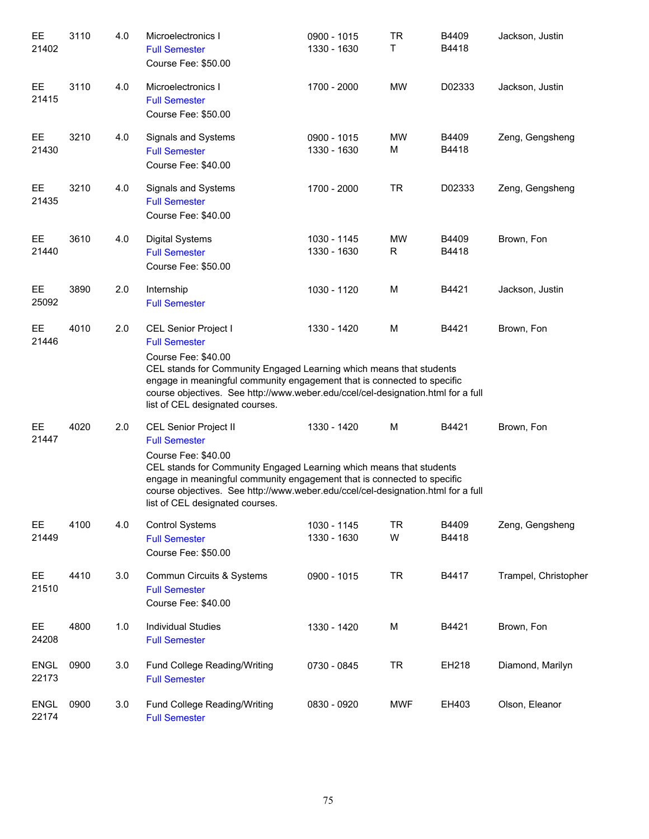| EE<br>21402          | 3110 | 4.0 | Microelectronics I<br><b>Full Semester</b><br>Course Fee: \$50.00                                                                                                                                                                                                                                                                             | 0900 - 1015<br>1330 - 1630 | <b>TR</b><br>т | B4409<br>B4418 | Jackson, Justin      |
|----------------------|------|-----|-----------------------------------------------------------------------------------------------------------------------------------------------------------------------------------------------------------------------------------------------------------------------------------------------------------------------------------------------|----------------------------|----------------|----------------|----------------------|
| EE<br>21415          | 3110 | 4.0 | Microelectronics I<br><b>Full Semester</b><br>Course Fee: \$50.00                                                                                                                                                                                                                                                                             | 1700 - 2000                | MW             | D02333         | Jackson, Justin      |
| EE<br>21430          | 3210 | 4.0 | Signals and Systems<br><b>Full Semester</b><br>Course Fee: \$40.00                                                                                                                                                                                                                                                                            | 0900 - 1015<br>1330 - 1630 | MW<br>М        | B4409<br>B4418 | Zeng, Gengsheng      |
| EE<br>21435          | 3210 | 4.0 | Signals and Systems<br><b>Full Semester</b><br>Course Fee: \$40.00                                                                                                                                                                                                                                                                            | 1700 - 2000                | <b>TR</b>      | D02333         | Zeng, Gengsheng      |
| EE<br>21440          | 3610 | 4.0 | Digital Systems<br><b>Full Semester</b><br>Course Fee: \$50.00                                                                                                                                                                                                                                                                                | 1030 - 1145<br>1330 - 1630 | MW<br>R        | B4409<br>B4418 | Brown, Fon           |
| EE<br>25092          | 3890 | 2.0 | Internship<br><b>Full Semester</b>                                                                                                                                                                                                                                                                                                            | 1030 - 1120                | M              | B4421          | Jackson, Justin      |
| EE<br>21446          | 4010 | 2.0 | CEL Senior Project I<br><b>Full Semester</b><br>Course Fee: \$40.00<br>CEL stands for Community Engaged Learning which means that students<br>engage in meaningful community engagement that is connected to specific<br>course objectives. See http://www.weber.edu/ccel/cel-designation.html for a full<br>list of CEL designated courses.  | 1330 - 1420                | M              | B4421          | Brown, Fon           |
| EE<br>21447          | 4020 | 2.0 | CEL Senior Project II<br><b>Full Semester</b><br>Course Fee: \$40.00<br>CEL stands for Community Engaged Learning which means that students<br>engage in meaningful community engagement that is connected to specific<br>course objectives. See http://www.weber.edu/ccel/cel-designation.html for a full<br>list of CEL designated courses. | 1330 - 1420                | M              | B4421          | Brown, Fon           |
| EE.<br>21449         | 4100 | 4.0 | <b>Control Systems</b><br><b>Full Semester</b><br>Course Fee: \$50.00                                                                                                                                                                                                                                                                         | 1030 - 1145<br>1330 - 1630 | <b>TR</b><br>W | B4409<br>B4418 | Zeng, Gengsheng      |
| EE<br>21510          | 4410 | 3.0 | Commun Circuits & Systems<br><b>Full Semester</b><br>Course Fee: \$40.00                                                                                                                                                                                                                                                                      | 0900 - 1015                | <b>TR</b>      | B4417          | Trampel, Christopher |
| EE<br>24208          | 4800 | 1.0 | <b>Individual Studies</b><br><b>Full Semester</b>                                                                                                                                                                                                                                                                                             | 1330 - 1420                | M              | B4421          | Brown, Fon           |
| <b>ENGL</b><br>22173 | 0900 | 3.0 | Fund College Reading/Writing<br><b>Full Semester</b>                                                                                                                                                                                                                                                                                          | 0730 - 0845                | <b>TR</b>      | EH218          | Diamond, Marilyn     |
| <b>ENGL</b><br>22174 | 0900 | 3.0 | Fund College Reading/Writing<br><b>Full Semester</b>                                                                                                                                                                                                                                                                                          | 0830 - 0920                | <b>MWF</b>     | EH403          | Olson, Eleanor       |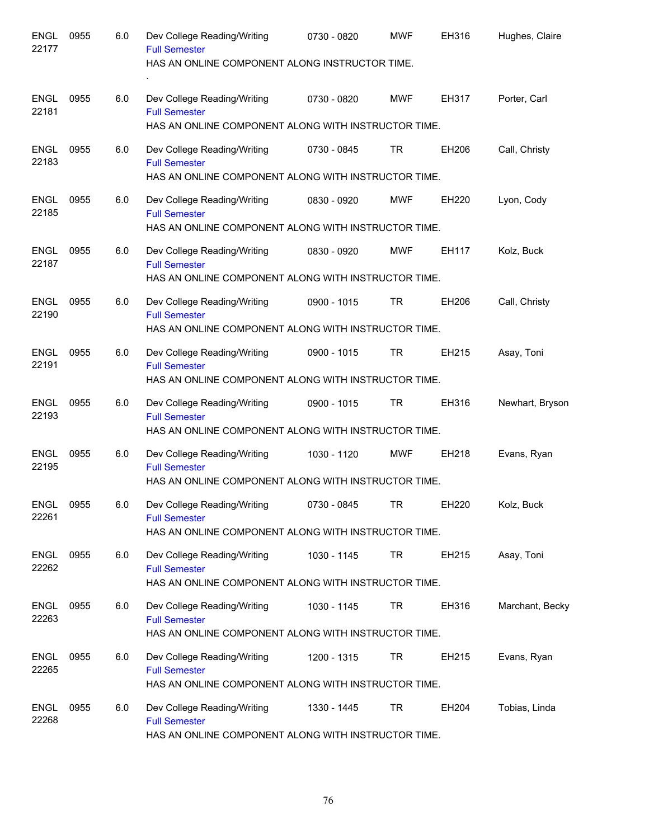| <b>ENGL</b><br>22177 | 0955 | 6.0 | Dev College Reading/Writing<br><b>Full Semester</b><br>HAS AN ONLINE COMPONENT ALONG INSTRUCTOR TIME.      | 0730 - 0820 | <b>MWF</b> | EH316        | Hughes, Claire  |
|----------------------|------|-----|------------------------------------------------------------------------------------------------------------|-------------|------------|--------------|-----------------|
| <b>ENGL</b><br>22181 | 0955 | 6.0 | Dev College Reading/Writing<br><b>Full Semester</b>                                                        | 0730 - 0820 | <b>MWF</b> | <b>EH317</b> | Porter, Carl    |
|                      |      |     | HAS AN ONLINE COMPONENT ALONG WITH INSTRUCTOR TIME.                                                        |             |            |              |                 |
| <b>ENGL</b><br>22183 | 0955 | 6.0 | Dev College Reading/Writing<br><b>Full Semester</b><br>HAS AN ONLINE COMPONENT ALONG WITH INSTRUCTOR TIME. | 0730 - 0845 | TR         | EH206        | Call, Christy   |
| ENGL<br>22185        | 0955 | 6.0 | Dev College Reading/Writing<br><b>Full Semester</b><br>HAS AN ONLINE COMPONENT ALONG WITH INSTRUCTOR TIME. | 0830 - 0920 | <b>MWF</b> | <b>EH220</b> | Lyon, Cody      |
| ENGL<br>22187        | 0955 | 6.0 | Dev College Reading/Writing<br><b>Full Semester</b><br>HAS AN ONLINE COMPONENT ALONG WITH INSTRUCTOR TIME. | 0830 - 0920 | <b>MWF</b> | EH117        | Kolz, Buck      |
| ENGL<br>22190        | 0955 | 6.0 | Dev College Reading/Writing<br><b>Full Semester</b><br>HAS AN ONLINE COMPONENT ALONG WITH INSTRUCTOR TIME. | 0900 - 1015 | TR         | EH206        | Call, Christy   |
| ENGL<br>22191        | 0955 | 6.0 | Dev College Reading/Writing<br><b>Full Semester</b><br>HAS AN ONLINE COMPONENT ALONG WITH INSTRUCTOR TIME. | 0900 - 1015 | TR         | EH215        | Asay, Toni      |
| <b>ENGL</b><br>22193 | 0955 | 6.0 | Dev College Reading/Writing<br><b>Full Semester</b><br>HAS AN ONLINE COMPONENT ALONG WITH INSTRUCTOR TIME. | 0900 - 1015 | <b>TR</b>  | EH316        | Newhart, Bryson |
| <b>ENGL</b><br>22195 | 0955 | 6.0 | Dev College Reading/Writing<br><b>Full Semester</b><br>HAS AN ONLINE COMPONENT ALONG WITH INSTRUCTOR TIME. | 1030 - 1120 | <b>MWF</b> | EH218        | Evans, Ryan     |
| <b>ENGL</b><br>22261 | 0955 | 6.0 | Dev College Reading/Writing<br><b>Full Semester</b><br>HAS AN ONLINE COMPONENT ALONG WITH INSTRUCTOR TIME. | 0730 - 0845 | <b>TR</b>  | EH220        | Kolz, Buck      |
| <b>ENGL</b><br>22262 | 0955 | 6.0 | Dev College Reading/Writing<br><b>Full Semester</b><br>HAS AN ONLINE COMPONENT ALONG WITH INSTRUCTOR TIME. | 1030 - 1145 | TR         | EH215        | Asay, Toni      |
| <b>ENGL</b><br>22263 | 0955 | 6.0 | Dev College Reading/Writing<br><b>Full Semester</b><br>HAS AN ONLINE COMPONENT ALONG WITH INSTRUCTOR TIME. | 1030 - 1145 | TR         | EH316        | Marchant, Becky |
| <b>ENGL</b><br>22265 | 0955 | 6.0 | Dev College Reading/Writing<br><b>Full Semester</b><br>HAS AN ONLINE COMPONENT ALONG WITH INSTRUCTOR TIME. | 1200 - 1315 | TR         | EH215        | Evans, Ryan     |
| <b>ENGL</b><br>22268 | 0955 | 6.0 | Dev College Reading/Writing<br><b>Full Semester</b><br>HAS AN ONLINE COMPONENT ALONG WITH INSTRUCTOR TIME. | 1330 - 1445 | TR         | EH204        | Tobias, Linda   |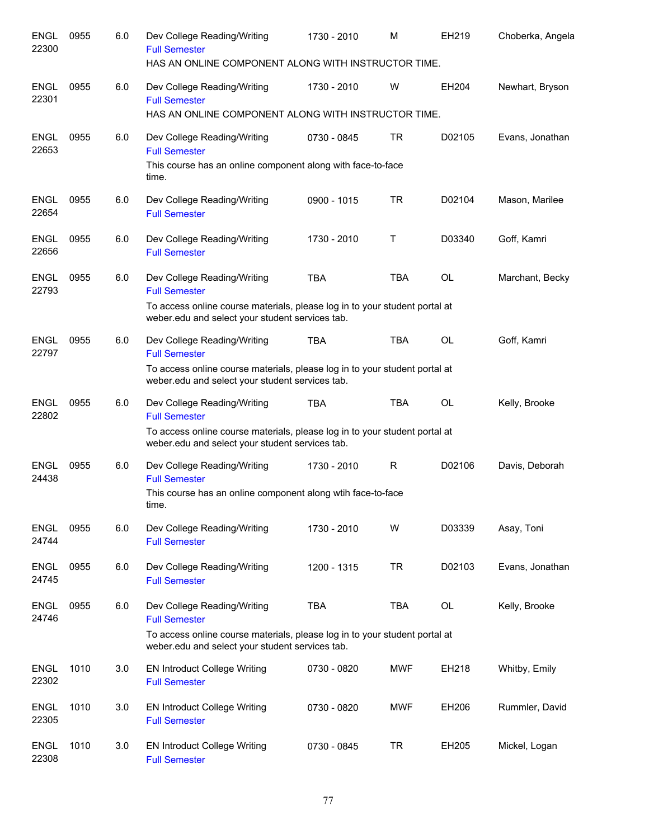| <b>ENGL</b><br>22300 | 0955 | 6.0 | Dev College Reading/Writing<br><b>Full Semester</b><br>HAS AN ONLINE COMPONENT ALONG WITH INSTRUCTOR TIME.                        | 1730 - 2010 | M          | EH219     | Choberka, Angela |
|----------------------|------|-----|-----------------------------------------------------------------------------------------------------------------------------------|-------------|------------|-----------|------------------|
| <b>ENGL</b><br>22301 | 0955 | 6.0 | Dev College Reading/Writing<br><b>Full Semester</b><br>HAS AN ONLINE COMPONENT ALONG WITH INSTRUCTOR TIME.                        | 1730 - 2010 | W          | EH204     | Newhart, Bryson  |
| <b>ENGL</b><br>22653 | 0955 | 6.0 | Dev College Reading/Writing<br><b>Full Semester</b><br>This course has an online component along with face-to-face                | 0730 - 0845 | <b>TR</b>  | D02105    | Evans, Jonathan  |
| <b>ENGL</b><br>22654 | 0955 | 6.0 | time.<br>Dev College Reading/Writing<br><b>Full Semester</b>                                                                      | 0900 - 1015 | <b>TR</b>  | D02104    | Mason, Marilee   |
| <b>ENGL</b><br>22656 | 0955 | 6.0 | Dev College Reading/Writing<br><b>Full Semester</b>                                                                               | 1730 - 2010 | т          | D03340    | Goff, Kamri      |
| <b>ENGL</b><br>22793 | 0955 | 6.0 | Dev College Reading/Writing<br><b>Full Semester</b><br>To access online course materials, please log in to your student portal at | <b>TBA</b>  | <b>TBA</b> | OL        | Marchant, Becky  |
|                      |      |     | weber.edu and select your student services tab.                                                                                   |             |            |           |                  |
| <b>ENGL</b><br>22797 | 0955 | 6.0 | Dev College Reading/Writing<br><b>Full Semester</b>                                                                               | <b>TBA</b>  | <b>TBA</b> | OL        | Goff, Kamri      |
|                      |      |     | To access online course materials, please log in to your student portal at<br>weber.edu and select your student services tab.     |             |            |           |                  |
| <b>ENGL</b><br>22802 | 0955 | 6.0 | Dev College Reading/Writing<br><b>Full Semester</b>                                                                               | <b>TBA</b>  | <b>TBA</b> | <b>OL</b> | Kelly, Brooke    |
|                      |      |     | To access online course materials, please log in to your student portal at<br>weber.edu and select your student services tab.     |             |            |           |                  |
| <b>ENGL</b><br>24438 | 0955 | 6.0 | Dev College Reading/Writing<br><b>Full Semester</b>                                                                               | 1730 - 2010 | R          | D02106    | Davis, Deborah   |
|                      |      |     | This course has an online component along wtih face-to-face<br>time.                                                              |             |            |           |                  |
| <b>ENGL</b><br>24744 | 0955 | 6.0 | Dev College Reading/Writing<br><b>Full Semester</b>                                                                               | 1730 - 2010 | W          | D03339    | Asay, Toni       |
| <b>ENGL</b><br>24745 | 0955 | 6.0 | Dev College Reading/Writing<br><b>Full Semester</b>                                                                               | 1200 - 1315 | <b>TR</b>  | D02103    | Evans, Jonathan  |
| <b>ENGL</b><br>24746 | 0955 | 6.0 | Dev College Reading/Writing<br><b>Full Semester</b>                                                                               | <b>TBA</b>  | <b>TBA</b> | OL        | Kelly, Brooke    |
|                      |      |     | To access online course materials, please log in to your student portal at<br>weber.edu and select your student services tab.     |             |            |           |                  |
| <b>ENGL</b><br>22302 | 1010 | 3.0 | <b>EN Introduct College Writing</b><br><b>Full Semester</b>                                                                       | 0730 - 0820 | MWF        | EH218     | Whitby, Emily    |
| <b>ENGL</b><br>22305 | 1010 | 3.0 | EN Introduct College Writing<br><b>Full Semester</b>                                                                              | 0730 - 0820 | MWF        | EH206     | Rummler, David   |
| <b>ENGL</b><br>22308 | 1010 | 3.0 | <b>EN Introduct College Writing</b><br><b>Full Semester</b>                                                                       | 0730 - 0845 | <b>TR</b>  | EH205     | Mickel, Logan    |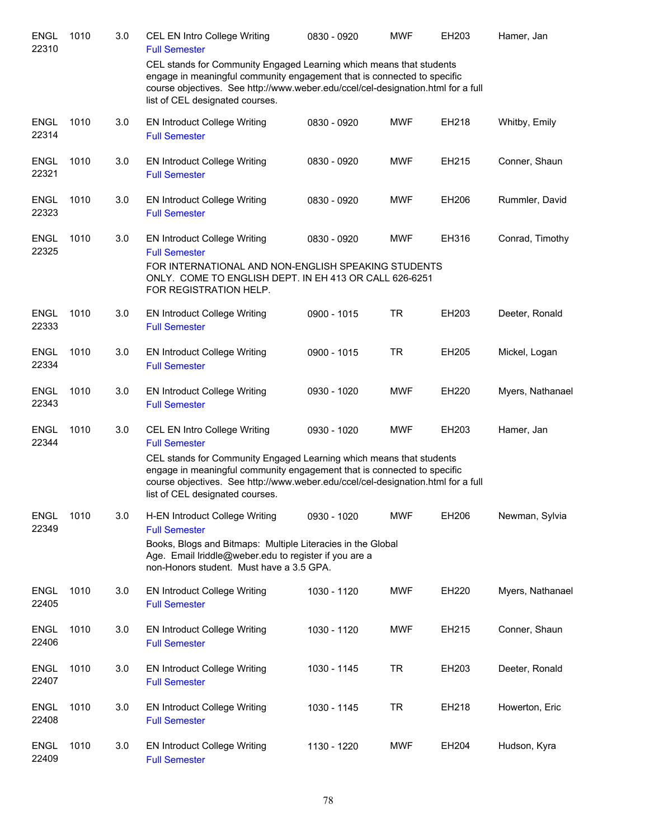| <b>ENGL</b><br>22310 | 1010 | 3.0 | CEL EN Intro College Writing<br><b>Full Semester</b>                                                                                                                                                                                                                  | 0830 - 0920 | <b>MWF</b> | EH203 | Hamer, Jan       |
|----------------------|------|-----|-----------------------------------------------------------------------------------------------------------------------------------------------------------------------------------------------------------------------------------------------------------------------|-------------|------------|-------|------------------|
|                      |      |     | CEL stands for Community Engaged Learning which means that students<br>engage in meaningful community engagement that is connected to specific<br>course objectives. See http://www.weber.edu/ccel/cel-designation.html for a full<br>list of CEL designated courses. |             |            |       |                  |
| <b>ENGL</b><br>22314 | 1010 | 3.0 | <b>EN Introduct College Writing</b><br><b>Full Semester</b>                                                                                                                                                                                                           | 0830 - 0920 | <b>MWF</b> | EH218 | Whitby, Emily    |
| <b>ENGL</b><br>22321 | 1010 | 3.0 | <b>EN Introduct College Writing</b><br><b>Full Semester</b>                                                                                                                                                                                                           | 0830 - 0920 | <b>MWF</b> | EH215 | Conner, Shaun    |
| <b>ENGL</b><br>22323 | 1010 | 3.0 | <b>EN Introduct College Writing</b><br><b>Full Semester</b>                                                                                                                                                                                                           | 0830 - 0920 | <b>MWF</b> | EH206 | Rummler, David   |
| <b>ENGL</b><br>22325 | 1010 | 3.0 | <b>EN Introduct College Writing</b><br><b>Full Semester</b><br>FOR INTERNATIONAL AND NON-ENGLISH SPEAKING STUDENTS                                                                                                                                                    | 0830 - 0920 | <b>MWF</b> | EH316 | Conrad, Timothy  |
|                      |      |     | ONLY. COME TO ENGLISH DEPT. IN EH 413 OR CALL 626-6251<br>FOR REGISTRATION HELP.                                                                                                                                                                                      |             |            |       |                  |
| <b>ENGL</b><br>22333 | 1010 | 3.0 | <b>EN Introduct College Writing</b><br><b>Full Semester</b>                                                                                                                                                                                                           | 0900 - 1015 | <b>TR</b>  | EH203 | Deeter, Ronald   |
| <b>ENGL</b><br>22334 | 1010 | 3.0 | <b>EN Introduct College Writing</b><br><b>Full Semester</b>                                                                                                                                                                                                           | 0900 - 1015 | <b>TR</b>  | EH205 | Mickel, Logan    |
| <b>ENGL</b><br>22343 | 1010 | 3.0 | <b>EN Introduct College Writing</b><br><b>Full Semester</b>                                                                                                                                                                                                           | 0930 - 1020 | <b>MWF</b> | EH220 | Myers, Nathanael |
| ENGL<br>22344        | 1010 | 3.0 | CEL EN Intro College Writing<br><b>Full Semester</b>                                                                                                                                                                                                                  | 0930 - 1020 | <b>MWF</b> | EH203 | Hamer, Jan       |
|                      |      |     | CEL stands for Community Engaged Learning which means that students<br>engage in meaningful community engagement that is connected to specific<br>course objectives. See http://www.weber.edu/ccel/cel-designation.html for a full<br>list of CEL designated courses. |             |            |       |                  |
| <b>ENGL</b><br>22349 | 1010 | 3.0 | H-EN Introduct College Writing<br><b>Full Semester</b><br>Books, Blogs and Bitmaps: Multiple Literacies in the Global<br>Age. Email Iriddle@weber.edu to register if you are a<br>non-Honors student. Must have a 3.5 GPA.                                            | 0930 - 1020 | <b>MWF</b> | EH206 | Newman, Sylvia   |
| <b>ENGL</b><br>22405 | 1010 | 3.0 | <b>EN Introduct College Writing</b><br><b>Full Semester</b>                                                                                                                                                                                                           | 1030 - 1120 | <b>MWF</b> | EH220 | Myers, Nathanael |
| <b>ENGL</b><br>22406 | 1010 | 3.0 | <b>EN Introduct College Writing</b><br><b>Full Semester</b>                                                                                                                                                                                                           | 1030 - 1120 | <b>MWF</b> | EH215 | Conner, Shaun    |
| <b>ENGL</b><br>22407 | 1010 | 3.0 | <b>EN Introduct College Writing</b><br><b>Full Semester</b>                                                                                                                                                                                                           | 1030 - 1145 | <b>TR</b>  | EH203 | Deeter, Ronald   |
| <b>ENGL</b><br>22408 | 1010 | 3.0 | <b>EN Introduct College Writing</b><br><b>Full Semester</b>                                                                                                                                                                                                           | 1030 - 1145 | <b>TR</b>  | EH218 | Howerton, Eric   |
| <b>ENGL</b><br>22409 | 1010 | 3.0 | <b>EN Introduct College Writing</b><br><b>Full Semester</b>                                                                                                                                                                                                           | 1130 - 1220 | <b>MWF</b> | EH204 | Hudson, Kyra     |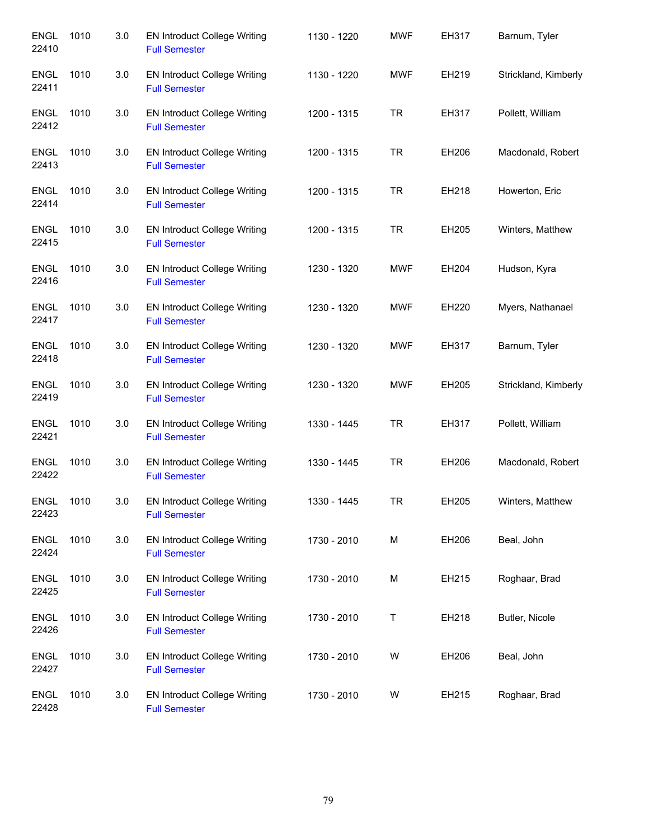| <b>ENGL</b><br>22410 | 1010 | 3.0 | <b>EN Introduct College Writing</b><br><b>Full Semester</b> | 1130 - 1220 | <b>MWF</b> | EH317 | Barnum, Tyler        |
|----------------------|------|-----|-------------------------------------------------------------|-------------|------------|-------|----------------------|
| ENGL<br>22411        | 1010 | 3.0 | EN Introduct College Writing<br><b>Full Semester</b>        | 1130 - 1220 | <b>MWF</b> | EH219 | Strickland, Kimberly |
| <b>ENGL</b><br>22412 | 1010 | 3.0 | <b>EN Introduct College Writing</b><br><b>Full Semester</b> | 1200 - 1315 | <b>TR</b>  | EH317 | Pollett, William     |
| <b>ENGL</b><br>22413 | 1010 | 3.0 | <b>EN Introduct College Writing</b><br><b>Full Semester</b> | 1200 - 1315 | <b>TR</b>  | EH206 | Macdonald, Robert    |
| <b>ENGL</b><br>22414 | 1010 | 3.0 | <b>EN Introduct College Writing</b><br><b>Full Semester</b> | 1200 - 1315 | <b>TR</b>  | EH218 | Howerton, Eric       |
| <b>ENGL</b><br>22415 | 1010 | 3.0 | <b>EN Introduct College Writing</b><br><b>Full Semester</b> | 1200 - 1315 | <b>TR</b>  | EH205 | Winters, Matthew     |
| <b>ENGL</b><br>22416 | 1010 | 3.0 | EN Introduct College Writing<br><b>Full Semester</b>        | 1230 - 1320 | <b>MWF</b> | EH204 | Hudson, Kyra         |
| ENGL<br>22417        | 1010 | 3.0 | <b>EN Introduct College Writing</b><br><b>Full Semester</b> | 1230 - 1320 | <b>MWF</b> | EH220 | Myers, Nathanael     |
| <b>ENGL</b><br>22418 | 1010 | 3.0 | <b>EN Introduct College Writing</b><br><b>Full Semester</b> | 1230 - 1320 | <b>MWF</b> | EH317 | Barnum, Tyler        |
| <b>ENGL</b><br>22419 | 1010 | 3.0 | <b>EN Introduct College Writing</b><br><b>Full Semester</b> | 1230 - 1320 | <b>MWF</b> | EH205 | Strickland, Kimberly |
| <b>ENGL</b><br>22421 | 1010 | 3.0 | <b>EN Introduct College Writing</b><br><b>Full Semester</b> | 1330 - 1445 | <b>TR</b>  | EH317 | Pollett, William     |
| ENGL<br>22422        | 1010 | 3.0 | <b>EN Introduct College Writing</b><br><b>Full Semester</b> | 1330 - 1445 | <b>TR</b>  | EH206 | Macdonald, Robert    |
| <b>ENGL</b><br>22423 | 1010 | 3.0 | <b>EN Introduct College Writing</b><br><b>Full Semester</b> | 1330 - 1445 | TR         | EH205 | Winters, Matthew     |
| <b>ENGL</b><br>22424 | 1010 | 3.0 | <b>EN Introduct College Writing</b><br><b>Full Semester</b> | 1730 - 2010 | M          | EH206 | Beal, John           |
| <b>ENGL</b><br>22425 | 1010 | 3.0 | <b>EN Introduct College Writing</b><br><b>Full Semester</b> | 1730 - 2010 | М          | EH215 | Roghaar, Brad        |
| <b>ENGL</b><br>22426 | 1010 | 3.0 | <b>EN Introduct College Writing</b><br><b>Full Semester</b> | 1730 - 2010 | Τ          | EH218 | Butler, Nicole       |
| <b>ENGL</b><br>22427 | 1010 | 3.0 | <b>EN Introduct College Writing</b><br><b>Full Semester</b> | 1730 - 2010 | W          | EH206 | Beal, John           |
| <b>ENGL</b><br>22428 | 1010 | 3.0 | <b>EN Introduct College Writing</b><br><b>Full Semester</b> | 1730 - 2010 | W          | EH215 | Roghaar, Brad        |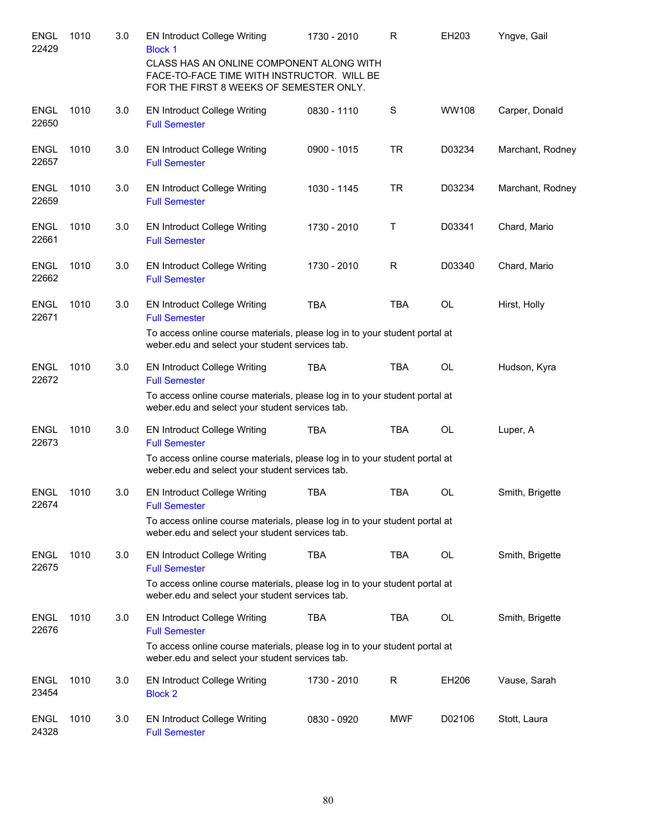| <b>ENGL</b><br>22429 | 1010 | 3.0 | <b>EN Introduct College Writing</b><br><b>Block 1</b><br>CLASS HAS AN ONLINE COMPONENT ALONG WITH<br>FACE-TO-FACE TIME WITH INSTRUCTOR. WILL BE                                              | 1730 - 2010 | R          | EH203     | Yngve, Gail      |
|----------------------|------|-----|----------------------------------------------------------------------------------------------------------------------------------------------------------------------------------------------|-------------|------------|-----------|------------------|
|                      |      |     | FOR THE FIRST 8 WEEKS OF SEMESTER ONLY.                                                                                                                                                      |             |            |           |                  |
| <b>ENGL</b><br>22650 | 1010 | 3.0 | <b>EN Introduct College Writing</b><br><b>Full Semester</b>                                                                                                                                  | 0830 - 1110 | S          | WW108     | Carper, Donald   |
| <b>ENGL</b><br>22657 | 1010 | 3.0 | <b>EN Introduct College Writing</b><br><b>Full Semester</b>                                                                                                                                  | 0900 - 1015 | <b>TR</b>  | D03234    | Marchant, Rodney |
| <b>ENGL</b><br>22659 | 1010 | 3.0 | <b>EN Introduct College Writing</b><br><b>Full Semester</b>                                                                                                                                  | 1030 - 1145 | <b>TR</b>  | D03234    | Marchant, Rodney |
| <b>ENGL</b><br>22661 | 1010 | 3.0 | <b>EN Introduct College Writing</b><br><b>Full Semester</b>                                                                                                                                  | 1730 - 2010 | т          | D03341    | Chard, Mario     |
| <b>ENGL</b><br>22662 | 1010 | 3.0 | <b>EN Introduct College Writing</b><br><b>Full Semester</b>                                                                                                                                  | 1730 - 2010 | R          | D03340    | Chard, Mario     |
| <b>ENGL</b><br>22671 | 1010 | 3.0 | <b>EN Introduct College Writing</b><br><b>Full Semester</b>                                                                                                                                  | <b>TBA</b>  | <b>TBA</b> | <b>OL</b> | Hirst, Holly     |
|                      |      |     | To access online course materials, please log in to your student portal at<br>weber.edu and select your student services tab.                                                                |             |            |           |                  |
| <b>ENGL</b><br>22672 | 1010 | 3.0 | <b>EN Introduct College Writing</b><br><b>Full Semester</b><br>To access online course materials, please log in to your student portal at<br>weber.edu and select your student services tab. | TBA         | <b>TBA</b> | OL        | Hudson, Kyra     |
| <b>ENGL</b><br>22673 | 1010 | 3.0 | <b>EN Introduct College Writing</b><br><b>Full Semester</b><br>To access online course materials, please log in to your student portal at<br>weber.edu and select your student services tab. | <b>TBA</b>  | <b>TBA</b> | <b>OL</b> | Luper, A         |
| <b>ENGL</b><br>22674 | 1010 | 3.0 | <b>EN Introduct College Writing</b><br><b>Full Semester</b>                                                                                                                                  | <b>TBA</b>  | <b>TBA</b> | <b>OL</b> | Smith, Brigette  |
|                      |      |     | To access online course materials, please log in to your student portal at<br>weber.edu and select your student services tab.                                                                |             |            |           |                  |
| ENGL<br>22675        | 1010 | 3.0 | <b>EN Introduct College Writing</b><br><b>Full Semester</b>                                                                                                                                  | <b>TBA</b>  | TBA        | OL        | Smith, Brigette  |
|                      |      |     | To access online course materials, please log in to your student portal at<br>weber.edu and select your student services tab.                                                                |             |            |           |                  |
| <b>ENGL</b><br>22676 | 1010 | 3.0 | <b>EN Introduct College Writing</b><br><b>Full Semester</b><br>To access online course materials, please log in to your student portal at                                                    | <b>TBA</b>  | TBA        | OL        | Smith, Brigette  |
|                      |      |     | weber.edu and select your student services tab.                                                                                                                                              |             |            |           |                  |
| <b>ENGL</b><br>23454 | 1010 | 3.0 | <b>EN Introduct College Writing</b><br><b>Block 2</b>                                                                                                                                        | 1730 - 2010 | R          | EH206     | Vause, Sarah     |
| ENGL<br>24328        | 1010 | 3.0 | <b>EN Introduct College Writing</b><br><b>Full Semester</b>                                                                                                                                  | 0830 - 0920 | MWF        | D02106    | Stott, Laura     |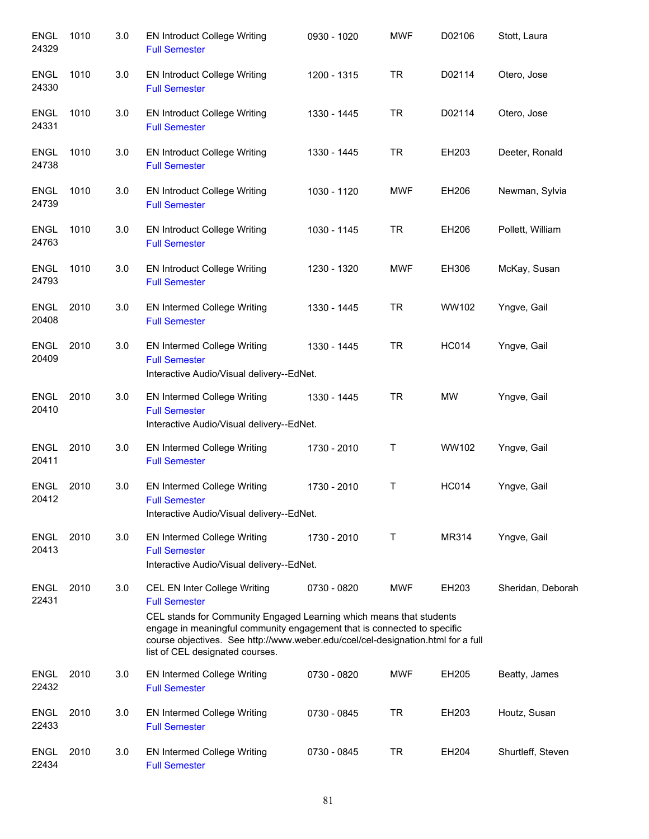| <b>ENGL</b><br>24329 | 1010 | 3.0 | <b>EN Introduct College Writing</b><br><b>Full Semester</b>                                                                                                                                                                                                                                                                   | 0930 - 1020 | <b>MWF</b> | D02106       | Stott, Laura      |
|----------------------|------|-----|-------------------------------------------------------------------------------------------------------------------------------------------------------------------------------------------------------------------------------------------------------------------------------------------------------------------------------|-------------|------------|--------------|-------------------|
| <b>ENGL</b><br>24330 | 1010 | 3.0 | <b>EN Introduct College Writing</b><br><b>Full Semester</b>                                                                                                                                                                                                                                                                   | 1200 - 1315 | <b>TR</b>  | D02114       | Otero, Jose       |
| <b>ENGL</b><br>24331 | 1010 | 3.0 | <b>EN Introduct College Writing</b><br><b>Full Semester</b>                                                                                                                                                                                                                                                                   | 1330 - 1445 | <b>TR</b>  | D02114       | Otero, Jose       |
| <b>ENGL</b><br>24738 | 1010 | 3.0 | <b>EN Introduct College Writing</b><br><b>Full Semester</b>                                                                                                                                                                                                                                                                   | 1330 - 1445 | <b>TR</b>  | EH203        | Deeter, Ronald    |
| <b>ENGL</b><br>24739 | 1010 | 3.0 | <b>EN Introduct College Writing</b><br><b>Full Semester</b>                                                                                                                                                                                                                                                                   | 1030 - 1120 | <b>MWF</b> | EH206        | Newman, Sylvia    |
| <b>ENGL</b><br>24763 | 1010 | 3.0 | <b>EN Introduct College Writing</b><br><b>Full Semester</b>                                                                                                                                                                                                                                                                   | 1030 - 1145 | <b>TR</b>  | EH206        | Pollett, William  |
| <b>ENGL</b><br>24793 | 1010 | 3.0 | <b>EN Introduct College Writing</b><br><b>Full Semester</b>                                                                                                                                                                                                                                                                   | 1230 - 1320 | <b>MWF</b> | EH306        | McKay, Susan      |
| <b>ENGL</b><br>20408 | 2010 | 3.0 | EN Intermed College Writing<br><b>Full Semester</b>                                                                                                                                                                                                                                                                           | 1330 - 1445 | <b>TR</b>  | WW102        | Yngve, Gail       |
| <b>ENGL</b><br>20409 | 2010 | 3.0 | EN Intermed College Writing<br><b>Full Semester</b><br>Interactive Audio/Visual delivery--EdNet.                                                                                                                                                                                                                              | 1330 - 1445 | <b>TR</b>  | <b>HC014</b> | Yngve, Gail       |
| <b>ENGL</b><br>20410 | 2010 | 3.0 | EN Intermed College Writing<br><b>Full Semester</b><br>Interactive Audio/Visual delivery--EdNet.                                                                                                                                                                                                                              | 1330 - 1445 | <b>TR</b>  | MW           | Yngve, Gail       |
| <b>ENGL</b><br>20411 | 2010 | 3.0 | EN Intermed College Writing<br><b>Full Semester</b>                                                                                                                                                                                                                                                                           | 1730 - 2010 | Τ          | WW102        | Yngve, Gail       |
| <b>ENGL</b><br>20412 | 2010 | 3.0 | <b>EN Intermed College Writing</b><br><b>Full Semester</b><br>Interactive Audio/Visual delivery--EdNet.                                                                                                                                                                                                                       | 1730 - 2010 | T          | <b>HC014</b> | Yngve, Gail       |
| <b>ENGL</b><br>20413 | 2010 | 3.0 | EN Intermed College Writing<br><b>Full Semester</b><br>Interactive Audio/Visual delivery--EdNet.                                                                                                                                                                                                                              | 1730 - 2010 | T.         | MR314        | Yngve, Gail       |
| <b>ENGL</b><br>22431 | 2010 | 3.0 | CEL EN Inter College Writing<br><b>Full Semester</b><br>CEL stands for Community Engaged Learning which means that students<br>engage in meaningful community engagement that is connected to specific<br>course objectives. See http://www.weber.edu/ccel/cel-designation.html for a full<br>list of CEL designated courses. | 0730 - 0820 | <b>MWF</b> | EH203        | Sheridan, Deborah |
| <b>ENGL</b><br>22432 | 2010 | 3.0 | <b>EN Intermed College Writing</b><br><b>Full Semester</b>                                                                                                                                                                                                                                                                    | 0730 - 0820 | <b>MWF</b> | EH205        | Beatty, James     |
| ENGL<br>22433        | 2010 | 3.0 | <b>EN Intermed College Writing</b><br><b>Full Semester</b>                                                                                                                                                                                                                                                                    | 0730 - 0845 | <b>TR</b>  | EH203        | Houtz, Susan      |
| <b>ENGL</b><br>22434 | 2010 | 3.0 | <b>EN Intermed College Writing</b><br><b>Full Semester</b>                                                                                                                                                                                                                                                                    | 0730 - 0845 | <b>TR</b>  | EH204        | Shurtleff, Steven |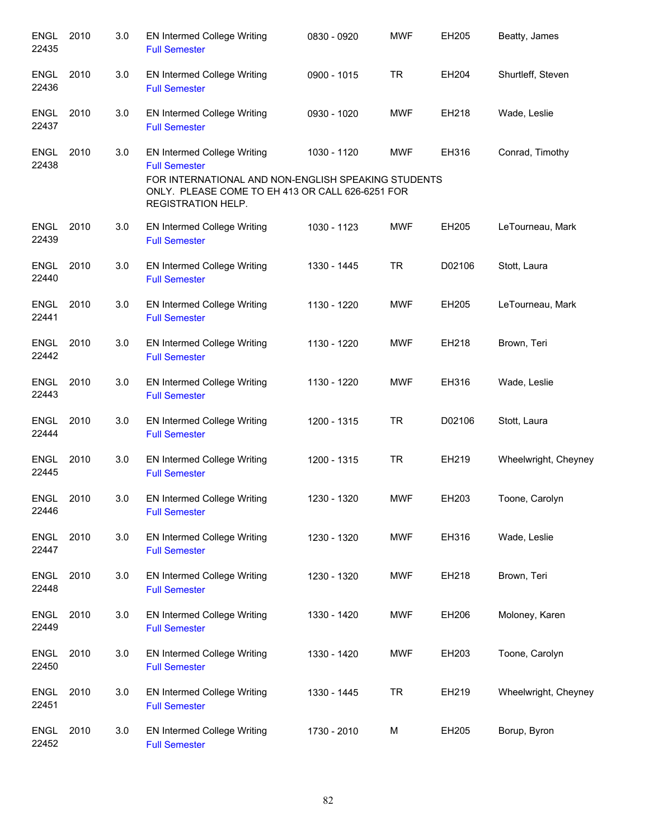| <b>ENGL</b><br>22435 | 2010 | 3.0 | <b>EN Intermed College Writing</b><br><b>Full Semester</b>                                                                                                                                  | 0830 - 0920 | <b>MWF</b> | EH205  | Beatty, James        |
|----------------------|------|-----|---------------------------------------------------------------------------------------------------------------------------------------------------------------------------------------------|-------------|------------|--------|----------------------|
| <b>ENGL</b><br>22436 | 2010 | 3.0 | EN Intermed College Writing<br><b>Full Semester</b>                                                                                                                                         | 0900 - 1015 | TR         | EH204  | Shurtleff, Steven    |
| <b>ENGL</b><br>22437 | 2010 | 3.0 | EN Intermed College Writing<br><b>Full Semester</b>                                                                                                                                         | 0930 - 1020 | <b>MWF</b> | EH218  | Wade, Leslie         |
| <b>ENGL</b><br>22438 | 2010 | 3.0 | EN Intermed College Writing<br><b>Full Semester</b><br>FOR INTERNATIONAL AND NON-ENGLISH SPEAKING STUDENTS<br>ONLY. PLEASE COME TO EH 413 OR CALL 626-6251 FOR<br><b>REGISTRATION HELP.</b> | 1030 - 1120 | <b>MWF</b> | EH316  | Conrad, Timothy      |
| <b>ENGL</b><br>22439 | 2010 | 3.0 | EN Intermed College Writing<br><b>Full Semester</b>                                                                                                                                         | 1030 - 1123 | <b>MWF</b> | EH205  | LeTourneau, Mark     |
| <b>ENGL</b><br>22440 | 2010 | 3.0 | EN Intermed College Writing<br><b>Full Semester</b>                                                                                                                                         | 1330 - 1445 | <b>TR</b>  | D02106 | Stott, Laura         |
| <b>ENGL</b><br>22441 | 2010 | 3.0 | EN Intermed College Writing<br><b>Full Semester</b>                                                                                                                                         | 1130 - 1220 | <b>MWF</b> | EH205  | LeTourneau, Mark     |
| <b>ENGL</b><br>22442 | 2010 | 3.0 | <b>EN Intermed College Writing</b><br><b>Full Semester</b>                                                                                                                                  | 1130 - 1220 | <b>MWF</b> | EH218  | Brown, Teri          |
| ENGL<br>22443        | 2010 | 3.0 | <b>EN Intermed College Writing</b><br><b>Full Semester</b>                                                                                                                                  | 1130 - 1220 | <b>MWF</b> | EH316  | Wade, Leslie         |
| ENGL<br>22444        | 2010 | 3.0 | <b>EN Intermed College Writing</b><br><b>Full Semester</b>                                                                                                                                  | 1200 - 1315 | <b>TR</b>  | D02106 | Stott, Laura         |
| <b>ENGL</b><br>22445 | 2010 | 3.0 | <b>EN Intermed College Writing</b><br><b>Full Semester</b>                                                                                                                                  | 1200 - 1315 | <b>TR</b>  | EH219  | Wheelwright, Cheyney |
| <b>ENGL</b><br>22446 | 2010 | 3.0 | <b>EN Intermed College Writing</b><br><b>Full Semester</b>                                                                                                                                  | 1230 - 1320 | <b>MWF</b> | EH203  | Toone, Carolyn       |
| <b>ENGL</b><br>22447 | 2010 | 3.0 | <b>EN Intermed College Writing</b><br><b>Full Semester</b>                                                                                                                                  | 1230 - 1320 | <b>MWF</b> | EH316  | Wade, Leslie         |
| <b>ENGL</b><br>22448 | 2010 | 3.0 | EN Intermed College Writing<br><b>Full Semester</b>                                                                                                                                         | 1230 - 1320 | <b>MWF</b> | EH218  | Brown, Teri          |
| <b>ENGL</b><br>22449 | 2010 | 3.0 | EN Intermed College Writing<br><b>Full Semester</b>                                                                                                                                         | 1330 - 1420 | <b>MWF</b> | EH206  | Moloney, Karen       |
| <b>ENGL</b><br>22450 | 2010 | 3.0 | EN Intermed College Writing<br><b>Full Semester</b>                                                                                                                                         | 1330 - 1420 | <b>MWF</b> | EH203  | Toone, Carolyn       |
| <b>ENGL</b><br>22451 | 2010 | 3.0 | <b>EN Intermed College Writing</b><br><b>Full Semester</b>                                                                                                                                  | 1330 - 1445 | <b>TR</b>  | EH219  | Wheelwright, Cheyney |
| <b>ENGL</b><br>22452 | 2010 | 3.0 | EN Intermed College Writing<br><b>Full Semester</b>                                                                                                                                         | 1730 - 2010 | М          | EH205  | Borup, Byron         |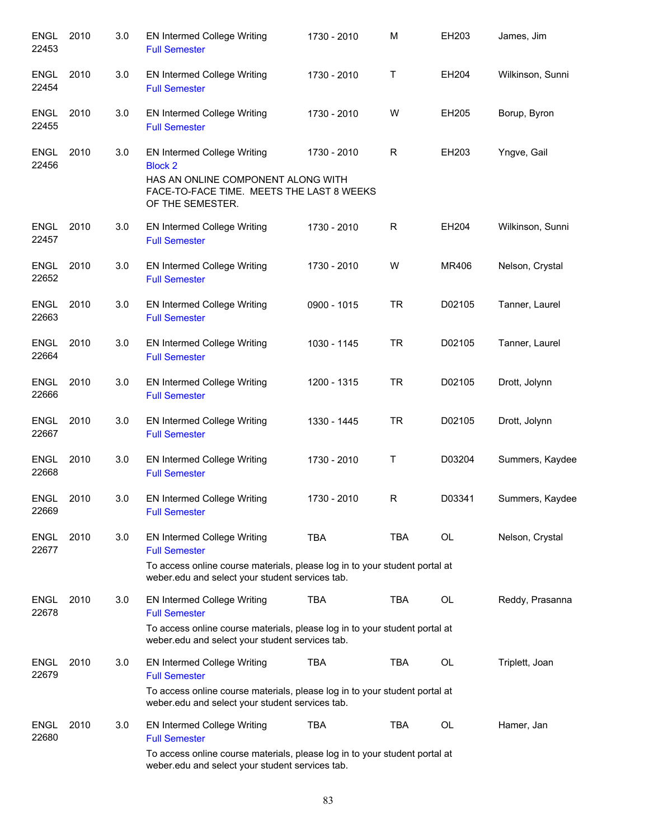| <b>ENGL</b><br>22453 | 2010 | 3.0 | EN Intermed College Writing<br><b>Full Semester</b>                                                                                                                                         | 1730 - 2010 | M           | EH203     | James, Jim       |
|----------------------|------|-----|---------------------------------------------------------------------------------------------------------------------------------------------------------------------------------------------|-------------|-------------|-----------|------------------|
| ENGL<br>22454        | 2010 | 3.0 | EN Intermed College Writing<br><b>Full Semester</b>                                                                                                                                         | 1730 - 2010 | Τ           | EH204     | Wilkinson, Sunni |
| <b>ENGL</b><br>22455 | 2010 | 3.0 | EN Intermed College Writing<br><b>Full Semester</b>                                                                                                                                         | 1730 - 2010 | W           | EH205     | Borup, Byron     |
| <b>ENGL</b><br>22456 | 2010 | 3.0 | EN Intermed College Writing<br><b>Block 2</b><br>HAS AN ONLINE COMPONENT ALONG WITH<br>FACE-TO-FACE TIME. MEETS THE LAST 8 WEEKS<br>OF THE SEMESTER.                                        | 1730 - 2010 | $\mathsf R$ | EH203     | Yngve, Gail      |
| <b>ENGL</b><br>22457 | 2010 | 3.0 | EN Intermed College Writing<br><b>Full Semester</b>                                                                                                                                         | 1730 - 2010 | R           | EH204     | Wilkinson, Sunni |
| <b>ENGL</b><br>22652 | 2010 | 3.0 | EN Intermed College Writing<br><b>Full Semester</b>                                                                                                                                         | 1730 - 2010 | W           | MR406     | Nelson, Crystal  |
| ENGL<br>22663        | 2010 | 3.0 | <b>EN Intermed College Writing</b><br><b>Full Semester</b>                                                                                                                                  | 0900 - 1015 | <b>TR</b>   | D02105    | Tanner, Laurel   |
| ENGL<br>22664        | 2010 | 3.0 | EN Intermed College Writing<br><b>Full Semester</b>                                                                                                                                         | 1030 - 1145 | <b>TR</b>   | D02105    | Tanner, Laurel   |
| <b>ENGL</b><br>22666 | 2010 | 3.0 | EN Intermed College Writing<br><b>Full Semester</b>                                                                                                                                         | 1200 - 1315 | <b>TR</b>   | D02105    | Drott, Jolynn    |
| <b>ENGL</b><br>22667 | 2010 | 3.0 | EN Intermed College Writing<br><b>Full Semester</b>                                                                                                                                         | 1330 - 1445 | <b>TR</b>   | D02105    | Drott, Jolynn    |
| <b>ENGL</b><br>22668 | 2010 | 3.0 | EN Intermed College Writing<br><b>Full Semester</b>                                                                                                                                         | 1730 - 2010 | T           | D03204    | Summers, Kaydee  |
| <b>ENGL</b><br>22669 | 2010 | 3.0 | <b>EN Intermed College Writing</b><br><b>Full Semester</b>                                                                                                                                  | 1730 - 2010 | R           | D03341    | Summers, Kaydee  |
| <b>ENGL</b><br>22677 | 2010 | 3.0 | <b>EN Intermed College Writing</b><br><b>Full Semester</b><br>To access online course materials, please log in to your student portal at<br>weber.edu and select your student services tab. | <b>TBA</b>  | <b>TBA</b>  | OL        | Nelson, Crystal  |
| <b>ENGL</b><br>22678 | 2010 | 3.0 | EN Intermed College Writing<br><b>Full Semester</b><br>To access online course materials, please log in to your student portal at<br>weber.edu and select your student services tab.        | <b>TBA</b>  | <b>TBA</b>  | OL        | Reddy, Prasanna  |
| <b>ENGL</b><br>22679 | 2010 | 3.0 | <b>EN Intermed College Writing</b><br><b>Full Semester</b><br>To access online course materials, please log in to your student portal at<br>weber.edu and select your student services tab. | <b>TBA</b>  | <b>TBA</b>  | <b>OL</b> | Triplett, Joan   |
| <b>ENGL</b><br>22680 | 2010 | 3.0 | <b>EN Intermed College Writing</b><br><b>Full Semester</b><br>To access online course materials, please log in to your student portal at<br>weber.edu and select your student services tab. | <b>TBA</b>  | <b>TBA</b>  | OL        | Hamer, Jan       |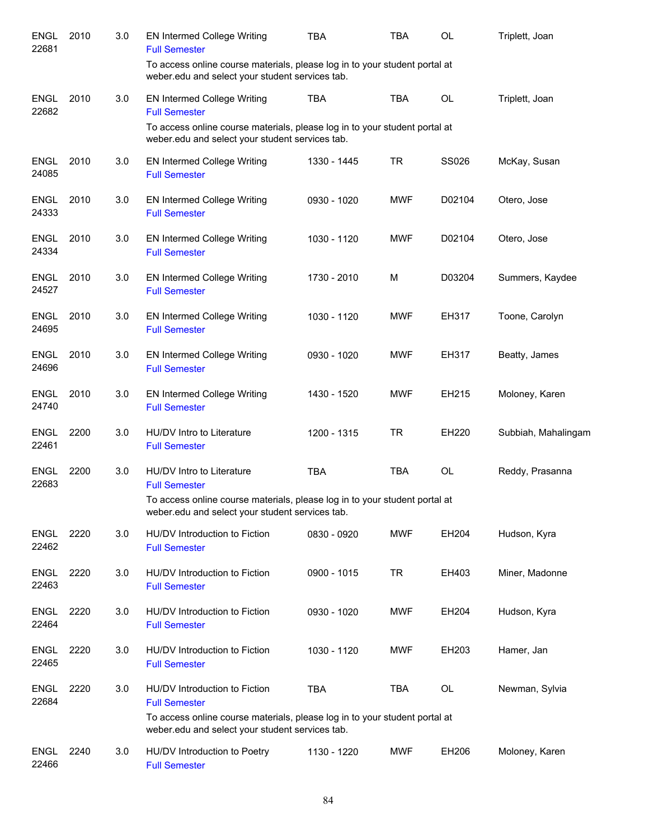| <b>ENGL</b><br>22681 | 2010 | 3.0 | <b>EN Intermed College Writing</b><br><b>Full Semester</b>                                                                    | <b>TBA</b>  | TBA        | <b>OL</b>    | Triplett, Joan      |
|----------------------|------|-----|-------------------------------------------------------------------------------------------------------------------------------|-------------|------------|--------------|---------------------|
|                      |      |     | To access online course materials, please log in to your student portal at<br>weber.edu and select your student services tab. |             |            |              |                     |
| <b>ENGL</b><br>22682 | 2010 | 3.0 | <b>EN Intermed College Writing</b><br><b>Full Semester</b>                                                                    | <b>TBA</b>  | <b>TBA</b> | <b>OL</b>    | Triplett, Joan      |
|                      |      |     | To access online course materials, please log in to your student portal at<br>weber.edu and select your student services tab. |             |            |              |                     |
| <b>ENGL</b><br>24085 | 2010 | 3.0 | <b>EN Intermed College Writing</b><br><b>Full Semester</b>                                                                    | 1330 - 1445 | <b>TR</b>  | <b>SS026</b> | McKay, Susan        |
| <b>ENGL</b><br>24333 | 2010 | 3.0 | <b>EN Intermed College Writing</b><br><b>Full Semester</b>                                                                    | 0930 - 1020 | <b>MWF</b> | D02104       | Otero, Jose         |
| <b>ENGL</b><br>24334 | 2010 | 3.0 | <b>EN Intermed College Writing</b><br><b>Full Semester</b>                                                                    | 1030 - 1120 | <b>MWF</b> | D02104       | Otero, Jose         |
| <b>ENGL</b><br>24527 | 2010 | 3.0 | <b>EN Intermed College Writing</b><br><b>Full Semester</b>                                                                    | 1730 - 2010 | M          | D03204       | Summers, Kaydee     |
| <b>ENGL</b><br>24695 | 2010 | 3.0 | <b>EN Intermed College Writing</b><br><b>Full Semester</b>                                                                    | 1030 - 1120 | <b>MWF</b> | EH317        | Toone, Carolyn      |
| <b>ENGL</b><br>24696 | 2010 | 3.0 | <b>EN Intermed College Writing</b><br><b>Full Semester</b>                                                                    | 0930 - 1020 | <b>MWF</b> | EH317        | Beatty, James       |
| ENGL<br>24740        | 2010 | 3.0 | <b>EN Intermed College Writing</b><br><b>Full Semester</b>                                                                    | 1430 - 1520 | <b>MWF</b> | EH215        | Moloney, Karen      |
| <b>ENGL</b><br>22461 | 2200 | 3.0 | HU/DV Intro to Literature<br><b>Full Semester</b>                                                                             | 1200 - 1315 | <b>TR</b>  | EH220        | Subbiah, Mahalingam |
| <b>ENGL</b><br>22683 | 2200 | 3.0 | HU/DV Intro to Literature<br><b>Full Semester</b>                                                                             | <b>TBA</b>  | <b>TBA</b> | <b>OL</b>    | Reddy, Prasanna     |
|                      |      |     | To access online course materials, please log in to your student portal at<br>weber.edu and select your student services tab. |             |            |              |                     |
| ENGL<br>22462        | 2220 | 3.0 | HU/DV Introduction to Fiction<br><b>Full Semester</b>                                                                         | 0830 - 0920 | <b>MWF</b> | EH204        | Hudson, Kyra        |
| <b>ENGL</b><br>22463 | 2220 | 3.0 | HU/DV Introduction to Fiction<br><b>Full Semester</b>                                                                         | 0900 - 1015 | <b>TR</b>  | EH403        | Miner, Madonne      |
| <b>ENGL</b><br>22464 | 2220 | 3.0 | HU/DV Introduction to Fiction<br><b>Full Semester</b>                                                                         | 0930 - 1020 | <b>MWF</b> | EH204        | Hudson, Kyra        |
| <b>ENGL</b><br>22465 | 2220 | 3.0 | HU/DV Introduction to Fiction<br><b>Full Semester</b>                                                                         | 1030 - 1120 | <b>MWF</b> | EH203        | Hamer, Jan          |
| <b>ENGL</b><br>22684 | 2220 | 3.0 | HU/DV Introduction to Fiction<br><b>Full Semester</b>                                                                         | <b>TBA</b>  | <b>TBA</b> | OL           | Newman, Sylvia      |
|                      |      |     | To access online course materials, please log in to your student portal at<br>weber.edu and select your student services tab. |             |            |              |                     |
| ENGL<br>22466        | 2240 | 3.0 | HU/DV Introduction to Poetry<br><b>Full Semester</b>                                                                          | 1130 - 1220 | <b>MWF</b> | EH206        | Moloney, Karen      |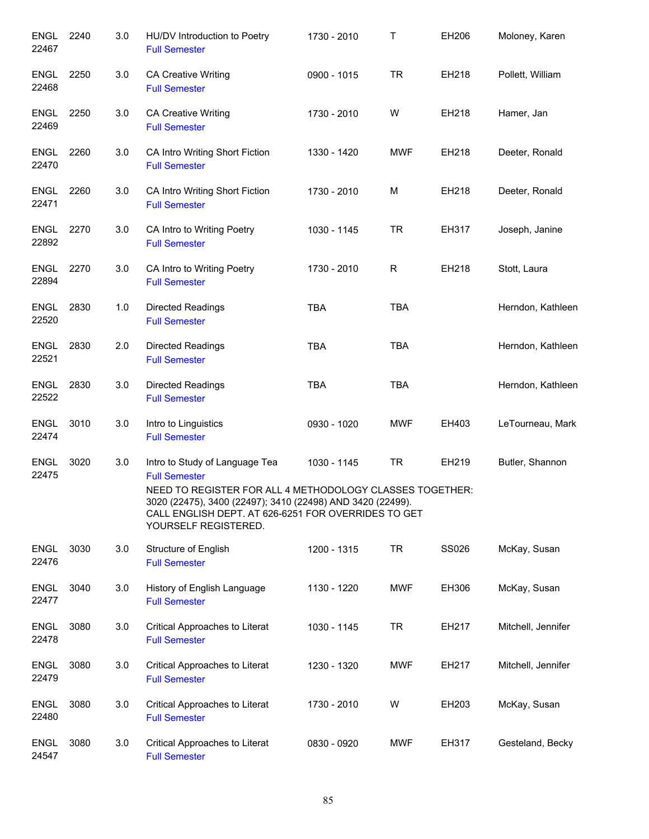| <b>ENGL</b><br>22467 | 2240 | 3.0 | HU/DV Introduction to Poetry<br><b>Full Semester</b>                                                                                                                                                                                                            | 1730 - 2010 | Τ          | EH206 | Moloney, Karen     |
|----------------------|------|-----|-----------------------------------------------------------------------------------------------------------------------------------------------------------------------------------------------------------------------------------------------------------------|-------------|------------|-------|--------------------|
| <b>ENGL</b><br>22468 | 2250 | 3.0 | <b>CA Creative Writing</b><br><b>Full Semester</b>                                                                                                                                                                                                              | 0900 - 1015 | <b>TR</b>  | EH218 | Pollett, William   |
| ENGL<br>22469        | 2250 | 3.0 | <b>CA Creative Writing</b><br><b>Full Semester</b>                                                                                                                                                                                                              | 1730 - 2010 | W          | EH218 | Hamer, Jan         |
| ENGL<br>22470        | 2260 | 3.0 | CA Intro Writing Short Fiction<br><b>Full Semester</b>                                                                                                                                                                                                          | 1330 - 1420 | <b>MWF</b> | EH218 | Deeter, Ronald     |
| ENGL<br>22471        | 2260 | 3.0 | CA Intro Writing Short Fiction<br><b>Full Semester</b>                                                                                                                                                                                                          | 1730 - 2010 | м          | EH218 | Deeter, Ronald     |
| ENGL<br>22892        | 2270 | 3.0 | CA Intro to Writing Poetry<br><b>Full Semester</b>                                                                                                                                                                                                              | 1030 - 1145 | <b>TR</b>  | EH317 | Joseph, Janine     |
| <b>ENGL</b><br>22894 | 2270 | 3.0 | CA Intro to Writing Poetry<br><b>Full Semester</b>                                                                                                                                                                                                              | 1730 - 2010 | R          | EH218 | Stott, Laura       |
| <b>ENGL</b><br>22520 | 2830 | 1.0 | Directed Readings<br><b>Full Semester</b>                                                                                                                                                                                                                       | <b>TBA</b>  | <b>TBA</b> |       | Herndon, Kathleen  |
| <b>ENGL</b><br>22521 | 2830 | 2.0 | Directed Readings<br><b>Full Semester</b>                                                                                                                                                                                                                       | <b>TBA</b>  | <b>TBA</b> |       | Herndon, Kathleen  |
| <b>ENGL</b><br>22522 | 2830 | 3.0 | <b>Directed Readings</b><br><b>Full Semester</b>                                                                                                                                                                                                                | <b>TBA</b>  | <b>TBA</b> |       | Herndon, Kathleen  |
| <b>ENGL</b><br>22474 | 3010 | 3.0 | Intro to Linguistics<br><b>Full Semester</b>                                                                                                                                                                                                                    | 0930 - 1020 | <b>MWF</b> | EH403 | LeTourneau, Mark   |
| ENGL<br>22475        | 3020 | 3.0 | Intro to Study of Language Tea<br><b>Full Semester</b><br>NEED TO REGISTER FOR ALL 4 METHODOLOGY CLASSES TOGETHER:<br>3020 (22475), 3400 (22497); 3410 (22498) AND 3420 (22499).<br>CALL ENGLISH DEPT. AT 626-6251 FOR OVERRIDES TO GET<br>YOURSELF REGISTERED. | 1030 - 1145 | <b>TR</b>  | EH219 | Butler, Shannon    |
| <b>ENGL</b><br>22476 | 3030 | 3.0 | Structure of English<br><b>Full Semester</b>                                                                                                                                                                                                                    | 1200 - 1315 | <b>TR</b>  | SS026 | McKay, Susan       |
| <b>ENGL</b><br>22477 | 3040 | 3.0 | History of English Language<br><b>Full Semester</b>                                                                                                                                                                                                             | 1130 - 1220 | MWF        | EH306 | McKay, Susan       |
| <b>ENGL</b><br>22478 | 3080 | 3.0 | Critical Approaches to Literat<br><b>Full Semester</b>                                                                                                                                                                                                          | 1030 - 1145 | TR         | EH217 | Mitchell, Jennifer |
| <b>ENGL</b><br>22479 | 3080 | 3.0 | Critical Approaches to Literat<br><b>Full Semester</b>                                                                                                                                                                                                          | 1230 - 1320 | <b>MWF</b> | EH217 | Mitchell, Jennifer |
| <b>ENGL</b><br>22480 | 3080 | 3.0 | Critical Approaches to Literat<br><b>Full Semester</b>                                                                                                                                                                                                          | 1730 - 2010 | W          | EH203 | McKay, Susan       |
| <b>ENGL</b><br>24547 | 3080 | 3.0 | Critical Approaches to Literat<br><b>Full Semester</b>                                                                                                                                                                                                          | 0830 - 0920 | <b>MWF</b> | EH317 | Gesteland, Becky   |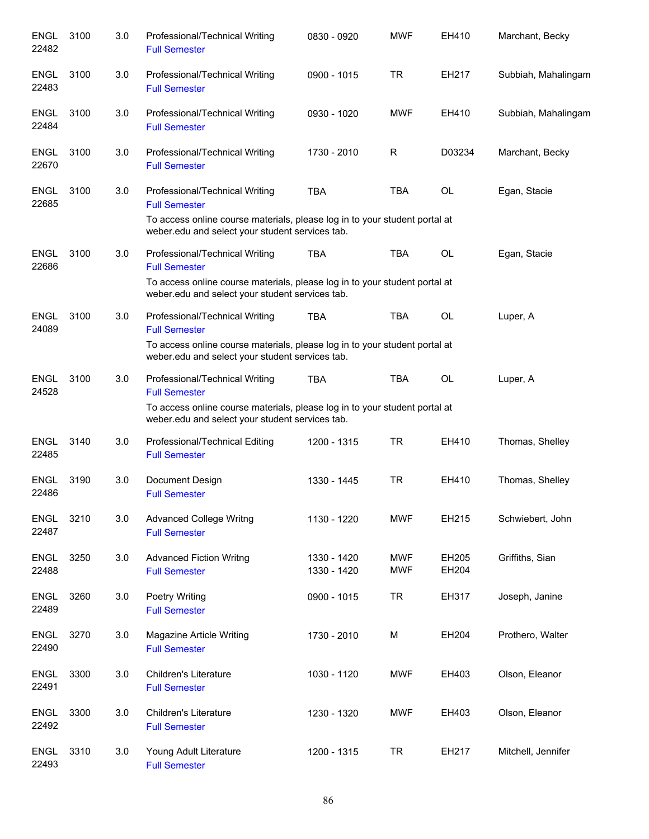| <b>ENGL</b><br>22482 | 3100 | 3.0 | Professional/Technical Writing<br><b>Full Semester</b>                                                                                                                                  | 0830 - 0920                | <b>MWF</b>               | EH410          | Marchant, Becky     |
|----------------------|------|-----|-----------------------------------------------------------------------------------------------------------------------------------------------------------------------------------------|----------------------------|--------------------------|----------------|---------------------|
| <b>ENGL</b><br>22483 | 3100 | 3.0 | Professional/Technical Writing<br><b>Full Semester</b>                                                                                                                                  | 0900 - 1015                | <b>TR</b>                | EH217          | Subbiah, Mahalingam |
| <b>ENGL</b><br>22484 | 3100 | 3.0 | Professional/Technical Writing<br><b>Full Semester</b>                                                                                                                                  | 0930 - 1020                | <b>MWF</b>               | EH410          | Subbiah, Mahalingam |
| <b>ENGL</b><br>22670 | 3100 | 3.0 | Professional/Technical Writing<br><b>Full Semester</b>                                                                                                                                  | 1730 - 2010                | R                        | D03234         | Marchant, Becky     |
| <b>ENGL</b><br>22685 | 3100 | 3.0 | Professional/Technical Writing<br><b>Full Semester</b><br>To access online course materials, please log in to your student portal at<br>weber.edu and select your student services tab. | <b>TBA</b>                 | <b>TBA</b>               | <b>OL</b>      | Egan, Stacie        |
| <b>ENGL</b><br>22686 | 3100 | 3.0 | Professional/Technical Writing<br><b>Full Semester</b><br>To access online course materials, please log in to your student portal at<br>weber.edu and select your student services tab. | <b>TBA</b>                 | <b>TBA</b>               | <b>OL</b>      | Egan, Stacie        |
| <b>ENGL</b><br>24089 | 3100 | 3.0 | Professional/Technical Writing<br><b>Full Semester</b><br>To access online course materials, please log in to your student portal at<br>weber.edu and select your student services tab. | <b>TBA</b>                 | <b>TBA</b>               | <b>OL</b>      | Luper, A            |
| <b>ENGL</b><br>24528 | 3100 | 3.0 | Professional/Technical Writing<br><b>Full Semester</b><br>To access online course materials, please log in to your student portal at<br>weber.edu and select your student services tab. | <b>TBA</b>                 | <b>TBA</b>               | <b>OL</b>      | Luper, A            |
| <b>ENGL</b><br>22485 | 3140 | 3.0 | Professional/Technical Editing<br><b>Full Semester</b>                                                                                                                                  | 1200 - 1315                | <b>TR</b>                | EH410          | Thomas, Shelley     |
| <b>ENGL</b><br>22486 | 3190 | 3.0 | Document Design<br><b>Full Semester</b>                                                                                                                                                 | 1330 - 1445                | <b>TR</b>                | EH410          | Thomas, Shelley     |
| <b>ENGL</b><br>22487 | 3210 | 3.0 | <b>Advanced College Writng</b><br><b>Full Semester</b>                                                                                                                                  | 1130 - 1220                | <b>MWF</b>               | EH215          | Schwiebert, John    |
| <b>ENGL</b><br>22488 | 3250 | 3.0 | <b>Advanced Fiction Writng</b><br><b>Full Semester</b>                                                                                                                                  | 1330 - 1420<br>1330 - 1420 | <b>MWF</b><br><b>MWF</b> | EH205<br>EH204 | Griffiths, Sian     |
| <b>ENGL</b><br>22489 | 3260 | 3.0 | <b>Poetry Writing</b><br><b>Full Semester</b>                                                                                                                                           | 0900 - 1015                | <b>TR</b>                | EH317          | Joseph, Janine      |
| <b>ENGL</b><br>22490 | 3270 | 3.0 | Magazine Article Writing<br><b>Full Semester</b>                                                                                                                                        | 1730 - 2010                | M                        | EH204          | Prothero, Walter    |
| <b>ENGL</b><br>22491 | 3300 | 3.0 | Children's Literature<br><b>Full Semester</b>                                                                                                                                           | 1030 - 1120                | <b>MWF</b>               | EH403          | Olson, Eleanor      |
| <b>ENGL</b><br>22492 | 3300 | 3.0 | Children's Literature<br><b>Full Semester</b>                                                                                                                                           | 1230 - 1320                | <b>MWF</b>               | EH403          | Olson, Eleanor      |
| <b>ENGL</b><br>22493 | 3310 | 3.0 | Young Adult Literature<br><b>Full Semester</b>                                                                                                                                          | 1200 - 1315                | <b>TR</b>                | EH217          | Mitchell, Jennifer  |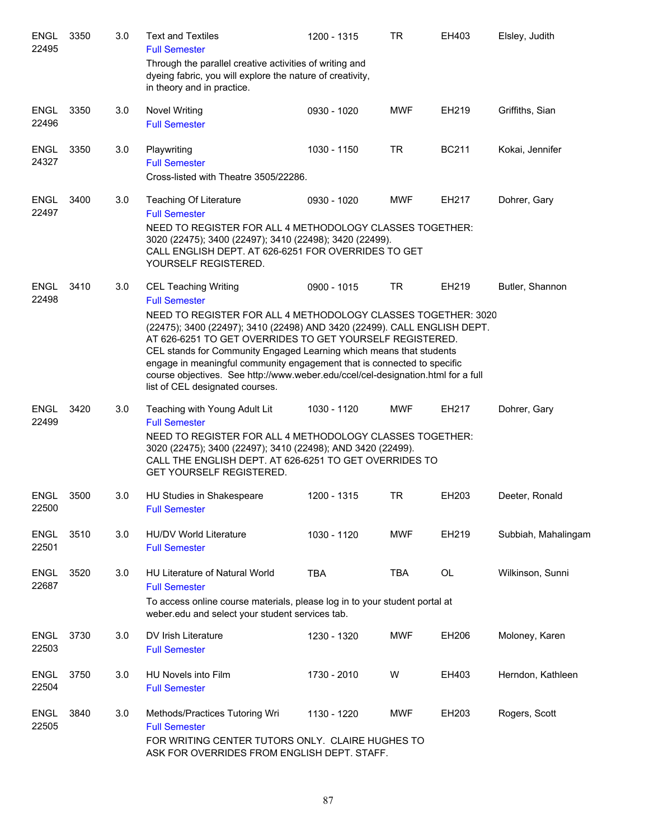| <b>ENGL</b><br>22495 | 3350 | 3.0 | <b>Text and Textiles</b><br><b>Full Semester</b>                                                                                                                                                                                                                                                                                                                                                                                                                                                                                      | 1200 - 1315 | <b>TR</b>  | EH403        | Elsley, Judith      |
|----------------------|------|-----|---------------------------------------------------------------------------------------------------------------------------------------------------------------------------------------------------------------------------------------------------------------------------------------------------------------------------------------------------------------------------------------------------------------------------------------------------------------------------------------------------------------------------------------|-------------|------------|--------------|---------------------|
|                      |      |     | Through the parallel creative activities of writing and<br>dyeing fabric, you will explore the nature of creativity,<br>in theory and in practice.                                                                                                                                                                                                                                                                                                                                                                                    |             |            |              |                     |
| <b>ENGL</b><br>22496 | 3350 | 3.0 | <b>Novel Writing</b><br><b>Full Semester</b>                                                                                                                                                                                                                                                                                                                                                                                                                                                                                          | 0930 - 1020 | <b>MWF</b> | EH219        | Griffiths, Sian     |
| <b>ENGL</b><br>24327 | 3350 | 3.0 | Playwriting<br><b>Full Semester</b><br>Cross-listed with Theatre 3505/22286.                                                                                                                                                                                                                                                                                                                                                                                                                                                          | 1030 - 1150 | <b>TR</b>  | <b>BC211</b> | Kokai, Jennifer     |
| <b>ENGL</b><br>22497 | 3400 | 3.0 | Teaching Of Literature<br><b>Full Semester</b><br>NEED TO REGISTER FOR ALL 4 METHODOLOGY CLASSES TOGETHER:<br>3020 (22475); 3400 (22497); 3410 (22498); 3420 (22499).<br>CALL ENGLISH DEPT. AT 626-6251 FOR OVERRIDES TO GET<br>YOURSELF REGISTERED.                                                                                                                                                                                                                                                                                  | 0930 - 1020 | <b>MWF</b> | EH217        | Dohrer, Gary        |
| <b>ENGL</b><br>22498 | 3410 | 3.0 | <b>CEL Teaching Writing</b><br><b>Full Semester</b><br>NEED TO REGISTER FOR ALL 4 METHODOLOGY CLASSES TOGETHER: 3020<br>(22475); 3400 (22497); 3410 (22498) AND 3420 (22499). CALL ENGLISH DEPT.<br>AT 626-6251 TO GET OVERRIDES TO GET YOURSELF REGISTERED.<br>CEL stands for Community Engaged Learning which means that students<br>engage in meaningful community engagement that is connected to specific<br>course objectives. See http://www.weber.edu/ccel/cel-designation.html for a full<br>list of CEL designated courses. | 0900 - 1015 | <b>TR</b>  | EH219        | Butler, Shannon     |
| <b>ENGL</b><br>22499 | 3420 | 3.0 | Teaching with Young Adult Lit<br><b>Full Semester</b><br>NEED TO REGISTER FOR ALL 4 METHODOLOGY CLASSES TOGETHER:<br>3020 (22475); 3400 (22497); 3410 (22498); AND 3420 (22499).<br>CALL THE ENGLISH DEPT. AT 626-6251 TO GET OVERRIDES TO<br>GET YOURSELF REGISTERED.                                                                                                                                                                                                                                                                | 1030 - 1120 | <b>MWF</b> | EH217        | Dohrer, Gary        |
| <b>ENGL</b><br>22500 | 3500 | 3.0 | HU Studies in Shakespeare<br><b>Full Semester</b>                                                                                                                                                                                                                                                                                                                                                                                                                                                                                     | 1200 - 1315 | <b>TR</b>  | EH203        | Deeter, Ronald      |
| <b>ENGL</b><br>22501 | 3510 | 3.0 | <b>HU/DV World Literature</b><br><b>Full Semester</b>                                                                                                                                                                                                                                                                                                                                                                                                                                                                                 | 1030 - 1120 | <b>MWF</b> | EH219        | Subbiah, Mahalingam |
| <b>ENGL</b><br>22687 | 3520 | 3.0 | <b>HU Literature of Natural World</b><br><b>Full Semester</b><br>To access online course materials, please log in to your student portal at<br>weber.edu and select your student services tab.                                                                                                                                                                                                                                                                                                                                        | <b>TBA</b>  | <b>TBA</b> | <b>OL</b>    | Wilkinson, Sunni    |
| <b>ENGL</b><br>22503 | 3730 | 3.0 | DV Irish Literature<br><b>Full Semester</b>                                                                                                                                                                                                                                                                                                                                                                                                                                                                                           | 1230 - 1320 | <b>MWF</b> | EH206        | Moloney, Karen      |
| <b>ENGL</b><br>22504 | 3750 | 3.0 | HU Novels into Film<br><b>Full Semester</b>                                                                                                                                                                                                                                                                                                                                                                                                                                                                                           | 1730 - 2010 | W          | EH403        | Herndon, Kathleen   |
| <b>ENGL</b><br>22505 | 3840 | 3.0 | Methods/Practices Tutoring Wri<br><b>Full Semester</b><br>FOR WRITING CENTER TUTORS ONLY. CLAIRE HUGHES TO<br>ASK FOR OVERRIDES FROM ENGLISH DEPT. STAFF.                                                                                                                                                                                                                                                                                                                                                                             | 1130 - 1220 | <b>MWF</b> | EH203        | Rogers, Scott       |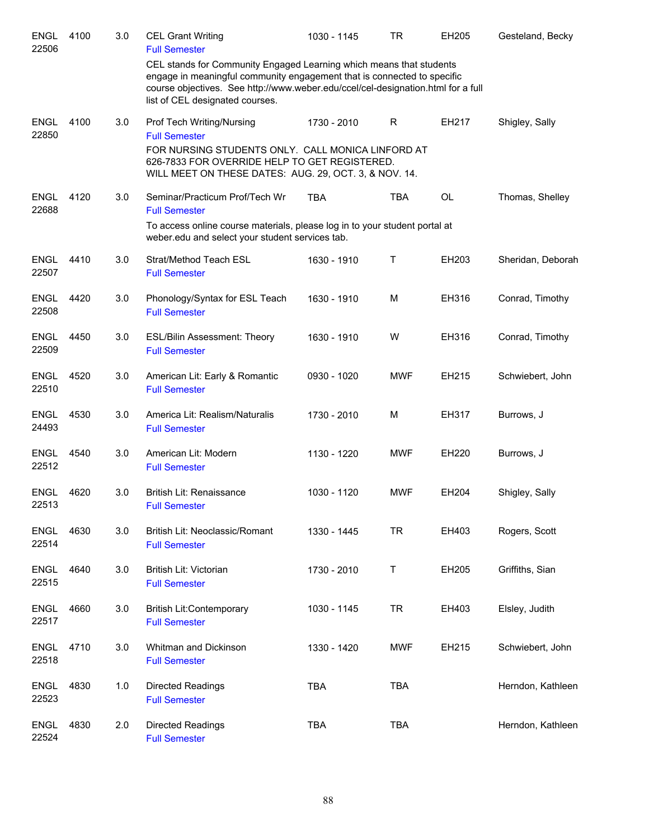| <b>ENGL</b><br>22506 | 4100 | 3.0 | <b>CEL Grant Writing</b><br><b>Full Semester</b>                                                                                                                                                                                                                      | 1030 - 1145 | TR         | EH205     | Gesteland, Becky  |
|----------------------|------|-----|-----------------------------------------------------------------------------------------------------------------------------------------------------------------------------------------------------------------------------------------------------------------------|-------------|------------|-----------|-------------------|
|                      |      |     | CEL stands for Community Engaged Learning which means that students<br>engage in meaningful community engagement that is connected to specific<br>course objectives. See http://www.weber.edu/ccel/cel-designation.html for a full<br>list of CEL designated courses. |             |            |           |                   |
| <b>ENGL</b><br>22850 | 4100 | 3.0 | Prof Tech Writing/Nursing<br><b>Full Semester</b>                                                                                                                                                                                                                     | 1730 - 2010 | R          | EH217     | Shigley, Sally    |
|                      |      |     | FOR NURSING STUDENTS ONLY. CALL MONICA LINFORD AT<br>626-7833 FOR OVERRIDE HELP TO GET REGISTERED.<br>WILL MEET ON THESE DATES: AUG. 29, OCT. 3, & NOV. 14.                                                                                                           |             |            |           |                   |
| <b>ENGL</b><br>22688 | 4120 | 3.0 | Seminar/Practicum Prof/Tech Wr<br><b>Full Semester</b>                                                                                                                                                                                                                | <b>TBA</b>  | <b>TBA</b> | <b>OL</b> | Thomas, Shelley   |
|                      |      |     | To access online course materials, please log in to your student portal at<br>weber.edu and select your student services tab.                                                                                                                                         |             |            |           |                   |
| <b>ENGL</b><br>22507 | 4410 | 3.0 | Strat/Method Teach ESL<br><b>Full Semester</b>                                                                                                                                                                                                                        | 1630 - 1910 | Т          | EH203     | Sheridan, Deborah |
| <b>ENGL</b><br>22508 | 4420 | 3.0 | Phonology/Syntax for ESL Teach<br><b>Full Semester</b>                                                                                                                                                                                                                | 1630 - 1910 | M          | EH316     | Conrad, Timothy   |
| <b>ENGL</b><br>22509 | 4450 | 3.0 | <b>ESL/Bilin Assessment: Theory</b><br><b>Full Semester</b>                                                                                                                                                                                                           | 1630 - 1910 | W          | EH316     | Conrad, Timothy   |
| <b>ENGL</b><br>22510 | 4520 | 3.0 | American Lit: Early & Romantic<br><b>Full Semester</b>                                                                                                                                                                                                                | 0930 - 1020 | <b>MWF</b> | EH215     | Schwiebert, John  |
| <b>ENGL</b><br>24493 | 4530 | 3.0 | America Lit: Realism/Naturalis<br><b>Full Semester</b>                                                                                                                                                                                                                | 1730 - 2010 | M          | EH317     | Burrows, J        |
| <b>ENGL</b><br>22512 | 4540 | 3.0 | American Lit: Modern<br><b>Full Semester</b>                                                                                                                                                                                                                          | 1130 - 1220 | <b>MWF</b> | EH220     | Burrows, J        |
| <b>ENGL</b><br>22513 | 4620 | 3.0 | British Lit: Renaissance<br><b>Full Semester</b>                                                                                                                                                                                                                      | 1030 - 1120 | <b>MWF</b> | EH204     | Shigley, Sally    |
| <b>ENGL</b><br>22514 | 4630 | 3.0 | British Lit: Neoclassic/Romant<br><b>Full Semester</b>                                                                                                                                                                                                                | 1330 - 1445 | <b>TR</b>  | EH403     | Rogers, Scott     |
| <b>ENGL</b><br>22515 | 4640 | 3.0 | British Lit: Victorian<br><b>Full Semester</b>                                                                                                                                                                                                                        | 1730 - 2010 | T          | EH205     | Griffiths, Sian   |
| <b>ENGL</b><br>22517 | 4660 | 3.0 | <b>British Lit:Contemporary</b><br><b>Full Semester</b>                                                                                                                                                                                                               | 1030 - 1145 | <b>TR</b>  | EH403     | Elsley, Judith    |
| <b>ENGL</b><br>22518 | 4710 | 3.0 | Whitman and Dickinson<br><b>Full Semester</b>                                                                                                                                                                                                                         | 1330 - 1420 | <b>MWF</b> | EH215     | Schwiebert, John  |
| <b>ENGL</b><br>22523 | 4830 | 1.0 | Directed Readings<br><b>Full Semester</b>                                                                                                                                                                                                                             | <b>TBA</b>  | <b>TBA</b> |           | Herndon, Kathleen |
| <b>ENGL</b><br>22524 | 4830 | 2.0 | Directed Readings<br><b>Full Semester</b>                                                                                                                                                                                                                             | <b>TBA</b>  | <b>TBA</b> |           | Herndon, Kathleen |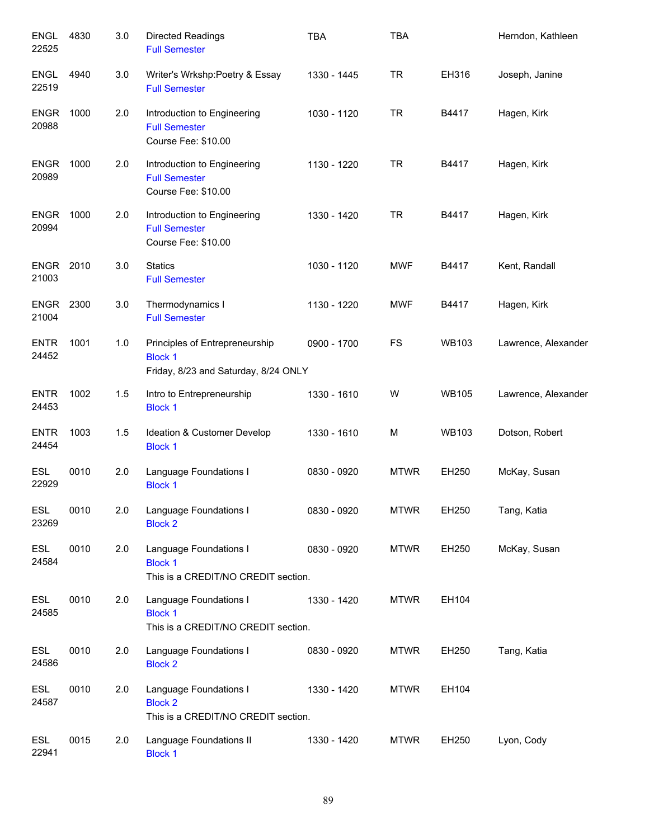| <b>ENGL</b><br>22525      | 4830 | 3.0 | <b>Directed Readings</b><br><b>Full Semester</b>                                         | <b>TBA</b>  | <b>TBA</b>  |              | Herndon, Kathleen   |
|---------------------------|------|-----|------------------------------------------------------------------------------------------|-------------|-------------|--------------|---------------------|
| <b>ENGL</b><br>22519      | 4940 | 3.0 | Writer's Wrkshp:Poetry & Essay<br><b>Full Semester</b>                                   | 1330 - 1445 | TR.         | EH316        | Joseph, Janine      |
| <b>ENGR</b><br>20988      | 1000 | 2.0 | Introduction to Engineering<br><b>Full Semester</b><br>Course Fee: \$10.00               | 1030 - 1120 | TR.         | B4417        | Hagen, Kirk         |
| <b>ENGR</b><br>20989      | 1000 | 2.0 | Introduction to Engineering<br><b>Full Semester</b><br>Course Fee: \$10.00               | 1130 - 1220 | TR.         | B4417        | Hagen, Kirk         |
| <b>ENGR</b><br>20994      | 1000 | 2.0 | Introduction to Engineering<br><b>Full Semester</b><br>Course Fee: \$10.00               | 1330 - 1420 | <b>TR</b>   | B4417        | Hagen, Kirk         |
| <b>ENGR</b><br>21003      | 2010 | 3.0 | <b>Statics</b><br><b>Full Semester</b>                                                   | 1030 - 1120 | <b>MWF</b>  | B4417        | Kent, Randall       |
| <b>ENGR 2300</b><br>21004 |      | 3.0 | Thermodynamics I<br><b>Full Semester</b>                                                 | 1130 - 1220 | <b>MWF</b>  | B4417        | Hagen, Kirk         |
| <b>ENTR</b><br>24452      | 1001 | 1.0 | Principles of Entrepreneurship<br><b>Block 1</b><br>Friday, 8/23 and Saturday, 8/24 ONLY | 0900 - 1700 | <b>FS</b>   | <b>WB103</b> | Lawrence, Alexander |
| <b>ENTR</b><br>24453      | 1002 | 1.5 | Intro to Entrepreneurship<br><b>Block 1</b>                                              | 1330 - 1610 | W           | <b>WB105</b> | Lawrence, Alexander |
| <b>ENTR</b><br>24454      | 1003 | 1.5 | Ideation & Customer Develop<br><b>Block 1</b>                                            | 1330 - 1610 | М           | <b>WB103</b> | Dotson, Robert      |
| <b>ESL</b><br>22929       | 0010 | 2.0 | Language Foundations I<br><b>Block 1</b>                                                 | 0830 - 0920 | <b>MTWR</b> | EH250        | McKay, Susan        |
| ESL<br>23269              | 0010 | 2.0 | Language Foundations I<br><b>Block 2</b>                                                 | 0830 - 0920 | <b>MTWR</b> | EH250        | Tang, Katia         |
| <b>ESL</b><br>24584       | 0010 | 2.0 | Language Foundations I<br><b>Block 1</b><br>This is a CREDIT/NO CREDIT section.          | 0830 - 0920 | <b>MTWR</b> | EH250        | McKay, Susan        |
| <b>ESL</b><br>24585       | 0010 | 2.0 | Language Foundations I<br><b>Block 1</b><br>This is a CREDIT/NO CREDIT section.          | 1330 - 1420 | <b>MTWR</b> | EH104        |                     |
| <b>ESL</b><br>24586       | 0010 | 2.0 | Language Foundations I<br><b>Block 2</b>                                                 | 0830 - 0920 | <b>MTWR</b> | EH250        | Tang, Katia         |
| <b>ESL</b><br>24587       | 0010 | 2.0 | Language Foundations I<br><b>Block 2</b><br>This is a CREDIT/NO CREDIT section.          | 1330 - 1420 | <b>MTWR</b> | EH104        |                     |
| <b>ESL</b><br>22941       | 0015 | 2.0 | Language Foundations II<br><b>Block 1</b>                                                | 1330 - 1420 | <b>MTWR</b> | EH250        | Lyon, Cody          |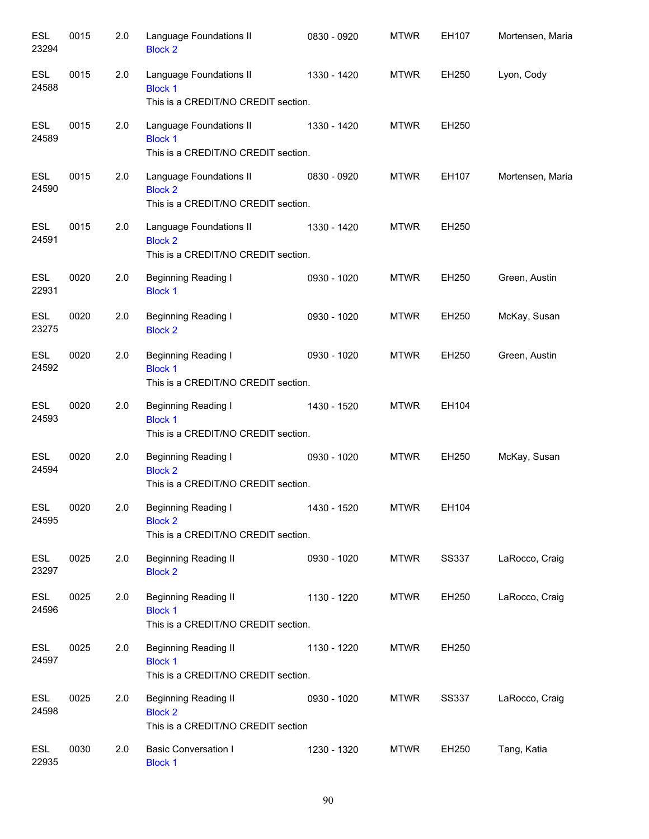| <b>ESL</b><br>23294 | 0015 | 2.0 | Language Foundations II<br><b>Block 2</b>                                            | 0830 - 0920 | <b>MTWR</b> | EH107        | Mortensen, Maria |
|---------------------|------|-----|--------------------------------------------------------------------------------------|-------------|-------------|--------------|------------------|
| <b>ESL</b><br>24588 | 0015 | 2.0 | Language Foundations II<br><b>Block 1</b><br>This is a CREDIT/NO CREDIT section.     | 1330 - 1420 | <b>MTWR</b> | EH250        | Lyon, Cody       |
| <b>ESL</b><br>24589 | 0015 | 2.0 | Language Foundations II<br><b>Block 1</b><br>This is a CREDIT/NO CREDIT section.     | 1330 - 1420 | <b>MTWR</b> | EH250        |                  |
| <b>ESL</b><br>24590 | 0015 | 2.0 | Language Foundations II<br><b>Block 2</b><br>This is a CREDIT/NO CREDIT section.     | 0830 - 0920 | <b>MTWR</b> | EH107        | Mortensen, Maria |
| <b>ESL</b><br>24591 | 0015 | 2.0 | Language Foundations II<br><b>Block 2</b><br>This is a CREDIT/NO CREDIT section.     | 1330 - 1420 | <b>MTWR</b> | EH250        |                  |
| <b>ESL</b><br>22931 | 0020 | 2.0 | <b>Beginning Reading I</b><br><b>Block 1</b>                                         | 0930 - 1020 | <b>MTWR</b> | EH250        | Green, Austin    |
| <b>ESL</b><br>23275 | 0020 | 2.0 | <b>Beginning Reading I</b><br><b>Block 2</b>                                         | 0930 - 1020 | <b>MTWR</b> | EH250        | McKay, Susan     |
| <b>ESL</b><br>24592 | 0020 | 2.0 | Beginning Reading I<br><b>Block 1</b><br>This is a CREDIT/NO CREDIT section.         | 0930 - 1020 | <b>MTWR</b> | EH250        | Green, Austin    |
| <b>ESL</b><br>24593 | 0020 | 2.0 | Beginning Reading I<br><b>Block 1</b><br>This is a CREDIT/NO CREDIT section.         | 1430 - 1520 | <b>MTWR</b> | EH104        |                  |
| <b>ESL</b><br>24594 | 0020 | 2.0 | Beginning Reading I<br><b>Block 2</b><br>This is a CREDIT/NO CREDIT section.         | 0930 - 1020 | <b>MTWR</b> | EH250        | McKay, Susan     |
| ESL<br>24595        | 0020 | 2.0 | Beginning Reading I<br><b>Block 2</b><br>This is a CREDIT/NO CREDIT section.         | 1430 - 1520 | MTWR        | EH104        |                  |
| <b>ESL</b><br>23297 | 0025 | 2.0 | <b>Beginning Reading II</b><br><b>Block 2</b>                                        | 0930 - 1020 | <b>MTWR</b> | <b>SS337</b> | LaRocco, Craig   |
| <b>ESL</b><br>24596 | 0025 | 2.0 | <b>Beginning Reading II</b><br><b>Block 1</b><br>This is a CREDIT/NO CREDIT section. | 1130 - 1220 | <b>MTWR</b> | EH250        | LaRocco, Craig   |
| <b>ESL</b><br>24597 | 0025 | 2.0 | <b>Beginning Reading II</b><br><b>Block 1</b><br>This is a CREDIT/NO CREDIT section. | 1130 - 1220 | <b>MTWR</b> | EH250        |                  |
| <b>ESL</b><br>24598 | 0025 | 2.0 | <b>Beginning Reading II</b><br><b>Block 2</b><br>This is a CREDIT/NO CREDIT section  | 0930 - 1020 | <b>MTWR</b> | <b>SS337</b> | LaRocco, Craig   |
| <b>ESL</b><br>22935 | 0030 | 2.0 | <b>Basic Conversation I</b><br><b>Block 1</b>                                        | 1230 - 1320 | <b>MTWR</b> | EH250        | Tang, Katia      |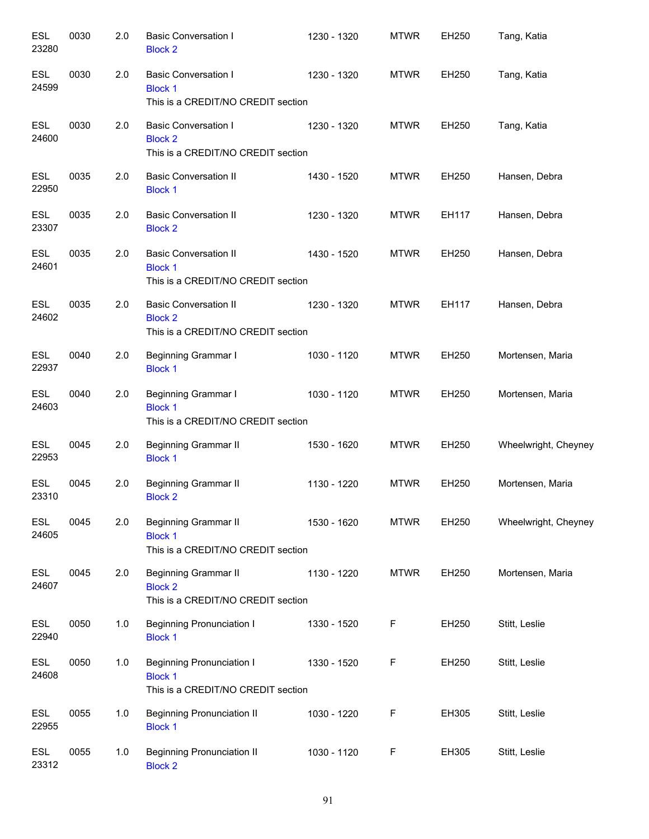| <b>ESL</b><br>23280 | 0030 | 2.0 | <b>Basic Conversation I</b><br><b>Block 2</b>                                            | 1230 - 1320 | <b>MTWR</b> | EH250 | Tang, Katia          |
|---------------------|------|-----|------------------------------------------------------------------------------------------|-------------|-------------|-------|----------------------|
| <b>ESL</b><br>24599 | 0030 | 2.0 | <b>Basic Conversation I</b><br><b>Block 1</b><br>This is a CREDIT/NO CREDIT section      | 1230 - 1320 | <b>MTWR</b> | EH250 | Tang, Katia          |
| <b>ESL</b><br>24600 | 0030 | 2.0 | <b>Basic Conversation I</b><br><b>Block 2</b><br>This is a CREDIT/NO CREDIT section      | 1230 - 1320 | <b>MTWR</b> | EH250 | Tang, Katia          |
| <b>ESL</b><br>22950 | 0035 | 2.0 | <b>Basic Conversation II</b><br><b>Block 1</b>                                           | 1430 - 1520 | <b>MTWR</b> | EH250 | Hansen, Debra        |
| <b>ESL</b><br>23307 | 0035 | 2.0 | <b>Basic Conversation II</b><br><b>Block 2</b>                                           | 1230 - 1320 | <b>MTWR</b> | EH117 | Hansen, Debra        |
| <b>ESL</b><br>24601 | 0035 | 2.0 | <b>Basic Conversation II</b><br><b>Block 1</b><br>This is a CREDIT/NO CREDIT section     | 1430 - 1520 | <b>MTWR</b> | EH250 | Hansen, Debra        |
| <b>ESL</b><br>24602 | 0035 | 2.0 | <b>Basic Conversation II</b><br><b>Block 2</b><br>This is a CREDIT/NO CREDIT section     | 1230 - 1320 | <b>MTWR</b> | EH117 | Hansen, Debra        |
| <b>ESL</b><br>22937 | 0040 | 2.0 | Beginning Grammar I<br><b>Block 1</b>                                                    | 1030 - 1120 | <b>MTWR</b> | EH250 | Mortensen, Maria     |
| <b>ESL</b><br>24603 | 0040 | 2.0 | Beginning Grammar I<br><b>Block 1</b><br>This is a CREDIT/NO CREDIT section              | 1030 - 1120 | <b>MTWR</b> | EH250 | Mortensen, Maria     |
| <b>ESL</b><br>22953 | 0045 | 2.0 | <b>Beginning Grammar II</b><br><b>Block 1</b>                                            | 1530 - 1620 | <b>MTWR</b> | EH250 | Wheelwright, Cheyney |
| <b>ESL</b><br>23310 | 0045 | 2.0 | <b>Beginning Grammar II</b><br><b>Block 2</b>                                            | 1130 - 1220 | <b>MTWR</b> | EH250 | Mortensen, Maria     |
| <b>ESL</b><br>24605 | 0045 | 2.0 | <b>Beginning Grammar II</b><br><b>Block 1</b><br>This is a CREDIT/NO CREDIT section      | 1530 - 1620 | <b>MTWR</b> | EH250 | Wheelwright, Cheyney |
| <b>ESL</b><br>24607 | 0045 | 2.0 | Beginning Grammar II<br><b>Block 2</b><br>This is a CREDIT/NO CREDIT section             | 1130 - 1220 | <b>MTWR</b> | EH250 | Mortensen, Maria     |
| <b>ESL</b><br>22940 | 0050 | 1.0 | <b>Beginning Pronunciation I</b><br><b>Block 1</b>                                       | 1330 - 1520 | F           | EH250 | Stitt, Leslie        |
| <b>ESL</b><br>24608 | 0050 | 1.0 | <b>Beginning Pronunciation I</b><br><b>Block 1</b><br>This is a CREDIT/NO CREDIT section | 1330 - 1520 | $\mathsf F$ | EH250 | Stitt, Leslie        |
| ESL<br>22955        | 0055 | 1.0 | <b>Beginning Pronunciation II</b><br><b>Block 1</b>                                      | 1030 - 1220 | F           | EH305 | Stitt, Leslie        |
| ESL<br>23312        | 0055 | 1.0 | <b>Beginning Pronunciation II</b><br><b>Block 2</b>                                      | 1030 - 1120 | F           | EH305 | Stitt, Leslie        |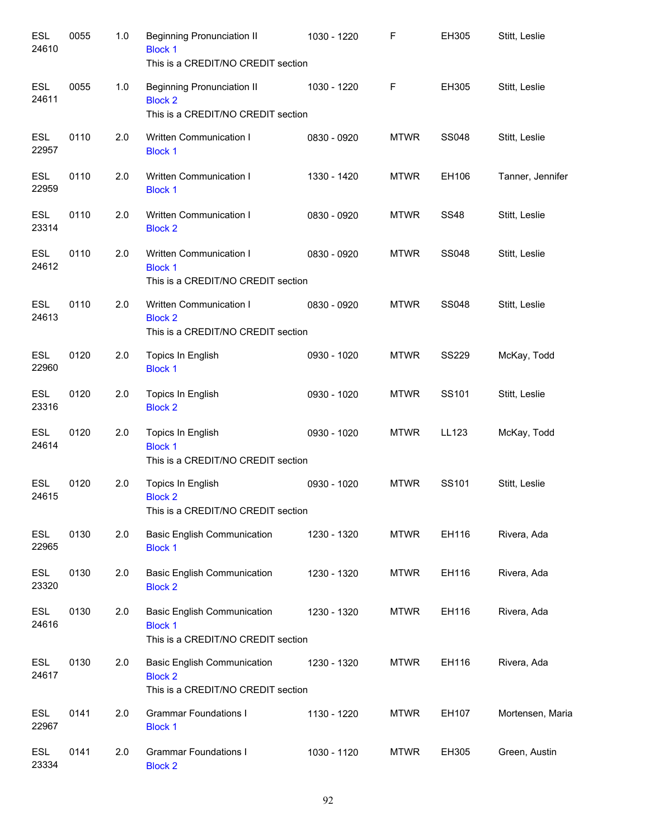| <b>ESL</b><br>24610 | 0055 | 1.0 | <b>Beginning Pronunciation II</b><br><b>Block 1</b><br>This is a CREDIT/NO CREDIT section  | 1030 - 1220 | F           | EH305        | Stitt, Leslie    |
|---------------------|------|-----|--------------------------------------------------------------------------------------------|-------------|-------------|--------------|------------------|
| <b>ESL</b><br>24611 | 0055 | 1.0 | <b>Beginning Pronunciation II</b><br><b>Block 2</b><br>This is a CREDIT/NO CREDIT section  | 1030 - 1220 | F           | EH305        | Stitt, Leslie    |
| <b>ESL</b><br>22957 | 0110 | 2.0 | Written Communication I<br><b>Block 1</b>                                                  | 0830 - 0920 | <b>MTWR</b> | <b>SS048</b> | Stitt, Leslie    |
| <b>ESL</b><br>22959 | 0110 | 2.0 | Written Communication I<br><b>Block 1</b>                                                  | 1330 - 1420 | <b>MTWR</b> | EH106        | Tanner, Jennifer |
| <b>ESL</b><br>23314 | 0110 | 2.0 | Written Communication I<br><b>Block 2</b>                                                  | 0830 - 0920 | <b>MTWR</b> | <b>SS48</b>  | Stitt, Leslie    |
| <b>ESL</b><br>24612 | 0110 | 2.0 | Written Communication I<br><b>Block 1</b><br>This is a CREDIT/NO CREDIT section            | 0830 - 0920 | <b>MTWR</b> | <b>SS048</b> | Stitt, Leslie    |
| <b>ESL</b><br>24613 | 0110 | 2.0 | Written Communication I<br><b>Block 2</b><br>This is a CREDIT/NO CREDIT section            | 0830 - 0920 | <b>MTWR</b> | <b>SS048</b> | Stitt, Leslie    |
| <b>ESL</b><br>22960 | 0120 | 2.0 | Topics In English<br><b>Block 1</b>                                                        | 0930 - 1020 | <b>MTWR</b> | <b>SS229</b> | McKay, Todd      |
| <b>ESL</b><br>23316 | 0120 | 2.0 | Topics In English<br><b>Block 2</b>                                                        | 0930 - 1020 | <b>MTWR</b> | SS101        | Stitt, Leslie    |
| <b>ESL</b><br>24614 | 0120 | 2.0 | Topics In English<br><b>Block 1</b><br>This is a CREDIT/NO CREDIT section                  | 0930 - 1020 | <b>MTWR</b> | LL123        | McKay, Todd      |
| <b>ESL</b><br>24615 | 0120 | 2.0 | Topics In English<br><b>Block 2</b><br>This is a CREDIT/NO CREDIT section                  | 0930 - 1020 | <b>MTWR</b> | SS101        | Stitt, Leslie    |
| <b>ESL</b><br>22965 | 0130 | 2.0 | <b>Basic English Communication</b><br><b>Block 1</b>                                       | 1230 - 1320 | <b>MTWR</b> | EH116        | Rivera, Ada      |
| <b>ESL</b><br>23320 | 0130 | 2.0 | <b>Basic English Communication</b><br><b>Block 2</b>                                       | 1230 - 1320 | <b>MTWR</b> | EH116        | Rivera, Ada      |
| <b>ESL</b><br>24616 | 0130 | 2.0 | <b>Basic English Communication</b><br><b>Block 1</b><br>This is a CREDIT/NO CREDIT section | 1230 - 1320 | <b>MTWR</b> | EH116        | Rivera, Ada      |
| <b>ESL</b><br>24617 | 0130 | 2.0 | <b>Basic English Communication</b><br><b>Block 2</b><br>This is a CREDIT/NO CREDIT section | 1230 - 1320 | <b>MTWR</b> | EH116        | Rivera, Ada      |
| <b>ESL</b><br>22967 | 0141 | 2.0 | <b>Grammar Foundations I</b><br><b>Block 1</b>                                             | 1130 - 1220 | <b>MTWR</b> | EH107        | Mortensen, Maria |
| <b>ESL</b><br>23334 | 0141 | 2.0 | <b>Grammar Foundations I</b><br><b>Block 2</b>                                             | 1030 - 1120 | <b>MTWR</b> | EH305        | Green, Austin    |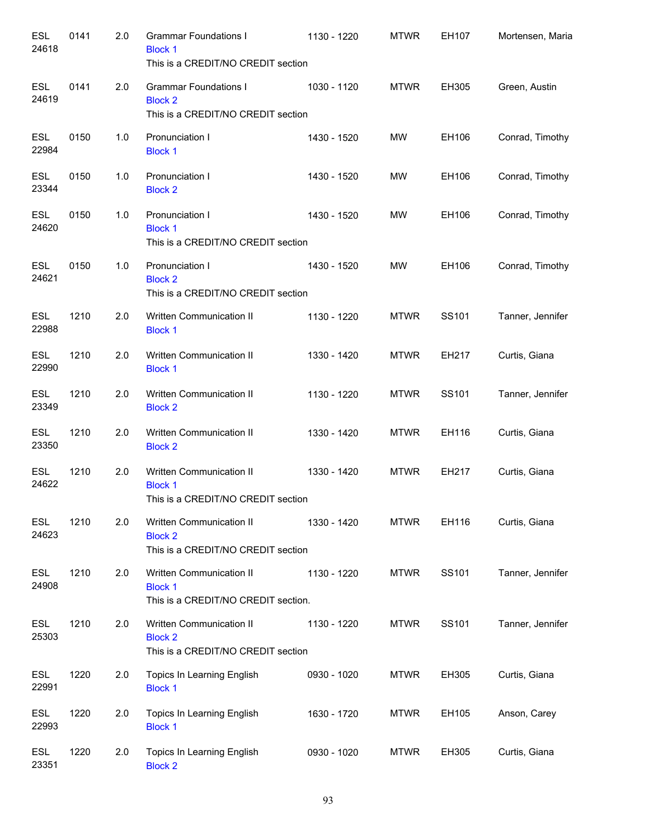| <b>ESL</b><br>24618 | 0141 | 2.0 | <b>Grammar Foundations I</b><br><b>Block 1</b><br>This is a CREDIT/NO CREDIT section | 1130 - 1220 | <b>MTWR</b> | EH107 | Mortensen, Maria |
|---------------------|------|-----|--------------------------------------------------------------------------------------|-------------|-------------|-------|------------------|
| <b>ESL</b><br>24619 | 0141 | 2.0 | <b>Grammar Foundations I</b><br><b>Block 2</b><br>This is a CREDIT/NO CREDIT section | 1030 - 1120 | <b>MTWR</b> | EH305 | Green, Austin    |
| <b>ESL</b><br>22984 | 0150 | 1.0 | Pronunciation I<br><b>Block 1</b>                                                    | 1430 - 1520 | MW          | EH106 | Conrad, Timothy  |
| <b>ESL</b><br>23344 | 0150 | 1.0 | Pronunciation I<br><b>Block 2</b>                                                    | 1430 - 1520 | <b>MW</b>   | EH106 | Conrad, Timothy  |
| <b>ESL</b><br>24620 | 0150 | 1.0 | Pronunciation I<br><b>Block 1</b><br>This is a CREDIT/NO CREDIT section              | 1430 - 1520 | <b>MW</b>   | EH106 | Conrad, Timothy  |
| <b>ESL</b><br>24621 | 0150 | 1.0 | Pronunciation I<br><b>Block 2</b><br>This is a CREDIT/NO CREDIT section              | 1430 - 1520 | MW          | EH106 | Conrad, Timothy  |
| <b>ESL</b><br>22988 | 1210 | 2.0 | Written Communication II<br><b>Block 1</b>                                           | 1130 - 1220 | <b>MTWR</b> | SS101 | Tanner, Jennifer |
| <b>ESL</b><br>22990 | 1210 | 2.0 | Written Communication II<br><b>Block 1</b>                                           | 1330 - 1420 | <b>MTWR</b> | EH217 | Curtis, Giana    |
| <b>ESL</b><br>23349 | 1210 | 2.0 | Written Communication II<br><b>Block 2</b>                                           | 1130 - 1220 | <b>MTWR</b> | SS101 | Tanner, Jennifer |
| <b>ESL</b><br>23350 | 1210 | 2.0 | Written Communication II<br><b>Block 2</b>                                           | 1330 - 1420 | <b>MTWR</b> | EH116 | Curtis, Giana    |
| <b>ESL</b><br>24622 | 1210 | 2.0 | Written Communication II<br><b>Block 1</b><br>This is a CREDIT/NO CREDIT section     | 1330 - 1420 | <b>MTWR</b> | EH217 | Curtis, Giana    |
| <b>ESL</b><br>24623 | 1210 | 2.0 | Written Communication II<br><b>Block 2</b><br>This is a CREDIT/NO CREDIT section     | 1330 - 1420 | <b>MTWR</b> | EH116 | Curtis, Giana    |
| <b>ESL</b><br>24908 | 1210 | 2.0 | Written Communication II<br><b>Block 1</b><br>This is a CREDIT/NO CREDIT section.    | 1130 - 1220 | <b>MTWR</b> | SS101 | Tanner, Jennifer |
| <b>ESL</b><br>25303 | 1210 | 2.0 | Written Communication II<br><b>Block 2</b><br>This is a CREDIT/NO CREDIT section     | 1130 - 1220 | <b>MTWR</b> | SS101 | Tanner, Jennifer |
| <b>ESL</b><br>22991 | 1220 | 2.0 | Topics In Learning English<br><b>Block 1</b>                                         | 0930 - 1020 | <b>MTWR</b> | EH305 | Curtis, Giana    |
| <b>ESL</b><br>22993 | 1220 | 2.0 | Topics In Learning English<br><b>Block 1</b>                                         | 1630 - 1720 | <b>MTWR</b> | EH105 | Anson, Carey     |
| <b>ESL</b><br>23351 | 1220 | 2.0 | Topics In Learning English<br><b>Block 2</b>                                         | 0930 - 1020 | <b>MTWR</b> | EH305 | Curtis, Giana    |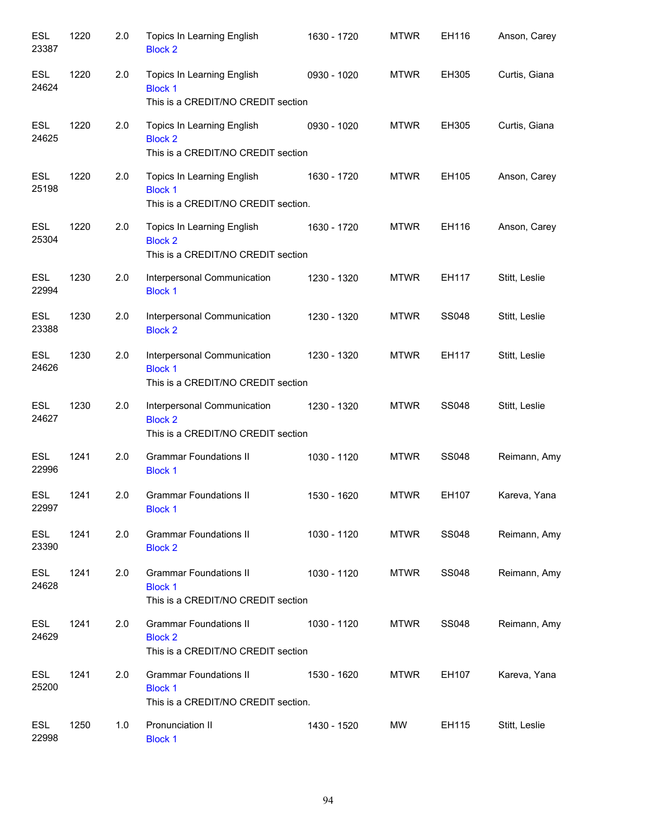| <b>ESL</b><br>23387 | 1220 | 2.0 | Topics In Learning English<br><b>Block 2</b>                                           | 1630 - 1720 | <b>MTWR</b> | EH116        | Anson, Carey  |
|---------------------|------|-----|----------------------------------------------------------------------------------------|-------------|-------------|--------------|---------------|
| <b>ESL</b><br>24624 | 1220 | 2.0 | Topics In Learning English<br><b>Block 1</b><br>This is a CREDIT/NO CREDIT section     | 0930 - 1020 | <b>MTWR</b> | EH305        | Curtis, Giana |
| ESL<br>24625        | 1220 | 2.0 | Topics In Learning English<br><b>Block 2</b><br>This is a CREDIT/NO CREDIT section     | 0930 - 1020 | <b>MTWR</b> | EH305        | Curtis, Giana |
| ESL<br>25198        | 1220 | 2.0 | Topics In Learning English<br><b>Block 1</b><br>This is a CREDIT/NO CREDIT section.    | 1630 - 1720 | <b>MTWR</b> | EH105        | Anson, Carey  |
| ESL<br>25304        | 1220 | 2.0 | Topics In Learning English<br><b>Block 2</b><br>This is a CREDIT/NO CREDIT section     | 1630 - 1720 | <b>MTWR</b> | EH116        | Anson, Carey  |
| ESL<br>22994        | 1230 | 2.0 | Interpersonal Communication<br><b>Block 1</b>                                          | 1230 - 1320 | <b>MTWR</b> | EH117        | Stitt, Leslie |
| <b>ESL</b><br>23388 | 1230 | 2.0 | Interpersonal Communication<br><b>Block 2</b>                                          | 1230 - 1320 | <b>MTWR</b> | <b>SS048</b> | Stitt, Leslie |
| <b>ESL</b><br>24626 | 1230 | 2.0 | Interpersonal Communication<br><b>Block 1</b><br>This is a CREDIT/NO CREDIT section    | 1230 - 1320 | <b>MTWR</b> | EH117        | Stitt, Leslie |
| <b>ESL</b><br>24627 | 1230 | 2.0 | Interpersonal Communication<br><b>Block 2</b><br>This is a CREDIT/NO CREDIT section    | 1230 - 1320 | <b>MTWR</b> | <b>SS048</b> | Stitt, Leslie |
| <b>ESL</b><br>22996 | 1241 | 2.0 | <b>Grammar Foundations II</b><br><b>Block 1</b>                                        | 1030 - 1120 | <b>MTWR</b> | <b>SS048</b> | Reimann, Amy  |
| ESL<br>22997        | 1241 | 2.0 | <b>Grammar Foundations II</b><br><b>Block 1</b>                                        | 1530 - 1620 | <b>MTWR</b> | EH107        | Kareva, Yana  |
| ESL<br>23390        | 1241 | 2.0 | <b>Grammar Foundations II</b><br><b>Block 2</b>                                        | 1030 - 1120 | <b>MTWR</b> | <b>SS048</b> | Reimann, Amy  |
| <b>ESL</b><br>24628 | 1241 | 2.0 | <b>Grammar Foundations II</b><br><b>Block 1</b><br>This is a CREDIT/NO CREDIT section  | 1030 - 1120 | <b>MTWR</b> | <b>SS048</b> | Reimann, Amy  |
| <b>ESL</b><br>24629 | 1241 | 2.0 | <b>Grammar Foundations II</b><br><b>Block 2</b><br>This is a CREDIT/NO CREDIT section  | 1030 - 1120 | <b>MTWR</b> | <b>SS048</b> | Reimann, Amy  |
| <b>ESL</b><br>25200 | 1241 | 2.0 | <b>Grammar Foundations II</b><br><b>Block 1</b><br>This is a CREDIT/NO CREDIT section. | 1530 - 1620 | <b>MTWR</b> | EH107        | Kareva, Yana  |
| ESL<br>22998        | 1250 | 1.0 | Pronunciation II<br><b>Block 1</b>                                                     | 1430 - 1520 | MW          | EH115        | Stitt, Leslie |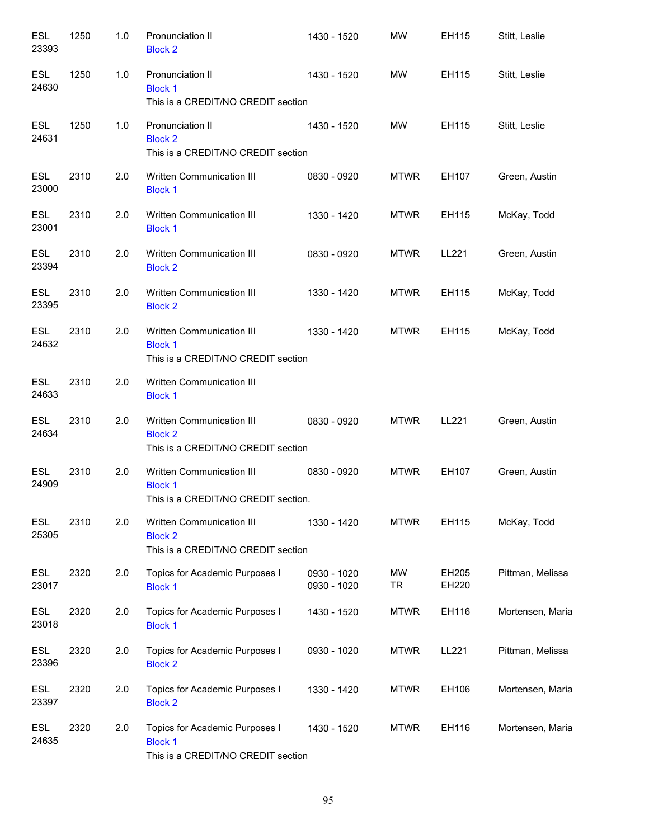| <b>ESL</b><br>23393 | 1250 | 1.0 | Pronunciation II<br><b>Block 2</b>                                                     | 1430 - 1520                | MW                     | EH115          | Stitt, Leslie    |
|---------------------|------|-----|----------------------------------------------------------------------------------------|----------------------------|------------------------|----------------|------------------|
| <b>ESL</b><br>24630 | 1250 | 1.0 | Pronunciation II<br><b>Block 1</b><br>This is a CREDIT/NO CREDIT section               | 1430 - 1520                | MW                     | EH115          | Stitt, Leslie    |
| <b>ESL</b><br>24631 | 1250 | 1.0 | Pronunciation II<br><b>Block 2</b><br>This is a CREDIT/NO CREDIT section               | 1430 - 1520                | MW                     | EH115          | Stitt, Leslie    |
| <b>ESL</b><br>23000 | 2310 | 2.0 | Written Communication III<br><b>Block 1</b>                                            | 0830 - 0920                | <b>MTWR</b>            | EH107          | Green, Austin    |
| <b>ESL</b><br>23001 | 2310 | 2.0 | Written Communication III<br><b>Block 1</b>                                            | 1330 - 1420                | <b>MTWR</b>            | EH115          | McKay, Todd      |
| <b>ESL</b><br>23394 | 2310 | 2.0 | Written Communication III<br><b>Block 2</b>                                            | 0830 - 0920                | <b>MTWR</b>            | LL221          | Green, Austin    |
| <b>ESL</b><br>23395 | 2310 | 2.0 | Written Communication III<br><b>Block 2</b>                                            | 1330 - 1420                | <b>MTWR</b>            | EH115          | McKay, Todd      |
| <b>ESL</b><br>24632 | 2310 | 2.0 | Written Communication III<br><b>Block 1</b><br>This is a CREDIT/NO CREDIT section      | 1330 - 1420                | <b>MTWR</b>            | EH115          | McKay, Todd      |
| <b>ESL</b><br>24633 | 2310 | 2.0 | Written Communication III<br><b>Block 1</b>                                            |                            |                        |                |                  |
| <b>ESL</b><br>24634 | 2310 | 2.0 | Written Communication III<br><b>Block 2</b><br>This is a CREDIT/NO CREDIT section      | 0830 - 0920                | <b>MTWR</b>            | LL221          | Green, Austin    |
| <b>ESL</b><br>24909 | 2310 | 2.0 | Written Communication III<br><b>Block 1</b><br>This is a CREDIT/NO CREDIT section.     | 0830 - 0920                | <b>MTWR</b>            | EH107          | Green, Austin    |
| <b>ESL</b><br>25305 | 2310 | 2.0 | Written Communication III<br><b>Block 2</b><br>This is a CREDIT/NO CREDIT section      | 1330 - 1420                | <b>MTWR</b>            | EH115          | McKay, Todd      |
| ESL<br>23017        | 2320 | 2.0 | Topics for Academic Purposes I<br><b>Block 1</b>                                       | 0930 - 1020<br>0930 - 1020 | <b>MW</b><br><b>TR</b> | EH205<br>EH220 | Pittman, Melissa |
| <b>ESL</b><br>23018 | 2320 | 2.0 | Topics for Academic Purposes I<br><b>Block 1</b>                                       | 1430 - 1520                | <b>MTWR</b>            | EH116          | Mortensen, Maria |
| <b>ESL</b><br>23396 | 2320 | 2.0 | Topics for Academic Purposes I<br><b>Block 2</b>                                       | 0930 - 1020                | <b>MTWR</b>            | LL221          | Pittman, Melissa |
| <b>ESL</b><br>23397 | 2320 | 2.0 | Topics for Academic Purposes I<br><b>Block 2</b>                                       | 1330 - 1420                | <b>MTWR</b>            | EH106          | Mortensen, Maria |
| <b>ESL</b><br>24635 | 2320 | 2.0 | Topics for Academic Purposes I<br><b>Block 1</b><br>This is a CREDIT/NO CREDIT section | 1430 - 1520                | <b>MTWR</b>            | EH116          | Mortensen, Maria |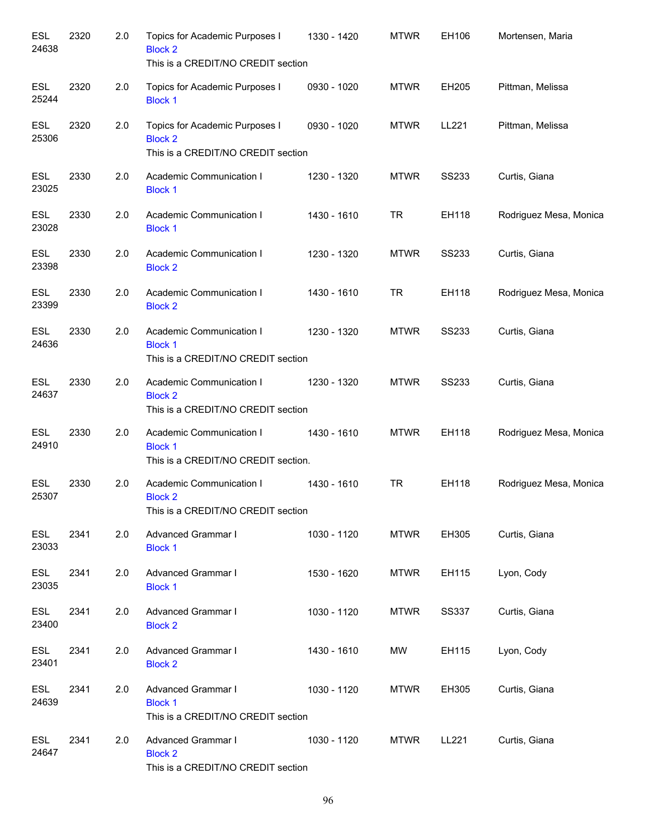| <b>ESL</b><br>24638 | 2320 | 2.0 | Topics for Academic Purposes I<br><b>Block 2</b><br>This is a CREDIT/NO CREDIT section | 1330 - 1420 | <b>MTWR</b> | EH106        | Mortensen, Maria       |
|---------------------|------|-----|----------------------------------------------------------------------------------------|-------------|-------------|--------------|------------------------|
| <b>ESL</b><br>25244 | 2320 | 2.0 | Topics for Academic Purposes I<br><b>Block 1</b>                                       | 0930 - 1020 | <b>MTWR</b> | EH205        | Pittman, Melissa       |
| <b>ESL</b><br>25306 | 2320 | 2.0 | Topics for Academic Purposes I<br><b>Block 2</b><br>This is a CREDIT/NO CREDIT section | 0930 - 1020 | <b>MTWR</b> | LL221        | Pittman, Melissa       |
| <b>ESL</b><br>23025 | 2330 | 2.0 | Academic Communication I<br><b>Block 1</b>                                             | 1230 - 1320 | <b>MTWR</b> | <b>SS233</b> | Curtis, Giana          |
| <b>ESL</b><br>23028 | 2330 | 2.0 | Academic Communication I<br><b>Block 1</b>                                             | 1430 - 1610 | <b>TR</b>   | EH118        | Rodriguez Mesa, Monica |
| <b>ESL</b><br>23398 | 2330 | 2.0 | Academic Communication I<br><b>Block 2</b>                                             | 1230 - 1320 | <b>MTWR</b> | <b>SS233</b> | Curtis, Giana          |
| <b>ESL</b><br>23399 | 2330 | 2.0 | Academic Communication I<br><b>Block 2</b>                                             | 1430 - 1610 | <b>TR</b>   | EH118        | Rodriguez Mesa, Monica |
| <b>ESL</b><br>24636 | 2330 | 2.0 | Academic Communication I<br><b>Block 1</b><br>This is a CREDIT/NO CREDIT section       | 1230 - 1320 | <b>MTWR</b> | <b>SS233</b> | Curtis, Giana          |
| <b>ESL</b><br>24637 | 2330 | 2.0 | Academic Communication I<br><b>Block 2</b><br>This is a CREDIT/NO CREDIT section       | 1230 - 1320 | <b>MTWR</b> | <b>SS233</b> | Curtis, Giana          |
| <b>ESL</b><br>24910 | 2330 | 2.0 | Academic Communication I<br><b>Block 1</b><br>This is a CREDIT/NO CREDIT section.      | 1430 - 1610 | <b>MTWR</b> | EH118        | Rodriguez Mesa, Monica |
| <b>ESL</b><br>25307 | 2330 | 2.0 | Academic Communication I<br><b>Block 2</b><br>This is a CREDIT/NO CREDIT section       | 1430 - 1610 | <b>TR</b>   | EH118        | Rodriguez Mesa, Monica |
| ESL<br>23033        | 2341 | 2.0 | Advanced Grammar I<br><b>Block 1</b>                                                   | 1030 - 1120 | <b>MTWR</b> | EH305        | Curtis, Giana          |
| <b>ESL</b><br>23035 | 2341 | 2.0 | Advanced Grammar I<br><b>Block 1</b>                                                   | 1530 - 1620 | <b>MTWR</b> | EH115        | Lyon, Cody             |
| ESL<br>23400        | 2341 | 2.0 | Advanced Grammar I<br><b>Block 2</b>                                                   | 1030 - 1120 | <b>MTWR</b> | <b>SS337</b> | Curtis, Giana          |
| <b>ESL</b><br>23401 | 2341 | 2.0 | <b>Advanced Grammar I</b><br><b>Block 2</b>                                            | 1430 - 1610 | MW          | EH115        | Lyon, Cody             |
| <b>ESL</b><br>24639 | 2341 | 2.0 | Advanced Grammar I<br><b>Block 1</b><br>This is a CREDIT/NO CREDIT section             | 1030 - 1120 | <b>MTWR</b> | EH305        | Curtis, Giana          |
| <b>ESL</b><br>24647 | 2341 | 2.0 | Advanced Grammar I<br><b>Block 2</b><br>This is a CREDIT/NO CREDIT section             | 1030 - 1120 | <b>MTWR</b> | LL221        | Curtis, Giana          |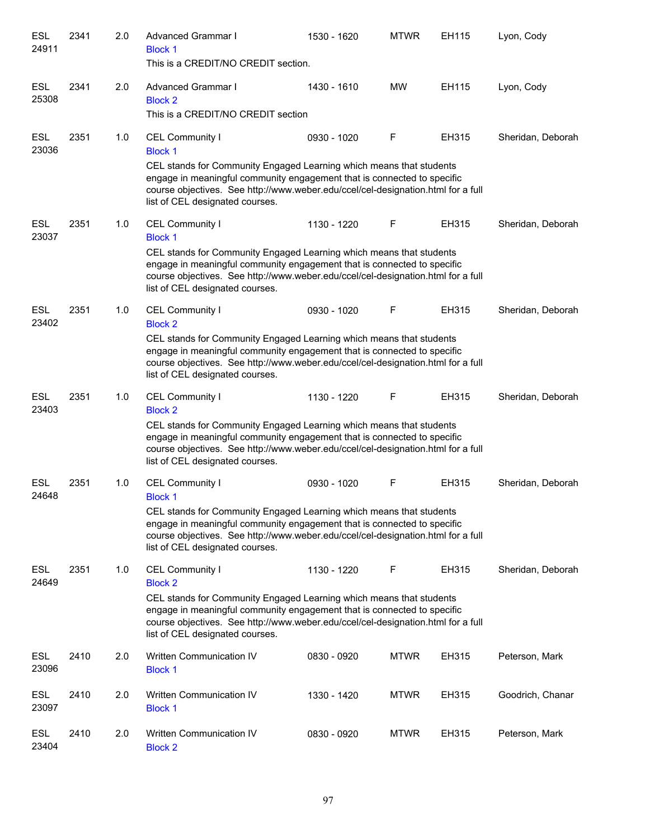| <b>ESL</b><br>24911 | 2341 | 2.0 | <b>Advanced Grammar I</b><br><b>Block 1</b><br>This is a CREDIT/NO CREDIT section.                                                                                                                                                                                                                         | 1530 - 1620 | <b>MTWR</b> | EH115 | Lyon, Cody        |
|---------------------|------|-----|------------------------------------------------------------------------------------------------------------------------------------------------------------------------------------------------------------------------------------------------------------------------------------------------------------|-------------|-------------|-------|-------------------|
| <b>ESL</b><br>25308 | 2341 | 2.0 | Advanced Grammar I<br><b>Block 2</b><br>This is a CREDIT/NO CREDIT section                                                                                                                                                                                                                                 | 1430 - 1610 | <b>MW</b>   | EH115 | Lyon, Cody        |
| ESL<br>23036        | 2351 | 1.0 | CEL Community I<br><b>Block 1</b><br>CEL stands for Community Engaged Learning which means that students<br>engage in meaningful community engagement that is connected to specific<br>course objectives. See http://www.weber.edu/ccel/cel-designation.html for a full<br>list of CEL designated courses. | 0930 - 1020 | F           | EH315 | Sheridan, Deborah |
| <b>ESL</b><br>23037 | 2351 | 1.0 | CEL Community I<br><b>Block 1</b><br>CEL stands for Community Engaged Learning which means that students<br>engage in meaningful community engagement that is connected to specific<br>course objectives. See http://www.weber.edu/ccel/cel-designation.html for a full<br>list of CEL designated courses. | 1130 - 1220 | F           | EH315 | Sheridan, Deborah |
| <b>ESL</b><br>23402 | 2351 | 1.0 | CEL Community I<br><b>Block 2</b><br>CEL stands for Community Engaged Learning which means that students<br>engage in meaningful community engagement that is connected to specific<br>course objectives. See http://www.weber.edu/ccel/cel-designation.html for a full<br>list of CEL designated courses. | 0930 - 1020 | F           | EH315 | Sheridan, Deborah |
| <b>ESL</b><br>23403 | 2351 | 1.0 | CEL Community I<br><b>Block 2</b><br>CEL stands for Community Engaged Learning which means that students<br>engage in meaningful community engagement that is connected to specific<br>course objectives. See http://www.weber.edu/ccel/cel-designation.html for a full<br>list of CEL designated courses. | 1130 - 1220 | F           | EH315 | Sheridan, Deborah |
| <b>ESL</b><br>24648 | 2351 | 1.0 | CEL Community I<br><b>Block 1</b><br>CEL stands for Community Engaged Learning which means that students<br>engage in meaningful community engagement that is connected to specific<br>course objectives. See http://www.weber.edu/ccel/cel-designation.html for a full<br>list of CEL designated courses. | 0930 - 1020 | F           | EH315 | Sheridan, Deborah |
| ESL<br>24649        | 2351 | 1.0 | CEL Community I<br><b>Block 2</b><br>CEL stands for Community Engaged Learning which means that students<br>engage in meaningful community engagement that is connected to specific<br>course objectives. See http://www.weber.edu/ccel/cel-designation.html for a full<br>list of CEL designated courses. | 1130 - 1220 | F           | EH315 | Sheridan, Deborah |
| <b>ESL</b><br>23096 | 2410 | 2.0 | Written Communication IV<br><b>Block 1</b>                                                                                                                                                                                                                                                                 | 0830 - 0920 | <b>MTWR</b> | EH315 | Peterson, Mark    |
| ESL<br>23097        | 2410 | 2.0 | Written Communication IV<br><b>Block 1</b>                                                                                                                                                                                                                                                                 | 1330 - 1420 | <b>MTWR</b> | EH315 | Goodrich, Chanar  |
| ESL<br>23404        | 2410 | 2.0 | Written Communication IV<br><b>Block 2</b>                                                                                                                                                                                                                                                                 | 0830 - 0920 | <b>MTWR</b> | EH315 | Peterson, Mark    |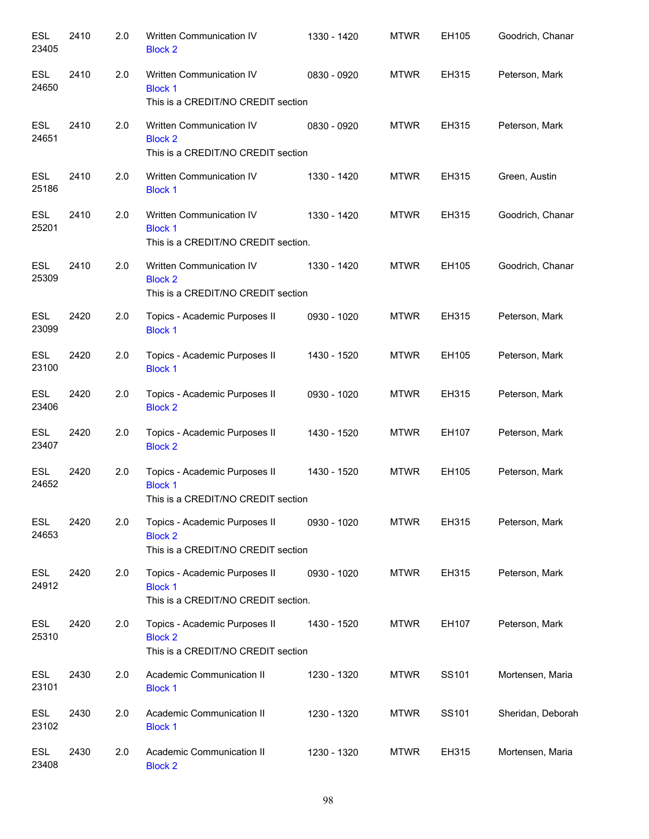| <b>ESL</b><br>23405 | 2410 | 2.0 | <b>Written Communication IV</b><br><b>Block 2</b>                                      | 1330 - 1420 | <b>MTWR</b> | EH105 | Goodrich, Chanar  |
|---------------------|------|-----|----------------------------------------------------------------------------------------|-------------|-------------|-------|-------------------|
| <b>ESL</b><br>24650 | 2410 | 2.0 | Written Communication IV<br><b>Block 1</b><br>This is a CREDIT/NO CREDIT section       | 0830 - 0920 | <b>MTWR</b> | EH315 | Peterson, Mark    |
| <b>ESL</b><br>24651 | 2410 | 2.0 | Written Communication IV<br><b>Block 2</b><br>This is a CREDIT/NO CREDIT section       | 0830 - 0920 | <b>MTWR</b> | EH315 | Peterson, Mark    |
| <b>ESL</b><br>25186 | 2410 | 2.0 | Written Communication IV<br><b>Block 1</b>                                             | 1330 - 1420 | <b>MTWR</b> | EH315 | Green, Austin     |
| <b>ESL</b><br>25201 | 2410 | 2.0 | Written Communication IV<br><b>Block 1</b><br>This is a CREDIT/NO CREDIT section.      | 1330 - 1420 | <b>MTWR</b> | EH315 | Goodrich, Chanar  |
| <b>ESL</b><br>25309 | 2410 | 2.0 | Written Communication IV<br><b>Block 2</b><br>This is a CREDIT/NO CREDIT section       | 1330 - 1420 | <b>MTWR</b> | EH105 | Goodrich, Chanar  |
| <b>ESL</b><br>23099 | 2420 | 2.0 | Topics - Academic Purposes II<br><b>Block 1</b>                                        | 0930 - 1020 | <b>MTWR</b> | EH315 | Peterson, Mark    |
| <b>ESL</b><br>23100 | 2420 | 2.0 | Topics - Academic Purposes II<br><b>Block 1</b>                                        | 1430 - 1520 | <b>MTWR</b> | EH105 | Peterson, Mark    |
| <b>ESL</b><br>23406 | 2420 | 2.0 | Topics - Academic Purposes II<br><b>Block 2</b>                                        | 0930 - 1020 | <b>MTWR</b> | EH315 | Peterson, Mark    |
| <b>ESL</b><br>23407 | 2420 | 2.0 | Topics - Academic Purposes II<br><b>Block 2</b>                                        | 1430 - 1520 | <b>MTWR</b> | EH107 | Peterson, Mark    |
| <b>ESL</b><br>24652 | 2420 | 2.0 | Topics - Academic Purposes II<br><b>Block 1</b><br>This is a CREDIT/NO CREDIT section  | 1430 - 1520 | <b>MTWR</b> | EH105 | Peterson, Mark    |
| <b>ESL</b><br>24653 | 2420 | 2.0 | Topics - Academic Purposes II<br><b>Block 2</b><br>This is a CREDIT/NO CREDIT section  | 0930 - 1020 | <b>MTWR</b> | EH315 | Peterson, Mark    |
| <b>ESL</b><br>24912 | 2420 | 2.0 | Topics - Academic Purposes II<br><b>Block 1</b><br>This is a CREDIT/NO CREDIT section. | 0930 - 1020 | <b>MTWR</b> | EH315 | Peterson, Mark    |
| <b>ESL</b><br>25310 | 2420 | 2.0 | Topics - Academic Purposes II<br><b>Block 2</b><br>This is a CREDIT/NO CREDIT section  | 1430 - 1520 | <b>MTWR</b> | EH107 | Peterson, Mark    |
| <b>ESL</b><br>23101 | 2430 | 2.0 | Academic Communication II<br><b>Block 1</b>                                            | 1230 - 1320 | <b>MTWR</b> | SS101 | Mortensen, Maria  |
| <b>ESL</b><br>23102 | 2430 | 2.0 | Academic Communication II<br><b>Block 1</b>                                            | 1230 - 1320 | <b>MTWR</b> | SS101 | Sheridan, Deborah |
| <b>ESL</b><br>23408 | 2430 | 2.0 | Academic Communication II<br><b>Block 2</b>                                            | 1230 - 1320 | <b>MTWR</b> | EH315 | Mortensen, Maria  |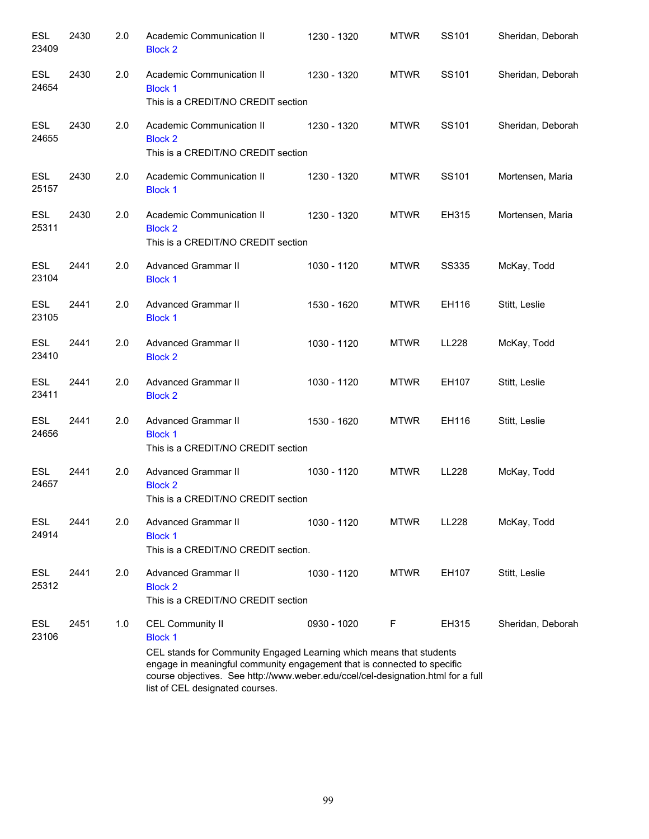| <b>ESL</b><br>23409 | 2430 | 2.0 | Academic Communication II<br><b>Block 2</b>                                                                                                                                                                                                                                                                        | 1230 - 1320 | <b>MTWR</b> | SS101        | Sheridan, Deborah |
|---------------------|------|-----|--------------------------------------------------------------------------------------------------------------------------------------------------------------------------------------------------------------------------------------------------------------------------------------------------------------------|-------------|-------------|--------------|-------------------|
| <b>ESL</b><br>24654 | 2430 | 2.0 | Academic Communication II<br><b>Block 1</b><br>This is a CREDIT/NO CREDIT section                                                                                                                                                                                                                                  | 1230 - 1320 | <b>MTWR</b> | SS101        | Sheridan, Deborah |
| <b>ESL</b><br>24655 | 2430 | 2.0 | Academic Communication II<br><b>Block 2</b><br>This is a CREDIT/NO CREDIT section                                                                                                                                                                                                                                  | 1230 - 1320 | <b>MTWR</b> | SS101        | Sheridan, Deborah |
| <b>ESL</b><br>25157 | 2430 | 2.0 | Academic Communication II<br><b>Block 1</b>                                                                                                                                                                                                                                                                        | 1230 - 1320 | <b>MTWR</b> | SS101        | Mortensen, Maria  |
| <b>ESL</b><br>25311 | 2430 | 2.0 | Academic Communication II<br><b>Block 2</b><br>This is a CREDIT/NO CREDIT section                                                                                                                                                                                                                                  | 1230 - 1320 | <b>MTWR</b> | EH315        | Mortensen, Maria  |
| <b>ESL</b><br>23104 | 2441 | 2.0 | <b>Advanced Grammar II</b><br><b>Block 1</b>                                                                                                                                                                                                                                                                       | 1030 - 1120 | <b>MTWR</b> | <b>SS335</b> | McKay, Todd       |
| ESL<br>23105        | 2441 | 2.0 | <b>Advanced Grammar II</b><br><b>Block 1</b>                                                                                                                                                                                                                                                                       | 1530 - 1620 | <b>MTWR</b> | EH116        | Stitt, Leslie     |
| <b>ESL</b><br>23410 | 2441 | 2.0 | <b>Advanced Grammar II</b><br><b>Block 2</b>                                                                                                                                                                                                                                                                       | 1030 - 1120 | <b>MTWR</b> | <b>LL228</b> | McKay, Todd       |
| <b>ESL</b><br>23411 | 2441 | 2.0 | <b>Advanced Grammar II</b><br><b>Block 2</b>                                                                                                                                                                                                                                                                       | 1030 - 1120 | <b>MTWR</b> | EH107        | Stitt, Leslie     |
| <b>ESL</b><br>24656 | 2441 | 2.0 | <b>Advanced Grammar II</b><br><b>Block 1</b><br>This is a CREDIT/NO CREDIT section                                                                                                                                                                                                                                 | 1530 - 1620 | <b>MTWR</b> | EH116        | Stitt, Leslie     |
| <b>ESL</b><br>24657 | 2441 | 2.0 | <b>Advanced Grammar II</b><br><b>Block 2</b><br>This is a CREDIT/NO CREDIT section                                                                                                                                                                                                                                 | 1030 - 1120 | <b>MTWR</b> | LL228        | McKay, Todd       |
| <b>ESL</b><br>24914 | 2441 | 2.0 | <b>Advanced Grammar II</b><br><b>Block 1</b><br>This is a CREDIT/NO CREDIT section.                                                                                                                                                                                                                                | 1030 - 1120 | <b>MTWR</b> | <b>LL228</b> | McKay, Todd       |
| <b>ESL</b><br>25312 | 2441 | 2.0 | <b>Advanced Grammar II</b><br><b>Block 2</b><br>This is a CREDIT/NO CREDIT section                                                                                                                                                                                                                                 | 1030 - 1120 | <b>MTWR</b> | EH107        | Stitt, Leslie     |
| <b>ESL</b><br>23106 | 2451 | 1.0 | <b>CEL Community II</b><br><b>Block 1</b><br>CEL stands for Community Engaged Learning which means that students<br>engage in meaningful community engagement that is connected to specific<br>course objectives. See http://www.weber.edu/ccel/cel-designation.html for a full<br>list of CEL designated courses. | 0930 - 1020 | F           | EH315        | Sheridan, Deborah |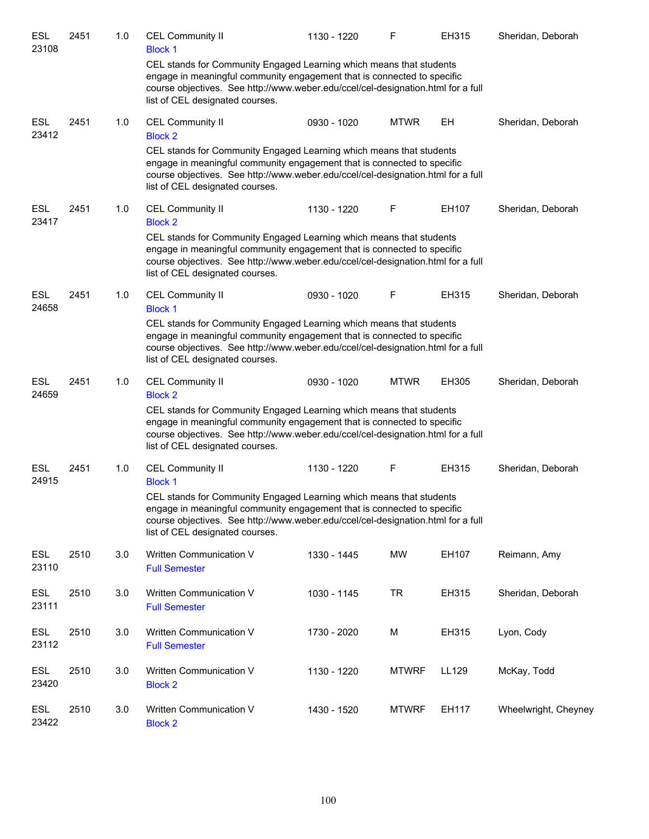| ESL<br>23108        | 2451 | 1.0 | <b>CEL Community II</b><br><b>Block 1</b>                                                                                                                                                                                                                             | 1130 - 1220 | F            | EH315 | Sheridan, Deborah    |
|---------------------|------|-----|-----------------------------------------------------------------------------------------------------------------------------------------------------------------------------------------------------------------------------------------------------------------------|-------------|--------------|-------|----------------------|
|                     |      |     | CEL stands for Community Engaged Learning which means that students<br>engage in meaningful community engagement that is connected to specific<br>course objectives. See http://www.weber.edu/ccel/cel-designation.html for a full<br>list of CEL designated courses. |             |              |       |                      |
| <b>ESL</b><br>23412 | 2451 | 1.0 | <b>CEL Community II</b><br><b>Block 2</b>                                                                                                                                                                                                                             | 0930 - 1020 | <b>MTWR</b>  | EH    | Sheridan, Deborah    |
|                     |      |     | CEL stands for Community Engaged Learning which means that students<br>engage in meaningful community engagement that is connected to specific<br>course objectives. See http://www.weber.edu/ccel/cel-designation.html for a full<br>list of CEL designated courses. |             |              |       |                      |
| ESL<br>23417        | 2451 | 1.0 | <b>CEL Community II</b><br><b>Block 2</b>                                                                                                                                                                                                                             | 1130 - 1220 | F            | EH107 | Sheridan, Deborah    |
|                     |      |     | CEL stands for Community Engaged Learning which means that students<br>engage in meaningful community engagement that is connected to specific<br>course objectives. See http://www.weber.edu/ccel/cel-designation.html for a full<br>list of CEL designated courses. |             |              |       |                      |
| <b>ESL</b><br>24658 | 2451 | 1.0 | <b>CEL Community II</b><br><b>Block 1</b>                                                                                                                                                                                                                             | 0930 - 1020 | F            | EH315 | Sheridan, Deborah    |
|                     |      |     | CEL stands for Community Engaged Learning which means that students<br>engage in meaningful community engagement that is connected to specific<br>course objectives. See http://www.weber.edu/ccel/cel-designation.html for a full<br>list of CEL designated courses. |             |              |       |                      |
| <b>ESL</b><br>24659 | 2451 | 1.0 | <b>CEL Community II</b><br><b>Block 2</b>                                                                                                                                                                                                                             | 0930 - 1020 | <b>MTWR</b>  | EH305 | Sheridan, Deborah    |
|                     |      |     | CEL stands for Community Engaged Learning which means that students<br>engage in meaningful community engagement that is connected to specific<br>course objectives. See http://www.weber.edu/ccel/cel-designation.html for a full<br>list of CEL designated courses. |             |              |       |                      |
| <b>ESL</b><br>24915 | 2451 | 1.0 | <b>CEL Community II</b><br><b>Block 1</b>                                                                                                                                                                                                                             | 1130 - 1220 | F            | EH315 | Sheridan, Deborah    |
|                     |      |     | CEL stands for Community Engaged Learning which means that students<br>engage in meaningful community engagement that is connected to specific<br>course objectives. See http://www.weber.edu/ccel/cel-designation.html for a full<br>list of CEL designated courses. |             |              |       |                      |
| <b>ESL</b><br>23110 | 2510 | 3.0 | Written Communication V<br><b>Full Semester</b>                                                                                                                                                                                                                       | 1330 - 1445 | <b>MW</b>    | EH107 | Reimann, Amy         |
| <b>ESL</b><br>23111 | 2510 | 3.0 | Written Communication V<br><b>Full Semester</b>                                                                                                                                                                                                                       | 1030 - 1145 | <b>TR</b>    | EH315 | Sheridan, Deborah    |
| <b>ESL</b><br>23112 | 2510 | 3.0 | Written Communication V<br><b>Full Semester</b>                                                                                                                                                                                                                       | 1730 - 2020 | М            | EH315 | Lyon, Cody           |
| <b>ESL</b><br>23420 | 2510 | 3.0 | Written Communication V<br><b>Block 2</b>                                                                                                                                                                                                                             | 1130 - 1220 | <b>MTWRF</b> | LL129 | McKay, Todd          |
| <b>ESL</b><br>23422 | 2510 | 3.0 | Written Communication V<br><b>Block 2</b>                                                                                                                                                                                                                             | 1430 - 1520 | <b>MTWRF</b> | EH117 | Wheelwright, Cheyney |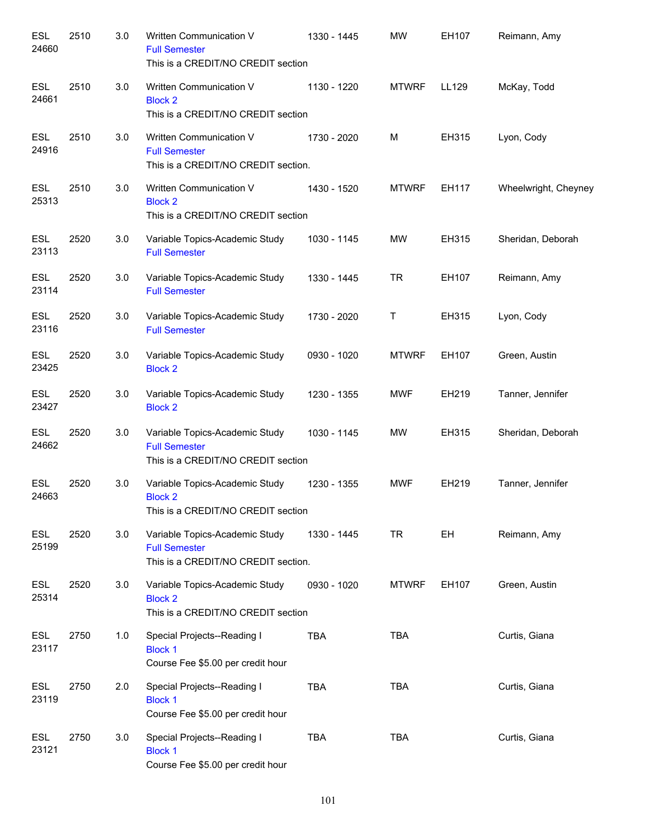| <b>ESL</b><br>24660 | 2510 | 3.0 | Written Communication V<br><b>Full Semester</b><br>This is a CREDIT/NO CREDIT section         | 1330 - 1445 | <b>MW</b>    | EH107 | Reimann, Amy         |
|---------------------|------|-----|-----------------------------------------------------------------------------------------------|-------------|--------------|-------|----------------------|
| <b>ESL</b><br>24661 | 2510 | 3.0 | Written Communication V<br><b>Block 2</b><br>This is a CREDIT/NO CREDIT section               | 1130 - 1220 | <b>MTWRF</b> | LL129 | McKay, Todd          |
| <b>ESL</b><br>24916 | 2510 | 3.0 | Written Communication V<br><b>Full Semester</b><br>This is a CREDIT/NO CREDIT section.        | 1730 - 2020 | M            | EH315 | Lyon, Cody           |
| <b>ESL</b><br>25313 | 2510 | 3.0 | Written Communication V<br><b>Block 2</b><br>This is a CREDIT/NO CREDIT section               | 1430 - 1520 | <b>MTWRF</b> | EH117 | Wheelwright, Cheyney |
| <b>ESL</b><br>23113 | 2520 | 3.0 | Variable Topics-Academic Study<br><b>Full Semester</b>                                        | 1030 - 1145 | MW           | EH315 | Sheridan, Deborah    |
| <b>ESL</b><br>23114 | 2520 | 3.0 | Variable Topics-Academic Study<br><b>Full Semester</b>                                        | 1330 - 1445 | <b>TR</b>    | EH107 | Reimann, Amy         |
| <b>ESL</b><br>23116 | 2520 | 3.0 | Variable Topics-Academic Study<br><b>Full Semester</b>                                        | 1730 - 2020 | Т            | EH315 | Lyon, Cody           |
| <b>ESL</b><br>23425 | 2520 | 3.0 | Variable Topics-Academic Study<br><b>Block 2</b>                                              | 0930 - 1020 | <b>MTWRF</b> | EH107 | Green, Austin        |
| <b>ESL</b><br>23427 | 2520 | 3.0 | Variable Topics-Academic Study<br><b>Block 2</b>                                              | 1230 - 1355 | <b>MWF</b>   | EH219 | Tanner, Jennifer     |
| <b>ESL</b><br>24662 | 2520 | 3.0 | Variable Topics-Academic Study<br><b>Full Semester</b><br>This is a CREDIT/NO CREDIT section  | 1030 - 1145 | <b>MW</b>    | EH315 | Sheridan, Deborah    |
| <b>ESL</b><br>24663 | 2520 | 3.0 | Variable Topics-Academic Study<br><b>Block 2</b><br>This is a CREDIT/NO CREDIT section        | 1230 - 1355 | <b>MWF</b>   | EH219 | Tanner, Jennifer     |
| <b>ESL</b><br>25199 | 2520 | 3.0 | Variable Topics-Academic Study<br><b>Full Semester</b><br>This is a CREDIT/NO CREDIT section. | 1330 - 1445 | <b>TR</b>    | EH    | Reimann, Amy         |
| <b>ESL</b><br>25314 | 2520 | 3.0 | Variable Topics-Academic Study<br><b>Block 2</b><br>This is a CREDIT/NO CREDIT section        | 0930 - 1020 | <b>MTWRF</b> | EH107 | Green, Austin        |
| <b>ESL</b><br>23117 | 2750 | 1.0 | Special Projects--Reading I<br><b>Block 1</b><br>Course Fee \$5.00 per credit hour            | <b>TBA</b>  | <b>TBA</b>   |       | Curtis, Giana        |
| <b>ESL</b><br>23119 | 2750 | 2.0 | Special Projects--Reading I<br><b>Block 1</b><br>Course Fee \$5.00 per credit hour            | <b>TBA</b>  | <b>TBA</b>   |       | Curtis, Giana        |
| <b>ESL</b><br>23121 | 2750 | 3.0 | Special Projects--Reading I<br><b>Block 1</b><br>Course Fee \$5.00 per credit hour            | <b>TBA</b>  | <b>TBA</b>   |       | Curtis, Giana        |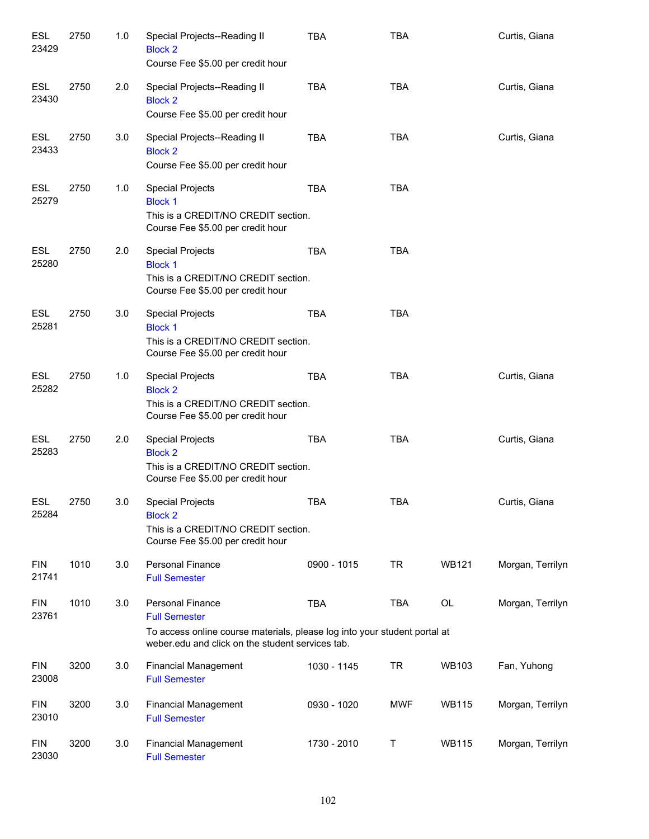| <b>ESL</b><br>23429 | 2750 | 1.0 | Special Projects--Reading II<br><b>Block 2</b><br>Course Fee \$5.00 per credit hour                                                                                              | <b>TBA</b>  | <b>TBA</b> |              | Curtis, Giana    |
|---------------------|------|-----|----------------------------------------------------------------------------------------------------------------------------------------------------------------------------------|-------------|------------|--------------|------------------|
| ESL<br>23430        | 2750 | 2.0 | Special Projects--Reading II<br><b>Block 2</b><br>Course Fee \$5.00 per credit hour                                                                                              | <b>TBA</b>  | <b>TBA</b> |              | Curtis, Giana    |
| ESL<br>23433        | 2750 | 3.0 | Special Projects--Reading II<br><b>Block 2</b><br>Course Fee \$5.00 per credit hour                                                                                              | <b>TBA</b>  | <b>TBA</b> |              | Curtis, Giana    |
| ESL<br>25279        | 2750 | 1.0 | <b>Special Projects</b><br><b>Block 1</b><br>This is a CREDIT/NO CREDIT section.<br>Course Fee \$5.00 per credit hour                                                            | <b>TBA</b>  | <b>TBA</b> |              |                  |
| <b>ESL</b><br>25280 | 2750 | 2.0 | <b>Special Projects</b><br><b>Block 1</b><br>This is a CREDIT/NO CREDIT section.<br>Course Fee \$5.00 per credit hour                                                            | <b>TBA</b>  | <b>TBA</b> |              |                  |
| <b>ESL</b><br>25281 | 2750 | 3.0 | <b>Special Projects</b><br><b>Block 1</b><br>This is a CREDIT/NO CREDIT section.<br>Course Fee \$5.00 per credit hour                                                            | <b>TBA</b>  | <b>TBA</b> |              |                  |
| <b>ESL</b><br>25282 | 2750 | 1.0 | <b>Special Projects</b><br><b>Block 2</b><br>This is a CREDIT/NO CREDIT section.<br>Course Fee \$5.00 per credit hour                                                            | <b>TBA</b>  | <b>TBA</b> |              | Curtis, Giana    |
| <b>ESL</b><br>25283 | 2750 | 2.0 | <b>Special Projects</b><br><b>Block 2</b><br>This is a CREDIT/NO CREDIT section.<br>Course Fee \$5.00 per credit hour                                                            | <b>TBA</b>  | <b>TBA</b> |              | Curtis, Giana    |
| ESL<br>25284        | 2750 | 3.0 | Special Projects<br><b>Block 2</b><br>This is a CREDIT/NO CREDIT section.<br>Course Fee \$5.00 per credit hour                                                                   | TBA         | TBA        |              | Curtis, Giana    |
| <b>FIN</b><br>21741 | 1010 | 3.0 | Personal Finance<br><b>Full Semester</b>                                                                                                                                         | 0900 - 1015 | <b>TR</b>  | <b>WB121</b> | Morgan, Terrilyn |
| <b>FIN</b><br>23761 | 1010 | 3.0 | <b>Personal Finance</b><br><b>Full Semester</b><br>To access online course materials, please log into your student portal at<br>weber.edu and click on the student services tab. | <b>TBA</b>  | <b>TBA</b> | OL           | Morgan, Terrilyn |
| <b>FIN</b><br>23008 | 3200 | 3.0 | <b>Financial Management</b><br><b>Full Semester</b>                                                                                                                              | 1030 - 1145 | TR         | WB103        | Fan, Yuhong      |
| <b>FIN</b><br>23010 | 3200 | 3.0 | <b>Financial Management</b><br><b>Full Semester</b>                                                                                                                              | 0930 - 1020 | <b>MWF</b> | <b>WB115</b> | Morgan, Terrilyn |
| <b>FIN</b><br>23030 | 3200 | 3.0 | <b>Financial Management</b><br><b>Full Semester</b>                                                                                                                              | 1730 - 2010 | Т          | <b>WB115</b> | Morgan, Terrilyn |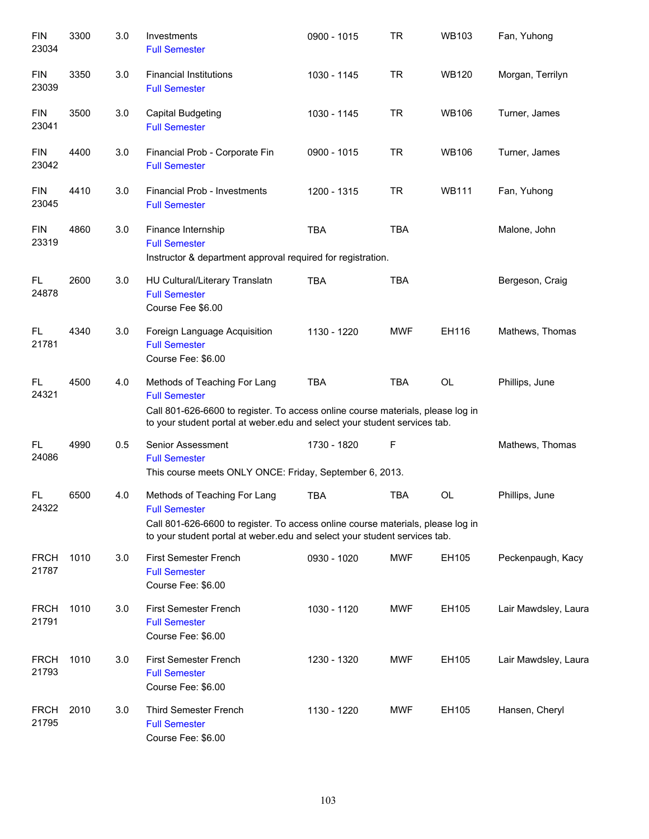| <b>FIN</b><br>23034  | 3300 | 3.0 | Investments<br><b>Full Semester</b>                                                                                                                                                                                  | 0900 - 1015 | <b>TR</b>  | <b>WB103</b> | Fan, Yuhong          |
|----------------------|------|-----|----------------------------------------------------------------------------------------------------------------------------------------------------------------------------------------------------------------------|-------------|------------|--------------|----------------------|
| <b>FIN</b><br>23039  | 3350 | 3.0 | <b>Financial Institutions</b><br><b>Full Semester</b>                                                                                                                                                                | 1030 - 1145 | <b>TR</b>  | <b>WB120</b> | Morgan, Terrilyn     |
| <b>FIN</b><br>23041  | 3500 | 3.0 | Capital Budgeting<br><b>Full Semester</b>                                                                                                                                                                            | 1030 - 1145 | <b>TR</b>  | <b>WB106</b> | Turner, James        |
| <b>FIN</b><br>23042  | 4400 | 3.0 | Financial Prob - Corporate Fin<br><b>Full Semester</b>                                                                                                                                                               | 0900 - 1015 | <b>TR</b>  | <b>WB106</b> | Turner, James        |
| <b>FIN</b><br>23045  | 4410 | 3.0 | Financial Prob - Investments<br><b>Full Semester</b>                                                                                                                                                                 | 1200 - 1315 | <b>TR</b>  | <b>WB111</b> | Fan, Yuhong          |
| <b>FIN</b><br>23319  | 4860 | 3.0 | Finance Internship<br><b>Full Semester</b><br>Instructor & department approval required for registration.                                                                                                            | <b>TBA</b>  | <b>TBA</b> |              | Malone, John         |
| FL.<br>24878         | 2600 | 3.0 | HU Cultural/Literary Translatn<br><b>Full Semester</b><br>Course Fee \$6.00                                                                                                                                          | <b>TBA</b>  | <b>TBA</b> |              | Bergeson, Craig      |
| FL.<br>21781         | 4340 | 3.0 | Foreign Language Acquisition<br><b>Full Semester</b><br>Course Fee: \$6.00                                                                                                                                           | 1130 - 1220 | <b>MWF</b> | EH116        | Mathews, Thomas      |
| FL<br>24321          | 4500 | 4.0 | Methods of Teaching For Lang<br><b>Full Semester</b><br>Call 801-626-6600 to register. To access online course materials, please log in<br>to your student portal at weber edu and select your student services tab. | <b>TBA</b>  | <b>TBA</b> | OL           | Phillips, June       |
| FL.<br>24086         | 4990 | 0.5 | Senior Assessment<br><b>Full Semester</b><br>This course meets ONLY ONCE: Friday, September 6, 2013.                                                                                                                 | 1730 - 1820 | F          |              | Mathews, Thomas      |
| FL.<br>24322         | 6500 | 4.0 | Methods of Teaching For Lang<br><b>Full Semester</b><br>Call 801-626-6600 to register. To access online course materials, please log in<br>to your student portal at weber edu and select your student services tab. | <b>TBA</b>  | <b>TBA</b> | <b>OL</b>    | Phillips, June       |
| <b>FRCH</b><br>21787 | 1010 | 3.0 | <b>First Semester French</b><br><b>Full Semester</b><br>Course Fee: \$6.00                                                                                                                                           | 0930 - 1020 | <b>MWF</b> | EH105        | Peckenpaugh, Kacy    |
| <b>FRCH</b><br>21791 | 1010 | 3.0 | <b>First Semester French</b><br><b>Full Semester</b><br>Course Fee: \$6.00                                                                                                                                           | 1030 - 1120 | <b>MWF</b> | EH105        | Lair Mawdsley, Laura |
| <b>FRCH</b><br>21793 | 1010 | 3.0 | <b>First Semester French</b><br><b>Full Semester</b><br>Course Fee: \$6.00                                                                                                                                           | 1230 - 1320 | <b>MWF</b> | EH105        | Lair Mawdsley, Laura |
| <b>FRCH</b><br>21795 | 2010 | 3.0 | <b>Third Semester French</b><br><b>Full Semester</b><br>Course Fee: \$6.00                                                                                                                                           | 1130 - 1220 | <b>MWF</b> | EH105        | Hansen, Cheryl       |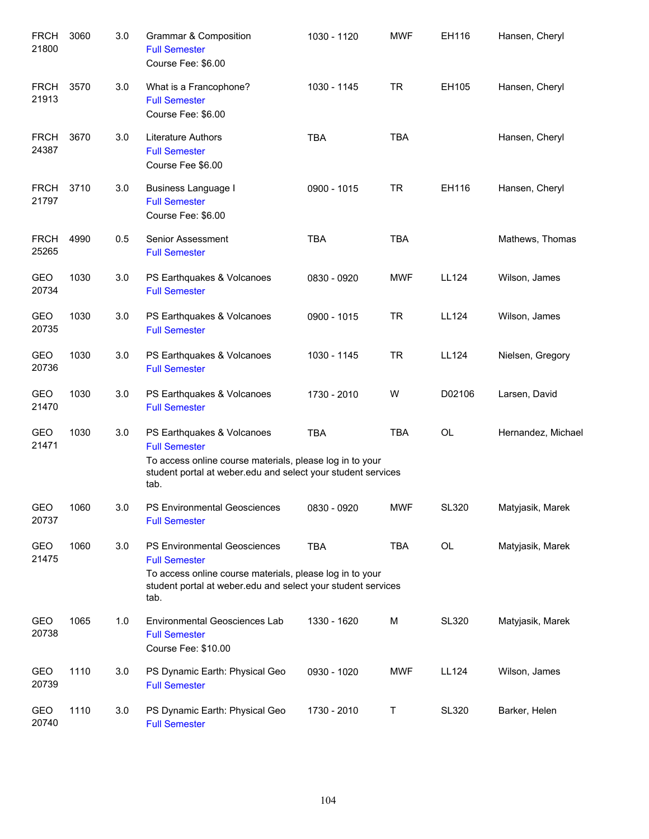| <b>FRCH</b><br>21800 | 3060 | 3.0 | Grammar & Composition<br><b>Full Semester</b><br>Course Fee: \$6.00                                                                                                                             | 1030 - 1120 | <b>MWF</b> | EH116        | Hansen, Cheryl     |
|----------------------|------|-----|-------------------------------------------------------------------------------------------------------------------------------------------------------------------------------------------------|-------------|------------|--------------|--------------------|
| <b>FRCH</b><br>21913 | 3570 | 3.0 | What is a Francophone?<br><b>Full Semester</b><br>Course Fee: \$6.00                                                                                                                            | 1030 - 1145 | <b>TR</b>  | EH105        | Hansen, Cheryl     |
| <b>FRCH</b><br>24387 | 3670 | 3.0 | <b>Literature Authors</b><br><b>Full Semester</b><br>Course Fee \$6.00                                                                                                                          | <b>TBA</b>  | <b>TBA</b> |              | Hansen, Cheryl     |
| <b>FRCH</b><br>21797 | 3710 | 3.0 | <b>Business Language I</b><br><b>Full Semester</b><br>Course Fee: \$6.00                                                                                                                        | 0900 - 1015 | <b>TR</b>  | EH116        | Hansen, Cheryl     |
| <b>FRCH</b><br>25265 | 4990 | 0.5 | Senior Assessment<br><b>Full Semester</b>                                                                                                                                                       | <b>TBA</b>  | <b>TBA</b> |              | Mathews, Thomas    |
| GEO<br>20734         | 1030 | 3.0 | PS Earthquakes & Volcanoes<br><b>Full Semester</b>                                                                                                                                              | 0830 - 0920 | <b>MWF</b> | LL124        | Wilson, James      |
| <b>GEO</b><br>20735  | 1030 | 3.0 | PS Earthquakes & Volcanoes<br><b>Full Semester</b>                                                                                                                                              | 0900 - 1015 | <b>TR</b>  | LL124        | Wilson, James      |
| GEO<br>20736         | 1030 | 3.0 | PS Earthquakes & Volcanoes<br><b>Full Semester</b>                                                                                                                                              | 1030 - 1145 | <b>TR</b>  | LL124        | Nielsen, Gregory   |
| GEO<br>21470         | 1030 | 3.0 | PS Earthquakes & Volcanoes<br><b>Full Semester</b>                                                                                                                                              | 1730 - 2010 | W          | D02106       | Larsen, David      |
| <b>GEO</b><br>21471  | 1030 | 3.0 | PS Earthquakes & Volcanoes<br><b>Full Semester</b><br>To access online course materials, please log in to your<br>student portal at weber edu and select your student services<br>tab.          | <b>TBA</b>  | <b>TBA</b> | <b>OL</b>    | Hernandez, Michael |
| GEO<br>20737         | 1060 | 3.0 | PS Environmental Geosciences<br><b>Full Semester</b>                                                                                                                                            | 0830 - 0920 | <b>MWF</b> | SL320        | Matyjasik, Marek   |
| GEO<br>21475         | 1060 | 3.0 | <b>PS Environmental Geosciences</b><br><b>Full Semester</b><br>To access online course materials, please log in to your<br>student portal at weber.edu and select your student services<br>tab. | TBA         | <b>TBA</b> | OL           | Matyjasik, Marek   |
| GEO<br>20738         | 1065 | 1.0 | <b>Environmental Geosciences Lab</b><br><b>Full Semester</b><br>Course Fee: \$10.00                                                                                                             | 1330 - 1620 | M          | <b>SL320</b> | Matyjasik, Marek   |
| GEO<br>20739         | 1110 | 3.0 | PS Dynamic Earth: Physical Geo<br><b>Full Semester</b>                                                                                                                                          | 0930 - 1020 | <b>MWF</b> | <b>LL124</b> | Wilson, James      |
| GEO<br>20740         | 1110 | 3.0 | PS Dynamic Earth: Physical Geo<br><b>Full Semester</b>                                                                                                                                          | 1730 - 2010 | Τ          | <b>SL320</b> | Barker, Helen      |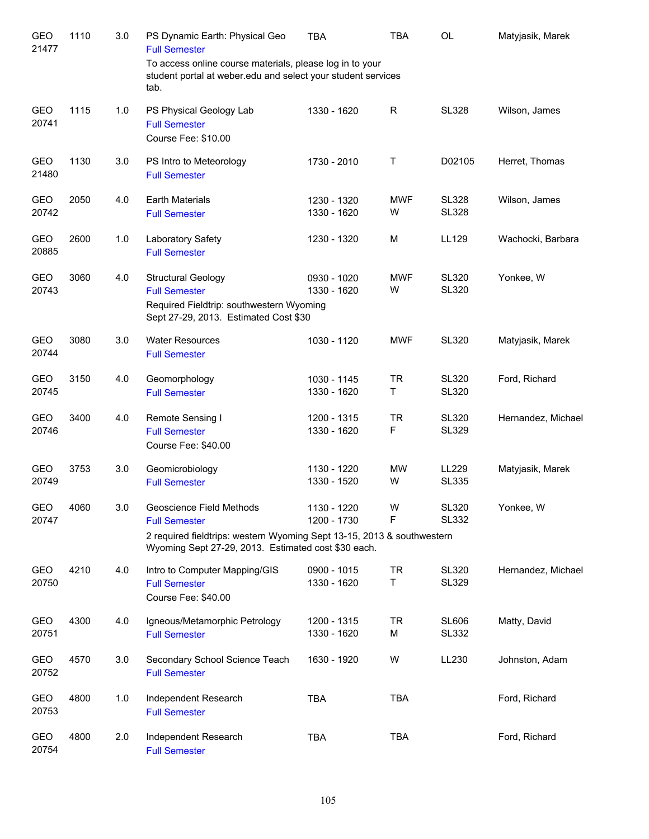| <b>GEO</b><br>21477 | 1110 | 3.0 | PS Dynamic Earth: Physical Geo<br><b>Full Semester</b>                                                                                                                            | <b>TBA</b>                 | <b>TBA</b>      | <b>OL</b>                    | Matyjasik, Marek   |
|---------------------|------|-----|-----------------------------------------------------------------------------------------------------------------------------------------------------------------------------------|----------------------------|-----------------|------------------------------|--------------------|
|                     |      |     | To access online course materials, please log in to your<br>student portal at weber.edu and select your student services<br>tab.                                                  |                            |                 |                              |                    |
| <b>GEO</b><br>20741 | 1115 | 1.0 | PS Physical Geology Lab<br><b>Full Semester</b><br>Course Fee: \$10.00                                                                                                            | 1330 - 1620                | R               | <b>SL328</b>                 | Wilson, James      |
| <b>GEO</b><br>21480 | 1130 | 3.0 | PS Intro to Meteorology<br><b>Full Semester</b>                                                                                                                                   | 1730 - 2010                | Τ               | D02105                       | Herret, Thomas     |
| <b>GEO</b><br>20742 | 2050 | 4.0 | <b>Earth Materials</b><br><b>Full Semester</b>                                                                                                                                    | 1230 - 1320<br>1330 - 1620 | <b>MWF</b><br>W | <b>SL328</b><br><b>SL328</b> | Wilson, James      |
| GEO<br>20885        | 2600 | 1.0 | Laboratory Safety<br><b>Full Semester</b>                                                                                                                                         | 1230 - 1320                | M               | LL129                        | Wachocki, Barbara  |
| GEO<br>20743        | 3060 | 4.0 | <b>Structural Geology</b><br><b>Full Semester</b><br>Required Fieldtrip: southwestern Wyoming<br>Sept 27-29, 2013. Estimated Cost \$30                                            | 0930 - 1020<br>1330 - 1620 | <b>MWF</b><br>W | <b>SL320</b><br><b>SL320</b> | Yonkee, W          |
| GEO<br>20744        | 3080 | 3.0 | <b>Water Resources</b><br><b>Full Semester</b>                                                                                                                                    | 1030 - 1120                | <b>MWF</b>      | <b>SL320</b>                 | Matyjasik, Marek   |
| GEO<br>20745        | 3150 | 4.0 | Geomorphology<br><b>Full Semester</b>                                                                                                                                             | 1030 - 1145<br>1330 - 1620 | <b>TR</b><br>Τ  | <b>SL320</b><br><b>SL320</b> | Ford, Richard      |
| GEO<br>20746        | 3400 | 4.0 | Remote Sensing I<br><b>Full Semester</b><br>Course Fee: \$40.00                                                                                                                   | 1200 - 1315<br>1330 - 1620 | <b>TR</b><br>F  | <b>SL320</b><br><b>SL329</b> | Hernandez, Michael |
| GEO<br>20749        | 3753 | 3.0 | Geomicrobiology<br><b>Full Semester</b>                                                                                                                                           | 1130 - 1220<br>1330 - 1520 | <b>MW</b><br>W  | LL229<br><b>SL335</b>        | Matyjasik, Marek   |
| GEO<br>20747        | 4060 | 3.0 | Geoscience Field Methods<br><b>Full Semester</b><br>2 required fieldtrips: western Wyoming Sept 13-15, 2013 & southwestern<br>Wyoming Sept 27-29, 2013. Estimated cost \$30 each. | 1130 - 1220<br>1200 - 1730 | W<br>F          | <b>SL320</b><br><b>SL332</b> | Yonkee, W          |
| GEO<br>20750        | 4210 | 4.0 | Intro to Computer Mapping/GIS<br><b>Full Semester</b><br>Course Fee: \$40.00                                                                                                      | 0900 - 1015<br>1330 - 1620 | TR<br>T         | <b>SL320</b><br><b>SL329</b> | Hernandez, Michael |
| GEO<br>20751        | 4300 | 4.0 | Igneous/Metamorphic Petrology<br><b>Full Semester</b>                                                                                                                             | 1200 - 1315<br>1330 - 1620 | TR<br>М         | <b>SL606</b><br><b>SL332</b> | Matty, David       |
| GEO<br>20752        | 4570 | 3.0 | Secondary School Science Teach<br><b>Full Semester</b>                                                                                                                            | 1630 - 1920                | W               | LL230                        | Johnston, Adam     |
| GEO<br>20753        | 4800 | 1.0 | Independent Research<br><b>Full Semester</b>                                                                                                                                      | <b>TBA</b>                 | <b>TBA</b>      |                              | Ford, Richard      |
| GEO<br>20754        | 4800 | 2.0 | Independent Research<br><b>Full Semester</b>                                                                                                                                      | <b>TBA</b>                 | <b>TBA</b>      |                              | Ford, Richard      |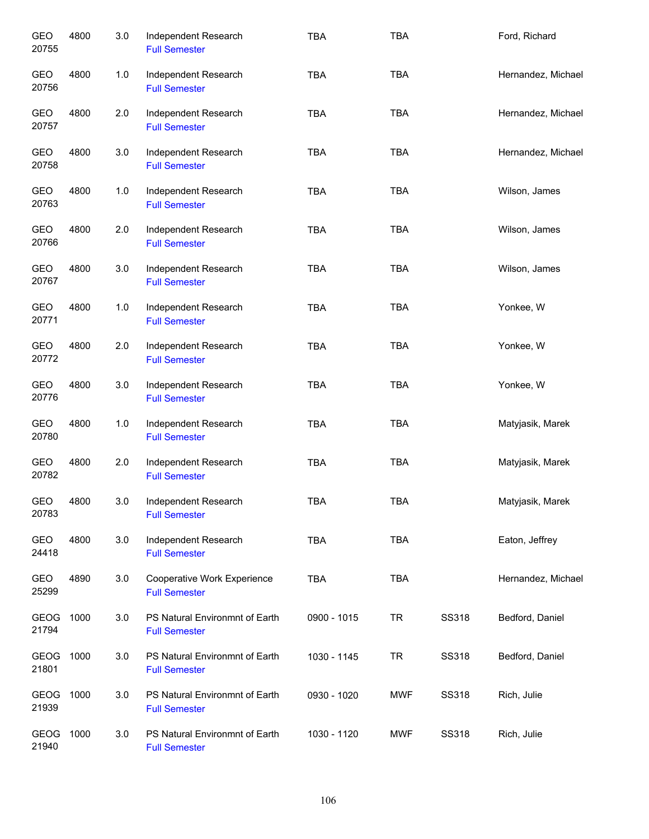| GEO<br>20755         | 4800 | 3.0   | Independent Research<br><b>Full Semester</b>           | <b>TBA</b>  | <b>TBA</b> |       | Ford, Richard      |
|----------------------|------|-------|--------------------------------------------------------|-------------|------------|-------|--------------------|
| GEO<br>20756         | 4800 | $1.0$ | Independent Research<br><b>Full Semester</b>           | <b>TBA</b>  | <b>TBA</b> |       | Hernandez, Michael |
| GEO<br>20757         | 4800 | 2.0   | Independent Research<br><b>Full Semester</b>           | <b>TBA</b>  | <b>TBA</b> |       | Hernandez, Michael |
| GEO<br>20758         | 4800 | 3.0   | Independent Research<br><b>Full Semester</b>           | <b>TBA</b>  | <b>TBA</b> |       | Hernandez, Michael |
| GEO<br>20763         | 4800 | 1.0   | Independent Research<br><b>Full Semester</b>           | <b>TBA</b>  | <b>TBA</b> |       | Wilson, James      |
| GEO<br>20766         | 4800 | 2.0   | Independent Research<br><b>Full Semester</b>           | <b>TBA</b>  | <b>TBA</b> |       | Wilson, James      |
| GEO<br>20767         | 4800 | 3.0   | Independent Research<br><b>Full Semester</b>           | <b>TBA</b>  | <b>TBA</b> |       | Wilson, James      |
| GEO<br>20771         | 4800 | 1.0   | Independent Research<br><b>Full Semester</b>           | <b>TBA</b>  | <b>TBA</b> |       | Yonkee, W          |
| GEO<br>20772         | 4800 | 2.0   | Independent Research<br><b>Full Semester</b>           | <b>TBA</b>  | <b>TBA</b> |       | Yonkee, W          |
| GEO<br>20776         | 4800 | 3.0   | Independent Research<br><b>Full Semester</b>           | <b>TBA</b>  | <b>TBA</b> |       | Yonkee, W          |
| GEO<br>20780         | 4800 | 1.0   | Independent Research<br><b>Full Semester</b>           | <b>TBA</b>  | <b>TBA</b> |       | Matyjasik, Marek   |
| GEO<br>20782         | 4800 | 2.0   | Independent Research<br><b>Full Semester</b>           | <b>TBA</b>  | <b>TBA</b> |       | Matyjasik, Marek   |
| <b>GEO</b><br>20783  | 4800 | 3.0   | Independent Research<br><b>Full Semester</b>           | <b>TBA</b>  | <b>TBA</b> |       | Matyjasik, Marek   |
| GEO<br>24418         | 4800 | 3.0   | Independent Research<br><b>Full Semester</b>           | <b>TBA</b>  | <b>TBA</b> |       | Eaton, Jeffrey     |
| GEO<br>25299         | 4890 | 3.0   | Cooperative Work Experience<br><b>Full Semester</b>    | <b>TBA</b>  | <b>TBA</b> |       | Hernandez, Michael |
| <b>GEOG</b><br>21794 | 1000 | 3.0   | PS Natural Environmnt of Earth<br><b>Full Semester</b> | 0900 - 1015 | <b>TR</b>  | SS318 | Bedford, Daniel    |
| <b>GEOG</b><br>21801 | 1000 | 3.0   | PS Natural Environmnt of Earth<br><b>Full Semester</b> | 1030 - 1145 | <b>TR</b>  | SS318 | Bedford, Daniel    |
| <b>GEOG</b><br>21939 | 1000 | 3.0   | PS Natural Environmnt of Earth<br><b>Full Semester</b> | 0930 - 1020 | <b>MWF</b> | SS318 | Rich, Julie        |
| GEOG<br>21940        | 1000 | 3.0   | PS Natural Environmnt of Earth<br><b>Full Semester</b> | 1030 - 1120 | <b>MWF</b> | SS318 | Rich, Julie        |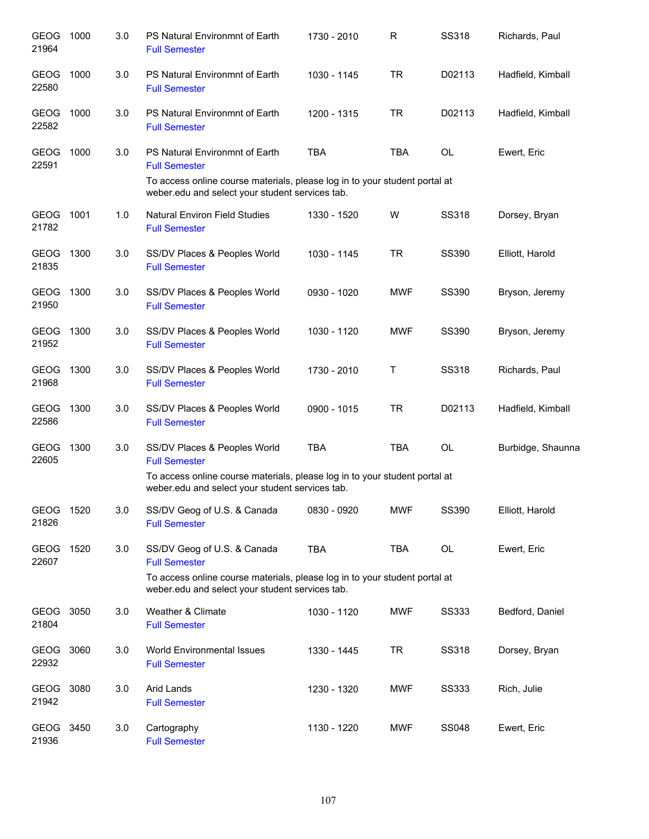| <b>GEOG</b><br>21964 | 1000 | 3.0 | PS Natural Environmnt of Earth<br><b>Full Semester</b>                                                                                                                                  | 1730 - 2010 | R          | <b>SS318</b> | Richards, Paul    |
|----------------------|------|-----|-----------------------------------------------------------------------------------------------------------------------------------------------------------------------------------------|-------------|------------|--------------|-------------------|
| <b>GEOG</b><br>22580 | 1000 | 3.0 | PS Natural Environmnt of Earth<br><b>Full Semester</b>                                                                                                                                  | 1030 - 1145 | <b>TR</b>  | D02113       | Hadfield, Kimball |
| GEOG 1000<br>22582   |      | 3.0 | PS Natural Environmnt of Earth<br><b>Full Semester</b>                                                                                                                                  | 1200 - 1315 | <b>TR</b>  | D02113       | Hadfield, Kimball |
| GEOG<br>22591        | 1000 | 3.0 | PS Natural Environmnt of Earth<br><b>Full Semester</b><br>To access online course materials, please log in to your student portal at<br>weber.edu and select your student services tab. | <b>TBA</b>  | <b>TBA</b> | OL           | Ewert, Eric       |
| GEOG 1001<br>21782   |      | 1.0 | <b>Natural Environ Field Studies</b><br><b>Full Semester</b>                                                                                                                            | 1330 - 1520 | W          | <b>SS318</b> | Dorsey, Bryan     |
| GEOG 1300<br>21835   |      | 3.0 | SS/DV Places & Peoples World<br><b>Full Semester</b>                                                                                                                                    | 1030 - 1145 | <b>TR</b>  | SS390        | Elliott, Harold   |
| GEOG 1300<br>21950   |      | 3.0 | SS/DV Places & Peoples World<br><b>Full Semester</b>                                                                                                                                    | 0930 - 1020 | <b>MWF</b> | SS390        | Bryson, Jeremy    |
| GEOG 1300<br>21952   |      | 3.0 | SS/DV Places & Peoples World<br><b>Full Semester</b>                                                                                                                                    | 1030 - 1120 | <b>MWF</b> | <b>SS390</b> | Bryson, Jeremy    |
| <b>GEOG</b><br>21968 | 1300 | 3.0 | SS/DV Places & Peoples World<br><b>Full Semester</b>                                                                                                                                    | 1730 - 2010 | Τ          | <b>SS318</b> | Richards, Paul    |
| GEOG<br>22586        | 1300 | 3.0 | SS/DV Places & Peoples World<br><b>Full Semester</b>                                                                                                                                    | 0900 - 1015 | <b>TR</b>  | D02113       | Hadfield, Kimball |
| <b>GEOG</b><br>22605 | 1300 | 3.0 | SS/DV Places & Peoples World<br><b>Full Semester</b><br>To access online course materials, please log in to your student portal at                                                      | <b>TBA</b>  | <b>TBA</b> | OL           | Burbidge, Shaunna |
|                      |      |     | weber.edu and select your student services tab.                                                                                                                                         |             |            |              |                   |
| GEOG<br>21826        | 1520 | 3.0 | SS/DV Geog of U.S. & Canada<br><b>Full Semester</b>                                                                                                                                     | 0830 - 0920 | <b>MWF</b> | <b>SS390</b> | Elliott, Harold   |
| <b>GEOG</b><br>22607 | 1520 | 3.0 | SS/DV Geog of U.S. & Canada<br><b>Full Semester</b><br>To access online course materials, please log in to your student portal at<br>weber.edu and select your student services tab.    | <b>TBA</b>  | <b>TBA</b> | OL           | Ewert, Eric       |
| <b>GEOG</b><br>21804 | 3050 | 3.0 | Weather & Climate<br><b>Full Semester</b>                                                                                                                                               | 1030 - 1120 | <b>MWF</b> | <b>SS333</b> | Bedford, Daniel   |
| <b>GEOG</b><br>22932 | 3060 | 3.0 | <b>World Environmental Issues</b><br><b>Full Semester</b>                                                                                                                               | 1330 - 1445 | <b>TR</b>  | <b>SS318</b> | Dorsey, Bryan     |
| GEOG<br>21942        | 3080 | 3.0 | Arid Lands<br><b>Full Semester</b>                                                                                                                                                      | 1230 - 1320 | MWF        | <b>SS333</b> | Rich, Julie       |
| GEOG 3450<br>21936   |      | 3.0 | Cartography<br><b>Full Semester</b>                                                                                                                                                     | 1130 - 1220 | MWF        | <b>SS048</b> | Ewert, Eric       |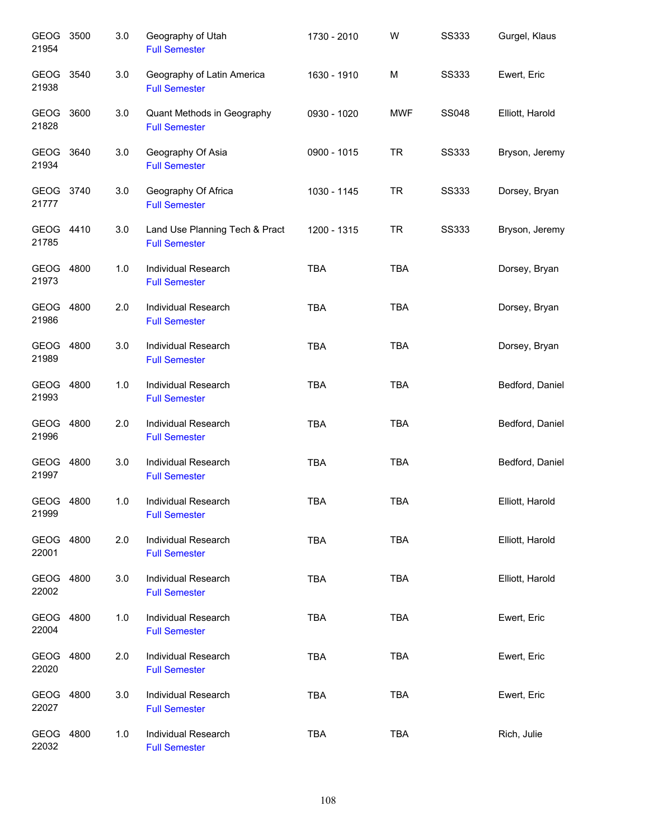| GEOG 3500<br>21954   |      | 3.0 | Geography of Utah<br><b>Full Semester</b>              | 1730 - 2010 | W          | <b>SS333</b> | Gurgel, Klaus   |
|----------------------|------|-----|--------------------------------------------------------|-------------|------------|--------------|-----------------|
| GEOG<br>21938        | 3540 | 3.0 | Geography of Latin America<br><b>Full Semester</b>     | 1630 - 1910 | M          | <b>SS333</b> | Ewert, Eric     |
| GEOG 3600<br>21828   |      | 3.0 | Quant Methods in Geography<br><b>Full Semester</b>     | 0930 - 1020 | <b>MWF</b> | <b>SS048</b> | Elliott, Harold |
| GEOG 3640<br>21934   |      | 3.0 | Geography Of Asia<br><b>Full Semester</b>              | 0900 - 1015 | <b>TR</b>  | <b>SS333</b> | Bryson, Jeremy  |
| GEOG 3740<br>21777   |      | 3.0 | Geography Of Africa<br><b>Full Semester</b>            | 1030 - 1145 | <b>TR</b>  | <b>SS333</b> | Dorsey, Bryan   |
| GEOG 4410<br>21785   |      | 3.0 | Land Use Planning Tech & Pract<br><b>Full Semester</b> | 1200 - 1315 | <b>TR</b>  | <b>SS333</b> | Bryson, Jeremy  |
| GEOG 4800<br>21973   |      | 1.0 | Individual Research<br><b>Full Semester</b>            | <b>TBA</b>  | <b>TBA</b> |              | Dorsey, Bryan   |
| GEOG 4800<br>21986   |      | 2.0 | Individual Research<br><b>Full Semester</b>            | <b>TBA</b>  | <b>TBA</b> |              | Dorsey, Bryan   |
| GEOG 4800<br>21989   |      | 3.0 | Individual Research<br><b>Full Semester</b>            | <b>TBA</b>  | <b>TBA</b> |              | Dorsey, Bryan   |
| GEOG 4800<br>21993   |      | 1.0 | Individual Research<br><b>Full Semester</b>            | <b>TBA</b>  | <b>TBA</b> |              | Bedford, Daniel |
| GEOG 4800<br>21996   |      | 2.0 | Individual Research<br><b>Full Semester</b>            | <b>TBA</b>  | <b>TBA</b> |              | Bedford, Daniel |
| GEOG 4800<br>21997   |      | 3.0 | <b>Individual Research</b><br><b>Full Semester</b>     | <b>TBA</b>  | <b>TBA</b> |              | Bedford, Daniel |
| GEOG 4800<br>21999   |      | 1.0 | Individual Research<br><b>Full Semester</b>            | <b>TBA</b>  | <b>TBA</b> |              | Elliott, Harold |
| <b>GEOG</b><br>22001 | 4800 | 2.0 | Individual Research<br><b>Full Semester</b>            | <b>TBA</b>  | <b>TBA</b> |              | Elliott, Harold |
| GEOG<br>22002        | 4800 | 3.0 | Individual Research<br><b>Full Semester</b>            | <b>TBA</b>  | <b>TBA</b> |              | Elliott, Harold |
| GEOG<br>22004        | 4800 | 1.0 | Individual Research<br><b>Full Semester</b>            | <b>TBA</b>  | <b>TBA</b> |              | Ewert, Eric     |
| GEOG<br>22020        | 4800 | 2.0 | Individual Research<br><b>Full Semester</b>            | <b>TBA</b>  | <b>TBA</b> |              | Ewert, Eric     |
| <b>GEOG</b><br>22027 | 4800 | 3.0 | Individual Research<br><b>Full Semester</b>            | <b>TBA</b>  | <b>TBA</b> |              | Ewert, Eric     |
| <b>GEOG</b><br>22032 | 4800 | 1.0 | Individual Research<br><b>Full Semester</b>            | <b>TBA</b>  | <b>TBA</b> |              | Rich, Julie     |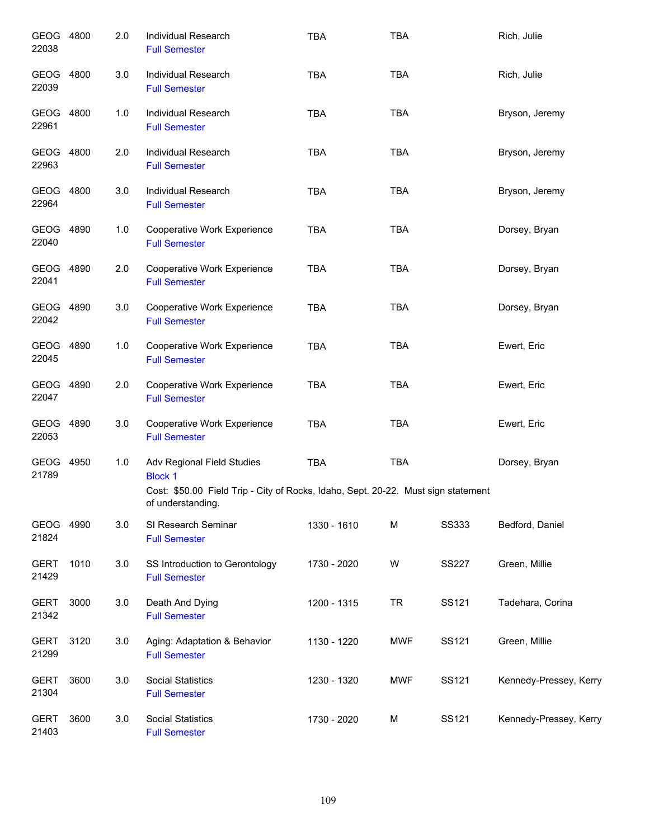| GEOG 4800<br>22038   |      | 2.0 | <b>Individual Research</b><br><b>Full Semester</b>                                                     | <b>TBA</b>  | <b>TBA</b> |              | Rich, Julie            |
|----------------------|------|-----|--------------------------------------------------------------------------------------------------------|-------------|------------|--------------|------------------------|
| <b>GEOG</b><br>22039 | 4800 | 3.0 | Individual Research<br><b>Full Semester</b>                                                            | <b>TBA</b>  | <b>TBA</b> |              | Rich, Julie            |
| GEOG 4800<br>22961   |      | 1.0 | Individual Research<br><b>Full Semester</b>                                                            | <b>TBA</b>  | <b>TBA</b> |              | Bryson, Jeremy         |
| GEOG 4800<br>22963   |      | 2.0 | Individual Research<br><b>Full Semester</b>                                                            | <b>TBA</b>  | <b>TBA</b> |              | Bryson, Jeremy         |
| GEOG 4800<br>22964   |      | 3.0 | Individual Research<br><b>Full Semester</b>                                                            | <b>TBA</b>  | <b>TBA</b> |              | Bryson, Jeremy         |
| GEOG 4890<br>22040   |      | 1.0 | Cooperative Work Experience<br><b>Full Semester</b>                                                    | <b>TBA</b>  | <b>TBA</b> |              | Dorsey, Bryan          |
| GEOG 4890<br>22041   |      | 2.0 | Cooperative Work Experience<br><b>Full Semester</b>                                                    | <b>TBA</b>  | <b>TBA</b> |              | Dorsey, Bryan          |
| GEOG 4890<br>22042   |      | 3.0 | Cooperative Work Experience<br><b>Full Semester</b>                                                    | <b>TBA</b>  | <b>TBA</b> |              | Dorsey, Bryan          |
| GEOG 4890<br>22045   |      | 1.0 | Cooperative Work Experience<br><b>Full Semester</b>                                                    | <b>TBA</b>  | <b>TBA</b> |              | Ewert, Eric            |
| GEOG 4890<br>22047   |      | 2.0 | Cooperative Work Experience<br><b>Full Semester</b>                                                    | <b>TBA</b>  | <b>TBA</b> |              | Ewert, Eric            |
| GEOG<br>22053        | 4890 | 3.0 | Cooperative Work Experience<br><b>Full Semester</b>                                                    | <b>TBA</b>  | <b>TBA</b> |              | Ewert, Eric            |
| GEOG<br>21789        | 4950 | 1.0 | Adv Regional Field Studies<br><b>Block 1</b>                                                           | <b>TBA</b>  | <b>TBA</b> |              | Dorsey, Bryan          |
|                      |      |     | Cost: \$50.00 Field Trip - City of Rocks, Idaho, Sept. 20-22. Must sign statement<br>of understanding. |             |            |              |                        |
| GEOG 4990<br>21824   |      | 3.0 | SI Research Seminar<br><b>Full Semester</b>                                                            | 1330 - 1610 | M          | <b>SS333</b> | Bedford, Daniel        |
| <b>GERT</b><br>21429 | 1010 | 3.0 | SS Introduction to Gerontology<br><b>Full Semester</b>                                                 | 1730 - 2020 | W          | <b>SS227</b> | Green, Millie          |
| <b>GERT</b><br>21342 | 3000 | 3.0 | Death And Dying<br><b>Full Semester</b>                                                                | 1200 - 1315 | <b>TR</b>  | SS121        | Tadehara, Corina       |
| <b>GERT</b><br>21299 | 3120 | 3.0 | Aging: Adaptation & Behavior<br><b>Full Semester</b>                                                   | 1130 - 1220 | <b>MWF</b> | SS121        | Green, Millie          |
| <b>GERT</b><br>21304 | 3600 | 3.0 | <b>Social Statistics</b><br><b>Full Semester</b>                                                       | 1230 - 1320 | <b>MWF</b> | SS121        | Kennedy-Pressey, Kerry |
| <b>GERT</b><br>21403 | 3600 | 3.0 | <b>Social Statistics</b><br><b>Full Semester</b>                                                       | 1730 - 2020 | M          | SS121        | Kennedy-Pressey, Kerry |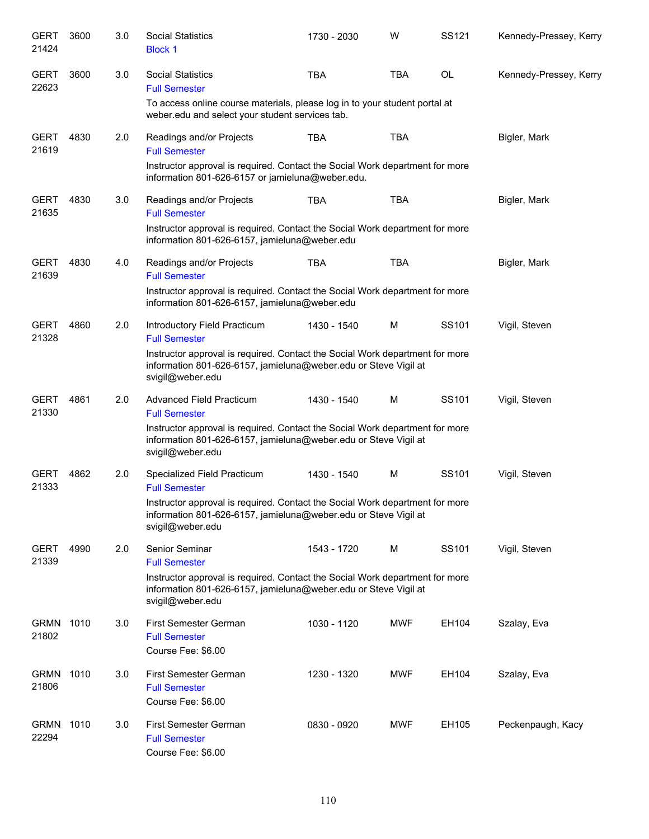| <b>GERT</b><br>21424 | 3600 | 3.0 | <b>Social Statistics</b><br><b>Block 1</b>                                                                                                                          | 1730 - 2030 | W          | SS121 | Kennedy-Pressey, Kerry |
|----------------------|------|-----|---------------------------------------------------------------------------------------------------------------------------------------------------------------------|-------------|------------|-------|------------------------|
| <b>GERT</b><br>22623 | 3600 | 3.0 | <b>Social Statistics</b><br><b>Full Semester</b>                                                                                                                    | <b>TBA</b>  | <b>TBA</b> | OL    | Kennedy-Pressey, Kerry |
|                      |      |     | To access online course materials, please log in to your student portal at<br>weber.edu and select your student services tab.                                       |             |            |       |                        |
| <b>GERT</b><br>21619 | 4830 | 2.0 | Readings and/or Projects<br><b>Full Semester</b>                                                                                                                    | <b>TBA</b>  | <b>TBA</b> |       | Bigler, Mark           |
|                      |      |     | Instructor approval is required. Contact the Social Work department for more<br>information 801-626-6157 or jamieluna@weber.edu.                                    |             |            |       |                        |
| <b>GERT</b><br>21635 | 4830 | 3.0 | Readings and/or Projects<br><b>Full Semester</b>                                                                                                                    | <b>TBA</b>  | <b>TBA</b> |       | Bigler, Mark           |
|                      |      |     | Instructor approval is required. Contact the Social Work department for more<br>information 801-626-6157, jamieluna@weber.edu                                       |             |            |       |                        |
| <b>GERT</b><br>21639 | 4830 | 4.0 | Readings and/or Projects<br><b>Full Semester</b>                                                                                                                    | <b>TBA</b>  | <b>TBA</b> |       | Bigler, Mark           |
|                      |      |     | Instructor approval is required. Contact the Social Work department for more<br>information 801-626-6157, jamieluna@weber.edu                                       |             |            |       |                        |
| <b>GERT</b><br>21328 | 4860 | 2.0 | Introductory Field Practicum<br><b>Full Semester</b>                                                                                                                | 1430 - 1540 | M          | SS101 | Vigil, Steven          |
|                      |      |     | Instructor approval is required. Contact the Social Work department for more<br>information 801-626-6157, jamieluna@weber.edu or Steve Vigil at<br>svigil@weber.edu |             |            |       |                        |
| <b>GERT</b><br>21330 | 4861 | 2.0 | Advanced Field Practicum<br><b>Full Semester</b>                                                                                                                    | 1430 - 1540 | M          | SS101 | Vigil, Steven          |
|                      |      |     | Instructor approval is required. Contact the Social Work department for more<br>information 801-626-6157, jamieluna@weber.edu or Steve Vigil at<br>svigil@weber.edu |             |            |       |                        |
| <b>GERT</b><br>21333 | 4862 | 2.0 | Specialized Field Practicum<br><b>Full Semester</b>                                                                                                                 | 1430 - 1540 | М          | SS101 | Vigil, Steven          |
|                      |      |     | Instructor approval is required. Contact the Social Work department for more<br>information 801-626-6157, jamieluna@weber.edu or Steve Vigil at<br>svigil@weber.edu |             |            |       |                        |
| <b>GERT</b><br>21339 | 4990 | 2.0 | Senior Seminar<br><b>Full Semester</b>                                                                                                                              | 1543 - 1720 | M          | SS101 | Vigil, Steven          |
|                      |      |     | Instructor approval is required. Contact the Social Work department for more<br>information 801-626-6157, jamieluna@weber.edu or Steve Vigil at<br>svigil@weber.edu |             |            |       |                        |
| <b>GRMN</b><br>21802 | 1010 | 3.0 | First Semester German<br><b>Full Semester</b>                                                                                                                       | 1030 - 1120 | MWF        | EH104 | Szalay, Eva            |
|                      |      |     | Course Fee: \$6.00                                                                                                                                                  |             |            |       |                        |
| <b>GRMN</b><br>21806 | 1010 | 3.0 | First Semester German<br><b>Full Semester</b><br>Course Fee: \$6.00                                                                                                 | 1230 - 1320 | MWF        | EH104 | Szalay, Eva            |
| <b>GRMN</b><br>22294 | 1010 | 3.0 | First Semester German<br><b>Full Semester</b><br>Course Fee: \$6.00                                                                                                 | 0830 - 0920 | MWF        | EH105 | Peckenpaugh, Kacy      |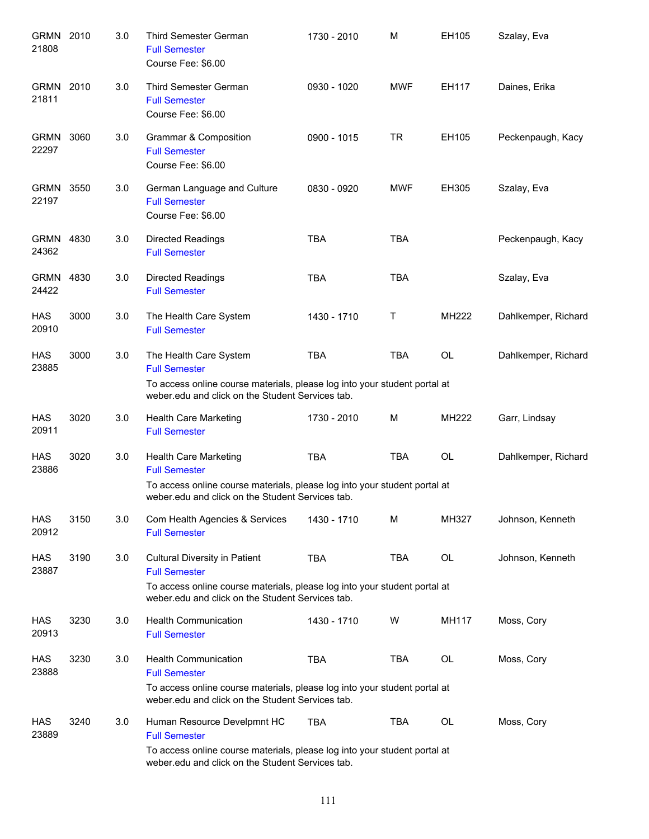| GRMN 2010<br>21808   |      | 3.0 | <b>Third Semester German</b><br><b>Full Semester</b><br>Course Fee: \$6.00                                                                                                                    | 1730 - 2010 | М            | EH105        | Szalay, Eva         |
|----------------------|------|-----|-----------------------------------------------------------------------------------------------------------------------------------------------------------------------------------------------|-------------|--------------|--------------|---------------------|
| GRMN 2010<br>21811   |      | 3.0 | <b>Third Semester German</b><br><b>Full Semester</b><br>Course Fee: \$6.00                                                                                                                    | 0930 - 1020 | <b>MWF</b>   | EH117        | Daines, Erika       |
| <b>GRMN</b><br>22297 | 3060 | 3.0 | Grammar & Composition<br><b>Full Semester</b><br>Course Fee: \$6.00                                                                                                                           | 0900 - 1015 | TR           | EH105        | Peckenpaugh, Kacy   |
| GRMN<br>22197        | 3550 | 3.0 | German Language and Culture<br><b>Full Semester</b><br>Course Fee: \$6.00                                                                                                                     | 0830 - 0920 | <b>MWF</b>   | EH305        | Szalay, Eva         |
| GRMN 4830<br>24362   |      | 3.0 | <b>Directed Readings</b><br><b>Full Semester</b>                                                                                                                                              | <b>TBA</b>  | <b>TBA</b>   |              | Peckenpaugh, Kacy   |
| <b>GRMN</b><br>24422 | 4830 | 3.0 | <b>Directed Readings</b><br><b>Full Semester</b>                                                                                                                                              | <b>TBA</b>  | <b>TBA</b>   |              | Szalay, Eva         |
| <b>HAS</b><br>20910  | 3000 | 3.0 | The Health Care System<br><b>Full Semester</b>                                                                                                                                                | 1430 - 1710 | $\mathsf{T}$ | MH222        | Dahlkemper, Richard |
| <b>HAS</b><br>23885  | 3000 | 3.0 | The Health Care System<br><b>Full Semester</b>                                                                                                                                                | <b>TBA</b>  | <b>TBA</b>   | OL           | Dahlkemper, Richard |
|                      |      |     | To access online course materials, please log into your student portal at<br>weber.edu and click on the Student Services tab.                                                                 |             |              |              |                     |
| HAS<br>20911         | 3020 | 3.0 | Health Care Marketing<br><b>Full Semester</b>                                                                                                                                                 | 1730 - 2010 | м            | <b>MH222</b> | Garr, Lindsay       |
| <b>HAS</b><br>23886  | 3020 | 3.0 | Health Care Marketing<br><b>Full Semester</b><br>To access online course materials, please log into your student portal at<br>weber.edu and click on the Student Services tab.                | <b>TBA</b>  | <b>TBA</b>   | OL           | Dahlkemper, Richard |
| HAS<br>20912         | 3150 | 3.0 | Com Health Agencies & Services<br><b>Full Semester</b>                                                                                                                                        | 1430 - 1710 | M            | MH327        | Johnson, Kenneth    |
| <b>HAS</b><br>23887  | 3190 | 3.0 | <b>Cultural Diversity in Patient</b><br><b>Full Semester</b><br>To access online course materials, please log into your student portal at<br>weber.edu and click on the Student Services tab. | <b>TBA</b>  | <b>TBA</b>   | <b>OL</b>    | Johnson, Kenneth    |
| HAS<br>20913         | 3230 | 3.0 | <b>Health Communication</b><br><b>Full Semester</b>                                                                                                                                           | 1430 - 1710 | W            | <b>MH117</b> | Moss, Cory          |
| <b>HAS</b><br>23888  | 3230 | 3.0 | <b>Health Communication</b><br><b>Full Semester</b><br>To access online course materials, please log into your student portal at<br>weber.edu and click on the Student Services tab.          | <b>TBA</b>  | <b>TBA</b>   | OL           | Moss, Cory          |
| HAS<br>23889         | 3240 | 3.0 | Human Resource Develpmnt HC<br><b>Full Semester</b><br>To access online course materials, please log into your student portal at<br>weber.edu and click on the Student Services tab.          | <b>TBA</b>  | TBA          | OL           | Moss, Cory          |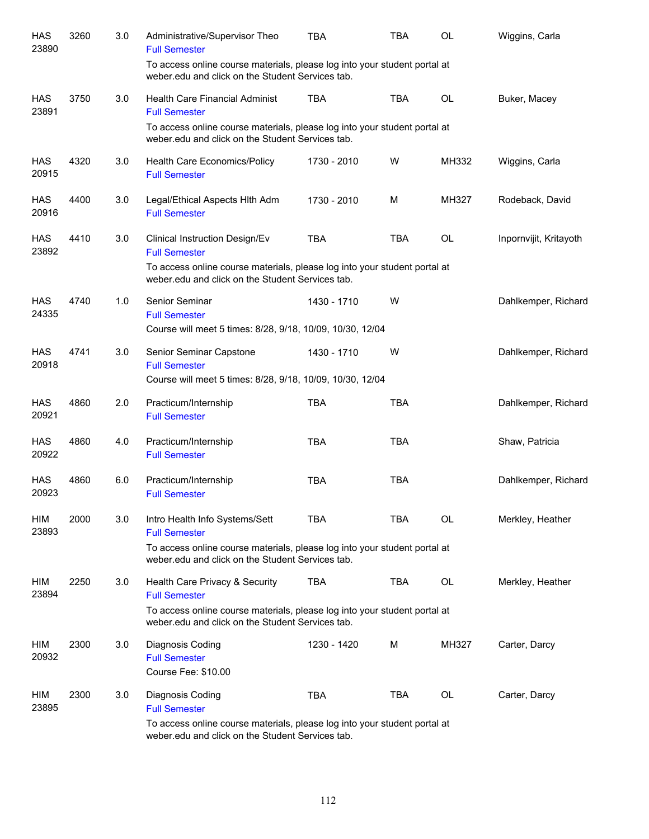| <b>HAS</b><br>23890 | 3260 | 3.0 | Administrative/Supervisor Theo<br><b>Full Semester</b>                                                                         | <b>TBA</b>  | <b>TBA</b> | OL        | Wiggins, Carla         |
|---------------------|------|-----|--------------------------------------------------------------------------------------------------------------------------------|-------------|------------|-----------|------------------------|
|                     |      |     | To access online course materials, please log into your student portal at<br>weber.edu and click on the Student Services tab.  |             |            |           |                        |
| HAS<br>23891        | 3750 | 3.0 | <b>Health Care Financial Administ</b><br><b>Full Semester</b>                                                                  | <b>TBA</b>  | <b>TBA</b> | <b>OL</b> | Buker, Macey           |
|                     |      |     | To access online course materials, please log into your student portal at<br>weber.edu and click on the Student Services tab.  |             |            |           |                        |
| <b>HAS</b><br>20915 | 4320 | 3.0 | Health Care Economics/Policy<br><b>Full Semester</b>                                                                           | 1730 - 2010 | W          | MH332     | Wiggins, Carla         |
| <b>HAS</b><br>20916 | 4400 | 3.0 | Legal/Ethical Aspects Hith Adm<br><b>Full Semester</b>                                                                         | 1730 - 2010 | м          | MH327     | Rodeback, David        |
| <b>HAS</b><br>23892 | 4410 | 3.0 | Clinical Instruction Design/Ev<br><b>Full Semester</b>                                                                         | <b>TBA</b>  | <b>TBA</b> | OL        | Inpornvijit, Kritayoth |
|                     |      |     | To access online course materials, please log into your student portal at<br>weber.edu and click on the Student Services tab.  |             |            |           |                        |
| <b>HAS</b><br>24335 | 4740 | 1.0 | Senior Seminar<br><b>Full Semester</b><br>Course will meet 5 times: 8/28, 9/18, 10/09, 10/30, 12/04                            | 1430 - 1710 | W          |           | Dahlkemper, Richard    |
| <b>HAS</b><br>20918 | 4741 | 3.0 | Senior Seminar Capstone<br><b>Full Semester</b><br>Course will meet 5 times: 8/28, 9/18, 10/09, 10/30, 12/04                   | 1430 - 1710 | W          |           | Dahlkemper, Richard    |
| <b>HAS</b><br>20921 | 4860 | 2.0 | Practicum/Internship<br><b>Full Semester</b>                                                                                   | <b>TBA</b>  | <b>TBA</b> |           | Dahlkemper, Richard    |
| <b>HAS</b><br>20922 | 4860 | 4.0 | Practicum/Internship<br><b>Full Semester</b>                                                                                   | <b>TBA</b>  | <b>TBA</b> |           | Shaw, Patricia         |
| <b>HAS</b><br>20923 | 4860 | 6.0 | Practicum/Internship<br><b>Full Semester</b>                                                                                   | <b>TBA</b>  | <b>TBA</b> |           | Dahlkemper, Richard    |
| HIM<br>23893        | 2000 | 3.0 | Intro Health Info Systems/Sett<br><b>Full Semester</b>                                                                         | <b>TBA</b>  | <b>TBA</b> | <b>OL</b> | Merkley, Heather       |
|                     |      |     | To access online course materials, please log into your student portal at<br>weber, edu and click on the Student Services tab. |             |            |           |                        |
| HIM<br>23894        | 2250 | 3.0 | Health Care Privacy & Security<br><b>Full Semester</b>                                                                         | <b>TBA</b>  | TBA        | OL        | Merkley, Heather       |
|                     |      |     | To access online course materials, please log into your student portal at<br>weber.edu and click on the Student Services tab.  |             |            |           |                        |
| HIM<br>20932        | 2300 | 3.0 | Diagnosis Coding<br><b>Full Semester</b><br>Course Fee: \$10.00                                                                | 1230 - 1420 | м          | MH327     | Carter, Darcy          |
| HIM<br>23895        | 2300 | 3.0 | Diagnosis Coding<br><b>Full Semester</b>                                                                                       | <b>TBA</b>  | <b>TBA</b> | OL        | Carter, Darcy          |
|                     |      |     | To access online course materials, please log into your student portal at<br>weber.edu and click on the Student Services tab.  |             |            |           |                        |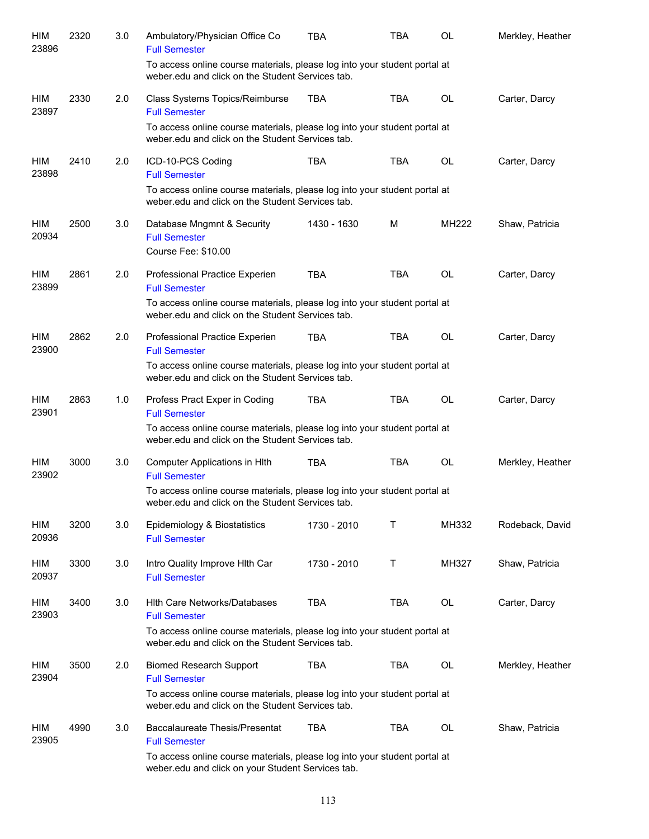| HIM<br>23896        | 2320 | 3.0 | Ambulatory/Physician Office Co<br><b>Full Semester</b>                                                                         | <b>TBA</b>  | TBA        | <b>OL</b> | Merkley, Heather |
|---------------------|------|-----|--------------------------------------------------------------------------------------------------------------------------------|-------------|------------|-----------|------------------|
|                     |      |     | To access online course materials, please log into your student portal at<br>weber.edu and click on the Student Services tab.  |             |            |           |                  |
| HIM<br>23897        | 2330 | 2.0 | Class Systems Topics/Reimburse<br><b>Full Semester</b>                                                                         | <b>TBA</b>  | <b>TBA</b> | <b>OL</b> | Carter, Darcy    |
|                     |      |     | To access online course materials, please log into your student portal at<br>weber.edu and click on the Student Services tab.  |             |            |           |                  |
| HIM<br>23898        | 2410 | 2.0 | ICD-10-PCS Coding<br><b>Full Semester</b>                                                                                      | <b>TBA</b>  | <b>TBA</b> | <b>OL</b> | Carter, Darcy    |
|                     |      |     | To access online course materials, please log into your student portal at<br>weber.edu and click on the Student Services tab.  |             |            |           |                  |
| HIM<br>20934        | 2500 | 3.0 | Database Mngmnt & Security<br><b>Full Semester</b><br>Course Fee: \$10.00                                                      | 1430 - 1630 | M          | MH222     | Shaw, Patricia   |
| HIM<br>23899        | 2861 | 2.0 | Professional Practice Experien<br><b>Full Semester</b>                                                                         | <b>TBA</b>  | <b>TBA</b> | <b>OL</b> | Carter, Darcy    |
|                     |      |     | To access online course materials, please log into your student portal at<br>weber.edu and click on the Student Services tab.  |             |            |           |                  |
| HIM<br>23900        | 2862 | 2.0 | Professional Practice Experien<br><b>Full Semester</b>                                                                         | <b>TBA</b>  | <b>TBA</b> | <b>OL</b> | Carter, Darcy    |
|                     |      |     | To access online course materials, please log into your student portal at<br>weber.edu and click on the Student Services tab.  |             |            |           |                  |
| HIM<br>23901        | 2863 | 1.0 | Profess Pract Exper in Coding<br><b>Full Semester</b>                                                                          | <b>TBA</b>  | <b>TBA</b> | <b>OL</b> | Carter, Darcy    |
|                     |      |     | To access online course materials, please log into your student portal at<br>weber.edu and click on the Student Services tab.  |             |            |           |                  |
| HIM<br>23902        | 3000 | 3.0 | Computer Applications in Hlth<br><b>Full Semester</b>                                                                          | <b>TBA</b>  | <b>TBA</b> | <b>OL</b> | Merkley, Heather |
|                     |      |     | To access online course materials, please log into your student portal at<br>weber.edu and click on the Student Services tab.  |             |            |           |                  |
| <b>HIM</b><br>20936 | 3200 | 3.0 | Epidemiology & Biostatistics<br><b>Full Semester</b>                                                                           | 1730 - 2010 | т          | MH332     | Rodeback, David  |
| HIM<br>20937        | 3300 | 3.0 | Intro Quality Improve Hith Car<br><b>Full Semester</b>                                                                         | 1730 - 2010 | T          | MH327     | Shaw, Patricia   |
| HIM<br>23903        | 3400 | 3.0 | <b>Hith Care Networks/Databases</b><br><b>Full Semester</b>                                                                    | <b>TBA</b>  | <b>TBA</b> | <b>OL</b> | Carter, Darcy    |
|                     |      |     | To access online course materials, please log into your student portal at<br>weber.edu and click on the Student Services tab.  |             |            |           |                  |
| HIM<br>23904        | 3500 | 2.0 | <b>Biomed Research Support</b><br><b>Full Semester</b>                                                                         | <b>TBA</b>  | <b>TBA</b> | <b>OL</b> | Merkley, Heather |
|                     |      |     | To access online course materials, please log into your student portal at<br>weber.edu and click on the Student Services tab.  |             |            |           |                  |
| HIM<br>23905        | 4990 | 3.0 | <b>Baccalaureate Thesis/Presentat</b><br><b>Full Semester</b>                                                                  | <b>TBA</b>  | <b>TBA</b> | <b>OL</b> | Shaw, Patricia   |
|                     |      |     | To access online course materials, please log into your student portal at<br>weber.edu and click on your Student Services tab. |             |            |           |                  |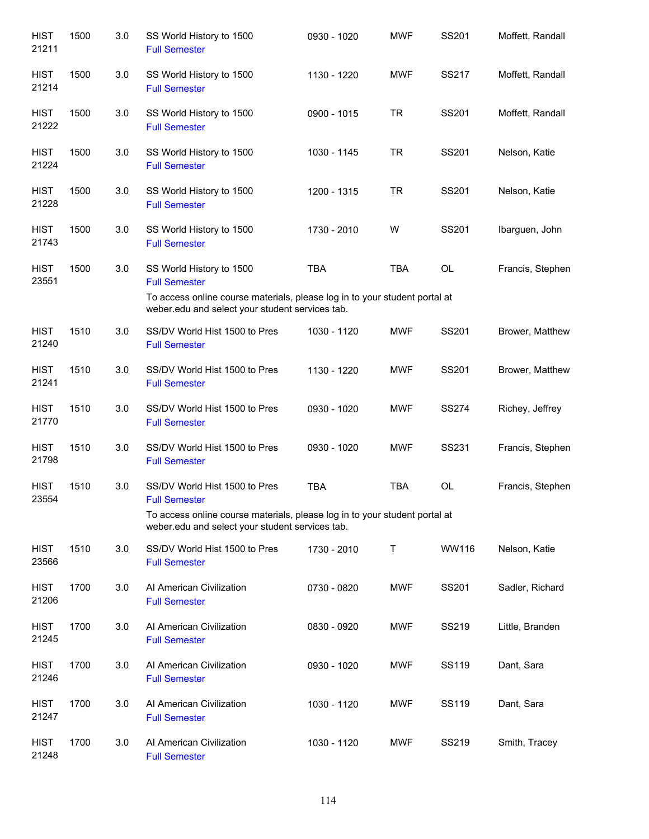| <b>HIST</b><br>21211 | 1500 | 3.0 | SS World History to 1500<br><b>Full Semester</b>                                                                              | 0930 - 1020 | <b>MWF</b> | SS201        | Moffett, Randall |
|----------------------|------|-----|-------------------------------------------------------------------------------------------------------------------------------|-------------|------------|--------------|------------------|
| <b>HIST</b><br>21214 | 1500 | 3.0 | SS World History to 1500<br><b>Full Semester</b>                                                                              | 1130 - 1220 | <b>MWF</b> | SS217        | Moffett, Randall |
| <b>HIST</b><br>21222 | 1500 | 3.0 | SS World History to 1500<br><b>Full Semester</b>                                                                              | 0900 - 1015 | <b>TR</b>  | SS201        | Moffett, Randall |
| <b>HIST</b><br>21224 | 1500 | 3.0 | SS World History to 1500<br><b>Full Semester</b>                                                                              | 1030 - 1145 | <b>TR</b>  | SS201        | Nelson, Katie    |
| <b>HIST</b><br>21228 | 1500 | 3.0 | SS World History to 1500<br><b>Full Semester</b>                                                                              | 1200 - 1315 | <b>TR</b>  | SS201        | Nelson, Katie    |
| <b>HIST</b><br>21743 | 1500 | 3.0 | SS World History to 1500<br><b>Full Semester</b>                                                                              | 1730 - 2010 | W          | SS201        | Ibarguen, John   |
| <b>HIST</b><br>23551 | 1500 | 3.0 | SS World History to 1500<br><b>Full Semester</b>                                                                              | <b>TBA</b>  | <b>TBA</b> | <b>OL</b>    | Francis, Stephen |
|                      |      |     | To access online course materials, please log in to your student portal at<br>weber.edu and select your student services tab. |             |            |              |                  |
| <b>HIST</b><br>21240 | 1510 | 3.0 | SS/DV World Hist 1500 to Pres<br><b>Full Semester</b>                                                                         | 1030 - 1120 | <b>MWF</b> | SS201        | Brower, Matthew  |
| <b>HIST</b><br>21241 | 1510 | 3.0 | SS/DV World Hist 1500 to Pres<br><b>Full Semester</b>                                                                         | 1130 - 1220 | <b>MWF</b> | SS201        | Brower, Matthew  |
| <b>HIST</b><br>21770 | 1510 | 3.0 | SS/DV World Hist 1500 to Pres<br><b>Full Semester</b>                                                                         | 0930 - 1020 | <b>MWF</b> | <b>SS274</b> | Richey, Jeffrey  |
| <b>HIST</b><br>21798 | 1510 | 3.0 | SS/DV World Hist 1500 to Pres<br><b>Full Semester</b>                                                                         | 0930 - 1020 | <b>MWF</b> | SS231        | Francis, Stephen |
| <b>HIST</b><br>23554 | 1510 | 3.0 | SS/DV World Hist 1500 to Pres<br><b>Full Semester</b>                                                                         | <b>TBA</b>  | <b>TBA</b> | OL           | Francis, Stephen |
|                      |      |     | To access online course materials, please log in to your student portal at<br>weber.edu and select your student services tab. |             |            |              |                  |
| <b>HIST</b><br>23566 | 1510 | 3.0 | SS/DV World Hist 1500 to Pres<br><b>Full Semester</b>                                                                         | 1730 - 2010 | Τ          | WW116        | Nelson, Katie    |
| <b>HIST</b><br>21206 | 1700 | 3.0 | Al American Civilization<br><b>Full Semester</b>                                                                              | 0730 - 0820 | <b>MWF</b> | SS201        | Sadler, Richard  |
| <b>HIST</b><br>21245 | 1700 | 3.0 | Al American Civilization<br><b>Full Semester</b>                                                                              | 0830 - 0920 | <b>MWF</b> | SS219        | Little, Branden  |
| <b>HIST</b><br>21246 | 1700 | 3.0 | Al American Civilization<br><b>Full Semester</b>                                                                              | 0930 - 1020 | <b>MWF</b> | SS119        | Dant, Sara       |
| <b>HIST</b><br>21247 | 1700 | 3.0 | Al American Civilization<br><b>Full Semester</b>                                                                              | 1030 - 1120 | <b>MWF</b> | SS119        | Dant, Sara       |
| <b>HIST</b><br>21248 | 1700 | 3.0 | Al American Civilization<br><b>Full Semester</b>                                                                              | 1030 - 1120 | <b>MWF</b> | SS219        | Smith, Tracey    |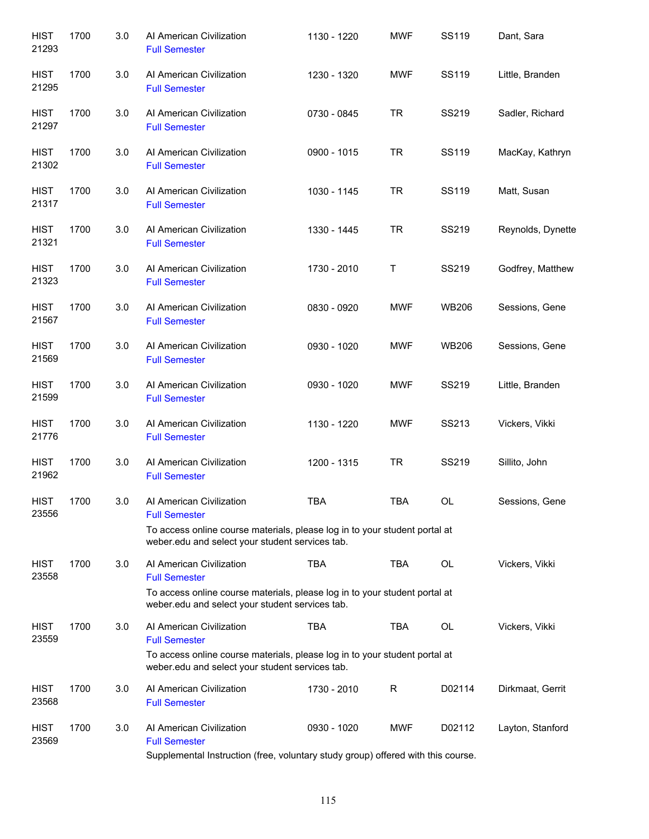| <b>HIST</b><br>21293 | 1700 | 3.0 | Al American Civilization<br><b>Full Semester</b>                                                                                                                                  | 1130 - 1220 | <b>MWF</b> | SS119        | Dant, Sara        |
|----------------------|------|-----|-----------------------------------------------------------------------------------------------------------------------------------------------------------------------------------|-------------|------------|--------------|-------------------|
| <b>HIST</b><br>21295 | 1700 | 3.0 | Al American Civilization<br><b>Full Semester</b>                                                                                                                                  | 1230 - 1320 | <b>MWF</b> | SS119        | Little, Branden   |
| <b>HIST</b><br>21297 | 1700 | 3.0 | Al American Civilization<br><b>Full Semester</b>                                                                                                                                  | 0730 - 0845 | <b>TR</b>  | SS219        | Sadler, Richard   |
| <b>HIST</b><br>21302 | 1700 | 3.0 | Al American Civilization<br><b>Full Semester</b>                                                                                                                                  | 0900 - 1015 | TR         | SS119        | MacKay, Kathryn   |
| <b>HIST</b><br>21317 | 1700 | 3.0 | Al American Civilization<br><b>Full Semester</b>                                                                                                                                  | 1030 - 1145 | <b>TR</b>  | SS119        | Matt, Susan       |
| <b>HIST</b><br>21321 | 1700 | 3.0 | Al American Civilization<br><b>Full Semester</b>                                                                                                                                  | 1330 - 1445 | <b>TR</b>  | SS219        | Reynolds, Dynette |
| <b>HIST</b><br>21323 | 1700 | 3.0 | Al American Civilization<br><b>Full Semester</b>                                                                                                                                  | 1730 - 2010 | Т          | SS219        | Godfrey, Matthew  |
| <b>HIST</b><br>21567 | 1700 | 3.0 | Al American Civilization<br><b>Full Semester</b>                                                                                                                                  | 0830 - 0920 | MWF        | <b>WB206</b> | Sessions, Gene    |
| <b>HIST</b><br>21569 | 1700 | 3.0 | Al American Civilization<br><b>Full Semester</b>                                                                                                                                  | 0930 - 1020 | MWF        | <b>WB206</b> | Sessions, Gene    |
| <b>HIST</b><br>21599 | 1700 | 3.0 | Al American Civilization<br><b>Full Semester</b>                                                                                                                                  | 0930 - 1020 | MWF        | SS219        | Little, Branden   |
| <b>HIST</b><br>21776 | 1700 | 3.0 | Al American Civilization<br><b>Full Semester</b>                                                                                                                                  | 1130 - 1220 | MWF        | SS213        | Vickers, Vikki    |
| <b>HIST</b><br>21962 | 1700 | 3.0 | Al American Civilization<br><b>Full Semester</b>                                                                                                                                  | 1200 - 1315 | <b>TR</b>  | SS219        | Sillito, John     |
| <b>HIST</b><br>23556 | 1700 | 3.0 | Al American Civilization<br><b>Full Semester</b><br>To access online course materials, please log in to your student portal at<br>weber.edu and select your student services tab. | <b>TBA</b>  | TBA        | OL           | Sessions, Gene    |
| <b>HIST</b><br>23558 | 1700 | 3.0 | Al American Civilization<br><b>Full Semester</b><br>To access online course materials, please log in to your student portal at<br>weber.edu and select your student services tab. | <b>TBA</b>  | <b>TBA</b> | OL           | Vickers, Vikki    |
| <b>HIST</b><br>23559 | 1700 | 3.0 | Al American Civilization<br><b>Full Semester</b><br>To access online course materials, please log in to your student portal at<br>weber.edu and select your student services tab. | <b>TBA</b>  | <b>TBA</b> | OL           | Vickers, Vikki    |
| <b>HIST</b><br>23568 | 1700 | 3.0 | Al American Civilization<br><b>Full Semester</b>                                                                                                                                  | 1730 - 2010 | R          | D02114       | Dirkmaat, Gerrit  |
| <b>HIST</b><br>23569 | 1700 | 3.0 | Al American Civilization<br><b>Full Semester</b><br>Supplemental Instruction (free, voluntary study group) offered with this course.                                              | 0930 - 1020 | <b>MWF</b> | D02112       | Layton, Stanford  |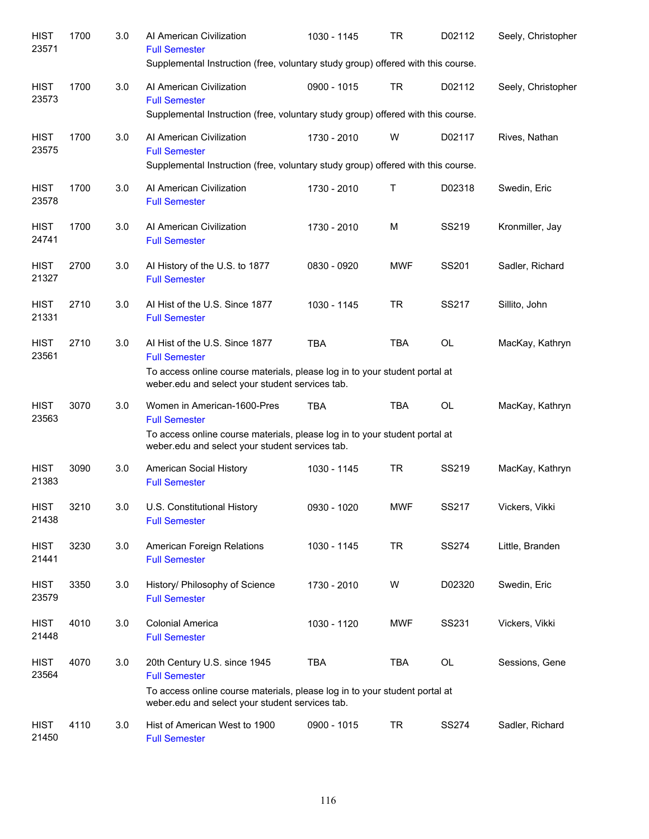| <b>HIST</b><br>23571 | 1700 | 3.0 | Al American Civilization<br><b>Full Semester</b><br>Supplemental Instruction (free, voluntary study group) offered with this course.                                                    | 1030 - 1145 | TR         | D02112       | Seely, Christopher |
|----------------------|------|-----|-----------------------------------------------------------------------------------------------------------------------------------------------------------------------------------------|-------------|------------|--------------|--------------------|
| <b>HIST</b><br>23573 | 1700 | 3.0 | Al American Civilization<br><b>Full Semester</b><br>Supplemental Instruction (free, voluntary study group) offered with this course.                                                    | 0900 - 1015 | <b>TR</b>  | D02112       | Seely, Christopher |
| <b>HIST</b><br>23575 | 1700 | 3.0 | Al American Civilization<br><b>Full Semester</b><br>Supplemental Instruction (free, voluntary study group) offered with this course.                                                    | 1730 - 2010 | W          | D02117       | Rives, Nathan      |
| <b>HIST</b><br>23578 | 1700 | 3.0 | Al American Civilization<br><b>Full Semester</b>                                                                                                                                        | 1730 - 2010 | T          | D02318       | Swedin, Eric       |
| <b>HIST</b><br>24741 | 1700 | 3.0 | Al American Civilization<br><b>Full Semester</b>                                                                                                                                        | 1730 - 2010 | M          | SS219        | Kronmiller, Jay    |
| <b>HIST</b><br>21327 | 2700 | 3.0 | Al History of the U.S. to 1877<br><b>Full Semester</b>                                                                                                                                  | 0830 - 0920 | <b>MWF</b> | SS201        | Sadler, Richard    |
| <b>HIST</b><br>21331 | 2710 | 3.0 | AI Hist of the U.S. Since 1877<br><b>Full Semester</b>                                                                                                                                  | 1030 - 1145 | <b>TR</b>  | SS217        | Sillito, John      |
| <b>HIST</b><br>23561 | 2710 | 3.0 | AI Hist of the U.S. Since 1877<br><b>Full Semester</b><br>To access online course materials, please log in to your student portal at<br>weber.edu and select your student services tab. | <b>TBA</b>  | <b>TBA</b> | <b>OL</b>    | MacKay, Kathryn    |
| <b>HIST</b><br>23563 | 3070 | 3.0 | Women in American-1600-Pres<br><b>Full Semester</b><br>To access online course materials, please log in to your student portal at<br>weber.edu and select your student services tab.    | <b>TBA</b>  | <b>TBA</b> | OL           | MacKay, Kathryn    |
| <b>HIST</b><br>21383 | 3090 | 3.0 | American Social History<br><b>Full Semester</b>                                                                                                                                         | 1030 - 1145 | <b>TR</b>  | SS219        | MacKay, Kathryn    |
| <b>HIST</b><br>21438 | 3210 | 3.0 | U.S. Constitutional History<br><b>Full Semester</b>                                                                                                                                     | 0930 - 1020 | <b>MWF</b> | SS217        | Vickers, Vikki     |
| <b>HIST</b><br>21441 | 3230 | 3.0 | American Foreign Relations<br><b>Full Semester</b>                                                                                                                                      | 1030 - 1145 | <b>TR</b>  | <b>SS274</b> | Little, Branden    |
| <b>HIST</b><br>23579 | 3350 | 3.0 | History/ Philosophy of Science<br><b>Full Semester</b>                                                                                                                                  | 1730 - 2010 | W          | D02320       | Swedin, Eric       |
| <b>HIST</b><br>21448 | 4010 | 3.0 | <b>Colonial America</b><br><b>Full Semester</b>                                                                                                                                         | 1030 - 1120 | MWF        | SS231        | Vickers, Vikki     |
| <b>HIST</b><br>23564 | 4070 | 3.0 | 20th Century U.S. since 1945<br><b>Full Semester</b><br>To access online course materials, please log in to your student portal at<br>weber.edu and select your student services tab.   | <b>TBA</b>  | TBA        | OL           | Sessions, Gene     |
| <b>HIST</b><br>21450 | 4110 | 3.0 | Hist of American West to 1900<br><b>Full Semester</b>                                                                                                                                   | 0900 - 1015 | <b>TR</b>  | <b>SS274</b> | Sadler, Richard    |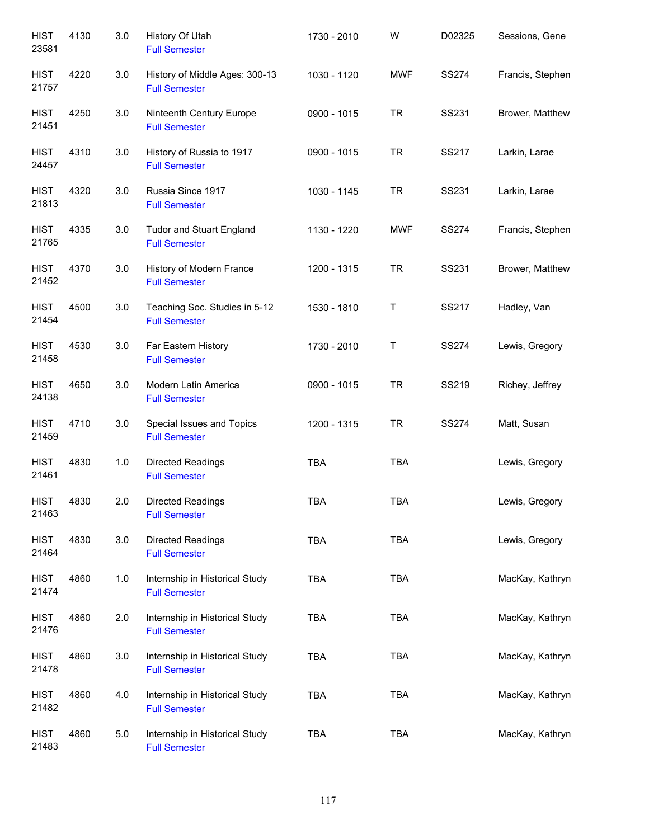| <b>HIST</b><br>23581 | 4130 | 3.0 | History Of Utah<br><b>Full Semester</b>                 | 1730 - 2010 | W          | D02325       | Sessions, Gene   |
|----------------------|------|-----|---------------------------------------------------------|-------------|------------|--------------|------------------|
| <b>HIST</b><br>21757 | 4220 | 3.0 | History of Middle Ages: 300-13<br><b>Full Semester</b>  | 1030 - 1120 | <b>MWF</b> | <b>SS274</b> | Francis, Stephen |
| <b>HIST</b><br>21451 | 4250 | 3.0 | Ninteenth Century Europe<br><b>Full Semester</b>        | 0900 - 1015 | <b>TR</b>  | SS231        | Brower, Matthew  |
| <b>HIST</b><br>24457 | 4310 | 3.0 | History of Russia to 1917<br><b>Full Semester</b>       | 0900 - 1015 | <b>TR</b>  | SS217        | Larkin, Larae    |
| <b>HIST</b><br>21813 | 4320 | 3.0 | Russia Since 1917<br><b>Full Semester</b>               | 1030 - 1145 | <b>TR</b>  | SS231        | Larkin, Larae    |
| <b>HIST</b><br>21765 | 4335 | 3.0 | <b>Tudor and Stuart England</b><br><b>Full Semester</b> | 1130 - 1220 | <b>MWF</b> | <b>SS274</b> | Francis, Stephen |
| <b>HIST</b><br>21452 | 4370 | 3.0 | History of Modern France<br><b>Full Semester</b>        | 1200 - 1315 | <b>TR</b>  | SS231        | Brower, Matthew  |
| <b>HIST</b><br>21454 | 4500 | 3.0 | Teaching Soc. Studies in 5-12<br><b>Full Semester</b>   | 1530 - 1810 | Τ          | SS217        | Hadley, Van      |
| <b>HIST</b><br>21458 | 4530 | 3.0 | Far Eastern History<br><b>Full Semester</b>             | 1730 - 2010 | Τ          | <b>SS274</b> | Lewis, Gregory   |
| <b>HIST</b><br>24138 | 4650 | 3.0 | Modern Latin America<br><b>Full Semester</b>            | 0900 - 1015 | <b>TR</b>  | SS219        | Richey, Jeffrey  |
| <b>HIST</b><br>21459 | 4710 | 3.0 | Special Issues and Topics<br><b>Full Semester</b>       | 1200 - 1315 | <b>TR</b>  | <b>SS274</b> | Matt, Susan      |
| <b>HIST</b><br>21461 | 4830 | 1.0 | <b>Directed Readings</b><br><b>Full Semester</b>        | <b>TBA</b>  | <b>TBA</b> |              | Lewis, Gregory   |
| <b>HIST</b><br>21463 | 4830 | 2.0 | <b>Directed Readings</b><br><b>Full Semester</b>        | <b>TBA</b>  | <b>TBA</b> |              | Lewis, Gregory   |
| <b>HIST</b><br>21464 | 4830 | 3.0 | Directed Readings<br><b>Full Semester</b>               | <b>TBA</b>  | <b>TBA</b> |              | Lewis, Gregory   |
| <b>HIST</b><br>21474 | 4860 | 1.0 | Internship in Historical Study<br><b>Full Semester</b>  | <b>TBA</b>  | <b>TBA</b> |              | MacKay, Kathryn  |
| <b>HIST</b><br>21476 | 4860 | 2.0 | Internship in Historical Study<br><b>Full Semester</b>  | <b>TBA</b>  | <b>TBA</b> |              | MacKay, Kathryn  |
| <b>HIST</b><br>21478 | 4860 | 3.0 | Internship in Historical Study<br><b>Full Semester</b>  | <b>TBA</b>  | <b>TBA</b> |              | MacKay, Kathryn  |
| <b>HIST</b><br>21482 | 4860 | 4.0 | Internship in Historical Study<br><b>Full Semester</b>  | <b>TBA</b>  | <b>TBA</b> |              | MacKay, Kathryn  |
| <b>HIST</b><br>21483 | 4860 | 5.0 | Internship in Historical Study<br><b>Full Semester</b>  | <b>TBA</b>  | TBA        |              | MacKay, Kathryn  |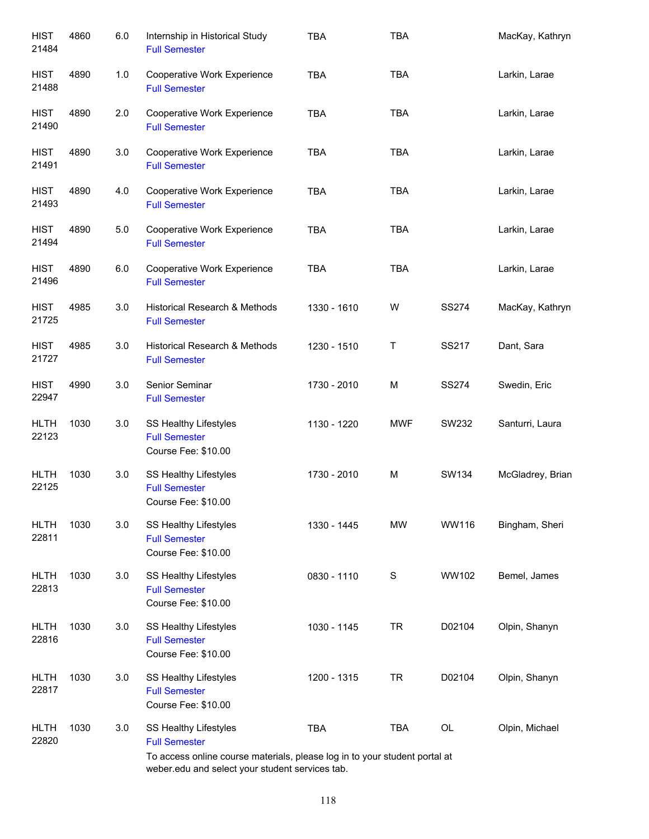| <b>HIST</b><br>21484 | 4860 | 6.0 | Internship in Historical Study<br><b>Full Semester</b>                                                                      | <b>TBA</b>  | <b>TBA</b>  |              | MacKay, Kathryn  |
|----------------------|------|-----|-----------------------------------------------------------------------------------------------------------------------------|-------------|-------------|--------------|------------------|
| <b>HIST</b><br>21488 | 4890 | 1.0 | Cooperative Work Experience<br><b>Full Semester</b>                                                                         | <b>TBA</b>  | <b>TBA</b>  |              | Larkin, Larae    |
| <b>HIST</b><br>21490 | 4890 | 2.0 | Cooperative Work Experience<br><b>Full Semester</b>                                                                         | <b>TBA</b>  | <b>TBA</b>  |              | Larkin, Larae    |
| <b>HIST</b><br>21491 | 4890 | 3.0 | Cooperative Work Experience<br><b>Full Semester</b>                                                                         | <b>TBA</b>  | <b>TBA</b>  |              | Larkin, Larae    |
| <b>HIST</b><br>21493 | 4890 | 4.0 | Cooperative Work Experience<br><b>Full Semester</b>                                                                         | <b>TBA</b>  | <b>TBA</b>  |              | Larkin, Larae    |
| <b>HIST</b><br>21494 | 4890 | 5.0 | Cooperative Work Experience<br><b>Full Semester</b>                                                                         | <b>TBA</b>  | <b>TBA</b>  |              | Larkin, Larae    |
| <b>HIST</b><br>21496 | 4890 | 6.0 | Cooperative Work Experience<br><b>Full Semester</b>                                                                         | <b>TBA</b>  | <b>TBA</b>  |              | Larkin, Larae    |
| <b>HIST</b><br>21725 | 4985 | 3.0 | Historical Research & Methods<br><b>Full Semester</b>                                                                       | 1330 - 1610 | W           | <b>SS274</b> | MacKay, Kathryn  |
| <b>HIST</b><br>21727 | 4985 | 3.0 | Historical Research & Methods<br><b>Full Semester</b>                                                                       | 1230 - 1510 | Τ           | SS217        | Dant, Sara       |
| <b>HIST</b><br>22947 | 4990 | 3.0 | Senior Seminar<br><b>Full Semester</b>                                                                                      | 1730 - 2010 | M           | <b>SS274</b> | Swedin, Eric     |
| <b>HLTH</b><br>22123 | 1030 | 3.0 | SS Healthy Lifestyles<br><b>Full Semester</b><br>Course Fee: \$10.00                                                        | 1130 - 1220 | <b>MWF</b>  | SW232        | Santurri, Laura  |
| <b>HLTH</b><br>22125 | 1030 | 3.0 | SS Healthy Lifestyles<br><b>Full Semester</b><br>Course Fee: \$10.00                                                        | 1730 - 2010 | M           | SW134        | McGladrey, Brian |
| <b>HLTH</b><br>22811 | 1030 | 3.0 | <b>SS Healthy Lifestyles</b><br><b>Full Semester</b><br>Course Fee: \$10.00                                                 | 1330 - 1445 | <b>MW</b>   | WW116        | Bingham, Sheri   |
| <b>HLTH</b><br>22813 | 1030 | 3.0 | SS Healthy Lifestyles<br><b>Full Semester</b><br>Course Fee: \$10.00                                                        | 0830 - 1110 | $\mathbf S$ | WW102        | Bemel, James     |
| <b>HLTH</b><br>22816 | 1030 | 3.0 | SS Healthy Lifestyles<br><b>Full Semester</b><br>Course Fee: \$10.00                                                        | 1030 - 1145 | <b>TR</b>   | D02104       | Olpin, Shanyn    |
| <b>HLTH</b><br>22817 | 1030 | 3.0 | SS Healthy Lifestyles<br><b>Full Semester</b><br>Course Fee: \$10.00                                                        | 1200 - 1315 | <b>TR</b>   | D02104       | Olpin, Shanyn    |
| <b>HLTH</b><br>22820 | 1030 | 3.0 | SS Healthy Lifestyles<br><b>Full Semester</b><br>To access online course materials, please log in to your student portal at | <b>TBA</b>  | TBA         | OL           | Olpin, Michael   |
|                      |      |     |                                                                                                                             |             |             |              |                  |

To access online course materials, please log in to your student portal at weber.edu and select your student services tab.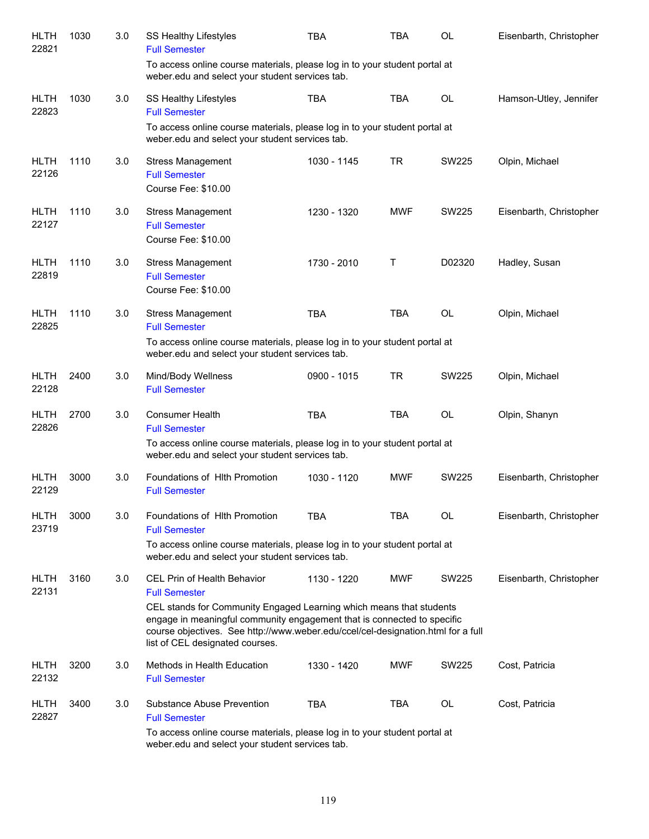| <b>HLTH</b><br>22821 | 1030 | 3.0 | SS Healthy Lifestyles<br><b>Full Semester</b>                                                                                                                                                                                                                         | TBA         | <b>TBA</b> | <b>OL</b>    | Eisenbarth, Christopher |
|----------------------|------|-----|-----------------------------------------------------------------------------------------------------------------------------------------------------------------------------------------------------------------------------------------------------------------------|-------------|------------|--------------|-------------------------|
|                      |      |     | To access online course materials, please log in to your student portal at<br>weber.edu and select your student services tab.                                                                                                                                         |             |            |              |                         |
| <b>HLTH</b><br>22823 | 1030 | 3.0 | SS Healthy Lifestyles<br><b>Full Semester</b>                                                                                                                                                                                                                         | <b>TBA</b>  | <b>TBA</b> | <b>OL</b>    | Hamson-Utley, Jennifer  |
|                      |      |     | To access online course materials, please log in to your student portal at<br>weber.edu and select your student services tab.                                                                                                                                         |             |            |              |                         |
| <b>HLTH</b><br>22126 | 1110 | 3.0 | <b>Stress Management</b><br><b>Full Semester</b><br>Course Fee: \$10.00                                                                                                                                                                                               | 1030 - 1145 | <b>TR</b>  | SW225        | Olpin, Michael          |
| <b>HLTH</b><br>22127 | 1110 | 3.0 | <b>Stress Management</b><br><b>Full Semester</b><br>Course Fee: \$10.00                                                                                                                                                                                               | 1230 - 1320 | <b>MWF</b> | SW225        | Eisenbarth, Christopher |
| <b>HLTH</b><br>22819 | 1110 | 3.0 | <b>Stress Management</b><br><b>Full Semester</b><br>Course Fee: \$10.00                                                                                                                                                                                               | 1730 - 2010 | Τ          | D02320       | Hadley, Susan           |
| <b>HLTH</b><br>22825 | 1110 | 3.0 | <b>Stress Management</b><br><b>Full Semester</b>                                                                                                                                                                                                                      | <b>TBA</b>  | <b>TBA</b> | OL           | Olpin, Michael          |
|                      |      |     | To access online course materials, please log in to your student portal at<br>weber.edu and select your student services tab.                                                                                                                                         |             |            |              |                         |
| <b>HLTH</b><br>22128 | 2400 | 3.0 | Mind/Body Wellness<br><b>Full Semester</b>                                                                                                                                                                                                                            | 0900 - 1015 | <b>TR</b>  | <b>SW225</b> | Olpin, Michael          |
| <b>HLTH</b><br>22826 | 2700 | 3.0 | Consumer Health<br><b>Full Semester</b>                                                                                                                                                                                                                               | <b>TBA</b>  | <b>TBA</b> | OL           | Olpin, Shanyn           |
|                      |      |     | To access online course materials, please log in to your student portal at<br>weber.edu and select your student services tab.                                                                                                                                         |             |            |              |                         |
| <b>HLTH</b><br>22129 | 3000 | 3.0 | Foundations of HIth Promotion<br><b>Full Semester</b>                                                                                                                                                                                                                 | 1030 - 1120 | <b>MWF</b> | <b>SW225</b> | Eisenbarth, Christopher |
| <b>HLTH</b><br>23719 | 3000 | 3.0 | Foundations of HIth Promotion<br><b>Full Semester</b>                                                                                                                                                                                                                 | <b>TBA</b>  | TBA        | <b>OL</b>    | Eisenbarth, Christopher |
|                      |      |     | To access online course materials, please log in to your student portal at<br>weber.edu and select your student services tab.                                                                                                                                         |             |            |              |                         |
| <b>HLTH</b><br>22131 | 3160 | 3.0 | <b>CEL Prin of Health Behavior</b><br><b>Full Semester</b>                                                                                                                                                                                                            | 1130 - 1220 | <b>MWF</b> | SW225        | Eisenbarth, Christopher |
|                      |      |     | CEL stands for Community Engaged Learning which means that students<br>engage in meaningful community engagement that is connected to specific<br>course objectives. See http://www.weber.edu/ccel/cel-designation.html for a full<br>list of CEL designated courses. |             |            |              |                         |
| <b>HLTH</b><br>22132 | 3200 | 3.0 | Methods in Health Education<br><b>Full Semester</b>                                                                                                                                                                                                                   | 1330 - 1420 | <b>MWF</b> | <b>SW225</b> | Cost, Patricia          |
| <b>HLTH</b><br>22827 | 3400 | 3.0 | Substance Abuse Prevention<br><b>Full Semester</b>                                                                                                                                                                                                                    | <b>TBA</b>  | <b>TBA</b> | <b>OL</b>    | Cost, Patricia          |
|                      |      |     | To access online course materials, please log in to your student portal at<br>weber.edu and select your student services tab.                                                                                                                                         |             |            |              |                         |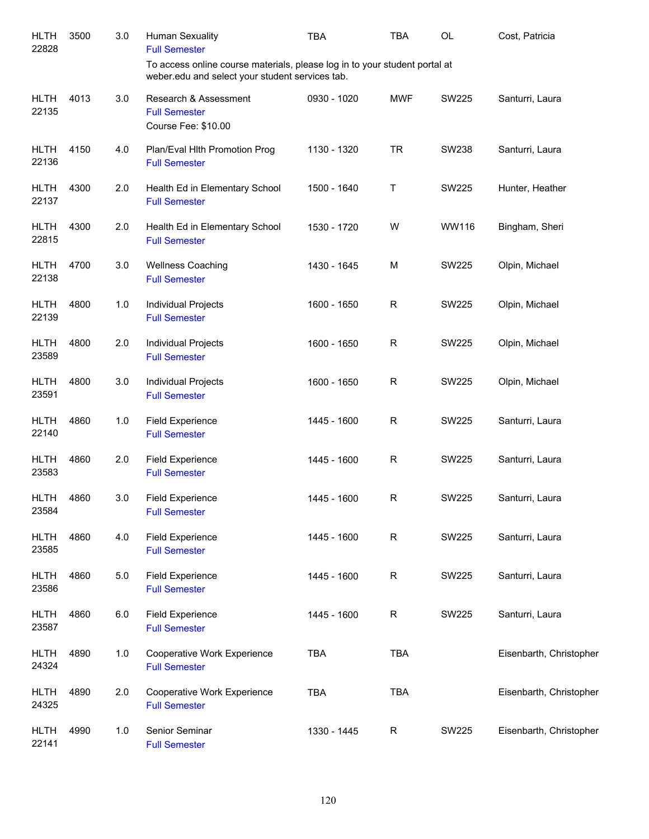| <b>HLTH</b><br>22828 | 3500 | 3.0     | <b>Human Sexuality</b><br><b>Full Semester</b>                                                                                | <b>TBA</b>  | <b>TBA</b>   | OL           | Cost, Patricia          |
|----------------------|------|---------|-------------------------------------------------------------------------------------------------------------------------------|-------------|--------------|--------------|-------------------------|
|                      |      |         | To access online course materials, please log in to your student portal at<br>weber.edu and select your student services tab. |             |              |              |                         |
| <b>HLTH</b><br>22135 | 4013 | 3.0     | Research & Assessment<br><b>Full Semester</b><br>Course Fee: \$10.00                                                          | 0930 - 1020 | <b>MWF</b>   | <b>SW225</b> | Santurri, Laura         |
| <b>HLTH</b><br>22136 | 4150 | 4.0     | Plan/Eval Hlth Promotion Prog<br><b>Full Semester</b>                                                                         | 1130 - 1320 | <b>TR</b>    | SW238        | Santurri, Laura         |
| <b>HLTH</b><br>22137 | 4300 | 2.0     | Health Ed in Elementary School<br><b>Full Semester</b>                                                                        | 1500 - 1640 | т            | SW225        | Hunter, Heather         |
| <b>HLTH</b><br>22815 | 4300 | 2.0     | Health Ed in Elementary School<br><b>Full Semester</b>                                                                        | 1530 - 1720 | W            | WW116        | Bingham, Sheri          |
| <b>HLTH</b><br>22138 | 4700 | 3.0     | <b>Wellness Coaching</b><br><b>Full Semester</b>                                                                              | 1430 - 1645 | M            | SW225        | Olpin, Michael          |
| <b>HLTH</b><br>22139 | 4800 | 1.0     | Individual Projects<br><b>Full Semester</b>                                                                                   | 1600 - 1650 | $\mathsf{R}$ | SW225        | Olpin, Michael          |
| <b>HLTH</b><br>23589 | 4800 | 2.0     | Individual Projects<br><b>Full Semester</b>                                                                                   | 1600 - 1650 | $\mathsf R$  | <b>SW225</b> | Olpin, Michael          |
| <b>HLTH</b><br>23591 | 4800 | 3.0     | Individual Projects<br><b>Full Semester</b>                                                                                   | 1600 - 1650 | $\mathsf R$  | <b>SW225</b> | Olpin, Michael          |
| <b>HLTH</b><br>22140 | 4860 | 1.0     | <b>Field Experience</b><br><b>Full Semester</b>                                                                               | 1445 - 1600 | $\mathsf R$  | SW225        | Santurri, Laura         |
| <b>HLTH</b><br>23583 | 4860 | 2.0     | <b>Field Experience</b><br><b>Full Semester</b>                                                                               | 1445 - 1600 | $\mathsf R$  | <b>SW225</b> | Santurri, Laura         |
| <b>HLTH</b><br>23584 | 4860 | 3.0     | <b>Field Experience</b><br><b>Full Semester</b>                                                                               | 1445 - 1600 | $\mathsf{R}$ | <b>SW225</b> | Santurri, Laura         |
| <b>HLTH</b><br>23585 | 4860 | 4.0     | <b>Field Experience</b><br><b>Full Semester</b>                                                                               | 1445 - 1600 | $\mathsf R$  | <b>SW225</b> | Santurri, Laura         |
| <b>HLTH</b><br>23586 | 4860 | $5.0\,$ | <b>Field Experience</b><br><b>Full Semester</b>                                                                               | 1445 - 1600 | ${\sf R}$    | <b>SW225</b> | Santurri, Laura         |
| <b>HLTH</b><br>23587 | 4860 | 6.0     | <b>Field Experience</b><br><b>Full Semester</b>                                                                               | 1445 - 1600 | R            | <b>SW225</b> | Santurri, Laura         |
| <b>HLTH</b><br>24324 | 4890 | 1.0     | Cooperative Work Experience<br><b>Full Semester</b>                                                                           | <b>TBA</b>  | <b>TBA</b>   |              | Eisenbarth, Christopher |
| <b>HLTH</b><br>24325 | 4890 | 2.0     | Cooperative Work Experience<br><b>Full Semester</b>                                                                           | <b>TBA</b>  | <b>TBA</b>   |              | Eisenbarth, Christopher |
| <b>HLTH</b><br>22141 | 4990 | 1.0     | Senior Seminar<br><b>Full Semester</b>                                                                                        | 1330 - 1445 | R            | <b>SW225</b> | Eisenbarth, Christopher |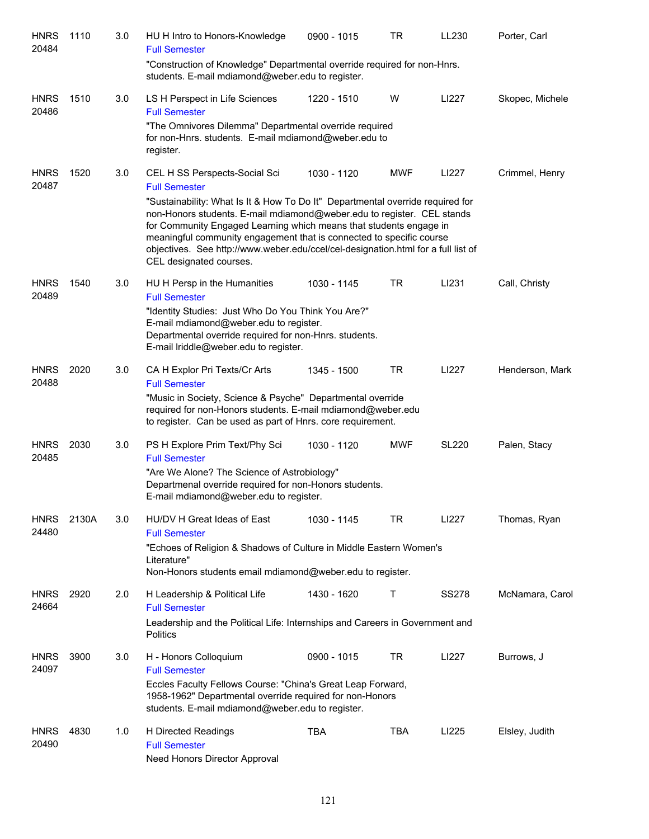| <b>HNRS</b><br>20484 | 1110  | 3.0 | HU H Intro to Honors-Knowledge<br><b>Full Semester</b>                                                                                                                                                                                                                                                                                                                                                                 | 0900 - 1015 | TR         | LL230        | Porter, Carl    |
|----------------------|-------|-----|------------------------------------------------------------------------------------------------------------------------------------------------------------------------------------------------------------------------------------------------------------------------------------------------------------------------------------------------------------------------------------------------------------------------|-------------|------------|--------------|-----------------|
|                      |       |     | "Construction of Knowledge" Departmental override required for non-Hnrs.<br>students. E-mail mdiamond@weber.edu to register.                                                                                                                                                                                                                                                                                           |             |            |              |                 |
| <b>HNRS</b><br>20486 | 1510  | 3.0 | LS H Perspect in Life Sciences<br><b>Full Semester</b>                                                                                                                                                                                                                                                                                                                                                                 | 1220 - 1510 | W          | LI227        | Skopec, Michele |
|                      |       |     | "The Omnivores Dilemma" Departmental override required<br>for non-Hnrs. students. E-mail mdiamond@weber.edu to<br>register.                                                                                                                                                                                                                                                                                            |             |            |              |                 |
| <b>HNRS</b><br>20487 | 1520  | 3.0 | CEL H SS Perspects-Social Sci<br><b>Full Semester</b>                                                                                                                                                                                                                                                                                                                                                                  | 1030 - 1120 | <b>MWF</b> | LI227        | Crimmel, Henry  |
|                      |       |     | "Sustainability: What Is It & How To Do It" Departmental override required for<br>non-Honors students. E-mail mdiamond@weber.edu to register. CEL stands<br>for Community Engaged Learning which means that students engage in<br>meaningful community engagement that is connected to specific course<br>objectives. See http://www.weber.edu/ccel/cel-designation.html for a full list of<br>CEL designated courses. |             |            |              |                 |
| <b>HNRS</b><br>20489 | 1540  | 3.0 | HU H Persp in the Humanities<br><b>Full Semester</b>                                                                                                                                                                                                                                                                                                                                                                   | 1030 - 1145 | <b>TR</b>  | LI231        | Call, Christy   |
|                      |       |     | "Identity Studies: Just Who Do You Think You Are?"<br>E-mail mdiamond@weber.edu to register.<br>Departmental override required for non-Hnrs. students.<br>E-mail lriddle@weber.edu to register.                                                                                                                                                                                                                        |             |            |              |                 |
| <b>HNRS</b><br>20488 | 2020  | 3.0 | CA H Explor Pri Texts/Cr Arts<br><b>Full Semester</b>                                                                                                                                                                                                                                                                                                                                                                  | 1345 - 1500 | <b>TR</b>  | LI227        | Henderson, Mark |
|                      |       |     | "Music in Society, Science & Psyche" Departmental override<br>required for non-Honors students. E-mail mdiamond@weber.edu<br>to register. Can be used as part of Hnrs. core requirement.                                                                                                                                                                                                                               |             |            |              |                 |
| <b>HNRS</b><br>20485 | 2030  | 3.0 | PS H Explore Prim Text/Phy Sci<br><b>Full Semester</b>                                                                                                                                                                                                                                                                                                                                                                 | 1030 - 1120 | <b>MWF</b> | <b>SL220</b> | Palen, Stacy    |
|                      |       |     | "Are We Alone? The Science of Astrobiology"<br>Departmenal override required for non-Honors students.<br>E-mail mdiamond@weber.edu to register.                                                                                                                                                                                                                                                                        |             |            |              |                 |
| <b>HNRS</b><br>24480 | 2130A | 3.0 | HU/DV H Great Ideas of East<br><b>Full Semester</b>                                                                                                                                                                                                                                                                                                                                                                    | 1030 - 1145 | TR         | LI227        | Thomas, Ryan    |
|                      |       |     | "Echoes of Religion & Shadows of Culture in Middle Eastern Women's<br>Literature"<br>Non-Honors students email mdiamond@weber.edu to register.                                                                                                                                                                                                                                                                         |             |            |              |                 |
| <b>HNRS</b><br>24664 | 2920  | 2.0 | H Leadership & Political Life<br><b>Full Semester</b>                                                                                                                                                                                                                                                                                                                                                                  | 1430 - 1620 | Т          | <b>SS278</b> | McNamara, Carol |
|                      |       |     | Leadership and the Political Life: Internships and Careers in Government and<br><b>Politics</b>                                                                                                                                                                                                                                                                                                                        |             |            |              |                 |
| <b>HNRS</b><br>24097 | 3900  | 3.0 | H - Honors Colloquium<br><b>Full Semester</b>                                                                                                                                                                                                                                                                                                                                                                          | 0900 - 1015 | TR         | LI227        | Burrows, J      |
|                      |       |     | Eccles Faculty Fellows Course: "China's Great Leap Forward,<br>1958-1962" Departmental override required for non-Honors<br>students. E-mail mdiamond@weber.edu to register.                                                                                                                                                                                                                                            |             |            |              |                 |
| <b>HNRS</b><br>20490 | 4830  | 1.0 | H Directed Readings<br><b>Full Semester</b><br>Need Honors Director Approval                                                                                                                                                                                                                                                                                                                                           | <b>TBA</b>  | <b>TBA</b> | LI225        | Elsley, Judith  |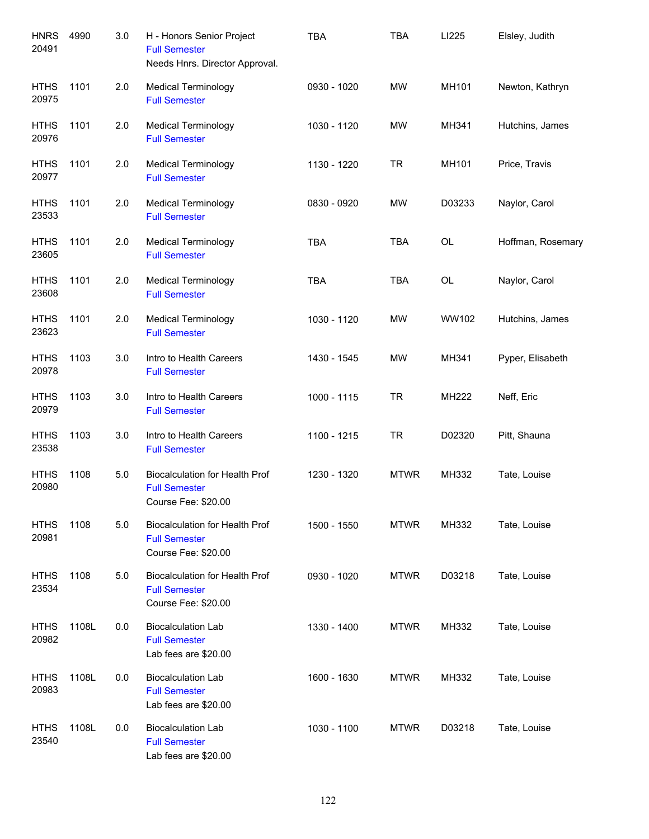| <b>HNRS</b><br>20491 | 4990  | 3.0 | H - Honors Senior Project<br><b>Full Semester</b><br>Needs Hnrs. Director Approval.  | <b>TBA</b>  | <b>TBA</b>  | LI225  | Elsley, Judith    |
|----------------------|-------|-----|--------------------------------------------------------------------------------------|-------------|-------------|--------|-------------------|
| <b>HTHS</b><br>20975 | 1101  | 2.0 | <b>Medical Terminology</b><br><b>Full Semester</b>                                   | 0930 - 1020 | <b>MW</b>   | MH101  | Newton, Kathryn   |
| <b>HTHS</b><br>20976 | 1101  | 2.0 | <b>Medical Terminology</b><br><b>Full Semester</b>                                   | 1030 - 1120 | <b>MW</b>   | MH341  | Hutchins, James   |
| <b>HTHS</b><br>20977 | 1101  | 2.0 | <b>Medical Terminology</b><br><b>Full Semester</b>                                   | 1130 - 1220 | <b>TR</b>   | MH101  | Price, Travis     |
| <b>HTHS</b><br>23533 | 1101  | 2.0 | <b>Medical Terminology</b><br><b>Full Semester</b>                                   | 0830 - 0920 | <b>MW</b>   | D03233 | Naylor, Carol     |
| <b>HTHS</b><br>23605 | 1101  | 2.0 | <b>Medical Terminology</b><br><b>Full Semester</b>                                   | <b>TBA</b>  | <b>TBA</b>  | OL     | Hoffman, Rosemary |
| <b>HTHS</b><br>23608 | 1101  | 2.0 | <b>Medical Terminology</b><br><b>Full Semester</b>                                   | <b>TBA</b>  | <b>TBA</b>  | OL     | Naylor, Carol     |
| <b>HTHS</b><br>23623 | 1101  | 2.0 | <b>Medical Terminology</b><br><b>Full Semester</b>                                   | 1030 - 1120 | <b>MW</b>   | WW102  | Hutchins, James   |
| <b>HTHS</b><br>20978 | 1103  | 3.0 | Intro to Health Careers<br><b>Full Semester</b>                                      | 1430 - 1545 | <b>MW</b>   | MH341  | Pyper, Elisabeth  |
| <b>HTHS</b><br>20979 | 1103  | 3.0 | Intro to Health Careers<br><b>Full Semester</b>                                      | 1000 - 1115 | <b>TR</b>   | MH222  | Neff, Eric        |
| <b>HTHS</b><br>23538 | 1103  | 3.0 | Intro to Health Careers<br><b>Full Semester</b>                                      | 1100 - 1215 | <b>TR</b>   | D02320 | Pitt, Shauna      |
| <b>HTHS</b><br>20980 | 1108  | 5.0 | <b>Biocalculation for Health Prof</b><br><b>Full Semester</b><br>Course Fee: \$20.00 | 1230 - 1320 | <b>MTWR</b> | MH332  | Tate, Louise      |
| <b>HTHS</b><br>20981 | 1108  | 5.0 | <b>Biocalculation for Health Prof</b><br><b>Full Semester</b><br>Course Fee: \$20.00 | 1500 - 1550 | <b>MTWR</b> | MH332  | Tate, Louise      |
| <b>HTHS</b><br>23534 | 1108  | 5.0 | <b>Biocalculation for Health Prof</b><br><b>Full Semester</b><br>Course Fee: \$20.00 | 0930 - 1020 | <b>MTWR</b> | D03218 | Tate, Louise      |
| <b>HTHS</b><br>20982 | 1108L | 0.0 | <b>Biocalculation Lab</b><br><b>Full Semester</b><br>Lab fees are \$20.00            | 1330 - 1400 | <b>MTWR</b> | MH332  | Tate, Louise      |
| <b>HTHS</b><br>20983 | 1108L | 0.0 | <b>Biocalculation Lab</b><br><b>Full Semester</b><br>Lab fees are \$20.00            | 1600 - 1630 | <b>MTWR</b> | MH332  | Tate, Louise      |
| <b>HTHS</b><br>23540 | 1108L | 0.0 | <b>Biocalculation Lab</b><br><b>Full Semester</b><br>Lab fees are \$20.00            | 1030 - 1100 | <b>MTWR</b> | D03218 | Tate, Louise      |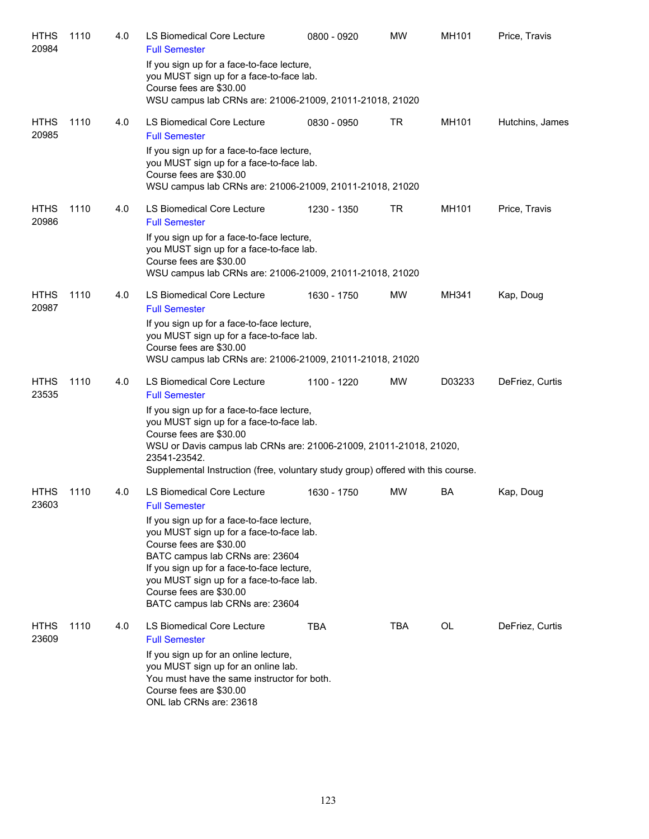| <b>HTHS</b><br>20984 | 1110 | 4.0 | LS Biomedical Core Lecture<br><b>Full Semester</b>                                                                                                                                                                                                                                                           | 0800 - 0920 | <b>MW</b>  | <b>MH101</b> | Price, Travis   |
|----------------------|------|-----|--------------------------------------------------------------------------------------------------------------------------------------------------------------------------------------------------------------------------------------------------------------------------------------------------------------|-------------|------------|--------------|-----------------|
|                      |      |     | If you sign up for a face-to-face lecture,<br>you MUST sign up for a face-to-face lab.<br>Course fees are \$30.00                                                                                                                                                                                            |             |            |              |                 |
|                      |      |     | WSU campus lab CRNs are: 21006-21009, 21011-21018, 21020                                                                                                                                                                                                                                                     |             |            |              |                 |
| <b>HTHS</b><br>20985 | 1110 | 4.0 | LS Biomedical Core Lecture<br><b>Full Semester</b>                                                                                                                                                                                                                                                           | 0830 - 0950 | TR         | MH101        | Hutchins, James |
|                      |      |     | If you sign up for a face-to-face lecture,<br>you MUST sign up for a face-to-face lab.<br>Course fees are \$30.00<br>WSU campus lab CRNs are: 21006-21009, 21011-21018, 21020                                                                                                                                |             |            |              |                 |
| <b>HTHS</b><br>20986 | 1110 | 4.0 | LS Biomedical Core Lecture<br><b>Full Semester</b>                                                                                                                                                                                                                                                           | 1230 - 1350 | TR         | MH101        | Price, Travis   |
|                      |      |     | If you sign up for a face-to-face lecture,<br>you MUST sign up for a face-to-face lab.<br>Course fees are \$30.00<br>WSU campus lab CRNs are: 21006-21009, 21011-21018, 21020                                                                                                                                |             |            |              |                 |
| <b>HTHS</b><br>20987 | 1110 | 4.0 | LS Biomedical Core Lecture<br><b>Full Semester</b>                                                                                                                                                                                                                                                           | 1630 - 1750 | MW         | MH341        | Kap, Doug       |
|                      |      |     | If you sign up for a face-to-face lecture,<br>you MUST sign up for a face-to-face lab.<br>Course fees are \$30.00<br>WSU campus lab CRNs are: 21006-21009, 21011-21018, 21020                                                                                                                                |             |            |              |                 |
| <b>HTHS</b><br>23535 | 1110 | 4.0 | LS Biomedical Core Lecture<br><b>Full Semester</b>                                                                                                                                                                                                                                                           | 1100 - 1220 | MW         | D03233       | DeFriez, Curtis |
|                      |      |     | If you sign up for a face-to-face lecture,<br>you MUST sign up for a face-to-face lab.<br>Course fees are \$30.00<br>WSU or Davis campus lab CRNs are: 21006-21009, 21011-21018, 21020,<br>23541-23542.<br>Supplemental Instruction (free, voluntary study group) offered with this course.                  |             |            |              |                 |
| <b>HTHS</b><br>23603 | 1110 | 4.0 | LS Biomedical Core Lecture<br><b>Full Semester</b>                                                                                                                                                                                                                                                           | 1630 - 1750 | <b>MW</b>  | BA           | Kap, Doug       |
|                      |      |     | If you sign up for a face-to-face lecture,<br>you MUST sign up for a face-to-face lab.<br>Course fees are \$30.00<br>BATC campus lab CRNs are: 23604<br>If you sign up for a face-to-face lecture,<br>you MUST sign up for a face-to-face lab.<br>Course fees are \$30.00<br>BATC campus lab CRNs are: 23604 |             |            |              |                 |
| <b>HTHS</b><br>23609 | 1110 | 4.0 | LS Biomedical Core Lecture<br><b>Full Semester</b>                                                                                                                                                                                                                                                           | TBA         | <b>TBA</b> | OL           | DeFriez, Curtis |
|                      |      |     | If you sign up for an online lecture,<br>you MUST sign up for an online lab.<br>You must have the same instructor for both.<br>Course fees are \$30.00<br>ONL lab CRNs are: 23618                                                                                                                            |             |            |              |                 |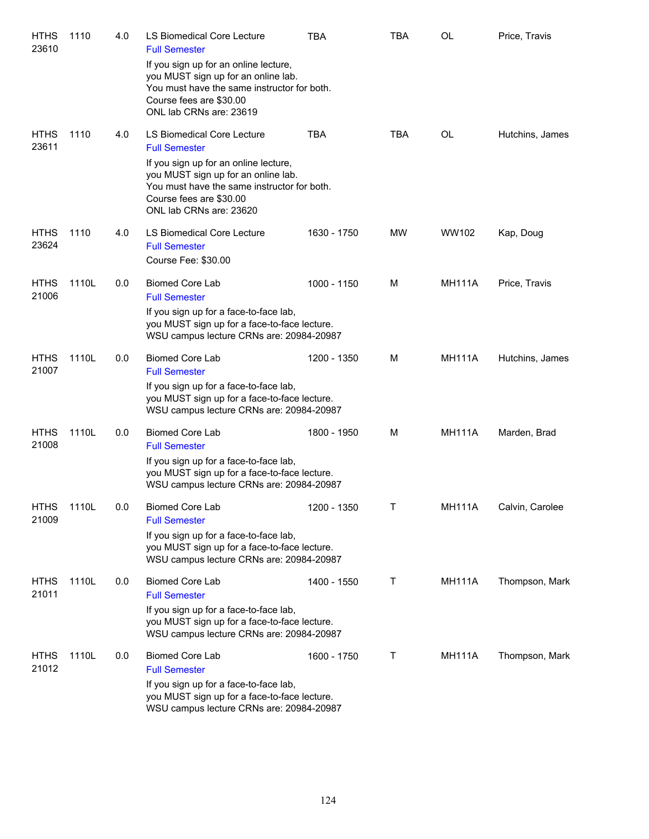| <b>HTHS</b><br>23610 | 1110  | 4.0 | LS Biomedical Core Lecture<br><b>Full Semester</b><br>If you sign up for an online lecture,<br>you MUST sign up for an online lab.<br>You must have the same instructor for both.<br>Course fees are \$30.00<br>ONL lab CRNs are: 23619 | TBA         | <b>TBA</b> | <b>OL</b>     | Price, Travis   |
|----------------------|-------|-----|-----------------------------------------------------------------------------------------------------------------------------------------------------------------------------------------------------------------------------------------|-------------|------------|---------------|-----------------|
| <b>HTHS</b><br>23611 | 1110  | 4.0 | LS Biomedical Core Lecture<br><b>Full Semester</b><br>If you sign up for an online lecture,<br>you MUST sign up for an online lab.<br>You must have the same instructor for both.<br>Course fees are \$30.00<br>ONL lab CRNs are: 23620 | <b>TBA</b>  | <b>TBA</b> | OL            | Hutchins, James |
| <b>HTHS</b><br>23624 | 1110  | 4.0 | LS Biomedical Core Lecture<br><b>Full Semester</b><br>Course Fee: \$30.00                                                                                                                                                               | 1630 - 1750 | MW         | WW102         | Kap, Doug       |
| <b>HTHS</b><br>21006 | 1110L | 0.0 | <b>Biomed Core Lab</b><br><b>Full Semester</b><br>If you sign up for a face-to-face lab,<br>you MUST sign up for a face-to-face lecture.<br>WSU campus lecture CRNs are: 20984-20987                                                    | 1000 - 1150 | M          | <b>MH111A</b> | Price, Travis   |
| <b>HTHS</b><br>21007 | 1110L | 0.0 | <b>Biomed Core Lab</b><br><b>Full Semester</b><br>If you sign up for a face-to-face lab,<br>you MUST sign up for a face-to-face lecture.<br>WSU campus lecture CRNs are: 20984-20987                                                    | 1200 - 1350 | M          | <b>MH111A</b> | Hutchins, James |
| <b>HTHS</b><br>21008 | 1110L | 0.0 | <b>Biomed Core Lab</b><br><b>Full Semester</b><br>If you sign up for a face-to-face lab,<br>you MUST sign up for a face-to-face lecture.<br>WSU campus lecture CRNs are: 20984-20987                                                    | 1800 - 1950 | M          | <b>MH111A</b> | Marden, Brad    |
| <b>HTHS</b><br>21009 | 1110L | 0.0 | Biomed Core Lab<br><b>Full Semester</b><br>If you sign up for a face-to-face lab,<br>you MUST sign up for a face-to-face lecture.<br>WSU campus lecture CRNs are: 20984-20987                                                           | 1200 - 1350 | Τ          | <b>MH111A</b> | Calvin, Carolee |
| <b>HTHS</b><br>21011 | 1110L | 0.0 | <b>Biomed Core Lab</b><br><b>Full Semester</b><br>If you sign up for a face-to-face lab,<br>you MUST sign up for a face-to-face lecture.<br>WSU campus lecture CRNs are: 20984-20987                                                    | 1400 - 1550 | Τ          | <b>MH111A</b> | Thompson, Mark  |
| <b>HTHS</b><br>21012 | 1110L | 0.0 | <b>Biomed Core Lab</b><br><b>Full Semester</b><br>If you sign up for a face-to-face lab,<br>you MUST sign up for a face-to-face lecture.<br>WSU campus lecture CRNs are: 20984-20987                                                    | 1600 - 1750 | Τ          | <b>MH111A</b> | Thompson, Mark  |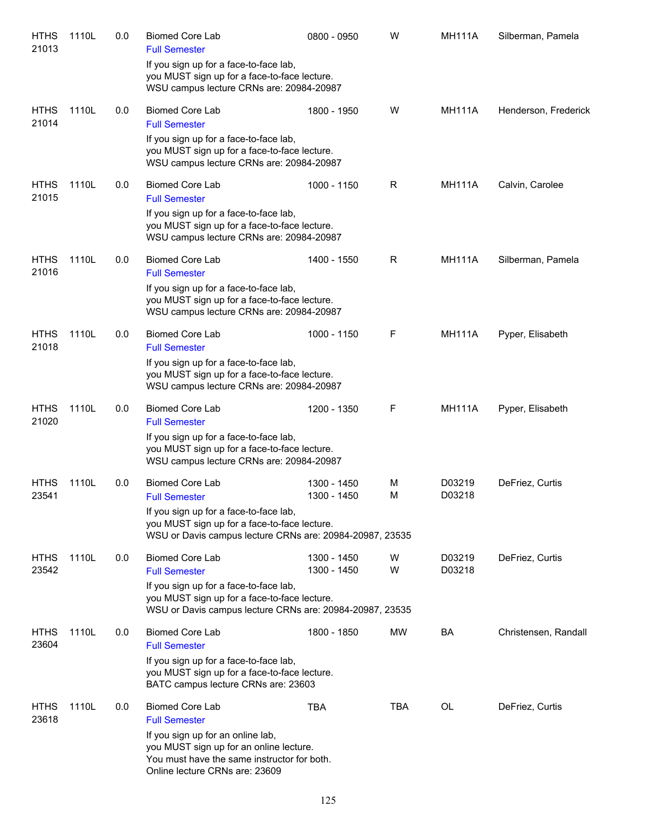| <b>HTHS</b><br>21013 | 1110L | 0.0 | <b>Biomed Core Lab</b><br><b>Full Semester</b>                                                                                                                             | 0800 - 0950                | W          | <b>MH111A</b>    | Silberman, Pamela    |
|----------------------|-------|-----|----------------------------------------------------------------------------------------------------------------------------------------------------------------------------|----------------------------|------------|------------------|----------------------|
|                      |       |     | If you sign up for a face-to-face lab,<br>you MUST sign up for a face-to-face lecture.<br>WSU campus lecture CRNs are: 20984-20987                                         |                            |            |                  |                      |
| <b>HTHS</b><br>21014 | 1110L | 0.0 | <b>Biomed Core Lab</b><br><b>Full Semester</b>                                                                                                                             | 1800 - 1950                | W          | <b>MH111A</b>    | Henderson, Frederick |
|                      |       |     | If you sign up for a face-to-face lab,<br>you MUST sign up for a face-to-face lecture.<br>WSU campus lecture CRNs are: 20984-20987                                         |                            |            |                  |                      |
| <b>HTHS</b><br>21015 | 1110L | 0.0 | <b>Biomed Core Lab</b><br><b>Full Semester</b>                                                                                                                             | 1000 - 1150                | R          | <b>MH111A</b>    | Calvin, Carolee      |
|                      |       |     | If you sign up for a face-to-face lab,<br>you MUST sign up for a face-to-face lecture.<br>WSU campus lecture CRNs are: 20984-20987                                         |                            |            |                  |                      |
| <b>HTHS</b><br>21016 | 1110L | 0.0 | <b>Biomed Core Lab</b><br><b>Full Semester</b>                                                                                                                             | 1400 - 1550                | R          | <b>MH111A</b>    | Silberman, Pamela    |
|                      |       |     | If you sign up for a face-to-face lab,<br>you MUST sign up for a face-to-face lecture.<br>WSU campus lecture CRNs are: 20984-20987                                         |                            |            |                  |                      |
| <b>HTHS</b><br>21018 | 1110L | 0.0 | <b>Biomed Core Lab</b><br><b>Full Semester</b>                                                                                                                             | 1000 - 1150                | F          | <b>MH111A</b>    | Pyper, Elisabeth     |
|                      |       |     | If you sign up for a face-to-face lab,<br>you MUST sign up for a face-to-face lecture.<br>WSU campus lecture CRNs are: 20984-20987                                         |                            |            |                  |                      |
| <b>HTHS</b><br>21020 | 1110L | 0.0 | <b>Biomed Core Lab</b><br><b>Full Semester</b>                                                                                                                             | 1200 - 1350                | F          | <b>MH111A</b>    | Pyper, Elisabeth     |
|                      |       |     | If you sign up for a face-to-face lab,<br>you MUST sign up for a face-to-face lecture.<br>WSU campus lecture CRNs are: 20984-20987                                         |                            |            |                  |                      |
| <b>HTHS</b><br>23541 | 1110L | 0.0 | <b>Biomed Core Lab</b><br><b>Full Semester</b>                                                                                                                             | 1300 - 1450<br>1300 - 1450 | M<br>M     | D03219<br>D03218 | DeFriez, Curtis      |
|                      |       |     | If you sign up for a face-to-face lab,<br>you MUST sign up for a face-to-face lecture.<br>WSU or Davis campus lecture CRNs are: 20984-20987, 23535                         |                            |            |                  |                      |
| <b>HTHS</b><br>23542 | 1110L | 0.0 | <b>Biomed Core Lab</b>                                                                                                                                                     | 1300 - 1450<br>1300 - 1450 | W<br>W     | D03219<br>D03218 | DeFriez, Curtis      |
|                      |       |     | <b>Full Semester</b><br>If you sign up for a face-to-face lab,<br>you MUST sign up for a face-to-face lecture.<br>WSU or Davis campus lecture CRNs are: 20984-20987, 23535 |                            |            |                  |                      |
| <b>HTHS</b><br>23604 | 1110L | 0.0 | <b>Biomed Core Lab</b><br><b>Full Semester</b>                                                                                                                             | 1800 - 1850                | MW         | BA               | Christensen, Randall |
|                      |       |     | If you sign up for a face-to-face lab,<br>you MUST sign up for a face-to-face lecture.<br>BATC campus lecture CRNs are: 23603                                              |                            |            |                  |                      |
| <b>HTHS</b><br>23618 | 1110L | 0.0 | <b>Biomed Core Lab</b><br><b>Full Semester</b>                                                                                                                             | <b>TBA</b>                 | <b>TBA</b> | OL               | DeFriez, Curtis      |
|                      |       |     | If you sign up for an online lab,<br>you MUST sign up for an online lecture.<br>You must have the same instructor for both.<br>Online lecture CRNs are: 23609              |                            |            |                  |                      |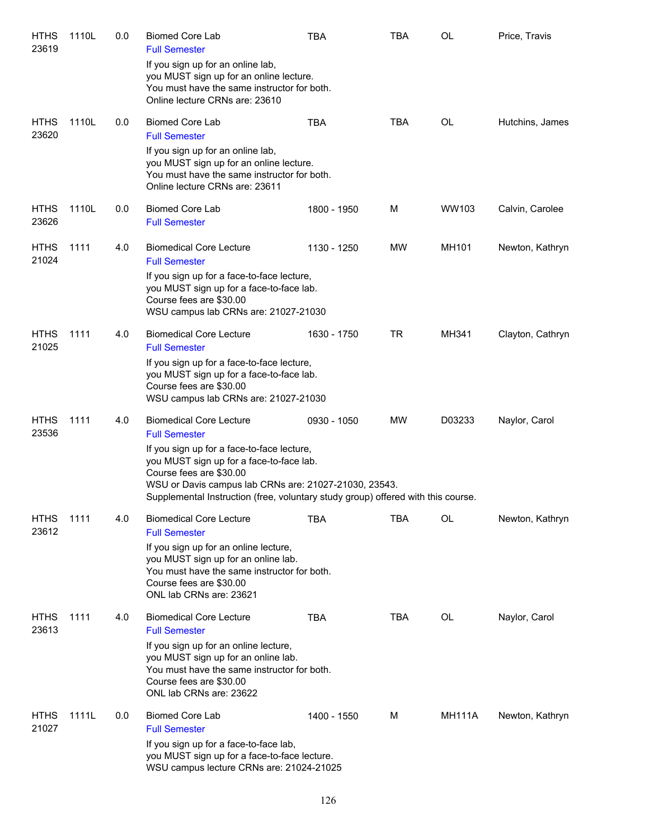| <b>HTHS</b><br>23619 | 1110L | 0.0 | <b>Biomed Core Lab</b><br><b>Full Semester</b>                                                                                                                                                                                                                 | <b>TBA</b>  | <b>TBA</b> | <b>OL</b>     | Price, Travis    |
|----------------------|-------|-----|----------------------------------------------------------------------------------------------------------------------------------------------------------------------------------------------------------------------------------------------------------------|-------------|------------|---------------|------------------|
|                      |       |     | If you sign up for an online lab,<br>you MUST sign up for an online lecture.<br>You must have the same instructor for both.<br>Online lecture CRNs are: 23610                                                                                                  |             |            |               |                  |
| <b>HTHS</b><br>23620 | 1110L | 0.0 | <b>Biomed Core Lab</b><br><b>Full Semester</b>                                                                                                                                                                                                                 | <b>TBA</b>  | TBA        | <b>OL</b>     | Hutchins, James  |
|                      |       |     | If you sign up for an online lab,<br>you MUST sign up for an online lecture.<br>You must have the same instructor for both.<br>Online lecture CRNs are: 23611                                                                                                  |             |            |               |                  |
| <b>HTHS</b><br>23626 | 1110L | 0.0 | <b>Biomed Core Lab</b><br><b>Full Semester</b>                                                                                                                                                                                                                 | 1800 - 1950 | M          | WW103         | Calvin, Carolee  |
| <b>HTHS</b><br>21024 | 1111  | 4.0 | <b>Biomedical Core Lecture</b><br><b>Full Semester</b>                                                                                                                                                                                                         | 1130 - 1250 | MW         | MH101         | Newton, Kathryn  |
|                      |       |     | If you sign up for a face-to-face lecture,<br>you MUST sign up for a face-to-face lab.<br>Course fees are \$30.00<br>WSU campus lab CRNs are: 21027-21030                                                                                                      |             |            |               |                  |
| <b>HTHS</b><br>21025 | 1111  | 4.0 | <b>Biomedical Core Lecture</b><br><b>Full Semester</b>                                                                                                                                                                                                         | 1630 - 1750 | <b>TR</b>  | MH341         | Clayton, Cathryn |
|                      |       |     | If you sign up for a face-to-face lecture,<br>you MUST sign up for a face-to-face lab.<br>Course fees are \$30.00<br>WSU campus lab CRNs are: 21027-21030                                                                                                      |             |            |               |                  |
| <b>HTHS</b><br>23536 | 1111  | 4.0 | <b>Biomedical Core Lecture</b><br><b>Full Semester</b>                                                                                                                                                                                                         | 0930 - 1050 | MW         | D03233        | Naylor, Carol    |
|                      |       |     | If you sign up for a face-to-face lecture,<br>you MUST sign up for a face-to-face lab.<br>Course fees are \$30.00<br>WSU or Davis campus lab CRNs are: 21027-21030, 23543.<br>Supplemental Instruction (free, voluntary study group) offered with this course. |             |            |               |                  |
| <b>HTHS</b><br>23612 | 1111  | 4.0 | <b>Biomedical Core Lecture</b><br><b>Full Semester</b>                                                                                                                                                                                                         | <b>TBA</b>  | TBA        | OL            | Newton, Kathryn  |
|                      |       |     | If you sign up for an online lecture,<br>you MUST sign up for an online lab.<br>You must have the same instructor for both.<br>Course fees are \$30.00<br>ONL lab CRNs are: 23621                                                                              |             |            |               |                  |
| <b>HTHS</b><br>23613 | 1111  | 4.0 | <b>Biomedical Core Lecture</b><br><b>Full Semester</b>                                                                                                                                                                                                         | <b>TBA</b>  | TBA        | OL            | Naylor, Carol    |
|                      |       |     | If you sign up for an online lecture,<br>you MUST sign up for an online lab.<br>You must have the same instructor for both.<br>Course fees are \$30.00<br>ONL lab CRNs are: 23622                                                                              |             |            |               |                  |
| <b>HTHS</b><br>21027 | 1111L | 0.0 | <b>Biomed Core Lab</b><br><b>Full Semester</b>                                                                                                                                                                                                                 | 1400 - 1550 | M          | <b>MH111A</b> | Newton, Kathryn  |
|                      |       |     | If you sign up for a face-to-face lab,<br>you MUST sign up for a face-to-face lecture.<br>WSU campus lecture CRNs are: 21024-21025                                                                                                                             |             |            |               |                  |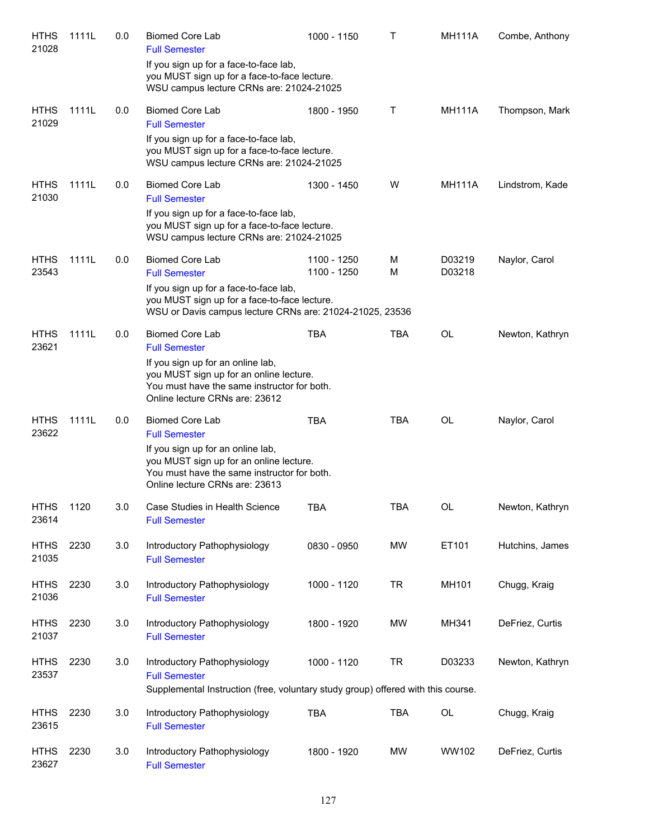| <b>HTHS</b><br>21028 | 1111L | 0.0 | <b>Biomed Core Lab</b><br><b>Full Semester</b>                                                                                                                                                                  | 1000 - 1150                | T          | <b>MH111A</b>    | Combe, Anthony  |
|----------------------|-------|-----|-----------------------------------------------------------------------------------------------------------------------------------------------------------------------------------------------------------------|----------------------------|------------|------------------|-----------------|
|                      |       |     | If you sign up for a face-to-face lab,<br>you MUST sign up for a face-to-face lecture.<br>WSU campus lecture CRNs are: 21024-21025                                                                              |                            |            |                  |                 |
| <b>HTHS</b><br>21029 | 1111L | 0.0 | <b>Biomed Core Lab</b><br><b>Full Semester</b>                                                                                                                                                                  | 1800 - 1950                | Т          | <b>MH111A</b>    | Thompson, Mark  |
|                      |       |     | If you sign up for a face-to-face lab,<br>you MUST sign up for a face-to-face lecture.<br>WSU campus lecture CRNs are: 21024-21025                                                                              |                            |            |                  |                 |
| <b>HTHS</b>          | 1111L | 0.0 | <b>Biomed Core Lab</b>                                                                                                                                                                                          | 1300 - 1450                | W          | <b>MH111A</b>    | Lindstrom, Kade |
| 21030                |       |     | <b>Full Semester</b><br>If you sign up for a face-to-face lab,<br>you MUST sign up for a face-to-face lecture.<br>WSU campus lecture CRNs are: 21024-21025                                                      |                            |            |                  |                 |
| <b>HTHS</b><br>23543 | 1111L | 0.0 | <b>Biomed Core Lab</b><br><b>Full Semester</b>                                                                                                                                                                  | 1100 - 1250<br>1100 - 1250 | M<br>M     | D03219<br>D03218 | Naylor, Carol   |
|                      |       |     | If you sign up for a face-to-face lab,<br>you MUST sign up for a face-to-face lecture.<br>WSU or Davis campus lecture CRNs are: 21024-21025, 23536                                                              |                            |            |                  |                 |
| <b>HTHS</b><br>23621 | 1111L | 0.0 | <b>Biomed Core Lab</b><br><b>Full Semester</b><br>If you sign up for an online lab,<br>you MUST sign up for an online lecture.<br>You must have the same instructor for both.<br>Online lecture CRNs are: 23612 | <b>TBA</b>                 | <b>TBA</b> | <b>OL</b>        | Newton, Kathryn |
| <b>HTHS</b><br>23622 | 1111L | 0.0 | <b>Biomed Core Lab</b><br><b>Full Semester</b><br>If you sign up for an online lab,<br>you MUST sign up for an online lecture.<br>You must have the same instructor for both.<br>Online lecture CRNs are: 23613 | <b>TBA</b>                 | <b>TBA</b> | OL               | Naylor, Carol   |
| <b>HTHS</b><br>23614 | 1120  | 3.0 | Case Studies in Health Science<br><b>Full Semester</b>                                                                                                                                                          | <b>TBA</b>                 | <b>TBA</b> | OL               | Newton, Kathryn |
| <b>HTHS</b><br>21035 | 2230  | 3.0 | Introductory Pathophysiology<br><b>Full Semester</b>                                                                                                                                                            | 0830 - 0950                | <b>MW</b>  | ET101            | Hutchins, James |
| <b>HTHS</b><br>21036 | 2230  | 3.0 | Introductory Pathophysiology<br><b>Full Semester</b>                                                                                                                                                            | 1000 - 1120                | <b>TR</b>  | MH101            | Chugg, Kraig    |
| <b>HTHS</b><br>21037 | 2230  | 3.0 | Introductory Pathophysiology<br><b>Full Semester</b>                                                                                                                                                            | 1800 - 1920                | <b>MW</b>  | MH341            | DeFriez, Curtis |
| <b>HTHS</b><br>23537 | 2230  | 3.0 | Introductory Pathophysiology<br><b>Full Semester</b>                                                                                                                                                            | 1000 - 1120                | <b>TR</b>  | D03233           | Newton, Kathryn |
|                      |       |     | Supplemental Instruction (free, voluntary study group) offered with this course.                                                                                                                                |                            |            |                  |                 |
| <b>HTHS</b><br>23615 | 2230  | 3.0 | Introductory Pathophysiology<br><b>Full Semester</b>                                                                                                                                                            | <b>TBA</b>                 | <b>TBA</b> | $\mathsf{OL}%$   | Chugg, Kraig    |
| <b>HTHS</b><br>23627 | 2230  | 3.0 | Introductory Pathophysiology<br><b>Full Semester</b>                                                                                                                                                            | 1800 - 1920                | MW         | WW102            | DeFriez, Curtis |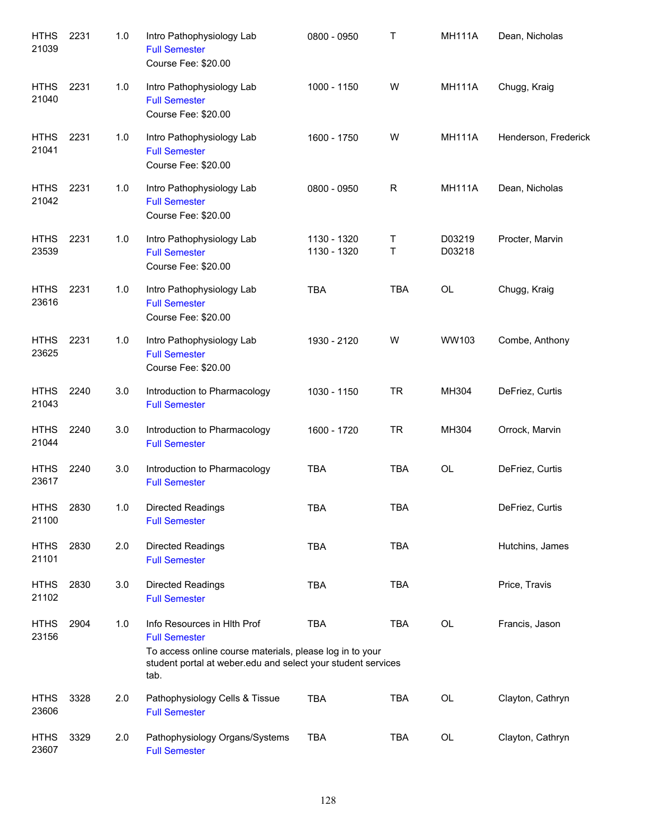| <b>HTHS</b><br>21039 | 2231 | 1.0 | Intro Pathophysiology Lab<br><b>Full Semester</b><br>Course Fee: \$20.00                                                                                                                | 0800 - 0950                | Τ          | <b>MH111A</b>    | Dean, Nicholas       |
|----------------------|------|-----|-----------------------------------------------------------------------------------------------------------------------------------------------------------------------------------------|----------------------------|------------|------------------|----------------------|
| <b>HTHS</b><br>21040 | 2231 | 1.0 | Intro Pathophysiology Lab<br><b>Full Semester</b><br>Course Fee: \$20.00                                                                                                                | 1000 - 1150                | W          | <b>MH111A</b>    | Chugg, Kraig         |
| <b>HTHS</b><br>21041 | 2231 | 1.0 | Intro Pathophysiology Lab<br><b>Full Semester</b><br>Course Fee: \$20.00                                                                                                                | 1600 - 1750                | W          | <b>MH111A</b>    | Henderson, Frederick |
| <b>HTHS</b><br>21042 | 2231 | 1.0 | Intro Pathophysiology Lab<br><b>Full Semester</b><br>Course Fee: \$20.00                                                                                                                | 0800 - 0950                | R          | <b>MH111A</b>    | Dean, Nicholas       |
| <b>HTHS</b><br>23539 | 2231 | 1.0 | Intro Pathophysiology Lab<br><b>Full Semester</b><br>Course Fee: \$20.00                                                                                                                | 1130 - 1320<br>1130 - 1320 | Τ<br>T     | D03219<br>D03218 | Procter, Marvin      |
| <b>HTHS</b><br>23616 | 2231 | 1.0 | Intro Pathophysiology Lab<br><b>Full Semester</b><br>Course Fee: \$20.00                                                                                                                | <b>TBA</b>                 | <b>TBA</b> | OL               | Chugg, Kraig         |
| <b>HTHS</b><br>23625 | 2231 | 1.0 | Intro Pathophysiology Lab<br><b>Full Semester</b><br>Course Fee: \$20.00                                                                                                                | 1930 - 2120                | W          | WW103            | Combe, Anthony       |
| <b>HTHS</b><br>21043 | 2240 | 3.0 | Introduction to Pharmacology<br><b>Full Semester</b>                                                                                                                                    | 1030 - 1150                | <b>TR</b>  | MH304            | DeFriez, Curtis      |
| <b>HTHS</b><br>21044 | 2240 | 3.0 | Introduction to Pharmacology<br><b>Full Semester</b>                                                                                                                                    | 1600 - 1720                | <b>TR</b>  | MH304            | Orrock, Marvin       |
| <b>HTHS</b><br>23617 | 2240 | 3.0 | Introduction to Pharmacology<br><b>Full Semester</b>                                                                                                                                    | <b>TBA</b>                 | <b>TBA</b> | OL               | DeFriez, Curtis      |
| HTHS<br>21100        | 2830 | 1.0 | <b>Directed Readings</b><br><b>Full Semester</b>                                                                                                                                        | TBA                        | TBA        |                  | DeFriez, Curtis      |
| <b>HTHS</b><br>21101 | 2830 | 2.0 | Directed Readings<br><b>Full Semester</b>                                                                                                                                               | <b>TBA</b>                 | <b>TBA</b> |                  | Hutchins, James      |
| <b>HTHS</b><br>21102 | 2830 | 3.0 | Directed Readings<br><b>Full Semester</b>                                                                                                                                               | <b>TBA</b>                 | <b>TBA</b> |                  | Price, Travis        |
| <b>HTHS</b><br>23156 | 2904 | 1.0 | Info Resources in Hlth Prof<br><b>Full Semester</b><br>To access online course materials, please log in to your<br>student portal at weber edu and select your student services<br>tab. | <b>TBA</b>                 | <b>TBA</b> | OL               | Francis, Jason       |
| <b>HTHS</b><br>23606 | 3328 | 2.0 | Pathophysiology Cells & Tissue<br><b>Full Semester</b>                                                                                                                                  | <b>TBA</b>                 | <b>TBA</b> | OL               | Clayton, Cathryn     |
| <b>HTHS</b><br>23607 | 3329 | 2.0 | Pathophysiology Organs/Systems<br><b>Full Semester</b>                                                                                                                                  | <b>TBA</b>                 | <b>TBA</b> | OL               | Clayton, Cathryn     |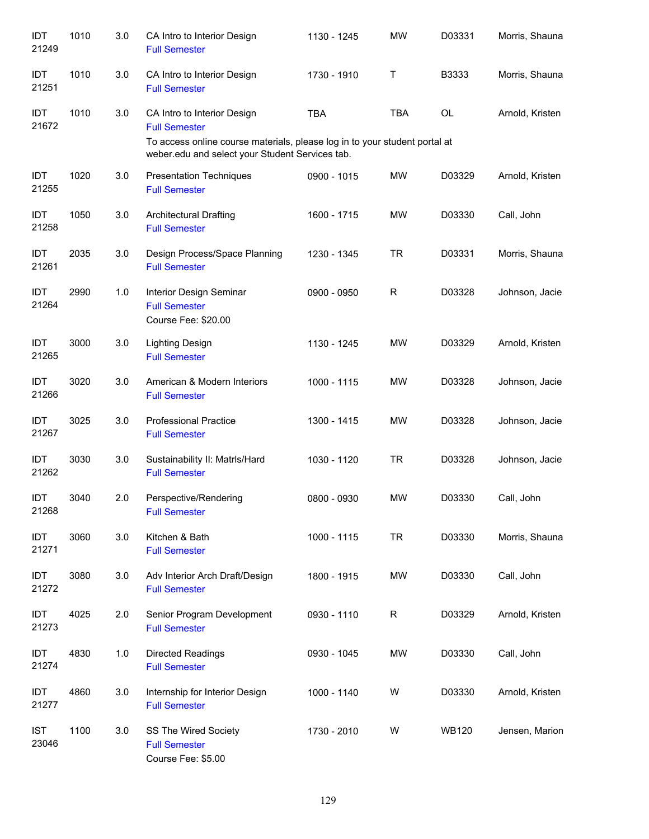| IDT<br>21249        | 1010 | 3.0 | CA Intro to Interior Design<br><b>Full Semester</b>                                                                           | 1130 - 1245 | <b>MW</b>   | D03331       | Morris, Shauna  |
|---------------------|------|-----|-------------------------------------------------------------------------------------------------------------------------------|-------------|-------------|--------------|-----------------|
| IDT<br>21251        | 1010 | 3.0 | CA Intro to Interior Design<br><b>Full Semester</b>                                                                           | 1730 - 1910 | Τ           | B3333        | Morris, Shauna  |
| IDT<br>21672        | 1010 | 3.0 | CA Intro to Interior Design<br><b>Full Semester</b>                                                                           | <b>TBA</b>  | <b>TBA</b>  | <b>OL</b>    | Arnold, Kristen |
|                     |      |     | To access online course materials, please log in to your student portal at<br>weber.edu and select your Student Services tab. |             |             |              |                 |
| IDT<br>21255        | 1020 | 3.0 | <b>Presentation Techniques</b><br><b>Full Semester</b>                                                                        | 0900 - 1015 | <b>MW</b>   | D03329       | Arnold, Kristen |
| IDT<br>21258        | 1050 | 3.0 | <b>Architectural Drafting</b><br><b>Full Semester</b>                                                                         | 1600 - 1715 | <b>MW</b>   | D03330       | Call, John      |
| IDT<br>21261        | 2035 | 3.0 | Design Process/Space Planning<br><b>Full Semester</b>                                                                         | 1230 - 1345 | <b>TR</b>   | D03331       | Morris, Shauna  |
| <b>IDT</b><br>21264 | 2990 | 1.0 | Interior Design Seminar<br><b>Full Semester</b><br>Course Fee: \$20.00                                                        | 0900 - 0950 | R           | D03328       | Johnson, Jacie  |
| <b>IDT</b><br>21265 | 3000 | 3.0 | <b>Lighting Design</b><br><b>Full Semester</b>                                                                                | 1130 - 1245 | <b>MW</b>   | D03329       | Arnold, Kristen |
| <b>IDT</b><br>21266 | 3020 | 3.0 | American & Modern Interiors<br><b>Full Semester</b>                                                                           | 1000 - 1115 | <b>MW</b>   | D03328       | Johnson, Jacie  |
| IDT<br>21267        | 3025 | 3.0 | <b>Professional Practice</b><br><b>Full Semester</b>                                                                          | 1300 - 1415 | <b>MW</b>   | D03328       | Johnson, Jacie  |
| IDT<br>21262        | 3030 | 3.0 | Sustainability II: Matrls/Hard<br><b>Full Semester</b>                                                                        | 1030 - 1120 | TR          | D03328       | Johnson, Jacie  |
| IDT<br>21268        | 3040 | 2.0 | Perspective/Rendering<br><b>Full Semester</b>                                                                                 | 0800 - 0930 | <b>MW</b>   | D03330       | Call, John      |
| IDT<br>21271        | 3060 | 3.0 | Kitchen & Bath<br><b>Full Semester</b>                                                                                        | 1000 - 1115 | <b>TR</b>   | D03330       | Morris, Shauna  |
| IDT<br>21272        | 3080 | 3.0 | Adv Interior Arch Draft/Design<br><b>Full Semester</b>                                                                        | 1800 - 1915 | <b>MW</b>   | D03330       | Call, John      |
| IDT<br>21273        | 4025 | 2.0 | Senior Program Development<br><b>Full Semester</b>                                                                            | 0930 - 1110 | $\mathsf R$ | D03329       | Arnold, Kristen |
| IDT<br>21274        | 4830 | 1.0 | Directed Readings<br><b>Full Semester</b>                                                                                     | 0930 - 1045 | <b>MW</b>   | D03330       | Call, John      |
| IDT<br>21277        | 4860 | 3.0 | Internship for Interior Design<br><b>Full Semester</b>                                                                        | 1000 - 1140 | W           | D03330       | Arnold, Kristen |
| <b>IST</b><br>23046 | 1100 | 3.0 | SS The Wired Society<br><b>Full Semester</b><br>Course Fee: \$5.00                                                            | 1730 - 2010 | W           | <b>WB120</b> | Jensen, Marion  |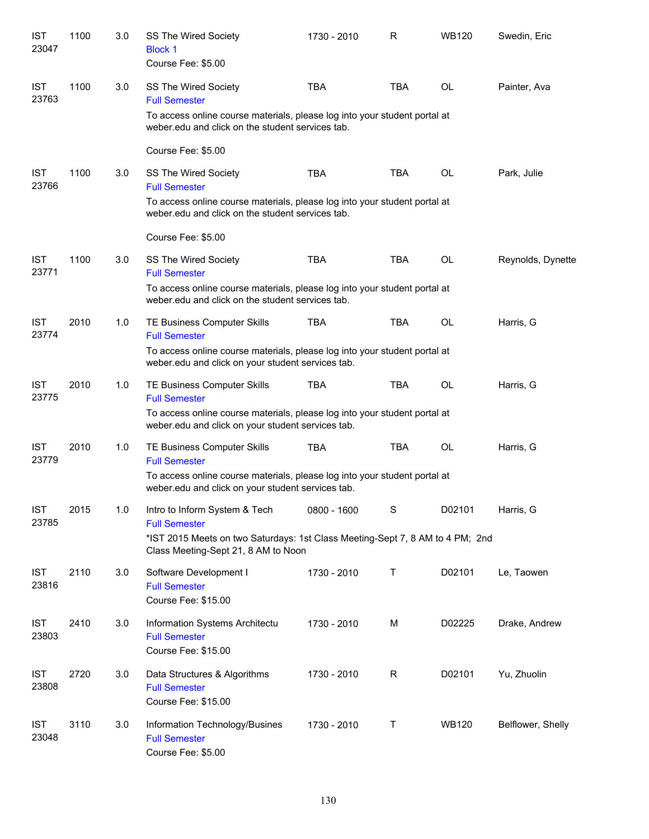| <b>IST</b><br>23047 | 1100 | 3.0 | SS The Wired Society<br><b>Block 1</b><br>Course Fee: \$5.00                                                                   | 1730 - 2010 | R           | <b>WB120</b> | Swedin, Eric      |
|---------------------|------|-----|--------------------------------------------------------------------------------------------------------------------------------|-------------|-------------|--------------|-------------------|
| <b>IST</b><br>23763 | 1100 | 3.0 | SS The Wired Society<br><b>Full Semester</b><br>To access online course materials, please log into your student portal at      | <b>TBA</b>  | <b>TBA</b>  | <b>OL</b>    | Painter, Ava      |
|                     |      |     | weber.edu and click on the student services tab.                                                                               |             |             |              |                   |
|                     |      |     | Course Fee: \$5.00                                                                                                             |             |             |              |                   |
| <b>IST</b><br>23766 | 1100 | 3.0 | SS The Wired Society<br><b>Full Semester</b>                                                                                   | <b>TBA</b>  | <b>TBA</b>  | <b>OL</b>    | Park, Julie       |
|                     |      |     | To access online course materials, please log into your student portal at<br>weber.edu and click on the student services tab.  |             |             |              |                   |
|                     |      |     | Course Fee: \$5.00                                                                                                             |             |             |              |                   |
| <b>IST</b><br>23771 | 1100 | 3.0 | SS The Wired Society<br><b>Full Semester</b>                                                                                   | <b>TBA</b>  | <b>TBA</b>  | OL           | Reynolds, Dynette |
|                     |      |     | To access online course materials, please log into your student portal at<br>weber.edu and click on the student services tab.  |             |             |              |                   |
| <b>IST</b><br>23774 | 2010 | 1.0 | TE Business Computer Skills<br><b>Full Semester</b>                                                                            | TBA         | <b>TBA</b>  | OL           | Harris, G         |
|                     |      |     | To access online course materials, please log into your student portal at<br>weber.edu and click on your student services tab. |             |             |              |                   |
| <b>IST</b><br>23775 | 2010 | 1.0 | TE Business Computer Skills<br><b>Full Semester</b>                                                                            | <b>TBA</b>  | <b>TBA</b>  | <b>OL</b>    | Harris, G         |
|                     |      |     | To access online course materials, please log into your student portal at<br>weber.edu and click on your student services tab. |             |             |              |                   |
| <b>IST</b><br>23779 | 2010 | 1.0 | TE Business Computer Skills<br><b>Full Semester</b>                                                                            | <b>TBA</b>  | <b>TBA</b>  | OL           | Harris, G         |
|                     |      |     | To access online course materials, please log into your student portal at<br>weber.edu and click on your student services tab. |             |             |              |                   |
| <b>IST</b><br>23785 | 2015 | 1.0 | Intro to Inform System & Tech<br><b>Full Semester</b>                                                                          | 0800 - 1600 | $\mathbf S$ | D02101       | Harris, G         |
|                     |      |     | *IST 2015 Meets on two Saturdays: 1st Class Meeting-Sept 7, 8 AM to 4 PM; 2nd<br>Class Meeting-Sept 21, 8 AM to Noon           |             |             |              |                   |
| <b>IST</b><br>23816 | 2110 | 3.0 | Software Development I<br><b>Full Semester</b><br>Course Fee: \$15.00                                                          | 1730 - 2010 | Τ           | D02101       | Le, Taowen        |
| <b>IST</b><br>23803 | 2410 | 3.0 | Information Systems Architectu<br><b>Full Semester</b><br>Course Fee: \$15.00                                                  | 1730 - 2010 | M           | D02225       | Drake, Andrew     |
| <b>IST</b><br>23808 | 2720 | 3.0 | Data Structures & Algorithms<br><b>Full Semester</b><br>Course Fee: \$15.00                                                    | 1730 - 2010 | R           | D02101       | Yu, Zhuolin       |
| <b>IST</b><br>23048 | 3110 | 3.0 | Information Technology/Busines<br><b>Full Semester</b><br>Course Fee: \$5.00                                                   | 1730 - 2010 | Т           | <b>WB120</b> | Belflower, Shelly |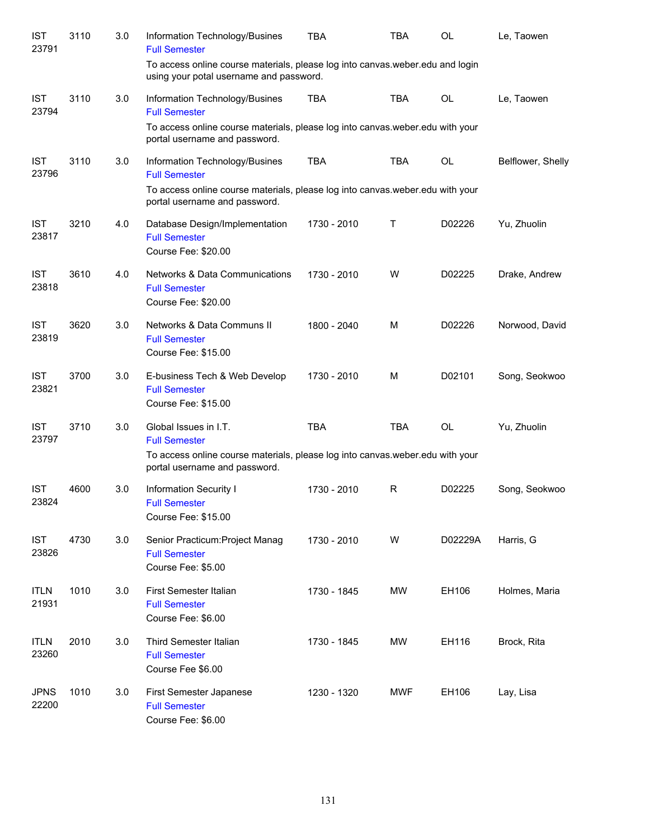| <b>IST</b><br>23791  | 3110 | 3.0 | Information Technology/Busines<br><b>Full Semester</b>                                                                                                          | TBA         | TBA         | <b>OL</b> | Le, Taowen        |
|----------------------|------|-----|-----------------------------------------------------------------------------------------------------------------------------------------------------------------|-------------|-------------|-----------|-------------------|
|                      |      |     | To access online course materials, please log into canvas weber edu and login<br>using your potal username and password.                                        |             |             |           |                   |
| <b>IST</b><br>23794  | 3110 | 3.0 | Information Technology/Busines<br><b>Full Semester</b>                                                                                                          | <b>TBA</b>  | <b>TBA</b>  | <b>OL</b> | Le, Taowen        |
|                      |      |     | To access online course materials, please log into canvas weber edu with your<br>portal username and password.                                                  |             |             |           |                   |
| <b>IST</b><br>23796  | 3110 | 3.0 | Information Technology/Busines<br><b>Full Semester</b>                                                                                                          | <b>TBA</b>  | TBA         | <b>OL</b> | Belflower, Shelly |
|                      |      |     | To access online course materials, please log into canvas weber edu with your<br>portal username and password.                                                  |             |             |           |                   |
| <b>IST</b><br>23817  | 3210 | 4.0 | Database Design/Implementation<br><b>Full Semester</b><br>Course Fee: \$20.00                                                                                   | 1730 - 2010 | $\mathsf T$ | D02226    | Yu, Zhuolin       |
| <b>IST</b><br>23818  | 3610 | 4.0 | Networks & Data Communications<br><b>Full Semester</b><br>Course Fee: \$20.00                                                                                   | 1730 - 2010 | W           | D02225    | Drake, Andrew     |
| <b>IST</b><br>23819  | 3620 | 3.0 | Networks & Data Communs II<br><b>Full Semester</b><br>Course Fee: \$15.00                                                                                       | 1800 - 2040 | M           | D02226    | Norwood, David    |
| <b>IST</b><br>23821  | 3700 | 3.0 | E-business Tech & Web Develop<br><b>Full Semester</b><br>Course Fee: \$15.00                                                                                    | 1730 - 2010 | M           | D02101    | Song, Seokwoo     |
| <b>IST</b><br>23797  | 3710 | 3.0 | Global Issues in I.T.<br><b>Full Semester</b><br>To access online course materials, please log into canvas weber edu with your<br>portal username and password. | <b>TBA</b>  | <b>TBA</b>  | <b>OL</b> | Yu, Zhuolin       |
| <b>IST</b><br>23824  | 4600 | 3.0 | Information Security I<br><b>Full Semester</b><br>Course Fee: \$15.00                                                                                           | 1730 - 2010 | R           | D02225    | Song, Seokwoo     |
| <b>IST</b><br>23826  | 4730 | 3.0 | Senior Practicum: Project Manag<br><b>Full Semester</b><br>Course Fee: \$5.00                                                                                   | 1730 - 2010 | W           | D02229A   | Harris, G         |
| <b>ITLN</b><br>21931 | 1010 | 3.0 | First Semester Italian<br><b>Full Semester</b><br>Course Fee: \$6.00                                                                                            | 1730 - 1845 | MW          | EH106     | Holmes, Maria     |
| <b>ITLN</b><br>23260 | 2010 | 3.0 | Third Semester Italian<br><b>Full Semester</b><br>Course Fee \$6.00                                                                                             | 1730 - 1845 | MW          | EH116     | Brock, Rita       |
| <b>JPNS</b><br>22200 | 1010 | 3.0 | First Semester Japanese<br><b>Full Semester</b><br>Course Fee: \$6.00                                                                                           | 1230 - 1320 | <b>MWF</b>  | EH106     | Lay, Lisa         |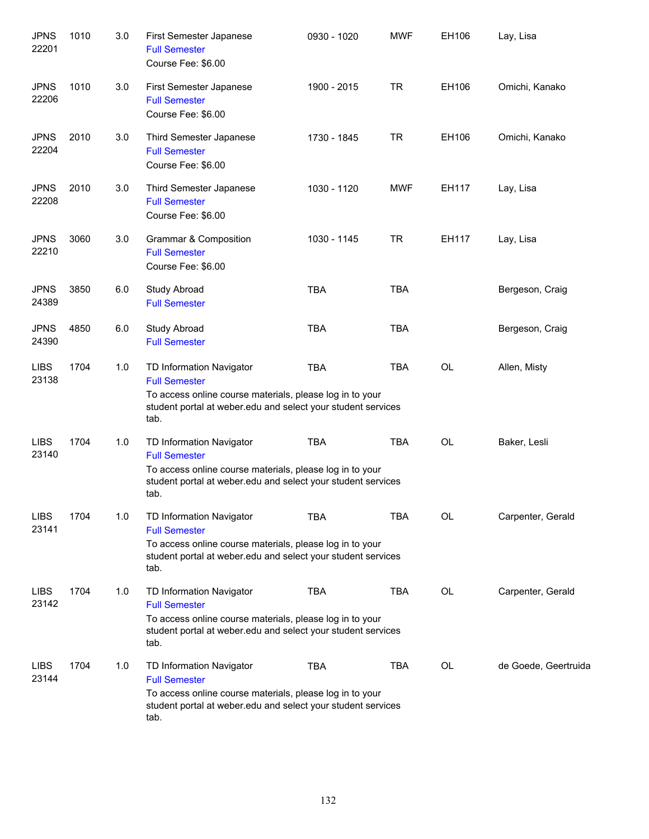| <b>JPNS</b><br>22201 | 1010 | 3.0 | <b>First Semester Japanese</b><br><b>Full Semester</b><br>Course Fee: \$6.00                                                                                                         | 0930 - 1020 | <b>MWF</b> | EH106     | Lay, Lisa            |
|----------------------|------|-----|--------------------------------------------------------------------------------------------------------------------------------------------------------------------------------------|-------------|------------|-----------|----------------------|
| <b>JPNS</b><br>22206 | 1010 | 3.0 | First Semester Japanese<br><b>Full Semester</b><br>Course Fee: \$6.00                                                                                                                | 1900 - 2015 | <b>TR</b>  | EH106     | Omichi, Kanako       |
| <b>JPNS</b><br>22204 | 2010 | 3.0 | Third Semester Japanese<br><b>Full Semester</b><br>Course Fee: \$6.00                                                                                                                | 1730 - 1845 | <b>TR</b>  | EH106     | Omichi, Kanako       |
| <b>JPNS</b><br>22208 | 2010 | 3.0 | Third Semester Japanese<br><b>Full Semester</b><br>Course Fee: \$6.00                                                                                                                | 1030 - 1120 | <b>MWF</b> | EH117     | Lay, Lisa            |
| <b>JPNS</b><br>22210 | 3060 | 3.0 | Grammar & Composition<br><b>Full Semester</b><br>Course Fee: \$6.00                                                                                                                  | 1030 - 1145 | <b>TR</b>  | EH117     | Lay, Lisa            |
| <b>JPNS</b><br>24389 | 3850 | 6.0 | Study Abroad<br><b>Full Semester</b>                                                                                                                                                 | <b>TBA</b>  | <b>TBA</b> |           | Bergeson, Craig      |
| <b>JPNS</b><br>24390 | 4850 | 6.0 | Study Abroad<br><b>Full Semester</b>                                                                                                                                                 | <b>TBA</b>  | <b>TBA</b> |           | Bergeson, Craig      |
| <b>LIBS</b><br>23138 | 1704 | 1.0 | TD Information Navigator<br><b>Full Semester</b><br>To access online course materials, please log in to your<br>student portal at weber edu and select your student services<br>tab. | <b>TBA</b>  | <b>TBA</b> | <b>OL</b> | Allen, Misty         |
| <b>LIBS</b><br>23140 | 1704 | 1.0 | TD Information Navigator<br><b>Full Semester</b><br>To access online course materials, please log in to your<br>student portal at weber edu and select your student services<br>tab. | <b>TBA</b>  | <b>TBA</b> | <b>OL</b> | Baker, Lesli         |
| <b>LIBS</b><br>23141 | 1704 | 1.0 | TD Information Navigator<br><b>Full Semester</b><br>To access online course materials, please log in to your<br>student portal at weber edu and select your student services<br>tab. | <b>TBA</b>  | <b>TBA</b> | <b>OL</b> | Carpenter, Gerald    |
| <b>LIBS</b><br>23142 | 1704 | 1.0 | TD Information Navigator<br><b>Full Semester</b><br>To access online course materials, please log in to your<br>student portal at weber edu and select your student services<br>tab. | <b>TBA</b>  | TBA        | OL        | Carpenter, Gerald    |
| <b>LIBS</b><br>23144 | 1704 | 1.0 | TD Information Navigator<br><b>Full Semester</b><br>To access online course materials, please log in to your<br>student portal at weber edu and select your student services<br>tab. | <b>TBA</b>  | <b>TBA</b> | OL        | de Goede, Geertruida |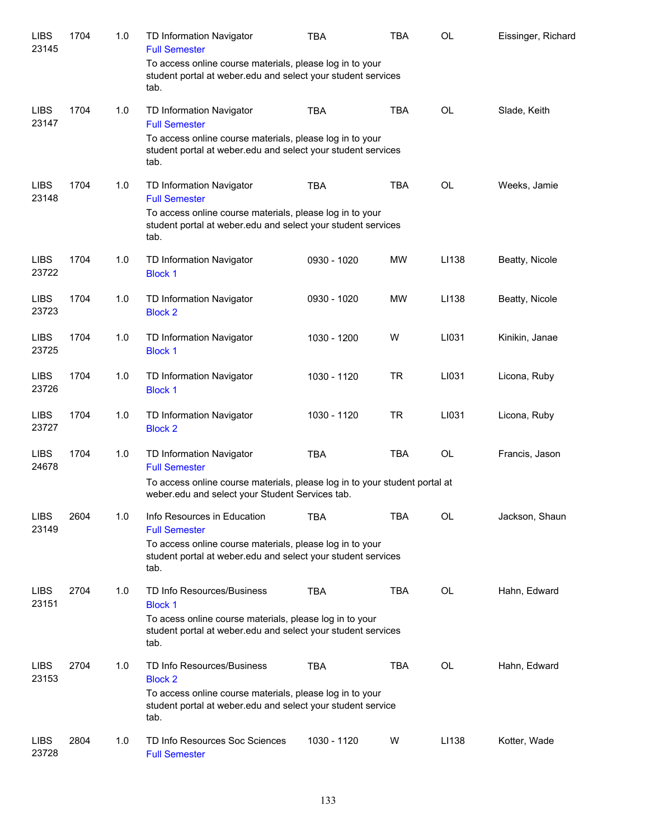| <b>LIBS</b><br>23145 | 1704 | 1.0 | TD Information Navigator<br><b>Full Semester</b>                                                                                 | TBA         | TBA        | OL    | Eissinger, Richard |
|----------------------|------|-----|----------------------------------------------------------------------------------------------------------------------------------|-------------|------------|-------|--------------------|
|                      |      |     | To access online course materials, please log in to your<br>student portal at weber edu and select your student services<br>tab. |             |            |       |                    |
| <b>LIBS</b><br>23147 | 1704 | 1.0 | TD Information Navigator<br><b>Full Semester</b>                                                                                 | <b>TBA</b>  | <b>TBA</b> | OL    | Slade, Keith       |
|                      |      |     | To access online course materials, please log in to your<br>student portal at weber.edu and select your student services<br>tab. |             |            |       |                    |
| <b>LIBS</b><br>23148 | 1704 | 1.0 | TD Information Navigator<br><b>Full Semester</b>                                                                                 | <b>TBA</b>  | <b>TBA</b> | OL    | Weeks, Jamie       |
|                      |      |     | To access online course materials, please log in to your<br>student portal at weber.edu and select your student services<br>tab. |             |            |       |                    |
| <b>LIBS</b><br>23722 | 1704 | 1.0 | TD Information Navigator<br><b>Block 1</b>                                                                                       | 0930 - 1020 | MW         | LI138 | Beatty, Nicole     |
| <b>LIBS</b><br>23723 | 1704 | 1.0 | TD Information Navigator<br><b>Block 2</b>                                                                                       | 0930 - 1020 | MW         | LI138 | Beatty, Nicole     |
| <b>LIBS</b><br>23725 | 1704 | 1.0 | TD Information Navigator<br><b>Block 1</b>                                                                                       | 1030 - 1200 | W          | LI031 | Kinikin, Janae     |
| <b>LIBS</b><br>23726 | 1704 | 1.0 | TD Information Navigator<br><b>Block 1</b>                                                                                       | 1030 - 1120 | <b>TR</b>  | LI031 | Licona, Ruby       |
| <b>LIBS</b><br>23727 | 1704 | 1.0 | TD Information Navigator<br><b>Block 2</b>                                                                                       | 1030 - 1120 | <b>TR</b>  | LI031 | Licona, Ruby       |
| <b>LIBS</b><br>24678 | 1704 | 1.0 | TD Information Navigator<br><b>Full Semester</b>                                                                                 | <b>TBA</b>  | <b>TBA</b> | OL    | Francis, Jason     |
|                      |      |     | To access online course materials, please log in to your student portal at<br>weber.edu and select your Student Services tab.    |             |            |       |                    |
| <b>LIBS</b><br>23149 | 2604 | 1.0 | Info Resources in Education<br><b>Full Semester</b>                                                                              | TBA         | TBA        | OL    | Jackson, Shaun     |
|                      |      |     | To access online course materials, please log in to your<br>student portal at weber edu and select your student services<br>tab. |             |            |       |                    |
| <b>LIBS</b><br>23151 | 2704 | 1.0 | <b>TD Info Resources/Business</b><br><b>Block 1</b>                                                                              | <b>TBA</b>  | <b>TBA</b> | OL    | Hahn, Edward       |
|                      |      |     | To acess online course materials, please log in to your<br>student portal at weber edu and select your student services<br>tab.  |             |            |       |                    |
| <b>LIBS</b><br>23153 | 2704 | 1.0 | <b>TD Info Resources/Business</b><br><b>Block 2</b>                                                                              | <b>TBA</b>  | <b>TBA</b> | OL    | Hahn, Edward       |
|                      |      |     | To access online course materials, please log in to your<br>student portal at weber.edu and select your student service<br>tab.  |             |            |       |                    |
| <b>LIBS</b><br>23728 | 2804 | 1.0 | TD Info Resources Soc Sciences<br><b>Full Semester</b>                                                                           | 1030 - 1120 | W          | LI138 | Kotter, Wade       |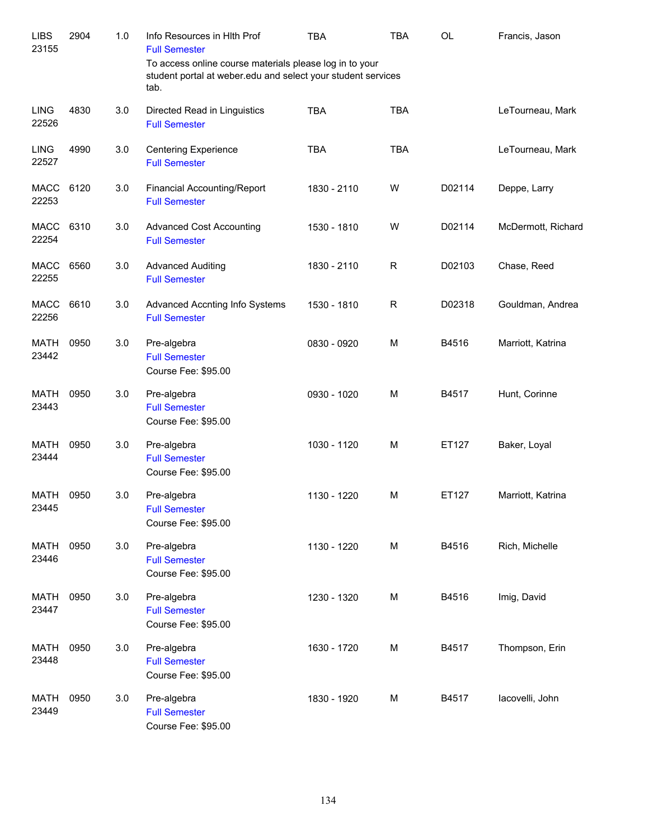| <b>LIBS</b><br>23155 | 2904 | 1.0 | Info Resources in Hith Prof<br><b>Full Semester</b>                                                                             | <b>TBA</b>  | <b>TBA</b> | OL     | Francis, Jason     |
|----------------------|------|-----|---------------------------------------------------------------------------------------------------------------------------------|-------------|------------|--------|--------------------|
|                      |      |     | To access online course materials please log in to your<br>student portal at weber.edu and select your student services<br>tab. |             |            |        |                    |
| <b>LING</b><br>22526 | 4830 | 3.0 | Directed Read in Linguistics<br><b>Full Semester</b>                                                                            | <b>TBA</b>  | <b>TBA</b> |        | LeTourneau, Mark   |
| <b>LING</b><br>22527 | 4990 | 3.0 | <b>Centering Experience</b><br><b>Full Semester</b>                                                                             | <b>TBA</b>  | <b>TBA</b> |        | LeTourneau, Mark   |
| <b>MACC</b><br>22253 | 6120 | 3.0 | <b>Financial Accounting/Report</b><br><b>Full Semester</b>                                                                      | 1830 - 2110 | W          | D02114 | Deppe, Larry       |
| MACC<br>22254        | 6310 | 3.0 | <b>Advanced Cost Accounting</b><br><b>Full Semester</b>                                                                         | 1530 - 1810 | W          | D02114 | McDermott, Richard |
| MACC<br>22255        | 6560 | 3.0 | <b>Advanced Auditing</b><br><b>Full Semester</b>                                                                                | 1830 - 2110 | R          | D02103 | Chase, Reed        |
| MACC<br>22256        | 6610 | 3.0 | Advanced Accnting Info Systems<br><b>Full Semester</b>                                                                          | 1530 - 1810 | R          | D02318 | Gouldman, Andrea   |
| MATH<br>23442        | 0950 | 3.0 | Pre-algebra<br><b>Full Semester</b><br>Course Fee: \$95.00                                                                      | 0830 - 0920 | M          | B4516  | Marriott, Katrina  |
| <b>MATH</b><br>23443 | 0950 | 3.0 | Pre-algebra<br><b>Full Semester</b><br>Course Fee: \$95.00                                                                      | 0930 - 1020 | M          | B4517  | Hunt, Corinne      |
| <b>MATH</b><br>23444 | 0950 | 3.0 | Pre-algebra<br><b>Full Semester</b><br>Course Fee: \$95.00                                                                      | 1030 - 1120 | M          | ET127  | Baker, Loyal       |
| MATH<br>23445        | 0950 | 3.0 | Pre-algebra<br><b>Full Semester</b><br>Course Fee: \$95.00                                                                      | 1130 - 1220 | M          | ET127  | Marriott, Katrina  |
| <b>MATH</b><br>23446 | 0950 | 3.0 | Pre-algebra<br><b>Full Semester</b><br>Course Fee: \$95.00                                                                      | 1130 - 1220 | M          | B4516  | Rich, Michelle     |
| <b>MATH</b><br>23447 | 0950 | 3.0 | Pre-algebra<br><b>Full Semester</b><br>Course Fee: \$95.00                                                                      | 1230 - 1320 | M          | B4516  | Imig, David        |
| <b>MATH</b><br>23448 | 0950 | 3.0 | Pre-algebra<br><b>Full Semester</b><br>Course Fee: \$95.00                                                                      | 1630 - 1720 | M          | B4517  | Thompson, Erin     |
| <b>MATH</b><br>23449 | 0950 | 3.0 | Pre-algebra<br><b>Full Semester</b><br>Course Fee: \$95.00                                                                      | 1830 - 1920 | M          | B4517  | lacovelli, John    |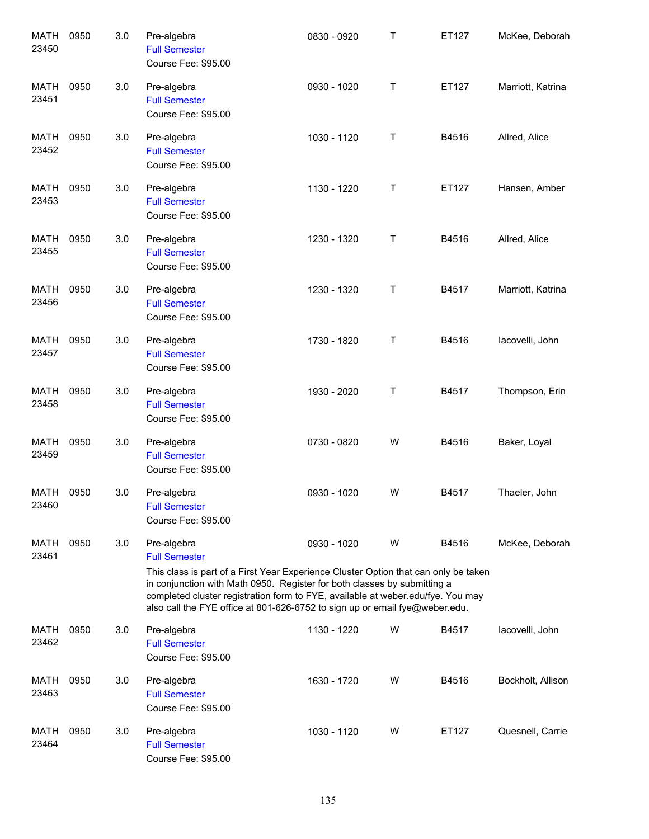| <b>MATH</b><br>23450 | 0950 | 3.0 | Pre-algebra<br><b>Full Semester</b><br>Course Fee: \$95.00                                                                                                                                                                                                                                                                                                               | 0830 - 0920 | Τ | ET127 | McKee, Deborah    |
|----------------------|------|-----|--------------------------------------------------------------------------------------------------------------------------------------------------------------------------------------------------------------------------------------------------------------------------------------------------------------------------------------------------------------------------|-------------|---|-------|-------------------|
| <b>MATH</b><br>23451 | 0950 | 3.0 | Pre-algebra<br><b>Full Semester</b><br>Course Fee: \$95.00                                                                                                                                                                                                                                                                                                               | 0930 - 1020 | Τ | ET127 | Marriott, Katrina |
| MATH<br>23452        | 0950 | 3.0 | Pre-algebra<br><b>Full Semester</b><br>Course Fee: \$95.00                                                                                                                                                                                                                                                                                                               | 1030 - 1120 | Τ | B4516 | Allred, Alice     |
| MATH<br>23453        | 0950 | 3.0 | Pre-algebra<br><b>Full Semester</b><br>Course Fee: \$95.00                                                                                                                                                                                                                                                                                                               | 1130 - 1220 | Τ | ET127 | Hansen, Amber     |
| <b>MATH</b><br>23455 | 0950 | 3.0 | Pre-algebra<br><b>Full Semester</b><br>Course Fee: \$95.00                                                                                                                                                                                                                                                                                                               | 1230 - 1320 | Τ | B4516 | Allred, Alice     |
| MATH<br>23456        | 0950 | 3.0 | Pre-algebra<br><b>Full Semester</b><br>Course Fee: \$95.00                                                                                                                                                                                                                                                                                                               | 1230 - 1320 | Τ | B4517 | Marriott, Katrina |
| MATH<br>23457        | 0950 | 3.0 | Pre-algebra<br><b>Full Semester</b><br>Course Fee: \$95.00                                                                                                                                                                                                                                                                                                               | 1730 - 1820 | Τ | B4516 | lacovelli, John   |
| MATH<br>23458        | 0950 | 3.0 | Pre-algebra<br><b>Full Semester</b><br>Course Fee: \$95.00                                                                                                                                                                                                                                                                                                               | 1930 - 2020 | Τ | B4517 | Thompson, Erin    |
| <b>MATH</b><br>23459 | 0950 | 3.0 | Pre-algebra<br><b>Full Semester</b><br>Course Fee: \$95.00                                                                                                                                                                                                                                                                                                               | 0730 - 0820 | W | B4516 | Baker, Loyal      |
| MATH<br>23460        | 0950 | 3.0 | Pre-algebra<br><b>Full Semester</b><br>Course Fee: \$95.00                                                                                                                                                                                                                                                                                                               | 0930 - 1020 | W | B4517 | Thaeler, John     |
| MATH<br>23461        | 0950 | 3.0 | Pre-algebra<br><b>Full Semester</b><br>This class is part of a First Year Experience Cluster Option that can only be taken<br>in conjunction with Math 0950. Register for both classes by submitting a<br>completed cluster registration form to FYE, available at weber.edu/fye. You may<br>also call the FYE office at 801-626-6752 to sign up or email fye@weber.edu. | 0930 - 1020 | W | B4516 | McKee, Deborah    |
| MATH<br>23462        | 0950 | 3.0 | Pre-algebra<br><b>Full Semester</b><br>Course Fee: \$95.00                                                                                                                                                                                                                                                                                                               | 1130 - 1220 | W | B4517 | lacovelli, John   |
| <b>MATH</b><br>23463 | 0950 | 3.0 | Pre-algebra<br><b>Full Semester</b><br>Course Fee: \$95.00                                                                                                                                                                                                                                                                                                               | 1630 - 1720 | W | B4516 | Bockholt, Allison |
| <b>MATH</b><br>23464 | 0950 | 3.0 | Pre-algebra<br><b>Full Semester</b><br>Course Fee: \$95.00                                                                                                                                                                                                                                                                                                               | 1030 - 1120 | W | ET127 | Quesnell, Carrie  |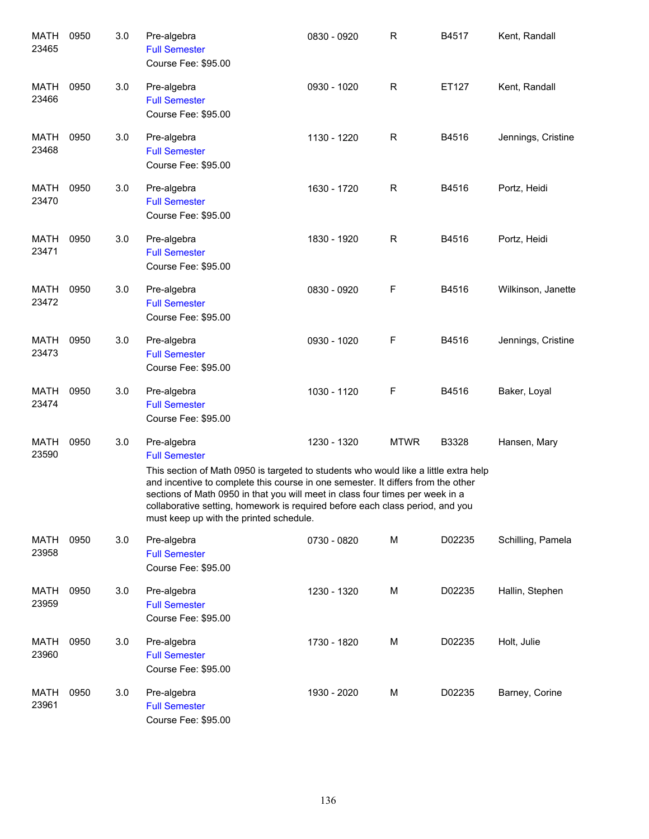| MATH<br>23465        | 0950 | 3.0 | Pre-algebra<br><b>Full Semester</b><br>Course Fee: \$95.00                                                                                                                                                                                                                                                                                                                                                                   | 0830 - 0920 | R            | B4517  | Kent, Randall      |
|----------------------|------|-----|------------------------------------------------------------------------------------------------------------------------------------------------------------------------------------------------------------------------------------------------------------------------------------------------------------------------------------------------------------------------------------------------------------------------------|-------------|--------------|--------|--------------------|
| MATH<br>23466        | 0950 | 3.0 | Pre-algebra<br><b>Full Semester</b><br>Course Fee: \$95.00                                                                                                                                                                                                                                                                                                                                                                   | 0930 - 1020 | $\mathsf R$  | ET127  | Kent, Randall      |
| MATH<br>23468        | 0950 | 3.0 | Pre-algebra<br><b>Full Semester</b><br>Course Fee: \$95.00                                                                                                                                                                                                                                                                                                                                                                   | 1130 - 1220 | $\mathsf R$  | B4516  | Jennings, Cristine |
| MATH<br>23470        | 0950 | 3.0 | Pre-algebra<br><b>Full Semester</b><br>Course Fee: \$95.00                                                                                                                                                                                                                                                                                                                                                                   | 1630 - 1720 | $\mathsf{R}$ | B4516  | Portz, Heidi       |
| MATH<br>23471        | 0950 | 3.0 | Pre-algebra<br><b>Full Semester</b><br>Course Fee: \$95.00                                                                                                                                                                                                                                                                                                                                                                   | 1830 - 1920 | $\mathsf{R}$ | B4516  | Portz, Heidi       |
| MATH<br>23472        | 0950 | 3.0 | Pre-algebra<br><b>Full Semester</b><br>Course Fee: \$95.00                                                                                                                                                                                                                                                                                                                                                                   | 0830 - 0920 | F            | B4516  | Wilkinson, Janette |
| MATH<br>23473        | 0950 | 3.0 | Pre-algebra<br><b>Full Semester</b><br>Course Fee: \$95.00                                                                                                                                                                                                                                                                                                                                                                   | 0930 - 1020 | F            | B4516  | Jennings, Cristine |
| MATH<br>23474        | 0950 | 3.0 | Pre-algebra<br><b>Full Semester</b><br>Course Fee: \$95.00                                                                                                                                                                                                                                                                                                                                                                   | 1030 - 1120 | F            | B4516  | Baker, Loyal       |
| MATH<br>23590        | 0950 | 3.0 | Pre-algebra<br><b>Full Semester</b><br>This section of Math 0950 is targeted to students who would like a little extra help<br>and incentive to complete this course in one semester. It differs from the other<br>sections of Math 0950 in that you will meet in class four times per week in a<br>collaborative setting, homework is required before each class period, and you<br>must keep up with the printed schedule. | 1230 - 1320 | <b>MTWR</b>  | B3328  | Hansen, Mary       |
| MATH<br>23958        | 0950 | 3.0 | Pre-algebra<br><b>Full Semester</b><br>Course Fee: \$95.00                                                                                                                                                                                                                                                                                                                                                                   | 0730 - 0820 | M            | D02235 | Schilling, Pamela  |
| MATH<br>23959        | 0950 | 3.0 | Pre-algebra<br><b>Full Semester</b><br>Course Fee: \$95.00                                                                                                                                                                                                                                                                                                                                                                   | 1230 - 1320 | M            | D02235 | Hallin, Stephen    |
| <b>MATH</b><br>23960 | 0950 | 3.0 | Pre-algebra<br><b>Full Semester</b><br>Course Fee: \$95.00                                                                                                                                                                                                                                                                                                                                                                   | 1730 - 1820 | M            | D02235 | Holt, Julie        |
| MATH<br>23961        | 0950 | 3.0 | Pre-algebra<br><b>Full Semester</b><br>Course Fee: \$95.00                                                                                                                                                                                                                                                                                                                                                                   | 1930 - 2020 | M            | D02235 | Barney, Corine     |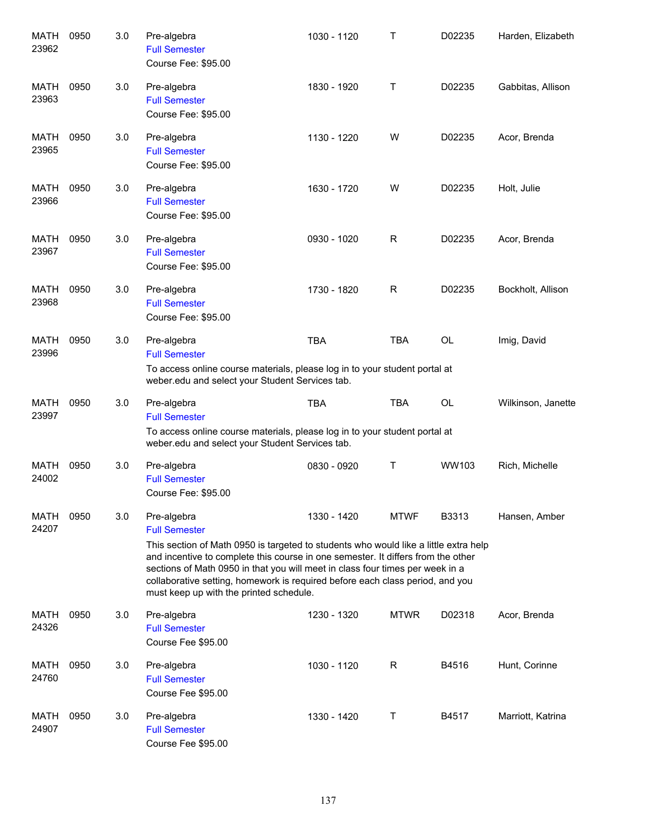| <b>MATH</b><br>23962 | 0950 | 3.0 | Pre-algebra<br><b>Full Semester</b><br>Course Fee: \$95.00                                                                                                                                                                                                                                                                                                                                                                   | 1030 - 1120 | Τ           | D02235    | Harden, Elizabeth  |
|----------------------|------|-----|------------------------------------------------------------------------------------------------------------------------------------------------------------------------------------------------------------------------------------------------------------------------------------------------------------------------------------------------------------------------------------------------------------------------------|-------------|-------------|-----------|--------------------|
| MATH<br>23963        | 0950 | 3.0 | Pre-algebra<br><b>Full Semester</b><br>Course Fee: \$95.00                                                                                                                                                                                                                                                                                                                                                                   | 1830 - 1920 | Τ           | D02235    | Gabbitas, Allison  |
| MATH<br>23965        | 0950 | 3.0 | Pre-algebra<br><b>Full Semester</b><br>Course Fee: \$95.00                                                                                                                                                                                                                                                                                                                                                                   | 1130 - 1220 | W           | D02235    | Acor, Brenda       |
| MATH<br>23966        | 0950 | 3.0 | Pre-algebra<br><b>Full Semester</b><br>Course Fee: \$95.00                                                                                                                                                                                                                                                                                                                                                                   | 1630 - 1720 | W           | D02235    | Holt, Julie        |
| MATH<br>23967        | 0950 | 3.0 | Pre-algebra<br><b>Full Semester</b><br>Course Fee: \$95.00                                                                                                                                                                                                                                                                                                                                                                   | 0930 - 1020 | R           | D02235    | Acor, Brenda       |
| <b>MATH</b><br>23968 | 0950 | 3.0 | Pre-algebra<br><b>Full Semester</b><br>Course Fee: \$95.00                                                                                                                                                                                                                                                                                                                                                                   | 1730 - 1820 | R           | D02235    | Bockholt, Allison  |
| MATH<br>23996        | 0950 | 3.0 | Pre-algebra<br><b>Full Semester</b><br>To access online course materials, please log in to your student portal at<br>weber.edu and select your Student Services tab.                                                                                                                                                                                                                                                         | <b>TBA</b>  | <b>TBA</b>  | <b>OL</b> | Imig, David        |
| <b>MATH</b><br>23997 | 0950 | 3.0 | Pre-algebra<br><b>Full Semester</b><br>To access online course materials, please log in to your student portal at<br>weber.edu and select your Student Services tab.                                                                                                                                                                                                                                                         | <b>TBA</b>  | <b>TBA</b>  | <b>OL</b> | Wilkinson, Janette |
| <b>MATH</b><br>24002 | 0950 | 3.0 | Pre-algebra<br><b>Full Semester</b><br>Course Fee: \$95.00                                                                                                                                                                                                                                                                                                                                                                   | 0830 - 0920 | Т           | WW103     | Rich, Michelle     |
| <b>MATH</b><br>24207 | 0950 | 3.0 | Pre-algebra<br><b>Full Semester</b><br>This section of Math 0950 is targeted to students who would like a little extra help<br>and incentive to complete this course in one semester. It differs from the other<br>sections of Math 0950 in that you will meet in class four times per week in a<br>collaborative setting, homework is required before each class period, and you<br>must keep up with the printed schedule. | 1330 - 1420 | <b>MTWF</b> | B3313     | Hansen, Amber      |
| MATH<br>24326        | 0950 | 3.0 | Pre-algebra<br><b>Full Semester</b><br>Course Fee \$95.00                                                                                                                                                                                                                                                                                                                                                                    | 1230 - 1320 | <b>MTWR</b> | D02318    | Acor, Brenda       |
| MATH<br>24760        | 0950 | 3.0 | Pre-algebra<br><b>Full Semester</b><br>Course Fee \$95.00                                                                                                                                                                                                                                                                                                                                                                    | 1030 - 1120 | R           | B4516     | Hunt, Corinne      |
| MATH<br>24907        | 0950 | 3.0 | Pre-algebra<br><b>Full Semester</b><br>Course Fee \$95.00                                                                                                                                                                                                                                                                                                                                                                    | 1330 - 1420 | Т           | B4517     | Marriott, Katrina  |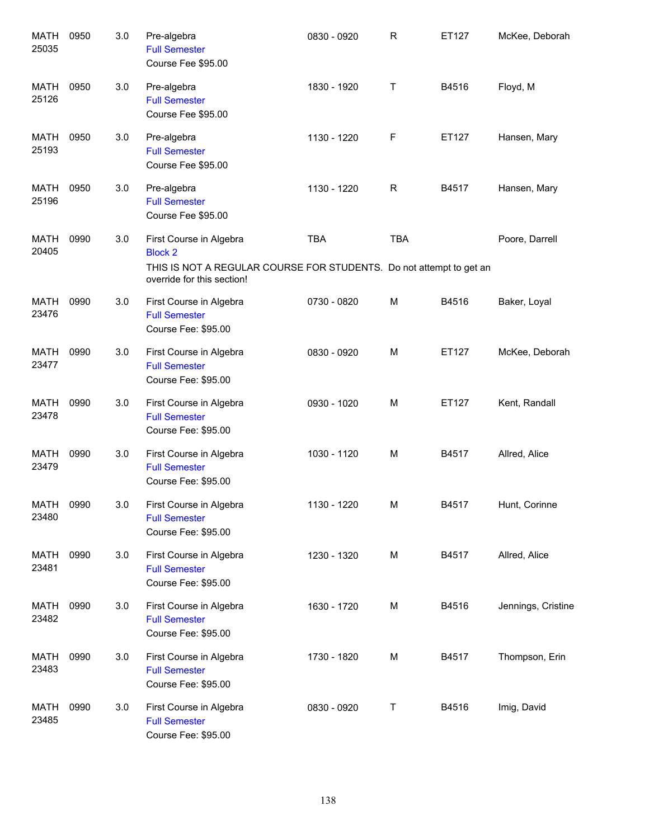| <b>MATH</b><br>25035 | 0950 | 3.0 | Pre-algebra<br><b>Full Semester</b><br>Course Fee \$95.00                                                                                      | 0830 - 0920 | $\mathsf R$ | ET127 | McKee, Deborah     |
|----------------------|------|-----|------------------------------------------------------------------------------------------------------------------------------------------------|-------------|-------------|-------|--------------------|
| MATH<br>25126        | 0950 | 3.0 | Pre-algebra<br><b>Full Semester</b><br>Course Fee \$95.00                                                                                      | 1830 - 1920 | Τ           | B4516 | Floyd, M           |
| MATH<br>25193        | 0950 | 3.0 | Pre-algebra<br><b>Full Semester</b><br>Course Fee \$95.00                                                                                      | 1130 - 1220 | F           | ET127 | Hansen, Mary       |
| MATH<br>25196        | 0950 | 3.0 | Pre-algebra<br><b>Full Semester</b><br>Course Fee \$95.00                                                                                      | 1130 - 1220 | R           | B4517 | Hansen, Mary       |
| MATH<br>20405        | 0990 | 3.0 | First Course in Algebra<br><b>Block 2</b><br>THIS IS NOT A REGULAR COURSE FOR STUDENTS. Do not attempt to get an<br>override for this section! | <b>TBA</b>  | <b>TBA</b>  |       | Poore, Darrell     |
| <b>MATH</b><br>23476 | 0990 | 3.0 | First Course in Algebra<br><b>Full Semester</b><br>Course Fee: \$95.00                                                                         | 0730 - 0820 | м           | B4516 | Baker, Loyal       |
| <b>MATH</b><br>23477 | 0990 | 3.0 | First Course in Algebra<br><b>Full Semester</b><br>Course Fee: \$95.00                                                                         | 0830 - 0920 | M           | ET127 | McKee, Deborah     |
| <b>MATH</b><br>23478 | 0990 | 3.0 | First Course in Algebra<br><b>Full Semester</b><br>Course Fee: \$95.00                                                                         | 0930 - 1020 | м           | ET127 | Kent, Randall      |
| <b>MATH</b><br>23479 | 0990 | 3.0 | First Course in Algebra<br><b>Full Semester</b><br>Course Fee: \$95.00                                                                         | 1030 - 1120 | м           | B4517 | Allred, Alice      |
| MATH 0990<br>23480   |      | 3.0 | First Course in Algebra<br><b>Full Semester</b><br>Course Fee: \$95.00                                                                         | 1130 - 1220 | M           | B4517 | Hunt, Corinne      |
| MATH<br>23481        | 0990 | 3.0 | First Course in Algebra<br><b>Full Semester</b><br>Course Fee: \$95.00                                                                         | 1230 - 1320 | M           | B4517 | Allred, Alice      |
| MATH<br>23482        | 0990 | 3.0 | First Course in Algebra<br><b>Full Semester</b><br>Course Fee: \$95.00                                                                         | 1630 - 1720 | М           | B4516 | Jennings, Cristine |
| MATH<br>23483        | 0990 | 3.0 | First Course in Algebra<br><b>Full Semester</b><br>Course Fee: \$95.00                                                                         | 1730 - 1820 | М           | B4517 | Thompson, Erin     |
| MATH<br>23485        | 0990 | 3.0 | First Course in Algebra<br><b>Full Semester</b><br>Course Fee: \$95.00                                                                         | 0830 - 0920 | T           | B4516 | Imig, David        |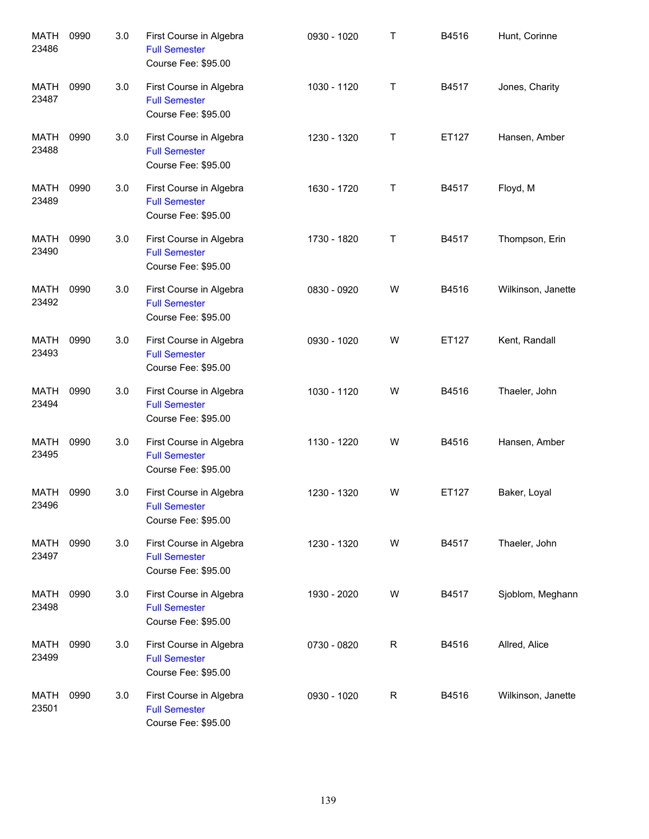| <b>MATH</b><br>23486 | 0990 | 3.0 | First Course in Algebra<br><b>Full Semester</b><br>Course Fee: \$95.00 | 0930 - 1020 | $\top$ | B4516 | Hunt, Corinne      |
|----------------------|------|-----|------------------------------------------------------------------------|-------------|--------|-------|--------------------|
| <b>MATH</b><br>23487 | 0990 | 3.0 | First Course in Algebra<br><b>Full Semester</b><br>Course Fee: \$95.00 | 1030 - 1120 | Τ      | B4517 | Jones, Charity     |
| MATH<br>23488        | 0990 | 3.0 | First Course in Algebra<br><b>Full Semester</b><br>Course Fee: \$95.00 | 1230 - 1320 | Τ      | ET127 | Hansen, Amber      |
| MATH<br>23489        | 0990 | 3.0 | First Course in Algebra<br><b>Full Semester</b><br>Course Fee: \$95.00 | 1630 - 1720 | Τ      | B4517 | Floyd, M           |
| MATH<br>23490        | 0990 | 3.0 | First Course in Algebra<br><b>Full Semester</b><br>Course Fee: \$95.00 | 1730 - 1820 | Τ      | B4517 | Thompson, Erin     |
| MATH<br>23492        | 0990 | 3.0 | First Course in Algebra<br><b>Full Semester</b><br>Course Fee: \$95.00 | 0830 - 0920 | W      | B4516 | Wilkinson, Janette |
| <b>MATH</b><br>23493 | 0990 | 3.0 | First Course in Algebra<br><b>Full Semester</b><br>Course Fee: \$95.00 | 0930 - 1020 | W      | ET127 | Kent, Randall      |
| MATH<br>23494        | 0990 | 3.0 | First Course in Algebra<br><b>Full Semester</b><br>Course Fee: \$95.00 | 1030 - 1120 | W      | B4516 | Thaeler, John      |
| MATH<br>23495        | 0990 | 3.0 | First Course in Algebra<br><b>Full Semester</b><br>Course Fee: \$95.00 | 1130 - 1220 | W      | B4516 | Hansen, Amber      |
| MATH<br>23496        | 0990 | 3.0 | First Course in Algebra<br><b>Full Semester</b><br>Course Fee: \$95.00 | 1230 - 1320 | W      | ET127 | Baker, Loyal       |
| MATH<br>23497        | 0990 | 3.0 | First Course in Algebra<br><b>Full Semester</b><br>Course Fee: \$95.00 | 1230 - 1320 | W      | B4517 | Thaeler, John      |
| MATH<br>23498        | 0990 | 3.0 | First Course in Algebra<br><b>Full Semester</b><br>Course Fee: \$95.00 | 1930 - 2020 | W      | B4517 | Sjoblom, Meghann   |
| MATH<br>23499        | 0990 | 3.0 | First Course in Algebra<br><b>Full Semester</b><br>Course Fee: \$95.00 | 0730 - 0820 | R      | B4516 | Allred, Alice      |
| MATH<br>23501        | 0990 | 3.0 | First Course in Algebra<br><b>Full Semester</b><br>Course Fee: \$95.00 | 0930 - 1020 | R      | B4516 | Wilkinson, Janette |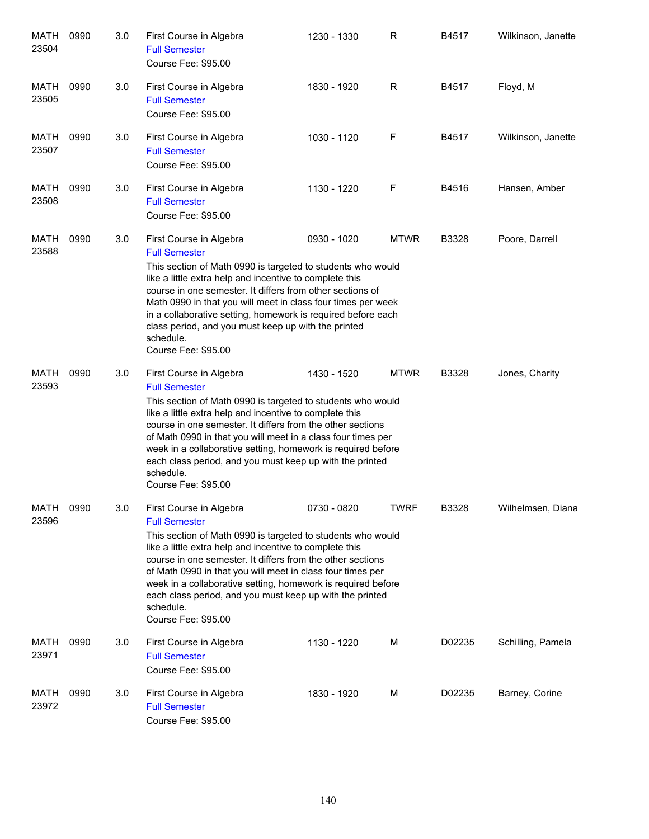| <b>MATH</b><br>23504 | 0990 | 3.0 | First Course in Algebra<br><b>Full Semester</b><br>Course Fee: \$95.00                                                                                                                                                                                                                                                                                                                                                                                                  | 1230 - 1330 | R           | B4517  | Wilkinson, Janette |
|----------------------|------|-----|-------------------------------------------------------------------------------------------------------------------------------------------------------------------------------------------------------------------------------------------------------------------------------------------------------------------------------------------------------------------------------------------------------------------------------------------------------------------------|-------------|-------------|--------|--------------------|
| MATH<br>23505        | 0990 | 3.0 | First Course in Algebra<br><b>Full Semester</b><br>Course Fee: \$95.00                                                                                                                                                                                                                                                                                                                                                                                                  | 1830 - 1920 | R           | B4517  | Floyd, M           |
| MATH<br>23507        | 0990 | 3.0 | First Course in Algebra<br><b>Full Semester</b><br>Course Fee: \$95.00                                                                                                                                                                                                                                                                                                                                                                                                  | 1030 - 1120 | F           | B4517  | Wilkinson, Janette |
| MATH<br>23508        | 0990 | 3.0 | First Course in Algebra<br><b>Full Semester</b><br>Course Fee: \$95.00                                                                                                                                                                                                                                                                                                                                                                                                  | 1130 - 1220 | F           | B4516  | Hansen, Amber      |
| MATH<br>23588        | 0990 | 3.0 | First Course in Algebra<br><b>Full Semester</b><br>This section of Math 0990 is targeted to students who would<br>like a little extra help and incentive to complete this<br>course in one semester. It differs from other sections of<br>Math 0990 in that you will meet in class four times per week<br>in a collaborative setting, homework is required before each<br>class period, and you must keep up with the printed<br>schedule.<br>Course Fee: \$95.00       | 0930 - 1020 | <b>MTWR</b> | B3328  | Poore, Darrell     |
| MATH<br>23593        | 0990 | 3.0 | First Course in Algebra<br><b>Full Semester</b><br>This section of Math 0990 is targeted to students who would<br>like a little extra help and incentive to complete this<br>course in one semester. It differs from the other sections<br>of Math 0990 in that you will meet in a class four times per<br>week in a collaborative setting, homework is required before<br>each class period, and you must keep up with the printed<br>schedule.<br>Course Fee: \$95.00 | 1430 - 1520 | <b>MTWR</b> | B3328  | Jones, Charity     |
| <b>MATH</b><br>23596 | 0990 | 3.0 | First Course in Algebra<br><b>Full Semester</b><br>This section of Math 0990 is targeted to students who would<br>like a little extra help and incentive to complete this<br>course in one semester. It differs from the other sections<br>of Math 0990 in that you will meet in class four times per<br>week in a collaborative setting, homework is required before<br>each class period, and you must keep up with the printed<br>schedule.<br>Course Fee: \$95.00   | 0730 - 0820 | TWRF        | B3328  | Wilhelmsen, Diana  |
| MATH<br>23971        | 0990 | 3.0 | First Course in Algebra<br><b>Full Semester</b><br>Course Fee: \$95.00                                                                                                                                                                                                                                                                                                                                                                                                  | 1130 - 1220 | М           | D02235 | Schilling, Pamela  |
| MATH<br>23972        | 0990 | 3.0 | First Course in Algebra<br><b>Full Semester</b><br>Course Fee: \$95.00                                                                                                                                                                                                                                                                                                                                                                                                  | 1830 - 1920 | M           | D02235 | Barney, Corine     |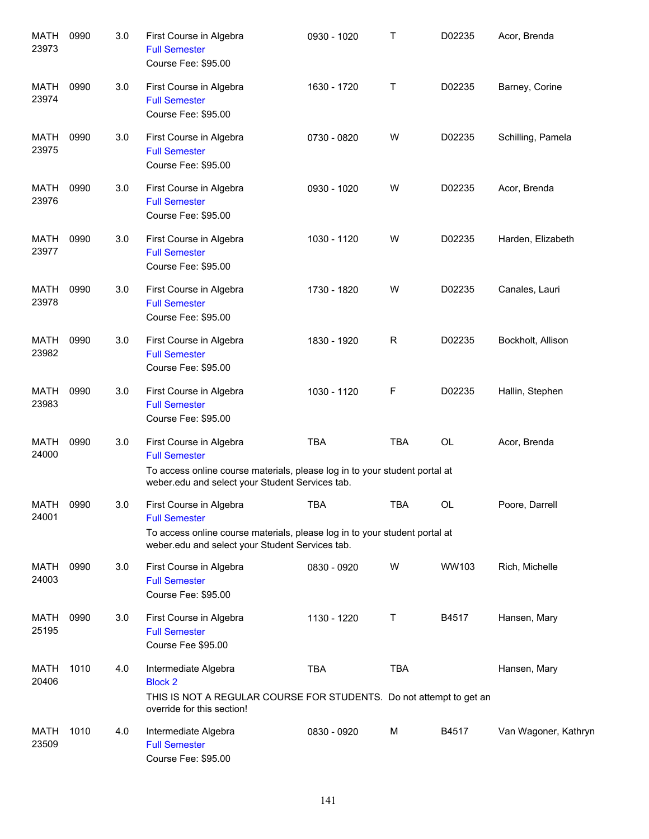| MATH<br>23973        | 0990 | 3.0 | First Course in Algebra<br><b>Full Semester</b><br>Course Fee: \$95.00                                                                                                           | 0930 - 1020 | т           | D02235    | Acor, Brenda         |
|----------------------|------|-----|----------------------------------------------------------------------------------------------------------------------------------------------------------------------------------|-------------|-------------|-----------|----------------------|
| MATH<br>23974        | 0990 | 3.0 | First Course in Algebra<br><b>Full Semester</b><br>Course Fee: \$95.00                                                                                                           | 1630 - 1720 | Τ           | D02235    | Barney, Corine       |
| MATH<br>23975        | 0990 | 3.0 | First Course in Algebra<br><b>Full Semester</b><br>Course Fee: \$95.00                                                                                                           | 0730 - 0820 | W           | D02235    | Schilling, Pamela    |
| MATH<br>23976        | 0990 | 3.0 | First Course in Algebra<br><b>Full Semester</b><br>Course Fee: \$95.00                                                                                                           | 0930 - 1020 | W           | D02235    | Acor, Brenda         |
| MATH<br>23977        | 0990 | 3.0 | First Course in Algebra<br><b>Full Semester</b><br>Course Fee: \$95.00                                                                                                           | 1030 - 1120 | W           | D02235    | Harden, Elizabeth    |
| MATH<br>23978        | 0990 | 3.0 | First Course in Algebra<br><b>Full Semester</b><br>Course Fee: \$95.00                                                                                                           | 1730 - 1820 | W           | D02235    | Canales, Lauri       |
| MATH<br>23982        | 0990 | 3.0 | First Course in Algebra<br><b>Full Semester</b><br>Course Fee: \$95.00                                                                                                           | 1830 - 1920 | $\mathsf R$ | D02235    | Bockholt, Allison    |
| MATH<br>23983        | 0990 | 3.0 | First Course in Algebra<br><b>Full Semester</b><br>Course Fee: \$95.00                                                                                                           | 1030 - 1120 | F           | D02235    | Hallin, Stephen      |
| MATH<br>24000        | 0990 | 3.0 | First Course in Algebra<br><b>Full Semester</b><br>To access online course materials, please log in to your student portal at<br>weber.edu and select your Student Services tab. | <b>TBA</b>  | <b>TBA</b>  | <b>OL</b> | Acor, Brenda         |
| MATH<br>24001        | 0990 | 3.0 | First Course in Algebra<br><b>Full Semester</b><br>To access online course materials, please log in to your student portal at<br>weber.edu and select your Student Services tab. | <b>TBA</b>  | <b>TBA</b>  | OL        | Poore, Darrell       |
| <b>MATH</b><br>24003 | 0990 | 3.0 | First Course in Algebra<br><b>Full Semester</b><br>Course Fee: \$95.00                                                                                                           | 0830 - 0920 | W           | WW103     | Rich, Michelle       |
| MATH<br>25195        | 0990 | 3.0 | First Course in Algebra<br><b>Full Semester</b><br>Course Fee \$95.00                                                                                                            | 1130 - 1220 | Т           | B4517     | Hansen, Mary         |
| MATH<br>20406        | 1010 | 4.0 | Intermediate Algebra<br><b>Block 2</b><br>THIS IS NOT A REGULAR COURSE FOR STUDENTS. Do not attempt to get an<br>override for this section!                                      | <b>TBA</b>  | <b>TBA</b>  |           | Hansen, Mary         |
| MATH<br>23509        | 1010 | 4.0 | Intermediate Algebra<br><b>Full Semester</b><br>Course Fee: \$95.00                                                                                                              | 0830 - 0920 | M           | B4517     | Van Wagoner, Kathryn |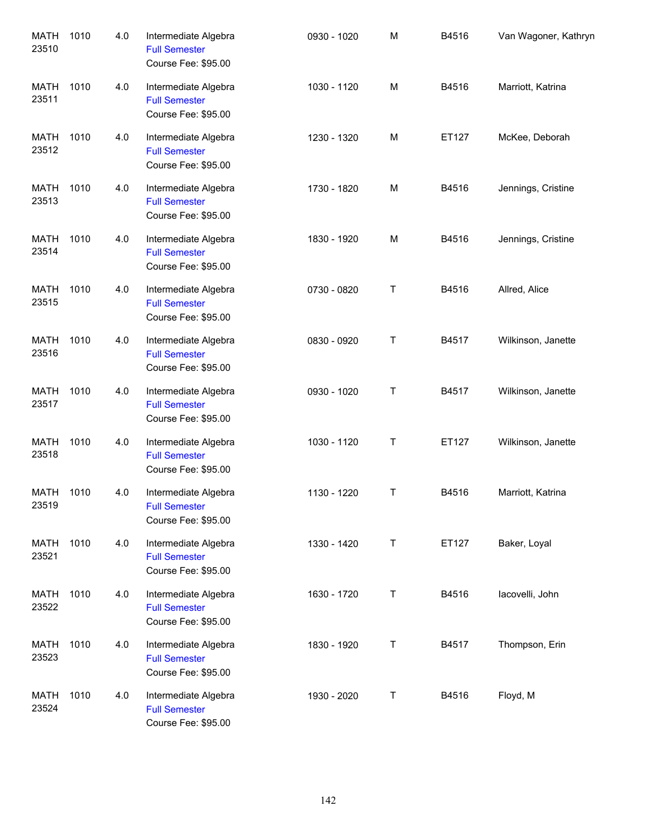| <b>MATH</b><br>23510 | 1010 | 4.0 | Intermediate Algebra<br><b>Full Semester</b><br>Course Fee: \$95.00 | 0930 - 1020 | M       | B4516 | Van Wagoner, Kathryn |
|----------------------|------|-----|---------------------------------------------------------------------|-------------|---------|-------|----------------------|
| <b>MATH</b><br>23511 | 1010 | 4.0 | Intermediate Algebra<br><b>Full Semester</b><br>Course Fee: \$95.00 | 1030 - 1120 | M       | B4516 | Marriott, Katrina    |
| <b>MATH</b><br>23512 | 1010 | 4.0 | Intermediate Algebra<br><b>Full Semester</b><br>Course Fee: \$95.00 | 1230 - 1320 | M       | ET127 | McKee, Deborah       |
| MATH<br>23513        | 1010 | 4.0 | Intermediate Algebra<br><b>Full Semester</b><br>Course Fee: \$95.00 | 1730 - 1820 | M       | B4516 | Jennings, Cristine   |
| <b>MATH</b><br>23514 | 1010 | 4.0 | Intermediate Algebra<br><b>Full Semester</b><br>Course Fee: \$95.00 | 1830 - 1920 | M       | B4516 | Jennings, Cristine   |
| <b>MATH</b><br>23515 | 1010 | 4.0 | Intermediate Algebra<br><b>Full Semester</b><br>Course Fee: \$95.00 | 0730 - 0820 | $\sf T$ | B4516 | Allred, Alice        |
| <b>MATH</b><br>23516 | 1010 | 4.0 | Intermediate Algebra<br><b>Full Semester</b><br>Course Fee: \$95.00 | 0830 - 0920 | Τ       | B4517 | Wilkinson, Janette   |
| <b>MATH</b><br>23517 | 1010 | 4.0 | Intermediate Algebra<br><b>Full Semester</b><br>Course Fee: \$95.00 | 0930 - 1020 | Τ       | B4517 | Wilkinson, Janette   |
| <b>MATH</b><br>23518 | 1010 | 4.0 | Intermediate Algebra<br><b>Full Semester</b><br>Course Fee: \$95.00 | 1030 - 1120 | $\sf T$ | ET127 | Wilkinson, Janette   |
| MATH<br>23519        | 1010 | 4.0 | Intermediate Algebra<br><b>Full Semester</b><br>Course Fee: \$95.00 | 1130 - 1220 | $\sf T$ | B4516 | Marriott, Katrina    |
| <b>MATH</b><br>23521 | 1010 | 4.0 | Intermediate Algebra<br><b>Full Semester</b><br>Course Fee: \$95.00 | 1330 - 1420 | $\top$  | ET127 | Baker, Loyal         |
| <b>MATH</b><br>23522 | 1010 | 4.0 | Intermediate Algebra<br><b>Full Semester</b><br>Course Fee: \$95.00 | 1630 - 1720 | $\sf T$ | B4516 | lacovelli, John      |
| <b>MATH</b><br>23523 | 1010 | 4.0 | Intermediate Algebra<br><b>Full Semester</b><br>Course Fee: \$95.00 | 1830 - 1920 | $\sf T$ | B4517 | Thompson, Erin       |
| <b>MATH</b><br>23524 | 1010 | 4.0 | Intermediate Algebra<br><b>Full Semester</b><br>Course Fee: \$95.00 | 1930 - 2020 | $\top$  | B4516 | Floyd, M             |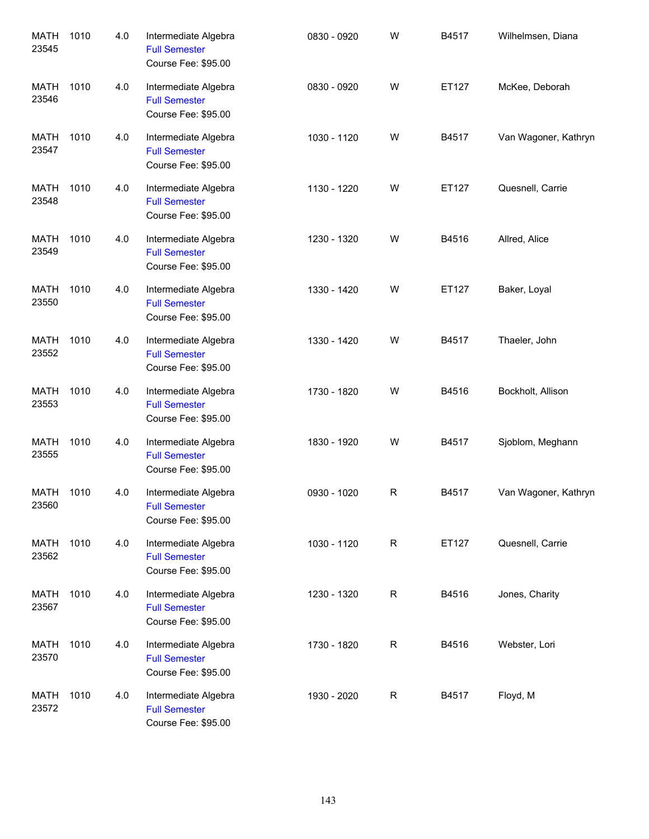| <b>MATH</b><br>23545 | 1010 | 4.0 | Intermediate Algebra<br><b>Full Semester</b><br>Course Fee: \$95.00 | 0830 - 0920 | W           | B4517 | Wilhelmsen, Diana    |
|----------------------|------|-----|---------------------------------------------------------------------|-------------|-------------|-------|----------------------|
| <b>MATH</b><br>23546 | 1010 | 4.0 | Intermediate Algebra<br><b>Full Semester</b><br>Course Fee: \$95.00 | 0830 - 0920 | W           | ET127 | McKee, Deborah       |
| <b>MATH</b><br>23547 | 1010 | 4.0 | Intermediate Algebra<br><b>Full Semester</b><br>Course Fee: \$95.00 | 1030 - 1120 | W           | B4517 | Van Wagoner, Kathryn |
| <b>MATH</b><br>23548 | 1010 | 4.0 | Intermediate Algebra<br><b>Full Semester</b><br>Course Fee: \$95.00 | 1130 - 1220 | W           | ET127 | Quesnell, Carrie     |
| <b>MATH</b><br>23549 | 1010 | 4.0 | Intermediate Algebra<br><b>Full Semester</b><br>Course Fee: \$95.00 | 1230 - 1320 | W           | B4516 | Allred, Alice        |
| <b>MATH</b><br>23550 | 1010 | 4.0 | Intermediate Algebra<br><b>Full Semester</b><br>Course Fee: \$95.00 | 1330 - 1420 | W           | ET127 | Baker, Loyal         |
| <b>MATH</b><br>23552 | 1010 | 4.0 | Intermediate Algebra<br><b>Full Semester</b><br>Course Fee: \$95.00 | 1330 - 1420 | W           | B4517 | Thaeler, John        |
| <b>MATH</b><br>23553 | 1010 | 4.0 | Intermediate Algebra<br><b>Full Semester</b><br>Course Fee: \$95.00 | 1730 - 1820 | W           | B4516 | Bockholt, Allison    |
| <b>MATH</b><br>23555 | 1010 | 4.0 | Intermediate Algebra<br><b>Full Semester</b><br>Course Fee: \$95.00 | 1830 - 1920 | W           | B4517 | Sjoblom, Meghann     |
| MATH<br>23560        | 1010 | 4.0 | Intermediate Algebra<br><b>Full Semester</b><br>Course Fee: \$95.00 | 0930 - 1020 | $\mathsf R$ | B4517 | Van Wagoner, Kathryn |
| <b>MATH</b><br>23562 | 1010 | 4.0 | Intermediate Algebra<br><b>Full Semester</b><br>Course Fee: \$95.00 | 1030 - 1120 | R           | ET127 | Quesnell, Carrie     |
| <b>MATH</b><br>23567 | 1010 | 4.0 | Intermediate Algebra<br><b>Full Semester</b><br>Course Fee: \$95.00 | 1230 - 1320 | R           | B4516 | Jones, Charity       |
| <b>MATH</b><br>23570 | 1010 | 4.0 | Intermediate Algebra<br><b>Full Semester</b><br>Course Fee: \$95.00 | 1730 - 1820 | R           | B4516 | Webster, Lori        |
| <b>MATH</b><br>23572 | 1010 | 4.0 | Intermediate Algebra<br><b>Full Semester</b><br>Course Fee: \$95.00 | 1930 - 2020 | R           | B4517 | Floyd, M             |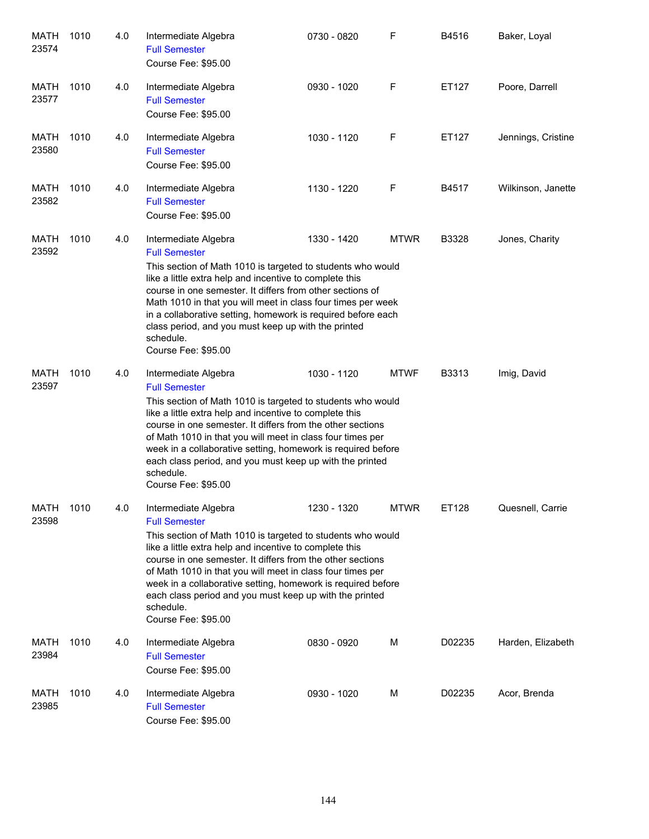| MATH<br>23574        | 1010 | 4.0 | Intermediate Algebra<br><b>Full Semester</b><br>Course Fee: \$95.00                                                                                                                                                                                                                                                                                                                                                                                                | 0730 - 0820 | F           | B4516  | Baker, Loyal       |
|----------------------|------|-----|--------------------------------------------------------------------------------------------------------------------------------------------------------------------------------------------------------------------------------------------------------------------------------------------------------------------------------------------------------------------------------------------------------------------------------------------------------------------|-------------|-------------|--------|--------------------|
| MATH<br>23577        | 1010 | 4.0 | Intermediate Algebra<br><b>Full Semester</b><br>Course Fee: \$95.00                                                                                                                                                                                                                                                                                                                                                                                                | 0930 - 1020 | F           | ET127  | Poore, Darrell     |
| <b>MATH</b><br>23580 | 1010 | 4.0 | Intermediate Algebra<br><b>Full Semester</b><br>Course Fee: \$95.00                                                                                                                                                                                                                                                                                                                                                                                                | 1030 - 1120 | F           | ET127  | Jennings, Cristine |
| MATH<br>23582        | 1010 | 4.0 | Intermediate Algebra<br><b>Full Semester</b><br>Course Fee: \$95.00                                                                                                                                                                                                                                                                                                                                                                                                | 1130 - 1220 | F           | B4517  | Wilkinson, Janette |
| MATH<br>23592        | 1010 | 4.0 | Intermediate Algebra<br><b>Full Semester</b><br>This section of Math 1010 is targeted to students who would<br>like a little extra help and incentive to complete this<br>course in one semester. It differs from other sections of<br>Math 1010 in that you will meet in class four times per week<br>in a collaborative setting, homework is required before each<br>class period, and you must keep up with the printed<br>schedule.<br>Course Fee: \$95.00     | 1330 - 1420 | <b>MTWR</b> | B3328  | Jones, Charity     |
| MATH<br>23597        | 1010 | 4.0 | Intermediate Algebra<br><b>Full Semester</b><br>This section of Math 1010 is targeted to students who would<br>like a little extra help and incentive to complete this<br>course in one semester. It differs from the other sections<br>of Math 1010 in that you will meet in class four times per<br>week in a collaborative setting, homework is required before<br>each class period, and you must keep up with the printed<br>schedule.<br>Course Fee: \$95.00 | 1030 - 1120 | <b>MTWF</b> | B3313  | Imig, David        |
| MATH<br>23598        | 1010 | 4.0 | Intermediate Algebra<br><b>Full Semester</b><br>This section of Math 1010 is targeted to students who would<br>like a little extra help and incentive to complete this<br>course in one semester. It differs from the other sections<br>of Math 1010 in that you will meet in class four times per<br>week in a collaborative setting, homework is required before<br>each class period and you must keep up with the printed<br>schedule.<br>Course Fee: \$95.00  | 1230 - 1320 | MTWR        | ET128  | Quesnell, Carrie   |
| MATH<br>23984        | 1010 | 4.0 | Intermediate Algebra<br><b>Full Semester</b><br>Course Fee: \$95.00                                                                                                                                                                                                                                                                                                                                                                                                | 0830 - 0920 | М           | D02235 | Harden, Elizabeth  |
| MATH<br>23985        | 1010 | 4.0 | Intermediate Algebra<br><b>Full Semester</b><br>Course Fee: \$95.00                                                                                                                                                                                                                                                                                                                                                                                                | 0930 - 1020 | М           | D02235 | Acor, Brenda       |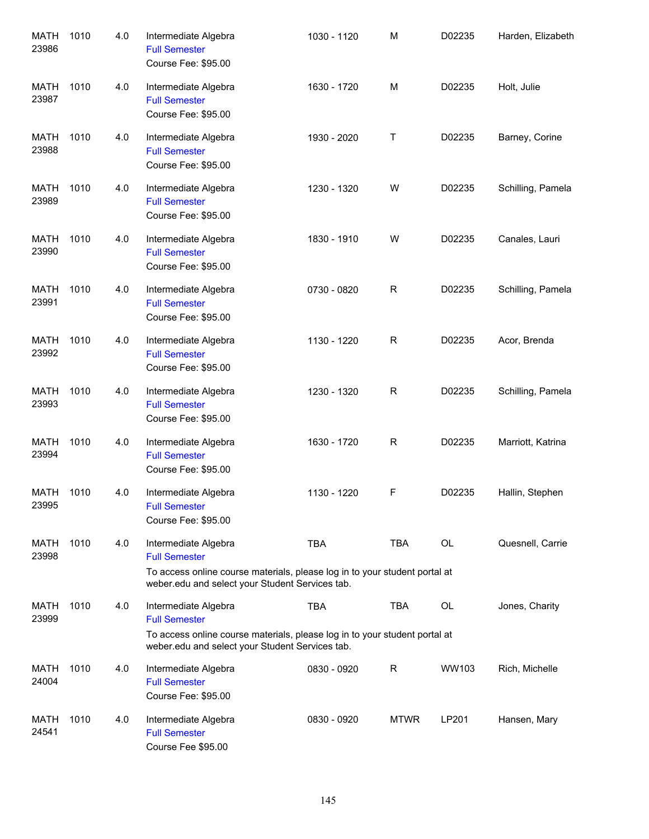| <b>MATH</b><br>23986 | 1010 | 4.0 | Intermediate Algebra<br><b>Full Semester</b><br>Course Fee: \$95.00                                                                                                           | 1030 - 1120 | M           | D02235 | Harden, Elizabeth |
|----------------------|------|-----|-------------------------------------------------------------------------------------------------------------------------------------------------------------------------------|-------------|-------------|--------|-------------------|
| MATH<br>23987        | 1010 | 4.0 | Intermediate Algebra<br><b>Full Semester</b><br>Course Fee: \$95.00                                                                                                           | 1630 - 1720 | М           | D02235 | Holt, Julie       |
| MATH<br>23988        | 1010 | 4.0 | Intermediate Algebra<br><b>Full Semester</b><br>Course Fee: \$95.00                                                                                                           | 1930 - 2020 | Τ           | D02235 | Barney, Corine    |
| MATH<br>23989        | 1010 | 4.0 | Intermediate Algebra<br><b>Full Semester</b><br>Course Fee: \$95.00                                                                                                           | 1230 - 1320 | W           | D02235 | Schilling, Pamela |
| <b>MATH</b><br>23990 | 1010 | 4.0 | Intermediate Algebra<br><b>Full Semester</b><br>Course Fee: \$95.00                                                                                                           | 1830 - 1910 | W           | D02235 | Canales, Lauri    |
| <b>MATH</b><br>23991 | 1010 | 4.0 | Intermediate Algebra<br><b>Full Semester</b><br>Course Fee: \$95.00                                                                                                           | 0730 - 0820 | R           | D02235 | Schilling, Pamela |
| <b>MATH</b><br>23992 | 1010 | 4.0 | Intermediate Algebra<br><b>Full Semester</b><br>Course Fee: \$95.00                                                                                                           | 1130 - 1220 | R           | D02235 | Acor, Brenda      |
| <b>MATH</b><br>23993 | 1010 | 4.0 | Intermediate Algebra<br><b>Full Semester</b><br>Course Fee: \$95.00                                                                                                           | 1230 - 1320 | R           | D02235 | Schilling, Pamela |
| <b>MATH</b><br>23994 | 1010 | 4.0 | Intermediate Algebra<br><b>Full Semester</b><br>Course Fee: \$95.00                                                                                                           | 1630 - 1720 | R           | D02235 | Marriott, Katrina |
| <b>MATH</b><br>23995 | 1010 | 4.0 | Intermediate Algebra<br><b>Full Semester</b><br>Course Fee: \$95.00                                                                                                           | 1130 - 1220 | F           | D02235 | Hallin, Stephen   |
| MATH<br>23998        | 1010 | 4.0 | Intermediate Algebra<br><b>Full Semester</b><br>To access online course materials, please log in to your student portal at<br>weber.edu and select your Student Services tab. | <b>TBA</b>  | TBA         | OL     | Quesnell, Carrie  |
| <b>MATH</b><br>23999 | 1010 | 4.0 | Intermediate Algebra<br><b>Full Semester</b><br>To access online course materials, please log in to your student portal at<br>weber.edu and select your Student Services tab. | <b>TBA</b>  | <b>TBA</b>  | OL     | Jones, Charity    |
| <b>MATH</b><br>24004 | 1010 | 4.0 | Intermediate Algebra<br><b>Full Semester</b><br>Course Fee: \$95.00                                                                                                           | 0830 - 0920 | R           | WW103  | Rich, Michelle    |
| <b>MATH</b><br>24541 | 1010 | 4.0 | Intermediate Algebra<br><b>Full Semester</b><br>Course Fee \$95.00                                                                                                            | 0830 - 0920 | <b>MTWR</b> | LP201  | Hansen, Mary      |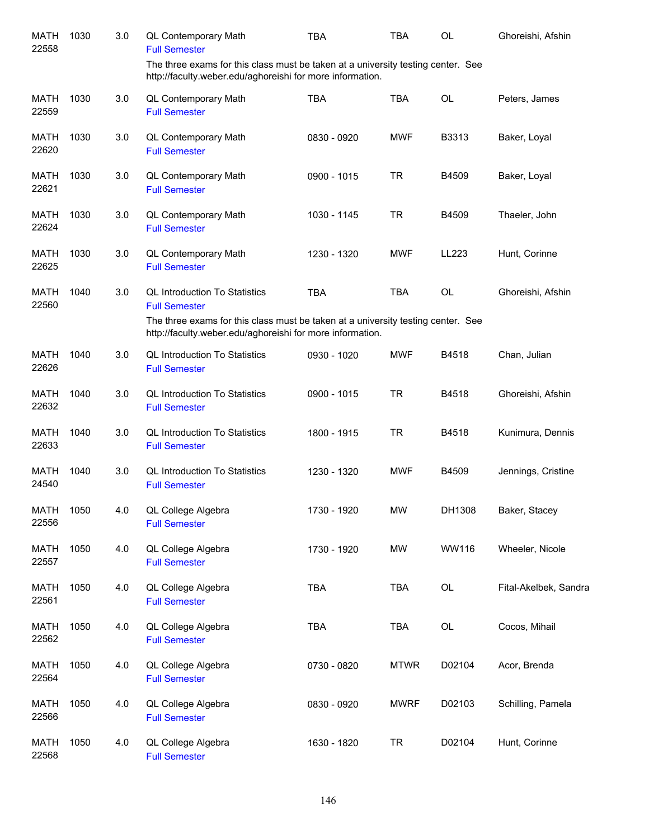| <b>MATH</b><br>22558 | 1030 | 3.0 | QL Contemporary Math<br><b>Full Semester</b>                                                                                                  | <b>TBA</b>  | <b>TBA</b>  | <b>OL</b>                                | Ghoreishi, Afshin     |
|----------------------|------|-----|-----------------------------------------------------------------------------------------------------------------------------------------------|-------------|-------------|------------------------------------------|-----------------------|
|                      |      |     | The three exams for this class must be taken at a university testing center. See<br>http://faculty.weber.edu/aghoreishi for more information. |             |             |                                          |                       |
| <b>MATH</b><br>22559 | 1030 | 3.0 | QL Contemporary Math<br><b>Full Semester</b>                                                                                                  | <b>TBA</b>  | <b>TBA</b>  | <b>OL</b>                                | Peters, James         |
| <b>MATH</b><br>22620 | 1030 | 3.0 | <b>QL Contemporary Math</b><br><b>Full Semester</b>                                                                                           | 0830 - 0920 | <b>MWF</b>  | B3313                                    | Baker, Loyal          |
| <b>MATH</b><br>22621 | 1030 | 3.0 | QL Contemporary Math<br><b>Full Semester</b>                                                                                                  | 0900 - 1015 | <b>TR</b>   | B4509                                    | Baker, Loyal          |
| <b>MATH</b><br>22624 | 1030 | 3.0 | QL Contemporary Math<br><b>Full Semester</b>                                                                                                  | 1030 - 1145 | <b>TR</b>   | B4509                                    | Thaeler, John         |
| <b>MATH</b><br>22625 | 1030 | 3.0 | <b>QL Contemporary Math</b><br><b>Full Semester</b>                                                                                           | 1230 - 1320 | <b>MWF</b>  | LL223                                    | Hunt, Corinne         |
| <b>MATH</b><br>22560 | 1040 | 3.0 | <b>QL Introduction To Statistics</b><br><b>Full Semester</b>                                                                                  | <b>TBA</b>  | <b>TBA</b>  | <b>OL</b>                                | Ghoreishi, Afshin     |
|                      |      |     | The three exams for this class must be taken at a university testing center. See<br>http://faculty.weber.edu/aghoreishi for more information. |             |             |                                          |                       |
| <b>MATH</b><br>22626 | 1040 | 3.0 | <b>QL Introduction To Statistics</b><br><b>Full Semester</b>                                                                                  | 0930 - 1020 | <b>MWF</b>  | B4518                                    | Chan, Julian          |
| MATH<br>22632        | 1040 | 3.0 | <b>QL Introduction To Statistics</b><br><b>Full Semester</b>                                                                                  | 0900 - 1015 | <b>TR</b>   | B4518                                    | Ghoreishi, Afshin     |
| <b>MATH</b><br>22633 | 1040 | 3.0 | <b>QL Introduction To Statistics</b><br><b>Full Semester</b>                                                                                  | 1800 - 1915 | <b>TR</b>   | B4518                                    | Kunimura, Dennis      |
| <b>MATH</b><br>24540 | 1040 | 3.0 | <b>QL Introduction To Statistics</b><br><b>Full Semester</b>                                                                                  | 1230 - 1320 | <b>MWF</b>  | B4509                                    | Jennings, Cristine    |
| <b>MATH</b><br>22556 | 1050 | 4.0 | QL College Algebra<br><b>Full Semester</b>                                                                                                    | 1730 - 1920 | <b>MW</b>   | DH1308                                   | Baker, Stacey         |
| <b>MATH</b><br>22557 | 1050 | 4.0 | QL College Algebra<br><b>Full Semester</b>                                                                                                    | 1730 - 1920 | MW          | WW116                                    | Wheeler, Nicole       |
| <b>MATH</b><br>22561 | 1050 | 4.0 | QL College Algebra<br><b>Full Semester</b>                                                                                                    | <b>TBA</b>  | <b>TBA</b>  | OL                                       | Fital-Akelbek, Sandra |
| <b>MATH</b><br>22562 | 1050 | 4.0 | QL College Algebra<br><b>Full Semester</b>                                                                                                    | <b>TBA</b>  | <b>TBA</b>  | $\mathsf{OL}% \left( \mathcal{M}\right)$ | Cocos, Mihail         |
| <b>MATH</b><br>22564 | 1050 | 4.0 | QL College Algebra<br><b>Full Semester</b>                                                                                                    | 0730 - 0820 | <b>MTWR</b> | D02104                                   | Acor, Brenda          |
| <b>MATH</b><br>22566 | 1050 | 4.0 | QL College Algebra<br><b>Full Semester</b>                                                                                                    | 0830 - 0920 | <b>MWRF</b> | D02103                                   | Schilling, Pamela     |
| <b>MATH</b><br>22568 | 1050 | 4.0 | QL College Algebra<br><b>Full Semester</b>                                                                                                    | 1630 - 1820 | <b>TR</b>   | D02104                                   | Hunt, Corinne         |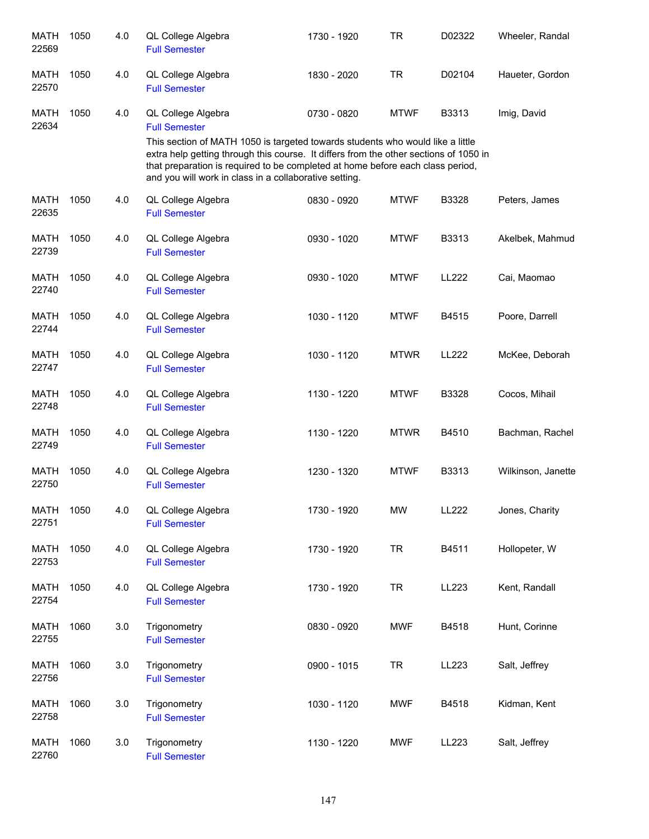| <b>MATH</b><br>22569 | 1050 | 4.0 | QL College Algebra<br><b>Full Semester</b>                                                                                                                                                                                                                                                                          | 1730 - 1920 | <b>TR</b>   | D02322       | Wheeler, Randal    |
|----------------------|------|-----|---------------------------------------------------------------------------------------------------------------------------------------------------------------------------------------------------------------------------------------------------------------------------------------------------------------------|-------------|-------------|--------------|--------------------|
| <b>MATH</b><br>22570 | 1050 | 4.0 | QL College Algebra<br><b>Full Semester</b>                                                                                                                                                                                                                                                                          | 1830 - 2020 | <b>TR</b>   | D02104       | Haueter, Gordon    |
| <b>MATH</b><br>22634 | 1050 | 4.0 | QL College Algebra<br><b>Full Semester</b>                                                                                                                                                                                                                                                                          | 0730 - 0820 | <b>MTWF</b> | B3313        | Imig, David        |
|                      |      |     | This section of MATH 1050 is targeted towards students who would like a little<br>extra help getting through this course. It differs from the other sections of 1050 in<br>that preparation is required to be completed at home before each class period,<br>and you will work in class in a collaborative setting. |             |             |              |                    |
| <b>MATH</b><br>22635 | 1050 | 4.0 | QL College Algebra<br><b>Full Semester</b>                                                                                                                                                                                                                                                                          | 0830 - 0920 | <b>MTWF</b> | B3328        | Peters, James      |
| <b>MATH</b><br>22739 | 1050 | 4.0 | QL College Algebra<br><b>Full Semester</b>                                                                                                                                                                                                                                                                          | 0930 - 1020 | <b>MTWF</b> | B3313        | Akelbek, Mahmud    |
| <b>MATH</b><br>22740 | 1050 | 4.0 | QL College Algebra<br><b>Full Semester</b>                                                                                                                                                                                                                                                                          | 0930 - 1020 | <b>MTWF</b> | <b>LL222</b> | Cai, Maomao        |
| <b>MATH</b><br>22744 | 1050 | 4.0 | QL College Algebra<br><b>Full Semester</b>                                                                                                                                                                                                                                                                          | 1030 - 1120 | <b>MTWF</b> | B4515        | Poore, Darrell     |
| <b>MATH</b><br>22747 | 1050 | 4.0 | QL College Algebra<br><b>Full Semester</b>                                                                                                                                                                                                                                                                          | 1030 - 1120 | <b>MTWR</b> | LL222        | McKee, Deborah     |
| <b>MATH</b><br>22748 | 1050 | 4.0 | QL College Algebra<br><b>Full Semester</b>                                                                                                                                                                                                                                                                          | 1130 - 1220 | <b>MTWF</b> | B3328        | Cocos, Mihail      |
| <b>MATH</b><br>22749 | 1050 | 4.0 | QL College Algebra<br><b>Full Semester</b>                                                                                                                                                                                                                                                                          | 1130 - 1220 | <b>MTWR</b> | B4510        | Bachman, Rachel    |
| <b>MATH</b><br>22750 | 1050 | 4.0 | QL College Algebra<br><b>Full Semester</b>                                                                                                                                                                                                                                                                          | 1230 - 1320 | <b>MTWF</b> | B3313        | Wilkinson, Janette |
| <b>MATH</b><br>22751 | 1050 | 4.0 | QL College Algebra<br><b>Full Semester</b>                                                                                                                                                                                                                                                                          | 1730 - 1920 | MW          | LL222        | Jones, Charity     |
| <b>MATH</b><br>22753 | 1050 | 4.0 | QL College Algebra<br><b>Full Semester</b>                                                                                                                                                                                                                                                                          | 1730 - 1920 | <b>TR</b>   | B4511        | Hollopeter, W      |
| <b>MATH</b><br>22754 | 1050 | 4.0 | QL College Algebra<br><b>Full Semester</b>                                                                                                                                                                                                                                                                          | 1730 - 1920 | <b>TR</b>   | LL223        | Kent, Randall      |
| <b>MATH</b><br>22755 | 1060 | 3.0 | Trigonometry<br><b>Full Semester</b>                                                                                                                                                                                                                                                                                | 0830 - 0920 | <b>MWF</b>  | B4518        | Hunt, Corinne      |
| <b>MATH</b><br>22756 | 1060 | 3.0 | Trigonometry<br><b>Full Semester</b>                                                                                                                                                                                                                                                                                | 0900 - 1015 | <b>TR</b>   | LL223        | Salt, Jeffrey      |
| <b>MATH</b><br>22758 | 1060 | 3.0 | Trigonometry<br><b>Full Semester</b>                                                                                                                                                                                                                                                                                | 1030 - 1120 | <b>MWF</b>  | B4518        | Kidman, Kent       |
| <b>MATH</b><br>22760 | 1060 | 3.0 | Trigonometry<br><b>Full Semester</b>                                                                                                                                                                                                                                                                                | 1130 - 1220 | <b>MWF</b>  | LL223        | Salt, Jeffrey      |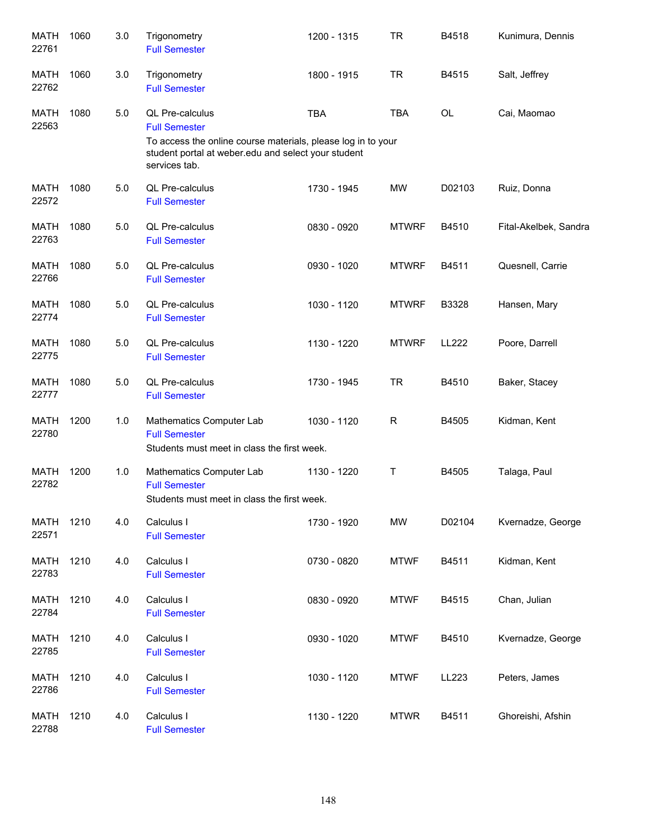| <b>MATH</b><br>22761 | 1060 | 3.0 | Trigonometry<br><b>Full Semester</b>                                                                                                                                            | 1200 - 1315 | <b>TR</b>    | B4518        | Kunimura, Dennis      |
|----------------------|------|-----|---------------------------------------------------------------------------------------------------------------------------------------------------------------------------------|-------------|--------------|--------------|-----------------------|
| MATH<br>22762        | 1060 | 3.0 | Trigonometry<br><b>Full Semester</b>                                                                                                                                            | 1800 - 1915 | <b>TR</b>    | B4515        | Salt, Jeffrey         |
| <b>MATH</b><br>22563 | 1080 | 5.0 | QL Pre-calculus<br><b>Full Semester</b><br>To access the online course materials, please log in to your<br>student portal at weber.edu and select your student<br>services tab. | <b>TBA</b>  | <b>TBA</b>   | OL           | Cai, Maomao           |
| <b>MATH</b><br>22572 | 1080 | 5.0 | <b>QL Pre-calculus</b><br><b>Full Semester</b>                                                                                                                                  | 1730 - 1945 | <b>MW</b>    | D02103       | Ruiz, Donna           |
| MATH<br>22763        | 1080 | 5.0 | QL Pre-calculus<br><b>Full Semester</b>                                                                                                                                         | 0830 - 0920 | <b>MTWRF</b> | B4510        | Fital-Akelbek, Sandra |
| <b>MATH</b><br>22766 | 1080 | 5.0 | QL Pre-calculus<br><b>Full Semester</b>                                                                                                                                         | 0930 - 1020 | <b>MTWRF</b> | B4511        | Quesnell, Carrie      |
| <b>MATH</b><br>22774 | 1080 | 5.0 | QL Pre-calculus<br><b>Full Semester</b>                                                                                                                                         | 1030 - 1120 | <b>MTWRF</b> | B3328        | Hansen, Mary          |
| <b>MATH</b><br>22775 | 1080 | 5.0 | QL Pre-calculus<br><b>Full Semester</b>                                                                                                                                         | 1130 - 1220 | <b>MTWRF</b> | <b>LL222</b> | Poore, Darrell        |
| <b>MATH</b><br>22777 | 1080 | 5.0 | QL Pre-calculus<br><b>Full Semester</b>                                                                                                                                         | 1730 - 1945 | <b>TR</b>    | B4510        | Baker, Stacey         |
| <b>MATH</b><br>22780 | 1200 | 1.0 | Mathematics Computer Lab<br><b>Full Semester</b><br>Students must meet in class the first week.                                                                                 | 1030 - 1120 | $\mathsf R$  | B4505        | Kidman, Kent          |
| <b>MATH</b><br>22782 | 1200 | 1.0 | Mathematics Computer Lab<br><b>Full Semester</b><br>Students must meet in class the first week.                                                                                 | 1130 - 1220 | Τ            | B4505        | Talaga, Paul          |
| <b>MATH</b><br>22571 | 1210 | 4.0 | Calculus I<br><b>Full Semester</b>                                                                                                                                              | 1730 - 1920 | <b>MW</b>    | D02104       | Kvernadze, George     |
| <b>MATH</b><br>22783 | 1210 | 4.0 | Calculus I<br><b>Full Semester</b>                                                                                                                                              | 0730 - 0820 | <b>MTWF</b>  | B4511        | Kidman, Kent          |
| <b>MATH</b><br>22784 | 1210 | 4.0 | Calculus I<br><b>Full Semester</b>                                                                                                                                              | 0830 - 0920 | <b>MTWF</b>  | B4515        | Chan, Julian          |
| <b>MATH</b><br>22785 | 1210 | 4.0 | Calculus I<br><b>Full Semester</b>                                                                                                                                              | 0930 - 1020 | <b>MTWF</b>  | B4510        | Kvernadze, George     |
| <b>MATH</b><br>22786 | 1210 | 4.0 | Calculus I<br><b>Full Semester</b>                                                                                                                                              | 1030 - 1120 | <b>MTWF</b>  | LL223        | Peters, James         |
| MATH<br>22788        | 1210 | 4.0 | Calculus I<br><b>Full Semester</b>                                                                                                                                              | 1130 - 1220 | <b>MTWR</b>  | B4511        | Ghoreishi, Afshin     |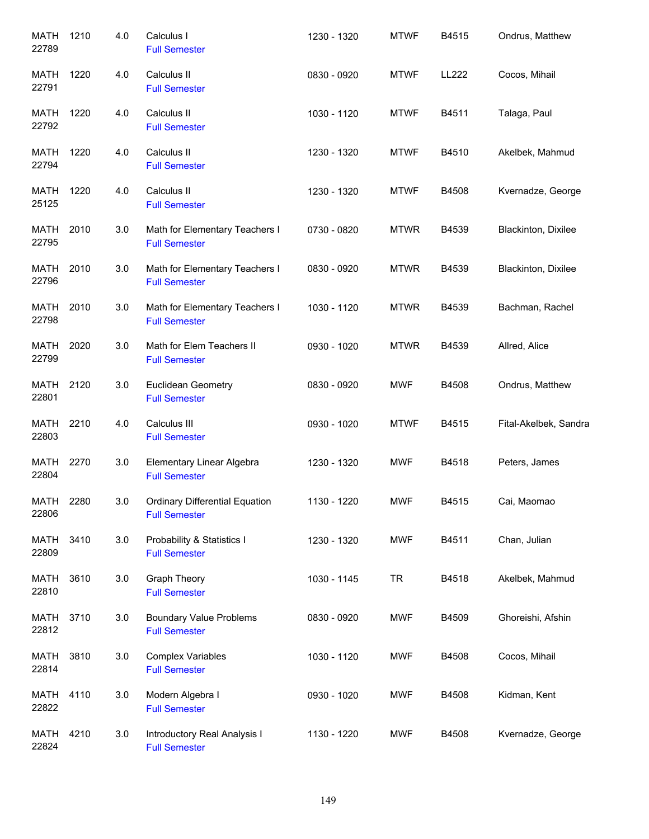| <b>MATH</b><br>22789 | 1210 | 4.0 | Calculus I<br><b>Full Semester</b>                            | 1230 - 1320 | <b>MTWF</b> | B4515        | Ondrus, Matthew       |
|----------------------|------|-----|---------------------------------------------------------------|-------------|-------------|--------------|-----------------------|
| MATH<br>22791        | 1220 | 4.0 | Calculus II<br><b>Full Semester</b>                           | 0830 - 0920 | <b>MTWF</b> | <b>LL222</b> | Cocos, Mihail         |
| MATH<br>22792        | 1220 | 4.0 | Calculus II<br><b>Full Semester</b>                           | 1030 - 1120 | <b>MTWF</b> | B4511        | Talaga, Paul          |
| <b>MATH</b><br>22794 | 1220 | 4.0 | Calculus II<br><b>Full Semester</b>                           | 1230 - 1320 | <b>MTWF</b> | B4510        | Akelbek, Mahmud       |
| MATH<br>25125        | 1220 | 4.0 | Calculus II<br><b>Full Semester</b>                           | 1230 - 1320 | <b>MTWF</b> | B4508        | Kvernadze, George     |
| <b>MATH</b><br>22795 | 2010 | 3.0 | Math for Elementary Teachers I<br><b>Full Semester</b>        | 0730 - 0820 | <b>MTWR</b> | B4539        | Blackinton, Dixilee   |
| <b>MATH</b><br>22796 | 2010 | 3.0 | Math for Elementary Teachers I<br><b>Full Semester</b>        | 0830 - 0920 | <b>MTWR</b> | B4539        | Blackinton, Dixilee   |
| <b>MATH</b><br>22798 | 2010 | 3.0 | Math for Elementary Teachers I<br><b>Full Semester</b>        | 1030 - 1120 | <b>MTWR</b> | B4539        | Bachman, Rachel       |
| MATH<br>22799        | 2020 | 3.0 | Math for Elem Teachers II<br><b>Full Semester</b>             | 0930 - 1020 | <b>MTWR</b> | B4539        | Allred, Alice         |
| <b>MATH</b><br>22801 | 2120 | 3.0 | <b>Euclidean Geometry</b><br><b>Full Semester</b>             | 0830 - 0920 | <b>MWF</b>  | B4508        | Ondrus, Matthew       |
| <b>MATH</b><br>22803 | 2210 | 4.0 | Calculus III<br><b>Full Semester</b>                          | 0930 - 1020 | <b>MTWF</b> | B4515        | Fital-Akelbek, Sandra |
| <b>MATH</b><br>22804 | 2270 | 3.0 | Elementary Linear Algebra<br><b>Full Semester</b>             | 1230 - 1320 | <b>MWF</b>  | B4518        | Peters, James         |
| MATH<br>22806        | 2280 | 3.0 | <b>Ordinary Differential Equation</b><br><b>Full Semester</b> | 1130 - 1220 | <b>MWF</b>  | B4515        | Cai, Maomao           |
| MATH<br>22809        | 3410 | 3.0 | Probability & Statistics I<br><b>Full Semester</b>            | 1230 - 1320 | <b>MWF</b>  | B4511        | Chan, Julian          |
| <b>MATH</b><br>22810 | 3610 | 3.0 | <b>Graph Theory</b><br><b>Full Semester</b>                   | 1030 - 1145 | <b>TR</b>   | B4518        | Akelbek, Mahmud       |
| <b>MATH</b><br>22812 | 3710 | 3.0 | <b>Boundary Value Problems</b><br><b>Full Semester</b>        | 0830 - 0920 | <b>MWF</b>  | B4509        | Ghoreishi, Afshin     |
| <b>MATH</b><br>22814 | 3810 | 3.0 | <b>Complex Variables</b><br><b>Full Semester</b>              | 1030 - 1120 | <b>MWF</b>  | B4508        | Cocos, Mihail         |
| <b>MATH</b><br>22822 | 4110 | 3.0 | Modern Algebra I<br><b>Full Semester</b>                      | 0930 - 1020 | <b>MWF</b>  | B4508        | Kidman, Kent          |
| MATH<br>22824        | 4210 | 3.0 | Introductory Real Analysis I<br><b>Full Semester</b>          | 1130 - 1220 | <b>MWF</b>  | B4508        | Kvernadze, George     |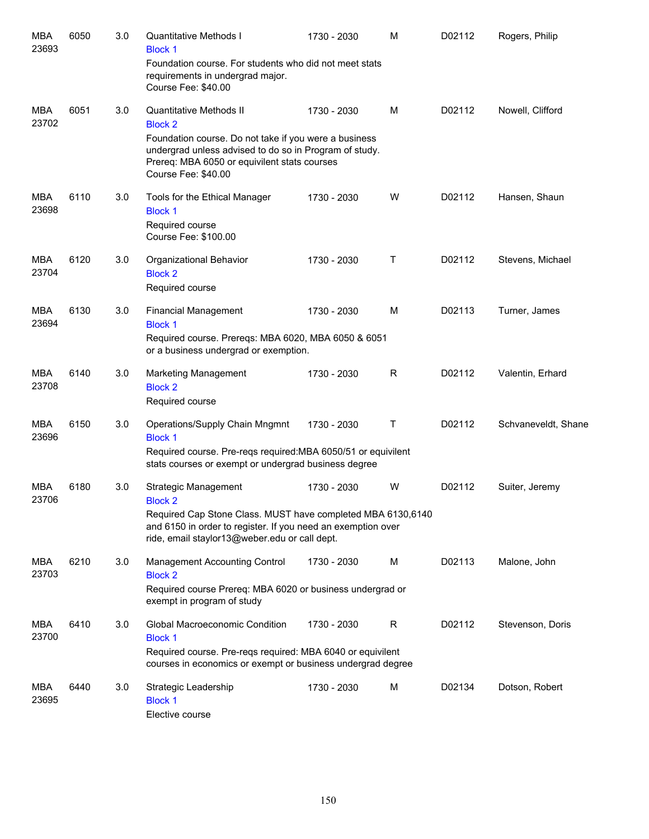| <b>MBA</b><br>23693 | 6050 | 3.0 | <b>Quantitative Methods I</b><br><b>Block 1</b><br>Foundation course. For students who did not meet stats<br>requirements in undergrad major.<br>Course Fee: \$40.00                                                                | 1730 - 2030 | M           | D02112 | Rogers, Philip      |
|---------------------|------|-----|-------------------------------------------------------------------------------------------------------------------------------------------------------------------------------------------------------------------------------------|-------------|-------------|--------|---------------------|
| MBA<br>23702        | 6051 | 3.0 | Quantitative Methods II<br><b>Block 2</b><br>Foundation course. Do not take if you were a business<br>undergrad unless advised to do so in Program of study.<br>Prereq: MBA 6050 or equivilent stats courses<br>Course Fee: \$40.00 | 1730 - 2030 | м           | D02112 | Nowell, Clifford    |
| MBA<br>23698        | 6110 | 3.0 | Tools for the Ethical Manager<br><b>Block 1</b><br>Required course<br>Course Fee: \$100.00                                                                                                                                          | 1730 - 2030 | W           | D02112 | Hansen, Shaun       |
| MBA<br>23704        | 6120 | 3.0 | Organizational Behavior<br><b>Block 2</b><br>Required course                                                                                                                                                                        | 1730 - 2030 | Τ           | D02112 | Stevens, Michael    |
| MBA<br>23694        | 6130 | 3.0 | <b>Financial Management</b><br><b>Block 1</b><br>Required course. Prereqs: MBA 6020, MBA 6050 & 6051<br>or a business undergrad or exemption.                                                                                       | 1730 - 2030 | M           | D02113 | Turner, James       |
| MBA<br>23708        | 6140 | 3.0 | Marketing Management<br><b>Block 2</b><br>Required course                                                                                                                                                                           | 1730 - 2030 | R           | D02112 | Valentin, Erhard    |
| MBA<br>23696        | 6150 | 3.0 | Operations/Supply Chain Mngmnt<br><b>Block 1</b><br>Required course. Pre-reqs required: MBA 6050/51 or equivilent<br>stats courses or exempt or undergrad business degree                                                           | 1730 - 2030 | $\mathsf T$ | D02112 | Schvaneveldt, Shane |
| MBA<br>23706        | 6180 | 3.0 | Strategic Management<br><b>Block 2</b><br>Required Cap Stone Class. MUST have completed MBA 6130,6140<br>and 6150 in order to register. If you need an exemption over<br>ride, email staylor13@weber.edu or call dept.              | 1730 - 2030 | W           | D02112 | Suiter, Jeremy      |
| <b>MBA</b><br>23703 | 6210 | 3.0 | Management Accounting Control<br><b>Block 2</b><br>Required course Prereq: MBA 6020 or business undergrad or<br>exempt in program of study                                                                                          | 1730 - 2030 | M           | D02113 | Malone, John        |
| MBA<br>23700        | 6410 | 3.0 | Global Macroeconomic Condition<br><b>Block 1</b><br>Required course. Pre-reqs required: MBA 6040 or equivilent<br>courses in economics or exempt or business undergrad degree                                                       | 1730 - 2030 | R           | D02112 | Stevenson, Doris    |
| MBA<br>23695        | 6440 | 3.0 | Strategic Leadership<br><b>Block 1</b><br>Elective course                                                                                                                                                                           | 1730 - 2030 | M           | D02134 | Dotson, Robert      |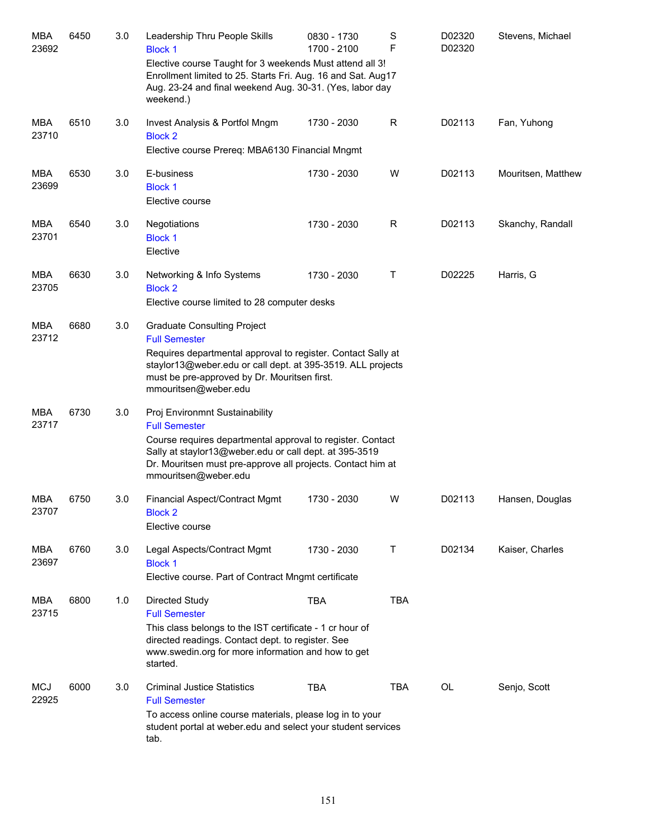| MBA<br>23692        | 6450 | 3.0 | Leadership Thru People Skills<br><b>Block 1</b><br>Elective course Taught for 3 weekends Must attend all 3!<br>Enrollment limited to 25. Starts Fri. Aug. 16 and Sat. Aug17<br>Aug. 23-24 and final weekend Aug. 30-31. (Yes, labor day<br>weekend.)                  | 0830 - 1730<br>1700 - 2100 | S<br>F       | D02320<br>D02320 | Stevens, Michael   |
|---------------------|------|-----|-----------------------------------------------------------------------------------------------------------------------------------------------------------------------------------------------------------------------------------------------------------------------|----------------------------|--------------|------------------|--------------------|
| <b>MBA</b><br>23710 | 6510 | 3.0 | Invest Analysis & Portfol Mngm<br><b>Block 2</b><br>Elective course Prereq: MBA6130 Financial Mngmt                                                                                                                                                                   | 1730 - 2030                | R            | D02113           | Fan, Yuhong        |
| MBA<br>23699        | 6530 | 3.0 | E-business<br><b>Block 1</b><br>Elective course                                                                                                                                                                                                                       | 1730 - 2030                | W            | D02113           | Mouritsen, Matthew |
| MBA<br>23701        | 6540 | 3.0 | Negotiations<br><b>Block 1</b><br>Elective                                                                                                                                                                                                                            | 1730 - 2030                | $\mathsf{R}$ | D02113           | Skanchy, Randall   |
| <b>MBA</b><br>23705 | 6630 | 3.0 | Networking & Info Systems<br><b>Block 2</b><br>Elective course limited to 28 computer desks                                                                                                                                                                           | 1730 - 2030                | Т            | D02225           | Harris, G          |
| MBA<br>23712        | 6680 | 3.0 | <b>Graduate Consulting Project</b><br><b>Full Semester</b><br>Requires departmental approval to register. Contact Sally at<br>staylor13@weber.edu or call dept. at 395-3519. ALL projects<br>must be pre-approved by Dr. Mouritsen first.<br>mmouritsen@weber.edu     |                            |              |                  |                    |
| MBA<br>23717        | 6730 | 3.0 | Proj Environmnt Sustainability<br><b>Full Semester</b><br>Course requires departmental approval to register. Contact<br>Sally at staylor13@weber.edu or call dept. at 395-3519<br>Dr. Mouritsen must pre-approve all projects. Contact him at<br>mmouritsen@weber.edu |                            |              |                  |                    |
| <b>MBA</b><br>23707 | 6750 | 3.0 | Financial Aspect/Contract Mgmt<br><b>Block 2</b><br>Elective course                                                                                                                                                                                                   | 1730 - 2030                | W            | D02113           | Hansen, Douglas    |
| MBA<br>23697        | 6760 | 3.0 | Legal Aspects/Contract Mgmt<br><b>Block 1</b><br>Elective course. Part of Contract Mngmt certificate                                                                                                                                                                  | 1730 - 2030                | Τ            | D02134           | Kaiser, Charles    |
| <b>MBA</b><br>23715 | 6800 | 1.0 | Directed Study<br><b>Full Semester</b><br>This class belongs to the IST certificate - 1 cr hour of<br>directed readings. Contact dept. to register. See<br>www.swedin.org for more information and how to get<br>started.                                             | <b>TBA</b>                 | <b>TBA</b>   |                  |                    |
| <b>MCJ</b><br>22925 | 6000 | 3.0 | <b>Criminal Justice Statistics</b><br><b>Full Semester</b><br>To access online course materials, please log in to your<br>student portal at weber edu and select your student services<br>tab.                                                                        | <b>TBA</b>                 | <b>TBA</b>   | OL               | Senjo, Scott       |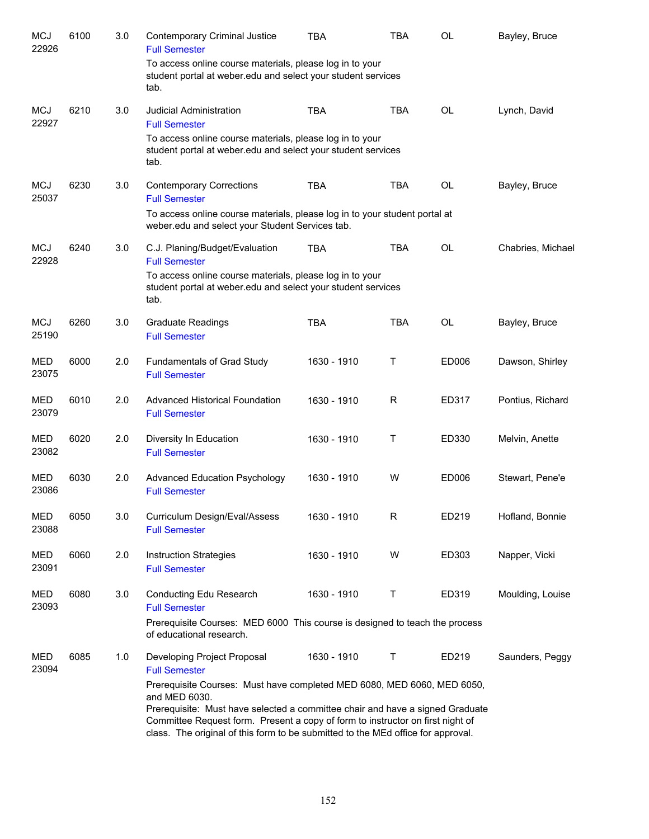| <b>MCJ</b><br>22926 | 6100 | 3.0 | <b>Contemporary Criminal Justice</b><br><b>Full Semester</b>                                                                                                                                                                                                                                                                                    | <b>TBA</b>  | <b>TBA</b>   | <b>OL</b> | Bayley, Bruce     |
|---------------------|------|-----|-------------------------------------------------------------------------------------------------------------------------------------------------------------------------------------------------------------------------------------------------------------------------------------------------------------------------------------------------|-------------|--------------|-----------|-------------------|
|                     |      |     | To access online course materials, please log in to your<br>student portal at weber edu and select your student services<br>tab.                                                                                                                                                                                                                |             |              |           |                   |
| <b>MCJ</b><br>22927 | 6210 | 3.0 | Judicial Administration<br><b>Full Semester</b>                                                                                                                                                                                                                                                                                                 | <b>TBA</b>  | <b>TBA</b>   | <b>OL</b> | Lynch, David      |
|                     |      |     | To access online course materials, please log in to your<br>student portal at weber edu and select your student services<br>tab.                                                                                                                                                                                                                |             |              |           |                   |
| <b>MCJ</b><br>25037 | 6230 | 3.0 | <b>Contemporary Corrections</b><br><b>Full Semester</b>                                                                                                                                                                                                                                                                                         | <b>TBA</b>  | <b>TBA</b>   | <b>OL</b> | Bayley, Bruce     |
|                     |      |     | To access online course materials, please log in to your student portal at<br>weber.edu and select your Student Services tab.                                                                                                                                                                                                                   |             |              |           |                   |
| <b>MCJ</b><br>22928 | 6240 | 3.0 | C.J. Planing/Budget/Evaluation<br><b>Full Semester</b>                                                                                                                                                                                                                                                                                          | <b>TBA</b>  | <b>TBA</b>   | <b>OL</b> | Chabries, Michael |
|                     |      |     | To access online course materials, please log in to your<br>student portal at weber.edu and select your student services<br>tab.                                                                                                                                                                                                                |             |              |           |                   |
| <b>MCJ</b><br>25190 | 6260 | 3.0 | <b>Graduate Readings</b><br><b>Full Semester</b>                                                                                                                                                                                                                                                                                                | <b>TBA</b>  | <b>TBA</b>   | <b>OL</b> | Bayley, Bruce     |
| <b>MED</b><br>23075 | 6000 | 2.0 | Fundamentals of Grad Study<br><b>Full Semester</b>                                                                                                                                                                                                                                                                                              | 1630 - 1910 | Τ            | ED006     | Dawson, Shirley   |
| <b>MED</b><br>23079 | 6010 | 2.0 | <b>Advanced Historical Foundation</b><br><b>Full Semester</b>                                                                                                                                                                                                                                                                                   | 1630 - 1910 | R            | ED317     | Pontius, Richard  |
| <b>MED</b><br>23082 | 6020 | 2.0 | Diversity In Education<br><b>Full Semester</b>                                                                                                                                                                                                                                                                                                  | 1630 - 1910 | $\mathsf{T}$ | ED330     | Melvin, Anette    |
| <b>MED</b><br>23086 | 6030 | 2.0 | Advanced Education Psychology<br><b>Full Semester</b>                                                                                                                                                                                                                                                                                           | 1630 - 1910 | W            | ED006     | Stewart, Pene'e   |
| MED<br>23088        | 6050 | 3.0 | Curriculum Design/Eval/Assess<br><b>Full Semester</b>                                                                                                                                                                                                                                                                                           | 1630 - 1910 | R            | ED219     | Hofland, Bonnie   |
| MED<br>23091        | 6060 | 2.0 | <b>Instruction Strategies</b><br><b>Full Semester</b>                                                                                                                                                                                                                                                                                           | 1630 - 1910 | W            | ED303     | Napper, Vicki     |
| MED<br>23093        | 6080 | 3.0 | Conducting Edu Research<br><b>Full Semester</b>                                                                                                                                                                                                                                                                                                 | 1630 - 1910 | Т            | ED319     | Moulding, Louise  |
|                     |      |     | Prerequisite Courses: MED 6000 This course is designed to teach the process<br>of educational research.                                                                                                                                                                                                                                         |             |              |           |                   |
| MED<br>23094        | 6085 | 1.0 | Developing Project Proposal<br><b>Full Semester</b>                                                                                                                                                                                                                                                                                             | 1630 - 1910 | Т            | ED219     | Saunders, Peggy   |
|                     |      |     | Prerequisite Courses: Must have completed MED 6080, MED 6060, MED 6050,<br>and MED 6030.<br>Prerequisite: Must have selected a committee chair and have a signed Graduate<br>Committee Request form. Present a copy of form to instructor on first night of<br>class. The original of this form to be submitted to the MEd office for approval. |             |              |           |                   |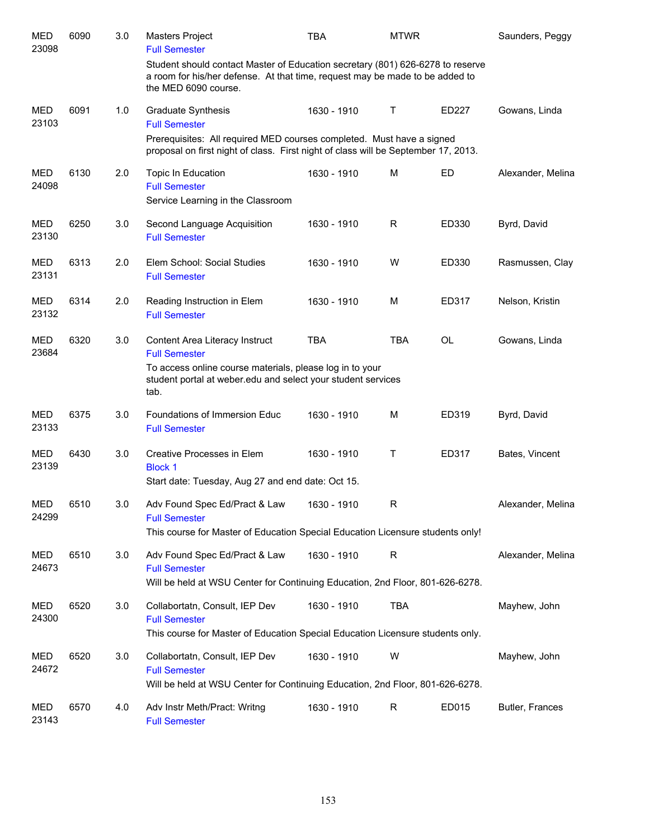| <b>MED</b><br>23098 | 6090 | 3.0 | Masters Project<br><b>Full Semester</b>                                                                                                                                                | <b>TBA</b>  | <b>MTWR</b> |           | Saunders, Peggy   |
|---------------------|------|-----|----------------------------------------------------------------------------------------------------------------------------------------------------------------------------------------|-------------|-------------|-----------|-------------------|
|                     |      |     | Student should contact Master of Education secretary (801) 626-6278 to reserve<br>a room for his/her defense. At that time, request may be made to be added to<br>the MED 6090 course. |             |             |           |                   |
| MED<br>23103        | 6091 | 1.0 | <b>Graduate Synthesis</b><br><b>Full Semester</b>                                                                                                                                      | 1630 - 1910 | Τ           | ED227     | Gowans, Linda     |
|                     |      |     | Prerequisites: All required MED courses completed. Must have a signed<br>proposal on first night of class. First night of class will be September 17, 2013.                            |             |             |           |                   |
| MED<br>24098        | 6130 | 2.0 | Topic In Education<br><b>Full Semester</b><br>Service Learning in the Classroom                                                                                                        | 1630 - 1910 | M           | ED        | Alexander, Melina |
| MED<br>23130        | 6250 | 3.0 | Second Language Acquisition<br><b>Full Semester</b>                                                                                                                                    | 1630 - 1910 | R           | ED330     | Byrd, David       |
| MED<br>23131        | 6313 | 2.0 | Elem School: Social Studies<br><b>Full Semester</b>                                                                                                                                    | 1630 - 1910 | W           | ED330     | Rasmussen, Clay   |
| MED<br>23132        | 6314 | 2.0 | Reading Instruction in Elem<br><b>Full Semester</b>                                                                                                                                    | 1630 - 1910 | M           | ED317     | Nelson, Kristin   |
| <b>MED</b><br>23684 | 6320 | 3.0 | Content Area Literacy Instruct<br><b>Full Semester</b>                                                                                                                                 | <b>TBA</b>  | <b>TBA</b>  | <b>OL</b> | Gowans, Linda     |
|                     |      |     | To access online course materials, please log in to your<br>student portal at weber edu and select your student services<br>tab.                                                       |             |             |           |                   |
| MED<br>23133        | 6375 | 3.0 | Foundations of Immersion Educ<br><b>Full Semester</b>                                                                                                                                  | 1630 - 1910 | M           | ED319     | Byrd, David       |
| <b>MED</b><br>23139 | 6430 | 3.0 | Creative Processes in Elem<br><b>Block 1</b><br>Start date: Tuesday, Aug 27 and end date: Oct 15.                                                                                      | 1630 - 1910 | Τ           | ED317     | Bates, Vincent    |
|                     |      |     |                                                                                                                                                                                        |             |             |           |                   |
| <b>MED</b><br>24299 | 6510 | 3.0 | Adv Found Spec Ed/Pract & Law<br><b>Full Semester</b><br>This course for Master of Education Special Education Licensure students only!                                                | 1630 - 1910 | R.          |           | Alexander, Melina |
| MED                 | 6510 | 3.0 | Adv Found Spec Ed/Pract & Law                                                                                                                                                          | 1630 - 1910 | R           |           | Alexander, Melina |
| 24673               |      |     | <b>Full Semester</b><br>Will be held at WSU Center for Continuing Education, 2nd Floor, 801-626-6278.                                                                                  |             |             |           |                   |
| MED<br>24300        | 6520 | 3.0 | Collabortatn, Consult, IEP Dev<br><b>Full Semester</b><br>This course for Master of Education Special Education Licensure students only.                                               | 1630 - 1910 | <b>TBA</b>  |           | Mayhew, John      |
| MED<br>24672        | 6520 | 3.0 | Collabortatn, Consult, IEP Dev<br><b>Full Semester</b><br>Will be held at WSU Center for Continuing Education, 2nd Floor, 801-626-6278.                                                | 1630 - 1910 | W           |           | Mayhew, John      |
| MED<br>23143        | 6570 | 4.0 | Adv Instr Meth/Pract: Writng<br><b>Full Semester</b>                                                                                                                                   | 1630 - 1910 | R           | ED015     | Butler, Frances   |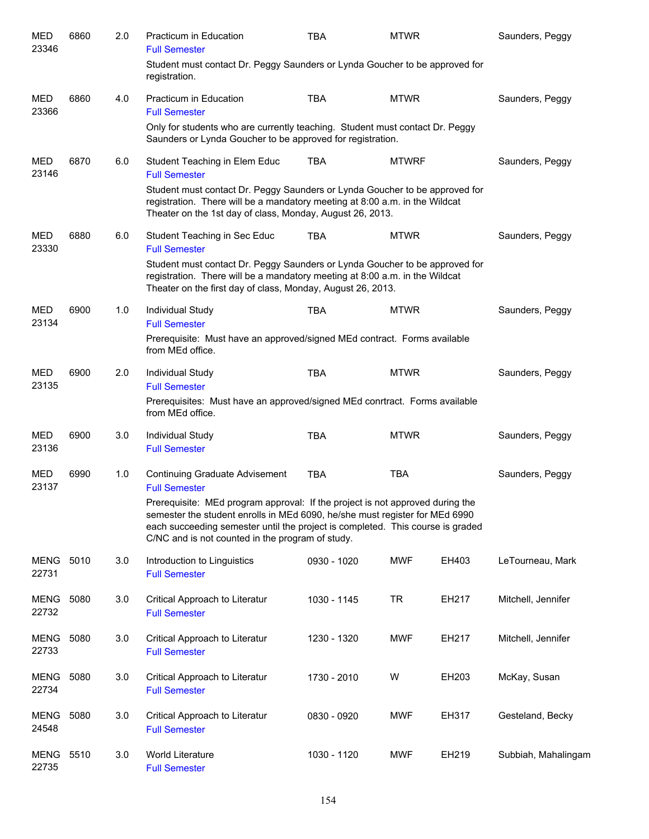| <b>MED</b><br>23346  | 6860 | 2.0 | Practicum in Education<br><b>Full Semester</b>                                                                                                                                                                                                                                                     | <b>TBA</b>  | <b>MTWR</b>  |       | Saunders, Peggy     |
|----------------------|------|-----|----------------------------------------------------------------------------------------------------------------------------------------------------------------------------------------------------------------------------------------------------------------------------------------------------|-------------|--------------|-------|---------------------|
|                      |      |     | Student must contact Dr. Peggy Saunders or Lynda Goucher to be approved for<br>registration.                                                                                                                                                                                                       |             |              |       |                     |
| <b>MED</b><br>23366  | 6860 | 4.0 | Practicum in Education<br><b>Full Semester</b>                                                                                                                                                                                                                                                     | <b>TBA</b>  | <b>MTWR</b>  |       | Saunders, Peggy     |
|                      |      |     | Only for students who are currently teaching. Student must contact Dr. Peggy<br>Saunders or Lynda Goucher to be approved for registration.                                                                                                                                                         |             |              |       |                     |
| MED<br>23146         | 6870 | 6.0 | Student Teaching in Elem Educ<br><b>Full Semester</b>                                                                                                                                                                                                                                              | <b>TBA</b>  | <b>MTWRF</b> |       | Saunders, Peggy     |
|                      |      |     | Student must contact Dr. Peggy Saunders or Lynda Goucher to be approved for<br>registration. There will be a mandatory meeting at 8:00 a.m. in the Wildcat<br>Theater on the 1st day of class, Monday, August 26, 2013.                                                                            |             |              |       |                     |
| MED<br>23330         | 6880 | 6.0 | Student Teaching in Sec Educ<br><b>Full Semester</b>                                                                                                                                                                                                                                               | <b>TBA</b>  | <b>MTWR</b>  |       | Saunders, Peggy     |
|                      |      |     | Student must contact Dr. Peggy Saunders or Lynda Goucher to be approved for<br>registration. There will be a mandatory meeting at 8:00 a.m. in the Wildcat<br>Theater on the first day of class, Monday, August 26, 2013.                                                                          |             |              |       |                     |
| MED                  | 6900 | 1.0 | Individual Study                                                                                                                                                                                                                                                                                   | <b>TBA</b>  | <b>MTWR</b>  |       | Saunders, Peggy     |
| 23134                |      |     | <b>Full Semester</b><br>Prerequisite: Must have an approved/signed MEd contract. Forms available<br>from MEd office.                                                                                                                                                                               |             |              |       |                     |
| <b>MED</b>           | 6900 | 2.0 | Individual Study                                                                                                                                                                                                                                                                                   | <b>TBA</b>  | <b>MTWR</b>  |       | Saunders, Peggy     |
| 23135                |      |     | <b>Full Semester</b><br>Prerequisites: Must have an approved/signed MEd conrtract. Forms available<br>from MEd office.                                                                                                                                                                             |             |              |       |                     |
| MED<br>23136         | 6900 | 3.0 | Individual Study<br><b>Full Semester</b>                                                                                                                                                                                                                                                           | <b>TBA</b>  | <b>MTWR</b>  |       | Saunders, Peggy     |
| <b>MED</b><br>23137  | 6990 | 1.0 | <b>Continuing Graduate Advisement</b><br><b>Full Semester</b>                                                                                                                                                                                                                                      | <b>TBA</b>  | <b>TBA</b>   |       | Saunders, Peggy     |
|                      |      |     | Prerequisite: MEd program approval: If the project is not approved during the<br>semester the student enrolls in MEd 6090, he/she must register for MEd 6990<br>each succeeding semester until the project is completed. This course is graded<br>C/NC and is not counted in the program of study. |             |              |       |                     |
| MENG<br>22731        | 5010 | 3.0 | Introduction to Linguistics<br><b>Full Semester</b>                                                                                                                                                                                                                                                | 0930 - 1020 | <b>MWF</b>   | EH403 | LeTourneau, Mark    |
| MENG<br>22732        | 5080 | 3.0 | Critical Approach to Literatur<br><b>Full Semester</b>                                                                                                                                                                                                                                             | 1030 - 1145 | <b>TR</b>    | EH217 | Mitchell, Jennifer  |
| MENG<br>22733        | 5080 | 3.0 | Critical Approach to Literatur<br><b>Full Semester</b>                                                                                                                                                                                                                                             | 1230 - 1320 | <b>MWF</b>   | EH217 | Mitchell, Jennifer  |
| <b>MENG</b><br>22734 | 5080 | 3.0 | Critical Approach to Literatur<br><b>Full Semester</b>                                                                                                                                                                                                                                             | 1730 - 2010 | W            | EH203 | McKay, Susan        |
| <b>MENG</b><br>24548 | 5080 | 3.0 | Critical Approach to Literatur<br><b>Full Semester</b>                                                                                                                                                                                                                                             | 0830 - 0920 | <b>MWF</b>   | EH317 | Gesteland, Becky    |
| MENG<br>22735        | 5510 | 3.0 | World Literature<br><b>Full Semester</b>                                                                                                                                                                                                                                                           | 1030 - 1120 | <b>MWF</b>   | EH219 | Subbiah, Mahalingam |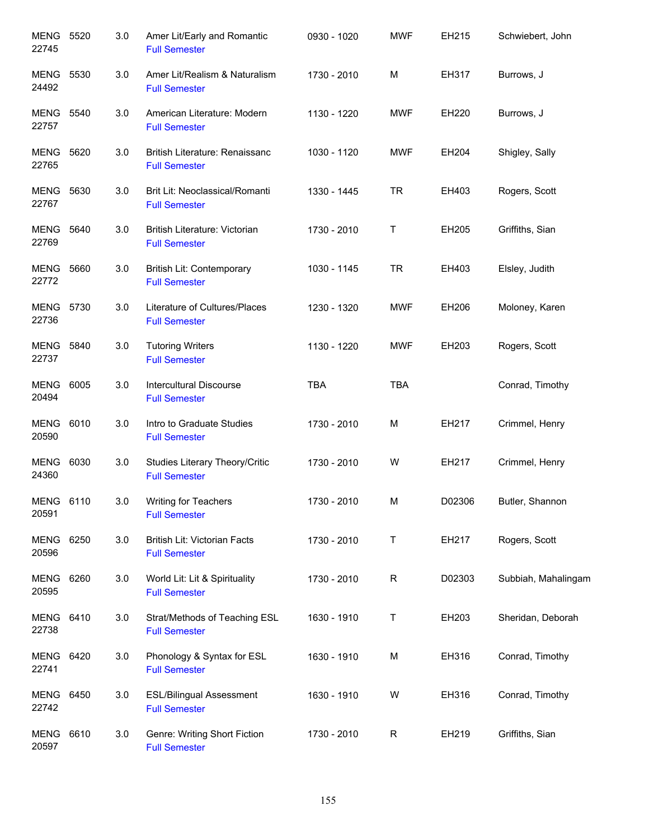| <b>MENG 5520</b><br>22745 |      | 3.0 | Amer Lit/Early and Romantic<br><b>Full Semester</b>     | 0930 - 1020 | <b>MWF</b>  | EH215  | Schwiebert, John    |
|---------------------------|------|-----|---------------------------------------------------------|-------------|-------------|--------|---------------------|
| <b>MENG 5530</b><br>24492 |      | 3.0 | Amer Lit/Realism & Naturalism<br><b>Full Semester</b>   | 1730 - 2010 | M           | EH317  | Burrows, J          |
| <b>MENG 5540</b><br>22757 |      | 3.0 | American Literature: Modern<br><b>Full Semester</b>     | 1130 - 1220 | <b>MWF</b>  | EH220  | Burrows, J          |
| <b>MENG 5620</b><br>22765 |      | 3.0 | British Literature: Renaissanc<br><b>Full Semester</b>  | 1030 - 1120 | <b>MWF</b>  | EH204  | Shigley, Sally      |
| <b>MENG 5630</b><br>22767 |      | 3.0 | Brit Lit: Neoclassical/Romanti<br><b>Full Semester</b>  | 1330 - 1445 | <b>TR</b>   | EH403  | Rogers, Scott       |
| <b>MENG 5640</b><br>22769 |      | 3.0 | British Literature: Victorian<br><b>Full Semester</b>   | 1730 - 2010 | T           | EH205  | Griffiths, Sian     |
| <b>MENG 5660</b><br>22772 |      | 3.0 | British Lit: Contemporary<br><b>Full Semester</b>       | 1030 - 1145 | <b>TR</b>   | EH403  | Elsley, Judith      |
| MENG 5730<br>22736        |      | 3.0 | Literature of Cultures/Places<br><b>Full Semester</b>   | 1230 - 1320 | <b>MWF</b>  | EH206  | Moloney, Karen      |
| <b>MENG 5840</b><br>22737 |      | 3.0 | <b>Tutoring Writers</b><br><b>Full Semester</b>         | 1130 - 1220 | <b>MWF</b>  | EH203  | Rogers, Scott       |
| <b>MENG</b><br>20494      | 6005 | 3.0 | <b>Intercultural Discourse</b><br><b>Full Semester</b>  | <b>TBA</b>  | <b>TBA</b>  |        | Conrad, Timothy     |
| <b>MENG</b><br>20590      | 6010 | 3.0 | Intro to Graduate Studies<br><b>Full Semester</b>       | 1730 - 2010 | M           | EH217  | Crimmel, Henry      |
| <b>MENG</b><br>24360      | 6030 | 3.0 | Studies Literary Theory/Critic<br><b>Full Semester</b>  | 1730 - 2010 | W           | EH217  | Crimmel, Henry      |
| <b>MENG 6110</b><br>20591 |      | 3.0 | <b>Writing for Teachers</b><br><b>Full Semester</b>     | 1730 - 2010 | М           | D02306 | Butler, Shannon     |
| <b>MENG 6250</b><br>20596 |      | 3.0 | British Lit: Victorian Facts<br><b>Full Semester</b>    | 1730 - 2010 | Τ           | EH217  | Rogers, Scott       |
| MENG<br>20595             | 6260 | 3.0 | World Lit: Lit & Spirituality<br><b>Full Semester</b>   | 1730 - 2010 | $\mathsf R$ | D02303 | Subbiah, Mahalingam |
| <b>MENG 6410</b><br>22738 |      | 3.0 | Strat/Methods of Teaching ESL<br><b>Full Semester</b>   | 1630 - 1910 | T           | EH203  | Sheridan, Deborah   |
| <b>MENG 6420</b><br>22741 |      | 3.0 | Phonology & Syntax for ESL<br><b>Full Semester</b>      | 1630 - 1910 | M           | EH316  | Conrad, Timothy     |
| <b>MENG 6450</b><br>22742 |      | 3.0 | <b>ESL/Bilingual Assessment</b><br><b>Full Semester</b> | 1630 - 1910 | W           | EH316  | Conrad, Timothy     |
| MENG<br>20597             | 6610 | 3.0 | Genre: Writing Short Fiction<br><b>Full Semester</b>    | 1730 - 2010 | $\mathsf R$ | EH219  | Griffiths, Sian     |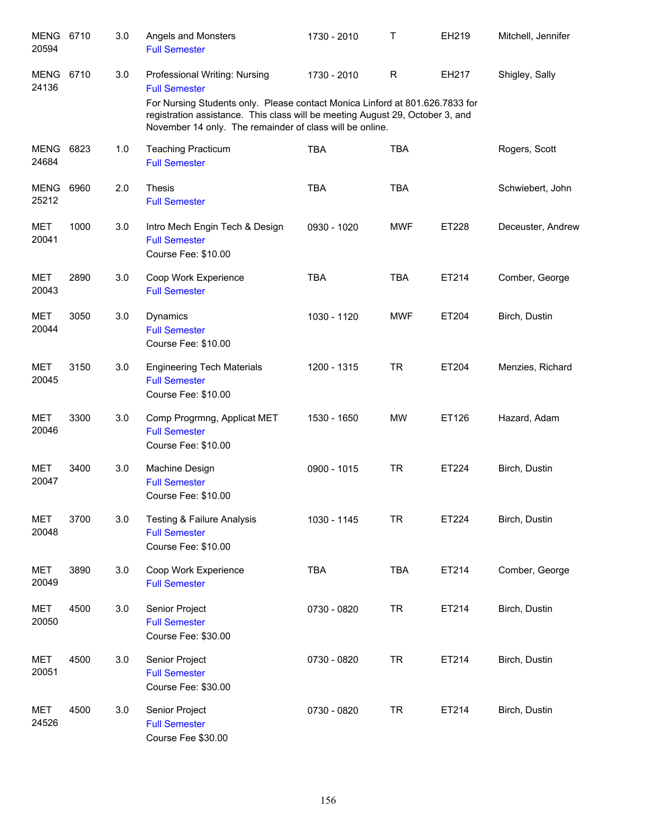| <b>MENG</b><br>20594 | 6710 | 3.0 | Angels and Monsters<br><b>Full Semester</b>                                                                                                                                                                               | 1730 - 2010 | Τ            | EH219 | Mitchell, Jennifer |
|----------------------|------|-----|---------------------------------------------------------------------------------------------------------------------------------------------------------------------------------------------------------------------------|-------------|--------------|-------|--------------------|
| MENG<br>24136        | 6710 | 3.0 | Professional Writing: Nursing<br><b>Full Semester</b>                                                                                                                                                                     | 1730 - 2010 | $\mathsf{R}$ | EH217 | Shigley, Sally     |
|                      |      |     | For Nursing Students only. Please contact Monica Linford at 801.626.7833 for<br>registration assistance. This class will be meeting August 29, October 3, and<br>November 14 only. The remainder of class will be online. |             |              |       |                    |
| <b>MENG</b><br>24684 | 6823 | 1.0 | <b>Teaching Practicum</b><br><b>Full Semester</b>                                                                                                                                                                         | <b>TBA</b>  | <b>TBA</b>   |       | Rogers, Scott      |
| MENG<br>25212        | 6960 | 2.0 | <b>Thesis</b><br><b>Full Semester</b>                                                                                                                                                                                     | <b>TBA</b>  | <b>TBA</b>   |       | Schwiebert, John   |
| <b>MET</b><br>20041  | 1000 | 3.0 | Intro Mech Engin Tech & Design<br><b>Full Semester</b><br>Course Fee: \$10.00                                                                                                                                             | 0930 - 1020 | <b>MWF</b>   | ET228 | Deceuster, Andrew  |
| <b>MET</b><br>20043  | 2890 | 3.0 | Coop Work Experience<br><b>Full Semester</b>                                                                                                                                                                              | <b>TBA</b>  | <b>TBA</b>   | ET214 | Comber, George     |
| <b>MET</b><br>20044  | 3050 | 3.0 | Dynamics<br><b>Full Semester</b><br>Course Fee: \$10.00                                                                                                                                                                   | 1030 - 1120 | <b>MWF</b>   | ET204 | Birch, Dustin      |
| <b>MET</b><br>20045  | 3150 | 3.0 | <b>Engineering Tech Materials</b><br><b>Full Semester</b><br>Course Fee: \$10.00                                                                                                                                          | 1200 - 1315 | <b>TR</b>    | ET204 | Menzies, Richard   |
| <b>MET</b><br>20046  | 3300 | 3.0 | Comp Progrmng, Applicat MET<br><b>Full Semester</b><br>Course Fee: \$10.00                                                                                                                                                | 1530 - 1650 | <b>MW</b>    | ET126 | Hazard, Adam       |
| MET<br>20047         | 3400 | 3.0 | Machine Design<br><b>Full Semester</b><br>Course Fee: \$10.00                                                                                                                                                             | 0900 - 1015 | <b>TR</b>    | ET224 | Birch, Dustin      |
| <b>MET</b><br>20048  | 3700 | 3.0 | <b>Testing &amp; Failure Analysis</b><br><b>Full Semester</b><br>Course Fee: \$10.00                                                                                                                                      | 1030 - 1145 | <b>TR</b>    | ET224 | Birch, Dustin      |
| <b>MET</b><br>20049  | 3890 | 3.0 | Coop Work Experience<br><b>Full Semester</b>                                                                                                                                                                              | <b>TBA</b>  | TBA          | ET214 | Comber, George     |
| <b>MET</b><br>20050  | 4500 | 3.0 | Senior Project<br><b>Full Semester</b><br>Course Fee: \$30.00                                                                                                                                                             | 0730 - 0820 | <b>TR</b>    | ET214 | Birch, Dustin      |
| <b>MET</b><br>20051  | 4500 | 3.0 | Senior Project<br><b>Full Semester</b><br>Course Fee: \$30.00                                                                                                                                                             | 0730 - 0820 | <b>TR</b>    | ET214 | Birch, Dustin      |
| MET<br>24526         | 4500 | 3.0 | Senior Project<br><b>Full Semester</b><br>Course Fee \$30.00                                                                                                                                                              | 0730 - 0820 | <b>TR</b>    | ET214 | Birch, Dustin      |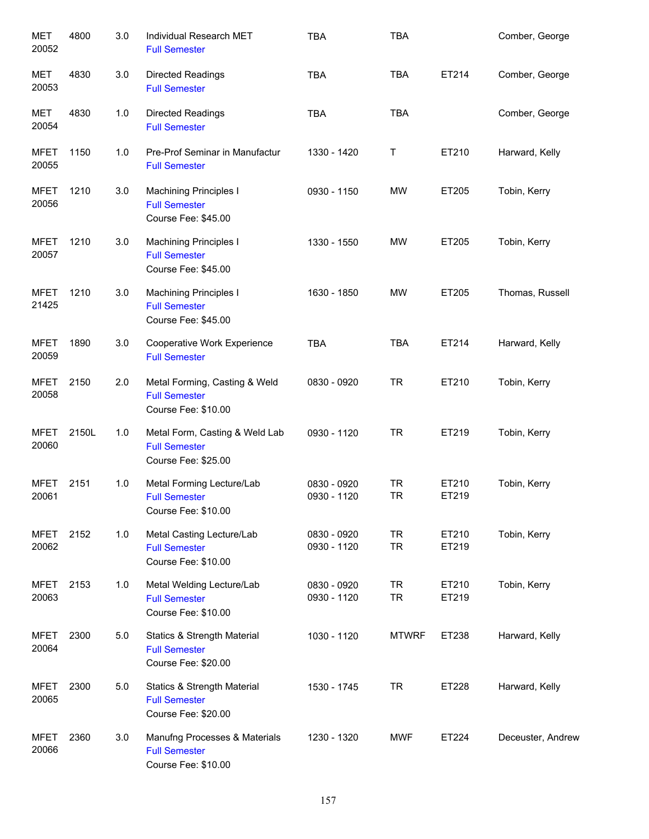| <b>MET</b><br>20052  | 4800  | 3.0 | Individual Research MET<br><b>Full Semester</b>                               | <b>TBA</b>                 | TBA                    |                | Comber, George    |
|----------------------|-------|-----|-------------------------------------------------------------------------------|----------------------------|------------------------|----------------|-------------------|
| MET<br>20053         | 4830  | 3.0 | <b>Directed Readings</b><br><b>Full Semester</b>                              | <b>TBA</b>                 | <b>TBA</b>             | ET214          | Comber, George    |
| MET<br>20054         | 4830  | 1.0 | <b>Directed Readings</b><br><b>Full Semester</b>                              | <b>TBA</b>                 | <b>TBA</b>             |                | Comber, George    |
| <b>MFET</b><br>20055 | 1150  | 1.0 | Pre-Prof Seminar in Manufactur<br><b>Full Semester</b>                        | 1330 - 1420                | Τ                      | ET210          | Harward, Kelly    |
| <b>MFET</b><br>20056 | 1210  | 3.0 | <b>Machining Principles I</b><br><b>Full Semester</b><br>Course Fee: \$45.00  | 0930 - 1150                | <b>MW</b>              | ET205          | Tobin, Kerry      |
| MFET<br>20057        | 1210  | 3.0 | <b>Machining Principles I</b><br><b>Full Semester</b><br>Course Fee: \$45.00  | 1330 - 1550                | <b>MW</b>              | ET205          | Tobin, Kerry      |
| <b>MFET</b><br>21425 | 1210  | 3.0 | <b>Machining Principles I</b><br><b>Full Semester</b><br>Course Fee: \$45.00  | 1630 - 1850                | <b>MW</b>              | ET205          | Thomas, Russell   |
| <b>MFET</b><br>20059 | 1890  | 3.0 | Cooperative Work Experience<br><b>Full Semester</b>                           | <b>TBA</b>                 | <b>TBA</b>             | ET214          | Harward, Kelly    |
| <b>MFET</b><br>20058 | 2150  | 2.0 | Metal Forming, Casting & Weld<br><b>Full Semester</b><br>Course Fee: \$10.00  | 0830 - 0920                | <b>TR</b>              | ET210          | Tobin, Kerry      |
| <b>MFET</b><br>20060 | 2150L | 1.0 | Metal Form, Casting & Weld Lab<br><b>Full Semester</b><br>Course Fee: \$25.00 | 0930 - 1120                | <b>TR</b>              | ET219          | Tobin, Kerry      |
| <b>MFET</b><br>20061 | 2151  | 1.0 | Metal Forming Lecture/Lab<br><b>Full Semester</b><br>Course Fee: \$10.00      | 0830 - 0920<br>0930 - 1120 | <b>TR</b><br><b>TR</b> | ET210<br>ET219 | Tobin, Kerry      |
| MFET<br>20062        | 2152  | 1.0 | Metal Casting Lecture/Lab<br><b>Full Semester</b><br>Course Fee: \$10.00      | 0830 - 0920<br>0930 - 1120 | <b>TR</b><br><b>TR</b> | ET210<br>ET219 | Tobin, Kerry      |
| <b>MFET</b><br>20063 | 2153  | 1.0 | Metal Welding Lecture/Lab<br><b>Full Semester</b><br>Course Fee: \$10.00      | 0830 - 0920<br>0930 - 1120 | <b>TR</b><br><b>TR</b> | ET210<br>ET219 | Tobin, Kerry      |
| <b>MFET</b><br>20064 | 2300  | 5.0 | Statics & Strength Material<br><b>Full Semester</b><br>Course Fee: \$20.00    | 1030 - 1120                | <b>MTWRF</b>           | ET238          | Harward, Kelly    |
| <b>MFET</b><br>20065 | 2300  | 5.0 | Statics & Strength Material<br><b>Full Semester</b><br>Course Fee: \$20.00    | 1530 - 1745                | <b>TR</b>              | ET228          | Harward, Kelly    |
| MFET<br>20066        | 2360  | 3.0 | Manufng Processes & Materials<br><b>Full Semester</b><br>Course Fee: \$10.00  | 1230 - 1320                | <b>MWF</b>             | ET224          | Deceuster, Andrew |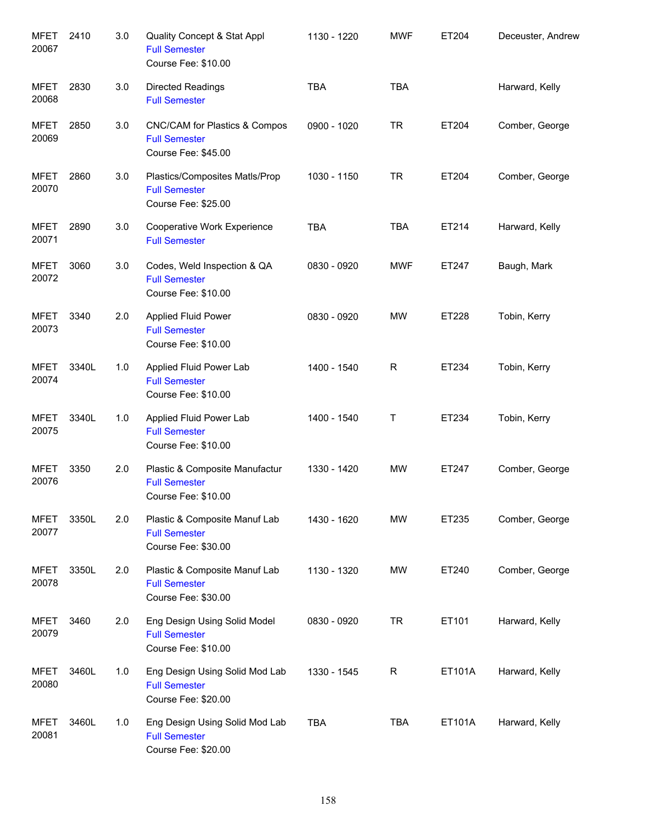| <b>MFET</b><br>20067 | 2410  | 3.0 | Quality Concept & Stat Appl<br><b>Full Semester</b><br>Course Fee: \$10.00    | 1130 - 1220 | <b>MWF</b>  | ET204  | Deceuster, Andrew |
|----------------------|-------|-----|-------------------------------------------------------------------------------|-------------|-------------|--------|-------------------|
| <b>MFET</b><br>20068 | 2830  | 3.0 | <b>Directed Readings</b><br><b>Full Semester</b>                              | <b>TBA</b>  | <b>TBA</b>  |        | Harward, Kelly    |
| <b>MFET</b><br>20069 | 2850  | 3.0 | CNC/CAM for Plastics & Compos<br><b>Full Semester</b><br>Course Fee: \$45.00  | 0900 - 1020 | <b>TR</b>   | ET204  | Comber, George    |
| <b>MFET</b><br>20070 | 2860  | 3.0 | Plastics/Composites Matls/Prop<br><b>Full Semester</b><br>Course Fee: \$25.00 | 1030 - 1150 | <b>TR</b>   | ET204  | Comber, George    |
| <b>MFET</b><br>20071 | 2890  | 3.0 | Cooperative Work Experience<br><b>Full Semester</b>                           | <b>TBA</b>  | <b>TBA</b>  | ET214  | Harward, Kelly    |
| <b>MFET</b><br>20072 | 3060  | 3.0 | Codes, Weld Inspection & QA<br><b>Full Semester</b><br>Course Fee: \$10.00    | 0830 - 0920 | <b>MWF</b>  | ET247  | Baugh, Mark       |
| MFET<br>20073        | 3340  | 2.0 | <b>Applied Fluid Power</b><br><b>Full Semester</b><br>Course Fee: \$10.00     | 0830 - 0920 | <b>MW</b>   | ET228  | Tobin, Kerry      |
| <b>MFET</b><br>20074 | 3340L | 1.0 | Applied Fluid Power Lab<br><b>Full Semester</b><br>Course Fee: \$10.00        | 1400 - 1540 | R           | ET234  | Tobin, Kerry      |
| <b>MFET</b><br>20075 | 3340L | 1.0 | Applied Fluid Power Lab<br><b>Full Semester</b><br>Course Fee: \$10.00        | 1400 - 1540 | Τ           | ET234  | Tobin, Kerry      |
| <b>MFET</b><br>20076 | 3350  | 2.0 | Plastic & Composite Manufactur<br><b>Full Semester</b><br>Course Fee: \$10.00 | 1330 - 1420 | MW          | ET247  | Comber, George    |
| <b>MFET</b><br>20077 | 3350L | 2.0 | Plastic & Composite Manuf Lab<br><b>Full Semester</b><br>Course Fee: \$30.00  | 1430 - 1620 | <b>MW</b>   | ET235  | Comber, George    |
| <b>MFET</b><br>20078 | 3350L | 2.0 | Plastic & Composite Manuf Lab<br><b>Full Semester</b><br>Course Fee: \$30.00  | 1130 - 1320 | MW          | ET240  | Comber, George    |
| <b>MFET</b><br>20079 | 3460  | 2.0 | Eng Design Using Solid Model<br><b>Full Semester</b><br>Course Fee: \$10.00   | 0830 - 0920 | <b>TR</b>   | ET101  | Harward, Kelly    |
| <b>MFET</b><br>20080 | 3460L | 1.0 | Eng Design Using Solid Mod Lab<br><b>Full Semester</b><br>Course Fee: \$20.00 | 1330 - 1545 | $\mathsf R$ | ET101A | Harward, Kelly    |
| <b>MFET</b><br>20081 | 3460L | 1.0 | Eng Design Using Solid Mod Lab<br><b>Full Semester</b><br>Course Fee: \$20.00 | <b>TBA</b>  | <b>TBA</b>  | ET101A | Harward, Kelly    |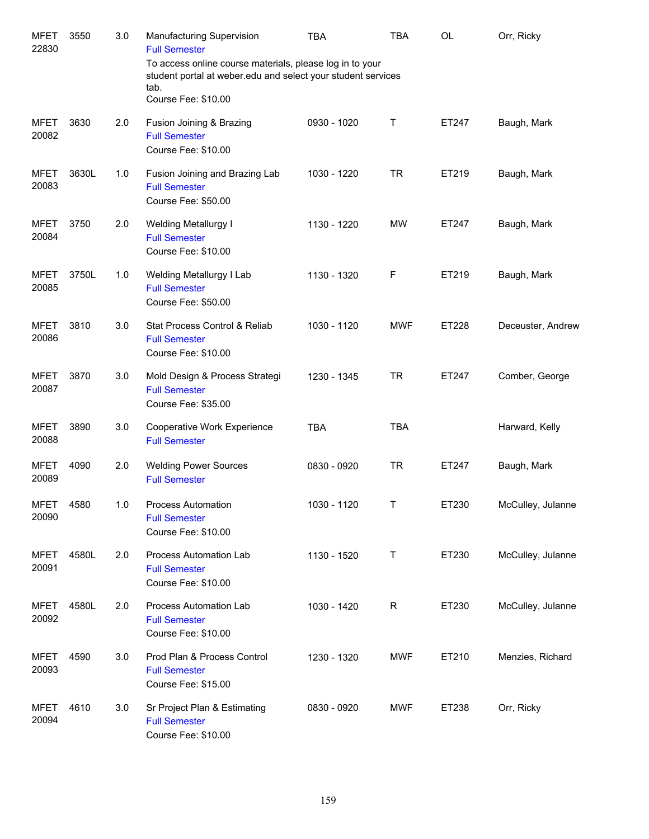| <b>MFET</b><br>22830 | 3550  | 3.0 | Manufacturing Supervision<br><b>Full Semester</b><br>To access online course materials, please log in to your<br>student portal at weber edu and select your student services<br>tab.<br>Course Fee: \$10.00 | <b>TBA</b>  | TBA        | OL    | Orr, Ricky        |
|----------------------|-------|-----|--------------------------------------------------------------------------------------------------------------------------------------------------------------------------------------------------------------|-------------|------------|-------|-------------------|
| <b>MFET</b><br>20082 | 3630  | 2.0 | Fusion Joining & Brazing<br><b>Full Semester</b><br>Course Fee: \$10.00                                                                                                                                      | 0930 - 1020 | Τ          | ET247 | Baugh, Mark       |
| <b>MFET</b><br>20083 | 3630L | 1.0 | Fusion Joining and Brazing Lab<br><b>Full Semester</b><br>Course Fee: \$50.00                                                                                                                                | 1030 - 1220 | <b>TR</b>  | ET219 | Baugh, Mark       |
| <b>MFET</b><br>20084 | 3750  | 2.0 | Welding Metallurgy I<br><b>Full Semester</b><br>Course Fee: \$10.00                                                                                                                                          | 1130 - 1220 | <b>MW</b>  | ET247 | Baugh, Mark       |
| <b>MFET</b><br>20085 | 3750L | 1.0 | Welding Metallurgy I Lab<br><b>Full Semester</b><br>Course Fee: \$50.00                                                                                                                                      | 1130 - 1320 | F          | ET219 | Baugh, Mark       |
| <b>MFET</b><br>20086 | 3810  | 3.0 | Stat Process Control & Reliab<br><b>Full Semester</b><br>Course Fee: \$10.00                                                                                                                                 | 1030 - 1120 | <b>MWF</b> | ET228 | Deceuster, Andrew |
| <b>MFET</b><br>20087 | 3870  | 3.0 | Mold Design & Process Strategi<br><b>Full Semester</b><br>Course Fee: \$35.00                                                                                                                                | 1230 - 1345 | <b>TR</b>  | ET247 | Comber, George    |
| <b>MFET</b><br>20088 | 3890  | 3.0 | Cooperative Work Experience<br><b>Full Semester</b>                                                                                                                                                          | <b>TBA</b>  | TBA        |       | Harward, Kelly    |
| <b>MFET</b><br>20089 | 4090  | 2.0 | <b>Welding Power Sources</b><br><b>Full Semester</b>                                                                                                                                                         | 0830 - 0920 | <b>TR</b>  | ET247 | Baugh, Mark       |
| MFET<br>20090        | 4580  | 1.0 | <b>Process Automation</b><br><b>Full Semester</b><br>Course Fee: \$10.00                                                                                                                                     | 1030 - 1120 | Τ          | ET230 | McCulley, Julanne |
| MFET<br>20091        | 4580L | 2.0 | Process Automation Lab<br><b>Full Semester</b><br>Course Fee: \$10.00                                                                                                                                        | 1130 - 1520 | Τ          | ET230 | McCulley, Julanne |
| MFET<br>20092        | 4580L | 2.0 | Process Automation Lab<br><b>Full Semester</b><br>Course Fee: \$10.00                                                                                                                                        | 1030 - 1420 | R          | ET230 | McCulley, Julanne |
| MFET<br>20093        | 4590  | 3.0 | Prod Plan & Process Control<br><b>Full Semester</b><br>Course Fee: \$15.00                                                                                                                                   | 1230 - 1320 | <b>MWF</b> | ET210 | Menzies, Richard  |
| MFET<br>20094        | 4610  | 3.0 | Sr Project Plan & Estimating<br><b>Full Semester</b><br>Course Fee: \$10.00                                                                                                                                  | 0830 - 0920 | <b>MWF</b> | ET238 | Orr, Ricky        |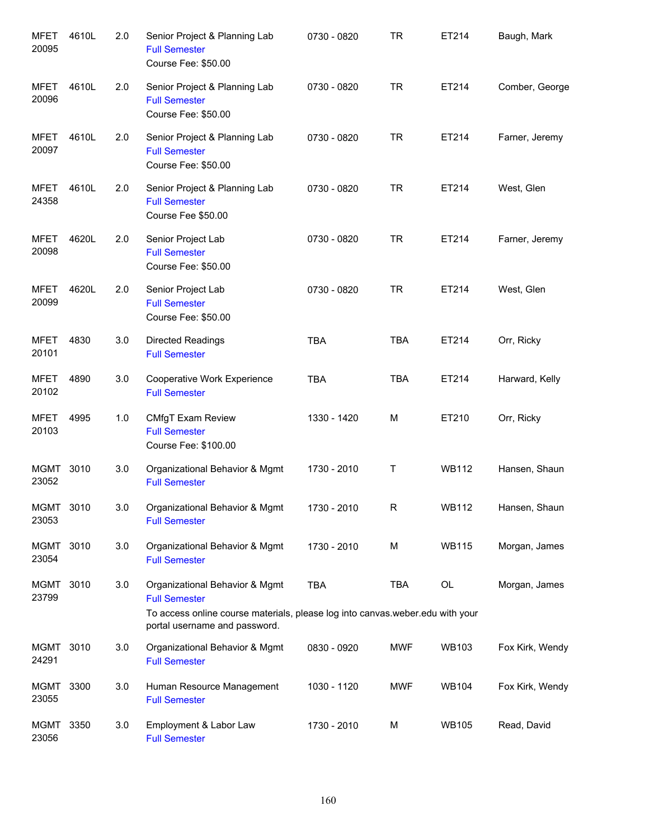| <b>MFET</b><br>20095 | 4610L | 2.0 | Senior Project & Planning Lab<br><b>Full Semester</b><br>Course Fee: \$50.00                                                                                             | 0730 - 0820 | <b>TR</b>  | ET214        | Baugh, Mark     |
|----------------------|-------|-----|--------------------------------------------------------------------------------------------------------------------------------------------------------------------------|-------------|------------|--------------|-----------------|
| <b>MFET</b><br>20096 | 4610L | 2.0 | Senior Project & Planning Lab<br><b>Full Semester</b><br>Course Fee: \$50.00                                                                                             | 0730 - 0820 | <b>TR</b>  | ET214        | Comber, George  |
| <b>MFET</b><br>20097 | 4610L | 2.0 | Senior Project & Planning Lab<br><b>Full Semester</b><br>Course Fee: \$50.00                                                                                             | 0730 - 0820 | <b>TR</b>  | ET214        | Farner, Jeremy  |
| <b>MFET</b><br>24358 | 4610L | 2.0 | Senior Project & Planning Lab<br><b>Full Semester</b><br>Course Fee \$50.00                                                                                              | 0730 - 0820 | <b>TR</b>  | ET214        | West, Glen      |
| <b>MFET</b><br>20098 | 4620L | 2.0 | Senior Project Lab<br><b>Full Semester</b><br>Course Fee: \$50.00                                                                                                        | 0730 - 0820 | <b>TR</b>  | ET214        | Farner, Jeremy  |
| <b>MFET</b><br>20099 | 4620L | 2.0 | Senior Project Lab<br><b>Full Semester</b><br>Course Fee: \$50.00                                                                                                        | 0730 - 0820 | <b>TR</b>  | ET214        | West, Glen      |
| <b>MFET</b><br>20101 | 4830  | 3.0 | <b>Directed Readings</b><br><b>Full Semester</b>                                                                                                                         | <b>TBA</b>  | <b>TBA</b> | ET214        | Orr, Ricky      |
| <b>MFET</b><br>20102 | 4890  | 3.0 | Cooperative Work Experience<br><b>Full Semester</b>                                                                                                                      | <b>TBA</b>  | <b>TBA</b> | ET214        | Harward, Kelly  |
| <b>MFET</b><br>20103 | 4995  | 1.0 | CMfgT Exam Review<br><b>Full Semester</b><br>Course Fee: \$100.00                                                                                                        | 1330 - 1420 | M          | ET210        | Orr, Ricky      |
| MGMT<br>23052        | 3010  | 3.0 | Organizational Behavior & Mgmt<br><b>Full Semester</b>                                                                                                                   | 1730 - 2010 | Τ          | <b>WB112</b> | Hansen, Shaun   |
| <b>MGMT</b><br>23053 | 3010  | 3.0 | Organizational Behavior & Mgmt<br><b>Full Semester</b>                                                                                                                   | 1730 - 2010 | R          | WB112        | Hansen, Shaun   |
| MGMT<br>23054        | 3010  | 3.0 | Organizational Behavior & Mgmt<br><b>Full Semester</b>                                                                                                                   | 1730 - 2010 | M          | <b>WB115</b> | Morgan, James   |
| MGMT<br>23799        | 3010  | 3.0 | Organizational Behavior & Mgmt<br><b>Full Semester</b><br>To access online course materials, please log into canvas weber edu with your<br>portal username and password. | <b>TBA</b>  | TBA        | OL           | Morgan, James   |
| MGMT<br>24291        | 3010  | 3.0 | Organizational Behavior & Mgmt<br><b>Full Semester</b>                                                                                                                   | 0830 - 0920 | <b>MWF</b> | <b>WB103</b> | Fox Kirk, Wendy |
| <b>MGMT</b><br>23055 | 3300  | 3.0 | Human Resource Management<br><b>Full Semester</b>                                                                                                                        | 1030 - 1120 | <b>MWF</b> | <b>WB104</b> | Fox Kirk, Wendy |
| <b>MGMT</b><br>23056 | 3350  | 3.0 | Employment & Labor Law<br><b>Full Semester</b>                                                                                                                           | 1730 - 2010 | M          | <b>WB105</b> | Read, David     |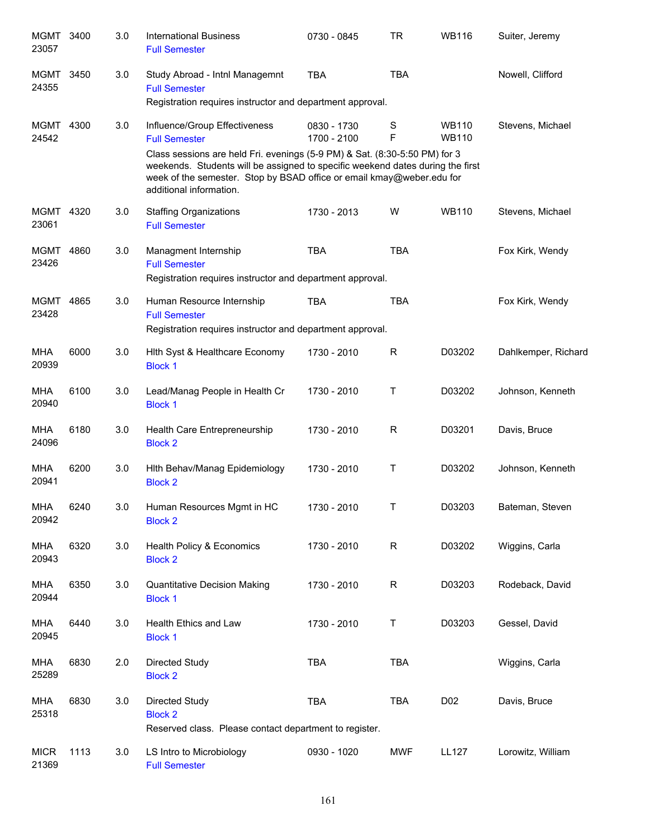| MGMT<br>23057        | 3400 | 3.0 | <b>International Business</b><br><b>Full Semester</b>                                                                                                                              | 0730 - 0845                | TR          | <b>WB116</b>                 | Suiter, Jeremy      |
|----------------------|------|-----|------------------------------------------------------------------------------------------------------------------------------------------------------------------------------------|----------------------------|-------------|------------------------------|---------------------|
| MGMT<br>24355        | 3450 | 3.0 | Study Abroad - Intnl Managemnt<br><b>Full Semester</b><br>Registration requires instructor and department approval.                                                                | <b>TBA</b>                 | <b>TBA</b>  |                              | Nowell, Clifford    |
| <b>MGMT</b><br>24542 | 4300 | 3.0 | Influence/Group Effectiveness<br><b>Full Semester</b><br>Class sessions are held Fri. evenings (5-9 PM) & Sat. (8:30-5:50 PM) for 3                                                | 0830 - 1730<br>1700 - 2100 | S<br>F      | <b>WB110</b><br><b>WB110</b> | Stevens, Michael    |
|                      |      |     | weekends. Students will be assigned to specific weekend dates during the first<br>week of the semester. Stop by BSAD office or email kmay@weber.edu for<br>additional information. |                            |             |                              |                     |
| MGMT 4320<br>23061   |      | 3.0 | <b>Staffing Organizations</b><br><b>Full Semester</b>                                                                                                                              | 1730 - 2013                | W           | <b>WB110</b>                 | Stevens, Michael    |
| MGMT<br>23426        | 4860 | 3.0 | Managment Internship<br><b>Full Semester</b><br>Registration requires instructor and department approval.                                                                          | <b>TBA</b>                 | <b>TBA</b>  |                              | Fox Kirk, Wendy     |
| MGMT<br>23428        | 4865 | 3.0 | Human Resource Internship<br><b>Full Semester</b><br>Registration requires instructor and department approval.                                                                     | <b>TBA</b>                 | <b>TBA</b>  |                              | Fox Kirk, Wendy     |
| <b>MHA</b><br>20939  | 6000 | 3.0 | Hith Syst & Healthcare Economy<br><b>Block 1</b>                                                                                                                                   | 1730 - 2010                | R           | D03202                       | Dahlkemper, Richard |
| <b>MHA</b><br>20940  | 6100 | 3.0 | Lead/Manag People in Health Cr<br><b>Block 1</b>                                                                                                                                   | 1730 - 2010                | т           | D03202                       | Johnson, Kenneth    |
| MHA<br>24096         | 6180 | 3.0 | Health Care Entrepreneurship<br><b>Block 2</b>                                                                                                                                     | 1730 - 2010                | R           | D03201                       | Davis, Bruce        |
| MHA<br>20941         | 6200 | 3.0 | Hith Behav/Manag Epidemiology<br><b>Block 2</b>                                                                                                                                    | 1730 - 2010                | $\mathsf T$ | D03202                       | Johnson, Kenneth    |
| MHA<br>20942         | 6240 | 3.0 | Human Resources Mgmt in HC<br><b>Block 2</b>                                                                                                                                       | 1730 - 2010                | Τ           | D03203                       | Bateman, Steven     |
| <b>MHA</b><br>20943  | 6320 | 3.0 | Health Policy & Economics<br><b>Block 2</b>                                                                                                                                        | 1730 - 2010                | $\mathsf R$ | D03202                       | Wiggins, Carla      |
| <b>MHA</b><br>20944  | 6350 | 3.0 | <b>Quantitative Decision Making</b><br><b>Block 1</b>                                                                                                                              | 1730 - 2010                | $\mathsf R$ | D03203                       | Rodeback, David     |
| <b>MHA</b><br>20945  | 6440 | 3.0 | Health Ethics and Law<br><b>Block 1</b>                                                                                                                                            | 1730 - 2010                | $\sf T$     | D03203                       | Gessel, David       |
| <b>MHA</b><br>25289  | 6830 | 2.0 | <b>Directed Study</b><br><b>Block 2</b>                                                                                                                                            | <b>TBA</b>                 | <b>TBA</b>  |                              | Wiggins, Carla      |
| <b>MHA</b><br>25318  | 6830 | 3.0 | Directed Study<br><b>Block 2</b><br>Reserved class. Please contact department to register.                                                                                         | <b>TBA</b>                 | <b>TBA</b>  | D <sub>0</sub> 2             | Davis, Bruce        |
| <b>MICR</b><br>21369 | 1113 | 3.0 | LS Intro to Microbiology<br><b>Full Semester</b>                                                                                                                                   | 0930 - 1020                | <b>MWF</b>  | <b>LL127</b>                 | Lorowitz, William   |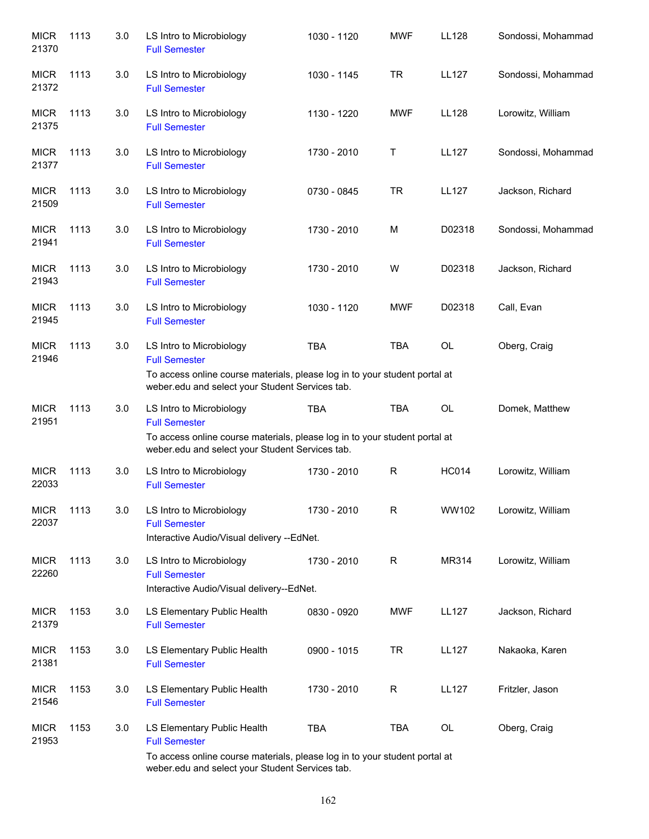| <b>MICR</b><br>21370 | 1113 | 3.0 | LS Intro to Microbiology<br><b>Full Semester</b>                                                                                                                                  | 1030 - 1120 | <b>MWF</b>  | <b>LL128</b> | Sondossi, Mohammad |
|----------------------|------|-----|-----------------------------------------------------------------------------------------------------------------------------------------------------------------------------------|-------------|-------------|--------------|--------------------|
| <b>MICR</b><br>21372 | 1113 | 3.0 | LS Intro to Microbiology<br><b>Full Semester</b>                                                                                                                                  | 1030 - 1145 | <b>TR</b>   | <b>LL127</b> | Sondossi, Mohammad |
| <b>MICR</b><br>21375 | 1113 | 3.0 | LS Intro to Microbiology<br><b>Full Semester</b>                                                                                                                                  | 1130 - 1220 | <b>MWF</b>  | <b>LL128</b> | Lorowitz, William  |
| <b>MICR</b><br>21377 | 1113 | 3.0 | LS Intro to Microbiology<br><b>Full Semester</b>                                                                                                                                  | 1730 - 2010 | Т           | <b>LL127</b> | Sondossi, Mohammad |
| <b>MICR</b><br>21509 | 1113 | 3.0 | LS Intro to Microbiology<br><b>Full Semester</b>                                                                                                                                  | 0730 - 0845 | <b>TR</b>   | <b>LL127</b> | Jackson, Richard   |
| <b>MICR</b><br>21941 | 1113 | 3.0 | LS Intro to Microbiology<br><b>Full Semester</b>                                                                                                                                  | 1730 - 2010 | M           | D02318       | Sondossi, Mohammad |
| <b>MICR</b><br>21943 | 1113 | 3.0 | LS Intro to Microbiology<br><b>Full Semester</b>                                                                                                                                  | 1730 - 2010 | W           | D02318       | Jackson, Richard   |
| <b>MICR</b><br>21945 | 1113 | 3.0 | LS Intro to Microbiology<br><b>Full Semester</b>                                                                                                                                  | 1030 - 1120 | <b>MWF</b>  | D02318       | Call, Evan         |
| <b>MICR</b><br>21946 | 1113 | 3.0 | LS Intro to Microbiology<br><b>Full Semester</b><br>To access online course materials, please log in to your student portal at<br>weber.edu and select your Student Services tab. | <b>TBA</b>  | <b>TBA</b>  | <b>OL</b>    | Oberg, Craig       |
| <b>MICR</b><br>21951 | 1113 | 3.0 | LS Intro to Microbiology<br><b>Full Semester</b><br>To access online course materials, please log in to your student portal at<br>weber.edu and select your Student Services tab. | <b>TBA</b>  | <b>TBA</b>  | <b>OL</b>    | Domek, Matthew     |
| <b>MICR</b><br>22033 | 1113 | 3.0 | LS Intro to Microbiology<br><b>Full Semester</b>                                                                                                                                  | 1730 - 2010 | $\mathsf R$ | <b>HC014</b> | Lorowitz, William  |
| <b>MICR</b><br>22037 | 1113 | 3.0 | LS Intro to Microbiology<br><b>Full Semester</b><br>Interactive Audio/Visual delivery --EdNet.                                                                                    | 1730 - 2010 | $\mathsf R$ | WW102        | Lorowitz, William  |
| <b>MICR</b><br>22260 | 1113 | 3.0 | LS Intro to Microbiology<br><b>Full Semester</b><br>Interactive Audio/Visual delivery--EdNet.                                                                                     | 1730 - 2010 | $\mathsf R$ | MR314        | Lorowitz, William  |
| <b>MICR</b><br>21379 | 1153 | 3.0 | LS Elementary Public Health<br><b>Full Semester</b>                                                                                                                               | 0830 - 0920 | <b>MWF</b>  | <b>LL127</b> | Jackson, Richard   |
| <b>MICR</b><br>21381 | 1153 | 3.0 | LS Elementary Public Health<br><b>Full Semester</b>                                                                                                                               | 0900 - 1015 | <b>TR</b>   | <b>LL127</b> | Nakaoka, Karen     |
| <b>MICR</b><br>21546 | 1153 | 3.0 | LS Elementary Public Health<br><b>Full Semester</b>                                                                                                                               | 1730 - 2010 | $\mathsf R$ | <b>LL127</b> | Fritzler, Jason    |
| <b>MICR</b><br>21953 | 1153 | 3.0 | LS Elementary Public Health<br><b>Full Semester</b>                                                                                                                               | <b>TBA</b>  | <b>TBA</b>  | OL           | Oberg, Craig       |
|                      |      |     | To access online course materials, please log in to your student portal at<br>weber.edu and select your Student Services tab.                                                     |             |             |              |                    |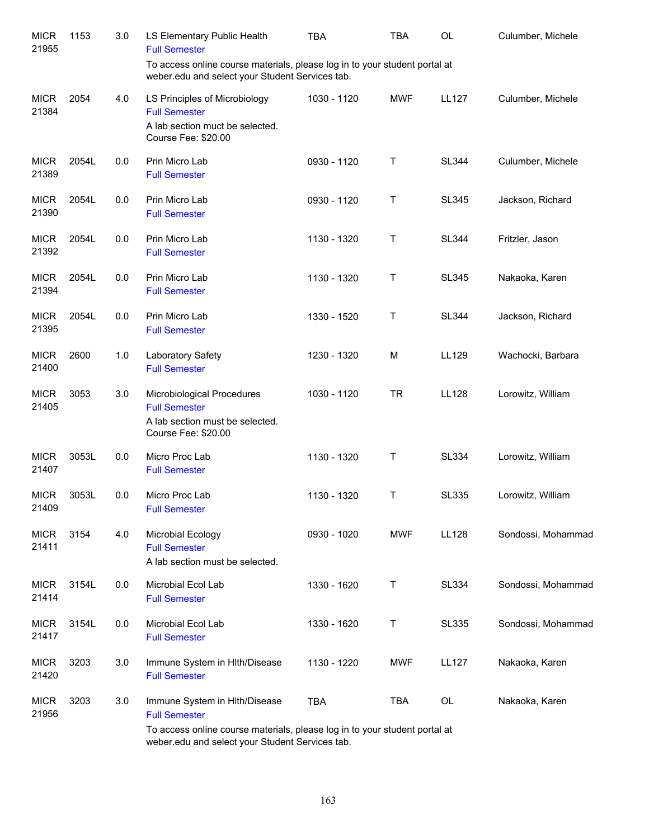| <b>MICR</b><br>21955 | 1153  | 3.0 | LS Elementary Public Health<br><b>Full Semester</b>                                                                                                                                    | <b>TBA</b>  | TBA        | OL           | Culumber, Michele  |
|----------------------|-------|-----|----------------------------------------------------------------------------------------------------------------------------------------------------------------------------------------|-------------|------------|--------------|--------------------|
|                      |       |     | To access online course materials, please log in to your student portal at<br>weber.edu and select your Student Services tab.                                                          |             |            |              |                    |
| <b>MICR</b><br>21384 | 2054  | 4.0 | LS Principles of Microbiology<br><b>Full Semester</b><br>A lab section muct be selected.<br>Course Fee: \$20.00                                                                        | 1030 - 1120 | <b>MWF</b> | <b>LL127</b> | Culumber, Michele  |
| <b>MICR</b><br>21389 | 2054L | 0.0 | Prin Micro Lab<br><b>Full Semester</b>                                                                                                                                                 | 0930 - 1120 | Τ          | <b>SL344</b> | Culumber, Michele  |
| <b>MICR</b><br>21390 | 2054L | 0.0 | Prin Micro Lab<br><b>Full Semester</b>                                                                                                                                                 | 0930 - 1120 | Τ          | <b>SL345</b> | Jackson, Richard   |
| <b>MICR</b><br>21392 | 2054L | 0.0 | Prin Micro Lab<br><b>Full Semester</b>                                                                                                                                                 | 1130 - 1320 | Τ          | <b>SL344</b> | Fritzler, Jason    |
| <b>MICR</b><br>21394 | 2054L | 0.0 | Prin Micro Lab<br><b>Full Semester</b>                                                                                                                                                 | 1130 - 1320 | Τ          | <b>SL345</b> | Nakaoka, Karen     |
| <b>MICR</b><br>21395 | 2054L | 0.0 | Prin Micro Lab<br><b>Full Semester</b>                                                                                                                                                 | 1330 - 1520 | Т          | <b>SL344</b> | Jackson, Richard   |
| <b>MICR</b><br>21400 | 2600  | 1.0 | Laboratory Safety<br><b>Full Semester</b>                                                                                                                                              | 1230 - 1320 | M          | LL129        | Wachocki, Barbara  |
| <b>MICR</b><br>21405 | 3053  | 3.0 | Microbiological Procedures<br><b>Full Semester</b><br>A lab section must be selected.<br>Course Fee: \$20.00                                                                           | 1030 - 1120 | <b>TR</b>  | <b>LL128</b> | Lorowitz, William  |
| <b>MICR</b><br>21407 | 3053L | 0.0 | Micro Proc Lab<br><b>Full Semester</b>                                                                                                                                                 | 1130 - 1320 | Τ          | <b>SL334</b> | Lorowitz, William  |
| <b>MICR</b><br>21409 | 3053L | 0.0 | Micro Proc Lab<br><b>Full Semester</b>                                                                                                                                                 | 1130 - 1320 | Τ          | <b>SL335</b> | Lorowitz, William  |
| <b>MICR</b><br>21411 | 3154  | 4.0 | Microbial Ecology<br><b>Full Semester</b><br>A lab section must be selected.                                                                                                           | 0930 - 1020 | <b>MWF</b> | <b>LL128</b> | Sondossi, Mohammad |
| <b>MICR</b><br>21414 | 3154L | 0.0 | Microbial Ecol Lab<br><b>Full Semester</b>                                                                                                                                             | 1330 - 1620 | Τ          | SL334        | Sondossi, Mohammad |
| <b>MICR</b><br>21417 | 3154L | 0.0 | Microbial Ecol Lab<br><b>Full Semester</b>                                                                                                                                             | 1330 - 1620 | Τ          | <b>SL335</b> | Sondossi, Mohammad |
| <b>MICR</b><br>21420 | 3203  | 3.0 | Immune System in HIth/Disease<br><b>Full Semester</b>                                                                                                                                  | 1130 - 1220 | <b>MWF</b> | <b>LL127</b> | Nakaoka, Karen     |
| <b>MICR</b><br>21956 | 3203  | 3.0 | Immune System in Hlth/Disease<br><b>Full Semester</b><br>To access online course materials, please log in to your student portal at<br>weber.edu and select your Student Services tab. | <b>TBA</b>  | TBA        | OL           | Nakaoka, Karen     |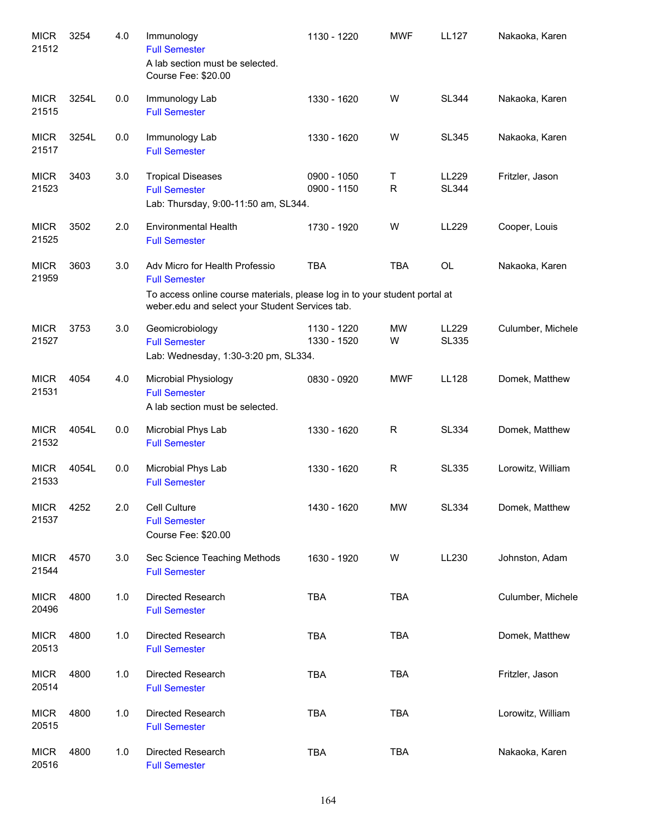| <b>MICR</b><br>21512 | 3254  | 4.0 | Immunology<br><b>Full Semester</b><br>A lab section must be selected.<br>Course Fee: \$20.00                                  | 1130 - 1220                | <b>MWF</b>     | <b>LL127</b>          | Nakaoka, Karen    |
|----------------------|-------|-----|-------------------------------------------------------------------------------------------------------------------------------|----------------------------|----------------|-----------------------|-------------------|
| <b>MICR</b><br>21515 | 3254L | 0.0 | Immunology Lab<br><b>Full Semester</b>                                                                                        | 1330 - 1620                | W              | <b>SL344</b>          | Nakaoka, Karen    |
| <b>MICR</b><br>21517 | 3254L | 0.0 | Immunology Lab<br><b>Full Semester</b>                                                                                        | 1330 - 1620                | W              | <b>SL345</b>          | Nakaoka, Karen    |
| <b>MICR</b><br>21523 | 3403  | 3.0 | <b>Tropical Diseases</b><br><b>Full Semester</b><br>Lab: Thursday, 9:00-11:50 am, SL344.                                      | 0900 - 1050<br>0900 - 1150 | Τ<br>R         | LL229<br><b>SL344</b> | Fritzler, Jason   |
| <b>MICR</b><br>21525 | 3502  | 2.0 | <b>Environmental Health</b><br><b>Full Semester</b>                                                                           | 1730 - 1920                | W              | LL229                 | Cooper, Louis     |
| <b>MICR</b><br>21959 | 3603  | 3.0 | Adv Micro for Health Professio<br><b>Full Semester</b>                                                                        | <b>TBA</b>                 | <b>TBA</b>     | <b>OL</b>             | Nakaoka, Karen    |
|                      |       |     | To access online course materials, please log in to your student portal at<br>weber.edu and select your Student Services tab. |                            |                |                       |                   |
| <b>MICR</b><br>21527 | 3753  | 3.0 | Geomicrobiology<br><b>Full Semester</b><br>Lab: Wednesday, 1:30-3:20 pm, SL334.                                               | 1130 - 1220<br>1330 - 1520 | <b>MW</b><br>W | LL229<br><b>SL335</b> | Culumber, Michele |
| <b>MICR</b><br>21531 | 4054  | 4.0 | Microbial Physiology<br><b>Full Semester</b><br>A lab section must be selected.                                               | 0830 - 0920                | <b>MWF</b>     | <b>LL128</b>          | Domek, Matthew    |
| <b>MICR</b><br>21532 | 4054L | 0.0 | Microbial Phys Lab<br><b>Full Semester</b>                                                                                    | 1330 - 1620                | R.             | <b>SL334</b>          | Domek, Matthew    |
| <b>MICR</b><br>21533 | 4054L | 0.0 | Microbial Phys Lab<br><b>Full Semester</b>                                                                                    | 1330 - 1620                | R              | <b>SL335</b>          | Lorowitz, William |
| <b>MICR</b><br>21537 | 4252  | 2.0 | Cell Culture<br><b>Full Semester</b><br>Course Fee: \$20.00                                                                   | 1430 - 1620                | <b>MW</b>      | SL334                 | Domek, Matthew    |
| <b>MICR</b><br>21544 | 4570  | 3.0 | Sec Science Teaching Methods<br><b>Full Semester</b>                                                                          | 1630 - 1920                | W              | LL230                 | Johnston, Adam    |
| <b>MICR</b><br>20496 | 4800  | 1.0 | Directed Research<br><b>Full Semester</b>                                                                                     | <b>TBA</b>                 | <b>TBA</b>     |                       | Culumber, Michele |
| <b>MICR</b><br>20513 | 4800  | 1.0 | Directed Research<br><b>Full Semester</b>                                                                                     | <b>TBA</b>                 | <b>TBA</b>     |                       | Domek, Matthew    |
| <b>MICR</b><br>20514 | 4800  | 1.0 | Directed Research<br><b>Full Semester</b>                                                                                     | <b>TBA</b>                 | <b>TBA</b>     |                       | Fritzler, Jason   |
| <b>MICR</b><br>20515 | 4800  | 1.0 | Directed Research<br><b>Full Semester</b>                                                                                     | <b>TBA</b>                 | <b>TBA</b>     |                       | Lorowitz, William |
| <b>MICR</b><br>20516 | 4800  | 1.0 | Directed Research<br><b>Full Semester</b>                                                                                     | <b>TBA</b>                 | <b>TBA</b>     |                       | Nakaoka, Karen    |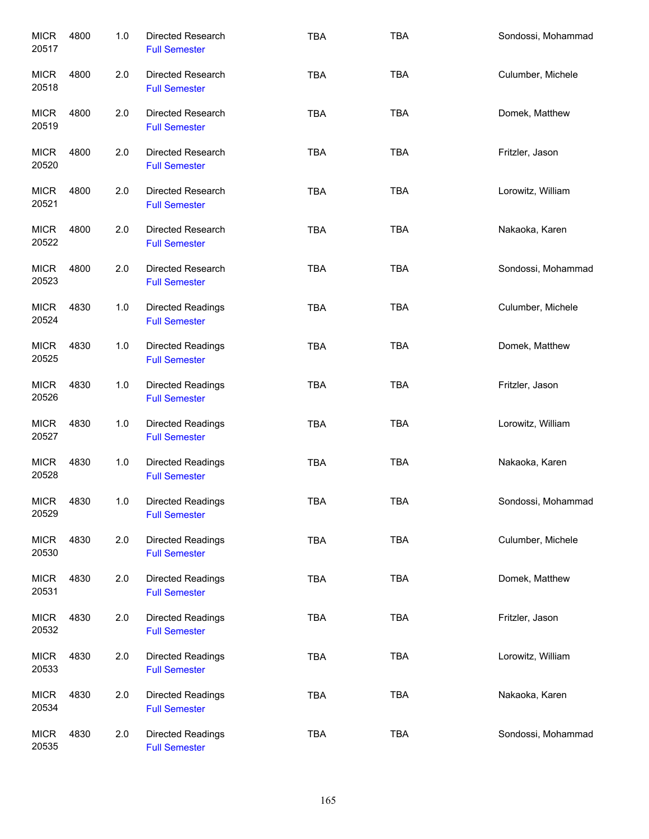| <b>MICR</b><br>20517 | 4800 | 1.0   | Directed Research<br><b>Full Semester</b>        | <b>TBA</b> | <b>TBA</b> | Sondossi, Mohammad |
|----------------------|------|-------|--------------------------------------------------|------------|------------|--------------------|
| <b>MICR</b><br>20518 | 4800 | 2.0   | Directed Research<br><b>Full Semester</b>        | <b>TBA</b> | <b>TBA</b> | Culumber, Michele  |
| <b>MICR</b><br>20519 | 4800 | 2.0   | Directed Research<br><b>Full Semester</b>        | <b>TBA</b> | <b>TBA</b> | Domek, Matthew     |
| <b>MICR</b><br>20520 | 4800 | 2.0   | Directed Research<br><b>Full Semester</b>        | <b>TBA</b> | <b>TBA</b> | Fritzler, Jason    |
| <b>MICR</b><br>20521 | 4800 | 2.0   | Directed Research<br><b>Full Semester</b>        | <b>TBA</b> | <b>TBA</b> | Lorowitz, William  |
| <b>MICR</b><br>20522 | 4800 | 2.0   | Directed Research<br><b>Full Semester</b>        | <b>TBA</b> | <b>TBA</b> | Nakaoka, Karen     |
| <b>MICR</b><br>20523 | 4800 | 2.0   | Directed Research<br><b>Full Semester</b>        | <b>TBA</b> | <b>TBA</b> | Sondossi, Mohammad |
| <b>MICR</b><br>20524 | 4830 | 1.0   | Directed Readings<br><b>Full Semester</b>        | <b>TBA</b> | <b>TBA</b> | Culumber, Michele  |
| <b>MICR</b><br>20525 | 4830 | 1.0   | <b>Directed Readings</b><br><b>Full Semester</b> | <b>TBA</b> | <b>TBA</b> | Domek, Matthew     |
| <b>MICR</b><br>20526 | 4830 | 1.0   | <b>Directed Readings</b><br><b>Full Semester</b> | <b>TBA</b> | <b>TBA</b> | Fritzler, Jason    |
| <b>MICR</b><br>20527 | 4830 | $1.0$ | Directed Readings<br><b>Full Semester</b>        | <b>TBA</b> | <b>TBA</b> | Lorowitz, William  |
| <b>MICR</b><br>20528 | 4830 | $1.0$ | Directed Readings<br><b>Full Semester</b>        | <b>TBA</b> | <b>TBA</b> | Nakaoka, Karen     |
| <b>MICR</b><br>20529 | 4830 | 1.0   | Directed Readings<br><b>Full Semester</b>        | <b>TBA</b> | <b>TBA</b> | Sondossi, Mohammad |
| <b>MICR</b><br>20530 | 4830 | 2.0   | Directed Readings<br><b>Full Semester</b>        | <b>TBA</b> | <b>TBA</b> | Culumber, Michele  |
| <b>MICR</b><br>20531 | 4830 | 2.0   | Directed Readings<br><b>Full Semester</b>        | TBA        | <b>TBA</b> | Domek, Matthew     |
| <b>MICR</b><br>20532 | 4830 | 2.0   | Directed Readings<br><b>Full Semester</b>        | TBA        | <b>TBA</b> | Fritzler, Jason    |
| <b>MICR</b><br>20533 | 4830 | 2.0   | Directed Readings<br><b>Full Semester</b>        | <b>TBA</b> | <b>TBA</b> | Lorowitz, William  |
| <b>MICR</b><br>20534 | 4830 | 2.0   | Directed Readings<br><b>Full Semester</b>        | TBA        | <b>TBA</b> | Nakaoka, Karen     |
| <b>MICR</b><br>20535 | 4830 | 2.0   | Directed Readings<br><b>Full Semester</b>        | TBA        | <b>TBA</b> | Sondossi, Mohammad |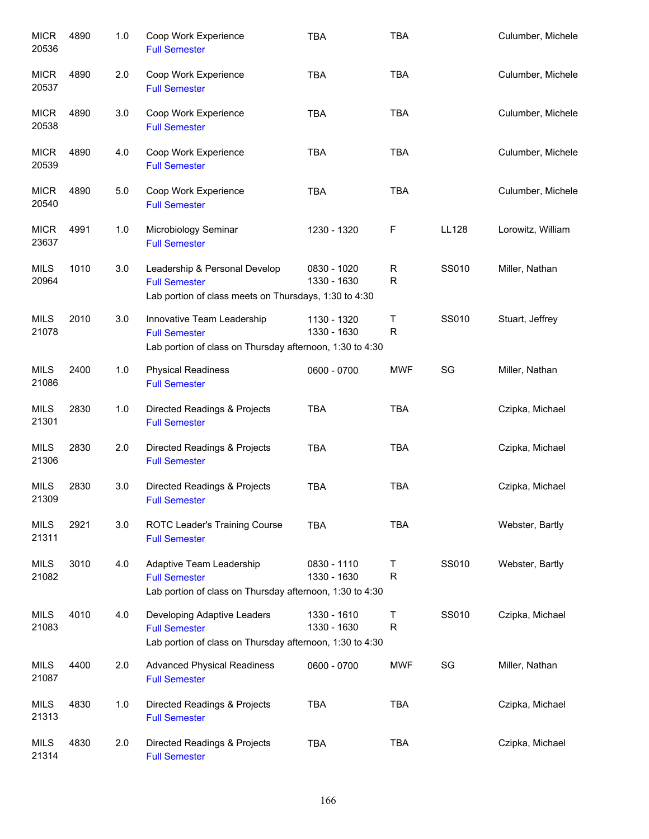| <b>MICR</b><br>20536 | 4890 | 1.0 | Coop Work Experience<br><b>Full Semester</b>                                                                    | <b>TBA</b>                 | <b>TBA</b>        |              | Culumber, Michele |
|----------------------|------|-----|-----------------------------------------------------------------------------------------------------------------|----------------------------|-------------------|--------------|-------------------|
| <b>MICR</b><br>20537 | 4890 | 2.0 | Coop Work Experience<br><b>Full Semester</b>                                                                    | <b>TBA</b>                 | <b>TBA</b>        |              | Culumber, Michele |
| <b>MICR</b><br>20538 | 4890 | 3.0 | Coop Work Experience<br><b>Full Semester</b>                                                                    | <b>TBA</b>                 | <b>TBA</b>        |              | Culumber, Michele |
| <b>MICR</b><br>20539 | 4890 | 4.0 | Coop Work Experience<br><b>Full Semester</b>                                                                    | <b>TBA</b>                 | <b>TBA</b>        |              | Culumber, Michele |
| <b>MICR</b><br>20540 | 4890 | 5.0 | Coop Work Experience<br><b>Full Semester</b>                                                                    | <b>TBA</b>                 | <b>TBA</b>        |              | Culumber, Michele |
| <b>MICR</b><br>23637 | 4991 | 1.0 | Microbiology Seminar<br><b>Full Semester</b>                                                                    | 1230 - 1320                | F                 | <b>LL128</b> | Lorowitz, William |
| <b>MILS</b><br>20964 | 1010 | 3.0 | Leadership & Personal Develop<br><b>Full Semester</b><br>Lab portion of class meets on Thursdays, 1:30 to 4:30  | 0830 - 1020<br>1330 - 1630 | R<br>$\mathsf R$  | SS010        | Miller, Nathan    |
| <b>MILS</b><br>21078 | 2010 | 3.0 | Innovative Team Leadership<br><b>Full Semester</b><br>Lab portion of class on Thursday afternoon, 1:30 to 4:30  | 1130 - 1320<br>1330 - 1630 | Τ<br>$\mathsf R$  | SS010        | Stuart, Jeffrey   |
| <b>MILS</b><br>21086 | 2400 | 1.0 | <b>Physical Readiness</b><br><b>Full Semester</b>                                                               | 0600 - 0700                | <b>MWF</b>        | SG           | Miller, Nathan    |
| <b>MILS</b><br>21301 | 2830 | 1.0 | Directed Readings & Projects<br><b>Full Semester</b>                                                            | <b>TBA</b>                 | <b>TBA</b>        |              | Czipka, Michael   |
| <b>MILS</b><br>21306 | 2830 | 2.0 | Directed Readings & Projects<br><b>Full Semester</b>                                                            | <b>TBA</b>                 | <b>TBA</b>        |              | Czipka, Michael   |
| <b>MILS</b><br>21309 | 2830 | 3.0 | Directed Readings & Projects<br><b>Full Semester</b>                                                            | <b>TBA</b>                 | <b>TBA</b>        |              | Czipka, Michael   |
| <b>MILS</b><br>21311 | 2921 | 3.0 | ROTC Leader's Training Course<br><b>Full Semester</b>                                                           | <b>TBA</b>                 | <b>TBA</b>        |              | Webster, Bartly   |
| MILS<br>21082        | 3010 | 4.0 | Adaptive Team Leadership<br><b>Full Semester</b><br>Lab portion of class on Thursday afternoon, 1:30 to 4:30    | 0830 - 1110<br>1330 - 1630 | $\mathsf{T}$<br>R | SS010        | Webster, Bartly   |
| <b>MILS</b><br>21083 | 4010 | 4.0 | Developing Adaptive Leaders<br><b>Full Semester</b><br>Lab portion of class on Thursday afternoon, 1:30 to 4:30 | 1330 - 1610<br>1330 - 1630 | Τ<br>R            | SS010        | Czipka, Michael   |
| MILS<br>21087        | 4400 | 2.0 | <b>Advanced Physical Readiness</b><br><b>Full Semester</b>                                                      | 0600 - 0700                | <b>MWF</b>        | SG           | Miller, Nathan    |
| MILS<br>21313        | 4830 | 1.0 | Directed Readings & Projects<br><b>Full Semester</b>                                                            | <b>TBA</b>                 | <b>TBA</b>        |              | Czipka, Michael   |
| <b>MILS</b><br>21314 | 4830 | 2.0 | Directed Readings & Projects<br><b>Full Semester</b>                                                            | <b>TBA</b>                 | <b>TBA</b>        |              | Czipka, Michael   |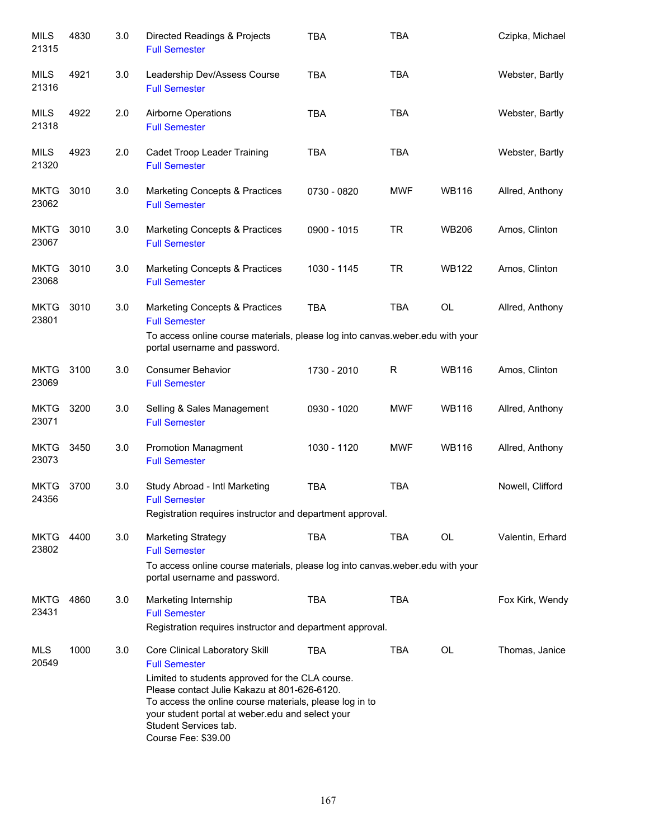| <b>MILS</b><br>21315 | 4830 | 3.0 | Directed Readings & Projects<br><b>Full Semester</b>                                                                                                                                                                                                                                                                      | <b>TBA</b>  | <b>TBA</b> |              | Czipka, Michael  |
|----------------------|------|-----|---------------------------------------------------------------------------------------------------------------------------------------------------------------------------------------------------------------------------------------------------------------------------------------------------------------------------|-------------|------------|--------------|------------------|
| <b>MILS</b><br>21316 | 4921 | 3.0 | Leadership Dev/Assess Course<br><b>Full Semester</b>                                                                                                                                                                                                                                                                      | <b>TBA</b>  | <b>TBA</b> |              | Webster, Bartly  |
| <b>MILS</b><br>21318 | 4922 | 2.0 | Airborne Operations<br><b>Full Semester</b>                                                                                                                                                                                                                                                                               | <b>TBA</b>  | <b>TBA</b> |              | Webster, Bartly  |
| MILS<br>21320        | 4923 | 2.0 | Cadet Troop Leader Training<br><b>Full Semester</b>                                                                                                                                                                                                                                                                       | <b>TBA</b>  | <b>TBA</b> |              | Webster, Bartly  |
| <b>MKTG</b><br>23062 | 3010 | 3.0 | Marketing Concepts & Practices<br><b>Full Semester</b>                                                                                                                                                                                                                                                                    | 0730 - 0820 | <b>MWF</b> | <b>WB116</b> | Allred, Anthony  |
| <b>MKTG</b><br>23067 | 3010 | 3.0 | <b>Marketing Concepts &amp; Practices</b><br><b>Full Semester</b>                                                                                                                                                                                                                                                         | 0900 - 1015 | <b>TR</b>  | <b>WB206</b> | Amos, Clinton    |
| <b>MKTG</b><br>23068 | 3010 | 3.0 | <b>Marketing Concepts &amp; Practices</b><br><b>Full Semester</b>                                                                                                                                                                                                                                                         | 1030 - 1145 | <b>TR</b>  | <b>WB122</b> | Amos, Clinton    |
| <b>MKTG</b><br>23801 | 3010 | 3.0 | Marketing Concepts & Practices<br><b>Full Semester</b>                                                                                                                                                                                                                                                                    | <b>TBA</b>  | <b>TBA</b> | <b>OL</b>    | Allred, Anthony  |
|                      |      |     | To access online course materials, please log into canvas.weber.edu with your<br>portal username and password.                                                                                                                                                                                                            |             |            |              |                  |
| <b>MKTG</b><br>23069 | 3100 | 3.0 | <b>Consumer Behavior</b><br><b>Full Semester</b>                                                                                                                                                                                                                                                                          | 1730 - 2010 | R          | <b>WB116</b> | Amos, Clinton    |
| <b>MKTG</b><br>23071 | 3200 | 3.0 | Selling & Sales Management<br><b>Full Semester</b>                                                                                                                                                                                                                                                                        | 0930 - 1020 | <b>MWF</b> | <b>WB116</b> | Allred, Anthony  |
| <b>MKTG</b><br>23073 | 3450 | 3.0 | <b>Promotion Managment</b><br><b>Full Semester</b>                                                                                                                                                                                                                                                                        | 1030 - 1120 | <b>MWF</b> | <b>WB116</b> | Allred, Anthony  |
| <b>MKTG</b><br>24356 | 3700 | 3.0 | Study Abroad - Intl Marketing<br><b>Full Semester</b><br>Registration requires instructor and department approval.                                                                                                                                                                                                        | <b>TBA</b>  | <b>TBA</b> |              | Nowell, Clifford |
| <b>MKTG</b>          | 4400 | 3.0 | <b>Marketing Strategy</b>                                                                                                                                                                                                                                                                                                 | <b>TBA</b>  | <b>TBA</b> | <b>OL</b>    | Valentin, Erhard |
| 23802                |      |     | <b>Full Semester</b><br>To access online course materials, please log into canvas weber edu with your<br>portal username and password.                                                                                                                                                                                    |             |            |              |                  |
| <b>MKTG</b><br>23431 | 4860 | 3.0 | Marketing Internship<br><b>Full Semester</b><br>Registration requires instructor and department approval.                                                                                                                                                                                                                 | <b>TBA</b>  | <b>TBA</b> |              | Fox Kirk, Wendy  |
| MLS<br>20549         | 1000 | 3.0 | Core Clinical Laboratory Skill<br><b>Full Semester</b><br>Limited to students approved for the CLA course.<br>Please contact Julie Kakazu at 801-626-6120.<br>To access the online course materials, please log in to<br>your student portal at weber.edu and select your<br>Student Services tab.<br>Course Fee: \$39.00 | <b>TBA</b>  | <b>TBA</b> | <b>OL</b>    | Thomas, Janice   |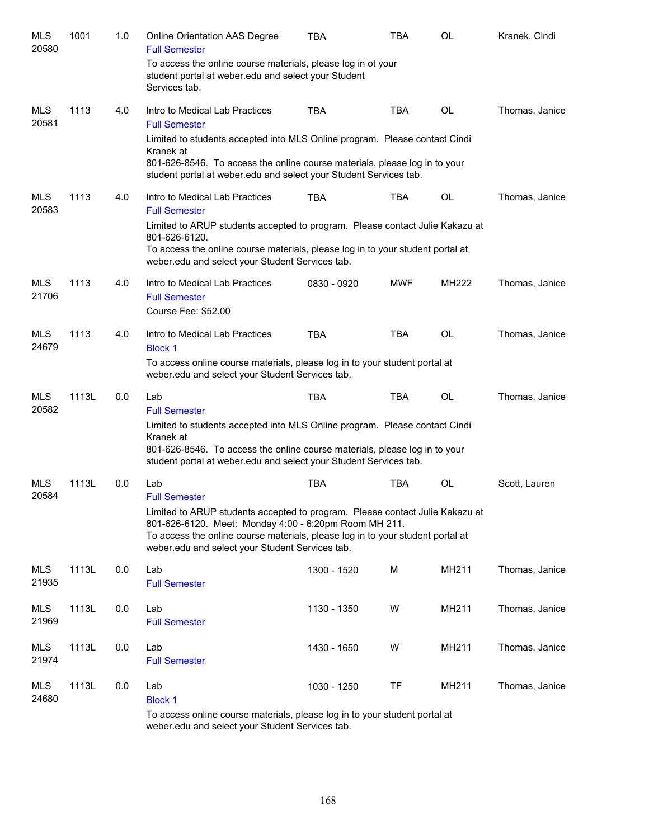| <b>MLS</b><br>20580 | 1001  | 1.0 | Online Orientation AAS Degree<br><b>Full Semester</b>                                                                                                                                                                                                                      | TBA         | TBA        | OL           | Kranek, Cindi  |
|---------------------|-------|-----|----------------------------------------------------------------------------------------------------------------------------------------------------------------------------------------------------------------------------------------------------------------------------|-------------|------------|--------------|----------------|
|                     |       |     | To access the online course materials, please log in ot your<br>student portal at weber edu and select your Student<br>Services tab.                                                                                                                                       |             |            |              |                |
| <b>MLS</b><br>20581 | 1113  | 4.0 | Intro to Medical Lab Practices<br><b>Full Semester</b>                                                                                                                                                                                                                     | <b>TBA</b>  | TBA        | OL           | Thomas, Janice |
|                     |       |     | Limited to students accepted into MLS Online program. Please contact Cindi<br>Kranek at<br>801-626-8546. To access the online course materials, please log in to your<br>student portal at weber.edu and select your Student Services tab.                                 |             |            |              |                |
| <b>MLS</b><br>20583 | 1113  | 4.0 | Intro to Medical Lab Practices<br><b>Full Semester</b>                                                                                                                                                                                                                     | <b>TBA</b>  | <b>TBA</b> | OL           | Thomas, Janice |
|                     |       |     | Limited to ARUP students accepted to program. Please contact Julie Kakazu at<br>801-626-6120.<br>To access the online course materials, please log in to your student portal at<br>weber.edu and select your Student Services tab.                                         |             |            |              |                |
| <b>MLS</b><br>21706 | 1113  | 4.0 | Intro to Medical Lab Practices<br><b>Full Semester</b><br>Course Fee: \$52.00                                                                                                                                                                                              | 0830 - 0920 | <b>MWF</b> | <b>MH222</b> | Thomas, Janice |
| <b>MLS</b><br>24679 | 1113  | 4.0 | Intro to Medical Lab Practices<br><b>Block 1</b>                                                                                                                                                                                                                           | <b>TBA</b>  | <b>TBA</b> | <b>OL</b>    | Thomas, Janice |
|                     |       |     | To access online course materials, please log in to your student portal at<br>weber.edu and select your Student Services tab.                                                                                                                                              |             |            |              |                |
| <b>MLS</b><br>20582 | 1113L | 0.0 | Lab<br><b>Full Semester</b>                                                                                                                                                                                                                                                | <b>TBA</b>  | <b>TBA</b> | <b>OL</b>    | Thomas, Janice |
|                     |       |     | Limited to students accepted into MLS Online program. Please contact Cindi<br>Kranek at<br>801-626-8546. To access the online course materials, please log in to your<br>student portal at weber.edu and select your Student Services tab.                                 |             |            |              |                |
| <b>MLS</b><br>20584 | 1113L | 0.0 | Lab<br><b>Full Semester</b>                                                                                                                                                                                                                                                | <b>TBA</b>  | TBA        | OL           | Scott, Lauren  |
|                     |       |     | Limited to ARUP students accepted to program. Please contact Julie Kakazu at<br>801-626-6120. Meet: Monday 4:00 - 6:20pm Room MH 211.<br>To access the online course materials, please log in to your student portal at<br>weber.edu and select your Student Services tab. |             |            |              |                |
| MLS<br>21935        | 1113L | 0.0 | Lab<br><b>Full Semester</b>                                                                                                                                                                                                                                                | 1300 - 1520 | M          | MH211        | Thomas, Janice |
| MLS<br>21969        | 1113L | 0.0 | Lab<br><b>Full Semester</b>                                                                                                                                                                                                                                                | 1130 - 1350 | W          | MH211        | Thomas, Janice |
| MLS<br>21974        | 1113L | 0.0 | Lab<br><b>Full Semester</b>                                                                                                                                                                                                                                                | 1430 - 1650 | W          | MH211        | Thomas, Janice |
| MLS<br>24680        | 1113L | 0.0 | Lab<br><b>Block 1</b>                                                                                                                                                                                                                                                      | 1030 - 1250 | <b>TF</b>  | MH211        | Thomas, Janice |
|                     |       |     | To access online course materials, please log in to your student portal at                                                                                                                                                                                                 |             |            |              |                |

weber.edu and select your Student Services tab.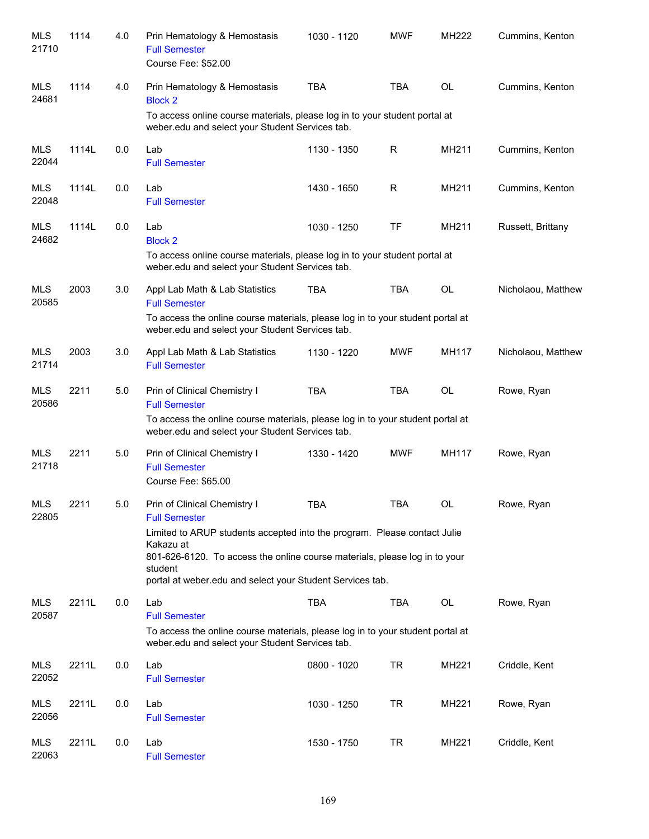| <b>MLS</b><br>21710 | 1114  | 4.0 | Prin Hematology & Hemostasis<br><b>Full Semester</b><br>Course Fee: \$52.00                                                                                                                                                                 | 1030 - 1120 | <b>MWF</b> | MH222        | Cummins, Kenton    |
|---------------------|-------|-----|---------------------------------------------------------------------------------------------------------------------------------------------------------------------------------------------------------------------------------------------|-------------|------------|--------------|--------------------|
| <b>MLS</b><br>24681 | 1114  | 4.0 | Prin Hematology & Hemostasis<br><b>Block 2</b>                                                                                                                                                                                              | <b>TBA</b>  | <b>TBA</b> | <b>OL</b>    | Cummins, Kenton    |
|                     |       |     | To access online course materials, please log in to your student portal at<br>weber.edu and select your Student Services tab.                                                                                                               |             |            |              |                    |
| <b>MLS</b><br>22044 | 1114L | 0.0 | Lab<br><b>Full Semester</b>                                                                                                                                                                                                                 | 1130 - 1350 | R          | MH211        | Cummins, Kenton    |
| <b>MLS</b><br>22048 | 1114L | 0.0 | Lab<br><b>Full Semester</b>                                                                                                                                                                                                                 | 1430 - 1650 | R          | MH211        | Cummins, Kenton    |
| <b>MLS</b><br>24682 | 1114L | 0.0 | Lab<br><b>Block 2</b>                                                                                                                                                                                                                       | 1030 - 1250 | <b>TF</b>  | MH211        | Russett, Brittany  |
|                     |       |     | To access online course materials, please log in to your student portal at<br>weber.edu and select your Student Services tab.                                                                                                               |             |            |              |                    |
| <b>MLS</b><br>20585 | 2003  | 3.0 | Appl Lab Math & Lab Statistics<br><b>Full Semester</b>                                                                                                                                                                                      | <b>TBA</b>  | <b>TBA</b> | <b>OL</b>    | Nicholaou, Matthew |
|                     |       |     | To access the online course materials, please log in to your student portal at<br>weber.edu and select your Student Services tab.                                                                                                           |             |            |              |                    |
| <b>MLS</b><br>21714 | 2003  | 3.0 | Appl Lab Math & Lab Statistics<br><b>Full Semester</b>                                                                                                                                                                                      | 1130 - 1220 | <b>MWF</b> | <b>MH117</b> | Nicholaou, Matthew |
| <b>MLS</b><br>20586 | 2211  | 5.0 | Prin of Clinical Chemistry I<br><b>Full Semester</b>                                                                                                                                                                                        | <b>TBA</b>  | <b>TBA</b> | <b>OL</b>    | Rowe, Ryan         |
|                     |       |     | To access the online course materials, please log in to your student portal at<br>weber.edu and select your Student Services tab.                                                                                                           |             |            |              |                    |
| MLS<br>21718        | 2211  | 5.0 | Prin of Clinical Chemistry I<br><b>Full Semester</b><br>Course Fee: \$65.00                                                                                                                                                                 | 1330 - 1420 | <b>MWF</b> | <b>MH117</b> | Rowe, Ryan         |
| <b>MLS</b><br>22805 | 2211  | 5.0 | Prin of Clinical Chemistry I<br><b>Full Semester</b>                                                                                                                                                                                        | TBA         | TBA        | OL           | Rowe, Ryan         |
|                     |       |     | Limited to ARUP students accepted into the program. Please contact Julie<br>Kakazu at<br>801-626-6120. To access the online course materials, please log in to your<br>student<br>portal at weber edu and select your Student Services tab. |             |            |              |                    |
| <b>MLS</b>          | 2211L | 0.0 | Lab                                                                                                                                                                                                                                         | <b>TBA</b>  | <b>TBA</b> | OL           | Rowe, Ryan         |
| 20587               |       |     | <b>Full Semester</b><br>To access the online course materials, please log in to your student portal at<br>weber.edu and select your Student Services tab.                                                                                   |             |            |              |                    |
| <b>MLS</b><br>22052 | 2211L | 0.0 | Lab<br><b>Full Semester</b>                                                                                                                                                                                                                 | 0800 - 1020 | <b>TR</b>  | MH221        | Criddle, Kent      |
| <b>MLS</b><br>22056 | 2211L | 0.0 | Lab<br><b>Full Semester</b>                                                                                                                                                                                                                 | 1030 - 1250 | <b>TR</b>  | MH221        | Rowe, Ryan         |
| <b>MLS</b><br>22063 | 2211L | 0.0 | Lab<br><b>Full Semester</b>                                                                                                                                                                                                                 | 1530 - 1750 | <b>TR</b>  | MH221        | Criddle, Kent      |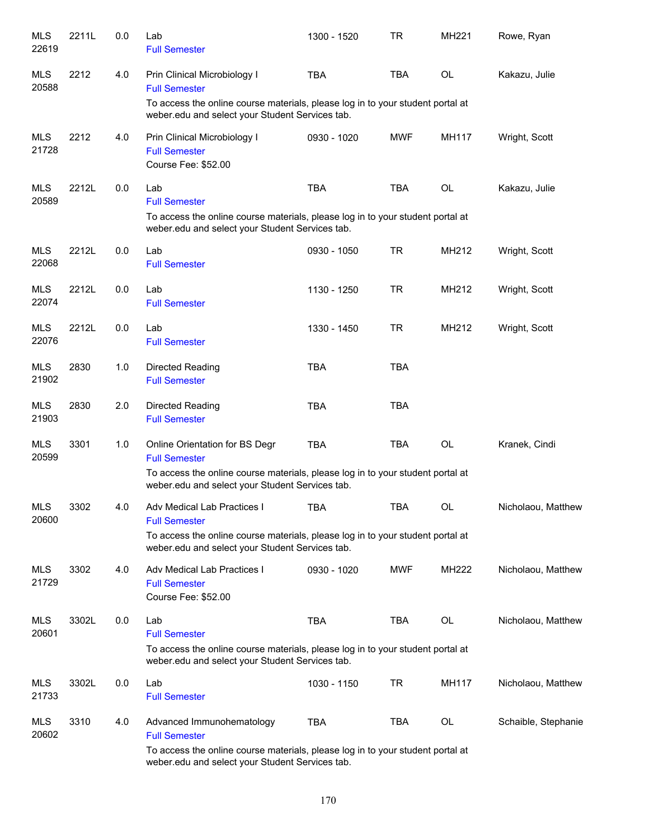| <b>MLS</b><br>22619 | 2211L | 0.0 | Lab<br><b>Full Semester</b>                                                                                                                                      | 1300 - 1520 | <b>TR</b>  | MH221     | Rowe, Ryan          |
|---------------------|-------|-----|------------------------------------------------------------------------------------------------------------------------------------------------------------------|-------------|------------|-----------|---------------------|
| MLS<br>20588        | 2212  | 4.0 | Prin Clinical Microbiology I<br><b>Full Semester</b><br>To access the online course materials, please log in to your student portal at                           | <b>TBA</b>  | <b>TBA</b> | OL        | Kakazu, Julie       |
|                     |       |     | weber.edu and select your Student Services tab.                                                                                                                  |             |            |           |                     |
| <b>MLS</b><br>21728 | 2212  | 4.0 | Prin Clinical Microbiology I<br><b>Full Semester</b><br>Course Fee: \$52.00                                                                                      | 0930 - 1020 | <b>MWF</b> | MH117     | Wright, Scott       |
| <b>MLS</b><br>20589 | 2212L | 0.0 | Lab<br><b>Full Semester</b><br>To access the online course materials, please log in to your student portal at                                                    | <b>TBA</b>  | <b>TBA</b> | <b>OL</b> | Kakazu, Julie       |
|                     |       |     | weber.edu and select your Student Services tab.                                                                                                                  |             |            |           |                     |
| <b>MLS</b><br>22068 | 2212L | 0.0 | Lab<br><b>Full Semester</b>                                                                                                                                      | 0930 - 1050 | <b>TR</b>  | MH212     | Wright, Scott       |
| <b>MLS</b><br>22074 | 2212L | 0.0 | Lab<br><b>Full Semester</b>                                                                                                                                      | 1130 - 1250 | <b>TR</b>  | MH212     | Wright, Scott       |
| MLS<br>22076        | 2212L | 0.0 | Lab<br><b>Full Semester</b>                                                                                                                                      | 1330 - 1450 | <b>TR</b>  | MH212     | Wright, Scott       |
| MLS<br>21902        | 2830  | 1.0 | Directed Reading<br><b>Full Semester</b>                                                                                                                         | <b>TBA</b>  | <b>TBA</b> |           |                     |
| <b>MLS</b><br>21903 | 2830  | 2.0 | Directed Reading<br><b>Full Semester</b>                                                                                                                         | <b>TBA</b>  | <b>TBA</b> |           |                     |
| <b>MLS</b><br>20599 | 3301  | 1.0 | Online Orientation for BS Degr<br><b>Full Semester</b>                                                                                                           | <b>TBA</b>  | <b>TBA</b> | OL        | Kranek, Cindi       |
|                     |       |     | To access the online course materials, please log in to your student portal at<br>weber.edu and select your Student Services tab.                                |             |            |           |                     |
| <b>MLS</b><br>20600 | 3302  | 4.0 | Adv Medical Lab Practices I<br><b>Full Semester</b>                                                                                                              | <b>TBA</b>  | <b>TBA</b> | OL        | Nicholaou, Matthew  |
|                     |       |     | To access the online course materials, please log in to your student portal at<br>weber.edu and select your Student Services tab.                                |             |            |           |                     |
| MLS<br>21729        | 3302  | 4.0 | Adv Medical Lab Practices I<br><b>Full Semester</b><br>Course Fee: \$52.00                                                                                       | 0930 - 1020 | <b>MWF</b> | MH222     | Nicholaou, Matthew  |
| MLS<br>20601        | 3302L | 0.0 | Lab<br><b>Full Semester</b><br>To access the online course materials, please log in to your student portal at<br>weber.edu and select your Student Services tab. | <b>TBA</b>  | TBA        | OL        | Nicholaou, Matthew  |
| MLS<br>21733        | 3302L | 0.0 | Lab<br><b>Full Semester</b>                                                                                                                                      | 1030 - 1150 | <b>TR</b>  | MH117     | Nicholaou, Matthew  |
| <b>MLS</b><br>20602 | 3310  | 4.0 | Advanced Immunohematology<br><b>Full Semester</b>                                                                                                                | <b>TBA</b>  | TBA        | OL        | Schaible, Stephanie |
|                     |       |     | To access the online course materials, please log in to your student portal at<br>weber.edu and select your Student Services tab.                                |             |            |           |                     |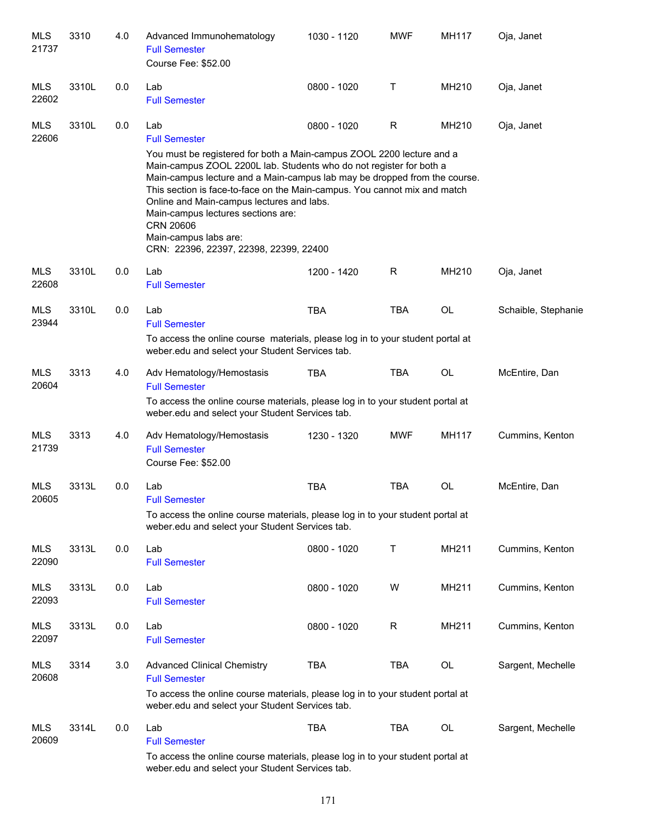| <b>MLS</b><br>21737 | 3310  | 4.0 | Advanced Immunohematology<br><b>Full Semester</b><br>Course Fee: \$52.00                                                                                                                                                                                                                                                                                                                                                                                                  | 1030 - 1120 | <b>MWF</b> | MH117 | Oja, Janet          |
|---------------------|-------|-----|---------------------------------------------------------------------------------------------------------------------------------------------------------------------------------------------------------------------------------------------------------------------------------------------------------------------------------------------------------------------------------------------------------------------------------------------------------------------------|-------------|------------|-------|---------------------|
| <b>MLS</b><br>22602 | 3310L | 0.0 | Lab<br><b>Full Semester</b>                                                                                                                                                                                                                                                                                                                                                                                                                                               | 0800 - 1020 | Τ          | MH210 | Oja, Janet          |
| <b>MLS</b><br>22606 | 3310L | 0.0 | Lab<br><b>Full Semester</b>                                                                                                                                                                                                                                                                                                                                                                                                                                               | 0800 - 1020 | R          | MH210 | Oja, Janet          |
|                     |       |     | You must be registered for both a Main-campus ZOOL 2200 lecture and a<br>Main-campus ZOOL 2200L lab. Students who do not register for both a<br>Main-campus lecture and a Main-campus lab may be dropped from the course.<br>This section is face-to-face on the Main-campus. You cannot mix and match<br>Online and Main-campus lectures and labs.<br>Main-campus lectures sections are:<br>CRN 20606<br>Main-campus labs are:<br>CRN: 22396, 22397, 22398, 22399, 22400 |             |            |       |                     |
| <b>MLS</b><br>22608 | 3310L | 0.0 | Lab<br><b>Full Semester</b>                                                                                                                                                                                                                                                                                                                                                                                                                                               | 1200 - 1420 | R          | MH210 | Oja, Janet          |
| <b>MLS</b><br>23944 | 3310L | 0.0 | Lab<br><b>Full Semester</b>                                                                                                                                                                                                                                                                                                                                                                                                                                               | <b>TBA</b>  | <b>TBA</b> | OL    | Schaible, Stephanie |
|                     |       |     | To access the online course materials, please log in to your student portal at<br>weber.edu and select your Student Services tab.                                                                                                                                                                                                                                                                                                                                         |             |            |       |                     |
| <b>MLS</b><br>20604 | 3313  | 4.0 | Adv Hematology/Hemostasis<br><b>Full Semester</b>                                                                                                                                                                                                                                                                                                                                                                                                                         | <b>TBA</b>  | <b>TBA</b> | OL    | McEntire, Dan       |
|                     |       |     | To access the online course materials, please log in to your student portal at<br>weber.edu and select your Student Services tab.                                                                                                                                                                                                                                                                                                                                         |             |            |       |                     |
| MLS<br>21739        | 3313  | 4.0 | Adv Hematology/Hemostasis<br><b>Full Semester</b><br>Course Fee: \$52.00                                                                                                                                                                                                                                                                                                                                                                                                  | 1230 - 1320 | <b>MWF</b> | MH117 | Cummins, Kenton     |
| <b>MLS</b><br>20605 | 3313L | 0.0 | Lab<br><b>Full Semester</b>                                                                                                                                                                                                                                                                                                                                                                                                                                               | <b>TBA</b>  | <b>TBA</b> | OL    | McEntire, Dan       |
|                     |       |     | To access the online course materials, please log in to your student portal at<br>weber.edu and select your Student Services tab.                                                                                                                                                                                                                                                                                                                                         |             |            |       |                     |
| <b>MLS</b><br>22090 | 3313L | 0.0 | Lab<br><b>Full Semester</b>                                                                                                                                                                                                                                                                                                                                                                                                                                               | 0800 - 1020 | Т          | MH211 | Cummins, Kenton     |
| <b>MLS</b><br>22093 | 3313L | 0.0 | Lab<br><b>Full Semester</b>                                                                                                                                                                                                                                                                                                                                                                                                                                               | 0800 - 1020 | W          | MH211 | Cummins, Kenton     |
| <b>MLS</b><br>22097 | 3313L | 0.0 | Lab<br><b>Full Semester</b>                                                                                                                                                                                                                                                                                                                                                                                                                                               | 0800 - 1020 | R          | MH211 | Cummins, Kenton     |
| <b>MLS</b><br>20608 | 3314  | 3.0 | <b>Advanced Clinical Chemistry</b><br><b>Full Semester</b>                                                                                                                                                                                                                                                                                                                                                                                                                | <b>TBA</b>  | <b>TBA</b> | OL    | Sargent, Mechelle   |
|                     |       |     | To access the online course materials, please log in to your student portal at<br>weber.edu and select your Student Services tab.                                                                                                                                                                                                                                                                                                                                         |             |            |       |                     |
| <b>MLS</b><br>20609 | 3314L | 0.0 | Lab<br><b>Full Semester</b>                                                                                                                                                                                                                                                                                                                                                                                                                                               | <b>TBA</b>  | <b>TBA</b> | OL    | Sargent, Mechelle   |
|                     |       |     | To access the online course materials, please log in to your student portal at<br>weber.edu and select your Student Services tab.                                                                                                                                                                                                                                                                                                                                         |             |            |       |                     |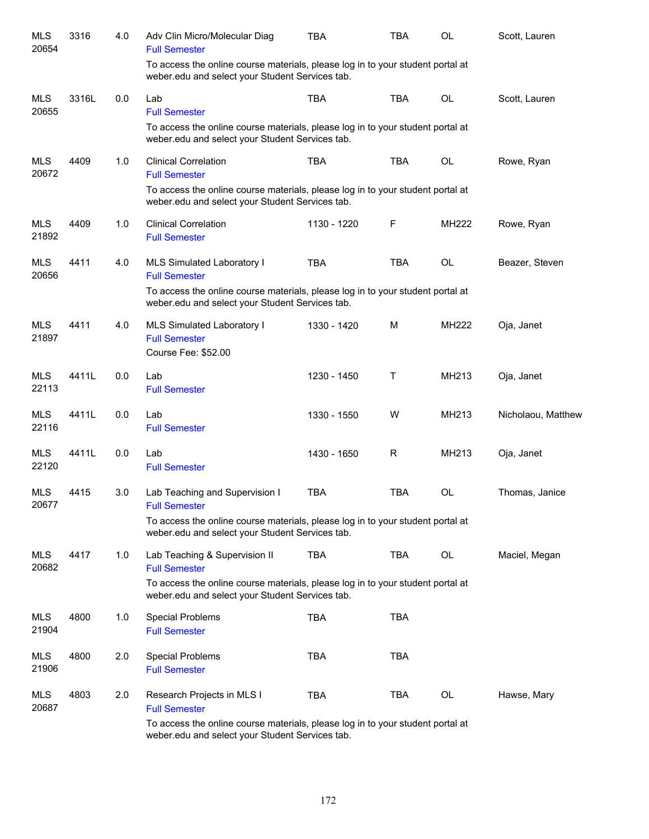| <b>MLS</b><br>20654 | 3316  | 4.0 | Adv Clin Micro/Molecular Diag<br><b>Full Semester</b>                                                                             | <b>TBA</b>  | <b>TBA</b> | <b>OL</b> | Scott, Lauren      |
|---------------------|-------|-----|-----------------------------------------------------------------------------------------------------------------------------------|-------------|------------|-----------|--------------------|
|                     |       |     | To access the online course materials, please log in to your student portal at<br>weber.edu and select your Student Services tab. |             |            |           |                    |
| <b>MLS</b><br>20655 | 3316L | 0.0 | Lab<br><b>Full Semester</b>                                                                                                       | <b>TBA</b>  | <b>TBA</b> | OL        | Scott, Lauren      |
|                     |       |     | To access the online course materials, please log in to your student portal at<br>weber.edu and select your Student Services tab. |             |            |           |                    |
| <b>MLS</b><br>20672 | 4409  | 1.0 | <b>Clinical Correlation</b><br><b>Full Semester</b>                                                                               | <b>TBA</b>  | <b>TBA</b> | OL        | Rowe, Ryan         |
|                     |       |     | To access the online course materials, please log in to your student portal at<br>weber.edu and select your Student Services tab. |             |            |           |                    |
| <b>MLS</b><br>21892 | 4409  | 1.0 | <b>Clinical Correlation</b><br><b>Full Semester</b>                                                                               | 1130 - 1220 | F          | MH222     | Rowe, Ryan         |
| <b>MLS</b><br>20656 | 4411  | 4.0 | MLS Simulated Laboratory I<br><b>Full Semester</b>                                                                                | <b>TBA</b>  | <b>TBA</b> | OL        | Beazer, Steven     |
|                     |       |     | To access the online course materials, please log in to your student portal at<br>weber.edu and select your Student Services tab. |             |            |           |                    |
| <b>MLS</b><br>21897 | 4411  | 4.0 | MLS Simulated Laboratory I<br><b>Full Semester</b><br>Course Fee: \$52.00                                                         | 1330 - 1420 | М          | MH222     | Oja, Janet         |
| <b>MLS</b><br>22113 | 4411L | 0.0 | Lab<br><b>Full Semester</b>                                                                                                       | 1230 - 1450 | Т          | MH213     | Oja, Janet         |
| <b>MLS</b><br>22116 | 4411L | 0.0 | Lab<br><b>Full Semester</b>                                                                                                       | 1330 - 1550 | W          | MH213     | Nicholaou, Matthew |
| <b>MLS</b><br>22120 | 4411L | 0.0 | Lab<br><b>Full Semester</b>                                                                                                       | 1430 - 1650 | R          | MH213     | Oja, Janet         |
| <b>MLS</b><br>20677 | 4415  | 3.0 | Lab Teaching and Supervision I<br><b>Full Semester</b>                                                                            | <b>TBA</b>  | <b>TBA</b> | <b>OL</b> | Thomas, Janice     |
|                     |       |     | To access the online course materials, please log in to your student portal at<br>weber.edu and select your Student Services tab. |             |            |           |                    |
| <b>MLS</b><br>20682 | 4417  | 1.0 | Lab Teaching & Supervision II<br><b>Full Semester</b>                                                                             | <b>TBA</b>  | TBA        | OL        | Maciel, Megan      |
|                     |       |     | To access the online course materials, please log in to your student portal at<br>weber.edu and select your Student Services tab. |             |            |           |                    |
| <b>MLS</b><br>21904 | 4800  | 1.0 | Special Problems<br><b>Full Semester</b>                                                                                          | <b>TBA</b>  | <b>TBA</b> |           |                    |
| MLS<br>21906        | 4800  | 2.0 | <b>Special Problems</b><br><b>Full Semester</b>                                                                                   | TBA         | <b>TBA</b> |           |                    |
| MLS<br>20687        | 4803  | 2.0 | Research Projects in MLS I<br><b>Full Semester</b>                                                                                | TBA         | TBA        | OL        | Hawse, Mary        |
|                     |       |     | To access the online course materials, please log in to your student portal at<br>weber.edu and select your Student Services tab. |             |            |           |                    |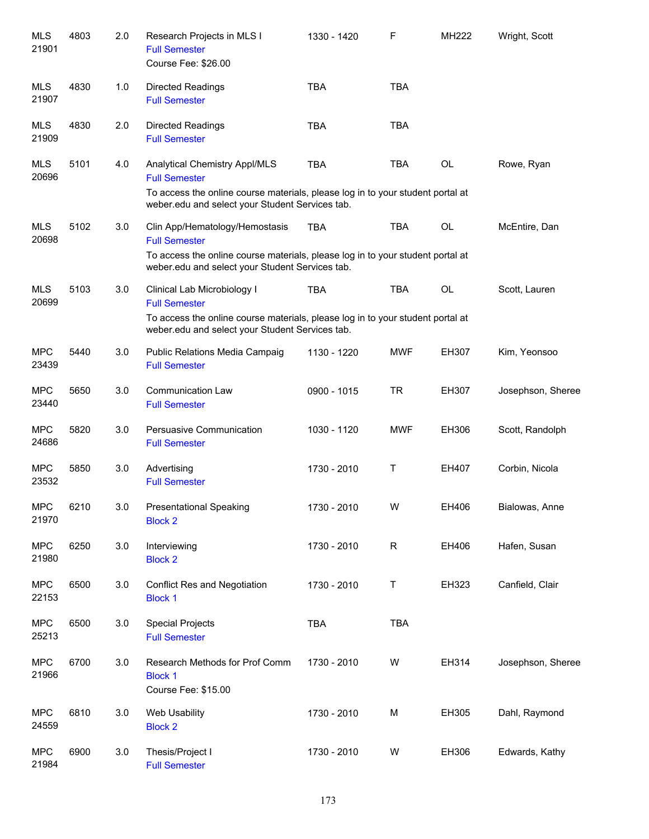| <b>MLS</b><br>21901 | 4803 | 2.0 | Research Projects in MLS I<br><b>Full Semester</b><br>Course Fee: \$26.00                                                                                                                   | 1330 - 1420 | F            | MH222     | Wright, Scott     |
|---------------------|------|-----|---------------------------------------------------------------------------------------------------------------------------------------------------------------------------------------------|-------------|--------------|-----------|-------------------|
| <b>MLS</b><br>21907 | 4830 | 1.0 | <b>Directed Readings</b><br><b>Full Semester</b>                                                                                                                                            | <b>TBA</b>  | <b>TBA</b>   |           |                   |
| <b>MLS</b><br>21909 | 4830 | 2.0 | <b>Directed Readings</b><br><b>Full Semester</b>                                                                                                                                            | <b>TBA</b>  | <b>TBA</b>   |           |                   |
| <b>MLS</b><br>20696 | 5101 | 4.0 | Analytical Chemistry Appl/MLS<br><b>Full Semester</b><br>To access the online course materials, please log in to your student portal at<br>weber.edu and select your Student Services tab.  | <b>TBA</b>  | TBA          | <b>OL</b> | Rowe, Ryan        |
| <b>MLS</b><br>20698 | 5102 | 3.0 | Clin App/Hematology/Hemostasis<br><b>Full Semester</b><br>To access the online course materials, please log in to your student portal at<br>weber.edu and select your Student Services tab. | <b>TBA</b>  | <b>TBA</b>   | <b>OL</b> | McEntire, Dan     |
| <b>MLS</b><br>20699 | 5103 | 3.0 | Clinical Lab Microbiology I<br><b>Full Semester</b><br>To access the online course materials, please log in to your student portal at<br>weber.edu and select your Student Services tab.    | <b>TBA</b>  | <b>TBA</b>   | <b>OL</b> | Scott, Lauren     |
| <b>MPC</b><br>23439 | 5440 | 3.0 | Public Relations Media Campaig<br><b>Full Semester</b>                                                                                                                                      | 1130 - 1220 | <b>MWF</b>   | EH307     | Kim, Yeonsoo      |
| <b>MPC</b><br>23440 | 5650 | 3.0 | <b>Communication Law</b><br><b>Full Semester</b>                                                                                                                                            | 0900 - 1015 | <b>TR</b>    | EH307     | Josephson, Sheree |
| <b>MPC</b><br>24686 | 5820 | 3.0 | Persuasive Communication<br><b>Full Semester</b>                                                                                                                                            | 1030 - 1120 | <b>MWF</b>   | EH306     | Scott, Randolph   |
| <b>MPC</b><br>23532 | 5850 | 3.0 | Advertising<br><b>Full Semester</b>                                                                                                                                                         | 1730 - 2010 | Τ            | EH407     | Corbin, Nicola    |
| <b>MPC</b><br>21970 | 6210 | 3.0 | <b>Presentational Speaking</b><br><b>Block 2</b>                                                                                                                                            | 1730 - 2010 | w            | EH406     | Bialowas, Anne    |
| <b>MPC</b><br>21980 | 6250 | 3.0 | Interviewing<br><b>Block 2</b>                                                                                                                                                              | 1730 - 2010 | $\mathsf{R}$ | EH406     | Hafen, Susan      |
| <b>MPC</b><br>22153 | 6500 | 3.0 | <b>Conflict Res and Negotiation</b><br><b>Block 1</b>                                                                                                                                       | 1730 - 2010 | Τ            | EH323     | Canfield, Clair   |
| <b>MPC</b><br>25213 | 6500 | 3.0 | <b>Special Projects</b><br><b>Full Semester</b>                                                                                                                                             | <b>TBA</b>  | <b>TBA</b>   |           |                   |
| <b>MPC</b><br>21966 | 6700 | 3.0 | Research Methods for Prof Comm<br><b>Block 1</b><br>Course Fee: \$15.00                                                                                                                     | 1730 - 2010 | W            | EH314     | Josephson, Sheree |
| <b>MPC</b><br>24559 | 6810 | 3.0 | Web Usability<br><b>Block 2</b>                                                                                                                                                             | 1730 - 2010 | M            | EH305     | Dahl, Raymond     |
| <b>MPC</b><br>21984 | 6900 | 3.0 | Thesis/Project I<br><b>Full Semester</b>                                                                                                                                                    | 1730 - 2010 | W            | EH306     | Edwards, Kathy    |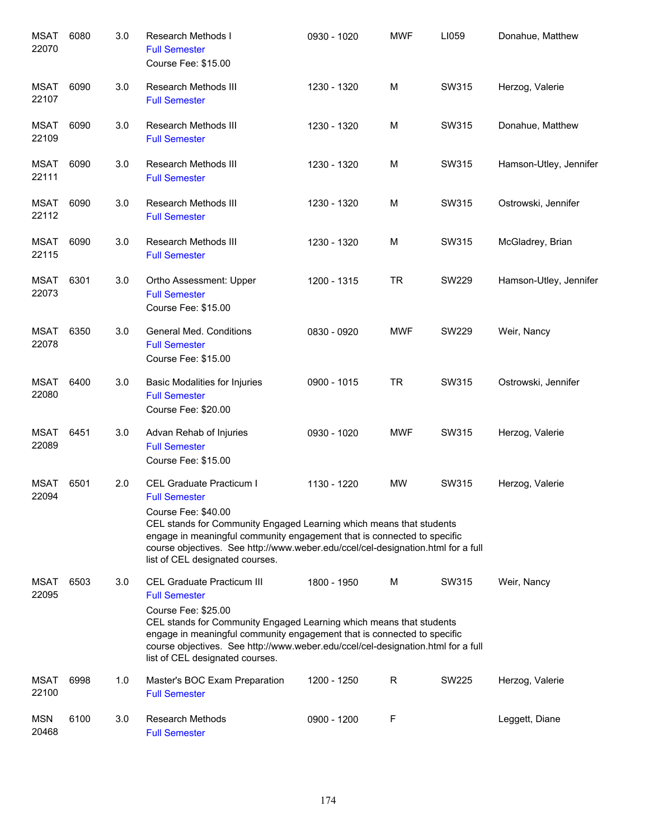| <b>MSAT</b><br>22070 | 6080 | 3.0 | Research Methods I<br><b>Full Semester</b><br>Course Fee: \$15.00                                                                                                                                                                                                                                                                                         | 0930 - 1020 | <b>MWF</b> | LI059        | Donahue, Matthew       |
|----------------------|------|-----|-----------------------------------------------------------------------------------------------------------------------------------------------------------------------------------------------------------------------------------------------------------------------------------------------------------------------------------------------------------|-------------|------------|--------------|------------------------|
| MSAT<br>22107        | 6090 | 3.0 | Research Methods III<br><b>Full Semester</b>                                                                                                                                                                                                                                                                                                              | 1230 - 1320 | M          | SW315        | Herzog, Valerie        |
| MSAT<br>22109        | 6090 | 3.0 | Research Methods III<br><b>Full Semester</b>                                                                                                                                                                                                                                                                                                              | 1230 - 1320 | M          | SW315        | Donahue, Matthew       |
| <b>MSAT</b><br>22111 | 6090 | 3.0 | Research Methods III<br><b>Full Semester</b>                                                                                                                                                                                                                                                                                                              | 1230 - 1320 | M          | SW315        | Hamson-Utley, Jennifer |
| MSAT<br>22112        | 6090 | 3.0 | Research Methods III<br><b>Full Semester</b>                                                                                                                                                                                                                                                                                                              | 1230 - 1320 | M          | SW315        | Ostrowski, Jennifer    |
| <b>MSAT</b><br>22115 | 6090 | 3.0 | Research Methods III<br><b>Full Semester</b>                                                                                                                                                                                                                                                                                                              | 1230 - 1320 | M          | SW315        | McGladrey, Brian       |
| <b>MSAT</b><br>22073 | 6301 | 3.0 | Ortho Assessment: Upper<br><b>Full Semester</b><br>Course Fee: \$15.00                                                                                                                                                                                                                                                                                    | 1200 - 1315 | <b>TR</b>  | SW229        | Hamson-Utley, Jennifer |
| <b>MSAT</b><br>22078 | 6350 | 3.0 | General Med. Conditions<br><b>Full Semester</b><br>Course Fee: \$15.00                                                                                                                                                                                                                                                                                    | 0830 - 0920 | <b>MWF</b> | <b>SW229</b> | Weir, Nancy            |
| <b>MSAT</b><br>22080 | 6400 | 3.0 | Basic Modalities for Injuries<br><b>Full Semester</b><br>Course Fee: \$20.00                                                                                                                                                                                                                                                                              | 0900 - 1015 | <b>TR</b>  | SW315        | Ostrowski, Jennifer    |
| <b>MSAT</b><br>22089 | 6451 | 3.0 | Advan Rehab of Injuries<br><b>Full Semester</b><br>Course Fee: \$15.00                                                                                                                                                                                                                                                                                    | 0930 - 1020 | <b>MWF</b> | SW315        | Herzog, Valerie        |
| <b>MSAT</b><br>22094 | 6501 | 2.0 | CEL Graduate Practicum I<br><b>Full Semester</b><br>Course Fee: \$40.00<br>CEL stands for Community Engaged Learning which means that students<br>engage in meaningful community engagement that is connected to specific<br>course objectives. See http://www.weber.edu/ccel/cel-designation.html for a full<br>list of CEL designated courses.          | 1130 - 1220 | <b>MW</b>  | SW315        | Herzog, Valerie        |
| MSAT<br>22095        | 6503 | 3.0 | <b>CEL Graduate Practicum III</b><br><b>Full Semester</b><br>Course Fee: \$25.00<br>CEL stands for Community Engaged Learning which means that students<br>engage in meaningful community engagement that is connected to specific<br>course objectives. See http://www.weber.edu/ccel/cel-designation.html for a full<br>list of CEL designated courses. | 1800 - 1950 | м          | SW315        | Weir, Nancy            |
| <b>MSAT</b><br>22100 | 6998 | 1.0 | Master's BOC Exam Preparation<br><b>Full Semester</b>                                                                                                                                                                                                                                                                                                     | 1200 - 1250 | R          | <b>SW225</b> | Herzog, Valerie        |
| <b>MSN</b><br>20468  | 6100 | 3.0 | <b>Research Methods</b><br><b>Full Semester</b>                                                                                                                                                                                                                                                                                                           | 0900 - 1200 | F          |              | Leggett, Diane         |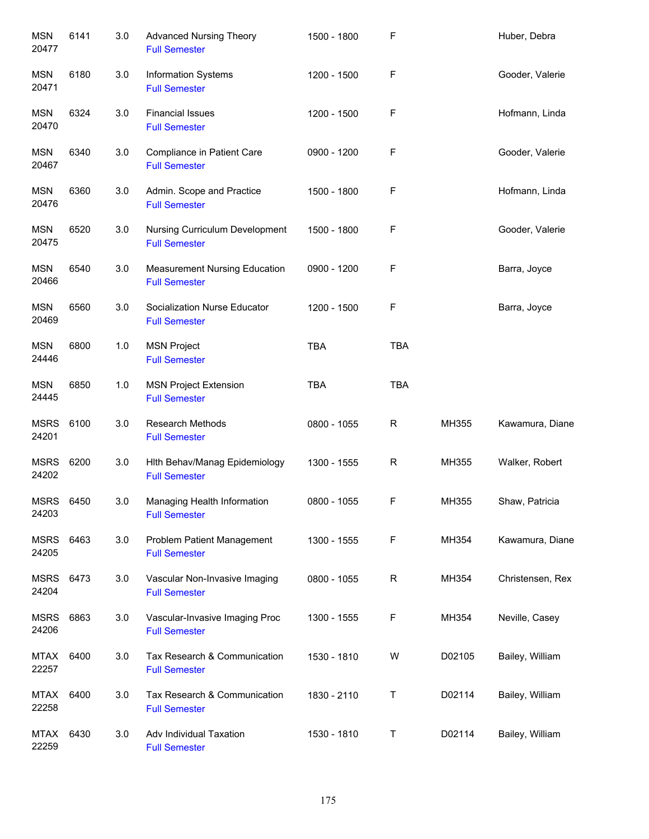| <b>MSN</b><br>20477  | 6141 | 3.0 | <b>Advanced Nursing Theory</b><br><b>Full Semester</b>       | 1500 - 1800 | F           |        | Huber, Debra     |
|----------------------|------|-----|--------------------------------------------------------------|-------------|-------------|--------|------------------|
| MSN<br>20471         | 6180 | 3.0 | Information Systems<br><b>Full Semester</b>                  | 1200 - 1500 | F           |        | Gooder, Valerie  |
| <b>MSN</b><br>20470  | 6324 | 3.0 | <b>Financial Issues</b><br><b>Full Semester</b>              | 1200 - 1500 | F           |        | Hofmann, Linda   |
| <b>MSN</b><br>20467  | 6340 | 3.0 | Compliance in Patient Care<br><b>Full Semester</b>           | 0900 - 1200 | F           |        | Gooder, Valerie  |
| <b>MSN</b><br>20476  | 6360 | 3.0 | Admin. Scope and Practice<br><b>Full Semester</b>            | 1500 - 1800 | F           |        | Hofmann, Linda   |
| <b>MSN</b><br>20475  | 6520 | 3.0 | Nursing Curriculum Development<br><b>Full Semester</b>       | 1500 - 1800 | F           |        | Gooder, Valerie  |
| MSN<br>20466         | 6540 | 3.0 | <b>Measurement Nursing Education</b><br><b>Full Semester</b> | 0900 - 1200 | F           |        | Barra, Joyce     |
| <b>MSN</b><br>20469  | 6560 | 3.0 | Socialization Nurse Educator<br><b>Full Semester</b>         | 1200 - 1500 | F           |        | Barra, Joyce     |
| <b>MSN</b><br>24446  | 6800 | 1.0 | <b>MSN Project</b><br><b>Full Semester</b>                   | <b>TBA</b>  | <b>TBA</b>  |        |                  |
| <b>MSN</b><br>24445  | 6850 | 1.0 | <b>MSN Project Extension</b><br><b>Full Semester</b>         | <b>TBA</b>  | <b>TBA</b>  |        |                  |
| <b>MSRS</b><br>24201 | 6100 | 3.0 | <b>Research Methods</b><br><b>Full Semester</b>              | 0800 - 1055 | $\mathsf R$ | MH355  | Kawamura, Diane  |
| <b>MSRS</b><br>24202 | 6200 | 3.0 | Hith Behav/Manag Epidemiology<br><b>Full Semester</b>        | 1300 - 1555 | $\mathsf R$ | MH355  | Walker, Robert   |
| <b>MSRS</b><br>24203 | 6450 | 3.0 | Managing Health Information<br><b>Full Semester</b>          | 0800 - 1055 | F           | MH355  | Shaw, Patricia   |
| <b>MSRS</b><br>24205 | 6463 | 3.0 | Problem Patient Management<br><b>Full Semester</b>           | 1300 - 1555 | F           | MH354  | Kawamura, Diane  |
| <b>MSRS</b><br>24204 | 6473 | 3.0 | Vascular Non-Invasive Imaging<br><b>Full Semester</b>        | 0800 - 1055 | R           | MH354  | Christensen, Rex |
| <b>MSRS</b><br>24206 | 6863 | 3.0 | Vascular-Invasive Imaging Proc<br><b>Full Semester</b>       | 1300 - 1555 | F           | MH354  | Neville, Casey   |
| <b>MTAX</b><br>22257 | 6400 | 3.0 | Tax Research & Communication<br><b>Full Semester</b>         | 1530 - 1810 | W           | D02105 | Bailey, William  |
| <b>MTAX</b><br>22258 | 6400 | 3.0 | Tax Research & Communication<br><b>Full Semester</b>         | 1830 - 2110 | Τ           | D02114 | Bailey, William  |
| MTAX<br>22259        | 6430 | 3.0 | Adv Individual Taxation<br><b>Full Semester</b>              | 1530 - 1810 | Τ           | D02114 | Bailey, William  |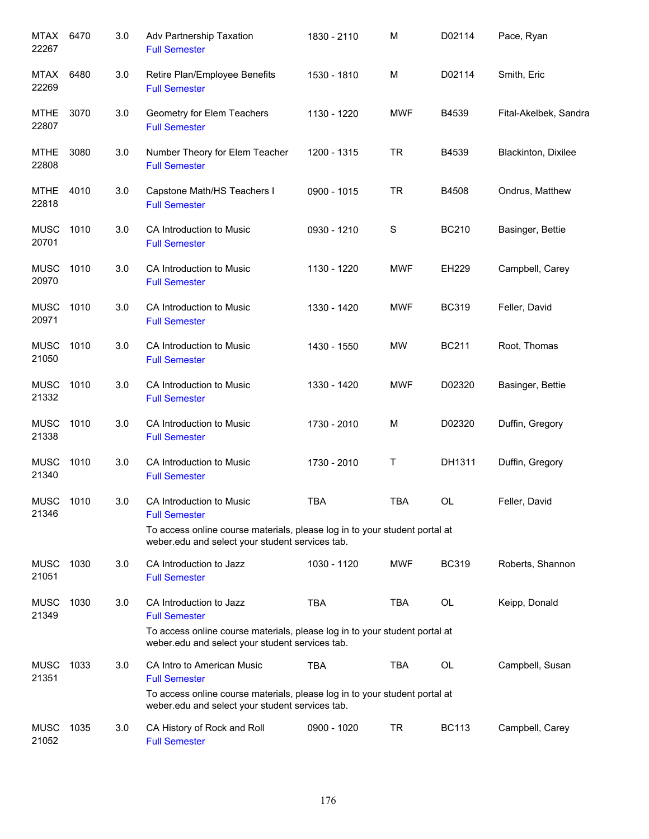| MTAX<br>22267        | 6470 | 3.0 | Adv Partnership Taxation<br><b>Full Semester</b>                                                                                                      | 1830 - 2110 | M           | D02114       | Pace, Ryan            |
|----------------------|------|-----|-------------------------------------------------------------------------------------------------------------------------------------------------------|-------------|-------------|--------------|-----------------------|
| <b>MTAX</b><br>22269 | 6480 | 3.0 | Retire Plan/Employee Benefits<br><b>Full Semester</b>                                                                                                 | 1530 - 1810 | M           | D02114       | Smith, Eric           |
| <b>MTHE</b><br>22807 | 3070 | 3.0 | Geometry for Elem Teachers<br><b>Full Semester</b>                                                                                                    | 1130 - 1220 | <b>MWF</b>  | B4539        | Fital-Akelbek, Sandra |
| <b>MTHE</b><br>22808 | 3080 | 3.0 | Number Theory for Elem Teacher<br><b>Full Semester</b>                                                                                                | 1200 - 1315 | <b>TR</b>   | B4539        | Blackinton, Dixilee   |
| <b>MTHE</b><br>22818 | 4010 | 3.0 | Capstone Math/HS Teachers I<br><b>Full Semester</b>                                                                                                   | 0900 - 1015 | <b>TR</b>   | B4508        | Ondrus, Matthew       |
| <b>MUSC</b><br>20701 | 1010 | 3.0 | CA Introduction to Music<br><b>Full Semester</b>                                                                                                      | 0930 - 1210 | $\mathbf S$ | <b>BC210</b> | Basinger, Bettie      |
| <b>MUSC</b><br>20970 | 1010 | 3.0 | CA Introduction to Music<br><b>Full Semester</b>                                                                                                      | 1130 - 1220 | <b>MWF</b>  | EH229        | Campbell, Carey       |
| <b>MUSC</b><br>20971 | 1010 | 3.0 | CA Introduction to Music<br><b>Full Semester</b>                                                                                                      | 1330 - 1420 | <b>MWF</b>  | <b>BC319</b> | Feller, David         |
| <b>MUSC</b><br>21050 | 1010 | 3.0 | CA Introduction to Music<br><b>Full Semester</b>                                                                                                      | 1430 - 1550 | MW          | <b>BC211</b> | Root, Thomas          |
| <b>MUSC</b><br>21332 | 1010 | 3.0 | CA Introduction to Music<br><b>Full Semester</b>                                                                                                      | 1330 - 1420 | <b>MWF</b>  | D02320       | Basinger, Bettie      |
| <b>MUSC</b><br>21338 | 1010 | 3.0 | CA Introduction to Music<br><b>Full Semester</b>                                                                                                      | 1730 - 2010 | M           | D02320       | Duffin, Gregory       |
| <b>MUSC</b><br>21340 | 1010 | 3.0 | CA Introduction to Music<br><b>Full Semester</b>                                                                                                      | 1730 - 2010 | T           | DH1311       | Duffin, Gregory       |
| <b>MUSC</b><br>21346 | 1010 | 3.0 | CA Introduction to Music<br><b>Full Semester</b>                                                                                                      | <b>TBA</b>  | <b>TBA</b>  | OL           | Feller, David         |
|                      |      |     | To access online course materials, please log in to your student portal at<br>weber.edu and select your student services tab.                         |             |             |              |                       |
| <b>MUSC</b><br>21051 | 1030 | 3.0 | CA Introduction to Jazz<br><b>Full Semester</b>                                                                                                       | 1030 - 1120 | MWF         | <b>BC319</b> | Roberts, Shannon      |
| <b>MUSC</b><br>21349 | 1030 | 3.0 | CA Introduction to Jazz<br><b>Full Semester</b><br>To access online course materials, please log in to your student portal at                         | <b>TBA</b>  | <b>TBA</b>  | OL           | Keipp, Donald         |
| <b>MUSC</b>          | 1033 | 3.0 | weber.edu and select your student services tab.<br>CA Intro to American Music                                                                         | <b>TBA</b>  | <b>TBA</b>  | OL           | Campbell, Susan       |
| 21351                |      |     | <b>Full Semester</b><br>To access online course materials, please log in to your student portal at<br>weber.edu and select your student services tab. |             |             |              |                       |
| <b>MUSC</b><br>21052 | 1035 | 3.0 | CA History of Rock and Roll<br><b>Full Semester</b>                                                                                                   | 0900 - 1020 | <b>TR</b>   | <b>BC113</b> | Campbell, Carey       |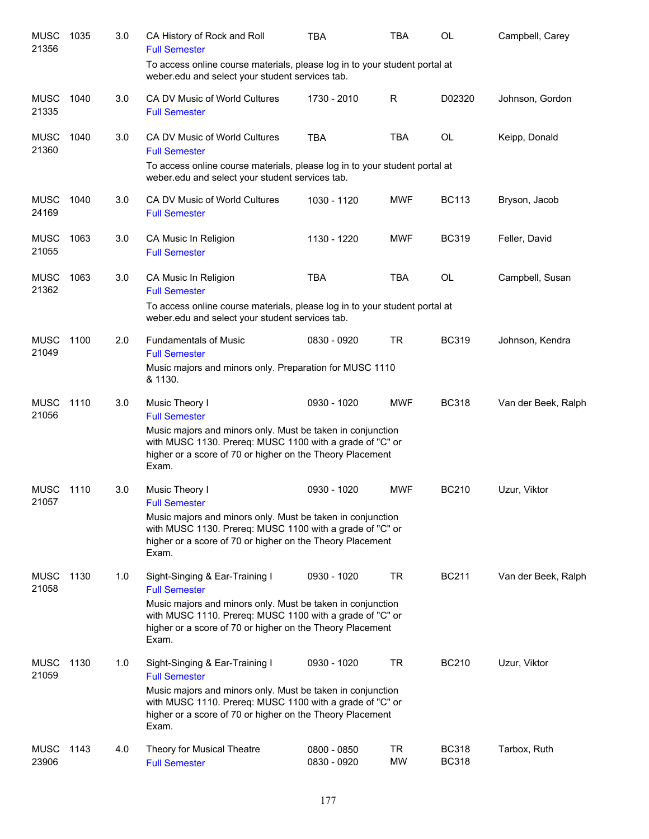| <b>MUSC</b><br>21356 | 1035 | 3.0 | CA History of Rock and Roll<br><b>Full Semester</b>                                                                                                                                          | TBA                        | TBA             | OL                           | Campbell, Carey     |
|----------------------|------|-----|----------------------------------------------------------------------------------------------------------------------------------------------------------------------------------------------|----------------------------|-----------------|------------------------------|---------------------|
|                      |      |     | To access online course materials, please log in to your student portal at<br>weber.edu and select your student services tab.                                                                |                            |                 |                              |                     |
| <b>MUSC</b><br>21335 | 1040 | 3.0 | CA DV Music of World Cultures<br><b>Full Semester</b>                                                                                                                                        | 1730 - 2010                | R               | D02320                       | Johnson, Gordon     |
| <b>MUSC</b><br>21360 | 1040 | 3.0 | CA DV Music of World Cultures<br><b>Full Semester</b>                                                                                                                                        | <b>TBA</b>                 | <b>TBA</b>      | <b>OL</b>                    | Keipp, Donald       |
|                      |      |     | To access online course materials, please log in to your student portal at<br>weber.edu and select your student services tab.                                                                |                            |                 |                              |                     |
| <b>MUSC</b><br>24169 | 1040 | 3.0 | CA DV Music of World Cultures<br><b>Full Semester</b>                                                                                                                                        | 1030 - 1120                | <b>MWF</b>      | <b>BC113</b>                 | Bryson, Jacob       |
| <b>MUSC</b><br>21055 | 1063 | 3.0 | CA Music In Religion<br><b>Full Semester</b>                                                                                                                                                 | 1130 - 1220                | <b>MWF</b>      | <b>BC319</b>                 | Feller, David       |
| <b>MUSC</b><br>21362 | 1063 | 3.0 | CA Music In Religion<br><b>Full Semester</b>                                                                                                                                                 | <b>TBA</b>                 | <b>TBA</b>      | <b>OL</b>                    | Campbell, Susan     |
|                      |      |     | To access online course materials, please log in to your student portal at<br>weber.edu and select your student services tab.                                                                |                            |                 |                              |                     |
| <b>MUSC</b><br>21049 | 1100 | 2.0 | <b>Fundamentals of Music</b><br><b>Full Semester</b>                                                                                                                                         | 0830 - 0920                | <b>TR</b>       | <b>BC319</b>                 | Johnson, Kendra     |
|                      |      |     | Music majors and minors only. Preparation for MUSC 1110<br>& 1130.                                                                                                                           |                            |                 |                              |                     |
| <b>MUSC</b><br>21056 | 1110 | 3.0 | Music Theory I<br><b>Full Semester</b>                                                                                                                                                       | 0930 - 1020                | <b>MWF</b>      | <b>BC318</b>                 | Van der Beek, Ralph |
|                      |      |     | Music majors and minors only. Must be taken in conjunction<br>with MUSC 1130. Prereq: MUSC 1100 with a grade of "C" or<br>higher or a score of 70 or higher on the Theory Placement<br>Exam. |                            |                 |                              |                     |
| <b>MUSC</b><br>21057 | 1110 | 3.0 | Music Theory I<br><b>Full Semester</b>                                                                                                                                                       | 0930 - 1020                | <b>MWF</b>      | <b>BC210</b>                 | Uzur, Viktor        |
|                      |      |     | Music majors and minors only. Must be taken in conjunction<br>with MUSC 1130. Prereq: MUSC 1100 with a grade of "C" or<br>higher or a score of 70 or higher on the Theory Placement<br>Exam. |                            |                 |                              |                     |
| <b>MUSC</b><br>21058 | 1130 | 1.0 | Sight-Singing & Ear-Training I<br><b>Full Semester</b>                                                                                                                                       | 0930 - 1020                | TR              | <b>BC211</b>                 | Van der Beek, Ralph |
|                      |      |     | Music majors and minors only. Must be taken in conjunction<br>with MUSC 1110. Prereq: MUSC 1100 with a grade of "C" or<br>higher or a score of 70 or higher on the Theory Placement<br>Exam. |                            |                 |                              |                     |
| <b>MUSC</b><br>21059 | 1130 | 1.0 | Sight-Singing & Ear-Training I<br><b>Full Semester</b>                                                                                                                                       | 0930 - 1020                | <b>TR</b>       | <b>BC210</b>                 | Uzur, Viktor        |
|                      |      |     | Music majors and minors only. Must be taken in conjunction<br>with MUSC 1110. Prereq: MUSC 1100 with a grade of "C" or<br>higher or a score of 70 or higher on the Theory Placement<br>Exam. |                            |                 |                              |                     |
| <b>MUSC</b><br>23906 | 1143 | 4.0 | Theory for Musical Theatre<br><b>Full Semester</b>                                                                                                                                           | 0800 - 0850<br>0830 - 0920 | TR<br><b>MW</b> | <b>BC318</b><br><b>BC318</b> | Tarbox, Ruth        |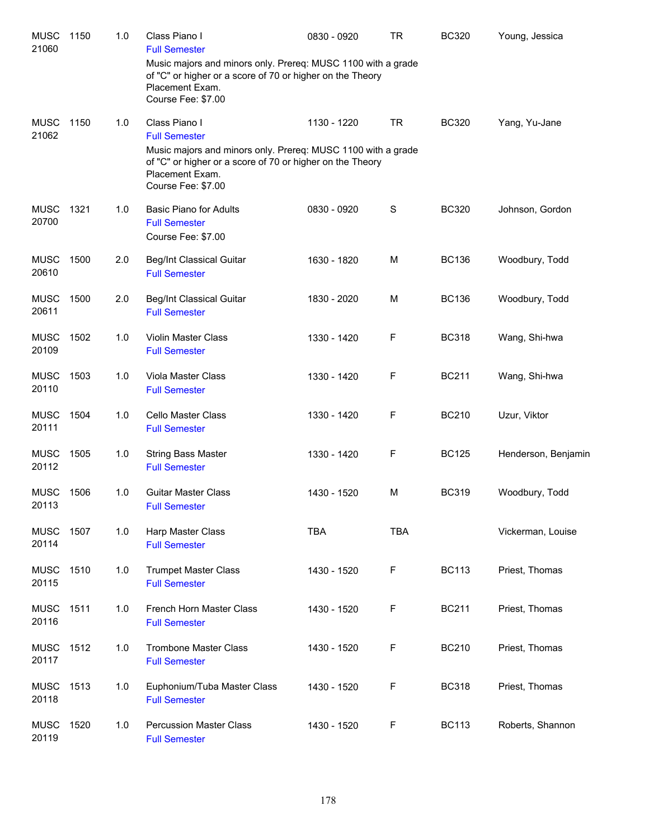| <b>MUSC</b><br>21060 | 1150 | 1.0 | Class Piano I<br><b>Full Semester</b>                                                                                                                              | 0830 - 0920 | <b>TR</b>   | <b>BC320</b> | Young, Jessica      |
|----------------------|------|-----|--------------------------------------------------------------------------------------------------------------------------------------------------------------------|-------------|-------------|--------------|---------------------|
|                      |      |     | Music majors and minors only. Prereq: MUSC 1100 with a grade<br>of "C" or higher or a score of 70 or higher on the Theory<br>Placement Exam.<br>Course Fee: \$7.00 |             |             |              |                     |
| <b>MUSC</b><br>21062 | 1150 | 1.0 | Class Piano I<br><b>Full Semester</b>                                                                                                                              | 1130 - 1220 | <b>TR</b>   | <b>BC320</b> | Yang, Yu-Jane       |
|                      |      |     | Music majors and minors only. Prereq: MUSC 1100 with a grade<br>of "C" or higher or a score of 70 or higher on the Theory<br>Placement Exam.<br>Course Fee: \$7.00 |             |             |              |                     |
| <b>MUSC</b><br>20700 | 1321 | 1.0 | <b>Basic Piano for Adults</b><br><b>Full Semester</b><br>Course Fee: \$7.00                                                                                        | 0830 - 0920 | $\mathbf S$ | <b>BC320</b> | Johnson, Gordon     |
| <b>MUSC</b><br>20610 | 1500 | 2.0 | <b>Beg/Int Classical Guitar</b><br><b>Full Semester</b>                                                                                                            | 1630 - 1820 | M           | <b>BC136</b> | Woodbury, Todd      |
| <b>MUSC</b><br>20611 | 1500 | 2.0 | <b>Beg/Int Classical Guitar</b><br><b>Full Semester</b>                                                                                                            | 1830 - 2020 | M           | <b>BC136</b> | Woodbury, Todd      |
| <b>MUSC</b><br>20109 | 1502 | 1.0 | <b>Violin Master Class</b><br><b>Full Semester</b>                                                                                                                 | 1330 - 1420 | F           | <b>BC318</b> | Wang, Shi-hwa       |
| <b>MUSC</b><br>20110 | 1503 | 1.0 | Viola Master Class<br><b>Full Semester</b>                                                                                                                         | 1330 - 1420 | F           | <b>BC211</b> | Wang, Shi-hwa       |
| <b>MUSC</b><br>20111 | 1504 | 1.0 | <b>Cello Master Class</b><br><b>Full Semester</b>                                                                                                                  | 1330 - 1420 | F           | <b>BC210</b> | Uzur, Viktor        |
| <b>MUSC</b><br>20112 | 1505 | 1.0 | <b>String Bass Master</b><br><b>Full Semester</b>                                                                                                                  | 1330 - 1420 | F           | <b>BC125</b> | Henderson, Benjamin |
| <b>MUSC</b><br>20113 | 1506 | 1.0 | <b>Guitar Master Class</b><br><b>Full Semester</b>                                                                                                                 | 1430 - 1520 | M           | <b>BC319</b> | Woodbury, Todd      |
| <b>MUSC</b><br>20114 | 1507 | 1.0 | Harp Master Class<br><b>Full Semester</b>                                                                                                                          | <b>TBA</b>  | <b>TBA</b>  |              | Vickerman, Louise   |
| <b>MUSC</b><br>20115 | 1510 | 1.0 | <b>Trumpet Master Class</b><br><b>Full Semester</b>                                                                                                                | 1430 - 1520 | F           | <b>BC113</b> | Priest, Thomas      |
| <b>MUSC</b><br>20116 | 1511 | 1.0 | French Horn Master Class<br><b>Full Semester</b>                                                                                                                   | 1430 - 1520 | F           | <b>BC211</b> | Priest, Thomas      |
| <b>MUSC</b><br>20117 | 1512 | 1.0 | <b>Trombone Master Class</b><br><b>Full Semester</b>                                                                                                               | 1430 - 1520 | F           | <b>BC210</b> | Priest, Thomas      |
| <b>MUSC</b><br>20118 | 1513 | 1.0 | Euphonium/Tuba Master Class<br><b>Full Semester</b>                                                                                                                | 1430 - 1520 | F           | <b>BC318</b> | Priest, Thomas      |
| <b>MUSC</b><br>20119 | 1520 | 1.0 | <b>Percussion Master Class</b><br><b>Full Semester</b>                                                                                                             | 1430 - 1520 | F           | <b>BC113</b> | Roberts, Shannon    |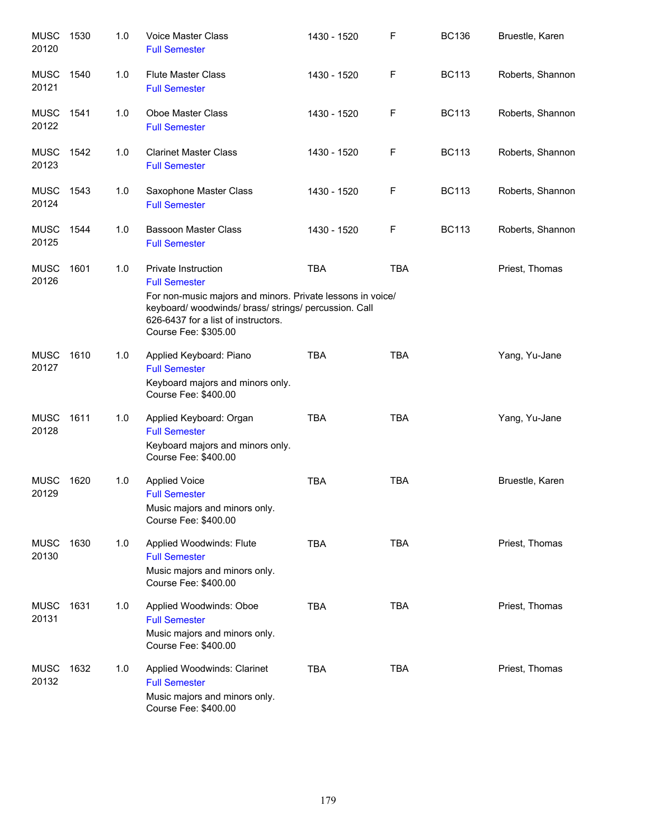| <b>MUSC</b><br>20120 | 1530 | 1.0 | Voice Master Class<br><b>Full Semester</b>                                                                                                                                                                                    | 1430 - 1520 | F          | <b>BC136</b> | Bruestle, Karen  |
|----------------------|------|-----|-------------------------------------------------------------------------------------------------------------------------------------------------------------------------------------------------------------------------------|-------------|------------|--------------|------------------|
| <b>MUSC</b><br>20121 | 1540 | 1.0 | <b>Flute Master Class</b><br><b>Full Semester</b>                                                                                                                                                                             | 1430 - 1520 | F          | <b>BC113</b> | Roberts, Shannon |
| <b>MUSC</b><br>20122 | 1541 | 1.0 | Oboe Master Class<br><b>Full Semester</b>                                                                                                                                                                                     | 1430 - 1520 | F          | <b>BC113</b> | Roberts, Shannon |
| <b>MUSC</b><br>20123 | 1542 | 1.0 | <b>Clarinet Master Class</b><br><b>Full Semester</b>                                                                                                                                                                          | 1430 - 1520 | F          | <b>BC113</b> | Roberts, Shannon |
| <b>MUSC</b><br>20124 | 1543 | 1.0 | Saxophone Master Class<br><b>Full Semester</b>                                                                                                                                                                                | 1430 - 1520 | F          | <b>BC113</b> | Roberts, Shannon |
| <b>MUSC</b><br>20125 | 1544 | 1.0 | <b>Bassoon Master Class</b><br><b>Full Semester</b>                                                                                                                                                                           | 1430 - 1520 | F          | <b>BC113</b> | Roberts, Shannon |
| <b>MUSC</b><br>20126 | 1601 | 1.0 | Private Instruction<br><b>Full Semester</b><br>For non-music majors and minors. Private lessons in voice/<br>keyboard/woodwinds/brass/strings/percussion. Call<br>626-6437 for a list of instructors.<br>Course Fee: \$305.00 | <b>TBA</b>  | <b>TBA</b> |              | Priest, Thomas   |
| <b>MUSC</b><br>20127 | 1610 | 1.0 | Applied Keyboard: Piano<br><b>Full Semester</b><br>Keyboard majors and minors only.<br>Course Fee: \$400.00                                                                                                                   | <b>TBA</b>  | <b>TBA</b> |              | Yang, Yu-Jane    |
| <b>MUSC</b><br>20128 | 1611 | 1.0 | Applied Keyboard: Organ<br><b>Full Semester</b><br>Keyboard majors and minors only.<br>Course Fee: \$400.00                                                                                                                   | <b>TBA</b>  | <b>TBA</b> |              | Yang, Yu-Jane    |
| <b>MUSC</b><br>20129 | 1620 | 1.0 | <b>Applied Voice</b><br><b>Full Semester</b><br>Music majors and minors only.<br>Course Fee: \$400.00                                                                                                                         | <b>TBA</b>  | <b>TBA</b> |              | Bruestle, Karen  |
| <b>MUSC</b><br>20130 | 1630 | 1.0 | Applied Woodwinds: Flute<br><b>Full Semester</b><br>Music majors and minors only.<br>Course Fee: \$400.00                                                                                                                     | <b>TBA</b>  | <b>TBA</b> |              | Priest, Thomas   |
| <b>MUSC</b><br>20131 | 1631 | 1.0 | Applied Woodwinds: Oboe<br><b>Full Semester</b><br>Music majors and minors only.<br>Course Fee: \$400.00                                                                                                                      | <b>TBA</b>  | <b>TBA</b> |              | Priest, Thomas   |
| <b>MUSC</b><br>20132 | 1632 | 1.0 | Applied Woodwinds: Clarinet<br><b>Full Semester</b><br>Music majors and minors only.<br>Course Fee: \$400.00                                                                                                                  | <b>TBA</b>  | <b>TBA</b> |              | Priest, Thomas   |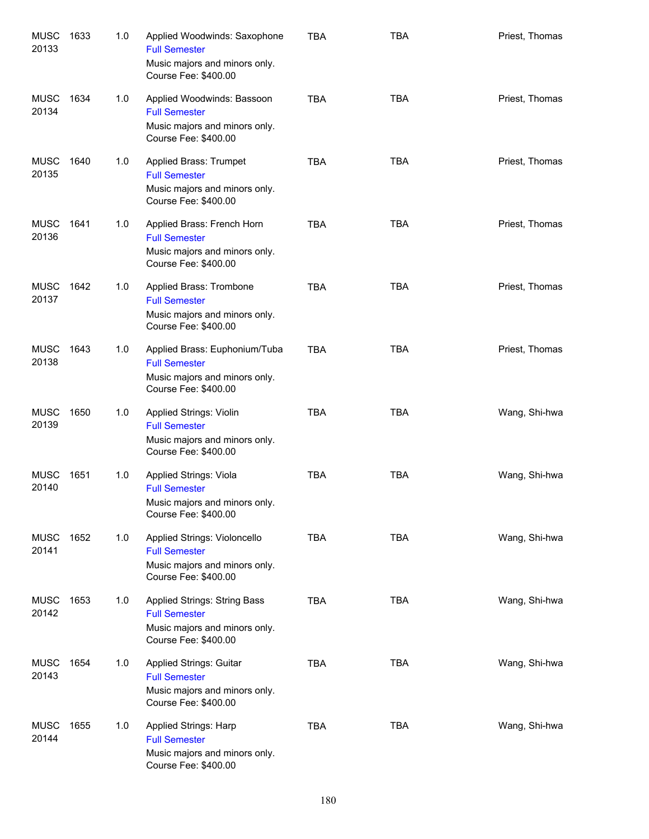| <b>MUSC</b><br>20133 | 1633 | 1.0 | Applied Woodwinds: Saxophone<br><b>Full Semester</b><br>Music majors and minors only.<br>Course Fee: \$400.00   | <b>TBA</b> | <b>TBA</b> | Priest, Thomas |
|----------------------|------|-----|-----------------------------------------------------------------------------------------------------------------|------------|------------|----------------|
| <b>MUSC</b><br>20134 | 1634 | 1.0 | Applied Woodwinds: Bassoon<br><b>Full Semester</b><br>Music majors and minors only.<br>Course Fee: \$400.00     | <b>TBA</b> | <b>TBA</b> | Priest, Thomas |
| <b>MUSC</b><br>20135 | 1640 | 1.0 | Applied Brass: Trumpet<br><b>Full Semester</b><br>Music majors and minors only.<br>Course Fee: \$400.00         | <b>TBA</b> | <b>TBA</b> | Priest, Thomas |
| <b>MUSC</b><br>20136 | 1641 | 1.0 | Applied Brass: French Horn<br><b>Full Semester</b><br>Music majors and minors only.<br>Course Fee: \$400.00     | <b>TBA</b> | <b>TBA</b> | Priest, Thomas |
| <b>MUSC</b><br>20137 | 1642 | 1.0 | Applied Brass: Trombone<br><b>Full Semester</b><br>Music majors and minors only.<br>Course Fee: \$400.00        | <b>TBA</b> | <b>TBA</b> | Priest, Thomas |
| <b>MUSC</b><br>20138 | 1643 | 1.0 | Applied Brass: Euphonium/Tuba<br><b>Full Semester</b><br>Music majors and minors only.<br>Course Fee: \$400.00  | <b>TBA</b> | <b>TBA</b> | Priest, Thomas |
| <b>MUSC</b><br>20139 | 1650 | 1.0 | <b>Applied Strings: Violin</b><br><b>Full Semester</b><br>Music majors and minors only.<br>Course Fee: \$400.00 | <b>TBA</b> | <b>TBA</b> | Wang, Shi-hwa  |
| <b>MUSC</b><br>20140 | 1651 | 1.0 | Applied Strings: Viola<br><b>Full Semester</b><br>Music majors and minors only.<br>Course Fee: \$400.00         | <b>TBA</b> | <b>TBA</b> | Wang, Shi-hwa  |
| <b>MUSC</b><br>20141 | 1652 | 1.0 | Applied Strings: Violoncello<br><b>Full Semester</b><br>Music majors and minors only.<br>Course Fee: \$400.00   | <b>TBA</b> | <b>TBA</b> | Wang, Shi-hwa  |
| <b>MUSC</b><br>20142 | 1653 | 1.0 | Applied Strings: String Bass<br><b>Full Semester</b><br>Music majors and minors only.<br>Course Fee: \$400.00   | <b>TBA</b> | <b>TBA</b> | Wang, Shi-hwa  |
| <b>MUSC</b><br>20143 | 1654 | 1.0 | Applied Strings: Guitar<br><b>Full Semester</b><br>Music majors and minors only.<br>Course Fee: \$400.00        | <b>TBA</b> | <b>TBA</b> | Wang, Shi-hwa  |
| <b>MUSC</b><br>20144 | 1655 | 1.0 | Applied Strings: Harp<br><b>Full Semester</b><br>Music majors and minors only.<br>Course Fee: \$400.00          | <b>TBA</b> | <b>TBA</b> | Wang, Shi-hwa  |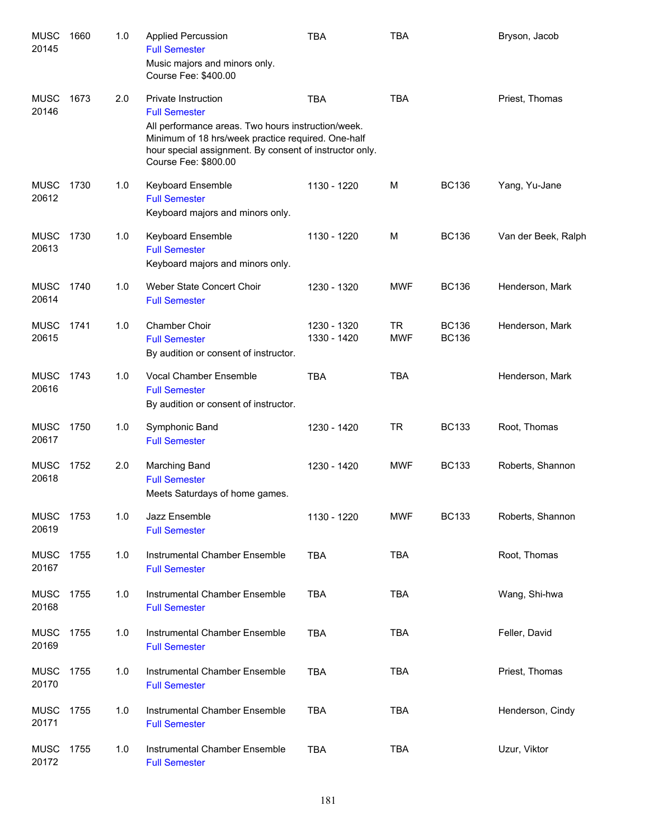| <b>MUSC</b><br>20145 | 1660 | 1.0 | <b>Applied Percussion</b><br><b>Full Semester</b><br>Music majors and minors only.<br>Course Fee: \$400.00                                                                                                                                        | <b>TBA</b>                 | <b>TBA</b>              |                              | Bryson, Jacob       |
|----------------------|------|-----|---------------------------------------------------------------------------------------------------------------------------------------------------------------------------------------------------------------------------------------------------|----------------------------|-------------------------|------------------------------|---------------------|
| <b>MUSC</b><br>20146 | 1673 | 2.0 | <b>Private Instruction</b><br><b>Full Semester</b><br>All performance areas. Two hours instruction/week.<br>Minimum of 18 hrs/week practice required. One-half<br>hour special assignment. By consent of instructor only.<br>Course Fee: \$800.00 | <b>TBA</b>                 | <b>TBA</b>              |                              | Priest, Thomas      |
| <b>MUSC</b><br>20612 | 1730 | 1.0 | Keyboard Ensemble<br><b>Full Semester</b><br>Keyboard majors and minors only.                                                                                                                                                                     | 1130 - 1220                | M                       | <b>BC136</b>                 | Yang, Yu-Jane       |
| <b>MUSC</b><br>20613 | 1730 | 1.0 | Keyboard Ensemble<br><b>Full Semester</b><br>Keyboard majors and minors only.                                                                                                                                                                     | 1130 - 1220                | M                       | <b>BC136</b>                 | Van der Beek, Ralph |
| <b>MUSC</b><br>20614 | 1740 | 1.0 | Weber State Concert Choir<br><b>Full Semester</b>                                                                                                                                                                                                 | 1230 - 1320                | <b>MWF</b>              | <b>BC136</b>                 | Henderson, Mark     |
| <b>MUSC</b><br>20615 | 1741 | 1.0 | Chamber Choir<br><b>Full Semester</b><br>By audition or consent of instructor.                                                                                                                                                                    | 1230 - 1320<br>1330 - 1420 | <b>TR</b><br><b>MWF</b> | <b>BC136</b><br><b>BC136</b> | Henderson, Mark     |
| <b>MUSC</b><br>20616 | 1743 | 1.0 | Vocal Chamber Ensemble<br><b>Full Semester</b><br>By audition or consent of instructor.                                                                                                                                                           | <b>TBA</b>                 | <b>TBA</b>              |                              | Henderson, Mark     |
| <b>MUSC</b><br>20617 | 1750 | 1.0 | Symphonic Band<br><b>Full Semester</b>                                                                                                                                                                                                            | 1230 - 1420                | <b>TR</b>               | <b>BC133</b>                 | Root, Thomas        |
| <b>MUSC</b><br>20618 | 1752 | 2.0 | Marching Band<br><b>Full Semester</b><br>Meets Saturdays of home games.                                                                                                                                                                           | 1230 - 1420                | <b>MWF</b>              | <b>BC133</b>                 | Roberts, Shannon    |
| <b>MUSC</b><br>20619 | 1753 | 1.0 | Jazz Ensemble<br><b>Full Semester</b>                                                                                                                                                                                                             | 1130 - 1220                | <b>MWF</b>              | <b>BC133</b>                 | Roberts, Shannon    |
| <b>MUSC</b><br>20167 | 1755 | 1.0 | Instrumental Chamber Ensemble<br><b>Full Semester</b>                                                                                                                                                                                             | <b>TBA</b>                 | <b>TBA</b>              |                              | Root, Thomas        |
| <b>MUSC</b><br>20168 | 1755 | 1.0 | Instrumental Chamber Ensemble<br><b>Full Semester</b>                                                                                                                                                                                             | <b>TBA</b>                 | <b>TBA</b>              |                              | Wang, Shi-hwa       |
| <b>MUSC</b><br>20169 | 1755 | 1.0 | Instrumental Chamber Ensemble<br><b>Full Semester</b>                                                                                                                                                                                             | <b>TBA</b>                 | <b>TBA</b>              |                              | Feller, David       |
| <b>MUSC</b><br>20170 | 1755 | 1.0 | Instrumental Chamber Ensemble<br><b>Full Semester</b>                                                                                                                                                                                             | <b>TBA</b>                 | <b>TBA</b>              |                              | Priest, Thomas      |
| <b>MUSC</b><br>20171 | 1755 | 1.0 | Instrumental Chamber Ensemble<br><b>Full Semester</b>                                                                                                                                                                                             | <b>TBA</b>                 | <b>TBA</b>              |                              | Henderson, Cindy    |
| <b>MUSC</b><br>20172 | 1755 | 1.0 | Instrumental Chamber Ensemble<br><b>Full Semester</b>                                                                                                                                                                                             | <b>TBA</b>                 | <b>TBA</b>              |                              | Uzur, Viktor        |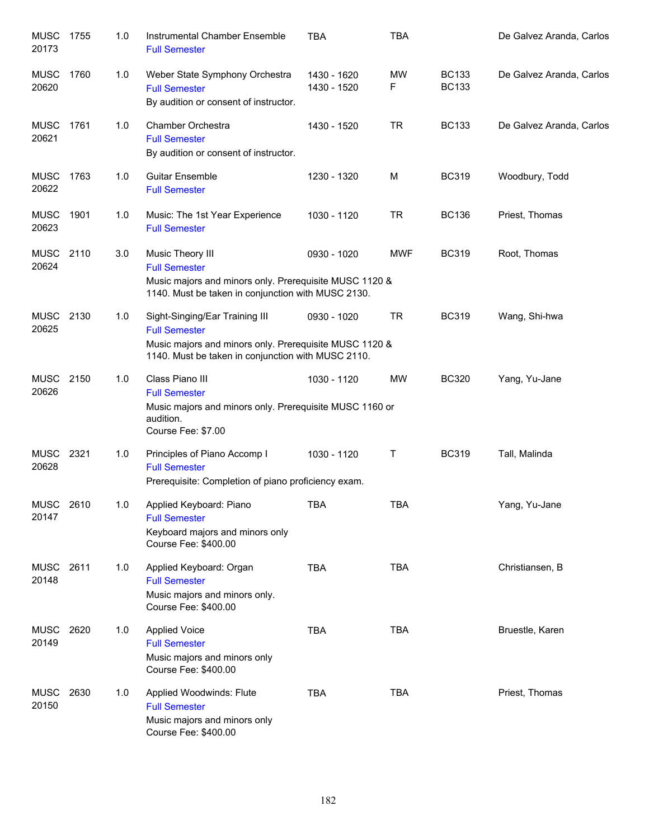| <b>MUSC</b><br>20173 | 1755 | 1.0 | Instrumental Chamber Ensemble<br><b>Full Semester</b>                                                                                                                  | <b>TBA</b>                 | <b>TBA</b>     |                              | De Galvez Aranda, Carlos |
|----------------------|------|-----|------------------------------------------------------------------------------------------------------------------------------------------------------------------------|----------------------------|----------------|------------------------------|--------------------------|
| <b>MUSC</b><br>20620 | 1760 | 1.0 | Weber State Symphony Orchestra<br><b>Full Semester</b><br>By audition or consent of instructor.                                                                        | 1430 - 1620<br>1430 - 1520 | <b>MW</b><br>F | <b>BC133</b><br><b>BC133</b> | De Galvez Aranda, Carlos |
| <b>MUSC</b><br>20621 | 1761 | 1.0 | <b>Chamber Orchestra</b><br><b>Full Semester</b><br>By audition or consent of instructor.                                                                              | 1430 - 1520                | <b>TR</b>      | <b>BC133</b>                 | De Galvez Aranda, Carlos |
| <b>MUSC</b><br>20622 | 1763 | 1.0 | <b>Guitar Ensemble</b><br><b>Full Semester</b>                                                                                                                         | 1230 - 1320                | М              | <b>BC319</b>                 | Woodbury, Todd           |
| <b>MUSC</b><br>20623 | 1901 | 1.0 | Music: The 1st Year Experience<br><b>Full Semester</b>                                                                                                                 | 1030 - 1120                | <b>TR</b>      | <b>BC136</b>                 | Priest, Thomas           |
| <b>MUSC</b><br>20624 | 2110 | 3.0 | Music Theory III<br><b>Full Semester</b><br>Music majors and minors only. Prerequisite MUSC 1120 &<br>1140. Must be taken in conjunction with MUSC 2130.               | 0930 - 1020                | <b>MWF</b>     | <b>BC319</b>                 | Root, Thomas             |
| MUSC<br>20625        | 2130 | 1.0 | Sight-Singing/Ear Training III<br><b>Full Semester</b><br>Music majors and minors only. Prerequisite MUSC 1120 &<br>1140. Must be taken in conjunction with MUSC 2110. | 0930 - 1020                | <b>TR</b>      | <b>BC319</b>                 | Wang, Shi-hwa            |
| <b>MUSC</b><br>20626 | 2150 | 1.0 | Class Piano III<br><b>Full Semester</b><br>Music majors and minors only. Prerequisite MUSC 1160 or<br>audition.<br>Course Fee: \$7.00                                  | 1030 - 1120                | <b>MW</b>      | <b>BC320</b>                 | Yang, Yu-Jane            |
| <b>MUSC</b><br>20628 | 2321 | 1.0 | Principles of Piano Accomp I<br><b>Full Semester</b><br>Prerequisite: Completion of piano proficiency exam.                                                            | 1030 - 1120                | Т              | <b>BC319</b>                 | Tall, Malinda            |
| MUSC 2610<br>20147   |      | 1.0 | Applied Keyboard: Piano<br><b>Full Semester</b><br>Keyboard majors and minors only<br>Course Fee: \$400.00                                                             | <b>TBA</b>                 | <b>TBA</b>     |                              | Yang, Yu-Jane            |
| MUSC<br>20148        | 2611 | 1.0 | Applied Keyboard: Organ<br><b>Full Semester</b><br>Music majors and minors only.<br>Course Fee: \$400.00                                                               | <b>TBA</b>                 | <b>TBA</b>     |                              | Christiansen, B          |
| MUSC<br>20149        | 2620 | 1.0 | <b>Applied Voice</b><br><b>Full Semester</b><br>Music majors and minors only<br>Course Fee: \$400.00                                                                   | TBA                        | <b>TBA</b>     |                              | Bruestle, Karen          |
| <b>MUSC</b><br>20150 | 2630 | 1.0 | Applied Woodwinds: Flute<br><b>Full Semester</b><br>Music majors and minors only<br>Course Fee: \$400.00                                                               | <b>TBA</b>                 | <b>TBA</b>     |                              | Priest, Thomas           |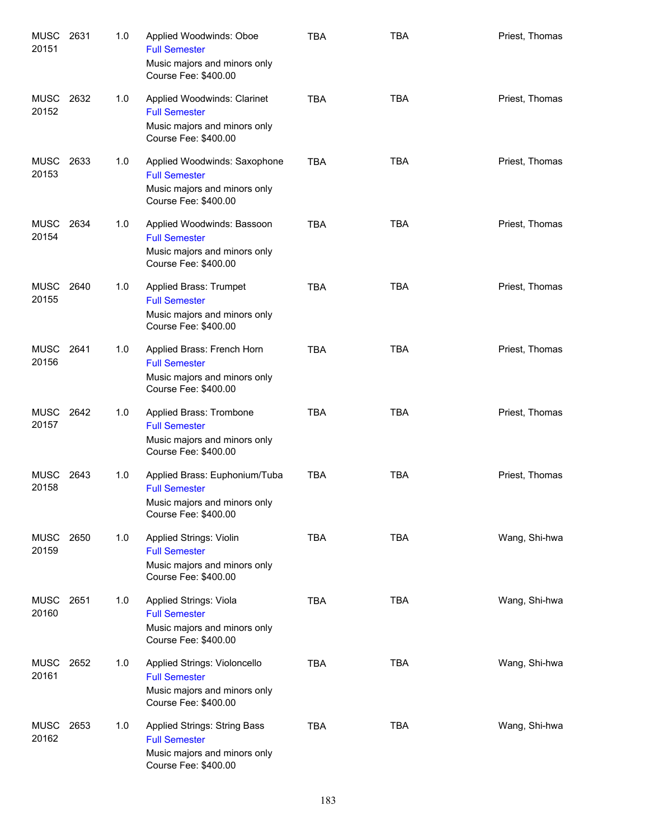| <b>MUSC</b><br>20151 | 2631 | 1.0 | Applied Woodwinds: Oboe<br><b>Full Semester</b><br>Music majors and minors only<br>Course Fee: \$400.00       | <b>TBA</b> | <b>TBA</b> | Priest, Thomas |
|----------------------|------|-----|---------------------------------------------------------------------------------------------------------------|------------|------------|----------------|
| <b>MUSC</b><br>20152 | 2632 | 1.0 | Applied Woodwinds: Clarinet<br><b>Full Semester</b><br>Music majors and minors only<br>Course Fee: \$400.00   | <b>TBA</b> | <b>TBA</b> | Priest, Thomas |
| <b>MUSC</b><br>20153 | 2633 | 1.0 | Applied Woodwinds: Saxophone<br><b>Full Semester</b><br>Music majors and minors only<br>Course Fee: \$400.00  | <b>TBA</b> | <b>TBA</b> | Priest, Thomas |
| MUSC<br>20154        | 2634 | 1.0 | Applied Woodwinds: Bassoon<br><b>Full Semester</b><br>Music majors and minors only<br>Course Fee: \$400.00    | <b>TBA</b> | <b>TBA</b> | Priest, Thomas |
| <b>MUSC</b><br>20155 | 2640 | 1.0 | Applied Brass: Trumpet<br><b>Full Semester</b><br>Music majors and minors only<br>Course Fee: \$400.00        | <b>TBA</b> | <b>TBA</b> | Priest, Thomas |
| <b>MUSC</b><br>20156 | 2641 | 1.0 | Applied Brass: French Horn<br><b>Full Semester</b><br>Music majors and minors only<br>Course Fee: \$400.00    | <b>TBA</b> | <b>TBA</b> | Priest, Thomas |
| MUSC<br>20157        | 2642 | 1.0 | Applied Brass: Trombone<br><b>Full Semester</b><br>Music majors and minors only<br>Course Fee: \$400.00       | <b>TBA</b> | <b>TBA</b> | Priest, Thomas |
| MUSC<br>20158        | 2643 | 1.0 | Applied Brass: Euphonium/Tuba<br><b>Full Semester</b><br>Music majors and minors only<br>Course Fee: \$400.00 | <b>TBA</b> | <b>TBA</b> | Priest, Thomas |
| <b>MUSC</b><br>20159 | 2650 | 1.0 | Applied Strings: Violin<br><b>Full Semester</b><br>Music majors and minors only<br>Course Fee: \$400.00       | <b>TBA</b> | <b>TBA</b> | Wang, Shi-hwa  |
| <b>MUSC</b><br>20160 | 2651 | 1.0 | Applied Strings: Viola<br><b>Full Semester</b><br>Music majors and minors only<br>Course Fee: \$400.00        | <b>TBA</b> | <b>TBA</b> | Wang, Shi-hwa  |
| <b>MUSC</b><br>20161 | 2652 | 1.0 | Applied Strings: Violoncello<br><b>Full Semester</b><br>Music majors and minors only<br>Course Fee: \$400.00  | <b>TBA</b> | <b>TBA</b> | Wang, Shi-hwa  |
| MUSC<br>20162        | 2653 | 1.0 | Applied Strings: String Bass<br><b>Full Semester</b><br>Music majors and minors only<br>Course Fee: \$400.00  | <b>TBA</b> | <b>TBA</b> | Wang, Shi-hwa  |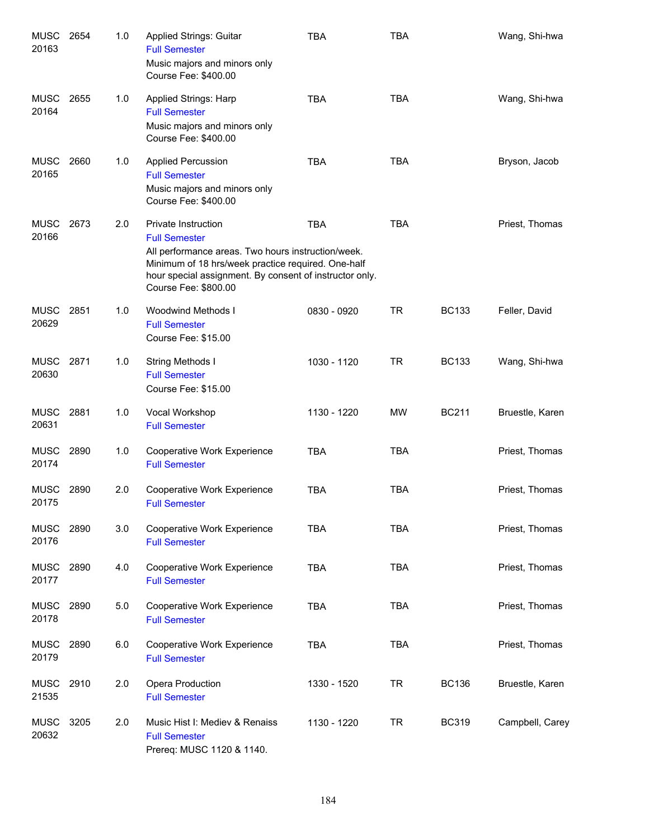| MUSC<br>20163        | 2654 | 1.0 | Applied Strings: Guitar<br><b>Full Semester</b><br>Music majors and minors only<br>Course Fee: \$400.00                                                                                                                                    | TBA         | <b>TBA</b> |              | Wang, Shi-hwa   |
|----------------------|------|-----|--------------------------------------------------------------------------------------------------------------------------------------------------------------------------------------------------------------------------------------------|-------------|------------|--------------|-----------------|
| <b>MUSC</b><br>20164 | 2655 | 1.0 | Applied Strings: Harp<br><b>Full Semester</b><br>Music majors and minors only<br>Course Fee: \$400.00                                                                                                                                      | <b>TBA</b>  | <b>TBA</b> |              | Wang, Shi-hwa   |
| <b>MUSC</b><br>20165 | 2660 | 1.0 | <b>Applied Percussion</b><br><b>Full Semester</b><br>Music majors and minors only<br>Course Fee: \$400.00                                                                                                                                  | <b>TBA</b>  | <b>TBA</b> |              | Bryson, Jacob   |
| <b>MUSC</b><br>20166 | 2673 | 2.0 | Private Instruction<br><b>Full Semester</b><br>All performance areas. Two hours instruction/week.<br>Minimum of 18 hrs/week practice required. One-half<br>hour special assignment. By consent of instructor only.<br>Course Fee: \$800.00 | <b>TBA</b>  | <b>TBA</b> |              | Priest, Thomas  |
| MUSC<br>20629        | 2851 | 1.0 | Woodwind Methods I<br><b>Full Semester</b><br>Course Fee: \$15.00                                                                                                                                                                          | 0830 - 0920 | <b>TR</b>  | <b>BC133</b> | Feller, David   |
| <b>MUSC</b><br>20630 | 2871 | 1.0 | String Methods I<br><b>Full Semester</b><br>Course Fee: \$15.00                                                                                                                                                                            | 1030 - 1120 | <b>TR</b>  | <b>BC133</b> | Wang, Shi-hwa   |
| MUSC 2881<br>20631   |      | 1.0 | Vocal Workshop<br><b>Full Semester</b>                                                                                                                                                                                                     | 1130 - 1220 | MW         | <b>BC211</b> | Bruestle, Karen |
| <b>MUSC</b><br>20174 | 2890 | 1.0 | Cooperative Work Experience<br><b>Full Semester</b>                                                                                                                                                                                        | <b>TBA</b>  | <b>TBA</b> |              | Priest, Thomas  |
| <b>MUSC</b><br>20175 | 2890 | 2.0 | Cooperative Work Experience<br><b>Full Semester</b>                                                                                                                                                                                        | <b>TBA</b>  | <b>TBA</b> |              | Priest, Thomas  |
| <b>MUSC</b><br>20176 | 2890 | 3.0 | Cooperative Work Experience<br><b>Full Semester</b>                                                                                                                                                                                        | <b>TBA</b>  | <b>TBA</b> |              | Priest, Thomas  |
| MUSC<br>20177        | 2890 | 4.0 | <b>Cooperative Work Experience</b><br><b>Full Semester</b>                                                                                                                                                                                 | <b>TBA</b>  | <b>TBA</b> |              | Priest, Thomas  |
| MUSC<br>20178        | 2890 | 5.0 | Cooperative Work Experience<br><b>Full Semester</b>                                                                                                                                                                                        | <b>TBA</b>  | <b>TBA</b> |              | Priest, Thomas  |
| MUSC<br>20179        | 2890 | 6.0 | Cooperative Work Experience<br><b>Full Semester</b>                                                                                                                                                                                        | <b>TBA</b>  | <b>TBA</b> |              | Priest, Thomas  |
| <b>MUSC</b><br>21535 | 2910 | 2.0 | Opera Production<br><b>Full Semester</b>                                                                                                                                                                                                   | 1330 - 1520 | <b>TR</b>  | <b>BC136</b> | Bruestle, Karen |
| <b>MUSC</b><br>20632 | 3205 | 2.0 | Music Hist I: Mediev & Renaiss<br><b>Full Semester</b><br>Prereq: MUSC 1120 & 1140.                                                                                                                                                        | 1130 - 1220 | TR         | <b>BC319</b> | Campbell, Carey |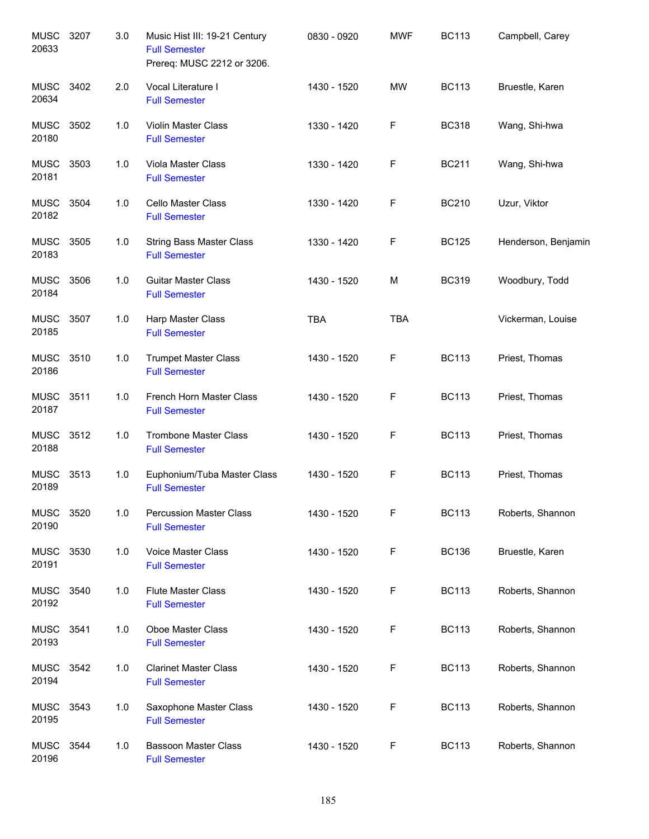| <b>MUSC</b><br>20633 | 3207 | 3.0 | Music Hist III: 19-21 Century<br><b>Full Semester</b><br>Prereq: MUSC 2212 or 3206. | 0830 - 0920 | <b>MWF</b> | <b>BC113</b> | Campbell, Carey     |
|----------------------|------|-----|-------------------------------------------------------------------------------------|-------------|------------|--------------|---------------------|
| <b>MUSC</b><br>20634 | 3402 | 2.0 | Vocal Literature I<br><b>Full Semester</b>                                          | 1430 - 1520 | <b>MW</b>  | <b>BC113</b> | Bruestle, Karen     |
| <b>MUSC</b><br>20180 | 3502 | 1.0 | Violin Master Class<br><b>Full Semester</b>                                         | 1330 - 1420 | F          | <b>BC318</b> | Wang, Shi-hwa       |
| <b>MUSC</b><br>20181 | 3503 | 1.0 | Viola Master Class<br><b>Full Semester</b>                                          | 1330 - 1420 | F          | <b>BC211</b> | Wang, Shi-hwa       |
| <b>MUSC</b><br>20182 | 3504 | 1.0 | Cello Master Class<br><b>Full Semester</b>                                          | 1330 - 1420 | F          | <b>BC210</b> | Uzur, Viktor        |
| <b>MUSC</b><br>20183 | 3505 | 1.0 | <b>String Bass Master Class</b><br><b>Full Semester</b>                             | 1330 - 1420 | F          | <b>BC125</b> | Henderson, Benjamin |
| <b>MUSC</b><br>20184 | 3506 | 1.0 | <b>Guitar Master Class</b><br><b>Full Semester</b>                                  | 1430 - 1520 | M          | <b>BC319</b> | Woodbury, Todd      |
| <b>MUSC</b><br>20185 | 3507 | 1.0 | Harp Master Class<br><b>Full Semester</b>                                           | <b>TBA</b>  | <b>TBA</b> |              | Vickerman, Louise   |
| <b>MUSC</b><br>20186 | 3510 | 1.0 | <b>Trumpet Master Class</b><br><b>Full Semester</b>                                 | 1430 - 1520 | F          | <b>BC113</b> | Priest, Thomas      |
| <b>MUSC</b><br>20187 | 3511 | 1.0 | French Horn Master Class<br><b>Full Semester</b>                                    | 1430 - 1520 | F          | <b>BC113</b> | Priest, Thomas      |
| <b>MUSC</b><br>20188 | 3512 | 1.0 | <b>Trombone Master Class</b><br><b>Full Semester</b>                                | 1430 - 1520 | F          | <b>BC113</b> | Priest, Thomas      |
| <b>MUSC</b><br>20189 | 3513 | 1.0 | Euphonium/Tuba Master Class<br><b>Full Semester</b>                                 | 1430 - 1520 | F          | <b>BC113</b> | Priest, Thomas      |
| <b>MUSC</b><br>20190 | 3520 | 1.0 | <b>Percussion Master Class</b><br><b>Full Semester</b>                              | 1430 - 1520 | F          | <b>BC113</b> | Roberts, Shannon    |
| <b>MUSC</b><br>20191 | 3530 | 1.0 | Voice Master Class<br><b>Full Semester</b>                                          | 1430 - 1520 | F          | <b>BC136</b> | Bruestle, Karen     |
| <b>MUSC</b><br>20192 | 3540 | 1.0 | Flute Master Class<br><b>Full Semester</b>                                          | 1430 - 1520 | F          | <b>BC113</b> | Roberts, Shannon    |
| <b>MUSC</b><br>20193 | 3541 | 1.0 | <b>Oboe Master Class</b><br><b>Full Semester</b>                                    | 1430 - 1520 | F          | <b>BC113</b> | Roberts, Shannon    |
| <b>MUSC</b><br>20194 | 3542 | 1.0 | <b>Clarinet Master Class</b><br><b>Full Semester</b>                                | 1430 - 1520 | F          | <b>BC113</b> | Roberts, Shannon    |
| <b>MUSC</b><br>20195 | 3543 | 1.0 | Saxophone Master Class<br><b>Full Semester</b>                                      | 1430 - 1520 | F          | <b>BC113</b> | Roberts, Shannon    |
| <b>MUSC</b><br>20196 | 3544 | 1.0 | <b>Bassoon Master Class</b><br><b>Full Semester</b>                                 | 1430 - 1520 | F          | <b>BC113</b> | Roberts, Shannon    |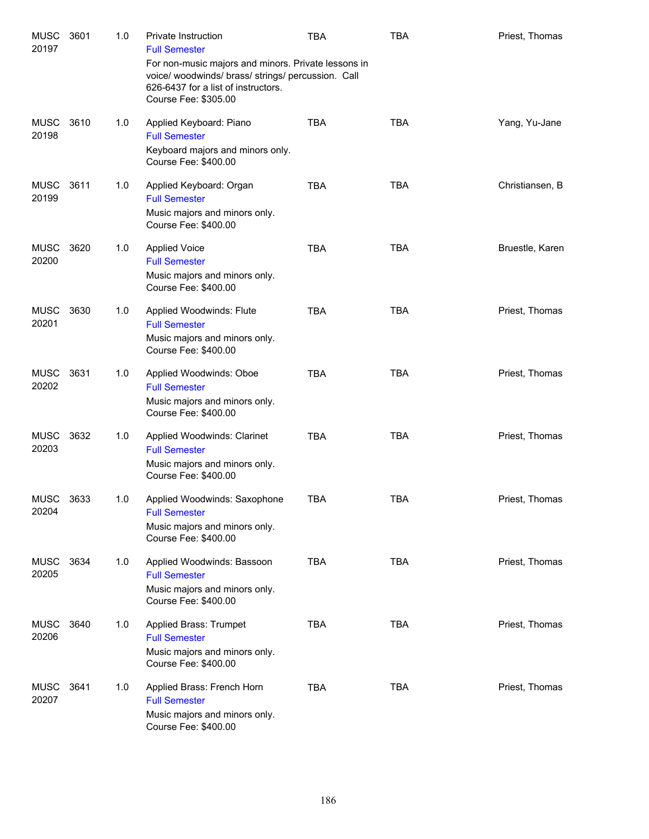| <b>MUSC</b><br>20197 | 3601 | 1.0 | <b>Private Instruction</b><br><b>Full Semester</b><br>For non-music majors and minors. Private lessons in<br>voice/ woodwinds/ brass/ strings/ percussion. Call<br>626-6437 for a list of instructors.<br>Course Fee: \$305.00 | <b>TBA</b> | <b>TBA</b> | Priest, Thomas  |
|----------------------|------|-----|--------------------------------------------------------------------------------------------------------------------------------------------------------------------------------------------------------------------------------|------------|------------|-----------------|
| <b>MUSC</b><br>20198 | 3610 | 1.0 | Applied Keyboard: Piano<br><b>Full Semester</b><br>Keyboard majors and minors only.<br>Course Fee: \$400.00                                                                                                                    | <b>TBA</b> | <b>TBA</b> | Yang, Yu-Jane   |
| <b>MUSC</b><br>20199 | 3611 | 1.0 | Applied Keyboard: Organ<br><b>Full Semester</b><br>Music majors and minors only.<br>Course Fee: \$400.00                                                                                                                       | <b>TBA</b> | <b>TBA</b> | Christiansen, B |
| <b>MUSC</b><br>20200 | 3620 | 1.0 | <b>Applied Voice</b><br><b>Full Semester</b><br>Music majors and minors only.<br>Course Fee: \$400.00                                                                                                                          | <b>TBA</b> | <b>TBA</b> | Bruestle, Karen |
| <b>MUSC</b><br>20201 | 3630 | 1.0 | Applied Woodwinds: Flute<br><b>Full Semester</b><br>Music majors and minors only.<br>Course Fee: \$400.00                                                                                                                      | <b>TBA</b> | <b>TBA</b> | Priest, Thomas  |
| <b>MUSC</b><br>20202 | 3631 | 1.0 | Applied Woodwinds: Oboe<br><b>Full Semester</b><br>Music majors and minors only.<br>Course Fee: \$400.00                                                                                                                       | <b>TBA</b> | <b>TBA</b> | Priest, Thomas  |
| MUSC<br>20203        | 3632 | 1.0 | Applied Woodwinds: Clarinet<br><b>Full Semester</b><br>Music majors and minors only.<br>Course Fee: \$400.00                                                                                                                   | <b>TBA</b> | <b>TBA</b> | Priest, Thomas  |
| <b>MUSC</b><br>20204 | 3633 | 1.0 | Applied Woodwinds: Saxophone<br><b>Full Semester</b><br>Music majors and minors only.<br>Course Fee: \$400.00                                                                                                                  | TBA        | <b>TBA</b> | Priest, Thomas  |
| <b>MUSC</b><br>20205 | 3634 | 1.0 | Applied Woodwinds: Bassoon<br><b>Full Semester</b><br>Music majors and minors only.<br>Course Fee: \$400.00                                                                                                                    | <b>TBA</b> | <b>TBA</b> | Priest, Thomas  |
| MUSC<br>20206        | 3640 | 1.0 | Applied Brass: Trumpet<br><b>Full Semester</b><br>Music majors and minors only.<br>Course Fee: \$400.00                                                                                                                        | <b>TBA</b> | <b>TBA</b> | Priest, Thomas  |
| MUSC<br>20207        | 3641 | 1.0 | Applied Brass: French Horn<br><b>Full Semester</b><br>Music majors and minors only.<br>Course Fee: \$400.00                                                                                                                    | <b>TBA</b> | <b>TBA</b> | Priest, Thomas  |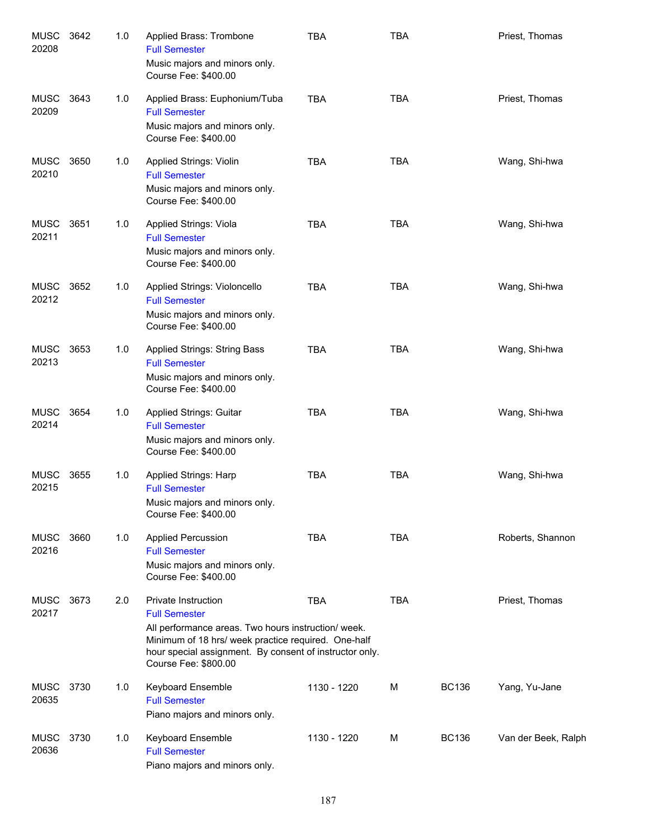| <b>MUSC</b><br>20208 | 3642 | 1.0 | Applied Brass: Trombone<br><b>Full Semester</b><br>Music majors and minors only.<br>Course Fee: \$400.00                                                                                                                                     | <b>TBA</b>  | <b>TBA</b> |              | Priest, Thomas      |
|----------------------|------|-----|----------------------------------------------------------------------------------------------------------------------------------------------------------------------------------------------------------------------------------------------|-------------|------------|--------------|---------------------|
| <b>MUSC</b><br>20209 | 3643 | 1.0 | Applied Brass: Euphonium/Tuba<br><b>Full Semester</b><br>Music majors and minors only.<br>Course Fee: \$400.00                                                                                                                               | <b>TBA</b>  | <b>TBA</b> |              | Priest, Thomas      |
| <b>MUSC</b><br>20210 | 3650 | 1.0 | Applied Strings: Violin<br><b>Full Semester</b><br>Music majors and minors only.<br>Course Fee: \$400.00                                                                                                                                     | <b>TBA</b>  | <b>TBA</b> |              | Wang, Shi-hwa       |
| <b>MUSC</b><br>20211 | 3651 | 1.0 | Applied Strings: Viola<br><b>Full Semester</b><br>Music majors and minors only.<br>Course Fee: \$400.00                                                                                                                                      | <b>TBA</b>  | <b>TBA</b> |              | Wang, Shi-hwa       |
| MUSC<br>20212        | 3652 | 1.0 | Applied Strings: Violoncello<br><b>Full Semester</b><br>Music majors and minors only.<br>Course Fee: \$400.00                                                                                                                                | <b>TBA</b>  | <b>TBA</b> |              | Wang, Shi-hwa       |
| <b>MUSC</b><br>20213 | 3653 | 1.0 | Applied Strings: String Bass<br><b>Full Semester</b><br>Music majors and minors only.<br>Course Fee: \$400.00                                                                                                                                | <b>TBA</b>  | <b>TBA</b> |              | Wang, Shi-hwa       |
| <b>MUSC</b><br>20214 | 3654 | 1.0 | <b>Applied Strings: Guitar</b><br><b>Full Semester</b><br>Music majors and minors only.<br>Course Fee: \$400.00                                                                                                                              | <b>TBA</b>  | <b>TBA</b> |              | Wang, Shi-hwa       |
| <b>MUSC</b><br>20215 | 3655 | 1.0 | Applied Strings: Harp<br><b>Full Semester</b><br>Music majors and minors only.<br>Course Fee: \$400.00                                                                                                                                       | <b>TBA</b>  | <b>TBA</b> |              | Wang, Shi-hwa       |
| MUSC<br>20216        | 3660 | 1.0 | <b>Applied Percussion</b><br><b>Full Semester</b><br>Music majors and minors only.<br>Course Fee: \$400.00                                                                                                                                   | <b>TBA</b>  | <b>TBA</b> |              | Roberts, Shannon    |
| <b>MUSC</b><br>20217 | 3673 | 2.0 | Private Instruction<br><b>Full Semester</b><br>All performance areas. Two hours instruction/ week.<br>Minimum of 18 hrs/ week practice required. One-half<br>hour special assignment. By consent of instructor only.<br>Course Fee: \$800.00 | <b>TBA</b>  | <b>TBA</b> |              | Priest, Thomas      |
| <b>MUSC</b><br>20635 | 3730 | 1.0 | Keyboard Ensemble<br><b>Full Semester</b><br>Piano majors and minors only.                                                                                                                                                                   | 1130 - 1220 | м          | <b>BC136</b> | Yang, Yu-Jane       |
| <b>MUSC</b><br>20636 | 3730 | 1.0 | Keyboard Ensemble<br><b>Full Semester</b><br>Piano majors and minors only.                                                                                                                                                                   | 1130 - 1220 | м          | <b>BC136</b> | Van der Beek, Ralph |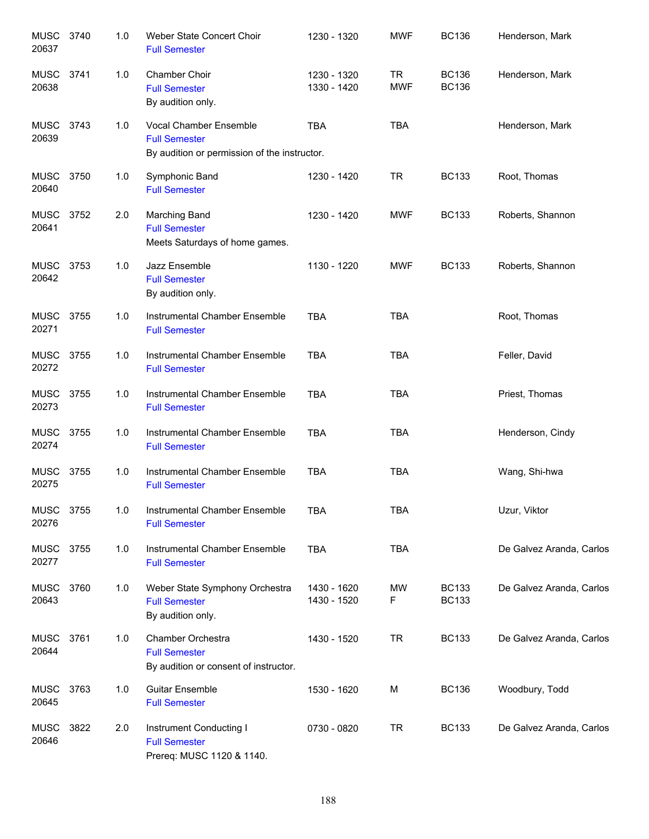| <b>MUSC</b><br>20637 | 3740 | 1.0 | Weber State Concert Choir<br><b>Full Semester</b>                                              | 1230 - 1320                | <b>MWF</b>              | <b>BC136</b>                 | Henderson, Mark          |
|----------------------|------|-----|------------------------------------------------------------------------------------------------|----------------------------|-------------------------|------------------------------|--------------------------|
| <b>MUSC</b><br>20638 | 3741 | 1.0 | Chamber Choir<br><b>Full Semester</b><br>By audition only.                                     | 1230 - 1320<br>1330 - 1420 | <b>TR</b><br><b>MWF</b> | <b>BC136</b><br><b>BC136</b> | Henderson, Mark          |
| MUSC<br>20639        | 3743 | 1.0 | Vocal Chamber Ensemble<br><b>Full Semester</b><br>By audition or permission of the instructor. | <b>TBA</b>                 | <b>TBA</b>              |                              | Henderson, Mark          |
| MUSC<br>20640        | 3750 | 1.0 | Symphonic Band<br><b>Full Semester</b>                                                         | 1230 - 1420                | <b>TR</b>               | <b>BC133</b>                 | Root, Thomas             |
| <b>MUSC</b><br>20641 | 3752 | 2.0 | Marching Band<br><b>Full Semester</b><br>Meets Saturdays of home games.                        | 1230 - 1420                | <b>MWF</b>              | <b>BC133</b>                 | Roberts, Shannon         |
| MUSC<br>20642        | 3753 | 1.0 | Jazz Ensemble<br><b>Full Semester</b><br>By audition only.                                     | 1130 - 1220                | <b>MWF</b>              | <b>BC133</b>                 | Roberts, Shannon         |
| MUSC<br>20271        | 3755 | 1.0 | Instrumental Chamber Ensemble<br><b>Full Semester</b>                                          | <b>TBA</b>                 | <b>TBA</b>              |                              | Root, Thomas             |
| MUSC<br>20272        | 3755 | 1.0 | Instrumental Chamber Ensemble<br><b>Full Semester</b>                                          | <b>TBA</b>                 | <b>TBA</b>              |                              | Feller, David            |
| <b>MUSC</b><br>20273 | 3755 | 1.0 | Instrumental Chamber Ensemble<br><b>Full Semester</b>                                          | <b>TBA</b>                 | <b>TBA</b>              |                              | Priest, Thomas           |
| <b>MUSC</b><br>20274 | 3755 | 1.0 | Instrumental Chamber Ensemble<br><b>Full Semester</b>                                          | <b>TBA</b>                 | <b>TBA</b>              |                              | Henderson, Cindy         |
| <b>MUSC</b><br>20275 | 3755 | 1.0 | Instrumental Chamber Ensemble<br><b>Full Semester</b>                                          | <b>TBA</b>                 | <b>TBA</b>              |                              | Wang, Shi-hwa            |
| MUSC<br>20276        | 3755 | 1.0 | Instrumental Chamber Ensemble<br><b>Full Semester</b>                                          | <b>TBA</b>                 | TBA                     |                              | Uzur, Viktor             |
| MUSC<br>20277        | 3755 | 1.0 | Instrumental Chamber Ensemble<br><b>Full Semester</b>                                          | <b>TBA</b>                 | <b>TBA</b>              |                              | De Galvez Aranda, Carlos |
| <b>MUSC</b><br>20643 | 3760 | 1.0 | Weber State Symphony Orchestra<br><b>Full Semester</b><br>By audition only.                    | 1430 - 1620<br>1430 - 1520 | <b>MW</b><br>F          | <b>BC133</b><br><b>BC133</b> | De Galvez Aranda, Carlos |
| MUSC<br>20644        | 3761 | 1.0 | Chamber Orchestra<br><b>Full Semester</b><br>By audition or consent of instructor.             | 1430 - 1520                | <b>TR</b>               | <b>BC133</b>                 | De Galvez Aranda, Carlos |
| MUSC<br>20645        | 3763 | 1.0 | <b>Guitar Ensemble</b><br><b>Full Semester</b>                                                 | 1530 - 1620                | М                       | <b>BC136</b>                 | Woodbury, Todd           |
| MUSC<br>20646        | 3822 | 2.0 | Instrument Conducting I<br><b>Full Semester</b><br>Prereq: MUSC 1120 & 1140.                   | 0730 - 0820                | <b>TR</b>               | <b>BC133</b>                 | De Galvez Aranda, Carlos |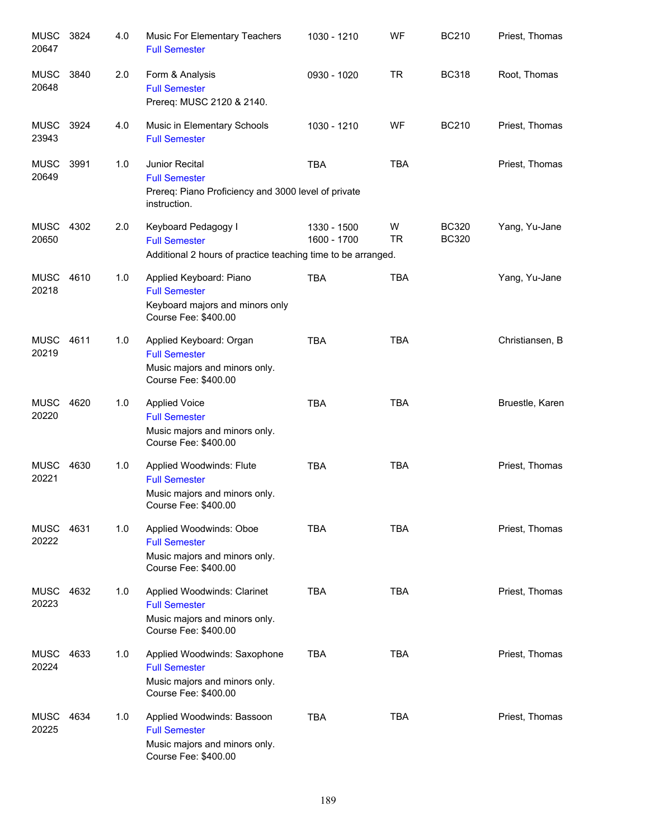| <b>MUSC</b><br>20647 | 3824 | 4.0 | Music For Elementary Teachers<br><b>Full Semester</b>                                                         | 1030 - 1210                | WF             | <b>BC210</b>                 | Priest, Thomas  |
|----------------------|------|-----|---------------------------------------------------------------------------------------------------------------|----------------------------|----------------|------------------------------|-----------------|
| MUSC<br>20648        | 3840 | 2.0 | Form & Analysis<br><b>Full Semester</b><br>Prereq: MUSC 2120 & 2140.                                          | 0930 - 1020                | <b>TR</b>      | <b>BC318</b>                 | Root, Thomas    |
| MUSC<br>23943        | 3924 | 4.0 | Music in Elementary Schools<br><b>Full Semester</b>                                                           | 1030 - 1210                | WF             | <b>BC210</b>                 | Priest, Thomas  |
| <b>MUSC</b><br>20649 | 3991 | 1.0 | Junior Recital<br><b>Full Semester</b><br>Prereq: Piano Proficiency and 3000 level of private<br>instruction. | <b>TBA</b>                 | <b>TBA</b>     |                              | Priest, Thomas  |
| MUSC<br>20650        | 4302 | 2.0 | Keyboard Pedagogy I<br><b>Full Semester</b><br>Additional 2 hours of practice teaching time to be arranged.   | 1330 - 1500<br>1600 - 1700 | W<br><b>TR</b> | <b>BC320</b><br><b>BC320</b> | Yang, Yu-Jane   |
| MUSC<br>20218        | 4610 | 1.0 | Applied Keyboard: Piano<br><b>Full Semester</b><br>Keyboard majors and minors only<br>Course Fee: \$400.00    | <b>TBA</b>                 | <b>TBA</b>     |                              | Yang, Yu-Jane   |
| <b>MUSC</b><br>20219 | 4611 | 1.0 | Applied Keyboard: Organ<br><b>Full Semester</b><br>Music majors and minors only.<br>Course Fee: \$400.00      | <b>TBA</b>                 | <b>TBA</b>     |                              | Christiansen, B |
| <b>MUSC</b><br>20220 | 4620 | 1.0 | <b>Applied Voice</b><br><b>Full Semester</b><br>Music majors and minors only.<br>Course Fee: \$400.00         | <b>TBA</b>                 | <b>TBA</b>     |                              | Bruestle, Karen |
| <b>MUSC</b><br>20221 | 4630 | 1.0 | Applied Woodwinds: Flute<br><b>Full Semester</b><br>Music majors and minors only.<br>Course Fee: \$400.00     | <b>TBA</b>                 | <b>TBA</b>     |                              | Priest, Thomas  |
| MUSC<br>20222        | 4631 | 1.0 | Applied Woodwinds: Oboe<br><b>Full Semester</b><br>Music majors and minors only.<br>Course Fee: \$400.00      | TBA                        | <b>TBA</b>     |                              | Priest, Thomas  |
| <b>MUSC</b><br>20223 | 4632 | 1.0 | Applied Woodwinds: Clarinet<br><b>Full Semester</b><br>Music majors and minors only.<br>Course Fee: \$400.00  | <b>TBA</b>                 | <b>TBA</b>     |                              | Priest, Thomas  |
| <b>MUSC</b><br>20224 | 4633 | 1.0 | Applied Woodwinds: Saxophone<br><b>Full Semester</b><br>Music majors and minors only.<br>Course Fee: \$400.00 | <b>TBA</b>                 | <b>TBA</b>     |                              | Priest, Thomas  |
| <b>MUSC</b><br>20225 | 4634 | 1.0 | Applied Woodwinds: Bassoon<br><b>Full Semester</b><br>Music majors and minors only.<br>Course Fee: \$400.00   | <b>TBA</b>                 | <b>TBA</b>     |                              | Priest, Thomas  |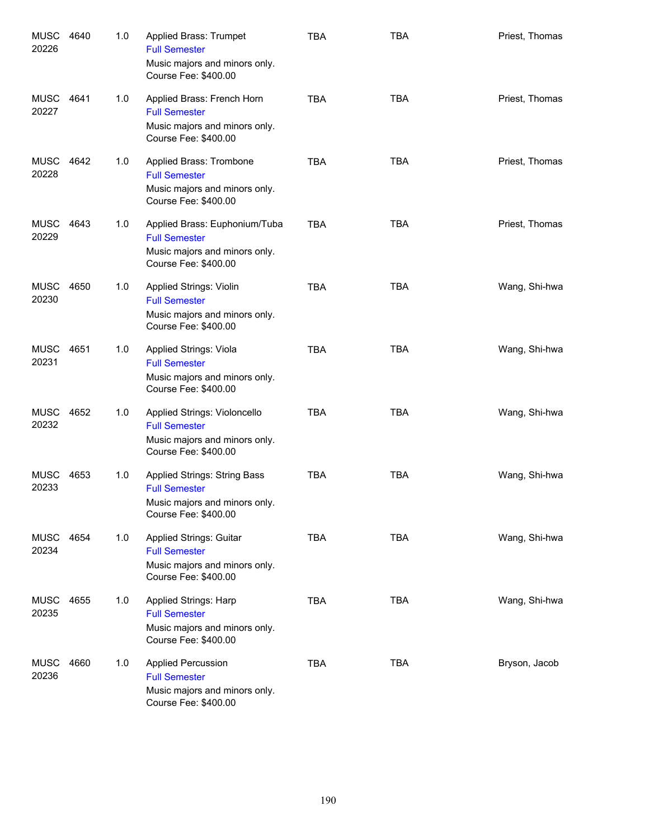| MUSC<br>20226        | 4640 | 1.0 | Applied Brass: Trumpet<br><b>Full Semester</b><br>Music majors and minors only.<br>Course Fee: \$400.00        | <b>TBA</b> | <b>TBA</b> | Priest, Thomas |
|----------------------|------|-----|----------------------------------------------------------------------------------------------------------------|------------|------------|----------------|
| MUSC 4641<br>20227   |      | 1.0 | Applied Brass: French Horn<br><b>Full Semester</b><br>Music majors and minors only.<br>Course Fee: \$400.00    | <b>TBA</b> | <b>TBA</b> | Priest, Thomas |
| MUSC<br>20228        | 4642 | 1.0 | Applied Brass: Trombone<br><b>Full Semester</b><br>Music majors and minors only.<br>Course Fee: \$400.00       | <b>TBA</b> | <b>TBA</b> | Priest, Thomas |
| MUSC<br>20229        | 4643 | 1.0 | Applied Brass: Euphonium/Tuba<br><b>Full Semester</b><br>Music majors and minors only.<br>Course Fee: \$400.00 | <b>TBA</b> | <b>TBA</b> | Priest, Thomas |
| <b>MUSC</b><br>20230 | 4650 | 1.0 | Applied Strings: Violin<br><b>Full Semester</b><br>Music majors and minors only.<br>Course Fee: \$400.00       | <b>TBA</b> | <b>TBA</b> | Wang, Shi-hwa  |
| <b>MUSC</b><br>20231 | 4651 | 1.0 | Applied Strings: Viola<br><b>Full Semester</b><br>Music majors and minors only.<br>Course Fee: \$400.00        | <b>TBA</b> | <b>TBA</b> | Wang, Shi-hwa  |
| MUSC<br>20232        | 4652 | 1.0 | Applied Strings: Violoncello<br><b>Full Semester</b><br>Music majors and minors only.<br>Course Fee: \$400.00  | <b>TBA</b> | <b>TBA</b> | Wang, Shi-hwa  |
| MUSC<br>20233        | 4653 | 1.0 | Applied Strings: String Bass<br><b>Full Semester</b><br>Music majors and minors only.<br>Course Fee: \$400.00  | <b>TBA</b> | <b>TBA</b> | Wang, Shi-hwa  |
| MUSC<br>20234        | 4654 | 1.0 | Applied Strings: Guitar<br><b>Full Semester</b><br>Music majors and minors only.<br>Course Fee: \$400.00       | <b>TBA</b> | <b>TBA</b> | Wang, Shi-hwa  |
| <b>MUSC</b><br>20235 | 4655 | 1.0 | Applied Strings: Harp<br><b>Full Semester</b><br>Music majors and minors only.<br>Course Fee: \$400.00         | <b>TBA</b> | <b>TBA</b> | Wang, Shi-hwa  |
| <b>MUSC</b><br>20236 | 4660 | 1.0 | <b>Applied Percussion</b><br><b>Full Semester</b><br>Music majors and minors only.<br>Course Fee: \$400.00     | <b>TBA</b> | <b>TBA</b> | Bryson, Jacob  |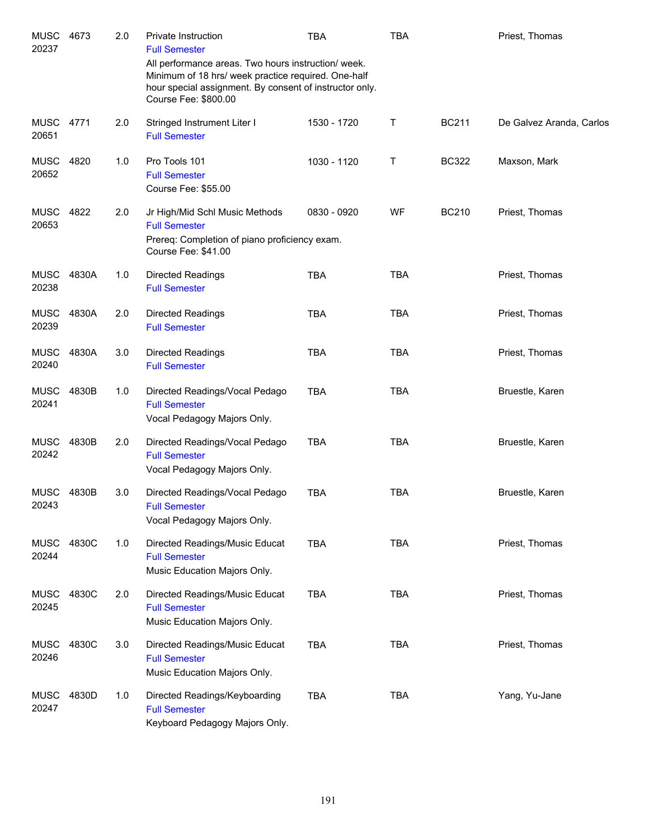| MUSC<br>20237        | 4673  | 2.0 | Private Instruction<br><b>Full Semester</b>                                                                                                                                                  | TBA         | <b>TBA</b> |              | Priest, Thomas           |
|----------------------|-------|-----|----------------------------------------------------------------------------------------------------------------------------------------------------------------------------------------------|-------------|------------|--------------|--------------------------|
|                      |       |     | All performance areas. Two hours instruction/week.<br>Minimum of 18 hrs/ week practice required. One-half<br>hour special assignment. By consent of instructor only.<br>Course Fee: \$800.00 |             |            |              |                          |
| <b>MUSC</b><br>20651 | 4771  | 2.0 | Stringed Instrument Liter I<br><b>Full Semester</b>                                                                                                                                          | 1530 - 1720 | Τ          | <b>BC211</b> | De Galvez Aranda, Carlos |
| <b>MUSC</b><br>20652 | 4820  | 1.0 | Pro Tools 101<br><b>Full Semester</b><br>Course Fee: \$55.00                                                                                                                                 | 1030 - 1120 | Т          | <b>BC322</b> | Maxson, Mark             |
| <b>MUSC</b><br>20653 | 4822  | 2.0 | Jr High/Mid Schl Music Methods<br><b>Full Semester</b><br>Prereq: Completion of piano proficiency exam.<br>Course Fee: \$41.00                                                               | 0830 - 0920 | WF         | <b>BC210</b> | Priest, Thomas           |
| <b>MUSC</b><br>20238 | 4830A | 1.0 | <b>Directed Readings</b><br><b>Full Semester</b>                                                                                                                                             | <b>TBA</b>  | <b>TBA</b> |              | Priest, Thomas           |
| <b>MUSC</b><br>20239 | 4830A | 2.0 | <b>Directed Readings</b><br><b>Full Semester</b>                                                                                                                                             | <b>TBA</b>  | <b>TBA</b> |              | Priest, Thomas           |
| <b>MUSC</b><br>20240 | 4830A | 3.0 | <b>Directed Readings</b><br><b>Full Semester</b>                                                                                                                                             | <b>TBA</b>  | <b>TBA</b> |              | Priest, Thomas           |
| <b>MUSC</b><br>20241 | 4830B | 1.0 | Directed Readings/Vocal Pedago<br><b>Full Semester</b><br>Vocal Pedagogy Majors Only.                                                                                                        | <b>TBA</b>  | <b>TBA</b> |              | Bruestle, Karen          |
| <b>MUSC</b><br>20242 | 4830B | 2.0 | Directed Readings/Vocal Pedago<br><b>Full Semester</b><br>Vocal Pedagogy Majors Only.                                                                                                        | <b>TBA</b>  | <b>TBA</b> |              | Bruestle, Karen          |
| MUSC<br>20243        | 4830B | 3.0 | Directed Readings/Vocal Pedago<br><b>Full Semester</b><br>Vocal Pedagogy Majors Only.                                                                                                        | <b>TBA</b>  | <b>TBA</b> |              | Bruestle, Karen          |
| <b>MUSC</b><br>20244 | 4830C | 1.0 | Directed Readings/Music Educat<br><b>Full Semester</b><br>Music Education Majors Only.                                                                                                       | <b>TBA</b>  | <b>TBA</b> |              | Priest, Thomas           |
| <b>MUSC</b><br>20245 | 4830C | 2.0 | Directed Readings/Music Educat<br><b>Full Semester</b><br>Music Education Majors Only.                                                                                                       | <b>TBA</b>  | <b>TBA</b> |              | Priest, Thomas           |
| MUSC<br>20246        | 4830C | 3.0 | Directed Readings/Music Educat<br><b>Full Semester</b><br>Music Education Majors Only.                                                                                                       | <b>TBA</b>  | <b>TBA</b> |              | Priest, Thomas           |
| MUSC<br>20247        | 4830D | 1.0 | Directed Readings/Keyboarding<br><b>Full Semester</b><br>Keyboard Pedagogy Majors Only.                                                                                                      | <b>TBA</b>  | <b>TBA</b> |              | Yang, Yu-Jane            |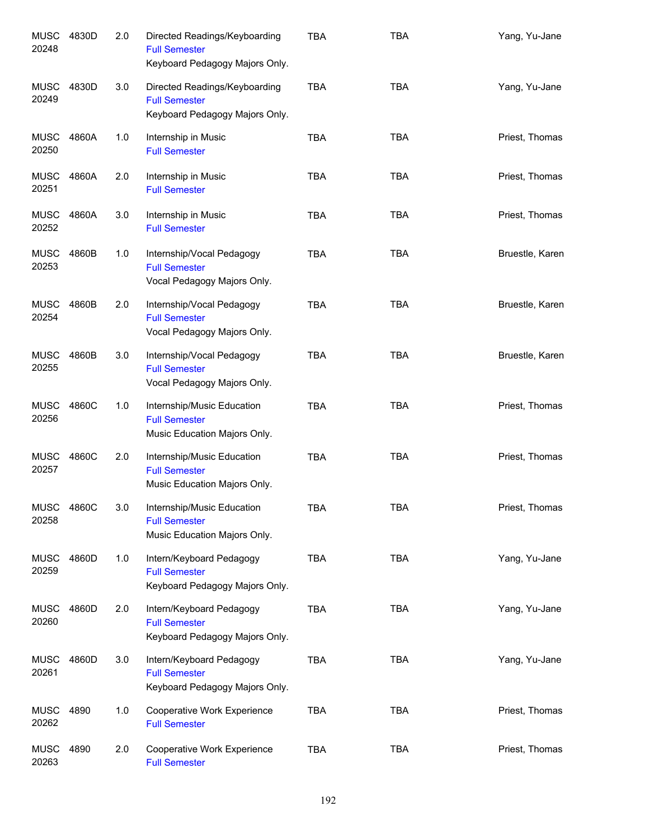| <b>MUSC</b><br>20248 | 4830D | 2.0 | Directed Readings/Keyboarding<br><b>Full Semester</b><br>Keyboard Pedagogy Majors Only. | <b>TBA</b> | <b>TBA</b> | Yang, Yu-Jane   |
|----------------------|-------|-----|-----------------------------------------------------------------------------------------|------------|------------|-----------------|
| MUSC<br>20249        | 4830D | 3.0 | Directed Readings/Keyboarding<br><b>Full Semester</b><br>Keyboard Pedagogy Majors Only. | <b>TBA</b> | <b>TBA</b> | Yang, Yu-Jane   |
| MUSC<br>20250        | 4860A | 1.0 | Internship in Music<br><b>Full Semester</b>                                             | <b>TBA</b> | <b>TBA</b> | Priest, Thomas  |
| MUSC<br>20251        | 4860A | 2.0 | Internship in Music<br><b>Full Semester</b>                                             | <b>TBA</b> | <b>TBA</b> | Priest, Thomas  |
| <b>MUSC</b><br>20252 | 4860A | 3.0 | Internship in Music<br><b>Full Semester</b>                                             | <b>TBA</b> | <b>TBA</b> | Priest, Thomas  |
| <b>MUSC</b><br>20253 | 4860B | 1.0 | Internship/Vocal Pedagogy<br><b>Full Semester</b><br>Vocal Pedagogy Majors Only.        | <b>TBA</b> | <b>TBA</b> | Bruestle, Karen |
| <b>MUSC</b><br>20254 | 4860B | 2.0 | Internship/Vocal Pedagogy<br><b>Full Semester</b><br>Vocal Pedagogy Majors Only.        | <b>TBA</b> | <b>TBA</b> | Bruestle, Karen |
| <b>MUSC</b><br>20255 | 4860B | 3.0 | Internship/Vocal Pedagogy<br><b>Full Semester</b><br>Vocal Pedagogy Majors Only.        | <b>TBA</b> | <b>TBA</b> | Bruestle, Karen |
| <b>MUSC</b><br>20256 | 4860C | 1.0 | Internship/Music Education<br><b>Full Semester</b><br>Music Education Majors Only.      | <b>TBA</b> | <b>TBA</b> | Priest, Thomas  |
| <b>MUSC</b><br>20257 | 4860C | 2.0 | Internship/Music Education<br><b>Full Semester</b><br>Music Education Majors Only.      | <b>TBA</b> | <b>TBA</b> | Priest, Thomas  |
| <b>MUSC</b><br>20258 | 4860C | 3.0 | Internship/Music Education<br><b>Full Semester</b><br>Music Education Majors Only.      | TBA        | TBA        | Priest, Thomas  |
| <b>MUSC</b><br>20259 | 4860D | 1.0 | Intern/Keyboard Pedagogy<br><b>Full Semester</b><br>Keyboard Pedagogy Majors Only.      | TBA        | <b>TBA</b> | Yang, Yu-Jane   |
| <b>MUSC</b><br>20260 | 4860D | 2.0 | Intern/Keyboard Pedagogy<br><b>Full Semester</b><br>Keyboard Pedagogy Majors Only.      | TBA        | <b>TBA</b> | Yang, Yu-Jane   |
| <b>MUSC</b><br>20261 | 4860D | 3.0 | Intern/Keyboard Pedagogy<br><b>Full Semester</b><br>Keyboard Pedagogy Majors Only.      | <b>TBA</b> | <b>TBA</b> | Yang, Yu-Jane   |
| <b>MUSC</b><br>20262 | 4890  | 1.0 | Cooperative Work Experience<br><b>Full Semester</b>                                     | TBA        | <b>TBA</b> | Priest, Thomas  |
| <b>MUSC</b><br>20263 | 4890  | 2.0 | Cooperative Work Experience<br><b>Full Semester</b>                                     | <b>TBA</b> | <b>TBA</b> | Priest, Thomas  |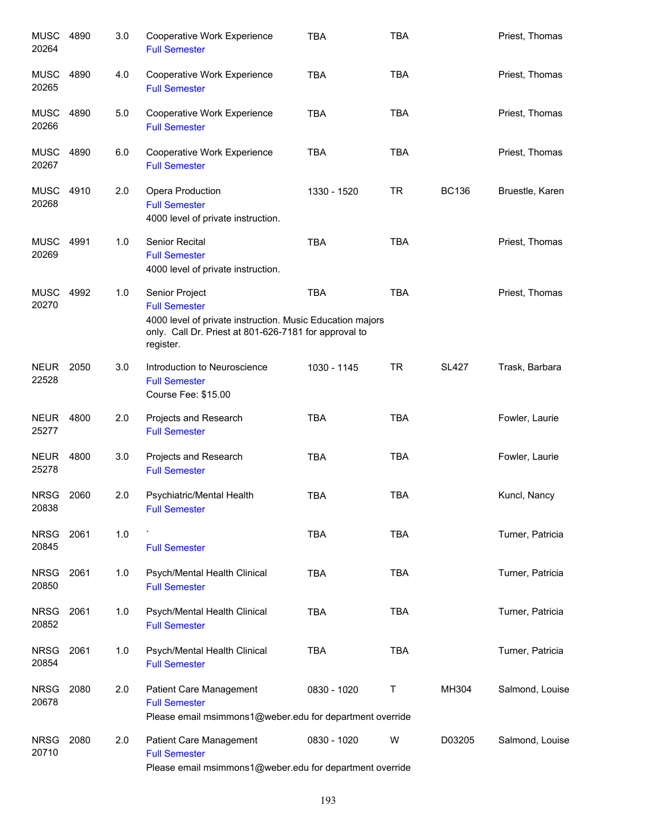| <b>MUSC</b><br>20264 | 4890 | 3.0 | Cooperative Work Experience<br><b>Full Semester</b>                                                                                                                       | <b>TBA</b>  | <b>TBA</b> |              | Priest, Thomas   |
|----------------------|------|-----|---------------------------------------------------------------------------------------------------------------------------------------------------------------------------|-------------|------------|--------------|------------------|
| <b>MUSC</b><br>20265 | 4890 | 4.0 | Cooperative Work Experience<br><b>Full Semester</b>                                                                                                                       | <b>TBA</b>  | <b>TBA</b> |              | Priest, Thomas   |
| <b>MUSC</b><br>20266 | 4890 | 5.0 | Cooperative Work Experience<br><b>Full Semester</b>                                                                                                                       | <b>TBA</b>  | <b>TBA</b> |              | Priest, Thomas   |
| MUSC<br>20267        | 4890 | 6.0 | Cooperative Work Experience<br><b>Full Semester</b>                                                                                                                       | <b>TBA</b>  | <b>TBA</b> |              | Priest, Thomas   |
| <b>MUSC</b><br>20268 | 4910 | 2.0 | Opera Production<br><b>Full Semester</b><br>4000 level of private instruction.                                                                                            | 1330 - 1520 | <b>TR</b>  | <b>BC136</b> | Bruestle, Karen  |
| <b>MUSC</b><br>20269 | 4991 | 1.0 | Senior Recital<br><b>Full Semester</b><br>4000 level of private instruction.                                                                                              | <b>TBA</b>  | <b>TBA</b> |              | Priest, Thomas   |
| <b>MUSC</b><br>20270 | 4992 | 1.0 | Senior Project<br><b>Full Semester</b><br>4000 level of private instruction. Music Education majors<br>only. Call Dr. Priest at 801-626-7181 for approval to<br>register. | <b>TBA</b>  | <b>TBA</b> |              | Priest, Thomas   |
| <b>NEUR</b><br>22528 | 2050 | 3.0 | Introduction to Neuroscience<br><b>Full Semester</b><br>Course Fee: \$15.00                                                                                               | 1030 - 1145 | <b>TR</b>  | <b>SL427</b> | Trask, Barbara   |
| <b>NEUR</b><br>25277 | 4800 | 2.0 | Projects and Research<br><b>Full Semester</b>                                                                                                                             | <b>TBA</b>  | <b>TBA</b> |              | Fowler, Laurie   |
| <b>NEUR</b><br>25278 | 4800 | 3.0 | Projects and Research<br><b>Full Semester</b>                                                                                                                             | <b>TBA</b>  | <b>TBA</b> |              | Fowler, Laurie   |
| NRSG<br>20838        | 2060 | 2.0 | Psychiatric/Mental Health<br><b>Full Semester</b>                                                                                                                         | <b>TBA</b>  | <b>TBA</b> |              | Kuncl, Nancy     |
| <b>NRSG</b><br>20845 | 2061 | 1.0 | <b>Full Semester</b>                                                                                                                                                      | <b>TBA</b>  | <b>TBA</b> |              | Turner, Patricia |
| <b>NRSG</b><br>20850 | 2061 | 1.0 | Psych/Mental Health Clinical<br><b>Full Semester</b>                                                                                                                      | <b>TBA</b>  | <b>TBA</b> |              | Turner, Patricia |
| <b>NRSG</b><br>20852 | 2061 | 1.0 | Psych/Mental Health Clinical<br><b>Full Semester</b>                                                                                                                      | <b>TBA</b>  | <b>TBA</b> |              | Turner, Patricia |
| <b>NRSG</b><br>20854 | 2061 | 1.0 | Psych/Mental Health Clinical<br><b>Full Semester</b>                                                                                                                      | <b>TBA</b>  | <b>TBA</b> |              | Turner, Patricia |
| <b>NRSG</b><br>20678 | 2080 | 2.0 | Patient Care Management<br><b>Full Semester</b><br>Please email msimmons1@weber.edu for department override                                                               | 0830 - 1020 | T          | MH304        | Salmond, Louise  |
| <b>NRSG</b><br>20710 | 2080 | 2.0 | Patient Care Management<br><b>Full Semester</b><br>Please email msimmons1@weber.edu for department override                                                               | 0830 - 1020 | W          | D03205       | Salmond, Louise  |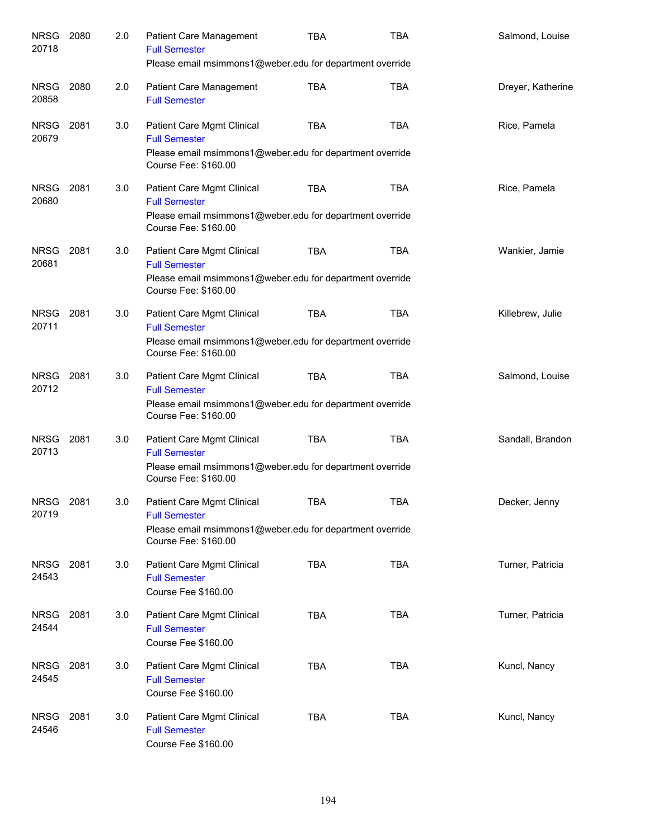| <b>NRSG</b><br>20718 | 2080 | 2.0 | Patient Care Management<br><b>Full Semester</b><br>Please email msimmons1@weber.edu for department override                                   | <b>TBA</b> | <b>TBA</b> | Salmond, Louise   |
|----------------------|------|-----|-----------------------------------------------------------------------------------------------------------------------------------------------|------------|------------|-------------------|
|                      |      |     |                                                                                                                                               |            |            |                   |
| NRSG<br>20858        | 2080 | 2.0 | <b>Patient Care Management</b><br><b>Full Semester</b>                                                                                        | <b>TBA</b> | <b>TBA</b> | Dreyer, Katherine |
| <b>NRSG</b><br>20679 | 2081 | 3.0 | Patient Care Mgmt Clinical<br><b>Full Semester</b><br>Please email msimmons1@weber.edu for department override<br>Course Fee: \$160.00        | <b>TBA</b> | <b>TBA</b> | Rice, Pamela      |
| NRSG<br>20680        | 2081 | 3.0 | Patient Care Mgmt Clinical<br><b>Full Semester</b><br>Please email msimmons1@weber.edu for department override<br>Course Fee: \$160.00        | TBA        | <b>TBA</b> | Rice, Pamela      |
| <b>NRSG</b><br>20681 | 2081 | 3.0 | Patient Care Mgmt Clinical<br><b>Full Semester</b><br>Please email msimmons1@weber.edu for department override<br>Course Fee: \$160.00        | <b>TBA</b> | <b>TBA</b> | Wankier, Jamie    |
| <b>NRSG</b><br>20711 | 2081 | 3.0 | Patient Care Mgmt Clinical<br><b>Full Semester</b><br>Please email msimmons1@weber.edu for department override<br>Course Fee: \$160.00        | <b>TBA</b> | <b>TBA</b> | Killebrew, Julie  |
| <b>NRSG</b><br>20712 | 2081 | 3.0 | Patient Care Mgmt Clinical<br><b>Full Semester</b><br>Please email msimmons1@weber.edu for department override<br>Course Fee: \$160.00        | <b>TBA</b> | <b>TBA</b> | Salmond, Louise   |
| <b>NRSG</b><br>20713 | 2081 | 3.0 | Patient Care Mgmt Clinical<br><b>Full Semester</b><br>Please email msimmons1@weber.edu for department override<br>Course Fee: \$160.00        | <b>TBA</b> | <b>TBA</b> | Sandall, Brandon  |
| NRSG<br>20719        | 2081 | 3.0 | <b>Patient Care Mgmt Clinical</b><br><b>Full Semester</b><br>Please email msimmons1@weber.edu for department override<br>Course Fee: \$160.00 | TBA        | TBA        | Decker, Jenny     |
| <b>NRSG</b><br>24543 | 2081 | 3.0 | Patient Care Mgmt Clinical<br><b>Full Semester</b><br>Course Fee \$160.00                                                                     | <b>TBA</b> | <b>TBA</b> | Turner, Patricia  |
| <b>NRSG</b><br>24544 | 2081 | 3.0 | Patient Care Mgmt Clinical<br><b>Full Semester</b><br>Course Fee \$160.00                                                                     | <b>TBA</b> | <b>TBA</b> | Turner, Patricia  |
| <b>NRSG</b><br>24545 | 2081 | 3.0 | Patient Care Mgmt Clinical<br><b>Full Semester</b><br>Course Fee \$160.00                                                                     | <b>TBA</b> | <b>TBA</b> | Kuncl, Nancy      |
| <b>NRSG</b><br>24546 | 2081 | 3.0 | Patient Care Mgmt Clinical<br><b>Full Semester</b><br>Course Fee \$160.00                                                                     | <b>TBA</b> | <b>TBA</b> | Kuncl, Nancy      |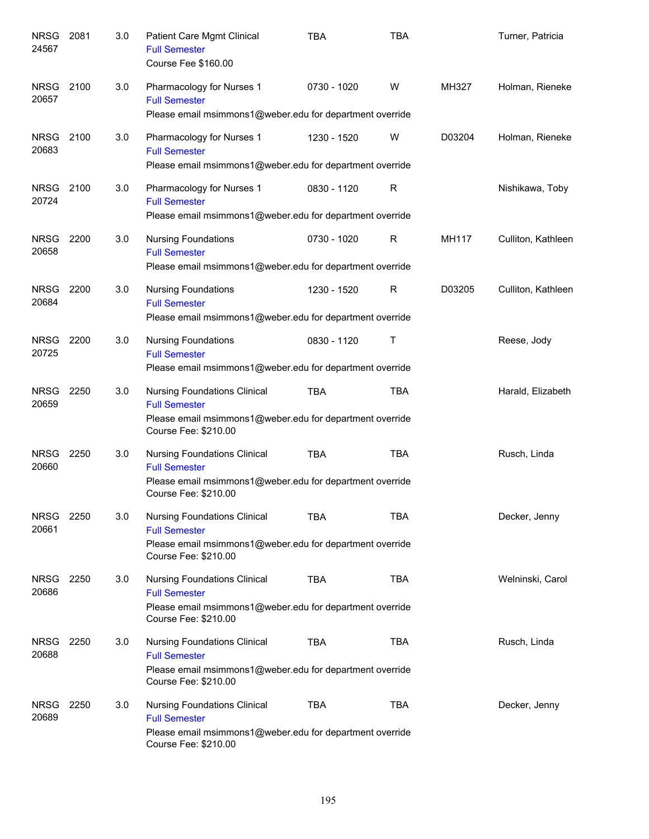| <b>NRSG</b><br>24567 | 2081 | 3.0 | Patient Care Mgmt Clinical<br><b>Full Semester</b><br>Course Fee \$160.00                                                                       | <b>TBA</b>  | <b>TBA</b>  |        | Turner, Patricia   |
|----------------------|------|-----|-------------------------------------------------------------------------------------------------------------------------------------------------|-------------|-------------|--------|--------------------|
| <b>NRSG</b><br>20657 | 2100 | 3.0 | Pharmacology for Nurses 1<br><b>Full Semester</b><br>Please email msimmons1@weber.edu for department override                                   | 0730 - 1020 | W           | MH327  | Holman, Rieneke    |
| <b>NRSG</b><br>20683 | 2100 | 3.0 | Pharmacology for Nurses 1<br><b>Full Semester</b><br>Please email msimmons1@weber.edu for department override                                   | 1230 - 1520 | W           | D03204 | Holman, Rieneke    |
| <b>NRSG</b><br>20724 | 2100 | 3.0 | Pharmacology for Nurses 1<br><b>Full Semester</b><br>Please email msimmons1@weber.edu for department override                                   | 0830 - 1120 | $\mathsf R$ |        | Nishikawa, Toby    |
| <b>NRSG</b><br>20658 | 2200 | 3.0 | <b>Nursing Foundations</b><br><b>Full Semester</b><br>Please email msimmons1@weber.edu for department override                                  | 0730 - 1020 | $\mathsf R$ | MH117  | Culliton, Kathleen |
| <b>NRSG</b><br>20684 | 2200 | 3.0 | <b>Nursing Foundations</b><br><b>Full Semester</b><br>Please email msimmons1@weber.edu for department override                                  | 1230 - 1520 | R           | D03205 | Culliton, Kathleen |
| <b>NRSG</b><br>20725 | 2200 | 3.0 | <b>Nursing Foundations</b><br><b>Full Semester</b><br>Please email msimmons1@weber.edu for department override                                  | 0830 - 1120 | Τ           |        | Reese, Jody        |
| <b>NRSG</b><br>20659 | 2250 | 3.0 | <b>Nursing Foundations Clinical</b><br><b>Full Semester</b><br>Please email msimmons1@weber.edu for department override<br>Course Fee: \$210.00 | <b>TBA</b>  | <b>TBA</b>  |        | Harald, Elizabeth  |
| <b>NRSG</b><br>20660 | 2250 | 3.0 | <b>Nursing Foundations Clinical</b><br><b>Full Semester</b><br>Please email msimmons1@weber.edu for department override<br>Course Fee: \$210.00 | <b>TBA</b>  | <b>TBA</b>  |        | Rusch, Linda       |
| <b>NRSG</b><br>20661 | 2250 | 3.0 | <b>Nursing Foundations Clinical</b><br><b>Full Semester</b><br>Please email msimmons1@weber.edu for department override<br>Course Fee: \$210.00 | <b>TBA</b>  | TBA         |        | Decker, Jenny      |
| <b>NRSG</b><br>20686 | 2250 | 3.0 | <b>Nursing Foundations Clinical</b><br><b>Full Semester</b><br>Please email msimmons1@weber.edu for department override<br>Course Fee: \$210.00 | <b>TBA</b>  | <b>TBA</b>  |        | Welninski, Carol   |
| <b>NRSG</b><br>20688 | 2250 | 3.0 | <b>Nursing Foundations Clinical</b><br><b>Full Semester</b><br>Please email msimmons1@weber.edu for department override<br>Course Fee: \$210.00 | <b>TBA</b>  | TBA         |        | Rusch, Linda       |
| <b>NRSG</b><br>20689 | 2250 | 3.0 | <b>Nursing Foundations Clinical</b><br><b>Full Semester</b><br>Please email msimmons1@weber.edu for department override<br>Course Fee: \$210.00 | <b>TBA</b>  | <b>TBA</b>  |        | Decker, Jenny      |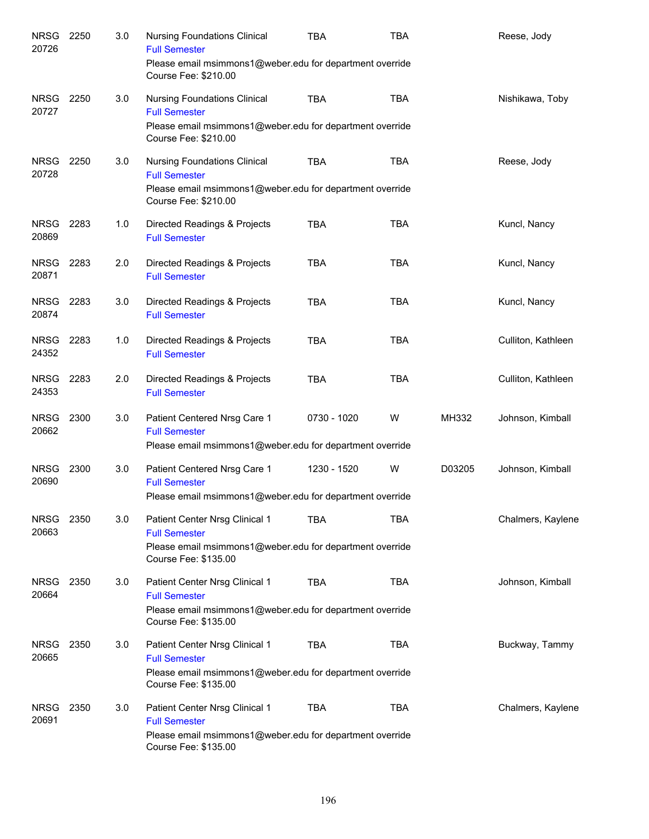| <b>NRSG</b><br>20726 | 2250 | 3.0 | <b>Nursing Foundations Clinical</b><br><b>Full Semester</b><br>Please email msimmons1@weber.edu for department override<br>Course Fee: \$210.00 | <b>TBA</b>  | <b>TBA</b> |        | Reese, Jody        |
|----------------------|------|-----|-------------------------------------------------------------------------------------------------------------------------------------------------|-------------|------------|--------|--------------------|
| <b>NRSG</b><br>20727 | 2250 | 3.0 | <b>Nursing Foundations Clinical</b><br><b>Full Semester</b><br>Please email msimmons1@weber.edu for department override<br>Course Fee: \$210.00 | <b>TBA</b>  | <b>TBA</b> |        | Nishikawa, Toby    |
| <b>NRSG</b><br>20728 | 2250 | 3.0 | <b>Nursing Foundations Clinical</b><br><b>Full Semester</b><br>Please email msimmons1@weber.edu for department override<br>Course Fee: \$210.00 | <b>TBA</b>  | <b>TBA</b> |        | Reese, Jody        |
| <b>NRSG</b><br>20869 | 2283 | 1.0 | Directed Readings & Projects<br><b>Full Semester</b>                                                                                            | <b>TBA</b>  | <b>TBA</b> |        | Kuncl, Nancy       |
| <b>NRSG</b><br>20871 | 2283 | 2.0 | Directed Readings & Projects<br><b>Full Semester</b>                                                                                            | <b>TBA</b>  | <b>TBA</b> |        | Kuncl, Nancy       |
| <b>NRSG</b><br>20874 | 2283 | 3.0 | Directed Readings & Projects<br><b>Full Semester</b>                                                                                            | <b>TBA</b>  | <b>TBA</b> |        | Kuncl, Nancy       |
| <b>NRSG</b><br>24352 | 2283 | 1.0 | Directed Readings & Projects<br><b>Full Semester</b>                                                                                            | <b>TBA</b>  | <b>TBA</b> |        | Culliton, Kathleen |
| <b>NRSG</b><br>24353 | 2283 | 2.0 | Directed Readings & Projects<br><b>Full Semester</b>                                                                                            | <b>TBA</b>  | <b>TBA</b> |        | Culliton, Kathleen |
| <b>NRSG</b><br>20662 | 2300 | 3.0 | Patient Centered Nrsg Care 1<br><b>Full Semester</b><br>Please email msimmons1@weber.edu for department override                                | 0730 - 1020 | W          | MH332  | Johnson, Kimball   |
| <b>NRSG</b><br>20690 | 2300 | 3.0 | Patient Centered Nrsg Care 1<br><b>Full Semester</b><br>Please email msimmons1@weber.edu for department override                                | 1230 - 1520 | W          | D03205 | Johnson, Kimball   |
| NRSG 2350<br>20663   |      | 3.0 | Patient Center Nrsg Clinical 1<br><b>Full Semester</b><br>Please email msimmons1@weber.edu for department override<br>Course Fee: \$135.00      | TBA         | <b>TBA</b> |        | Chalmers, Kaylene  |
| <b>NRSG</b><br>20664 | 2350 | 3.0 | Patient Center Nrsg Clinical 1<br><b>Full Semester</b><br>Please email msimmons1@weber.edu for department override<br>Course Fee: \$135.00      | <b>TBA</b>  | <b>TBA</b> |        | Johnson, Kimball   |
| <b>NRSG</b><br>20665 | 2350 | 3.0 | Patient Center Nrsg Clinical 1<br><b>Full Semester</b><br>Please email msimmons1@weber.edu for department override<br>Course Fee: \$135.00      | <b>TBA</b>  | <b>TBA</b> |        | Buckway, Tammy     |
| <b>NRSG</b><br>20691 | 2350 | 3.0 | Patient Center Nrsg Clinical 1<br><b>Full Semester</b><br>Please email msimmons1@weber.edu for department override<br>Course Fee: \$135.00      | <b>TBA</b>  | TBA        |        | Chalmers, Kaylene  |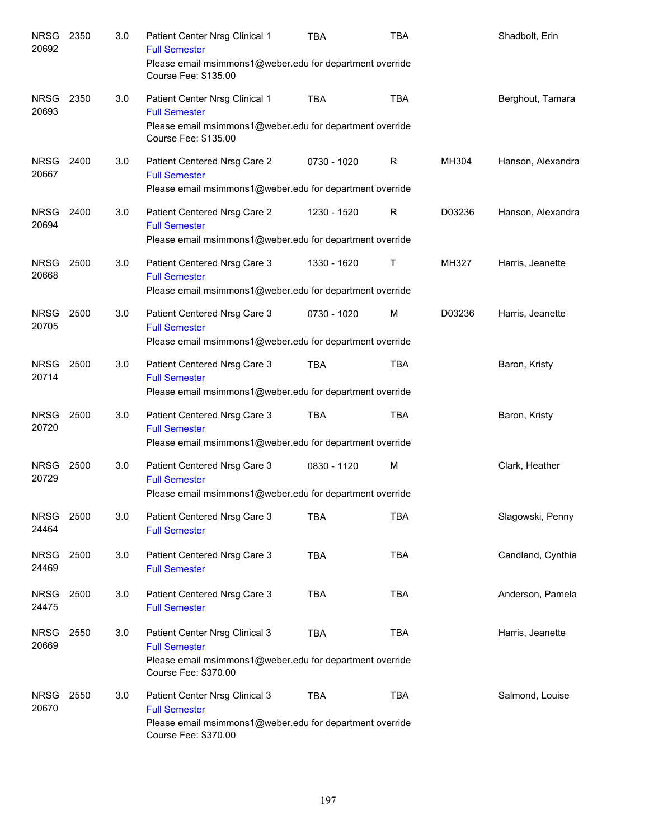| <b>NRSG</b><br>20692 | 2350 | 3.0 | Patient Center Nrsg Clinical 1<br><b>Full Semester</b><br>Please email msimmons1@weber.edu for department override<br>Course Fee: \$135.00 | <b>TBA</b>  | <b>TBA</b>   |        | Shadbolt, Erin    |
|----------------------|------|-----|--------------------------------------------------------------------------------------------------------------------------------------------|-------------|--------------|--------|-------------------|
| <b>NRSG</b><br>20693 | 2350 | 3.0 | Patient Center Nrsg Clinical 1<br><b>Full Semester</b><br>Please email msimmons1@weber.edu for department override<br>Course Fee: \$135.00 | <b>TBA</b>  | <b>TBA</b>   |        | Berghout, Tamara  |
| <b>NRSG</b><br>20667 | 2400 | 3.0 | Patient Centered Nrsg Care 2<br><b>Full Semester</b><br>Please email msimmons1@weber.edu for department override                           | 0730 - 1020 | $\mathsf R$  | MH304  | Hanson, Alexandra |
| <b>NRSG</b><br>20694 | 2400 | 3.0 | Patient Centered Nrsg Care 2<br><b>Full Semester</b><br>Please email msimmons1@weber.edu for department override                           | 1230 - 1520 | $\mathsf{R}$ | D03236 | Hanson, Alexandra |
| <b>NRSG</b><br>20668 | 2500 | 3.0 | Patient Centered Nrsg Care 3<br><b>Full Semester</b><br>Please email msimmons1@weber.edu for department override                           | 1330 - 1620 | Т            | MH327  | Harris, Jeanette  |
| <b>NRSG</b><br>20705 | 2500 | 3.0 | Patient Centered Nrsg Care 3<br><b>Full Semester</b><br>Please email msimmons1@weber.edu for department override                           | 0730 - 1020 | M            | D03236 | Harris, Jeanette  |
| <b>NRSG</b><br>20714 | 2500 | 3.0 | Patient Centered Nrsg Care 3<br><b>Full Semester</b><br>Please email msimmons1@weber.edu for department override                           | <b>TBA</b>  | <b>TBA</b>   |        | Baron, Kristy     |
| <b>NRSG</b><br>20720 | 2500 | 3.0 | Patient Centered Nrsg Care 3<br><b>Full Semester</b><br>Please email msimmons1@weber.edu for department override                           | <b>TBA</b>  | <b>TBA</b>   |        | Baron, Kristy     |
| <b>NRSG</b><br>20729 | 2500 | 3.0 | Patient Centered Nrsg Care 3<br><b>Full Semester</b><br>Please email msimmons1@weber.edu for department override                           | 0830 - 1120 | M            |        | Clark, Heather    |
| <b>NRSG</b><br>24464 | 2500 | 3.0 | Patient Centered Nrsg Care 3<br><b>Full Semester</b>                                                                                       | <b>TBA</b>  | <b>TBA</b>   |        | Slagowski, Penny  |
| <b>NRSG</b><br>24469 | 2500 | 3.0 | Patient Centered Nrsg Care 3<br><b>Full Semester</b>                                                                                       | <b>TBA</b>  | <b>TBA</b>   |        | Candland, Cynthia |
| <b>NRSG</b><br>24475 | 2500 | 3.0 | Patient Centered Nrsg Care 3<br><b>Full Semester</b>                                                                                       | <b>TBA</b>  | <b>TBA</b>   |        | Anderson, Pamela  |
| <b>NRSG</b><br>20669 | 2550 | 3.0 | Patient Center Nrsg Clinical 3<br><b>Full Semester</b><br>Please email msimmons1@weber.edu for department override<br>Course Fee: \$370.00 | <b>TBA</b>  | <b>TBA</b>   |        | Harris, Jeanette  |
| <b>NRSG</b><br>20670 | 2550 | 3.0 | Patient Center Nrsg Clinical 3<br><b>Full Semester</b><br>Please email msimmons1@weber.edu for department override<br>Course Fee: \$370.00 | <b>TBA</b>  | <b>TBA</b>   |        | Salmond, Louise   |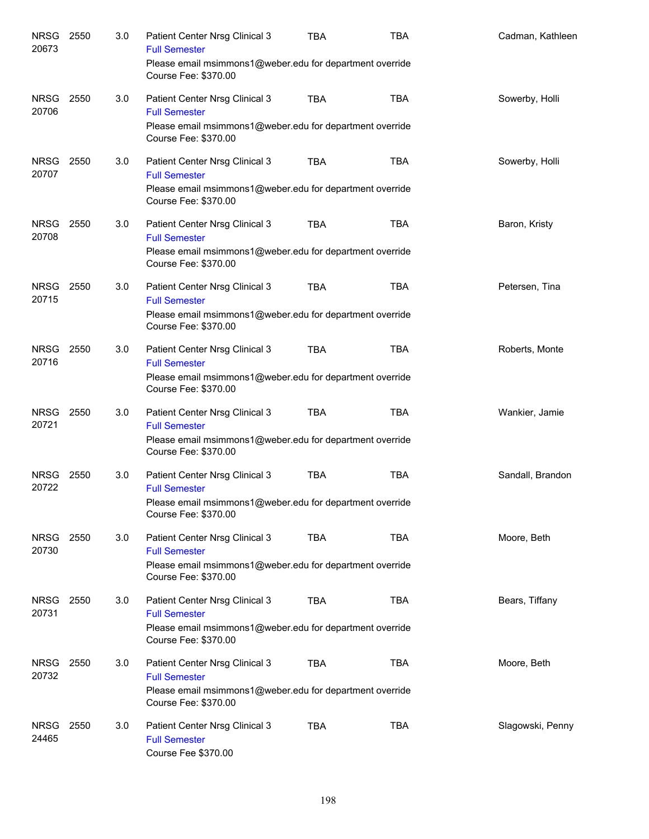| NRSG<br>20673        | 2550 | 3.0 | Patient Center Nrsg Clinical 3<br><b>Full Semester</b>                           | <b>TBA</b> | <b>TBA</b> | Cadman, Kathleen |
|----------------------|------|-----|----------------------------------------------------------------------------------|------------|------------|------------------|
|                      |      |     | Please email msimmons1@weber.edu for department override<br>Course Fee: \$370.00 |            |            |                  |
| <b>NRSG</b><br>20706 | 2550 | 3.0 | Patient Center Nrsg Clinical 3<br><b>Full Semester</b>                           | <b>TBA</b> | <b>TBA</b> | Sowerby, Holli   |
|                      |      |     | Please email msimmons1@weber.edu for department override<br>Course Fee: \$370.00 |            |            |                  |
| NRSG<br>20707        | 2550 | 3.0 | Patient Center Nrsg Clinical 3<br><b>Full Semester</b>                           | <b>TBA</b> | <b>TBA</b> | Sowerby, Holli   |
|                      |      |     | Please email msimmons1@weber.edu for department override<br>Course Fee: \$370.00 |            |            |                  |
| NRSG<br>20708        | 2550 | 3.0 | Patient Center Nrsg Clinical 3<br><b>Full Semester</b>                           | <b>TBA</b> | <b>TBA</b> | Baron, Kristy    |
|                      |      |     | Please email msimmons1@weber.edu for department override<br>Course Fee: \$370.00 |            |            |                  |
| NRSG<br>20715        | 2550 | 3.0 | Patient Center Nrsg Clinical 3<br><b>Full Semester</b>                           | <b>TBA</b> | <b>TBA</b> | Petersen, Tina   |
|                      |      |     | Please email msimmons1@weber.edu for department override<br>Course Fee: \$370.00 |            |            |                  |
| <b>NRSG</b><br>20716 | 2550 | 3.0 | Patient Center Nrsg Clinical 3<br><b>Full Semester</b>                           | <b>TBA</b> | <b>TBA</b> | Roberts, Monte   |
|                      |      |     | Please email msimmons1@weber.edu for department override<br>Course Fee: \$370.00 |            |            |                  |
| NRSG 2550<br>20721   |      | 3.0 | Patient Center Nrsg Clinical 3<br><b>Full Semester</b>                           | <b>TBA</b> | <b>TBA</b> | Wankier, Jamie   |
|                      |      |     | Please email msimmons1@weber.edu for department override<br>Course Fee: \$370.00 |            |            |                  |
| NRSG<br>20722        | 2550 | 3.0 | Patient Center Nrsg Clinical 3<br><b>Full Semester</b>                           | <b>TBA</b> | <b>TBA</b> | Sandall, Brandon |
|                      |      |     | Please email msimmons1@weber.edu for department override<br>Course Fee: \$370.00 |            |            |                  |
| <b>NRSG</b><br>20730 | 2550 | 3.0 | Patient Center Nrsg Clinical 3<br><b>Full Semester</b>                           | <b>TBA</b> | <b>TBA</b> | Moore, Beth      |
|                      |      |     | Please email msimmons1@weber.edu for department override<br>Course Fee: \$370.00 |            |            |                  |
| <b>NRSG</b><br>20731 | 2550 | 3.0 | Patient Center Nrsg Clinical 3<br><b>Full Semester</b>                           | <b>TBA</b> | <b>TBA</b> | Bears, Tiffany   |
|                      |      |     | Please email msimmons1@weber.edu for department override<br>Course Fee: \$370.00 |            |            |                  |
| <b>NRSG</b><br>20732 | 2550 | 3.0 | Patient Center Nrsg Clinical 3<br><b>Full Semester</b>                           | <b>TBA</b> | <b>TBA</b> | Moore, Beth      |
|                      |      |     | Please email msimmons1@weber.edu for department override<br>Course Fee: \$370.00 |            |            |                  |
| <b>NRSG</b><br>24465 | 2550 | 3.0 | Patient Center Nrsg Clinical 3<br><b>Full Semester</b><br>Course Fee \$370.00    | <b>TBA</b> | <b>TBA</b> | Slagowski, Penny |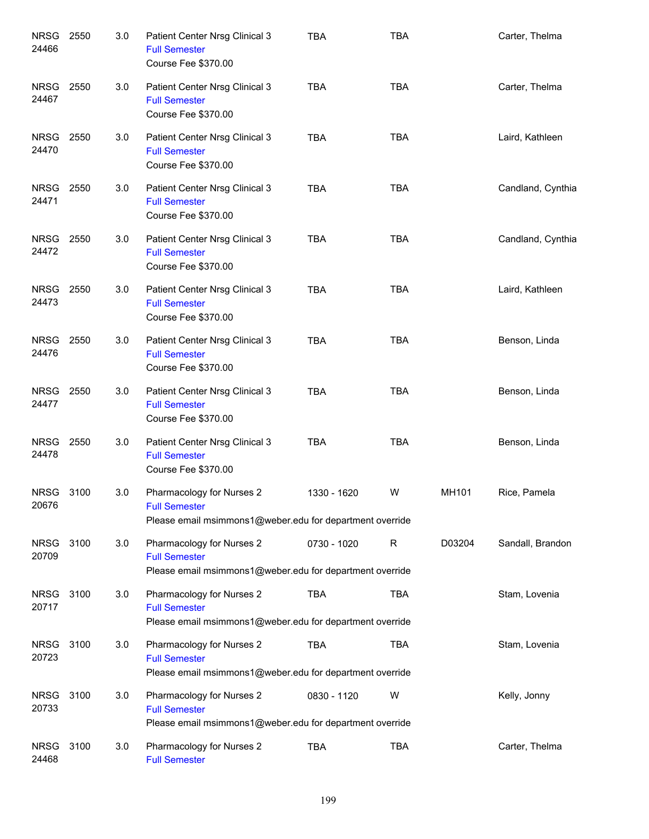| <b>NRSG</b><br>24466 | 2550 | 3.0 | Patient Center Nrsg Clinical 3<br><b>Full Semester</b><br>Course Fee \$370.00                                 | <b>TBA</b>  | <b>TBA</b>  |        | Carter, Thelma    |
|----------------------|------|-----|---------------------------------------------------------------------------------------------------------------|-------------|-------------|--------|-------------------|
| <b>NRSG</b><br>24467 | 2550 | 3.0 | Patient Center Nrsg Clinical 3<br><b>Full Semester</b><br>Course Fee \$370.00                                 | <b>TBA</b>  | <b>TBA</b>  |        | Carter, Thelma    |
| <b>NRSG</b><br>24470 | 2550 | 3.0 | Patient Center Nrsg Clinical 3<br><b>Full Semester</b><br>Course Fee \$370.00                                 | <b>TBA</b>  | <b>TBA</b>  |        | Laird, Kathleen   |
| <b>NRSG</b><br>24471 | 2550 | 3.0 | Patient Center Nrsg Clinical 3<br><b>Full Semester</b><br>Course Fee \$370.00                                 | <b>TBA</b>  | <b>TBA</b>  |        | Candland, Cynthia |
| NRSG<br>24472        | 2550 | 3.0 | Patient Center Nrsg Clinical 3<br><b>Full Semester</b><br>Course Fee \$370.00                                 | <b>TBA</b>  | <b>TBA</b>  |        | Candland, Cynthia |
| <b>NRSG</b><br>24473 | 2550 | 3.0 | Patient Center Nrsg Clinical 3<br><b>Full Semester</b><br>Course Fee \$370.00                                 | <b>TBA</b>  | <b>TBA</b>  |        | Laird, Kathleen   |
| NRSG<br>24476        | 2550 | 3.0 | Patient Center Nrsg Clinical 3<br><b>Full Semester</b><br>Course Fee \$370.00                                 | <b>TBA</b>  | <b>TBA</b>  |        | Benson, Linda     |
| NRSG<br>24477        | 2550 | 3.0 | Patient Center Nrsg Clinical 3<br><b>Full Semester</b><br>Course Fee \$370.00                                 | <b>TBA</b>  | <b>TBA</b>  |        | Benson, Linda     |
| <b>NRSG</b><br>24478 | 2550 | 3.0 | Patient Center Nrsg Clinical 3<br><b>Full Semester</b><br>Course Fee \$370.00                                 | <b>TBA</b>  | <b>TBA</b>  |        | Benson, Linda     |
| NRSG<br>20676        | 3100 | 3.0 | Pharmacology for Nurses 2<br><b>Full Semester</b><br>Please email msimmons1@weber.edu for department override | 1330 - 1620 | W           | MH101  | Rice, Pamela      |
| <b>NRSG</b><br>20709 | 3100 | 3.0 | Pharmacology for Nurses 2<br><b>Full Semester</b><br>Please email msimmons1@weber.edu for department override | 0730 - 1020 | $\mathsf R$ | D03204 | Sandall, Brandon  |
| NRSG<br>20717        | 3100 | 3.0 | Pharmacology for Nurses 2<br><b>Full Semester</b><br>Please email msimmons1@weber.edu for department override | <b>TBA</b>  | <b>TBA</b>  |        | Stam, Lovenia     |
| <b>NRSG</b><br>20723 | 3100 | 3.0 | Pharmacology for Nurses 2<br><b>Full Semester</b><br>Please email msimmons1@weber.edu for department override | <b>TBA</b>  | <b>TBA</b>  |        | Stam, Lovenia     |
| <b>NRSG</b><br>20733 | 3100 | 3.0 | Pharmacology for Nurses 2<br><b>Full Semester</b><br>Please email msimmons1@weber.edu for department override | 0830 - 1120 | W           |        | Kelly, Jonny      |
| <b>NRSG</b><br>24468 | 3100 | 3.0 | Pharmacology for Nurses 2<br><b>Full Semester</b>                                                             | <b>TBA</b>  | <b>TBA</b>  |        | Carter, Thelma    |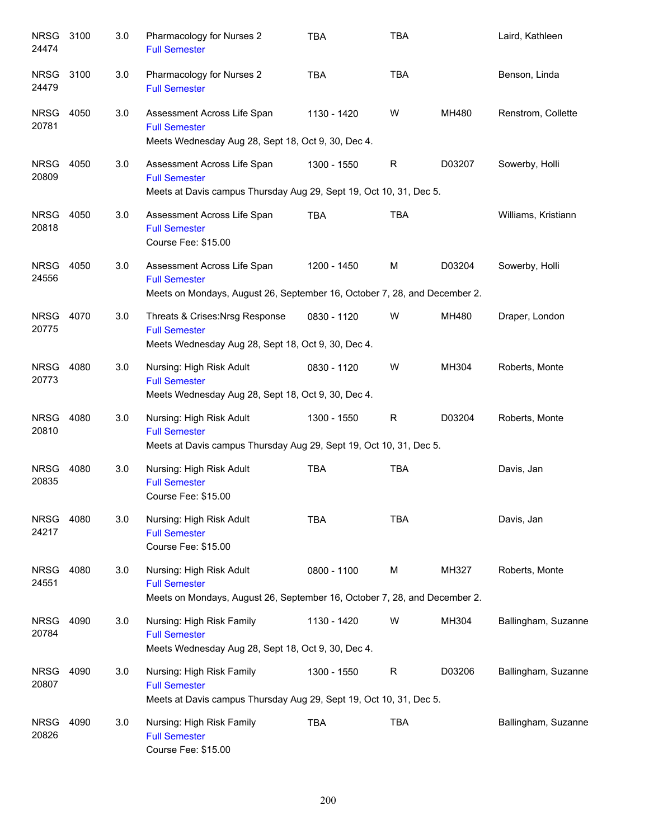| <b>NRSG</b><br>24474 | 3100 | 3.0 | Pharmacology for Nurses 2<br><b>Full Semester</b>                                                                                | <b>TBA</b>  | <b>TBA</b>   |        | Laird, Kathleen     |
|----------------------|------|-----|----------------------------------------------------------------------------------------------------------------------------------|-------------|--------------|--------|---------------------|
| <b>NRSG</b><br>24479 | 3100 | 3.0 | Pharmacology for Nurses 2<br><b>Full Semester</b>                                                                                | <b>TBA</b>  | <b>TBA</b>   |        | Benson, Linda       |
| <b>NRSG</b><br>20781 | 4050 | 3.0 | Assessment Across Life Span<br><b>Full Semester</b><br>Meets Wednesday Aug 28, Sept 18, Oct 9, 30, Dec 4.                        | 1130 - 1420 | W            | MH480  | Renstrom, Collette  |
| <b>NRSG</b><br>20809 | 4050 | 3.0 | Assessment Across Life Span<br><b>Full Semester</b><br>Meets at Davis campus Thursday Aug 29, Sept 19, Oct 10, 31, Dec 5.        | 1300 - 1550 | $\mathsf{R}$ | D03207 | Sowerby, Holli      |
| <b>NRSG</b><br>20818 | 4050 | 3.0 | Assessment Across Life Span<br><b>Full Semester</b><br>Course Fee: \$15.00                                                       | <b>TBA</b>  | <b>TBA</b>   |        | Williams, Kristiann |
| <b>NRSG</b><br>24556 | 4050 | 3.0 | Assessment Across Life Span<br><b>Full Semester</b><br>Meets on Mondays, August 26, September 16, October 7, 28, and December 2. | 1200 - 1450 | M            | D03204 | Sowerby, Holli      |
| <b>NRSG</b><br>20775 | 4070 | 3.0 | Threats & Crises: Nrsg Response<br><b>Full Semester</b><br>Meets Wednesday Aug 28, Sept 18, Oct 9, 30, Dec 4.                    | 0830 - 1120 | W            | MH480  | Draper, London      |
| <b>NRSG</b><br>20773 | 4080 | 3.0 | Nursing: High Risk Adult<br><b>Full Semester</b><br>Meets Wednesday Aug 28, Sept 18, Oct 9, 30, Dec 4.                           | 0830 - 1120 | W            | MH304  | Roberts, Monte      |
| <b>NRSG</b><br>20810 | 4080 | 3.0 | Nursing: High Risk Adult<br><b>Full Semester</b><br>Meets at Davis campus Thursday Aug 29, Sept 19, Oct 10, 31, Dec 5.           | 1300 - 1550 | $\mathsf{R}$ | D03204 | Roberts, Monte      |
| <b>NRSG</b><br>20835 | 4080 | 3.0 | Nursing: High Risk Adult<br><b>Full Semester</b><br>Course Fee: \$15.00                                                          | <b>TBA</b>  | <b>TBA</b>   |        | Davis, Jan          |
| <b>NRSG</b><br>24217 | 4080 | 3.0 | Nursing: High Risk Adult<br><b>Full Semester</b><br>Course Fee: \$15.00                                                          | <b>TBA</b>  | <b>TBA</b>   |        | Davis, Jan          |
| <b>NRSG</b><br>24551 | 4080 | 3.0 | Nursing: High Risk Adult<br><b>Full Semester</b><br>Meets on Mondays, August 26, September 16, October 7, 28, and December 2.    | 0800 - 1100 | М            | MH327  | Roberts, Monte      |
| <b>NRSG</b><br>20784 | 4090 | 3.0 | Nursing: High Risk Family<br><b>Full Semester</b><br>Meets Wednesday Aug 28, Sept 18, Oct 9, 30, Dec 4.                          | 1130 - 1420 | W            | MH304  | Ballingham, Suzanne |
| <b>NRSG</b><br>20807 | 4090 | 3.0 | Nursing: High Risk Family<br><b>Full Semester</b><br>Meets at Davis campus Thursday Aug 29, Sept 19, Oct 10, 31, Dec 5.          | 1300 - 1550 | $\mathsf{R}$ | D03206 | Ballingham, Suzanne |
| <b>NRSG</b><br>20826 | 4090 | 3.0 | Nursing: High Risk Family<br><b>Full Semester</b><br>Course Fee: \$15.00                                                         | <b>TBA</b>  | <b>TBA</b>   |        | Ballingham, Suzanne |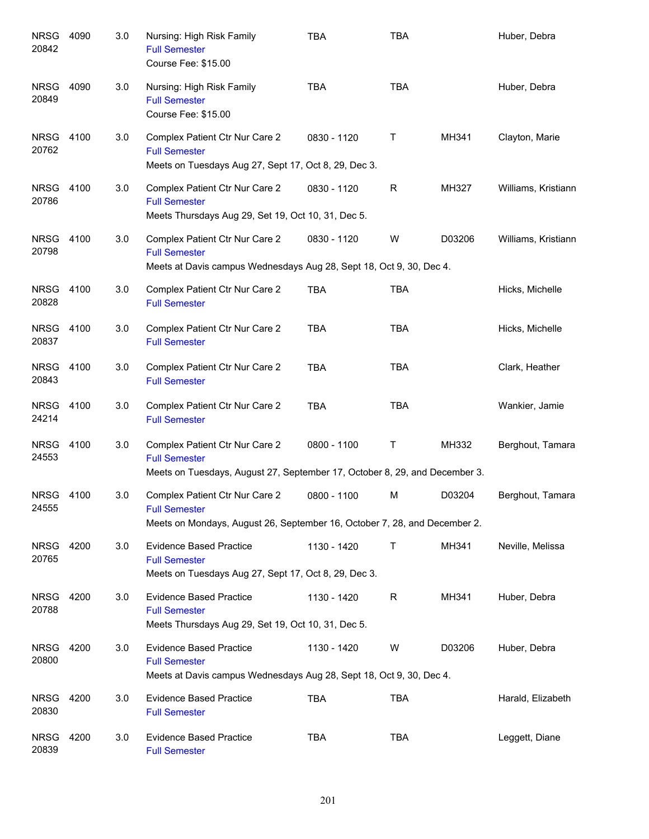| <b>NRSG</b><br>20842 | 4090 | 3.0 | Nursing: High Risk Family<br><b>Full Semester</b><br>Course Fee: \$15.00                                                             | <b>TBA</b>  | <b>TBA</b>   |        | Huber, Debra        |
|----------------------|------|-----|--------------------------------------------------------------------------------------------------------------------------------------|-------------|--------------|--------|---------------------|
| <b>NRSG</b><br>20849 | 4090 | 3.0 | Nursing: High Risk Family<br><b>Full Semester</b><br>Course Fee: \$15.00                                                             | <b>TBA</b>  | <b>TBA</b>   |        | Huber, Debra        |
| NRSG<br>20762        | 4100 | 3.0 | Complex Patient Ctr Nur Care 2<br><b>Full Semester</b><br>Meets on Tuesdays Aug 27, Sept 17, Oct 8, 29, Dec 3.                       | 0830 - 1120 | Τ            | MH341  | Clayton, Marie      |
| NRSG<br>20786        | 4100 | 3.0 | Complex Patient Ctr Nur Care 2<br><b>Full Semester</b><br>Meets Thursdays Aug 29, Set 19, Oct 10, 31, Dec 5.                         | 0830 - 1120 | $\mathsf{R}$ | MH327  | Williams, Kristiann |
| NRSG<br>20798        | 4100 | 3.0 | Complex Patient Ctr Nur Care 2<br><b>Full Semester</b><br>Meets at Davis campus Wednesdays Aug 28, Sept 18, Oct 9, 30, Dec 4.        | 0830 - 1120 | W            | D03206 | Williams, Kristiann |
| NRSG<br>20828        | 4100 | 3.0 | Complex Patient Ctr Nur Care 2<br><b>Full Semester</b>                                                                               | <b>TBA</b>  | <b>TBA</b>   |        | Hicks, Michelle     |
| <b>NRSG</b><br>20837 | 4100 | 3.0 | Complex Patient Ctr Nur Care 2<br><b>Full Semester</b>                                                                               | <b>TBA</b>  | <b>TBA</b>   |        | Hicks, Michelle     |
| <b>NRSG</b><br>20843 | 4100 | 3.0 | Complex Patient Ctr Nur Care 2<br><b>Full Semester</b>                                                                               | <b>TBA</b>  | <b>TBA</b>   |        | Clark, Heather      |
| <b>NRSG</b><br>24214 | 4100 | 3.0 | Complex Patient Ctr Nur Care 2<br><b>Full Semester</b>                                                                               | <b>TBA</b>  | <b>TBA</b>   |        | Wankier, Jamie      |
| <b>NRSG</b><br>24553 | 4100 | 3.0 | Complex Patient Ctr Nur Care 2<br><b>Full Semester</b><br>Meets on Tuesdays, August 27, September 17, October 8, 29, and December 3. | 0800 - 1100 | Τ            | MH332  | Berghout, Tamara    |
| NRSG<br>24555        | 4100 | 3.0 | Complex Patient Ctr Nur Care 2<br><b>Full Semester</b><br>Meets on Mondays, August 26, September 16, October 7, 28, and December 2.  | 0800 - 1100 | M            | D03204 | Berghout, Tamara    |
| <b>NRSG</b><br>20765 | 4200 | 3.0 | <b>Evidence Based Practice</b><br><b>Full Semester</b><br>Meets on Tuesdays Aug 27, Sept 17, Oct 8, 29, Dec 3.                       | 1130 - 1420 | Τ            | MH341  | Neville, Melissa    |
| <b>NRSG</b><br>20788 | 4200 | 3.0 | <b>Evidence Based Practice</b><br><b>Full Semester</b><br>Meets Thursdays Aug 29, Set 19, Oct 10, 31, Dec 5.                         | 1130 - 1420 | $\mathsf{R}$ | MH341  | Huber, Debra        |
| <b>NRSG</b><br>20800 | 4200 | 3.0 | <b>Evidence Based Practice</b><br><b>Full Semester</b><br>Meets at Davis campus Wednesdays Aug 28, Sept 18, Oct 9, 30, Dec 4.        | 1130 - 1420 | W            | D03206 | Huber, Debra        |
| <b>NRSG</b><br>20830 | 4200 | 3.0 | <b>Evidence Based Practice</b><br><b>Full Semester</b>                                                                               | <b>TBA</b>  | <b>TBA</b>   |        | Harald, Elizabeth   |
| <b>NRSG</b><br>20839 | 4200 | 3.0 | <b>Evidence Based Practice</b><br><b>Full Semester</b>                                                                               | <b>TBA</b>  | <b>TBA</b>   |        | Leggett, Diane      |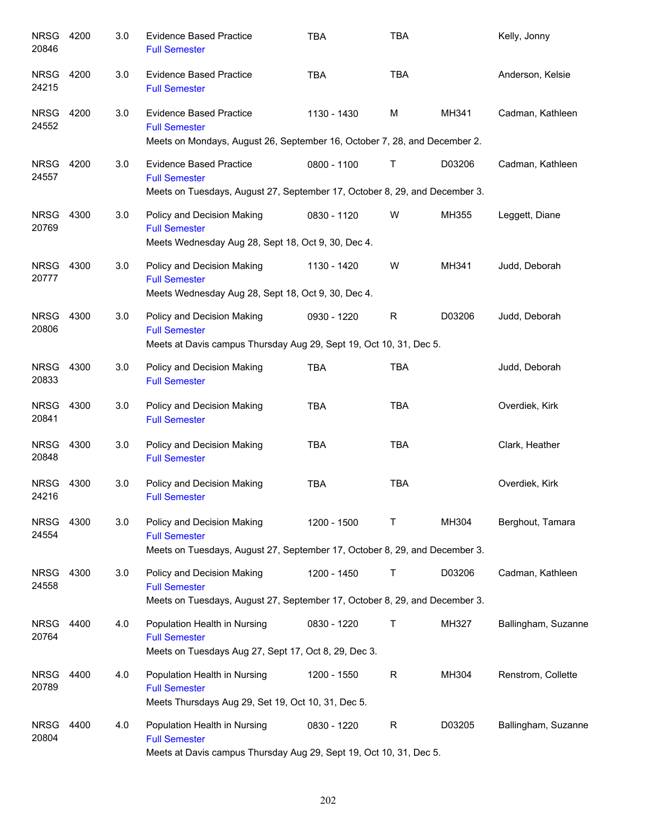| <b>NRSG</b><br>20846 | 4200 | 3.0 | <b>Evidence Based Practice</b><br><b>Full Semester</b>                                                                               | <b>TBA</b>  | <b>TBA</b>   |        | Kelly, Jonny        |
|----------------------|------|-----|--------------------------------------------------------------------------------------------------------------------------------------|-------------|--------------|--------|---------------------|
| NRSG<br>24215        | 4200 | 3.0 | <b>Evidence Based Practice</b><br><b>Full Semester</b>                                                                               | <b>TBA</b>  | <b>TBA</b>   |        | Anderson, Kelsie    |
| <b>NRSG</b><br>24552 | 4200 | 3.0 | <b>Evidence Based Practice</b><br><b>Full Semester</b>                                                                               | 1130 - 1430 | M            | MH341  | Cadman, Kathleen    |
|                      |      |     | Meets on Mondays, August 26, September 16, October 7, 28, and December 2.                                                            |             |              |        |                     |
| <b>NRSG</b><br>24557 | 4200 | 3.0 | <b>Evidence Based Practice</b><br><b>Full Semester</b><br>Meets on Tuesdays, August 27, September 17, October 8, 29, and December 3. | 0800 - 1100 | Т            | D03206 | Cadman, Kathleen    |
|                      |      |     |                                                                                                                                      |             |              |        |                     |
| <b>NRSG</b><br>20769 | 4300 | 3.0 | Policy and Decision Making<br><b>Full Semester</b><br>Meets Wednesday Aug 28, Sept 18, Oct 9, 30, Dec 4.                             | 0830 - 1120 | W            | MH355  | Leggett, Diane      |
|                      |      |     |                                                                                                                                      |             |              |        |                     |
| NRSG<br>20777        | 4300 | 3.0 | Policy and Decision Making<br><b>Full Semester</b><br>Meets Wednesday Aug 28, Sept 18, Oct 9, 30, Dec 4.                             | 1130 - 1420 | W            | MH341  | Judd, Deborah       |
|                      |      |     |                                                                                                                                      |             |              |        |                     |
| <b>NRSG</b><br>20806 | 4300 | 3.0 | Policy and Decision Making<br><b>Full Semester</b>                                                                                   | 0930 - 1220 | $\mathsf R$  | D03206 | Judd, Deborah       |
|                      |      |     | Meets at Davis campus Thursday Aug 29, Sept 19, Oct 10, 31, Dec 5.                                                                   |             |              |        |                     |
| <b>NRSG</b><br>20833 | 4300 | 3.0 | Policy and Decision Making<br><b>Full Semester</b>                                                                                   | <b>TBA</b>  | <b>TBA</b>   |        | Judd, Deborah       |
| <b>NRSG</b><br>20841 | 4300 | 3.0 | Policy and Decision Making<br><b>Full Semester</b>                                                                                   | <b>TBA</b>  | <b>TBA</b>   |        | Overdiek, Kirk      |
| <b>NRSG</b><br>20848 | 4300 | 3.0 | Policy and Decision Making<br><b>Full Semester</b>                                                                                   | <b>TBA</b>  | <b>TBA</b>   |        | Clark, Heather      |
| <b>NRSG</b><br>24216 | 4300 | 3.0 | Policy and Decision Making<br><b>Full Semester</b>                                                                                   | <b>TBA</b>  | <b>TBA</b>   |        | Overdiek, Kirk      |
| <b>NRSG</b><br>24554 | 4300 | 3.0 | Policy and Decision Making<br><b>Full Semester</b>                                                                                   | 1200 - 1500 | Τ            | MH304  | Berghout, Tamara    |
|                      |      |     | Meets on Tuesdays, August 27, September 17, October 8, 29, and December 3.                                                           |             |              |        |                     |
| <b>NRSG</b><br>24558 | 4300 | 3.0 | Policy and Decision Making<br><b>Full Semester</b>                                                                                   | 1200 - 1450 | Τ            | D03206 | Cadman, Kathleen    |
|                      |      |     | Meets on Tuesdays, August 27, September 17, October 8, 29, and December 3.                                                           |             |              |        |                     |
| <b>NRSG</b><br>20764 | 4400 | 4.0 | Population Health in Nursing<br><b>Full Semester</b>                                                                                 | 0830 - 1220 | Τ            | MH327  | Ballingham, Suzanne |
|                      |      |     | Meets on Tuesdays Aug 27, Sept 17, Oct 8, 29, Dec 3.                                                                                 |             |              |        |                     |
| <b>NRSG</b><br>20789 | 4400 | 4.0 | Population Health in Nursing<br><b>Full Semester</b>                                                                                 | 1200 - 1550 | $\mathsf{R}$ | MH304  | Renstrom, Collette  |
|                      |      |     | Meets Thursdays Aug 29, Set 19, Oct 10, 31, Dec 5.                                                                                   |             |              |        |                     |
| <b>NRSG</b><br>20804 | 4400 | 4.0 | Population Health in Nursing<br><b>Full Semester</b><br>Meets at Davis campus Thursday Aug 29, Sept 19, Oct 10, 31, Dec 5.           | 0830 - 1220 | $\mathsf{R}$ | D03205 | Ballingham, Suzanne |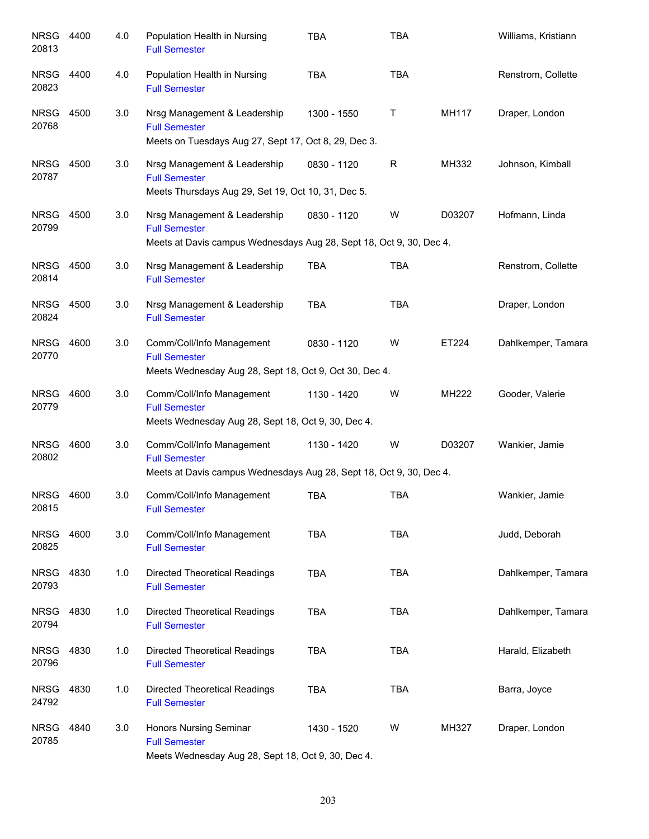| <b>NRSG</b><br>20813 | 4400 | 4.0 | Population Health in Nursing<br><b>Full Semester</b>                                                                        | <b>TBA</b>  | <b>TBA</b>  |        | Williams, Kristiann |
|----------------------|------|-----|-----------------------------------------------------------------------------------------------------------------------------|-------------|-------------|--------|---------------------|
| <b>NRSG</b><br>20823 | 4400 | 4.0 | Population Health in Nursing<br><b>Full Semester</b>                                                                        | <b>TBA</b>  | <b>TBA</b>  |        | Renstrom, Collette  |
| <b>NRSG</b><br>20768 | 4500 | 3.0 | Nrsg Management & Leadership<br><b>Full Semester</b><br>Meets on Tuesdays Aug 27, Sept 17, Oct 8, 29, Dec 3.                | 1300 - 1550 | $\mathsf T$ | MH117  | Draper, London      |
| <b>NRSG</b><br>20787 | 4500 | 3.0 | Nrsg Management & Leadership<br><b>Full Semester</b><br>Meets Thursdays Aug 29, Set 19, Oct 10, 31, Dec 5.                  | 0830 - 1120 | R           | MH332  | Johnson, Kimball    |
| <b>NRSG</b><br>20799 | 4500 | 3.0 | Nrsg Management & Leadership<br><b>Full Semester</b><br>Meets at Davis campus Wednesdays Aug 28, Sept 18, Oct 9, 30, Dec 4. | 0830 - 1120 | W           | D03207 | Hofmann, Linda      |
| <b>NRSG</b><br>20814 | 4500 | 3.0 | Nrsg Management & Leadership<br><b>Full Semester</b>                                                                        | <b>TBA</b>  | <b>TBA</b>  |        | Renstrom, Collette  |
| <b>NRSG</b><br>20824 | 4500 | 3.0 | Nrsg Management & Leadership<br><b>Full Semester</b>                                                                        | <b>TBA</b>  | <b>TBA</b>  |        | Draper, London      |
| <b>NRSG</b><br>20770 | 4600 | 3.0 | Comm/Coll/Info Management<br><b>Full Semester</b><br>Meets Wednesday Aug 28, Sept 18, Oct 9, Oct 30, Dec 4.                 | 0830 - 1120 | W           | ET224  | Dahlkemper, Tamara  |
| <b>NRSG</b><br>20779 | 4600 | 3.0 | Comm/Coll/Info Management<br><b>Full Semester</b><br>Meets Wednesday Aug 28, Sept 18, Oct 9, 30, Dec 4.                     | 1130 - 1420 | W           | MH222  | Gooder, Valerie     |
| <b>NRSG</b><br>20802 | 4600 | 3.0 | Comm/Coll/Info Management<br><b>Full Semester</b><br>Meets at Davis campus Wednesdays Aug 28, Sept 18, Oct 9, 30, Dec 4.    | 1130 - 1420 | W           | D03207 | Wankier, Jamie      |
| NRSG<br>20815        | 4600 | 3.0 | Comm/Coll/Info Management<br><b>Full Semester</b>                                                                           | <b>TBA</b>  | <b>TBA</b>  |        | Wankier, Jamie      |
| <b>NRSG</b><br>20825 | 4600 | 3.0 | Comm/Coll/Info Management<br><b>Full Semester</b>                                                                           | <b>TBA</b>  | <b>TBA</b>  |        | Judd, Deborah       |
| <b>NRSG</b><br>20793 | 4830 | 1.0 | <b>Directed Theoretical Readings</b><br><b>Full Semester</b>                                                                | <b>TBA</b>  | <b>TBA</b>  |        | Dahlkemper, Tamara  |
| <b>NRSG</b><br>20794 | 4830 | 1.0 | <b>Directed Theoretical Readings</b><br><b>Full Semester</b>                                                                | <b>TBA</b>  | <b>TBA</b>  |        | Dahlkemper, Tamara  |
| <b>NRSG</b><br>20796 | 4830 | 1.0 | <b>Directed Theoretical Readings</b><br><b>Full Semester</b>                                                                | <b>TBA</b>  | <b>TBA</b>  |        | Harald, Elizabeth   |
| <b>NRSG</b><br>24792 | 4830 | 1.0 | <b>Directed Theoretical Readings</b><br><b>Full Semester</b>                                                                | <b>TBA</b>  | <b>TBA</b>  |        | Barra, Joyce        |
| <b>NRSG</b><br>20785 | 4840 | 3.0 | <b>Honors Nursing Seminar</b><br><b>Full Semester</b><br>Meets Wednesday Aug 28, Sept 18, Oct 9, 30, Dec 4.                 | 1430 - 1520 | W           | MH327  | Draper, London      |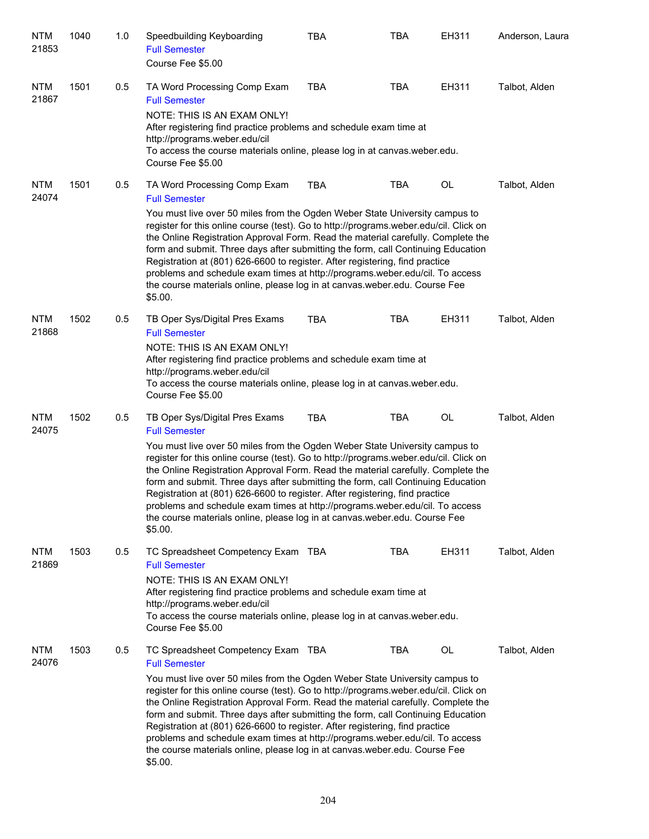| <b>NTM</b><br>21853 | 1040 | 1.0 | Speedbuilding Keyboarding<br><b>Full Semester</b><br>Course Fee \$5.00                                                                                                                                                                                                                                                                                                                                                                                                                                                                                                                                                                                              | TBA        | TBA        | EH311     | Anderson, Laura |
|---------------------|------|-----|---------------------------------------------------------------------------------------------------------------------------------------------------------------------------------------------------------------------------------------------------------------------------------------------------------------------------------------------------------------------------------------------------------------------------------------------------------------------------------------------------------------------------------------------------------------------------------------------------------------------------------------------------------------------|------------|------------|-----------|-----------------|
| <b>NTM</b><br>21867 | 1501 | 0.5 | TA Word Processing Comp Exam<br><b>Full Semester</b><br>NOTE: THIS IS AN EXAM ONLY!<br>After registering find practice problems and schedule exam time at<br>http://programs.weber.edu/cil<br>To access the course materials online, please log in at canvas weber edu.<br>Course Fee \$5.00                                                                                                                                                                                                                                                                                                                                                                        | <b>TBA</b> | <b>TBA</b> | EH311     | Talbot, Alden   |
| <b>NTM</b><br>24074 | 1501 | 0.5 | TA Word Processing Comp Exam<br><b>Full Semester</b><br>You must live over 50 miles from the Ogden Weber State University campus to<br>register for this online course (test). Go to http://programs.weber.edu/cil. Click on<br>the Online Registration Approval Form. Read the material carefully. Complete the<br>form and submit. Three days after submitting the form, call Continuing Education<br>Registration at (801) 626-6600 to register. After registering, find practice<br>problems and schedule exam times at http://programs.weber.edu/cil. To access<br>the course materials online, please log in at canvas.weber.edu. Course Fee<br>\$5.00.       | <b>TBA</b> | TBA        | OL        | Talbot, Alden   |
| <b>NTM</b><br>21868 | 1502 | 0.5 | TB Oper Sys/Digital Pres Exams<br><b>Full Semester</b><br>NOTE: THIS IS AN EXAM ONLY!<br>After registering find practice problems and schedule exam time at<br>http://programs.weber.edu/cil<br>To access the course materials online, please log in at canvas weber edu.<br>Course Fee \$5.00                                                                                                                                                                                                                                                                                                                                                                      | <b>TBA</b> | <b>TBA</b> | EH311     | Talbot, Alden   |
| <b>NTM</b><br>24075 | 1502 | 0.5 | TB Oper Sys/Digital Pres Exams<br><b>Full Semester</b><br>You must live over 50 miles from the Ogden Weber State University campus to<br>register for this online course (test). Go to http://programs.weber.edu/cil. Click on<br>the Online Registration Approval Form. Read the material carefully. Complete the<br>form and submit. Three days after submitting the form, call Continuing Education<br>Registration at (801) 626-6600 to register. After registering, find practice<br>problems and schedule exam times at http://programs.weber.edu/cil. To access<br>the course materials online, please log in at canvas.weber.edu. Course Fee<br>\$5.00.     | <b>TBA</b> | <b>TBA</b> | OL        | Talbot, Alden   |
| <b>NTM</b><br>21869 | 1503 | 0.5 | TC Spreadsheet Competency Exam TBA<br><b>Full Semester</b><br>NOTE: THIS IS AN EXAM ONLY!<br>After registering find practice problems and schedule exam time at<br>http://programs.weber.edu/cil<br>To access the course materials online, please log in at canvas weber edu.<br>Course Fee \$5.00                                                                                                                                                                                                                                                                                                                                                                  |            | <b>TBA</b> | EH311     | Talbot, Alden   |
| <b>NTM</b><br>24076 | 1503 | 0.5 | TC Spreadsheet Competency Exam TBA<br><b>Full Semester</b><br>You must live over 50 miles from the Ogden Weber State University campus to<br>register for this online course (test). Go to http://programs.weber.edu/cil. Click on<br>the Online Registration Approval Form. Read the material carefully. Complete the<br>form and submit. Three days after submitting the form, call Continuing Education<br>Registration at (801) 626-6600 to register. After registering, find practice<br>problems and schedule exam times at http://programs.weber.edu/cil. To access<br>the course materials online, please log in at canvas.weber.edu. Course Fee<br>\$5.00. |            | TBA        | <b>OL</b> | Talbot, Alden   |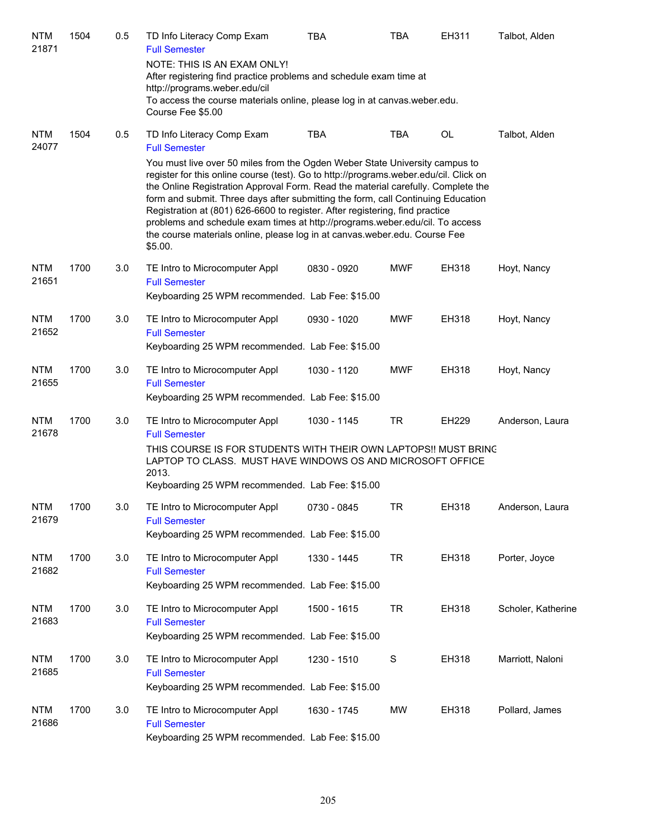| <b>NTM</b><br>21871 | 1504 | 0.5 | TD Info Literacy Comp Exam<br><b>Full Semester</b>                                                                                                                                                                                                                                                                                                                                                                                                                                                                                                                                                    | <b>TBA</b>  | TBA           | EH311 | Talbot, Alden      |
|---------------------|------|-----|-------------------------------------------------------------------------------------------------------------------------------------------------------------------------------------------------------------------------------------------------------------------------------------------------------------------------------------------------------------------------------------------------------------------------------------------------------------------------------------------------------------------------------------------------------------------------------------------------------|-------------|---------------|-------|--------------------|
|                     |      |     | NOTE: THIS IS AN EXAM ONLY!<br>After registering find practice problems and schedule exam time at<br>http://programs.weber.edu/cil                                                                                                                                                                                                                                                                                                                                                                                                                                                                    |             |               |       |                    |
|                     |      |     | To access the course materials online, please log in at canvas weber edu.<br>Course Fee \$5.00                                                                                                                                                                                                                                                                                                                                                                                                                                                                                                        |             |               |       |                    |
| <b>NTM</b><br>24077 | 1504 | 0.5 | TD Info Literacy Comp Exam<br><b>Full Semester</b>                                                                                                                                                                                                                                                                                                                                                                                                                                                                                                                                                    | <b>TBA</b>  | <b>TBA</b>    | OL    | Talbot, Alden      |
|                     |      |     | You must live over 50 miles from the Ogden Weber State University campus to<br>register for this online course (test). Go to http://programs.weber.edu/cil. Click on<br>the Online Registration Approval Form. Read the material carefully. Complete the<br>form and submit. Three days after submitting the form, call Continuing Education<br>Registration at (801) 626-6600 to register. After registering, find practice<br>problems and schedule exam times at http://programs.weber.edu/cil. To access<br>the course materials online, please log in at canvas.weber.edu. Course Fee<br>\$5.00. |             |               |       |                    |
| <b>NTM</b><br>21651 | 1700 | 3.0 | TE Intro to Microcomputer Appl<br><b>Full Semester</b><br>Keyboarding 25 WPM recommended. Lab Fee: \$15.00                                                                                                                                                                                                                                                                                                                                                                                                                                                                                            | 0830 - 0920 | <b>MWF</b>    | EH318 | Hoyt, Nancy        |
| <b>NTM</b><br>21652 | 1700 | 3.0 | TE Intro to Microcomputer Appl<br><b>Full Semester</b><br>Keyboarding 25 WPM recommended. Lab Fee: \$15.00                                                                                                                                                                                                                                                                                                                                                                                                                                                                                            | 0930 - 1020 | <b>MWF</b>    | EH318 | Hoyt, Nancy        |
| <b>NTM</b><br>21655 | 1700 | 3.0 | TE Intro to Microcomputer Appl<br><b>Full Semester</b><br>Keyboarding 25 WPM recommended. Lab Fee: \$15.00                                                                                                                                                                                                                                                                                                                                                                                                                                                                                            | 1030 - 1120 | <b>MWF</b>    | EH318 | Hoyt, Nancy        |
| <b>NTM</b><br>21678 | 1700 | 3.0 | TE Intro to Microcomputer Appl<br><b>Full Semester</b><br>THIS COURSE IS FOR STUDENTS WITH THEIR OWN LAPTOPS!! MUST BRING<br>LAPTOP TO CLASS. MUST HAVE WINDOWS OS AND MICROSOFT OFFICE<br>2013.<br>Keyboarding 25 WPM recommended. Lab Fee: \$15.00                                                                                                                                                                                                                                                                                                                                                  | 1030 - 1145 | <b>TR</b>     | EH229 | Anderson, Laura    |
| <b>NTM</b><br>21679 | 1700 | 3.0 | TE Intro to Microcomputer Appl<br><b>Full Semester</b><br>Keyboarding 25 WPM recommended. Lab Fee: \$15.00                                                                                                                                                                                                                                                                                                                                                                                                                                                                                            | 0730 - 0845 | <b>TR</b>     | EH318 | Anderson, Laura    |
| NTM<br>21682        | 1700 | 3.0 | TE Intro to Microcomputer Appl<br><b>Full Semester</b><br>Keyboarding 25 WPM recommended. Lab Fee: \$15.00                                                                                                                                                                                                                                                                                                                                                                                                                                                                                            | 1330 - 1445 | <b>TR</b>     | EH318 | Porter, Joyce      |
| <b>NTM</b><br>21683 | 1700 | 3.0 | TE Intro to Microcomputer Appl<br><b>Full Semester</b><br>Keyboarding 25 WPM recommended. Lab Fee: \$15.00                                                                                                                                                                                                                                                                                                                                                                                                                                                                                            | 1500 - 1615 | <b>TR</b>     | EH318 | Scholer, Katherine |
| NTM<br>21685        | 1700 | 3.0 | TE Intro to Microcomputer Appl<br><b>Full Semester</b><br>Keyboarding 25 WPM recommended. Lab Fee: \$15.00                                                                                                                                                                                                                                                                                                                                                                                                                                                                                            | 1230 - 1510 | ${\mathsf S}$ | EH318 | Marriott, Naloni   |
| <b>NTM</b><br>21686 | 1700 | 3.0 | TE Intro to Microcomputer Appl<br><b>Full Semester</b><br>Keyboarding 25 WPM recommended. Lab Fee: \$15.00                                                                                                                                                                                                                                                                                                                                                                                                                                                                                            | 1630 - 1745 | MW            | EH318 | Pollard, James     |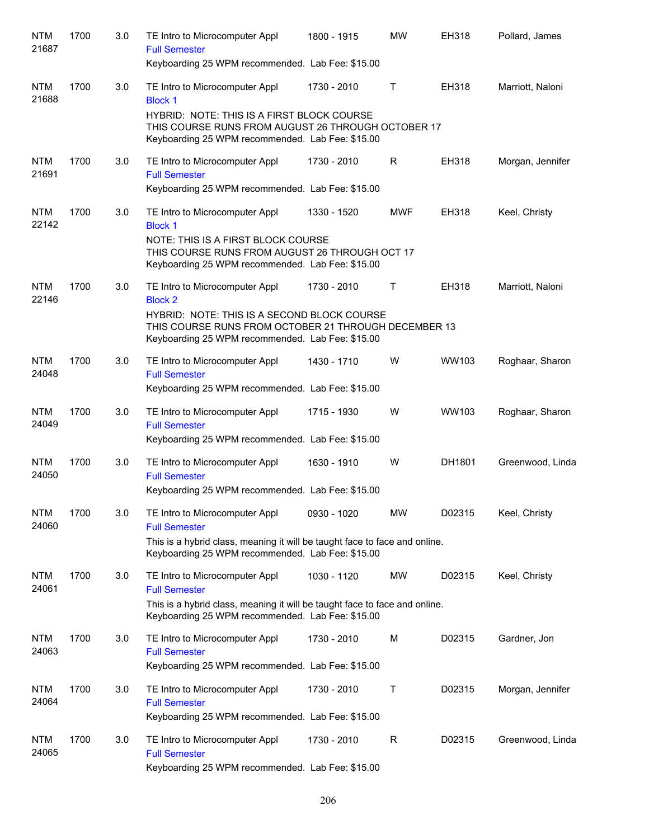| <b>NTM</b><br>21687 | 1700 | 3.0 | TE Intro to Microcomputer Appl<br><b>Full Semester</b><br>Keyboarding 25 WPM recommended. Lab Fee: \$15.00                                                                                                  | 1800 - 1915 | <b>MW</b>    | EH318  | Pollard, James   |
|---------------------|------|-----|-------------------------------------------------------------------------------------------------------------------------------------------------------------------------------------------------------------|-------------|--------------|--------|------------------|
| <b>NTM</b><br>21688 | 1700 | 3.0 | TE Intro to Microcomputer Appl<br><b>Block 1</b><br>HYBRID: NOTE: THIS IS A FIRST BLOCK COURSE<br>THIS COURSE RUNS FROM AUGUST 26 THROUGH OCTOBER 17                                                        | 1730 - 2010 | $\mathsf{T}$ | EH318  | Marriott, Naloni |
|                     |      |     | Keyboarding 25 WPM recommended. Lab Fee: \$15.00                                                                                                                                                            |             |              |        |                  |
| <b>NTM</b><br>21691 | 1700 | 3.0 | TE Intro to Microcomputer Appl<br><b>Full Semester</b><br>Keyboarding 25 WPM recommended. Lab Fee: \$15.00                                                                                                  | 1730 - 2010 | R            | EH318  | Morgan, Jennifer |
| <b>NTM</b><br>22142 | 1700 | 3.0 | TE Intro to Microcomputer Appl<br><b>Block 1</b><br>NOTE: THIS IS A FIRST BLOCK COURSE<br>THIS COURSE RUNS FROM AUGUST 26 THROUGH OCT 17                                                                    | 1330 - 1520 | <b>MWF</b>   | EH318  | Keel, Christy    |
|                     |      |     | Keyboarding 25 WPM recommended. Lab Fee: \$15.00                                                                                                                                                            |             |              |        |                  |
| <b>NTM</b><br>22146 | 1700 | 3.0 | TE Intro to Microcomputer Appl<br><b>Block 2</b><br>HYBRID: NOTE: THIS IS A SECOND BLOCK COURSE<br>THIS COURSE RUNS FROM OCTOBER 21 THROUGH DECEMBER 13<br>Keyboarding 25 WPM recommended. Lab Fee: \$15.00 | 1730 - 2010 | Τ            | EH318  | Marriott, Naloni |
| <b>NTM</b><br>24048 | 1700 | 3.0 | TE Intro to Microcomputer Appl<br><b>Full Semester</b><br>Keyboarding 25 WPM recommended. Lab Fee: \$15.00                                                                                                  | 1430 - 1710 | W            | WW103  | Roghaar, Sharon  |
| <b>NTM</b><br>24049 | 1700 | 3.0 | TE Intro to Microcomputer Appl<br><b>Full Semester</b><br>Keyboarding 25 WPM recommended. Lab Fee: \$15.00                                                                                                  | 1715 - 1930 | W            | WW103  | Roghaar, Sharon  |
| <b>NTM</b><br>24050 | 1700 | 3.0 | TE Intro to Microcomputer Appl<br><b>Full Semester</b><br>Keyboarding 25 WPM recommended. Lab Fee: \$15.00                                                                                                  | 1630 - 1910 | W            | DH1801 | Greenwood, Linda |
| <b>NTM</b><br>24060 | 1700 | 3.0 | TE Intro to Microcomputer Appl<br><b>Full Semester</b>                                                                                                                                                      | 0930 - 1020 | <b>MW</b>    | D02315 | Keel, Christy    |
|                     |      |     | This is a hybrid class, meaning it will be taught face to face and online.<br>Keyboarding 25 WPM recommended. Lab Fee: \$15.00                                                                              |             |              |        |                  |
| <b>NTM</b><br>24061 | 1700 | 3.0 | TE Intro to Microcomputer Appl<br><b>Full Semester</b><br>This is a hybrid class, meaning it will be taught face to face and online.<br>Keyboarding 25 WPM recommended. Lab Fee: \$15.00                    | 1030 - 1120 | <b>MW</b>    | D02315 | Keel, Christy    |
| <b>NTM</b><br>24063 | 1700 | 3.0 | TE Intro to Microcomputer Appl<br><b>Full Semester</b><br>Keyboarding 25 WPM recommended. Lab Fee: \$15.00                                                                                                  | 1730 - 2010 | М            | D02315 | Gardner, Jon     |
| <b>NTM</b><br>24064 | 1700 | 3.0 | TE Intro to Microcomputer Appl<br><b>Full Semester</b><br>Keyboarding 25 WPM recommended. Lab Fee: \$15.00                                                                                                  | 1730 - 2010 | Τ            | D02315 | Morgan, Jennifer |
| <b>NTM</b><br>24065 | 1700 | 3.0 | TE Intro to Microcomputer Appl<br><b>Full Semester</b><br>Keyboarding 25 WPM recommended. Lab Fee: \$15.00                                                                                                  | 1730 - 2010 | R            | D02315 | Greenwood, Linda |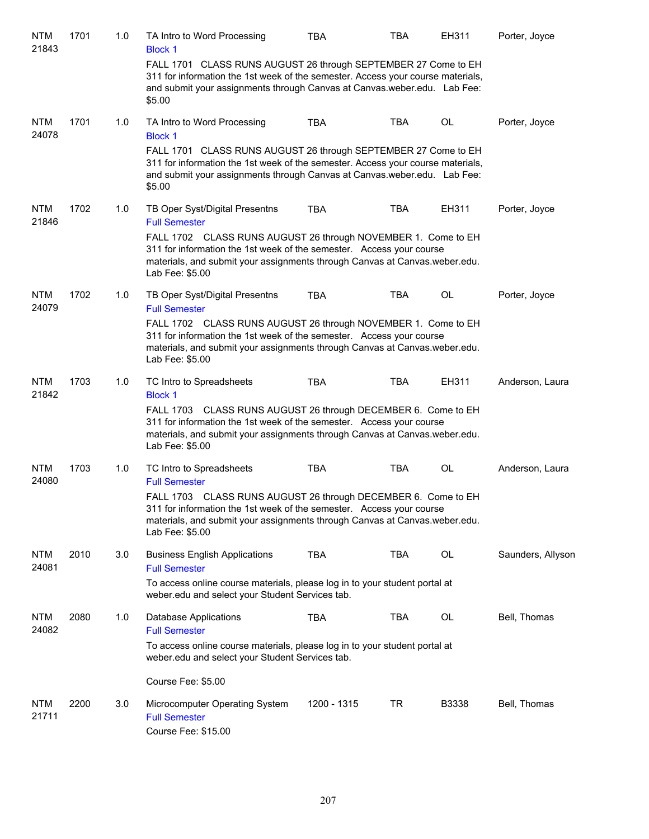| <b>NTM</b><br>21843 | 1701 | 1.0 | TA Intro to Word Processing<br><b>Block 1</b>                                                                                                                                                                                           | <b>TBA</b>  | <b>TBA</b> | EH311     | Porter, Joyce     |
|---------------------|------|-----|-----------------------------------------------------------------------------------------------------------------------------------------------------------------------------------------------------------------------------------------|-------------|------------|-----------|-------------------|
|                     |      |     | FALL 1701 CLASS RUNS AUGUST 26 through SEPTEMBER 27 Come to EH<br>311 for information the 1st week of the semester. Access your course materials,<br>and submit your assignments through Canvas at Canvas.weber.edu. Lab Fee:<br>\$5.00 |             |            |           |                   |
| <b>NTM</b><br>24078 | 1701 | 1.0 | TA Intro to Word Processing<br><b>Block 1</b>                                                                                                                                                                                           | <b>TBA</b>  | <b>TBA</b> | <b>OL</b> | Porter, Joyce     |
|                     |      |     | FALL 1701 CLASS RUNS AUGUST 26 through SEPTEMBER 27 Come to EH<br>311 for information the 1st week of the semester. Access your course materials,<br>and submit your assignments through Canvas at Canvas.weber.edu. Lab Fee:<br>\$5.00 |             |            |           |                   |
| <b>NTM</b><br>21846 | 1702 | 1.0 | TB Oper Syst/Digital Presentns<br><b>Full Semester</b>                                                                                                                                                                                  | <b>TBA</b>  | <b>TBA</b> | EH311     | Porter, Joyce     |
|                     |      |     | FALL 1702 CLASS RUNS AUGUST 26 through NOVEMBER 1. Come to EH<br>311 for information the 1st week of the semester. Access your course<br>materials, and submit your assignments through Canvas at Canvas.weber.edu.<br>Lab Fee: \$5.00  |             |            |           |                   |
| <b>NTM</b><br>24079 | 1702 | 1.0 | TB Oper Syst/Digital Presentns<br><b>Full Semester</b>                                                                                                                                                                                  | <b>TBA</b>  | <b>TBA</b> | <b>OL</b> | Porter, Joyce     |
|                     |      |     | FALL 1702 CLASS RUNS AUGUST 26 through NOVEMBER 1. Come to EH<br>311 for information the 1st week of the semester. Access your course<br>materials, and submit your assignments through Canvas at Canvas.weber.edu.<br>Lab Fee: \$5.00  |             |            |           |                   |
| <b>NTM</b><br>21842 | 1703 | 1.0 | TC Intro to Spreadsheets<br><b>Block 1</b>                                                                                                                                                                                              | <b>TBA</b>  | <b>TBA</b> | EH311     | Anderson, Laura   |
|                     |      |     | FALL 1703 CLASS RUNS AUGUST 26 through DECEMBER 6. Come to EH<br>311 for information the 1st week of the semester. Access your course<br>materials, and submit your assignments through Canvas at Canvas weber edu.<br>Lab Fee: \$5.00  |             |            |           |                   |
| <b>NTM</b><br>24080 | 1703 | 1.0 | TC Intro to Spreadsheets<br><b>Full Semester</b>                                                                                                                                                                                        | <b>TBA</b>  | <b>TBA</b> | OL        | Anderson, Laura   |
|                     |      |     | FALL 1703 CLASS RUNS AUGUST 26 through DECEMBER 6. Come to EH<br>311 for information the 1st week of the semester. Access your course<br>materials, and submit your assignments through Canvas at Canvas weber edu.<br>Lab Fee: \$5.00  |             |            |           |                   |
| <b>NTM</b><br>24081 | 2010 | 3.0 | <b>Business English Applications</b><br><b>Full Semester</b>                                                                                                                                                                            | <b>TBA</b>  | <b>TBA</b> | OL        | Saunders, Allyson |
|                     |      |     | To access online course materials, please log in to your student portal at<br>weber.edu and select your Student Services tab.                                                                                                           |             |            |           |                   |
| <b>NTM</b><br>24082 | 2080 | 1.0 | <b>Database Applications</b><br><b>Full Semester</b>                                                                                                                                                                                    | <b>TBA</b>  | <b>TBA</b> | OL        | Bell, Thomas      |
|                     |      |     | To access online course materials, please log in to your student portal at<br>weber.edu and select your Student Services tab.                                                                                                           |             |            |           |                   |
|                     |      |     | Course Fee: \$5.00                                                                                                                                                                                                                      |             |            |           |                   |
| <b>NTM</b><br>21711 | 2200 | 3.0 | Microcomputer Operating System<br><b>Full Semester</b><br>Course Fee: \$15.00                                                                                                                                                           | 1200 - 1315 | TR         | B3338     | Bell, Thomas      |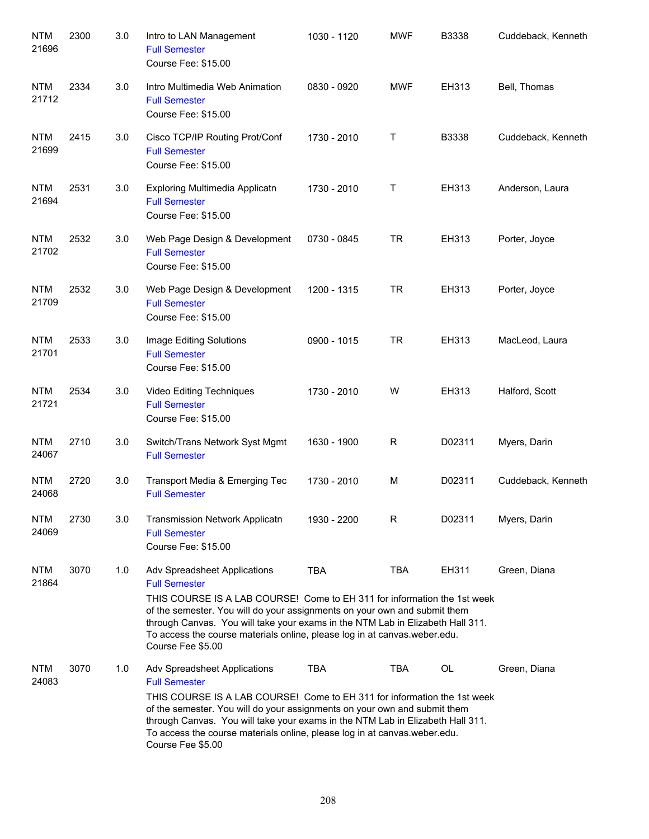| <b>NTM</b><br>21696 | 2300 | 3.0 | Intro to LAN Management<br><b>Full Semester</b><br>Course Fee: \$15.00                                                                                                                                                                                                                                                                                                                            | 1030 - 1120 | <b>MWF</b>  | B3338  | Cuddeback, Kenneth |
|---------------------|------|-----|---------------------------------------------------------------------------------------------------------------------------------------------------------------------------------------------------------------------------------------------------------------------------------------------------------------------------------------------------------------------------------------------------|-------------|-------------|--------|--------------------|
| <b>NTM</b><br>21712 | 2334 | 3.0 | Intro Multimedia Web Animation<br><b>Full Semester</b><br>Course Fee: \$15.00                                                                                                                                                                                                                                                                                                                     | 0830 - 0920 | <b>MWF</b>  | EH313  | Bell, Thomas       |
| <b>NTM</b><br>21699 | 2415 | 3.0 | Cisco TCP/IP Routing Prot/Conf<br><b>Full Semester</b><br>Course Fee: \$15.00                                                                                                                                                                                                                                                                                                                     | 1730 - 2010 | Τ           | B3338  | Cuddeback, Kenneth |
| <b>NTM</b><br>21694 | 2531 | 3.0 | Exploring Multimedia Applicatn<br><b>Full Semester</b><br>Course Fee: \$15.00                                                                                                                                                                                                                                                                                                                     | 1730 - 2010 | Τ           | EH313  | Anderson, Laura    |
| <b>NTM</b><br>21702 | 2532 | 3.0 | Web Page Design & Development<br><b>Full Semester</b><br>Course Fee: \$15.00                                                                                                                                                                                                                                                                                                                      | 0730 - 0845 | <b>TR</b>   | EH313  | Porter, Joyce      |
| <b>NTM</b><br>21709 | 2532 | 3.0 | Web Page Design & Development<br><b>Full Semester</b><br>Course Fee: \$15.00                                                                                                                                                                                                                                                                                                                      | 1200 - 1315 | <b>TR</b>   | EH313  | Porter, Joyce      |
| <b>NTM</b><br>21701 | 2533 | 3.0 | Image Editing Solutions<br><b>Full Semester</b><br>Course Fee: \$15.00                                                                                                                                                                                                                                                                                                                            | 0900 - 1015 | <b>TR</b>   | EH313  | MacLeod, Laura     |
| <b>NTM</b><br>21721 | 2534 | 3.0 | Video Editing Techniques<br><b>Full Semester</b><br>Course Fee: \$15.00                                                                                                                                                                                                                                                                                                                           | 1730 - 2010 | W           | EH313  | Halford, Scott     |
| <b>NTM</b><br>24067 | 2710 | 3.0 | Switch/Trans Network Syst Mgmt<br><b>Full Semester</b>                                                                                                                                                                                                                                                                                                                                            | 1630 - 1900 | $\mathsf R$ | D02311 | Myers, Darin       |
| <b>NTM</b><br>24068 | 2720 | 3.0 | Transport Media & Emerging Tec<br><b>Full Semester</b>                                                                                                                                                                                                                                                                                                                                            | 1730 - 2010 | M           | D02311 | Cuddeback, Kenneth |
| <b>NTM</b><br>24069 | 2730 | 3.0 | <b>Transmission Network Applicatn</b><br><b>Full Semester</b><br>Course Fee: \$15.00                                                                                                                                                                                                                                                                                                              | 1930 - 2200 | R           | D02311 | Myers, Darin       |
| <b>NTM</b><br>21864 | 3070 | 1.0 | Adv Spreadsheet Applications<br><b>Full Semester</b><br>THIS COURSE IS A LAB COURSE! Come to EH 311 for information the 1st week<br>of the semester. You will do your assignments on your own and submit them<br>through Canvas. You will take your exams in the NTM Lab in Elizabeth Hall 311.<br>To access the course materials online, please log in at canvas weber edu.<br>Course Fee \$5.00 | <b>TBA</b>  | <b>TBA</b>  | EH311  | Green, Diana       |
| <b>NTM</b><br>24083 | 3070 | 1.0 | Adv Spreadsheet Applications<br><b>Full Semester</b><br>THIS COURSE IS A LAB COURSE! Come to EH 311 for information the 1st week<br>of the semester. You will do your assignments on your own and submit them<br>through Canvas. You will take your exams in the NTM Lab in Elizabeth Hall 311.<br>To access the course materials online, please log in at canvas.weber.edu.<br>Course Fee \$5.00 | <b>TBA</b>  | TBA         | OL     | Green, Diana       |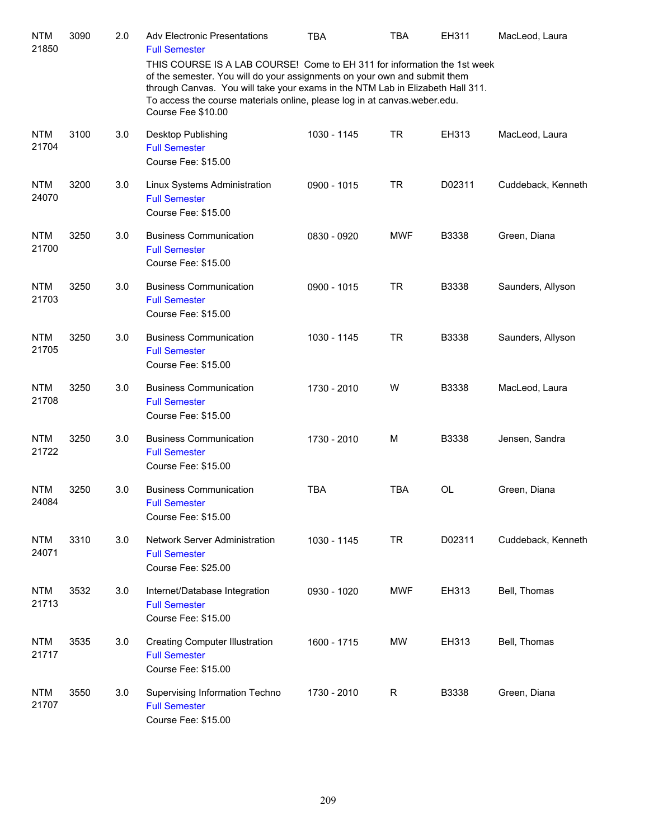| <b>NTM</b><br>21850 | 3090 | 2.0 | <b>Adv Electronic Presentations</b><br><b>Full Semester</b>                                                                                                                                                                                                                                                                                | <b>TBA</b>  | <b>TBA</b>   | EH311        | MacLeod, Laura     |
|---------------------|------|-----|--------------------------------------------------------------------------------------------------------------------------------------------------------------------------------------------------------------------------------------------------------------------------------------------------------------------------------------------|-------------|--------------|--------------|--------------------|
|                     |      |     | THIS COURSE IS A LAB COURSE! Come to EH 311 for information the 1st week<br>of the semester. You will do your assignments on your own and submit them<br>through Canvas. You will take your exams in the NTM Lab in Elizabeth Hall 311.<br>To access the course materials online, please log in at canvas.weber.edu.<br>Course Fee \$10.00 |             |              |              |                    |
| <b>NTM</b><br>21704 | 3100 | 3.0 | Desktop Publishing<br><b>Full Semester</b><br>Course Fee: \$15.00                                                                                                                                                                                                                                                                          | 1030 - 1145 | <b>TR</b>    | EH313        | MacLeod, Laura     |
| <b>NTM</b><br>24070 | 3200 | 3.0 | Linux Systems Administration<br><b>Full Semester</b><br>Course Fee: \$15.00                                                                                                                                                                                                                                                                | 0900 - 1015 | <b>TR</b>    | D02311       | Cuddeback, Kenneth |
| <b>NTM</b><br>21700 | 3250 | 3.0 | <b>Business Communication</b><br><b>Full Semester</b><br>Course Fee: \$15.00                                                                                                                                                                                                                                                               | 0830 - 0920 | <b>MWF</b>   | <b>B3338</b> | Green, Diana       |
| <b>NTM</b><br>21703 | 3250 | 3.0 | <b>Business Communication</b><br><b>Full Semester</b><br>Course Fee: \$15.00                                                                                                                                                                                                                                                               | 0900 - 1015 | <b>TR</b>    | <b>B3338</b> | Saunders, Allyson  |
| <b>NTM</b><br>21705 | 3250 | 3.0 | <b>Business Communication</b><br><b>Full Semester</b><br>Course Fee: \$15.00                                                                                                                                                                                                                                                               | 1030 - 1145 | <b>TR</b>    | <b>B3338</b> | Saunders, Allyson  |
| <b>NTM</b><br>21708 | 3250 | 3.0 | <b>Business Communication</b><br><b>Full Semester</b><br>Course Fee: \$15.00                                                                                                                                                                                                                                                               | 1730 - 2010 | W            | B3338        | MacLeod, Laura     |
| <b>NTM</b><br>21722 | 3250 | 3.0 | <b>Business Communication</b><br><b>Full Semester</b><br>Course Fee: \$15.00                                                                                                                                                                                                                                                               | 1730 - 2010 | M            | B3338        | Jensen, Sandra     |
| <b>NTM</b><br>24084 | 3250 | 3.0 | <b>Business Communication</b><br><b>Full Semester</b><br>Course Fee: \$15.00                                                                                                                                                                                                                                                               | <b>TBA</b>  | <b>TBA</b>   | OL           | Green, Diana       |
| <b>NTM</b><br>24071 | 3310 | 3.0 | Network Server Administration<br><b>Full Semester</b><br>Course Fee: \$25.00                                                                                                                                                                                                                                                               | 1030 - 1145 | <b>TR</b>    | D02311       | Cuddeback, Kenneth |
| <b>NTM</b><br>21713 | 3532 | 3.0 | Internet/Database Integration<br><b>Full Semester</b><br>Course Fee: \$15.00                                                                                                                                                                                                                                                               | 0930 - 1020 | <b>MWF</b>   | EH313        | Bell, Thomas       |
| <b>NTM</b><br>21717 | 3535 | 3.0 | <b>Creating Computer Illustration</b><br><b>Full Semester</b><br>Course Fee: \$15.00                                                                                                                                                                                                                                                       | 1600 - 1715 | <b>MW</b>    | EH313        | Bell, Thomas       |
| <b>NTM</b><br>21707 | 3550 | 3.0 | Supervising Information Techno<br><b>Full Semester</b><br>Course Fee: \$15.00                                                                                                                                                                                                                                                              | 1730 - 2010 | $\mathsf{R}$ | B3338        | Green, Diana       |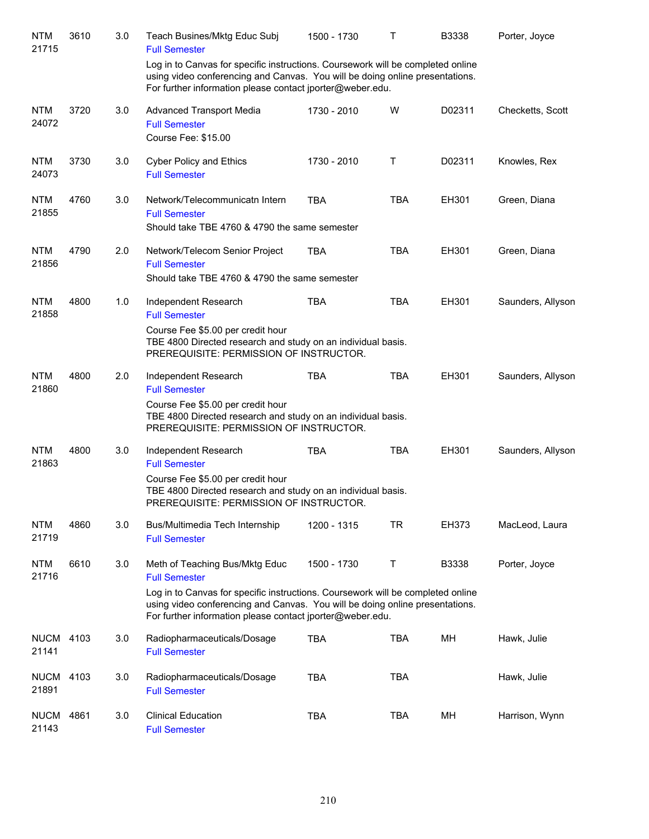| <b>NTM</b><br>21715  | 3610 | 3.0 | Teach Busines/Mktg Educ Subj<br><b>Full Semester</b>                                                                                                                                                                                                                                   | 1500 - 1730 | Τ          | B3338  | Porter, Joyce     |
|----------------------|------|-----|----------------------------------------------------------------------------------------------------------------------------------------------------------------------------------------------------------------------------------------------------------------------------------------|-------------|------------|--------|-------------------|
|                      |      |     | Log in to Canvas for specific instructions. Coursework will be completed online<br>using video conferencing and Canvas. You will be doing online presentations.<br>For further information please contact jporter@weber.edu.                                                           |             |            |        |                   |
| <b>NTM</b><br>24072  | 3720 | 3.0 | <b>Advanced Transport Media</b><br><b>Full Semester</b><br>Course Fee: \$15.00                                                                                                                                                                                                         | 1730 - 2010 | W          | D02311 | Checketts, Scott  |
| <b>NTM</b><br>24073  | 3730 | 3.0 | <b>Cyber Policy and Ethics</b><br><b>Full Semester</b>                                                                                                                                                                                                                                 | 1730 - 2010 | Τ          | D02311 | Knowles, Rex      |
| <b>NTM</b><br>21855  | 4760 | 3.0 | Network/Telecommunicatn Intern<br><b>Full Semester</b><br>Should take TBE 4760 & 4790 the same semester                                                                                                                                                                                | <b>TBA</b>  | <b>TBA</b> | EH301  | Green, Diana      |
| <b>NTM</b><br>21856  | 4790 | 2.0 | Network/Telecom Senior Project<br><b>Full Semester</b><br>Should take TBE 4760 & 4790 the same semester                                                                                                                                                                                | <b>TBA</b>  | <b>TBA</b> | EH301  | Green, Diana      |
| <b>NTM</b><br>21858  | 4800 | 1.0 | Independent Research<br><b>Full Semester</b><br>Course Fee \$5.00 per credit hour<br>TBE 4800 Directed research and study on an individual basis.<br>PREREQUISITE: PERMISSION OF INSTRUCTOR.                                                                                           | <b>TBA</b>  | <b>TBA</b> | EH301  | Saunders, Allyson |
| <b>NTM</b><br>21860  | 4800 | 2.0 | Independent Research<br><b>Full Semester</b><br>Course Fee \$5.00 per credit hour<br>TBE 4800 Directed research and study on an individual basis.<br>PREREQUISITE: PERMISSION OF INSTRUCTOR.                                                                                           | <b>TBA</b>  | <b>TBA</b> | EH301  | Saunders, Allyson |
| <b>NTM</b><br>21863  | 4800 | 3.0 | Independent Research<br><b>Full Semester</b><br>Course Fee \$5.00 per credit hour<br>TBE 4800 Directed research and study on an individual basis.<br>PREREQUISITE: PERMISSION OF INSTRUCTOR.                                                                                           | <b>TBA</b>  | <b>TBA</b> | EH301  | Saunders, Allyson |
| <b>NTM</b><br>21719  | 4860 | 3.0 | Bus/Multimedia Tech Internship<br><b>Full Semester</b>                                                                                                                                                                                                                                 | 1200 - 1315 | <b>TR</b>  | EH373  | MacLeod, Laura    |
| <b>NTM</b><br>21716  | 6610 | 3.0 | Meth of Teaching Bus/Mktg Educ<br><b>Full Semester</b><br>Log in to Canvas for specific instructions. Coursework will be completed online<br>using video conferencing and Canvas. You will be doing online presentations.<br>For further information please contact jporter@weber.edu. | 1500 - 1730 | T.         | B3338  | Porter, Joyce     |
| <b>NUCM</b><br>21141 | 4103 | 3.0 | Radiopharmaceuticals/Dosage<br><b>Full Semester</b>                                                                                                                                                                                                                                    | <b>TBA</b>  | <b>TBA</b> | MH     | Hawk, Julie       |
| <b>NUCM</b><br>21891 | 4103 | 3.0 | Radiopharmaceuticals/Dosage<br><b>Full Semester</b>                                                                                                                                                                                                                                    | <b>TBA</b>  | <b>TBA</b> |        | Hawk, Julie       |
| <b>NUCM</b><br>21143 | 4861 | 3.0 | <b>Clinical Education</b><br><b>Full Semester</b>                                                                                                                                                                                                                                      | <b>TBA</b>  | <b>TBA</b> | MН     | Harrison, Wynn    |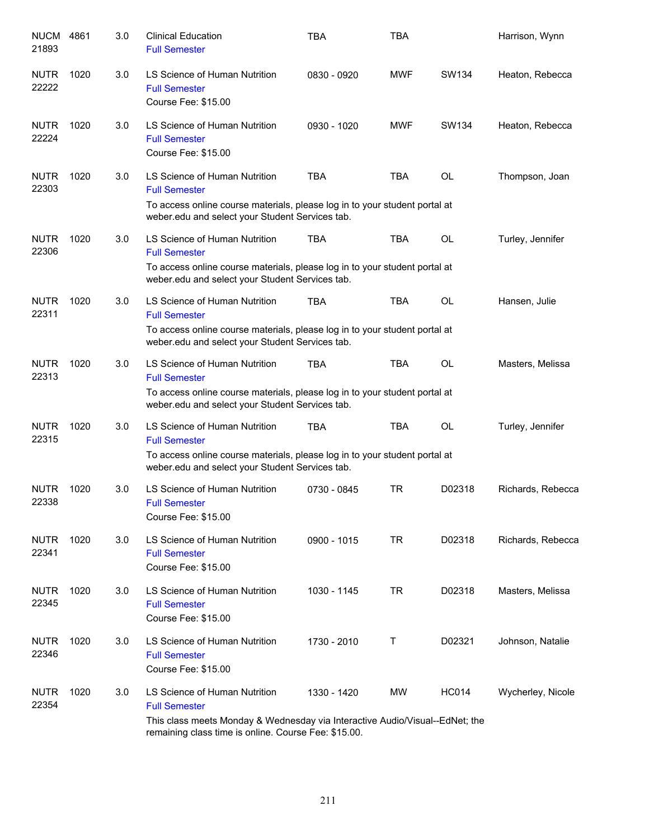| <b>NUCM</b><br>21893 | 4861 | 3.0 | <b>Clinical Education</b><br><b>Full Semester</b>                                                                                                                                             | <b>TBA</b>  | <b>TBA</b> |              | Harrison, Wynn    |
|----------------------|------|-----|-----------------------------------------------------------------------------------------------------------------------------------------------------------------------------------------------|-------------|------------|--------------|-------------------|
| <b>NUTR</b><br>22222 | 1020 | 3.0 | LS Science of Human Nutrition<br><b>Full Semester</b><br>Course Fee: \$15.00                                                                                                                  | 0830 - 0920 | <b>MWF</b> | SW134        | Heaton, Rebecca   |
| <b>NUTR</b><br>22224 | 1020 | 3.0 | LS Science of Human Nutrition<br><b>Full Semester</b><br>Course Fee: \$15.00                                                                                                                  | 0930 - 1020 | <b>MWF</b> | SW134        | Heaton, Rebecca   |
| <b>NUTR</b><br>22303 | 1020 | 3.0 | LS Science of Human Nutrition<br><b>Full Semester</b><br>To access online course materials, please log in to your student portal at<br>weber.edu and select your Student Services tab.        | <b>TBA</b>  | <b>TBA</b> | OL           | Thompson, Joan    |
| <b>NUTR</b><br>22306 | 1020 | 3.0 | LS Science of Human Nutrition<br><b>Full Semester</b><br>To access online course materials, please log in to your student portal at<br>weber.edu and select your Student Services tab.        | TBA         | TBA        | OL           | Turley, Jennifer  |
| <b>NUTR</b><br>22311 | 1020 | 3.0 | LS Science of Human Nutrition<br><b>Full Semester</b><br>To access online course materials, please log in to your student portal at<br>weber.edu and select your Student Services tab.        | TBA         | <b>TBA</b> | OL           | Hansen, Julie     |
| <b>NUTR</b><br>22313 | 1020 | 3.0 | LS Science of Human Nutrition<br><b>Full Semester</b><br>To access online course materials, please log in to your student portal at<br>weber.edu and select your Student Services tab.        | <b>TBA</b>  | <b>TBA</b> | <b>OL</b>    | Masters, Melissa  |
| <b>NUTR</b><br>22315 | 1020 | 3.0 | LS Science of Human Nutrition<br><b>Full Semester</b><br>To access online course materials, please log in to your student portal at<br>weber.edu and select your Student Services tab.        | TBA         | <b>TBA</b> | OL           | Turley, Jennifer  |
| <b>NUTR</b><br>22338 | 1020 | 3.0 | LS Science of Human Nutrition<br><b>Full Semester</b><br>Course Fee: \$15.00                                                                                                                  | 0730 - 0845 | <b>TR</b>  | D02318       | Richards, Rebecca |
| <b>NUTR</b><br>22341 | 1020 | 3.0 | LS Science of Human Nutrition<br><b>Full Semester</b><br>Course Fee: \$15.00                                                                                                                  | 0900 - 1015 | <b>TR</b>  | D02318       | Richards, Rebecca |
| <b>NUTR</b><br>22345 | 1020 | 3.0 | LS Science of Human Nutrition<br><b>Full Semester</b><br>Course Fee: \$15.00                                                                                                                  | 1030 - 1145 | TR         | D02318       | Masters, Melissa  |
| <b>NUTR</b><br>22346 | 1020 | 3.0 | LS Science of Human Nutrition<br><b>Full Semester</b><br>Course Fee: \$15.00                                                                                                                  | 1730 - 2010 | Т          | D02321       | Johnson, Natalie  |
| <b>NUTR</b><br>22354 | 1020 | 3.0 | LS Science of Human Nutrition<br><b>Full Semester</b><br>This class meets Monday & Wednesday via Interactive Audio/Visual--EdNet; the<br>remaining class time is online. Course Fee: \$15.00. | 1330 - 1420 | MW         | <b>HC014</b> | Wycherley, Nicole |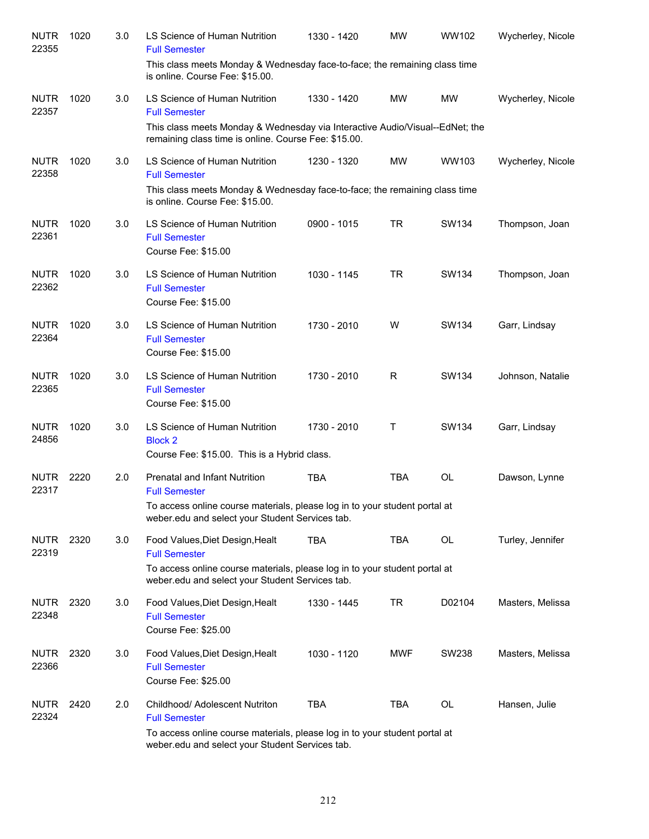| <b>NUTR</b><br>22355 | 1020 | 3.0 | LS Science of Human Nutrition<br><b>Full Semester</b>                                                                                                                                    | 1330 - 1420 | MW         | WW102     | Wycherley, Nicole |
|----------------------|------|-----|------------------------------------------------------------------------------------------------------------------------------------------------------------------------------------------|-------------|------------|-----------|-------------------|
|                      |      |     | This class meets Monday & Wednesday face-to-face; the remaining class time<br>is online. Course Fee: \$15.00.                                                                            |             |            |           |                   |
| <b>NUTR</b><br>22357 | 1020 | 3.0 | LS Science of Human Nutrition<br><b>Full Semester</b>                                                                                                                                    | 1330 - 1420 | <b>MW</b>  | <b>MW</b> | Wycherley, Nicole |
|                      |      |     | This class meets Monday & Wednesday via Interactive Audio/Visual--EdNet; the<br>remaining class time is online. Course Fee: \$15.00.                                                     |             |            |           |                   |
| <b>NUTR</b><br>22358 | 1020 | 3.0 | LS Science of Human Nutrition<br><b>Full Semester</b>                                                                                                                                    | 1230 - 1320 | MW         | WW103     | Wycherley, Nicole |
|                      |      |     | This class meets Monday & Wednesday face-to-face; the remaining class time<br>is online. Course Fee: \$15.00.                                                                            |             |            |           |                   |
| <b>NUTR</b><br>22361 | 1020 | 3.0 | LS Science of Human Nutrition<br><b>Full Semester</b><br>Course Fee: \$15.00                                                                                                             | 0900 - 1015 | <b>TR</b>  | SW134     | Thompson, Joan    |
| <b>NUTR</b><br>22362 | 1020 | 3.0 | LS Science of Human Nutrition<br><b>Full Semester</b><br>Course Fee: \$15.00                                                                                                             | 1030 - 1145 | <b>TR</b>  | SW134     | Thompson, Joan    |
| <b>NUTR</b><br>22364 | 1020 | 3.0 | LS Science of Human Nutrition<br><b>Full Semester</b><br>Course Fee: \$15.00                                                                                                             | 1730 - 2010 | W          | SW134     | Garr, Lindsay     |
| <b>NUTR</b><br>22365 | 1020 | 3.0 | LS Science of Human Nutrition<br><b>Full Semester</b><br>Course Fee: \$15.00                                                                                                             | 1730 - 2010 | R          | SW134     | Johnson, Natalie  |
| <b>NUTR</b><br>24856 | 1020 | 3.0 | LS Science of Human Nutrition<br><b>Block 2</b><br>Course Fee: \$15.00. This is a Hybrid class.                                                                                          | 1730 - 2010 | Τ          | SW134     | Garr, Lindsay     |
| <b>NUTR</b><br>22317 | 2220 | 2.0 | Prenatal and Infant Nutrition<br><b>Full Semester</b><br>To access online course materials, please log in to your student portal at<br>weber.edu and select your Student Services tab.   | <b>TBA</b>  | <b>TBA</b> | <b>OL</b> | Dawson, Lynne     |
| <b>NUTR</b><br>22319 | 2320 | 3.0 | Food Values, Diet Design, Healt<br><b>Full Semester</b><br>To access online course materials, please log in to your student portal at<br>weber.edu and select your Student Services tab. | <b>TBA</b>  | <b>TBA</b> | OL        | Turley, Jennifer  |
| <b>NUTR</b><br>22348 | 2320 | 3.0 | Food Values, Diet Design, Healt<br><b>Full Semester</b><br>Course Fee: \$25.00                                                                                                           | 1330 - 1445 | <b>TR</b>  | D02104    | Masters, Melissa  |
| <b>NUTR</b><br>22366 | 2320 | 3.0 | Food Values, Diet Design, Healt<br><b>Full Semester</b><br>Course Fee: \$25.00                                                                                                           | 1030 - 1120 | <b>MWF</b> | SW238     | Masters, Melissa  |
| <b>NUTR</b><br>22324 | 2420 | 2.0 | Childhood/ Adolescent Nutriton<br><b>Full Semester</b><br>To access online course materials, please log in to your student portal at<br>weber.edu and select your Student Services tab.  | <b>TBA</b>  | <b>TBA</b> | <b>OL</b> | Hansen, Julie     |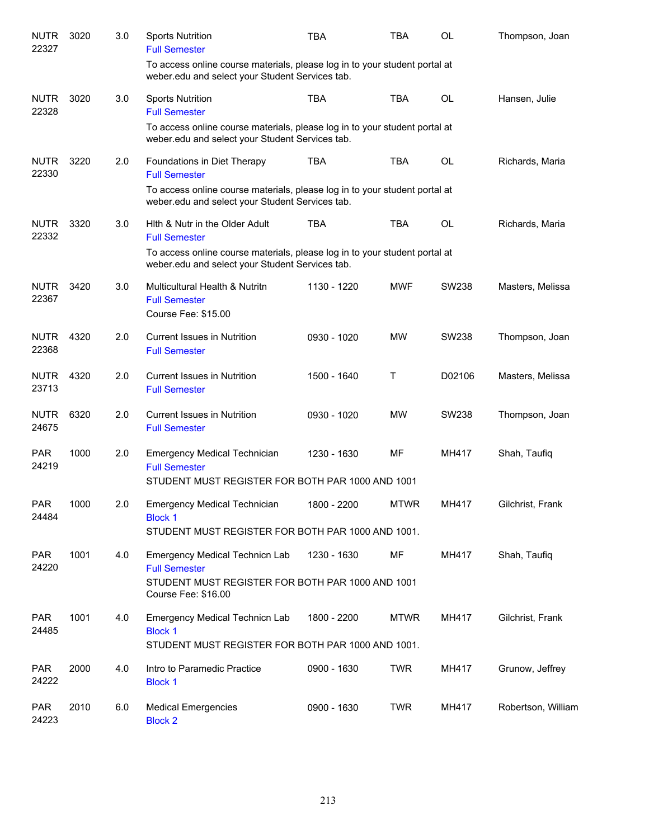| <b>NUTR</b><br>22327 | 3020 | 3.0 | <b>Sports Nutrition</b><br><b>Full Semester</b>                                                                                   | <b>TBA</b>  | TBA         | OL        | Thompson, Joan     |
|----------------------|------|-----|-----------------------------------------------------------------------------------------------------------------------------------|-------------|-------------|-----------|--------------------|
|                      |      |     | To access online course materials, please log in to your student portal at<br>weber.edu and select your Student Services tab.     |             |             |           |                    |
| <b>NUTR</b><br>22328 | 3020 | 3.0 | <b>Sports Nutrition</b><br><b>Full Semester</b>                                                                                   | <b>TBA</b>  | <b>TBA</b>  | <b>OL</b> | Hansen, Julie      |
|                      |      |     | To access online course materials, please log in to your student portal at<br>weber.edu and select your Student Services tab.     |             |             |           |                    |
| <b>NUTR</b><br>22330 | 3220 | 2.0 | Foundations in Diet Therapy<br><b>Full Semester</b>                                                                               | <b>TBA</b>  | <b>TBA</b>  | OL        | Richards, Maria    |
|                      |      |     | To access online course materials, please log in to your student portal at<br>weber.edu and select your Student Services tab.     |             |             |           |                    |
| <b>NUTR</b><br>22332 | 3320 | 3.0 | Hith & Nutr in the Older Adult<br><b>Full Semester</b>                                                                            | <b>TBA</b>  | <b>TBA</b>  | OL        | Richards, Maria    |
|                      |      |     | To access online course materials, please log in to your student portal at<br>weber.edu and select your Student Services tab.     |             |             |           |                    |
| <b>NUTR</b><br>22367 | 3420 | 3.0 | Multicultural Health & Nutritn<br><b>Full Semester</b><br>Course Fee: \$15.00                                                     | 1130 - 1220 | <b>MWF</b>  | SW238     | Masters, Melissa   |
| <b>NUTR</b><br>22368 | 4320 | 2.0 | <b>Current Issues in Nutrition</b><br><b>Full Semester</b>                                                                        | 0930 - 1020 | <b>MW</b>   | SW238     | Thompson, Joan     |
| <b>NUTR</b><br>23713 | 4320 | 2.0 | <b>Current Issues in Nutrition</b><br><b>Full Semester</b>                                                                        | 1500 - 1640 | Τ           | D02106    | Masters, Melissa   |
| <b>NUTR</b><br>24675 | 6320 | 2.0 | <b>Current Issues in Nutrition</b><br><b>Full Semester</b>                                                                        | 0930 - 1020 | <b>MW</b>   | SW238     | Thompson, Joan     |
| <b>PAR</b><br>24219  | 1000 | 2.0 | <b>Emergency Medical Technician</b><br><b>Full Semester</b><br>STUDENT MUST REGISTER FOR BOTH PAR 1000 AND 1001                   | 1230 - 1630 | MF          | MH417     | Shah, Taufiq       |
| <b>PAR</b><br>24484  | 1000 | 2.0 | <b>Emergency Medical Technician</b><br><b>Block 1</b>                                                                             | 1800 - 2200 | <b>MTWR</b> | MH417     | Gilchrist, Frank   |
|                      |      |     | STUDENT MUST REGISTER FOR BOTH PAR 1000 AND 1001.                                                                                 |             |             |           |                    |
| <b>PAR</b><br>24220  | 1001 | 4.0 | Emergency Medical Technicn Lab<br><b>Full Semester</b><br>STUDENT MUST REGISTER FOR BOTH PAR 1000 AND 1001<br>Course Fee: \$16.00 | 1230 - 1630 | MF          | MH417     | Shah, Taufiq       |
| <b>PAR</b><br>24485  | 1001 | 4.0 | Emergency Medical Technicn Lab<br><b>Block 1</b><br>STUDENT MUST REGISTER FOR BOTH PAR 1000 AND 1001.                             | 1800 - 2200 | <b>MTWR</b> | MH417     | Gilchrist, Frank   |
| <b>PAR</b><br>24222  | 2000 | 4.0 | Intro to Paramedic Practice<br><b>Block 1</b>                                                                                     | 0900 - 1630 | TWR         | MH417     | Grunow, Jeffrey    |
| <b>PAR</b><br>24223  | 2010 | 6.0 | <b>Medical Emergencies</b><br><b>Block 2</b>                                                                                      | 0900 - 1630 | <b>TWR</b>  | MH417     | Robertson, William |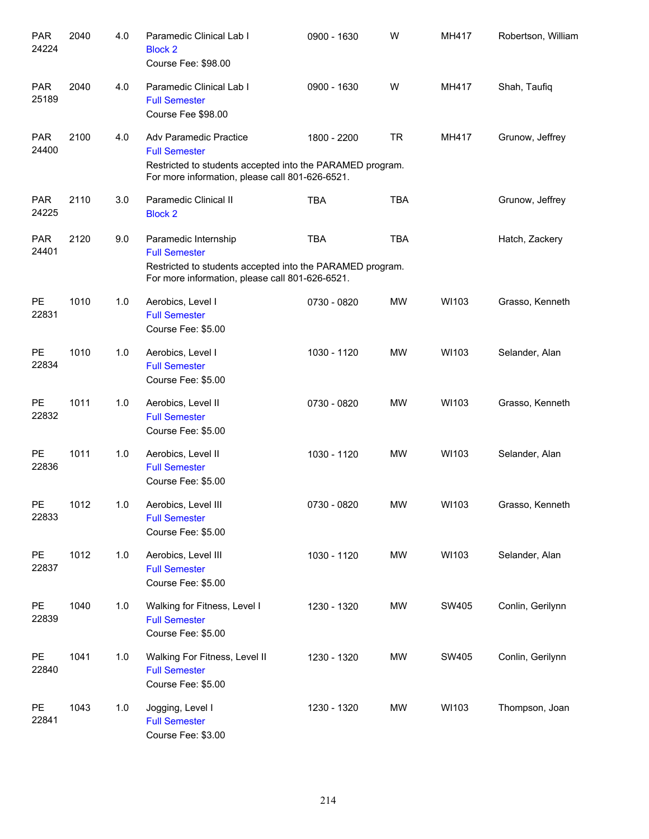| <b>PAR</b><br>24224 | 2040 | 4.0 | Paramedic Clinical Lab I<br><b>Block 2</b><br>Course Fee: \$98.00                                                                                                     | 0900 - 1630 | W          | MH417 | Robertson, William |
|---------------------|------|-----|-----------------------------------------------------------------------------------------------------------------------------------------------------------------------|-------------|------------|-------|--------------------|
| <b>PAR</b><br>25189 | 2040 | 4.0 | Paramedic Clinical Lab I<br><b>Full Semester</b><br>Course Fee \$98.00                                                                                                | 0900 - 1630 | W          | MH417 | Shah, Taufiq       |
| <b>PAR</b><br>24400 | 2100 | 4.0 | <b>Adv Paramedic Practice</b><br><b>Full Semester</b><br>Restricted to students accepted into the PARAMED program.<br>For more information, please call 801-626-6521. | 1800 - 2200 | <b>TR</b>  | MH417 | Grunow, Jeffrey    |
| <b>PAR</b><br>24225 | 2110 | 3.0 | Paramedic Clinical II<br><b>Block 2</b>                                                                                                                               | <b>TBA</b>  | <b>TBA</b> |       | Grunow, Jeffrey    |
| <b>PAR</b><br>24401 | 2120 | 9.0 | Paramedic Internship<br><b>Full Semester</b><br>Restricted to students accepted into the PARAMED program.<br>For more information, please call 801-626-6521.          | <b>TBA</b>  | <b>TBA</b> |       | Hatch, Zackery     |
| PE<br>22831         | 1010 | 1.0 | Aerobics, Level I<br><b>Full Semester</b><br>Course Fee: \$5.00                                                                                                       | 0730 - 0820 | <b>MW</b>  | WI103 | Grasso, Kenneth    |
| PE<br>22834         | 1010 | 1.0 | Aerobics, Level I<br><b>Full Semester</b><br>Course Fee: \$5.00                                                                                                       | 1030 - 1120 | <b>MW</b>  | WI103 | Selander, Alan     |
| PE<br>22832         | 1011 | 1.0 | Aerobics, Level II<br><b>Full Semester</b><br>Course Fee: \$5.00                                                                                                      | 0730 - 0820 | <b>MW</b>  | WI103 | Grasso, Kenneth    |
| PE<br>22836         | 1011 | 1.0 | Aerobics, Level II<br><b>Full Semester</b><br>Course Fee: \$5.00                                                                                                      | 1030 - 1120 | <b>MW</b>  | WI103 | Selander, Alan     |
| PE<br>22833         | 1012 | 1.0 | Aerobics, Level III<br><b>Full Semester</b><br>Course Fee: \$5.00                                                                                                     | 0730 - 0820 | MW         | WI103 | Grasso, Kenneth    |
| PE<br>22837         | 1012 | 1.0 | Aerobics, Level III<br><b>Full Semester</b><br>Course Fee: \$5.00                                                                                                     | 1030 - 1120 | MW         | WI103 | Selander, Alan     |
| <b>PE</b><br>22839  | 1040 | 1.0 | Walking for Fitness, Level I<br><b>Full Semester</b><br>Course Fee: \$5.00                                                                                            | 1230 - 1320 | MW         | SW405 | Conlin, Gerilynn   |
| PE<br>22840         | 1041 | 1.0 | Walking For Fitness, Level II<br><b>Full Semester</b><br>Course Fee: \$5.00                                                                                           | 1230 - 1320 | MW         | SW405 | Conlin, Gerilynn   |
| <b>PE</b><br>22841  | 1043 | 1.0 | Jogging, Level I<br><b>Full Semester</b><br>Course Fee: \$3.00                                                                                                        | 1230 - 1320 | MW         | WI103 | Thompson, Joan     |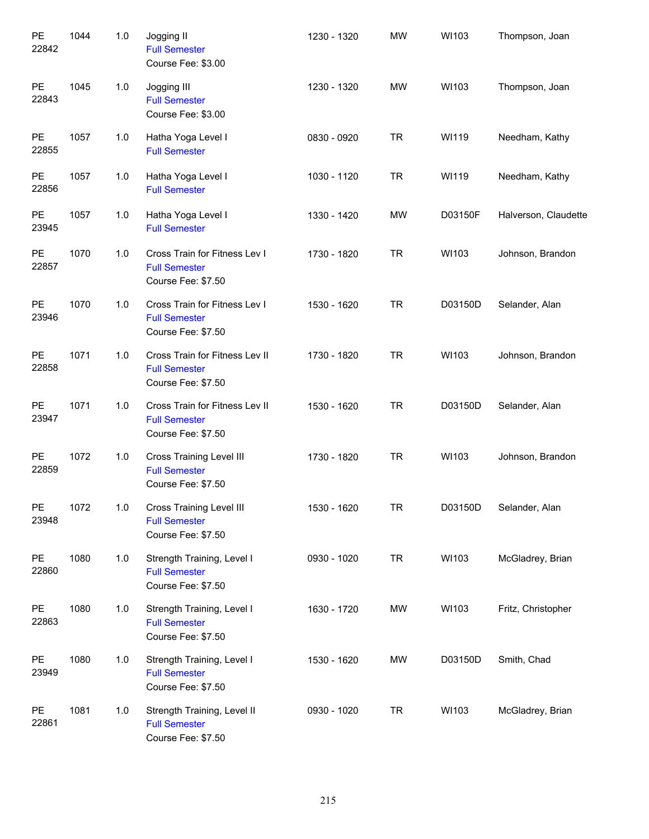| PE<br>22842        | 1044 | 1.0 | Jogging II<br><b>Full Semester</b><br>Course Fee: \$3.00                      | 1230 - 1320 | <b>MW</b> | WI103   | Thompson, Joan       |
|--------------------|------|-----|-------------------------------------------------------------------------------|-------------|-----------|---------|----------------------|
| PE<br>22843        | 1045 | 1.0 | Jogging III<br><b>Full Semester</b><br>Course Fee: \$3.00                     | 1230 - 1320 | MW        | WI103   | Thompson, Joan       |
| PE<br>22855        | 1057 | 1.0 | Hatha Yoga Level I<br><b>Full Semester</b>                                    | 0830 - 0920 | <b>TR</b> | WI119   | Needham, Kathy       |
| PE<br>22856        | 1057 | 1.0 | Hatha Yoga Level I<br><b>Full Semester</b>                                    | 1030 - 1120 | <b>TR</b> | WI119   | Needham, Kathy       |
| <b>PE</b><br>23945 | 1057 | 1.0 | Hatha Yoga Level I<br><b>Full Semester</b>                                    | 1330 - 1420 | <b>MW</b> | D03150F | Halverson, Claudette |
| <b>PE</b><br>22857 | 1070 | 1.0 | Cross Train for Fitness Lev I<br><b>Full Semester</b><br>Course Fee: \$7.50   | 1730 - 1820 | <b>TR</b> | WI103   | Johnson, Brandon     |
| <b>PE</b><br>23946 | 1070 | 1.0 | Cross Train for Fitness Lev I<br><b>Full Semester</b><br>Course Fee: \$7.50   | 1530 - 1620 | <b>TR</b> | D03150D | Selander, Alan       |
| <b>PE</b><br>22858 | 1071 | 1.0 | Cross Train for Fitness Lev II<br><b>Full Semester</b><br>Course Fee: \$7.50  | 1730 - 1820 | <b>TR</b> | WI103   | Johnson, Brandon     |
| <b>PE</b><br>23947 | 1071 | 1.0 | Cross Train for Fitness Lev II<br><b>Full Semester</b><br>Course Fee: \$7.50  | 1530 - 1620 | <b>TR</b> | D03150D | Selander, Alan       |
| PE<br>22859        | 1072 | 1.0 | Cross Training Level III<br><b>Full Semester</b><br>Course Fee: \$7.50        | 1730 - 1820 | <b>TR</b> | WI103   | Johnson, Brandon     |
| PE<br>23948        | 1072 | 1.0 | <b>Cross Training Level III</b><br><b>Full Semester</b><br>Course Fee: \$7.50 | 1530 - 1620 | TR        | D03150D | Selander, Alan       |
| PE<br>22860        | 1080 | 1.0 | Strength Training, Level I<br><b>Full Semester</b><br>Course Fee: \$7.50      | 0930 - 1020 | <b>TR</b> | WI103   | McGladrey, Brian     |
| PE<br>22863        | 1080 | 1.0 | Strength Training, Level I<br><b>Full Semester</b><br>Course Fee: \$7.50      | 1630 - 1720 | MW        | WI103   | Fritz, Christopher   |
| PE<br>23949        | 1080 | 1.0 | Strength Training, Level I<br><b>Full Semester</b><br>Course Fee: \$7.50      | 1530 - 1620 | MW        | D03150D | Smith, Chad          |
| PE<br>22861        | 1081 | 1.0 | Strength Training, Level II<br><b>Full Semester</b><br>Course Fee: \$7.50     | 0930 - 1020 | <b>TR</b> | WI103   | McGladrey, Brian     |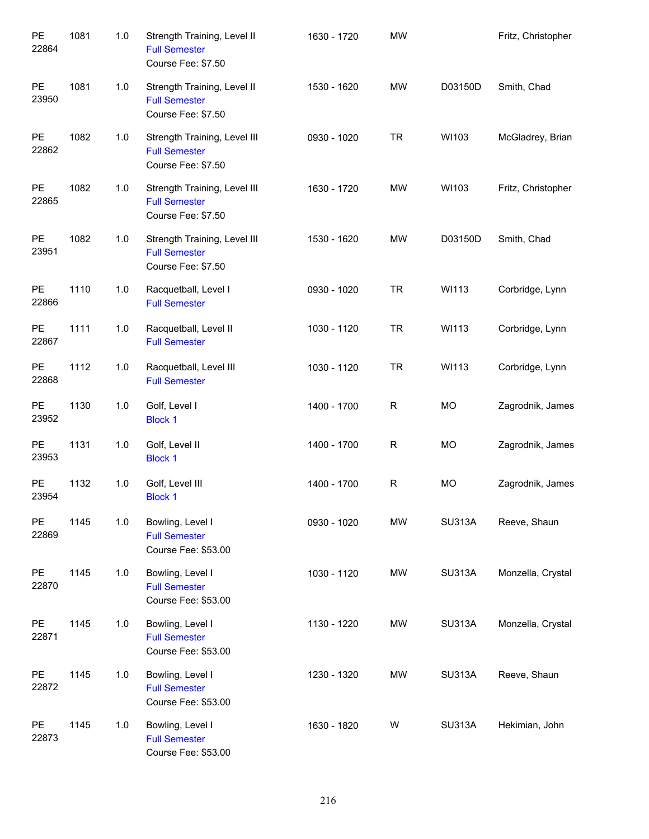| PE<br>22864        | 1081 | 1.0 | Strength Training, Level II<br><b>Full Semester</b><br>Course Fee: \$7.50  | 1630 - 1720 | <b>MW</b>   |               | Fritz, Christopher |
|--------------------|------|-----|----------------------------------------------------------------------------|-------------|-------------|---------------|--------------------|
| PE<br>23950        | 1081 | 1.0 | Strength Training, Level II<br><b>Full Semester</b><br>Course Fee: \$7.50  | 1530 - 1620 | <b>MW</b>   | D03150D       | Smith, Chad        |
| <b>PE</b><br>22862 | 1082 | 1.0 | Strength Training, Level III<br><b>Full Semester</b><br>Course Fee: \$7.50 | 0930 - 1020 | <b>TR</b>   | WI103         | McGladrey, Brian   |
| PE<br>22865        | 1082 | 1.0 | Strength Training, Level III<br><b>Full Semester</b><br>Course Fee: \$7.50 | 1630 - 1720 | <b>MW</b>   | WI103         | Fritz, Christopher |
| PE<br>23951        | 1082 | 1.0 | Strength Training, Level III<br><b>Full Semester</b><br>Course Fee: \$7.50 | 1530 - 1620 | <b>MW</b>   | D03150D       | Smith, Chad        |
| PE<br>22866        | 1110 | 1.0 | Racquetball, Level I<br><b>Full Semester</b>                               | 0930 - 1020 | <b>TR</b>   | WI113         | Corbridge, Lynn    |
| PE<br>22867        | 1111 | 1.0 | Racquetball, Level II<br><b>Full Semester</b>                              | 1030 - 1120 | <b>TR</b>   | WI113         | Corbridge, Lynn    |
| PE<br>22868        | 1112 | 1.0 | Racquetball, Level III<br><b>Full Semester</b>                             | 1030 - 1120 | <b>TR</b>   | WI113         | Corbridge, Lynn    |
| PE<br>23952        | 1130 | 1.0 | Golf, Level I<br><b>Block 1</b>                                            | 1400 - 1700 | R           | <b>MO</b>     | Zagrodnik, James   |
| <b>PE</b><br>23953 | 1131 | 1.0 | Golf, Level II<br><b>Block 1</b>                                           | 1400 - 1700 | R           | <b>MO</b>     | Zagrodnik, James   |
| <b>PE</b><br>23954 | 1132 | 1.0 | Golf, Level III<br><b>Block 1</b>                                          | 1400 - 1700 | $\mathsf R$ | <b>MO</b>     | Zagrodnik, James   |
| <b>PE</b><br>22869 | 1145 | 1.0 | Bowling, Level I<br><b>Full Semester</b><br>Course Fee: \$53.00            | 0930 - 1020 | <b>MW</b>   | <b>SU313A</b> | Reeve, Shaun       |
| PE<br>22870        | 1145 | 1.0 | Bowling, Level I<br><b>Full Semester</b><br>Course Fee: \$53.00            | 1030 - 1120 | <b>MW</b>   | <b>SU313A</b> | Monzella, Crystal  |
| PE<br>22871        | 1145 | 1.0 | Bowling, Level I<br><b>Full Semester</b><br>Course Fee: \$53.00            | 1130 - 1220 | <b>MW</b>   | <b>SU313A</b> | Monzella, Crystal  |
| PE<br>22872        | 1145 | 1.0 | Bowling, Level I<br><b>Full Semester</b><br>Course Fee: \$53.00            | 1230 - 1320 | <b>MW</b>   | <b>SU313A</b> | Reeve, Shaun       |
| PE<br>22873        | 1145 | 1.0 | Bowling, Level I<br><b>Full Semester</b><br>Course Fee: \$53.00            | 1630 - 1820 | W           | <b>SU313A</b> | Hekimian, John     |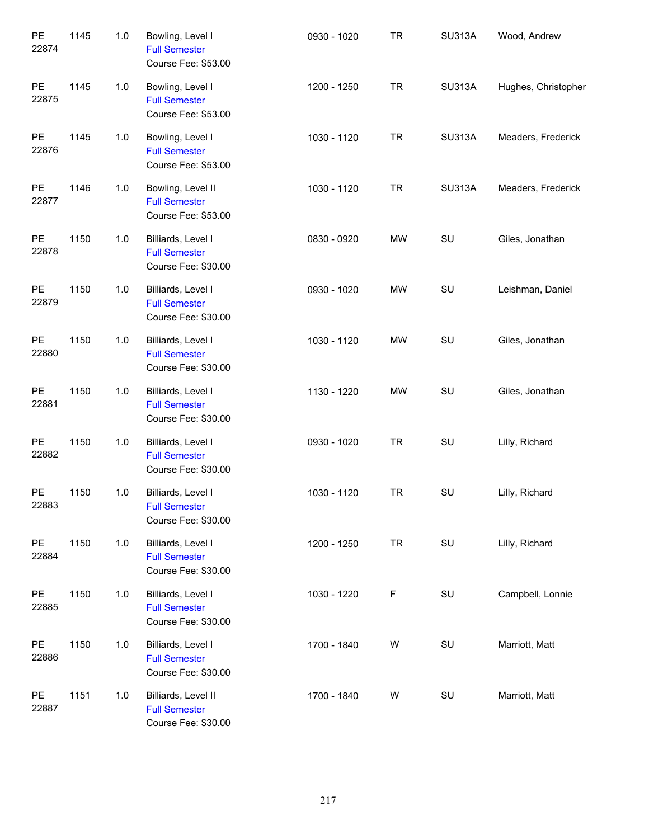| PE<br>22874        | 1145 | 1.0   | Bowling, Level I<br><b>Full Semester</b><br>Course Fee: \$53.00    | 0930 - 1020 | <b>TR</b>   | <b>SU313A</b> | Wood, Andrew        |
|--------------------|------|-------|--------------------------------------------------------------------|-------------|-------------|---------------|---------------------|
| PE<br>22875        | 1145 | 1.0   | Bowling, Level I<br><b>Full Semester</b><br>Course Fee: \$53.00    | 1200 - 1250 | <b>TR</b>   | <b>SU313A</b> | Hughes, Christopher |
| PE<br>22876        | 1145 | 1.0   | Bowling, Level I<br><b>Full Semester</b><br>Course Fee: \$53.00    | 1030 - 1120 | <b>TR</b>   | <b>SU313A</b> | Meaders, Frederick  |
| PE<br>22877        | 1146 | 1.0   | Bowling, Level II<br><b>Full Semester</b><br>Course Fee: \$53.00   | 1030 - 1120 | <b>TR</b>   | <b>SU313A</b> | Meaders, Frederick  |
| PE<br>22878        | 1150 | 1.0   | Billiards, Level I<br><b>Full Semester</b><br>Course Fee: \$30.00  | 0830 - 0920 | MW          | SU            | Giles, Jonathan     |
| PE<br>22879        | 1150 | 1.0   | Billiards, Level I<br><b>Full Semester</b><br>Course Fee: \$30.00  | 0930 - 1020 | MW          | SU            | Leishman, Daniel    |
| PE<br>22880        | 1150 | 1.0   | Billiards, Level I<br><b>Full Semester</b><br>Course Fee: \$30.00  | 1030 - 1120 | <b>MW</b>   | SU            | Giles, Jonathan     |
| PE<br>22881        | 1150 | $1.0$ | Billiards, Level I<br><b>Full Semester</b><br>Course Fee: \$30.00  | 1130 - 1220 | <b>MW</b>   | SU            | Giles, Jonathan     |
| PE<br>22882        | 1150 | $1.0$ | Billiards, Level I<br><b>Full Semester</b><br>Course Fee: \$30.00  | 0930 - 1020 | <b>TR</b>   | SU            | Lilly, Richard      |
| <b>PE</b><br>22883 | 1150 | 1.0   | Billiards, Level I<br><b>Full Semester</b><br>Course Fee: \$30.00  | 1030 - 1120 | <b>TR</b>   | SU            | Lilly, Richard      |
| PE<br>22884        | 1150 | 1.0   | Billiards, Level I<br><b>Full Semester</b><br>Course Fee: \$30.00  | 1200 - 1250 | <b>TR</b>   | SU            | Lilly, Richard      |
| PE<br>22885        | 1150 | 1.0   | Billiards, Level I<br><b>Full Semester</b><br>Course Fee: \$30.00  | 1030 - 1220 | $\mathsf F$ | SU            | Campbell, Lonnie    |
| PE<br>22886        | 1150 | 1.0   | Billiards, Level I<br><b>Full Semester</b><br>Course Fee: \$30.00  | 1700 - 1840 | W           | SU            | Marriott, Matt      |
| PE<br>22887        | 1151 | 1.0   | Billiards, Level II<br><b>Full Semester</b><br>Course Fee: \$30.00 | 1700 - 1840 | W           | SU            | Marriott, Matt      |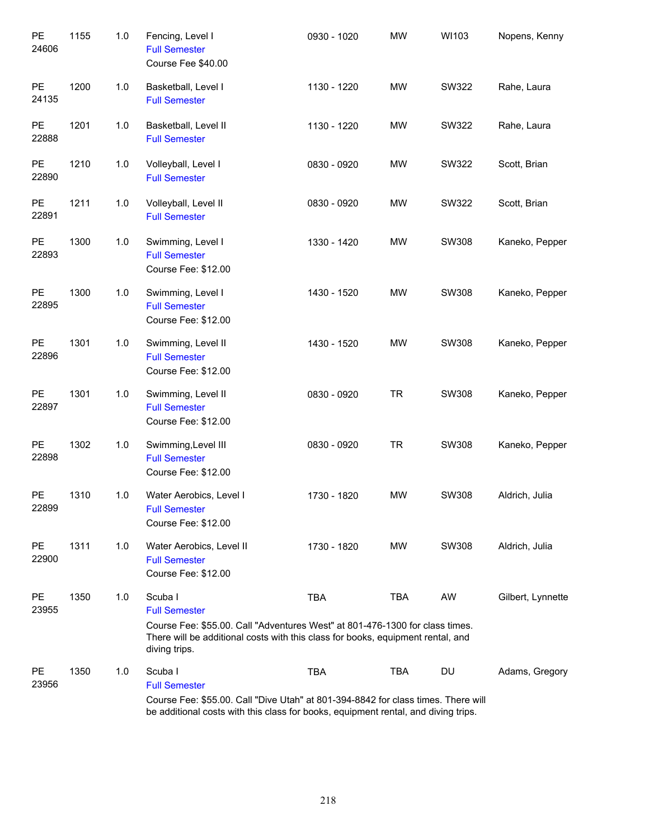| PE<br>24606        | 1155 | 1.0 | Fencing, Level I<br><b>Full Semester</b><br>Course Fee \$40.00                                                                                                                                                      | 0930 - 1020 | <b>MW</b>  | WI103 | Nopens, Kenny     |
|--------------------|------|-----|---------------------------------------------------------------------------------------------------------------------------------------------------------------------------------------------------------------------|-------------|------------|-------|-------------------|
| PE<br>24135        | 1200 | 1.0 | Basketball, Level I<br><b>Full Semester</b>                                                                                                                                                                         | 1130 - 1220 | <b>MW</b>  | SW322 | Rahe, Laura       |
| PE<br>22888        | 1201 | 1.0 | Basketball, Level II<br><b>Full Semester</b>                                                                                                                                                                        | 1130 - 1220 | <b>MW</b>  | SW322 | Rahe, Laura       |
| <b>PE</b><br>22890 | 1210 | 1.0 | Volleyball, Level I<br><b>Full Semester</b>                                                                                                                                                                         | 0830 - 0920 | <b>MW</b>  | SW322 | Scott, Brian      |
| PE<br>22891        | 1211 | 1.0 | Volleyball, Level II<br><b>Full Semester</b>                                                                                                                                                                        | 0830 - 0920 | <b>MW</b>  | SW322 | Scott, Brian      |
| <b>PE</b><br>22893 | 1300 | 1.0 | Swimming, Level I<br><b>Full Semester</b><br>Course Fee: \$12.00                                                                                                                                                    | 1330 - 1420 | <b>MW</b>  | SW308 | Kaneko, Pepper    |
| PE<br>22895        | 1300 | 1.0 | Swimming, Level I<br><b>Full Semester</b><br>Course Fee: \$12.00                                                                                                                                                    | 1430 - 1520 | <b>MW</b>  | SW308 | Kaneko, Pepper    |
| PE<br>22896        | 1301 | 1.0 | Swimming, Level II<br><b>Full Semester</b><br>Course Fee: \$12.00                                                                                                                                                   | 1430 - 1520 | <b>MW</b>  | SW308 | Kaneko, Pepper    |
| PE<br>22897        | 1301 | 1.0 | Swimming, Level II<br><b>Full Semester</b><br>Course Fee: \$12.00                                                                                                                                                   | 0830 - 0920 | <b>TR</b>  | SW308 | Kaneko, Pepper    |
| PE<br>22898        | 1302 | 1.0 | Swimming, Level III<br><b>Full Semester</b><br>Course Fee: \$12.00                                                                                                                                                  | 0830 - 0920 | <b>TR</b>  | SW308 | Kaneko, Pepper    |
| PE<br>22899        | 1310 | 1.0 | Water Aerobics, Level I<br><b>Full Semester</b><br>Course Fee: \$12.00                                                                                                                                              | 1730 - 1820 | <b>MW</b>  | SW308 | Aldrich, Julia    |
| PE<br>22900        | 1311 | 1.0 | Water Aerobics, Level II<br><b>Full Semester</b><br>Course Fee: \$12.00                                                                                                                                             | 1730 - 1820 | MW         | SW308 | Aldrich, Julia    |
| PE<br>23955        | 1350 | 1.0 | Scuba I<br><b>Full Semester</b><br>Course Fee: \$55.00. Call "Adventures West" at 801-476-1300 for class times.<br>There will be additional costs with this class for books, equipment rental, and<br>diving trips. | <b>TBA</b>  | <b>TBA</b> | AW    | Gilbert, Lynnette |
| <b>PE</b><br>23956 | 1350 | 1.0 | Scuba I<br><b>Full Semester</b><br>Course Fee: \$55.00. Call "Dive Utah" at 801-394-8842 for class times. There will<br>be additional costs with this class for books, equipment rental, and diving trips.          | <b>TBA</b>  | <b>TBA</b> | DU    | Adams, Gregory    |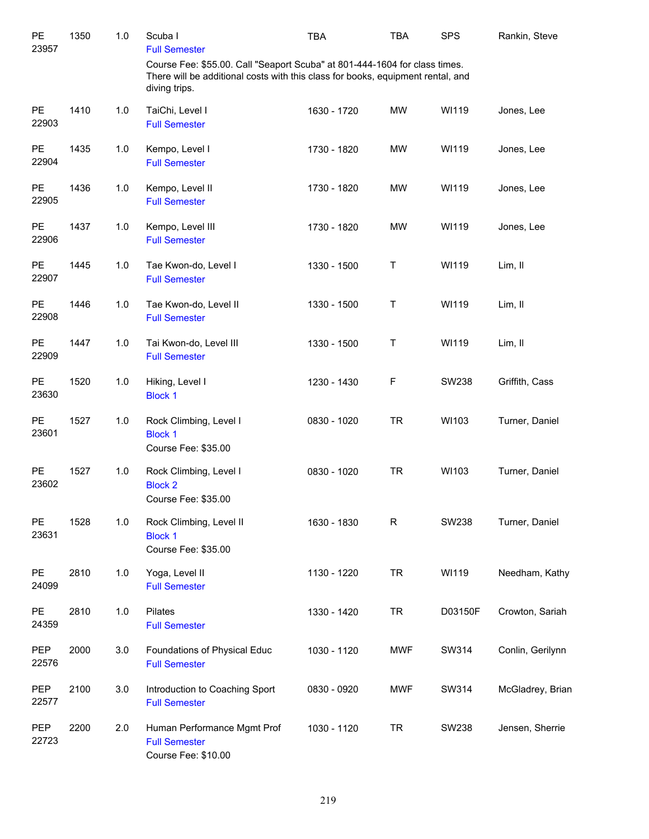| PE<br>23957         | 1350 | 1.0 | Scuba I<br><b>Full Semester</b>                                                                                                                                                | <b>TBA</b>  | TBA          | <b>SPS</b>   | Rankin, Steve    |
|---------------------|------|-----|--------------------------------------------------------------------------------------------------------------------------------------------------------------------------------|-------------|--------------|--------------|------------------|
|                     |      |     | Course Fee: \$55.00. Call "Seaport Scuba" at 801-444-1604 for class times.<br>There will be additional costs with this class for books, equipment rental, and<br>diving trips. |             |              |              |                  |
| <b>PE</b><br>22903  | 1410 | 1.0 | TaiChi, Level I<br><b>Full Semester</b>                                                                                                                                        | 1630 - 1720 | <b>MW</b>    | WI119        | Jones, Lee       |
| PE<br>22904         | 1435 | 1.0 | Kempo, Level I<br><b>Full Semester</b>                                                                                                                                         | 1730 - 1820 | <b>MW</b>    | WI119        | Jones, Lee       |
| PE<br>22905         | 1436 | 1.0 | Kempo, Level II<br><b>Full Semester</b>                                                                                                                                        | 1730 - 1820 | <b>MW</b>    | WI119        | Jones, Lee       |
| PE<br>22906         | 1437 | 1.0 | Kempo, Level III<br><b>Full Semester</b>                                                                                                                                       | 1730 - 1820 | <b>MW</b>    | WI119        | Jones, Lee       |
| PE<br>22907         | 1445 | 1.0 | Tae Kwon-do, Level I<br><b>Full Semester</b>                                                                                                                                   | 1330 - 1500 | Τ            | WI119        | Lim, II          |
| PE<br>22908         | 1446 | 1.0 | Tae Kwon-do, Level II<br><b>Full Semester</b>                                                                                                                                  | 1330 - 1500 | T            | WI119        | Lim, II          |
| PE<br>22909         | 1447 | 1.0 | Tai Kwon-do, Level III<br><b>Full Semester</b>                                                                                                                                 | 1330 - 1500 | T            | WI119        | Lim, II          |
| PE<br>23630         | 1520 | 1.0 | Hiking, Level I<br><b>Block 1</b>                                                                                                                                              | 1230 - 1430 | F            | SW238        | Griffith, Cass   |
| PE<br>23601         | 1527 | 1.0 | Rock Climbing, Level I<br><b>Block 1</b><br>Course Fee: \$35.00                                                                                                                | 0830 - 1020 | <b>TR</b>    | WI103        | Turner, Daniel   |
| PE<br>23602         | 1527 | 1.0 | Rock Climbing, Level I<br><b>Block 2</b><br>Course Fee: \$35.00                                                                                                                | 0830 - 1020 | <b>TR</b>    | WI103        | Turner, Daniel   |
| PE<br>23631         | 1528 | 1.0 | Rock Climbing, Level II<br><b>Block 1</b><br>Course Fee: \$35.00                                                                                                               | 1630 - 1830 | $\mathsf{R}$ | <b>SW238</b> | Turner, Daniel   |
| PE<br>24099         | 2810 | 1.0 | Yoga, Level II<br><b>Full Semester</b>                                                                                                                                         | 1130 - 1220 | <b>TR</b>    | WI119        | Needham, Kathy   |
| PE<br>24359         | 2810 | 1.0 | Pilates<br><b>Full Semester</b>                                                                                                                                                | 1330 - 1420 | <b>TR</b>    | D03150F      | Crowton, Sariah  |
| PEP<br>22576        | 2000 | 3.0 | Foundations of Physical Educ<br><b>Full Semester</b>                                                                                                                           | 1030 - 1120 | <b>MWF</b>   | SW314        | Conlin, Gerilynn |
| <b>PEP</b><br>22577 | 2100 | 3.0 | Introduction to Coaching Sport<br><b>Full Semester</b>                                                                                                                         | 0830 - 0920 | <b>MWF</b>   | SW314        | McGladrey, Brian |
| PEP<br>22723        | 2200 | 2.0 | Human Performance Mgmt Prof<br><b>Full Semester</b><br>Course Fee: \$10.00                                                                                                     | 1030 - 1120 | <b>TR</b>    | <b>SW238</b> | Jensen, Sherrie  |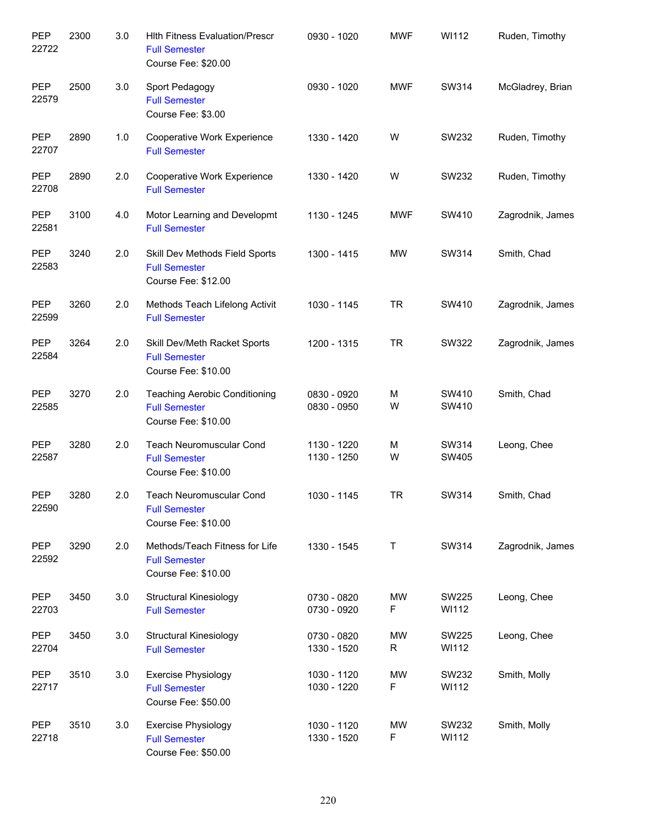| PEP<br>22722        | 2300 | 3.0 | <b>Hith Fitness Evaluation/Prescr</b><br><b>Full Semester</b><br>Course Fee: \$20.00 | 0930 - 1020                | <b>MWF</b> | WI112          | Ruden, Timothy   |
|---------------------|------|-----|--------------------------------------------------------------------------------------|----------------------------|------------|----------------|------------------|
| <b>PEP</b><br>22579 | 2500 | 3.0 | Sport Pedagogy<br><b>Full Semester</b><br>Course Fee: \$3.00                         | 0930 - 1020                | <b>MWF</b> | SW314          | McGladrey, Brian |
| <b>PEP</b><br>22707 | 2890 | 1.0 | Cooperative Work Experience<br><b>Full Semester</b>                                  | 1330 - 1420                | W          | SW232          | Ruden, Timothy   |
| PEP<br>22708        | 2890 | 2.0 | Cooperative Work Experience<br><b>Full Semester</b>                                  | 1330 - 1420                | W          | SW232          | Ruden, Timothy   |
| <b>PEP</b><br>22581 | 3100 | 4.0 | Motor Learning and Developmt<br><b>Full Semester</b>                                 | 1130 - 1245                | MWF        | SW410          | Zagrodnik, James |
| <b>PEP</b><br>22583 | 3240 | 2.0 | Skill Dev Methods Field Sports<br><b>Full Semester</b><br>Course Fee: \$12.00        | 1300 - 1415                | <b>MW</b>  | SW314          | Smith, Chad      |
| <b>PEP</b><br>22599 | 3260 | 2.0 | Methods Teach Lifelong Activit<br><b>Full Semester</b>                               | 1030 - 1145                | <b>TR</b>  | SW410          | Zagrodnik, James |
| <b>PEP</b><br>22584 | 3264 | 2.0 | Skill Dev/Meth Racket Sports<br><b>Full Semester</b><br>Course Fee: \$10.00          | 1200 - 1315                | <b>TR</b>  | SW322          | Zagrodnik, James |
| <b>PEP</b><br>22585 | 3270 | 2.0 | <b>Teaching Aerobic Conditioning</b><br><b>Full Semester</b><br>Course Fee: \$10.00  | 0830 - 0920<br>0830 - 0950 | M<br>W     | SW410<br>SW410 | Smith, Chad      |
| <b>PEP</b><br>22587 | 3280 | 2.0 | Teach Neuromuscular Cond<br><b>Full Semester</b><br>Course Fee: \$10.00              | 1130 - 1220<br>1130 - 1250 | M<br>W     | SW314<br>SW405 | Leong, Chee      |
| <b>PEP</b><br>22590 | 3280 | 2.0 | <b>Teach Neuromuscular Cond</b><br><b>Full Semester</b><br>Course Fee: \$10.00       | 1030 - 1145                | <b>TR</b>  | SW314          | Smith, Chad      |
| <b>PEP</b><br>22592 | 3290 | 2.0 | Methods/Teach Fitness for Life<br><b>Full Semester</b><br>Course Fee: \$10.00        | 1330 - 1545                | Τ          | SW314          | Zagrodnik, James |
| PEP<br>22703        | 3450 | 3.0 | <b>Structural Kinesiology</b><br><b>Full Semester</b>                                | 0730 - 0820<br>0730 - 0920 | MW<br>F    | SW225<br>WI112 | Leong, Chee      |
| <b>PEP</b><br>22704 | 3450 | 3.0 | <b>Structural Kinesiology</b><br><b>Full Semester</b>                                | 0730 - 0820<br>1330 - 1520 | MW<br>R    | SW225<br>WI112 | Leong, Chee      |
| <b>PEP</b><br>22717 | 3510 | 3.0 | <b>Exercise Physiology</b><br><b>Full Semester</b><br>Course Fee: \$50.00            | 1030 - 1120<br>1030 - 1220 | MW<br>F    | SW232<br>WI112 | Smith, Molly     |
| <b>PEP</b><br>22718 | 3510 | 3.0 | <b>Exercise Physiology</b><br><b>Full Semester</b><br>Course Fee: \$50.00            | 1030 - 1120<br>1330 - 1520 | MW<br>F    | SW232<br>WI112 | Smith, Molly     |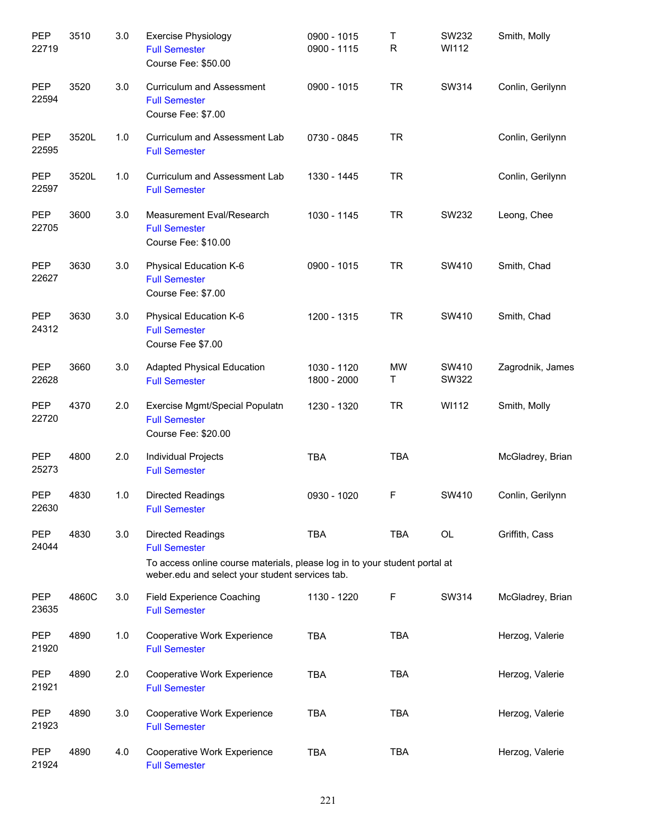| PEP<br>22719        | 3510  | 3.0 | <b>Exercise Physiology</b><br><b>Full Semester</b><br>Course Fee: \$50.00                                                                                                         | 0900 - 1015<br>0900 - 1115 | Τ<br>R         | SW232<br>WI112 | Smith, Molly     |
|---------------------|-------|-----|-----------------------------------------------------------------------------------------------------------------------------------------------------------------------------------|----------------------------|----------------|----------------|------------------|
| PEP<br>22594        | 3520  | 3.0 | <b>Curriculum and Assessment</b><br><b>Full Semester</b><br>Course Fee: \$7.00                                                                                                    | 0900 - 1015                | <b>TR</b>      | SW314          | Conlin, Gerilynn |
| PEP<br>22595        | 3520L | 1.0 | Curriculum and Assessment Lab<br><b>Full Semester</b>                                                                                                                             | 0730 - 0845                | <b>TR</b>      |                | Conlin, Gerilynn |
| <b>PEP</b><br>22597 | 3520L | 1.0 | Curriculum and Assessment Lab<br><b>Full Semester</b>                                                                                                                             | 1330 - 1445                | <b>TR</b>      |                | Conlin, Gerilynn |
| <b>PEP</b><br>22705 | 3600  | 3.0 | Measurement Eval/Research<br><b>Full Semester</b><br>Course Fee: \$10.00                                                                                                          | 1030 - 1145                | <b>TR</b>      | SW232          | Leong, Chee      |
| <b>PEP</b><br>22627 | 3630  | 3.0 | Physical Education K-6<br><b>Full Semester</b><br>Course Fee: \$7.00                                                                                                              | 0900 - 1015                | <b>TR</b>      | SW410          | Smith, Chad      |
| <b>PEP</b><br>24312 | 3630  | 3.0 | Physical Education K-6<br><b>Full Semester</b><br>Course Fee \$7.00                                                                                                               | 1200 - 1315                | <b>TR</b>      | SW410          | Smith, Chad      |
| <b>PEP</b><br>22628 | 3660  | 3.0 | <b>Adapted Physical Education</b><br><b>Full Semester</b>                                                                                                                         | 1030 - 1120<br>1800 - 2000 | <b>MW</b><br>Τ | SW410<br>SW322 | Zagrodnik, James |
| <b>PEP</b><br>22720 | 4370  | 2.0 | Exercise Mgmt/Special Populatn<br><b>Full Semester</b><br>Course Fee: \$20.00                                                                                                     | 1230 - 1320                | <b>TR</b>      | WI112          | Smith, Molly     |
| <b>PEP</b><br>25273 | 4800  | 2.0 | Individual Projects<br><b>Full Semester</b>                                                                                                                                       | <b>TBA</b>                 | <b>TBA</b>     |                | McGladrey, Brian |
| <b>PEP</b><br>22630 | 4830  | 1.0 | <b>Directed Readings</b><br><b>Full Semester</b>                                                                                                                                  | 0930 - 1020                | F              | SW410          | Conlin, Gerilynn |
| <b>PEP</b><br>24044 | 4830  | 3.0 | <b>Directed Readings</b><br><b>Full Semester</b><br>To access online course materials, please log in to your student portal at<br>weber.edu and select your student services tab. | <b>TBA</b>                 | <b>TBA</b>     | <b>OL</b>      | Griffith, Cass   |
| <b>PEP</b><br>23635 | 4860C | 3.0 | Field Experience Coaching<br><b>Full Semester</b>                                                                                                                                 | 1130 - 1220                | F              | SW314          | McGladrey, Brian |
| <b>PEP</b><br>21920 | 4890  | 1.0 | Cooperative Work Experience<br><b>Full Semester</b>                                                                                                                               | <b>TBA</b>                 | <b>TBA</b>     |                | Herzog, Valerie  |
| <b>PEP</b><br>21921 | 4890  | 2.0 | Cooperative Work Experience<br><b>Full Semester</b>                                                                                                                               | <b>TBA</b>                 | <b>TBA</b>     |                | Herzog, Valerie  |
| <b>PEP</b><br>21923 | 4890  | 3.0 | Cooperative Work Experience<br><b>Full Semester</b>                                                                                                                               | <b>TBA</b>                 | <b>TBA</b>     |                | Herzog, Valerie  |
| <b>PEP</b><br>21924 | 4890  | 4.0 | Cooperative Work Experience<br><b>Full Semester</b>                                                                                                                               | <b>TBA</b>                 | <b>TBA</b>     |                | Herzog, Valerie  |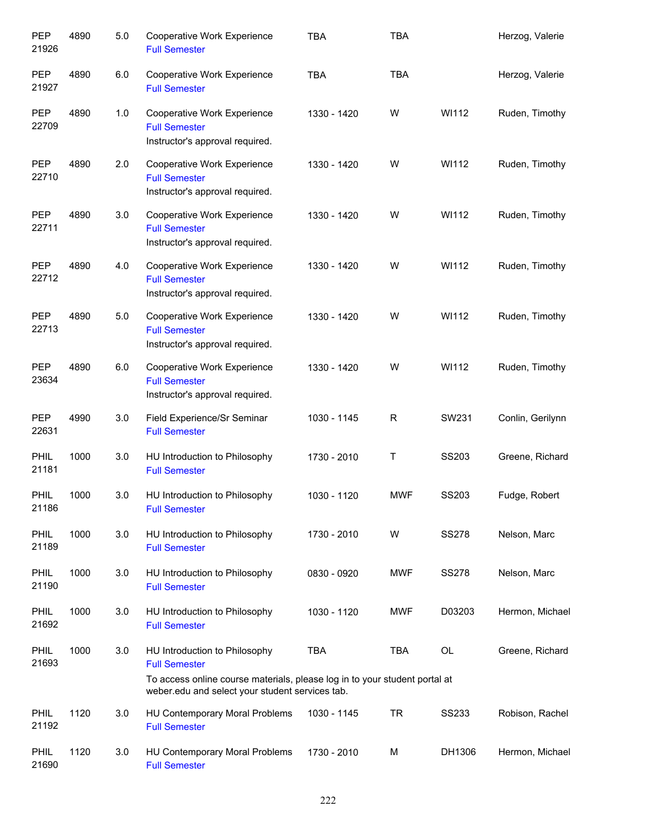| PEP<br>21926         | 4890 | 5.0 | Cooperative Work Experience<br><b>Full Semester</b>                                                                                                                                    | <b>TBA</b>  | <b>TBA</b> |              | Herzog, Valerie  |
|----------------------|------|-----|----------------------------------------------------------------------------------------------------------------------------------------------------------------------------------------|-------------|------------|--------------|------------------|
| <b>PEP</b><br>21927  | 4890 | 6.0 | Cooperative Work Experience<br><b>Full Semester</b>                                                                                                                                    | <b>TBA</b>  | <b>TBA</b> |              | Herzog, Valerie  |
| <b>PEP</b><br>22709  | 4890 | 1.0 | Cooperative Work Experience<br><b>Full Semester</b><br>Instructor's approval required.                                                                                                 | 1330 - 1420 | W          | WI112        | Ruden, Timothy   |
| <b>PEP</b><br>22710  | 4890 | 2.0 | Cooperative Work Experience<br><b>Full Semester</b><br>Instructor's approval required.                                                                                                 | 1330 - 1420 | W          | WI112        | Ruden, Timothy   |
| <b>PEP</b><br>22711  | 4890 | 3.0 | Cooperative Work Experience<br><b>Full Semester</b><br>Instructor's approval required.                                                                                                 | 1330 - 1420 | W          | WI112        | Ruden, Timothy   |
| <b>PEP</b><br>22712  | 4890 | 4.0 | Cooperative Work Experience<br><b>Full Semester</b><br>Instructor's approval required.                                                                                                 | 1330 - 1420 | W          | WI112        | Ruden, Timothy   |
| <b>PEP</b><br>22713  | 4890 | 5.0 | Cooperative Work Experience<br><b>Full Semester</b><br>Instructor's approval required.                                                                                                 | 1330 - 1420 | W          | WI112        | Ruden, Timothy   |
| <b>PEP</b><br>23634  | 4890 | 6.0 | Cooperative Work Experience<br><b>Full Semester</b><br>Instructor's approval required.                                                                                                 | 1330 - 1420 | W          | WI112        | Ruden, Timothy   |
| <b>PEP</b><br>22631  | 4990 | 3.0 | Field Experience/Sr Seminar<br><b>Full Semester</b>                                                                                                                                    | 1030 - 1145 | R          | SW231        | Conlin, Gerilynn |
| PHIL<br>21181        | 1000 | 3.0 | HU Introduction to Philosophy<br><b>Full Semester</b>                                                                                                                                  | 1730 - 2010 | T          | SS203        | Greene, Richard  |
| PHIL<br>21186        | 1000 | 3.0 | HU Introduction to Philosophy<br><b>Full Semester</b>                                                                                                                                  | 1030 - 1120 | <b>MWF</b> | SS203        | Fudge, Robert    |
| <b>PHIL</b><br>21189 | 1000 | 3.0 | HU Introduction to Philosophy<br><b>Full Semester</b>                                                                                                                                  | 1730 - 2010 | W          | <b>SS278</b> | Nelson, Marc     |
| PHIL<br>21190        | 1000 | 3.0 | HU Introduction to Philosophy<br><b>Full Semester</b>                                                                                                                                  | 0830 - 0920 | <b>MWF</b> | <b>SS278</b> | Nelson, Marc     |
| PHIL<br>21692        | 1000 | 3.0 | HU Introduction to Philosophy<br><b>Full Semester</b>                                                                                                                                  | 1030 - 1120 | <b>MWF</b> | D03203       | Hermon, Michael  |
| PHIL<br>21693        | 1000 | 3.0 | HU Introduction to Philosophy<br><b>Full Semester</b><br>To access online course materials, please log in to your student portal at<br>weber.edu and select your student services tab. | <b>TBA</b>  | <b>TBA</b> | OL           | Greene, Richard  |
| <b>PHIL</b><br>21192 | 1120 | 3.0 | HU Contemporary Moral Problems<br><b>Full Semester</b>                                                                                                                                 | 1030 - 1145 | <b>TR</b>  | <b>SS233</b> | Robison, Rachel  |
| <b>PHIL</b><br>21690 | 1120 | 3.0 | HU Contemporary Moral Problems<br><b>Full Semester</b>                                                                                                                                 | 1730 - 2010 | M          | DH1306       | Hermon, Michael  |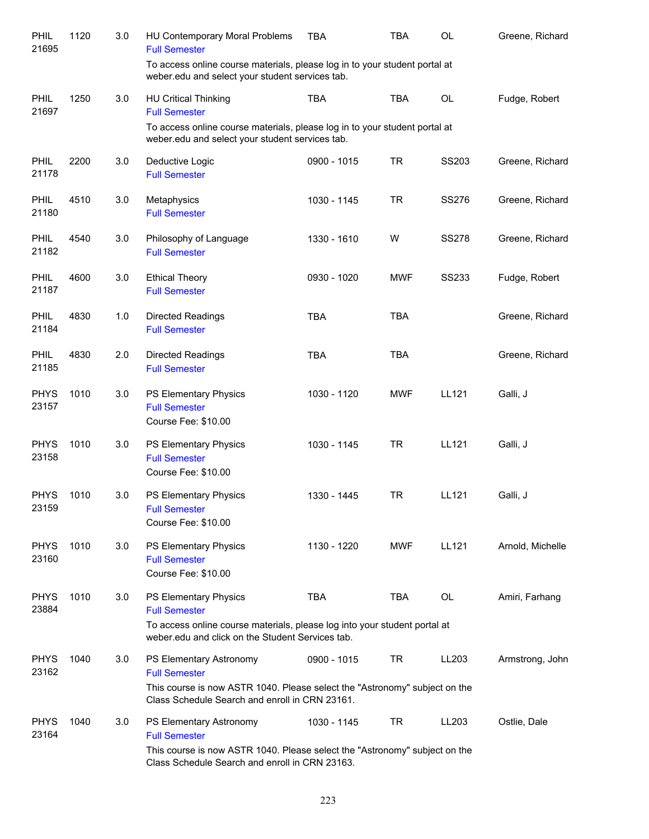| PHIL<br>21695        | 1120 | 3.0 | HU Contemporary Moral Problems<br><b>Full Semester</b>                                                                                                                          | <b>TBA</b>  | <b>TBA</b> | OL           | Greene, Richard  |
|----------------------|------|-----|---------------------------------------------------------------------------------------------------------------------------------------------------------------------------------|-------------|------------|--------------|------------------|
|                      |      |     | To access online course materials, please log in to your student portal at<br>weber.edu and select your student services tab.                                                   |             |            |              |                  |
| PHIL<br>21697        | 1250 | 3.0 | <b>HU Critical Thinking</b><br><b>Full Semester</b>                                                                                                                             | <b>TBA</b>  | <b>TBA</b> | <b>OL</b>    | Fudge, Robert    |
|                      |      |     | To access online course materials, please log in to your student portal at<br>weber.edu and select your student services tab.                                                   |             |            |              |                  |
| <b>PHIL</b><br>21178 | 2200 | 3.0 | Deductive Logic<br><b>Full Semester</b>                                                                                                                                         | 0900 - 1015 | <b>TR</b>  | SS203        | Greene, Richard  |
| <b>PHIL</b><br>21180 | 4510 | 3.0 | Metaphysics<br><b>Full Semester</b>                                                                                                                                             | 1030 - 1145 | <b>TR</b>  | <b>SS276</b> | Greene, Richard  |
| PHIL<br>21182        | 4540 | 3.0 | Philosophy of Language<br><b>Full Semester</b>                                                                                                                                  | 1330 - 1610 | W          | <b>SS278</b> | Greene, Richard  |
| PHIL<br>21187        | 4600 | 3.0 | <b>Ethical Theory</b><br><b>Full Semester</b>                                                                                                                                   | 0930 - 1020 | <b>MWF</b> | <b>SS233</b> | Fudge, Robert    |
| <b>PHIL</b><br>21184 | 4830 | 1.0 | <b>Directed Readings</b><br><b>Full Semester</b>                                                                                                                                | <b>TBA</b>  | <b>TBA</b> |              | Greene, Richard  |
| <b>PHIL</b><br>21185 | 4830 | 2.0 | <b>Directed Readings</b><br><b>Full Semester</b>                                                                                                                                | <b>TBA</b>  | <b>TBA</b> |              | Greene, Richard  |
| <b>PHYS</b><br>23157 | 1010 | 3.0 | PS Elementary Physics<br><b>Full Semester</b><br>Course Fee: \$10.00                                                                                                            | 1030 - 1120 | <b>MWF</b> | LL121        | Galli, J         |
| <b>PHYS</b><br>23158 | 1010 | 3.0 | PS Elementary Physics<br><b>Full Semester</b><br>Course Fee: \$10.00                                                                                                            | 1030 - 1145 | <b>TR</b>  | LL121        | Galli, J         |
| <b>PHYS</b><br>23159 | 1010 | 3.0 | PS Elementary Physics<br><b>Full Semester</b><br>Course Fee: \$10.00                                                                                                            | 1330 - 1445 | <b>TR</b>  | LL121        | Galli, J         |
| <b>PHYS</b><br>23160 | 1010 | 3.0 | PS Elementary Physics<br><b>Full Semester</b><br>Course Fee: \$10.00                                                                                                            | 1130 - 1220 | <b>MWF</b> | LL121        | Arnold, Michelle |
| <b>PHYS</b><br>23884 | 1010 | 3.0 | PS Elementary Physics<br><b>Full Semester</b><br>To access online course materials, please log into your student portal at<br>weber.edu and click on the Student Services tab.  | <b>TBA</b>  | <b>TBA</b> | <b>OL</b>    | Amiri, Farhang   |
| <b>PHYS</b><br>23162 | 1040 | 3.0 | PS Elementary Astronomy<br><b>Full Semester</b><br>This course is now ASTR 1040. Please select the "Astronomy" subject on the<br>Class Schedule Search and enroll in CRN 23161. | 0900 - 1015 | TR         | LL203        | Armstrong, John  |
| <b>PHYS</b><br>23164 | 1040 | 3.0 | PS Elementary Astronomy<br><b>Full Semester</b><br>This course is now ASTR 1040. Please select the "Astronomy" subject on the<br>Class Schedule Search and enroll in CRN 23163. | 1030 - 1145 | <b>TR</b>  | LL203        | Ostlie, Dale     |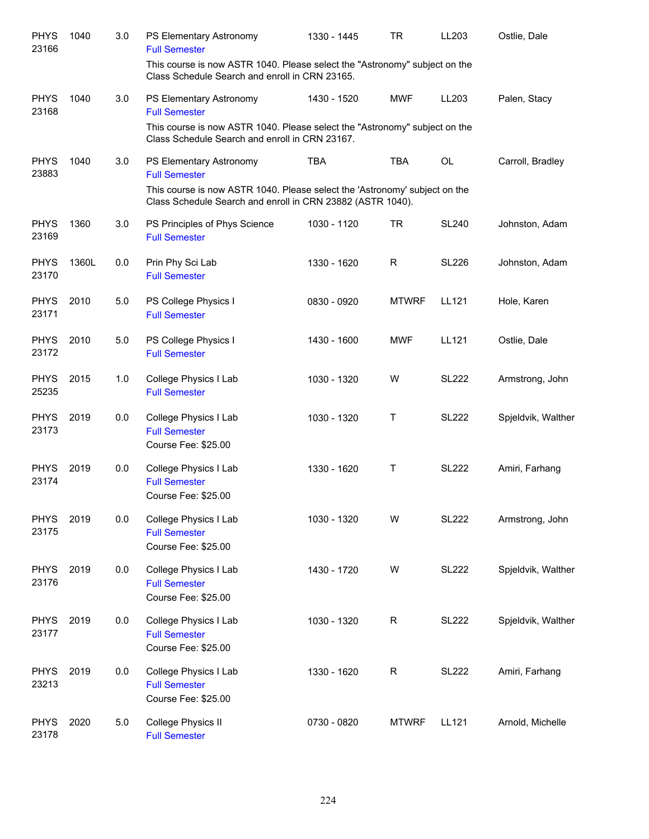| <b>PHYS</b><br>23166 | 1040  | 3.0 | PS Elementary Astronomy<br><b>Full Semester</b>                                                                               | 1330 - 1445 | <b>TR</b>    | LL203        | Ostlie, Dale       |
|----------------------|-------|-----|-------------------------------------------------------------------------------------------------------------------------------|-------------|--------------|--------------|--------------------|
|                      |       |     | This course is now ASTR 1040. Please select the "Astronomy" subject on the<br>Class Schedule Search and enroll in CRN 23165.  |             |              |              |                    |
| <b>PHYS</b><br>23168 | 1040  | 3.0 | PS Elementary Astronomy<br><b>Full Semester</b>                                                                               | 1430 - 1520 | <b>MWF</b>   | LL203        | Palen, Stacy       |
|                      |       |     | This course is now ASTR 1040. Please select the "Astronomy" subject on the<br>Class Schedule Search and enroll in CRN 23167.  |             |              |              |                    |
| <b>PHYS</b><br>23883 | 1040  | 3.0 | PS Elementary Astronomy<br><b>Full Semester</b><br>This course is now ASTR 1040. Please select the 'Astronomy' subject on the | <b>TBA</b>  | <b>TBA</b>   | OL           | Carroll, Bradley   |
| <b>PHYS</b>          | 1360  | 3.0 | Class Schedule Search and enroll in CRN 23882 (ASTR 1040).<br>PS Principles of Phys Science                                   | 1030 - 1120 | <b>TR</b>    | <b>SL240</b> | Johnston, Adam     |
| 23169                |       |     | <b>Full Semester</b>                                                                                                          |             |              |              |                    |
| <b>PHYS</b><br>23170 | 1360L | 0.0 | Prin Phy Sci Lab<br><b>Full Semester</b>                                                                                      | 1330 - 1620 | $\mathsf R$  | <b>SL226</b> | Johnston, Adam     |
| <b>PHYS</b><br>23171 | 2010  | 5.0 | PS College Physics I<br><b>Full Semester</b>                                                                                  | 0830 - 0920 | <b>MTWRF</b> | LL121        | Hole, Karen        |
| <b>PHYS</b><br>23172 | 2010  | 5.0 | PS College Physics I<br><b>Full Semester</b>                                                                                  | 1430 - 1600 | <b>MWF</b>   | LL121        | Ostlie, Dale       |
| <b>PHYS</b><br>25235 | 2015  | 1.0 | College Physics I Lab<br><b>Full Semester</b>                                                                                 | 1030 - 1320 | W            | <b>SL222</b> | Armstrong, John    |
| <b>PHYS</b><br>23173 | 2019  | 0.0 | College Physics I Lab<br><b>Full Semester</b><br>Course Fee: \$25.00                                                          | 1030 - 1320 | Τ            | <b>SL222</b> | Spjeldvik, Walther |
| <b>PHYS</b><br>23174 | 2019  | 0.0 | College Physics I Lab<br><b>Full Semester</b><br>Course Fee: \$25.00                                                          | 1330 - 1620 | T            | <b>SL222</b> | Amiri, Farhang     |
| <b>PHYS</b><br>23175 | 2019  | 0.0 | College Physics I Lab<br><b>Full Semester</b><br>Course Fee: \$25.00                                                          | 1030 - 1320 | W            | <b>SL222</b> | Armstrong, John    |
| <b>PHYS</b><br>23176 | 2019  | 0.0 | College Physics I Lab<br><b>Full Semester</b><br>Course Fee: \$25.00                                                          | 1430 - 1720 | W            | <b>SL222</b> | Spjeldvik, Walther |
| <b>PHYS</b><br>23177 | 2019  | 0.0 | College Physics I Lab<br><b>Full Semester</b><br>Course Fee: \$25.00                                                          | 1030 - 1320 | $\mathsf{R}$ | <b>SL222</b> | Spjeldvik, Walther |
| <b>PHYS</b><br>23213 | 2019  | 0.0 | College Physics I Lab<br><b>Full Semester</b><br>Course Fee: \$25.00                                                          | 1330 - 1620 | $\mathsf{R}$ | <b>SL222</b> | Amiri, Farhang     |
| <b>PHYS</b><br>23178 | 2020  | 5.0 | College Physics II<br><b>Full Semester</b>                                                                                    | 0730 - 0820 | <b>MTWRF</b> | LL121        | Arnold, Michelle   |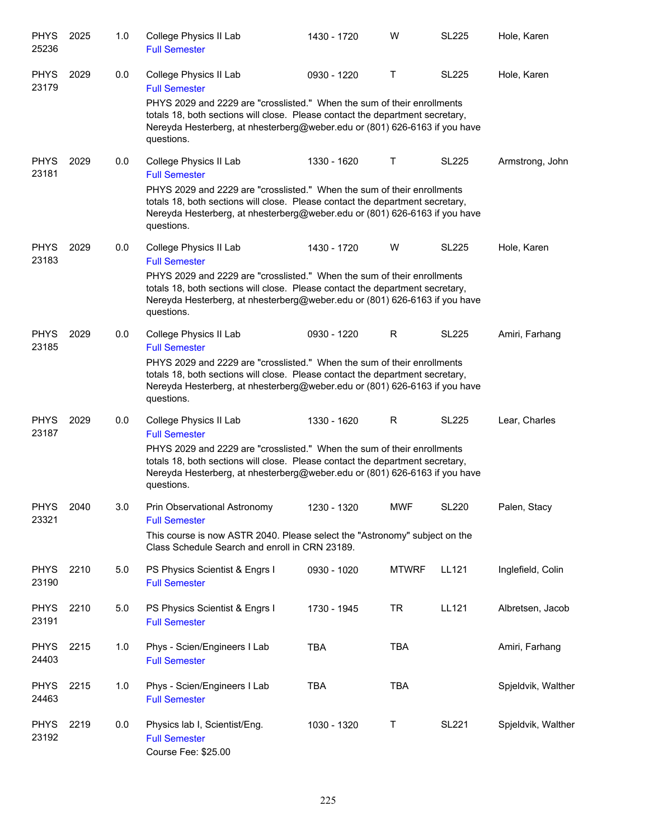| <b>PHYS</b><br>25236 | 2025 | 1.0 | College Physics II Lab<br><b>Full Semester</b>                                                                                                                                                                                                       | 1430 - 1720 | W            | <b>SL225</b> | Hole, Karen        |
|----------------------|------|-----|------------------------------------------------------------------------------------------------------------------------------------------------------------------------------------------------------------------------------------------------------|-------------|--------------|--------------|--------------------|
| <b>PHYS</b><br>23179 | 2029 | 0.0 | College Physics II Lab<br><b>Full Semester</b>                                                                                                                                                                                                       | 0930 - 1220 | Τ            | <b>SL225</b> | Hole, Karen        |
|                      |      |     | PHYS 2029 and 2229 are "crosslisted." When the sum of their enrollments<br>totals 18, both sections will close. Please contact the department secretary,<br>Nereyda Hesterberg, at nhesterberg@weber.edu or (801) 626-6163 if you have<br>questions. |             |              |              |                    |
| <b>PHYS</b><br>23181 | 2029 | 0.0 | College Physics II Lab<br><b>Full Semester</b>                                                                                                                                                                                                       | 1330 - 1620 | Τ            | <b>SL225</b> | Armstrong, John    |
|                      |      |     | PHYS 2029 and 2229 are "crosslisted." When the sum of their enrollments<br>totals 18, both sections will close. Please contact the department secretary,<br>Nereyda Hesterberg, at nhesterberg@weber.edu or (801) 626-6163 if you have<br>questions. |             |              |              |                    |
| <b>PHYS</b><br>23183 | 2029 | 0.0 | College Physics II Lab<br><b>Full Semester</b>                                                                                                                                                                                                       | 1430 - 1720 | W            | <b>SL225</b> | Hole, Karen        |
|                      |      |     | PHYS 2029 and 2229 are "crosslisted." When the sum of their enrollments<br>totals 18, both sections will close. Please contact the department secretary,<br>Nereyda Hesterberg, at nhesterberg@weber.edu or (801) 626-6163 if you have<br>questions. |             |              |              |                    |
| <b>PHYS</b><br>23185 | 2029 | 0.0 | College Physics II Lab<br><b>Full Semester</b>                                                                                                                                                                                                       | 0930 - 1220 | R            | <b>SL225</b> | Amiri, Farhang     |
|                      |      |     | PHYS 2029 and 2229 are "crosslisted." When the sum of their enrollments<br>totals 18, both sections will close. Please contact the department secretary,<br>Nereyda Hesterberg, at nhesterberg@weber.edu or (801) 626-6163 if you have<br>questions. |             |              |              |                    |
| <b>PHYS</b><br>23187 | 2029 | 0.0 | College Physics II Lab<br><b>Full Semester</b>                                                                                                                                                                                                       | 1330 - 1620 | R            | <b>SL225</b> | Lear, Charles      |
|                      |      |     | PHYS 2029 and 2229 are "crosslisted." When the sum of their enrollments<br>totals 18, both sections will close. Please contact the department secretary,<br>Nereyda Hesterberg, at nhesterberg@weber.edu or (801) 626-6163 if you have<br>questions. |             |              |              |                    |
| <b>PHYS</b><br>23321 | 2040 | 3.0 | Prin Observational Astronomy<br><b>Full Semester</b>                                                                                                                                                                                                 | 1230 - 1320 | MWF          | <b>SL220</b> | Palen, Stacy       |
|                      |      |     | This course is now ASTR 2040. Please select the "Astronomy" subject on the<br>Class Schedule Search and enroll in CRN 23189.                                                                                                                         |             |              |              |                    |
| <b>PHYS</b><br>23190 | 2210 | 5.0 | PS Physics Scientist & Engrs I<br><b>Full Semester</b>                                                                                                                                                                                               | 0930 - 1020 | <b>MTWRF</b> | LL121        | Inglefield, Colin  |
| <b>PHYS</b><br>23191 | 2210 | 5.0 | PS Physics Scientist & Engrs I<br><b>Full Semester</b>                                                                                                                                                                                               | 1730 - 1945 | <b>TR</b>    | <b>LL121</b> | Albretsen, Jacob   |
| <b>PHYS</b><br>24403 | 2215 | 1.0 | Phys - Scien/Engineers I Lab<br><b>Full Semester</b>                                                                                                                                                                                                 | <b>TBA</b>  | <b>TBA</b>   |              | Amiri, Farhang     |
| <b>PHYS</b><br>24463 | 2215 | 1.0 | Phys - Scien/Engineers I Lab<br><b>Full Semester</b>                                                                                                                                                                                                 | <b>TBA</b>  | <b>TBA</b>   |              | Spjeldvik, Walther |
| <b>PHYS</b><br>23192 | 2219 | 0.0 | Physics lab I, Scientist/Eng.<br><b>Full Semester</b><br>Course Fee: \$25.00                                                                                                                                                                         | 1030 - 1320 | Τ            | <b>SL221</b> | Spjeldvik, Walther |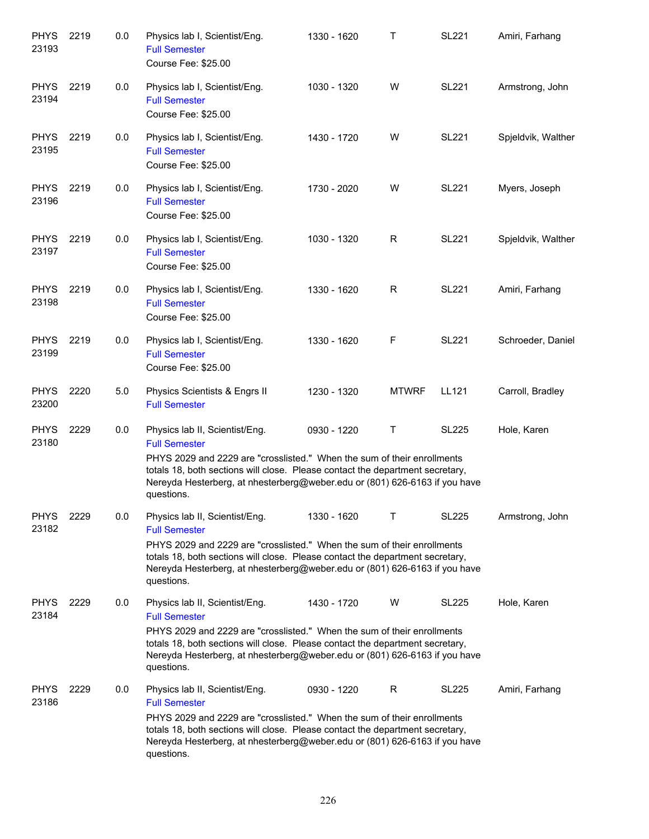| <b>PHYS</b><br>23193 | 2219 | 0.0 | Physics lab I, Scientist/Eng.<br><b>Full Semester</b><br>Course Fee: \$25.00                                                                                                                                                                                                                                   | 1330 - 1620 | Т            | <b>SL221</b> | Amiri, Farhang     |
|----------------------|------|-----|----------------------------------------------------------------------------------------------------------------------------------------------------------------------------------------------------------------------------------------------------------------------------------------------------------------|-------------|--------------|--------------|--------------------|
| <b>PHYS</b><br>23194 | 2219 | 0.0 | Physics lab I, Scientist/Eng.<br><b>Full Semester</b><br>Course Fee: \$25.00                                                                                                                                                                                                                                   | 1030 - 1320 | W            | <b>SL221</b> | Armstrong, John    |
| <b>PHYS</b><br>23195 | 2219 | 0.0 | Physics lab I, Scientist/Eng.<br><b>Full Semester</b><br>Course Fee: \$25.00                                                                                                                                                                                                                                   | 1430 - 1720 | W            | <b>SL221</b> | Spjeldvik, Walther |
| <b>PHYS</b><br>23196 | 2219 | 0.0 | Physics lab I, Scientist/Eng.<br><b>Full Semester</b><br>Course Fee: \$25.00                                                                                                                                                                                                                                   | 1730 - 2020 | W            | <b>SL221</b> | Myers, Joseph      |
| <b>PHYS</b><br>23197 | 2219 | 0.0 | Physics lab I, Scientist/Eng.<br><b>Full Semester</b><br>Course Fee: \$25.00                                                                                                                                                                                                                                   | 1030 - 1320 | R            | <b>SL221</b> | Spjeldvik, Walther |
| <b>PHYS</b><br>23198 | 2219 | 0.0 | Physics lab I, Scientist/Eng.<br><b>Full Semester</b><br>Course Fee: \$25.00                                                                                                                                                                                                                                   | 1330 - 1620 | R            | <b>SL221</b> | Amiri, Farhang     |
| <b>PHYS</b><br>23199 | 2219 | 0.0 | Physics lab I, Scientist/Eng.<br><b>Full Semester</b><br>Course Fee: \$25.00                                                                                                                                                                                                                                   | 1330 - 1620 | F            | <b>SL221</b> | Schroeder, Daniel  |
| <b>PHYS</b><br>23200 | 2220 | 5.0 | Physics Scientists & Engrs II<br><b>Full Semester</b>                                                                                                                                                                                                                                                          | 1230 - 1320 | <b>MTWRF</b> | LL121        | Carroll, Bradley   |
| <b>PHYS</b><br>23180 | 2229 | 0.0 | Physics lab II, Scientist/Eng.<br><b>Full Semester</b><br>PHYS 2029 and 2229 are "crosslisted." When the sum of their enrollments<br>totals 18, both sections will close. Please contact the department secretary,<br>Nereyda Hesterberg, at nhesterberg@weber.edu or (801) 626-6163 if you have<br>questions. | 0930 - 1220 | т            | <b>SL225</b> | Hole, Karen        |
| PHYS<br>23182        | 2229 | 0.0 | Physics lab II, Scientist/Eng.<br><b>Full Semester</b><br>PHYS 2029 and 2229 are "crosslisted." When the sum of their enrollments<br>totals 18, both sections will close. Please contact the department secretary,<br>Nereyda Hesterberg, at nhesterberg@weber.edu or (801) 626-6163 if you have<br>questions. | 1330 - 1620 | т            | <b>SL225</b> | Armstrong, John    |
| <b>PHYS</b><br>23184 | 2229 | 0.0 | Physics lab II, Scientist/Eng.<br><b>Full Semester</b><br>PHYS 2029 and 2229 are "crosslisted." When the sum of their enrollments<br>totals 18, both sections will close. Please contact the department secretary,<br>Nereyda Hesterberg, at nhesterberg@weber.edu or (801) 626-6163 if you have<br>questions. | 1430 - 1720 | W            | <b>SL225</b> | Hole, Karen        |
| <b>PHYS</b><br>23186 | 2229 | 0.0 | Physics lab II, Scientist/Eng.<br><b>Full Semester</b><br>PHYS 2029 and 2229 are "crosslisted." When the sum of their enrollments<br>totals 18, both sections will close. Please contact the department secretary,<br>Nereyda Hesterberg, at nhesterberg@weber.edu or (801) 626-6163 if you have<br>questions. | 0930 - 1220 | R            | <b>SL225</b> | Amiri, Farhang     |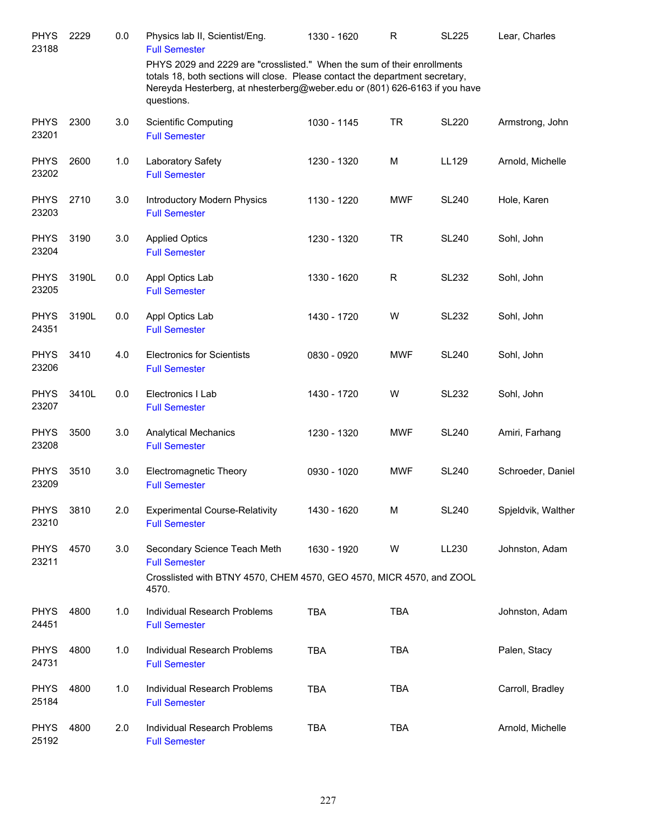| <b>PHYS</b><br>23188 | 2229  | 0.0 | Physics lab II, Scientist/Eng.<br><b>Full Semester</b>                                                                                                                                                                                               | 1330 - 1620 | R           | <b>SL225</b> | Lear, Charles      |
|----------------------|-------|-----|------------------------------------------------------------------------------------------------------------------------------------------------------------------------------------------------------------------------------------------------------|-------------|-------------|--------------|--------------------|
|                      |       |     | PHYS 2029 and 2229 are "crosslisted." When the sum of their enrollments<br>totals 18, both sections will close. Please contact the department secretary,<br>Nereyda Hesterberg, at nhesterberg@weber.edu or (801) 626-6163 if you have<br>questions. |             |             |              |                    |
| <b>PHYS</b><br>23201 | 2300  | 3.0 | <b>Scientific Computing</b><br><b>Full Semester</b>                                                                                                                                                                                                  | 1030 - 1145 | <b>TR</b>   | <b>SL220</b> | Armstrong, John    |
| <b>PHYS</b><br>23202 | 2600  | 1.0 | Laboratory Safety<br><b>Full Semester</b>                                                                                                                                                                                                            | 1230 - 1320 | M           | LL129        | Arnold, Michelle   |
| <b>PHYS</b><br>23203 | 2710  | 3.0 | Introductory Modern Physics<br><b>Full Semester</b>                                                                                                                                                                                                  | 1130 - 1220 | <b>MWF</b>  | <b>SL240</b> | Hole, Karen        |
| <b>PHYS</b><br>23204 | 3190  | 3.0 | <b>Applied Optics</b><br><b>Full Semester</b>                                                                                                                                                                                                        | 1230 - 1320 | <b>TR</b>   | <b>SL240</b> | Sohl, John         |
| <b>PHYS</b><br>23205 | 3190L | 0.0 | Appl Optics Lab<br><b>Full Semester</b>                                                                                                                                                                                                              | 1330 - 1620 | $\mathsf R$ | <b>SL232</b> | Sohl, John         |
| <b>PHYS</b><br>24351 | 3190L | 0.0 | Appl Optics Lab<br><b>Full Semester</b>                                                                                                                                                                                                              | 1430 - 1720 | W           | <b>SL232</b> | Sohl, John         |
| <b>PHYS</b><br>23206 | 3410  | 4.0 | <b>Electronics for Scientists</b><br><b>Full Semester</b>                                                                                                                                                                                            | 0830 - 0920 | <b>MWF</b>  | <b>SL240</b> | Sohl, John         |
| <b>PHYS</b><br>23207 | 3410L | 0.0 | Electronics I Lab<br><b>Full Semester</b>                                                                                                                                                                                                            | 1430 - 1720 | W           | <b>SL232</b> | Sohl, John         |
| <b>PHYS</b><br>23208 | 3500  | 3.0 | <b>Analytical Mechanics</b><br><b>Full Semester</b>                                                                                                                                                                                                  | 1230 - 1320 | <b>MWF</b>  | <b>SL240</b> | Amiri, Farhang     |
| <b>PHYS</b><br>23209 | 3510  | 3.0 | Electromagnetic Theory<br><b>Full Semester</b>                                                                                                                                                                                                       | 0930 - 1020 | <b>MWF</b>  | <b>SL240</b> | Schroeder, Daniel  |
| <b>PHYS</b><br>23210 | 3810  | 2.0 | <b>Experimental Course-Relativity</b><br><b>Full Semester</b>                                                                                                                                                                                        | 1430 - 1620 | M           | <b>SL240</b> | Spjeldvik, Walther |
| <b>PHYS</b><br>23211 | 4570  | 3.0 | Secondary Science Teach Meth<br><b>Full Semester</b><br>Crosslisted with BTNY 4570, CHEM 4570, GEO 4570, MICR 4570, and ZOOL                                                                                                                         | 1630 - 1920 | W           | LL230        | Johnston, Adam     |
| <b>PHYS</b><br>24451 | 4800  | 1.0 | 4570.<br>Individual Research Problems<br><b>Full Semester</b>                                                                                                                                                                                        | <b>TBA</b>  | <b>TBA</b>  |              | Johnston, Adam     |
| <b>PHYS</b><br>24731 | 4800  | 1.0 | Individual Research Problems<br><b>Full Semester</b>                                                                                                                                                                                                 | <b>TBA</b>  | <b>TBA</b>  |              | Palen, Stacy       |
| <b>PHYS</b><br>25184 | 4800  | 1.0 | Individual Research Problems<br><b>Full Semester</b>                                                                                                                                                                                                 | <b>TBA</b>  | <b>TBA</b>  |              | Carroll, Bradley   |
| <b>PHYS</b><br>25192 | 4800  | 2.0 | Individual Research Problems<br><b>Full Semester</b>                                                                                                                                                                                                 | <b>TBA</b>  | <b>TBA</b>  |              | Arnold, Michelle   |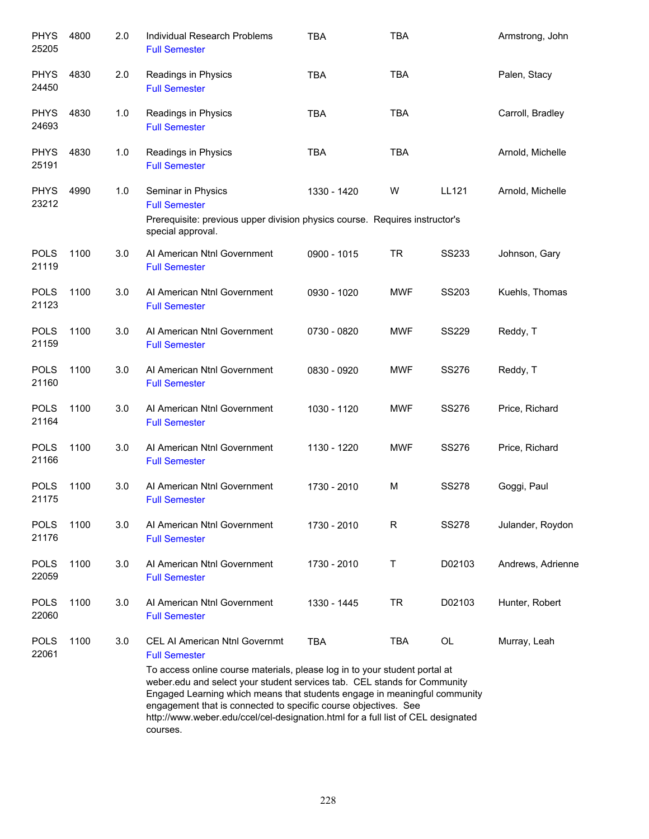| <b>PHYS</b><br>25205 | 4800 | 2.0 | Individual Research Problems<br><b>Full Semester</b>                                                                                                                                                                                                                                                                                                                   | <b>TBA</b>  | <b>TBA</b> |              | Armstrong, John   |
|----------------------|------|-----|------------------------------------------------------------------------------------------------------------------------------------------------------------------------------------------------------------------------------------------------------------------------------------------------------------------------------------------------------------------------|-------------|------------|--------------|-------------------|
| <b>PHYS</b><br>24450 | 4830 | 2.0 | Readings in Physics<br><b>Full Semester</b>                                                                                                                                                                                                                                                                                                                            | <b>TBA</b>  | <b>TBA</b> |              | Palen, Stacy      |
| <b>PHYS</b><br>24693 | 4830 | 1.0 | Readings in Physics<br><b>Full Semester</b>                                                                                                                                                                                                                                                                                                                            | <b>TBA</b>  | <b>TBA</b> |              | Carroll, Bradley  |
| <b>PHYS</b><br>25191 | 4830 | 1.0 | Readings in Physics<br><b>Full Semester</b>                                                                                                                                                                                                                                                                                                                            | <b>TBA</b>  | <b>TBA</b> |              | Arnold, Michelle  |
| <b>PHYS</b><br>23212 | 4990 | 1.0 | Seminar in Physics<br><b>Full Semester</b><br>Prerequisite: previous upper division physics course. Requires instructor's<br>special approval.                                                                                                                                                                                                                         | 1330 - 1420 | W          | LL121        | Arnold, Michelle  |
| <b>POLS</b><br>21119 | 1100 | 3.0 | Al American Ntnl Government<br><b>Full Semester</b>                                                                                                                                                                                                                                                                                                                    | 0900 - 1015 | <b>TR</b>  | <b>SS233</b> | Johnson, Gary     |
| <b>POLS</b><br>21123 | 1100 | 3.0 | Al American Ntnl Government<br><b>Full Semester</b>                                                                                                                                                                                                                                                                                                                    | 0930 - 1020 | <b>MWF</b> | SS203        | Kuehls, Thomas    |
| <b>POLS</b><br>21159 | 1100 | 3.0 | Al American Ntnl Government<br><b>Full Semester</b>                                                                                                                                                                                                                                                                                                                    | 0730 - 0820 | <b>MWF</b> | <b>SS229</b> | Reddy, T          |
| <b>POLS</b><br>21160 | 1100 | 3.0 | Al American Ntnl Government<br><b>Full Semester</b>                                                                                                                                                                                                                                                                                                                    | 0830 - 0920 | <b>MWF</b> | <b>SS276</b> | Reddy, T          |
| <b>POLS</b><br>21164 | 1100 | 3.0 | Al American Ntnl Government<br><b>Full Semester</b>                                                                                                                                                                                                                                                                                                                    | 1030 - 1120 | <b>MWF</b> | <b>SS276</b> | Price, Richard    |
| <b>POLS</b><br>21166 | 1100 | 3.0 | Al American Ntnl Government<br><b>Full Semester</b>                                                                                                                                                                                                                                                                                                                    | 1130 - 1220 | <b>MWF</b> | <b>SS276</b> | Price, Richard    |
| <b>POLS</b><br>21175 | 1100 | 3.0 | Al American Ntnl Government<br><b>Full Semester</b>                                                                                                                                                                                                                                                                                                                    | 1730 - 2010 | M          | <b>SS278</b> | Goggi, Paul       |
| <b>POLS</b><br>21176 | 1100 | 3.0 | AI American Ntnl Government<br><b>Full Semester</b>                                                                                                                                                                                                                                                                                                                    | 1730 - 2010 | R          | <b>SS278</b> | Julander, Roydon  |
| <b>POLS</b><br>22059 | 1100 | 3.0 | Al American Ntnl Government<br><b>Full Semester</b>                                                                                                                                                                                                                                                                                                                    | 1730 - 2010 | т          | D02103       | Andrews, Adrienne |
| <b>POLS</b><br>22060 | 1100 | 3.0 | Al American Ntnl Government<br><b>Full Semester</b>                                                                                                                                                                                                                                                                                                                    | 1330 - 1445 | <b>TR</b>  | D02103       | Hunter, Robert    |
| <b>POLS</b><br>22061 | 1100 | 3.0 | <b>CEL AI American Ntnl Governmt</b><br><b>Full Semester</b><br>To access online course materials, please log in to your student portal at<br>weber.edu and select your student services tab. CEL stands for Community<br>Engaged Learning which means that students engage in meaningful community<br>engagement that is connected to specific course objectives. See | <b>TBA</b>  | <b>TBA</b> | OL           | Murray, Leah      |
|                      |      |     | http://www.weber.edu/ccel/cel-designation.html for a full list of CEL designated<br>courses.                                                                                                                                                                                                                                                                           |             |            |              |                   |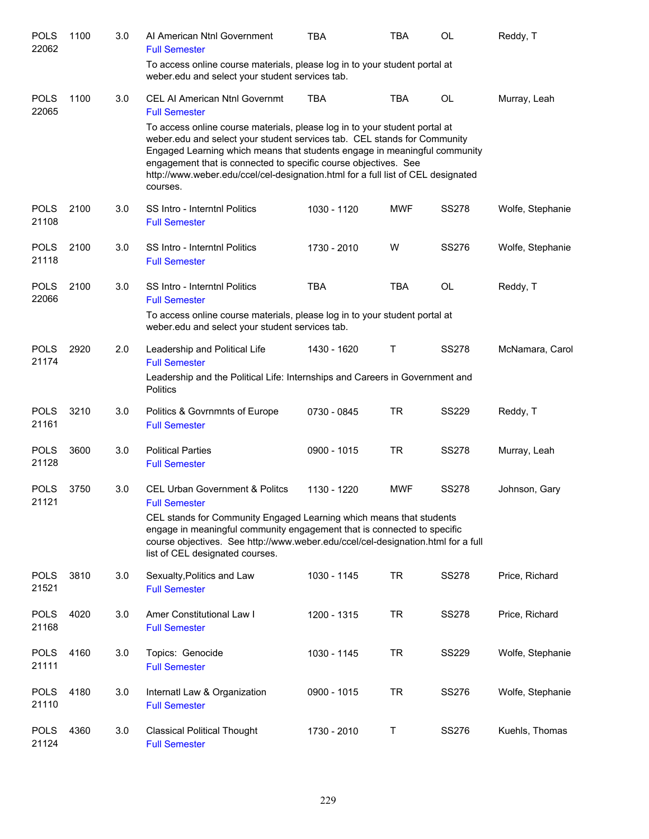| <b>POLS</b><br>22062 | 1100 | 3.0 | Al American Ntnl Government<br><b>Full Semester</b>                                                                                                                                                                                                                                                                                                                                                    | <b>TBA</b>  | <b>TBA</b> | <b>OL</b>    | Reddy, T         |
|----------------------|------|-----|--------------------------------------------------------------------------------------------------------------------------------------------------------------------------------------------------------------------------------------------------------------------------------------------------------------------------------------------------------------------------------------------------------|-------------|------------|--------------|------------------|
|                      |      |     | To access online course materials, please log in to your student portal at<br>weber.edu and select your student services tab.                                                                                                                                                                                                                                                                          |             |            |              |                  |
| <b>POLS</b><br>22065 | 1100 | 3.0 | <b>CEL AI American Ntnl Governmt</b><br><b>Full Semester</b>                                                                                                                                                                                                                                                                                                                                           | <b>TBA</b>  | <b>TBA</b> | <b>OL</b>    | Murray, Leah     |
|                      |      |     | To access online course materials, please log in to your student portal at<br>weber.edu and select your student services tab. CEL stands for Community<br>Engaged Learning which means that students engage in meaningful community<br>engagement that is connected to specific course objectives. See<br>http://www.weber.edu/ccel/cel-designation.html for a full list of CEL designated<br>courses. |             |            |              |                  |
| <b>POLS</b><br>21108 | 2100 | 3.0 | SS Intro - Interntnl Politics<br><b>Full Semester</b>                                                                                                                                                                                                                                                                                                                                                  | 1030 - 1120 | <b>MWF</b> | <b>SS278</b> | Wolfe, Stephanie |
| <b>POLS</b><br>21118 | 2100 | 3.0 | <b>SS Intro - Interntnl Politics</b><br><b>Full Semester</b>                                                                                                                                                                                                                                                                                                                                           | 1730 - 2010 | W          | <b>SS276</b> | Wolfe, Stephanie |
| <b>POLS</b><br>22066 | 2100 | 3.0 | SS Intro - Interntnl Politics<br><b>Full Semester</b>                                                                                                                                                                                                                                                                                                                                                  | <b>TBA</b>  | <b>TBA</b> | <b>OL</b>    | Reddy, T         |
|                      |      |     | To access online course materials, please log in to your student portal at<br>weber.edu and select your student services tab.                                                                                                                                                                                                                                                                          |             |            |              |                  |
| <b>POLS</b><br>21174 | 2920 | 2.0 | Leadership and Political Life<br><b>Full Semester</b>                                                                                                                                                                                                                                                                                                                                                  | 1430 - 1620 | Τ          | <b>SS278</b> | McNamara, Carol  |
|                      |      |     | Leadership and the Political Life: Internships and Careers in Government and<br>Politics                                                                                                                                                                                                                                                                                                               |             |            |              |                  |
| <b>POLS</b><br>21161 | 3210 | 3.0 | Politics & Govrnmnts of Europe<br><b>Full Semester</b>                                                                                                                                                                                                                                                                                                                                                 | 0730 - 0845 | TR         | <b>SS229</b> | Reddy, T         |
| <b>POLS</b><br>21128 | 3600 | 3.0 | <b>Political Parties</b><br><b>Full Semester</b>                                                                                                                                                                                                                                                                                                                                                       | 0900 - 1015 | <b>TR</b>  | <b>SS278</b> | Murray, Leah     |
| <b>POLS</b><br>21121 | 3750 | 3.0 | <b>CEL Urban Government &amp; Politcs</b><br><b>Full Semester</b>                                                                                                                                                                                                                                                                                                                                      | 1130 - 1220 | <b>MWF</b> | <b>SS278</b> | Johnson, Gary    |
|                      |      |     | CEL stands for Community Engaged Learning which means that students<br>engage in meaningful community engagement that is connected to specific<br>course objectives. See http://www.weber.edu/ccel/cel-designation.html for a full<br>list of CEL designated courses.                                                                                                                                  |             |            |              |                  |
| <b>POLS</b><br>21521 | 3810 | 3.0 | Sexualty, Politics and Law<br><b>Full Semester</b>                                                                                                                                                                                                                                                                                                                                                     | 1030 - 1145 | <b>TR</b>  | <b>SS278</b> | Price, Richard   |
| <b>POLS</b><br>21168 | 4020 | 3.0 | Amer Constitutional Law I<br><b>Full Semester</b>                                                                                                                                                                                                                                                                                                                                                      | 1200 - 1315 | <b>TR</b>  | <b>SS278</b> | Price, Richard   |
| <b>POLS</b><br>21111 | 4160 | 3.0 | Topics: Genocide<br><b>Full Semester</b>                                                                                                                                                                                                                                                                                                                                                               | 1030 - 1145 | <b>TR</b>  | <b>SS229</b> | Wolfe, Stephanie |
| <b>POLS</b><br>21110 | 4180 | 3.0 | Internatl Law & Organization<br><b>Full Semester</b>                                                                                                                                                                                                                                                                                                                                                   | 0900 - 1015 | <b>TR</b>  | <b>SS276</b> | Wolfe, Stephanie |
| <b>POLS</b><br>21124 | 4360 | 3.0 | <b>Classical Political Thought</b><br><b>Full Semester</b>                                                                                                                                                                                                                                                                                                                                             | 1730 - 2010 | Τ          | SS276        | Kuehls, Thomas   |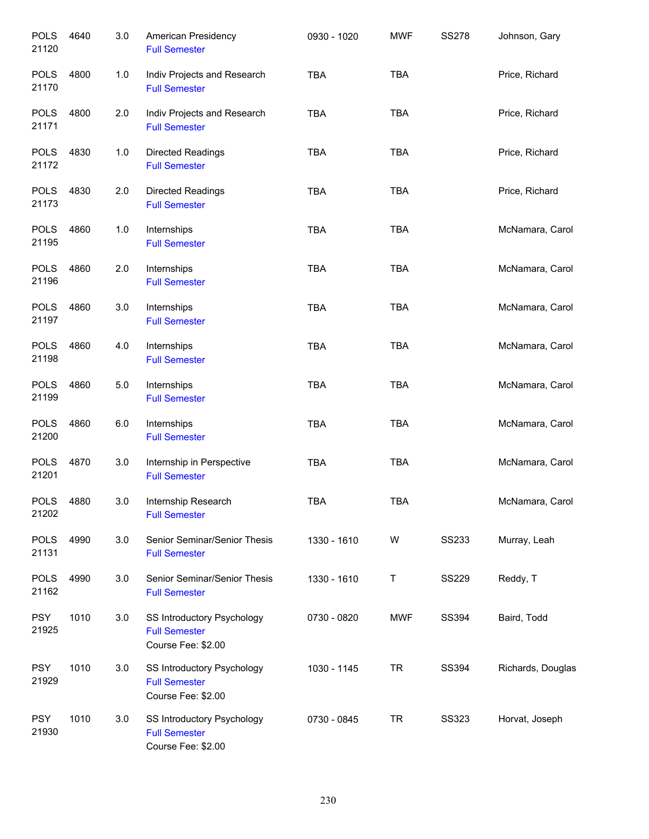| <b>POLS</b><br>21120 | 4640 | 3.0 | American Presidency<br><b>Full Semester</b>                              | 0930 - 1020 | <b>MWF</b> | <b>SS278</b> | Johnson, Gary     |
|----------------------|------|-----|--------------------------------------------------------------------------|-------------|------------|--------------|-------------------|
| <b>POLS</b><br>21170 | 4800 | 1.0 | Indiv Projects and Research<br><b>Full Semester</b>                      | <b>TBA</b>  | <b>TBA</b> |              | Price, Richard    |
| <b>POLS</b><br>21171 | 4800 | 2.0 | Indiv Projects and Research<br><b>Full Semester</b>                      | <b>TBA</b>  | <b>TBA</b> |              | Price, Richard    |
| <b>POLS</b><br>21172 | 4830 | 1.0 | <b>Directed Readings</b><br><b>Full Semester</b>                         | <b>TBA</b>  | <b>TBA</b> |              | Price, Richard    |
| <b>POLS</b><br>21173 | 4830 | 2.0 | Directed Readings<br><b>Full Semester</b>                                | <b>TBA</b>  | <b>TBA</b> |              | Price, Richard    |
| <b>POLS</b><br>21195 | 4860 | 1.0 | Internships<br><b>Full Semester</b>                                      | <b>TBA</b>  | <b>TBA</b> |              | McNamara, Carol   |
| <b>POLS</b><br>21196 | 4860 | 2.0 | Internships<br><b>Full Semester</b>                                      | <b>TBA</b>  | <b>TBA</b> |              | McNamara, Carol   |
| <b>POLS</b><br>21197 | 4860 | 3.0 | Internships<br><b>Full Semester</b>                                      | <b>TBA</b>  | <b>TBA</b> |              | McNamara, Carol   |
| <b>POLS</b><br>21198 | 4860 | 4.0 | Internships<br><b>Full Semester</b>                                      | <b>TBA</b>  | <b>TBA</b> |              | McNamara, Carol   |
| <b>POLS</b><br>21199 | 4860 | 5.0 | Internships<br><b>Full Semester</b>                                      | <b>TBA</b>  | <b>TBA</b> |              | McNamara, Carol   |
| <b>POLS</b><br>21200 | 4860 | 6.0 | Internships<br><b>Full Semester</b>                                      | <b>TBA</b>  | <b>TBA</b> |              | McNamara, Carol   |
| <b>POLS</b><br>21201 | 4870 | 3.0 | Internship in Perspective<br><b>Full Semester</b>                        | <b>TBA</b>  | <b>TBA</b> |              | McNamara, Carol   |
| <b>POLS</b><br>21202 | 4880 | 3.0 | Internship Research<br><b>Full Semester</b>                              | <b>TBA</b>  | <b>TBA</b> |              | McNamara, Carol   |
| <b>POLS</b><br>21131 | 4990 | 3.0 | Senior Seminar/Senior Thesis<br><b>Full Semester</b>                     | 1330 - 1610 | W          | SS233        | Murray, Leah      |
| <b>POLS</b><br>21162 | 4990 | 3.0 | Senior Seminar/Senior Thesis<br><b>Full Semester</b>                     | 1330 - 1610 | Т          | <b>SS229</b> | Reddy, T          |
| <b>PSY</b><br>21925  | 1010 | 3.0 | SS Introductory Psychology<br><b>Full Semester</b><br>Course Fee: \$2.00 | 0730 - 0820 | <b>MWF</b> | SS394        | Baird, Todd       |
| <b>PSY</b><br>21929  | 1010 | 3.0 | SS Introductory Psychology<br><b>Full Semester</b><br>Course Fee: \$2.00 | 1030 - 1145 | <b>TR</b>  | SS394        | Richards, Douglas |
| <b>PSY</b><br>21930  | 1010 | 3.0 | SS Introductory Psychology<br><b>Full Semester</b><br>Course Fee: \$2.00 | 0730 - 0845 | <b>TR</b>  | <b>SS323</b> | Horvat, Joseph    |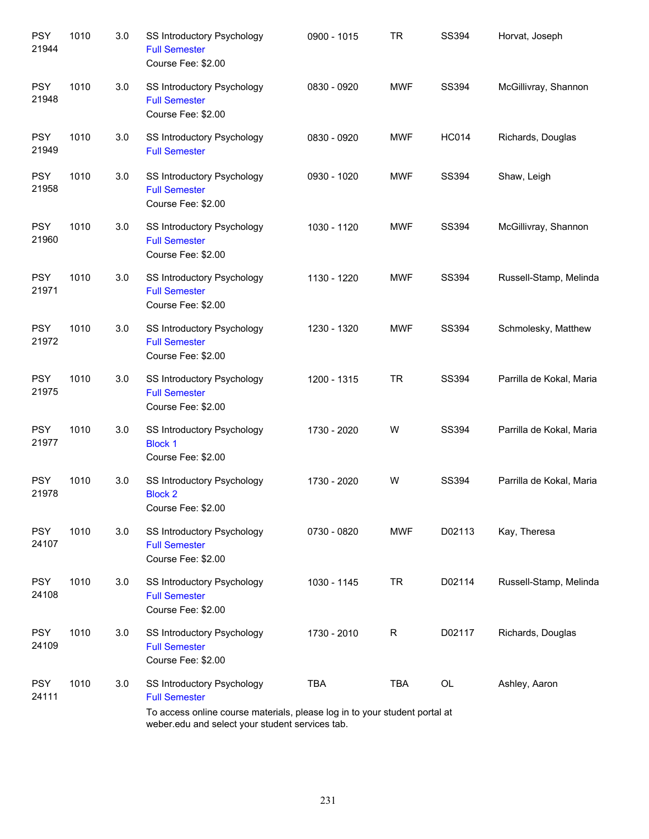| <b>PSY</b><br>21944 | 1010 | 3.0 | <b>SS Introductory Psychology</b><br><b>Full Semester</b><br>Course Fee: \$2.00                                                                                                     | 0900 - 1015 | <b>TR</b>   | <b>SS394</b> | Horvat, Joseph           |
|---------------------|------|-----|-------------------------------------------------------------------------------------------------------------------------------------------------------------------------------------|-------------|-------------|--------------|--------------------------|
| <b>PSY</b><br>21948 | 1010 | 3.0 | SS Introductory Psychology<br><b>Full Semester</b><br>Course Fee: \$2.00                                                                                                            | 0830 - 0920 | <b>MWF</b>  | SS394        | McGillivray, Shannon     |
| <b>PSY</b><br>21949 | 1010 | 3.0 | SS Introductory Psychology<br><b>Full Semester</b>                                                                                                                                  | 0830 - 0920 | <b>MWF</b>  | <b>HC014</b> | Richards, Douglas        |
| <b>PSY</b><br>21958 | 1010 | 3.0 | SS Introductory Psychology<br><b>Full Semester</b><br>Course Fee: \$2.00                                                                                                            | 0930 - 1020 | <b>MWF</b>  | SS394        | Shaw, Leigh              |
| <b>PSY</b><br>21960 | 1010 | 3.0 | SS Introductory Psychology<br><b>Full Semester</b><br>Course Fee: \$2.00                                                                                                            | 1030 - 1120 | <b>MWF</b>  | SS394        | McGillivray, Shannon     |
| <b>PSY</b><br>21971 | 1010 | 3.0 | <b>SS Introductory Psychology</b><br><b>Full Semester</b><br>Course Fee: \$2.00                                                                                                     | 1130 - 1220 | <b>MWF</b>  | SS394        | Russell-Stamp, Melinda   |
| <b>PSY</b><br>21972 | 1010 | 3.0 | SS Introductory Psychology<br><b>Full Semester</b><br>Course Fee: \$2.00                                                                                                            | 1230 - 1320 | <b>MWF</b>  | SS394        | Schmolesky, Matthew      |
| <b>PSY</b><br>21975 | 1010 | 3.0 | SS Introductory Psychology<br><b>Full Semester</b><br>Course Fee: \$2.00                                                                                                            | 1200 - 1315 | <b>TR</b>   | SS394        | Parrilla de Kokal, Maria |
| <b>PSY</b><br>21977 | 1010 | 3.0 | SS Introductory Psychology<br><b>Block 1</b><br>Course Fee: \$2.00                                                                                                                  | 1730 - 2020 | W           | SS394        | Parrilla de Kokal, Maria |
| <b>PSY</b><br>21978 | 1010 | 3.0 | SS Introductory Psychology<br><b>Block 2</b><br>Course Fee: \$2.00                                                                                                                  | 1730 - 2020 | W           | <b>SS394</b> | Parrilla de Kokal, Maria |
| <b>PSY</b><br>24107 | 1010 | 3.0 | SS Introductory Psychology<br><b>Full Semester</b><br>Course Fee: \$2.00                                                                                                            | 0730 - 0820 | <b>MWF</b>  | D02113       | Kay, Theresa             |
| <b>PSY</b><br>24108 | 1010 | 3.0 | <b>SS Introductory Psychology</b><br><b>Full Semester</b><br>Course Fee: \$2.00                                                                                                     | 1030 - 1145 | <b>TR</b>   | D02114       | Russell-Stamp, Melinda   |
| <b>PSY</b><br>24109 | 1010 | 3.0 | SS Introductory Psychology<br><b>Full Semester</b><br>Course Fee: \$2.00                                                                                                            | 1730 - 2010 | $\mathsf R$ | D02117       | Richards, Douglas        |
| <b>PSY</b><br>24111 | 1010 | 3.0 | SS Introductory Psychology<br><b>Full Semester</b><br>To access online course materials, please log in to your student portal at<br>weber.edu and select your student services tab. | <b>TBA</b>  | <b>TBA</b>  | OL           | Ashley, Aaron            |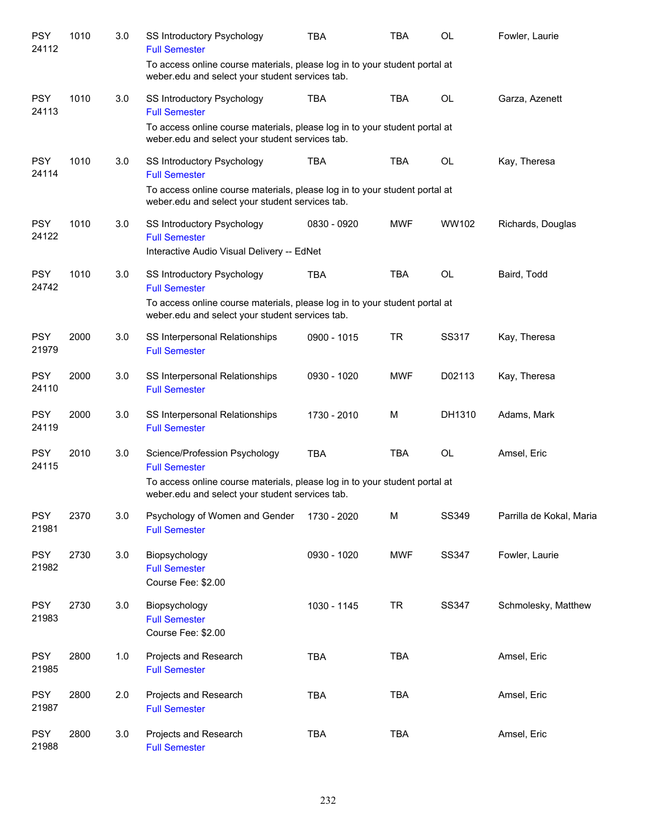| <b>PSY</b><br>24112 | 1010 | 3.0 | SS Introductory Psychology<br><b>Full Semester</b>                                                                               | <b>TBA</b>  | <b>TBA</b> | <b>OL</b>    | Fowler, Laurie           |
|---------------------|------|-----|----------------------------------------------------------------------------------------------------------------------------------|-------------|------------|--------------|--------------------------|
|                     |      |     | To access online course materials, please log in to your student portal at<br>weber.edu and select your student services tab.    |             |            |              |                          |
| <b>PSY</b><br>24113 | 1010 | 3.0 | SS Introductory Psychology<br><b>Full Semester</b>                                                                               | <b>TBA</b>  | <b>TBA</b> | OL           | Garza, Azenett           |
|                     |      |     | To access online course materials, please log in to your student portal at<br>weber.edu and select your student services tab.    |             |            |              |                          |
| <b>PSY</b><br>24114 | 1010 | 3.0 | SS Introductory Psychology<br><b>Full Semester</b><br>To access online course materials, please log in to your student portal at | <b>TBA</b>  | <b>TBA</b> | OL           | Kay, Theresa             |
|                     |      |     | weber.edu and select your student services tab.                                                                                  |             |            |              |                          |
| <b>PSY</b><br>24122 | 1010 | 3.0 | SS Introductory Psychology<br><b>Full Semester</b>                                                                               | 0830 - 0920 | <b>MWF</b> | WW102        | Richards, Douglas        |
|                     |      |     | Interactive Audio Visual Delivery -- EdNet                                                                                       |             |            |              |                          |
| <b>PSY</b><br>24742 | 1010 | 3.0 | SS Introductory Psychology<br><b>Full Semester</b>                                                                               | <b>TBA</b>  | <b>TBA</b> | OL           | Baird, Todd              |
|                     |      |     | To access online course materials, please log in to your student portal at<br>weber.edu and select your student services tab.    |             |            |              |                          |
| <b>PSY</b><br>21979 | 2000 | 3.0 | SS Interpersonal Relationships<br><b>Full Semester</b>                                                                           | 0900 - 1015 | <b>TR</b>  | SS317        | Kay, Theresa             |
| <b>PSY</b><br>24110 | 2000 | 3.0 | SS Interpersonal Relationships<br><b>Full Semester</b>                                                                           | 0930 - 1020 | <b>MWF</b> | D02113       | Kay, Theresa             |
| <b>PSY</b><br>24119 | 2000 | 3.0 | SS Interpersonal Relationships<br><b>Full Semester</b>                                                                           | 1730 - 2010 | M          | DH1310       | Adams, Mark              |
| <b>PSY</b><br>24115 | 2010 | 3.0 | Science/Profession Psychology<br><b>Full Semester</b>                                                                            | <b>TBA</b>  | <b>TBA</b> | OL           | Amsel, Eric              |
|                     |      |     | To access online course materials, please log in to your student portal at<br>weber.edu and select your student services tab.    |             |            |              |                          |
| <b>PSY</b><br>21981 | 2370 | 3.0 | Psychology of Women and Gender<br><b>Full Semester</b>                                                                           | 1730 - 2020 | M          | SS349        | Parrilla de Kokal, Maria |
| <b>PSY</b><br>21982 | 2730 | 3.0 | Biopsychology<br><b>Full Semester</b><br>Course Fee: \$2.00                                                                      | 0930 - 1020 | <b>MWF</b> | <b>SS347</b> | Fowler, Laurie           |
| <b>PSY</b><br>21983 | 2730 | 3.0 | Biopsychology<br><b>Full Semester</b><br>Course Fee: \$2.00                                                                      | 1030 - 1145 | <b>TR</b>  | <b>SS347</b> | Schmolesky, Matthew      |
| <b>PSY</b><br>21985 | 2800 | 1.0 | Projects and Research<br><b>Full Semester</b>                                                                                    | <b>TBA</b>  | <b>TBA</b> |              | Amsel, Eric              |
| <b>PSY</b><br>21987 | 2800 | 2.0 | Projects and Research<br><b>Full Semester</b>                                                                                    | <b>TBA</b>  | <b>TBA</b> |              | Amsel, Eric              |
| <b>PSY</b><br>21988 | 2800 | 3.0 | Projects and Research<br><b>Full Semester</b>                                                                                    | <b>TBA</b>  | TBA        |              | Amsel, Eric              |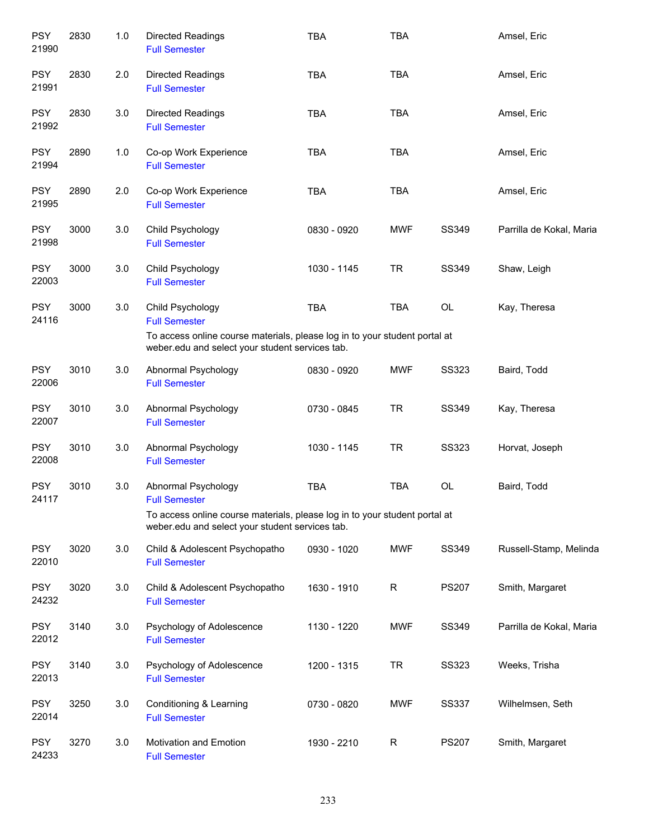| <b>PSY</b><br>21990 | 2830 | 1.0 | Directed Readings<br><b>Full Semester</b>                                                                                     | <b>TBA</b>  | <b>TBA</b> |              | Amsel, Eric              |
|---------------------|------|-----|-------------------------------------------------------------------------------------------------------------------------------|-------------|------------|--------------|--------------------------|
| <b>PSY</b><br>21991 | 2830 | 2.0 | <b>Directed Readings</b><br><b>Full Semester</b>                                                                              | <b>TBA</b>  | <b>TBA</b> |              | Amsel, Eric              |
| <b>PSY</b><br>21992 | 2830 | 3.0 | <b>Directed Readings</b><br><b>Full Semester</b>                                                                              | <b>TBA</b>  | <b>TBA</b> |              | Amsel, Eric              |
| <b>PSY</b><br>21994 | 2890 | 1.0 | Co-op Work Experience<br><b>Full Semester</b>                                                                                 | <b>TBA</b>  | <b>TBA</b> |              | Amsel, Eric              |
| <b>PSY</b><br>21995 | 2890 | 2.0 | Co-op Work Experience<br><b>Full Semester</b>                                                                                 | <b>TBA</b>  | <b>TBA</b> |              | Amsel, Eric              |
| <b>PSY</b><br>21998 | 3000 | 3.0 | Child Psychology<br><b>Full Semester</b>                                                                                      | 0830 - 0920 | <b>MWF</b> | SS349        | Parrilla de Kokal, Maria |
| <b>PSY</b><br>22003 | 3000 | 3.0 | Child Psychology<br><b>Full Semester</b>                                                                                      | 1030 - 1145 | <b>TR</b>  | <b>SS349</b> | Shaw, Leigh              |
| <b>PSY</b><br>24116 | 3000 | 3.0 | Child Psychology<br><b>Full Semester</b><br>To access online course materials, please log in to your student portal at        | <b>TBA</b>  | TBA        | OL           | Kay, Theresa             |
|                     |      |     | weber.edu and select your student services tab.                                                                               |             |            |              |                          |
| <b>PSY</b><br>22006 | 3010 | 3.0 | Abnormal Psychology<br><b>Full Semester</b>                                                                                   | 0830 - 0920 | <b>MWF</b> | <b>SS323</b> | Baird, Todd              |
| <b>PSY</b><br>22007 | 3010 | 3.0 | Abnormal Psychology<br><b>Full Semester</b>                                                                                   | 0730 - 0845 | <b>TR</b>  | SS349        | Kay, Theresa             |
| <b>PSY</b><br>22008 | 3010 | 3.0 | Abnormal Psychology<br><b>Full Semester</b>                                                                                   | 1030 - 1145 | <b>TR</b>  | <b>SS323</b> | Horvat, Joseph           |
| <b>PSY</b><br>24117 | 3010 | 3.0 | Abnormal Psychology<br><b>Full Semester</b>                                                                                   | <b>TBA</b>  | TBA        | OL           | Baird, Todd              |
|                     |      |     | To access online course materials, please log in to your student portal at<br>weber.edu and select your student services tab. |             |            |              |                          |
| <b>PSY</b><br>22010 | 3020 | 3.0 | Child & Adolescent Psychopatho<br><b>Full Semester</b>                                                                        | 0930 - 1020 | <b>MWF</b> | SS349        | Russell-Stamp, Melinda   |
| <b>PSY</b><br>24232 | 3020 | 3.0 | Child & Adolescent Psychopatho<br><b>Full Semester</b>                                                                        | 1630 - 1910 | R          | <b>PS207</b> | Smith, Margaret          |
| <b>PSY</b><br>22012 | 3140 | 3.0 | Psychology of Adolescence<br><b>Full Semester</b>                                                                             | 1130 - 1220 | <b>MWF</b> | SS349        | Parrilla de Kokal, Maria |
| <b>PSY</b><br>22013 | 3140 | 3.0 | Psychology of Adolescence<br><b>Full Semester</b>                                                                             | 1200 - 1315 | <b>TR</b>  | <b>SS323</b> | Weeks, Trisha            |
| <b>PSY</b><br>22014 | 3250 | 3.0 | Conditioning & Learning<br><b>Full Semester</b>                                                                               | 0730 - 0820 | <b>MWF</b> | <b>SS337</b> | Wilhelmsen, Seth         |
| <b>PSY</b><br>24233 | 3270 | 3.0 | <b>Motivation and Emotion</b><br><b>Full Semester</b>                                                                         | 1930 - 2210 | R          | <b>PS207</b> | Smith, Margaret          |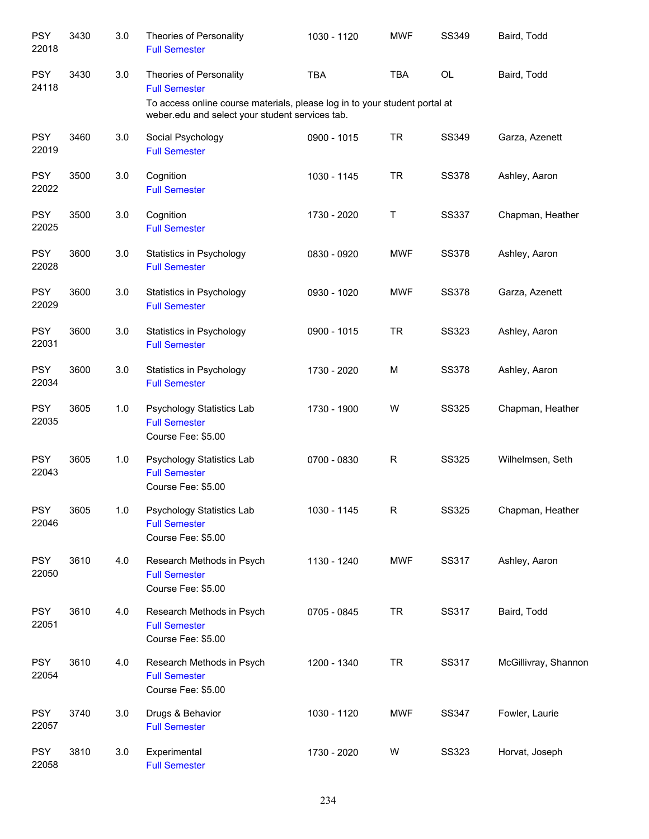| <b>PSY</b><br>22018 | 3430 | 3.0   | Theories of Personality<br><b>Full Semester</b>                                                                               | 1030 - 1120 | <b>MWF</b>   | SS349        | Baird, Todd          |
|---------------------|------|-------|-------------------------------------------------------------------------------------------------------------------------------|-------------|--------------|--------------|----------------------|
| <b>PSY</b><br>24118 | 3430 | 3.0   | Theories of Personality<br><b>Full Semester</b>                                                                               | <b>TBA</b>  | <b>TBA</b>   | OL           | Baird, Todd          |
|                     |      |       | To access online course materials, please log in to your student portal at<br>weber.edu and select your student services tab. |             |              |              |                      |
| <b>PSY</b><br>22019 | 3460 | 3.0   | Social Psychology<br><b>Full Semester</b>                                                                                     | 0900 - 1015 | <b>TR</b>    | SS349        | Garza, Azenett       |
| <b>PSY</b><br>22022 | 3500 | 3.0   | Cognition<br><b>Full Semester</b>                                                                                             | 1030 - 1145 | <b>TR</b>    | <b>SS378</b> | Ashley, Aaron        |
| <b>PSY</b><br>22025 | 3500 | 3.0   | Cognition<br><b>Full Semester</b>                                                                                             | 1730 - 2020 | $\sf T$      | <b>SS337</b> | Chapman, Heather     |
| <b>PSY</b><br>22028 | 3600 | 3.0   | Statistics in Psychology<br><b>Full Semester</b>                                                                              | 0830 - 0920 | <b>MWF</b>   | <b>SS378</b> | Ashley, Aaron        |
| <b>PSY</b><br>22029 | 3600 | 3.0   | Statistics in Psychology<br><b>Full Semester</b>                                                                              | 0930 - 1020 | <b>MWF</b>   | <b>SS378</b> | Garza, Azenett       |
| <b>PSY</b><br>22031 | 3600 | 3.0   | Statistics in Psychology<br><b>Full Semester</b>                                                                              | 0900 - 1015 | <b>TR</b>    | <b>SS323</b> | Ashley, Aaron        |
| <b>PSY</b><br>22034 | 3600 | 3.0   | Statistics in Psychology<br><b>Full Semester</b>                                                                              | 1730 - 2020 | M            | <b>SS378</b> | Ashley, Aaron        |
| <b>PSY</b><br>22035 | 3605 | 1.0   | Psychology Statistics Lab<br><b>Full Semester</b><br>Course Fee: \$5.00                                                       | 1730 - 1900 | W            | <b>SS325</b> | Chapman, Heather     |
| <b>PSY</b><br>22043 | 3605 | 1.0   | Psychology Statistics Lab<br><b>Full Semester</b><br>Course Fee: \$5.00                                                       | 0700 - 0830 | $\mathsf{R}$ | <b>SS325</b> | Wilhelmsen, Seth     |
| <b>PSY</b><br>22046 | 3605 | $1.0$ | <b>Psychology Statistics Lab</b><br><b>Full Semester</b><br>Course Fee: \$5.00                                                | 1030 - 1145 | $\mathsf{R}$ | <b>SS325</b> | Chapman, Heather     |
| <b>PSY</b><br>22050 | 3610 | 4.0   | Research Methods in Psych<br><b>Full Semester</b><br>Course Fee: \$5.00                                                       | 1130 - 1240 | <b>MWF</b>   | SS317        | Ashley, Aaron        |
| <b>PSY</b><br>22051 | 3610 | 4.0   | Research Methods in Psych<br><b>Full Semester</b><br>Course Fee: \$5.00                                                       | 0705 - 0845 | <b>TR</b>    | SS317        | Baird, Todd          |
| <b>PSY</b><br>22054 | 3610 | 4.0   | Research Methods in Psych<br><b>Full Semester</b><br>Course Fee: \$5.00                                                       | 1200 - 1340 | <b>TR</b>    | SS317        | McGillivray, Shannon |
| <b>PSY</b><br>22057 | 3740 | 3.0   | Drugs & Behavior<br><b>Full Semester</b>                                                                                      | 1030 - 1120 | <b>MWF</b>   | SS347        | Fowler, Laurie       |
| <b>PSY</b><br>22058 | 3810 | 3.0   | Experimental<br><b>Full Semester</b>                                                                                          | 1730 - 2020 | W            | <b>SS323</b> | Horvat, Joseph       |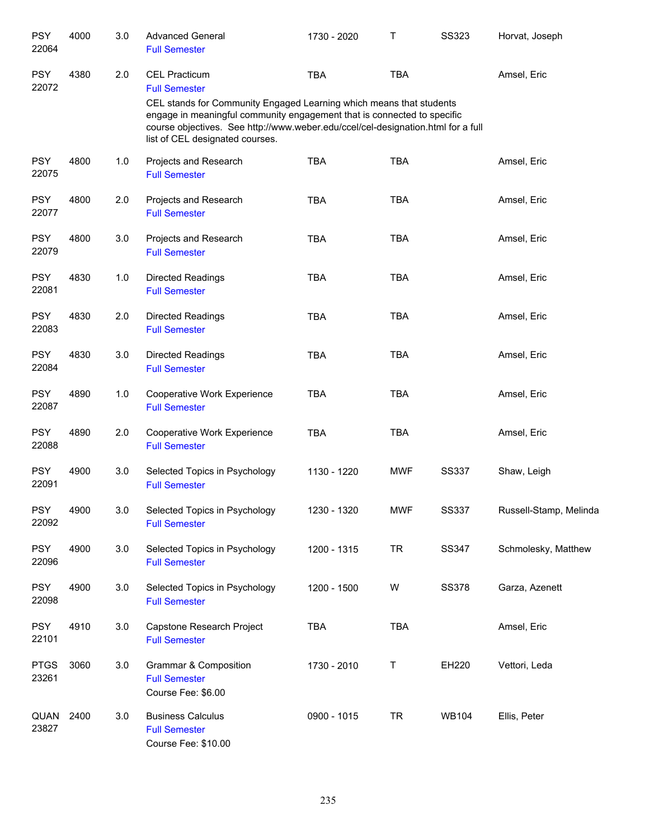| <b>PSY</b><br>22064  | 4000 | 3.0 | <b>Advanced General</b><br><b>Full Semester</b>                                                                                                                                                                                                                       | 1730 - 2020 | Τ          | <b>SS323</b> | Horvat, Joseph         |
|----------------------|------|-----|-----------------------------------------------------------------------------------------------------------------------------------------------------------------------------------------------------------------------------------------------------------------------|-------------|------------|--------------|------------------------|
| <b>PSY</b><br>22072  | 4380 | 2.0 | <b>CEL Practicum</b><br><b>Full Semester</b>                                                                                                                                                                                                                          | <b>TBA</b>  | <b>TBA</b> |              | Amsel, Eric            |
|                      |      |     | CEL stands for Community Engaged Learning which means that students<br>engage in meaningful community engagement that is connected to specific<br>course objectives. See http://www.weber.edu/ccel/cel-designation.html for a full<br>list of CEL designated courses. |             |            |              |                        |
| <b>PSY</b><br>22075  | 4800 | 1.0 | Projects and Research<br><b>Full Semester</b>                                                                                                                                                                                                                         | <b>TBA</b>  | <b>TBA</b> |              | Amsel, Eric            |
| <b>PSY</b><br>22077  | 4800 | 2.0 | Projects and Research<br><b>Full Semester</b>                                                                                                                                                                                                                         | <b>TBA</b>  | <b>TBA</b> |              | Amsel, Eric            |
| <b>PSY</b><br>22079  | 4800 | 3.0 | Projects and Research<br><b>Full Semester</b>                                                                                                                                                                                                                         | <b>TBA</b>  | <b>TBA</b> |              | Amsel, Eric            |
| <b>PSY</b><br>22081  | 4830 | 1.0 | <b>Directed Readings</b><br><b>Full Semester</b>                                                                                                                                                                                                                      | <b>TBA</b>  | <b>TBA</b> |              | Amsel, Eric            |
| <b>PSY</b><br>22083  | 4830 | 2.0 | <b>Directed Readings</b><br><b>Full Semester</b>                                                                                                                                                                                                                      | <b>TBA</b>  | <b>TBA</b> |              | Amsel, Eric            |
| <b>PSY</b><br>22084  | 4830 | 3.0 | <b>Directed Readings</b><br><b>Full Semester</b>                                                                                                                                                                                                                      | <b>TBA</b>  | <b>TBA</b> |              | Amsel, Eric            |
| <b>PSY</b><br>22087  | 4890 | 1.0 | Cooperative Work Experience<br><b>Full Semester</b>                                                                                                                                                                                                                   | <b>TBA</b>  | <b>TBA</b> |              | Amsel, Eric            |
| <b>PSY</b><br>22088  | 4890 | 2.0 | Cooperative Work Experience<br><b>Full Semester</b>                                                                                                                                                                                                                   | <b>TBA</b>  | <b>TBA</b> |              | Amsel, Eric            |
| <b>PSY</b><br>22091  | 4900 | 3.0 | Selected Topics in Psychology<br><b>Full Semester</b>                                                                                                                                                                                                                 | 1130 - 1220 | <b>MWF</b> | <b>SS337</b> | Shaw, Leigh            |
| <b>PSY</b><br>22092  | 4900 | 3.0 | Selected Topics in Psychology<br><b>Full Semester</b>                                                                                                                                                                                                                 | 1230 - 1320 | <b>MWF</b> | SS337        | Russell-Stamp, Melinda |
| <b>PSY</b><br>22096  | 4900 | 3.0 | Selected Topics in Psychology<br><b>Full Semester</b>                                                                                                                                                                                                                 | 1200 - 1315 | <b>TR</b>  | SS347        | Schmolesky, Matthew    |
| <b>PSY</b><br>22098  | 4900 | 3.0 | Selected Topics in Psychology<br><b>Full Semester</b>                                                                                                                                                                                                                 | 1200 - 1500 | W          | <b>SS378</b> | Garza, Azenett         |
| <b>PSY</b><br>22101  | 4910 | 3.0 | Capstone Research Project<br><b>Full Semester</b>                                                                                                                                                                                                                     | TBA         | <b>TBA</b> |              | Amsel, Eric            |
| <b>PTGS</b><br>23261 | 3060 | 3.0 | Grammar & Composition<br><b>Full Semester</b><br>Course Fee: \$6.00                                                                                                                                                                                                   | 1730 - 2010 | Т          | EH220        | Vettori, Leda          |
| QUAN<br>23827        | 2400 | 3.0 | <b>Business Calculus</b><br><b>Full Semester</b><br>Course Fee: \$10.00                                                                                                                                                                                               | 0900 - 1015 | <b>TR</b>  | <b>WB104</b> | Ellis, Peter           |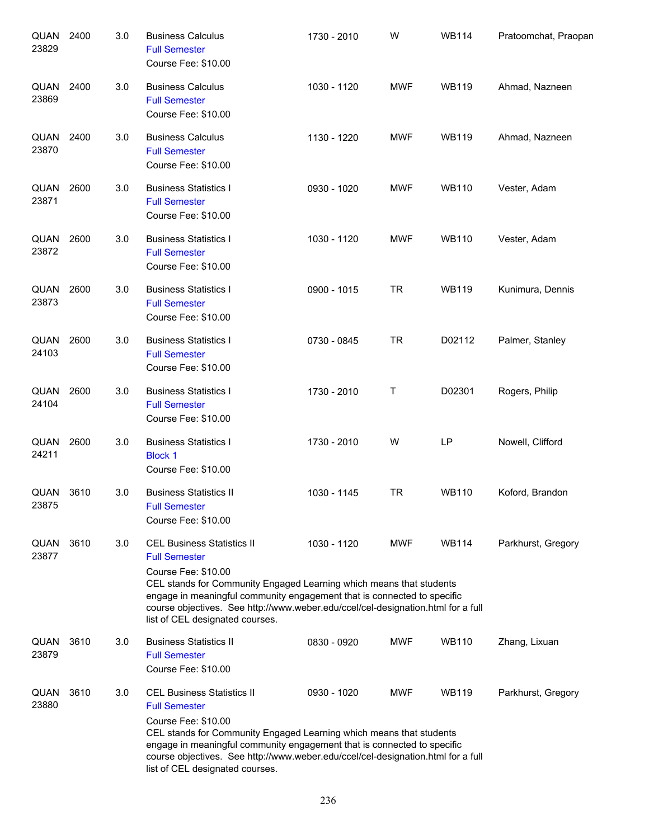| QUAN<br>23829 | 2400 | 3.0 | <b>Business Calculus</b><br><b>Full Semester</b><br>Course Fee: \$10.00                                                                                                                                                                                                                                                                                   | 1730 - 2010 | W          | <b>WB114</b> | Pratoomchat, Praopan |
|---------------|------|-----|-----------------------------------------------------------------------------------------------------------------------------------------------------------------------------------------------------------------------------------------------------------------------------------------------------------------------------------------------------------|-------------|------------|--------------|----------------------|
| QUAN<br>23869 | 2400 | 3.0 | <b>Business Calculus</b><br><b>Full Semester</b><br>Course Fee: \$10.00                                                                                                                                                                                                                                                                                   | 1030 - 1120 | <b>MWF</b> | <b>WB119</b> | Ahmad, Nazneen       |
| QUAN<br>23870 | 2400 | 3.0 | <b>Business Calculus</b><br><b>Full Semester</b><br>Course Fee: \$10.00                                                                                                                                                                                                                                                                                   | 1130 - 1220 | <b>MWF</b> | <b>WB119</b> | Ahmad, Nazneen       |
| QUAN<br>23871 | 2600 | 3.0 | <b>Business Statistics I</b><br><b>Full Semester</b><br>Course Fee: \$10.00                                                                                                                                                                                                                                                                               | 0930 - 1020 | <b>MWF</b> | <b>WB110</b> | Vester, Adam         |
| QUAN<br>23872 | 2600 | 3.0 | <b>Business Statistics I</b><br><b>Full Semester</b><br>Course Fee: \$10.00                                                                                                                                                                                                                                                                               | 1030 - 1120 | <b>MWF</b> | <b>WB110</b> | Vester, Adam         |
| QUAN<br>23873 | 2600 | 3.0 | <b>Business Statistics I</b><br><b>Full Semester</b><br>Course Fee: \$10.00                                                                                                                                                                                                                                                                               | 0900 - 1015 | <b>TR</b>  | <b>WB119</b> | Kunimura, Dennis     |
| QUAN<br>24103 | 2600 | 3.0 | <b>Business Statistics I</b><br><b>Full Semester</b><br>Course Fee: \$10.00                                                                                                                                                                                                                                                                               | 0730 - 0845 | <b>TR</b>  | D02112       | Palmer, Stanley      |
| QUAN<br>24104 | 2600 | 3.0 | <b>Business Statistics I</b><br><b>Full Semester</b><br>Course Fee: \$10.00                                                                                                                                                                                                                                                                               | 1730 - 2010 | Т          | D02301       | Rogers, Philip       |
| QUAN<br>24211 | 2600 | 3.0 | <b>Business Statistics I</b><br><b>Block 1</b><br>Course Fee: \$10.00                                                                                                                                                                                                                                                                                     | 1730 - 2010 | W          | LP           | Nowell, Clifford     |
| QUAN<br>23875 | 3610 | 3.0 | <b>Business Statistics II</b><br><b>Full Semester</b><br>Course Fee: \$10.00                                                                                                                                                                                                                                                                              | 1030 - 1145 | <b>TR</b>  | <b>WB110</b> | Koford, Brandon      |
| QUAN<br>23877 | 3610 | 3.0 | <b>CEL Business Statistics II</b><br><b>Full Semester</b><br>Course Fee: \$10.00<br>CEL stands for Community Engaged Learning which means that students<br>engage in meaningful community engagement that is connected to specific<br>course objectives. See http://www.weber.edu/ccel/cel-designation.html for a full<br>list of CEL designated courses. | 1030 - 1120 | <b>MWF</b> | <b>WB114</b> | Parkhurst, Gregory   |
| QUAN<br>23879 | 3610 | 3.0 | <b>Business Statistics II</b><br><b>Full Semester</b><br>Course Fee: \$10.00                                                                                                                                                                                                                                                                              | 0830 - 0920 | <b>MWF</b> | <b>WB110</b> | Zhang, Lixuan        |
| QUAN<br>23880 | 3610 | 3.0 | <b>CEL Business Statistics II</b><br><b>Full Semester</b><br>Course Fee: \$10.00<br>CEL stands for Community Engaged Learning which means that students<br>engage in meaningful community engagement that is connected to specific<br>course objectives. See http://www.weber.edu/ccel/cel-designation.html for a full<br>list of CEL designated courses. | 0930 - 1020 | <b>MWF</b> | <b>WB119</b> | Parkhurst, Gregory   |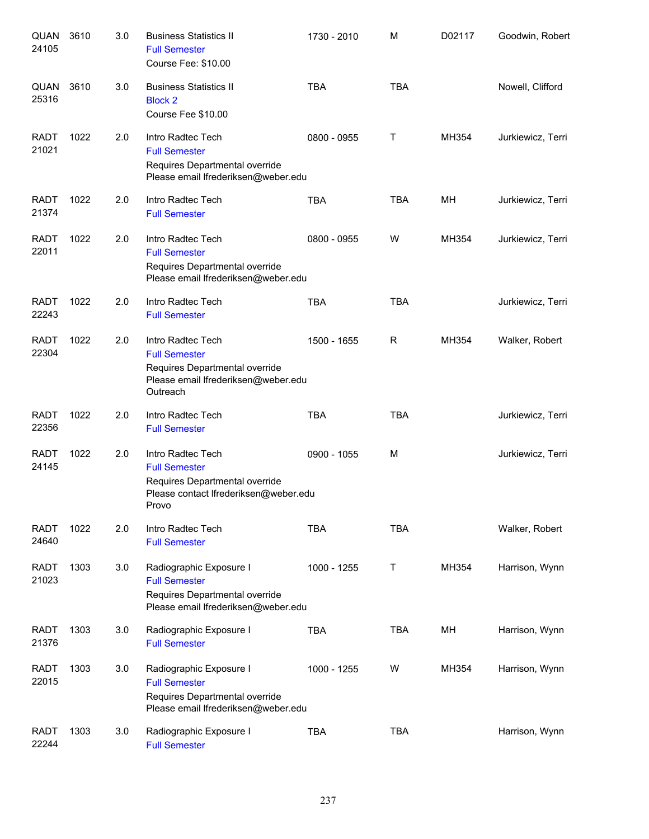| QUAN<br>24105        | 3610 | 3.0 | <b>Business Statistics II</b><br><b>Full Semester</b><br>Course Fee: \$10.00                                                   | 1730 - 2010 | M          | D02117 | Goodwin, Robert   |
|----------------------|------|-----|--------------------------------------------------------------------------------------------------------------------------------|-------------|------------|--------|-------------------|
| QUAN<br>25316        | 3610 | 3.0 | <b>Business Statistics II</b><br><b>Block 2</b><br>Course Fee \$10.00                                                          | <b>TBA</b>  | <b>TBA</b> |        | Nowell, Clifford  |
| <b>RADT</b><br>21021 | 1022 | 2.0 | Intro Radtec Tech<br><b>Full Semester</b><br>Requires Departmental override<br>Please email Ifrederiksen@weber.edu             | 0800 - 0955 | Τ          | MH354  | Jurkiewicz, Terri |
| <b>RADT</b><br>21374 | 1022 | 2.0 | Intro Radtec Tech<br><b>Full Semester</b>                                                                                      | <b>TBA</b>  | <b>TBA</b> | MH     | Jurkiewicz, Terri |
| <b>RADT</b><br>22011 | 1022 | 2.0 | Intro Radtec Tech<br><b>Full Semester</b><br>Requires Departmental override<br>Please email Ifrederiksen@weber.edu             | 0800 - 0955 | W          | MH354  | Jurkiewicz, Terri |
| <b>RADT</b><br>22243 | 1022 | 2.0 | Intro Radtec Tech<br><b>Full Semester</b>                                                                                      | <b>TBA</b>  | <b>TBA</b> |        | Jurkiewicz, Terri |
| <b>RADT</b><br>22304 | 1022 | 2.0 | Intro Radtec Tech<br><b>Full Semester</b><br>Requires Departmental override<br>Please email Ifrederiksen@weber.edu<br>Outreach | 1500 - 1655 | R          | MH354  | Walker, Robert    |
| <b>RADT</b><br>22356 | 1022 | 2.0 | Intro Radtec Tech<br><b>Full Semester</b>                                                                                      | <b>TBA</b>  | <b>TBA</b> |        | Jurkiewicz, Terri |
| <b>RADT</b><br>24145 | 1022 | 2.0 | Intro Radtec Tech<br><b>Full Semester</b><br>Requires Departmental override<br>Please contact Ifrederiksen@weber.edu<br>Provo  | 0900 - 1055 | M          |        | Jurkiewicz, Terri |
| <b>RADT</b><br>24640 | 1022 | 2.0 | Intro Radtec Tech<br><b>Full Semester</b>                                                                                      | <b>TBA</b>  | <b>TBA</b> |        | Walker, Robert    |
| <b>RADT</b><br>21023 | 1303 | 3.0 | Radiographic Exposure I<br><b>Full Semester</b><br>Requires Departmental override<br>Please email Ifrederiksen@weber.edu       | 1000 - 1255 | Τ          | MH354  | Harrison, Wynn    |
| <b>RADT</b><br>21376 | 1303 | 3.0 | Radiographic Exposure I<br><b>Full Semester</b>                                                                                | <b>TBA</b>  | <b>TBA</b> | MH     | Harrison, Wynn    |
| <b>RADT</b><br>22015 | 1303 | 3.0 | Radiographic Exposure I<br><b>Full Semester</b><br>Requires Departmental override<br>Please email Ifrederiksen@weber.edu       | 1000 - 1255 | W          | MH354  | Harrison, Wynn    |
| <b>RADT</b><br>22244 | 1303 | 3.0 | Radiographic Exposure I<br><b>Full Semester</b>                                                                                | <b>TBA</b>  | <b>TBA</b> |        | Harrison, Wynn    |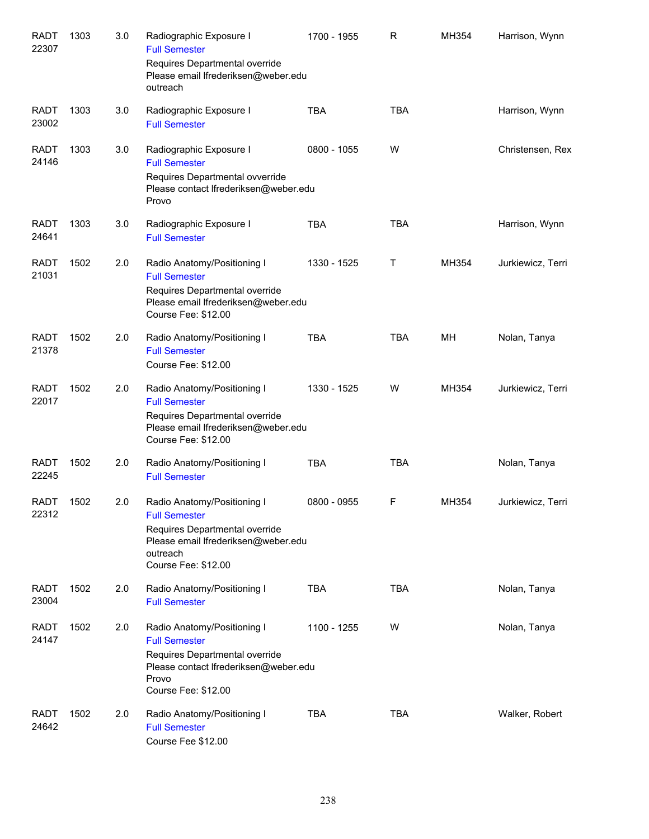| <b>RADT</b><br>22307 | 1303 | 3.0 | Radiographic Exposure I<br><b>Full Semester</b><br>Requires Departmental override<br>Please email Ifrederiksen@weber.edu                                        | 1700 - 1955 | R          | MH354 | Harrison, Wynn    |
|----------------------|------|-----|-----------------------------------------------------------------------------------------------------------------------------------------------------------------|-------------|------------|-------|-------------------|
|                      |      |     | outreach                                                                                                                                                        |             |            |       |                   |
| <b>RADT</b><br>23002 | 1303 | 3.0 | Radiographic Exposure I<br><b>Full Semester</b>                                                                                                                 | <b>TBA</b>  | <b>TBA</b> |       | Harrison, Wynn    |
| <b>RADT</b><br>24146 | 1303 | 3.0 | Radiographic Exposure I<br><b>Full Semester</b><br>Requires Departmental ovverride<br>Please contact Ifrederiksen@weber.edu<br>Provo                            | 0800 - 1055 | W          |       | Christensen, Rex  |
| <b>RADT</b><br>24641 | 1303 | 3.0 | Radiographic Exposure I<br><b>Full Semester</b>                                                                                                                 | <b>TBA</b>  | <b>TBA</b> |       | Harrison, Wynn    |
| <b>RADT</b><br>21031 | 1502 | 2.0 | Radio Anatomy/Positioning I<br><b>Full Semester</b><br>Requires Departmental override<br>Please email Ifrederiksen@weber.edu<br>Course Fee: \$12.00             | 1330 - 1525 | Т          | MH354 | Jurkiewicz, Terri |
| <b>RADT</b><br>21378 | 1502 | 2.0 | Radio Anatomy/Positioning I<br><b>Full Semester</b><br>Course Fee: \$12.00                                                                                      | <b>TBA</b>  | <b>TBA</b> | MH    | Nolan, Tanya      |
| <b>RADT</b><br>22017 | 1502 | 2.0 | Radio Anatomy/Positioning I<br><b>Full Semester</b><br>Requires Departmental override<br>Please email Ifrederiksen@weber.edu<br>Course Fee: \$12.00             | 1330 - 1525 | W          | MH354 | Jurkiewicz, Terri |
| <b>RADT</b><br>22245 | 1502 | 2.0 | Radio Anatomy/Positioning I<br><b>Full Semester</b>                                                                                                             | <b>TBA</b>  | <b>TBA</b> |       | Nolan, Tanya      |
| RADT<br>22312        | 1502 | 2.0 | Radio Anatomy/Positioning I<br><b>Full Semester</b><br>Requires Departmental override<br>Please email Ifrederiksen@weber.edu<br>outreach<br>Course Fee: \$12.00 | 0800 - 0955 | F          | MH354 | Jurkiewicz, Terri |
| RADT<br>23004        | 1502 | 2.0 | Radio Anatomy/Positioning I<br><b>Full Semester</b>                                                                                                             | <b>TBA</b>  | <b>TBA</b> |       | Nolan, Tanya      |
| RADT<br>24147        | 1502 | 2.0 | Radio Anatomy/Positioning I<br><b>Full Semester</b><br>Requires Departmental override<br>Please contact Ifrederiksen@weber.edu<br>Provo<br>Course Fee: \$12.00  | 1100 - 1255 | W          |       | Nolan, Tanya      |
| <b>RADT</b><br>24642 | 1502 | 2.0 | Radio Anatomy/Positioning I<br><b>Full Semester</b><br>Course Fee \$12.00                                                                                       | <b>TBA</b>  | <b>TBA</b> |       | Walker, Robert    |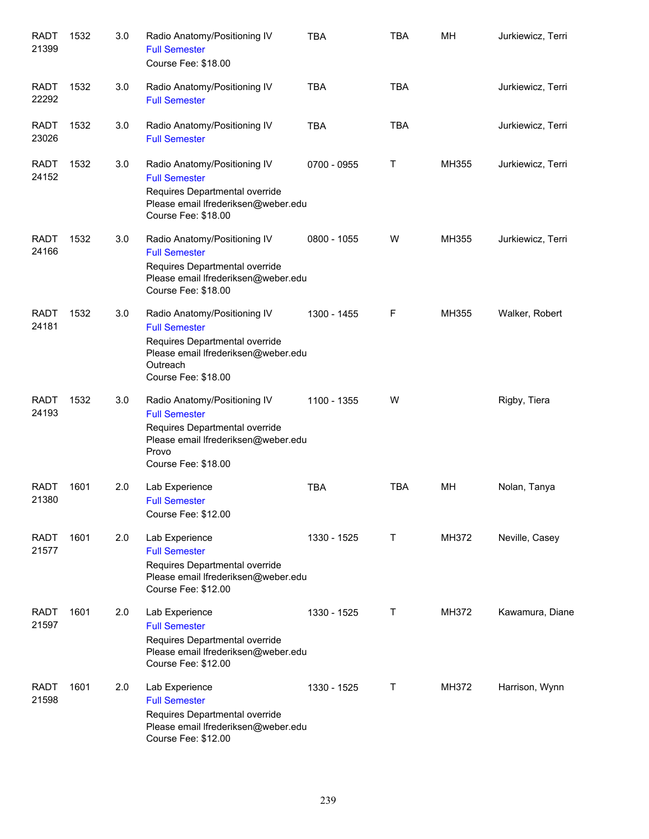| <b>RADT</b><br>21399 | 1532 | 3.0 | Radio Anatomy/Positioning IV<br><b>Full Semester</b><br>Course Fee: \$18.00                                                                                      | <b>TBA</b>  | <b>TBA</b> | MH    | Jurkiewicz, Terri |
|----------------------|------|-----|------------------------------------------------------------------------------------------------------------------------------------------------------------------|-------------|------------|-------|-------------------|
| <b>RADT</b><br>22292 | 1532 | 3.0 | Radio Anatomy/Positioning IV<br><b>Full Semester</b>                                                                                                             | <b>TBA</b>  | <b>TBA</b> |       | Jurkiewicz, Terri |
| <b>RADT</b><br>23026 | 1532 | 3.0 | Radio Anatomy/Positioning IV<br><b>Full Semester</b>                                                                                                             | <b>TBA</b>  | <b>TBA</b> |       | Jurkiewicz, Terri |
| <b>RADT</b><br>24152 | 1532 | 3.0 | Radio Anatomy/Positioning IV<br><b>Full Semester</b><br>Requires Departmental override<br>Please email Ifrederiksen@weber.edu<br>Course Fee: \$18.00             | 0700 - 0955 | Т          | MH355 | Jurkiewicz, Terri |
| <b>RADT</b><br>24166 | 1532 | 3.0 | Radio Anatomy/Positioning IV<br><b>Full Semester</b><br>Requires Departmental override<br>Please email Ifrederiksen@weber.edu<br>Course Fee: \$18.00             | 0800 - 1055 | W          | MH355 | Jurkiewicz, Terri |
| <b>RADT</b><br>24181 | 1532 | 3.0 | Radio Anatomy/Positioning IV<br><b>Full Semester</b><br>Requires Departmental override<br>Please email Ifrederiksen@weber.edu<br>Outreach<br>Course Fee: \$18.00 | 1300 - 1455 | F          | MH355 | Walker, Robert    |
| <b>RADT</b><br>24193 | 1532 | 3.0 | Radio Anatomy/Positioning IV<br><b>Full Semester</b><br>Requires Departmental override<br>Please email Ifrederiksen@weber.edu<br>Provo<br>Course Fee: \$18.00    | 1100 - 1355 | W          |       | Rigby, Tiera      |
| <b>RADT</b><br>21380 | 1601 | 2.0 | Lab Experience<br><b>Full Semester</b><br>Course Fee: \$12.00                                                                                                    | <b>TBA</b>  | <b>TBA</b> | МH    | Nolan, Tanya      |
| <b>RADT</b><br>21577 | 1601 | 2.0 | Lab Experience<br><b>Full Semester</b><br>Requires Departmental override<br>Please email Ifrederiksen@weber.edu<br>Course Fee: \$12.00                           | 1330 - 1525 | Т          | MH372 | Neville, Casey    |
| <b>RADT</b><br>21597 | 1601 | 2.0 | Lab Experience<br><b>Full Semester</b><br>Requires Departmental override<br>Please email Ifrederiksen@weber.edu<br>Course Fee: \$12.00                           | 1330 - 1525 | Τ          | MH372 | Kawamura, Diane   |
| <b>RADT</b><br>21598 | 1601 | 2.0 | Lab Experience<br><b>Full Semester</b><br>Requires Departmental override<br>Please email Ifrederiksen@weber.edu<br>Course Fee: \$12.00                           | 1330 - 1525 | Τ          | MH372 | Harrison, Wynn    |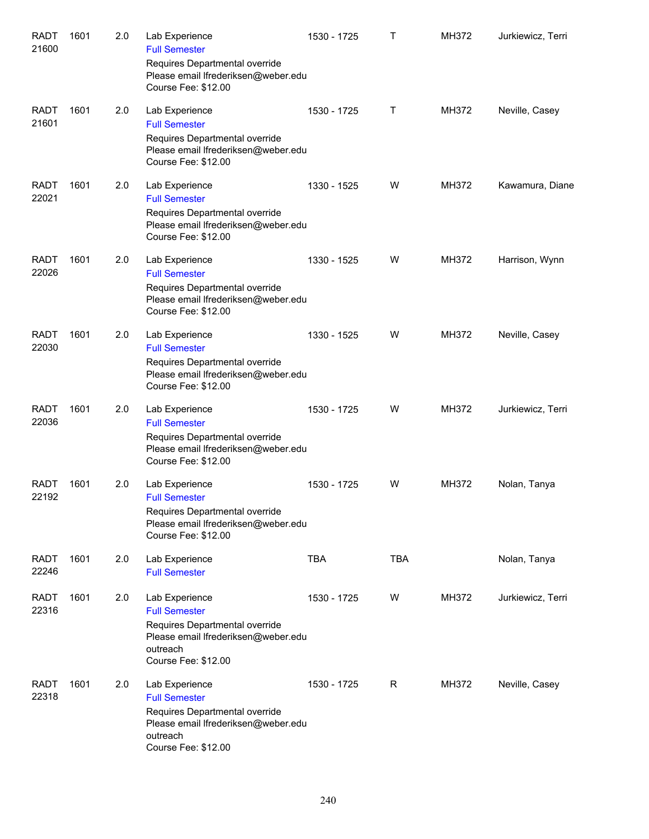| <b>RADT</b><br>21600 | 1601 | 2.0 | Lab Experience<br><b>Full Semester</b>                                                                                                             | 1530 - 1725 | Τ          | MH372 | Jurkiewicz, Terri |
|----------------------|------|-----|----------------------------------------------------------------------------------------------------------------------------------------------------|-------------|------------|-------|-------------------|
|                      |      |     | Requires Departmental override<br>Please email Ifrederiksen@weber.edu<br>Course Fee: \$12.00                                                       |             |            |       |                   |
| <b>RADT</b><br>21601 | 1601 | 2.0 | Lab Experience<br><b>Full Semester</b>                                                                                                             | 1530 - 1725 | Τ          | MH372 | Neville, Casey    |
|                      |      |     | Requires Departmental override<br>Please email Ifrederiksen@weber.edu<br>Course Fee: \$12.00                                                       |             |            |       |                   |
| <b>RADT</b><br>22021 | 1601 | 2.0 | Lab Experience<br><b>Full Semester</b>                                                                                                             | 1330 - 1525 | W          | MH372 | Kawamura, Diane   |
|                      |      |     | Requires Departmental override<br>Please email Ifrederiksen@weber.edu<br>Course Fee: \$12.00                                                       |             |            |       |                   |
| <b>RADT</b><br>22026 | 1601 | 2.0 | Lab Experience<br><b>Full Semester</b>                                                                                                             | 1330 - 1525 | W          | MH372 | Harrison, Wynn    |
|                      |      |     | Requires Departmental override<br>Please email Ifrederiksen@weber.edu<br>Course Fee: \$12.00                                                       |             |            |       |                   |
| <b>RADT</b><br>22030 | 1601 | 2.0 | Lab Experience<br><b>Full Semester</b>                                                                                                             | 1330 - 1525 | W          | MH372 | Neville, Casey    |
|                      |      |     | Requires Departmental override<br>Please email Ifrederiksen@weber.edu<br>Course Fee: \$12.00                                                       |             |            |       |                   |
| <b>RADT</b><br>22036 | 1601 | 2.0 | Lab Experience<br><b>Full Semester</b>                                                                                                             | 1530 - 1725 | W          | MH372 | Jurkiewicz, Terri |
|                      |      |     | Requires Departmental override<br>Please email Ifrederiksen@weber.edu<br>Course Fee: \$12.00                                                       |             |            |       |                   |
| <b>RADT</b><br>22192 | 1601 | 2.0 | Lab Experience<br><b>Full Semester</b>                                                                                                             | 1530 - 1725 | W          | MH372 | Nolan, Tanya      |
|                      |      |     | Requires Departmental override<br>Please email Ifrederiksen@weber.edu<br>Course Fee: \$12.00                                                       |             |            |       |                   |
| <b>RADT</b><br>22246 | 1601 | 2.0 | Lab Experience<br><b>Full Semester</b>                                                                                                             | <b>TBA</b>  | <b>TBA</b> |       | Nolan, Tanya      |
| <b>RADT</b><br>22316 | 1601 | 2.0 | Lab Experience<br><b>Full Semester</b><br>Requires Departmental override<br>Please email Ifrederiksen@weber.edu<br>outreach<br>Course Fee: \$12.00 | 1530 - 1725 | W          | MH372 | Jurkiewicz, Terri |
| <b>RADT</b><br>22318 | 1601 | 2.0 | Lab Experience<br><b>Full Semester</b><br>Requires Departmental override<br>Please email Ifrederiksen@weber.edu<br>outreach<br>Course Fee: \$12.00 | 1530 - 1725 | R          | MH372 | Neville, Casey    |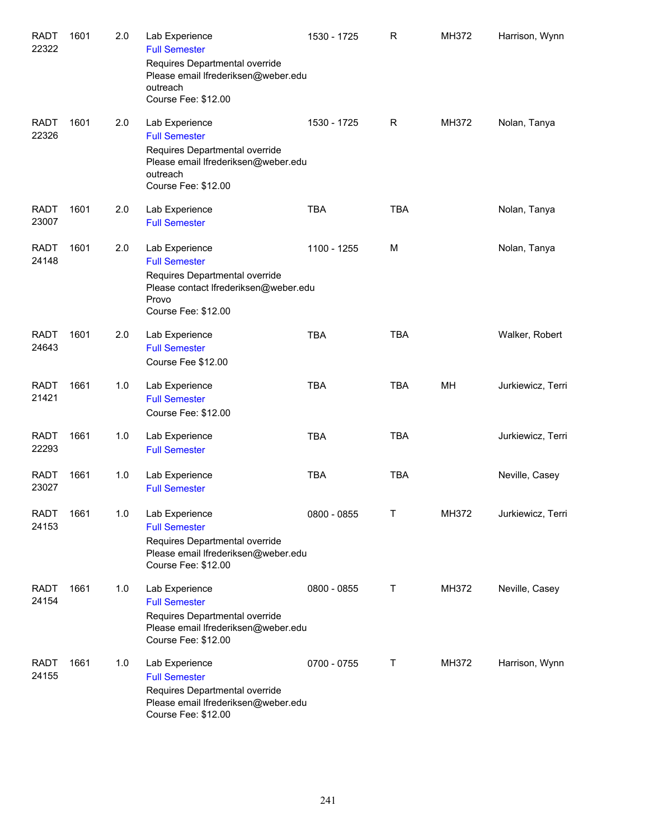| <b>RADT</b><br>22322 | 1601 | 2.0 | Lab Experience<br><b>Full Semester</b><br>Requires Departmental override<br>Please email Ifrederiksen@weber.edu<br>outreach                                               | 1530 - 1725 | $\mathsf{R}$ | MH372 | Harrison, Wynn    |
|----------------------|------|-----|---------------------------------------------------------------------------------------------------------------------------------------------------------------------------|-------------|--------------|-------|-------------------|
| <b>RADT</b><br>22326 | 1601 | 2.0 | Course Fee: \$12.00<br>Lab Experience<br><b>Full Semester</b><br>Requires Departmental override<br>Please email Ifrederiksen@weber.edu<br>outreach<br>Course Fee: \$12.00 | 1530 - 1725 | $\mathsf{R}$ | MH372 | Nolan, Tanya      |
| <b>RADT</b><br>23007 | 1601 | 2.0 | Lab Experience<br><b>Full Semester</b>                                                                                                                                    | <b>TBA</b>  | <b>TBA</b>   |       | Nolan, Tanya      |
| <b>RADT</b><br>24148 | 1601 | 2.0 | Lab Experience<br><b>Full Semester</b><br>Requires Departmental override<br>Please contact Ifrederiksen@weber.edu<br>Provo<br>Course Fee: \$12.00                         | 1100 - 1255 | M            |       | Nolan, Tanya      |
| <b>RADT</b><br>24643 | 1601 | 2.0 | Lab Experience<br><b>Full Semester</b><br>Course Fee \$12.00                                                                                                              | <b>TBA</b>  | <b>TBA</b>   |       | Walker, Robert    |
| <b>RADT</b><br>21421 | 1661 | 1.0 | Lab Experience<br><b>Full Semester</b><br>Course Fee: \$12.00                                                                                                             | <b>TBA</b>  | <b>TBA</b>   | MH    | Jurkiewicz, Terri |
| <b>RADT</b><br>22293 | 1661 | 1.0 | Lab Experience<br><b>Full Semester</b>                                                                                                                                    | <b>TBA</b>  | <b>TBA</b>   |       | Jurkiewicz, Terri |
| <b>RADT</b><br>23027 | 1661 | 1.0 | Lab Experience<br><b>Full Semester</b>                                                                                                                                    | <b>TBA</b>  | <b>TBA</b>   |       | Neville, Casey    |
| <b>RADT</b><br>24153 | 1661 | 1.0 | Lab Experience<br><b>Full Semester</b><br>Requires Departmental override<br>Please email Ifrederiksen@weber.edu<br>Course Fee: \$12.00                                    | 0800 - 0855 | Τ            | MH372 | Jurkiewicz, Terri |
| <b>RADT</b><br>24154 | 1661 | 1.0 | Lab Experience<br><b>Full Semester</b><br>Requires Departmental override<br>Please email Ifrederiksen@weber.edu<br>Course Fee: \$12.00                                    | 0800 - 0855 | Т            | MH372 | Neville, Casey    |
| <b>RADT</b><br>24155 | 1661 | 1.0 | Lab Experience<br><b>Full Semester</b><br>Requires Departmental override<br>Please email Ifrederiksen@weber.edu<br>Course Fee: \$12.00                                    | 0700 - 0755 | Τ            | MH372 | Harrison, Wynn    |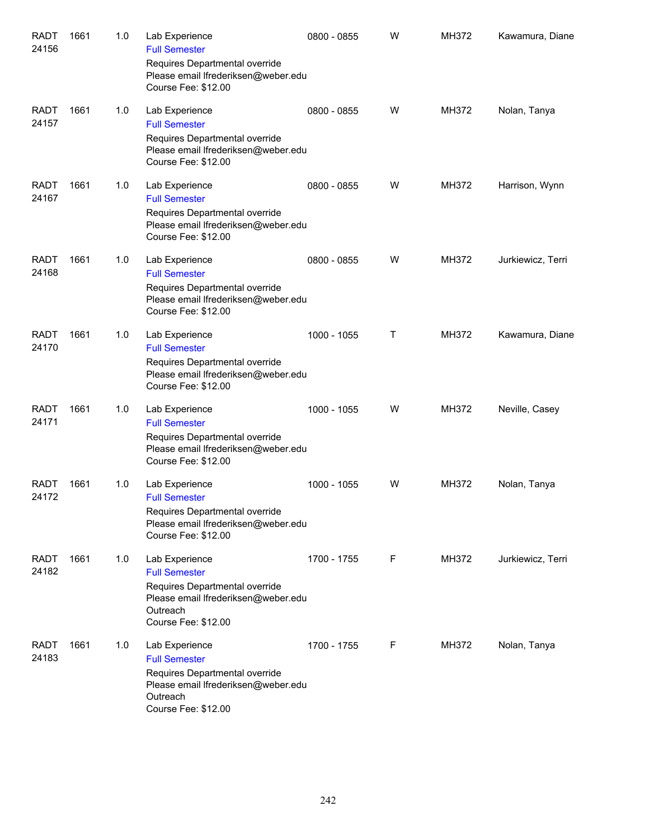| <b>RADT</b><br>24156 | 1661 | 1.0 | Lab Experience<br><b>Full Semester</b><br>Requires Departmental override<br>Please email Ifrederiksen@weber.edu<br>Course Fee: \$12.00             | 0800 - 0855 | W | MH372 | Kawamura, Diane   |
|----------------------|------|-----|----------------------------------------------------------------------------------------------------------------------------------------------------|-------------|---|-------|-------------------|
| <b>RADT</b><br>24157 | 1661 | 1.0 | Lab Experience<br><b>Full Semester</b><br>Requires Departmental override<br>Please email Ifrederiksen@weber.edu<br>Course Fee: \$12.00             | 0800 - 0855 | W | MH372 | Nolan, Tanya      |
| <b>RADT</b><br>24167 | 1661 | 1.0 | Lab Experience<br><b>Full Semester</b><br>Requires Departmental override<br>Please email Ifrederiksen@weber.edu<br>Course Fee: \$12.00             | 0800 - 0855 | W | MH372 | Harrison, Wynn    |
| <b>RADT</b><br>24168 | 1661 | 1.0 | Lab Experience<br><b>Full Semester</b><br>Requires Departmental override<br>Please email Ifrederiksen@weber.edu<br>Course Fee: \$12.00             | 0800 - 0855 | W | MH372 | Jurkiewicz, Terri |
| <b>RADT</b><br>24170 | 1661 | 1.0 | Lab Experience<br><b>Full Semester</b><br>Requires Departmental override<br>Please email Ifrederiksen@weber.edu<br>Course Fee: \$12.00             | 1000 - 1055 | Τ | MH372 | Kawamura, Diane   |
| <b>RADT</b><br>24171 | 1661 | 1.0 | Lab Experience<br><b>Full Semester</b><br>Requires Departmental override<br>Please email Ifrederiksen@weber.edu<br>Course Fee: \$12.00             | 1000 - 1055 | W | MH372 | Neville, Casey    |
| <b>RADT</b><br>24172 | 1661 | 1.0 | Lab Experience<br><b>Full Semester</b><br>Requires Departmental override<br>Please email Ifrederiksen@weber.edu<br>Course Fee: \$12.00             | 1000 - 1055 | W | MH372 | Nolan, Tanya      |
| <b>RADT</b><br>24182 | 1661 | 1.0 | Lab Experience<br><b>Full Semester</b><br>Requires Departmental override<br>Please email Ifrederiksen@weber.edu<br>Outreach<br>Course Fee: \$12.00 | 1700 - 1755 | F | MH372 | Jurkiewicz, Terri |
| <b>RADT</b><br>24183 | 1661 | 1.0 | Lab Experience<br><b>Full Semester</b><br>Requires Departmental override<br>Please email Ifrederiksen@weber.edu<br>Outreach<br>Course Fee: \$12.00 | 1700 - 1755 | F | MH372 | Nolan, Tanya      |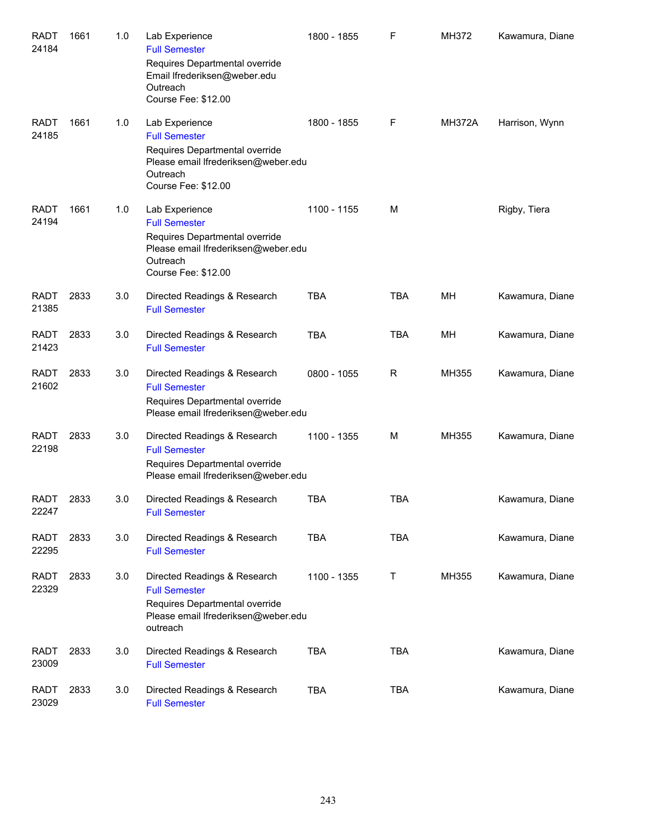| <b>RADT</b><br>24184 | 1661 | 1.0 | Lab Experience<br><b>Full Semester</b><br>Requires Departmental override<br>Email Ifrederiksen@weber.edu<br>Outreach<br>Course Fee: \$12.00        | 1800 - 1855 | $\mathsf F$  | MH372         | Kawamura, Diane |
|----------------------|------|-----|----------------------------------------------------------------------------------------------------------------------------------------------------|-------------|--------------|---------------|-----------------|
| <b>RADT</b><br>24185 | 1661 | 1.0 | Lab Experience<br><b>Full Semester</b><br>Requires Departmental override<br>Please email Ifrederiksen@weber.edu<br>Outreach<br>Course Fee: \$12.00 | 1800 - 1855 | F            | <b>MH372A</b> | Harrison, Wynn  |
| <b>RADT</b><br>24194 | 1661 | 1.0 | Lab Experience<br><b>Full Semester</b><br>Requires Departmental override<br>Please email Ifrederiksen@weber.edu<br>Outreach<br>Course Fee: \$12.00 | 1100 - 1155 | M            |               | Rigby, Tiera    |
| <b>RADT</b><br>21385 | 2833 | 3.0 | Directed Readings & Research<br><b>Full Semester</b>                                                                                               | <b>TBA</b>  | <b>TBA</b>   | MН            | Kawamura, Diane |
| <b>RADT</b><br>21423 | 2833 | 3.0 | Directed Readings & Research<br><b>Full Semester</b>                                                                                               | <b>TBA</b>  | <b>TBA</b>   | MН            | Kawamura, Diane |
| <b>RADT</b><br>21602 | 2833 | 3.0 | Directed Readings & Research<br><b>Full Semester</b><br>Requires Departmental override<br>Please email Ifrederiksen@weber.edu                      | 0800 - 1055 | R            | MH355         | Kawamura, Diane |
| <b>RADT</b><br>22198 | 2833 | 3.0 | Directed Readings & Research<br><b>Full Semester</b><br>Requires Departmental override<br>Please email Ifrederiksen@weber.edu                      | 1100 - 1355 | M            | MH355         | Kawamura, Diane |
| <b>RADT</b><br>22247 | 2833 | 3.0 | Directed Readings & Research<br><b>Full Semester</b>                                                                                               | <b>TBA</b>  | <b>TBA</b>   |               | Kawamura, Diane |
| <b>RADT</b><br>22295 | 2833 | 3.0 | Directed Readings & Research<br><b>Full Semester</b>                                                                                               | <b>TBA</b>  | <b>TBA</b>   |               | Kawamura, Diane |
| <b>RADT</b><br>22329 | 2833 | 3.0 | Directed Readings & Research<br><b>Full Semester</b><br>Requires Departmental override<br>Please email Ifrederiksen@weber.edu<br>outreach          | 1100 - 1355 | $\mathsf{T}$ | MH355         | Kawamura, Diane |
| <b>RADT</b><br>23009 | 2833 | 3.0 | Directed Readings & Research<br><b>Full Semester</b>                                                                                               | <b>TBA</b>  | <b>TBA</b>   |               | Kawamura, Diane |
| <b>RADT</b><br>23029 | 2833 | 3.0 | Directed Readings & Research<br><b>Full Semester</b>                                                                                               | <b>TBA</b>  | <b>TBA</b>   |               | Kawamura, Diane |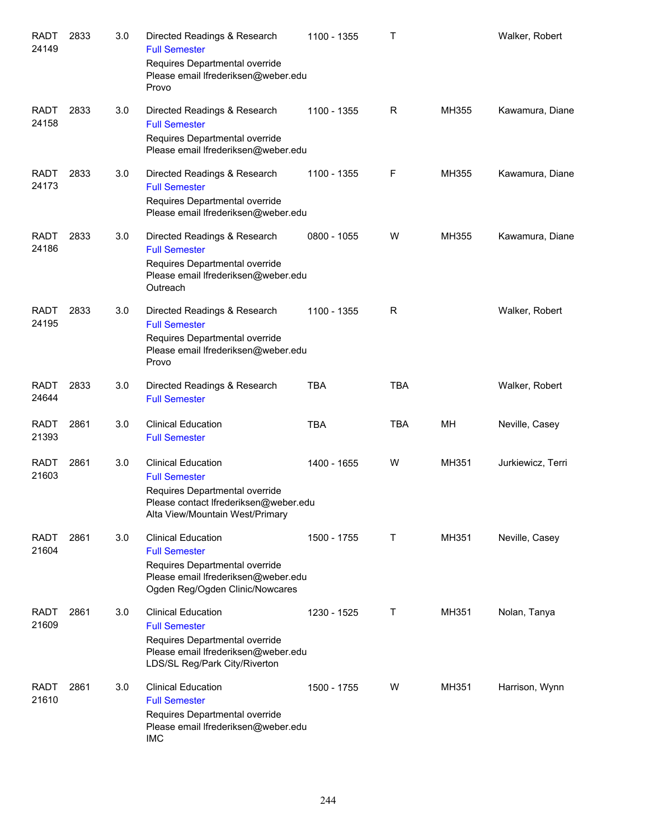| <b>RADT</b><br>24149 | 2833 | 3.0 | Directed Readings & Research<br><b>Full Semester</b><br>Requires Departmental override<br>Please email Ifrederiksen@weber.edu<br>Provo                          | 1100 - 1355 | Τ          |       | Walker, Robert    |
|----------------------|------|-----|-----------------------------------------------------------------------------------------------------------------------------------------------------------------|-------------|------------|-------|-------------------|
| <b>RADT</b><br>24158 | 2833 | 3.0 | Directed Readings & Research<br><b>Full Semester</b><br>Requires Departmental override<br>Please email Ifrederiksen@weber.edu                                   | 1100 - 1355 | R          | MH355 | Kawamura, Diane   |
| <b>RADT</b><br>24173 | 2833 | 3.0 | Directed Readings & Research<br><b>Full Semester</b><br>Requires Departmental override<br>Please email Ifrederiksen@weber.edu                                   | 1100 - 1355 | F          | MH355 | Kawamura, Diane   |
| <b>RADT</b><br>24186 | 2833 | 3.0 | Directed Readings & Research<br><b>Full Semester</b><br>Requires Departmental override<br>Please email Ifrederiksen@weber.edu<br>Outreach                       | 0800 - 1055 | W          | MH355 | Kawamura, Diane   |
| <b>RADT</b><br>24195 | 2833 | 3.0 | Directed Readings & Research<br><b>Full Semester</b><br>Requires Departmental override<br>Please email Ifrederiksen@weber.edu<br>Provo                          | 1100 - 1355 | R          |       | Walker, Robert    |
| <b>RADT</b><br>24644 | 2833 | 3.0 | Directed Readings & Research<br><b>Full Semester</b>                                                                                                            | <b>TBA</b>  | <b>TBA</b> |       | Walker, Robert    |
| <b>RADT</b><br>21393 | 2861 | 3.0 | <b>Clinical Education</b><br><b>Full Semester</b>                                                                                                               | <b>TBA</b>  | <b>TBA</b> | MH    | Neville, Casey    |
| <b>RADT</b><br>21603 | 2861 | 3.0 | <b>Clinical Education</b><br><b>Full Semester</b><br>Requires Departmental override<br>Please contact Ifrederiksen@weber.edu<br>Alta View/Mountain West/Primary | 1400 - 1655 | W          | MH351 | Jurkiewicz, Terri |
| <b>RADT</b><br>21604 | 2861 | 3.0 | <b>Clinical Education</b><br><b>Full Semester</b><br>Requires Departmental override<br>Please email Ifrederiksen@weber.edu<br>Ogden Reg/Ogden Clinic/Nowcares   | 1500 - 1755 | Т          | MH351 | Neville, Casey    |
| <b>RADT</b><br>21609 | 2861 | 3.0 | <b>Clinical Education</b><br><b>Full Semester</b><br>Requires Departmental override<br>Please email Ifrederiksen@weber.edu<br>LDS/SL Reg/Park City/Riverton     | 1230 - 1525 | Τ          | MH351 | Nolan, Tanya      |
| <b>RADT</b><br>21610 | 2861 | 3.0 | <b>Clinical Education</b><br><b>Full Semester</b><br>Requires Departmental override<br>Please email Ifrederiksen@weber.edu<br><b>IMC</b>                        | 1500 - 1755 | W          | MH351 | Harrison, Wynn    |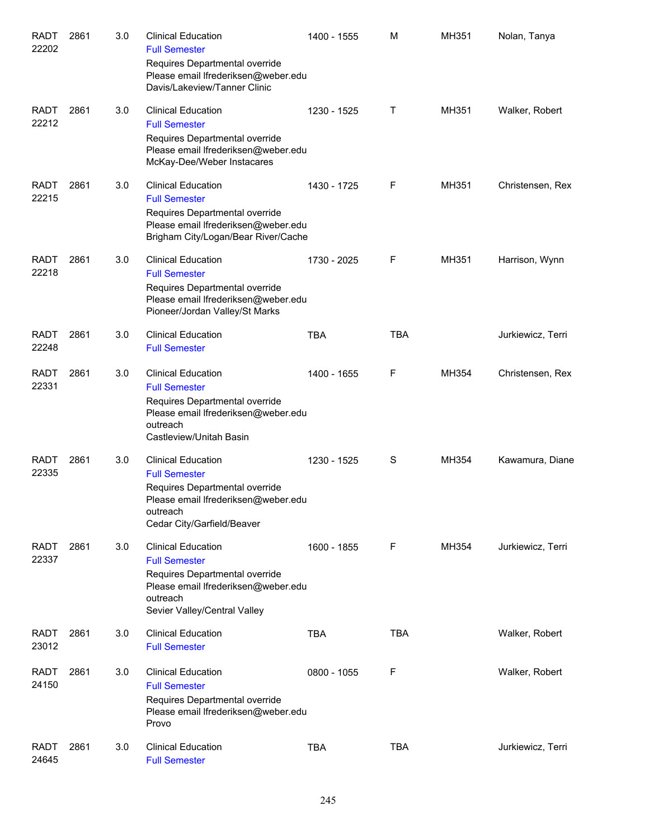| <b>RADT</b><br>22202 | 2861 | 3.0 | <b>Clinical Education</b><br><b>Full Semester</b>                                                                                                                      | 1400 - 1555 | M          | MH351 | Nolan, Tanya      |
|----------------------|------|-----|------------------------------------------------------------------------------------------------------------------------------------------------------------------------|-------------|------------|-------|-------------------|
|                      |      |     | Requires Departmental override<br>Please email Ifrederiksen@weber.edu<br>Davis/Lakeview/Tanner Clinic                                                                  |             |            |       |                   |
| <b>RADT</b><br>22212 | 2861 | 3.0 | <b>Clinical Education</b><br><b>Full Semester</b><br>Requires Departmental override<br>Please email Ifrederiksen@weber.edu<br>McKay-Dee/Weber Instacares               | 1230 - 1525 | Τ          | MH351 | Walker, Robert    |
| <b>RADT</b><br>22215 | 2861 | 3.0 | <b>Clinical Education</b><br><b>Full Semester</b><br>Requires Departmental override<br>Please email Ifrederiksen@weber.edu<br>Brigham City/Logan/Bear River/Cache      | 1430 - 1725 | F          | MH351 | Christensen, Rex  |
| <b>RADT</b><br>22218 | 2861 | 3.0 | <b>Clinical Education</b><br><b>Full Semester</b><br>Requires Departmental override<br>Please email Ifrederiksen@weber.edu<br>Pioneer/Jordan Valley/St Marks           | 1730 - 2025 | F          | MH351 | Harrison, Wynn    |
| <b>RADT</b><br>22248 | 2861 | 3.0 | <b>Clinical Education</b><br><b>Full Semester</b>                                                                                                                      | <b>TBA</b>  | TBA        |       | Jurkiewicz, Terri |
| <b>RADT</b><br>22331 | 2861 | 3.0 | <b>Clinical Education</b><br><b>Full Semester</b><br>Requires Departmental override<br>Please email Ifrederiksen@weber.edu<br>outreach<br>Castleview/Unitah Basin      | 1400 - 1655 | F          | MH354 | Christensen, Rex  |
| <b>RADT</b><br>22335 | 2861 | 3.0 | <b>Clinical Education</b><br><b>Full Semester</b><br>Requires Departmental override<br>Please email Ifrederiksen@weber.edu<br>outreach<br>Cedar City/Garfield/Beaver   | 1230 - 1525 | S          | MH354 | Kawamura, Diane   |
| <b>RADT</b><br>22337 | 2861 | 3.0 | <b>Clinical Education</b><br><b>Full Semester</b><br>Requires Departmental override<br>Please email Ifrederiksen@weber.edu<br>outreach<br>Sevier Valley/Central Valley | 1600 - 1855 | F          | MH354 | Jurkiewicz, Terri |
| <b>RADT</b><br>23012 | 2861 | 3.0 | <b>Clinical Education</b><br><b>Full Semester</b>                                                                                                                      | <b>TBA</b>  | <b>TBA</b> |       | Walker, Robert    |
| <b>RADT</b><br>24150 | 2861 | 3.0 | <b>Clinical Education</b><br><b>Full Semester</b><br>Requires Departmental override<br>Please email Ifrederiksen@weber.edu<br>Provo                                    | 0800 - 1055 | F          |       | Walker, Robert    |
| <b>RADT</b><br>24645 | 2861 | 3.0 | <b>Clinical Education</b><br><b>Full Semester</b>                                                                                                                      | <b>TBA</b>  | <b>TBA</b> |       | Jurkiewicz, Terri |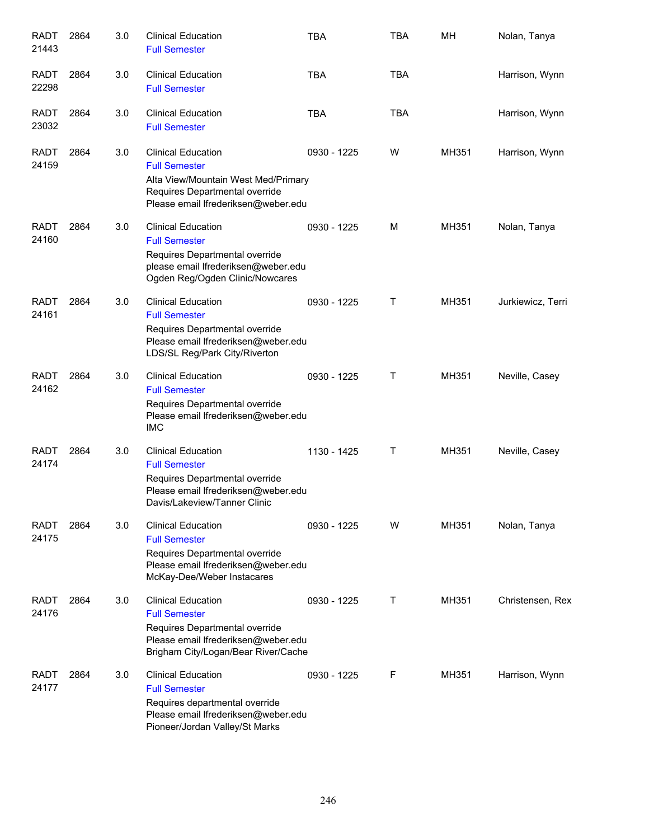| <b>RADT</b><br>21443 | 2864 | 3.0 | <b>Clinical Education</b><br><b>Full Semester</b>                                                                                                                 | <b>TBA</b>  | <b>TBA</b> | MH    | Nolan, Tanya      |
|----------------------|------|-----|-------------------------------------------------------------------------------------------------------------------------------------------------------------------|-------------|------------|-------|-------------------|
| <b>RADT</b><br>22298 | 2864 | 3.0 | <b>Clinical Education</b><br><b>Full Semester</b>                                                                                                                 | <b>TBA</b>  | <b>TBA</b> |       | Harrison, Wynn    |
| <b>RADT</b><br>23032 | 2864 | 3.0 | <b>Clinical Education</b><br><b>Full Semester</b>                                                                                                                 | <b>TBA</b>  | <b>TBA</b> |       | Harrison, Wynn    |
| <b>RADT</b><br>24159 | 2864 | 3.0 | <b>Clinical Education</b><br><b>Full Semester</b><br>Alta View/Mountain West Med/Primary<br>Requires Departmental override<br>Please email Ifrederiksen@weber.edu | 0930 - 1225 | W          | MH351 | Harrison, Wynn    |
| <b>RADT</b><br>24160 | 2864 | 3.0 | <b>Clinical Education</b><br><b>Full Semester</b><br>Requires Departmental override<br>please email Ifrederiksen@weber.edu<br>Ogden Reg/Ogden Clinic/Nowcares     | 0930 - 1225 | M          | MH351 | Nolan, Tanya      |
| <b>RADT</b><br>24161 | 2864 | 3.0 | <b>Clinical Education</b><br><b>Full Semester</b><br>Requires Departmental override<br>Please email Ifrederiksen@weber.edu<br>LDS/SL Reg/Park City/Riverton       | 0930 - 1225 | Т          | MH351 | Jurkiewicz, Terri |
| <b>RADT</b><br>24162 | 2864 | 3.0 | <b>Clinical Education</b><br><b>Full Semester</b><br>Requires Departmental override<br>Please email Ifrederiksen@weber.edu<br><b>IMC</b>                          | 0930 - 1225 | Т          | MH351 | Neville, Casey    |
| <b>RADT</b><br>24174 | 2864 | 3.0 | <b>Clinical Education</b><br><b>Full Semester</b><br>Requires Departmental override<br>Please email Ifrederiksen@weber.edu<br>Davis/Lakeview/Tanner Clinic        | 1130 - 1425 | Τ          | MH351 | Neville, Casey    |
| <b>RADT</b><br>24175 | 2864 | 3.0 | <b>Clinical Education</b><br><b>Full Semester</b><br>Requires Departmental override<br>Please email Ifrederiksen@weber.edu<br>McKay-Dee/Weber Instacares          | 0930 - 1225 | w          | MH351 | Nolan, Tanya      |
| <b>RADT</b><br>24176 | 2864 | 3.0 | <b>Clinical Education</b><br><b>Full Semester</b><br>Requires Departmental override<br>Please email Ifrederiksen@weber.edu<br>Brigham City/Logan/Bear River/Cache | 0930 - 1225 | Τ          | MH351 | Christensen, Rex  |
| <b>RADT</b><br>24177 | 2864 | 3.0 | <b>Clinical Education</b><br><b>Full Semester</b><br>Requires departmental override<br>Please email Ifrederiksen@weber.edu<br>Pioneer/Jordan Valley/St Marks      | 0930 - 1225 | F          | MH351 | Harrison, Wynn    |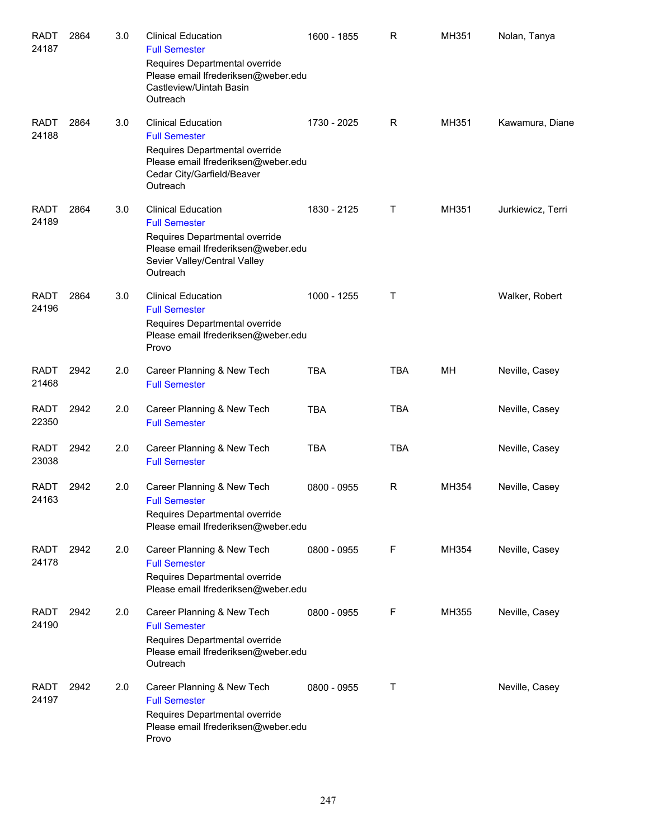| <b>RADT</b><br>24187 | 2864 | 3.0 | <b>Clinical Education</b><br><b>Full Semester</b>                                                                                                                      | 1600 - 1855 | R          | MH351 | Nolan, Tanya      |
|----------------------|------|-----|------------------------------------------------------------------------------------------------------------------------------------------------------------------------|-------------|------------|-------|-------------------|
|                      |      |     | Requires Departmental override<br>Please email Ifrederiksen@weber.edu<br>Castleview/Uintah Basin<br>Outreach                                                           |             |            |       |                   |
| <b>RADT</b><br>24188 | 2864 | 3.0 | <b>Clinical Education</b><br><b>Full Semester</b><br>Requires Departmental override<br>Please email Ifrederiksen@weber.edu<br>Cedar City/Garfield/Beaver<br>Outreach   | 1730 - 2025 | R          | MH351 | Kawamura, Diane   |
| <b>RADT</b><br>24189 | 2864 | 3.0 | <b>Clinical Education</b><br><b>Full Semester</b><br>Requires Departmental override<br>Please email Ifrederiksen@weber.edu<br>Sevier Valley/Central Valley<br>Outreach | 1830 - 2125 | Τ          | MH351 | Jurkiewicz, Terri |
| <b>RADT</b><br>24196 | 2864 | 3.0 | <b>Clinical Education</b><br><b>Full Semester</b><br>Requires Departmental override<br>Please email Ifrederiksen@weber.edu<br>Provo                                    | 1000 - 1255 | Τ          |       | Walker, Robert    |
| <b>RADT</b><br>21468 | 2942 | 2.0 | Career Planning & New Tech<br><b>Full Semester</b>                                                                                                                     | <b>TBA</b>  | <b>TBA</b> | МH    | Neville, Casey    |
| <b>RADT</b><br>22350 | 2942 | 2.0 | Career Planning & New Tech<br><b>Full Semester</b>                                                                                                                     | <b>TBA</b>  | <b>TBA</b> |       | Neville, Casey    |
| <b>RADT</b><br>23038 | 2942 | 2.0 | Career Planning & New Tech<br><b>Full Semester</b>                                                                                                                     | <b>TBA</b>  | <b>TBA</b> |       | Neville, Casey    |
| <b>RADT</b><br>24163 | 2942 | 2.0 | Career Planning & New Tech<br><b>Full Semester</b><br>Requires Departmental override<br>Please email Ifrederiksen@weber.edu                                            | 0800 - 0955 | R          | MH354 | Neville, Casey    |
| <b>RADT</b><br>24178 | 2942 | 2.0 | Career Planning & New Tech<br><b>Full Semester</b><br>Requires Departmental override<br>Please email Ifrederiksen@weber.edu                                            | 0800 - 0955 | F          | MH354 | Neville, Casey    |
| <b>RADT</b><br>24190 | 2942 | 2.0 | Career Planning & New Tech<br><b>Full Semester</b><br>Requires Departmental override<br>Please email Ifrederiksen@weber.edu<br>Outreach                                | 0800 - 0955 | F          | MH355 | Neville, Casey    |
| <b>RADT</b><br>24197 | 2942 | 2.0 | Career Planning & New Tech<br><b>Full Semester</b><br>Requires Departmental override<br>Please email Ifrederiksen@weber.edu<br>Provo                                   | 0800 - 0955 | т          |       | Neville, Casey    |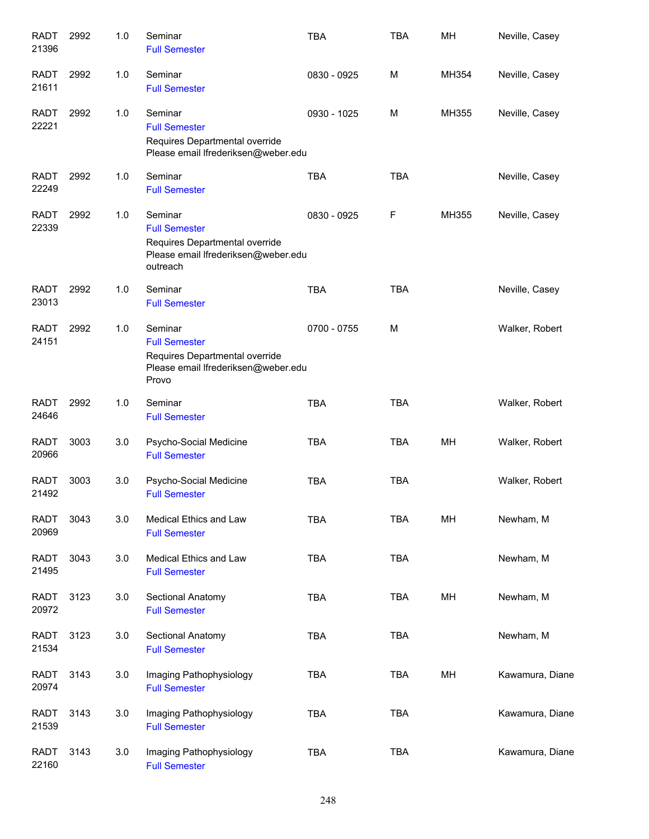| <b>RADT</b><br>21396 | 2992 | 1.0 | Seminar<br><b>Full Semester</b>                                                                                      | <b>TBA</b>  | <b>TBA</b> | MH    | Neville, Casey  |
|----------------------|------|-----|----------------------------------------------------------------------------------------------------------------------|-------------|------------|-------|-----------------|
| <b>RADT</b><br>21611 | 2992 | 1.0 | Seminar<br><b>Full Semester</b>                                                                                      | 0830 - 0925 | м          | MH354 | Neville, Casey  |
| <b>RADT</b><br>22221 | 2992 | 1.0 | Seminar<br><b>Full Semester</b><br>Requires Departmental override<br>Please email Ifrederiksen@weber.edu             | 0930 - 1025 | м          | MH355 | Neville, Casey  |
| <b>RADT</b><br>22249 | 2992 | 1.0 | Seminar<br><b>Full Semester</b>                                                                                      | <b>TBA</b>  | <b>TBA</b> |       | Neville, Casey  |
| <b>RADT</b><br>22339 | 2992 | 1.0 | Seminar<br><b>Full Semester</b><br>Requires Departmental override<br>Please email Ifrederiksen@weber.edu<br>outreach | 0830 - 0925 | F          | MH355 | Neville, Casey  |
| <b>RADT</b><br>23013 | 2992 | 1.0 | Seminar<br><b>Full Semester</b>                                                                                      | <b>TBA</b>  | <b>TBA</b> |       | Neville, Casey  |
| <b>RADT</b><br>24151 | 2992 | 1.0 | Seminar<br><b>Full Semester</b><br>Requires Departmental override<br>Please email Ifrederiksen@weber.edu<br>Provo    | 0700 - 0755 | M          |       | Walker, Robert  |
| <b>RADT</b><br>24646 | 2992 | 1.0 | Seminar<br><b>Full Semester</b>                                                                                      | <b>TBA</b>  | <b>TBA</b> |       | Walker, Robert  |
| <b>RADT</b><br>20966 | 3003 | 3.0 | Psycho-Social Medicine<br><b>Full Semester</b>                                                                       | <b>TBA</b>  | <b>TBA</b> | MH    | Walker, Robert  |
| <b>RADT</b><br>21492 | 3003 | 3.0 | Psycho-Social Medicine<br><b>Full Semester</b>                                                                       | <b>TBA</b>  | <b>TBA</b> |       | Walker, Robert  |
| <b>RADT</b><br>20969 | 3043 | 3.0 | Medical Ethics and Law<br><b>Full Semester</b>                                                                       | <b>TBA</b>  | <b>TBA</b> | MH    | Newham, M       |
| <b>RADT</b><br>21495 | 3043 | 3.0 | Medical Ethics and Law<br><b>Full Semester</b>                                                                       | <b>TBA</b>  | <b>TBA</b> |       | Newham, M       |
| <b>RADT</b><br>20972 | 3123 | 3.0 | Sectional Anatomy<br><b>Full Semester</b>                                                                            | <b>TBA</b>  | <b>TBA</b> | MH    | Newham, M       |
| <b>RADT</b><br>21534 | 3123 | 3.0 | Sectional Anatomy<br><b>Full Semester</b>                                                                            | <b>TBA</b>  | <b>TBA</b> |       | Newham, M       |
| <b>RADT</b><br>20974 | 3143 | 3.0 | Imaging Pathophysiology<br><b>Full Semester</b>                                                                      | <b>TBA</b>  | <b>TBA</b> | MH    | Kawamura, Diane |
| <b>RADT</b><br>21539 | 3143 | 3.0 | Imaging Pathophysiology<br><b>Full Semester</b>                                                                      | <b>TBA</b>  | <b>TBA</b> |       | Kawamura, Diane |
| <b>RADT</b><br>22160 | 3143 | 3.0 | Imaging Pathophysiology<br><b>Full Semester</b>                                                                      | <b>TBA</b>  | <b>TBA</b> |       | Kawamura, Diane |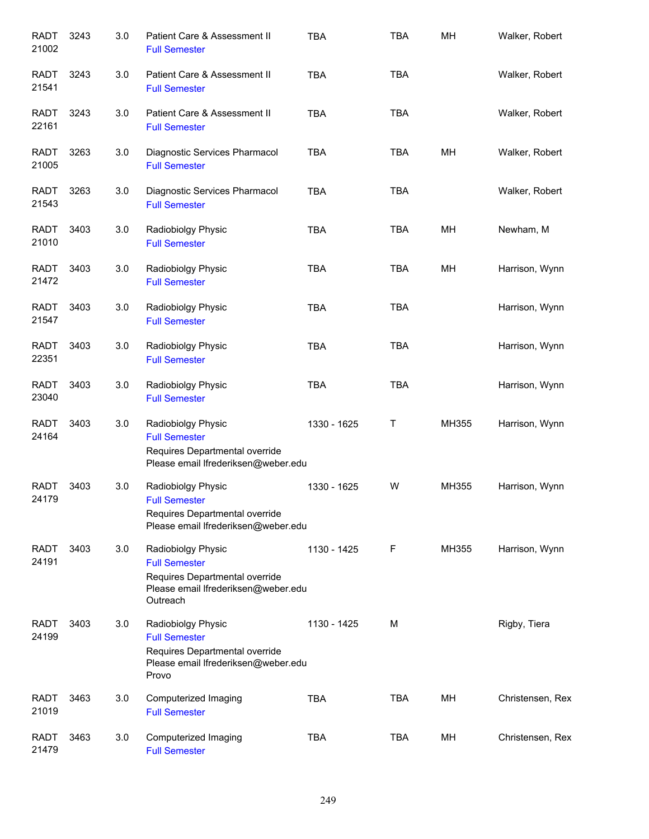| <b>RADT</b><br>21002 | 3243 | 3.0 | Patient Care & Assessment II<br><b>Full Semester</b>                                                                            | <b>TBA</b>  | <b>TBA</b> | MH    | Walker, Robert   |
|----------------------|------|-----|---------------------------------------------------------------------------------------------------------------------------------|-------------|------------|-------|------------------|
| <b>RADT</b><br>21541 | 3243 | 3.0 | Patient Care & Assessment II<br><b>Full Semester</b>                                                                            | <b>TBA</b>  | <b>TBA</b> |       | Walker, Robert   |
| <b>RADT</b><br>22161 | 3243 | 3.0 | Patient Care & Assessment II<br><b>Full Semester</b>                                                                            | <b>TBA</b>  | <b>TBA</b> |       | Walker, Robert   |
| <b>RADT</b><br>21005 | 3263 | 3.0 | Diagnostic Services Pharmacol<br><b>Full Semester</b>                                                                           | <b>TBA</b>  | <b>TBA</b> | MH    | Walker, Robert   |
| <b>RADT</b><br>21543 | 3263 | 3.0 | Diagnostic Services Pharmacol<br><b>Full Semester</b>                                                                           | <b>TBA</b>  | <b>TBA</b> |       | Walker, Robert   |
| <b>RADT</b><br>21010 | 3403 | 3.0 | Radiobiolgy Physic<br><b>Full Semester</b>                                                                                      | <b>TBA</b>  | <b>TBA</b> | MH    | Newham, M        |
| <b>RADT</b><br>21472 | 3403 | 3.0 | Radiobiolgy Physic<br><b>Full Semester</b>                                                                                      | <b>TBA</b>  | <b>TBA</b> | MH    | Harrison, Wynn   |
| <b>RADT</b><br>21547 | 3403 | 3.0 | Radiobiolgy Physic<br><b>Full Semester</b>                                                                                      | <b>TBA</b>  | <b>TBA</b> |       | Harrison, Wynn   |
| <b>RADT</b><br>22351 | 3403 | 3.0 | Radiobiolgy Physic<br><b>Full Semester</b>                                                                                      | <b>TBA</b>  | <b>TBA</b> |       | Harrison, Wynn   |
| <b>RADT</b><br>23040 | 3403 | 3.0 | Radiobiolgy Physic<br><b>Full Semester</b>                                                                                      | <b>TBA</b>  | <b>TBA</b> |       | Harrison, Wynn   |
| <b>RADT</b><br>24164 | 3403 | 3.0 | Radiobiolgy Physic<br><b>Full Semester</b><br>Requires Departmental override<br>Please email Ifrederiksen@weber.edu             | 1330 - 1625 | Τ          | MH355 | Harrison, Wynn   |
| <b>RADT</b><br>24179 | 3403 | 3.0 | Radiobiolgy Physic<br><b>Full Semester</b><br>Requires Departmental override<br>Please email Ifrederiksen@weber.edu             | 1330 - 1625 | W          | MH355 | Harrison, Wynn   |
| <b>RADT</b><br>24191 | 3403 | 3.0 | Radiobiolgy Physic<br><b>Full Semester</b><br>Requires Departmental override<br>Please email Ifrederiksen@weber.edu<br>Outreach | 1130 - 1425 | F          | MH355 | Harrison, Wynn   |
| <b>RADT</b><br>24199 | 3403 | 3.0 | Radiobiolgy Physic<br><b>Full Semester</b><br>Requires Departmental override<br>Please email Ifrederiksen@weber.edu<br>Provo    | 1130 - 1425 | M          |       | Rigby, Tiera     |
| <b>RADT</b><br>21019 | 3463 | 3.0 | Computerized Imaging<br><b>Full Semester</b>                                                                                    | <b>TBA</b>  | <b>TBA</b> | MH    | Christensen, Rex |
| <b>RADT</b><br>21479 | 3463 | 3.0 | Computerized Imaging<br><b>Full Semester</b>                                                                                    | <b>TBA</b>  | <b>TBA</b> | MH    | Christensen, Rex |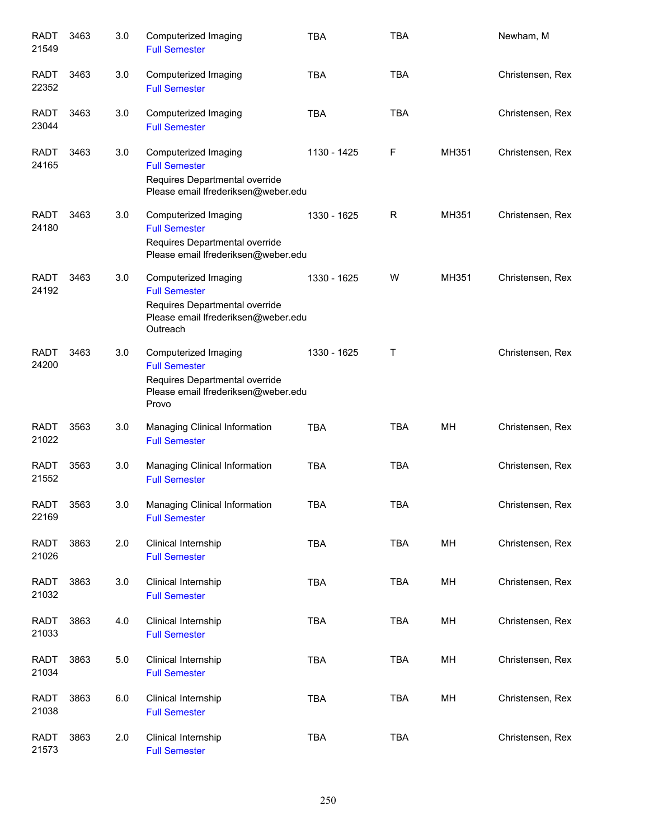| <b>RADT</b><br>21549 | 3463 | 3.0 | Computerized Imaging<br><b>Full Semester</b>                                                                                      | <b>TBA</b>  | <b>TBA</b> |       | Newham, M        |
|----------------------|------|-----|-----------------------------------------------------------------------------------------------------------------------------------|-------------|------------|-------|------------------|
| <b>RADT</b><br>22352 | 3463 | 3.0 | Computerized Imaging<br><b>Full Semester</b>                                                                                      | <b>TBA</b>  | <b>TBA</b> |       | Christensen, Rex |
| <b>RADT</b><br>23044 | 3463 | 3.0 | Computerized Imaging<br><b>Full Semester</b>                                                                                      | <b>TBA</b>  | <b>TBA</b> |       | Christensen, Rex |
| <b>RADT</b><br>24165 | 3463 | 3.0 | Computerized Imaging<br><b>Full Semester</b><br>Requires Departmental override<br>Please email Ifrederiksen@weber.edu             | 1130 - 1425 | F          | MH351 | Christensen, Rex |
| <b>RADT</b><br>24180 | 3463 | 3.0 | Computerized Imaging<br><b>Full Semester</b><br>Requires Departmental override<br>Please email Ifrederiksen@weber.edu             | 1330 - 1625 | R          | MH351 | Christensen, Rex |
| <b>RADT</b><br>24192 | 3463 | 3.0 | Computerized Imaging<br><b>Full Semester</b><br>Requires Departmental override<br>Please email Ifrederiksen@weber.edu<br>Outreach | 1330 - 1625 | W          | MH351 | Christensen, Rex |
| <b>RADT</b><br>24200 | 3463 | 3.0 | Computerized Imaging<br><b>Full Semester</b><br>Requires Departmental override<br>Please email Ifrederiksen@weber.edu<br>Provo    | 1330 - 1625 | Τ          |       | Christensen, Rex |
| <b>RADT</b><br>21022 | 3563 | 3.0 | Managing Clinical Information<br><b>Full Semester</b>                                                                             | <b>TBA</b>  | <b>TBA</b> | MН    | Christensen, Rex |
| <b>RADT</b><br>21552 | 3563 | 3.0 | Managing Clinical Information<br><b>Full Semester</b>                                                                             | <b>TBA</b>  | <b>TBA</b> |       | Christensen, Rex |
| <b>RADT</b><br>22169 | 3563 | 3.0 | Managing Clinical Information<br><b>Full Semester</b>                                                                             | TBA         | <b>TBA</b> |       | Christensen, Rex |
| <b>RADT</b><br>21026 | 3863 | 2.0 | Clinical Internship<br><b>Full Semester</b>                                                                                       | <b>TBA</b>  | <b>TBA</b> | MH    | Christensen, Rex |
| <b>RADT</b><br>21032 | 3863 | 3.0 | Clinical Internship<br><b>Full Semester</b>                                                                                       | <b>TBA</b>  | <b>TBA</b> | MH    | Christensen, Rex |
| <b>RADT</b><br>21033 | 3863 | 4.0 | Clinical Internship<br><b>Full Semester</b>                                                                                       | <b>TBA</b>  | <b>TBA</b> | MH    | Christensen, Rex |
| <b>RADT</b><br>21034 | 3863 | 5.0 | Clinical Internship<br><b>Full Semester</b>                                                                                       | <b>TBA</b>  | <b>TBA</b> | MH    | Christensen, Rex |
| <b>RADT</b><br>21038 | 3863 | 6.0 | Clinical Internship<br><b>Full Semester</b>                                                                                       | TBA         | <b>TBA</b> | MH    | Christensen, Rex |
| <b>RADT</b><br>21573 | 3863 | 2.0 | Clinical Internship<br><b>Full Semester</b>                                                                                       | <b>TBA</b>  | <b>TBA</b> |       | Christensen, Rex |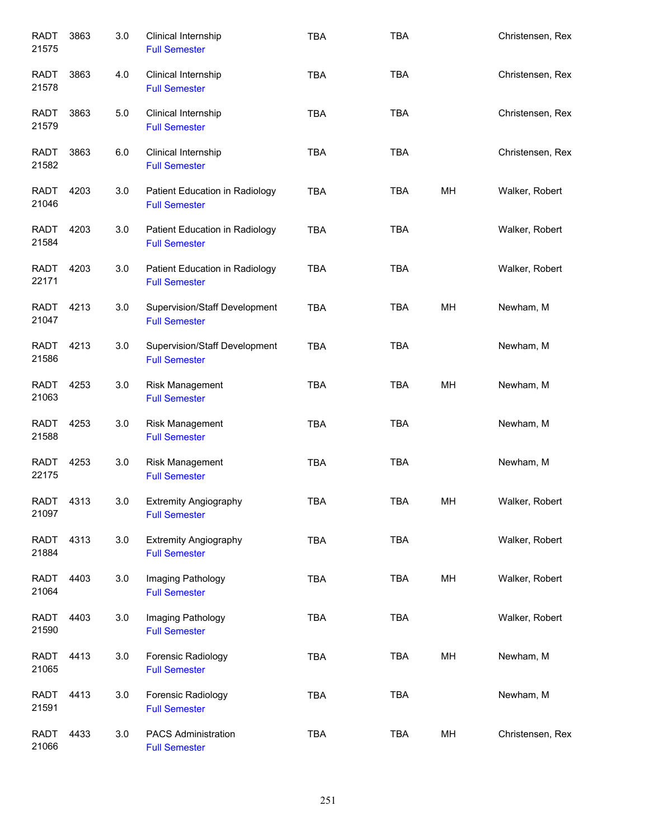| <b>RADT</b><br>21575 | 3863 | 3.0 | Clinical Internship<br><b>Full Semester</b>            | <b>TBA</b> | <b>TBA</b> |    | Christensen, Rex |
|----------------------|------|-----|--------------------------------------------------------|------------|------------|----|------------------|
| <b>RADT</b><br>21578 | 3863 | 4.0 | Clinical Internship<br><b>Full Semester</b>            | <b>TBA</b> | <b>TBA</b> |    | Christensen, Rex |
| <b>RADT</b><br>21579 | 3863 | 5.0 | Clinical Internship<br><b>Full Semester</b>            | <b>TBA</b> | <b>TBA</b> |    | Christensen, Rex |
| RADT<br>21582        | 3863 | 6.0 | Clinical Internship<br><b>Full Semester</b>            | <b>TBA</b> | <b>TBA</b> |    | Christensen, Rex |
| RADT<br>21046        | 4203 | 3.0 | Patient Education in Radiology<br><b>Full Semester</b> | <b>TBA</b> | <b>TBA</b> | MН | Walker, Robert   |
| RADT<br>21584        | 4203 | 3.0 | Patient Education in Radiology<br><b>Full Semester</b> | <b>TBA</b> | <b>TBA</b> |    | Walker, Robert   |
| <b>RADT</b><br>22171 | 4203 | 3.0 | Patient Education in Radiology<br><b>Full Semester</b> | <b>TBA</b> | <b>TBA</b> |    | Walker, Robert   |
| <b>RADT</b><br>21047 | 4213 | 3.0 | Supervision/Staff Development<br><b>Full Semester</b>  | <b>TBA</b> | <b>TBA</b> | MH | Newham, M        |
| <b>RADT</b><br>21586 | 4213 | 3.0 | Supervision/Staff Development<br><b>Full Semester</b>  | <b>TBA</b> | <b>TBA</b> |    | Newham, M        |
| <b>RADT</b><br>21063 | 4253 | 3.0 | Risk Management<br><b>Full Semester</b>                | <b>TBA</b> | <b>TBA</b> | MH | Newham, M        |
| <b>RADT</b><br>21588 | 4253 | 3.0 | Risk Management<br><b>Full Semester</b>                | <b>TBA</b> | <b>TBA</b> |    | Newham, M        |
| <b>RADT</b><br>22175 | 4253 | 3.0 | Risk Management<br><b>Full Semester</b>                | <b>TBA</b> | <b>TBA</b> |    | Newham, M        |
| <b>RADT</b><br>21097 | 4313 | 3.0 | <b>Extremity Angiography</b><br><b>Full Semester</b>   | <b>TBA</b> | <b>TBA</b> | MH | Walker, Robert   |
| <b>RADT</b><br>21884 | 4313 | 3.0 | <b>Extremity Angiography</b><br><b>Full Semester</b>   | TBA        | <b>TBA</b> |    | Walker, Robert   |
| <b>RADT</b><br>21064 | 4403 | 3.0 | Imaging Pathology<br><b>Full Semester</b>              | <b>TBA</b> | <b>TBA</b> | MH | Walker, Robert   |
| <b>RADT</b><br>21590 | 4403 | 3.0 | Imaging Pathology<br><b>Full Semester</b>              | <b>TBA</b> | <b>TBA</b> |    | Walker, Robert   |
| <b>RADT</b><br>21065 | 4413 | 3.0 | Forensic Radiology<br><b>Full Semester</b>             | <b>TBA</b> | <b>TBA</b> | MH | Newham, M        |
| <b>RADT</b><br>21591 | 4413 | 3.0 | Forensic Radiology<br><b>Full Semester</b>             | TBA        | <b>TBA</b> |    | Newham, M        |
| <b>RADT</b><br>21066 | 4433 | 3.0 | PACS Administration<br><b>Full Semester</b>            | TBA        | TBA        | MH | Christensen, Rex |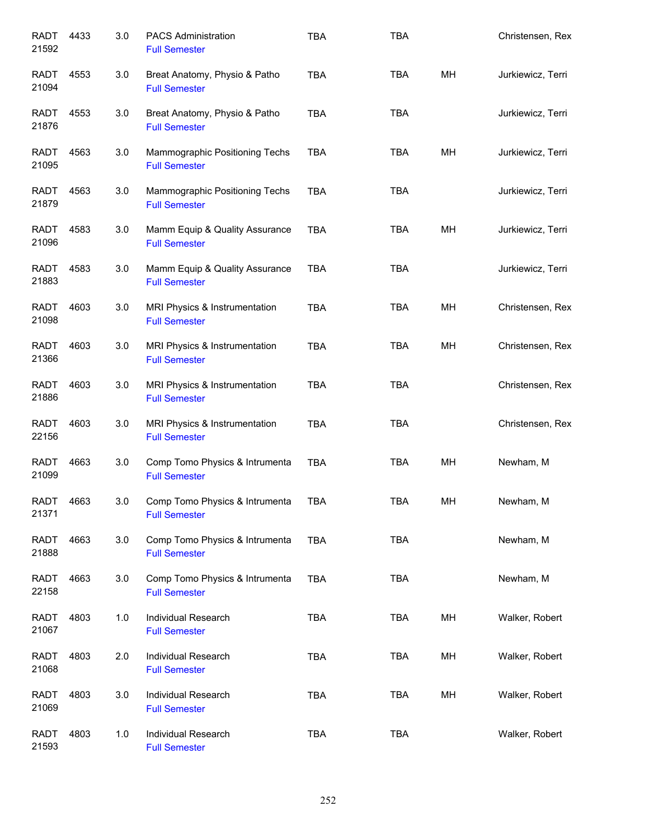| <b>RADT</b><br>21592 | 4433 | 3.0 | <b>PACS Administration</b><br><b>Full Semester</b>     | <b>TBA</b> | <b>TBA</b> |    | Christensen, Rex  |
|----------------------|------|-----|--------------------------------------------------------|------------|------------|----|-------------------|
| RADT<br>21094        | 4553 | 3.0 | Breat Anatomy, Physio & Patho<br><b>Full Semester</b>  | <b>TBA</b> | <b>TBA</b> | MH | Jurkiewicz, Terri |
| RADT<br>21876        | 4553 | 3.0 | Breat Anatomy, Physio & Patho<br><b>Full Semester</b>  | <b>TBA</b> | <b>TBA</b> |    | Jurkiewicz, Terri |
| RADT<br>21095        | 4563 | 3.0 | Mammographic Positioning Techs<br><b>Full Semester</b> | <b>TBA</b> | <b>TBA</b> | MH | Jurkiewicz, Terri |
| RADT<br>21879        | 4563 | 3.0 | Mammographic Positioning Techs<br><b>Full Semester</b> | <b>TBA</b> | <b>TBA</b> |    | Jurkiewicz, Terri |
| RADT<br>21096        | 4583 | 3.0 | Mamm Equip & Quality Assurance<br><b>Full Semester</b> | <b>TBA</b> | <b>TBA</b> | MH | Jurkiewicz, Terri |
| <b>RADT</b><br>21883 | 4583 | 3.0 | Mamm Equip & Quality Assurance<br><b>Full Semester</b> | <b>TBA</b> | <b>TBA</b> |    | Jurkiewicz, Terri |
| <b>RADT</b><br>21098 | 4603 | 3.0 | MRI Physics & Instrumentation<br><b>Full Semester</b>  | <b>TBA</b> | <b>TBA</b> | MH | Christensen, Rex  |
| <b>RADT</b><br>21366 | 4603 | 3.0 | MRI Physics & Instrumentation<br><b>Full Semester</b>  | <b>TBA</b> | <b>TBA</b> | MH | Christensen, Rex  |
| <b>RADT</b><br>21886 | 4603 | 3.0 | MRI Physics & Instrumentation<br><b>Full Semester</b>  | <b>TBA</b> | <b>TBA</b> |    | Christensen, Rex  |
| <b>RADT</b><br>22156 | 4603 | 3.0 | MRI Physics & Instrumentation<br><b>Full Semester</b>  | <b>TBA</b> | <b>TBA</b> |    | Christensen, Rex  |
| <b>RADT</b><br>21099 | 4663 | 3.0 | Comp Tomo Physics & Intrumenta<br><b>Full Semester</b> | <b>TBA</b> | <b>TBA</b> | MH | Newham, M         |
| <b>RADT</b><br>21371 | 4663 | 3.0 | Comp Tomo Physics & Intrumenta<br><b>Full Semester</b> | TBA        | TBA        | MН | Newham, M         |
| <b>RADT</b><br>21888 | 4663 | 3.0 | Comp Tomo Physics & Intrumenta<br><b>Full Semester</b> | <b>TBA</b> | <b>TBA</b> |    | Newham, M         |
| <b>RADT</b><br>22158 | 4663 | 3.0 | Comp Tomo Physics & Intrumenta<br><b>Full Semester</b> | <b>TBA</b> | <b>TBA</b> |    | Newham, M         |
| <b>RADT</b><br>21067 | 4803 | 1.0 | Individual Research<br><b>Full Semester</b>            | <b>TBA</b> | <b>TBA</b> | MH | Walker, Robert    |
| <b>RADT</b><br>21068 | 4803 | 2.0 | Individual Research<br><b>Full Semester</b>            | <b>TBA</b> | TBA        | MH | Walker, Robert    |
| <b>RADT</b><br>21069 | 4803 | 3.0 | Individual Research<br><b>Full Semester</b>            | <b>TBA</b> | TBA        | MH | Walker, Robert    |
| <b>RADT</b><br>21593 | 4803 | 1.0 | Individual Research<br><b>Full Semester</b>            | <b>TBA</b> | TBA        |    | Walker, Robert    |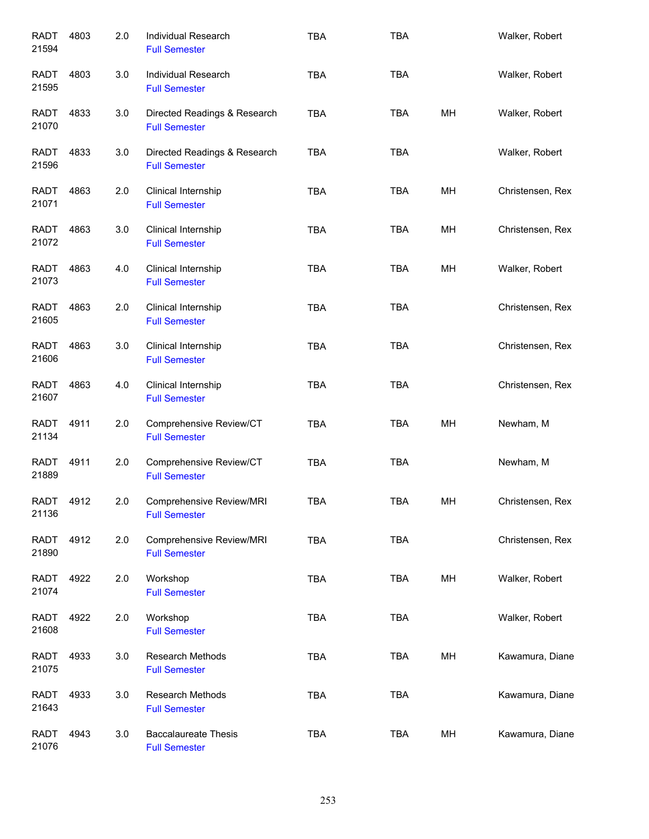| <b>RADT</b><br>21594 | 4803 | 2.0 | Individual Research<br><b>Full Semester</b>          | <b>TBA</b> | <b>TBA</b> |    | Walker, Robert   |
|----------------------|------|-----|------------------------------------------------------|------------|------------|----|------------------|
| RADT<br>21595        | 4803 | 3.0 | Individual Research<br><b>Full Semester</b>          | <b>TBA</b> | <b>TBA</b> |    | Walker, Robert   |
| RADT<br>21070        | 4833 | 3.0 | Directed Readings & Research<br><b>Full Semester</b> | <b>TBA</b> | <b>TBA</b> | MH | Walker, Robert   |
| RADT<br>21596        | 4833 | 3.0 | Directed Readings & Research<br><b>Full Semester</b> | <b>TBA</b> | <b>TBA</b> |    | Walker, Robert   |
| <b>RADT</b><br>21071 | 4863 | 2.0 | Clinical Internship<br><b>Full Semester</b>          | <b>TBA</b> | <b>TBA</b> | MH | Christensen, Rex |
| <b>RADT</b><br>21072 | 4863 | 3.0 | Clinical Internship<br><b>Full Semester</b>          | <b>TBA</b> | <b>TBA</b> | MH | Christensen, Rex |
| <b>RADT</b><br>21073 | 4863 | 4.0 | Clinical Internship<br><b>Full Semester</b>          | <b>TBA</b> | <b>TBA</b> | MH | Walker, Robert   |
| <b>RADT</b><br>21605 | 4863 | 2.0 | Clinical Internship<br><b>Full Semester</b>          | <b>TBA</b> | <b>TBA</b> |    | Christensen, Rex |
| <b>RADT</b><br>21606 | 4863 | 3.0 | Clinical Internship<br><b>Full Semester</b>          | <b>TBA</b> | <b>TBA</b> |    | Christensen, Rex |
| <b>RADT</b><br>21607 | 4863 | 4.0 | Clinical Internship<br><b>Full Semester</b>          | <b>TBA</b> | <b>TBA</b> |    | Christensen, Rex |
| <b>RADT</b><br>21134 | 4911 | 2.0 | Comprehensive Review/CT<br><b>Full Semester</b>      | <b>TBA</b> | <b>TBA</b> | MH | Newham, M        |
| <b>RADT</b><br>21889 | 4911 | 2.0 | Comprehensive Review/CT<br><b>Full Semester</b>      | <b>TBA</b> | <b>TBA</b> |    | Newham, M        |
| <b>RADT</b><br>21136 | 4912 | 2.0 | Comprehensive Review/MRI<br><b>Full Semester</b>     | TBA        | TBA        | MН | Christensen, Rex |
| <b>RADT</b><br>21890 | 4912 | 2.0 | Comprehensive Review/MRI<br><b>Full Semester</b>     | <b>TBA</b> | <b>TBA</b> |    | Christensen, Rex |
| <b>RADT</b><br>21074 | 4922 | 2.0 | Workshop<br><b>Full Semester</b>                     | <b>TBA</b> | <b>TBA</b> | MH | Walker, Robert   |
| <b>RADT</b><br>21608 | 4922 | 2.0 | Workshop<br><b>Full Semester</b>                     | TBA        | <b>TBA</b> |    | Walker, Robert   |
| <b>RADT</b><br>21075 | 4933 | 3.0 | Research Methods<br><b>Full Semester</b>             | <b>TBA</b> | <b>TBA</b> | MH | Kawamura, Diane  |
| <b>RADT</b><br>21643 | 4933 | 3.0 | Research Methods<br><b>Full Semester</b>             | <b>TBA</b> | <b>TBA</b> |    | Kawamura, Diane  |
| <b>RADT</b><br>21076 | 4943 | 3.0 | <b>Baccalaureate Thesis</b><br><b>Full Semester</b>  | <b>TBA</b> | TBA        | MH | Kawamura, Diane  |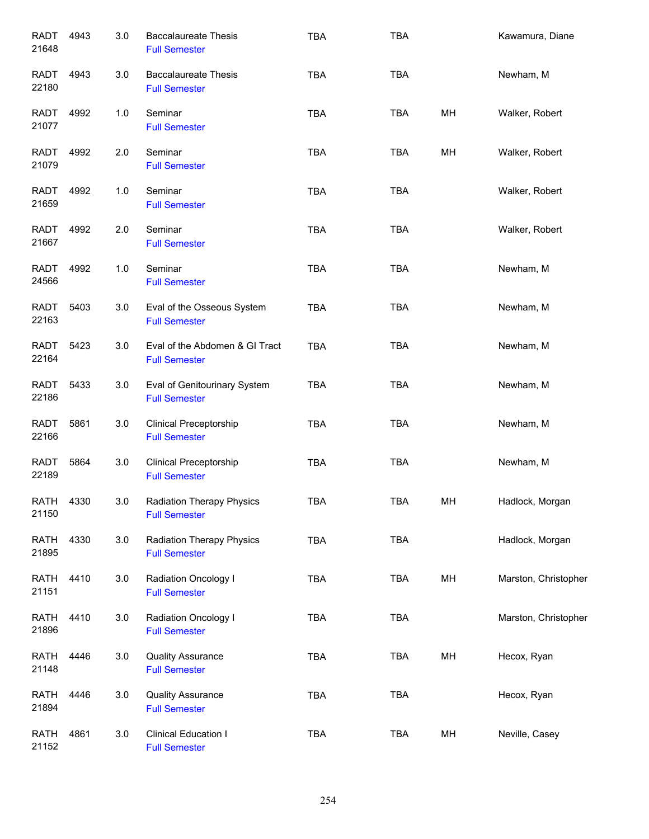| <b>RADT</b><br>21648 | 4943 | 3.0 | <b>Baccalaureate Thesis</b><br><b>Full Semester</b>      | <b>TBA</b> | <b>TBA</b> |    | Kawamura, Diane      |
|----------------------|------|-----|----------------------------------------------------------|------------|------------|----|----------------------|
| <b>RADT</b><br>22180 | 4943 | 3.0 | <b>Baccalaureate Thesis</b><br><b>Full Semester</b>      | <b>TBA</b> | <b>TBA</b> |    | Newham, M            |
| RADT<br>21077        | 4992 | 1.0 | Seminar<br><b>Full Semester</b>                          | <b>TBA</b> | <b>TBA</b> | MH | Walker, Robert       |
| RADT<br>21079        | 4992 | 2.0 | Seminar<br><b>Full Semester</b>                          | <b>TBA</b> | <b>TBA</b> | MH | Walker, Robert       |
| <b>RADT</b><br>21659 | 4992 | 1.0 | Seminar<br><b>Full Semester</b>                          | <b>TBA</b> | <b>TBA</b> |    | Walker, Robert       |
| <b>RADT</b><br>21667 | 4992 | 2.0 | Seminar<br><b>Full Semester</b>                          | <b>TBA</b> | <b>TBA</b> |    | Walker, Robert       |
| <b>RADT</b><br>24566 | 4992 | 1.0 | Seminar<br><b>Full Semester</b>                          | <b>TBA</b> | <b>TBA</b> |    | Newham, M            |
| <b>RADT</b><br>22163 | 5403 | 3.0 | Eval of the Osseous System<br><b>Full Semester</b>       | <b>TBA</b> | <b>TBA</b> |    | Newham, M            |
| <b>RADT</b><br>22164 | 5423 | 3.0 | Eval of the Abdomen & GI Tract<br><b>Full Semester</b>   | <b>TBA</b> | <b>TBA</b> |    | Newham, M            |
| <b>RADT</b><br>22186 | 5433 | 3.0 | Eval of Genitourinary System<br><b>Full Semester</b>     | <b>TBA</b> | <b>TBA</b> |    | Newham, M            |
| <b>RADT</b><br>22166 | 5861 | 3.0 | <b>Clinical Preceptorship</b><br><b>Full Semester</b>    | <b>TBA</b> | <b>TBA</b> |    | Newham, M            |
| <b>RADT</b><br>22189 | 5864 | 3.0 | <b>Clinical Preceptorship</b><br><b>Full Semester</b>    | <b>TBA</b> | <b>TBA</b> |    | Newham, M            |
| <b>RATH</b><br>21150 | 4330 | 3.0 | <b>Radiation Therapy Physics</b><br><b>Full Semester</b> | TBA        | <b>TBA</b> | MH | Hadlock, Morgan      |
| <b>RATH</b><br>21895 | 4330 | 3.0 | <b>Radiation Therapy Physics</b><br><b>Full Semester</b> | <b>TBA</b> | TBA        |    | Hadlock, Morgan      |
| <b>RATH</b><br>21151 | 4410 | 3.0 | Radiation Oncology I<br><b>Full Semester</b>             | <b>TBA</b> | TBA        | MH | Marston, Christopher |
| <b>RATH</b><br>21896 | 4410 | 3.0 | Radiation Oncology I<br><b>Full Semester</b>             | <b>TBA</b> | TBA        |    | Marston, Christopher |
| <b>RATH</b><br>21148 | 4446 | 3.0 | <b>Quality Assurance</b><br><b>Full Semester</b>         | <b>TBA</b> | TBA        | MH | Hecox, Ryan          |
| <b>RATH</b><br>21894 | 4446 | 3.0 | <b>Quality Assurance</b><br><b>Full Semester</b>         | <b>TBA</b> | TBA        |    | Hecox, Ryan          |
| <b>RATH</b><br>21152 | 4861 | 3.0 | Clinical Education I<br><b>Full Semester</b>             | <b>TBA</b> | TBA        | MH | Neville, Casey       |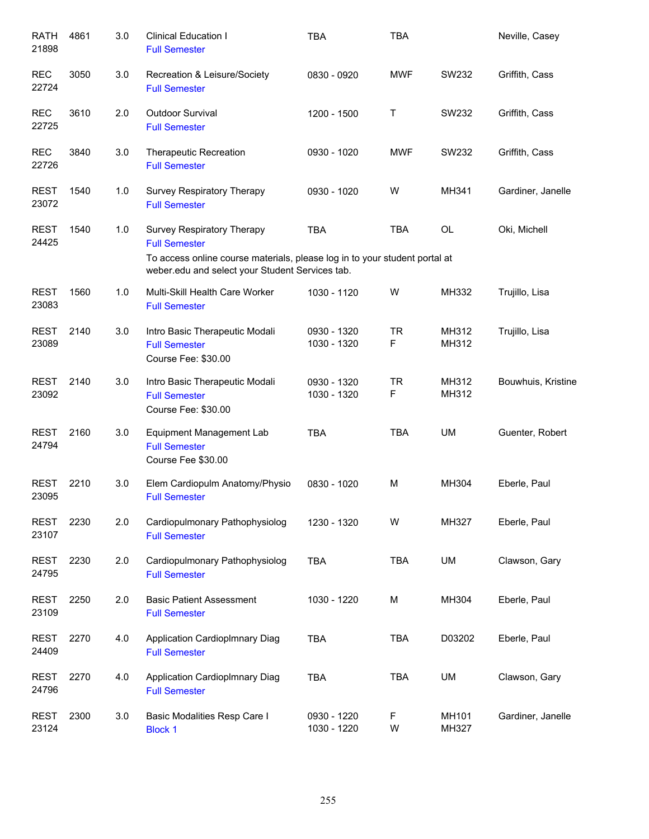| <b>RATH</b><br>21898 | 4861 | 3.0 | <b>Clinical Education I</b><br><b>Full Semester</b>                                                                           | <b>TBA</b>                 | <b>TBA</b>     |                | Neville, Casey     |
|----------------------|------|-----|-------------------------------------------------------------------------------------------------------------------------------|----------------------------|----------------|----------------|--------------------|
| <b>REC</b><br>22724  | 3050 | 3.0 | Recreation & Leisure/Society<br><b>Full Semester</b>                                                                          | 0830 - 0920                | <b>MWF</b>     | SW232          | Griffith, Cass     |
| <b>REC</b><br>22725  | 3610 | 2.0 | Outdoor Survival<br><b>Full Semester</b>                                                                                      | 1200 - 1500                | Τ              | SW232          | Griffith, Cass     |
| <b>REC</b><br>22726  | 3840 | 3.0 | <b>Therapeutic Recreation</b><br><b>Full Semester</b>                                                                         | 0930 - 1020                | <b>MWF</b>     | SW232          | Griffith, Cass     |
| <b>REST</b><br>23072 | 1540 | 1.0 | Survey Respiratory Therapy<br><b>Full Semester</b>                                                                            | 0930 - 1020                | W              | MH341          | Gardiner, Janelle  |
| <b>REST</b><br>24425 | 1540 | 1.0 | Survey Respiratory Therapy<br><b>Full Semester</b>                                                                            | <b>TBA</b>                 | <b>TBA</b>     | <b>OL</b>      | Oki, Michell       |
|                      |      |     | To access online course materials, please log in to your student portal at<br>weber.edu and select your Student Services tab. |                            |                |                |                    |
| <b>REST</b><br>23083 | 1560 | 1.0 | Multi-Skill Health Care Worker<br><b>Full Semester</b>                                                                        | 1030 - 1120                | W              | MH332          | Trujillo, Lisa     |
| <b>REST</b><br>23089 | 2140 | 3.0 | Intro Basic Therapeutic Modali<br><b>Full Semester</b><br>Course Fee: \$30.00                                                 | 0930 - 1320<br>1030 - 1320 | <b>TR</b><br>F | MH312<br>MH312 | Trujillo, Lisa     |
| <b>REST</b><br>23092 | 2140 | 3.0 | Intro Basic Therapeutic Modali<br><b>Full Semester</b><br>Course Fee: \$30.00                                                 | 0930 - 1320<br>1030 - 1320 | <b>TR</b><br>F | MH312<br>MH312 | Bouwhuis, Kristine |
| <b>REST</b><br>24794 | 2160 | 3.0 | <b>Equipment Management Lab</b><br><b>Full Semester</b><br>Course Fee \$30.00                                                 | <b>TBA</b>                 | <b>TBA</b>     | UM             | Guenter, Robert    |
| <b>REST</b><br>23095 | 2210 | 3.0 | Elem Cardiopulm Anatomy/Physio<br><b>Full Semester</b>                                                                        | 0830 - 1020                | M              | MH304          | Eberle, Paul       |
| <b>REST</b><br>23107 | 2230 | 2.0 | Cardiopulmonary Pathophysiolog<br><b>Full Semester</b>                                                                        | 1230 - 1320                | W              | MH327          | Eberle, Paul       |
| <b>REST</b><br>24795 | 2230 | 2.0 | Cardiopulmonary Pathophysiolog<br><b>Full Semester</b>                                                                        | <b>TBA</b>                 | <b>TBA</b>     | <b>UM</b>      | Clawson, Gary      |
| <b>REST</b><br>23109 | 2250 | 2.0 | <b>Basic Patient Assessment</b><br><b>Full Semester</b>                                                                       | 1030 - 1220                | M              | MH304          | Eberle, Paul       |
| <b>REST</b><br>24409 | 2270 | 4.0 | Application CardiopImnary Diag<br><b>Full Semester</b>                                                                        | <b>TBA</b>                 | <b>TBA</b>     | D03202         | Eberle, Paul       |
| <b>REST</b><br>24796 | 2270 | 4.0 | <b>Application Cardioplmnary Diag</b><br><b>Full Semester</b>                                                                 | <b>TBA</b>                 | <b>TBA</b>     | UM             | Clawson, Gary      |
| <b>REST</b><br>23124 | 2300 | 3.0 | Basic Modalities Resp Care I<br><b>Block 1</b>                                                                                | 0930 - 1220<br>1030 - 1220 | F<br>W         | MH101<br>MH327 | Gardiner, Janelle  |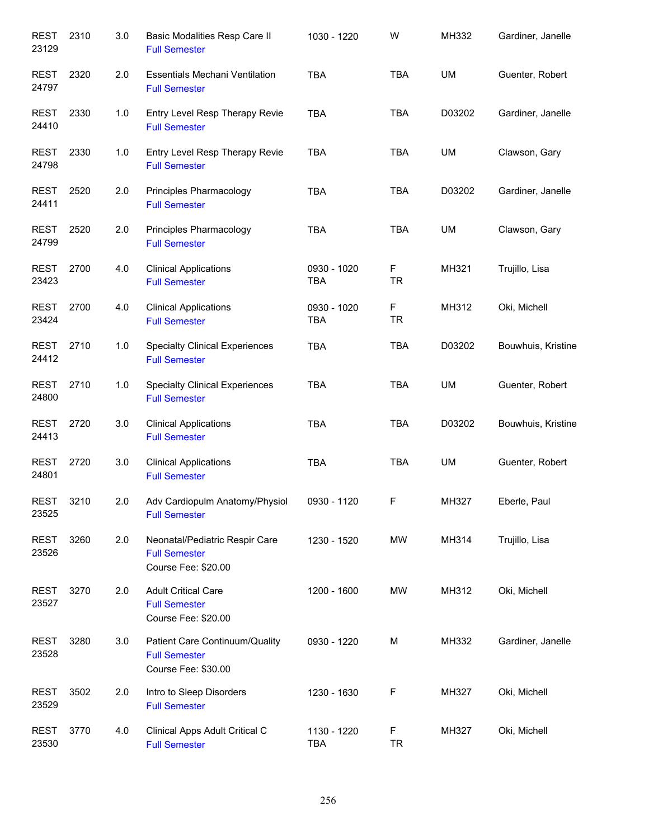| <b>REST</b><br>23129 | 2310 | 3.0 | Basic Modalities Resp Care II<br><b>Full Semester</b>                         | 1030 - 1220               | W              | MH332     | Gardiner, Janelle  |
|----------------------|------|-----|-------------------------------------------------------------------------------|---------------------------|----------------|-----------|--------------------|
| <b>REST</b><br>24797 | 2320 | 2.0 | <b>Essentials Mechani Ventilation</b><br><b>Full Semester</b>                 | <b>TBA</b>                | <b>TBA</b>     | UM        | Guenter, Robert    |
| <b>REST</b><br>24410 | 2330 | 1.0 | Entry Level Resp Therapy Revie<br><b>Full Semester</b>                        | <b>TBA</b>                | <b>TBA</b>     | D03202    | Gardiner, Janelle  |
| <b>REST</b><br>24798 | 2330 | 1.0 | Entry Level Resp Therapy Revie<br><b>Full Semester</b>                        | <b>TBA</b>                | <b>TBA</b>     | UM        | Clawson, Gary      |
| <b>REST</b><br>24411 | 2520 | 2.0 | Principles Pharmacology<br><b>Full Semester</b>                               | <b>TBA</b>                | <b>TBA</b>     | D03202    | Gardiner, Janelle  |
| <b>REST</b><br>24799 | 2520 | 2.0 | Principles Pharmacology<br><b>Full Semester</b>                               | <b>TBA</b>                | <b>TBA</b>     | UM        | Clawson, Gary      |
| <b>REST</b><br>23423 | 2700 | 4.0 | <b>Clinical Applications</b><br><b>Full Semester</b>                          | 0930 - 1020<br><b>TBA</b> | F<br><b>TR</b> | MH321     | Trujillo, Lisa     |
| <b>REST</b><br>23424 | 2700 | 4.0 | <b>Clinical Applications</b><br><b>Full Semester</b>                          | 0930 - 1020<br><b>TBA</b> | F<br><b>TR</b> | MH312     | Oki, Michell       |
| <b>REST</b><br>24412 | 2710 | 1.0 | <b>Specialty Clinical Experiences</b><br><b>Full Semester</b>                 | <b>TBA</b>                | <b>TBA</b>     | D03202    | Bouwhuis, Kristine |
| <b>REST</b><br>24800 | 2710 | 1.0 | <b>Specialty Clinical Experiences</b><br><b>Full Semester</b>                 | <b>TBA</b>                | <b>TBA</b>     | UM        | Guenter, Robert    |
| <b>REST</b><br>24413 | 2720 | 3.0 | <b>Clinical Applications</b><br><b>Full Semester</b>                          | <b>TBA</b>                | <b>TBA</b>     | D03202    | Bouwhuis, Kristine |
| <b>REST</b><br>24801 | 2720 | 3.0 | <b>Clinical Applications</b><br><b>Full Semester</b>                          | <b>TBA</b>                | <b>TBA</b>     | <b>UM</b> | Guenter, Robert    |
| <b>REST</b><br>23525 | 3210 | 2.0 | Adv Cardiopulm Anatomy/Physiol<br><b>Full Semester</b>                        | 0930 - 1120               | F              | MH327     | Eberle, Paul       |
| <b>REST</b><br>23526 | 3260 | 2.0 | Neonatal/Pediatric Respir Care<br><b>Full Semester</b><br>Course Fee: \$20.00 | 1230 - 1520               | MW             | MH314     | Trujillo, Lisa     |
| <b>REST</b><br>23527 | 3270 | 2.0 | <b>Adult Critical Care</b><br><b>Full Semester</b><br>Course Fee: \$20.00     | 1200 - 1600               | MW             | MH312     | Oki, Michell       |
| <b>REST</b><br>23528 | 3280 | 3.0 | Patient Care Continuum/Quality<br><b>Full Semester</b><br>Course Fee: \$30.00 | 0930 - 1220               | М              | MH332     | Gardiner, Janelle  |
| <b>REST</b><br>23529 | 3502 | 2.0 | Intro to Sleep Disorders<br><b>Full Semester</b>                              | 1230 - 1630               | F              | MH327     | Oki, Michell       |
| <b>REST</b><br>23530 | 3770 | 4.0 | Clinical Apps Adult Critical C<br><b>Full Semester</b>                        | 1130 - 1220<br><b>TBA</b> | F<br><b>TR</b> | MH327     | Oki, Michell       |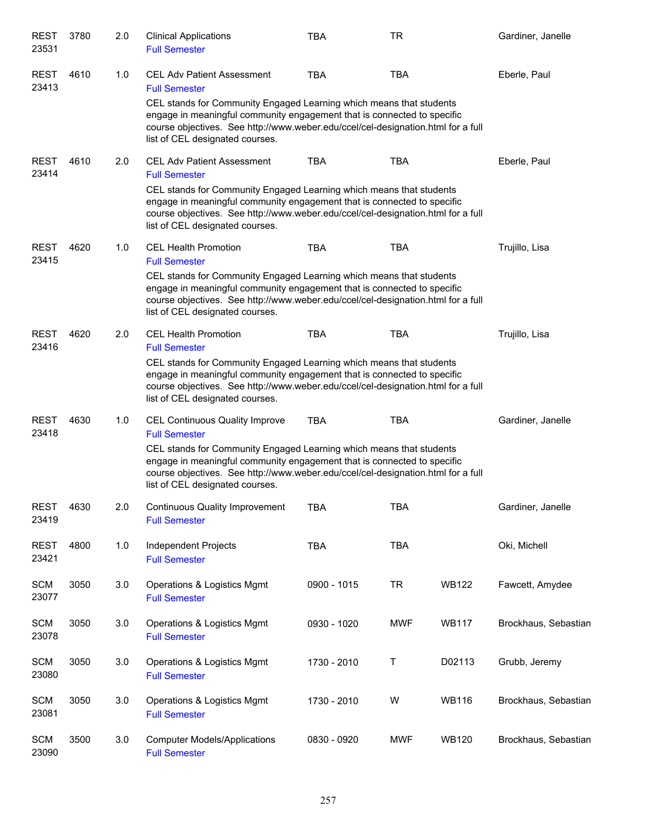| REST<br>23531        | 3780 | 2.0 | <b>Clinical Applications</b><br><b>Full Semester</b>                                                                                                                                                                                                                                                                                   | <b>TBA</b>  | <b>TR</b>  |              | Gardiner, Janelle    |
|----------------------|------|-----|----------------------------------------------------------------------------------------------------------------------------------------------------------------------------------------------------------------------------------------------------------------------------------------------------------------------------------------|-------------|------------|--------------|----------------------|
| <b>REST</b><br>23413 | 4610 | 1.0 | <b>CEL Adv Patient Assessment</b><br><b>Full Semester</b><br>CEL stands for Community Engaged Learning which means that students                                                                                                                                                                                                       | <b>TBA</b>  | <b>TBA</b> |              | Eberle, Paul         |
|                      |      |     | engage in meaningful community engagement that is connected to specific<br>course objectives. See http://www.weber.edu/ccel/cel-designation.html for a full<br>list of CEL designated courses.                                                                                                                                         |             |            |              |                      |
| <b>REST</b><br>23414 | 4610 | 2.0 | <b>CEL Adv Patient Assessment</b><br><b>Full Semester</b><br>CEL stands for Community Engaged Learning which means that students<br>engage in meaningful community engagement that is connected to specific<br>course objectives. See http://www.weber.edu/ccel/cel-designation.html for a full<br>list of CEL designated courses.     | <b>TBA</b>  | <b>TBA</b> |              | Eberle, Paul         |
| <b>REST</b><br>23415 | 4620 | 1.0 | <b>CEL Health Promotion</b><br><b>Full Semester</b><br>CEL stands for Community Engaged Learning which means that students<br>engage in meaningful community engagement that is connected to specific<br>course objectives. See http://www.weber.edu/ccel/cel-designation.html for a full<br>list of CEL designated courses.           | <b>TBA</b>  | <b>TBA</b> |              | Trujillo, Lisa       |
| <b>REST</b><br>23416 | 4620 | 2.0 | <b>CEL Health Promotion</b><br><b>Full Semester</b><br>CEL stands for Community Engaged Learning which means that students<br>engage in meaningful community engagement that is connected to specific<br>course objectives. See http://www.weber.edu/ccel/cel-designation.html for a full<br>list of CEL designated courses.           | <b>TBA</b>  | <b>TBA</b> |              | Trujillo, Lisa       |
| <b>REST</b><br>23418 | 4630 | 1.0 | <b>CEL Continuous Quality Improve</b><br><b>Full Semester</b><br>CEL stands for Community Engaged Learning which means that students<br>engage in meaningful community engagement that is connected to specific<br>course objectives. See http://www.weber.edu/ccel/cel-designation.html for a full<br>list of CEL designated courses. | <b>TBA</b>  | TBA        |              | Gardiner, Janelle    |
| <b>REST</b><br>23419 | 4630 | 2.0 | <b>Continuous Quality Improvement</b><br><b>Full Semester</b>                                                                                                                                                                                                                                                                          | TBA         | TBA        |              | Gardiner, Janelle    |
| <b>REST</b><br>23421 | 4800 | 1.0 | Independent Projects<br><b>Full Semester</b>                                                                                                                                                                                                                                                                                           | <b>TBA</b>  | <b>TBA</b> |              | Oki, Michell         |
| <b>SCM</b><br>23077  | 3050 | 3.0 | Operations & Logistics Mgmt<br><b>Full Semester</b>                                                                                                                                                                                                                                                                                    | 0900 - 1015 | <b>TR</b>  | <b>WB122</b> | Fawcett, Amydee      |
| <b>SCM</b><br>23078  | 3050 | 3.0 | Operations & Logistics Mgmt<br><b>Full Semester</b>                                                                                                                                                                                                                                                                                    | 0930 - 1020 | <b>MWF</b> | <b>WB117</b> | Brockhaus, Sebastian |
| <b>SCM</b><br>23080  | 3050 | 3.0 | Operations & Logistics Mgmt<br><b>Full Semester</b>                                                                                                                                                                                                                                                                                    | 1730 - 2010 | T          | D02113       | Grubb, Jeremy        |
| <b>SCM</b><br>23081  | 3050 | 3.0 | Operations & Logistics Mgmt<br><b>Full Semester</b>                                                                                                                                                                                                                                                                                    | 1730 - 2010 | W          | <b>WB116</b> | Brockhaus, Sebastian |
| <b>SCM</b><br>23090  | 3500 | 3.0 | <b>Computer Models/Applications</b><br><b>Full Semester</b>                                                                                                                                                                                                                                                                            | 0830 - 0920 | <b>MWF</b> | <b>WB120</b> | Brockhaus, Sebastian |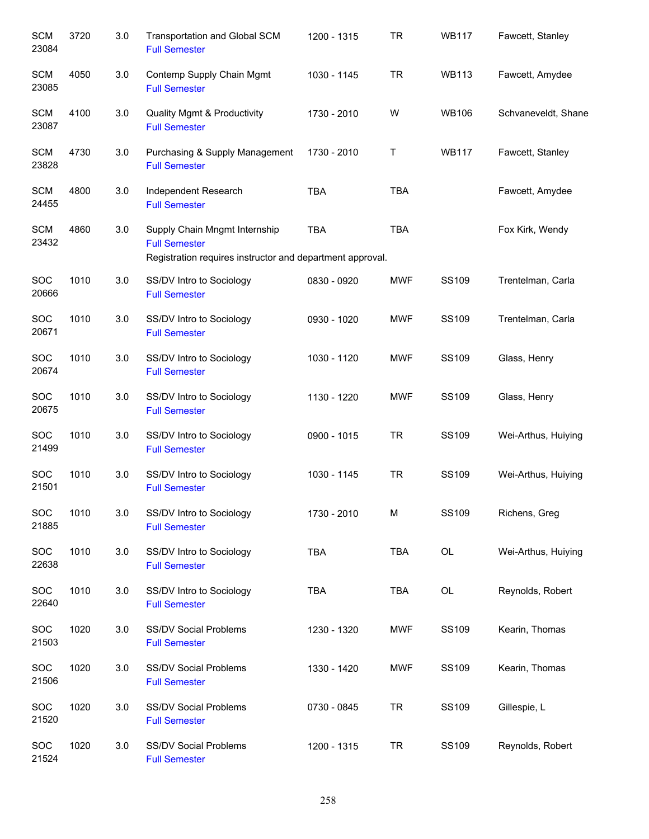| <b>SCM</b><br>23084 | 3720 | 3.0 | Transportation and Global SCM<br><b>Full Semester</b>                                                              | 1200 - 1315 | <b>TR</b>  | <b>WB117</b> | Fawcett, Stanley    |
|---------------------|------|-----|--------------------------------------------------------------------------------------------------------------------|-------------|------------|--------------|---------------------|
| <b>SCM</b><br>23085 | 4050 | 3.0 | Contemp Supply Chain Mgmt<br><b>Full Semester</b>                                                                  | 1030 - 1145 | <b>TR</b>  | <b>WB113</b> | Fawcett, Amydee     |
| <b>SCM</b><br>23087 | 4100 | 3.0 | <b>Quality Mgmt &amp; Productivity</b><br><b>Full Semester</b>                                                     | 1730 - 2010 | W          | <b>WB106</b> | Schvaneveldt, Shane |
| <b>SCM</b><br>23828 | 4730 | 3.0 | Purchasing & Supply Management<br><b>Full Semester</b>                                                             | 1730 - 2010 | Τ          | <b>WB117</b> | Fawcett, Stanley    |
| <b>SCM</b><br>24455 | 4800 | 3.0 | Independent Research<br><b>Full Semester</b>                                                                       | <b>TBA</b>  | <b>TBA</b> |              | Fawcett, Amydee     |
| <b>SCM</b><br>23432 | 4860 | 3.0 | Supply Chain Mngmt Internship<br><b>Full Semester</b><br>Registration requires instructor and department approval. | <b>TBA</b>  | <b>TBA</b> |              | Fox Kirk, Wendy     |
| SOC<br>20666        | 1010 | 3.0 | SS/DV Intro to Sociology<br><b>Full Semester</b>                                                                   | 0830 - 0920 | <b>MWF</b> | <b>SS109</b> | Trentelman, Carla   |
| SOC<br>20671        | 1010 | 3.0 | SS/DV Intro to Sociology<br><b>Full Semester</b>                                                                   | 0930 - 1020 | <b>MWF</b> | <b>SS109</b> | Trentelman, Carla   |
| SOC<br>20674        | 1010 | 3.0 | SS/DV Intro to Sociology<br><b>Full Semester</b>                                                                   | 1030 - 1120 | <b>MWF</b> | SS109        | Glass, Henry        |
| <b>SOC</b><br>20675 | 1010 | 3.0 | SS/DV Intro to Sociology<br><b>Full Semester</b>                                                                   | 1130 - 1220 | <b>MWF</b> | SS109        | Glass, Henry        |
| SOC<br>21499        | 1010 | 3.0 | SS/DV Intro to Sociology<br><b>Full Semester</b>                                                                   | 0900 - 1015 | <b>TR</b>  | SS109        | Wei-Arthus, Huiying |
| <b>SOC</b><br>21501 | 1010 | 3.0 | SS/DV Intro to Sociology<br><b>Full Semester</b>                                                                   | 1030 - 1145 | <b>TR</b>  | SS109        | Wei-Arthus, Huiying |
| SOC<br>21885        | 1010 | 3.0 | SS/DV Intro to Sociology<br><b>Full Semester</b>                                                                   | 1730 - 2010 | M          | SS109        | Richens, Greg       |
| SOC<br>22638        | 1010 | 3.0 | SS/DV Intro to Sociology<br><b>Full Semester</b>                                                                   | <b>TBA</b>  | <b>TBA</b> | OL           | Wei-Arthus, Huiying |
| SOC<br>22640        | 1010 | 3.0 | SS/DV Intro to Sociology<br><b>Full Semester</b>                                                                   | <b>TBA</b>  | <b>TBA</b> | OL           | Reynolds, Robert    |
| SOC<br>21503        | 1020 | 3.0 | SS/DV Social Problems<br><b>Full Semester</b>                                                                      | 1230 - 1320 | <b>MWF</b> | SS109        | Kearin, Thomas      |
| <b>SOC</b><br>21506 | 1020 | 3.0 | SS/DV Social Problems<br><b>Full Semester</b>                                                                      | 1330 - 1420 | <b>MWF</b> | SS109        | Kearin, Thomas      |
| SOC<br>21520        | 1020 | 3.0 | <b>SS/DV Social Problems</b><br><b>Full Semester</b>                                                               | 0730 - 0845 | <b>TR</b>  | SS109        | Gillespie, L        |
| <b>SOC</b><br>21524 | 1020 | 3.0 | SS/DV Social Problems<br><b>Full Semester</b>                                                                      | 1200 - 1315 | <b>TR</b>  | SS109        | Reynolds, Robert    |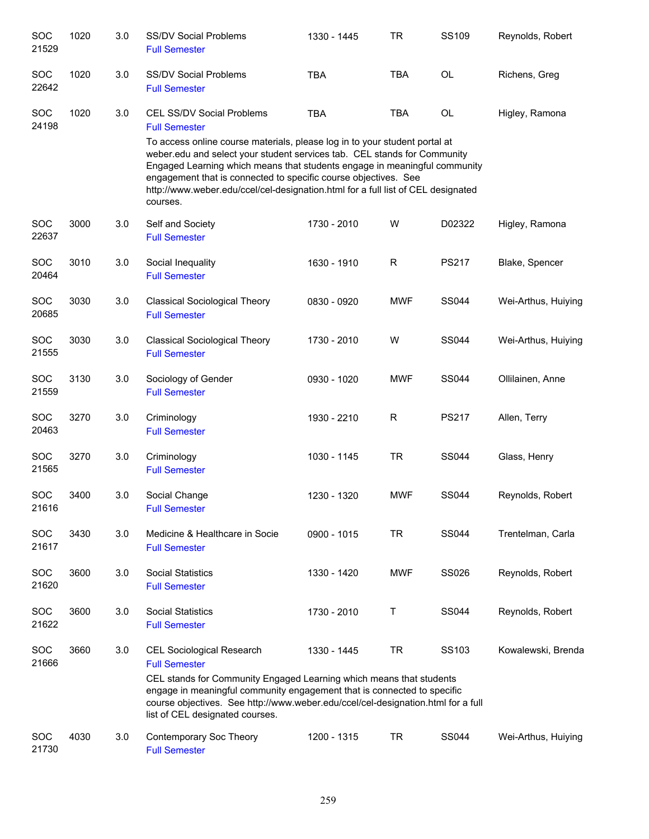| SOC<br>21529        | 1020 | 3.0 | <b>SS/DV Social Problems</b><br><b>Full Semester</b>                                                                                                                                                                                                                                                                                                                                                   | 1330 - 1445 | TR         | <b>SS109</b> | Reynolds, Robert    |
|---------------------|------|-----|--------------------------------------------------------------------------------------------------------------------------------------------------------------------------------------------------------------------------------------------------------------------------------------------------------------------------------------------------------------------------------------------------------|-------------|------------|--------------|---------------------|
| SOC<br>22642        | 1020 | 3.0 | <b>SS/DV Social Problems</b><br><b>Full Semester</b>                                                                                                                                                                                                                                                                                                                                                   | <b>TBA</b>  | <b>TBA</b> | OL           | Richens, Greg       |
| SOC<br>24198        | 1020 | 3.0 | <b>CEL SS/DV Social Problems</b><br><b>Full Semester</b>                                                                                                                                                                                                                                                                                                                                               | <b>TBA</b>  | <b>TBA</b> | OL           | Higley, Ramona      |
|                     |      |     | To access online course materials, please log in to your student portal at<br>weber.edu and select your student services tab. CEL stands for Community<br>Engaged Learning which means that students engage in meaningful community<br>engagement that is connected to specific course objectives. See<br>http://www.weber.edu/ccel/cel-designation.html for a full list of CEL designated<br>courses. |             |            |              |                     |
| <b>SOC</b><br>22637 | 3000 | 3.0 | Self and Society<br><b>Full Semester</b>                                                                                                                                                                                                                                                                                                                                                               | 1730 - 2010 | W          | D02322       | Higley, Ramona      |
| SOC<br>20464        | 3010 | 3.0 | Social Inequality<br><b>Full Semester</b>                                                                                                                                                                                                                                                                                                                                                              | 1630 - 1910 | R          | <b>PS217</b> | Blake, Spencer      |
| SOC<br>20685        | 3030 | 3.0 | <b>Classical Sociological Theory</b><br><b>Full Semester</b>                                                                                                                                                                                                                                                                                                                                           | 0830 - 0920 | <b>MWF</b> | <b>SS044</b> | Wei-Arthus, Huiying |
| SOC<br>21555        | 3030 | 3.0 | <b>Classical Sociological Theory</b><br><b>Full Semester</b>                                                                                                                                                                                                                                                                                                                                           | 1730 - 2010 | W          | <b>SS044</b> | Wei-Arthus, Huiying |
| SOC<br>21559        | 3130 | 3.0 | Sociology of Gender<br><b>Full Semester</b>                                                                                                                                                                                                                                                                                                                                                            | 0930 - 1020 | <b>MWF</b> | <b>SS044</b> | Ollilainen, Anne    |
| SOC<br>20463        | 3270 | 3.0 | Criminology<br><b>Full Semester</b>                                                                                                                                                                                                                                                                                                                                                                    | 1930 - 2210 | R          | <b>PS217</b> | Allen, Terry        |
| SOC<br>21565        | 3270 | 3.0 | Criminology<br><b>Full Semester</b>                                                                                                                                                                                                                                                                                                                                                                    | 1030 - 1145 | <b>TR</b>  | <b>SS044</b> | Glass, Henry        |
| <b>SOC</b><br>21616 | 3400 | 3.0 | Social Change<br><b>Full Semester</b>                                                                                                                                                                                                                                                                                                                                                                  | 1230 - 1320 | <b>MWF</b> | <b>SS044</b> | Reynolds, Robert    |
| SOC<br>21617        | 3430 | 3.0 | Medicine & Healthcare in Socie<br><b>Full Semester</b>                                                                                                                                                                                                                                                                                                                                                 | 0900 - 1015 | <b>TR</b>  | <b>SS044</b> | Trentelman, Carla   |
| SOC<br>21620        | 3600 | 3.0 | <b>Social Statistics</b><br><b>Full Semester</b>                                                                                                                                                                                                                                                                                                                                                       | 1330 - 1420 | <b>MWF</b> | <b>SS026</b> | Reynolds, Robert    |
| SOC<br>21622        | 3600 | 3.0 | <b>Social Statistics</b><br><b>Full Semester</b>                                                                                                                                                                                                                                                                                                                                                       | 1730 - 2010 | Τ          | <b>SS044</b> | Reynolds, Robert    |
| SOC<br>21666        | 3660 | 3.0 | <b>CEL Sociological Research</b><br><b>Full Semester</b><br>CEL stands for Community Engaged Learning which means that students<br>engage in meaningful community engagement that is connected to specific<br>course objectives. See http://www.weber.edu/ccel/cel-designation.html for a full<br>list of CEL designated courses.                                                                      | 1330 - 1445 | <b>TR</b>  | SS103        | Kowalewski, Brenda  |
| <b>SOC</b><br>21730 | 4030 | 3.0 | Contemporary Soc Theory<br><b>Full Semester</b>                                                                                                                                                                                                                                                                                                                                                        | 1200 - 1315 | <b>TR</b>  | <b>SS044</b> | Wei-Arthus, Huiying |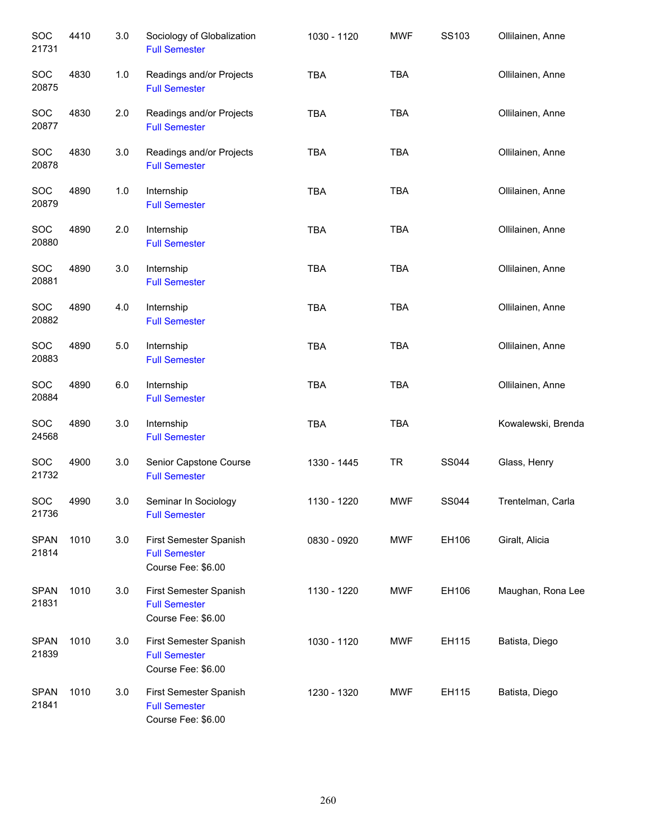| SOC<br>21731         | 4410 | 3.0   | Sociology of Globalization<br><b>Full Semester</b>                   | 1030 - 1120 | <b>MWF</b> | SS103        | Ollilainen, Anne   |
|----------------------|------|-------|----------------------------------------------------------------------|-------------|------------|--------------|--------------------|
| SOC<br>20875         | 4830 | $1.0$ | Readings and/or Projects<br><b>Full Semester</b>                     | <b>TBA</b>  | <b>TBA</b> |              | Ollilainen, Anne   |
| SOC<br>20877         | 4830 | 2.0   | Readings and/or Projects<br><b>Full Semester</b>                     | <b>TBA</b>  | <b>TBA</b> |              | Ollilainen, Anne   |
| SOC<br>20878         | 4830 | 3.0   | Readings and/or Projects<br><b>Full Semester</b>                     | <b>TBA</b>  | <b>TBA</b> |              | Ollilainen, Anne   |
| SOC<br>20879         | 4890 | $1.0$ | Internship<br><b>Full Semester</b>                                   | <b>TBA</b>  | <b>TBA</b> |              | Ollilainen, Anne   |
| SOC<br>20880         | 4890 | 2.0   | Internship<br><b>Full Semester</b>                                   | <b>TBA</b>  | <b>TBA</b> |              | Ollilainen, Anne   |
| SOC<br>20881         | 4890 | 3.0   | Internship<br><b>Full Semester</b>                                   | <b>TBA</b>  | <b>TBA</b> |              | Ollilainen, Anne   |
| SOC<br>20882         | 4890 | 4.0   | Internship<br><b>Full Semester</b>                                   | <b>TBA</b>  | <b>TBA</b> |              | Ollilainen, Anne   |
| SOC<br>20883         | 4890 | 5.0   | Internship<br><b>Full Semester</b>                                   | <b>TBA</b>  | <b>TBA</b> |              | Ollilainen, Anne   |
| SOC<br>20884         | 4890 | 6.0   | Internship<br><b>Full Semester</b>                                   | <b>TBA</b>  | <b>TBA</b> |              | Ollilainen, Anne   |
| SOC<br>24568         | 4890 | 3.0   | Internship<br><b>Full Semester</b>                                   | <b>TBA</b>  | <b>TBA</b> |              | Kowalewski, Brenda |
| SOC<br>21732         | 4900 | 3.0   | Senior Capstone Course<br><b>Full Semester</b>                       | 1330 - 1445 | <b>TR</b>  | <b>SS044</b> | Glass, Henry       |
| <b>SOC</b><br>21736  | 4990 | 3.0   | Seminar In Sociology<br><b>Full Semester</b>                         | 1130 - 1220 | <b>MWF</b> | SS044        | Trentelman, Carla  |
| <b>SPAN</b><br>21814 | 1010 | 3.0   | First Semester Spanish<br><b>Full Semester</b><br>Course Fee: \$6.00 | 0830 - 0920 | <b>MWF</b> | EH106        | Giralt, Alicia     |
| <b>SPAN</b><br>21831 | 1010 | 3.0   | First Semester Spanish<br><b>Full Semester</b><br>Course Fee: \$6.00 | 1130 - 1220 | <b>MWF</b> | EH106        | Maughan, Rona Lee  |
| <b>SPAN</b><br>21839 | 1010 | 3.0   | First Semester Spanish<br><b>Full Semester</b><br>Course Fee: \$6.00 | 1030 - 1120 | <b>MWF</b> | EH115        | Batista, Diego     |
| <b>SPAN</b><br>21841 | 1010 | 3.0   | First Semester Spanish<br><b>Full Semester</b><br>Course Fee: \$6.00 | 1230 - 1320 | <b>MWF</b> | EH115        | Batista, Diego     |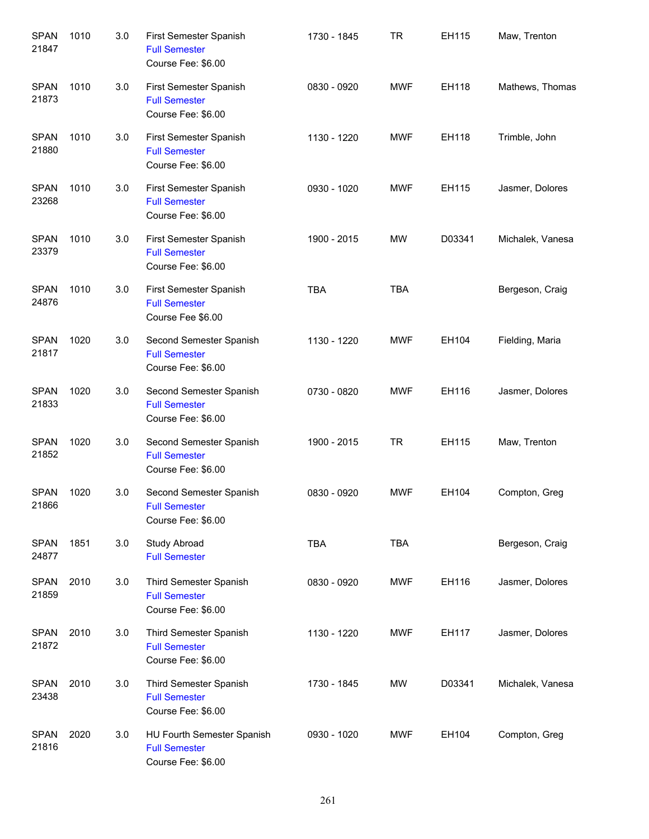| <b>SPAN</b><br>21847 | 1010 | 3.0 | First Semester Spanish<br><b>Full Semester</b><br>Course Fee: \$6.00     | 1730 - 1845 | <b>TR</b>  | EH115  | Maw, Trenton     |
|----------------------|------|-----|--------------------------------------------------------------------------|-------------|------------|--------|------------------|
| <b>SPAN</b><br>21873 | 1010 | 3.0 | First Semester Spanish<br><b>Full Semester</b><br>Course Fee: \$6.00     | 0830 - 0920 | <b>MWF</b> | EH118  | Mathews, Thomas  |
| <b>SPAN</b><br>21880 | 1010 | 3.0 | First Semester Spanish<br><b>Full Semester</b><br>Course Fee: \$6.00     | 1130 - 1220 | <b>MWF</b> | EH118  | Trimble, John    |
| <b>SPAN</b><br>23268 | 1010 | 3.0 | First Semester Spanish<br><b>Full Semester</b><br>Course Fee: \$6.00     | 0930 - 1020 | <b>MWF</b> | EH115  | Jasmer, Dolores  |
| <b>SPAN</b><br>23379 | 1010 | 3.0 | First Semester Spanish<br><b>Full Semester</b><br>Course Fee: \$6.00     | 1900 - 2015 | MW         | D03341 | Michalek, Vanesa |
| <b>SPAN</b><br>24876 | 1010 | 3.0 | First Semester Spanish<br><b>Full Semester</b><br>Course Fee \$6.00      | <b>TBA</b>  | <b>TBA</b> |        | Bergeson, Craig  |
| <b>SPAN</b><br>21817 | 1020 | 3.0 | Second Semester Spanish<br><b>Full Semester</b><br>Course Fee: \$6.00    | 1130 - 1220 | <b>MWF</b> | EH104  | Fielding, Maria  |
| <b>SPAN</b><br>21833 | 1020 | 3.0 | Second Semester Spanish<br><b>Full Semester</b><br>Course Fee: \$6.00    | 0730 - 0820 | <b>MWF</b> | EH116  | Jasmer, Dolores  |
| <b>SPAN</b><br>21852 | 1020 | 3.0 | Second Semester Spanish<br><b>Full Semester</b><br>Course Fee: \$6.00    | 1900 - 2015 | <b>TR</b>  | EH115  | Maw, Trenton     |
| <b>SPAN</b><br>21866 | 1020 | 3.0 | Second Semester Spanish<br><b>Full Semester</b><br>Course Fee: \$6.00    | 0830 - 0920 | <b>MWF</b> | EH104  | Compton, Greg    |
| <b>SPAN</b><br>24877 | 1851 | 3.0 | Study Abroad<br><b>Full Semester</b>                                     | <b>TBA</b>  | TBA        |        | Bergeson, Craig  |
| <b>SPAN</b><br>21859 | 2010 | 3.0 | Third Semester Spanish<br><b>Full Semester</b><br>Course Fee: \$6.00     | 0830 - 0920 | <b>MWF</b> | EH116  | Jasmer, Dolores  |
| <b>SPAN</b><br>21872 | 2010 | 3.0 | Third Semester Spanish<br><b>Full Semester</b><br>Course Fee: \$6.00     | 1130 - 1220 | <b>MWF</b> | EH117  | Jasmer, Dolores  |
| <b>SPAN</b><br>23438 | 2010 | 3.0 | Third Semester Spanish<br><b>Full Semester</b><br>Course Fee: \$6.00     | 1730 - 1845 | MW         | D03341 | Michalek, Vanesa |
| <b>SPAN</b><br>21816 | 2020 | 3.0 | HU Fourth Semester Spanish<br><b>Full Semester</b><br>Course Fee: \$6.00 | 0930 - 1020 | <b>MWF</b> | EH104  | Compton, Greg    |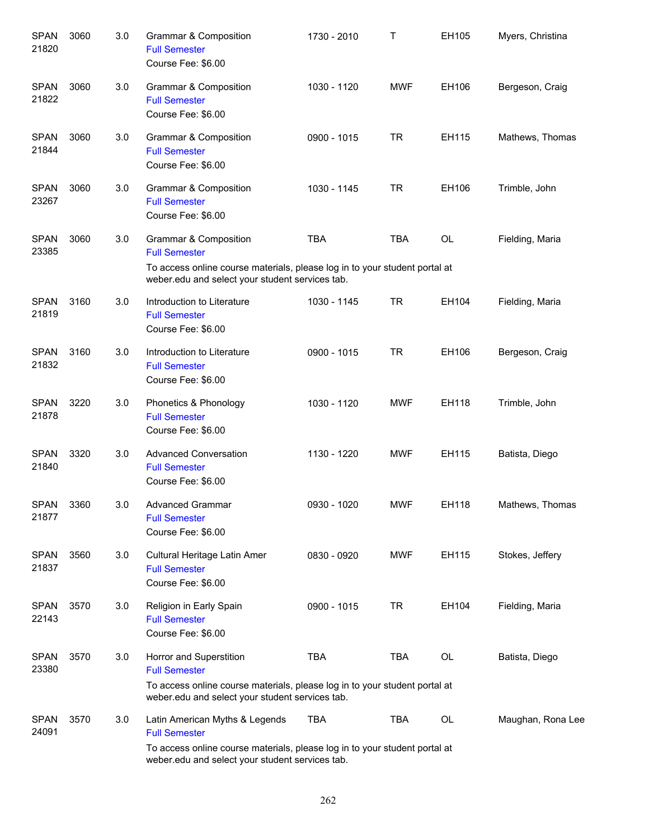| <b>SPAN</b><br>21820 | 3060 | 3.0 | Grammar & Composition<br><b>Full Semester</b><br>Course Fee: \$6.00                                                                                                                     | 1730 - 2010 | Τ          | EH105     | Myers, Christina  |
|----------------------|------|-----|-----------------------------------------------------------------------------------------------------------------------------------------------------------------------------------------|-------------|------------|-----------|-------------------|
| <b>SPAN</b><br>21822 | 3060 | 3.0 | <b>Grammar &amp; Composition</b><br><b>Full Semester</b><br>Course Fee: \$6.00                                                                                                          | 1030 - 1120 | <b>MWF</b> | EH106     | Bergeson, Craig   |
| <b>SPAN</b><br>21844 | 3060 | 3.0 | <b>Grammar &amp; Composition</b><br><b>Full Semester</b><br>Course Fee: \$6.00                                                                                                          | 0900 - 1015 | TR         | EH115     | Mathews, Thomas   |
| <b>SPAN</b><br>23267 | 3060 | 3.0 | Grammar & Composition<br><b>Full Semester</b><br>Course Fee: \$6.00                                                                                                                     | 1030 - 1145 | TR         | EH106     | Trimble, John     |
| <b>SPAN</b><br>23385 | 3060 | 3.0 | Grammar & Composition<br><b>Full Semester</b><br>To access online course materials, please log in to your student portal at<br>weber.edu and select your student services tab.          | <b>TBA</b>  | <b>TBA</b> | <b>OL</b> | Fielding, Maria   |
| <b>SPAN</b><br>21819 | 3160 | 3.0 | Introduction to Literature<br><b>Full Semester</b><br>Course Fee: \$6.00                                                                                                                | 1030 - 1145 | TR         | EH104     | Fielding, Maria   |
| <b>SPAN</b><br>21832 | 3160 | 3.0 | Introduction to Literature<br><b>Full Semester</b><br>Course Fee: \$6.00                                                                                                                | 0900 - 1015 | TR         | EH106     | Bergeson, Craig   |
| <b>SPAN</b><br>21878 | 3220 | 3.0 | Phonetics & Phonology<br><b>Full Semester</b><br>Course Fee: \$6.00                                                                                                                     | 1030 - 1120 | <b>MWF</b> | EH118     | Trimble, John     |
| <b>SPAN</b><br>21840 | 3320 | 3.0 | <b>Advanced Conversation</b><br><b>Full Semester</b><br>Course Fee: \$6.00                                                                                                              | 1130 - 1220 | <b>MWF</b> | EH115     | Batista, Diego    |
| SPAN<br>21877        | 3360 | 3.0 | Advanced Grammar<br><b>Full Semester</b><br>Course Fee: \$6.00                                                                                                                          | 0930 - 1020 | <b>MWF</b> | EH118     | Mathews, Thomas   |
| <b>SPAN</b><br>21837 | 3560 | 3.0 | Cultural Heritage Latin Amer<br><b>Full Semester</b><br>Course Fee: \$6.00                                                                                                              | 0830 - 0920 | <b>MWF</b> | EH115     | Stokes, Jeffery   |
| <b>SPAN</b><br>22143 | 3570 | 3.0 | Religion in Early Spain<br><b>Full Semester</b><br>Course Fee: \$6.00                                                                                                                   | 0900 - 1015 | <b>TR</b>  | EH104     | Fielding, Maria   |
| <b>SPAN</b><br>23380 | 3570 | 3.0 | Horror and Superstition<br><b>Full Semester</b><br>To access online course materials, please log in to your student portal at<br>weber.edu and select your student services tab.        | <b>TBA</b>  | <b>TBA</b> | OL        | Batista, Diego    |
| <b>SPAN</b><br>24091 | 3570 | 3.0 | Latin American Myths & Legends<br><b>Full Semester</b><br>To access online course materials, please log in to your student portal at<br>weber.edu and select your student services tab. | <b>TBA</b>  | TBA        | OL        | Maughan, Rona Lee |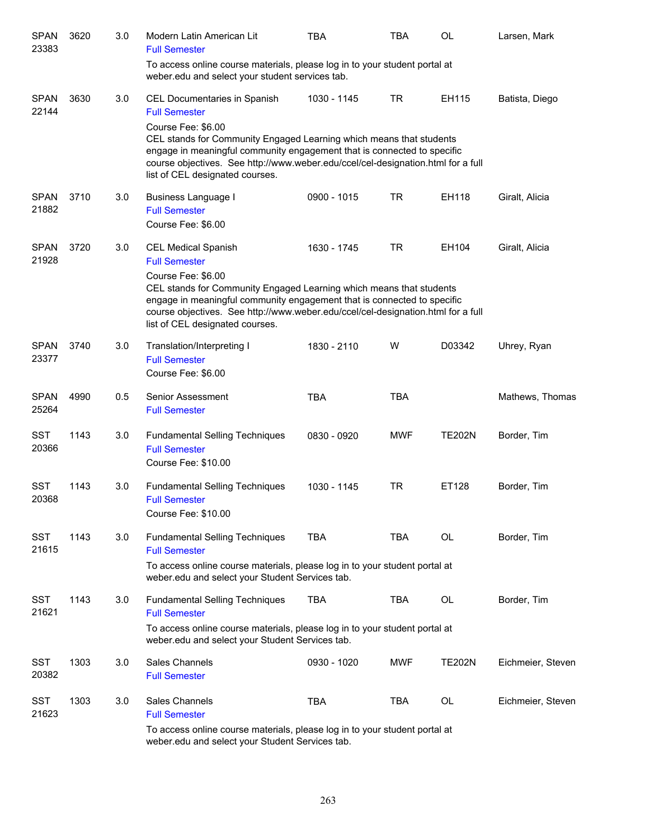| <b>SPAN</b><br>23383 | 3620 | 3.0 | Modern Latin American Lit<br><b>Full Semester</b>                                                                                                                                                                                                                                           | TBA         | <b>TBA</b> | <b>OL</b>     | Larsen, Mark      |
|----------------------|------|-----|---------------------------------------------------------------------------------------------------------------------------------------------------------------------------------------------------------------------------------------------------------------------------------------------|-------------|------------|---------------|-------------------|
|                      |      |     | To access online course materials, please log in to your student portal at<br>weber.edu and select your student services tab.                                                                                                                                                               |             |            |               |                   |
| <b>SPAN</b><br>22144 | 3630 | 3.0 | CEL Documentaries in Spanish<br><b>Full Semester</b>                                                                                                                                                                                                                                        | 1030 - 1145 | <b>TR</b>  | EH115         | Batista, Diego    |
|                      |      |     | Course Fee: \$6.00<br>CEL stands for Community Engaged Learning which means that students<br>engage in meaningful community engagement that is connected to specific<br>course objectives. See http://www.weber.edu/ccel/cel-designation.html for a full<br>list of CEL designated courses. |             |            |               |                   |
| <b>SPAN</b><br>21882 | 3710 | 3.0 | <b>Business Language I</b><br><b>Full Semester</b><br>Course Fee: \$6.00                                                                                                                                                                                                                    | 0900 - 1015 | <b>TR</b>  | EH118         | Giralt, Alicia    |
| <b>SPAN</b><br>21928 | 3720 | 3.0 | <b>CEL Medical Spanish</b><br><b>Full Semester</b>                                                                                                                                                                                                                                          | 1630 - 1745 | <b>TR</b>  | EH104         | Giralt, Alicia    |
|                      |      |     | Course Fee: \$6.00<br>CEL stands for Community Engaged Learning which means that students<br>engage in meaningful community engagement that is connected to specific<br>course objectives. See http://www.weber.edu/ccel/cel-designation.html for a full<br>list of CEL designated courses. |             |            |               |                   |
| <b>SPAN</b><br>23377 | 3740 | 3.0 | Translation/Interpreting I<br><b>Full Semester</b><br>Course Fee: \$6.00                                                                                                                                                                                                                    | 1830 - 2110 | W          | D03342        | Uhrey, Ryan       |
| <b>SPAN</b><br>25264 | 4990 | 0.5 | Senior Assessment<br><b>Full Semester</b>                                                                                                                                                                                                                                                   | <b>TBA</b>  | <b>TBA</b> |               | Mathews, Thomas   |
| <b>SST</b><br>20366  | 1143 | 3.0 | <b>Fundamental Selling Techniques</b><br><b>Full Semester</b><br>Course Fee: \$10.00                                                                                                                                                                                                        | 0830 - 0920 | <b>MWF</b> | <b>TE202N</b> | Border, Tim       |
| <b>SST</b><br>20368  | 1143 | 3.0 | <b>Fundamental Selling Techniques</b><br><b>Full Semester</b><br>Course Fee: \$10.00                                                                                                                                                                                                        | 1030 - 1145 | <b>TR</b>  | ET128         | Border, Tim       |
| <b>SST</b><br>21615  | 1143 | 3.0 | <b>Fundamental Selling Techniques</b><br><b>Full Semester</b>                                                                                                                                                                                                                               | <b>TBA</b>  | <b>TBA</b> | <b>OL</b>     | Border, Tim       |
|                      |      |     | To access online course materials, please log in to your student portal at<br>weber.edu and select your Student Services tab.                                                                                                                                                               |             |            |               |                   |
| <b>SST</b><br>21621  | 1143 | 3.0 | <b>Fundamental Selling Techniques</b><br><b>Full Semester</b>                                                                                                                                                                                                                               | <b>TBA</b>  | <b>TBA</b> | <b>OL</b>     | Border, Tim       |
|                      |      |     | To access online course materials, please log in to your student portal at<br>weber.edu and select your Student Services tab.                                                                                                                                                               |             |            |               |                   |
| <b>SST</b><br>20382  | 1303 | 3.0 | Sales Channels<br><b>Full Semester</b>                                                                                                                                                                                                                                                      | 0930 - 1020 | <b>MWF</b> | <b>TE202N</b> | Eichmeier, Steven |
| <b>SST</b><br>21623  | 1303 | 3.0 | Sales Channels<br><b>Full Semester</b>                                                                                                                                                                                                                                                      | <b>TBA</b>  | <b>TBA</b> | <b>OL</b>     | Eichmeier, Steven |
|                      |      |     | To access online course materials, please log in to your student portal at<br>weber.edu and select your Student Services tab.                                                                                                                                                               |             |            |               |                   |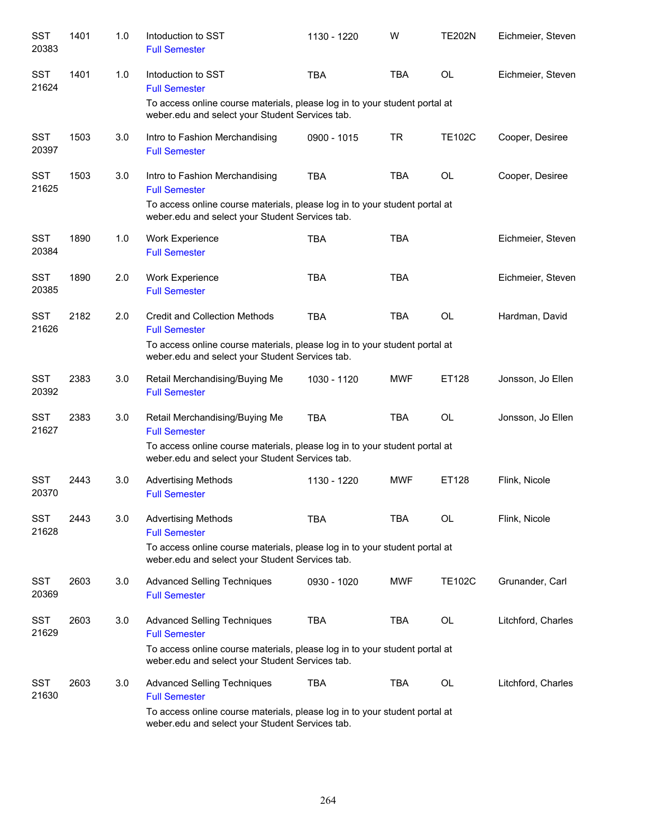| <b>SST</b><br>20383 | 1401 | 1.0 | Intoduction to SST<br><b>Full Semester</b>                                                                                    | 1130 - 1220 | W          | <b>TE202N</b> | Eichmeier, Steven  |
|---------------------|------|-----|-------------------------------------------------------------------------------------------------------------------------------|-------------|------------|---------------|--------------------|
| <b>SST</b><br>21624 | 1401 | 1.0 | Intoduction to SST<br><b>Full Semester</b>                                                                                    | <b>TBA</b>  | <b>TBA</b> | <b>OL</b>     | Eichmeier, Steven  |
|                     |      |     | To access online course materials, please log in to your student portal at<br>weber.edu and select your Student Services tab. |             |            |               |                    |
| <b>SST</b><br>20397 | 1503 | 3.0 | Intro to Fashion Merchandising<br><b>Full Semester</b>                                                                        | 0900 - 1015 | <b>TR</b>  | <b>TE102C</b> | Cooper, Desiree    |
| <b>SST</b><br>21625 | 1503 | 3.0 | Intro to Fashion Merchandising<br><b>Full Semester</b>                                                                        | <b>TBA</b>  | <b>TBA</b> | <b>OL</b>     | Cooper, Desiree    |
|                     |      |     | To access online course materials, please log in to your student portal at<br>weber.edu and select your Student Services tab. |             |            |               |                    |
| <b>SST</b><br>20384 | 1890 | 1.0 | Work Experience<br><b>Full Semester</b>                                                                                       | <b>TBA</b>  | <b>TBA</b> |               | Eichmeier, Steven  |
| <b>SST</b><br>20385 | 1890 | 2.0 | Work Experience<br><b>Full Semester</b>                                                                                       | <b>TBA</b>  | <b>TBA</b> |               | Eichmeier, Steven  |
| <b>SST</b><br>21626 | 2182 | 2.0 | <b>Credit and Collection Methods</b><br><b>Full Semester</b>                                                                  | <b>TBA</b>  | <b>TBA</b> | <b>OL</b>     | Hardman, David     |
|                     |      |     | To access online course materials, please log in to your student portal at<br>weber.edu and select your Student Services tab. |             |            |               |                    |
| <b>SST</b><br>20392 | 2383 | 3.0 | Retail Merchandising/Buying Me<br><b>Full Semester</b>                                                                        | 1030 - 1120 | MWF        | ET128         | Jonsson, Jo Ellen  |
| <b>SST</b><br>21627 | 2383 | 3.0 | Retail Merchandising/Buying Me<br><b>Full Semester</b>                                                                        | <b>TBA</b>  | <b>TBA</b> | <b>OL</b>     | Jonsson, Jo Ellen  |
|                     |      |     | To access online course materials, please log in to your student portal at<br>weber.edu and select your Student Services tab. |             |            |               |                    |
| <b>SST</b><br>20370 | 2443 | 3.0 | <b>Advertising Methods</b><br><b>Full Semester</b>                                                                            | 1130 - 1220 | <b>MWF</b> | ET128         | Flink, Nicole      |
| <b>SST</b><br>21628 | 2443 | 3.0 | <b>Advertising Methods</b><br><b>Full Semester</b>                                                                            | <b>TBA</b>  | <b>TBA</b> | OL            | Flink, Nicole      |
|                     |      |     | To access online course materials, please log in to your student portal at<br>weber.edu and select your Student Services tab. |             |            |               |                    |
| <b>SST</b><br>20369 | 2603 | 3.0 | <b>Advanced Selling Techniques</b><br><b>Full Semester</b>                                                                    | 0930 - 1020 | MWF        | <b>TE102C</b> | Grunander, Carl    |
| <b>SST</b><br>21629 | 2603 | 3.0 | <b>Advanced Selling Techniques</b><br><b>Full Semester</b>                                                                    | <b>TBA</b>  | <b>TBA</b> | OL            | Litchford, Charles |
|                     |      |     | To access online course materials, please log in to your student portal at<br>weber.edu and select your Student Services tab. |             |            |               |                    |
| <b>SST</b><br>21630 | 2603 | 3.0 | <b>Advanced Selling Techniques</b><br><b>Full Semester</b>                                                                    | <b>TBA</b>  | <b>TBA</b> | OL            | Litchford, Charles |
|                     |      |     | To access online course materials, please log in to your student portal at<br>weber.edu and select your Student Services tab. |             |            |               |                    |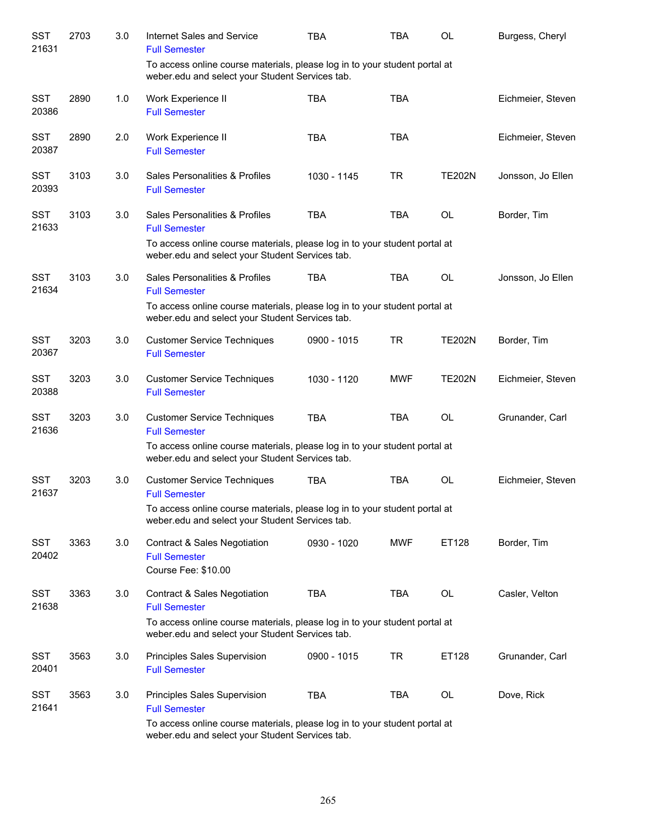| <b>SST</b><br>21631 | 2703 | $3.0\,$ | Internet Sales and Service<br><b>Full Semester</b>                                                                            | <b>TBA</b>  | <b>TBA</b> | <b>OL</b>     | Burgess, Cheryl   |
|---------------------|------|---------|-------------------------------------------------------------------------------------------------------------------------------|-------------|------------|---------------|-------------------|
|                     |      |         | To access online course materials, please log in to your student portal at<br>weber.edu and select your Student Services tab. |             |            |               |                   |
| <b>SST</b><br>20386 | 2890 | 1.0     | Work Experience II<br><b>Full Semester</b>                                                                                    | <b>TBA</b>  | <b>TBA</b> |               | Eichmeier, Steven |
| <b>SST</b><br>20387 | 2890 | 2.0     | Work Experience II<br><b>Full Semester</b>                                                                                    | <b>TBA</b>  | <b>TBA</b> |               | Eichmeier, Steven |
| <b>SST</b><br>20393 | 3103 | 3.0     | Sales Personalities & Profiles<br><b>Full Semester</b>                                                                        | 1030 - 1145 | <b>TR</b>  | <b>TE202N</b> | Jonsson, Jo Ellen |
| <b>SST</b><br>21633 | 3103 | 3.0     | Sales Personalities & Profiles<br><b>Full Semester</b>                                                                        | <b>TBA</b>  | <b>TBA</b> | <b>OL</b>     | Border, Tim       |
|                     |      |         | To access online course materials, please log in to your student portal at<br>weber.edu and select your Student Services tab. |             |            |               |                   |
| <b>SST</b><br>21634 | 3103 | 3.0     | Sales Personalities & Profiles<br><b>Full Semester</b>                                                                        | <b>TBA</b>  | <b>TBA</b> | <b>OL</b>     | Jonsson, Jo Ellen |
|                     |      |         | To access online course materials, please log in to your student portal at<br>weber.edu and select your Student Services tab. |             |            |               |                   |
| <b>SST</b><br>20367 | 3203 | 3.0     | <b>Customer Service Techniques</b><br><b>Full Semester</b>                                                                    | 0900 - 1015 | <b>TR</b>  | <b>TE202N</b> | Border, Tim       |
| <b>SST</b><br>20388 | 3203 | 3.0     | <b>Customer Service Techniques</b><br><b>Full Semester</b>                                                                    | 1030 - 1120 | <b>MWF</b> | <b>TE202N</b> | Eichmeier, Steven |
| <b>SST</b><br>21636 | 3203 | 3.0     | <b>Customer Service Techniques</b><br><b>Full Semester</b>                                                                    | <b>TBA</b>  | <b>TBA</b> | <b>OL</b>     | Grunander, Carl   |
|                     |      |         | To access online course materials, please log in to your student portal at<br>weber.edu and select your Student Services tab. |             |            |               |                   |
| <b>SST</b><br>21637 | 3203 | 3.0     | <b>Customer Service Techniques</b><br><b>Full Semester</b>                                                                    | <b>TBA</b>  | <b>TBA</b> | <b>OL</b>     | Eichmeier, Steven |
|                     |      |         | To access online course materials, please log in to your student portal at<br>weber.edu and select your Student Services tab. |             |            |               |                   |
| <b>SST</b><br>20402 | 3363 | 3.0     | <b>Contract &amp; Sales Negotiation</b><br><b>Full Semester</b><br>Course Fee: \$10.00                                        | 0930 - 1020 | <b>MWF</b> | ET128         | Border, Tim       |
| <b>SST</b><br>21638 | 3363 | 3.0     | <b>Contract &amp; Sales Negotiation</b><br><b>Full Semester</b>                                                               | <b>TBA</b>  | TBA        | OL            | Casler, Velton    |
|                     |      |         | To access online course materials, please log in to your student portal at<br>weber.edu and select your Student Services tab. |             |            |               |                   |
| <b>SST</b><br>20401 | 3563 | 3.0     | Principles Sales Supervision<br><b>Full Semester</b>                                                                          | 0900 - 1015 | <b>TR</b>  | ET128         | Grunander, Carl   |
| <b>SST</b><br>21641 | 3563 | 3.0     | Principles Sales Supervision<br><b>Full Semester</b>                                                                          | <b>TBA</b>  | TBA        | OL            | Dove, Rick        |
|                     |      |         | To access online course materials, please log in to your student portal at<br>weber.edu and select your Student Services tab. |             |            |               |                   |

265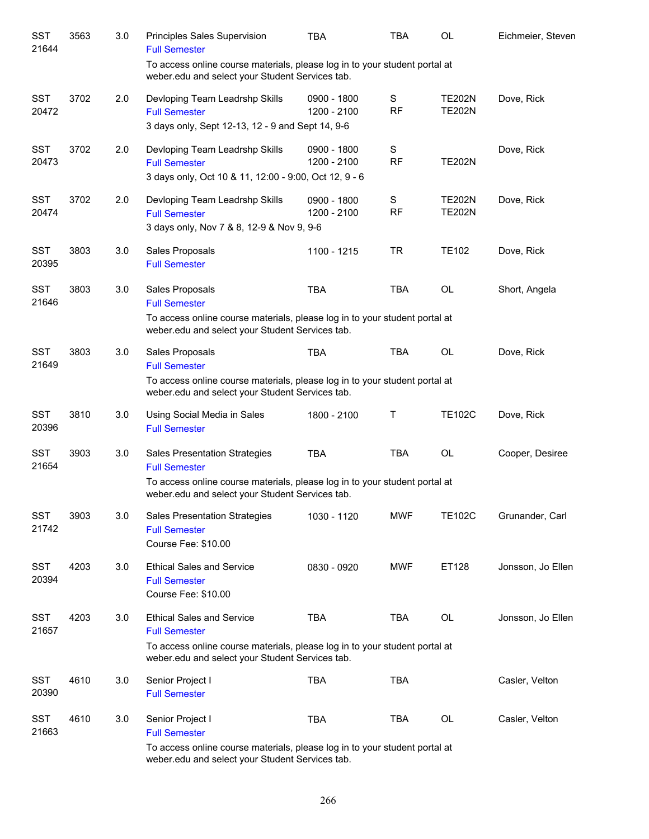| SST<br>21644        | 3563 | 3.0 | Principles Sales Supervision<br><b>Full Semester</b>                                                                                                                                      | TBA                        | <b>TBA</b>     | OL                             | Eichmeier, Steven |
|---------------------|------|-----|-------------------------------------------------------------------------------------------------------------------------------------------------------------------------------------------|----------------------------|----------------|--------------------------------|-------------------|
|                     |      |     | To access online course materials, please log in to your student portal at<br>weber.edu and select your Student Services tab.                                                             |                            |                |                                |                   |
| <b>SST</b><br>20472 | 3702 | 2.0 | Devloping Team Leadrshp Skills<br><b>Full Semester</b><br>3 days only, Sept 12-13, 12 - 9 and Sept 14, 9-6                                                                                | 0900 - 1800<br>1200 - 2100 | S<br><b>RF</b> | <b>TE202N</b><br><b>TE202N</b> | Dove, Rick        |
| <b>SST</b><br>20473 | 3702 | 2.0 | Devloping Team Leadrshp Skills<br><b>Full Semester</b><br>3 days only, Oct 10 & 11, 12:00 - 9:00, Oct 12, 9 - 6                                                                           | 0900 - 1800<br>1200 - 2100 | S<br><b>RF</b> | <b>TE202N</b>                  | Dove, Rick        |
| <b>SST</b><br>20474 | 3702 | 2.0 | Devloping Team Leadrshp Skills<br><b>Full Semester</b><br>3 days only, Nov 7 & 8, 12-9 & Nov 9, 9-6                                                                                       | 0900 - 1800<br>1200 - 2100 | S<br><b>RF</b> | <b>TE202N</b><br><b>TE202N</b> | Dove, Rick        |
| <b>SST</b><br>20395 | 3803 | 3.0 | Sales Proposals<br><b>Full Semester</b>                                                                                                                                                   | 1100 - 1215                | <b>TR</b>      | <b>TE102</b>                   | Dove, Rick        |
| <b>SST</b><br>21646 | 3803 | 3.0 | Sales Proposals<br><b>Full Semester</b><br>To access online course materials, please log in to your student portal at<br>weber.edu and select your Student Services tab.                  | <b>TBA</b>                 | <b>TBA</b>     | OL                             | Short, Angela     |
| <b>SST</b><br>21649 | 3803 | 3.0 | Sales Proposals<br><b>Full Semester</b><br>To access online course materials, please log in to your student portal at<br>weber.edu and select your Student Services tab.                  | <b>TBA</b>                 | <b>TBA</b>     | <b>OL</b>                      | Dove, Rick        |
| <b>SST</b><br>20396 | 3810 | 3.0 | Using Social Media in Sales<br><b>Full Semester</b>                                                                                                                                       | 1800 - 2100                | Τ              | <b>TE102C</b>                  | Dove, Rick        |
| <b>SST</b><br>21654 | 3903 | 3.0 | Sales Presentation Strategies<br><b>Full Semester</b><br>To access online course materials, please log in to your student portal at<br>weber.edu and select your Student Services tab.    | <b>TBA</b>                 | <b>TBA</b>     | OL                             | Cooper, Desiree   |
| <b>SST</b><br>21742 | 3903 | 3.0 | <b>Sales Presentation Strategies</b><br><b>Full Semester</b><br>Course Fee: \$10.00                                                                                                       | 1030 - 1120                | <b>MWF</b>     | <b>TE102C</b>                  | Grunander, Carl   |
| <b>SST</b><br>20394 | 4203 | 3.0 | <b>Ethical Sales and Service</b><br><b>Full Semester</b><br>Course Fee: \$10.00                                                                                                           | 0830 - 0920                | <b>MWF</b>     | ET128                          | Jonsson, Jo Ellen |
| <b>SST</b><br>21657 | 4203 | 3.0 | <b>Ethical Sales and Service</b><br><b>Full Semester</b><br>To access online course materials, please log in to your student portal at<br>weber.edu and select your Student Services tab. | <b>TBA</b>                 | <b>TBA</b>     | OL                             | Jonsson, Jo Ellen |
| <b>SST</b><br>20390 | 4610 | 3.0 | Senior Project I<br><b>Full Semester</b>                                                                                                                                                  | <b>TBA</b>                 | <b>TBA</b>     |                                | Casler, Velton    |
| SST<br>21663        | 4610 | 3.0 | Senior Project I<br><b>Full Semester</b><br>To access online course materials, please log in to your student portal at<br>weber.edu and select your Student Services tab.                 | <b>TBA</b>                 | <b>TBA</b>     | OL                             | Casler, Velton    |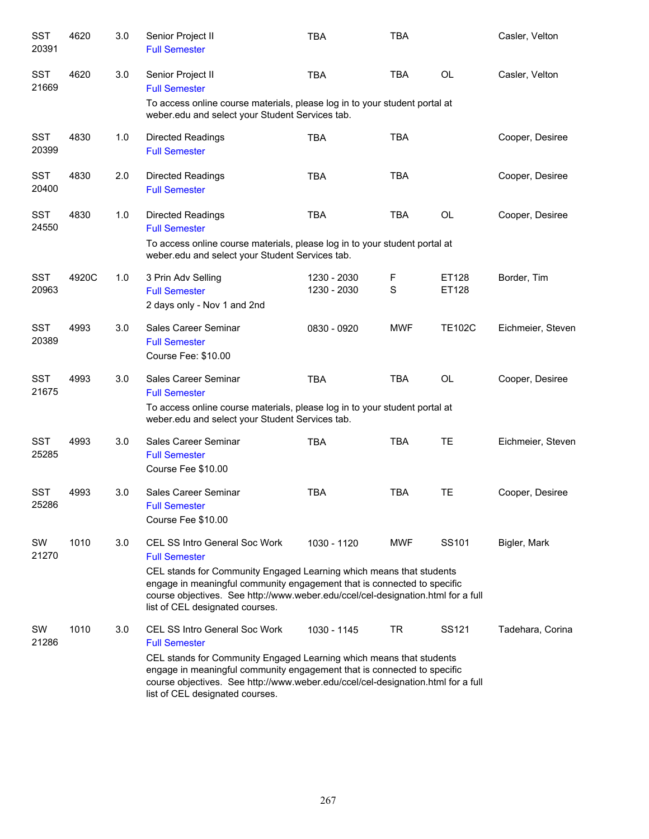| <b>SST</b><br>20391 | 4620  | 3.0 | Senior Project II<br><b>Full Semester</b>                                                                                                                                                                                                                                                                                             | <b>TBA</b>                 | <b>TBA</b> |                | Casler, Velton    |
|---------------------|-------|-----|---------------------------------------------------------------------------------------------------------------------------------------------------------------------------------------------------------------------------------------------------------------------------------------------------------------------------------------|----------------------------|------------|----------------|-------------------|
| <b>SST</b><br>21669 | 4620  | 3.0 | Senior Project II<br><b>Full Semester</b>                                                                                                                                                                                                                                                                                             | <b>TBA</b>                 | <b>TBA</b> | <b>OL</b>      | Casler, Velton    |
|                     |       |     | To access online course materials, please log in to your student portal at<br>weber.edu and select your Student Services tab.                                                                                                                                                                                                         |                            |            |                |                   |
| <b>SST</b><br>20399 | 4830  | 1.0 | <b>Directed Readings</b><br><b>Full Semester</b>                                                                                                                                                                                                                                                                                      | <b>TBA</b>                 | <b>TBA</b> |                | Cooper, Desiree   |
| <b>SST</b><br>20400 | 4830  | 2.0 | Directed Readings<br><b>Full Semester</b>                                                                                                                                                                                                                                                                                             | <b>TBA</b>                 | <b>TBA</b> |                | Cooper, Desiree   |
| <b>SST</b><br>24550 | 4830  | 1.0 | <b>Directed Readings</b><br><b>Full Semester</b>                                                                                                                                                                                                                                                                                      | <b>TBA</b>                 | <b>TBA</b> | <b>OL</b>      | Cooper, Desiree   |
|                     |       |     | To access online course materials, please log in to your student portal at<br>weber.edu and select your Student Services tab.                                                                                                                                                                                                         |                            |            |                |                   |
| <b>SST</b><br>20963 | 4920C | 1.0 | 3 Prin Adv Selling<br><b>Full Semester</b><br>2 days only - Nov 1 and 2nd                                                                                                                                                                                                                                                             | 1230 - 2030<br>1230 - 2030 | F<br>S     | ET128<br>ET128 | Border, Tim       |
| <b>SST</b><br>20389 | 4993  | 3.0 | Sales Career Seminar<br><b>Full Semester</b><br>Course Fee: \$10.00                                                                                                                                                                                                                                                                   | 0830 - 0920                | <b>MWF</b> | <b>TE102C</b>  | Eichmeier, Steven |
| <b>SST</b><br>21675 | 4993  | 3.0 | Sales Career Seminar<br><b>Full Semester</b><br>To access online course materials, please log in to your student portal at                                                                                                                                                                                                            | <b>TBA</b>                 | <b>TBA</b> | <b>OL</b>      | Cooper, Desiree   |
|                     |       |     | weber.edu and select your Student Services tab.                                                                                                                                                                                                                                                                                       |                            |            |                |                   |
| <b>SST</b><br>25285 | 4993  | 3.0 | Sales Career Seminar<br><b>Full Semester</b><br>Course Fee \$10.00                                                                                                                                                                                                                                                                    | <b>TBA</b>                 | <b>TBA</b> | TE             | Eichmeier, Steven |
| <b>SST</b><br>25286 | 4993  | 3.0 | Sales Career Seminar<br><b>Full Semester</b><br>Course Fee \$10.00                                                                                                                                                                                                                                                                    | <b>TBA</b>                 | <b>TBA</b> | TE             | Cooper, Desiree   |
| SW<br>21270         | 1010  | 3.0 | <b>CEL SS Intro General Soc Work</b><br><b>Full Semester</b><br>CEL stands for Community Engaged Learning which means that students<br>engage in meaningful community engagement that is connected to specific<br>course objectives. See http://www.weber.edu/ccel/cel-designation.html for a full<br>list of CEL designated courses. | 1030 - 1120                | MWF        | SS101          | Bigler, Mark      |
| SW<br>21286         | 1010  | 3.0 | <b>CEL SS Intro General Soc Work</b><br><b>Full Semester</b><br>CEL stands for Community Engaged Learning which means that students<br>engage in meaningful community engagement that is connected to specific<br>course objectives. See http://www.weber.edu/ccel/cel-designation.html for a full<br>list of CEL designated courses. | 1030 - 1145                | TR         | SS121          | Tadehara, Corina  |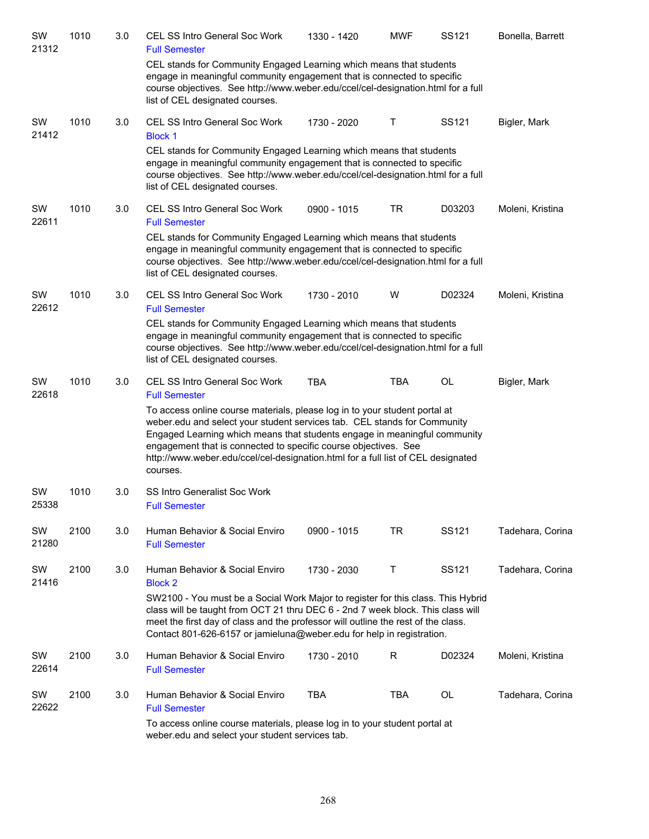| SW<br>21312 | 1010 | 3.0 | <b>CEL SS Intro General Soc Work</b><br><b>Full Semester</b>                                                                                                                                                                                                                                                                                                                                                                                                           | 1330 - 1420 | <b>MWF</b> | SS121  | Bonella, Barrett |
|-------------|------|-----|------------------------------------------------------------------------------------------------------------------------------------------------------------------------------------------------------------------------------------------------------------------------------------------------------------------------------------------------------------------------------------------------------------------------------------------------------------------------|-------------|------------|--------|------------------|
|             |      |     | CEL stands for Community Engaged Learning which means that students<br>engage in meaningful community engagement that is connected to specific<br>course objectives. See http://www.weber.edu/ccel/cel-designation.html for a full<br>list of CEL designated courses.                                                                                                                                                                                                  |             |            |        |                  |
| SW<br>21412 | 1010 | 3.0 | CEL SS Intro General Soc Work<br><b>Block 1</b>                                                                                                                                                                                                                                                                                                                                                                                                                        | 1730 - 2020 | Τ          | SS121  | Bigler, Mark     |
|             |      |     | CEL stands for Community Engaged Learning which means that students<br>engage in meaningful community engagement that is connected to specific<br>course objectives. See http://www.weber.edu/ccel/cel-designation.html for a full<br>list of CEL designated courses.                                                                                                                                                                                                  |             |            |        |                  |
| SW<br>22611 | 1010 | 3.0 | <b>CEL SS Intro General Soc Work</b><br><b>Full Semester</b>                                                                                                                                                                                                                                                                                                                                                                                                           | 0900 - 1015 | <b>TR</b>  | D03203 | Moleni, Kristina |
|             |      |     | CEL stands for Community Engaged Learning which means that students<br>engage in meaningful community engagement that is connected to specific<br>course objectives. See http://www.weber.edu/ccel/cel-designation.html for a full<br>list of CEL designated courses.                                                                                                                                                                                                  |             |            |        |                  |
| SW<br>22612 | 1010 | 3.0 | CEL SS Intro General Soc Work<br><b>Full Semester</b>                                                                                                                                                                                                                                                                                                                                                                                                                  | 1730 - 2010 | W          | D02324 | Moleni, Kristina |
|             |      |     | CEL stands for Community Engaged Learning which means that students<br>engage in meaningful community engagement that is connected to specific<br>course objectives. See http://www.weber.edu/ccel/cel-designation.html for a full<br>list of CEL designated courses.                                                                                                                                                                                                  |             |            |        |                  |
| SW<br>22618 | 1010 | 3.0 | <b>CEL SS Intro General Soc Work</b><br><b>Full Semester</b><br>To access online course materials, please log in to your student portal at<br>weber.edu and select your student services tab. CEL stands for Community<br>Engaged Learning which means that students engage in meaningful community<br>engagement that is connected to specific course objectives. See<br>http://www.weber.edu/ccel/cel-designation.html for a full list of CEL designated<br>courses. | <b>TBA</b>  | TBA        | OL     | Bigler, Mark     |
| SW<br>25338 | 1010 | 3.0 | SS Intro Generalist Soc Work<br><b>Full Semester</b>                                                                                                                                                                                                                                                                                                                                                                                                                   |             |            |        |                  |
| SW<br>21280 | 2100 | 3.0 | Human Behavior & Social Enviro<br><b>Full Semester</b>                                                                                                                                                                                                                                                                                                                                                                                                                 | 0900 - 1015 | TR         | SS121  | Tadehara, Corina |
| SW<br>21416 | 2100 | 3.0 | Human Behavior & Social Enviro<br><b>Block 2</b><br>SW2100 - You must be a Social Work Major to register for this class. This Hybrid                                                                                                                                                                                                                                                                                                                                   | 1730 - 2030 | Τ          | SS121  | Tadehara, Corina |
|             |      |     | class will be taught from OCT 21 thru DEC 6 - 2nd 7 week block. This class will<br>meet the first day of class and the professor will outline the rest of the class.<br>Contact 801-626-6157 or jamieluna@weber.edu for help in registration.                                                                                                                                                                                                                          |             |            |        |                  |
| SW<br>22614 | 2100 | 3.0 | Human Behavior & Social Enviro<br><b>Full Semester</b>                                                                                                                                                                                                                                                                                                                                                                                                                 | 1730 - 2010 | R          | D02324 | Moleni, Kristina |
| SW<br>22622 | 2100 | 3.0 | Human Behavior & Social Enviro<br><b>Full Semester</b>                                                                                                                                                                                                                                                                                                                                                                                                                 | <b>TBA</b>  | TBA        | OL     | Tadehara, Corina |
|             |      |     | To access online course materials, please log in to your student portal at<br>weber.edu and select your student services tab.                                                                                                                                                                                                                                                                                                                                          |             |            |        |                  |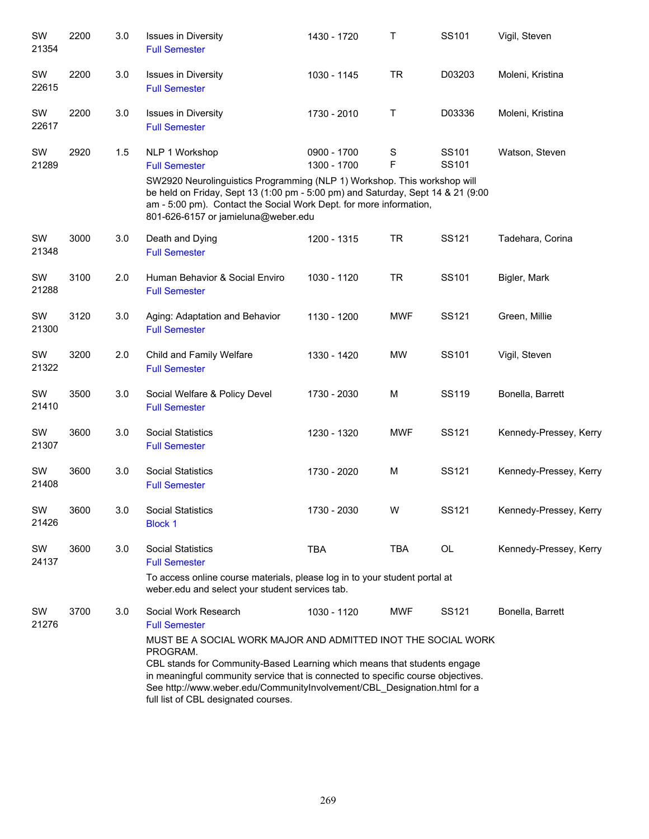| SW<br>21354 | 2200 | 3.0 | <b>Issues in Diversity</b><br><b>Full Semester</b>                                                                                                                                                                                                                                                                                                                                                            | 1430 - 1720                | Τ                | SS101          | Vigil, Steven          |
|-------------|------|-----|---------------------------------------------------------------------------------------------------------------------------------------------------------------------------------------------------------------------------------------------------------------------------------------------------------------------------------------------------------------------------------------------------------------|----------------------------|------------------|----------------|------------------------|
| SW<br>22615 | 2200 | 3.0 | <b>Issues in Diversity</b><br><b>Full Semester</b>                                                                                                                                                                                                                                                                                                                                                            | 1030 - 1145                | <b>TR</b>        | D03203         | Moleni, Kristina       |
| SW<br>22617 | 2200 | 3.0 | <b>Issues in Diversity</b><br><b>Full Semester</b>                                                                                                                                                                                                                                                                                                                                                            | 1730 - 2010                | Τ                | D03336         | Moleni, Kristina       |
| SW<br>21289 | 2920 | 1.5 | NLP 1 Workshop<br><b>Full Semester</b><br>SW2920 Neurolinguistics Programming (NLP 1) Workshop. This workshop will<br>be held on Friday, Sept 13 (1:00 pm - 5:00 pm) and Saturday, Sept 14 & 21 (9:00<br>am - 5:00 pm). Contact the Social Work Dept. for more information,<br>801-626-6157 or jamieluna@weber.edu                                                                                            | 0900 - 1700<br>1300 - 1700 | $\mathbf S$<br>F | SS101<br>SS101 | Watson, Steven         |
| SW<br>21348 | 3000 | 3.0 | Death and Dying<br><b>Full Semester</b>                                                                                                                                                                                                                                                                                                                                                                       | 1200 - 1315                | <b>TR</b>        | <b>SS121</b>   | Tadehara, Corina       |
| SW<br>21288 | 3100 | 2.0 | Human Behavior & Social Enviro<br><b>Full Semester</b>                                                                                                                                                                                                                                                                                                                                                        | 1030 - 1120                | <b>TR</b>        | SS101          | Bigler, Mark           |
| SW<br>21300 | 3120 | 3.0 | Aging: Adaptation and Behavior<br><b>Full Semester</b>                                                                                                                                                                                                                                                                                                                                                        | 1130 - 1200                | <b>MWF</b>       | SS121          | Green, Millie          |
| SW<br>21322 | 3200 | 2.0 | Child and Family Welfare<br><b>Full Semester</b>                                                                                                                                                                                                                                                                                                                                                              | 1330 - 1420                | <b>MW</b>        | SS101          | Vigil, Steven          |
| SW<br>21410 | 3500 | 3.0 | Social Welfare & Policy Devel<br><b>Full Semester</b>                                                                                                                                                                                                                                                                                                                                                         | 1730 - 2030                | M                | SS119          | Bonella, Barrett       |
| SW<br>21307 | 3600 | 3.0 | <b>Social Statistics</b><br><b>Full Semester</b>                                                                                                                                                                                                                                                                                                                                                              | 1230 - 1320                | <b>MWF</b>       | SS121          | Kennedy-Pressey, Kerry |
| SW<br>21408 | 3600 | 3.0 | <b>Social Statistics</b><br><b>Full Semester</b>                                                                                                                                                                                                                                                                                                                                                              | 1730 - 2020                | M                | SS121          | Kennedy-Pressey, Kerry |
| SW<br>21426 | 3600 | 3.0 | <b>Social Statistics</b><br><b>Block 1</b>                                                                                                                                                                                                                                                                                                                                                                    | 1730 - 2030                | W                | SS121          | Kennedy-Pressey, Kerry |
| SW<br>24137 | 3600 | 3.0 | <b>Social Statistics</b><br><b>Full Semester</b><br>To access online course materials, please log in to your student portal at<br>weber.edu and select your student services tab.                                                                                                                                                                                                                             | <b>TBA</b>                 | <b>TBA</b>       | OL             | Kennedy-Pressey, Kerry |
| SW<br>21276 | 3700 | 3.0 | Social Work Research<br><b>Full Semester</b><br>MUST BE A SOCIAL WORK MAJOR AND ADMITTED INOT THE SOCIAL WORK<br>PROGRAM.<br>CBL stands for Community-Based Learning which means that students engage<br>in meaningful community service that is connected to specific course objectives.<br>See http://www.weber.edu/CommunityInvolvement/CBL_Designation.html for a<br>full list of CBL designated courses. | 1030 - 1120                | <b>MWF</b>       | SS121          | Bonella, Barrett       |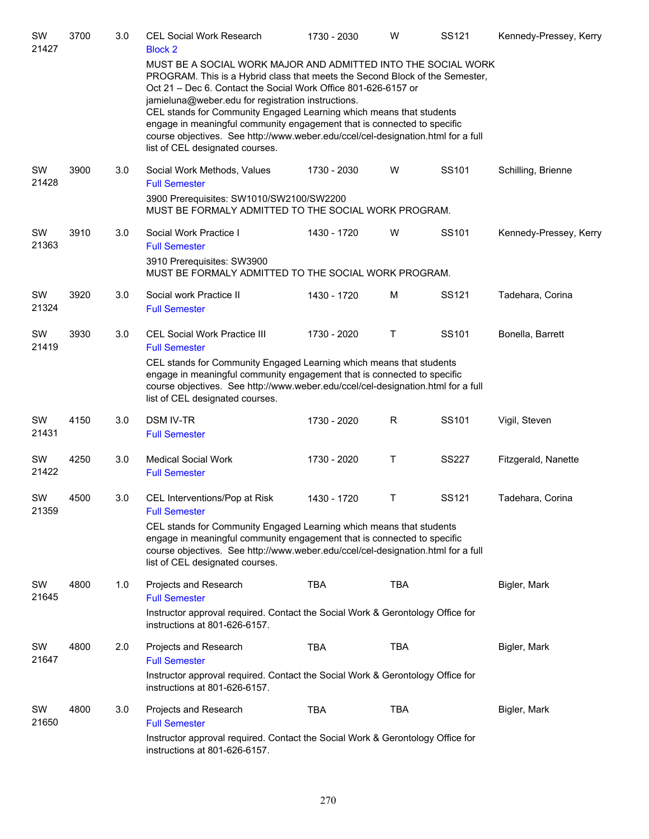| SW<br>21427 | 3700 | 3.0 | <b>CEL Social Work Research</b><br><b>Block 2</b>                                                                                                                                                                                                                                                                                                                                                                                                                                                                                              | 1730 - 2030 | W          | SS121        | Kennedy-Pressey, Kerry |
|-------------|------|-----|------------------------------------------------------------------------------------------------------------------------------------------------------------------------------------------------------------------------------------------------------------------------------------------------------------------------------------------------------------------------------------------------------------------------------------------------------------------------------------------------------------------------------------------------|-------------|------------|--------------|------------------------|
|             |      |     | MUST BE A SOCIAL WORK MAJOR AND ADMITTED INTO THE SOCIAL WORK<br>PROGRAM. This is a Hybrid class that meets the Second Block of the Semester,<br>Oct 21 – Dec 6. Contact the Social Work Office 801-626-6157 or<br>jamieluna@weber.edu for registration instructions.<br>CEL stands for Community Engaged Learning which means that students<br>engage in meaningful community engagement that is connected to specific<br>course objectives. See http://www.weber.edu/ccel/cel-designation.html for a full<br>list of CEL designated courses. |             |            |              |                        |
| SW<br>21428 | 3900 | 3.0 | Social Work Methods, Values<br><b>Full Semester</b>                                                                                                                                                                                                                                                                                                                                                                                                                                                                                            | 1730 - 2030 | W          | SS101        | Schilling, Brienne     |
|             |      |     | 3900 Prerequisites: SW1010/SW2100/SW2200<br>MUST BE FORMALY ADMITTED TO THE SOCIAL WORK PROGRAM.                                                                                                                                                                                                                                                                                                                                                                                                                                               |             |            |              |                        |
| SW<br>21363 | 3910 | 3.0 | Social Work Practice I<br><b>Full Semester</b>                                                                                                                                                                                                                                                                                                                                                                                                                                                                                                 | 1430 - 1720 | W          | SS101        | Kennedy-Pressey, Kerry |
|             |      |     | 3910 Prerequisites: SW3900<br>MUST BE FORMALY ADMITTED TO THE SOCIAL WORK PROGRAM.                                                                                                                                                                                                                                                                                                                                                                                                                                                             |             |            |              |                        |
| SW<br>21324 | 3920 | 3.0 | Social work Practice II<br><b>Full Semester</b>                                                                                                                                                                                                                                                                                                                                                                                                                                                                                                | 1430 - 1720 | M          | SS121        | Tadehara, Corina       |
| SW<br>21419 | 3930 | 3.0 | <b>CEL Social Work Practice III</b><br><b>Full Semester</b>                                                                                                                                                                                                                                                                                                                                                                                                                                                                                    | 1730 - 2020 | Τ          | SS101        | Bonella, Barrett       |
|             |      |     | CEL stands for Community Engaged Learning which means that students<br>engage in meaningful community engagement that is connected to specific<br>course objectives. See http://www.weber.edu/ccel/cel-designation.html for a full<br>list of CEL designated courses.                                                                                                                                                                                                                                                                          |             |            |              |                        |
| SW<br>21431 | 4150 | 3.0 | <b>DSM IV-TR</b><br><b>Full Semester</b>                                                                                                                                                                                                                                                                                                                                                                                                                                                                                                       | 1730 - 2020 | R          | SS101        | Vigil, Steven          |
| SW<br>21422 | 4250 | 3.0 | <b>Medical Social Work</b><br><b>Full Semester</b>                                                                                                                                                                                                                                                                                                                                                                                                                                                                                             | 1730 - 2020 | Τ          | <b>SS227</b> | Fitzgerald, Nanette    |
| SW<br>21359 | 4500 | 3.0 | CEL Interventions/Pop at Risk<br><b>Full Semester</b>                                                                                                                                                                                                                                                                                                                                                                                                                                                                                          | 1430 - 1720 | Τ          | SS121        | Tadehara, Corina       |
|             |      |     | CEL stands for Community Engaged Learning which means that students<br>engage in meaningful community engagement that is connected to specific<br>course objectives. See http://www.weber.edu/ccel/cel-designation.html for a full<br>list of CEL designated courses.                                                                                                                                                                                                                                                                          |             |            |              |                        |
| SW<br>21645 | 4800 | 1.0 | Projects and Research<br><b>Full Semester</b>                                                                                                                                                                                                                                                                                                                                                                                                                                                                                                  | <b>TBA</b>  | <b>TBA</b> |              | Bigler, Mark           |
|             |      |     | Instructor approval required. Contact the Social Work & Gerontology Office for<br>instructions at 801-626-6157.                                                                                                                                                                                                                                                                                                                                                                                                                                |             |            |              |                        |
| SW<br>21647 | 4800 | 2.0 | Projects and Research<br><b>Full Semester</b><br>Instructor approval required. Contact the Social Work & Gerontology Office for<br>instructions at 801-626-6157.                                                                                                                                                                                                                                                                                                                                                                               | <b>TBA</b>  | <b>TBA</b> |              | Bigler, Mark           |
| SW<br>21650 | 4800 | 3.0 | Projects and Research<br><b>Full Semester</b><br>Instructor approval required. Contact the Social Work & Gerontology Office for                                                                                                                                                                                                                                                                                                                                                                                                                | <b>TBA</b>  | TBA        |              | Bigler, Mark           |
|             |      |     | instructions at 801-626-6157.                                                                                                                                                                                                                                                                                                                                                                                                                                                                                                                  |             |            |              |                        |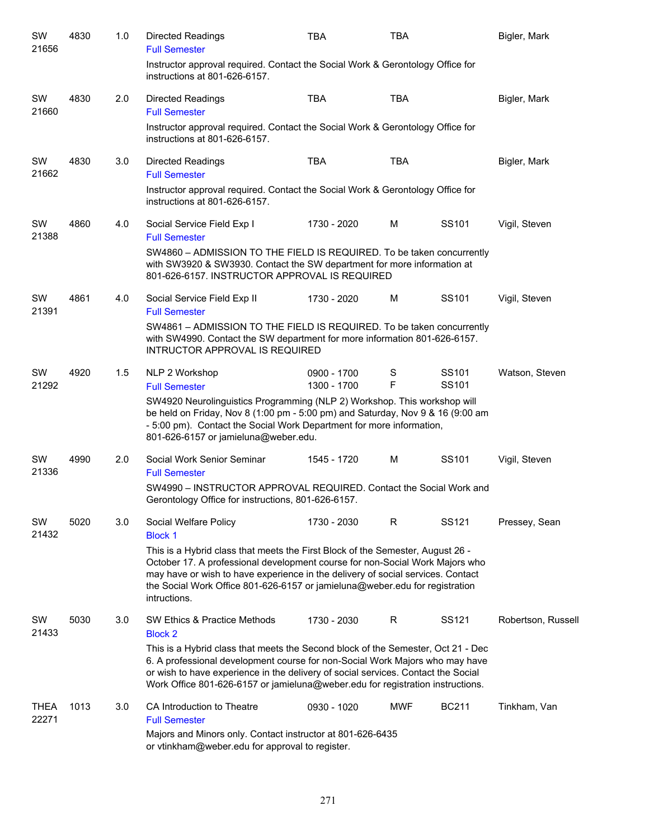| SW<br>21656   | 4830 | 1.0 | <b>Directed Readings</b><br><b>Full Semester</b>                                                                                                                                                                                                                                                                                                                                            | <b>TBA</b>                 | <b>TBA</b> |                            | Bigler, Mark       |
|---------------|------|-----|---------------------------------------------------------------------------------------------------------------------------------------------------------------------------------------------------------------------------------------------------------------------------------------------------------------------------------------------------------------------------------------------|----------------------------|------------|----------------------------|--------------------|
|               |      |     | Instructor approval required. Contact the Social Work & Gerontology Office for<br>instructions at 801-626-6157.                                                                                                                                                                                                                                                                             |                            |            |                            |                    |
| SW<br>21660   | 4830 | 2.0 | <b>Directed Readings</b><br><b>Full Semester</b>                                                                                                                                                                                                                                                                                                                                            | <b>TBA</b>                 | <b>TBA</b> |                            | Bigler, Mark       |
|               |      |     | Instructor approval required. Contact the Social Work & Gerontology Office for<br>instructions at 801-626-6157.                                                                                                                                                                                                                                                                             |                            |            |                            |                    |
| SW<br>21662   | 4830 | 3.0 | <b>Directed Readings</b><br><b>Full Semester</b><br>Instructor approval required. Contact the Social Work & Gerontology Office for<br>instructions at 801-626-6157.                                                                                                                                                                                                                         | <b>TBA</b>                 | <b>TBA</b> |                            | Bigler, Mark       |
| SW<br>21388   | 4860 | 4.0 | Social Service Field Exp I<br><b>Full Semester</b><br>SW4860 - ADMISSION TO THE FIELD IS REQUIRED. To be taken concurrently<br>with SW3920 & SW3930. Contact the SW department for more information at<br>801-626-6157. INSTRUCTOR APPROVAL IS REQUIRED                                                                                                                                     | 1730 - 2020                | M          | SS101                      | Vigil, Steven      |
| SW<br>21391   | 4861 | 4.0 | Social Service Field Exp II<br><b>Full Semester</b><br>SW4861 - ADMISSION TO THE FIELD IS REQUIRED. To be taken concurrently<br>with SW4990. Contact the SW department for more information 801-626-6157.<br>INTRUCTOR APPROVAL IS REQUIRED                                                                                                                                                 | 1730 - 2020                | M          | SS <sub>101</sub>          | Vigil, Steven      |
| SW<br>21292   | 4920 | 1.5 | NLP 2 Workshop<br><b>Full Semester</b><br>SW4920 Neurolinguistics Programming (NLP 2) Workshop. This workshop will<br>be held on Friday, Nov 8 (1:00 pm - 5:00 pm) and Saturday, Nov 9 & 16 (9:00 am<br>- 5:00 pm). Contact the Social Work Department for more information,<br>801-626-6157 or jamieluna@weber.edu.                                                                        | 0900 - 1700<br>1300 - 1700 | S<br>F     | SS101<br>SS <sub>101</sub> | Watson, Steven     |
| SW<br>21336   | 4990 | 2.0 | Social Work Senior Seminar<br><b>Full Semester</b><br>SW4990 - INSTRUCTOR APPROVAL REQUIRED. Contact the Social Work and<br>Gerontology Office for instructions, 801-626-6157.                                                                                                                                                                                                              | 1545 - 1720                | м          | SS101                      | Vigil, Steven      |
| SW<br>21432   | 5020 | 3.0 | Social Welfare Policy<br><b>Block 1</b><br>This is a Hybrid class that meets the First Block of the Semester, August 26 -<br>October 17. A professional development course for non-Social Work Majors who<br>may have or wish to have experience in the delivery of social services. Contact<br>the Social Work Office 801-626-6157 or jamieluna@weber.edu for registration<br>intructions. | 1730 - 2030                | R          | SS <sub>121</sub>          | Pressey, Sean      |
| SW<br>21433   | 5030 | 3.0 | SW Ethics & Practice Methods<br><b>Block 2</b><br>This is a Hybrid class that meets the Second block of the Semester, Oct 21 - Dec<br>6. A professional development course for non-Social Work Majors who may have<br>or wish to have experience in the delivery of social services. Contact the Social<br>Work Office 801-626-6157 or jamieluna@weber.edu for registration instructions.   | 1730 - 2030                | R          | SS121                      | Robertson, Russell |
| THEA<br>22271 | 1013 | 3.0 | CA Introduction to Theatre<br><b>Full Semester</b><br>Majors and Minors only. Contact instructor at 801-626-6435<br>or vtinkham@weber.edu for approval to register.                                                                                                                                                                                                                         | 0930 - 1020                | <b>MWF</b> | <b>BC211</b>               | Tinkham, Van       |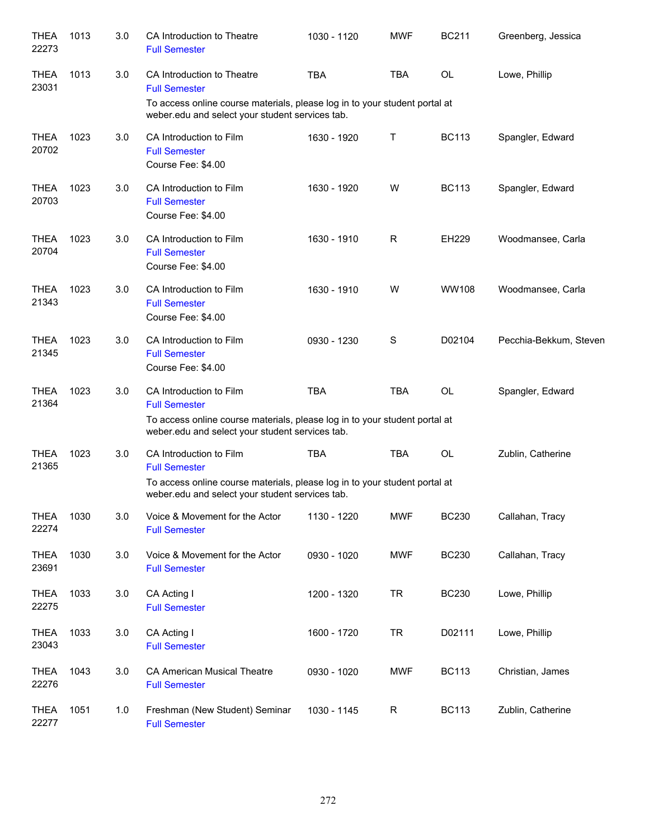| <b>THEA</b><br>22273 | 1013 | 3.0 | CA Introduction to Theatre<br><b>Full Semester</b>                                                                            | 1030 - 1120 | <b>MWF</b>  | <b>BC211</b> | Greenberg, Jessica     |
|----------------------|------|-----|-------------------------------------------------------------------------------------------------------------------------------|-------------|-------------|--------------|------------------------|
| <b>THEA</b><br>23031 | 1013 | 3.0 | CA Introduction to Theatre<br><b>Full Semester</b>                                                                            | <b>TBA</b>  | <b>TBA</b>  | OL           | Lowe, Phillip          |
|                      |      |     | To access online course materials, please log in to your student portal at<br>weber.edu and select your student services tab. |             |             |              |                        |
| <b>THEA</b><br>20702 | 1023 | 3.0 | CA Introduction to Film<br><b>Full Semester</b><br>Course Fee: \$4.00                                                         | 1630 - 1920 | Τ           | <b>BC113</b> | Spangler, Edward       |
| <b>THEA</b><br>20703 | 1023 | 3.0 | CA Introduction to Film<br><b>Full Semester</b><br>Course Fee: \$4.00                                                         | 1630 - 1920 | W           | <b>BC113</b> | Spangler, Edward       |
| <b>THEA</b><br>20704 | 1023 | 3.0 | CA Introduction to Film<br><b>Full Semester</b><br>Course Fee: \$4.00                                                         | 1630 - 1910 | R           | EH229        | Woodmansee, Carla      |
| <b>THEA</b><br>21343 | 1023 | 3.0 | CA Introduction to Film<br><b>Full Semester</b><br>Course Fee: \$4.00                                                         | 1630 - 1910 | W           | <b>WW108</b> | Woodmansee, Carla      |
| <b>THEA</b><br>21345 | 1023 | 3.0 | CA Introduction to Film<br><b>Full Semester</b><br>Course Fee: \$4.00                                                         | 0930 - 1230 | S           | D02104       | Pecchia-Bekkum, Steven |
| <b>THEA</b><br>21364 | 1023 | 3.0 | CA Introduction to Film<br><b>Full Semester</b>                                                                               | <b>TBA</b>  | <b>TBA</b>  | <b>OL</b>    | Spangler, Edward       |
|                      |      |     | To access online course materials, please log in to your student portal at<br>weber.edu and select your student services tab. |             |             |              |                        |
| <b>THEA</b><br>21365 | 1023 | 3.0 | CA Introduction to Film<br><b>Full Semester</b>                                                                               | <b>TBA</b>  | <b>TBA</b>  | <b>OL</b>    | Zublin, Catherine      |
|                      |      |     | To access online course materials, please log in to your student portal at<br>weber.edu and select your student services tab. |             |             |              |                        |
| <b>THEA</b><br>22274 | 1030 | 3.0 | Voice & Movement for the Actor<br><b>Full Semester</b>                                                                        | 1130 - 1220 | <b>MWF</b>  | <b>BC230</b> | Callahan, Tracy        |
| <b>THEA</b><br>23691 | 1030 | 3.0 | Voice & Movement for the Actor<br><b>Full Semester</b>                                                                        | 0930 - 1020 | <b>MWF</b>  | <b>BC230</b> | Callahan, Tracy        |
| <b>THEA</b><br>22275 | 1033 | 3.0 | CA Acting I<br><b>Full Semester</b>                                                                                           | 1200 - 1320 | <b>TR</b>   | <b>BC230</b> | Lowe, Phillip          |
| <b>THEA</b><br>23043 | 1033 | 3.0 | CA Acting I<br><b>Full Semester</b>                                                                                           | 1600 - 1720 | <b>TR</b>   | D02111       | Lowe, Phillip          |
| <b>THEA</b><br>22276 | 1043 | 3.0 | <b>CA American Musical Theatre</b><br><b>Full Semester</b>                                                                    | 0930 - 1020 | <b>MWF</b>  | <b>BC113</b> | Christian, James       |
| <b>THEA</b><br>22277 | 1051 | 1.0 | Freshman (New Student) Seminar<br><b>Full Semester</b>                                                                        | 1030 - 1145 | $\mathsf R$ | <b>BC113</b> | Zublin, Catherine      |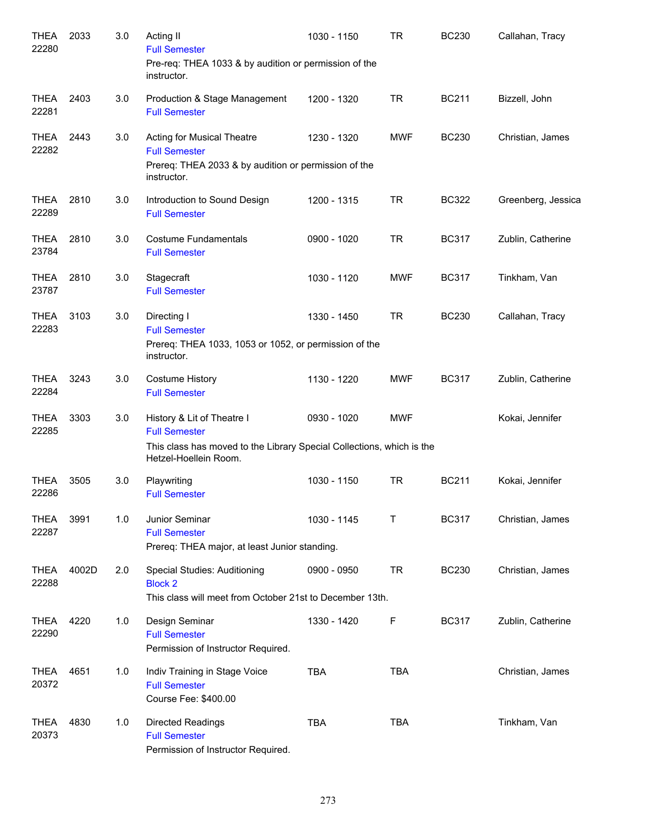| <b>THEA</b><br>22280 | 2033  | 3.0 | Acting II<br><b>Full Semester</b><br>Pre-req: THEA 1033 & by audition or permission of the                                                           | 1030 - 1150 | <b>TR</b>  | <b>BC230</b> | Callahan, Tracy    |
|----------------------|-------|-----|------------------------------------------------------------------------------------------------------------------------------------------------------|-------------|------------|--------------|--------------------|
|                      |       |     | instructor.                                                                                                                                          |             |            |              |                    |
| <b>THEA</b><br>22281 | 2403  | 3.0 | Production & Stage Management<br><b>Full Semester</b>                                                                                                | 1200 - 1320 | <b>TR</b>  | <b>BC211</b> | Bizzell, John      |
| <b>THEA</b><br>22282 | 2443  | 3.0 | Acting for Musical Theatre<br><b>Full Semester</b><br>Prereq: THEA 2033 & by audition or permission of the<br>instructor.                            | 1230 - 1320 | <b>MWF</b> | <b>BC230</b> | Christian, James   |
| <b>THEA</b><br>22289 | 2810  | 3.0 | Introduction to Sound Design<br><b>Full Semester</b>                                                                                                 | 1200 - 1315 | <b>TR</b>  | <b>BC322</b> | Greenberg, Jessica |
| <b>THEA</b><br>23784 | 2810  | 3.0 | <b>Costume Fundamentals</b><br><b>Full Semester</b>                                                                                                  | 0900 - 1020 | <b>TR</b>  | <b>BC317</b> | Zublin, Catherine  |
| <b>THEA</b><br>23787 | 2810  | 3.0 | Stagecraft<br><b>Full Semester</b>                                                                                                                   | 1030 - 1120 | <b>MWF</b> | <b>BC317</b> | Tinkham, Van       |
| <b>THEA</b><br>22283 | 3103  | 3.0 | Directing I<br><b>Full Semester</b><br>Prereq: THEA 1033, 1053 or 1052, or permission of the<br>instructor.                                          | 1330 - 1450 | <b>TR</b>  | <b>BC230</b> | Callahan, Tracy    |
| <b>THEA</b><br>22284 | 3243  | 3.0 | <b>Costume History</b><br><b>Full Semester</b>                                                                                                       | 1130 - 1220 | <b>MWF</b> | <b>BC317</b> | Zublin, Catherine  |
| <b>THEA</b><br>22285 | 3303  | 3.0 | History & Lit of Theatre I<br><b>Full Semester</b><br>This class has moved to the Library Special Collections, which is the<br>Hetzel-Hoellein Room. | 0930 - 1020 | <b>MWF</b> |              | Kokai, Jennifer    |
| <b>THEA</b><br>22286 | 3505  | 3.0 | Playwriting<br><b>Full Semester</b>                                                                                                                  | 1030 - 1150 | <b>TR</b>  | <b>BC211</b> | Kokai, Jennifer    |
| <b>THEA</b><br>22287 | 3991  | 1.0 | Junior Seminar<br><b>Full Semester</b><br>Prereq: THEA major, at least Junior standing.                                                              | 1030 - 1145 | Т          | <b>BC317</b> | Christian, James   |
| <b>THEA</b><br>22288 | 4002D | 2.0 | Special Studies: Auditioning<br><b>Block 2</b><br>This class will meet from October 21st to December 13th.                                           | 0900 - 0950 | <b>TR</b>  | <b>BC230</b> | Christian, James   |
| <b>THEA</b><br>22290 | 4220  | 1.0 | Design Seminar<br><b>Full Semester</b><br>Permission of Instructor Required.                                                                         | 1330 - 1420 | F          | <b>BC317</b> | Zublin, Catherine  |
| <b>THEA</b><br>20372 | 4651  | 1.0 | Indiv Training in Stage Voice<br><b>Full Semester</b><br>Course Fee: \$400.00                                                                        | <b>TBA</b>  | <b>TBA</b> |              | Christian, James   |
| <b>THEA</b><br>20373 | 4830  | 1.0 | Directed Readings<br><b>Full Semester</b><br>Permission of Instructor Required.                                                                      | <b>TBA</b>  | <b>TBA</b> |              | Tinkham, Van       |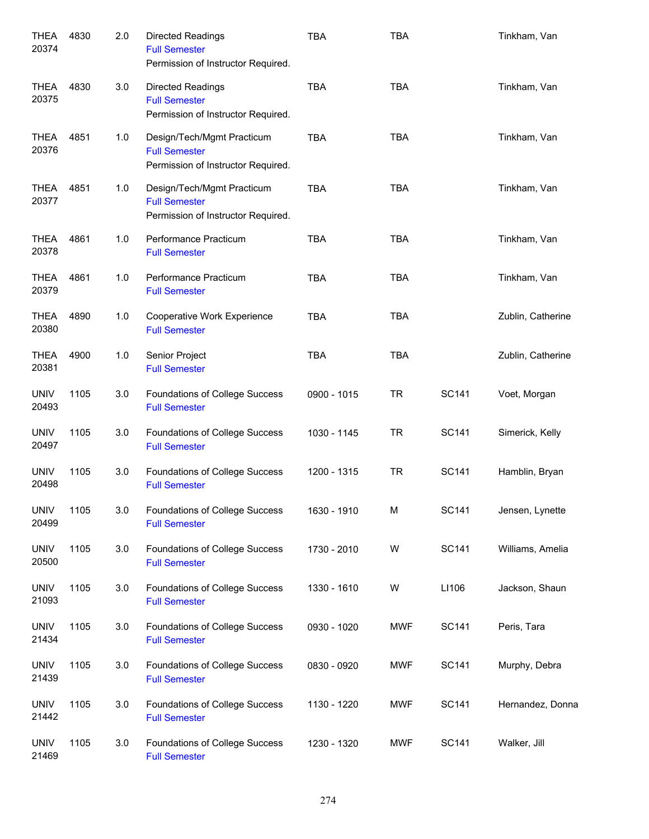| <b>THEA</b><br>20374 | 4830 | 2.0 | <b>Directed Readings</b><br><b>Full Semester</b><br>Permission of Instructor Required.   | <b>TBA</b>  | <b>TBA</b> |              | Tinkham, Van      |
|----------------------|------|-----|------------------------------------------------------------------------------------------|-------------|------------|--------------|-------------------|
| <b>THEA</b><br>20375 | 4830 | 3.0 | <b>Directed Readings</b><br><b>Full Semester</b><br>Permission of Instructor Required.   | <b>TBA</b>  | <b>TBA</b> |              | Tinkham, Van      |
| <b>THEA</b><br>20376 | 4851 | 1.0 | Design/Tech/Mgmt Practicum<br><b>Full Semester</b><br>Permission of Instructor Required. | <b>TBA</b>  | <b>TBA</b> |              | Tinkham, Van      |
| <b>THEA</b><br>20377 | 4851 | 1.0 | Design/Tech/Mgmt Practicum<br><b>Full Semester</b><br>Permission of Instructor Required. | <b>TBA</b>  | <b>TBA</b> |              | Tinkham, Van      |
| <b>THEA</b><br>20378 | 4861 | 1.0 | Performance Practicum<br><b>Full Semester</b>                                            | <b>TBA</b>  | <b>TBA</b> |              | Tinkham, Van      |
| <b>THEA</b><br>20379 | 4861 | 1.0 | Performance Practicum<br><b>Full Semester</b>                                            | <b>TBA</b>  | <b>TBA</b> |              | Tinkham, Van      |
| <b>THEA</b><br>20380 | 4890 | 1.0 | Cooperative Work Experience<br><b>Full Semester</b>                                      | <b>TBA</b>  | <b>TBA</b> |              | Zublin, Catherine |
| <b>THEA</b><br>20381 | 4900 | 1.0 | Senior Project<br><b>Full Semester</b>                                                   | <b>TBA</b>  | <b>TBA</b> |              | Zublin, Catherine |
| <b>UNIV</b><br>20493 | 1105 | 3.0 | Foundations of College Success<br><b>Full Semester</b>                                   | 0900 - 1015 | <b>TR</b>  | SC141        | Voet, Morgan      |
| <b>UNIV</b><br>20497 | 1105 | 3.0 | Foundations of College Success<br><b>Full Semester</b>                                   | 1030 - 1145 | <b>TR</b>  | SC141        | Simerick, Kelly   |
| <b>UNIV</b><br>20498 | 1105 | 3.0 | Foundations of College Success<br><b>Full Semester</b>                                   | 1200 - 1315 | <b>TR</b>  | <b>SC141</b> | Hamblin, Bryan    |
| <b>UNIV</b><br>20499 | 1105 | 3.0 | Foundations of College Success<br><b>Full Semester</b>                                   | 1630 - 1910 | M          | <b>SC141</b> | Jensen, Lynette   |
| <b>UNIV</b><br>20500 | 1105 | 3.0 | Foundations of College Success<br><b>Full Semester</b>                                   | 1730 - 2010 | W          | <b>SC141</b> | Williams, Amelia  |
| <b>UNIV</b><br>21093 | 1105 | 3.0 | Foundations of College Success<br><b>Full Semester</b>                                   | 1330 - 1610 | W          | LI106        | Jackson, Shaun    |
| <b>UNIV</b><br>21434 | 1105 | 3.0 | Foundations of College Success<br><b>Full Semester</b>                                   | 0930 - 1020 | MWF        | <b>SC141</b> | Peris, Tara       |
| <b>UNIV</b><br>21439 | 1105 | 3.0 | Foundations of College Success<br><b>Full Semester</b>                                   | 0830 - 0920 | MWF        | <b>SC141</b> | Murphy, Debra     |
| <b>UNIV</b><br>21442 | 1105 | 3.0 | Foundations of College Success<br><b>Full Semester</b>                                   | 1130 - 1220 | MWF        | <b>SC141</b> | Hernandez, Donna  |
| <b>UNIV</b><br>21469 | 1105 | 3.0 | Foundations of College Success<br><b>Full Semester</b>                                   | 1230 - 1320 | <b>MWF</b> | <b>SC141</b> | Walker, Jill      |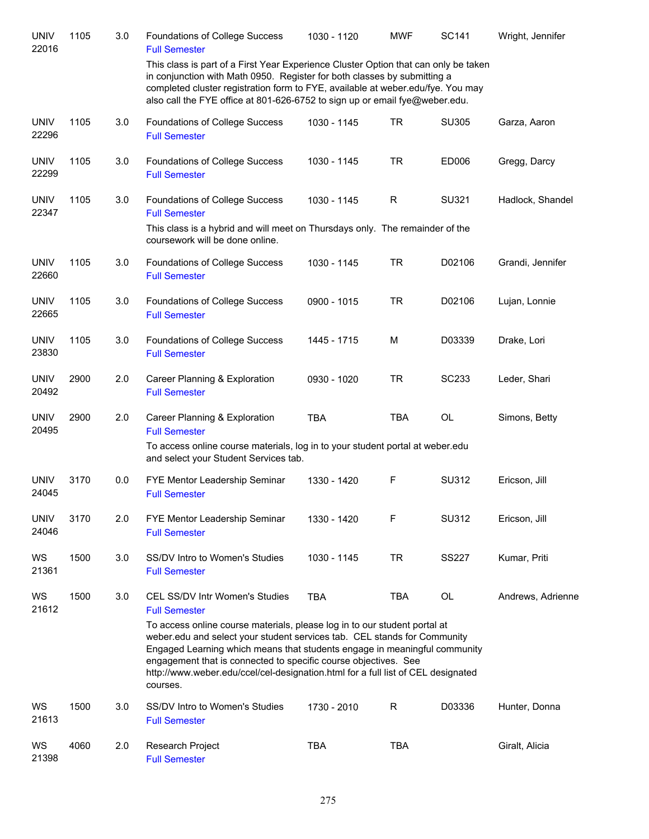| <b>UNIV</b><br>22016 | 1105 | 3.0 | Foundations of College Success<br><b>Full Semester</b>                                                                                                                                                                                                                                                                                                                                                | 1030 - 1120 | <b>MWF</b> | <b>SC141</b> | Wright, Jennifer  |
|----------------------|------|-----|-------------------------------------------------------------------------------------------------------------------------------------------------------------------------------------------------------------------------------------------------------------------------------------------------------------------------------------------------------------------------------------------------------|-------------|------------|--------------|-------------------|
|                      |      |     | This class is part of a First Year Experience Cluster Option that can only be taken<br>in conjunction with Math 0950. Register for both classes by submitting a<br>completed cluster registration form to FYE, available at weber.edu/fye. You may<br>also call the FYE office at 801-626-6752 to sign up or email fye@weber.edu.                                                                     |             |            |              |                   |
| <b>UNIV</b><br>22296 | 1105 | 3.0 | Foundations of College Success<br><b>Full Semester</b>                                                                                                                                                                                                                                                                                                                                                | 1030 - 1145 | <b>TR</b>  | SU305        | Garza, Aaron      |
| <b>UNIV</b><br>22299 | 1105 | 3.0 | Foundations of College Success<br><b>Full Semester</b>                                                                                                                                                                                                                                                                                                                                                | 1030 - 1145 | <b>TR</b>  | ED006        | Gregg, Darcy      |
| <b>UNIV</b><br>22347 | 1105 | 3.0 | Foundations of College Success<br><b>Full Semester</b>                                                                                                                                                                                                                                                                                                                                                | 1030 - 1145 | R          | SU321        | Hadlock, Shandel  |
|                      |      |     | This class is a hybrid and will meet on Thursdays only. The remainder of the<br>coursework will be done online.                                                                                                                                                                                                                                                                                       |             |            |              |                   |
| <b>UNIV</b><br>22660 | 1105 | 3.0 | Foundations of College Success<br><b>Full Semester</b>                                                                                                                                                                                                                                                                                                                                                | 1030 - 1145 | <b>TR</b>  | D02106       | Grandi, Jennifer  |
| <b>UNIV</b><br>22665 | 1105 | 3.0 | Foundations of College Success<br><b>Full Semester</b>                                                                                                                                                                                                                                                                                                                                                | 0900 - 1015 | <b>TR</b>  | D02106       | Lujan, Lonnie     |
| <b>UNIV</b><br>23830 | 1105 | 3.0 | Foundations of College Success<br><b>Full Semester</b>                                                                                                                                                                                                                                                                                                                                                | 1445 - 1715 | M          | D03339       | Drake, Lori       |
| <b>UNIV</b><br>20492 | 2900 | 2.0 | Career Planning & Exploration<br><b>Full Semester</b>                                                                                                                                                                                                                                                                                                                                                 | 0930 - 1020 | <b>TR</b>  | SC233        | Leder, Shari      |
| <b>UNIV</b><br>20495 | 2900 | 2.0 | Career Planning & Exploration<br><b>Full Semester</b>                                                                                                                                                                                                                                                                                                                                                 | <b>TBA</b>  | <b>TBA</b> | <b>OL</b>    | Simons, Betty     |
|                      |      |     | To access online course materials, log in to your student portal at weber.edu<br>and select your Student Services tab.                                                                                                                                                                                                                                                                                |             |            |              |                   |
| <b>UNIV</b><br>24045 | 3170 | 0.0 | FYE Mentor Leadership Seminar<br><b>Full Semester</b>                                                                                                                                                                                                                                                                                                                                                 | 1330 - 1420 | F          | SU312        | Ericson, Jill     |
| <b>UNIV</b><br>24046 | 3170 | 2.0 | FYE Mentor Leadership Seminar<br><b>Full Semester</b>                                                                                                                                                                                                                                                                                                                                                 | 1330 - 1420 | F          | SU312        | Ericson, Jill     |
| WS<br>21361          | 1500 | 3.0 | SS/DV Intro to Women's Studies<br><b>Full Semester</b>                                                                                                                                                                                                                                                                                                                                                | 1030 - 1145 | <b>TR</b>  | <b>SS227</b> | Kumar, Priti      |
| WS<br>21612          | 1500 | 3.0 | CEL SS/DV Intr Women's Studies<br><b>Full Semester</b>                                                                                                                                                                                                                                                                                                                                                | <b>TBA</b>  | <b>TBA</b> | OL           | Andrews, Adrienne |
|                      |      |     | To access online course materials, please log in to our student portal at<br>weber.edu and select your student services tab. CEL stands for Community<br>Engaged Learning which means that students engage in meaningful community<br>engagement that is connected to specific course objectives. See<br>http://www.weber.edu/ccel/cel-designation.html for a full list of CEL designated<br>courses. |             |            |              |                   |
| WS<br>21613          | 1500 | 3.0 | SS/DV Intro to Women's Studies<br><b>Full Semester</b>                                                                                                                                                                                                                                                                                                                                                | 1730 - 2010 | R          | D03336       | Hunter, Donna     |
| WS<br>21398          | 4060 | 2.0 | Research Project<br><b>Full Semester</b>                                                                                                                                                                                                                                                                                                                                                              | <b>TBA</b>  | <b>TBA</b> |              | Giralt, Alicia    |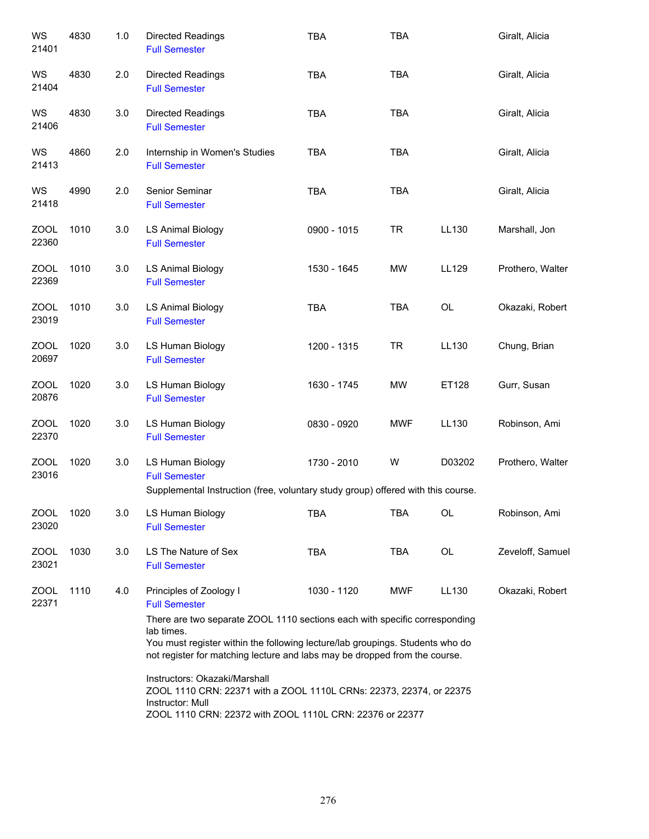| WS<br>21401          | 4830 | 1.0     | <b>Directed Readings</b><br><b>Full Semester</b>                                                                                                                                                                                                        | <b>TBA</b>  | <b>TBA</b> |        | Giralt, Alicia   |
|----------------------|------|---------|---------------------------------------------------------------------------------------------------------------------------------------------------------------------------------------------------------------------------------------------------------|-------------|------------|--------|------------------|
| WS<br>21404          | 4830 | 2.0     | <b>Directed Readings</b><br><b>Full Semester</b>                                                                                                                                                                                                        | <b>TBA</b>  | <b>TBA</b> |        | Giralt, Alicia   |
| WS<br>21406          | 4830 | 3.0     | <b>Directed Readings</b><br><b>Full Semester</b>                                                                                                                                                                                                        | <b>TBA</b>  | <b>TBA</b> |        | Giralt, Alicia   |
| WS<br>21413          | 4860 | 2.0     | Internship in Women's Studies<br><b>Full Semester</b>                                                                                                                                                                                                   | <b>TBA</b>  | <b>TBA</b> |        | Giralt, Alicia   |
| WS<br>21418          | 4990 | 2.0     | Senior Seminar<br><b>Full Semester</b>                                                                                                                                                                                                                  | <b>TBA</b>  | <b>TBA</b> |        | Giralt, Alicia   |
| <b>ZOOL</b><br>22360 | 1010 | 3.0     | <b>LS Animal Biology</b><br><b>Full Semester</b>                                                                                                                                                                                                        | 0900 - 1015 | <b>TR</b>  | LL130  | Marshall, Jon    |
| <b>ZOOL</b><br>22369 | 1010 | 3.0     | <b>LS Animal Biology</b><br><b>Full Semester</b>                                                                                                                                                                                                        | 1530 - 1645 | MW         | LL129  | Prothero, Walter |
| <b>ZOOL</b><br>23019 | 1010 | 3.0     | <b>LS Animal Biology</b><br><b>Full Semester</b>                                                                                                                                                                                                        | <b>TBA</b>  | <b>TBA</b> | OL     | Okazaki, Robert  |
| <b>ZOOL</b><br>20697 | 1020 | 3.0     | LS Human Biology<br><b>Full Semester</b>                                                                                                                                                                                                                | 1200 - 1315 | <b>TR</b>  | LL130  | Chung, Brian     |
| <b>ZOOL</b><br>20876 | 1020 | 3.0     | LS Human Biology<br><b>Full Semester</b>                                                                                                                                                                                                                | 1630 - 1745 | <b>MW</b>  | ET128  | Gurr, Susan      |
| <b>ZOOL</b><br>22370 | 1020 | 3.0     | LS Human Biology<br><b>Full Semester</b>                                                                                                                                                                                                                | 0830 - 0920 | <b>MWF</b> | LL130  | Robinson, Ami    |
| <b>ZOOL</b><br>23016 | 1020 | $3.0\,$ | LS Human Biology<br><b>Full Semester</b><br>Supplemental Instruction (free, voluntary study group) offered with this course.                                                                                                                            | 1730 - 2010 | W          | D03202 | Prothero, Walter |
| ZOOL<br>23020        | 1020 | 3.0     | LS Human Biology<br><b>Full Semester</b>                                                                                                                                                                                                                | <b>TBA</b>  | TBA        | OL     | Robinson, Ami    |
| ZOOL<br>23021        | 1030 | 3.0     | LS The Nature of Sex<br><b>Full Semester</b>                                                                                                                                                                                                            | <b>TBA</b>  | TBA        | OL     | Zeveloff, Samuel |
| ZOOL<br>22371        | 1110 | 4.0     | Principles of Zoology I<br><b>Full Semester</b>                                                                                                                                                                                                         | 1030 - 1120 | MWF        | LL130  | Okazaki, Robert  |
|                      |      |         | There are two separate ZOOL 1110 sections each with specific corresponding<br>lab times.<br>You must register within the following lecture/lab groupings. Students who do<br>not register for matching lecture and labs may be dropped from the course. |             |            |        |                  |
|                      |      |         | Instructors: Okazaki/Marshall<br>ZOOL 1110 CRN: 22371 with a ZOOL 1110L CRNs: 22373, 22374, or 22375<br>Instructor: Mull<br>ZOOL 1110 CRN: 22372 with ZOOL 1110L CRN: 22376 or 22377                                                                    |             |            |        |                  |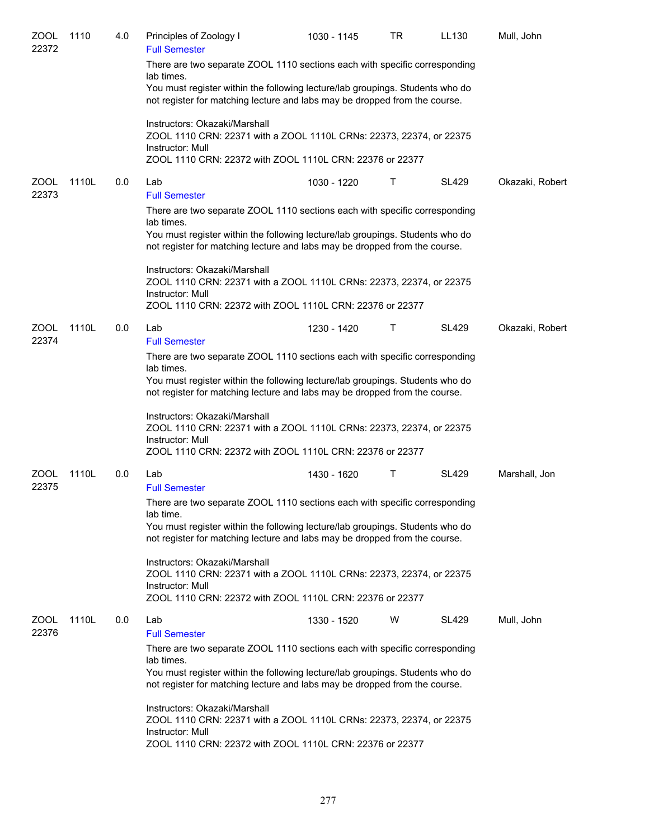| <b>ZOOL</b><br>22372 | 1110  | 4.0 | Principles of Zoology I<br><b>Full Semester</b>                                                                                                                                                                                                                                 | 1030 - 1145 | TR | LL130        | Mull, John      |
|----------------------|-------|-----|---------------------------------------------------------------------------------------------------------------------------------------------------------------------------------------------------------------------------------------------------------------------------------|-------------|----|--------------|-----------------|
|                      |       |     | There are two separate ZOOL 1110 sections each with specific corresponding<br>lab times.<br>You must register within the following lecture/lab groupings. Students who do<br>not register for matching lecture and labs may be dropped from the course.                         |             |    |              |                 |
|                      |       |     | Instructors: Okazaki/Marshall<br>ZOOL 1110 CRN: 22371 with a ZOOL 1110L CRNs: 22373, 22374, or 22375<br>Instructor: Mull<br>ZOOL 1110 CRN: 22372 with ZOOL 1110L CRN: 22376 or 22377                                                                                            |             |    |              |                 |
| <b>ZOOL</b><br>22373 | 1110L | 0.0 | Lab<br><b>Full Semester</b>                                                                                                                                                                                                                                                     | 1030 - 1220 | Τ  | <b>SL429</b> | Okazaki, Robert |
|                      |       |     | There are two separate ZOOL 1110 sections each with specific corresponding<br>lab times.<br>You must register within the following lecture/lab groupings. Students who do<br>not register for matching lecture and labs may be dropped from the course.                         |             |    |              |                 |
|                      |       |     | Instructors: Okazaki/Marshall<br>ZOOL 1110 CRN: 22371 with a ZOOL 1110L CRNs: 22373, 22374, or 22375<br>Instructor: Mull<br>ZOOL 1110 CRN: 22372 with ZOOL 1110L CRN: 22376 or 22377                                                                                            |             |    |              |                 |
| <b>ZOOL</b>          | 1110L | 0.0 | Lab                                                                                                                                                                                                                                                                             | 1230 - 1420 | Τ  | <b>SL429</b> | Okazaki, Robert |
| 22374                |       |     | <b>Full Semester</b><br>There are two separate ZOOL 1110 sections each with specific corresponding<br>lab times.<br>You must register within the following lecture/lab groupings. Students who do<br>not register for matching lecture and labs may be dropped from the course. |             |    |              |                 |
|                      |       |     | Instructors: Okazaki/Marshall<br>ZOOL 1110 CRN: 22371 with a ZOOL 1110L CRNs: 22373, 22374, or 22375<br>Instructor: Mull<br>ZOOL 1110 CRN: 22372 with ZOOL 1110L CRN: 22376 or 22377                                                                                            |             |    |              |                 |
| <b>ZOOL</b><br>22375 | 1110L | 0.0 | Lab<br><b>Full Semester</b>                                                                                                                                                                                                                                                     | 1430 - 1620 | Τ  | <b>SL429</b> | Marshall, Jon   |
|                      |       |     | There are two separate ZOOL 1110 sections each with specific corresponding<br>lab time.<br>You must register within the following lecture/lab groupings. Students who do<br>not register for matching lecture and labs may be dropped from the course.                          |             |    |              |                 |
|                      |       |     | Instructors: Okazaki/Marshall<br>ZOOL 1110 CRN: 22371 with a ZOOL 1110L CRNs: 22373, 22374, or 22375<br>Instructor: Mull<br>ZOOL 1110 CRN: 22372 with ZOOL 1110L CRN: 22376 or 22377                                                                                            |             |    |              |                 |
| <b>ZOOL</b><br>22376 | 1110L | 0.0 | Lab                                                                                                                                                                                                                                                                             | 1330 - 1520 | W  | <b>SL429</b> | Mull, John      |
|                      |       |     | <b>Full Semester</b><br>There are two separate ZOOL 1110 sections each with specific corresponding<br>lab times.<br>You must register within the following lecture/lab groupings. Students who do<br>not register for matching lecture and labs may be dropped from the course. |             |    |              |                 |
|                      |       |     | Instructors: Okazaki/Marshall<br>ZOOL 1110 CRN: 22371 with a ZOOL 1110L CRNs: 22373, 22374, or 22375<br>Instructor: Mull<br>ZOOL 1110 CRN: 22372 with ZOOL 1110L CRN: 22376 or 22377                                                                                            |             |    |              |                 |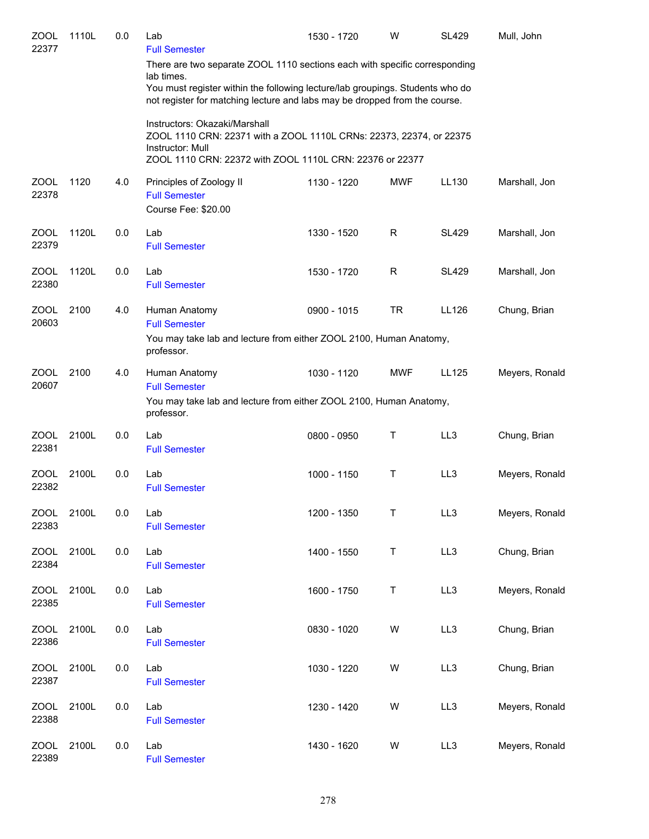| ZOOL<br>22377        | 1110L | 0.0 | Lab<br><b>Full Semester</b>                                                                                                                                                                                                                             | 1530 - 1720 | W          | <b>SL429</b> | Mull, John     |
|----------------------|-------|-----|---------------------------------------------------------------------------------------------------------------------------------------------------------------------------------------------------------------------------------------------------------|-------------|------------|--------------|----------------|
|                      |       |     | There are two separate ZOOL 1110 sections each with specific corresponding<br>lab times.<br>You must register within the following lecture/lab groupings. Students who do<br>not register for matching lecture and labs may be dropped from the course. |             |            |              |                |
|                      |       |     | Instructors: Okazaki/Marshall<br>ZOOL 1110 CRN: 22371 with a ZOOL 1110L CRNs: 22373, 22374, or 22375<br>Instructor: Mull<br>ZOOL 1110 CRN: 22372 with ZOOL 1110L CRN: 22376 or 22377                                                                    |             |            |              |                |
| <b>ZOOL</b><br>22378 | 1120  | 4.0 | Principles of Zoology II<br><b>Full Semester</b><br>Course Fee: \$20.00                                                                                                                                                                                 | 1130 - 1220 | <b>MWF</b> | LL130        | Marshall, Jon  |
| <b>ZOOL</b><br>22379 | 1120L | 0.0 | Lab<br><b>Full Semester</b>                                                                                                                                                                                                                             | 1330 - 1520 | R          | <b>SL429</b> | Marshall, Jon  |
| <b>ZOOL</b><br>22380 | 1120L | 0.0 | Lab<br><b>Full Semester</b>                                                                                                                                                                                                                             | 1530 - 1720 | R          | <b>SL429</b> | Marshall, Jon  |
| <b>ZOOL</b><br>20603 | 2100  | 4.0 | Human Anatomy<br><b>Full Semester</b><br>You may take lab and lecture from either ZOOL 2100, Human Anatomy,                                                                                                                                             | 0900 - 1015 | TR.        | LL126        | Chung, Brian   |
| <b>ZOOL</b><br>20607 | 2100  | 4.0 | professor.<br>Human Anatomy<br><b>Full Semester</b><br>You may take lab and lecture from either ZOOL 2100, Human Anatomy,<br>professor.                                                                                                                 | 1030 - 1120 | <b>MWF</b> | LL125        | Meyers, Ronald |
| <b>ZOOL</b><br>22381 | 2100L | 0.0 | Lab<br><b>Full Semester</b>                                                                                                                                                                                                                             | 0800 - 0950 | Τ          | LL3          | Chung, Brian   |
| <b>ZOOL</b><br>22382 | 2100L | 0.0 | Lab<br><b>Full Semester</b>                                                                                                                                                                                                                             | 1000 - 1150 | Τ          | LL3          | Meyers, Ronald |
| <b>ZOOL</b><br>22383 | 2100L | 0.0 | Lab<br><b>Full Semester</b>                                                                                                                                                                                                                             | 1200 - 1350 | Τ          | LL3          | Meyers, Ronald |
| <b>ZOOL</b><br>22384 | 2100L | 0.0 | Lab<br><b>Full Semester</b>                                                                                                                                                                                                                             | 1400 - 1550 | T          | LL3          | Chung, Brian   |
| <b>ZOOL</b><br>22385 | 2100L | 0.0 | Lab<br><b>Full Semester</b>                                                                                                                                                                                                                             | 1600 - 1750 | Τ          | LL3          | Meyers, Ronald |
| <b>ZOOL</b><br>22386 | 2100L | 0.0 | Lab<br><b>Full Semester</b>                                                                                                                                                                                                                             | 0830 - 1020 | W          | LL3          | Chung, Brian   |
| <b>ZOOL</b><br>22387 | 2100L | 0.0 | Lab<br><b>Full Semester</b>                                                                                                                                                                                                                             | 1030 - 1220 | W          | LL3          | Chung, Brian   |
| <b>ZOOL</b><br>22388 | 2100L | 0.0 | Lab<br><b>Full Semester</b>                                                                                                                                                                                                                             | 1230 - 1420 | W          | LL3          | Meyers, Ronald |
| <b>ZOOL</b><br>22389 | 2100L | 0.0 | Lab<br><b>Full Semester</b>                                                                                                                                                                                                                             | 1430 - 1620 | W          | LL3          | Meyers, Ronald |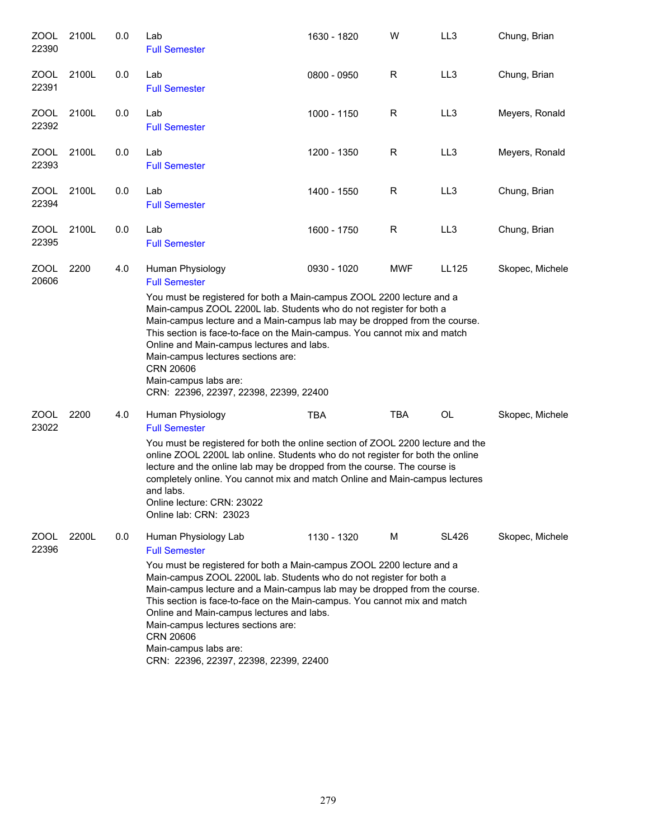| ZOOL<br>22390        | 2100L | 0.0 | Lab<br><b>Full Semester</b>                                                                                                                                                                                                                                                                                                                                                                                                                                                                                                      | 1630 - 1820 | W          | LL <sub>3</sub> | Chung, Brian    |
|----------------------|-------|-----|----------------------------------------------------------------------------------------------------------------------------------------------------------------------------------------------------------------------------------------------------------------------------------------------------------------------------------------------------------------------------------------------------------------------------------------------------------------------------------------------------------------------------------|-------------|------------|-----------------|-----------------|
| ZOOL<br>22391        | 2100L | 0.0 | Lab<br><b>Full Semester</b>                                                                                                                                                                                                                                                                                                                                                                                                                                                                                                      | 0800 - 0950 | R          | LL3             | Chung, Brian    |
| <b>ZOOL</b><br>22392 | 2100L | 0.0 | Lab<br><b>Full Semester</b>                                                                                                                                                                                                                                                                                                                                                                                                                                                                                                      | 1000 - 1150 | R          | LL <sub>3</sub> | Meyers, Ronald  |
| ZOOL<br>22393        | 2100L | 0.0 | Lab<br><b>Full Semester</b>                                                                                                                                                                                                                                                                                                                                                                                                                                                                                                      | 1200 - 1350 | R          | LL3             | Meyers, Ronald  |
| <b>ZOOL</b><br>22394 | 2100L | 0.0 | Lab<br><b>Full Semester</b>                                                                                                                                                                                                                                                                                                                                                                                                                                                                                                      | 1400 - 1550 | R          | LL3             | Chung, Brian    |
| ZOOL<br>22395        | 2100L | 0.0 | Lab<br><b>Full Semester</b>                                                                                                                                                                                                                                                                                                                                                                                                                                                                                                      | 1600 - 1750 | R          | LL3             | Chung, Brian    |
| <b>ZOOL</b><br>20606 | 2200  | 4.0 | Human Physiology<br><b>Full Semester</b><br>You must be registered for both a Main-campus ZOOL 2200 lecture and a<br>Main-campus ZOOL 2200L lab. Students who do not register for both a<br>Main-campus lecture and a Main-campus lab may be dropped from the course.<br>This section is face-to-face on the Main-campus. You cannot mix and match<br>Online and Main-campus lectures and labs.<br>Main-campus lectures sections are:<br><b>CRN 20606</b><br>Main-campus labs are:<br>CRN: 22396, 22397, 22398, 22399, 22400     | 0930 - 1020 | <b>MWF</b> | LL125           | Skopec, Michele |
| ZOOL<br>23022        | 2200  | 4.0 | Human Physiology<br><b>Full Semester</b><br>You must be registered for both the online section of ZOOL 2200 lecture and the<br>online ZOOL 2200L lab online. Students who do not register for both the online<br>lecture and the online lab may be dropped from the course. The course is<br>completely online. You cannot mix and match Online and Main-campus lectures<br>and labs.<br>Online lecture: CRN: 23022<br>Online lab: CRN: 23023                                                                                    | <b>TBA</b>  | <b>TBA</b> | OL              | Skopec, Michele |
| ZOOL<br>22396        | 2200L | 0.0 | Human Physiology Lab<br><b>Full Semester</b><br>You must be registered for both a Main-campus ZOOL 2200 lecture and a<br>Main-campus ZOOL 2200L lab. Students who do not register for both a<br>Main-campus lecture and a Main-campus lab may be dropped from the course.<br>This section is face-to-face on the Main-campus. You cannot mix and match<br>Online and Main-campus lectures and labs.<br>Main-campus lectures sections are:<br><b>CRN 20606</b><br>Main-campus labs are:<br>CRN: 22396, 22397, 22398, 22399, 22400 | 1130 - 1320 | M          | <b>SL426</b>    | Skopec, Michele |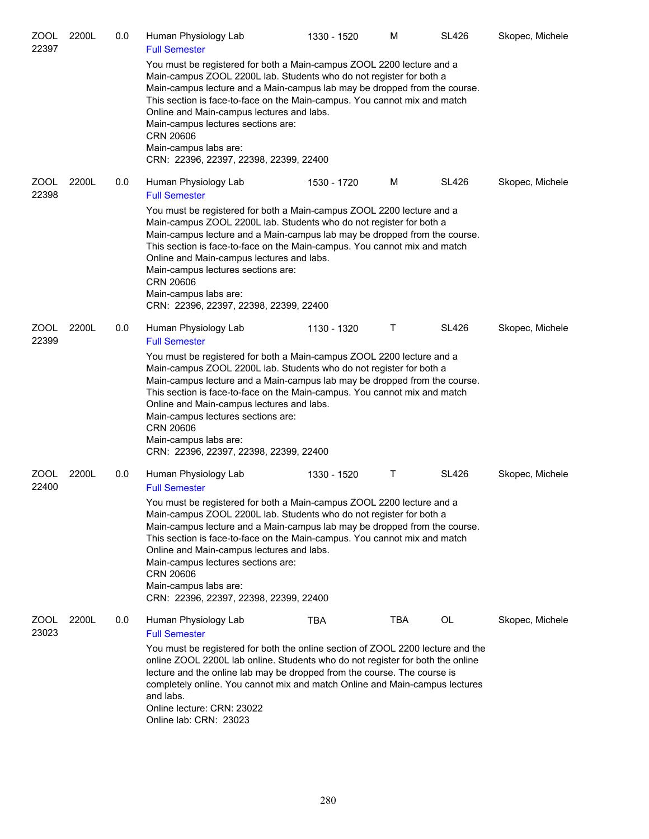| <b>ZOOL</b><br>22397 | 2200L | 0.0 | Human Physiology Lab<br><b>Full Semester</b>                                                                                                                                                                                                                                                                                                                                                                                                                                     | 1330 - 1520 | M          | <b>SL426</b> | Skopec, Michele |
|----------------------|-------|-----|----------------------------------------------------------------------------------------------------------------------------------------------------------------------------------------------------------------------------------------------------------------------------------------------------------------------------------------------------------------------------------------------------------------------------------------------------------------------------------|-------------|------------|--------------|-----------------|
|                      |       |     | You must be registered for both a Main-campus ZOOL 2200 lecture and a<br>Main-campus ZOOL 2200L lab. Students who do not register for both a<br>Main-campus lecture and a Main-campus lab may be dropped from the course.<br>This section is face-to-face on the Main-campus. You cannot mix and match<br>Online and Main-campus lectures and labs.<br>Main-campus lectures sections are:<br><b>CRN 20606</b><br>Main-campus labs are:<br>CRN: 22396, 22397, 22398, 22399, 22400 |             |            |              |                 |
| <b>ZOOL</b><br>22398 | 2200L | 0.0 | Human Physiology Lab<br><b>Full Semester</b>                                                                                                                                                                                                                                                                                                                                                                                                                                     | 1530 - 1720 | м          | <b>SL426</b> | Skopec, Michele |
|                      |       |     | You must be registered for both a Main-campus ZOOL 2200 lecture and a<br>Main-campus ZOOL 2200L lab. Students who do not register for both a<br>Main-campus lecture and a Main-campus lab may be dropped from the course.<br>This section is face-to-face on the Main-campus. You cannot mix and match<br>Online and Main-campus lectures and labs.<br>Main-campus lectures sections are:<br><b>CRN 20606</b><br>Main-campus labs are:<br>CRN: 22396, 22397, 22398, 22399, 22400 |             |            |              |                 |
| <b>ZOOL</b><br>22399 | 2200L | 0.0 | Human Physiology Lab<br><b>Full Semester</b>                                                                                                                                                                                                                                                                                                                                                                                                                                     | 1130 - 1320 | Τ          | <b>SL426</b> | Skopec, Michele |
|                      |       |     | You must be registered for both a Main-campus ZOOL 2200 lecture and a<br>Main-campus ZOOL 2200L lab. Students who do not register for both a<br>Main-campus lecture and a Main-campus lab may be dropped from the course.<br>This section is face-to-face on the Main-campus. You cannot mix and match<br>Online and Main-campus lectures and labs.<br>Main-campus lectures sections are:<br><b>CRN 20606</b><br>Main-campus labs are:<br>CRN: 22396, 22397, 22398, 22399, 22400 |             |            |              |                 |
| ZOOL<br>22400        | 2200L | 0.0 | Human Physiology Lab<br><b>Full Semester</b>                                                                                                                                                                                                                                                                                                                                                                                                                                     | 1330 - 1520 | Τ          | <b>SL426</b> | Skopec, Michele |
|                      |       |     | You must be registered for both a Main-campus ZOOL 2200 lecture and a<br>Main-campus ZOOL 2200L lab. Students who do not register for both a<br>Main-campus lecture and a Main-campus lab may be dropped from the course.<br>This section is face-to-face on the Main-campus. You cannot mix and match<br>Online and Main-campus lectures and labs.<br>Main-campus lectures sections are:<br><b>CRN 20606</b><br>Main-campus labs are:<br>CRN: 22396, 22397, 22398, 22399, 22400 |             |            |              |                 |
| ZOOL<br>23023        | 2200L | 0.0 | Human Physiology Lab<br><b>Full Semester</b>                                                                                                                                                                                                                                                                                                                                                                                                                                     | TBA         | <b>TBA</b> | OL           | Skopec, Michele |
|                      |       |     | You must be registered for both the online section of ZOOL 2200 lecture and the<br>online ZOOL 2200L lab online. Students who do not register for both the online<br>lecture and the online lab may be dropped from the course. The course is<br>completely online. You cannot mix and match Online and Main-campus lectures<br>and labs.<br>Online lecture: CRN: 23022<br>Online lab: CRN: 23023                                                                                |             |            |              |                 |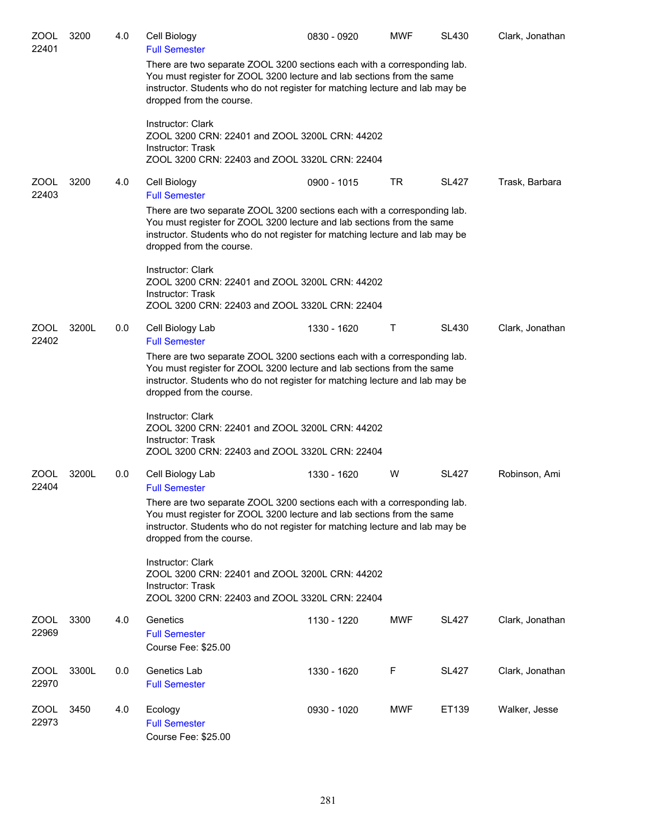| <b>ZOOL</b><br>22401 | 3200  | 4.0 | Cell Biology<br><b>Full Semester</b>                                                                                                                                                                                                                                                   | 0830 - 0920 | <b>MWF</b>   | <b>SL430</b> | Clark, Jonathan |  |
|----------------------|-------|-----|----------------------------------------------------------------------------------------------------------------------------------------------------------------------------------------------------------------------------------------------------------------------------------------|-------------|--------------|--------------|-----------------|--|
|                      |       |     | There are two separate ZOOL 3200 sections each with a corresponding lab.<br>You must register for ZOOL 3200 lecture and lab sections from the same<br>instructor. Students who do not register for matching lecture and lab may be<br>dropped from the course.                         |             |              |              |                 |  |
|                      |       |     | Instructor: Clark<br>ZOOL 3200 CRN: 22401 and ZOOL 3200L CRN: 44202<br><b>Instructor: Trask</b><br>ZOOL 3200 CRN: 22403 and ZOOL 3320L CRN: 22404                                                                                                                                      |             |              |              |                 |  |
| ZOOL<br>22403        | 3200  | 4.0 | Cell Biology<br><b>Full Semester</b>                                                                                                                                                                                                                                                   | 0900 - 1015 | TR.          | <b>SL427</b> | Trask, Barbara  |  |
|                      |       |     | There are two separate ZOOL 3200 sections each with a corresponding lab.<br>You must register for ZOOL 3200 lecture and lab sections from the same<br>instructor. Students who do not register for matching lecture and lab may be<br>dropped from the course.                         |             |              |              |                 |  |
|                      |       |     | Instructor: Clark<br>ZOOL 3200 CRN: 22401 and ZOOL 3200L CRN: 44202<br>Instructor: Trask<br>ZOOL 3200 CRN: 22403 and ZOOL 3320L CRN: 22404                                                                                                                                             |             |              |              |                 |  |
| ZOOL<br>22402        | 3200L | 0.0 | Cell Biology Lab                                                                                                                                                                                                                                                                       | 1330 - 1620 | $\mathsf{T}$ | <b>SL430</b> | Clark, Jonathan |  |
|                      |       |     | <b>Full Semester</b><br>There are two separate ZOOL 3200 sections each with a corresponding lab.<br>You must register for ZOOL 3200 lecture and lab sections from the same<br>instructor. Students who do not register for matching lecture and lab may be<br>dropped from the course. |             |              |              |                 |  |
|                      |       |     | Instructor: Clark<br>ZOOL 3200 CRN: 22401 and ZOOL 3200L CRN: 44202<br>Instructor: Trask<br>ZOOL 3200 CRN: 22403 and ZOOL 3320L CRN: 22404                                                                                                                                             |             |              |              |                 |  |
| ZOOL<br>22404        | 3200L | 0.0 | Cell Biology Lab<br><b>Full Semester</b>                                                                                                                                                                                                                                               | 1330 - 1620 | W            | <b>SL427</b> | Robinson, Ami   |  |
|                      |       |     | There are two separate ZOOL 3200 sections each with a corresponding lab.<br>You must register for ZOOL 3200 lecture and lab sections from the same<br>instructor. Students who do not register for matching lecture and lab may be<br>dropped from the course.                         |             |              |              |                 |  |
|                      |       |     | Instructor: Clark<br>ZOOL 3200 CRN: 22401 and ZOOL 3200L CRN: 44202<br>Instructor: Trask<br>ZOOL 3200 CRN: 22403 and ZOOL 3320L CRN: 22404                                                                                                                                             |             |              |              |                 |  |
| ZOOL                 | 3300  | 4.0 | Genetics                                                                                                                                                                                                                                                                               | 1130 - 1220 | MWF          | <b>SL427</b> | Clark, Jonathan |  |
| 22969                |       |     | <b>Full Semester</b><br>Course Fee: \$25.00                                                                                                                                                                                                                                            |             |              |              |                 |  |
| <b>ZOOL</b><br>22970 | 3300L | 0.0 | Genetics Lab<br><b>Full Semester</b>                                                                                                                                                                                                                                                   | 1330 - 1620 | F            | <b>SL427</b> | Clark, Jonathan |  |
| <b>ZOOL</b><br>22973 | 3450  | 4.0 | Ecology<br><b>Full Semester</b><br>Course Fee: \$25.00                                                                                                                                                                                                                                 | 0930 - 1020 | <b>MWF</b>   | ET139        | Walker, Jesse   |  |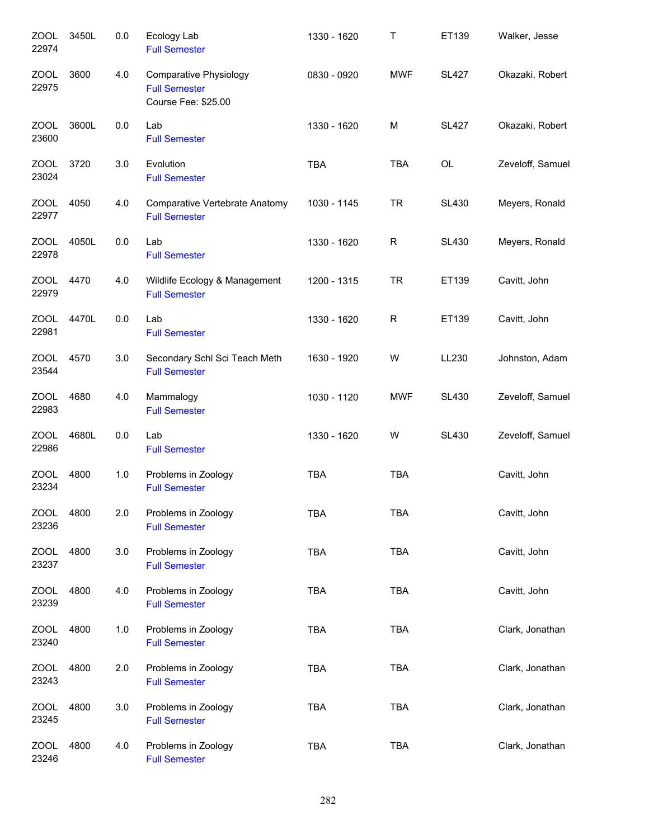| <b>ZOOL</b><br>22974 | 3450L | 0.0 | Ecology Lab<br><b>Full Semester</b>                                          | 1330 - 1620 | Τ            | ET139        | Walker, Jesse    |
|----------------------|-------|-----|------------------------------------------------------------------------------|-------------|--------------|--------------|------------------|
| <b>ZOOL</b><br>22975 | 3600  | 4.0 | <b>Comparative Physiology</b><br><b>Full Semester</b><br>Course Fee: \$25.00 | 0830 - 0920 | <b>MWF</b>   | <b>SL427</b> | Okazaki, Robert  |
| <b>ZOOL</b><br>23600 | 3600L | 0.0 | Lab<br><b>Full Semester</b>                                                  | 1330 - 1620 | M            | <b>SL427</b> | Okazaki, Robert  |
| ZOOL<br>23024        | 3720  | 3.0 | Evolution<br><b>Full Semester</b>                                            | <b>TBA</b>  | <b>TBA</b>   | OL           | Zeveloff, Samuel |
| ZOOL<br>22977        | 4050  | 4.0 | Comparative Vertebrate Anatomy<br><b>Full Semester</b>                       | 1030 - 1145 | <b>TR</b>    | <b>SL430</b> | Meyers, Ronald   |
| <b>ZOOL</b><br>22978 | 4050L | 0.0 | Lab<br><b>Full Semester</b>                                                  | 1330 - 1620 | $\mathsf{R}$ | <b>SL430</b> | Meyers, Ronald   |
| <b>ZOOL</b><br>22979 | 4470  | 4.0 | Wildlife Ecology & Management<br><b>Full Semester</b>                        | 1200 - 1315 | <b>TR</b>    | ET139        | Cavitt, John     |
| <b>ZOOL</b><br>22981 | 4470L | 0.0 | Lab<br><b>Full Semester</b>                                                  | 1330 - 1620 | $\mathsf{R}$ | ET139        | Cavitt, John     |
| <b>ZOOL</b><br>23544 | 4570  | 3.0 | Secondary Schl Sci Teach Meth<br><b>Full Semester</b>                        | 1630 - 1920 | W            | LL230        | Johnston, Adam   |
| <b>ZOOL</b><br>22983 | 4680  | 4.0 | Mammalogy<br><b>Full Semester</b>                                            | 1030 - 1120 | <b>MWF</b>   | <b>SL430</b> | Zeveloff, Samuel |
| <b>ZOOL</b><br>22986 | 4680L | 0.0 | Lab<br><b>Full Semester</b>                                                  | 1330 - 1620 | W            | <b>SL430</b> | Zeveloff, Samuel |
| <b>ZOOL</b><br>23234 | 4800  | 1.0 | Problems in Zoology<br><b>Full Semester</b>                                  | <b>TBA</b>  | <b>TBA</b>   |              | Cavitt, John     |
| <b>ZOOL</b><br>23236 | 4800  | 2.0 | Problems in Zoology<br><b>Full Semester</b>                                  | <b>TBA</b>  | <b>TBA</b>   |              | Cavitt, John     |
| ZOOL<br>23237        | 4800  | 3.0 | Problems in Zoology<br><b>Full Semester</b>                                  | <b>TBA</b>  | <b>TBA</b>   |              | Cavitt, John     |
| <b>ZOOL</b><br>23239 | 4800  | 4.0 | Problems in Zoology<br><b>Full Semester</b>                                  | <b>TBA</b>  | <b>TBA</b>   |              | Cavitt, John     |
| <b>ZOOL</b><br>23240 | 4800  | 1.0 | Problems in Zoology<br><b>Full Semester</b>                                  | <b>TBA</b>  | <b>TBA</b>   |              | Clark, Jonathan  |
| <b>ZOOL</b><br>23243 | 4800  | 2.0 | Problems in Zoology<br><b>Full Semester</b>                                  | <b>TBA</b>  | <b>TBA</b>   |              | Clark, Jonathan  |
| <b>ZOOL</b><br>23245 | 4800  | 3.0 | Problems in Zoology<br><b>Full Semester</b>                                  | <b>TBA</b>  | <b>TBA</b>   |              | Clark, Jonathan  |
| <b>ZOOL</b><br>23246 | 4800  | 4.0 | Problems in Zoology<br><b>Full Semester</b>                                  | <b>TBA</b>  | <b>TBA</b>   |              | Clark, Jonathan  |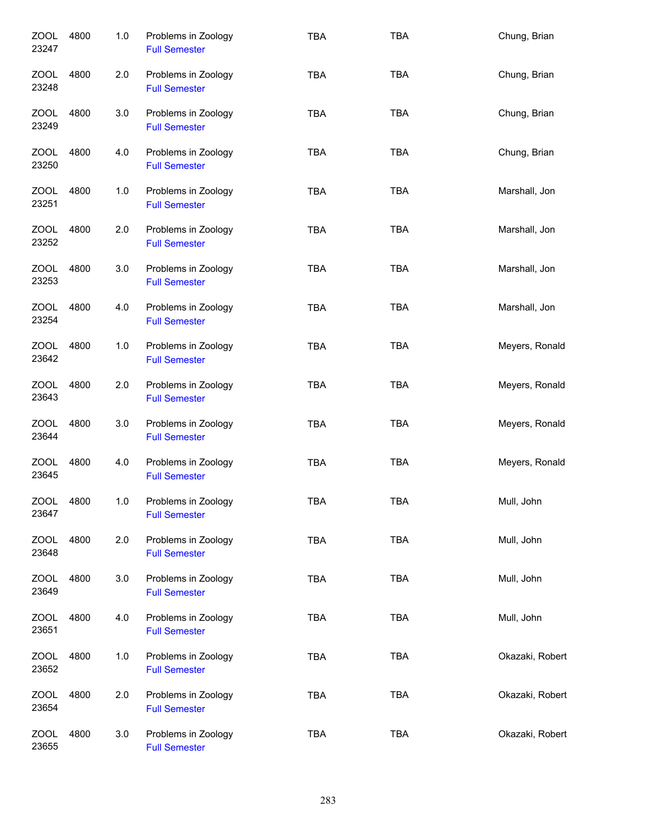| <b>ZOOL</b><br>23247 | 4800 | 1.0 | Problems in Zoology<br><b>Full Semester</b> | <b>TBA</b> | <b>TBA</b> | Chung, Brian    |
|----------------------|------|-----|---------------------------------------------|------------|------------|-----------------|
| ZOOL<br>23248        | 4800 | 2.0 | Problems in Zoology<br><b>Full Semester</b> | <b>TBA</b> | <b>TBA</b> | Chung, Brian    |
| ZOOL<br>23249        | 4800 | 3.0 | Problems in Zoology<br><b>Full Semester</b> | <b>TBA</b> | <b>TBA</b> | Chung, Brian    |
| ZOOL<br>23250        | 4800 | 4.0 | Problems in Zoology<br><b>Full Semester</b> | <b>TBA</b> | <b>TBA</b> | Chung, Brian    |
| ZOOL<br>23251        | 4800 | 1.0 | Problems in Zoology<br><b>Full Semester</b> | <b>TBA</b> | <b>TBA</b> | Marshall, Jon   |
| <b>ZOOL</b><br>23252 | 4800 | 2.0 | Problems in Zoology<br><b>Full Semester</b> | <b>TBA</b> | <b>TBA</b> | Marshall, Jon   |
| <b>ZOOL</b><br>23253 | 4800 | 3.0 | Problems in Zoology<br><b>Full Semester</b> | <b>TBA</b> | <b>TBA</b> | Marshall, Jon   |
| <b>ZOOL</b><br>23254 | 4800 | 4.0 | Problems in Zoology<br><b>Full Semester</b> | <b>TBA</b> | <b>TBA</b> | Marshall, Jon   |
| ZOOL<br>23642        | 4800 | 1.0 | Problems in Zoology<br><b>Full Semester</b> | <b>TBA</b> | <b>TBA</b> | Meyers, Ronald  |
| <b>ZOOL</b><br>23643 | 4800 | 2.0 | Problems in Zoology<br><b>Full Semester</b> | <b>TBA</b> | <b>TBA</b> | Meyers, Ronald  |
| <b>ZOOL</b><br>23644 | 4800 | 3.0 | Problems in Zoology<br><b>Full Semester</b> | <b>TBA</b> | <b>TBA</b> | Meyers, Ronald  |
| <b>ZOOL</b><br>23645 | 4800 | 4.0 | Problems in Zoology<br><b>Full Semester</b> | <b>TBA</b> | <b>TBA</b> | Meyers, Ronald  |
| ZOOL<br>23647        | 4800 | 1.0 | Problems in Zoology<br><b>Full Semester</b> | TBA        | TBA        | Mull, John      |
| <b>ZOOL</b><br>23648 | 4800 | 2.0 | Problems in Zoology<br><b>Full Semester</b> | <b>TBA</b> | TBA        | Mull, John      |
| <b>ZOOL</b><br>23649 | 4800 | 3.0 | Problems in Zoology<br><b>Full Semester</b> | <b>TBA</b> | <b>TBA</b> | Mull, John      |
| <b>ZOOL</b><br>23651 | 4800 | 4.0 | Problems in Zoology<br><b>Full Semester</b> | <b>TBA</b> | TBA        | Mull, John      |
| <b>ZOOL</b><br>23652 | 4800 | 1.0 | Problems in Zoology<br><b>Full Semester</b> | <b>TBA</b> | <b>TBA</b> | Okazaki, Robert |
| <b>ZOOL</b><br>23654 | 4800 | 2.0 | Problems in Zoology<br><b>Full Semester</b> | <b>TBA</b> | <b>TBA</b> | Okazaki, Robert |
| <b>ZOOL</b><br>23655 | 4800 | 3.0 | Problems in Zoology<br><b>Full Semester</b> | <b>TBA</b> | <b>TBA</b> | Okazaki, Robert |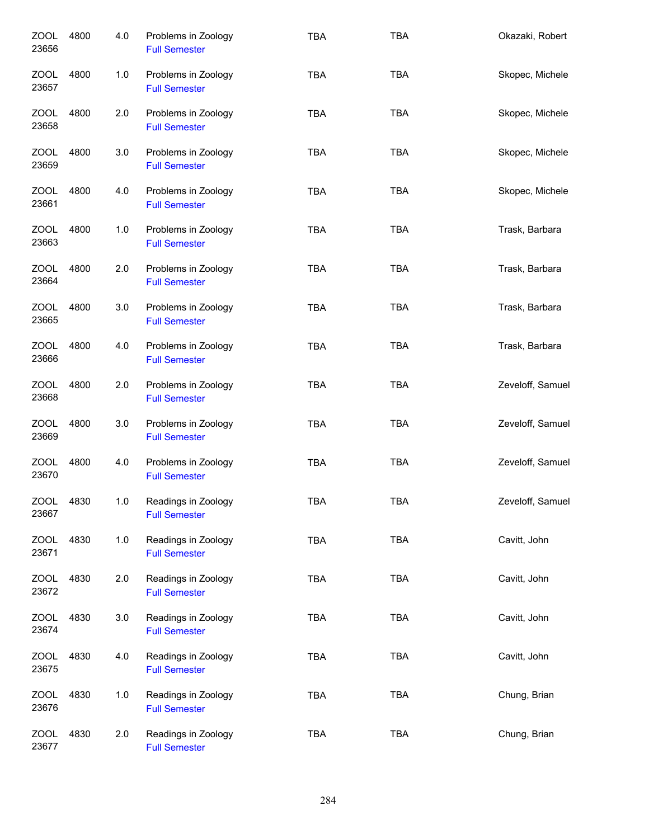| ZOOL<br>23656        | 4800 | 4.0 | Problems in Zoology<br><b>Full Semester</b> | <b>TBA</b> | <b>TBA</b> | Okazaki, Robert  |
|----------------------|------|-----|---------------------------------------------|------------|------------|------------------|
| ZOOL<br>23657        | 4800 | 1.0 | Problems in Zoology<br><b>Full Semester</b> | <b>TBA</b> | <b>TBA</b> | Skopec, Michele  |
| ZOOL<br>23658        | 4800 | 2.0 | Problems in Zoology<br><b>Full Semester</b> | <b>TBA</b> | <b>TBA</b> | Skopec, Michele  |
| ZOOL<br>23659        | 4800 | 3.0 | Problems in Zoology<br><b>Full Semester</b> | <b>TBA</b> | <b>TBA</b> | Skopec, Michele  |
| ZOOL<br>23661        | 4800 | 4.0 | Problems in Zoology<br><b>Full Semester</b> | <b>TBA</b> | <b>TBA</b> | Skopec, Michele  |
| <b>ZOOL</b><br>23663 | 4800 | 1.0 | Problems in Zoology<br><b>Full Semester</b> | <b>TBA</b> | <b>TBA</b> | Trask, Barbara   |
| ZOOL<br>23664        | 4800 | 2.0 | Problems in Zoology<br><b>Full Semester</b> | <b>TBA</b> | <b>TBA</b> | Trask, Barbara   |
| <b>ZOOL</b><br>23665 | 4800 | 3.0 | Problems in Zoology<br><b>Full Semester</b> | <b>TBA</b> | <b>TBA</b> | Trask, Barbara   |
| <b>ZOOL</b><br>23666 | 4800 | 4.0 | Problems in Zoology<br><b>Full Semester</b> | <b>TBA</b> | <b>TBA</b> | Trask, Barbara   |
| <b>ZOOL</b><br>23668 | 4800 | 2.0 | Problems in Zoology<br><b>Full Semester</b> | <b>TBA</b> | <b>TBA</b> | Zeveloff, Samuel |
| <b>ZOOL</b><br>23669 | 4800 | 3.0 | Problems in Zoology<br><b>Full Semester</b> | <b>TBA</b> | <b>TBA</b> | Zeveloff, Samuel |
| <b>ZOOL</b><br>23670 | 4800 | 4.0 | Problems in Zoology<br><b>Full Semester</b> | <b>TBA</b> | <b>TBA</b> | Zeveloff, Samuel |
| <b>ZOOL</b><br>23667 | 4830 | 1.0 | Readings in Zoology<br><b>Full Semester</b> | TBA        | TBA        | Zeveloff, Samuel |
| <b>ZOOL</b><br>23671 | 4830 | 1.0 | Readings in Zoology<br><b>Full Semester</b> | <b>TBA</b> | <b>TBA</b> | Cavitt, John     |
| ZOOL<br>23672        | 4830 | 2.0 | Readings in Zoology<br><b>Full Semester</b> | <b>TBA</b> | <b>TBA</b> | Cavitt, John     |
| <b>ZOOL</b><br>23674 | 4830 | 3.0 | Readings in Zoology<br><b>Full Semester</b> | <b>TBA</b> | <b>TBA</b> | Cavitt, John     |
| <b>ZOOL</b><br>23675 | 4830 | 4.0 | Readings in Zoology<br><b>Full Semester</b> | <b>TBA</b> | <b>TBA</b> | Cavitt, John     |
| <b>ZOOL</b><br>23676 | 4830 | 1.0 | Readings in Zoology<br><b>Full Semester</b> | <b>TBA</b> | <b>TBA</b> | Chung, Brian     |
| <b>ZOOL</b><br>23677 | 4830 | 2.0 | Readings in Zoology<br><b>Full Semester</b> | <b>TBA</b> | <b>TBA</b> | Chung, Brian     |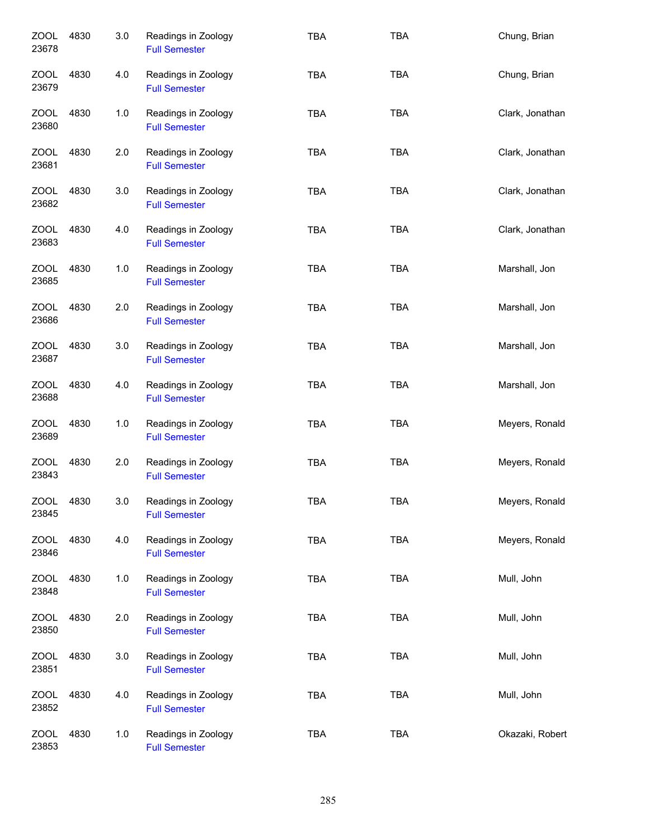| <b>ZOOL</b><br>23678 | 4830 | 3.0 | Readings in Zoology<br><b>Full Semester</b> | <b>TBA</b> | <b>TBA</b> | Chung, Brian    |
|----------------------|------|-----|---------------------------------------------|------------|------------|-----------------|
| ZOOL<br>23679        | 4830 | 4.0 | Readings in Zoology<br><b>Full Semester</b> | <b>TBA</b> | <b>TBA</b> | Chung, Brian    |
| <b>ZOOL</b><br>23680 | 4830 | 1.0 | Readings in Zoology<br><b>Full Semester</b> | <b>TBA</b> | <b>TBA</b> | Clark, Jonathan |
| ZOOL<br>23681        | 4830 | 2.0 | Readings in Zoology<br><b>Full Semester</b> | <b>TBA</b> | <b>TBA</b> | Clark, Jonathan |
| ZOOL<br>23682        | 4830 | 3.0 | Readings in Zoology<br><b>Full Semester</b> | <b>TBA</b> | <b>TBA</b> | Clark, Jonathan |
| ZOOL<br>23683        | 4830 | 4.0 | Readings in Zoology<br><b>Full Semester</b> | <b>TBA</b> | <b>TBA</b> | Clark, Jonathan |
| ZOOL<br>23685        | 4830 | 1.0 | Readings in Zoology<br><b>Full Semester</b> | <b>TBA</b> | <b>TBA</b> | Marshall, Jon   |
| <b>ZOOL</b><br>23686 | 4830 | 2.0 | Readings in Zoology<br><b>Full Semester</b> | <b>TBA</b> | <b>TBA</b> | Marshall, Jon   |
| <b>ZOOL</b><br>23687 | 4830 | 3.0 | Readings in Zoology<br><b>Full Semester</b> | <b>TBA</b> | <b>TBA</b> | Marshall, Jon   |
| <b>ZOOL</b><br>23688 | 4830 | 4.0 | Readings in Zoology<br><b>Full Semester</b> | <b>TBA</b> | <b>TBA</b> | Marshall, Jon   |
| <b>ZOOL</b><br>23689 | 4830 | 1.0 | Readings in Zoology<br><b>Full Semester</b> | <b>TBA</b> | <b>TBA</b> | Meyers, Ronald  |
| <b>ZOOL</b><br>23843 | 4830 | 2.0 | Readings in Zoology<br><b>Full Semester</b> | <b>TBA</b> | <b>TBA</b> | Meyers, Ronald  |
| <b>ZOOL</b><br>23845 | 4830 | 3.0 | Readings in Zoology<br><b>Full Semester</b> | TBA        | TBA        | Meyers, Ronald  |
| <b>ZOOL</b><br>23846 | 4830 | 4.0 | Readings in Zoology<br><b>Full Semester</b> | <b>TBA</b> | TBA        | Meyers, Ronald  |
| <b>ZOOL</b><br>23848 | 4830 | 1.0 | Readings in Zoology<br><b>Full Semester</b> | <b>TBA</b> | <b>TBA</b> | Mull, John      |
| <b>ZOOL</b><br>23850 | 4830 | 2.0 | Readings in Zoology<br><b>Full Semester</b> | <b>TBA</b> | <b>TBA</b> | Mull, John      |
| <b>ZOOL</b><br>23851 | 4830 | 3.0 | Readings in Zoology<br><b>Full Semester</b> | <b>TBA</b> | TBA        | Mull, John      |
| <b>ZOOL</b><br>23852 | 4830 | 4.0 | Readings in Zoology<br><b>Full Semester</b> | <b>TBA</b> | <b>TBA</b> | Mull, John      |
| <b>ZOOL</b><br>23853 | 4830 | 1.0 | Readings in Zoology<br><b>Full Semester</b> | <b>TBA</b> | <b>TBA</b> | Okazaki, Robert |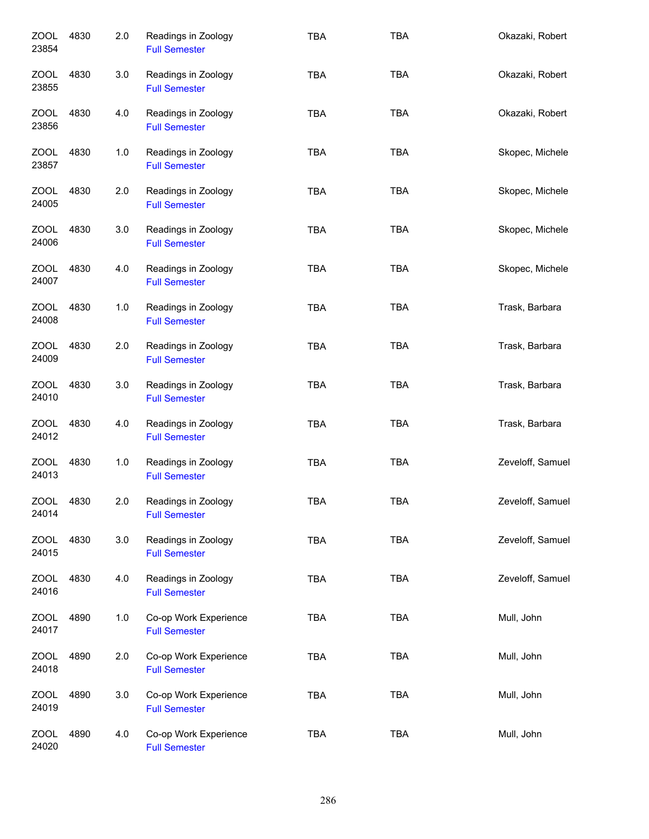| <b>ZOOL</b><br>23854 | 4830 | 2.0 | Readings in Zoology<br><b>Full Semester</b>   | <b>TBA</b> | <b>TBA</b> | Okazaki, Robert  |
|----------------------|------|-----|-----------------------------------------------|------------|------------|------------------|
| ZOOL<br>23855        | 4830 | 3.0 | Readings in Zoology<br><b>Full Semester</b>   | <b>TBA</b> | <b>TBA</b> | Okazaki, Robert  |
| ZOOL<br>23856        | 4830 | 4.0 | Readings in Zoology<br><b>Full Semester</b>   | <b>TBA</b> | <b>TBA</b> | Okazaki, Robert  |
| ZOOL<br>23857        | 4830 | 1.0 | Readings in Zoology<br><b>Full Semester</b>   | <b>TBA</b> | <b>TBA</b> | Skopec, Michele  |
| ZOOL<br>24005        | 4830 | 2.0 | Readings in Zoology<br><b>Full Semester</b>   | <b>TBA</b> | <b>TBA</b> | Skopec, Michele  |
| <b>ZOOL</b><br>24006 | 4830 | 3.0 | Readings in Zoology<br><b>Full Semester</b>   | <b>TBA</b> | <b>TBA</b> | Skopec, Michele  |
| <b>ZOOL</b><br>24007 | 4830 | 4.0 | Readings in Zoology<br><b>Full Semester</b>   | <b>TBA</b> | <b>TBA</b> | Skopec, Michele  |
| <b>ZOOL</b><br>24008 | 4830 | 1.0 | Readings in Zoology<br><b>Full Semester</b>   | <b>TBA</b> | <b>TBA</b> | Trask, Barbara   |
| <b>ZOOL</b><br>24009 | 4830 | 2.0 | Readings in Zoology<br><b>Full Semester</b>   | <b>TBA</b> | <b>TBA</b> | Trask, Barbara   |
| <b>ZOOL</b><br>24010 | 4830 | 3.0 | Readings in Zoology<br><b>Full Semester</b>   | <b>TBA</b> | <b>TBA</b> | Trask, Barbara   |
| <b>ZOOL</b><br>24012 | 4830 | 4.0 | Readings in Zoology<br><b>Full Semester</b>   | <b>TBA</b> | <b>TBA</b> | Trask, Barbara   |
| <b>ZOOL</b><br>24013 | 4830 | 1.0 | Readings in Zoology<br><b>Full Semester</b>   | <b>TBA</b> | <b>TBA</b> | Zeveloff, Samuel |
| <b>ZOOL</b><br>24014 | 4830 | 2.0 | Readings in Zoology<br><b>Full Semester</b>   | TBA        | <b>TBA</b> | Zeveloff, Samuel |
| <b>ZOOL</b><br>24015 | 4830 | 3.0 | Readings in Zoology<br><b>Full Semester</b>   | TBA        | <b>TBA</b> | Zeveloff, Samuel |
| ZOOL<br>24016        | 4830 | 4.0 | Readings in Zoology<br><b>Full Semester</b>   | <b>TBA</b> | TBA        | Zeveloff, Samuel |
| <b>ZOOL</b><br>24017 | 4890 | 1.0 | Co-op Work Experience<br><b>Full Semester</b> | TBA        | <b>TBA</b> | Mull, John       |
| <b>ZOOL</b><br>24018 | 4890 | 2.0 | Co-op Work Experience<br><b>Full Semester</b> | <b>TBA</b> | <b>TBA</b> | Mull, John       |
| <b>ZOOL</b><br>24019 | 4890 | 3.0 | Co-op Work Experience<br><b>Full Semester</b> | <b>TBA</b> | <b>TBA</b> | Mull, John       |
| <b>ZOOL</b><br>24020 | 4890 | 4.0 | Co-op Work Experience<br><b>Full Semester</b> | <b>TBA</b> | <b>TBA</b> | Mull, John       |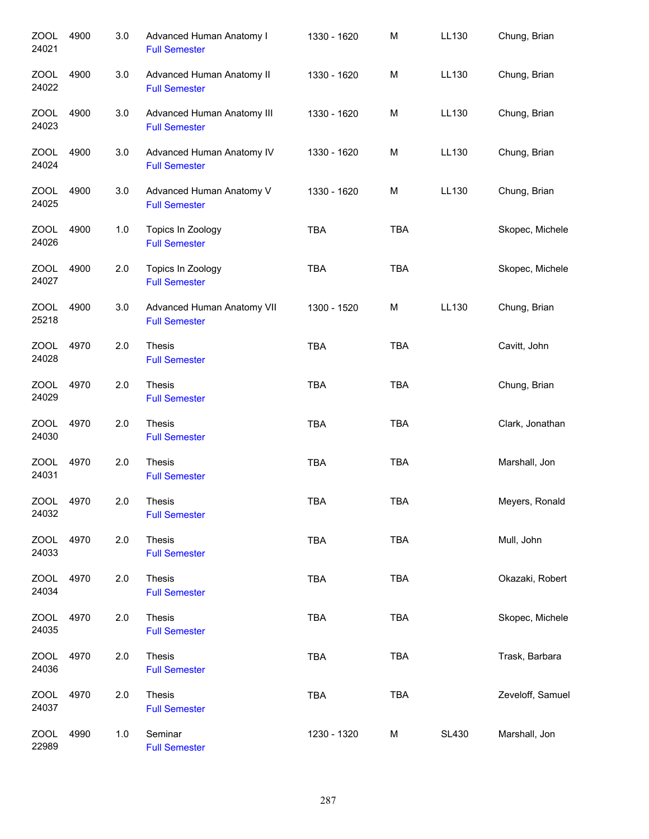| <b>ZOOL</b><br>24021 | 4900 | 3.0 | Advanced Human Anatomy I<br><b>Full Semester</b>   | 1330 - 1620 | M          | LL130        | Chung, Brian     |
|----------------------|------|-----|----------------------------------------------------|-------------|------------|--------------|------------------|
| <b>ZOOL</b><br>24022 | 4900 | 3.0 | Advanced Human Anatomy II<br><b>Full Semester</b>  | 1330 - 1620 | M          | LL130        | Chung, Brian     |
| ZOOL<br>24023        | 4900 | 3.0 | Advanced Human Anatomy III<br><b>Full Semester</b> | 1330 - 1620 | M          | LL130        | Chung, Brian     |
| <b>ZOOL</b><br>24024 | 4900 | 3.0 | Advanced Human Anatomy IV<br><b>Full Semester</b>  | 1330 - 1620 | M          | LL130        | Chung, Brian     |
| ZOOL<br>24025        | 4900 | 3.0 | Advanced Human Anatomy V<br><b>Full Semester</b>   | 1330 - 1620 | M          | LL130        | Chung, Brian     |
| ZOOL<br>24026        | 4900 | 1.0 | Topics In Zoology<br><b>Full Semester</b>          | <b>TBA</b>  | <b>TBA</b> |              | Skopec, Michele  |
| <b>ZOOL</b><br>24027 | 4900 | 2.0 | Topics In Zoology<br><b>Full Semester</b>          | <b>TBA</b>  | <b>TBA</b> |              | Skopec, Michele  |
| <b>ZOOL</b><br>25218 | 4900 | 3.0 | Advanced Human Anatomy VII<br><b>Full Semester</b> | 1300 - 1520 | M          | <b>LL130</b> | Chung, Brian     |
| <b>ZOOL</b><br>24028 | 4970 | 2.0 | Thesis<br><b>Full Semester</b>                     | <b>TBA</b>  | <b>TBA</b> |              | Cavitt, John     |
| <b>ZOOL</b><br>24029 | 4970 | 2.0 | Thesis<br><b>Full Semester</b>                     | <b>TBA</b>  | <b>TBA</b> |              | Chung, Brian     |
| <b>ZOOL</b><br>24030 | 4970 | 2.0 | Thesis<br><b>Full Semester</b>                     | <b>TBA</b>  | <b>TBA</b> |              | Clark, Jonathan  |
| <b>ZOOL</b><br>24031 | 4970 | 2.0 | Thesis<br><b>Full Semester</b>                     | <b>TBA</b>  | <b>TBA</b> |              | Marshall, Jon    |
| <b>ZOOL</b><br>24032 | 4970 | 2.0 | Thesis<br><b>Full Semester</b>                     | TBA         | <b>TBA</b> |              | Meyers, Ronald   |
| ZOOL<br>24033        | 4970 | 2.0 | <b>Thesis</b><br><b>Full Semester</b>              | <b>TBA</b>  | <b>TBA</b> |              | Mull, John       |
| <b>ZOOL</b><br>24034 | 4970 | 2.0 | Thesis<br><b>Full Semester</b>                     | <b>TBA</b>  | <b>TBA</b> |              | Okazaki, Robert  |
| <b>ZOOL</b><br>24035 | 4970 | 2.0 | Thesis<br><b>Full Semester</b>                     | <b>TBA</b>  | <b>TBA</b> |              | Skopec, Michele  |
| <b>ZOOL</b><br>24036 | 4970 | 2.0 | Thesis<br><b>Full Semester</b>                     | <b>TBA</b>  | <b>TBA</b> |              | Trask, Barbara   |
| <b>ZOOL</b><br>24037 | 4970 | 2.0 | Thesis<br><b>Full Semester</b>                     | <b>TBA</b>  | <b>TBA</b> |              | Zeveloff, Samuel |
| <b>ZOOL</b><br>22989 | 4990 | 1.0 | Seminar<br><b>Full Semester</b>                    | 1230 - 1320 | M          | <b>SL430</b> | Marshall, Jon    |